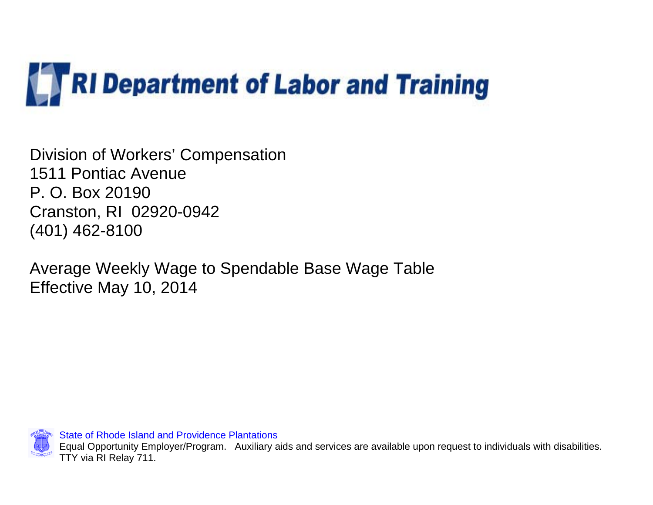

Division of Workers' Compensation 1511 Pontiac Avenue P. O. Box 20190 Cranston, RI 02920-0942 (401) 462-8100

Average Weekly Wage to Spendable Base Wage Table Effective May 10, 2014

State of Rhode Island and Providence Plantations

 Equal Opportunity Employer/Program. Auxiliary aids and services are available upon request to individuals with disabilities. TTY via RI Relay 711.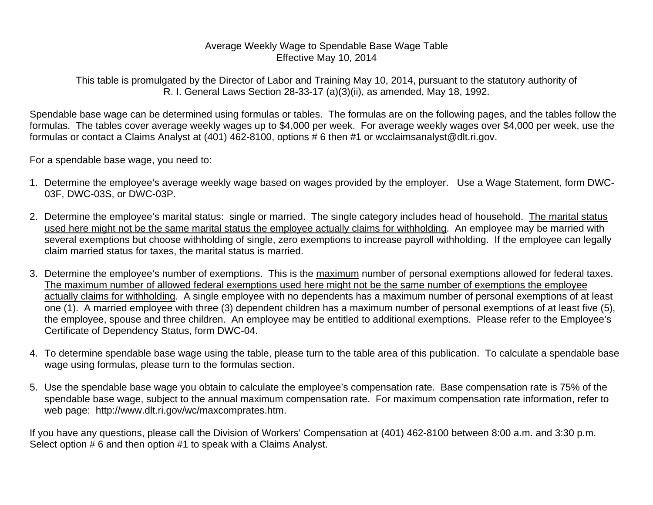## Average Weekly Wage to Spendable Base Wage Table Effective May 10, 2014

This table is promulgated by the Director of Labor and Training May 10, 2014, pursuant to the statutory authority of R. I. General Laws Section 28-33-17 (a)(3)(ii), as amended, May 18, 1992.

Spendable base wage can be determined using formulas or tables. The formulas are on the following pages, and the tables follow the formulas. The tables cover average weekly wages up to \$4,000 per week. For average weekly wages over \$4,000 per week, use the formulas or contact a Claims Analyst at (401) 462-8100, options # 6 then #1 or wcclaimsanalyst@dlt.ri.gov.

For a spendable base wage, you need to:

- 1. Determine the employee's average weekly wage based on wages provided by the employer. Use a Wage Statement, form DWC-03F, DWC-03S, or DWC-03P.
- 2. Determine the employee's marital status: single or married. The single category includes head of household. The marital status used here might not be the same marital status the employee actually claims for withholding. An employee may be married with several exemptions but choose withholding of single, zero exemptions to increase payroll withholding. If the employee can legally claim married status for taxes, the marital status is married.
- 3. Determine the employee's number of exemptions. This is the maximum number of personal exemptions allowed for federal taxes. The maximum number of allowed federal exemptions used here might not be the same number of exemptions the employee actually claims for withholding. A single employee with no dependents has a maximum number of personal exemptions of at least one (1). A married employee with three (3) dependent children has a maximum number of personal exemptions of at least five (5), the employee, spouse and three children. An employee may be entitled to additional exemptions. Please refer to the Employee's Certificate of Dependency Status, form DWC-04.
- 4. To determine spendable base wage using the table, please turn to the table area of this publication. To calculate a spendable base wage using formulas, please turn to the formulas section.
- 5. Use the spendable base wage you obtain to calculate the employee's compensation rate. Base compensation rate is 75% of the spendable base wage, subject to the annual maximum compensation rate. For maximum compensation rate information, refer to web page: http://www.dlt.ri.gov/wc/maxcomprates.htm.

If you have any questions, please call the Division of Workers' Compensation at (401) 462-8100 between 8:00 a.m. and 3:30 p.m. Select option # 6 and then option #1 to speak with a Claims Analyst.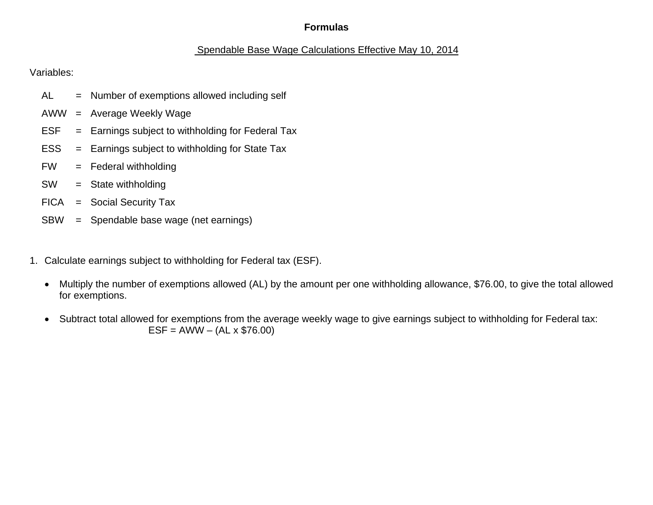## **Formulas**

# Spendable Base Wage Calculations Effective May 10, 2014

Variables:

- AL = Number of exemptions allowed including self
- AWW = Average Weekly Wage
- $ESF = Earnings subject to with holding for Federal Tax$
- ESS = Earnings subject to withholding for State Tax
- FW = Federal withholding
- SW = State withholding
- FICA = Social Security Tax
- SBW = Spendable base wage (net earnings)
- 1. Calculate earnings subject to withholding for Federal tax (ESF).
	- Multiply the number of exemptions allowed (AL) by the amount per one withholding allowance, \$76.00, to give the total allowed for exemptions.
	- Subtract total allowed for exemptions from the average weekly wage to give earnings subject to withholding for Federal tax:  $ESF = AWW - (AL \times $76.00)$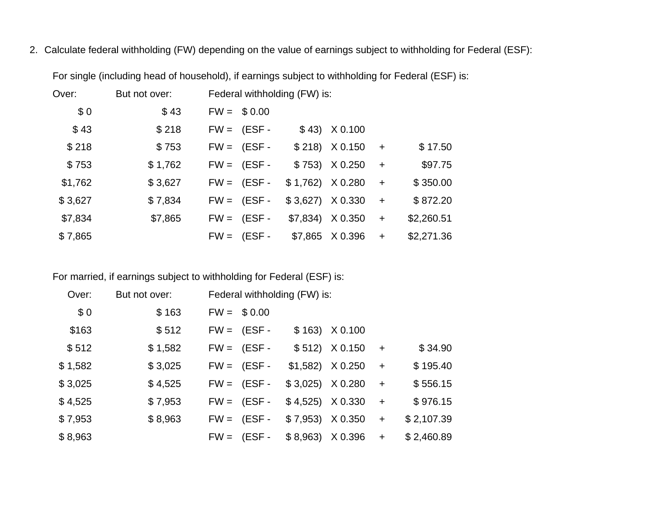2. Calculate federal withholding (FW) depending on the value of earnings subject to withholding for Federal (ESF):

| Over:   | But not over: | Federal withholding (FW) is: |                           |     |            |
|---------|---------------|------------------------------|---------------------------|-----|------------|
| \$0     | \$43          | $FW = $0.00$                 |                           |     |            |
| \$43    | \$218         | $FW = (ESF -$                | $$43)$ $X0.100$           |     |            |
| \$218   | \$753         | $FW = (ESF -$                | $$218$ $X 0.150 +$        |     | \$17.50    |
| \$753   | \$1,762       | $FW = (ESF -$                | $$753$ ) $X0.250 +$       |     | \$97.75    |
| \$1,762 | \$3,627       | $FW = (ESF -$                | $$1,762$ $X 0.280$        | $+$ | \$350.00   |
| \$3,627 | \$7,834       | $FW = (ESF -$                | $$3,627$ $\times 0.330$ + |     | \$872.20   |
| \$7,834 | \$7,865       | $FW = (ESF -$                | $$7,834$ $\times$ 0.350   | $+$ | \$2,260.51 |
| \$7,865 |               | $FW = (ESF -$                | $$7,865$ $\times$ 0.396   | $+$ | \$2,271.36 |

For single (including head of household), if earnings subject to withholding for Federal (ESF) is:

For married, if earnings subject to withholding for Federal (ESF) is:

| Over:   | But not over: | Federal withholding (FW) is: |                           |     |            |
|---------|---------------|------------------------------|---------------------------|-----|------------|
| \$0     | \$163         | $FW = $0.00$                 |                           |     |            |
| \$163   | \$512         | $FW = (ESF -$                | $$163)$ $X0.100$          |     |            |
| \$512   | \$1,582       | $FW = (ESF -$                | $$512$ ) $X 0.150$        | $+$ | \$34.90    |
| \$1,582 | \$3,025       | $FW = (ESF -$                | $$1,582$ $\times$ 0.250   | $+$ | \$195.40   |
| \$3,025 | \$4,525       | $FW = (ESF -$                | $$3,025$ $X 0.280$        | $+$ | \$556.15   |
| \$4,525 | \$7,953       | $FW = (ESF -$                | $$4,525$ $X 0.330$        | $+$ | \$976.15   |
| \$7,953 | \$8,963       | $FW = (ESF -$                | $$7,953$ $\times$ 0.350 + |     | \$2,107.39 |
| \$8,963 |               | $FW = (ESF -$                | $$8,963)$ $X0.396$        | $+$ | \$2,460.89 |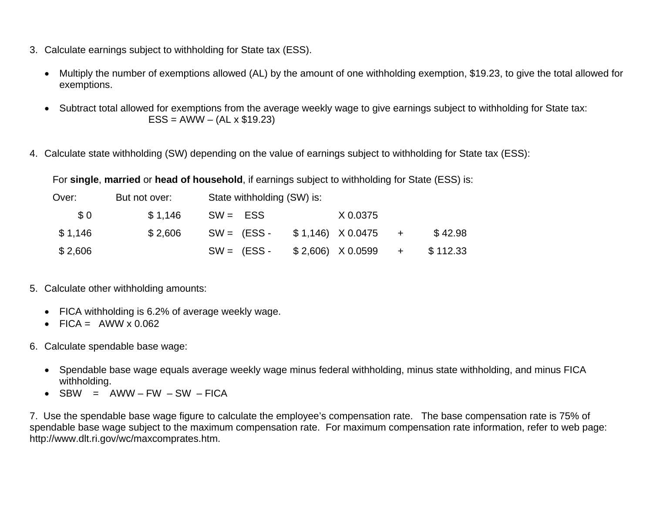- 3. Calculate earnings subject to withholding for State tax (ESS).
	- Multiply the number of exemptions allowed (AL) by the amount of one withholding exemption, \$19.23, to give the total allowed for exemptions.
	- Subtract total allowed for exemptions from the average weekly wage to give earnings subject to withholding for State tax:  $ESS = AWW - (AL \times $19.23)$
- 4. Calculate state withholding (SW) depending on the value of earnings subject to withholding for State tax (ESS):

For **single**, **married** or **head of household**, if earnings subject to withholding for State (ESS) is:

| Over:   | But not over: |            | State withholding (SW) is:            |          |          |
|---------|---------------|------------|---------------------------------------|----------|----------|
| \$0     | \$1.146       | $SW = ESS$ |                                       | X 0.0375 |          |
| \$1,146 | \$2.606       |            | $SW = (ESS - $1,146) \times 0.0475 +$ |          | \$42.98  |
| \$2,606 |               |            | $SW = (ESS - $2,606) \times 0.0599 +$ |          | \$112.33 |

- 5. Calculate other withholding amounts:
	- FICA withholding is 6.2% of average weekly wage.
	- FICA =  $AWW \times 0.062$
- 6. Calculate spendable base wage:
	- Spendable base wage equals average weekly wage minus federal withholding, minus state withholding, and minus FICA withholding.
	- SBW =  $AWW FW SW FICA$

7. Use the spendable base wage figure to calculate the employee's compensation rate. The base compensation rate is 75% of spendable base wage subject to the maximum compensation rate. For maximum compensation rate information, refer to web page: http://www.dlt.ri.gov/wc/maxcomprates.htm.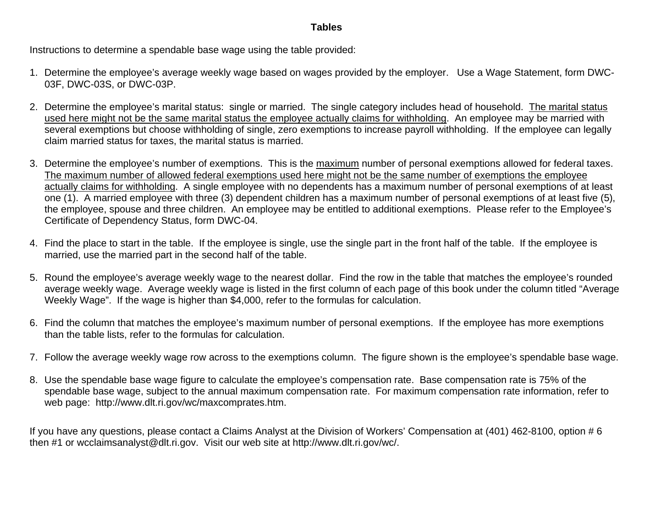## **Tables**

Instructions to determine a spendable base wage using the table provided:

- 1. Determine the employee's average weekly wage based on wages provided by the employer. Use a Wage Statement, form DWC-03F, DWC-03S, or DWC-03P.
- 2. Determine the employee's marital status: single or married. The single category includes head of household. The marital status used here might not be the same marital status the employee actually claims for withholding. An employee may be married with several exemptions but choose withholding of single, zero exemptions to increase payroll withholding. If the employee can legally claim married status for taxes, the marital status is married.
- 3. Determine the employee's number of exemptions. This is the maximum number of personal exemptions allowed for federal taxes. The maximum number of allowed federal exemptions used here might not be the same number of exemptions the employee actually claims for withholding. A single employee with no dependents has a maximum number of personal exemptions of at least one (1). A married employee with three (3) dependent children has a maximum number of personal exemptions of at least five (5), the employee, spouse and three children. An employee may be entitled to additional exemptions. Please refer to the Employee's Certificate of Dependency Status, form DWC-04.
- 4. Find the place to start in the table. If the employee is single, use the single part in the front half of the table. If the employee is married, use the married part in the second half of the table.
- 5. Round the employee's average weekly wage to the nearest dollar. Find the row in the table that matches the employee's rounded average weekly wage. Average weekly wage is listed in the first column of each page of this book under the column titled "Average Weekly Wage". If the wage is higher than \$4,000, refer to the formulas for calculation.
- 6. Find the column that matches the employee's maximum number of personal exemptions. If the employee has more exemptions than the table lists, refer to the formulas for calculation.
- 7. Follow the average weekly wage row across to the exemptions column. The figure shown is the employee's spendable base wage.
- 8. Use the spendable base wage figure to calculate the employee's compensation rate. Base compensation rate is 75% of the spendable base wage, subject to the annual maximum compensation rate. For maximum compensation rate information, refer to web page: http://www.dlt.ri.gov/wc/maxcomprates.htm.

If you have any questions, please contact a Claims Analyst at the Division of Workers' Compensation at (401) 462-8100, option # 6 then #1 or wcclaimsanalyst@dlt.ri.gov. Visit our web site at http://www.dlt.ri.gov/wc/.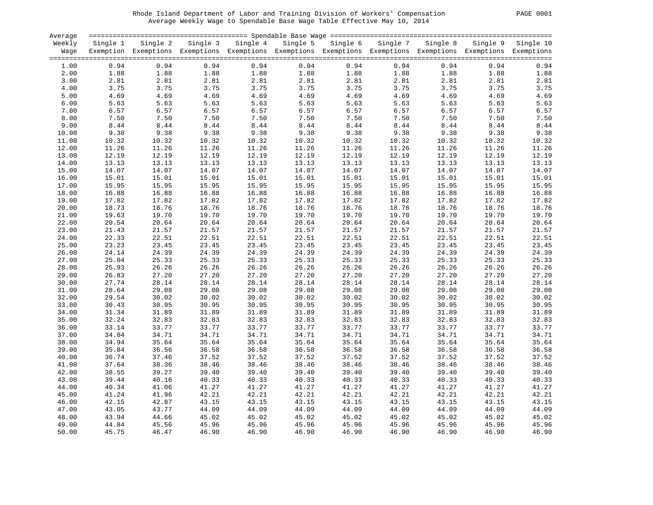#### Rhode Island Department of Labor and Training Division of Workers' Compensation PAGE 0001 Average Weekly Wage to Spendable Base Wage Table Effective May 10, 2014

| <b>PAGE</b> | 0001 |
|-------------|------|
|             |      |

| Average |                |                                                                                                                   |       |                |                                                                            |                                   |                                                                    |       |       |                    |
|---------|----------------|-------------------------------------------------------------------------------------------------------------------|-------|----------------|----------------------------------------------------------------------------|-----------------------------------|--------------------------------------------------------------------|-------|-------|--------------------|
| Weekly  |                | Single 1 Single 2 Single 3 Single 4 Single 5 Single 6 Single 7 Single 8                                           |       |                |                                                                            |                                   |                                                                    |       |       | Single 9 Single 10 |
|         |                | Wage Exemption Exemptions Exemptions Exemptions Exemptions Exemptions Exemptions Exemptions Exemptions Exemptions |       |                |                                                                            |                                   |                                                                    |       |       |                    |
|         |                |                                                                                                                   |       |                |                                                                            |                                   |                                                                    |       |       |                    |
| 1.00    | 0.94           | 0.94                                                                                                              | 0.94  | 0.94           | 0.94                                                                       |                                   | 0.94<br>0.94                                                       | 0.94  | 0.94  | 0.94               |
| 2.00    | 1.88           | 1.88                                                                                                              | 1.88  |                | 1.88                                                                       |                                   |                                                                    | 1.88  | 1.88  | 1.88               |
| 3.00    | 2.81           | 2.81                                                                                                              | 2.81  |                | 2.81                                                                       |                                   |                                                                    | 2.81  | 2.81  | 2.81               |
| 4.00    | 3.75           | 3.75                                                                                                              | 3.75  |                | 3.75                                                                       |                                   |                                                                    | 3.75  | 3.75  | 3.75               |
| 5.00    | 4.69           | 4.69                                                                                                              | 4.69  |                | 4.69                                                                       | 1.88<br>2.81<br>3.75<br>4.69<br>- |                                                                    | 4.69  | 4.69  | 4.69               |
| 6.00    | 5.63           | 5.63                                                                                                              | 5.63  |                | $1.88$<br>$1.81$<br>$3.75$<br>$4.69$<br>$5.63$<br>$6.57$<br>$7.50$<br>5.63 | 5.63                              | $1.88$<br>$2.81$<br>$3.75$<br>$4.69$<br>$5.63$<br>$6.57$<br>$7.50$ | 5.63  | 5.63  | 5.63               |
| 7.00    | 6.57           | 6.57                                                                                                              | 6.57  |                | 6.57                                                                       |                                   |                                                                    | 6.57  | 6.57  | 6.57               |
| 8.00    | 7.50           | 7.50                                                                                                              | 7.50  |                | 7.50                                                                       |                                   | 6.57<br>7.50                                                       | 7.50  | 7.50  | 7.50               |
| 9.00    | $8.44$         | 8.44                                                                                                              | 8.44  | 8.44           | 8.44                                                                       | 8.44                              | 8.44                                                               | 8.44  | 8.44  | 8.44               |
| 10.00   | 9.38           | 9.38                                                                                                              | 9.38  | 9.38           | 9.38                                                                       | 9.38                              | 9.38                                                               | 9.38  | 9.38  | 9.38               |
| 11.00   | 10.32          | 10.32                                                                                                             | 10.32 | 10.32          |                                                                            | 10.32                             | 10.32                                                              | 10.32 | 10.32 | 10.32              |
|         |                |                                                                                                                   |       |                | 10.32                                                                      |                                   |                                                                    |       |       |                    |
| 12.00   | 11.26          | 11.26<br>11.26<br>12.19                                                                                           | 11.26 | 11.26          | 11.26                                                                      | 11.26                             | 11.26                                                              | 11.26 | 11.26 | 11.26              |
| 13.00   | 12.19          |                                                                                                                   | 12.19 | 12.19          | 12.19                                                                      | 12.19                             | 12.19                                                              | 12.19 | 12.19 | 12.19              |
| 14.00   | 13.13          | 13.13                                                                                                             | 13.13 | 13.13          | 13.13                                                                      | 13.13                             | 13.13                                                              | 13.13 | 13.13 | 13.13              |
| 15.00   | 14.07          | 14.07                                                                                                             | 14.07 | 14.07          | 14.07                                                                      | 14.07                             | 14.07                                                              | 14.07 | 14.07 | 14.07              |
| 16.00   | 15.01          | 15.01                                                                                                             | 15.01 | 15.01          | 15.01                                                                      | 15.01                             | 15.01                                                              | 15.01 | 15.01 | 15.01              |
| 17.00   | 15.95          | 15.95                                                                                                             | 15.95 | 15.95          | 15.95                                                                      | 15.95                             | 15.95                                                              | 15.95 | 15.95 | 15.95              |
| 18.00   | 16.88          | 16.88                                                                                                             | 16.88 | 16.88          | 16.88                                                                      | 16.88                             | 16.88                                                              | 16.88 | 16.88 | 16.88              |
| 19.00   | 17.82          | 17.82                                                                                                             | 17.82 | 17.82          | 17.82                                                                      | 17.82                             | 17.82                                                              | 17.82 | 17.82 | 17.82              |
| 20.00   | 18.73          | 18.76                                                                                                             | 18.76 | 18.76          | 18.76                                                                      | 18.76                             | 18.76                                                              | 18.76 | 18.76 | 18.76              |
| 21.00   | 19.63          | 19.70                                                                                                             | 19.70 | 19.70          | 19.70                                                                      | 19.70                             | 19.70                                                              | 19.70 | 19.70 | 19.70              |
| 22.00   | 20.54          | 20.64                                                                                                             | 20.64 | 20.64          | 20.64                                                                      | 20.64                             | 20.64                                                              | 20.64 | 20.64 | 20.64              |
| 23.00   | 21.43          | 21.57                                                                                                             | 21.57 | 21.57          | 21.57                                                                      | 21.57                             | 21.57                                                              | 21.57 | 21.57 | 21.57              |
| 24.00   | 22.33          | 22.51                                                                                                             | 22.51 | 22.51          | 22.51                                                                      | 22.51                             | 22.51                                                              | 22.51 | 22.51 | 22.51              |
| 25.00   | 23.23          | 23.45                                                                                                             | 23.45 | 23.45          | 23.45                                                                      | 23.45                             | 23.45                                                              | 23.45 | 23.45 | 23.45              |
| 26.00   | 24.14          | 24.39                                                                                                             | 24.39 | 24.39          | 24.39                                                                      | 24.39                             | 24.39                                                              | 24.39 | 24.39 | 24.39              |
| 27.00   | 25.04          | 25.33                                                                                                             | 25.33 | 25.33          | 25.33                                                                      | 25.33                             | 25.33                                                              | 25.33 | 25.33 | 25.33              |
| 28.00   | 25.93          | 26.26                                                                                                             | 26.26 | 26.26          | 26.26                                                                      | 26.26                             | 26.26                                                              | 26.26 | 26.26 | 26.26              |
| 29.00   | 26.83          | 27.20                                                                                                             | 27.20 | 27.20          | 27.20                                                                      | 27.20                             | 27.20                                                              | 27.20 | 27.20 | 27.20              |
| 30.00   | 27.74          | 28.14                                                                                                             | 28.14 | 28.14          | 28.14                                                                      | 28.14                             | 28.14                                                              | 28.14 | 28.14 | 28.14              |
| 31.00   | 28.64          | 29.08                                                                                                             | 29.08 | 29.08          | 29.08                                                                      | 29.08                             | 29.08                                                              | 29.08 | 29.08 | 29.08              |
| 32.00   | 29.54          | 30.02                                                                                                             | 30.02 | 30.02          | 30.02                                                                      | 30.02                             | 30.02                                                              | 30.02 | 30.02 | 30.02              |
| 33.00   | 30.43          | 30.95                                                                                                             | 30.95 | 30.95          | 30.95                                                                      | 30.95                             | 30.95                                                              | 30.95 | 30.95 | 30.95              |
| 34.00   | 31.34          | 31.89                                                                                                             | 31.89 | 31.89          | 31.89                                                                      | 31.89                             | 31.89                                                              | 31.89 | 31.89 | 31.89              |
| 35.00   | 32.24          |                                                                                                                   | 32.83 | 32.83          | 32.83                                                                      | 32.83                             | 32.83                                                              | 32.83 | 32.83 | 32.83              |
| 36.00   | 33.14          | 32.83<br>33.77                                                                                                    | 33.77 | 33.77          | 33.77                                                                      | 33.77                             | 33.77                                                              | 33.77 | 33.77 | 33.77              |
| 37.00   | 34.04          | 34.71                                                                                                             | 34.71 | 34.71          | 34.71                                                                      | 34.71                             | 34.71                                                              | 34.71 | 34.71 | 34.71              |
| 38.00   | 34.94          | 35.64                                                                                                             | 35.64 | 35.64          | 35.64                                                                      | 35.64                             | 35.64                                                              | 35.64 | 35.64 | 35.64              |
| 39.00   | 35.84          | 36.56                                                                                                             | 36.58 | 36.58          | 36.58                                                                      | 36.58                             | 36.58                                                              | 36.58 | 36.58 | 36.58              |
| 40.00   | 36.74          | 37.46                                                                                                             | 37.52 | 37.52          | 37.52                                                                      | 37.52                             | 37.52                                                              | 37.52 | 37.52 | 37.52              |
| 41.00   | 37.64          | 38.36                                                                                                             | 38.46 | 38.46          | 38.46                                                                      | 38.46                             | 38.46                                                              | 38.46 | 38.46 | 38.46              |
| 42.00   | 38.55          | 39.27                                                                                                             | 39.40 | 39.40          | 39.40                                                                      | 39.40                             | 39.40                                                              | 39.40 | 39.40 | 39.40              |
| 43.00   | 39.44          | 40.16                                                                                                             | 40.33 | 40.33          | 40.33                                                                      | 40.33                             | 40.33                                                              | 40.33 | 40.33 | 40.33              |
| 44.00   | 40.34          | 41.06                                                                                                             | 41.27 | 41.27          | 41.27                                                                      | 41.27                             | 41.27                                                              | 41.27 | 41.27 | 41.27              |
| 45.00   | 41.24          | 41.96                                                                                                             | 42.21 | 42.21          | 42.21                                                                      | 42.21                             | 42.21                                                              | 42.21 | 42.21 | 42.21              |
| 46.00   | 42.15          | 42.87                                                                                                             | 43.15 | 43.15          | 43.15                                                                      | 43.15                             | 43.15                                                              | 43.15 | 43.15 | 43.15              |
|         |                |                                                                                                                   | 44.09 |                |                                                                            |                                   |                                                                    | 44.09 |       |                    |
| 47.00   | 43.05<br>43.94 | 43.77                                                                                                             | 45.02 | 44.09          | 44.09                                                                      | 44.09<br>45.02                    | 44.09<br>45.02                                                     |       | 44.09 | 44.09              |
| 48.00   |                | $44.66$<br>$45.56$<br>$46.47$                                                                                     |       | 45.02<br>45.96 | 45.02                                                                      |                                   |                                                                    | 45.02 | 45.02 | 45.02              |
| 49.00   | 44.84          |                                                                                                                   | 45.96 | 45.96          | 45.96                                                                      | 45.96                             | 45.96                                                              | 45.96 | 45.96 | 45.96              |
| 50.00   | 45.75          | 46.47                                                                                                             | 46.90 | 46.90          | 46.90                                                                      | 46.90                             | 46.90                                                              | 46.90 | 46.90 | 46.90              |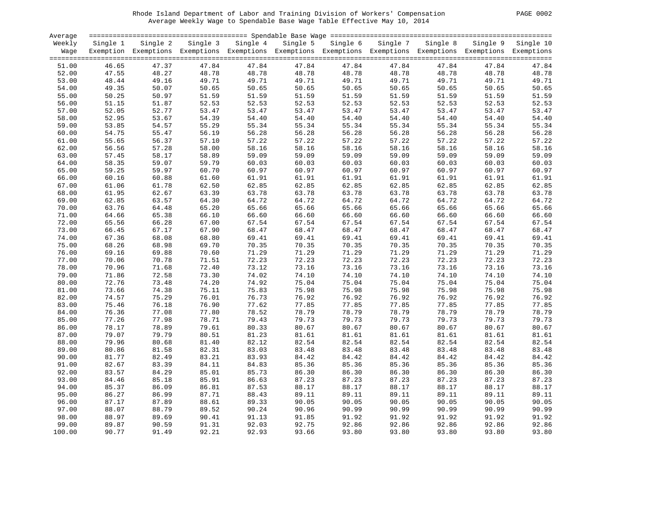#### Rhode Island Department of Labor and Training Division of Workers' Compensation PAGE 0002 Average Weekly Wage to Spendable Base Wage Table Effective May 10, 2014

| PAGE | 0002 |
|------|------|
|      |      |

| Average |          |                                                                                                              |                            |       |       |                                     |       |       |       |                    |
|---------|----------|--------------------------------------------------------------------------------------------------------------|----------------------------|-------|-------|-------------------------------------|-------|-------|-------|--------------------|
| Weekly  | Single 1 |                                                                                                              | Single 2 Single 3 Single 4 |       |       | Single 5 Single 6 Single 7 Single 8 |       |       |       | Single 9 Single 10 |
| Wage    |          | Exemption Exemptions Exemptions Exemptions Exemptions Exemptions Exemptions Exemptions Exemptions Exemptions |                            |       |       |                                     |       |       |       |                    |
|         |          |                                                                                                              |                            |       |       |                                     |       |       |       |                    |
| 51.00   | 46.65    | 47.37                                                                                                        | 47.84                      | 47.84 | 47.84 | 47.84                               | 47.84 | 47.84 | 47.84 | 47.84              |
| 52.00   | 47.55    |                                                                                                              | 48.78                      | 48.78 | 48.78 | 48.78                               | 48.78 | 48.78 | 48.78 | 48.78              |
|         |          |                                                                                                              |                            |       |       |                                     |       |       |       |                    |
| 53.00   | 48.44    |                                                                                                              | 49.71                      | 49.71 | 49.71 | 49.71                               | 49.71 | 49.71 | 49.71 | 49.71              |
| 54.00   | 49.35    |                                                                                                              | 50.65                      | 50.65 | 50.65 | 50.65                               | 50.65 | 50.65 | 50.65 | 50.65              |
| 55.00   | 50.25    | $48.27$<br>$49.16$<br>$50.07$<br>$50.97$<br>$51.97$                                                          | 51.59                      | 51.59 | 51.59 | 51.59                               | 51.59 | 51.59 | 51.59 | 51.59              |
| 56.00   | 51.15    | 51.87                                                                                                        | 52.53                      | 52.53 | 52.53 | 52.53                               | 52.53 | 52.53 | 52.53 | 52.53              |
| 57.00   | 52.05    | 52.77                                                                                                        | 53.47                      | 53.47 | 53.47 | 53.47                               | 53.47 | 53.47 | 53.47 | 53.47              |
| 58.00   | 52.95    | 53.67                                                                                                        | 54.39                      | 54.40 | 54.40 | 54.40                               | 54.40 | 54.40 | 54.40 | 54.40              |
| 59.00   | 53.85    | 54.57                                                                                                        | 55.29                      | 55.34 | 55.34 | 55.34                               | 55.34 | 55.34 | 55.34 | 55.34              |
| 60.00   | 54.75    | 55.47                                                                                                        | 56.19                      | 56.28 | 56.28 | 56.28                               | 56.28 | 56.28 | 56.28 | 56.28              |
| 61.00   | 55.65    | 56.37                                                                                                        | 57.10                      | 57.22 | 57.22 | 57.22                               | 57.22 | 57.22 | 57.22 | 57.22              |
| 62.00   | 56.56    | 57.28                                                                                                        | 58.00                      | 58.16 | 58.16 | 58.16                               | 58.16 | 58.16 | 58.16 | 58.16              |
| 63.00   | 57.45    | 58.17                                                                                                        | 58.89                      | 59.09 | 59.09 | 59.09                               | 59.09 | 59.09 | 59.09 | 59.09              |
| 64.00   | 58.35    | 59.07                                                                                                        | 59.79                      | 60.03 | 60.03 | 60.03                               | 60.03 | 60.03 | 60.03 | 60.03              |
| 65.00   | 59.25    | 59.97                                                                                                        | 60.70                      | 60.97 | 60.97 | 60.97                               | 60.97 | 60.97 | 60.97 | 60.97              |
| 66.00   | 60.16    | 60.88                                                                                                        | 61.60                      | 61.91 | 61.91 | 61.91                               | 61.91 | 61.91 | 61.91 | 61.91              |
|         |          |                                                                                                              |                            |       |       |                                     |       |       |       |                    |
| 67.00   | 61.06    | 61.78                                                                                                        | 62.50                      | 62.85 | 62.85 | 62.85                               | 62.85 | 62.85 | 62.85 | 62.85              |
| 68.00   | 61.95    | 62.67                                                                                                        | 63.39                      | 63.78 | 63.78 | 63.78                               | 63.78 | 63.78 | 63.78 | 63.78              |
| 69.00   | 62.85    | 63.57                                                                                                        | 64.30                      | 64.72 | 64.72 | 64.72                               | 64.72 | 64.72 | 64.72 | 64.72              |
| 70.00   | 63.76    | 64.48                                                                                                        | 65.20                      | 65.66 | 65.66 | 65.66                               | 65.66 | 65.66 | 65.66 | 65.66              |
| 71.00   | 64.66    | 65.38                                                                                                        | 66.10                      | 66.60 | 66.60 | 66.60                               | 66.60 | 66.60 | 66.60 | 66.60              |
| 72.00   | 65.56    | 66.28                                                                                                        | 67.00                      | 67.54 | 67.54 | 67.54                               | 67.54 | 67.54 | 67.54 | 67.54              |
| 73.00   | 66.45    | 67.17                                                                                                        | 67.90                      | 68.47 | 68.47 | 68.47                               | 68.47 | 68.47 | 68.47 | 68.47              |
| 74.00   | 67.36    | 68.08                                                                                                        | 68.80                      | 69.41 | 69.41 | 69.41                               | 69.41 | 69.41 | 69.41 | 69.41              |
| 75.00   | 68.26    | 68.98                                                                                                        | 69.70                      | 70.35 | 70.35 | 70.35                               | 70.35 | 70.35 | 70.35 | 70.35              |
| 76.00   | 69.16    | 69.88                                                                                                        | 70.60                      | 71.29 | 71.29 | 71.29                               | 71.29 | 71.29 | 71.29 | 71.29              |
| 77.00   | 70.06    | 70.78                                                                                                        | 71.51                      | 72.23 | 72.23 | 72.23                               | 72.23 | 72.23 | 72.23 | 72.23              |
| 78.00   | 70.96    | 71.68                                                                                                        | 72.40                      | 73.12 | 73.16 | 73.16                               | 73.16 | 73.16 | 73.16 | 73.16              |
| 79.00   | 71.86    | 72.58                                                                                                        | 73.30                      | 74.02 | 74.10 | 74.10                               | 74.10 | 74.10 | 74.10 | 74.10              |
| 80.00   | 72.76    | 73.48                                                                                                        | 74.20                      | 74.92 | 75.04 | 75.04                               | 75.04 | 75.04 | 75.04 | 75.04              |
| 81.00   | 73.66    | 74.38                                                                                                        | 75.11                      | 75.83 | 75.98 | 75.98                               | 75.98 | 75.98 | 75.98 | 75.98              |
| 82.00   | 74.57    | 75.29                                                                                                        | 76.01                      | 76.73 | 76.92 | 76.92                               | 76.92 | 76.92 | 76.92 | 76.92              |
|         |          |                                                                                                              |                            |       |       |                                     |       |       |       |                    |
| 83.00   | 75.46    | 76.18                                                                                                        | 76.90                      | 77.62 | 77.85 | 77.85                               | 77.85 | 77.85 | 77.85 | 77.85              |
| 84.00   | 76.36    | 77.08                                                                                                        | 77.80                      | 78.52 | 78.79 | 78.79                               | 78.79 | 78.79 | 78.79 | 78.79              |
| 85.00   | 77.26    | 77.98                                                                                                        | 78.71                      | 79.43 | 79.73 | 79.73                               | 79.73 | 79.73 | 79.73 | 79.73              |
| 86.00   | 78.17    | 78.89                                                                                                        | 79.61                      | 80.33 | 80.67 | 80.67                               | 80.67 | 80.67 | 80.67 | 80.67              |
| 87.00   | 79.07    | 79.79                                                                                                        | 80.51                      | 81.23 | 81.61 | 81.61                               | 81.61 | 81.61 | 81.61 | 81.61              |
| 88.00   | 79.96    | 80.68                                                                                                        | 81.40                      | 82.12 | 82.54 | 82.54                               | 82.54 | 82.54 | 82.54 | 82.54              |
| 89.00   | 80.86    | 81.58                                                                                                        | 82.31                      | 83.03 | 83.48 | 83.48                               | 83.48 | 83.48 | 83.48 | 83.48              |
| 90.00   | 81.77    | 82.49                                                                                                        | 83.21                      | 83.93 | 84.42 | 84.42                               | 84.42 | 84.42 | 84.42 | 84.42              |
| 91.00   | 82.67    | 83.39                                                                                                        | 84.11                      | 84.83 | 85.36 | 85.36                               | 85.36 | 85.36 | 85.36 | 85.36              |
| 92.00   | 83.57    | 84.29                                                                                                        | 85.01                      | 85.73 | 86.30 | 86.30                               | 86.30 | 86.30 | 86.30 | 86.30              |
| 93.00   | 84.46    | 85.18                                                                                                        | 85.91                      | 86.63 | 87.23 | 87.23                               | 87.23 | 87.23 | 87.23 | 87.23              |
| 94.00   | 85.37    | 86.09                                                                                                        | 86.81                      | 87.53 | 88.17 | 88.17                               | 88.17 | 88.17 | 88.17 | 88.17              |
| 95.00   | 86.27    | 86.99                                                                                                        | 87.71                      | 88.43 | 89.11 | 89.11                               | 89.11 | 89.11 | 89.11 | 89.11              |
| 96.00   | 87.17    | 87.89                                                                                                        | 88.61                      | 89.33 | 90.05 | 90.05                               | 90.05 | 90.05 | 90.05 | 90.05              |
| 97.00   | 88.07    | 88.79                                                                                                        | 89.52                      | 90.24 | 90.96 | 90.99                               | 90.99 | 90.99 | 90.99 | 90.99              |
| 98.00   | 88.97    | 89.69                                                                                                        | 90.41                      | 91.13 | 91.85 | 91.92                               | 91.92 | 91.92 | 91.92 | 91.92              |
| 99.00   | 89.87    | 90.59                                                                                                        | 91.31                      | 92.03 | 92.75 | 92.86                               | 92.86 | 92.86 | 92.86 | 92.86              |
|         |          |                                                                                                              |                            |       |       |                                     |       |       |       |                    |
| 100.00  | 90.77    | 91.49                                                                                                        | 92.21                      | 92.93 | 93.66 | 93.80                               | 93.80 | 93.80 | 93.80 | 93.80              |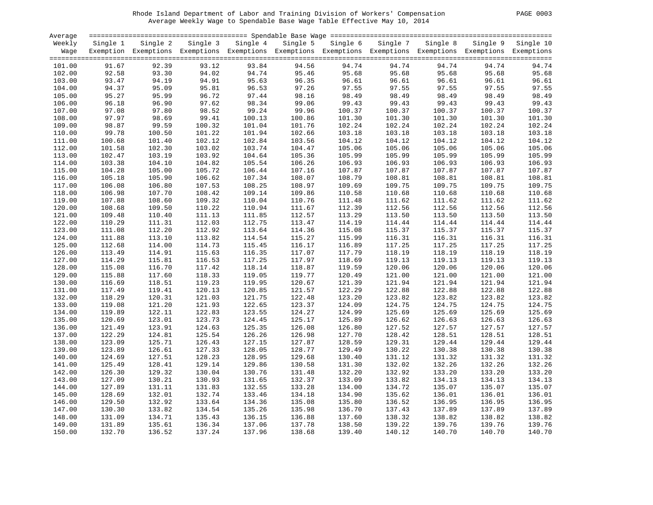#### Rhode Island Department of Labor and Training Division of Workers' Compensation PAGE 0003 Average Weekly Wage to Spendable Base Wage Table Effective May 10, 2014

| PAGE 0003 |  |  |
|-----------|--|--|
|-----------|--|--|

| Average          |          |                |          |          | stational access to the contract the contract term and the contract term and the contract term access to the c |                   |        |                   |        |                    |
|------------------|----------|----------------|----------|----------|----------------------------------------------------------------------------------------------------------------|-------------------|--------|-------------------|--------|--------------------|
| Weekly           | Single 1 | Single 2       | Single 3 | Single 4 |                                                                                                                | Single 5 Single 6 |        | Single 7 Single 8 |        | Single 9 Single 10 |
| Waqe             |          |                |          |          | Exemption Exemptions Exemptions Exemptions Exemptions Exemptions Exemptions Exemptions Exemptions Exemptions   |                   |        |                   |        |                    |
|                  |          |                |          |          |                                                                                                                |                   |        |                   |        |                    |
| 101.00           | 91.67    | 92.39          | 93.12    | 93.84    | 94.56                                                                                                          | 94.74             | 94.74  | 94.74             | 94.74  | 94.74              |
| 102.00           | 92.58    | 93.30          | 94.02    | 94.74    | 95.46                                                                                                          | 95.68             | 95.68  | 95.68             | 95.68  | 95.68              |
| 103.00           | 93.47    | 94.19          | 94.91    | 95.63    | 96.35                                                                                                          | 96.61             | 96.61  | 96.61             | 96.61  | 96.61              |
| 104.00           | 94.37    | 95.09          | 95.81    | 96.53    | 97.26                                                                                                          | 97.55             | 97.55  | 97.55             | 97.55  | 97.55              |
| 105.00           | 95.27    | 95.99          | 96.72    | 50.44    | 98.16                                                                                                          | 98.49             | 98.49  | 98.49             | 98.49  | 98.49              |
| 106.00           | 96.18    | 96.90          | 97.62    | 98.34    | 99.06                                                                                                          | 99.43             | 99.43  | 99.43             | 99.43  | 99.43              |
| 107.00           | 97.08    | 97.80          | 98.52    | 99.24    | 99.96                                                                                                          | 100.37            | 100.37 | 100.37            | 100.37 | 100.37             |
| 108.00           | 97.97    | 97.80<br>98.69 | 99.41    | 100.13   | 100.86                                                                                                         | 101.30            | 101.30 | 101.30            | 101.30 | 101.30             |
| 109.00           | 98.87    | 99.59          | 100.32   | 101.04   | 101.76                                                                                                         | 102.24            | 102.24 | 102.24            | 102.24 | 102.24             |
| 110.00           | 99.78    | 100.50         | 101.22   | 101.94   | 102.66                                                                                                         | 103.18            | 103.18 | 103.18            | 103.18 | 103.18             |
| 111.00           | 100.68   | 101.40         | 102.12   | 102.84   | 103.56                                                                                                         | 104.12            | 104.12 | 104.12            | 104.12 | 104.12             |
| 112.00           | 101.58   | 102.30         | 103.02   | 103.74   | 104.47                                                                                                         | 105.06            | 105.06 | 105.06            | 105.06 | 105.06             |
| 113.00           | 102.47   | 103.19         | 103.92   | 104.64   | 105.36                                                                                                         | 105.99            | 105.99 | 105.99            | 105.99 | 105.99             |
| 114.00           | 103.38   | 104.10         | 104.82   | 105.54   | 106.26                                                                                                         | 106.93            | 106.93 | 106.93            | 106.93 | 106.93             |
| 115.00           | 104.28   | 105.00         | 105.72   | 106.44   | 107.16                                                                                                         | 107.87            | 107.87 | 107.87            | 107.87 | 107.87             |
| 116.00           | 105.18   | 105.90         | 106.62   | 107.34   | 108.07                                                                                                         | 108.79            | 108.81 | 108.81            | 108.81 | 108.81             |
|                  | 106.08   | 106.80         | 107.53   | 108.25   | 108.97                                                                                                         | 109.69            | 109.75 | 109.75            | 109.75 | 109.75             |
| 117.00<br>118.00 | 106.98   | 107.70         | 108.42   | 109.14   | 109.86                                                                                                         | 110.58            | 110.68 | 110.68            | 110.68 | 110.68             |
| 119.00           | 107.88   | 108.60         | 109.32   | 110.04   | 110.76                                                                                                         | 111.48            | 111.62 | 111.62            | 111.62 | 111.62             |
|                  | 108.68   | 109.50         |          | 110.94   |                                                                                                                |                   | 112.56 |                   |        |                    |
| 120.00           |          |                | 110.22   |          | 111.67                                                                                                         | 112.39            |        | 112.56            | 112.56 | 112.56             |
| 121.00           | 109.48   | 110.40         | 111.13   | 111.85   | 112.57                                                                                                         | 113.29            | 113.50 | 113.50            | 113.50 | 113.50             |
| 122.00           | 110.29   | 111.31         | 112.03   | 112.75   | 113.47                                                                                                         | 114.19            | 114.44 | 114.44            | 114.44 | 114.44             |
| 123.00           | 111.08   | 112.20         | 112.92   | 113.64   | 114.36                                                                                                         | 115.08            | 115.37 | 115.37            | 115.37 | 115.37             |
| 124.00           | 111.88   | 113.10         | 113.82   | 114.54   | 115.27                                                                                                         | 115.99            | 116.31 | 116.31            | 116.31 | 116.31             |
| 125.00           | 112.68   | 114.00         | 114.73   | 115.45   | 116.17                                                                                                         | 116.89            | 117.25 | 117.25            | 117.25 | 117.25             |
| 126.00           | 113.49   | 114.91         | 115.63   | 116.35   | 117.07                                                                                                         | 117.79            | 118.19 | 118.19            | 118.19 | 118.19             |
| 127.00           | 114.29   | 115.81         | 116.53   | 117.25   | 117.97                                                                                                         | 118.69            | 119.13 | 119.13            | 119.13 | 119.13             |
| 128.00           | 115.08   | 116.70         | 117.42   | 118.14   | 118.87                                                                                                         | 119.59            | 120.06 | 120.06            | 120.06 | 120.06             |
| 129.00           | 115.88   | 117.60         | 118.33   | 119.05   | 119.77                                                                                                         | 120.49            | 121.00 | 121.00            | 121.00 | 121.00             |
| 130.00           | 116.69   | 118.51         | 119.23   | 119.95   | 120.67                                                                                                         | 121.39            | 121.94 | 121.94            | 121.94 | 121.94             |
| 131.00           | 117.49   | 119.41         | 120.13   | 120.85   | 121.57                                                                                                         | 122.29            | 122.88 | 122.88            | 122.88 | 122.88             |
| 132.00           | 118.29   | 120.31         | 121.03   | 121.75   | 122.48                                                                                                         | 123.20            | 123.82 | 123.82            | 123.82 | 123.82             |
| 133.00           | 119.08   | 121.20         | 121.93   | 122.65   | 123.37                                                                                                         | 124.09            | 124.75 | 124.75            | 124.75 | 124.75             |
| 134.00           | 119.89   | 122.11         | 122.83   | 123.55   | 124.27                                                                                                         | 124.99            | 125.69 | 125.69            | 125.69 | 125.69             |
| 135.00           | 120.69   | 123.01         | 123.73   | 124.45   | 125.17                                                                                                         | 125.89            | 126.62 | 126.63            | 126.63 | 126.63             |
| 136.00           | 121.49   | 123.91         | 124.63   | 125.35   | 126.08                                                                                                         | 126.80            | 127.52 | 127.57            | 127.57 | 127.57             |
| 137.00           | 122.29   | 124.81         | 125.54   | 126.26   | 126.98                                                                                                         | 127.70            | 128.42 | 128.51            | 128.51 | 128.51             |
| 138.00           | 123.09   | 125.71         | 126.43   | 127.15   | 127.87                                                                                                         | 128.59            | 129.31 | 129.44            | 129.44 | 129.44             |
| 139.00           | 123.89   | 126.61         | 127.33   | 128.05   | 128.77                                                                                                         | 129.49            | 130.22 | 130.38            | 130.38 | 130.38             |
| 140.00           | 124.69   | 127.51         | 128.23   | 128.95   | 129.68                                                                                                         | 130.40            | 131.12 | 131.32            | 131.32 | 131.32             |
| 141.00           | 125.49   | 128.41         | 129.14   | 129.86   | 130.58                                                                                                         | 131.30            | 132.02 | 132.26            | 132.26 | 132.26             |
| 142.00           | 126.30   | 129.32         | 130.04   | 130.76   | 131.48                                                                                                         | 132.20            | 132.92 | 133.20            | 133.20 | 133.20             |
| 143.00           | 127.09   | 130.21         | 130.93   | 131.65   | 132.37                                                                                                         | 133.09            | 133.82 | 134.13            | 134.13 | 134.13             |
| 144.00           | 127.89   | 131.11         | 131.83   | 132.55   | 133.28                                                                                                         | 134.00            | 134.72 | 135.07            | 135.07 | 135.07             |
| 145.00           | 128.69   | 132.01         | 132.74   | 133.46   | 134.18                                                                                                         | 134.90            | 135.62 | 136.01            | 136.01 | 136.01             |
| 146.00           | 129.50   | 132.92         | 133.64   | 134.36   | 135.08                                                                                                         | 135.80            | 136.52 | 136.95            | 136.95 | 136.95             |
| 147.00           | 130.30   | 133.82         | 134.54   | 135.26   | 135.98                                                                                                         | 136.70            | 137.43 | 137.89            | 137.89 | 137.89             |
| 148.00           | 131.09   | 134.71         | 135.43   | 136.15   | 136.88                                                                                                         | 137.60            | 138.32 | 138.82            | 138.82 | 138.82             |
| 149.00           | 131.89   | 135.61         | 136.34   | 137.06   | 137.78                                                                                                         | 138.50            | 139.22 | 139.76            | 139.76 | 139.76             |
| 150.00           | 132.70   | 136.52         | 137.24   | 137.96   | 138.68                                                                                                         | 139.40            | 140.12 | 140.70            | 140.70 | 140.70             |
|                  |          |                |          |          |                                                                                                                |                   |        |                   |        |                    |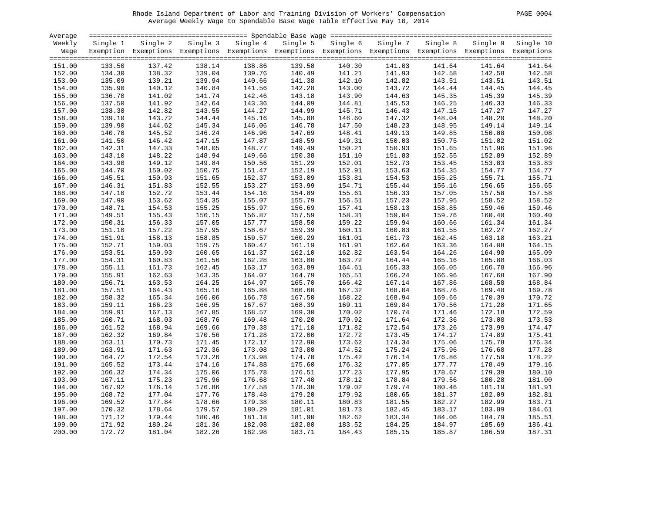#### Rhode Island Department of Labor and Training Division of Workers' Compensation PAGE 0004 Average Weekly Wage to Spendable Base Wage Table Effective May 10, 2014

| PAGE |  | 0004 |
|------|--|------|
|------|--|------|

| Average |          |                                                                                                                   |        |                   |        |                   |          |          |        |                    |
|---------|----------|-------------------------------------------------------------------------------------------------------------------|--------|-------------------|--------|-------------------|----------|----------|--------|--------------------|
| Weekly  | Single 1 | Single 2                                                                                                          |        | Single 3 Single 4 |        | Single 5 Single 6 | Single 7 | Single 8 |        | Single 9 Single 10 |
|         |          | Wage Exemption Exemptions Exemptions Exemptions Exemptions Exemptions Exemptions Exemptions Exemptions Exemptions |        |                   |        |                   |          |          |        |                    |
|         |          |                                                                                                                   |        |                   |        |                   |          |          |        |                    |
| 151.00  | 133.50   | 137.42                                                                                                            | 138.14 | 138.86            | 139.58 | 140.30            | 141.03   | 141.64   | 141.64 | 141.64             |
| 152.00  | 134.30   | 138.32                                                                                                            | 139.04 | 139.76            | 140.49 | 141.21            | 141.93   | 142.58   | 142.58 | 142.58             |
| 153.00  | 135.09   | 139.21                                                                                                            | 139.94 | 140.66            | 141.38 | 142.10            | 142.82   | 143.51   | 143.51 | 143.51             |
| 154.00  | 135.90   | 140.12                                                                                                            | 140.84 | 141.56            | 142.28 | 143.00            | 143.72   | 144.44   | 144.45 | 144.45             |
| 155.00  | 136.70   | 141.02                                                                                                            | 141.74 | 142.46            | 143.18 | 143.90            | 144.63   | 145.35   | 145.39 | 145.39             |
| 156.00  | 137.50   | 141.92                                                                                                            | 142.64 | 143.36            | 144.09 | 144.81            | 145.53   | 146.25   | 146.33 | 146.33             |
| 157.00  | 138.30   | 142.82                                                                                                            | 143.55 | 144.27            | 144.99 | 145.71            | 146.43   | 147.15   | 147.27 | 147.27             |
| 158.00  | 139.10   | 143.72                                                                                                            | 144.44 | 145.16            | 145.88 | 146.60            | 147.32   | 148.04   | 148.20 | 148.20             |
| 159.00  | 139.90   | 144.62                                                                                                            | 145.34 | 146.06            | 146.78 | 147.50            | 148.23   | 148.95   | 149.14 | 149.14             |
| 160.00  | 140.70   | 145.52                                                                                                            | 146.24 | 146.96            | 147.69 | 148.41            | 149.13   | 149.85   | 150.08 | 150.08             |
| 161.00  | 141.50   | 146.42                                                                                                            | 147.15 | 147.87            | 148.59 | 149.31            | 150.03   | 150.75   | 151.02 | 151.02             |
| 162.00  | 142.31   | 147.33                                                                                                            | 148.05 | 148.77            | 149.49 | 150.21            | 150.93   | 151.65   | 151.96 | 151.96             |
| 163.00  | 143.10   | 148.22                                                                                                            | 148.94 | 149.66            | 150.38 | 151.10            | 151.83   | 152.55   | 152.89 | 152.89             |
| 164.00  | 143.90   | 149.12                                                                                                            | 149.84 | 150.56            | 151.29 | 152.01            | 152.73   | 153.45   | 153.83 | 153.83             |
| 165.00  | 144.70   | 150.02                                                                                                            | 150.75 | 151.47            | 152.19 | 152.91            | 153.63   | 154.35   | 154.77 | 154.77             |
| 166.00  | 145.51   | 150.93                                                                                                            | 151.65 | 152.37            | 153.09 | 153.81            | 154.53   | 155.25   | 155.71 | 155.71             |
| 167.00  | 146.31   | 151.83                                                                                                            | 152.55 | 153.27            | 153.99 | 154.71            | 155.44   | 156.16   | 156.65 | 156.65             |
| 168.00  | 147.10   | 152.72                                                                                                            | 153.44 | 154.16            | 154.89 | 155.61            | 156.33   | 157.05   | 157.58 | 157.58             |
| 169.00  | 147.90   | 153.62                                                                                                            | 154.35 | 155.07            | 155.79 | 156.51            | 157.23   | 157.95   | 158.52 | 158.52             |
|         | 148.71   |                                                                                                                   |        | 155.97            |        |                   | 158.13   | 158.85   | 159.46 | 159.46             |
| 170.00  |          | 154.53                                                                                                            | 155.25 |                   | 156.69 | 157.41            |          |          |        |                    |
| 171.00  | 149.51   | 155.43                                                                                                            | 156.15 | 156.87            | 157.59 | 158.31            | 159.04   | 159.76   | 160.40 | 160.40             |
| 172.00  | 150.31   | 156.33                                                                                                            | 157.05 | 157.77            | 158.50 | 159.22            | 159.94   | 160.66   | 161.34 | 161.34             |
| 173.00  | 151.10   | 157.22                                                                                                            | 157.95 | 158.67            | 159.39 | 160.11            | 160.83   | 161.55   | 162.27 | 162.27             |
| 174.00  | 151.91   | 158.13                                                                                                            | 158.85 | 159.57            | 160.29 | 161.01            | 161.73   | 162.45   | 163.18 | 163.21             |
| 175.00  | 152.71   | 159.03                                                                                                            | 159.75 | 160.47            | 161.19 | 161.91            | 162.64   | 163.36   | 164.08 | 164.15             |
| 176.00  | 153.51   | 159.93                                                                                                            | 160.65 | 161.37            | 162.10 | 162.82            | 163.54   | 164.26   | 164.98 | 165.09             |
| 177.00  | 154.31   | 160.83                                                                                                            | 161.56 | 162.28            | 163.00 | 163.72            | 164.44   | 165.16   | 165.88 | 166.03             |
| 178.00  | 155.11   | 161.73                                                                                                            | 162.45 | 163.17            | 163.89 | 164.61            | 165.33   | 166.05   | 166.78 | 166.96             |
| 179.00  | 155.91   | 162.63                                                                                                            | 163.35 | 164.07            | 164.79 | 165.51            | 166.24   | 166.96   | 167.68 | 167.90             |
| 180.00  | 156.71   | 163.53                                                                                                            | 164.25 | 164.97            | 165.70 | 166.42            | 167.14   | 167.86   | 168.58 | 168.84             |
| 181.00  | 157.51   | 164.43                                                                                                            | 165.16 | 165.88            | 166.60 | 167.32            | 168.04   | 168.76   | 169.48 | 169.78             |
| 182.00  | 158.32   | 165.34                                                                                                            | 166.06 | 166.78            | 167.50 | 168.22            | 168.94   | 169.66   | 170.39 | 170.72             |
| 183.00  | 159.11   | 166.23                                                                                                            | 166.95 | 167.67            | 168.39 | 169.11            | 169.84   | 170.56   | 171.28 | 171.65             |
| 184.00  | 159.91   | 167.13                                                                                                            | 167.85 | 168.57            | 169.30 | 170.02            | 170.74   | 171.46   | 172.18 | 172.59             |
| 185.00  | 160.71   | 168.03                                                                                                            | 168.76 | 169.48            | 170.20 | 170.92            | 171.64   | 172.36   | 173.08 | 173.53             |
| 186.00  | 161.52   | 168.94                                                                                                            | 169.66 | 170.38            | 171.10 | 171.82            | 172.54   | 173.26   | 173.99 | 174.47             |
| 187.00  | 162.32   | 169.84                                                                                                            | 170.56 | 171.28            | 172.00 | 172.72            | 173.45   | 174.17   | 174.89 | 175.41             |
| 188.00  | 163.11   | 170.73                                                                                                            | 171.45 | 172.17            | 172.90 | 173.62            | 174.34   | 175.06   | 175.78 | 176.34             |
| 189.00  | 163.91   | 171.63                                                                                                            | 172.36 | 173.08            | 173.80 | 174.52            | 175.24   | 175.96   | 176.68 | 177.28             |
| 190.00  | 164.72   | 172.54                                                                                                            | 173.26 | 173.98            | 174.70 | 175.42            | 176.14   | 176.86   | 177.59 | 178.22             |
| 191.00  | 165.52   | 173.44                                                                                                            | 174.16 | 174.88            | 175.60 | 176.32            | 177.05   | 177.77   | 178.49 | 179.16             |
| 192.00  | 166.32   | 174.34                                                                                                            | 175.06 | 175.78            | 176.51 | 177.23            | 177.95   | 178.67   | 179.39 | 180.10             |
| 193.00  | 167.11   | 175.23                                                                                                            | 175.96 | 176.68            | 177.40 | 178.12            | 178.84   | 179.56   | 180.28 | 181.00             |
| 194.00  | 167.92   | 176.14                                                                                                            | 176.86 | 177.58            | 178.30 | 179.02            | 179.74   | 180.46   | 181.19 | 181.91             |
| 195.00  | 168.72   | 177.04                                                                                                            | 177.76 | 178.48            | 179.20 | 179.92            | 180.65   | 181.37   | 182.09 | 182.81             |
| 196.00  | 169.52   | 177.84                                                                                                            | 178.66 | 179.38            | 180.11 | 180.83            | 181.55   | 182.27   | 182.99 | 183.71             |
| 197.00  | 170.32   | 178.64                                                                                                            | 179.57 | 180.29            | 181.01 | 181.73            | 182.45   | 183.17   | 183.89 | 184.61             |
| 198.00  | 171.12   | 179.44                                                                                                            | 180.46 | 181.18            | 181.90 | 182.62            | 183.34   | 184.06   | 184.79 | 185.51             |
| 199.00  | 171.92   | 180.24                                                                                                            | 181.36 | 182.08            | 182.80 | 183.52            | 184.25   | 184.97   | 185.69 | 186.41             |
| 200.00  | 172.72   | 181.04                                                                                                            | 182.26 | 182.98            | 183.71 | 184.43            | 185.15   | 185.87   | 186.59 | 187.31             |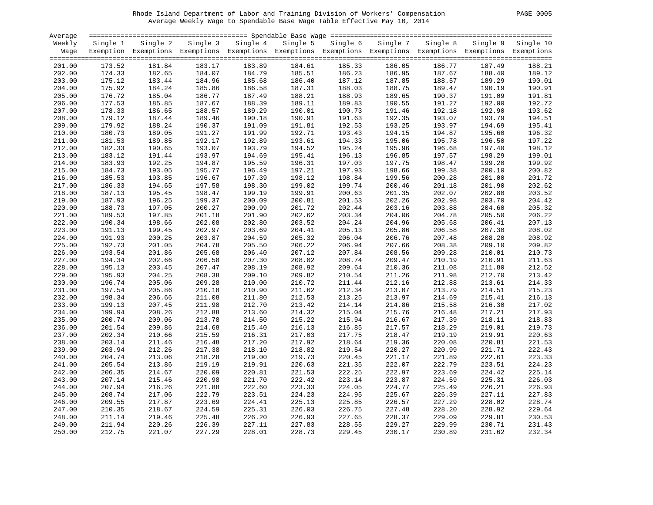#### Rhode Island Department of Labor and Training Division of Workers' Compensation PAGE 0005 Average Weekly Wage to Spendable Base Wage Table Effective May 10, 2014

| PAGE<br>0005 |  |  |
|--------------|--|--|
|--------------|--|--|

| Average |          |                                                                                                              |          |          |          |          |          |          |          |           |
|---------|----------|--------------------------------------------------------------------------------------------------------------|----------|----------|----------|----------|----------|----------|----------|-----------|
| Weekly  | Single 1 | Single 2                                                                                                     | Single 3 | Single 4 | Single 5 | Single 6 | Single 7 | Single 8 | Single 9 | Single 10 |
| Wage    |          | Exemption Exemptions Exemptions Exemptions Exemptions Exemptions Exemptions Exemptions Exemptions Exemptions |          |          |          |          |          |          |          |           |
|         |          |                                                                                                              |          |          |          |          |          |          |          |           |
| 201.00  | 173.52   | 181.84                                                                                                       | 183.17   | 183.89   | 184.61   | 185.33   | 186.05   | 186.77   | 187.49   | 188.21    |
| 202.00  | 174.33   | 182.65                                                                                                       | 184.07   | 184.79   | 185.51   | 186.23   | 186.95   | 187.67   | 188.40   | 189.12    |
|         |          |                                                                                                              |          |          |          |          |          |          |          |           |
| 203.00  | 175.12   | 183.44                                                                                                       | 184.96   | 185.68   | 186.40   | 187.12   | 187.85   | 188.57   | 189.29   | 190.01    |
| 204.00  | 175.92   | 184.24                                                                                                       | 185.86   | 186.58   | 187.31   | 188.03   | 188.75   | 189.47   | 190.19   | 190.91    |
| 205.00  | 176.72   | 185.04                                                                                                       | 186.77   | 187.49   | 188.21   | 188.93   | 189.65   | 190.37   | 191.09   | 191.81    |
| 206.00  | 177.53   | 185.85                                                                                                       | 187.67   | 188.39   | 189.11   | 189.83   | 190.55   | 191.27   | 192.00   | 192.72    |
| 207.00  | 178.33   | 186.65                                                                                                       | 188.57   | 189.29   | 190.01   | 190.73   | 191.46   | 192.18   | 192.90   | 193.62    |
| 208.00  | 179.12   | 187.44                                                                                                       | 189.46   | 190.18   | 190.91   | 191.63   | 192.35   | 193.07   | 193.79   | 194.51    |
| 209.00  | 179.92   | 188.24                                                                                                       | 190.37   | 191.09   | 191.81   | 192.53   | 193.25   | 193.97   | 194.69   | 195.41    |
| 210.00  | 180.73   | 189.05                                                                                                       | 191.27   | 191.99   | 192.71   | 193.43   | 194.15   | 194.87   | 195.60   | 196.32    |
| 211.00  | 181.53   | 189.85                                                                                                       | 192.17   | 192.89   | 193.61   | 194.33   | 195.06   | 195.78   | 196.50   | 197.22    |
| 212.00  | 182.33   | 190.65                                                                                                       | 193.07   | 193.79   | 194.52   | 195.24   | 195.96   | 196.68   | 197.40   | 198.12    |
| 213.00  | 183.12   | 191.44                                                                                                       | 193.97   | 194.69   | 195.41   | 196.13   | 196.85   | 197.57   | 198.29   | 199.01    |
| 214.00  | 183.93   | 192.25                                                                                                       | 194.87   | 195.59   | 196.31   | 197.03   | 197.75   | 198.47   | 199.20   | 199.92    |
| 215.00  | 184.73   | 193.05                                                                                                       | 195.77   | 196.49   | 197.21   | 197.93   | 198.66   | 199.38   | 200.10   | 200.82    |
| 216.00  | 185.53   | 193.85                                                                                                       | 196.67   | 197.39   | 198.12   | 198.84   | 199.56   | 200.28   | 201.00   | 201.72    |
| 217.00  | 186.33   | 194.65                                                                                                       | 197.58   | 198.30   | 199.02   | 199.74   | 200.46   | 201.18   | 201.90   | 202.62    |
| 218.00  | 187.13   | 195.45                                                                                                       | 198.47   | 199.19   | 199.91   | 200.63   | 201.35   | 202.07   | 202.80   | 203.52    |
| 219.00  | 187.93   | 196.25                                                                                                       | 199.37   | 200.09   | 200.81   | 201.53   | 202.26   | 202.98   | 203.70   | 204.42    |
| 220.00  | 188.73   | 197.05                                                                                                       | 200.27   | 200.99   | 201.72   | 202.44   | 203.16   | 203.88   |          |           |
|         |          |                                                                                                              |          |          |          |          |          |          | 204.60   | 205.32    |
| 221.00  | 189.53   | 197.85                                                                                                       | 201.18   | 201.90   | 202.62   | 203.34   | 204.06   | 204.78   | 205.50   | 206.22    |
| 222.00  | 190.34   | 198.66                                                                                                       | 202.08   | 202.80   | 203.52   | 204.24   | 204.96   | 205.68   | 206.41   | 207.13    |
| 223.00  | 191.13   | 199.45                                                                                                       | 202.97   | 203.69   | 204.41   | 205.13   | 205.86   | 206.58   | 207.30   | 208.02    |
| 224.00  | 191.93   | 200.25                                                                                                       | 203.87   | 204.59   | 205.32   | 206.04   | 206.76   | 207.48   | 208.20   | 208.92    |
| 225.00  | 192.73   | 201.05                                                                                                       | 204.78   | 205.50   | 206.22   | 206.94   | 207.66   | 208.38   | 209.10   | 209.82    |
| 226.00  | 193.54   | 201.86                                                                                                       | 205.68   | 206.40   | 207.12   | 207.84   | 208.56   | 209.28   | 210.01   | 210.73    |
| 227.00  | 194.34   | 202.66                                                                                                       | 206.58   | 207.30   | 208.02   | 208.74   | 209.47   | 210.19   | 210.91   | 211.63    |
| 228.00  | 195.13   | 203.45                                                                                                       | 207.47   | 208.19   | 208.92   | 209.64   | 210.36   | 211.08   | 211.80   | 212.52    |
| 229.00  | 195.93   | 204.25                                                                                                       | 208.38   | 209.10   | 209.82   | 210.54   | 211.26   | 211.98   | 212.70   | 213.42    |
| 230.00  | 196.74   | 205.06                                                                                                       | 209.28   | 210.00   | 210.72   | 211.44   | 212.16   | 212.88   | 213.61   | 214.33    |
| 231.00  | 197.54   | 205.86                                                                                                       | 210.18   | 210.90   | 211.62   | 212.34   | 213.07   | 213.79   | 214.51   | 215.23    |
| 232.00  | 198.34   | 206.66                                                                                                       | 211.08   | 211.80   | 212.53   | 213.25   | 213.97   | 214.69   | 215.41   | 216.13    |
| 233.00  | 199.13   | 207.45                                                                                                       | 211.98   | 212.70   | 213.42   | 214.14   | 214.86   | 215.58   | 216.30   | 217.02    |
| 234.00  | 199.94   | 208.26                                                                                                       | 212.88   | 213.60   | 214.32   | 215.04   | 215.76   | 216.48   | 217.21   | 217.93    |
| 235.00  | 200.74   | 209.06                                                                                                       | 213.78   | 214.50   | 215.22   | 215.94   | 216.67   | 217.39   | 218.11   | 218.83    |
| 236.00  | 201.54   | 209.86                                                                                                       | 214.68   | 215.40   | 216.13   | 216.85   | 217.57   | 218.29   | 219.01   | 219.73    |
| 237.00  | 202.34   | 210.66                                                                                                       | 215.59   | 216.31   | 217.03   | 217.75   | 218.47   | 219.19   | 219.91   | 220.63    |
| 238.00  | 203.14   | 211.46                                                                                                       | 216.48   | 217.20   | 217.92   | 218.64   | 219.36   | 220.08   | 220.81   | 221.53    |
| 239.00  | 203.94   | 212.26                                                                                                       | 217.38   | 218.10   | 218.82   | 219.54   | 220.27   | 220.99   | 221.71   | 222.43    |
| 240.00  | 204.74   | 213.06                                                                                                       | 218.28   | 219.00   | 219.73   | 220.45   | 221.17   | 221.89   | 222.61   | 223.33    |
| 241.00  | 205.54   | 213.86                                                                                                       | 219.19   | 219.91   | 220.63   | 221.35   | 222.07   | 222.79   | 223.51   | 224.23    |
| 242.00  | 206.35   | 214.67                                                                                                       | 220.09   | 220.81   | 221.53   | 222.25   | 222.97   | 223.69   | 224.42   | 225.14    |
| 243.00  | 207.14   | 215.46                                                                                                       | 220.98   | 221.70   | 222.42   | 223.14   | 223.87   | 224.59   | 225.31   | 226.03    |
| 244.00  | 207.94   | 216.26                                                                                                       | 221.88   | 222.60   | 223.33   | 224.05   | 224.77   | 225.49   | 226.21   | 226.93    |
| 245.00  | 208.74   | 217.06                                                                                                       | 222.79   | 223.51   | 224.23   | 224.95   | 225.67   | 226.39   | 227.11   | 227.83    |
| 246.00  | 209.55   | 217.87                                                                                                       | 223.69   | 224.41   | 225.13   | 225.85   | 226.57   | 227.29   | 228.02   | 228.74    |
|         |          |                                                                                                              |          |          |          |          |          |          |          | 229.64    |
| 247.00  | 210.35   | 218.67                                                                                                       | 224.59   | 225.31   | 226.03   | 226.75   | 227.48   | 228.20   | 228.92   |           |
| 248.00  | 211.14   | 219.46                                                                                                       | 225.48   | 226.20   | 226.93   | 227.65   | 228.37   | 229.09   | 229.81   | 230.53    |
| 249.00  | 211.94   | 220.26                                                                                                       | 226.39   | 227.11   | 227.83   | 228.55   | 229.27   | 229.99   | 230.71   | 231.43    |
| 250.00  | 212.75   | 221.07                                                                                                       | 227.29   | 228.01   | 228.73   | 229.45   | 230.17   | 230.89   | 231.62   | 232.34    |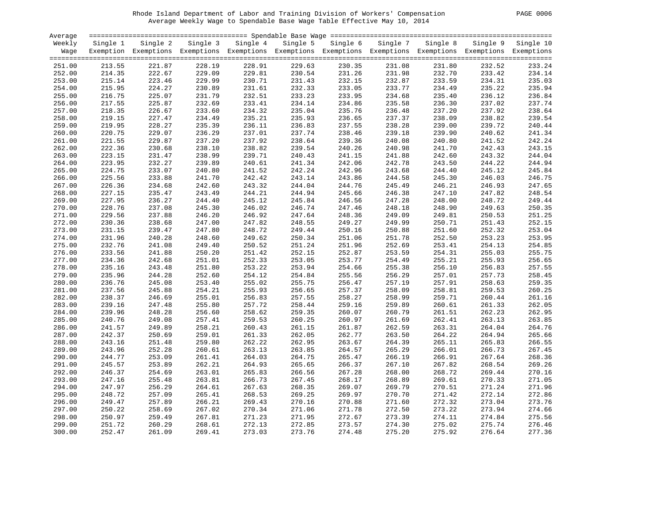#### Rhode Island Department of Labor and Training Division of Workers' Compensation PAGE 0006 Average Weekly Wage to Spendable Base Wage Table Effective May 10, 2014

| PAGE<br>- 0006 |  |  |
|----------------|--|--|
|----------------|--|--|

| Average |          |                                                                                                              |          |          |          |          |          |          |          | $=$ $=$ $=$ $=$ |
|---------|----------|--------------------------------------------------------------------------------------------------------------|----------|----------|----------|----------|----------|----------|----------|-----------------|
| Weekly  | Single 1 | Single 2                                                                                                     | Single 3 | Single 4 | Single 5 | Single 6 | Single 7 | Single 8 | Single 9 | Single 10       |
| Wage    |          | Exemption Exemptions Exemptions Exemptions Exemptions Exemptions Exemptions Exemptions Exemptions Exemptions |          |          |          |          |          |          |          |                 |
|         |          |                                                                                                              |          |          |          |          |          |          |          |                 |
| 251.00  | 213.55   | 221.87                                                                                                       | 228.19   | 228.91   | 229.63   | 230.35   | 231.08   | 231.80   | 232.52   | 233.24          |
| 252.00  | 214.35   | 222.67                                                                                                       | 229.09   | 229.81   | 230.54   | 231.26   | 231.98   | 232.70   | 233.42   | 234.14          |
|         |          |                                                                                                              |          |          |          |          |          |          |          | 235.03          |
| 253.00  | 215.14   | 223.46                                                                                                       | 229.99   | 230.71   | 231.43   | 232.15   | 232.87   | 233.59   | 234.31   |                 |
| 254.00  | 215.95   | 224.27                                                                                                       | 230.89   | 231.61   | 232.33   | 233.05   | 233.77   | 234.49   | 235.22   | 235.94          |
| 255.00  | 216.75   | 225.07                                                                                                       | 231.79   | 232.51   | 233.23   | 233.95   | 234.68   | 235.40   | 236.12   | 236.84          |
| 256.00  | 217.55   | 225.87                                                                                                       | 232.69   | 233.41   | 234.14   | 234.86   | 235.58   | 236.30   | 237.02   | 237.74          |
| 257.00  | 218.35   | 226.67                                                                                                       | 233.60   | 234.32   | 235.04   | 235.76   | 236.48   | 237.20   | 237.92   | 238.64          |
| 258.00  | 219.15   | 227.47                                                                                                       | 234.49   | 235.21   | 235.93   | 236.65   | 237.37   | 238.09   | 238.82   | 239.54          |
| 259.00  | 219.95   | 228.27                                                                                                       | 235.39   | 236.11   | 236.83   | 237.55   | 238.28   | 239.00   | 239.72   | 240.44          |
| 260.00  | 220.75   | 229.07                                                                                                       | 236.29   | 237.01   | 237.74   | 238.46   | 239.18   | 239.90   | 240.62   | 241.34          |
| 261.00  | 221.55   | 229.87                                                                                                       | 237.20   | 237.92   | 238.64   | 239.36   | 240.08   | 240.80   | 241.52   | 242.24          |
| 262.00  | 222.36   | 230.68                                                                                                       | 238.10   | 238.82   | 239.54   | 240.26   | 240.98   | 241.70   | 242.43   | 243.15          |
| 263.00  | 223.15   | 231.47                                                                                                       | 238.99   | 239.71   | 240.43   | 241.15   | 241.88   | 242.60   | 243.32   | 244.04          |
| 264.00  | 223.95   | 232.27                                                                                                       | 239.89   | 240.61   | 241.34   | 242.06   | 242.78   | 243.50   | 244.22   | 244.94          |
| 265.00  | 224.75   | 233.07                                                                                                       | 240.80   | 241.52   | 242.24   | 242.96   | 243.68   | 244.40   | 245.12   | 245.84          |
| 266.00  | 225.56   | 233.88                                                                                                       | 241.70   | 242.42   | 243.14   | 243.86   | 244.58   | 245.30   | 246.03   | 246.75          |
| 267.00  | 226.36   | 234.68                                                                                                       | 242.60   | 243.32   | 244.04   | 244.76   | 245.49   | 246.21   | 246.93   | 247.65          |
| 268.00  | 227.15   | 235.47                                                                                                       | 243.49   | 244.21   | 244.94   | 245.66   | 246.38   | 247.10   | 247.82   | 248.54          |
| 269.00  | 227.95   | 236.27                                                                                                       | 244.40   | 245.12   | 245.84   | 246.56   | 247.28   | 248.00   | 248.72   | 249.44          |
| 270.00  | 228.76   | 237.08                                                                                                       | 245.30   | 246.02   | 246.74   | 247.46   | 248.18   | 248.90   | 249.63   | 250.35          |
|         |          |                                                                                                              |          | 246.92   |          |          |          |          |          |                 |
| 271.00  | 229.56   | 237.88                                                                                                       | 246.20   |          | 247.64   | 248.36   | 249.09   | 249.81   | 250.53   | 251.25          |
| 272.00  | 230.36   | 238.68                                                                                                       | 247.00   | 247.82   | 248.55   | 249.27   | 249.99   | 250.71   | 251.43   | 252.15          |
| 273.00  | 231.15   | 239.47                                                                                                       | 247.80   | 248.72   | 249.44   | 250.16   | 250.88   | 251.60   | 252.32   | 253.04          |
| 274.00  | 231.96   | 240.28                                                                                                       | 248.60   | 249.62   | 250.34   | 251.06   | 251.78   | 252.50   | 253.23   | 253.95          |
| 275.00  | 232.76   | 241.08                                                                                                       | 249.40   | 250.52   | 251.24   | 251.96   | 252.69   | 253.41   | 254.13   | 254.85          |
| 276.00  | 233.56   | 241.88                                                                                                       | 250.20   | 251.42   | 252.15   | 252.87   | 253.59   | 254.31   | 255.03   | 255.75          |
| 277.00  | 234.36   | 242.68                                                                                                       | 251.01   | 252.33   | 253.05   | 253.77   | 254.49   | 255.21   | 255.93   | 256.65          |
| 278.00  | 235.16   | 243.48                                                                                                       | 251.80   | 253.22   | 253.94   | 254.66   | 255.38   | 256.10   | 256.83   | 257.55          |
| 279.00  | 235.96   | 244.28                                                                                                       | 252.60   | 254.12   | 254.84   | 255.56   | 256.29   | 257.01   | 257.73   | 258.45          |
| 280.00  | 236.76   | 245.08                                                                                                       | 253.40   | 255.02   | 255.75   | 256.47   | 257.19   | 257.91   | 258.63   | 259.35          |
| 281.00  | 237.56   | 245.88                                                                                                       | 254.21   | 255.93   | 256.65   | 257.37   | 258.09   | 258.81   | 259.53   | 260.25          |
| 282.00  | 238.37   | 246.69                                                                                                       | 255.01   | 256.83   | 257.55   | 258.27   | 258.99   | 259.71   | 260.44   | 261.16          |
| 283.00  | 239.16   | 247.48                                                                                                       | 255.80   | 257.72   | 258.44   | 259.16   | 259.89   | 260.61   | 261.33   | 262.05          |
| 284.00  | 239.96   | 248.28                                                                                                       | 256.60   | 258.62   | 259.35   | 260.07   | 260.79   | 261.51   | 262.23   | 262.95          |
| 285.00  | 240.76   | 249.08                                                                                                       | 257.41   | 259.53   | 260.25   | 260.97   | 261.69   | 262.41   | 263.13   | 263.85          |
| 286.00  | 241.57   | 249.89                                                                                                       | 258.21   | 260.43   | 261.15   | 261.87   | 262.59   | 263.31   | 264.04   | 264.76          |
| 287.00  | 242.37   | 250.69                                                                                                       | 259.01   | 261.33   | 262.05   | 262.77   | 263.50   | 264.22   | 264.94   | 265.66          |
| 288.00  | 243.16   | 251.48                                                                                                       | 259.80   | 262.22   | 262.95   | 263.67   | 264.39   | 265.11   | 265.83   | 266.55          |
| 289.00  | 243.96   | 252.28                                                                                                       | 260.61   | 263.13   | 263.85   | 264.57   | 265.29   | 266.01   | 266.73   | 267.45          |
| 290.00  | 244.77   | 253.09                                                                                                       | 261.41   | 264.03   | 264.75   | 265.47   | 266.19   | 266.91   | 267.64   | 268.36          |
| 291.00  | 245.57   | 253.89                                                                                                       | 262.21   | 264.93   | 265.65   | 266.37   | 267.10   | 267.82   | 268.54   | 269.26          |
| 292.00  | 246.37   | 254.69                                                                                                       | 263.01   | 265.83   | 266.56   | 267.28   | 268.00   | 268.72   | 269.44   | 270.16          |
|         |          |                                                                                                              |          |          |          |          |          |          |          |                 |
| 293.00  | 247.16   | 255.48                                                                                                       | 263.81   | 266.73   | 267.45   | 268.17   | 268.89   | 269.61   | 270.33   | 271.05          |
| 294.00  | 247.97   | 256.29                                                                                                       | 264.61   | 267.63   | 268.35   | 269.07   | 269.79   | 270.51   | 271.24   | 271.96          |
| 295.00  | 248.72   | 257.09                                                                                                       | 265.41   | 268.53   | 269.25   | 269.97   | 270.70   | 271.42   | 272.14   | 272.86          |
| 296.00  | 249.47   | 257.89                                                                                                       | 266.21   | 269.43   | 270.16   | 270.88   | 271.60   | 272.32   | 273.04   | 273.76          |
| 297.00  | 250.22   | 258.69                                                                                                       | 267.02   | 270.34   | 271.06   | 271.78   | 272.50   | 273.22   | 273.94   | 274.66          |
| 298.00  | 250.97   | 259.49                                                                                                       | 267.81   | 271.23   | 271.95   | 272.67   | 273.39   | 274.11   | 274.84   | 275.56          |
| 299.00  | 251.72   | 260.29                                                                                                       | 268.61   | 272.13   | 272.85   | 273.57   | 274.30   | 275.02   | 275.74   | 276.46          |
| 300.00  | 252.47   | 261.09                                                                                                       | 269.41   | 273.03   | 273.76   | 274.48   | 275.20   | 275.92   | 276.64   | 277.36          |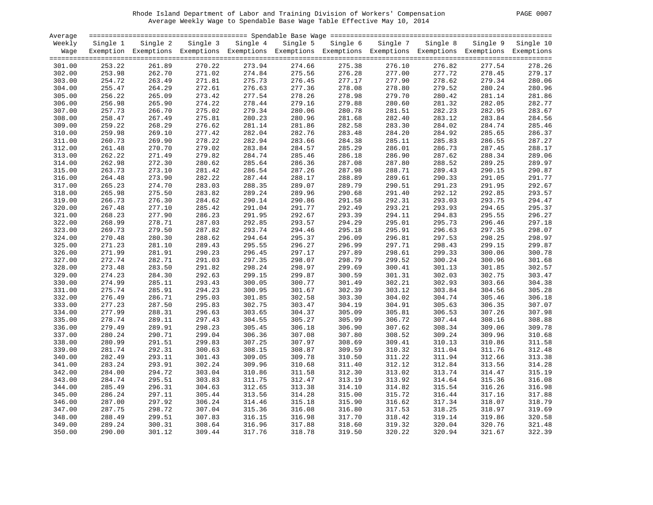#### Rhode Island Department of Labor and Training Division of Workers' Compensation PAGE 0007 Average Weekly Wage to Spendable Base Wage Table Effective May 10, 2014

| PAGE 0007 |  |  |
|-----------|--|--|
|-----------|--|--|

| Average |          |                                                                                                              |          |          |          |          |          |          |          |           |
|---------|----------|--------------------------------------------------------------------------------------------------------------|----------|----------|----------|----------|----------|----------|----------|-----------|
| Weekly  | Single 1 | Single 2                                                                                                     | Single 3 | Single 4 | Single 5 | Single 6 | Single 7 | Single 8 | Single 9 | Single 10 |
| Wage    |          | Exemption Exemptions Exemptions Exemptions Exemptions Exemptions Exemptions Exemptions Exemptions Exemptions |          |          |          |          |          |          |          |           |
|         |          |                                                                                                              |          |          |          |          |          |          |          |           |
| 301.00  | 253.22   | 261.89                                                                                                       | 270.22   | 273.94   | 274.66   | 275.38   | 276.10   | 276.82   | 277.54   | 278.26    |
| 302.00  | 253.98   | 262.70                                                                                                       | 271.02   | 274.84   | 275.56   | 276.28   | 277.00   | 277.72   | 278.45   | 279.17    |
| 303.00  | 254.72   | 263.49                                                                                                       | 271.81   | 275.73   | 276.45   | 277.17   | 277.90   | 278.62   | 279.34   | 280.06    |
| 304.00  | 255.47   | 264.29                                                                                                       | 272.61   | 276.63   | 277.36   | 278.08   | 278.80   | 279.52   | 280.24   | 280.96    |
| 305.00  | 256.22   | 265.09                                                                                                       | 273.42   | 277.54   | 278.26   | 278.98   | 279.70   | 280.42   | 281.14   | 281.86    |
| 306.00  | 256.98   | 265.90                                                                                                       | 274.22   | 278.44   | 279.16   | 279.88   | 280.60   | 281.32   | 282.05   | 282.77    |
| 307.00  | 257.73   | 266.70                                                                                                       | 275.02   | 279.34   | 280.06   | 280.78   | 281.51   | 282.23   | 282.95   | 283.67    |
| 308.00  | 258.47   | 267.49                                                                                                       | 275.81   | 280.23   | 280.96   | 281.68   | 282.40   | 283.12   | 283.84   | 284.56    |
| 309.00  | 259.22   | 268.29                                                                                                       | 276.62   | 281.14   | 281.86   | 282.58   | 283.30   | 284.02   | 284.74   | 285.46    |
| 310.00  | 259.98   | 269.10                                                                                                       | 277.42   | 282.04   | 282.76   | 283.48   | 284.20   | 284.92   | 285.65   | 286.37    |
| 311.00  | 260.73   | 269.90                                                                                                       | 278.22   | 282.94   | 283.66   | 284.38   | 285.11   | 285.83   | 286.55   | 287.27    |
| 312.00  | 261.48   | 270.70                                                                                                       | 279.02   | 283.84   | 284.57   | 285.29   | 286.01   | 286.73   | 287.45   | 288.17    |
| 313.00  | 262.22   | 271.49                                                                                                       | 279.82   | 284.74   | 285.46   | 286.18   | 286.90   | 287.62   | 288.34   | 289.06    |
| 314.00  | 262.98   | 272.30                                                                                                       | 280.62   | 285.64   | 286.36   | 287.08   | 287.80   | 288.52   | 289.25   | 289.97    |
| 315.00  | 263.73   | 273.10                                                                                                       | 281.42   | 286.54   | 287.26   | 287.98   | 288.71   | 289.43   | 290.15   | 290.87    |
| 316.00  | 264.48   | 273.90                                                                                                       | 282.22   | 287.44   | 288.17   | 288.89   | 289.61   | 290.33   | 291.05   | 291.77    |
| 317.00  | 265.23   | 274.70                                                                                                       | 283.03   | 288.35   | 289.07   | 289.79   | 290.51   | 291.23   | 291.95   | 292.67    |
| 318.00  | 265.98   | 275.50                                                                                                       | 283.82   | 289.24   | 289.96   | 290.68   | 291.40   | 292.12   | 292.85   | 293.57    |
| 319.00  | 266.73   | 276.30                                                                                                       | 284.62   | 290.14   | 290.86   | 291.58   | 292.31   | 293.03   | 293.75   | 294.47    |
| 320.00  | 267.48   | 277.10                                                                                                       | 285.42   | 291.04   | 291.77   | 292.49   | 293.21   | 293.93   | 294.65   | 295.37    |
|         |          |                                                                                                              |          |          |          |          |          | 294.83   |          |           |
| 321.00  | 268.23   | 277.90                                                                                                       | 286.23   | 291.95   | 292.67   | 293.39   | 294.11   |          | 295.55   | 296.27    |
| 322.00  | 268.99   | 278.71                                                                                                       | 287.03   | 292.85   | 293.57   | 294.29   | 295.01   | 295.73   | 296.46   | 297.18    |
| 323.00  | 269.73   | 279.50                                                                                                       | 287.82   | 293.74   | 294.46   | 295.18   | 295.91   | 296.63   | 297.35   | 298.07    |
| 324.00  | 270.48   | 280.30                                                                                                       | 288.62   | 294.64   | 295.37   | 296.09   | 296.81   | 297.53   | 298.25   | 298.97    |
| 325.00  | 271.23   | 281.10                                                                                                       | 289.43   | 295.55   | 296.27   | 296.99   | 297.71   | 298.43   | 299.15   | 299.87    |
| 326.00  | 271.99   | 281.91                                                                                                       | 290.23   | 296.45   | 297.17   | 297.89   | 298.61   | 299.33   | 300.06   | 300.78    |
| 327.00  | 272.74   | 282.71                                                                                                       | 291.03   | 297.35   | 298.07   | 298.79   | 299.52   | 300.24   | 300.96   | 301.68    |
| 328.00  | 273.48   | 283.50                                                                                                       | 291.82   | 298.24   | 298.97   | 299.69   | 300.41   | 301.13   | 301.85   | 302.57    |
| 329.00  | 274.23   | 284.30                                                                                                       | 292.63   | 299.15   | 299.87   | 300.59   | 301.31   | 302.03   | 302.75   | 303.47    |
| 330.00  | 274.99   | 285.11                                                                                                       | 293.43   | 300.05   | 300.77   | 301.49   | 302.21   | 302.93   | 303.66   | 304.38    |
| 331.00  | 275.74   | 285.91                                                                                                       | 294.23   | 300.95   | 301.67   | 302.39   | 303.12   | 303.84   | 304.56   | 305.28    |
| 332.00  | 276.49   | 286.71                                                                                                       | 295.03   | 301.85   | 302.58   | 303.30   | 304.02   | 304.74   | 305.46   | 306.18    |
| 333.00  | 277.23   | 287.50                                                                                                       | 295.83   | 302.75   | 303.47   | 304.19   | 304.91   | 305.63   | 306.35   | 307.07    |
| 334.00  | 277.99   | 288.31                                                                                                       | 296.63   | 303.65   | 304.37   | 305.09   | 305.81   | 306.53   | 307.26   | 307.98    |
| 335.00  | 278.74   | 289.11                                                                                                       | 297.43   | 304.55   | 305.27   | 305.99   | 306.72   | 307.44   | 308.16   | 308.88    |
| 336.00  | 279.49   | 289.91                                                                                                       | 298.23   | 305.45   | 306.18   | 306.90   | 307.62   | 308.34   | 309.06   | 309.78    |
| 337.00  | 280.24   | 290.71                                                                                                       | 299.04   | 306.36   | 307.08   | 307.80   | 308.52   | 309.24   | 309.96   | 310.68    |
| 338.00  | 280.99   | 291.51                                                                                                       | 299.83   | 307.25   | 307.97   | 308.69   | 309.41   | 310.13   | 310.86   | 311.58    |
| 339.00  | 281.74   | 292.31                                                                                                       | 300.63   | 308.15   | 308.87   | 309.59   | 310.32   | 311.04   | 311.76   | 312.48    |
| 340.00  | 282.49   | 293.11                                                                                                       | 301.43   | 309.05   | 309.78   | 310.50   | 311.22   | 311.94   | 312.66   | 313.38    |
| 341.00  | 283.24   | 293.91                                                                                                       | 302.24   | 309.96   | 310.68   | 311.40   | 312.12   | 312.84   | 313.56   | 314.28    |
| 342.00  | 284.00   | 294.72                                                                                                       | 303.04   | 310.86   | 311.58   | 312.30   | 313.02   | 313.74   | 314.47   | 315.19    |
| 343.00  | 284.74   | 295.51                                                                                                       | 303.83   | 311.75   | 312.47   | 313.19   | 313.92   | 314.64   | 315.36   | 316.08    |
| 344.00  | 285.49   | 296.31                                                                                                       | 304.63   | 312.65   | 313.38   | 314.10   | 314.82   | 315.54   | 316.26   | 316.98    |
| 345.00  | 286.24   | 297.11                                                                                                       | 305.44   | 313.56   | 314.28   | 315.00   | 315.72   | 316.44   | 317.16   | 317.88    |
| 346.00  | 287.00   | 297.92                                                                                                       | 306.24   | 314.46   | 315.18   | 315.90   | 316.62   | 317.34   | 318.07   | 318.79    |
| 347.00  | 287.75   | 298.72                                                                                                       | 307.04   | 315.36   | 316.08   | 316.80   | 317.53   | 318.25   | 318.97   | 319.69    |
| 348.00  | 288.49   | 299.51                                                                                                       | 307.83   | 316.15   | 316.98   | 317.70   | 318.42   | 319.14   | 319.86   | 320.58    |
| 349.00  | 289.24   | 300.31                                                                                                       | 308.64   | 316.96   | 317.88   | 318.60   | 319.32   | 320.04   | 320.76   | 321.48    |
| 350.00  | 290.00   | 301.12                                                                                                       | 309.44   | 317.76   | 318.78   | 319.50   | 320.22   | 320.94   | 321.67   | 322.39    |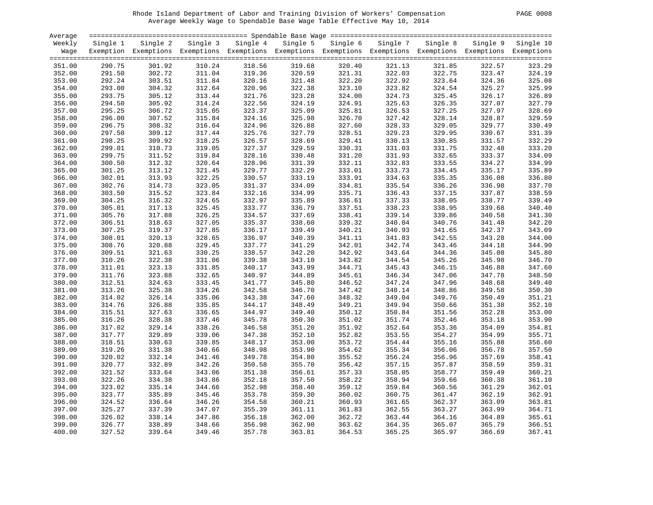#### Rhode Island Department of Labor and Training Division of Workers' Compensation PAGE 0008 Average Weekly Wage to Spendable Base Wage Table Effective May 10, 2014

| PAGE<br>- 0008 |  |  |  |
|----------------|--|--|--|
|----------------|--|--|--|

| Average |          |                                                                                                              |          |          |          |          |          |          |          |           |
|---------|----------|--------------------------------------------------------------------------------------------------------------|----------|----------|----------|----------|----------|----------|----------|-----------|
| Weekly  | Single 1 | Single 2                                                                                                     | Single 3 | Single 4 | Single 5 | Single 6 | Single 7 | Single 8 | Single 9 | Single 10 |
| Wage    |          | Exemption Exemptions Exemptions Exemptions Exemptions Exemptions Exemptions Exemptions Exemptions Exemptions |          |          |          |          |          |          |          |           |
|         |          |                                                                                                              |          |          |          |          |          |          |          |           |
| 351.00  | 290.75   | 301.92                                                                                                       | 310.24   | 318.56   | 319.68   | 320.40   | 321.13   | 321.85   | 322.57   | 323.29    |
| 352.00  | 291.50   | 302.72                                                                                                       | 311.04   | 319.36   | 320.59   | 321.31   | 322.03   | 322.75   | 323.47   | 324.19    |
|         |          |                                                                                                              |          |          |          |          |          |          |          |           |
| 353.00  | 292.24   | 303.51                                                                                                       | 311.84   | 320.16   | 321.48   | 322.20   | 322.92   | 323.64   | 324.36   | 325.08    |
| 354.00  | 293.00   | 304.32                                                                                                       | 312.64   | 320.96   | 322.38   | 323.10   | 323.82   | 324.54   | 325.27   | 325.99    |
| 355.00  | 293.75   | 305.12                                                                                                       | 313.44   | 321.76   | 323.28   | 324.00   | 324.73   | 325.45   | 326.17   | 326.89    |
| 356.00  | 294.50   | 305.92                                                                                                       | 314.24   | 322.56   | 324.19   | 324.91   | 325.63   | 326.35   | 327.07   | 327.79    |
| 357.00  | 295.25   | 306.72                                                                                                       | 315.05   | 323.37   | 325.09   | 325.81   | 326.53   | 327.25   | 327.97   | 328.69    |
| 358.00  | 296.00   | 307.52                                                                                                       | 315.84   | 324.16   | 325.98   | 326.70   | 327.42   | 328.14   | 328.87   | 329.59    |
| 359.00  | 296.75   | 308.32                                                                                                       | 316.64   | 324.96   | 326.88   | 327.60   | 328.33   | 329.05   | 329.77   | 330.49    |
| 360.00  | 297.50   | 309.12                                                                                                       | 317.44   | 325.76   | 327.79   | 328.51   | 329.23   | 329.95   | 330.67   | 331.39    |
| 361.00  | 298.25   | 309.92                                                                                                       | 318.25   | 326.57   | 328.69   | 329.41   | 330.13   | 330.85   | 331.57   | 332.29    |
| 362.00  | 299.01   | 310.73                                                                                                       | 319.05   | 327.37   | 329.59   | 330.31   | 331.03   | 331.75   | 332.48   | 333.20    |
| 363.00  | 299.75   | 311.52                                                                                                       | 319.84   | 328.16   | 330.48   | 331.20   | 331.93   | 332.65   | 333.37   | 334.09    |
| 364.00  | 300.50   | 312.32                                                                                                       | 320.64   | 328.96   | 331.39   | 332.11   | 332.83   | 333.55   | 334.27   | 334.99    |
| 365.00  | 301.25   | 313.12                                                                                                       | 321.45   | 329.77   | 332.29   | 333.01   | 333.73   | 334.45   | 335.17   | 335.89    |
| 366.00  | 302.01   | 313.93                                                                                                       | 322.25   | 330.57   | 333.19   | 333.91   | 334.63   | 335.35   | 336.08   | 336.80    |
| 367.00  | 302.76   | 314.73                                                                                                       | 323.05   | 331.37   | 334.09   | 334.81   | 335.54   | 336.26   | 336.98   | 337.70    |
| 368.00  | 303.50   | 315.52                                                                                                       | 323.84   | 332.16   | 334.99   | 335.71   | 336.43   | 337.15   | 337.87   | 338.59    |
|         |          |                                                                                                              |          |          |          |          |          |          |          |           |
| 369.00  | 304.25   | 316.32                                                                                                       | 324.65   | 332.97   | 335.89   | 336.61   | 337.33   | 338.05   | 338.77   | 339.49    |
| 370.00  | 305.01   | 317.13                                                                                                       | 325.45   | 333.77   | 336.79   | 337.51   | 338.23   | 338.95   | 339.68   | 340.40    |
| 371.00  | 305.76   | 317.88                                                                                                       | 326.25   | 334.57   | 337.69   | 338.41   | 339.14   | 339.86   | 340.58   | 341.30    |
| 372.00  | 306.51   | 318.63                                                                                                       | 327.05   | 335.37   | 338.60   | 339.32   | 340.04   | 340.76   | 341.48   | 342.20    |
| 373.00  | 307.25   | 319.37                                                                                                       | 327.85   | 336.17   | 339.49   | 340.21   | 340.93   | 341.65   | 342.37   | 343.09    |
| 374.00  | 308.01   | 320.13                                                                                                       | 328.65   | 336.97   | 340.39   | 341.11   | 341.83   | 342.55   | 343.28   | 344.00    |
| 375.00  | 308.76   | 320.88                                                                                                       | 329.45   | 337.77   | 341.29   | 342.01   | 342.74   | 343.46   | 344.18   | 344.90    |
| 376.00  | 309.51   | 321.63                                                                                                       | 330.25   | 338.57   | 342.20   | 342.92   | 343.64   | 344.36   | 345.08   | 345.80    |
| 377.00  | 310.26   | 322.38                                                                                                       | 331.06   | 339.38   | 343.10   | 343.82   | 344.54   | 345.26   | 345.98   | 346.70    |
| 378.00  | 311.01   | 323.13                                                                                                       | 331.85   | 340.17   | 343.99   | 344.71   | 345.43   | 346.15   | 346.88   | 347.60    |
| 379.00  | 311.76   | 323.88                                                                                                       | 332.65   | 340.97   | 344.89   | 345.61   | 346.34   | 347.06   | 347.78   | 348.50    |
| 380.00  | 312.51   | 324.63                                                                                                       | 333.45   | 341.77   | 345.80   | 346.52   | 347.24   | 347.96   | 348.68   | 349.40    |
| 381.00  | 313.26   | 325.38                                                                                                       | 334.26   | 342.58   | 346.70   | 347.42   | 348.14   | 348.86   | 349.58   | 350.30    |
| 382.00  | 314.02   | 326.14                                                                                                       | 335.06   | 343.38   | 347.60   | 348.32   | 349.04   | 349.76   | 350.49   | 351.21    |
| 383.00  | 314.76   | 326.88                                                                                                       | 335.85   | 344.17   | 348.49   | 349.21   | 349.94   | 350.66   | 351.38   | 352.10    |
| 384.00  | 315.51   | 327.63                                                                                                       | 336.65   | 344.97   | 349.40   | 350.12   | 350.84   | 351.56   | 352.28   | 353.00    |
| 385.00  | 316.26   | 328.38                                                                                                       | 337.46   | 345.78   | 350.30   | 351.02   | 351.74   | 352.46   | 353.18   | 353.90    |
| 386.00  | 317.02   | 329.14                                                                                                       | 338.26   | 346.58   | 351.20   | 351.92   | 352.64   | 353.36   | 354.09   | 354.81    |
| 387.00  | 317.77   | 329.89                                                                                                       | 339.06   | 347.38   | 352.10   | 352.82   | 353.55   | 354.27   | 354.99   | 355.71    |
| 388.00  | 318.51   | 330.63                                                                                                       | 339.85   | 348.17   | 353.00   | 353.72   | 354.44   | 355.16   | 355.88   | 356.60    |
| 389.00  | 319.26   | 331.38                                                                                                       | 340.66   | 348.98   | 353.90   | 354.62   | 355.34   | 356.06   | 356.78   | 357.50    |
|         | 320.02   | 332.14                                                                                                       |          | 349.78   | 354.80   | 355.52   | 356.24   |          | 357.69   |           |
| 390.00  |          |                                                                                                              | 341.46   |          |          |          |          | 356.96   |          | 358.41    |
| 391.00  | 320.77   | 332.89                                                                                                       | 342.26   | 350.58   | 355.70   | 356.42   | 357.15   | 357.87   | 358.59   | 359.31    |
| 392.00  | 321.52   | 333.64                                                                                                       | 343.06   | 351.38   | 356.61   | 357.33   | 358.05   | 358.77   | 359.49   | 360.21    |
| 393.00  | 322.26   | 334.38                                                                                                       | 343.86   | 352.18   | 357.50   | 358.22   | 358.94   | 359.66   | 360.38   | 361.10    |
| 394.00  | 323.02   | 335.14                                                                                                       | 344.66   | 352.98   | 358.40   | 359.12   | 359.84   | 360.56   | 361.29   | 362.01    |
| 395.00  | 323.77   | 335.89                                                                                                       | 345.46   | 353.78   | 359.30   | 360.02   | 360.75   | 361.47   | 362.19   | 362.91    |
| 396.00  | 324.52   | 336.64                                                                                                       | 346.26   | 354.58   | 360.21   | 360.93   | 361.65   | 362.37   | 363.09   | 363.81    |
| 397.00  | 325.27   | 337.39                                                                                                       | 347.07   | 355.39   | 361.11   | 361.83   | 362.55   | 363.27   | 363.99   | 364.71    |
| 398.00  | 326.02   | 338.14                                                                                                       | 347.86   | 356.18   | 362.00   | 362.72   | 363.44   | 364.16   | 364.89   | 365.61    |
| 399.00  | 326.77   | 338.89                                                                                                       | 348.66   | 356.98   | 362.90   | 363.62   | 364.35   | 365.07   | 365.79   | 366.51    |
| 400.00  | 327.52   | 339.64                                                                                                       | 349.46   | 357.78   | 363.81   | 364.53   | 365.25   | 365.97   | 366.69   | 367.41    |
|         |          |                                                                                                              |          |          |          |          |          |          |          |           |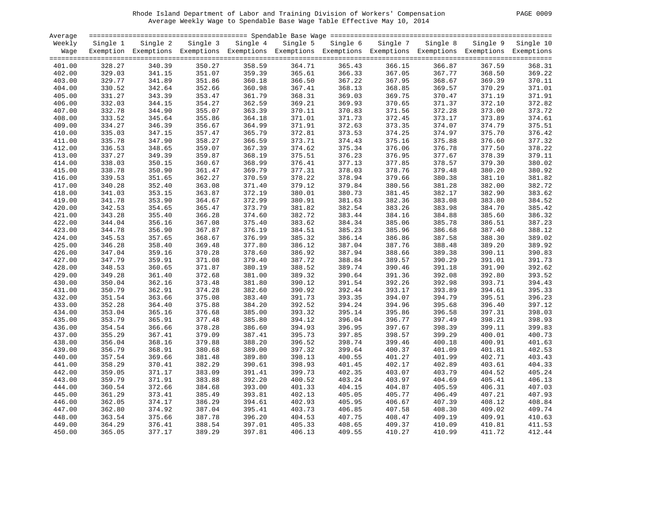#### Rhode Island Department of Labor and Training Division of Workers' Compensation PAGE 0009 Average Weekly Wage to Spendable Base Wage Table Effective May 10, 2014

| PAGE 0009 |  |
|-----------|--|
|-----------|--|

| Average |          |                                                                                                              |          |          |        |                   |          |          |          |           |
|---------|----------|--------------------------------------------------------------------------------------------------------------|----------|----------|--------|-------------------|----------|----------|----------|-----------|
| Weekly  | Single 1 | Single 2                                                                                                     | Single 3 | Single 4 |        | Single 5 Single 6 | Single 7 | Single 8 | Single 9 | Single 10 |
| Wage    |          | Exemption Exemptions Exemptions Exemptions Exemptions Exemptions Exemptions Exemptions Exemptions Exemptions |          |          |        |                   |          |          |          |           |
|         |          |                                                                                                              |          |          |        |                   |          |          |          |           |
| 401.00  | 328.27   | 340.39                                                                                                       | 350.27   | 358.59   | 364.71 | 365.43            | 366.15   | 366.87   | 367.59   | 368.31    |
| 402.00  | 329.03   | 341.15                                                                                                       | 351.07   | 359.39   | 365.61 | 366.33            | 367.05   | 367.77   | 368.50   | 369.22    |
| 403.00  | 329.77   | 341.89                                                                                                       | 351.86   | 360.18   | 366.50 | 367.22            | 367.95   | 368.67   | 369.39   | 370.11    |
| 404.00  | 330.52   | 342.64                                                                                                       | 352.66   | 360.98   | 367.41 | 368.13            | 368.85   | 369.57   | 370.29   | 371.01    |
| 405.00  | 331.27   | 343.39                                                                                                       | 353.47   | 361.79   | 368.31 | 369.03            | 369.75   | 370.47   | 371.19   | 371.91    |
| 406.00  | 332.03   | 344.15                                                                                                       | 354.27   | 362.59   | 369.21 | 369.93            | 370.65   | 371.37   | 372.10   | 372.82    |
|         | 332.78   | 344.90                                                                                                       | 355.07   | 363.39   | 370.11 | 370.83            | 371.56   | 372.28   | 373.00   | 373.72    |
| 407.00  | 333.52   | 345.64                                                                                                       | 355.86   | 364.18   | 371.01 | 371.73            | 372.45   | 373.17   | 373.89   | 374.61    |
| 408.00  |          |                                                                                                              |          |          |        |                   |          |          |          |           |
| 409.00  | 334.27   | 346.39                                                                                                       | 356.67   | 364.99   | 371.91 | 372.63            | 373.35   | 374.07   | 374.79   | 375.51    |
| 410.00  | 335.03   | 347.15                                                                                                       | 357.47   | 365.79   | 372.81 | 373.53            | 374.25   | 374.97   | 375.70   | 376.42    |
| 411.00  | 335.78   | 347.90                                                                                                       | 358.27   | 366.59   | 373.71 | 374.43            | 375.16   | 375.88   | 376.60   | 377.32    |
| 412.00  | 336.53   | 348.65                                                                                                       | 359.07   | 367.39   | 374.62 | 375.34            | 376.06   | 376.78   | 377.50   | 378.22    |
| 413.00  | 337.27   | 349.39                                                                                                       | 359.87   | 368.19   | 375.51 | 376.23            | 376.95   | 377.67   | 378.39   | 379.11    |
| 414.00  | 338.03   | 350.15                                                                                                       | 360.67   | 368.99   | 376.41 | 377.13            | 377.85   | 378.57   | 379.30   | 380.02    |
| 415.00  | 338.78   | 350.90                                                                                                       | 361.47   | 369.79   | 377.31 | 378.03            | 378.76   | 379.48   | 380.20   | 380.92    |
| 416.00  | 339.53   | 351.65                                                                                                       | 362.27   | 370.59   | 378.22 | 378.94            | 379.66   | 380.38   | 381.10   | 381.82    |
| 417.00  | 340.28   | 352.40                                                                                                       | 363.08   | 371.40   | 379.12 | 379.84            | 380.56   | 381.28   | 382.00   | 382.72    |
| 418.00  | 341.03   | 353.15                                                                                                       | 363.87   | 372.19   | 380.01 | 380.73            | 381.45   | 382.17   | 382.90   | 383.62    |
| 419.00  | 341.78   | 353.90                                                                                                       | 364.67   | 372.99   | 380.91 | 381.63            | 382.36   | 383.08   | 383.80   | 384.52    |
| 420.00  | 342.53   | 354.65                                                                                                       | 365.47   | 373.79   | 381.82 | 382.54            | 383.26   | 383.98   | 384.70   | 385.42    |
| 421.00  | 343.28   | 355.40                                                                                                       | 366.28   | 374.60   | 382.72 | 383.44            | 384.16   | 384.88   | 385.60   | 386.32    |
| 422.00  | 344.04   | 356.16                                                                                                       | 367.08   | 375.40   | 383.62 | 384.34            | 385.06   | 385.78   | 386.51   | 387.23    |
| 423.00  | 344.78   | 356.90                                                                                                       | 367.87   | 376.19   | 384.51 | 385.23            | 385.96   | 386.68   | 387.40   | 388.12    |
| 424.00  | 345.53   | 357.65                                                                                                       | 368.67   | 376.99   | 385.32 | 386.14            | 386.86   | 387.58   | 388.30   | 389.02    |
| 425.00  | 346.28   | 358.40                                                                                                       | 369.48   | 377.80   | 386.12 | 387.04            | 387.76   | 388.48   | 389.20   | 389.92    |
| 426.00  | 347.04   | 359.16                                                                                                       | 370.28   | 378.60   | 386.92 | 387.94            | 388.66   | 389.38   | 390.11   | 390.83    |
| 427.00  | 347.79   | 359.91                                                                                                       | 371.08   | 379.40   | 387.72 | 388.84            | 389.57   | 390.29   | 391.01   | 391.73    |
| 428.00  | 348.53   | 360.65                                                                                                       | 371.87   | 380.19   | 388.52 | 389.74            | 390.46   | 391.18   | 391.90   | 392.62    |
| 429.00  | 349.28   | 361.40                                                                                                       | 372.68   | 381.00   | 389.32 | 390.64            | 391.36   | 392.08   | 392.80   | 393.52    |
| 430.00  | 350.04   | 362.16                                                                                                       | 373.48   | 381.80   | 390.12 | 391.54            | 392.26   | 392.98   | 393.71   | 394.43    |
| 431.00  | 350.79   | 362.91                                                                                                       | 374.28   | 382.60   | 390.92 | 392.44            | 393.17   | 393.89   | 394.61   | 395.33    |
| 432.00  | 351.54   | 363.66                                                                                                       | 375.08   | 383.40   | 391.73 | 393.35            | 394.07   | 394.79   | 395.51   | 396.23    |
| 433.00  | 352.28   | 364.40                                                                                                       | 375.88   | 384.20   | 392.52 | 394.24            | 394.96   | 395.68   | 396.40   | 397.12    |
| 434.00  | 353.04   | 365.16                                                                                                       | 376.68   | 385.00   | 393.32 | 395.14            | 395.86   | 396.58   | 397.31   | 398.03    |
|         |          |                                                                                                              |          | 385.80   |        | 396.04            |          | 397.49   | 398.21   | 398.93    |
| 435.00  | 353.79   | 365.91                                                                                                       | 377.48   |          | 394.12 |                   | 396.77   |          |          |           |
| 436.00  | 354.54   | 366.66                                                                                                       | 378.28   | 386.60   | 394.93 | 396.95            | 397.67   | 398.39   | 399.11   | 399.83    |
| 437.00  | 355.29   | 367.41                                                                                                       | 379.09   | 387.41   | 395.73 | 397.85            | 398.57   | 399.29   | 400.01   | 400.73    |
| 438.00  | 356.04   | 368.16                                                                                                       | 379.88   | 388.20   | 396.52 | 398.74            | 399.46   | 400.18   | 400.91   | 401.63    |
| 439.00  | 356.79   | 368.91                                                                                                       | 380.68   | 389.00   | 397.32 | 399.64            | 400.37   | 401.09   | 401.81   | 402.53    |
| 440.00  | 357.54   | 369.66                                                                                                       | 381.48   | 389.80   | 398.13 | 400.55            | 401.27   | 401.99   | 402.71   | 403.43    |
| 441.00  | 358.29   | 370.41                                                                                                       | 382.29   | 390.61   | 398.93 | 401.45            | 402.17   | 402.89   | 403.61   | 404.33    |
| 442.00  | 359.05   | 371.17                                                                                                       | 383.09   | 391.41   | 399.73 | 402.35            | 403.07   | 403.79   | 404.52   | 405.24    |
| 443.00  | 359.79   | 371.91                                                                                                       | 383.88   | 392.20   | 400.52 | 403.24            | 403.97   | 404.69   | 405.41   | 406.13    |
| 444.00  | 360.54   | 372.66                                                                                                       | 384.68   | 393.00   | 401.33 | 404.15            | 404.87   | 405.59   | 406.31   | 407.03    |
| 445.00  | 361.29   | 373.41                                                                                                       | 385.49   | 393.81   | 402.13 | 405.05            | 405.77   | 406.49   | 407.21   | 407.93    |
| 446.00  | 362.05   | 374.17                                                                                                       | 386.29   | 394.61   | 402.93 | 405.95            | 406.67   | 407.39   | 408.12   | 408.84    |
| 447.00  | 362.80   | 374.92                                                                                                       | 387.04   | 395.41   | 403.73 | 406.85            | 407.58   | 408.30   | 409.02   | 409.74    |
| 448.00  | 363.54   | 375.66                                                                                                       | 387.78   | 396.20   | 404.53 | 407.75            | 408.47   | 409.19   | 409.91   | 410.63    |
| 449.00  | 364.29   | 376.41                                                                                                       | 388.54   | 397.01   | 405.33 | 408.65            | 409.37   | 410.09   | 410.81   | 411.53    |
| 450.00  | 365.05   | 377.17                                                                                                       | 389.29   | 397.81   | 406.13 | 409.55            | 410.27   | 410.99   | 411.72   | 412.44    |
|         |          |                                                                                                              |          |          |        |                   |          |          |          |           |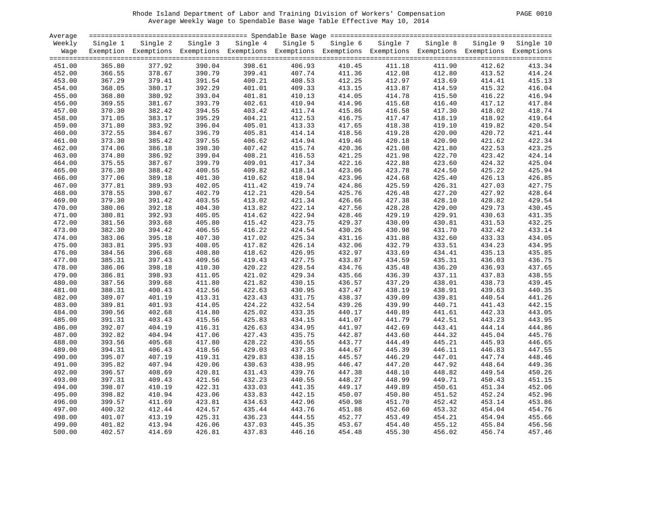#### Rhode Island Department of Labor and Training Division of Workers' Compensation PAGE 0010 Average Weekly Wage to Spendable Base Wage Table Effective May 10, 2014

|--|

| Average |          |                                                                                                              |          |          |          |          |          |          |          | $=$ $=$ $=$ $=$ |
|---------|----------|--------------------------------------------------------------------------------------------------------------|----------|----------|----------|----------|----------|----------|----------|-----------------|
| Weekly  | Single 1 | Single 2                                                                                                     | Single 3 | Single 4 | Single 5 | Single 6 | Single 7 | Single 8 | Single 9 | Single 10       |
| Wage    |          | Exemption Exemptions Exemptions Exemptions Exemptions Exemptions Exemptions Exemptions Exemptions Exemptions |          |          |          |          |          |          |          |                 |
|         |          |                                                                                                              |          |          |          |          |          |          |          |                 |
| 451.00  | 365.80   | 377.92                                                                                                       | 390.04   | 398.61   | 406.93   | 410.45   | 411.18   | 411.90   | 412.62   | 413.34          |
| 452.00  | 366.55   | 378.67                                                                                                       | 390.79   | 399.41   | 407.74   | 411.36   | 412.08   | 412.80   | 413.52   | 414.24          |
|         |          |                                                                                                              |          |          |          |          |          |          |          |                 |
| 453.00  | 367.29   | 379.41                                                                                                       | 391.54   | 400.21   | 408.53   | 412.25   | 412.97   | 413.69   | 414.41   | 415.13          |
| 454.00  | 368.05   | 380.17                                                                                                       | 392.29   | 401.01   | 409.33   | 413.15   | 413.87   | 414.59   | 415.32   | 416.04          |
| 455.00  | 368.80   | 380.92                                                                                                       | 393.04   | 401.81   | 410.13   | 414.05   | 414.78   | 415.50   | 416.22   | 416.94          |
| 456.00  | 369.55   | 381.67                                                                                                       | 393.79   | 402.61   | 410.94   | 414.96   | 415.68   | 416.40   | 417.12   | 417.84          |
| 457.00  | 370.30   | 382.42                                                                                                       | 394.55   | 403.42   | 411.74   | 415.86   | 416.58   | 417.30   | 418.02   | 418.74          |
| 458.00  | 371.05   | 383.17                                                                                                       | 395.29   | 404.21   | 412.53   | 416.75   | 417.47   | 418.19   | 418.92   | 419.64          |
| 459.00  | 371.80   | 383.92                                                                                                       | 396.04   | 405.01   | 413.33   | 417.65   | 418.38   | 419.10   | 419.82   | 420.54          |
| 460.00  | 372.55   | 384.67                                                                                                       | 396.79   | 405.81   | 414.14   | 418.56   | 419.28   | 420.00   | 420.72   | 421.44          |
| 461.00  | 373.30   | 385.42                                                                                                       | 397.55   | 406.62   | 414.94   | 419.46   | 420.18   | 420.90   | 421.62   | 422.34          |
| 462.00  | 374.06   | 386.18                                                                                                       | 398.30   | 407.42   | 415.74   | 420.36   | 421.08   | 421.80   | 422.53   | 423.25          |
| 463.00  | 374.80   | 386.92                                                                                                       | 399.04   | 408.21   | 416.53   | 421.25   | 421.98   | 422.70   | 423.42   | 424.14          |
| 464.00  | 375.55   | 387.67                                                                                                       | 399.79   | 409.01   | 417.34   | 422.16   | 422.88   | 423.60   | 424.32   | 425.04          |
| 465.00  | 376.30   | 388.42                                                                                                       | 400.55   | 409.82   | 418.14   | 423.06   | 423.78   | 424.50   | 425.22   | 425.94          |
| 466.00  | 377.06   | 389.18                                                                                                       | 401.30   | 410.62   | 418.94   | 423.96   | 424.68   | 425.40   | 426.13   | 426.85          |
| 467.00  | 377.81   | 389.93                                                                                                       | 402.05   | 411.42   | 419.74   | 424.86   | 425.59   | 426.31   | 427.03   | 427.75          |
| 468.00  | 378.55   | 390.67                                                                                                       | 402.79   | 412.21   | 420.54   | 425.76   | 426.48   | 427.20   | 427.92   | 428.64          |
| 469.00  | 379.30   | 391.42                                                                                                       | 403.55   | 413.02   | 421.34   | 426.66   | 427.38   | 428.10   | 428.82   | 429.54          |
| 470.00  | 380.06   | 392.18                                                                                                       | 404.30   | 413.82   | 422.14   | 427.56   | 428.28   | 429.00   | 429.73   | 430.45          |
|         |          |                                                                                                              |          | 414.62   |          | 428.46   |          |          |          | 431.35          |
| 471.00  | 380.81   | 392.93                                                                                                       | 405.05   |          | 422.94   |          | 429.19   | 429.91   | 430.63   |                 |
| 472.00  | 381.56   | 393.68                                                                                                       | 405.80   | 415.42   | 423.75   | 429.37   | 430.09   | 430.81   | 431.53   | 432.25          |
| 473.00  | 382.30   | 394.42                                                                                                       | 406.55   | 416.22   | 424.54   | 430.26   | 430.98   | 431.70   | 432.42   | 433.14          |
| 474.00  | 383.06   | 395.18                                                                                                       | 407.30   | 417.02   | 425.34   | 431.16   | 431.88   | 432.60   | 433.33   | 434.05          |
| 475.00  | 383.81   | 395.93                                                                                                       | 408.05   | 417.82   | 426.14   | 432.06   | 432.79   | 433.51   | 434.23   | 434.95          |
| 476.00  | 384.56   | 396.68                                                                                                       | 408.80   | 418.62   | 426.95   | 432.97   | 433.69   | 434.41   | 435.13   | 435.85          |
| 477.00  | 385.31   | 397.43                                                                                                       | 409.56   | 419.43   | 427.75   | 433.87   | 434.59   | 435.31   | 436.03   | 436.75          |
| 478.00  | 386.06   | 398.18                                                                                                       | 410.30   | 420.22   | 428.54   | 434.76   | 435.48   | 436.20   | 436.93   | 437.65          |
| 479.00  | 386.81   | 398.93                                                                                                       | 411.05   | 421.02   | 429.34   | 435.66   | 436.39   | 437.11   | 437.83   | 438.55          |
| 480.00  | 387.56   | 399.68                                                                                                       | 411.80   | 421.82   | 430.15   | 436.57   | 437.29   | 438.01   | 438.73   | 439.45          |
| 481.00  | 388.31   | 400.43                                                                                                       | 412.56   | 422.63   | 430.95   | 437.47   | 438.19   | 438.91   | 439.63   | 440.35          |
| 482.00  | 389.07   | 401.19                                                                                                       | 413.31   | 423.43   | 431.75   | 438.37   | 439.09   | 439.81   | 440.54   | 441.26          |
| 483.00  | 389.81   | 401.93                                                                                                       | 414.05   | 424.22   | 432.54   | 439.26   | 439.99   | 440.71   | 441.43   | 442.15          |
| 484.00  | 390.56   | 402.68                                                                                                       | 414.80   | 425.02   | 433.35   | 440.17   | 440.89   | 441.61   | 442.33   | 443.05          |
| 485.00  | 391.31   | 403.43                                                                                                       | 415.56   | 425.83   | 434.15   | 441.07   | 441.79   | 442.51   | 443.23   | 443.95          |
| 486.00  | 392.07   | 404.19                                                                                                       | 416.31   | 426.63   | 434.95   | 441.97   | 442.69   | 443.41   | 444.14   | 444.86          |
| 487.00  | 392.82   | 404.94                                                                                                       | 417.06   | 427.43   | 435.75   | 442.87   | 443.60   | 444.32   | 445.04   | 445.76          |
| 488.00  | 393.56   | 405.68                                                                                                       | 417.80   | 428.22   | 436.55   | 443.77   | 444.49   | 445.21   | 445.93   | 446.65          |
| 489.00  | 394.31   | 406.43                                                                                                       | 418.56   | 429.03   | 437.35   | 444.67   | 445.39   | 446.11   | 446.83   | 447.55          |
| 490.00  | 395.07   | 407.19                                                                                                       | 419.31   | 429.83   | 438.15   | 445.57   | 446.29   | 447.01   | 447.74   | 448.46          |
| 491.00  | 395.82   | 407.94                                                                                                       | 420.06   | 430.63   | 438.95   | 446.47   | 447.20   | 447.92   | 448.64   | 449.36          |
| 492.00  | 396.57   | 408.69                                                                                                       | 420.81   | 431.43   | 439.76   | 447.38   | 448.10   | 448.82   | 449.54   | 450.26          |
| 493.00  | 397.31   | 409.43                                                                                                       | 421.56   | 432.23   | 440.55   | 448.27   | 448.99   | 449.71   | 450.43   | 451.15          |
| 494.00  | 398.07   | 410.19                                                                                                       | 422.31   | 433.03   | 441.35   | 449.17   | 449.89   | 450.61   | 451.34   | 452.06          |
| 495.00  | 398.82   | 410.94                                                                                                       | 423.06   | 433.83   | 442.15   | 450.07   | 450.80   | 451.52   | 452.24   | 452.96          |
| 496.00  | 399.57   | 411.69                                                                                                       | 423.81   | 434.63   | 442.96   | 450.98   | 451.70   | 452.42   | 453.14   | 453.86          |
| 497.00  | 400.32   | 412.44                                                                                                       | 424.57   | 435.44   | 443.76   | 451.88   | 452.60   | 453.32   | 454.04   | 454.76          |
| 498.00  | 401.07   | 413.19                                                                                                       | 425.31   | 436.23   | 444.55   | 452.77   | 453.49   | 454.21   | 454.94   | 455.66          |
| 499.00  | 401.82   | 413.94                                                                                                       | 426.06   | 437.03   | 445.35   | 453.67   | 454.40   | 455.12   | 455.84   | 456.56          |
| 500.00  | 402.57   | 414.69                                                                                                       | 426.81   | 437.83   | 446.16   | 454.48   | 455.30   | 456.02   | 456.74   | 457.46          |
|         |          |                                                                                                              |          |          |          |          |          |          |          |                 |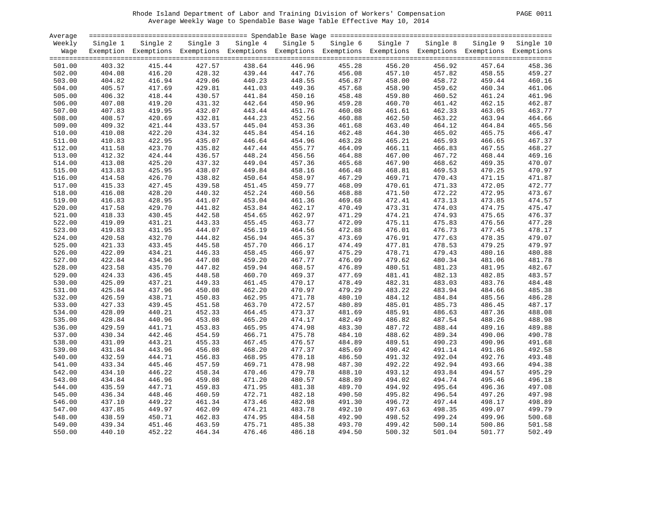#### Rhode Island Department of Labor and Training Division of Workers' Compensation PAGE 0011 Average Weekly Wage to Spendable Base Wage Table Effective May 10, 2014

|--|

| Average          |                  |                                                                                                              |                  |                  |                  |                  |                  |                  |                  |                  |
|------------------|------------------|--------------------------------------------------------------------------------------------------------------|------------------|------------------|------------------|------------------|------------------|------------------|------------------|------------------|
| Weekly           | Single 1         | Single 2                                                                                                     | Single 3         | Single 4         | Single 5         | Single 6         | Single 7         | Single 8         | Single 9         | Single 10        |
| Wage             |                  | Exemption Exemptions Exemptions Exemptions Exemptions Exemptions Exemptions Exemptions Exemptions Exemptions |                  |                  |                  |                  |                  |                  |                  |                  |
|                  |                  |                                                                                                              |                  |                  |                  |                  |                  |                  |                  |                  |
| 501.00           | 403.32           | 415.44                                                                                                       | 427.57           | 438.64           | 446.96           | 455.28           | 456.20           | 456.92           | 457.64           | 458.36           |
| 502.00           | 404.08           | 416.20                                                                                                       | 428.32           | 439.44           | 447.76           | 456.08           | 457.10           | 457.82           | 458.55           | 459.27           |
| 503.00           | 404.82           | 416.94                                                                                                       | 429.06           | 440.23           | 448.55           | 456.87           | 458.00           | 458.72           | 459.44           | 460.16           |
| 504.00           | 405.57           | 417.69                                                                                                       | 429.81           | 441.03           | 449.36           | 457.68           | 458.90           | 459.62           | 460.34           | 461.06           |
| 505.00           | 406.32           | 418.44                                                                                                       | 430.57           | 441.84           | 450.16           | 458.48           | 459.80           | 460.52           | 461.24           | 461.96           |
| 506.00           | 407.08           | 419.20                                                                                                       | 431.32           | 442.64           | 450.96           | 459.28           | 460.70           | 461.42           | 462.15           | 462.87           |
| 507.00           | 407.83           | 419.95                                                                                                       | 432.07           | 443.44           | 451.76           | 460.08           | 461.61           | 462.33           | 463.05           | 463.77           |
| 508.00           | 408.57           | 420.69                                                                                                       | 432.81           | 444.23           | 452.56           | 460.88           | 462.50           | 463.22           | 463.94           | 464.66           |
| 509.00           | 409.32           | 421.44                                                                                                       | 433.57           | 445.04           | 453.36           | 461.68           | 463.40           | 464.12           | 464.84           | 465.56           |
| 510.00           | 410.08           | 422.20                                                                                                       | 434.32           | 445.84           | 454.16           | 462.48           | 464.30           | 465.02           | 465.75           | 466.47           |
| 511.00           | 410.83           | 422.95                                                                                                       | 435.07           | 446.64           | 454.96           | 463.28           | 465.21           | 465.93           | 466.65           | 467.37           |
| 512.00           | 411.58           | 423.70                                                                                                       | 435.82           | 447.44           | 455.77           | 464.09           | 466.11           | 466.83           | 467.55           | 468.27           |
| 513.00           | 412.32           | 424.44                                                                                                       | 436.57           | 448.24           | 456.56           | 464.88           | 467.00           | 467.72           | 468.44           | 469.16           |
| 514.00           | 413.08           | 425.20                                                                                                       | 437.32           | 449.04           | 457.36           | 465.68           | 467.90           | 468.62           | 469.35           | 470.07           |
| 515.00           | 413.83           | 425.95                                                                                                       | 438.07           | 449.84           | 458.16           | 466.48           | 468.81           | 469.53           | 470.25           | 470.97           |
| 516.00           | 414.58           | 426.70                                                                                                       | 438.82           | 450.64           | 458.97           | 467.29           | 469.71           | 470.43           | 471.15           | 471.87           |
| 517.00           | 415.33           | 427.45                                                                                                       | 439.58           | 451.45           | 459.77           | 468.09           | 470.61           | 471.33           | 472.05           | 472.77           |
| 518.00           | 416.08           | 428.20                                                                                                       | 440.32           | 452.24           | 460.56           | 468.88           | 471.50           | 472.22           | 472.95           | 473.67           |
| 519.00           | 416.83           | 428.95                                                                                                       | 441.07           | 453.04           | 461.36           | 469.68           | 472.41           | 473.13           | 473.85           | 474.57           |
| 520.00           | 417.58           | 429.70                                                                                                       | 441.82           | 453.84           | 462.17           | 470.49           | 473.31           | 474.03           | 474.75           | 475.47           |
| 521.00           | 418.33           | 430.45                                                                                                       | 442.58           | 454.65           | 462.97           | 471.29           | 474.21           | 474.93           | 475.65           | 476.37           |
| 522.00           | 419.09           | 431.21                                                                                                       | 443.33           | 455.45           | 463.77           | 472.09           | 475.11           | 475.83           | 476.56           | 477.28           |
| 523.00           | 419.83           | 431.95                                                                                                       | 444.07           | 456.19           | 464.56           | 472.88           | 476.01           | 476.73           | 477.45           | 478.17           |
| 524.00           | 420.58           | 432.70                                                                                                       | 444.82           | 456.94           | 465.37           | 473.69           | 476.91           | 477.63           | 478.35           | 479.07           |
| 525.00           | 421.33           | 433.45                                                                                                       | 445.58           | 457.70           | 466.17           | 474.49           | 477.81           | 478.53           | 479.25           | 479.97           |
| 526.00           | 422.09           | 434.21                                                                                                       | 446.33           | 458.45           | 466.97           | 475.29           | 478.71           | 479.43           | 480.16           | 480.88           |
|                  | 422.84           | 434.96                                                                                                       | 447.08           | 459.20           | 467.77           | 476.09           | 479.62           | 480.34           | 481.06           | 481.78           |
| 527.00           | 423.58           |                                                                                                              |                  | 459.94           |                  | 476.89           |                  | 481.23           | 481.95           | 482.67           |
| 528.00<br>529.00 | 424.33           | 435.70<br>436.45                                                                                             | 447.82<br>448.58 | 460.70           | 468.57<br>469.37 | 477.69           | 480.51<br>481.41 | 482.13           | 482.85           | 483.57           |
|                  | 425.09           |                                                                                                              | 449.33           | 461.45           | 470.17           | 478.49           | 482.31           | 483.03           | 483.76           | 484.48           |
| 530.00<br>531.00 | 425.84           | 437.21<br>437.96                                                                                             | 450.08           | 462.20           | 470.97           | 479.29           | 483.22           | 483.94           | 484.66           | 485.38           |
| 532.00           | 426.59           | 438.71                                                                                                       | 450.83           | 462.95           | 471.78           | 480.10           | 484.12           | 484.84           | 485.56           | 486.28           |
|                  |                  |                                                                                                              |                  | 463.70           |                  |                  |                  |                  |                  |                  |
| 533.00           | 427.33           | 439.45                                                                                                       | 451.58           |                  | 472.57           | 480.89           | 485.01           | 485.73           | 486.45           | 487.17           |
| 534.00           | 428.09<br>428.84 | 440.21<br>440.96                                                                                             | 452.33<br>453.08 | 464.45<br>465.20 | 473.37<br>474.17 | 481.69<br>482.49 | 485.91<br>486.82 | 486.63<br>487.54 | 487.36<br>488.26 | 488.08<br>488.98 |
| 535.00<br>536.00 | 429.59           | 441.71                                                                                                       | 453.83           | 465.95           | 474.98           | 483.30           | 487.72           | 488.44           | 489.16           | 489.88           |
| 537.00           | 430.34           | 442.46                                                                                                       | 454.59           | 466.71           | 475.78           | 484.10           | 488.62           | 489.34           | 490.06           | 490.78           |
| 538.00           | 431.09           | 443.21                                                                                                       | 455.33           | 467.45           | 476.57           | 484.89           | 489.51           | 490.23           | 490.96           | 491.68           |
|                  |                  |                                                                                                              |                  |                  |                  |                  |                  |                  |                  |                  |
| 539.00           | 431.84           | 443.96                                                                                                       | 456.08           | 468.20           | 477.37           | 485.69           | 490.42           | 491.14           | 491.86           | 492.58           |
| 540.00           | 432.59<br>433.34 | 444.71                                                                                                       | 456.83           | 468.95           | 478.18           | 486.50           | 491.32<br>492.22 | 492.04<br>492.94 | 492.76<br>493.66 | 493.48<br>494.38 |
| 541.00           | 434.10           | 445.46                                                                                                       | 457.59           | 469.71<br>470.46 | 478.98           | 487.30           |                  |                  |                  | 495.29           |
| 542.00<br>543.00 | 434.84           | 446.22<br>446.96                                                                                             | 458.34           | 471.20           | 479.78<br>480.57 | 488.10           | 493.12<br>494.02 | 493.84<br>494.74 | 494.57<br>495.46 |                  |
|                  | 435.59           |                                                                                                              | 459.08           |                  |                  | 488.89           |                  |                  |                  | 496.18           |
| 544.00           |                  | 447.71                                                                                                       | 459.83           | 471.95           | 481.38           | 489.70           | 494.92           | 495.64           | 496.36           | 497.08           |
| 545.00           | 436.34           | 448.46                                                                                                       | 460.59           | 472.71           | 482.18           | 490.50           | 495.82           | 496.54           | 497.26           | 497.98           |
| 546.00           | 437.10           | 449.22                                                                                                       | 461.34           | 473.46           | 482.98           | 491.30           | 496.72           | 497.44           | 498.17           | 498.89           |
| 547.00           | 437.85           | 449.97                                                                                                       | 462.09           | 474.21           | 483.78           | 492.10           | 497.63           | 498.35           | 499.07           | 499.79           |
| 548.00           | 438.59           | 450.71                                                                                                       | 462.83           | 474.95           | 484.58           | 492.90           | 498.52           | 499.24           | 499.96           | 500.68           |
| 549.00           | 439.34           | 451.46                                                                                                       | 463.59           | 475.71           | 485.38           | 493.70           | 499.42           | 500.14           | 500.86           | 501.58           |
| 550.00           | 440.10           | 452.22                                                                                                       | 464.34           | 476.46           | 486.18           | 494.50           | 500.32           | 501.04           | 501.77           | 502.49           |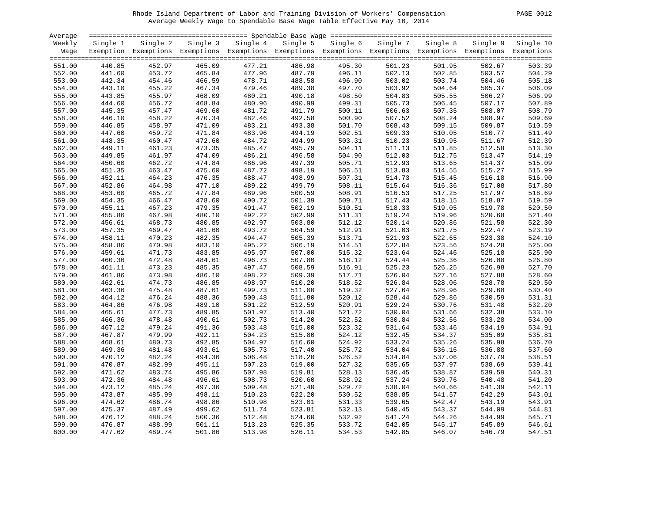#### Rhode Island Department of Labor and Training Division of Workers' Compensation PAGE 0012 Average Weekly Wage to Spendable Base Wage Table Effective May 10, 2014

| Average          |                  |                                                                                                              |                  |                  |                  |                  |                  |                  |                  |                  |
|------------------|------------------|--------------------------------------------------------------------------------------------------------------|------------------|------------------|------------------|------------------|------------------|------------------|------------------|------------------|
| Weekly           | Single 1         | Single 2                                                                                                     | Single 3         | Single 4         | Single 5         | Single 6         | Single 7         | Single 8         | Single 9         | Single 10        |
| Waqe             |                  | Exemption Exemptions Exemptions Exemptions Exemptions Exemptions Exemptions Exemptions Exemptions Exemptions |                  |                  |                  |                  |                  |                  |                  |                  |
|                  |                  |                                                                                                              |                  |                  |                  |                  |                  |                  |                  |                  |
| 551.00           | 440.85           | 452.97                                                                                                       | 465.09           | 477.21           | 486.98           | 495.30           | 501.23           | 501.95           | 502.67           | 503.39           |
| 552.00           | 441.60           | 453.72                                                                                                       | 465.84           | 477.96           | 487.79           | 496.11           | 502.13           | 502.85           | 503.57           | 504.29           |
| 553.00           | 442.34           | 454.46                                                                                                       | 466.59           | 478.71           | 488.58           | 496.90           | 503.02           | 503.74           | 504.46           | 505.18           |
| 554.00           | 443.10           | 455.22                                                                                                       | 467.34           | 479.46           | 489.38           | 497.70           | 503.92           | 504.64           | 505.37           | 506.09           |
| 555.00           | 443.85           | 455.97                                                                                                       | 468.09           | 480.21           | 490.18           | 498.50           | 504.83           | 505.55           | 506.27           | 506.99           |
| 556.00           | 444.60           | 456.72                                                                                                       | 468.84           | 480.96           | 490.99           | 499.31           | 505.73           | 506.45           | 507.17           | 507.89           |
| 557.00           | 445.35           | 457.47                                                                                                       | 469.60           | 481.72           | 491.79           | 500.11           | 506.63           | 507.35           | 508.07           | 508.79           |
| 558.00           | 446.10           | 458.22                                                                                                       | 470.34           | 482.46           | 492.58           | 500.90           | 507.52           | 508.24           | 508.97           | 509.69           |
| 559.00           | 446.85           | 458.97                                                                                                       | 471.09           | 483.21           | 493.38           | 501.70           | 508.43           | 509.15           | 509.87           | 510.59           |
| 560.00           | 447.60           | 459.72                                                                                                       | 471.84           | 483.96           | 494.19           | 502.51           | 509.33           | 510.05           | 510.77           | 511.49           |
| 561.00           | 448.35           | 460.47                                                                                                       | 472.60           | 484.72           | 494.99           | 503.31           | 510.23           | 510.95           | 511.67           | 512.39           |
| 562.00           | 449.11           | 461.23                                                                                                       | 473.35           | 485.47           | 495.79           | 504.11           | 511.13           | 511.85           | 512.58           | 513.30           |
| 563.00           | 449.85           | 461.97                                                                                                       | 474.09           | 486.21           | 496.58           | 504.90           | 512.03           | 512.75           | 513.47           | 514.19           |
| 564.00           | 450.60           | 462.72                                                                                                       | 474.84           | 486.96           | 497.39           | 505.71           | 512.93           | 513.65           | 514.37           | 515.09           |
| 565.00           | 451.35           | 463.47                                                                                                       | 475.60           | 487.72           | 498.19           | 506.51           | 513.83           | 514.55           | 515.27           | 515.99           |
| 566.00           | 452.11           | 464.23                                                                                                       | 476.35           | 488.47           | 498.99           | 507.31           | 514.73           | 515.45           | 516.18           | 516.90           |
| 567.00           | 452.86           | 464.98                                                                                                       | 477.10           | 489.22           | 499.79           | 508.11           | 515.64           | 516.36           | 517.08           | 517.80           |
| 568.00           | 453.60           | 465.72                                                                                                       | 477.84           | 489.96           | 500.59           | 508.91           | 516.53           | 517.25           | 517.97           | 518.69           |
| 569.00           | 454.35           | 466.47                                                                                                       | 478.60           | 490.72           | 501.39           | 509.71           | 517.43           | 518.15           | 518.87           | 519.59           |
| 570.00           | 455.11           | 467.23                                                                                                       | 479.35           | 491.47           | 502.19           | 510.51           | 518.33           | 519.05           | 519.78           | 520.50           |
| 571.00           | 455.86           | 467.98                                                                                                       | 480.10           | 492.22           | 502.99           | 511.31           | 519.24           | 519.96           | 520.68           | 521.40           |
| 572.00           | 456.61           | 468.73                                                                                                       | 480.85           | 492.97           | 503.80           | 512.12           | 520.14           | 520.86           | 521.58           | 522.30           |
| 573.00           | 457.35           | 469.47                                                                                                       | 481.60           | 493.72           | 504.59           | 512.91           | 521.03           | 521.75           | 522.47           | 523.19           |
| 574.00           | 458.11           | 470.23                                                                                                       | 482.35           | 494.47           | 505.39           | 513.71           | 521.93           | 522.65           | 523.38           | 524.10           |
| 575.00           | 458.86           | 470.98                                                                                                       | 483.10           | 495.22           | 506.19           | 514.51           | 522.84           | 523.56           | 524.28           | 525.00           |
| 576.00           | 459.61           | 471.73                                                                                                       | 483.85           | 495.97           | 507.00           | 515.32           | 523.64           | 524.46           | 525.18           | 525.90           |
| 577.00           | 460.36           | 472.48                                                                                                       | 484.61           | 496.73           | 507.80           |                  | 524.44           |                  |                  |                  |
|                  | 461.11           |                                                                                                              | 485.35           | 497.47           | 508.59           | 516.12<br>516.91 | 525.23           | 525.36<br>526.25 | 526.08<br>526.98 | 526.80<br>527.70 |
| 578.00           | 461.86           | 473.23                                                                                                       | 486.10           | 498.22           | 509.39           | 517.71           | 526.04           | 527.16           | 527.88           | 528.60           |
| 579.00           |                  | 473.98                                                                                                       |                  | 498.97           |                  | 518.52           |                  |                  | 528.78           | 529.50           |
| 580.00<br>581.00 | 462.61           | 474.73<br>475.48                                                                                             | 486.85<br>487.61 | 499.73           | 510.20<br>511.00 | 519.32           | 526.84<br>527.64 | 528.06<br>528.96 | 529.68           | 530.40           |
| 582.00           | 463.36<br>464.12 | 476.24                                                                                                       | 488.36           | 500.48           | 511.80           | 520.12           | 528.44           | 529.86           | 530.59           | 531.31           |
|                  | 464.86           | 476.98                                                                                                       | 489.10           | 501.22           | 512.59           | 520.91           | 529.24           | 530.76           | 531.48           | 532.20           |
| 583.00           |                  | 477.73                                                                                                       | 489.85           |                  |                  |                  |                  |                  |                  |                  |
| 584.00           | 465.61<br>466.36 | 478.48                                                                                                       | 490.61           | 501.97<br>502.73 | 513.40           | 521.72<br>522.52 | 530.04<br>530.84 | 531.66<br>532.56 | 532.38<br>533.28 | 533.10<br>534.00 |
| 585.00           |                  | 479.24                                                                                                       | 491.36           | 503.48           | 514.20           | 523.32           |                  | 533.46           | 534.19           | 534.91           |
| 586.00           | 467.12           |                                                                                                              |                  |                  | 515.00           |                  | 531.64           |                  |                  |                  |
| 587.00           | 467.87           | 479.99                                                                                                       | 492.11           | 504.23           | 515.80           | 524.12           | 532.45           | 534.37           | 535.09           | 535.81           |
| 588.00           | 468.61           | 480.73                                                                                                       | 492.85           | 504.97           | 516.60           | 524.92           | 533.24           | 535.26           | 535.98           | 536.70           |
| 589.00           | 469.36           | 481.48                                                                                                       | 493.61           | 505.73           | 517.40           | 525.72           | 534.04           | 536.16           | 536.88           | 537.60           |
| 590.00           | 470.12           | 482.24                                                                                                       | 494.36           | 506.48           | 518.20           | 526.52           | 534.84           | 537.06           | 537.79           | 538.51           |
| 591.00           | 470.87           | 482.99                                                                                                       | 495.11           | 507.23           | 519.00           | 527.32           | 535.65           | 537.97           | 538.69           | 539.41           |
| 592.00           | 471.62           | 483.74                                                                                                       | 495.86           | 507.98           | 519.81           | 528.13           | 536.45           | 538.87           | 539.59           | 540.31           |
| 593.00           | 472.36           | 484.48                                                                                                       | 496.61           | 508.73           | 520.60           | 528.92           | 537.24           | 539.76           | 540.48           | 541.20           |
| 594.00           | 473.12           | 485.24                                                                                                       | 497.36           | 509.48           | 521.40           | 529.72           | 538.04           | 540.66           | 541.39           | 542.11           |
| 595.00           | 473.87           | 485.99                                                                                                       | 498.11           | 510.23           | 522.20           | 530.52           | 538.85           | 541.57           | 542.29           | 543.01           |
| 596.00           | 474.62           | 486.74                                                                                                       | 498.86           | 510.98           | 523.01           | 531.33           | 539.65           | 542.47           | 543.19           | 543.91           |
| 597.00           | 475.37           | 487.49                                                                                                       | 499.62           | 511.74           | 523.81           | 532.13           | 540.45           | 543.37           | 544.09           | 544.81           |
| 598.00           | 476.12           | 488.24                                                                                                       | 500.36           | 512.48           | 524.60           | 532.92           | 541.24           | 544.26           | 544.99           | 545.71           |
| 599.00           | 476.87           | 488.99                                                                                                       | 501.11           | 513.23           | 525.35           | 533.72           | 542.05           | 545.17           | 545.89           | 546.61           |
| 600.00           | 477.62           | 489.74                                                                                                       | 501.86           | 513.98           | 526.11           | 534.53           | 542.85           | 546.07           | 546.79           | 547.51           |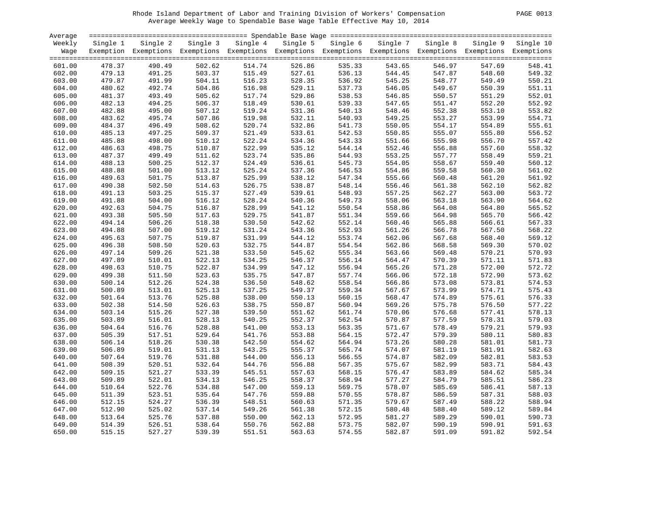#### Rhode Island Department of Labor and Training Division of Workers' Compensation PAGE 0013 Average Weekly Wage to Spendable Base Wage Table Effective May 10, 2014

|  | PAGE. | 001 |
|--|-------|-----|
|--|-------|-----|

| Average |          |          |          |          |                                                                                                              |          |          |          |          |           |
|---------|----------|----------|----------|----------|--------------------------------------------------------------------------------------------------------------|----------|----------|----------|----------|-----------|
| Weekly  | Single 1 | Single 2 | Single 3 | Single 4 | Single 5                                                                                                     | Single 6 | Single 7 | Single 8 | Single 9 | Single 10 |
| Wage    |          |          |          |          | Exemption Exemptions Exemptions Exemptions Exemptions Exemptions Exemptions Exemptions Exemptions Exemptions |          |          |          |          |           |
|         |          |          |          |          |                                                                                                              |          |          |          |          |           |
| 601.00  | 478.37   | 490.49   | 502.62   | 514.74   | 526.86                                                                                                       | 535.33   | 543.65   | 546.97   | 547.69   | 548.41    |
| 602.00  | 479.13   | 491.25   | 503.37   | 515.49   | 527.61                                                                                                       | 536.13   | 544.45   | 547.87   | 548.60   | 549.32    |
| 603.00  | 479.87   | 491.99   | 504.11   | 516.23   | 528.35                                                                                                       | 536.92   | 545.25   | 548.77   | 549.49   | 550.21    |
| 604.00  | 480.62   | 492.74   | 504.86   | 516.98   | 529.11                                                                                                       | 537.73   | 546.05   | 549.67   | 550.39   | 551.11    |
| 605.00  | 481.37   | 493.49   | 505.62   | 517.74   | 529.86                                                                                                       | 538.53   | 546.85   | 550.57   | 551.29   | 552.01    |
| 606.00  | 482.13   | 494.25   | 506.37   | 518.49   | 530.61                                                                                                       | 539.33   | 547.65   | 551.47   | 552.20   | 552.92    |
| 607.00  | 482.88   | 495.00   | 507.12   | 519.24   | 531.36                                                                                                       | 540.13   | 548.46   | 552.38   | 553.10   | 553.82    |
| 608.00  | 483.62   | 495.74   | 507.86   | 519.98   | 532.11                                                                                                       | 540.93   | 549.25   | 553.27   | 553.99   | 554.71    |
| 609.00  | 484.37   | 496.49   | 508.62   | 520.74   | 532.86                                                                                                       | 541.73   | 550.05   | 554.17   | 554.89   | 555.61    |
| 610.00  | 485.13   | 497.25   | 509.37   | 521.49   | 533.61                                                                                                       | 542.53   | 550.85   | 555.07   | 555.80   | 556.52    |
| 611.00  | 485.88   | 498.00   | 510.12   | 522.24   | 534.36                                                                                                       | 543.33   | 551.66   | 555.98   | 556.70   | 557.42    |
| 612.00  | 486.63   | 498.75   | 510.87   | 522.99   | 535.12                                                                                                       | 544.14   | 552.46   | 556.88   | 557.60   | 558.32    |
| 613.00  | 487.37   | 499.49   | 511.62   | 523.74   | 535.86                                                                                                       | 544.93   | 553.25   | 557.77   | 558.49   | 559.21    |
| 614.00  | 488.13   | 500.25   | 512.37   | 524.49   | 536.61                                                                                                       | 545.73   | 554.05   | 558.67   | 559.40   | 560.12    |
| 615.00  | 488.88   | 501.00   | 513.12   | 525.24   | 537.36                                                                                                       | 546.53   | 554.86   | 559.58   | 560.30   | 561.02    |
| 616.00  | 489.63   | 501.75   | 513.87   | 525.99   | 538.12                                                                                                       | 547.34   | 555.66   | 560.48   | 561.20   | 561.92    |
| 617.00  | 490.38   | 502.50   | 514.63   | 526.75   | 538.87                                                                                                       | 548.14   | 556.46   | 561.38   | 562.10   | 562.82    |
| 618.00  | 491.13   | 503.25   | 515.37   | 527.49   | 539.61                                                                                                       | 548.93   | 557.25   | 562.27   | 563.00   | 563.72    |
| 619.00  | 491.88   | 504.00   | 516.12   | 528.24   | 540.36                                                                                                       | 549.73   | 558.06   | 563.18   | 563.90   | 564.62    |
| 620.00  | 492.63   | 504.75   | 516.87   | 528.99   | 541.12                                                                                                       | 550.54   | 558.86   | 564.08   | 564.80   | 565.52    |
| 621.00  | 493.38   | 505.50   | 517.63   | 529.75   | 541.87                                                                                                       | 551.34   | 559.66   | 564.98   | 565.70   | 566.42    |
| 622.00  | 494.14   | 506.26   | 518.38   | 530.50   | 542.62                                                                                                       | 552.14   | 560.46   | 565.88   | 566.61   | 567.33    |
|         | 494.88   |          | 519.12   | 531.24   | 543.36                                                                                                       | 552.93   | 561.26   |          | 567.50   |           |
| 623.00  |          | 507.00   |          |          |                                                                                                              |          |          | 566.78   |          | 568.22    |
| 624.00  | 495.63   | 507.75   | 519.87   | 531.99   | 544.12                                                                                                       | 553.74   | 562.06   | 567.68   | 568.40   | 569.12    |
| 625.00  | 496.38   | 508.50   | 520.63   | 532.75   | 544.87                                                                                                       | 554.54   | 562.86   | 568.58   | 569.30   | 570.02    |
| 626.00  | 497.14   | 509.26   | 521.38   | 533.50   | 545.62                                                                                                       | 555.34   | 563.66   | 569.48   | 570.21   | 570.93    |
| 627.00  | 497.89   | 510.01   | 522.13   | 534.25   | 546.37                                                                                                       | 556.14   | 564.47   | 570.39   | 571.11   | 571.83    |
| 628.00  | 498.63   | 510.75   | 522.87   | 534.99   | 547.12                                                                                                       | 556.94   | 565.26   | 571.28   | 572.00   | 572.72    |
| 629.00  | 499.38   | 511.50   | 523.63   | 535.75   | 547.87                                                                                                       | 557.74   | 566.06   | 572.18   | 572.90   | 573.62    |
| 630.00  | 500.14   | 512.26   | 524.38   | 536.50   | 548.62                                                                                                       | 558.54   | 566.86   | 573.08   | 573.81   | 574.53    |
| 631.00  | 500.89   | 513.01   | 525.13   | 537.25   | 549.37                                                                                                       | 559.34   | 567.67   | 573.99   | 574.71   | 575.43    |
| 632.00  | 501.64   | 513.76   | 525.88   | 538.00   | 550.13                                                                                                       | 560.15   | 568.47   | 574.89   | 575.61   | 576.33    |
| 633.00  | 502.38   | 514.50   | 526.63   | 538.75   | 550.87                                                                                                       | 560.94   | 569.26   | 575.78   | 576.50   | 577.22    |
| 634.00  | 503.14   | 515.26   | 527.38   | 539.50   | 551.62                                                                                                       | 561.74   | 570.06   | 576.68   | 577.41   | 578.13    |
| 635.00  | 503.89   | 516.01   | 528.13   | 540.25   | 552.37                                                                                                       | 562.54   | 570.87   | 577.59   | 578.31   | 579.03    |
| 636.00  | 504.64   | 516.76   | 528.88   | 541.00   | 553.13                                                                                                       | 563.35   | 571.67   | 578.49   | 579.21   | 579.93    |
| 637.00  | 505.39   | 517.51   | 529.64   | 541.76   | 553.88                                                                                                       | 564.15   | 572.47   | 579.39   | 580.11   | 580.83    |
| 638.00  | 506.14   | 518.26   | 530.38   | 542.50   | 554.62                                                                                                       | 564.94   | 573.26   | 580.28   | 581.01   | 581.73    |
| 639.00  | 506.89   | 519.01   | 531.13   | 543.25   | 555.37                                                                                                       | 565.74   | 574.07   | 581.19   | 581.91   | 582.63    |
| 640.00  | 507.64   | 519.76   | 531.88   | 544.00   | 556.13                                                                                                       | 566.55   | 574.87   | 582.09   | 582.81   | 583.53    |
| 641.00  | 508.39   | 520.51   | 532.64   | 544.76   | 556.88                                                                                                       | 567.35   | 575.67   | 582.99   | 583.71   | 584.43    |
| 642.00  | 509.15   | 521.27   | 533.39   | 545.51   | 557.63                                                                                                       | 568.15   | 576.47   | 583.89   | 584.62   | 585.34    |
| 643.00  | 509.89   | 522.01   | 534.13   | 546.25   | 558.37                                                                                                       | 568.94   | 577.27   | 584.79   | 585.51   | 586.23    |
| 644.00  | 510.64   | 522.76   | 534.88   | 547.00   | 559.13                                                                                                       | 569.75   | 578.07   | 585.69   | 586.41   | 587.13    |
| 645.00  | 511.39   | 523.51   | 535.64   | 547.76   | 559.88                                                                                                       | 570.55   | 578.87   | 586.59   | 587.31   | 588.03    |
| 646.00  | 512.15   | 524.27   | 536.39   | 548.51   | 560.63                                                                                                       | 571.35   | 579.67   | 587.49   | 588.22   | 588.94    |
| 647.00  | 512.90   | 525.02   | 537.14   | 549.26   | 561.38                                                                                                       | 572.15   | 580.48   | 588.40   | 589.12   | 589.84    |
| 648.00  | 513.64   | 525.76   | 537.88   | 550.00   | 562.13                                                                                                       | 572.95   | 581.27   | 589.29   | 590.01   | 590.73    |
| 649.00  | 514.39   | 526.51   | 538.64   | 550.76   | 562.88                                                                                                       | 573.75   | 582.07   | 590.19   | 590.91   | 591.63    |
| 650.00  | 515.15   | 527.27   | 539.39   | 551.51   | 563.63                                                                                                       | 574.55   | 582.87   | 591.09   | 591.82   | 592.54    |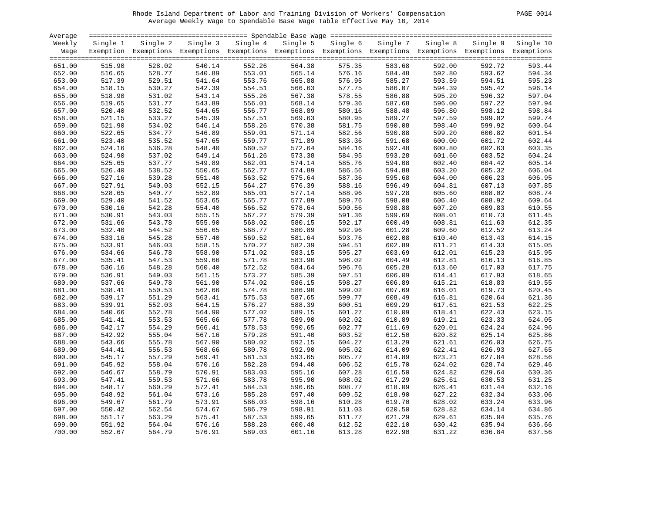#### Rhode Island Department of Labor and Training Division of Workers' Compensation PAGE 0014 Average Weekly Wage to Spendable Base Wage Table Effective May 10, 2014

| PAGE. | 001 |
|-------|-----|
|-------|-----|

| Average |          |                                                                                                              |          |          |          |          |          |          |          |           |
|---------|----------|--------------------------------------------------------------------------------------------------------------|----------|----------|----------|----------|----------|----------|----------|-----------|
| Weekly  | Single 1 | Single 2                                                                                                     | Single 3 | Single 4 | Single 5 | Single 6 | Single 7 | Single 8 | Single 9 | Single 10 |
| Wage    |          | Exemption Exemptions Exemptions Exemptions Exemptions Exemptions Exemptions Exemptions Exemptions Exemptions |          |          |          |          |          |          |          |           |
|         |          |                                                                                                              |          |          |          |          |          |          |          |           |
| 651.00  | 515.90   | 528.02                                                                                                       | 540.14   | 552.26   | 564.38   | 575.35   | 583.68   | 592.00   | 592.72   | 593.44    |
| 652.00  | 516.65   | 528.77                                                                                                       | 540.89   | 553.01   | 565.14   | 576.16   | 584.48   | 592.80   | 593.62   | 594.34    |
| 653.00  | 517.39   | 529.51                                                                                                       | 541.64   | 553.76   | 565.88   | 576.95   | 585.27   | 593.59   | 594.51   | 595.23    |
| 654.00  | 518.15   | 530.27                                                                                                       | 542.39   | 554.51   | 566.63   | 577.75   | 586.07   | 594.39   | 595.42   | 596.14    |
| 655.00  | 518.90   | 531.02                                                                                                       | 543.14   | 555.26   | 567.38   | 578.55   | 586.88   | 595.20   | 596.32   | 597.04    |
| 656.00  | 519.65   | 531.77                                                                                                       | 543.89   | 556.01   | 568.14   | 579.36   | 587.68   | 596.00   | 597.22   | 597.94    |
| 657.00  | 520.40   | 532.52                                                                                                       | 544.65   | 556.77   | 568.89   | 580.16   | 588.48   | 596.80   | 598.12   | 598.84    |
| 658.00  | 521.15   | 533.27                                                                                                       | 545.39   | 557.51   | 569.63   | 580.95   | 589.27   | 597.59   | 599.02   | 599.74    |
| 659.00  | 521.90   | 534.02                                                                                                       | 546.14   | 558.26   | 570.38   | 581.75   | 590.08   | 598.40   | 599.92   | 600.64    |
| 660.00  | 522.65   | 534.77                                                                                                       | 546.89   | 559.01   | 571.14   | 582.56   | 590.88   | 599.20   | 600.82   | 601.54    |
| 661.00  | 523.40   | 535.52                                                                                                       | 547.65   | 559.77   | 571.89   | 583.36   | 591.68   | 600.00   | 601.72   | 602.44    |
| 662.00  | 524.16   | 536.28                                                                                                       | 548.40   | 560.52   | 572.64   | 584.16   | 592.48   | 600.80   | 602.63   | 603.35    |
| 663.00  | 524.90   | 537.02                                                                                                       | 549.14   | 561.26   | 573.38   | 584.95   | 593.28   | 601.60   | 603.52   | 604.24    |
| 664.00  | 525.65   | 537.77                                                                                                       | 549.89   | 562.01   | 574.14   | 585.76   | 594.08   | 602.40   | 604.42   | 605.14    |
| 665.00  | 526.40   | 538.52                                                                                                       | 550.65   | 562.77   | 574.89   | 586.56   | 594.88   | 603.20   | 605.32   | 606.04    |
| 666.00  | 527.16   | 539.28                                                                                                       | 551.40   | 563.52   | 575.64   | 587.36   | 595.68   | 604.00   | 606.23   | 606.95    |
| 667.00  | 527.91   | 540.03                                                                                                       | 552.15   | 564.27   | 576.39   | 588.16   | 596.49   | 604.81   | 607.13   | 607.85    |
| 668.00  | 528.65   | 540.77                                                                                                       | 552.89   | 565.01   | 577.14   | 588.96   | 597.28   | 605.60   | 608.02   | 608.74    |
| 669.00  | 529.40   | 541.52                                                                                                       | 553.65   | 565.77   | 577.89   | 589.76   | 598.08   | 606.40   | 608.92   | 609.64    |
| 670.00  | 530.16   | 542.28                                                                                                       | 554.40   | 566.52   | 578.64   | 590.56   | 598.88   | 607.20   | 609.83   | 610.55    |
| 671.00  | 530.91   | 543.03                                                                                                       | 555.15   | 567.27   | 579.39   | 591.36   | 599.69   | 608.01   | 610.73   | 611.45    |
| 672.00  | 531.66   | 543.78                                                                                                       | 555.90   | 568.02   | 580.15   | 592.17   | 600.49   | 608.81   | 611.63   | 612.35    |
| 673.00  | 532.40   | 544.52                                                                                                       | 556.65   | 568.77   | 580.89   | 592.96   | 601.28   | 609.60   | 612.52   | 613.24    |
| 674.00  | 533.16   | 545.28                                                                                                       | 557.40   | 569.52   | 581.64   | 593.76   | 602.08   | 610.40   | 613.43   | 614.15    |
| 675.00  | 533.91   | 546.03                                                                                                       | 558.15   | 570.27   | 582.39   | 594.51   | 602.89   | 611.21   | 614.33   | 615.05    |
| 676.00  | 534.66   | 546.78                                                                                                       | 558.90   | 571.02   | 583.15   | 595.27   | 603.69   | 612.01   | 615.23   | 615.95    |
| 677.00  | 535.41   | 547.53                                                                                                       | 559.66   | 571.78   | 583.90   | 596.02   | 604.49   | 612.81   | 616.13   | 616.85    |
| 678.00  | 536.16   | 548.28                                                                                                       | 560.40   | 572.52   | 584.64   | 596.76   | 605.28   | 613.60   | 617.03   | 617.75    |
| 679.00  | 536.91   | 549.03                                                                                                       | 561.15   | 573.27   | 585.39   | 597.51   | 606.09   | 614.41   | 617.93   | 618.65    |
| 680.00  | 537.66   | 549.78                                                                                                       | 561.90   | 574.02   | 586.15   | 598.27   | 606.89   | 615.21   | 618.83   | 619.55    |
| 681.00  | 538.41   | 550.53                                                                                                       | 562.66   | 574.78   | 586.90   | 599.02   | 607.69   | 616.01   | 619.73   | 620.45    |
| 682.00  | 539.17   | 551.29                                                                                                       | 563.41   | 575.53   | 587.65   | 599.77   | 608.49   | 616.81   | 620.64   | 621.36    |
| 683.00  | 539.91   | 552.03                                                                                                       | 564.15   | 576.27   | 588.39   | 600.51   | 609.29   | 617.61   | 621.53   | 622.25    |
| 684.00  | 540.66   | 552.78                                                                                                       | 564.90   | 577.02   | 589.15   | 601.27   | 610.09   | 618.41   | 622.43   | 623.15    |
| 685.00  | 541.41   | 553.53                                                                                                       | 565.66   | 577.78   | 589.90   | 602.02   | 610.89   | 619.21   | 623.33   | 624.05    |
| 686.00  | 542.17   | 554.29                                                                                                       | 566.41   | 578.53   | 590.65   | 602.77   | 611.69   | 620.01   | 624.24   | 624.96    |
| 687.00  | 542.92   | 555.04                                                                                                       | 567.16   | 579.28   | 591.40   | 603.52   | 612.50   | 620.82   | 625.14   | 625.86    |
| 688.00  | 543.66   | 555.78                                                                                                       | 567.90   | 580.02   | 592.15   | 604.27   | 613.29   | 621.61   | 626.03   | 626.75    |
| 689.00  | 544.41   | 556.53                                                                                                       | 568.66   | 580.78   | 592.90   | 605.02   | 614.09   | 622.41   | 626.93   | 627.65    |
| 690.00  | 545.17   | 557.29                                                                                                       | 569.41   | 581.53   | 593.65   | 605.77   | 614.89   | 623.21   | 627.84   | 628.56    |
| 691.00  | 545.92   | 558.04                                                                                                       | 570.16   | 582.28   | 594.40   | 606.52   | 615.70   | 624.02   | 628.74   | 629.46    |
| 692.00  | 546.67   | 558.79                                                                                                       | 570.91   | 583.03   | 595.16   | 607.28   | 616.50   | 624.82   | 629.64   | 630.36    |
| 693.00  | 547.41   | 559.53                                                                                                       | 571.66   | 583.78   | 595.90   | 608.02   | 617.29   | 625.61   | 630.53   | 631.25    |
| 694.00  | 548.17   | 560.29                                                                                                       | 572.41   | 584.53   | 596.65   | 608.77   | 618.09   | 626.41   | 631.44   | 632.16    |
| 695.00  | 548.92   | 561.04                                                                                                       | 573.16   | 585.28   | 597.40   | 609.52   | 618.90   | 627.22   | 632.34   | 633.06    |
| 696.00  | 549.67   | 561.79                                                                                                       | 573.91   | 586.03   | 598.16   | 610.28   | 619.70   | 628.02   | 633.24   | 633.96    |
| 697.00  | 550.42   | 562.54                                                                                                       | 574.67   | 586.79   | 598.91   | 611.03   | 620.50   | 628.82   | 634.14   | 634.86    |
| 698.00  | 551.17   | 563.29                                                                                                       | 575.41   | 587.53   | 599.65   | 611.77   | 621.29   | 629.61   | 635.04   | 635.76    |
| 699.00  | 551.92   | 564.04                                                                                                       | 576.16   | 588.28   | 600.40   | 612.52   | 622.10   | 630.42   | 635.94   | 636.66    |
| 700.00  | 552.67   | 564.79                                                                                                       | 576.91   | 589.03   | 601.16   | 613.28   | 622.90   | 631.22   | 636.84   | 637.56    |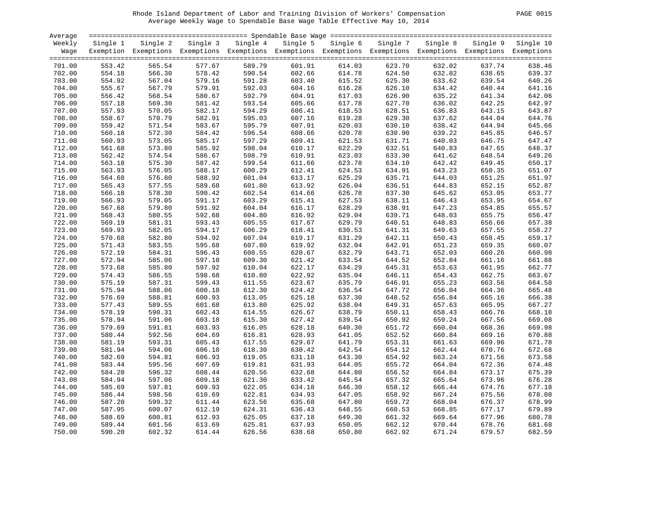#### Rhode Island Department of Labor and Training Division of Workers' Compensation PAGE 0015 Average Weekly Wage to Spendable Base Wage Table Effective May 10, 2014

| Average |          |                                                                                                              |          |          |          |          |          |          |        |                    |
|---------|----------|--------------------------------------------------------------------------------------------------------------|----------|----------|----------|----------|----------|----------|--------|--------------------|
| Weekly  | Single 1 | Single 2                                                                                                     | Single 3 | Single 4 | Single 5 | Single 6 | Single 7 | Single 8 |        | Single 9 Single 10 |
| Waqe    |          | Exemption Exemptions Exemptions Exemptions Exemptions Exemptions Exemptions Exemptions Exemptions Exemptions |          |          |          |          |          |          |        |                    |
|         |          |                                                                                                              |          |          |          |          |          |          |        |                    |
| 701.00  | 553.42   | 565.54                                                                                                       | 577.67   | 589.79   | 601.91   | 614.03   | 623.70   | 632.02   | 637.74 | 638.46             |
| 702.00  | 554.18   | 566.30                                                                                                       | 578.42   | 590.54   | 602.66   | 614.78   | 624.50   | 632.82   | 638.65 | 639.37             |
| 703.00  | 554.92   | 567.04                                                                                                       | 579.16   | 591.28   | 603.40   | 615.52   | 625.30   | 633.62   | 639.54 | 640.26             |
| 704.00  | 555.67   | 567.79                                                                                                       | 579.91   | 592.03   | 604.16   | 616.28   | 626.10   | 634.42   | 640.44 | 641.16             |
| 705.00  | 556.42   | 568.54                                                                                                       | 580.67   | 592.79   | 604.91   | 617.03   | 626.90   | 635.22   | 641.34 | 642.06             |
| 706.00  | 557.18   | 569.30                                                                                                       | 581.42   | 593.54   | 605.66   | 617.78   | 627.70   | 636.02   | 642.25 | 642.97             |
| 707.00  | 557.93   | 570.05                                                                                                       | 582.17   | 594.29   | 606.41   | 618.53   | 628.51   | 636.83   | 643.15 | 643.87             |
| 708.00  | 558.67   | 570.79                                                                                                       | 582.91   | 595.03   | 607.16   | 619.28   | 629.30   | 637.62   | 644.04 | 644.76             |
| 709.00  | 559.42   | 571.54                                                                                                       | 583.67   | 595.79   | 607.91   | 620.03   | 630.10   | 638.42   | 644.94 | 645.66             |
| 710.00  | 560.18   | 572.30                                                                                                       | 584.42   | 596.54   | 608.66   | 620.78   | 630.90   | 639.22   | 645.85 | 646.57             |
| 711.00  | 560.93   | 573.05                                                                                                       | 585.17   | 597.29   | 609.41   | 621.53   | 631.71   | 640.03   | 646.75 | 647.47             |
| 712.00  | 561.68   | 573.80                                                                                                       | 585.92   | 598.04   | 610.17   | 622.29   | 632.51   | 640.83   | 647.65 | 648.37             |
| 713.00  | 562.42   | 574.54                                                                                                       | 586.67   | 598.79   | 610.91   | 623.03   | 633.30   | 641.62   | 648.54 | 649.26             |
| 714.00  | 563.18   | 575.30                                                                                                       | 587.42   | 599.54   | 611.66   | 623.78   | 634.10   | 642.42   | 649.45 | 650.17             |
| 715.00  | 563.93   | 576.05                                                                                                       | 588.17   | 600.29   | 612.41   | 624.53   | 634.91   | 643.23   | 650.35 | 651.07             |
| 716.00  | 564.68   | 576.80                                                                                                       | 588.92   | 601.04   | 613.17   | 625.29   | 635.71   | 644.03   | 651.25 | 651.97             |
| 717.00  | 565.43   | 577.55                                                                                                       | 589.68   | 601.80   | 613.92   | 626.04   | 636.51   | 644.83   | 652.15 | 652.87             |
| 718.00  | 566.18   | 578.30                                                                                                       | 590.42   | 602.54   | 614.66   | 626.78   | 637.30   | 645.62   | 653.05 | 653.77             |
| 719.00  | 566.93   | 579.05                                                                                                       | 591.17   | 603.29   | 615.41   | 627.53   | 638.11   | 646.43   | 653.95 | 654.67             |
| 720.00  | 567.68   | 579.80                                                                                                       | 591.92   | 604.04   | 616.17   | 628.29   | 638.91   | 647.23   | 654.85 | 655.57             |
| 721.00  | 568.43   | 580.55                                                                                                       | 592.68   | 604.80   | 616.92   | 629.04   | 639.71   | 648.03   | 655.75 | 656.47             |
| 722.00  | 569.19   | 581.31                                                                                                       | 593.43   | 605.55   | 617.67   | 629.79   | 640.51   | 648.83   | 656.66 | 657.38             |
| 723.00  | 569.93   | 582.05                                                                                                       | 594.17   | 606.29   | 618.41   | 630.53   | 641.31   | 649.63   | 657.55 | 658.27             |
| 724.00  | 570.68   | 582.80                                                                                                       | 594.92   | 607.04   | 619.17   | 631.29   | 642.11   | 650.43   | 658.45 | 659.17             |
| 725.00  | 571.43   | 583.55                                                                                                       | 595.68   | 607.80   | 619.92   | 632.04   | 642.91   | 651.23   | 659.35 | 660.07             |
| 726.00  | 572.19   | 584.31                                                                                                       | 596.43   | 608.55   | 620.67   | 632.79   | 643.71   | 652.03   | 660.26 | 660.98             |
| 727.00  | 572.94   | 585.06                                                                                                       | 597.18   | 609.30   | 621.42   | 633.54   | 644.52   | 652.84   | 661.16 | 661.88             |
| 728.00  | 573.68   | 585.80                                                                                                       | 597.92   | 610.04   | 622.17   | 634.29   | 645.31   | 653.63   | 661.95 | 662.77             |
| 729.00  | 574.43   | 586.55                                                                                                       | 598.68   | 610.80   | 622.92   | 635.04   | 646.11   | 654.43   | 662.75 | 663.67             |
| 730.00  | 575.19   | 587.31                                                                                                       | 599.43   | 611.55   | 623.67   | 635.79   | 646.91   | 655.23   | 663.56 | 664.58             |
| 731.00  | 575.94   | 588.06                                                                                                       | 600.18   | 612.30   | 624.42   | 636.54   | 647.72   | 656.04   | 664.36 | 665.48             |
| 732.00  | 576.69   | 588.81                                                                                                       | 600.93   | 613.05   | 625.18   | 637.30   | 648.52   | 656.84   | 665.16 | 666.38             |
| 733.00  | 577.43   | 589.55                                                                                                       | 601.68   | 613.80   | 625.92   | 638.04   | 649.31   | 657.63   | 665.95 | 667.27             |
| 734.00  | 578.19   | 590.31                                                                                                       | 602.43   | 614.55   | 626.67   | 638.79   | 650.11   | 658.43   | 666.76 | 668.18             |
| 735.00  | 578.94   | 591.06                                                                                                       | 603.18   | 615.30   | 627.42   | 639.54   | 650.92   | 659.24   | 667.56 | 669.08             |
| 736.00  | 579.69   | 591.81                                                                                                       | 603.93   | 616.05   | 628.18   | 640.30   | 651.72   | 660.04   | 668.36 | 669.98             |
| 737.00  | 580.44   | 592.56                                                                                                       | 604.69   | 616.81   | 628.93   | 641.05   | 652.52   | 660.84   | 669.16 | 670.88             |
| 738.00  | 581.19   | 593.31                                                                                                       | 605.43   | 617.55   | 629.67   | 641.79   | 653.31   | 661.63   | 669.96 | 671.78             |
| 739.00  | 581.94   | 594.06                                                                                                       | 606.18   | 618.30   | 630.42   | 642.54   | 654.12   | 662.44   | 670.76 | 672.68             |
| 740.00  | 582.69   | 594.81                                                                                                       | 606.93   | 619.05   | 631.18   | 643.30   | 654.92   | 663.24   | 671.56 | 673.58             |
| 741.00  | 583.44   | 595.56                                                                                                       | 607.69   | 619.81   | 631.93   | 644.05   | 655.72   | 664.04   | 672.36 | 674.48             |
| 742.00  | 584.20   | 596.32                                                                                                       | 608.44   | 620.56   | 632.68   | 644.80   | 656.52   | 664.84   | 673.17 | 675.39             |
| 743.00  | 584.94   | 597.06                                                                                                       | 609.18   | 621.30   | 633.42   | 645.54   | 657.32   | 665.64   | 673.96 | 676.28             |
| 744.00  | 585.69   | 597.81                                                                                                       | 609.93   | 622.05   | 634.18   | 646.30   | 658.12   | 666.44   | 674.76 | 677.18             |
| 745.00  | 586.44   | 598.56                                                                                                       | 610.69   | 622.81   | 634.93   | 647.05   | 658.92   | 667.24   | 675.56 | 678.08             |
| 746.00  | 587.20   | 599.32                                                                                                       | 611.44   | 623.56   | 635.68   | 647.80   | 659.72   | 668.04   | 676.37 | 678.99             |
| 747.00  | 587.95   | 600.07                                                                                                       | 612.19   | 624.31   | 636.43   | 648.55   | 660.53   | 668.85   | 677.17 | 679.89             |
| 748.00  | 588.69   | 600.81                                                                                                       | 612.93   | 625.05   | 637.18   | 649.30   | 661.32   | 669.64   | 677.96 | 680.78             |
| 749.00  | 589.44   | 601.56                                                                                                       | 613.69   | 625.81   | 637.93   | 650.05   | 662.12   | 670.44   | 678.76 | 681.68             |
| 750.00  | 590.20   | 602.32                                                                                                       | 614.44   | 626.56   | 638.68   | 650.80   | 662.92   | 671.24   | 679.57 | 682.59             |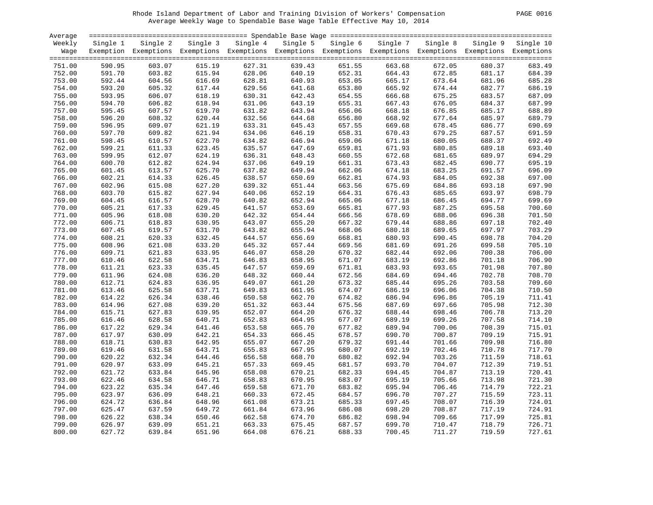#### Rhode Island Department of Labor and Training Division of Workers' Compensation PAGE 0016 Average Weekly Wage to Spendable Base Wage Table Effective May 10, 2014

|--|

| Average          |                  |                  |                  |                  |                  |                                                                                                              |                  |                  |                  |                  |
|------------------|------------------|------------------|------------------|------------------|------------------|--------------------------------------------------------------------------------------------------------------|------------------|------------------|------------------|------------------|
| Weekly           | Single 1         | Single 2         | Single 3         | Single 4         |                  | Single 5 Single 6                                                                                            | Single 7         | Single 8         | Single 9         | Single 10        |
| Wage             |                  |                  |                  |                  |                  | Exemption Exemptions Exemptions Exemptions Exemptions Exemptions Exemptions Exemptions Exemptions Exemptions |                  |                  |                  |                  |
|                  |                  |                  |                  |                  |                  |                                                                                                              |                  |                  |                  |                  |
| 751.00           | 590.95           | 603.07           | 615.19           | 627.31           | 639.43           | 651.55                                                                                                       | 663.68           | 672.05           | 680.37           | 683.49           |
| 752.00           | 591.70           | 603.82           | 615.94           | 628.06           | 640.19           | 652.31                                                                                                       | 664.43           | 672.85           | 681.17           | 684.39           |
| 753.00           | 592.44           | 604.56           | 616.69           | 628.81           | 640.93           | 653.05                                                                                                       | 665.17           | 673.64           | 681.96           | 685.28           |
| 754.00           | 593.20           | 605.32           | 617.44           | 629.56           | 641.68           | 653.80                                                                                                       | 665.92           | 674.44           | 682.77           | 686.19           |
| 755.00           | 593.95           | 606.07           | 618.19           | 630.31           | 642.43           | 654.55                                                                                                       | 666.68           | 675.25           | 683.57           | 687.09           |
| 756.00           | 594.70           | 606.82           | 618.94           | 631.06           | 643.19           | 655.31                                                                                                       | 667.43           | 676.05           | 684.37           | 687.99           |
| 757.00           | 595.45           | 607.57           | 619.70           | 631.82           | 643.94           | 656.06                                                                                                       | 668.18           | 676.85           | 685.17           | 688.89           |
| 758.00           | 596.20           | 608.32           | 620.44           | 632.56           | 644.68           | 656.80                                                                                                       | 668.92           | 677.64           | 685.97           | 689.79           |
| 759.00           | 596.95           | 609.07           | 621.19           | 633.31           | 645.43           | 657.55                                                                                                       | 669.68           | 678.45           | 686.77           | 690.69           |
| 760.00           | 597.70           | 609.82           | 621.94           | 634.06           | 646.19           | 658.31                                                                                                       | 670.43           | 679.25           | 687.57           | 691.59           |
| 761.00           | 598.45           | 610.57           | 622.70           | 634.82           | 646.94           | 659.06                                                                                                       | 671.18           | 680.05           | 688.37           | 692.49           |
| 762.00           | 599.21           | 611.33           | 623.45           | 635.57           | 647.69           | 659.81                                                                                                       | 671.93           | 680.85           | 689.18           | 693.40           |
| 763.00           | 599.95           | 612.07           | 624.19           | 636.31           | 648.43           | 660.55                                                                                                       | 672.68           | 681.65           | 689.97           | 694.29           |
| 764.00           | 600.70           | 612.82           | 624.94           | 637.06           | 649.19           | 661.31                                                                                                       | 673.43           | 682.45           | 690.77           | 695.19           |
| 765.00           | 601.45           | 613.57           | 625.70           | 637.82           | 649.94           | 662.06                                                                                                       | 674.18           | 683.25           | 691.57           | 696.09           |
| 766.00           | 602.21           | 614.33           | 626.45           | 638.57           | 650.69           | 662.81                                                                                                       | 674.93           | 684.05           | 692.38           | 697.00           |
| 767.00           | 602.96           | 615.08           | 627.20           | 639.32           | 651.44           | 663.56                                                                                                       | 675.69           | 684.86           | 693.18           | 697.90           |
| 768.00           | 603.70           | 615.82           | 627.94           | 640.06           | 652.19           | 664.31                                                                                                       | 676.43           | 685.65           | 693.97           | 698.79           |
| 769.00           | 604.45           | 616.57           | 628.70           | 640.82           | 652.94           | 665.06                                                                                                       | 677.18           | 686.45           | 694.77           | 699.69           |
| 770.00           | 605.21           | 617.33           | 629.45           | 641.57           | 653.69           | 665.81                                                                                                       | 677.93           | 687.25           | 695.58           | 700.60           |
| 771.00           | 605.96           | 618.08           | 630.20           | 642.32           | 654.44           | 666.56                                                                                                       | 678.69           | 688.06           | 696.38           | 701.50           |
| 772.00           | 606.71           | 618.83           | 630.95           | 643.07           | 655.20           | 667.32                                                                                                       | 679.44           | 688.86           | 697.18           | 702.40           |
| 773.00           | 607.45           | 619.57           | 631.70           | 643.82           | 655.94           | 668.06                                                                                                       | 680.18           | 689.65           | 697.97           | 703.29           |
| 774.00           | 608.21           | 620.33           | 632.45           | 644.57           | 656.69           | 668.81                                                                                                       | 680.93           | 690.45           | 698.78           | 704.20           |
| 775.00           | 608.96           | 621.08           | 633.20           | 645.32           | 657.44           | 669.56                                                                                                       | 681.69           | 691.26           | 699.58           | 705.10           |
| 776.00           | 609.71           | 621.83           | 633.95           | 646.07           | 658.20           | 670.32                                                                                                       | 682.44           | 692.06           | 700.38           | 706.00           |
| 777.00           | 610.46           | 622.58           | 634.71           | 646.83           | 658.95           | 671.07                                                                                                       | 683.19           | 692.86           | 701.18           | 706.90           |
| 778.00           | 611.21           | 623.33           | 635.45           | 647.57           | 659.69           | 671.81                                                                                                       | 683.93           | 693.65           | 701.98           | 707.80           |
| 779.00           | 611.96           | 624.08           | 636.20           | 648.32           | 660.44           | 672.56                                                                                                       | 684.69           | 694.46           | 702.78           | 708.70           |
| 780.00           | 612.71           | 624.83           | 636.95           | 649.07           | 661.20           | 673.32                                                                                                       | 685.44           | 695.26           | 703.58           | 709.60           |
| 781.00           | 613.46           | 625.58           | 637.71           | 649.83           | 661.95           | 674.07                                                                                                       | 686.19           | 696.06           | 704.38           | 710.50           |
| 782.00           | 614.22           | 626.34           | 638.46           | 650.58           | 662.70           | 674.82                                                                                                       | 686.94           | 696.86           | 705.19           | 711.41           |
| 783.00           | 614.96           | 627.08           | 639.20           | 651.32           | 663.44           | 675.56                                                                                                       | 687.69           | 697.66           | 705.98           | 712.30           |
| 784.00           | 615.71           | 627.83           | 639.95           | 652.07           | 664.20           | 676.32                                                                                                       | 688.44           | 698.46           | 706.78           | 713.20           |
| 785.00           | 616.46           | 628.58           | 640.71           | 652.83           | 664.95           | 677.07                                                                                                       | 689.19           | 699.26           | 707.58           | 714.10           |
| 786.00           | 617.22           | 629.34           | 641.46           | 653.58           | 665.70           | 677.82                                                                                                       | 689.94           | 700.06           | 708.39           | 715.01           |
| 787.00           | 617.97           | 630.09           | 642.21           | 654.33           | 666.45           | 678.57                                                                                                       | 690.70           | 700.87           | 709.19           | 715.91           |
| 788.00           | 618.71           | 630.83           | 642.95           | 655.07           | 667.20           | 679.32                                                                                                       | 691.44           | 701.66           | 709.98           | 716.80           |
| 789.00           | 619.46           | 631.58           | 643.71           | 655.83           | 667.95           | 680.07                                                                                                       | 692.19           | 702.46           | 710.78           | 717.70           |
| 790.00           | 620.22           | 632.34           | 644.46           | 656.58           | 668.70           | 680.82                                                                                                       | 692.94           | 703.26           | 711.59           | 718.61           |
| 791.00           | 620.97           | 633.09           | 645.21           | 657.33           | 669.45           | 681.57                                                                                                       | 693.70           | 704.07           | 712.39           | 719.51           |
| 792.00           | 621.72           | 633.84           | 645.96           | 658.08           | 670.21           | 682.33                                                                                                       | 694.45           | 704.87           | 713.19           | 720.41           |
| 793.00           | 622.46           | 634.58           | 646.71           | 658.83           | 670.95           | 683.07                                                                                                       | 695.19           | 705.66           | 713.98           | 721.30           |
| 794.00           | 623.22           | 635.34           | 647.46           | 659.58           | 671.70           | 683.82                                                                                                       | 695.94           | 706.46           | 714.79           | 722.21           |
|                  |                  |                  |                  |                  |                  |                                                                                                              |                  | 707.27           | 715.59           | 723.11           |
| 795.00<br>796.00 | 623.97<br>624.72 | 636.09<br>636.84 | 648.21<br>648.96 | 660.33<br>661.08 | 672.45           | 684.57                                                                                                       | 696.70<br>697.45 | 708.07           | 716.39           | 724.01           |
| 797.00           |                  | 637.59           | 649.72           |                  | 673.21<br>673.96 | 685.33                                                                                                       | 698.20           | 708.87           | 717.19           |                  |
|                  | 625.47           |                  |                  | 661.84           |                  | 686.08                                                                                                       |                  |                  |                  | 724.91           |
| 798.00<br>799.00 | 626.22<br>626.97 | 638.34           | 650.46           | 662.58           | 674.70<br>675.45 | 686.82<br>687.57                                                                                             | 698.94<br>699.70 | 709.66<br>710.47 | 717.99<br>718.79 | 725.81<br>726.71 |
| 800.00           | 627.72           | 639.09<br>639.84 | 651.21<br>651.96 | 663.33<br>664.08 | 676.21           |                                                                                                              | 700.45           | 711.27           | 719.59           | 727.61           |
|                  |                  |                  |                  |                  |                  | 688.33                                                                                                       |                  |                  |                  |                  |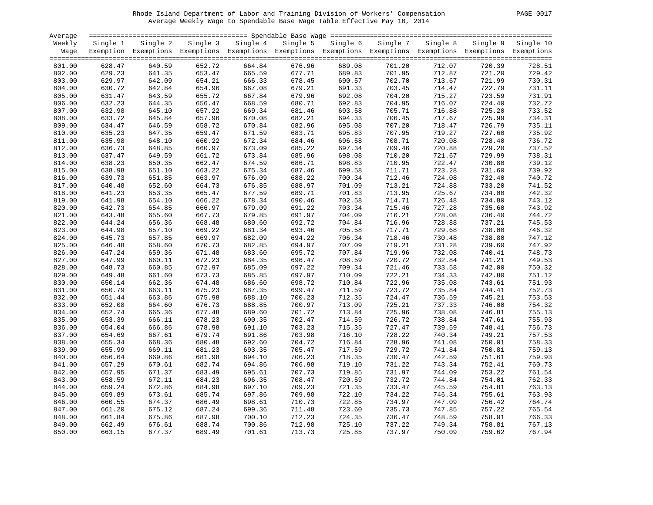#### Rhode Island Department of Labor and Training Division of Workers' Compensation PAGE 0017 Average Weekly Wage to Spendable Base Wage Table Effective May 10, 2014

|  | PAGE. | $00^{\circ}$ |
|--|-------|--------------|
|--|-------|--------------|

| Average |          |                                                                                                              |          |          |          |          |          |          |          |           |
|---------|----------|--------------------------------------------------------------------------------------------------------------|----------|----------|----------|----------|----------|----------|----------|-----------|
| Weekly  | Single 1 | Single 2                                                                                                     | Single 3 | Single 4 | Single 5 | Single 6 | Single 7 | Single 8 | Single 9 | Single 10 |
| Wage    |          | Exemption Exemptions Exemptions Exemptions Exemptions Exemptions Exemptions Exemptions Exemptions Exemptions |          |          |          |          |          |          |          |           |
|         |          |                                                                                                              |          |          |          |          |          |          |          |           |
| 801.00  | 628.47   | 640.59                                                                                                       | 652.72   | 664.84   | 676.96   | 689.08   | 701.20   | 712.07   | 720.39   | 728.51    |
| 802.00  | 629.23   | 641.35                                                                                                       | 653.47   | 665.59   | 677.71   | 689.83   | 701.95   | 712.87   | 721.20   | 729.42    |
| 803.00  | 629.97   | 642.09                                                                                                       | 654.21   | 666.33   | 678.45   | 690.57   | 702.70   | 713.67   | 721.99   | 730.31    |
| 804.00  | 630.72   | 642.84                                                                                                       | 654.96   | 667.08   | 679.21   | 691.33   | 703.45   | 714.47   | 722.79   | 731.11    |
| 805.00  | 631.47   | 643.59                                                                                                       | 655.72   | 667.84   | 679.96   | 692.08   | 704.20   | 715.27   | 723.59   | 731.91    |
| 806.00  | 632.23   | 644.35                                                                                                       | 656.47   | 668.59   | 680.71   | 692.83   | 704.95   | 716.07   | 724.40   | 732.72    |
| 807.00  | 632.98   | 645.10                                                                                                       | 657.22   | 669.34   | 681.46   | 693.58   | 705.71   | 716.88   | 725.20   | 733.52    |
| 808.00  | 633.72   | 645.84                                                                                                       | 657.96   | 670.08   | 682.21   | 694.33   | 706.45   | 717.67   | 725.99   | 734.31    |
| 809.00  | 634.47   | 646.59                                                                                                       | 658.72   | 670.84   | 682.96   | 695.08   | 707.20   | 718.47   | 726.79   | 735.11    |
| 810.00  | 635.23   | 647.35                                                                                                       | 659.47   | 671.59   | 683.71   | 695.83   | 707.95   | 719.27   | 727.60   | 735.92    |
| 811.00  | 635.98   | 648.10                                                                                                       | 660.22   | 672.34   | 684.46   | 696.58   | 708.71   | 720.08   | 728.40   | 736.72    |
| 812.00  | 636.73   | 648.85                                                                                                       | 660.97   | 673.09   | 685.22   | 697.34   | 709.46   | 720.88   | 729.20   | 737.52    |
| 813.00  | 637.47   | 649.59                                                                                                       | 661.72   | 673.84   | 685.96   | 698.08   | 710.20   | 721.67   | 729.99   | 738.31    |
| 814.00  | 638.23   | 650.35                                                                                                       | 662.47   | 674.59   | 686.71   | 698.83   | 710.95   | 722.47   | 730.80   | 739.12    |
| 815.00  | 638.98   | 651.10                                                                                                       | 663.22   | 675.34   | 687.46   | 699.58   | 711.71   | 723.28   | 731.60   | 739.92    |
| 816.00  | 639.73   | 651.85                                                                                                       | 663.97   | 676.09   | 688.22   | 700.34   | 712.46   | 724.08   | 732.40   | 740.72    |
| 817.00  | 640.48   | 652.60                                                                                                       | 664.73   | 676.85   | 688.97   | 701.09   | 713.21   | 724.88   | 733.20   | 741.52    |
| 818.00  | 641.23   | 653.35                                                                                                       | 665.47   | 677.59   | 689.71   | 701.83   | 713.95   | 725.67   | 734.00   | 742.32    |
| 819.00  | 641.98   | 654.10                                                                                                       | 666.22   | 678.34   | 690.46   | 702.58   | 714.71   | 726.48   | 734.80   | 743.12    |
| 820.00  | 642.73   | 654.85                                                                                                       | 666.97   | 679.09   | 691.22   | 703.34   | 715.46   | 727.28   | 735.60   | 743.92    |
| 821.00  | 643.48   | 655.60                                                                                                       | 667.73   | 679.85   | 691.97   | 704.09   | 716.21   | 728.08   | 736.40   | 744.72    |
| 822.00  | 644.24   | 656.36                                                                                                       | 668.48   | 680.60   | 692.72   | 704.84   | 716.96   | 728.88   | 737.21   | 745.53    |
| 823.00  | 644.98   | 657.10                                                                                                       | 669.22   | 681.34   | 693.46   | 705.58   | 717.71   | 729.68   | 738.00   | 746.32    |
| 824.00  | 645.73   | 657.85                                                                                                       | 669.97   | 682.09   | 694.22   | 706.34   | 718.46   | 730.48   | 738.80   | 747.12    |
| 825.00  | 646.48   | 658.60                                                                                                       | 670.73   | 682.85   | 694.97   | 707.09   | 719.21   | 731.28   | 739.60   | 747.92    |
| 826.00  | 647.24   | 659.36                                                                                                       | 671.48   | 683.60   | 695.72   | 707.84   | 719.96   | 732.08   | 740.41   | 748.73    |
| 827.00  | 647.99   | 660.11                                                                                                       | 672.23   | 684.35   | 696.47   | 708.59   | 720.72   | 732.84   | 741.21   | 749.53    |
| 828.00  | 648.73   | 660.85                                                                                                       | 672.97   | 685.09   | 697.22   | 709.34   | 721.46   | 733.58   | 742.00   | 750.32    |
| 829.00  | 649.48   | 661.60                                                                                                       | 673.73   | 685.85   | 697.97   | 710.09   | 722.21   | 734.33   | 742.80   | 751.12    |
| 830.00  | 650.14   | 662.36                                                                                                       | 674.48   | 686.60   | 698.72   | 710.84   | 722.96   | 735.08   | 743.61   | 751.93    |
| 831.00  | 650.79   | 663.11                                                                                                       | 675.23   | 687.35   | 699.47   | 711.59   | 723.72   | 735.84   | 744.41   | 752.73    |
| 832.00  | 651.44   | 663.86                                                                                                       | 675.98   | 688.10   | 700.23   | 712.35   | 724.47   | 736.59   | 745.21   | 753.53    |
| 833.00  | 652.08   | 664.60                                                                                                       | 676.73   | 688.85   | 700.97   | 713.09   | 725.21   | 737.33   | 746.00   | 754.32    |
| 834.00  | 652.74   | 665.36                                                                                                       | 677.48   | 689.60   | 701.72   | 713.84   | 725.96   | 738.08   | 746.81   | 755.13    |
| 835.00  | 653.39   | 666.11                                                                                                       | 678.23   | 690.35   | 702.47   | 714.59   | 726.72   | 738.84   | 747.61   | 755.93    |
| 836.00  | 654.04   | 666.86                                                                                                       | 678.98   | 691.10   | 703.23   | 715.35   | 727.47   | 739.59   | 748.41   | 756.73    |
| 837.00  | 654.69   | 667.61                                                                                                       | 679.74   | 691.86   | 703.98   | 716.10   | 728.22   | 740.34   | 749.21   | 757.53    |
| 838.00  | 655.34   | 668.36                                                                                                       | 680.48   | 692.60   | 704.72   | 716.84   | 728.96   | 741.08   | 750.01   | 758.33    |
| 839.00  | 655.99   | 669.11                                                                                                       | 681.23   | 693.35   | 705.47   | 717.59   | 729.72   | 741.84   | 750.81   | 759.13    |
| 840.00  | 656.64   | 669.86                                                                                                       | 681.98   | 694.10   | 706.23   | 718.35   | 730.47   | 742.59   | 751.61   | 759.93    |
| 841.00  | 657.29   | 670.61                                                                                                       | 682.74   | 694.86   | 706.98   | 719.10   | 731.22   | 743.34   | 752.41   | 760.73    |
| 842.00  | 657.95   | 671.37                                                                                                       | 683.49   | 695.61   | 707.73   | 719.85   | 731.97   | 744.09   | 753.22   | 761.54    |
| 843.00  | 658.59   | 672.11                                                                                                       | 684.23   | 696.35   | 708.47   | 720.59   | 732.72   | 744.84   | 754.01   | 762.33    |
| 844.00  | 659.24   | 672.86                                                                                                       | 684.98   | 697.10   | 709.23   | 721.35   | 733.47   | 745.59   | 754.81   | 763.13    |
| 845.00  | 659.89   | 673.61                                                                                                       | 685.74   | 697.86   | 709.98   | 722.10   | 734.22   | 746.34   | 755.61   | 763.93    |
| 846.00  | 660.55   | 674.37                                                                                                       | 686.49   | 698.61   | 710.73   | 722.85   | 734.97   | 747.09   | 756.42   | 764.74    |
| 847.00  | 661.20   | 675.12                                                                                                       | 687.24   | 699.36   | 711.48   | 723.60   | 735.73   | 747.85   | 757.22   | 765.54    |
| 848.00  | 661.84   | 675.86                                                                                                       | 687.98   | 700.10   | 712.23   | 724.35   | 736.47   | 748.59   | 758.01   | 766.33    |
| 849.00  | 662.49   | 676.61                                                                                                       | 688.74   | 700.86   | 712.98   | 725.10   | 737.22   | 749.34   | 758.81   | 767.13    |
| 850.00  | 663.15   | 677.37                                                                                                       | 689.49   | 701.61   | 713.73   | 725.85   | 737.97   | 750.09   | 759.62   | 767.94    |
|         |          |                                                                                                              |          |          |          |          |          |          |          |           |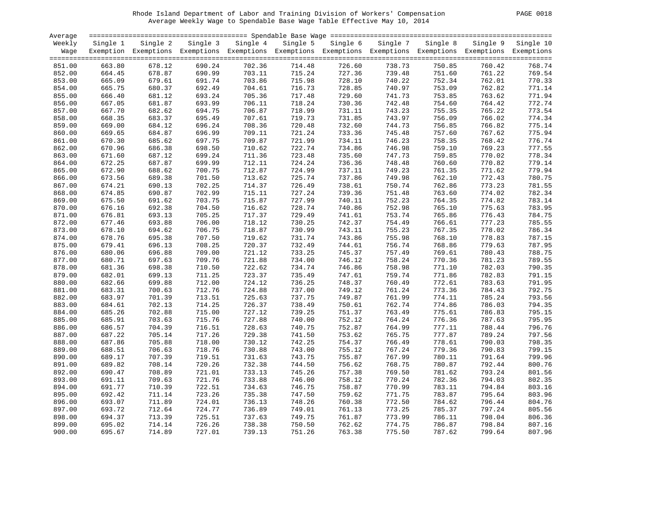#### Rhode Island Department of Labor and Training Division of Workers' Compensation PAGE 0018 Average Weekly Wage to Spendable Base Wage Table Effective May 10, 2014

| PAGE | -0018 |  |
|------|-------|--|
|------|-------|--|

| Average |          |                                                                                                              |          |          |          |          |          |          |          |           |
|---------|----------|--------------------------------------------------------------------------------------------------------------|----------|----------|----------|----------|----------|----------|----------|-----------|
| Weekly  | Single 1 | Single 2                                                                                                     | Single 3 | Single 4 | Single 5 | Single 6 | Single 7 | Single 8 | Single 9 | Single 10 |
| Wage    |          | Exemption Exemptions Exemptions Exemptions Exemptions Exemptions Exemptions Exemptions Exemptions Exemptions |          |          |          |          |          |          |          |           |
|         |          |                                                                                                              |          |          |          |          |          |          |          |           |
| 851.00  | 663.80   | 678.12                                                                                                       | 690.24   | 702.36   | 714.48   | 726.60   | 738.73   | 750.85   | 760.42   | 768.74    |
| 852.00  | 664.45   | 678.87                                                                                                       | 690.99   | 703.11   | 715.24   | 727.36   | 739.48   | 751.60   | 761.22   | 769.54    |
| 853.00  | 665.09   | 679.61                                                                                                       | 691.74   | 703.86   | 715.98   | 728.10   | 740.22   | 752.34   | 762.01   | 770.33    |
| 854.00  | 665.75   | 680.37                                                                                                       | 692.49   | 704.61   | 716.73   | 728.85   | 740.97   | 753.09   | 762.82   | 771.14    |
| 855.00  | 666.40   | 681.12                                                                                                       | 693.24   | 705.36   | 717.48   | 729.60   | 741.73   | 753.85   | 763.62   | 771.94    |
| 856.00  | 667.05   | 681.87                                                                                                       | 693.99   | 706.11   | 718.24   | 730.36   | 742.48   | 754.60   | 764.42   | 772.74    |
| 857.00  | 667.70   | 682.62                                                                                                       | 694.75   | 706.87   | 718.99   | 731.11   | 743.23   | 755.35   | 765.22   | 773.54    |
| 858.00  | 668.35   | 683.37                                                                                                       | 695.49   | 707.61   | 719.73   | 731.85   | 743.97   | 756.09   | 766.02   | 774.34    |
| 859.00  | 669.00   | 684.12                                                                                                       | 696.24   | 708.36   | 720.48   | 732.60   | 744.73   | 756.85   | 766.82   | 775.14    |
| 860.00  | 669.65   | 684.87                                                                                                       | 696.99   | 709.11   | 721.24   | 733.36   | 745.48   | 757.60   | 767.62   | 775.94    |
| 861.00  | 670.30   | 685.62                                                                                                       | 697.75   | 709.87   | 721.99   | 734.11   | 746.23   | 758.35   | 768.42   | 776.74    |
| 862.00  | 670.96   | 686.38                                                                                                       | 698.50   | 710.62   | 722.74   | 734.86   | 746.98   | 759.10   | 769.23   | 777.55    |
| 863.00  | 671.60   | 687.12                                                                                                       | 699.24   | 711.36   | 723.48   | 735.60   | 747.73   | 759.85   | 770.02   | 778.34    |
| 864.00  | 672.25   | 687.87                                                                                                       | 699.99   | 712.11   | 724.24   | 736.36   | 748.48   | 760.60   | 770.82   | 779.14    |
| 865.00  | 672.90   | 688.62                                                                                                       | 700.75   | 712.87   | 724.99   | 737.11   | 749.23   | 761.35   | 771.62   | 779.94    |
| 866.00  | 673.56   | 689.38                                                                                                       | 701.50   | 713.62   | 725.74   | 737.86   | 749.98   | 762.10   | 772.43   | 780.75    |
| 867.00  | 674.21   | 690.13                                                                                                       | 702.25   | 714.37   | 726.49   | 738.61   | 750.74   | 762.86   | 773.23   | 781.55    |
| 868.00  | 674.85   | 690.87                                                                                                       | 702.99   | 715.11   | 727.24   | 739.36   | 751.48   | 763.60   | 774.02   | 782.34    |
| 869.00  | 675.50   | 691.62                                                                                                       | 703.75   | 715.87   | 727.99   | 740.11   | 752.23   | 764.35   | 774.82   | 783.14    |
| 870.00  | 676.16   | 692.38                                                                                                       | 704.50   | 716.62   | 728.74   | 740.86   | 752.98   | 765.10   | 775.63   | 783.95    |
| 871.00  | 676.81   | 693.13                                                                                                       | 705.25   | 717.37   | 729.49   | 741.61   | 753.74   | 765.86   | 776.43   | 784.75    |
| 872.00  | 677.46   | 693.88                                                                                                       | 706.00   | 718.12   | 730.25   | 742.37   | 754.49   | 766.61   | 777.23   | 785.55    |
| 873.00  | 678.10   | 694.62                                                                                                       | 706.75   | 718.87   | 730.99   | 743.11   | 755.23   | 767.35   | 778.02   | 786.34    |
| 874.00  | 678.76   | 695.38                                                                                                       | 707.50   | 719.62   | 731.74   | 743.86   | 755.98   | 768.10   | 778.83   | 787.15    |
| 875.00  | 679.41   | 696.13                                                                                                       | 708.25   | 720.37   | 732.49   | 744.61   | 756.74   | 768.86   | 779.63   | 787.95    |
| 876.00  | 680.06   | 696.88                                                                                                       | 709.00   | 721.12   | 733.25   | 745.37   | 757.49   | 769.61   | 780.43   | 788.75    |
| 877.00  | 680.71   | 697.63                                                                                                       | 709.76   | 721.88   | 734.00   | 746.12   | 758.24   | 770.36   | 781.23   | 789.55    |
| 878.00  | 681.36   | 698.38                                                                                                       | 710.50   | 722.62   | 734.74   | 746.86   | 758.98   | 771.10   | 782.03   | 790.35    |
| 879.00  | 682.01   | 699.13                                                                                                       | 711.25   | 723.37   | 735.49   | 747.61   | 759.74   | 771.86   | 782.83   | 791.15    |
| 880.00  | 682.66   | 699.88                                                                                                       | 712.00   | 724.12   | 736.25   | 748.37   | 760.49   | 772.61   | 783.63   | 791.95    |
| 881.00  | 683.31   | 700.63                                                                                                       | 712.76   | 724.88   | 737.00   | 749.12   | 761.24   | 773.36   | 784.43   | 792.75    |
| 882.00  | 683.97   | 701.39                                                                                                       | 713.51   | 725.63   | 737.75   | 749.87   | 761.99   | 774.11   | 785.24   | 793.56    |
| 883.00  | 684.61   | 702.13                                                                                                       | 714.25   | 726.37   | 738.49   | 750.61   | 762.74   | 774.86   | 786.03   | 794.35    |
| 884.00  | 685.26   | 702.88                                                                                                       | 715.00   | 727.12   | 739.25   | 751.37   | 763.49   | 775.61   | 786.83   | 795.15    |
| 885.00  | 685.91   | 703.63                                                                                                       | 715.76   | 727.88   | 740.00   | 752.12   | 764.24   | 776.36   | 787.63   | 795.95    |
| 886.00  | 686.57   | 704.39                                                                                                       | 716.51   | 728.63   | 740.75   | 752.87   | 764.99   | 777.11   | 788.44   | 796.76    |
| 887.00  | 687.22   | 705.14                                                                                                       | 717.26   | 729.38   | 741.50   | 753.62   | 765.75   | 777.87   | 789.24   | 797.56    |
| 888.00  | 687.86   | 705.88                                                                                                       | 718.00   | 730.12   | 742.25   | 754.37   | 766.49   | 778.61   | 790.03   | 798.35    |
| 889.00  | 688.51   | 706.63                                                                                                       | 718.76   | 730.88   | 743.00   | 755.12   | 767.24   | 779.36   | 790.83   | 799.15    |
| 890.00  | 689.17   | 707.39                                                                                                       | 719.51   | 731.63   | 743.75   | 755.87   | 767.99   | 780.11   | 791.64   | 799.96    |
| 891.00  | 689.82   | 708.14                                                                                                       | 720.26   | 732.38   | 744.50   | 756.62   | 768.75   | 780.87   | 792.44   | 800.76    |
| 892.00  | 690.47   | 708.89                                                                                                       | 721.01   | 733.13   | 745.26   | 757.38   | 769.50   | 781.62   | 793.24   | 801.56    |
| 893.00  | 691.11   | 709.63                                                                                                       | 721.76   | 733.88   | 746.00   | 758.12   | 770.24   | 782.36   | 794.03   | 802.35    |
| 894.00  | 691.77   | 710.39                                                                                                       | 722.51   | 734.63   | 746.75   | 758.87   | 770.99   | 783.11   | 794.84   | 803.16    |
| 895.00  | 692.42   | 711.14                                                                                                       | 723.26   | 735.38   | 747.50   | 759.62   | 771.75   | 783.87   | 795.64   | 803.96    |
| 896.00  | 693.07   | 711.89                                                                                                       | 724.01   | 736.13   | 748.26   | 760.38   | 772.50   | 784.62   | 796.44   | 804.76    |
| 897.00  | 693.72   | 712.64                                                                                                       | 724.77   | 736.89   | 749.01   | 761.13   | 773.25   | 785.37   | 797.24   | 805.56    |
| 898.00  | 694.37   | 713.39                                                                                                       | 725.51   | 737.63   | 749.75   | 761.87   | 773.99   | 786.11   | 798.04   | 806.36    |
| 899.00  | 695.02   | 714.14                                                                                                       | 726.26   | 738.38   | 750.50   | 762.62   | 774.75   | 786.87   | 798.84   | 807.16    |
| 900.00  | 695.67   | 714.89                                                                                                       | 727.01   | 739.13   | 751.26   | 763.38   | 775.50   | 787.62   | 799.64   | 807.96    |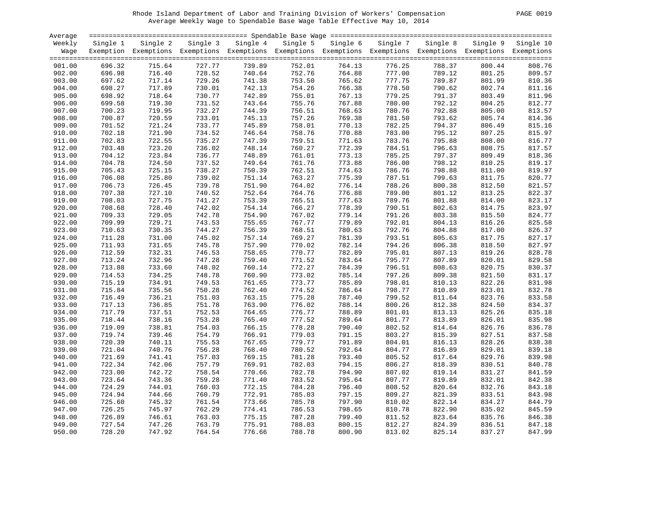#### Rhode Island Department of Labor and Training Division of Workers' Compensation PAGE 0019 Average Weekly Wage to Spendable Base Wage Table Effective May 10, 2014

| PAGE 0019 |  |  |  |
|-----------|--|--|--|
|-----------|--|--|--|

| Average |          |          |          |          |          |                                                                                                   |          |          |          |           |
|---------|----------|----------|----------|----------|----------|---------------------------------------------------------------------------------------------------|----------|----------|----------|-----------|
| Weekly  | Single 1 | Single 2 | Single 3 | Single 4 | Single 5 | Single 6                                                                                          | Single 7 | Single 8 | Single 9 | Single 10 |
| Wage    |          |          |          |          |          | Exemption Exemptions Exemptions Exemptions Exemptions Exemptions Exemptions Exemptions Exemptions |          |          |          |           |
|         |          |          |          |          |          |                                                                                                   |          |          |          |           |
| 901.00  | 696.32   | 715.64   | 727.77   | 739.89   | 752.01   | 764.13                                                                                            | 776.25   | 788.37   | 800.44   | 808.76    |
| 902.00  | 696.98   | 716.40   | 728.52   | 740.64   | 752.76   | 764.88                                                                                            | 777.00   | 789.12   | 801.25   | 809.57    |
| 903.00  | 697.62   | 717.14   | 729.26   | 741.38   | 753.50   | 765.62                                                                                            | 777.75   | 789.87   | 801.99   | 810.36    |
| 904.00  | 698.27   | 717.89   | 730.01   | 742.13   | 754.26   | 766.38                                                                                            | 778.50   | 790.62   | 802.74   | 811.16    |
| 905.00  | 698.92   | 718.64   | 730.77   | 742.89   | 755.01   | 767.13                                                                                            | 779.25   | 791.37   | 803.49   | 811.96    |
| 906.00  | 699.58   | 719.30   | 731.52   | 743.64   | 755.76   | 767.88                                                                                            | 780.00   | 792.12   | 804.25   | 812.77    |
| 907.00  | 700.23   | 719.95   | 732.27   | 744.39   | 756.51   | 768.63                                                                                            | 780.76   | 792.88   | 805.00   | 813.57    |
| 908.00  | 700.87   | 720.59   | 733.01   | 745.13   | 757.26   | 769.38                                                                                            | 781.50   | 793.62   | 805.74   | 814.36    |
| 909.00  | 701.52   | 721.24   | 733.77   | 745.89   | 758.01   | 770.13                                                                                            | 782.25   | 794.37   | 806.49   | 815.16    |
| 910.00  | 702.18   | 721.90   | 734.52   | 746.64   | 758.76   | 770.88                                                                                            | 783.00   | 795.12   | 807.25   | 815.97    |
| 911.00  | 702.83   | 722.55   | 735.27   | 747.39   | 759.51   | 771.63                                                                                            | 783.76   | 795.88   | 808.00   | 816.77    |
|         |          |          |          | 748.14   |          |                                                                                                   |          | 796.63   |          |           |
| 912.00  | 703.48   | 723.20   | 736.02   |          | 760.27   | 772.39                                                                                            | 784.51   |          | 808.75   | 817.57    |
| 913.00  | 704.12   | 723.84   | 736.77   | 748.89   | 761.01   | 773.13                                                                                            | 785.25   | 797.37   | 809.49   | 818.36    |
| 914.00  | 704.78   | 724.50   | 737.52   | 749.64   | 761.76   | 773.88                                                                                            | 786.00   | 798.12   | 810.25   | 819.17    |
| 915.00  | 705.43   | 725.15   | 738.27   | 750.39   | 762.51   | 774.63                                                                                            | 786.76   | 798.88   | 811.00   | 819.97    |
| 916.00  | 706.08   | 725.80   | 739.02   | 751.14   | 763.27   | 775.39                                                                                            | 787.51   | 799.63   | 811.75   | 820.77    |
| 917.00  | 706.73   | 726.45   | 739.78   | 751.90   | 764.02   | 776.14                                                                                            | 788.26   | 800.38   | 812.50   | 821.57    |
| 918.00  | 707.38   | 727.10   | 740.52   | 752.64   | 764.76   | 776.88                                                                                            | 789.00   | 801.12   | 813.25   | 822.37    |
| 919.00  | 708.03   | 727.75   | 741.27   | 753.39   | 765.51   | 777.63                                                                                            | 789.76   | 801.88   | 814.00   | 823.17    |
| 920.00  | 708.68   | 728.40   | 742.02   | 754.14   | 766.27   | 778.39                                                                                            | 790.51   | 802.63   | 814.75   | 823.97    |
| 921.00  | 709.33   | 729.05   | 742.78   | 754.90   | 767.02   | 779.14                                                                                            | 791.26   | 803.38   | 815.50   | 824.77    |
| 922.00  | 709.99   | 729.71   | 743.53   | 755.65   | 767.77   | 779.89                                                                                            | 792.01   | 804.13   | 816.26   | 825.58    |
| 923.00  | 710.63   | 730.35   | 744.27   | 756.39   | 768.51   | 780.63                                                                                            | 792.76   | 804.88   | 817.00   | 826.37    |
| 924.00  | 711.28   | 731.00   | 745.02   | 757.14   | 769.27   | 781.39                                                                                            | 793.51   | 805.63   | 817.75   | 827.17    |
| 925.00  | 711.93   | 731.65   | 745.78   | 757.90   | 770.02   | 782.14                                                                                            | 794.26   | 806.38   | 818.50   | 827.97    |
| 926.00  | 712.59   | 732.31   | 746.53   | 758.65   | 770.77   | 782.89                                                                                            | 795.01   | 807.13   | 819.26   | 828.78    |
| 927.00  | 713.24   | 732.96   | 747.28   | 759.40   | 771.52   | 783.64                                                                                            | 795.77   | 807.89   | 820.01   | 829.58    |
| 928.00  | 713.88   | 733.60   | 748.02   | 760.14   | 772.27   | 784.39                                                                                            | 796.51   | 808.63   | 820.75   | 830.37    |
| 929.00  | 714.53   | 734.25   | 748.78   | 760.90   | 773.02   | 785.14                                                                                            | 797.26   | 809.38   | 821.50   | 831.17    |
| 930.00  | 715.19   | 734.91   | 749.53   | 761.65   | 773.77   | 785.89                                                                                            | 798.01   | 810.13   | 822.26   | 831.98    |
| 931.00  | 715.84   | 735.56   | 750.28   | 762.40   | 774.52   | 786.64                                                                                            | 798.77   | 810.89   | 823.01   | 832.78    |
| 932.00  | 716.49   | 736.21   | 751.03   | 763.15   | 775.28   | 787.40                                                                                            | 799.52   | 811.64   | 823.76   | 833.58    |
| 933.00  | 717.13   | 736.85   | 751.78   | 763.90   | 776.02   | 788.14                                                                                            | 800.26   | 812.38   | 824.50   | 834.37    |
| 934.00  | 717.79   | 737.51   | 752.53   | 764.65   | 776.77   | 788.89                                                                                            | 801.01   | 813.13   | 825.26   | 835.18    |
| 935.00  | 718.44   | 738.16   | 753.28   | 765.40   | 777.52   | 789.64                                                                                            | 801.77   | 813.89   | 826.01   | 835.98    |
| 936.00  | 719.09   | 738.81   | 754.03   | 766.15   | 778.28   | 790.40                                                                                            | 802.52   | 814.64   | 826.76   | 836.78    |
| 937.00  | 719.74   | 739.46   | 754.79   | 766.91   | 779.03   | 791.15                                                                                            | 803.27   | 815.39   | 827.51   | 837.58    |
| 938.00  | 720.39   | 740.11   | 755.53   | 767.65   | 779.77   | 791.89                                                                                            | 804.01   | 816.13   | 828.26   | 838.38    |
| 939.00  | 721.04   | 740.76   | 756.28   | 768.40   | 780.52   | 792.64                                                                                            | 804.77   | 816.89   | 829.01   | 839.18    |
| 940.00  | 721.69   | 741.41   | 757.03   | 769.15   | 781.28   | 793.40                                                                                            | 805.52   | 817.64   | 829.76   | 839.98    |
| 941.00  | 722.34   | 742.06   | 757.79   | 769.91   | 782.03   | 794.15                                                                                            | 806.27   | 818.39   | 830.51   | 840.78    |
| 942.00  | 723.00   | 742.72   | 758.54   | 770.66   | 782.78   | 794.90                                                                                            | 807.02   | 819.14   | 831.27   | 841.59    |
| 943.00  | 723.64   | 743.36   | 759.28   | 771.40   | 783.52   | 795.64                                                                                            | 807.77   | 819.89   | 832.01   | 842.38    |
| 944.00  | 724.29   | 744.01   | 760.03   | 772.15   | 784.28   | 796.40                                                                                            | 808.52   | 820.64   | 832.76   | 843.18    |
| 945.00  | 724.94   | 744.66   | 760.79   | 772.91   | 785.03   | 797.15                                                                                            | 809.27   | 821.39   | 833.51   | 843.98    |
| 946.00  | 725.60   | 745.32   | 761.54   | 773.66   | 785.78   | 797.90                                                                                            | 810.02   | 822.14   | 834.27   | 844.79    |
| 947.00  | 726.25   | 745.97   | 762.29   | 774.41   | 786.53   | 798.65                                                                                            | 810.78   | 822.90   | 835.02   | 845.59    |
| 948.00  | 726.89   | 746.61   | 763.03   | 775.15   | 787.28   | 799.40                                                                                            | 811.52   | 823.64   | 835.76   | 846.38    |
| 949.00  | 727.54   | 747.26   | 763.79   | 775.91   | 788.03   | 800.15                                                                                            | 812.27   | 824.39   | 836.51   | 847.18    |
| 950.00  | 728.20   | 747.92   | 764.54   | 776.66   | 788.78   | 800.90                                                                                            | 813.02   | 825.14   | 837.27   | 847.99    |
|         |          |          |          |          |          |                                                                                                   |          |          |          |           |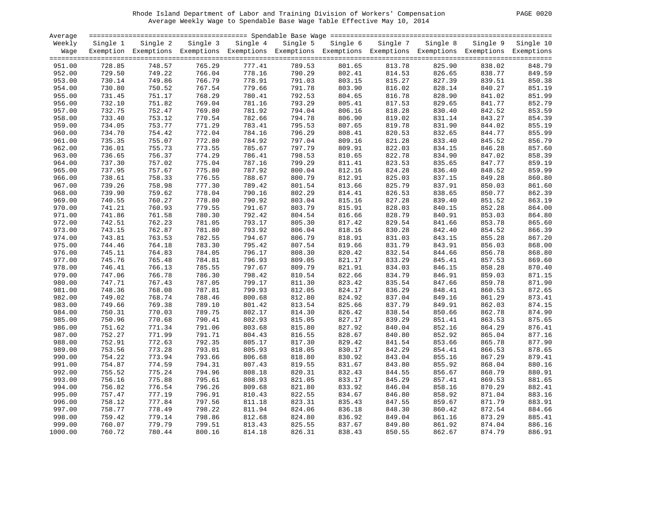#### Rhode Island Department of Labor and Training Division of Workers' Compensation PAGE 0020 Average Weekly Wage to Spendable Base Wage Table Effective May 10, 2014

|--|

| Average |          |                                                                                                              |          |          |          |          |          |          |          |           |
|---------|----------|--------------------------------------------------------------------------------------------------------------|----------|----------|----------|----------|----------|----------|----------|-----------|
| Weekly  | Single 1 | Single 2                                                                                                     | Single 3 | Single 4 | Single 5 | Single 6 | Single 7 | Single 8 | Single 9 | Single 10 |
| Wage    |          | Exemption Exemptions Exemptions Exemptions Exemptions Exemptions Exemptions Exemptions Exemptions Exemptions |          |          |          |          |          |          |          |           |
|         |          |                                                                                                              |          |          |          |          |          |          |          |           |
| 951.00  | 728.85   | 748.57                                                                                                       | 765.29   | 777.41   | 789.53   | 801.65   | 813.78   | 825.90   | 838.02   | 848.79    |
| 952.00  | 729.50   | 749.22                                                                                                       | 766.04   | 778.16   | 790.29   | 802.41   | 814.53   | 826.65   | 838.77   |           |
|         |          |                                                                                                              |          |          |          |          |          |          |          | 849.59    |
| 953.00  | 730.14   | 749.86                                                                                                       | 766.79   | 778.91   | 791.03   | 803.15   | 815.27   | 827.39   | 839.51   | 850.38    |
| 954.00  | 730.80   | 750.52                                                                                                       | 767.54   | 779.66   | 791.78   | 803.90   | 816.02   | 828.14   | 840.27   | 851.19    |
| 955.00  | 731.45   | 751.17                                                                                                       | 768.29   | 780.41   | 792.53   | 804.65   | 816.78   | 828.90   | 841.02   | 851.99    |
| 956.00  | 732.10   | 751.82                                                                                                       | 769.04   | 781.16   | 793.29   | 805.41   | 817.53   | 829.65   | 841.77   | 852.79    |
| 957.00  | 732.75   | 752.47                                                                                                       | 769.80   | 781.92   | 794.04   | 806.16   | 818.28   | 830.40   | 842.52   | 853.59    |
| 958.00  | 733.40   | 753.12                                                                                                       | 770.54   | 782.66   | 794.78   | 806.90   | 819.02   | 831.14   | 843.27   | 854.39    |
| 959.00  | 734.05   | 753.77                                                                                                       | 771.29   | 783.41   | 795.53   | 807.65   | 819.78   | 831.90   | 844.02   | 855.19    |
| 960.00  | 734.70   | 754.42                                                                                                       | 772.04   | 784.16   | 796.29   | 808.41   | 820.53   | 832.65   | 844.77   | 855.99    |
| 961.00  | 735.35   | 755.07                                                                                                       | 772.80   | 784.92   | 797.04   | 809.16   | 821.28   | 833.40   | 845.52   | 856.79    |
| 962.00  | 736.01   | 755.73                                                                                                       | 773.55   | 785.67   | 797.79   | 809.91   | 822.03   | 834.15   | 846.28   | 857.60    |
| 963.00  | 736.65   | 756.37                                                                                                       | 774.29   | 786.41   | 798.53   | 810.65   | 822.78   | 834.90   | 847.02   | 858.39    |
| 964.00  | 737.30   | 757.02                                                                                                       | 775.04   | 787.16   | 799.29   | 811.41   | 823.53   | 835.65   | 847.77   | 859.19    |
| 965.00  | 737.95   | 757.67                                                                                                       | 775.80   | 787.92   | 800.04   | 812.16   | 824.28   | 836.40   | 848.52   | 859.99    |
| 966.00  | 738.61   | 758.33                                                                                                       | 776.55   | 788.67   | 800.79   | 812.91   | 825.03   | 837.15   | 849.28   | 860.80    |
| 967.00  | 739.26   | 758.98                                                                                                       | 777.30   | 789.42   | 801.54   | 813.66   | 825.79   | 837.91   | 850.03   | 861.60    |
|         |          |                                                                                                              |          | 790.16   |          |          |          |          |          |           |
| 968.00  | 739.90   | 759.62                                                                                                       | 778.04   |          | 802.29   | 814.41   | 826.53   | 838.65   | 850.77   | 862.39    |
| 969.00  | 740.55   | 760.27                                                                                                       | 778.80   | 790.92   | 803.04   | 815.16   | 827.28   | 839.40   | 851.52   | 863.19    |
| 970.00  | 741.21   | 760.93                                                                                                       | 779.55   | 791.67   | 803.79   | 815.91   | 828.03   | 840.15   | 852.28   | 864.00    |
| 971.00  | 741.86   | 761.58                                                                                                       | 780.30   | 792.42   | 804.54   | 816.66   | 828.79   | 840.91   | 853.03   | 864.80    |
| 972.00  | 742.51   | 762.23                                                                                                       | 781.05   | 793.17   | 805.30   | 817.42   | 829.54   | 841.66   | 853.78   | 865.60    |
| 973.00  | 743.15   | 762.87                                                                                                       | 781.80   | 793.92   | 806.04   | 818.16   | 830.28   | 842.40   | 854.52   | 866.39    |
| 974.00  | 743.81   | 763.53                                                                                                       | 782.55   | 794.67   | 806.79   | 818.91   | 831.03   | 843.15   | 855.28   | 867.20    |
| 975.00  | 744.46   | 764.18                                                                                                       | 783.30   | 795.42   | 807.54   | 819.66   | 831.79   | 843.91   | 856.03   | 868.00    |
| 976.00  | 745.11   | 764.83                                                                                                       | 784.05   | 796.17   | 808.30   | 820.42   | 832.54   | 844.66   | 856.78   | 868.80    |
| 977.00  | 745.76   | 765.48                                                                                                       | 784.81   | 796.93   | 809.05   | 821.17   | 833.29   | 845.41   | 857.53   | 869.60    |
| 978.00  | 746.41   | 766.13                                                                                                       | 785.55   | 797.67   | 809.79   | 821.91   | 834.03   | 846.15   | 858.28   | 870.40    |
| 979.00  | 747.06   | 766.78                                                                                                       | 786.30   | 798.42   | 810.54   | 822.66   | 834.79   | 846.91   | 859.03   | 871.15    |
| 980.00  | 747.71   | 767.43                                                                                                       | 787.05   | 799.17   | 811.30   | 823.42   | 835.54   | 847.66   | 859.78   | 871.90    |
| 981.00  | 748.36   | 768.08                                                                                                       | 787.81   | 799.93   | 812.05   | 824.17   | 836.29   | 848.41   | 860.53   | 872.65    |
| 982.00  | 749.02   | 768.74                                                                                                       | 788.46   | 800.68   | 812.80   | 824.92   | 837.04   | 849.16   | 861.29   | 873.41    |
| 983.00  | 749.66   | 769.38                                                                                                       | 789.10   | 801.42   | 813.54   | 825.66   | 837.79   | 849.91   | 862.03   | 874.15    |
| 984.00  | 750.31   | 770.03                                                                                                       | 789.75   | 802.17   | 814.30   | 826.42   | 838.54   | 850.66   | 862.78   | 874.90    |
| 985.00  | 750.96   | 770.68                                                                                                       | 790.41   | 802.93   | 815.05   | 827.17   | 839.29   | 851.41   | 863.53   | 875.65    |
| 986.00  | 751.62   | 771.34                                                                                                       | 791.06   | 803.68   | 815.80   | 827.92   | 840.04   | 852.16   | 864.29   | 876.41    |
| 987.00  | 752.27   | 771.99                                                                                                       | 791.71   | 804.43   | 816.55   | 828.67   | 840.80   | 852.92   | 865.04   | 877.16    |
| 988.00  | 752.91   | 772.63                                                                                                       | 792.35   | 805.17   | 817.30   | 829.42   | 841.54   | 853.66   | 865.78   | 877.90    |
|         |          |                                                                                                              |          |          |          |          |          |          |          |           |
| 989.00  | 753.56   | 773.28                                                                                                       | 793.01   | 805.93   | 818.05   | 830.17   | 842.29   | 854.41   | 866.53   | 878.65    |
| 990.00  | 754.22   | 773.94                                                                                                       | 793.66   | 806.68   | 818.80   | 830.92   | 843.04   | 855.16   | 867.29   | 879.41    |
| 991.00  | 754.87   | 774.59                                                                                                       | 794.31   | 807.43   | 819.55   | 831.67   | 843.80   | 855.92   | 868.04   | 880.16    |
| 992.00  | 755.52   | 775.24                                                                                                       | 794.96   | 808.18   | 820.31   | 832.43   | 844.55   | 856.67   | 868.79   | 880.91    |
| 993.00  | 756.16   | 775.88                                                                                                       | 795.61   | 808.93   | 821.05   | 833.17   | 845.29   | 857.41   | 869.53   | 881.65    |
| 994.00  | 756.82   | 776.54                                                                                                       | 796.26   | 809.68   | 821.80   | 833.92   | 846.04   | 858.16   | 870.29   | 882.41    |
| 995.00  | 757.47   | 777.19                                                                                                       | 796.91   | 810.43   | 822.55   | 834.67   | 846.80   | 858.92   | 871.04   | 883.16    |
| 996.00  | 758.12   | 777.84                                                                                                       | 797.56   | 811.18   | 823.31   | 835.43   | 847.55   | 859.67   | 871.79   | 883.91    |
| 997.00  | 758.77   | 778.49                                                                                                       | 798.22   | 811.94   | 824.06   | 836.18   | 848.30   | 860.42   | 872.54   | 884.66    |
| 998.00  | 759.42   | 779.14                                                                                                       | 798.86   | 812.68   | 824.80   | 836.92   | 849.04   | 861.16   | 873.29   | 885.41    |
| 999.00  | 760.07   | 779.79                                                                                                       | 799.51   | 813.43   | 825.55   | 837.67   | 849.80   | 861.92   | 874.04   | 886.16    |
| 1000.00 | 760.72   | 780.44                                                                                                       | 800.16   | 814.18   | 826.31   | 838.43   | 850.55   | 862.67   | 874.79   | 886.91    |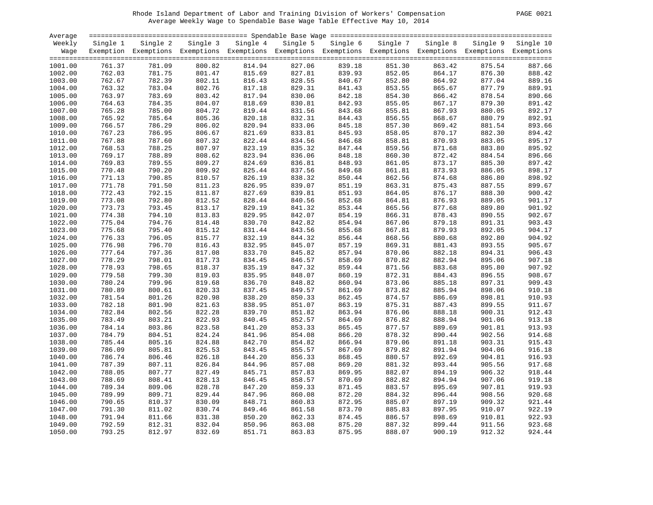#### Rhode Island Department of Labor and Training Division of Workers' Compensation PAGE 0021 Average Weekly Wage to Spendable Base Wage Table Effective May 10, 2014

|--|

| Average |          |                                                                                                                   |                  |                   |        |                   |          |                  |        |                    |
|---------|----------|-------------------------------------------------------------------------------------------------------------------|------------------|-------------------|--------|-------------------|----------|------------------|--------|--------------------|
| Weekly  | Single 1 | Single 2                                                                                                          |                  | Single 3 Single 4 |        | Single 5 Single 6 | Single 7 | Single 8         |        | Single 9 Single 10 |
|         |          | Wage Exemption Exemptions Exemptions Exemptions Exemptions Exemptions Exemptions Exemptions Exemptions Exemptions |                  |                   |        |                   |          |                  |        |                    |
|         |          |                                                                                                                   |                  |                   |        |                   |          |                  |        |                    |
| 1001.00 | 761.37   | 781.09                                                                                                            | 800.82           | 814.94            | 827.06 | 839.18            | 851.30   | 863.42           | 875.54 | 887.66             |
| 1002.00 | 762.03   | 781.75                                                                                                            | 801.47           | 815.69            | 827.81 | 839.93            | 852.05   | 864.17           | 876.30 | 888.42             |
| 1003.00 | 762.67   | 782.39                                                                                                            | 802.11           | 816.43            | 828.55 | 840.67            | 852.80   | 864.92           | 877.04 | 889.16             |
| 1004.00 | 763.32   | 783.04                                                                                                            | 802.76           | 817.18            | 829.31 | 841.43            | 853.55   | 865.67           | 877.79 | 889.91             |
| 1005.00 | 763.97   | 783.69                                                                                                            | 803.42           | 817.94            | 830.06 | 842.18            | 854.30   | 866.42           | 878.54 | 890.66             |
| 1006.00 | 764.63   | 784.35                                                                                                            | 804.07           | 818.69            | 830.81 | 842.93            | 855.05   | 867.17           | 879.30 | 891.42             |
| 1007.00 | 765.28   | 785.00                                                                                                            | 804.72           | 819.44            | 831.56 | 843.68            | 855.81   | 867.93           | 880.05 | 892.17             |
| 1008.00 | 765.92   | 785.64                                                                                                            | 805.36           | 820.18            | 832.31 | 844.43            | 856.55   | 868.67           | 880.79 | 892.91             |
| 1009.00 | 766.57   | 786.29                                                                                                            | 806.02           | 820.94            | 833.06 | 845.18            | 857.30   | 869.42           | 881.54 | 893.66             |
| 1010.00 | 767.23   | 786.95                                                                                                            | 806.67           | 821.69            | 833.81 | 845.93            | 858.05   | 870.17           | 882.30 | 894.42             |
| 1011.00 | 767.88   | 787.60                                                                                                            | 807.32           | 822.44            | 834.56 | 846.68            | 858.81   | 870.93           | 883.05 | 895.17             |
| 1012.00 | 768.53   | 788.25                                                                                                            | 807.97           | 823.19            | 835.32 | 847.44            | 859.56   | 871.68           | 883.80 | 895.92             |
| 1013.00 | 769.17   | 788.89                                                                                                            | 808.62           | 823.94            | 836.06 | 848.18            | 860.30   | 872.42           | 884.54 | 896.66             |
| 1014.00 | 769.83   | 789.55                                                                                                            | 809.27           | 824.69            | 836.81 | 848.93            | 861.05   | 873.17           | 885.30 | 897.42             |
| 1015.00 | 770.48   | 790.20                                                                                                            | 809.92           | 825.44            | 837.56 | 849.68            | 861.81   | 873.93           | 886.05 | 898.17             |
| 1016.00 | 771.13   | 790.85                                                                                                            | 810.57           | 826.19            | 838.32 | 850.44            | 862.56   | 874.68           | 886.80 | 898.92             |
| 1017.00 | 771.78   | 791.50                                                                                                            | 811.23           | 826.95            | 839.07 | 851.19            | 863.31   | 875.43           | 887.55 | 899.67             |
| 1018.00 | 772.43   | 792.15                                                                                                            | 811.87           | 827.69            | 839.81 | 851.93            | 864.05   | 876.17           | 888.30 | 900.42             |
| 1019.00 | 773.08   | 792.80                                                                                                            | 812.52           | 828.44            | 840.56 | 852.68            | 864.81   | 876.93           | 889.05 | 901.17             |
| 1020.00 | 773.73   | 793.45                                                                                                            | 813.17           | 829.19            | 841.32 | 853.44            | 865.56   | 877.68           | 889.80 | 901.92             |
| 1021.00 | 774.38   | 794.10                                                                                                            | 813.83           | 829.95            | 842.07 | 854.19            | 866.31   | 878.43           | 890.55 | 902.67             |
| 1022.00 | 775.04   | 794.76                                                                                                            | 814.48           | 830.70            | 842.82 | 854.94            | 867.06   | 879.18           | 891.31 | 903.43             |
| 1023.00 | 775.68   | 795.40                                                                                                            | 815.12           | 831.44            | 843.56 | 855.68            | 867.81   | 879.93           | 892.05 | 904.17             |
| 1024.00 | 776.33   | 796.05                                                                                                            | 815.77           | 832.19            | 844.32 | 856.44            | 868.56   | 880.68           | 892.80 | 904.92             |
| 1025.00 | 776.98   | 796.70                                                                                                            | 816.43           | 832.95            | 845.07 | 857.19            | 869.31   | 881.43           | 893.55 | 905.67             |
| 1026.00 | 777.64   | 797.36                                                                                                            | 817.08           | 833.70            | 845.82 | 857.94            | 870.06   | 882.18           | 894.31 | 906.43             |
| 1027.00 | 778.29   | 798.01                                                                                                            | 817.73           | 834.45            | 846.57 | 858.69            | 870.82   | 882.94           | 895.06 | 907.18             |
| 1028.00 | 778.93   |                                                                                                                   | 818.37           | 835.19            | 847.32 | 859.44            | 871.56   | 883.68           | 895.80 | 907.92             |
| 1029.00 | 779.58   | 798.65<br>799.30                                                                                                  | 819.03           | 835.95            | 848.07 | 860.19            | 872.31   | 884.43           | 896.55 | 908.67             |
| 1030.00 | 780.24   | 799.96                                                                                                            | 819.68           | 836.70            | 848.82 | 860.94            | 873.06   | 885.18           | 897.31 | 909.43             |
| 1031.00 | 780.89   | 800.61                                                                                                            | 820.33           | 837.45            | 849.57 | 861.69            | 873.82   | 885.94           | 898.06 | 910.18             |
|         | 781.54   | 801.26                                                                                                            | 820.98           | 838.20            | 850.33 | 862.45            | 874.57   | 886.69           | 898.81 | 910.93             |
| 1032.00 |          |                                                                                                                   |                  | 838.95            |        |                   |          |                  |        |                    |
| 1033.00 | 782.18   | 801.90                                                                                                            | 821.63<br>822.28 |                   | 851.07 | 863.19            | 875.31   | 887.43<br>888.18 | 899.55 | 911.67<br>912.43   |
| 1034.00 | 782.84   | 802.56                                                                                                            | 822.93           | 839.70<br>840.45  | 851.82 | 863.94<br>864.69  | 876.06   |                  | 900.31 |                    |
| 1035.00 | 783.49   | 803.21                                                                                                            |                  |                   | 852.57 |                   | 876.82   | 888.94           | 901.06 | 913.18             |
| 1036.00 | 784.14   | 803.86                                                                                                            | 823.58           | 841.20            | 853.33 | 865.45            | 877.57   | 889.69           | 901.81 | 913.93             |
| 1037.00 | 784.79   | 804.51                                                                                                            | 824.24           | 841.96            | 854.08 | 866.20            | 878.32   | 890.44           | 902.56 | 914.68             |
| 1038.00 | 785.44   | 805.16                                                                                                            | 824.88           | 842.70            | 854.82 | 866.94            | 879.06   | 891.18           | 903.31 | 915.43             |
| 1039.00 | 786.09   | 805.81                                                                                                            | 825.53           | 843.45            | 855.57 | 867.69            | 879.82   | 891.94           | 904.06 | 916.18             |
| 1040.00 | 786.74   | 806.46                                                                                                            | 826.18           | 844.20            | 856.33 | 868.45            | 880.57   | 892.69           | 904.81 | 916.93             |
| 1041.00 | 787.39   | 807.11                                                                                                            | 826.84           | 844.96            | 857.08 | 869.20            | 881.32   | 893.44           | 905.56 | 917.68             |
| 1042.00 | 788.05   | 807.77                                                                                                            | 827.49           | 845.71            | 857.83 | 869.95            | 882.07   | 894.19           | 906.32 | 918.44             |
| 1043.00 | 788.69   | 808.41                                                                                                            | 828.13           | 846.45            | 858.57 | 870.69            | 882.82   | 894.94           | 907.06 | 919.18             |
| 1044.00 | 789.34   | 809.06                                                                                                            | 828.78           | 847.20            | 859.33 | 871.45            | 883.57   | 895.69           | 907.81 | 919.93             |
| 1045.00 | 789.99   | 809.71                                                                                                            | 829.44           | 847.96            | 860.08 | 872.20            | 884.32   | 896.44           | 908.56 | 920.68             |
| 1046.00 | 790.65   | 810.37                                                                                                            | 830.09           | 848.71            | 860.83 | 872.95            | 885.07   | 897.19           | 909.32 | 921.44             |
| 1047.00 | 791.30   | 811.02                                                                                                            | 830.74           | 849.46            | 861.58 | 873.70            | 885.83   | 897.95           | 910.07 | 922.19             |
| 1048.00 | 791.94   | 811.66                                                                                                            | 831.38           | 850.20            | 862.33 | 874.45            | 886.57   | 898.69           | 910.81 | 922.93             |
| 1049.00 | 792.59   | 812.31                                                                                                            | 832.04           | 850.96            | 863.08 | 875.20            | 887.32   | 899.44           | 911.56 | 923.68             |
| 1050.00 | 793.25   | 812.97                                                                                                            | 832.69           | 851.71            | 863.83 | 875.95            | 888.07   | 900.19           | 912.32 | 924.44             |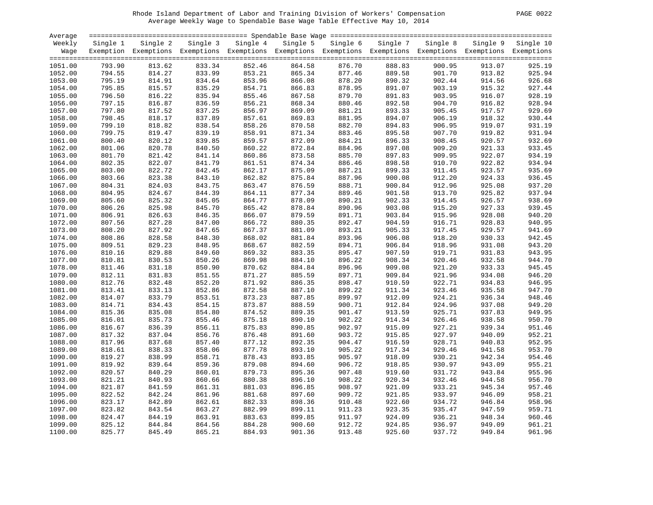#### Rhode Island Department of Labor and Training Division of Workers' Compensation PAGE 0022 Average Weekly Wage to Spendable Base Wage Table Effective May 10, 2014

| PAGE | 0022 |
|------|------|
|      |      |

| Average |          |                                                                                                                   |        |                   |        |                   |          |          |        |                    |
|---------|----------|-------------------------------------------------------------------------------------------------------------------|--------|-------------------|--------|-------------------|----------|----------|--------|--------------------|
| Weekly  | Single 1 | Single 2                                                                                                          |        | Single 3 Single 4 |        | Single 5 Single 6 | Single 7 | Single 8 |        | Single 9 Single 10 |
|         |          | Wage Exemption Exemptions Exemptions Exemptions Exemptions Exemptions Exemptions Exemptions Exemptions Exemptions |        |                   |        |                   |          |          |        |                    |
|         |          |                                                                                                                   |        |                   |        |                   |          |          |        |                    |
| 1051.00 | 793.90   | 813.62                                                                                                            | 833.34 | 852.46            | 864.58 | 876.70            | 888.83   | 900.95   | 913.07 | 925.19             |
| 1052.00 | 794.55   | 814.27                                                                                                            | 833.99 | 853.21            | 865.34 | 877.46            | 889.58   | 901.70   | 913.82 | 925.94             |
| 1053.00 | 795.19   | 814.91                                                                                                            | 834.64 | 853.96            | 866.08 | 878.20            | 890.32   | 902.44   | 914.56 | 926.68             |
| 1054.00 | 795.85   | 815.57                                                                                                            | 835.29 | 854.71            | 866.83 | 878.95            | 891.07   | 903.19   | 915.32 | 927.44             |
| 1055.00 | 796.50   | 816.22                                                                                                            | 835.94 | 855.46            | 867.58 | 879.70            | 891.83   | 903.95   | 916.07 | 928.19             |
| 1056.00 | 797.15   | 816.87                                                                                                            | 836.59 | 856.21            | 868.34 | 880.46            | 892.58   | 904.70   | 916.82 | 928.94             |
| 1057.00 | 797.80   | 817.52                                                                                                            | 837.25 | 856.97            | 869.09 | 881.21            | 893.33   | 905.45   | 917.57 | 929.69             |
| 1058.00 | 798.45   | 818.17                                                                                                            | 837.89 | 857.61            | 869.83 | 881.95            | 894.07   | 906.19   | 918.32 | 930.44             |
| 1059.00 | 799.10   | 818.82                                                                                                            | 838.54 | 858.26            | 870.58 | 882.70            | 894.83   | 906.95   | 919.07 | 931.19             |
| 1060.00 | 799.75   | 819.47                                                                                                            | 839.19 | 858.91            | 871.34 | 883.46            | 895.58   | 907.70   | 919.82 | 931.94             |
| 1061.00 | 800.40   | 820.12                                                                                                            | 839.85 | 859.57            | 872.09 | 884.21            | 896.33   | 908.45   | 920.57 | 932.69             |
| 1062.00 | 801.06   | 820.78                                                                                                            | 840.50 | 860.22            | 872.84 | 884.96            | 897.08   | 909.20   | 921.33 | 933.45             |
| 1063.00 | 801.70   | 821.42                                                                                                            | 841.14 | 860.86            | 873.58 | 885.70            | 897.83   | 909.95   | 922.07 | 934.19             |
| 1064.00 | 802.35   | 822.07                                                                                                            | 841.79 | 861.51            | 874.34 | 886.46            | 898.58   | 910.70   | 922.82 | 934.94             |
| 1065.00 | 803.00   | 822.72                                                                                                            | 842.45 | 862.17            | 875.09 | 887.21            | 899.33   | 911.45   | 923.57 | 935.69             |
| 1066.00 | 803.66   | 823.38                                                                                                            | 843.10 | 862.82            | 875.84 | 887.96            | 900.08   | 912.20   | 924.33 | 936.45             |
| 1067.00 | 804.31   | 824.03                                                                                                            | 843.75 | 863.47            | 876.59 | 888.71            | 900.84   | 912.96   | 925.08 | 937.20             |
| 1068.00 | 804.95   | 824.67                                                                                                            | 844.39 | 864.11            | 877.34 | 889.46            | 901.58   | 913.70   | 925.82 | 937.94             |
| 1069.00 | 805.60   | 825.32                                                                                                            | 845.05 | 864.77            | 878.09 | 890.21            | 902.33   | 914.45   | 926.57 | 938.69             |
| 1070.00 | 806.26   | 825.98                                                                                                            | 845.70 | 865.42            | 878.84 | 890.96            | 903.08   | 915.20   | 927.33 | 939.45             |
|         |          |                                                                                                                   |        |                   |        |                   |          | 915.96   |        | 940.20             |
| 1071.00 | 806.91   | 826.63                                                                                                            | 846.35 | 866.07            | 879.59 | 891.71            | 903.84   |          | 928.08 |                    |
| 1072.00 | 807.56   | 827.28                                                                                                            | 847.00 | 866.72            | 880.35 | 892.47            | 904.59   | 916.71   | 928.83 | 940.95             |
| 1073.00 | 808.20   | 827.92                                                                                                            | 847.65 | 867.37            | 881.09 | 893.21            | 905.33   | 917.45   | 929.57 | 941.69             |
| 1074.00 | 808.86   | 828.58                                                                                                            | 848.30 | 868.02            | 881.84 | 893.96            | 906.08   | 918.20   | 930.33 | 942.45             |
| 1075.00 | 809.51   | 829.23                                                                                                            | 848.95 | 868.67            | 882.59 | 894.71            | 906.84   | 918.96   | 931.08 | 943.20             |
| 1076.00 | 810.16   | 829.88                                                                                                            | 849.60 | 869.32            | 883.35 | 895.47            | 907.59   | 919.71   | 931.83 | 943.95             |
| 1077.00 | 810.81   | 830.53                                                                                                            | 850.26 | 869.98            | 884.10 | 896.22            | 908.34   | 920.46   | 932.58 | 944.70             |
| 1078.00 | 811.46   | 831.18                                                                                                            | 850.90 | 870.62            | 884.84 | 896.96            | 909.08   | 921.20   | 933.33 | 945.45             |
| 1079.00 | 812.11   | 831.83                                                                                                            | 851.55 | 871.27            | 885.59 | 897.71            | 909.84   | 921.96   | 934.08 | 946.20             |
| 1080.00 | 812.76   | 832.48                                                                                                            | 852.20 | 871.92            | 886.35 | 898.47            | 910.59   | 922.71   | 934.83 | 946.95             |
| 1081.00 | 813.41   | 833.13                                                                                                            | 852.86 | 872.58            | 887.10 | 899.22            | 911.34   | 923.46   | 935.58 | 947.70             |
| 1082.00 | 814.07   | 833.79                                                                                                            | 853.51 | 873.23            | 887.85 | 899.97            | 912.09   | 924.21   | 936.34 | 948.46             |
| 1083.00 | 814.71   | 834.43                                                                                                            | 854.15 | 873.87            | 888.59 | 900.71            | 912.84   | 924.96   | 937.08 | 949.20             |
| 1084.00 | 815.36   | 835.08                                                                                                            | 854.80 | 874.52            | 889.35 | 901.47            | 913.59   | 925.71   | 937.83 | 949.95             |
| 1085.00 | 816.01   | 835.73                                                                                                            | 855.46 | 875.18            | 890.10 | 902.22            | 914.34   | 926.46   | 938.58 | 950.70             |
| 1086.00 | 816.67   | 836.39                                                                                                            | 856.11 | 875.83            | 890.85 | 902.97            | 915.09   | 927.21   | 939.34 | 951.46             |
| 1087.00 | 817.32   | 837.04                                                                                                            | 856.76 | 876.48            | 891.60 | 903.72            | 915.85   | 927.97   | 940.09 | 952.21             |
| 1088.00 | 817.96   | 837.68                                                                                                            | 857.40 | 877.12            | 892.35 | 904.47            | 916.59   | 928.71   | 940.83 | 952.95             |
| 1089.00 | 818.61   | 838.33                                                                                                            | 858.06 | 877.78            | 893.10 | 905.22            | 917.34   | 929.46   | 941.58 | 953.70             |
| 1090.00 | 819.27   | 838.99                                                                                                            | 858.71 | 878.43            | 893.85 | 905.97            | 918.09   | 930.21   | 942.34 | 954.46             |
| 1091.00 | 819.92   | 839.64                                                                                                            | 859.36 | 879.08            | 894.60 | 906.72            | 918.85   | 930.97   | 943.09 | 955.21             |
| 1092.00 | 820.57   | 840.29                                                                                                            | 860.01 | 879.73            | 895.36 | 907.48            | 919.60   | 931.72   | 943.84 | 955.96             |
| 1093.00 | 821.21   | 840.93                                                                                                            | 860.66 | 880.38            | 896.10 | 908.22            | 920.34   | 932.46   | 944.58 | 956.70             |
| 1094.00 | 821.87   | 841.59                                                                                                            | 861.31 | 881.03            | 896.85 | 908.97            | 921.09   | 933.21   | 945.34 | 957.46             |
| 1095.00 | 822.52   | 842.24                                                                                                            | 861.96 | 881.68            | 897.60 | 909.72            | 921.85   | 933.97   | 946.09 | 958.21             |
| 1096.00 | 823.17   | 842.89                                                                                                            | 862.61 | 882.33            | 898.36 | 910.48            | 922.60   | 934.72   | 946.84 | 958.96             |
| 1097.00 | 823.82   | 843.54                                                                                                            | 863.27 | 882.99            | 899.11 | 911.23            | 923.35   | 935.47   | 947.59 | 959.71             |
| 1098.00 | 824.47   | 844.19                                                                                                            | 863.91 | 883.63            | 899.85 | 911.97            | 924.09   | 936.21   | 948.34 | 960.46             |
| 1099.00 | 825.12   | 844.84                                                                                                            | 864.56 | 884.28            | 900.60 | 912.72            | 924.85   | 936.97   | 949.09 | 961.21             |
| 1100.00 | 825.77   | 845.49                                                                                                            | 865.21 | 884.93            | 901.36 | 913.48            | 925.60   | 937.72   | 949.84 | 961.96             |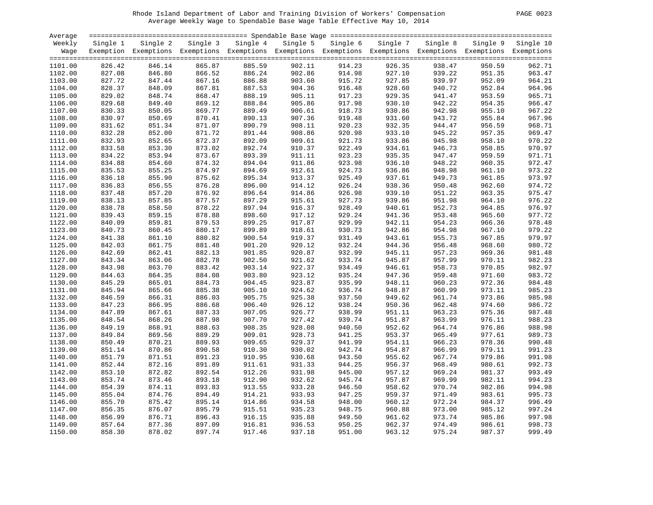#### Rhode Island Department of Labor and Training Division of Workers' Compensation PAGE 0023 Average Weekly Wage to Spendable Base Wage Table Effective May 10, 2014

| PAGE. | 0023 |
|-------|------|
|       |      |

| Average |          |                                                                                                                   |        |                   |                  |                   |          |          |        |                    |
|---------|----------|-------------------------------------------------------------------------------------------------------------------|--------|-------------------|------------------|-------------------|----------|----------|--------|--------------------|
| Weekly  | Single 1 | Single 2                                                                                                          |        | Single 3 Single 4 |                  | Single 5 Single 6 | Single 7 | Single 8 |        | Single 9 Single 10 |
|         |          | Wage Exemption Exemptions Exemptions Exemptions Exemptions Exemptions Exemptions Exemptions Exemptions Exemptions |        |                   |                  |                   |          |          |        |                    |
|         |          |                                                                                                                   |        |                   |                  |                   |          |          |        |                    |
| 1101.00 | 826.42   | 846.14                                                                                                            | 865.87 | 885.59            | 902.11           | 914.23            | 926.35   | 938.47   | 950.59 | 962.71             |
| 1102.00 | 827.08   | 846.80                                                                                                            | 866.52 | 886.24            | 902.86           | 914.98            | 927.10   | 939.22   | 951.35 | 963.47             |
| 1103.00 | 827.72   | 847.44                                                                                                            | 867.16 | 886.88            | 903.60           | 915.72            | 927.85   | 939.97   | 952.09 | 964.21             |
| 1104.00 | 828.37   | 848.09                                                                                                            | 867.81 | 887.53            | 904.36           | 916.48            | 928.60   | 940.72   | 952.84 | 964.96             |
| 1105.00 | 829.02   | 848.74                                                                                                            | 868.47 | 888.19            | 905.11           | 917.23            | 929.35   | 941.47   | 953.59 | 965.71             |
| 1106.00 | 829.68   | 849.40                                                                                                            | 869.12 | 888.84            | 905.86           | 917.98            | 930.10   | 942.22   | 954.35 | 966.47             |
| 1107.00 | 830.33   | 850.05                                                                                                            | 869.77 | 889.49            | 906.61           | 918.73            | 930.86   | 942.98   | 955.10 | 967.22             |
| 1108.00 | 830.97   | 850.69                                                                                                            | 870.41 | 890.13            | 907.36           | 919.48            | 931.60   | 943.72   | 955.84 | 967.96             |
| 1109.00 | 831.62   | 851.34                                                                                                            | 871.07 | 890.79            | 908.11           | 920.23            | 932.35   | 944.47   | 956.59 | 968.71             |
| 1110.00 | 832.28   | 852.00                                                                                                            | 871.72 | 891.44            | 908.86           | 920.98            | 933.10   | 945.22   | 957.35 | 969.47             |
| 1111.00 | 832.93   | 852.65                                                                                                            | 872.37 | 892.09            | 909.61           | 921.73            | 933.86   | 945.98   | 958.10 | 970.22             |
| 1112.00 | 833.58   | 853.30                                                                                                            | 873.02 | 892.74            | 910.37           | 922.49            | 934.61   | 946.73   | 958.85 | 970.97             |
| 1113.00 | 834.22   | 853.94                                                                                                            | 873.67 | 893.39            | 911.11           | 923.23            | 935.35   | 947.47   | 959.59 | 971.71             |
| 1114.00 | 834.88   | 854.60                                                                                                            | 874.32 | 894.04            | 911.86           | 923.98            | 936.10   | 948.22   | 960.35 | 972.47             |
| 1115.00 | 835.53   | 855.25                                                                                                            | 874.97 | 894.69            | 912.61           | 924.73            | 936.86   | 948.98   | 961.10 | 973.22             |
| 1116.00 | 836.18   | 855.90                                                                                                            | 875.62 | 895.34            | 913.37           | 925.49            | 937.61   | 949.73   | 961.85 | 973.97             |
|         |          |                                                                                                                   |        |                   | 914.12           |                   |          | 950.48   |        |                    |
| 1117.00 | 836.83   | 856.55                                                                                                            | 876.28 | 896.00            |                  | 926.24            | 938.36   |          | 962.60 | 974.72             |
| 1118.00 | 837.48   | 857.20                                                                                                            | 876.92 | 896.64            | 914.86           | 926.98            | 939.10   | 951.22   | 963.35 | 975.47             |
| 1119.00 | 838.13   | 857.85                                                                                                            | 877.57 | 897.29            | 915.61<br>916.37 | 927.73            | 939.86   | 951.98   | 964.10 | 976.22             |
| 1120.00 | 838.78   | 858.50                                                                                                            | 878.22 | 897.94            |                  | 928.49            | 940.61   | 952.73   | 964.85 | 976.97             |
| 1121.00 | 839.43   | 859.15                                                                                                            | 878.88 | 898.60            | 917.12           | 929.24            | 941.36   | 953.48   | 965.60 | 977.72             |
| 1122.00 | 840.09   | 859.81                                                                                                            | 879.53 | 899.25            | 917.87           | 929.99            | 942.11   | 954.23   | 966.36 | 978.48             |
| 1123.00 | 840.73   | 860.45                                                                                                            | 880.17 | 899.89            | 918.61           | 930.73            | 942.86   | 954.98   | 967.10 | 979.22             |
| 1124.00 | 841.38   | 861.10                                                                                                            | 880.82 | 900.54            | 919.37           | 931.49            | 943.61   | 955.73   | 967.85 | 979.97             |
| 1125.00 | 842.03   | 861.75                                                                                                            | 881.48 | 901.20            | 920.12           | 932.24            | 944.36   | 956.48   | 968.60 | 980.72             |
| 1126.00 | 842.69   | 862.41                                                                                                            | 882.13 | 901.85            | 920.87           | 932.99            | 945.11   | 957.23   | 969.36 | 981.48             |
| 1127.00 | 843.34   | 863.06                                                                                                            | 882.78 | 902.50            | 921.62           | 933.74            | 945.87   | 957.99   | 970.11 | 982.23             |
| 1128.00 | 843.98   | 863.70                                                                                                            | 883.42 | 903.14            | 922.37           | 934.49            | 946.61   | 958.73   | 970.85 | 982.97             |
| 1129.00 | 844.63   | 864.35                                                                                                            | 884.08 | 903.80            | 923.12           | 935.24            | 947.36   | 959.48   | 971.60 | 983.72             |
| 1130.00 | 845.29   | 865.01                                                                                                            | 884.73 | 904.45            | 923.87           | 935.99            | 948.11   | 960.23   | 972.36 | 984.48             |
| 1131.00 | 845.94   | 865.66                                                                                                            | 885.38 | 905.10            | 924.62           | 936.74            | 948.87   | 960.99   | 973.11 | 985.23             |
| 1132.00 | 846.59   | 866.31                                                                                                            | 886.03 | 905.75            | 925.38           | 937.50            | 949.62   | 961.74   | 973.86 | 985.98             |
| 1133.00 | 847.23   | 866.95                                                                                                            | 886.68 | 906.40            | 926.12           | 938.24            | 950.36   | 962.48   | 974.60 | 986.72             |
| 1134.00 | 847.89   | 867.61                                                                                                            | 887.33 | 907.05            | 926.77           | 938.99            | 951.11   | 963.23   | 975.36 | 987.48             |
| 1135.00 | 848.54   | 868.26                                                                                                            | 887.98 | 907.70            | 927.42           | 939.74            | 951.87   | 963.99   | 976.11 | 988.23             |
| 1136.00 | 849.19   | 868.91                                                                                                            | 888.63 | 908.35            | 928.08           | 940.50            | 952.62   | 964.74   | 976.86 | 988.98             |
| 1137.00 | 849.84   | 869.56                                                                                                            | 889.29 | 909.01            | 928.73           | 941.25            | 953.37   | 965.49   | 977.61 | 989.73             |
| 1138.00 | 850.49   | 870.21                                                                                                            | 889.93 | 909.65            | 929.37           | 941.99            | 954.11   | 966.23   | 978.36 | 990.48             |
| 1139.00 | 851.14   | 870.86                                                                                                            | 890.58 | 910.30            | 930.02           | 942.74            | 954.87   | 966.99   | 979.11 | 991.23             |
| 1140.00 | 851.79   | 871.51                                                                                                            | 891.23 | 910.95            | 930.68           | 943.50            | 955.62   | 967.74   | 979.86 | 991.98             |
| 1141.00 | 852.44   | 872.16                                                                                                            | 891.89 | 911.61            | 931.33           | 944.25            | 956.37   | 968.49   | 980.61 | 992.73             |
| 1142.00 | 853.10   | 872.82                                                                                                            | 892.54 | 912.26            | 931.98           | 945.00            | 957.12   | 969.24   | 981.37 | 993.49             |
| 1143.00 | 853.74   | 873.46                                                                                                            | 893.18 | 912.90            | 932.62           | 945.74            | 957.87   | 969.99   | 982.11 | 994.23             |
| 1144.00 | 854.39   | 874.11                                                                                                            | 893.83 | 913.55            | 933.28           | 946.50            | 958.62   | 970.74   | 982.86 | 994.98             |
| 1145.00 | 855.04   | 874.76                                                                                                            | 894.49 | 914.21            | 933.93           | 947.25            | 959.37   | 971.49   | 983.61 | 995.73             |
| 1146.00 | 855.70   | 875.42                                                                                                            | 895.14 | 914.86            | 934.58           | 948.00            | 960.12   | 972.24   | 984.37 | 996.49             |
| 1147.00 | 856.35   | 876.07                                                                                                            | 895.79 | 915.51            | 935.23           | 948.75            | 960.88   | 973.00   | 985.12 | 997.24             |
| 1148.00 | 856.99   | 876.71                                                                                                            | 896.43 | 916.15            | 935.88           | 949.50            | 961.62   | 973.74   | 985.86 | 997.98             |
| 1149.00 | 857.64   | 877.36                                                                                                            | 897.09 | 916.81            | 936.53           | 950.25            | 962.37   | 974.49   | 986.61 | 998.73             |
| 1150.00 | 858.30   | 878.02                                                                                                            | 897.74 | 917.46            | 937.18           | 951.00            | 963.12   | 975.24   | 987.37 | 999.49             |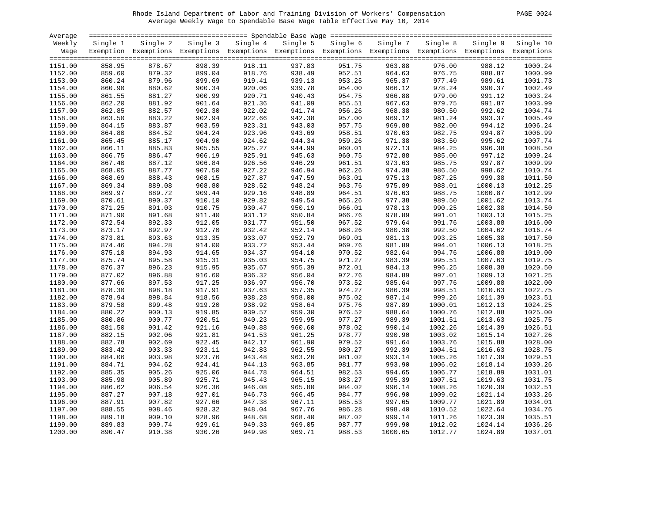#### Rhode Island Department of Labor and Training Division of Workers' Compensation PAGE 0024 Average Weekly Wage to Spendable Base Wage Table Effective May 10, 2014

| PAGE |  |  | 0024 |  |
|------|--|--|------|--|
|------|--|--|------|--|

| Average |                  |                                                                                                              |                  |          |                  |                   |          |                  |         |                    |
|---------|------------------|--------------------------------------------------------------------------------------------------------------|------------------|----------|------------------|-------------------|----------|------------------|---------|--------------------|
| Weekly  | Single 1         | Single 2                                                                                                     | Single 3         | Single 4 |                  | Single 5 Single 6 | Single 7 | Single 8         |         | Single 9 Single 10 |
| Waqe    |                  | Exemption Exemptions Exemptions Exemptions Exemptions Exemptions Exemptions Exemptions Exemptions Exemptions |                  |          |                  |                   |          |                  |         |                    |
|         |                  |                                                                                                              |                  |          |                  |                   |          |                  |         |                    |
| 1151.00 | 858.95           | 878.67                                                                                                       | 898.39           | 918.11   | 937.83           | 951.75            | 963.88   | 976.00           | 988.12  | 1000.24            |
| 1152.00 | 859.60           | 879.32                                                                                                       | 899.04           | 918.76   | 938.49           | 952.51            | 964.63   | 976.75           | 988.87  | 1000.99            |
| 1153.00 | 860.24           | 879.96                                                                                                       | 899.69           | 919.41   | 939.13           | 953.25            | 965.37   | 977.49           | 989.61  | 1001.73            |
| 1154.00 | 860.90           | 880.62                                                                                                       | 900.34           | 920.06   | 939.78           | 954.00            | 966.12   | 978.24           | 990.37  | 1002.49            |
| 1155.00 | 861.55           | 881.27                                                                                                       | 900.99           | 920.71   | 940.43           | 954.75            | 966.88   | 979.00           | 991.12  | 1003.24            |
| 1156.00 | 862.20           | 881.92                                                                                                       | 901.64           | 921.36   | 941.09           | 955.51            | 967.63   | 979.75           | 991.87  | 1003.99            |
| 1157.00 | 862.85           | 882.57                                                                                                       | 902.30           | 922.02   | 941.74           | 956.26            | 968.38   | 980.50           | 992.62  | 1004.74            |
| 1158.00 | 863.50           | 883.22                                                                                                       | 902.94           | 922.66   | 942.38           | 957.00            | 969.12   | 981.24           | 993.37  | 1005.49            |
| 1159.00 | 864.15           | 883.87                                                                                                       | 903.59           | 923.31   | 943.03           | 957.75            | 969.88   | 982.00           | 994.12  | 1006.24            |
| 1160.00 | 864.80           | 884.52                                                                                                       | 904.24           | 923.96   | 943.69           | 958.51            | 970.63   | 982.75           | 994.87  | 1006.99            |
| 1161.00 | 865.45           | 885.17                                                                                                       | 904.90           | 924.62   | 944.34           | 959.26            | 971.38   | 983.50           | 995.62  | 1007.74            |
| 1162.00 | 866.11           | 885.83                                                                                                       | 905.55           | 925.27   | 944.99           | 960.01            | 972.13   | 984.25           | 996.38  | 1008.50            |
| 1163.00 | 866.75           | 886.47                                                                                                       | 906.19           | 925.91   | 945.63           | 960.75            | 972.88   | 985.00           | 997.12  | 1009.24            |
| 1164.00 | 867.40           | 887.12                                                                                                       | 906.84           | 926.56   | 946.29           | 961.51            | 973.63   | 985.75           | 997.87  | 1009.99            |
| 1165.00 | 868.05           | 887.77                                                                                                       | 907.50           | 927.22   | 946.94           | 962.26            | 974.38   | 986.50           | 998.62  | 1010.74            |
| 1166.00 | 868.69           | 888.43                                                                                                       | 908.15           | 927.87   | 947.59           | 963.01            | 975.13   | 987.25           | 999.38  | 1011.50            |
| 1167.00 | 869.34           | 889.08                                                                                                       | 908.80           | 928.52   | 948.24           | 963.76            | 975.89   | 988.01           | 1000.13 | 1012.25            |
|         | 869.97           |                                                                                                              | 909.44           | 929.16   | 948.89           |                   |          |                  |         | 1012.99            |
| 1168.00 |                  | 889.72                                                                                                       |                  | 929.82   |                  | 964.51<br>965.26  | 976.63   | 988.75           | 1000.87 |                    |
| 1169.00 | 870.61<br>871.25 | 890.37<br>891.03                                                                                             | 910.10<br>910.75 | 930.47   | 949.54<br>950.19 | 966.01            | 977.38   | 989.50<br>990.25 | 1001.62 | 1013.74<br>1014.50 |
| 1170.00 |                  |                                                                                                              |                  |          |                  |                   | 978.13   |                  | 1002.38 |                    |
| 1171.00 | 871.90           | 891.68                                                                                                       | 911.40           | 931.12   | 950.84           | 966.76            | 978.89   | 991.01           | 1003.13 | 1015.25            |
| 1172.00 | 872.54           | 892.33                                                                                                       | 912.05           | 931.77   | 951.50           | 967.52            | 979.64   | 991.76           | 1003.88 | 1016.00            |
| 1173.00 | 873.17           | 892.97                                                                                                       | 912.70           | 932.42   | 952.14           | 968.26            | 980.38   | 992.50           | 1004.62 | 1016.74            |
| 1174.00 | 873.81           | 893.63                                                                                                       | 913.35           | 933.07   | 952.79           | 969.01            | 981.13   | 993.25           | 1005.38 | 1017.50            |
| 1175.00 | 874.46           | 894.28                                                                                                       | 914.00           | 933.72   | 953.44           | 969.76            | 981.89   | 994.01           | 1006.13 | 1018.25            |
| 1176.00 | 875.10           | 894.93                                                                                                       | 914.65           | 934.37   | 954.10           | 970.52            | 982.64   | 994.76           | 1006.88 | 1019.00            |
| 1177.00 | 875.74           | 895.58                                                                                                       | 915.31           | 935.03   | 954.75           | 971.27            | 983.39   | 995.51           | 1007.63 | 1019.75            |
| 1178.00 | 876.37           | 896.23                                                                                                       | 915.95           | 935.67   | 955.39           | 972.01            | 984.13   | 996.25           | 1008.38 | 1020.50            |
| 1179.00 | 877.02           | 896.88                                                                                                       | 916.60           | 936.32   | 956.04           | 972.76            | 984.89   | 997.01           | 1009.13 | 1021.25            |
| 1180.00 | 877.66           | 897.53                                                                                                       | 917.25           | 936.97   | 956.70           | 973.52            | 985.64   | 997.76           | 1009.88 | 1022.00            |
| 1181.00 | 878.30           | 898.18                                                                                                       | 917.91           | 937.63   | 957.35           | 974.27            | 986.39   | 998.51           | 1010.63 | 1022.75            |
| 1182.00 | 878.94           | 898.84                                                                                                       | 918.56           | 938.28   | 958.00           | 975.02            | 987.14   | 999.26           | 1011.39 | 1023.51            |
| 1183.00 | 879.58           | 899.48                                                                                                       | 919.20           | 938.92   | 958.64           | 975.76            | 987.89   | 1000.01          | 1012.13 | 1024.25            |
| 1184.00 | 880.22           | 900.13                                                                                                       | 919.85           | 939.57   | 959.30           | 976.52            | 988.64   | 1000.76          | 1012.88 | 1025.00            |
| 1185.00 | 880.86           | 900.77                                                                                                       | 920.51           | 940.23   | 959.95           | 977.27            | 989.39   | 1001.51          | 1013.63 | 1025.75            |
| 1186.00 | 881.50           | 901.42                                                                                                       | 921.16           | 940.88   | 960.60           | 978.02            | 990.14   | 1002.26          | 1014.39 | 1026.51            |
| 1187.00 | 882.15           | 902.06                                                                                                       | 921.81           | 941.53   | 961.25           | 978.77            | 990.90   | 1003.02          | 1015.14 | 1027.26            |
| 1188.00 | 882.78           | 902.69                                                                                                       | 922.45           | 942.17   | 961.90           | 979.52            | 991.64   | 1003.76          | 1015.88 | 1028.00            |
| 1189.00 | 883.42           | 903.33                                                                                                       | 923.11           | 942.83   | 962.55           | 980.27            | 992.39   | 1004.51          | 1016.63 | 1028.75            |
| 1190.00 | 884.06           | 903.98                                                                                                       | 923.76           | 943.48   | 963.20           | 981.02            | 993.14   | 1005.26          | 1017.39 | 1029.51            |
| 1191.00 | 884.71           | 904.62                                                                                                       | 924.41           | 944.13   | 963.85           | 981.77            | 993.90   | 1006.02          | 1018.14 | 1030.26            |
| 1192.00 | 885.35           | 905.26                                                                                                       | 925.06           | 944.78   | 964.51           | 982.53            | 994.65   | 1006.77          | 1018.89 | 1031.01            |
| 1193.00 | 885.98           | 905.89                                                                                                       | 925.71           | 945.43   | 965.15           | 983.27            | 995.39   | 1007.51          | 1019.63 | 1031.75            |
| 1194.00 | 886.62           | 906.54                                                                                                       | 926.36           | 946.08   | 965.80           | 984.02            | 996.14   | 1008.26          | 1020.39 | 1032.51            |
| 1195.00 | 887.27           | 907.18                                                                                                       | 927.01           | 946.73   | 966.45           | 984.77            | 996.90   | 1009.02          | 1021.14 | 1033.26            |
| 1196.00 | 887.91           | 907.82                                                                                                       | 927.66           | 947.38   | 967.11           | 985.53            | 997.65   | 1009.77          | 1021.89 | 1034.01            |
| 1197.00 | 888.55           | 908.46                                                                                                       | 928.32           | 948.04   | 967.76           | 986.28            | 998.40   | 1010.52          | 1022.64 | 1034.76            |
| 1198.00 | 889.18           | 909.10                                                                                                       | 928.96           | 948.68   | 968.40           | 987.02            | 999.14   | 1011.26          | 1023.39 | 1035.51            |
| 1199.00 | 889.83           | 909.74                                                                                                       | 929.61           | 949.33   | 969.05           | 987.77            | 999.90   | 1012.02          | 1024.14 | 1036.26            |
| 1200.00 | 890.47           | 910.38                                                                                                       | 930.26           | 949.98   | 969.71           | 988.53            | 1000.65  | 1012.77          | 1024.89 | 1037.01            |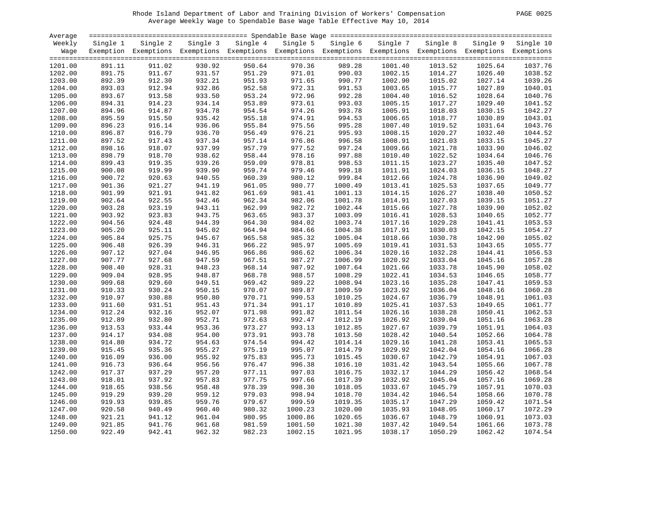#### Rhode Island Department of Labor and Training Division of Workers' Compensation PAGE 0025 Average Weekly Wage to Spendable Base Wage Table Effective May 10, 2014

| PAGE | 0025 |
|------|------|
|      |      |

| Average |          |                                                                                                              |          |          |          |          |          |          |         |                    |
|---------|----------|--------------------------------------------------------------------------------------------------------------|----------|----------|----------|----------|----------|----------|---------|--------------------|
| Weekly  | Single 1 | Single 2                                                                                                     | Single 3 | Single 4 | Single 5 | Single 6 | Single 7 | Single 8 |         | Single 9 Single 10 |
| Wage    |          | Exemption Exemptions Exemptions Exemptions Exemptions Exemptions Exemptions Exemptions Exemptions Exemptions |          |          |          |          |          |          |         |                    |
|         |          |                                                                                                              |          |          |          |          |          |          |         |                    |
| 1201.00 | 891.11   | 911.02                                                                                                       | 930.92   | 950.64   | 970.36   | 989.28   | 1001.40  | 1013.52  | 1025.64 | 1037.76            |
| 1202.00 | 891.75   | 911.67                                                                                                       | 931.57   | 951.29   | 971.01   | 990.03   | 1002.15  | 1014.27  | 1026.40 | 1038.52            |
| 1203.00 | 892.39   | 912.30                                                                                                       | 932.21   | 951.93   | 971.65   | 990.77   | 1002.90  | 1015.02  | 1027.14 | 1039.26            |
| 1204.00 | 893.03   | 912.94                                                                                                       | 932.86   | 952.58   | 972.31   | 991.53   | 1003.65  | 1015.77  | 1027.89 | 1040.01            |
| 1205.00 | 893.67   | 913.58                                                                                                       | 933.50   | 953.24   | 972.96   | 992.28   | 1004.40  | 1016.52  | 1028.64 | 1040.76            |
| 1206.00 | 894.31   | 914.23                                                                                                       | 934.14   | 953.89   | 973.61   | 993.03   | 1005.15  | 1017.27  | 1029.40 | 1041.52            |
| 1207.00 | 894.96   | 914.87                                                                                                       | 934.78   | 954.54   | 974.26   | 993.78   | 1005.91  | 1018.03  | 1030.15 | 1042.27            |
| 1208.00 | 895.59   | 915.50                                                                                                       | 935.42   | 955.18   | 974.91   | 994.53   | 1006.65  | 1018.77  | 1030.89 | 1043.01            |
| 1209.00 | 896.23   | 916.14                                                                                                       | 936.06   | 955.84   | 975.56   | 995.28   | 1007.40  | 1019.52  | 1031.64 | 1043.76            |
| 1210.00 | 896.87   | 916.79                                                                                                       | 936.70   | 956.49   | 976.21   | 995.93   | 1008.15  | 1020.27  | 1032.40 | 1044.52            |
| 1211.00 | 897.52   | 917.43                                                                                                       | 937.34   | 957.14   | 976.86   | 996.58   | 1008.91  | 1021.03  | 1033.15 | 1045.27            |
| 1212.00 | 898.16   | 918.07                                                                                                       | 937.99   | 957.79   | 977.52   | 997.24   | 1009.66  | 1021.78  | 1033.90 | 1046.02            |
| 1213.00 | 898.79   | 918.70                                                                                                       | 938.62   | 958.44   | 978.16   | 997.88   | 1010.40  | 1022.52  | 1034.64 | 1046.76            |
| 1214.00 | 899.43   | 919.35                                                                                                       | 939.26   | 959.09   | 978.81   | 998.53   | 1011.15  | 1023.27  | 1035.40 | 1047.52            |
| 1215.00 | 900.08   | 919.99                                                                                                       | 939.90   | 959.74   | 979.46   | 999.18   | 1011.91  | 1024.03  | 1036.15 | 1048.27            |
| 1216.00 | 900.72   | 920.63                                                                                                       | 940.55   | 960.39   | 980.12   | 999.84   | 1012.66  | 1024.78  | 1036.90 | 1049.02            |
| 1217.00 | 901.36   | 921.27                                                                                                       | 941.19   | 961.05   | 980.77   | 1000.49  | 1013.41  | 1025.53  | 1037.65 | 1049.77            |
| 1218.00 | 901.99   | 921.91                                                                                                       | 941.82   | 961.69   | 981.41   | 1001.13  | 1014.15  | 1026.27  | 1038.40 | 1050.52            |
| 1219.00 | 902.64   | 922.55                                                                                                       | 942.46   | 962.34   | 982.06   | 1001.78  | 1014.91  | 1027.03  | 1039.15 | 1051.27            |
| 1220.00 | 903.28   | 923.19                                                                                                       | 943.11   | 962.99   | 982.72   | 1002.44  | 1015.66  | 1027.78  | 1039.90 | 1052.02            |
| 1221.00 | 903.92   | 923.83                                                                                                       | 943.75   | 963.65   | 983.37   | 1003.09  | 1016.41  | 1028.53  | 1040.65 | 1052.77            |
|         |          |                                                                                                              |          |          |          |          |          |          |         |                    |
| 1222.00 | 904.56   | 924.48                                                                                                       | 944.39   | 964.30   | 984.02   | 1003.74  | 1017.16  | 1029.28  | 1041.41 | 1053.53            |
| 1223.00 | 905.20   | 925.11                                                                                                       | 945.02   | 964.94   | 984.66   | 1004.38  | 1017.91  | 1030.03  | 1042.15 | 1054.27            |
| 1224.00 | 905.84   | 925.75                                                                                                       | 945.67   | 965.58   | 985.32   | 1005.04  | 1018.66  | 1030.78  | 1042.90 | 1055.02            |
| 1225.00 | 906.48   | 926.39                                                                                                       | 946.31   | 966.22   | 985.97   | 1005.69  | 1019.41  | 1031.53  | 1043.65 | 1055.77            |
| 1226.00 | 907.12   | 927.04                                                                                                       | 946.95   | 966.86   | 986.62   | 1006.34  | 1020.16  | 1032.28  | 1044.41 | 1056.53            |
| 1227.00 | 907.77   | 927.68                                                                                                       | 947.59   | 967.51   | 987.27   | 1006.99  | 1020.92  | 1033.04  | 1045.16 | 1057.28            |
| 1228.00 | 908.40   | 928.31                                                                                                       | 948.23   | 968.14   | 987.92   | 1007.64  | 1021.66  | 1033.78  | 1045.90 | 1058.02            |
| 1229.00 | 909.04   | 928.95                                                                                                       | 948.87   | 968.78   | 988.57   | 1008.29  | 1022.41  | 1034.53  | 1046.65 | 1058.77            |
| 1230.00 | 909.68   | 929.60                                                                                                       | 949.51   | 969.42   | 989.22   | 1008.94  | 1023.16  | 1035.28  | 1047.41 | 1059.53            |
| 1231.00 | 910.33   | 930.24                                                                                                       | 950.15   | 970.07   | 989.87   | 1009.59  | 1023.92  | 1036.04  | 1048.16 | 1060.28            |
| 1232.00 | 910.97   | 930.88                                                                                                       | 950.80   | 970.71   | 990.53   | 1010.25  | 1024.67  | 1036.79  | 1048.91 | 1061.03            |
| 1233.00 | 911.60   | 931.51                                                                                                       | 951.43   | 971.34   | 991.17   | 1010.89  | 1025.41  | 1037.53  | 1049.65 | 1061.77            |
| 1234.00 | 912.24   | 932.16                                                                                                       | 952.07   | 971.98   | 991.82   | 1011.54  | 1026.16  | 1038.28  | 1050.41 | 1062.53            |
| 1235.00 | 912.89   | 932.80                                                                                                       | 952.71   | 972.63   | 992.47   | 1012.19  | 1026.92  | 1039.04  | 1051.16 | 1063.28            |
| 1236.00 | 913.53   | 933.44                                                                                                       | 953.36   | 973.27   | 993.13   | 1012.85  | 1027.67  | 1039.79  | 1051.91 | 1064.03            |
| 1237.00 | 914.17   | 934.08                                                                                                       | 954.00   | 973.91   | 993.78   | 1013.50  | 1028.42  | 1040.54  | 1052.66 | 1064.78            |
| 1238.00 | 914.80   | 934.72                                                                                                       | 954.63   | 974.54   | 994.42   | 1014.14  | 1029.16  | 1041.28  | 1053.41 | 1065.53            |
| 1239.00 | 915.45   | 935.36                                                                                                       | 955.27   | 975.19   | 995.07   | 1014.79  | 1029.92  | 1042.04  | 1054.16 | 1066.28            |
| 1240.00 | 916.09   | 936.00                                                                                                       | 955.92   | 975.83   | 995.73   | 1015.45  | 1030.67  | 1042.79  | 1054.91 | 1067.03            |
| 1241.00 | 916.73   | 936.64                                                                                                       | 956.56   | 976.47   | 996.38   | 1016.10  | 1031.42  | 1043.54  | 1055.66 | 1067.78            |
| 1242.00 | 917.37   | 937.29                                                                                                       | 957.20   | 977.11   | 997.03   | 1016.75  | 1032.17  | 1044.29  | 1056.42 | 1068.54            |
| 1243.00 | 918.01   | 937.92                                                                                                       | 957.83   | 977.75   | 997.66   | 1017.39  | 1032.92  | 1045.04  | 1057.16 | 1069.28            |
| 1244.00 | 918.65   | 938.56                                                                                                       | 958.48   | 978.39   | 998.30   | 1018.05  | 1033.67  | 1045.79  | 1057.91 | 1070.03            |
| 1245.00 | 919.29   | 939.20                                                                                                       | 959.12   | 979.03   | 998.94   | 1018.70  | 1034.42  | 1046.54  | 1058.66 | 1070.78            |
| 1246.00 | 919.93   | 939.85                                                                                                       | 959.76   | 979.67   | 999.59   | 1019.35  | 1035.17  | 1047.29  | 1059.42 | 1071.54            |
| 1247.00 | 920.58   | 940.49                                                                                                       | 960.40   | 980.32   | 1000.23  | 1020.00  | 1035.93  | 1048.05  | 1060.17 | 1072.29            |
| 1248.00 | 921.21   | 941.12                                                                                                       | 961.04   | 980.95   | 1000.86  | 1020.65  | 1036.67  | 1048.79  | 1060.91 | 1073.03            |
| 1249.00 | 921.85   | 941.76                                                                                                       | 961.68   | 981.59   | 1001.50  | 1021.30  | 1037.42  | 1049.54  | 1061.66 | 1073.78            |
| 1250.00 | 922.49   | 942.41                                                                                                       | 962.32   | 982.23   | 1002.15  | 1021.95  | 1038.17  | 1050.29  | 1062.42 | 1074.54            |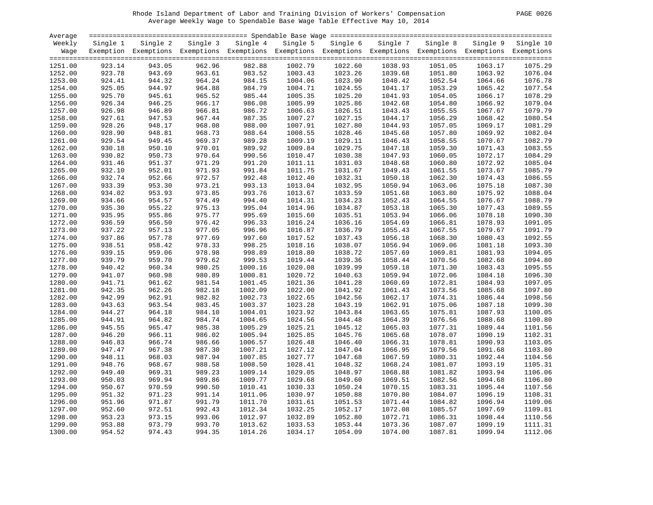#### Rhode Island Department of Labor and Training Division of Workers' Compensation PAGE 0026 Average Weekly Wage to Spendable Base Wage Table Effective May 10, 2014

| PAGE | 0026 |
|------|------|
|      |      |

| Average |          |                                                                                                              |        |                   |         |                   |          |          |         |                    |
|---------|----------|--------------------------------------------------------------------------------------------------------------|--------|-------------------|---------|-------------------|----------|----------|---------|--------------------|
| Weekly  | Single 1 | Single 2                                                                                                     |        | Single 3 Single 4 |         | Single 5 Single 6 | Single 7 | Single 8 |         | Single 9 Single 10 |
| Wage    |          | Exemption Exemptions Exemptions Exemptions Exemptions Exemptions Exemptions Exemptions Exemptions Exemptions |        |                   |         |                   |          |          |         |                    |
|         |          |                                                                                                              |        |                   |         |                   |          |          |         |                    |
| 1251.00 | 923.14   | 943.05                                                                                                       | 962.96 | 982.88            | 1002.79 | 1022.60           | 1038.93  | 1051.05  | 1063.17 | 1075.29            |
| 1252.00 | 923.78   | 943.69                                                                                                       | 963.61 | 983.52            | 1003.43 | 1023.26           | 1039.68  | 1051.80  | 1063.92 | 1076.04            |
| 1253.00 | 924.41   | 944.32                                                                                                       | 964.24 | 984.15            | 1004.06 | 1023.90           | 1040.42  | 1052.54  | 1064.66 | 1076.78            |
| 1254.00 | 925.05   | 944.97                                                                                                       | 964.88 | 984.79            | 1004.71 | 1024.55           | 1041.17  | 1053.29  | 1065.42 | 1077.54            |
| 1255.00 | 925.70   | 945.61                                                                                                       | 965.52 | 985.44            | 1005.35 | 1025.20           | 1041.93  | 1054.05  | 1066.17 | 1078.29            |
| 1256.00 | 926.34   | 946.25                                                                                                       | 966.17 | 986.08            | 1005.99 | 1025.86           | 1042.68  | 1054.80  | 1066.92 | 1079.04            |
| 1257.00 | 926.98   | 946.89                                                                                                       | 966.81 | 986.72            | 1006.63 | 1026.51           | 1043.43  | 1055.55  | 1067.67 | 1079.79            |
| 1258.00 | 927.61   | 947.53                                                                                                       | 967.44 | 987.35            | 1007.27 | 1027.15           | 1044.17  | 1056.29  | 1068.42 | 1080.54            |
| 1259.00 | 928.26   | 948.17                                                                                                       | 968.08 | 988.00            | 1007.91 | 1027.80           | 1044.93  | 1057.05  | 1069.17 | 1081.29            |
| 1260.00 | 928.90   | 948.81                                                                                                       | 968.73 | 988.64            | 1008.55 | 1028.46           | 1045.68  | 1057.80  | 1069.92 | 1082.04            |
| 1261.00 | 929.54   | 949.45                                                                                                       | 969.37 | 989.28            | 1009.19 | 1029.11           | 1046.43  | 1058.55  | 1070.67 | 1082.79            |
| 1262.00 | 930.18   | 950.10                                                                                                       | 970.01 | 989.92            | 1009.84 | 1029.75           | 1047.18  | 1059.30  | 1071.43 | 1083.55            |
| 1263.00 | 930.82   | 950.73                                                                                                       | 970.64 | 990.56            | 1010.47 | 1030.38           | 1047.93  | 1060.05  | 1072.17 | 1084.29            |
| 1264.00 | 931.46   | 951.37                                                                                                       | 971.29 | 991.20            | 1011.11 | 1031.03           | 1048.68  | 1060.80  | 1072.92 | 1085.04            |
| 1265.00 | 932.10   | 952.01                                                                                                       | 971.93 | 991.84            | 1011.75 | 1031.67           | 1049.43  | 1061.55  | 1073.67 | 1085.79            |
| 1266.00 | 932.74   | 952.66                                                                                                       | 972.57 | 992.48            | 1012.40 | 1032.31           | 1050.18  | 1062.30  | 1074.43 | 1086.55            |
| 1267.00 | 933.39   | 953.30                                                                                                       | 973.21 | 993.13            | 1013.04 | 1032.95           | 1050.94  | 1063.06  | 1075.18 | 1087.30            |
| 1268.00 | 934.02   | 953.93                                                                                                       | 973.85 | 993.76            | 1013.67 | 1033.59           | 1051.68  | 1063.80  | 1075.92 | 1088.04            |
| 1269.00 | 934.66   | 954.57                                                                                                       | 974.49 | 994.40            | 1014.31 | 1034.23           | 1052.43  | 1064.55  | 1076.67 | 1088.79            |
| 1270.00 | 935.30   | 955.22                                                                                                       | 975.13 | 995.04            | 1014.96 | 1034.87           | 1053.18  | 1065.30  | 1077.43 | 1089.55            |
| 1271.00 | 935.95   | 955.86                                                                                                       | 975.77 | 995.69            | 1015.60 | 1035.51           | 1053.94  | 1066.06  | 1078.18 | 1090.30            |
| 1272.00 | 936.59   | 956.50                                                                                                       | 976.42 | 996.33            | 1016.24 | 1036.16           | 1054.69  | 1066.81  | 1078.93 | 1091.05            |
| 1273.00 | 937.22   | 957.13                                                                                                       | 977.05 | 996.96            | 1016.87 | 1036.79           | 1055.43  | 1067.55  | 1079.67 | 1091.79            |
| 1274.00 | 937.86   | 957.78                                                                                                       | 977.69 | 997.60            | 1017.52 | 1037.43           | 1056.18  | 1068.30  | 1080.43 | 1092.55            |
| 1275.00 | 938.51   | 958.42                                                                                                       | 978.33 | 998.25            | 1018.16 | 1038.07           | 1056.94  | 1069.06  | 1081.18 | 1093.30            |
| 1276.00 | 939.15   | 959.06                                                                                                       | 978.98 | 998.89            | 1018.80 | 1038.72           | 1057.69  | 1069.81  | 1081.93 | 1094.05            |
| 1277.00 | 939.79   | 959.70                                                                                                       | 979.62 | 999.53            | 1019.44 | 1039.36           | 1058.44  | 1070.56  | 1082.68 | 1094.80            |
| 1278.00 | 940.42   | 960.34                                                                                                       | 980.25 | 1000.16           | 1020.08 | 1039.99           | 1059.18  | 1071.30  | 1083.43 | 1095.55            |
| 1279.00 | 941.07   | 960.98                                                                                                       | 980.89 | 1000.81           | 1020.72 | 1040.63           | 1059.94  | 1072.06  | 1084.18 | 1096.30            |
| 1280.00 | 941.71   | 961.62                                                                                                       | 981.54 | 1001.45           | 1021.36 | 1041.28           | 1060.69  | 1072.81  | 1084.93 | 1097.05            |
| 1281.00 | 942.35   | 962.26                                                                                                       | 982.18 | 1002.09           | 1022.00 | 1041.92           | 1061.43  | 1073.56  | 1085.68 | 1097.80            |
| 1282.00 | 942.99   | 962.91                                                                                                       | 982.82 | 1002.73           | 1022.65 | 1042.56           | 1062.17  | 1074.31  | 1086.44 | 1098.56            |
| 1283.00 | 943.63   | 963.54                                                                                                       | 983.45 | 1003.37           | 1023.28 | 1043.19           | 1062.91  | 1075.06  | 1087.18 | 1099.30            |
| 1284.00 | 944.27   | 964.18                                                                                                       | 984.10 | 1004.01           | 1023.92 | 1043.84           | 1063.65  | 1075.81  | 1087.93 | 1100.05            |
| 1285.00 | 944.91   | 964.82                                                                                                       | 984.74 | 1004.65           | 1024.56 | 1044.48           | 1064.39  | 1076.56  | 1088.68 | 1100.80            |
| 1286.00 | 945.55   | 965.47                                                                                                       | 985.38 | 1005.29           | 1025.21 | 1045.12           | 1065.03  | 1077.31  | 1089.44 | 1101.56            |
| 1287.00 | 946.20   | 966.11                                                                                                       | 986.02 | 1005.94           | 1025.85 | 1045.76           | 1065.68  | 1078.07  | 1090.19 | 1102.31            |
| 1288.00 | 946.83   | 966.74                                                                                                       | 986.66 | 1006.57           | 1026.48 | 1046.40           | 1066.31  | 1078.81  | 1090.93 | 1103.05            |
| 1289.00 | 947.47   | 967.38                                                                                                       | 987.30 | 1007.21           | 1027.12 | 1047.04           | 1066.95  | 1079.56  | 1091.68 | 1103.80            |
| 1290.00 | 948.11   | 968.03                                                                                                       | 987.94 | 1007.85           | 1027.77 | 1047.68           | 1067.59  | 1080.31  | 1092.44 | 1104.56            |
| 1291.00 | 948.76   | 968.67                                                                                                       | 988.58 | 1008.50           | 1028.41 | 1048.32           | 1068.24  | 1081.07  | 1093.19 | 1105.31            |
| 1292.00 | 949.40   | 969.31                                                                                                       | 989.23 | 1009.14           | 1029.05 | 1048.97           | 1068.88  | 1081.82  | 1093.94 | 1106.06            |
| 1293.00 | 950.03   | 969.94                                                                                                       | 989.86 | 1009.77           | 1029.68 | 1049.60           | 1069.51  | 1082.56  | 1094.68 | 1106.80            |
| 1294.00 | 950.67   | 970.59                                                                                                       | 990.50 | 1010.41           | 1030.33 | 1050.24           | 1070.15  | 1083.31  | 1095.44 | 1107.56            |
| 1295.00 | 951.32   | 971.23                                                                                                       | 991.14 | 1011.06           | 1030.97 | 1050.88           | 1070.80  | 1084.07  | 1096.19 | 1108.31            |
| 1296.00 | 951.96   | 971.87                                                                                                       | 991.79 | 1011.70           | 1031.61 | 1051.53           | 1071.44  | 1084.82  | 1096.94 | 1109.06            |
| 1297.00 | 952.60   | 972.51                                                                                                       | 992.43 | 1012.34           | 1032.25 | 1052.17           | 1072.08  | 1085.57  | 1097.69 | 1109.81            |
| 1298.00 | 953.23   | 973.15                                                                                                       | 993.06 | 1012.97           | 1032.89 | 1052.80           | 1072.71  | 1086.31  | 1098.44 | 1110.56            |
| 1299.00 | 953.88   | 973.79                                                                                                       | 993.70 | 1013.62           | 1033.53 | 1053.44           | 1073.36  | 1087.07  | 1099.19 | 1111.31            |
| 1300.00 | 954.52   | 974.43                                                                                                       | 994.35 | 1014.26           | 1034.17 | 1054.09           | 1074.00  | 1087.81  | 1099.94 | 1112.06            |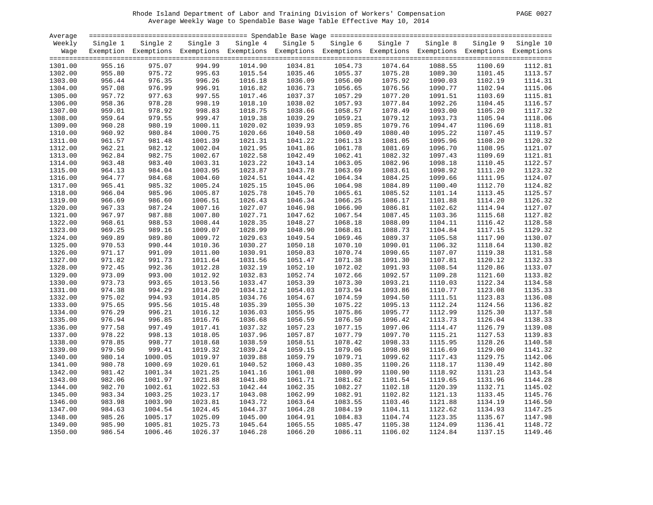#### Rhode Island Department of Labor and Training Division of Workers' Compensation PAGE 0027 Average Weekly Wage to Spendable Base Wage Table Effective May 10, 2014

| PAGE | $002^{\circ}$ |
|------|---------------|
|      |               |

| Average |          |                                                                                                              |          |                    |          |          |          |          |         |                    |
|---------|----------|--------------------------------------------------------------------------------------------------------------|----------|--------------------|----------|----------|----------|----------|---------|--------------------|
| Weekly  | Single 1 | Single 2                                                                                                     | Single 3 | Single 4           | Single 5 | Single 6 | Single 7 | Single 8 |         | Single 9 Single 10 |
| Wage    |          | Exemption Exemptions Exemptions Exemptions Exemptions Exemptions Exemptions Exemptions Exemptions Exemptions |          |                    |          |          |          |          |         |                    |
|         |          |                                                                                                              |          |                    |          |          |          |          |         |                    |
| 1301.00 | 955.16   | 975.07                                                                                                       | 994.99   | 1014.90            | 1034.81  | 1054.73  | 1074.64  | 1088.55  | 1100.69 | 1112.81            |
| 1302.00 | 955.80   | 975.72                                                                                                       | 995.63   | 1015.54            | 1035.46  | 1055.37  | 1075.28  | 1089.30  | 1101.45 | 1113.57            |
| 1303.00 | 956.44   | 976.35                                                                                                       | 996.26   | 1016.18            | 1036.09  | 1056.00  | 1075.92  | 1090.03  | 1102.19 | 1114.31            |
| 1304.00 | 957.08   | 976.99                                                                                                       | 996.91   | 1016.82            | 1036.73  | 1056.65  | 1076.56  | 1090.77  | 1102.94 | 1115.06            |
| 1305.00 | 957.72   | 977.63                                                                                                       | 997.55   | 1017.46            | 1037.37  | 1057.29  | 1077.20  | 1091.51  | 1103.69 | 1115.81            |
| 1306.00 | 958.36   | 978.28                                                                                                       | 998.19   | 1018.10            | 1038.02  | 1057.93  | 1077.84  | 1092.26  | 1104.45 | 1116.57            |
| 1307.00 | 959.01   | 978.92                                                                                                       | 998.83   | 1018.75            | 1038.66  | 1058.57  | 1078.49  | 1093.00  | 1105.20 | 1117.32            |
| 1308.00 | 959.64   | 979.55                                                                                                       | 999.47   | 1019.38            | 1039.29  | 1059.21  | 1079.12  | 1093.73  | 1105.94 | 1118.06            |
| 1309.00 | 960.28   | 980.19                                                                                                       | 1000.11  | 1020.02            | 1039.93  | 1059.85  | 1079.76  | 1094.47  | 1106.69 | 1118.81            |
| 1310.00 | 960.92   | 980.84                                                                                                       | 1000.75  | 1020.66            | 1040.58  | 1060.49  | 1080.40  | 1095.22  | 1107.45 | 1119.57            |
| 1311.00 | 961.57   | 981.48                                                                                                       | 1001.39  | 1021.31            | 1041.22  | 1061.13  | 1081.05  | 1095.96  | 1108.20 | 1120.32            |
| 1312.00 | 962.21   | 982.12                                                                                                       | 1002.04  | 1021.95            | 1041.86  | 1061.78  | 1081.69  | 1096.70  | 1108.95 | 1121.07            |
| 1313.00 | 962.84   | 982.75                                                                                                       | 1002.67  | 1022.58            | 1042.49  | 1062.41  | 1082.32  | 1097.43  | 1109.69 | 1121.81            |
| 1314.00 | 963.48   | 983.40                                                                                                       | 1003.31  | 1023.22            | 1043.14  | 1063.05  | 1082.96  | 1098.18  | 1110.45 | 1122.57            |
| 1315.00 | 964.13   | 984.04                                                                                                       | 1003.95  | 1023.87            | 1043.78  | 1063.69  | 1083.61  | 1098.92  | 1111.20 | 1123.32            |
| 1316.00 | 964.77   | 984.68                                                                                                       | 1004.60  | 1024.51            | 1044.42  | 1064.34  | 1084.25  | 1099.66  | 1111.95 | 1124.07            |
| 1317.00 | 965.41   | 985.32                                                                                                       | 1005.24  | 1025.15            | 1045.06  | 1064.98  | 1084.89  | 1100.40  | 1112.70 | 1124.82            |
| 1318.00 | 966.04   | 985.96                                                                                                       | 1005.87  |                    | 1045.70  |          | 1085.52  | 1101.14  |         | 1125.57            |
|         |          |                                                                                                              |          | 1025.78            |          | 1065.61  |          |          | 1113.45 | 1126.32            |
| 1319.00 | 966.69   | 986.60                                                                                                       | 1006.51  | 1026.43<br>1027.07 | 1046.34  | 1066.25  | 1086.17  | 1101.88  | 1114.20 | 1127.07            |
| 1320.00 | 967.33   | 987.24                                                                                                       | 1007.16  |                    | 1046.98  | 1066.90  | 1086.81  | 1102.62  | 1114.94 |                    |
| 1321.00 | 967.97   | 987.88                                                                                                       | 1007.80  | 1027.71            | 1047.62  | 1067.54  | 1087.45  | 1103.36  | 1115.68 | 1127.82            |
| 1322.00 | 968.61   | 988.53                                                                                                       | 1008.44  | 1028.35            | 1048.27  | 1068.18  | 1088.09  | 1104.11  | 1116.42 | 1128.58            |
| 1323.00 | 969.25   | 989.16                                                                                                       | 1009.07  | 1028.99            | 1048.90  | 1068.81  | 1088.73  | 1104.84  | 1117.15 | 1129.32            |
| 1324.00 | 969.89   | 989.80                                                                                                       | 1009.72  | 1029.63            | 1049.54  | 1069.46  | 1089.37  | 1105.58  | 1117.90 | 1130.07            |
| 1325.00 | 970.53   | 990.44                                                                                                       | 1010.36  | 1030.27            | 1050.18  | 1070.10  | 1090.01  | 1106.32  | 1118.64 | 1130.82            |
| 1326.00 | 971.17   | 991.09                                                                                                       | 1011.00  | 1030.91            | 1050.83  | 1070.74  | 1090.65  | 1107.07  | 1119.38 | 1131.58            |
| 1327.00 | 971.82   | 991.73                                                                                                       | 1011.64  | 1031.56            | 1051.47  | 1071.38  | 1091.30  | 1107.81  | 1120.12 | 1132.33            |
| 1328.00 | 972.45   | 992.36                                                                                                       | 1012.28  | 1032.19            | 1052.10  | 1072.02  | 1091.93  | 1108.54  | 1120.86 | 1133.07            |
| 1329.00 | 973.09   | 993.00                                                                                                       | 1012.92  | 1032.83            | 1052.74  | 1072.66  | 1092.57  | 1109.28  | 1121.60 | 1133.82            |
| 1330.00 | 973.73   | 993.65                                                                                                       | 1013.56  | 1033.47            | 1053.39  | 1073.30  | 1093.21  | 1110.03  | 1122.34 | 1134.58            |
| 1331.00 | 974.38   | 994.29                                                                                                       | 1014.20  | 1034.12            | 1054.03  | 1073.94  | 1093.86  | 1110.77  | 1123.08 | 1135.33            |
| 1332.00 | 975.02   | 994.93                                                                                                       | 1014.85  | 1034.76            | 1054.67  | 1074.59  | 1094.50  | 1111.51  | 1123.83 | 1136.08            |
| 1333.00 | 975.65   | 995.56                                                                                                       | 1015.48  | 1035.39            | 1055.30  | 1075.22  | 1095.13  | 1112.24  | 1124.56 | 1136.82            |
| 1334.00 | 976.29   | 996.21                                                                                                       | 1016.12  | 1036.03            | 1055.95  | 1075.86  | 1095.77  | 1112.99  | 1125.30 | 1137.58            |
| 1335.00 | 976.94   | 996.85                                                                                                       | 1016.76  | 1036.68            | 1056.59  | 1076.50  | 1096.42  | 1113.73  | 1126.04 | 1138.33            |
| 1336.00 | 977.58   | 997.49                                                                                                       | 1017.41  | 1037.32            | 1057.23  | 1077.15  | 1097.06  | 1114.47  | 1126.79 | 1139.08            |
| 1337.00 | 978.22   | 998.13                                                                                                       | 1018.05  | 1037.96            | 1057.87  | 1077.79  | 1097.70  | 1115.21  | 1127.53 | 1139.83            |
| 1338.00 | 978.85   | 998.77                                                                                                       | 1018.68  | 1038.59            | 1058.51  | 1078.42  | 1098.33  | 1115.95  | 1128.26 | 1140.58            |
| 1339.00 | 979.50   | 999.41                                                                                                       | 1019.32  | 1039.24            | 1059.15  | 1079.06  | 1098.98  | 1116.69  | 1129.00 | 1141.32            |
| 1340.00 | 980.14   | 1000.05                                                                                                      | 1019.97  | 1039.88            | 1059.79  | 1079.71  | 1099.62  | 1117.43  | 1129.75 | 1142.06            |
| 1341.00 | 980.78   | 1000.69                                                                                                      | 1020.61  | 1040.52            | 1060.43  | 1080.35  | 1100.26  | 1118.17  | 1130.49 | 1142.80            |
| 1342.00 | 981.42   | 1001.34                                                                                                      | 1021.25  | 1041.16            | 1061.08  | 1080.99  | 1100.90  | 1118.92  | 1131.23 | 1143.54            |
| 1343.00 | 982.06   | 1001.97                                                                                                      | 1021.88  | 1041.80            | 1061.71  | 1081.62  | 1101.54  | 1119.65  | 1131.96 | 1144.28            |
| 1344.00 | 982.70   | 1002.61                                                                                                      | 1022.53  | 1042.44            | 1062.35  | 1082.27  | 1102.18  | 1120.39  | 1132.71 | 1145.02            |
| 1345.00 | 983.34   | 1003.25                                                                                                      | 1023.17  | 1043.08            | 1062.99  | 1082.91  | 1102.82  | 1121.13  | 1133.45 | 1145.76            |
| 1346.00 | 983.98   | 1003.90                                                                                                      | 1023.81  | 1043.72            | 1063.64  | 1083.55  | 1103.46  | 1121.88  | 1134.19 | 1146.50            |
| 1347.00 | 984.63   | 1004.54                                                                                                      | 1024.45  | 1044.37            | 1064.28  | 1084.19  | 1104.11  | 1122.62  | 1134.93 | 1147.25            |
| 1348.00 | 985.26   | 1005.17                                                                                                      | 1025.09  | 1045.00            | 1064.91  | 1084.83  | 1104.74  | 1123.35  | 1135.67 | 1147.98            |
| 1349.00 | 985.90   | 1005.81                                                                                                      | 1025.73  | 1045.64            | 1065.55  | 1085.47  | 1105.38  | 1124.09  | 1136.41 | 1148.72            |
| 1350.00 | 986.54   | 1006.46                                                                                                      | 1026.37  | 1046.28            | 1066.20  | 1086.11  | 1106.02  | 1124.84  | 1137.15 | 1149.46            |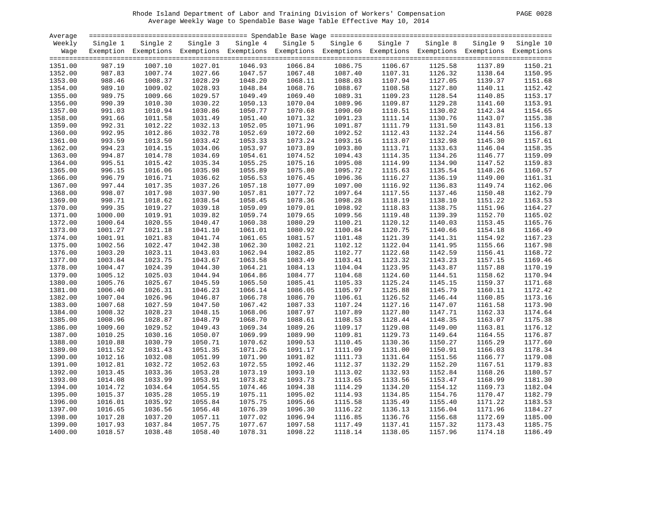#### Rhode Island Department of Labor and Training Division of Workers' Compensation PAGE 0028 Average Weekly Wage to Spendable Base Wage Table Effective May 10, 2014

| PAGE<br>0028 |  |  |
|--------------|--|--|
|--------------|--|--|

| Average |          |                                                                                                              |          |          |          |          |          |          |         |                    |
|---------|----------|--------------------------------------------------------------------------------------------------------------|----------|----------|----------|----------|----------|----------|---------|--------------------|
| Weekly  | Single 1 | Single 2                                                                                                     | Single 3 | Single 4 | Single 5 | Single 6 | Single 7 | Single 8 |         | Single 9 Single 10 |
| Waqe    |          | Exemption Exemptions Exemptions Exemptions Exemptions Exemptions Exemptions Exemptions Exemptions Exemptions |          |          |          |          |          |          |         |                    |
|         |          |                                                                                                              |          |          |          |          |          |          |         |                    |
| 1351.00 | 987.19   | 1007.10                                                                                                      | 1027.01  | 1046.93  | 1066.84  | 1086.75  | 1106.67  | 1125.58  | 1137.89 | 1150.21            |
| 1352.00 | 987.83   | 1007.74                                                                                                      | 1027.66  | 1047.57  | 1067.48  | 1087.40  | 1107.31  | 1126.32  | 1138.64 | 1150.95            |
| 1353.00 | 988.46   | 1008.37                                                                                                      | 1028.29  | 1048.20  | 1068.11  | 1088.03  | 1107.94  | 1127.05  | 1139.37 | 1151.68            |
| 1354.00 | 989.10   | 1009.02                                                                                                      | 1028.93  | 1048.84  | 1068.76  | 1088.67  | 1108.58  | 1127.80  | 1140.11 | 1152.42            |
| 1355.00 | 989.75   | 1009.66                                                                                                      | 1029.57  | 1049.49  | 1069.40  | 1089.31  | 1109.23  | 1128.54  | 1140.85 | 1153.17            |
| 1356.00 | 990.39   | 1010.30                                                                                                      | 1030.22  | 1050.13  | 1070.04  | 1089.96  | 1109.87  | 1129.28  | 1141.60 | 1153.91            |
| 1357.00 | 991.03   | 1010.94                                                                                                      | 1030.86  | 1050.77  | 1070.68  | 1090.60  | 1110.51  | 1130.02  | 1142.34 | 1154.65            |
| 1358.00 | 991.66   | 1011.58                                                                                                      | 1031.49  | 1051.40  | 1071.32  | 1091.23  | 1111.14  | 1130.76  | 1143.07 | 1155.38            |
| 1359.00 | 992.31   | 1012.22                                                                                                      | 1032.13  | 1052.05  | 1071.96  | 1091.87  | 1111.79  | 1131.50  | 1143.81 | 1156.13            |
| 1360.00 | 992.95   | 1012.86                                                                                                      | 1032.78  | 1052.69  | 1072.60  | 1092.52  | 1112.43  | 1132.24  | 1144.56 | 1156.87            |
| 1361.00 | 993.59   | 1013.50                                                                                                      | 1033.42  | 1053.33  | 1073.24  | 1093.16  | 1113.07  | 1132.98  | 1145.30 | 1157.61            |
| 1362.00 | 994.23   | 1014.15                                                                                                      | 1034.06  | 1053.97  | 1073.89  | 1093.80  | 1113.71  | 1133.63  | 1146.04 | 1158.35            |
| 1363.00 | 994.87   | 1014.78                                                                                                      | 1034.69  | 1054.61  | 1074.52  | 1094.43  | 1114.35  | 1134.26  | 1146.77 | 1159.09            |
| 1364.00 | 995.51   | 1015.42                                                                                                      | 1035.34  | 1055.25  | 1075.16  | 1095.08  | 1114.99  | 1134.90  | 1147.52 | 1159.83            |
| 1365.00 | 996.15   | 1016.06                                                                                                      | 1035.98  | 1055.89  | 1075.80  | 1095.72  | 1115.63  | 1135.54  | 1148.26 | 1160.57            |
| 1366.00 | 996.79   | 1016.71                                                                                                      | 1036.62  | 1056.53  | 1076.45  | 1096.36  | 1116.27  | 1136.19  | 1149.00 | 1161.31            |
| 1367.00 | 997.44   | 1017.35                                                                                                      | 1037.26  | 1057.18  | 1077.09  | 1097.00  | 1116.92  | 1136.83  | 1149.74 | 1162.06            |
| 1368.00 | 998.07   | 1017.98                                                                                                      | 1037.90  | 1057.81  | 1077.72  | 1097.64  | 1117.55  | 1137.46  | 1150.48 | 1162.79            |
| 1369.00 | 998.71   | 1018.62                                                                                                      | 1038.54  | 1058.45  | 1078.36  | 1098.28  | 1118.19  | 1138.10  | 1151.22 | 1163.53            |
| 1370.00 | 999.35   | 1019.27                                                                                                      | 1039.18  | 1059.09  | 1079.01  | 1098.92  | 1118.83  | 1138.75  | 1151.96 | 1164.27            |
| 1371.00 | 1000.00  | 1019.91                                                                                                      | 1039.82  | 1059.74  | 1079.65  | 1099.56  | 1119.48  | 1139.39  | 1152.70 | 1165.02            |
| 1372.00 | 1000.64  | 1020.55                                                                                                      | 1040.47  | 1060.38  | 1080.29  | 1100.21  | 1120.12  | 1140.03  | 1153.45 | 1165.76            |
| 1373.00 | 1001.27  | 1021.18                                                                                                      | 1041.10  | 1061.01  | 1080.92  | 1100.84  | 1120.75  | 1140.66  | 1154.18 | 1166.49            |
| 1374.00 | 1001.91  | 1021.83                                                                                                      | 1041.74  | 1061.65  | 1081.57  | 1101.48  | 1121.39  | 1141.31  | 1154.92 | 1167.23            |
| 1375.00 | 1002.56  | 1022.47                                                                                                      | 1042.38  | 1062.30  | 1082.21  | 1102.12  | 1122.04  | 1141.95  | 1155.66 | 1167.98            |
| 1376.00 | 1003.20  | 1023.11                                                                                                      | 1043.03  | 1062.94  | 1082.85  | 1102.77  | 1122.68  | 1142.59  | 1156.41 | 1168.72            |
| 1377.00 | 1003.84  | 1023.75                                                                                                      | 1043.67  | 1063.58  | 1083.49  | 1103.41  | 1123.32  | 1143.23  | 1157.15 | 1169.46            |
| 1378.00 | 1004.47  | 1024.39                                                                                                      | 1044.30  | 1064.21  | 1084.13  | 1104.04  | 1123.95  | 1143.87  | 1157.88 | 1170.19            |
| 1379.00 | 1005.12  | 1025.03                                                                                                      | 1044.94  | 1064.86  | 1084.77  | 1104.68  | 1124.60  | 1144.51  | 1158.62 | 1170.94            |
| 1380.00 | 1005.76  | 1025.67                                                                                                      | 1045.59  | 1065.50  | 1085.41  | 1105.33  | 1125.24  | 1145.15  | 1159.37 | 1171.68            |
| 1381.00 | 1006.40  | 1026.31                                                                                                      | 1046.23  | 1066.14  | 1086.05  | 1105.97  | 1125.88  | 1145.79  | 1160.11 | 1172.42            |
| 1382.00 | 1007.04  | 1026.96                                                                                                      | 1046.87  | 1066.78  | 1086.70  | 1106.61  | 1126.52  | 1146.44  | 1160.85 | 1173.16            |
| 1383.00 | 1007.68  | 1027.59                                                                                                      | 1047.50  | 1067.42  | 1087.33  | 1107.24  | 1127.16  | 1147.07  | 1161.58 | 1173.90            |
| 1384.00 | 1008.32  | 1028.23                                                                                                      | 1048.15  | 1068.06  | 1087.97  | 1107.89  | 1127.80  | 1147.71  | 1162.33 | 1174.64            |
| 1385.00 | 1008.96  | 1028.87                                                                                                      | 1048.79  | 1068.70  | 1088.61  | 1108.53  | 1128.44  | 1148.35  | 1163.07 | 1175.38            |
| 1386.00 | 1009.60  | 1029.52                                                                                                      | 1049.43  | 1069.34  | 1089.26  | 1109.17  | 1129.08  | 1149.00  | 1163.81 | 1176.12            |
| 1387.00 | 1010.25  | 1030.16                                                                                                      | 1050.07  | 1069.99  | 1089.90  | 1109.81  | 1129.73  | 1149.64  | 1164.55 | 1176.87            |
| 1388.00 | 1010.88  | 1030.79                                                                                                      | 1050.71  | 1070.62  | 1090.53  | 1110.45  | 1130.36  | 1150.27  | 1165.29 | 1177.60            |
| 1389.00 | 1011.52  | 1031.43                                                                                                      | 1051.35  | 1071.26  | 1091.17  | 1111.09  | 1131.00  | 1150.91  | 1166.03 | 1178.34            |
| 1390.00 | 1012.16  | 1032.08                                                                                                      | 1051.99  | 1071.90  | 1091.82  | 1111.73  | 1131.64  | 1151.56  | 1166.77 | 1179.08            |
| 1391.00 | 1012.81  | 1032.72                                                                                                      | 1052.63  | 1072.55  | 1092.46  | 1112.37  | 1132.29  | 1152.20  | 1167.51 | 1179.83            |
| 1392.00 | 1013.45  | 1033.36                                                                                                      | 1053.28  | 1073.19  | 1093.10  | 1113.02  | 1132.93  | 1152.84  | 1168.26 | 1180.57            |
| 1393.00 | 1014.08  | 1033.99                                                                                                      | 1053.91  | 1073.82  | 1093.73  | 1113.65  | 1133.56  | 1153.47  | 1168.99 | 1181.30            |
| 1394.00 | 1014.72  | 1034.64                                                                                                      | 1054.55  | 1074.46  | 1094.38  | 1114.29  | 1134.20  | 1154.12  | 1169.73 | 1182.04            |
| 1395.00 | 1015.37  | 1035.28                                                                                                      | 1055.19  | 1075.11  | 1095.02  | 1114.93  | 1134.85  | 1154.76  | 1170.47 | 1182.79            |
| 1396.00 | 1016.01  | 1035.92                                                                                                      | 1055.84  | 1075.75  | 1095.66  | 1115.58  | 1135.49  | 1155.40  | 1171.22 | 1183.53            |
| 1397.00 | 1016.65  | 1036.56                                                                                                      | 1056.48  | 1076.39  | 1096.30  | 1116.22  | 1136.13  | 1156.04  | 1171.96 | 1184.27            |
| 1398.00 | 1017.28  | 1037.20                                                                                                      | 1057.11  | 1077.02  | 1096.94  | 1116.85  | 1136.76  | 1156.68  | 1172.69 | 1185.00            |
| 1399.00 | 1017.93  | 1037.84                                                                                                      | 1057.75  | 1077.67  | 1097.58  | 1117.49  | 1137.41  | 1157.32  | 1173.43 | 1185.75            |
| 1400.00 | 1018.57  | 1038.48                                                                                                      | 1058.40  | 1078.31  | 1098.22  | 1118.14  | 1138.05  | 1157.96  | 1174.18 | 1186.49            |
|         |          |                                                                                                              |          |          |          |          |          |          |         |                    |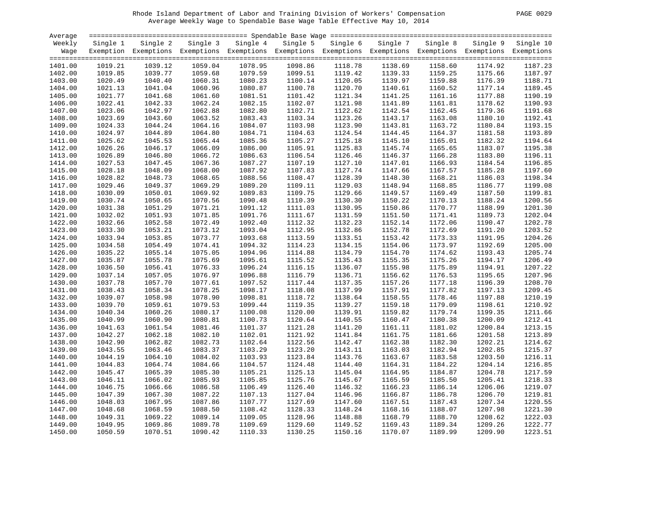#### Rhode Island Department of Labor and Training Division of Workers' Compensation PAGE 0029 Average Weekly Wage to Spendable Base Wage Table Effective May 10, 2014

| PAGE | 0029 |
|------|------|
|      |      |

| Average |          |                                                                                                              |          |          |          |          |          |          |         |                    |
|---------|----------|--------------------------------------------------------------------------------------------------------------|----------|----------|----------|----------|----------|----------|---------|--------------------|
| Weekly  | Single 1 | Single 2                                                                                                     | Single 3 | Single 4 | Single 5 | Single 6 | Single 7 | Single 8 |         | Single 9 Single 10 |
| Waqe    |          | Exemption Exemptions Exemptions Exemptions Exemptions Exemptions Exemptions Exemptions Exemptions Exemptions |          |          |          |          |          |          |         |                    |
|         |          |                                                                                                              |          |          |          |          |          |          |         |                    |
| 1401.00 | 1019.21  | 1039.12                                                                                                      | 1059.04  | 1078.95  | 1098.86  | 1118.78  | 1138.69  | 1158.60  | 1174.92 | 1187.23            |
| 1402.00 | 1019.85  | 1039.77                                                                                                      | 1059.68  | 1079.59  | 1099.51  | 1119.42  | 1139.33  | 1159.25  | 1175.66 | 1187.97            |
| 1403.00 | 1020.49  | 1040.40                                                                                                      | 1060.31  | 1080.23  | 1100.14  | 1120.05  | 1139.97  | 1159.88  | 1176.39 | 1188.71            |
| 1404.00 | 1021.13  | 1041.04                                                                                                      | 1060.96  | 1080.87  | 1100.78  | 1120.70  | 1140.61  | 1160.52  | 1177.14 | 1189.45            |
| 1405.00 | 1021.77  | 1041.68                                                                                                      | 1061.60  | 1081.51  | 1101.42  | 1121.34  | 1141.25  | 1161.16  | 1177.88 | 1190.19            |
| 1406.00 | 1022.41  | 1042.33                                                                                                      | 1062.24  | 1082.15  | 1102.07  | 1121.98  | 1141.89  | 1161.81  | 1178.62 | 1190.93            |
| 1407.00 | 1023.06  | 1042.97                                                                                                      | 1062.88  | 1082.80  | 1102.71  | 1122.62  | 1142.54  | 1162.45  | 1179.36 | 1191.68            |
| 1408.00 | 1023.69  | 1043.60                                                                                                      | 1063.52  | 1083.43  | 1103.34  | 1123.26  | 1143.17  | 1163.08  | 1180.10 | 1192.41            |
| 1409.00 | 1024.33  | 1044.24                                                                                                      | 1064.16  | 1084.07  | 1103.98  | 1123.90  | 1143.81  | 1163.72  | 1180.84 | 1193.15            |
| 1410.00 | 1024.97  | 1044.89                                                                                                      | 1064.80  | 1084.71  | 1104.63  | 1124.54  | 1144.45  | 1164.37  | 1181.58 | 1193.89            |
| 1411.00 | 1025.62  | 1045.53                                                                                                      | 1065.44  | 1085.36  | 1105.27  | 1125.18  | 1145.10  | 1165.01  | 1182.32 | 1194.64            |
| 1412.00 | 1026.26  | 1046.17                                                                                                      | 1066.09  | 1086.00  | 1105.91  | 1125.83  | 1145.74  | 1165.65  | 1183.07 | 1195.38            |
| 1413.00 | 1026.89  | 1046.80                                                                                                      | 1066.72  | 1086.63  | 1106.54  | 1126.46  | 1146.37  | 1166.28  | 1183.80 | 1196.11            |
| 1414.00 | 1027.53  | 1047.45                                                                                                      | 1067.36  | 1087.27  | 1107.19  | 1127.10  | 1147.01  | 1166.93  | 1184.54 | 1196.85            |
| 1415.00 | 1028.18  | 1048.09                                                                                                      | 1068.00  | 1087.92  | 1107.83  | 1127.74  | 1147.66  | 1167.57  | 1185.28 | 1197.60            |
| 1416.00 | 1028.82  | 1048.73                                                                                                      | 1068.65  | 1088.56  | 1108.47  | 1128.39  | 1148.30  | 1168.21  | 1186.03 | 1198.34            |
| 1417.00 | 1029.46  | 1049.37                                                                                                      | 1069.29  | 1089.20  | 1109.11  | 1129.03  | 1148.94  | 1168.85  | 1186.77 | 1199.08            |
| 1418.00 | 1030.09  | 1050.01                                                                                                      | 1069.92  | 1089.83  | 1109.75  | 1129.66  | 1149.57  | 1169.49  | 1187.50 | 1199.81            |
| 1419.00 | 1030.74  | 1050.65                                                                                                      | 1070.56  | 1090.48  | 1110.39  | 1130.30  | 1150.22  | 1170.13  | 1188.24 | 1200.56            |
| 1420.00 | 1031.38  | 1051.29                                                                                                      | 1071.21  | 1091.12  | 1111.03  | 1130.95  | 1150.86  | 1170.77  | 1188.99 | 1201.30            |
| 1421.00 | 1032.02  | 1051.93                                                                                                      | 1071.85  | 1091.76  | 1111.67  | 1131.59  | 1151.50  | 1171.41  | 1189.73 | 1202.04            |
| 1422.00 | 1032.66  | 1052.58                                                                                                      | 1072.49  | 1092.40  | 1112.32  | 1132.23  | 1152.14  | 1172.06  | 1190.47 | 1202.78            |
| 1423.00 | 1033.30  | 1053.21                                                                                                      | 1073.12  | 1093.04  | 1112.95  | 1132.86  | 1152.78  | 1172.69  | 1191.20 | 1203.52            |
| 1424.00 | 1033.94  | 1053.85                                                                                                      | 1073.77  | 1093.68  | 1113.59  | 1133.51  | 1153.42  | 1173.33  | 1191.95 | 1204.26            |
| 1425.00 | 1034.58  | 1054.49                                                                                                      | 1074.41  | 1094.32  | 1114.23  | 1134.15  | 1154.06  | 1173.97  | 1192.69 | 1205.00            |
| 1426.00 | 1035.22  | 1055.14                                                                                                      | 1075.05  | 1094.96  | 1114.88  | 1134.79  | 1154.70  | 1174.62  | 1193.43 | 1205.74            |
| 1427.00 | 1035.87  | 1055.78                                                                                                      | 1075.69  | 1095.61  | 1115.52  | 1135.43  | 1155.35  | 1175.26  | 1194.17 | 1206.49            |
| 1428.00 | 1036.50  | 1056.41                                                                                                      | 1076.33  | 1096.24  | 1116.15  | 1136.07  | 1155.98  | 1175.89  | 1194.91 | 1207.22            |
| 1429.00 | 1037.14  | 1057.05                                                                                                      | 1076.97  | 1096.88  | 1116.79  | 1136.71  | 1156.62  | 1176.53  | 1195.65 | 1207.96            |
| 1430.00 | 1037.78  | 1057.70                                                                                                      | 1077.61  | 1097.52  | 1117.44  | 1137.35  | 1157.26  | 1177.18  | 1196.39 | 1208.70            |
| 1431.00 | 1038.43  | 1058.34                                                                                                      | 1078.25  | 1098.17  | 1118.08  | 1137.99  | 1157.91  | 1177.82  | 1197.13 | 1209.45            |
| 1432.00 | 1039.07  | 1058.98                                                                                                      | 1078.90  | 1098.81  | 1118.72  | 1138.64  | 1158.55  | 1178.46  | 1197.88 | 1210.19            |
| 1433.00 | 1039.70  | 1059.61                                                                                                      | 1079.53  | 1099.44  | 1119.35  | 1139.27  | 1159.18  | 1179.09  | 1198.61 | 1210.92            |
| 1434.00 | 1040.34  | 1060.26                                                                                                      | 1080.17  | 1100.08  | 1120.00  | 1139.91  | 1159.82  | 1179.74  | 1199.35 | 1211.66            |
| 1435.00 | 1040.99  | 1060.90                                                                                                      | 1080.81  | 1100.73  | 1120.64  | 1140.55  | 1160.47  | 1180.38  | 1200.09 | 1212.41            |
| 1436.00 | 1041.63  | 1061.54                                                                                                      | 1081.46  | 1101.37  | 1121.28  | 1141.20  | 1161.11  | 1181.02  | 1200.84 | 1213.15            |
| 1437.00 | 1042.27  | 1062.18                                                                                                      | 1082.10  | 1102.01  | 1121.92  | 1141.84  | 1161.75  | 1181.66  | 1201.58 | 1213.89            |
|         |          |                                                                                                              |          |          |          |          |          |          |         |                    |
| 1438.00 | 1042.90  | 1062.82                                                                                                      | 1082.73  | 1102.64  | 1122.56  | 1142.47  | 1162.38  | 1182.30  | 1202.21 | 1214.62            |
| 1439.00 | 1043.55  | 1063.46                                                                                                      | 1083.37  | 1103.29  | 1123.20  | 1143.11  | 1163.03  | 1182.94  | 1202.85 | 1215.37            |
| 1440.00 | 1044.19  | 1064.10                                                                                                      | 1084.02  | 1103.93  | 1123.84  | 1143.76  | 1163.67  | 1183.58  | 1203.50 | 1216.11            |
| 1441.00 | 1044.83  | 1064.74                                                                                                      | 1084.66  | 1104.57  | 1124.48  | 1144.40  | 1164.31  | 1184.22  | 1204.14 | 1216.85            |
| 1442.00 | 1045.47  | 1065.39                                                                                                      | 1085.30  | 1105.21  | 1125.13  | 1145.04  | 1164.95  | 1184.87  | 1204.78 | 1217.59            |
| 1443.00 | 1046.11  | 1066.02                                                                                                      | 1085.93  | 1105.85  | 1125.76  | 1145.67  | 1165.59  | 1185.50  | 1205.41 | 1218.33            |
| 1444.00 | 1046.75  | 1066.66                                                                                                      | 1086.58  | 1106.49  | 1126.40  | 1146.32  | 1166.23  | 1186.14  | 1206.06 | 1219.07            |
| 1445.00 | 1047.39  | 1067.30                                                                                                      | 1087.22  | 1107.13  | 1127.04  | 1146.96  | 1166.87  | 1186.78  | 1206.70 | 1219.81            |
| 1446.00 | 1048.03  | 1067.95                                                                                                      | 1087.86  | 1107.77  | 1127.69  | 1147.60  | 1167.51  | 1187.43  | 1207.34 | 1220.55            |
| 1447.00 | 1048.68  | 1068.59                                                                                                      | 1088.50  | 1108.42  | 1128.33  | 1148.24  | 1168.16  | 1188.07  | 1207.98 | 1221.30            |
| 1448.00 | 1049.31  | 1069.22                                                                                                      | 1089.14  | 1109.05  | 1128.96  | 1148.88  | 1168.79  | 1188.70  | 1208.62 | 1222.03            |
| 1449.00 | 1049.95  | 1069.86                                                                                                      | 1089.78  | 1109.69  | 1129.60  | 1149.52  | 1169.43  | 1189.34  | 1209.26 | 1222.77            |
| 1450.00 | 1050.59  | 1070.51                                                                                                      | 1090.42  | 1110.33  | 1130.25  | 1150.16  | 1170.07  | 1189.99  | 1209.90 | 1223.51            |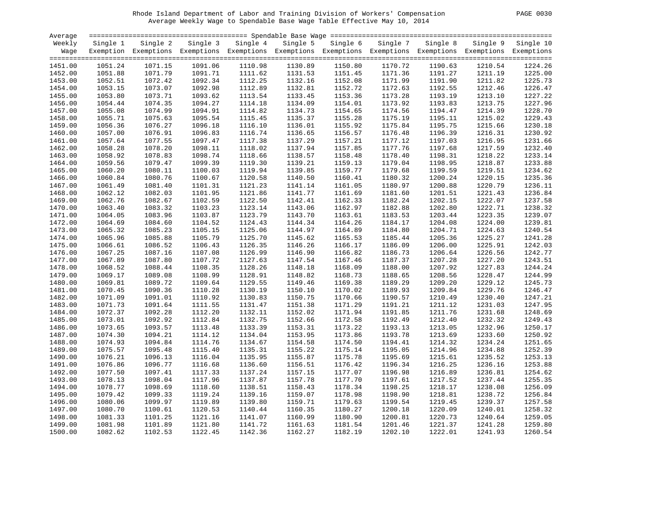#### Rhode Island Department of Labor and Training Division of Workers' Compensation PAGE 0030 Average Weekly Wage to Spendable Base Wage Table Effective May 10, 2014

| PAGE | 0030 |  |
|------|------|--|
|      |      |  |

| Average |          |                                                                                                              |          |          |          |          |          |          |          |           |
|---------|----------|--------------------------------------------------------------------------------------------------------------|----------|----------|----------|----------|----------|----------|----------|-----------|
| Weekly  | Single 1 | Single 2                                                                                                     | Single 3 | Single 4 | Single 5 | Single 6 | Single 7 | Single 8 | Single 9 | Single 10 |
| Wage    |          | Exemption Exemptions Exemptions Exemptions Exemptions Exemptions Exemptions Exemptions Exemptions Exemptions |          |          |          |          |          |          |          |           |
|         |          |                                                                                                              |          |          |          |          |          |          |          |           |
| 1451.00 | 1051.24  | 1071.15                                                                                                      | 1091.06  | 1110.98  | 1130.89  | 1150.80  | 1170.72  | 1190.63  | 1210.54  | 1224.26   |
| 1452.00 | 1051.88  | 1071.79                                                                                                      | 1091.71  | 1111.62  | 1131.53  | 1151.45  | 1171.36  | 1191.27  | 1211.19  | 1225.00   |
| 1453.00 | 1052.51  | 1072.42                                                                                                      | 1092.34  | 1112.25  | 1132.16  | 1152.08  | 1171.99  | 1191.90  | 1211.82  | 1225.73   |
| 1454.00 | 1053.15  | 1073.07                                                                                                      | 1092.98  | 1112.89  | 1132.81  | 1152.72  | 1172.63  | 1192.55  | 1212.46  | 1226.47   |
| 1455.00 | 1053.80  | 1073.71                                                                                                      | 1093.62  | 1113.54  | 1133.45  | 1153.36  | 1173.28  | 1193.19  | 1213.10  | 1227.22   |
| 1456.00 | 1054.44  | 1074.35                                                                                                      | 1094.27  | 1114.18  | 1134.09  | 1154.01  | 1173.92  | 1193.83  | 1213.75  | 1227.96   |
| 1457.00 | 1055.08  | 1074.99                                                                                                      | 1094.91  | 1114.82  | 1134.73  | 1154.65  | 1174.56  | 1194.47  | 1214.39  | 1228.70   |
| 1458.00 | 1055.71  | 1075.63                                                                                                      | 1095.54  | 1115.45  | 1135.37  | 1155.28  | 1175.19  | 1195.11  | 1215.02  | 1229.43   |
| 1459.00 | 1056.36  | 1076.27                                                                                                      | 1096.18  | 1116.10  | 1136.01  | 1155.92  | 1175.84  | 1195.75  | 1215.66  | 1230.18   |
|         |          |                                                                                                              |          |          |          |          |          |          |          | 1230.92   |
| 1460.00 | 1057.00  | 1076.91                                                                                                      | 1096.83  | 1116.74  | 1136.65  | 1156.57  | 1176.48  | 1196.39  | 1216.31  |           |
| 1461.00 | 1057.64  | 1077.55                                                                                                      | 1097.47  | 1117.38  | 1137.29  | 1157.21  | 1177.12  | 1197.03  | 1216.95  | 1231.66   |
| 1462.00 | 1058.28  | 1078.20                                                                                                      | 1098.11  | 1118.02  | 1137.94  | 1157.85  | 1177.76  | 1197.68  | 1217.59  | 1232.40   |
| 1463.00 | 1058.92  | 1078.83                                                                                                      | 1098.74  | 1118.66  | 1138.57  | 1158.48  | 1178.40  | 1198.31  | 1218.22  | 1233.14   |
| 1464.00 | 1059.56  | 1079.47                                                                                                      | 1099.39  | 1119.30  | 1139.21  | 1159.13  | 1179.04  | 1198.95  | 1218.87  | 1233.88   |
| 1465.00 | 1060.20  | 1080.11                                                                                                      | 1100.03  | 1119.94  | 1139.85  | 1159.77  | 1179.68  | 1199.59  | 1219.51  | 1234.62   |
| 1466.00 | 1060.84  | 1080.76                                                                                                      | 1100.67  | 1120.58  | 1140.50  | 1160.41  | 1180.32  | 1200.24  | 1220.15  | 1235.36   |
| 1467.00 | 1061.49  | 1081.40                                                                                                      | 1101.31  | 1121.23  | 1141.14  | 1161.05  | 1180.97  | 1200.88  | 1220.79  | 1236.11   |
| 1468.00 | 1062.12  | 1082.03                                                                                                      | 1101.95  | 1121.86  | 1141.77  | 1161.69  | 1181.60  | 1201.51  | 1221.43  | 1236.84   |
| 1469.00 | 1062.76  | 1082.67                                                                                                      | 1102.59  | 1122.50  | 1142.41  | 1162.33  | 1182.24  | 1202.15  | 1222.07  | 1237.58   |
| 1470.00 | 1063.40  | 1083.32                                                                                                      | 1103.23  | 1123.14  | 1143.06  | 1162.97  | 1182.88  | 1202.80  | 1222.71  | 1238.32   |
| 1471.00 | 1064.05  | 1083.96                                                                                                      | 1103.87  | 1123.79  | 1143.70  | 1163.61  | 1183.53  | 1203.44  | 1223.35  | 1239.07   |
| 1472.00 | 1064.69  | 1084.60                                                                                                      | 1104.52  | 1124.43  | 1144.34  | 1164.26  | 1184.17  | 1204.08  | 1224.00  | 1239.81   |
| 1473.00 | 1065.32  | 1085.23                                                                                                      | 1105.15  | 1125.06  | 1144.97  | 1164.89  | 1184.80  | 1204.71  | 1224.63  | 1240.54   |
| 1474.00 | 1065.96  | 1085.88                                                                                                      | 1105.79  | 1125.70  | 1145.62  | 1165.53  | 1185.44  | 1205.36  | 1225.27  | 1241.28   |
| 1475.00 | 1066.61  | 1086.52                                                                                                      | 1106.43  | 1126.35  | 1146.26  | 1166.17  | 1186.09  | 1206.00  | 1225.91  | 1242.03   |
| 1476.00 | 1067.25  | 1087.16                                                                                                      | 1107.08  | 1126.99  | 1146.90  | 1166.82  | 1186.73  | 1206.64  | 1226.56  | 1242.77   |
| 1477.00 | 1067.89  | 1087.80                                                                                                      | 1107.72  | 1127.63  | 1147.54  | 1167.46  | 1187.37  | 1207.28  | 1227.20  | 1243.51   |
|         | 1068.52  | 1088.44                                                                                                      | 1108.35  | 1128.26  | 1148.18  | 1168.09  | 1188.00  | 1207.92  |          | 1244.24   |
| 1478.00 |          |                                                                                                              |          |          |          |          |          |          | 1227.83  | 1244.99   |
| 1479.00 | 1069.17  | 1089.08                                                                                                      | 1108.99  | 1128.91  | 1148.82  | 1168.73  | 1188.65  | 1208.56  | 1228.47  |           |
| 1480.00 | 1069.81  | 1089.72                                                                                                      | 1109.64  | 1129.55  | 1149.46  | 1169.38  | 1189.29  | 1209.20  | 1229.12  | 1245.73   |
| 1481.00 | 1070.45  | 1090.36                                                                                                      | 1110.28  | 1130.19  | 1150.10  | 1170.02  | 1189.93  | 1209.84  | 1229.76  | 1246.47   |
| 1482.00 | 1071.09  | 1091.01                                                                                                      | 1110.92  | 1130.83  | 1150.75  | 1170.66  | 1190.57  | 1210.49  | 1230.40  | 1247.21   |
| 1483.00 | 1071.73  | 1091.64                                                                                                      | 1111.55  | 1131.47  | 1151.38  | 1171.29  | 1191.21  | 1211.12  | 1231.03  | 1247.95   |
| 1484.00 | 1072.37  | 1092.28                                                                                                      | 1112.20  | 1132.11  | 1152.02  | 1171.94  | 1191.85  | 1211.76  | 1231.68  | 1248.69   |
| 1485.00 | 1073.01  | 1092.92                                                                                                      | 1112.84  | 1132.75  | 1152.66  | 1172.58  | 1192.49  | 1212.40  | 1232.32  | 1249.43   |
| 1486.00 | 1073.65  | 1093.57                                                                                                      | 1113.48  | 1133.39  | 1153.31  | 1173.22  | 1193.13  | 1213.05  | 1232.96  | 1250.17   |
| 1487.00 | 1074.30  | 1094.21                                                                                                      | 1114.12  | 1134.04  | 1153.95  | 1173.86  | 1193.78  | 1213.69  | 1233.60  | 1250.92   |
| 1488.00 | 1074.93  | 1094.84                                                                                                      | 1114.76  | 1134.67  | 1154.58  | 1174.50  | 1194.41  | 1214.32  | 1234.24  | 1251.65   |
| 1489.00 | 1075.57  | 1095.48                                                                                                      | 1115.40  | 1135.31  | 1155.22  | 1175.14  | 1195.05  | 1214.96  | 1234.88  | 1252.39   |
| 1490.00 | 1076.21  | 1096.13                                                                                                      | 1116.04  | 1135.95  | 1155.87  | 1175.78  | 1195.69  | 1215.61  | 1235.52  | 1253.13   |
| 1491.00 | 1076.86  | 1096.77                                                                                                      | 1116.68  | 1136.60  | 1156.51  | 1176.42  | 1196.34  | 1216.25  | 1236.16  | 1253.88   |
| 1492.00 | 1077.50  | 1097.41                                                                                                      | 1117.33  | 1137.24  | 1157.15  | 1177.07  | 1196.98  | 1216.89  | 1236.81  | 1254.62   |
| 1493.00 | 1078.13  | 1098.04                                                                                                      | 1117.96  | 1137.87  | 1157.78  | 1177.70  | 1197.61  | 1217.52  | 1237.44  | 1255.35   |
| 1494.00 | 1078.77  | 1098.69                                                                                                      | 1118.60  | 1138.51  | 1158.43  | 1178.34  | 1198.25  | 1218.17  | 1238.08  | 1256.09   |
| 1495.00 | 1079.42  | 1099.33                                                                                                      | 1119.24  | 1139.16  | 1159.07  | 1178.98  | 1198.90  | 1218.81  | 1238.72  | 1256.84   |
| 1496.00 | 1080.06  | 1099.97                                                                                                      | 1119.89  | 1139.80  | 1159.71  | 1179.63  | 1199.54  | 1219.45  | 1239.37  | 1257.58   |
|         |          |                                                                                                              |          |          |          |          |          |          |          |           |
| 1497.00 | 1080.70  | 1100.61                                                                                                      | 1120.53  | 1140.44  | 1160.35  | 1180.27  | 1200.18  | 1220.09  | 1240.01  | 1258.32   |
| 1498.00 | 1081.33  | 1101.25                                                                                                      | 1121.16  | 1141.07  | 1160.99  | 1180.90  | 1200.81  | 1220.73  | 1240.64  | 1259.05   |
| 1499.00 | 1081.98  | 1101.89                                                                                                      | 1121.80  | 1141.72  | 1161.63  | 1181.54  | 1201.46  | 1221.37  | 1241.28  | 1259.80   |
| 1500.00 | 1082.62  | 1102.53                                                                                                      | 1122.45  | 1142.36  | 1162.27  | 1182.19  | 1202.10  | 1222.01  | 1241.93  | 1260.54   |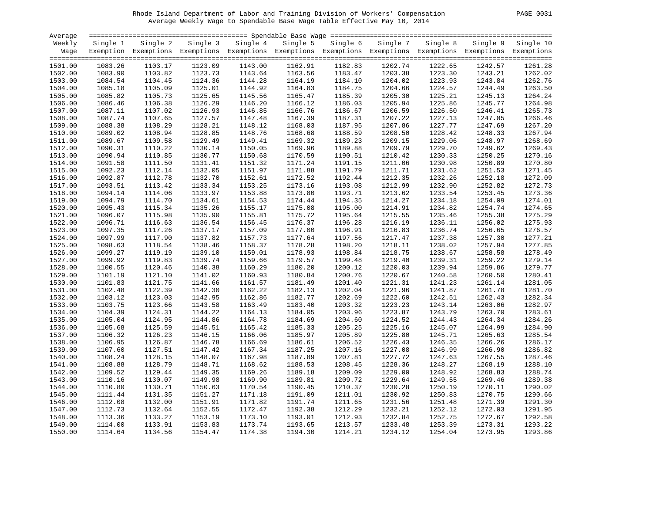# Rhode Island Department of Labor and Training Division of Workers' Compensation PAGE 0031 Average Weekly Wage to Spendable Base Wage Table Effective May 10, 2014

| PAGE.<br>003 |  |  |
|--------------|--|--|
|--------------|--|--|

| Average |          |                                                                                                              |          |          |          |                    |          |          |         |                    |
|---------|----------|--------------------------------------------------------------------------------------------------------------|----------|----------|----------|--------------------|----------|----------|---------|--------------------|
| Weekly  | Single 1 | Single 2                                                                                                     | Single 3 | Single 4 | Single 5 | Single 6           | Single 7 | Single 8 |         | Single 9 Single 10 |
| Wage    |          | Exemption Exemptions Exemptions Exemptions Exemptions Exemptions Exemptions Exemptions Exemptions Exemptions |          |          |          |                    |          |          |         |                    |
|         |          |                                                                                                              |          |          |          |                    |          |          |         |                    |
| 1501.00 | 1083.26  | 1103.17                                                                                                      | 1123.09  | 1143.00  | 1162.91  | 1182.83            | 1202.74  | 1222.65  | 1242.57 | 1261.28            |
| 1502.00 | 1083.90  | 1103.82                                                                                                      | 1123.73  | 1143.64  | 1163.56  | 1183.47            | 1203.38  | 1223.30  | 1243.21 | 1262.02            |
| 1503.00 | 1084.54  | 1104.45                                                                                                      | 1124.36  | 1144.28  | 1164.19  | 1184.10            | 1204.02  | 1223.93  | 1243.84 | 1262.76            |
| 1504.00 | 1085.18  | 1105.09                                                                                                      | 1125.01  | 1144.92  | 1164.83  | 1184.75            | 1204.66  | 1224.57  | 1244.49 | 1263.50            |
|         | 1085.82  | 1105.73                                                                                                      | 1125.65  | 1145.56  | 1165.47  | 1185.39            | 1205.30  | 1225.21  | 1245.13 | 1264.24            |
| 1505.00 |          |                                                                                                              |          |          |          |                    |          |          |         |                    |
| 1506.00 | 1086.46  | 1106.38                                                                                                      | 1126.29  | 1146.20  | 1166.12  | 1186.03            | 1205.94  | 1225.86  | 1245.77 | 1264.98            |
| 1507.00 | 1087.11  | 1107.02                                                                                                      | 1126.93  | 1146.85  | 1166.76  | 1186.67            | 1206.59  | 1226.50  | 1246.41 | 1265.73            |
| 1508.00 | 1087.74  | 1107.65                                                                                                      | 1127.57  | 1147.48  | 1167.39  | 1187.31            | 1207.22  | 1227.13  | 1247.05 | 1266.46            |
| 1509.00 | 1088.38  | 1108.29                                                                                                      | 1128.21  | 1148.12  | 1168.03  | 1187.95            | 1207.86  | 1227.77  | 1247.69 | 1267.20            |
| 1510.00 | 1089.02  | 1108.94                                                                                                      | 1128.85  | 1148.76  | 1168.68  | 1188.59            | 1208.50  | 1228.42  | 1248.33 | 1267.94            |
| 1511.00 | 1089.67  | 1109.58                                                                                                      | 1129.49  | 1149.41  | 1169.32  | 1189.23            | 1209.15  | 1229.06  | 1248.97 | 1268.69            |
| 1512.00 | 1090.31  | 1110.22                                                                                                      | 1130.14  | 1150.05  | 1169.96  | 1189.88            | 1209.79  | 1229.70  | 1249.62 | 1269.43            |
| 1513.00 | 1090.94  | 1110.85                                                                                                      | 1130.77  | 1150.68  | 1170.59  | 1190.51            | 1210.42  | 1230.33  | 1250.25 | 1270.16            |
| 1514.00 | 1091.58  | 1111.50                                                                                                      | 1131.41  | 1151.32  | 1171.24  | 1191.15            | 1211.06  | 1230.98  | 1250.89 | 1270.80            |
| 1515.00 | 1092.23  | 1112.14                                                                                                      | 1132.05  | 1151.97  | 1171.88  | 1191.79            | 1211.71  | 1231.62  | 1251.53 | 1271.45            |
| 1516.00 | 1092.87  | 1112.78                                                                                                      | 1132.70  | 1152.61  | 1172.52  | 1192.44            | 1212.35  | 1232.26  | 1252.18 | 1272.09            |
| 1517.00 | 1093.51  | 1113.42                                                                                                      | 1133.34  | 1153.25  | 1173.16  | 1193.08            | 1212.99  | 1232.90  | 1252.82 | 1272.73            |
| 1518.00 | 1094.14  | 1114.06                                                                                                      | 1133.97  | 1153.88  | 1173.80  | 1193.71            | 1213.62  | 1233.54  | 1253.45 | 1273.36            |
| 1519.00 | 1094.79  | 1114.70                                                                                                      | 1134.61  | 1154.53  | 1174.44  | 1194.35            | 1214.27  | 1234.18  | 1254.09 | 1274.01            |
| 1520.00 | 1095.43  | 1115.34                                                                                                      | 1135.26  | 1155.17  | 1175.08  | 1195.00            | 1214.91  | 1234.82  | 1254.74 | 1274.65            |
| 1521.00 | 1096.07  | 1115.98                                                                                                      | 1135.90  | 1155.81  | 1175.72  | 1195.64            | 1215.55  | 1235.46  | 1255.38 | 1275.29            |
| 1522.00 | 1096.71  | 1116.63                                                                                                      | 1136.54  | 1156.45  | 1176.37  | 1196.28            | 1216.19  | 1236.11  | 1256.02 | 1275.93            |
| 1523.00 | 1097.35  | 1117.26                                                                                                      | 1137.17  | 1157.09  | 1177.00  | 1196.91            | 1216.83  | 1236.74  | 1256.65 | 1276.57            |
| 1524.00 | 1097.99  | 1117.90                                                                                                      | 1137.82  | 1157.73  | 1177.64  | 1197.56            | 1217.47  | 1237.38  | 1257.30 | 1277.21            |
| 1525.00 | 1098.63  | 1118.54                                                                                                      | 1138.46  | 1158.37  | 1178.28  | 1198.20            | 1218.11  | 1238.02  | 1257.94 | 1277.85            |
| 1526.00 | 1099.27  | 1119.19                                                                                                      | 1139.10  | 1159.01  | 1178.93  | 1198.84            | 1218.75  | 1238.67  | 1258.58 | 1278.49            |
| 1527.00 | 1099.92  | 1119.83                                                                                                      | 1139.74  | 1159.66  | 1179.57  | 1199.48            | 1219.40  | 1239.31  | 1259.22 | 1279.14            |
| 1528.00 | 1100.55  | 1120.46                                                                                                      | 1140.38  | 1160.29  | 1180.20  | 1200.12            | 1220.03  | 1239.94  | 1259.86 | 1279.77            |
| 1529.00 | 1101.19  | 1121.10                                                                                                      | 1141.02  | 1160.93  | 1180.84  | 1200.76            | 1220.67  | 1240.58  | 1260.50 | 1280.41            |
| 1530.00 | 1101.83  | 1121.75                                                                                                      | 1141.66  | 1161.57  | 1181.49  | 1201.40            | 1221.31  | 1241.23  | 1261.14 | 1281.05            |
| 1531.00 | 1102.48  | 1122.39                                                                                                      | 1142.30  | 1162.22  | 1182.13  | 1202.04            | 1221.96  | 1241.87  | 1261.78 | 1281.70            |
| 1532.00 | 1103.12  | 1123.03                                                                                                      | 1142.95  | 1162.86  | 1182.77  | 1202.69            | 1222.60  | 1242.51  | 1262.43 | 1282.34            |
| 1533.00 | 1103.75  | 1123.66                                                                                                      | 1143.58  | 1163.49  | 1183.40  | 1203.32            | 1223.23  | 1243.14  | 1263.06 | 1282.97            |
| 1534.00 | 1104.39  | 1124.31                                                                                                      | 1144.22  | 1164.13  | 1184.05  | 1203.96            | 1223.87  | 1243.79  | 1263.70 | 1283.61            |
| 1535.00 | 1105.04  | 1124.95                                                                                                      | 1144.86  | 1164.78  | 1184.69  | 1204.60            | 1224.52  | 1244.43  | 1264.34 | 1284.26            |
|         | 1105.68  | 1125.59                                                                                                      | 1145.51  | 1165.42  |          |                    | 1225.16  |          |         | 1284.90            |
| 1536.00 |          | 1126.23                                                                                                      |          | 1166.06  | 1185.33  | 1205.25<br>1205.89 | 1225.80  | 1245.07  | 1264.99 | 1285.54            |
| 1537.00 | 1106.32  |                                                                                                              | 1146.15  |          | 1185.97  |                    |          | 1245.71  | 1265.63 |                    |
| 1538.00 | 1106.95  | 1126.87                                                                                                      | 1146.78  | 1166.69  | 1186.61  | 1206.52            | 1226.43  | 1246.35  | 1266.26 | 1286.17            |
| 1539.00 | 1107.60  | 1127.51                                                                                                      | 1147.42  | 1167.34  | 1187.25  | 1207.16            | 1227.08  | 1246.99  | 1266.90 | 1286.82            |
| 1540.00 | 1108.24  | 1128.15                                                                                                      | 1148.07  | 1167.98  | 1187.89  | 1207.81            | 1227.72  | 1247.63  | 1267.55 | 1287.46            |
| 1541.00 | 1108.88  | 1128.79                                                                                                      | 1148.71  | 1168.62  | 1188.53  | 1208.45            | 1228.36  | 1248.27  | 1268.19 | 1288.10            |
| 1542.00 | 1109.52  | 1129.44                                                                                                      | 1149.35  | 1169.26  | 1189.18  | 1209.09            | 1229.00  | 1248.92  | 1268.83 | 1288.74            |
| 1543.00 | 1110.16  | 1130.07                                                                                                      | 1149.98  | 1169.90  | 1189.81  | 1209.72            | 1229.64  | 1249.55  | 1269.46 | 1289.38            |
| 1544.00 | 1110.80  | 1130.71                                                                                                      | 1150.63  | 1170.54  | 1190.45  | 1210.37            | 1230.28  | 1250.19  | 1270.11 | 1290.02            |
| 1545.00 | 1111.44  | 1131.35                                                                                                      | 1151.27  | 1171.18  | 1191.09  | 1211.01            | 1230.92  | 1250.83  | 1270.75 | 1290.66            |
| 1546.00 | 1112.08  | 1132.00                                                                                                      | 1151.91  | 1171.82  | 1191.74  | 1211.65            | 1231.56  | 1251.48  | 1271.39 | 1291.30            |
| 1547.00 | 1112.73  | 1132.64                                                                                                      | 1152.55  | 1172.47  | 1192.38  | 1212.29            | 1232.21  | 1252.12  | 1272.03 | 1291.95            |
| 1548.00 | 1113.36  | 1133.27                                                                                                      | 1153.19  | 1173.10  | 1193.01  | 1212.93            | 1232.84  | 1252.75  | 1272.67 | 1292.58            |
| 1549.00 | 1114.00  | 1133.91                                                                                                      | 1153.83  | 1173.74  | 1193.65  | 1213.57            | 1233.48  | 1253.39  | 1273.31 | 1293.22            |
| 1550.00 | 1114.64  | 1134.56                                                                                                      | 1154.47  | 1174.38  | 1194.30  | 1214.21            | 1234.12  | 1254.04  | 1273.95 | 1293.86            |
|         |          |                                                                                                              |          |          |          |                    |          |          |         |                    |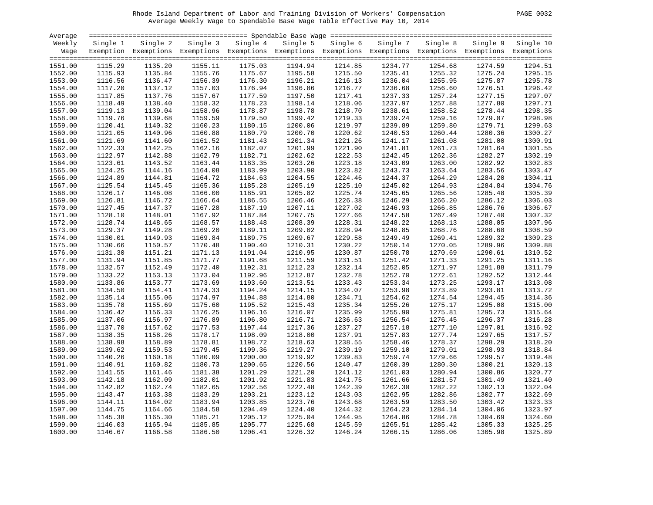# Rhode Island Department of Labor and Training Division of Workers' Compensation PAGE 0032 Average Weekly Wage to Spendable Base Wage Table Effective May 10, 2014

| PAGE<br>0032 |
|--------------|
|--------------|

| Average            |                    |                    |                    |                    |                                                                                                              |                    |                    |                    |                    |                    |
|--------------------|--------------------|--------------------|--------------------|--------------------|--------------------------------------------------------------------------------------------------------------|--------------------|--------------------|--------------------|--------------------|--------------------|
| Weekly             | Single 1           | Single 2           | Single 3           | Single 4           | Single 5                                                                                                     | Single 6           | Single 7           | Single 8           |                    | Single 9 Single 10 |
| Wage               |                    |                    |                    |                    | Exemption Exemptions Exemptions Exemptions Exemptions Exemptions Exemptions Exemptions Exemptions Exemptions |                    |                    |                    |                    |                    |
|                    |                    |                    |                    |                    |                                                                                                              |                    |                    |                    |                    |                    |
| 1551.00            | 1115.29            | 1135.20            | 1155.11            | 1175.03            | 1194.94                                                                                                      | 1214.85            | 1234.77            | 1254.68            | 1274.59            | 1294.51            |
| 1552.00            | 1115.93            | 1135.84            | 1155.76            | 1175.67            | 1195.58                                                                                                      | 1215.50            | 1235.41            | 1255.32            | 1275.24            | 1295.15            |
| 1553.00            | 1116.56            | 1136.47            | 1156.39            | 1176.30            | 1196.21                                                                                                      | 1216.13            | 1236.04            | 1255.95            | 1275.87            | 1295.78            |
| 1554.00            | 1117.20            | 1137.12            | 1157.03            | 1176.94            | 1196.86                                                                                                      | 1216.77            | 1236.68            | 1256.60            | 1276.51            | 1296.42            |
| 1555.00            | 1117.85            | 1137.76            | 1157.67            | 1177.59            | 1197.50                                                                                                      | 1217.41            | 1237.33            | 1257.24            | 1277.15            | 1297.07            |
| 1556.00            | 1118.49            | 1138.40            | 1158.32            | 1178.23            | 1198.14                                                                                                      | 1218.06            | 1237.97            | 1257.88            | 1277.80            | 1297.71            |
| 1557.00            | 1119.13            | 1139.04            | 1158.96            | 1178.87            | 1198.78                                                                                                      | 1218.70            | 1238.61            | 1258.52            | 1278.44            | 1298.35            |
| 1558.00            | 1119.76            | 1139.68            | 1159.59            | 1179.50            | 1199.42                                                                                                      | 1219.33            | 1239.24            | 1259.16            | 1279.07            | 1298.98            |
| 1559.00            | 1120.41            | 1140.32            | 1160.23            | 1180.15            | 1200.06                                                                                                      | 1219.97            | 1239.89            | 1259.80            | 1279.71            | 1299.63            |
| 1560.00            | 1121.05            | 1140.96            | 1160.88            | 1180.79            | 1200.70                                                                                                      | 1220.62            | 1240.53            | 1260.44            | 1280.36            | 1300.27            |
| 1561.00            | 1121.69            | 1141.60            | 1161.52            | 1181.43            | 1201.34                                                                                                      | 1221.26            | 1241.17            | 1261.08            | 1281.00            | 1300.91            |
| 1562.00            | 1122.33            | 1142.25            | 1162.16            | 1182.07            | 1201.99                                                                                                      | 1221.90            | 1241.81            | 1261.73            | 1281.64            | 1301.55            |
| 1563.00            | 1122.97            | 1142.88            | 1162.79            | 1182.71            | 1202.62                                                                                                      | 1222.53            | 1242.45            | 1262.36            | 1282.27            | 1302.19            |
| 1564.00            | 1123.61            | 1143.52            | 1163.44            | 1183.35            | 1203.26                                                                                                      | 1223.18            | 1243.09            | 1263.00            | 1282.92            | 1302.83            |
| 1565.00            | 1124.25            | 1144.16            | 1164.08            | 1183.99            | 1203.90                                                                                                      | 1223.82            | 1243.73            | 1263.64            | 1283.56            | 1303.47            |
| 1566.00            | 1124.89            | 1144.81            | 1164.72            | 1184.63            | 1204.55                                                                                                      | 1224.46            | 1244.37            | 1264.29            | 1284.20            | 1304.11            |
| 1567.00            | 1125.54            | 1145.45            | 1165.36            | 1185.28            | 1205.19                                                                                                      | 1225.10            | 1245.02            | 1264.93            | 1284.84            | 1304.76            |
| 1568.00            | 1126.17            | 1146.08            | 1166.00            | 1185.91            | 1205.82                                                                                                      | 1225.74            | 1245.65            | 1265.56            | 1285.48            | 1305.39            |
| 1569.00            | 1126.81            | 1146.72            | 1166.64            | 1186.55            | 1206.46                                                                                                      | 1226.38            | 1246.29            | 1266.20            | 1286.12            | 1306.03            |
| 1570.00            | 1127.45            | 1147.37            | 1167.28            | 1187.19            | 1207.11                                                                                                      | 1227.02            | 1246.93            | 1266.85            | 1286.76            | 1306.67            |
| 1571.00            | 1128.10            | 1148.01            | 1167.92            | 1187.84            | 1207.75                                                                                                      | 1227.66            | 1247.58            | 1267.49            | 1287.40            | 1307.32            |
| 1572.00            | 1128.74            | 1148.65            | 1168.57            | 1188.48            | 1208.39                                                                                                      | 1228.31            | 1248.22            | 1268.13            | 1288.05            | 1307.96            |
| 1573.00            | 1129.37            | 1149.28            | 1169.20            | 1189.11            | 1209.02                                                                                                      | 1228.94            | 1248.85            | 1268.76            | 1288.68            | 1308.59            |
| 1574.00            | 1130.01            | 1149.93            | 1169.84            | 1189.75            | 1209.67                                                                                                      | 1229.58            | 1249.49            | 1269.41            | 1289.32            | 1309.23            |
| 1575.00            | 1130.66            | 1150.57            | 1170.48            | 1190.40            | 1210.31                                                                                                      | 1230.22            | 1250.14            | 1270.05            | 1289.96            | 1309.88            |
| 1576.00            | 1131.30            | 1151.21            | 1171.13            | 1191.04            | 1210.95                                                                                                      | 1230.87            | 1250.78            | 1270.69            | 1290.61            | 1310.52            |
|                    |                    |                    |                    |                    |                                                                                                              |                    |                    |                    |                    | 1311.16            |
| 1577.00            | 1131.94            | 1151.85<br>1152.49 | 1171.77            | 1191.68<br>1192.31 | 1211.59                                                                                                      | 1231.51<br>1232.14 | 1251.42<br>1252.05 | 1271.33            | 1291.25            | 1311.79            |
| 1578.00<br>1579.00 | 1132.57<br>1133.22 | 1153.13            | 1172.40<br>1173.04 | 1192.96            | 1212.23<br>1212.87                                                                                           | 1232.78            | 1252.70            | 1271.97<br>1272.61 | 1291.88<br>1292.52 | 1312.44            |
| 1580.00            | 1133.86            | 1153.77            | 1173.69            | 1193.60            | 1213.51                                                                                                      | 1233.43            | 1253.34            | 1273.25            | 1293.17            | 1313.08            |
|                    |                    | 1154.41            | 1174.33            |                    |                                                                                                              |                    |                    |                    |                    | 1313.72            |
| 1581.00            | 1134.50<br>1135.14 | 1155.06            | 1174.97            | 1194.24<br>1194.88 | 1214.15<br>1214.80                                                                                           | 1234.07<br>1234.71 | 1253.98<br>1254.62 | 1273.89<br>1274.54 | 1293.81<br>1294.45 | 1314.36            |
| 1582.00            |                    |                    |                    |                    |                                                                                                              |                    |                    |                    |                    |                    |
| 1583.00            | 1135.78            | 1155.69            | 1175.60            | 1195.52            | 1215.43                                                                                                      | 1235.34            | 1255.26            | 1275.17            | 1295.08            | 1315.00<br>1315.64 |
| 1584.00            | 1136.42            | 1156.33            | 1176.25            | 1196.16            | 1216.07                                                                                                      | 1235.99            | 1255.90            | 1275.81            | 1295.73            |                    |
| 1585.00            | 1137.06            | 1156.97            | 1176.89            | 1196.80            | 1216.71                                                                                                      | 1236.63            | 1256.54            | 1276.45            | 1296.37            | 1316.28            |
| 1586.00            | 1137.70            | 1157.62            | 1177.53            | 1197.44            | 1217.36                                                                                                      | 1237.27            | 1257.18            | 1277.10            | 1297.01            | 1316.92            |
| 1587.00            | 1138.35            | 1158.26            | 1178.17            | 1198.09            | 1218.00                                                                                                      | 1237.91            | 1257.83            | 1277.74            | 1297.65            | 1317.57            |
| 1588.00            | 1138.98            | 1158.89            | 1178.81            | 1198.72            | 1218.63                                                                                                      | 1238.55            | 1258.46            | 1278.37            | 1298.29            | 1318.20            |
| 1589.00            | 1139.62            | 1159.53            | 1179.45            | 1199.36            | 1219.27                                                                                                      | 1239.19            | 1259.10            | 1279.01            | 1298.93            | 1318.84            |
| 1590.00            | 1140.26            | 1160.18            | 1180.09            | 1200.00            | 1219.92                                                                                                      | 1239.83            | 1259.74            | 1279.66            | 1299.57            | 1319.48            |
| 1591.00            | 1140.91            | 1160.82            | 1180.73            | 1200.65            | 1220.56                                                                                                      | 1240.47            | 1260.39            | 1280.30            | 1300.21            | 1320.13            |
| 1592.00            | 1141.55            | 1161.46            | 1181.38            | 1201.29            | 1221.20                                                                                                      | 1241.12            | 1261.03            | 1280.94            | 1300.86            | 1320.77            |
| 1593.00            | 1142.18            | 1162.09            | 1182.01            | 1201.92            | 1221.83                                                                                                      | 1241.75            | 1261.66            | 1281.57            | 1301.49            | 1321.40            |
| 1594.00            | 1142.82            | 1162.74            | 1182.65            | 1202.56            | 1222.48                                                                                                      | 1242.39            | 1262.30            | 1282.22            | 1302.13            | 1322.04            |
| 1595.00            | 1143.47            | 1163.38            | 1183.29            | 1203.21            | 1223.12                                                                                                      | 1243.03            | 1262.95            | 1282.86            | 1302.77            | 1322.69            |
| 1596.00            | 1144.11            | 1164.02            | 1183.94            | 1203.85            | 1223.76                                                                                                      | 1243.68            | 1263.59            | 1283.50            | 1303.42            | 1323.33            |
| 1597.00            | 1144.75            | 1164.66            | 1184.58            | 1204.49            | 1224.40                                                                                                      | 1244.32            | 1264.23            | 1284.14            | 1304.06            | 1323.97            |
| 1598.00            | 1145.38            | 1165.30            | 1185.21            | 1205.12            | 1225.04                                                                                                      | 1244.95            | 1264.86            | 1284.78            | 1304.69            | 1324.60            |
| 1599.00            | 1146.03            | 1165.94            | 1185.85            | 1205.77            | 1225.68                                                                                                      | 1245.59            | 1265.51            | 1285.42            | 1305.33            | 1325.25            |
| 1600.00            | 1146.67            | 1166.58            | 1186.50            | 1206.41            | 1226.32                                                                                                      | 1246.24            | 1266.15            | 1286.06            | 1305.98            | 1325.89            |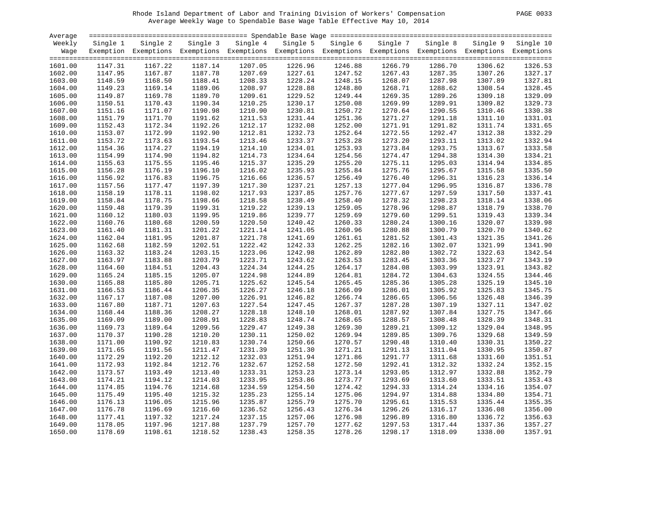# Rhode Island Department of Labor and Training Division of Workers' Compensation PAGE 0033 Average Weekly Wage to Spendable Base Wage Table Effective May 10, 2014

|  | PAGE | 0033 |
|--|------|------|
|--|------|------|

| Average |          |                                                                                                              |          |          |          |          |          |          |         |                    |
|---------|----------|--------------------------------------------------------------------------------------------------------------|----------|----------|----------|----------|----------|----------|---------|--------------------|
| Weekly  | Single 1 | Single 2                                                                                                     | Single 3 | Single 4 | Single 5 | Single 6 | Single 7 | Single 8 |         | Single 9 Single 10 |
| Wage    |          | Exemption Exemptions Exemptions Exemptions Exemptions Exemptions Exemptions Exemptions Exemptions Exemptions |          |          |          |          |          |          |         |                    |
|         |          |                                                                                                              |          |          |          |          |          |          |         |                    |
| 1601.00 | 1147.31  | 1167.22                                                                                                      | 1187.14  | 1207.05  | 1226.96  | 1246.88  | 1266.79  | 1286.70  | 1306.62 | 1326.53            |
| 1602.00 | 1147.95  | 1167.87                                                                                                      | 1187.78  | 1207.69  | 1227.61  | 1247.52  | 1267.43  | 1287.35  | 1307.26 | 1327.17            |
| 1603.00 | 1148.59  | 1168.50                                                                                                      | 1188.41  | 1208.33  | 1228.24  | 1248.15  | 1268.07  | 1287.98  | 1307.89 | 1327.81            |
| 1604.00 | 1149.23  | 1169.14                                                                                                      | 1189.06  | 1208.97  | 1228.88  | 1248.80  | 1268.71  | 1288.62  | 1308.54 | 1328.45            |
| 1605.00 | 1149.87  | 1169.78                                                                                                      | 1189.70  | 1209.61  | 1229.52  | 1249.44  | 1269.35  | 1289.26  | 1309.18 | 1329.09            |
| 1606.00 | 1150.51  | 1170.43                                                                                                      | 1190.34  | 1210.25  | 1230.17  | 1250.08  | 1269.99  | 1289.91  | 1309.82 | 1329.73            |
| 1607.00 | 1151.16  | 1171.07                                                                                                      | 1190.98  | 1210.90  | 1230.81  | 1250.72  | 1270.64  | 1290.55  | 1310.46 | 1330.38            |
| 1608.00 | 1151.79  | 1171.70                                                                                                      | 1191.62  | 1211.53  | 1231.44  | 1251.36  | 1271.27  | 1291.18  | 1311.10 | 1331.01            |
| 1609.00 | 1152.43  | 1172.34                                                                                                      | 1192.26  | 1212.17  | 1232.08  | 1252.00  | 1271.91  | 1291.82  | 1311.74 | 1331.65            |
|         |          | 1172.99                                                                                                      |          | 1212.81  |          |          | 1272.55  |          |         | 1332.29            |
| 1610.00 | 1153.07  |                                                                                                              | 1192.90  |          | 1232.73  | 1252.64  |          | 1292.47  | 1312.38 | 1332.94            |
| 1611.00 | 1153.72  | 1173.63                                                                                                      | 1193.54  | 1213.46  | 1233.37  | 1253.28  | 1273.20  | 1293.11  | 1313.02 |                    |
| 1612.00 | 1154.36  | 1174.27                                                                                                      | 1194.19  | 1214.10  | 1234.01  | 1253.93  | 1273.84  | 1293.75  | 1313.67 | 1333.58            |
| 1613.00 | 1154.99  | 1174.90                                                                                                      | 1194.82  | 1214.73  | 1234.64  | 1254.56  | 1274.47  | 1294.38  | 1314.30 | 1334.21            |
| 1614.00 | 1155.63  | 1175.55                                                                                                      | 1195.46  | 1215.37  | 1235.29  | 1255.20  | 1275.11  | 1295.03  | 1314.94 | 1334.85            |
| 1615.00 | 1156.28  | 1176.19                                                                                                      | 1196.10  | 1216.02  | 1235.93  | 1255.84  | 1275.76  | 1295.67  | 1315.58 | 1335.50            |
| 1616.00 | 1156.92  | 1176.83                                                                                                      | 1196.75  | 1216.66  | 1236.57  | 1256.49  | 1276.40  | 1296.31  | 1316.23 | 1336.14            |
| 1617.00 | 1157.56  | 1177.47                                                                                                      | 1197.39  | 1217.30  | 1237.21  | 1257.13  | 1277.04  | 1296.95  | 1316.87 | 1336.78            |
| 1618.00 | 1158.19  | 1178.11                                                                                                      | 1198.02  | 1217.93  | 1237.85  | 1257.76  | 1277.67  | 1297.59  | 1317.50 | 1337.41            |
| 1619.00 | 1158.84  | 1178.75                                                                                                      | 1198.66  | 1218.58  | 1238.49  | 1258.40  | 1278.32  | 1298.23  | 1318.14 | 1338.06            |
| 1620.00 | 1159.48  | 1179.39                                                                                                      | 1199.31  | 1219.22  | 1239.13  | 1259.05  | 1278.96  | 1298.87  | 1318.79 | 1338.70            |
| 1621.00 | 1160.12  | 1180.03                                                                                                      | 1199.95  | 1219.86  | 1239.77  | 1259.69  | 1279.60  | 1299.51  | 1319.43 | 1339.34            |
| 1622.00 | 1160.76  | 1180.68                                                                                                      | 1200.59  | 1220.50  | 1240.42  | 1260.33  | 1280.24  | 1300.16  | 1320.07 | 1339.98            |
| 1623.00 | 1161.40  | 1181.31                                                                                                      | 1201.22  | 1221.14  | 1241.05  | 1260.96  | 1280.88  | 1300.79  | 1320.70 | 1340.62            |
| 1624.00 | 1162.04  | 1181.95                                                                                                      | 1201.87  | 1221.78  | 1241.69  | 1261.61  | 1281.52  | 1301.43  | 1321.35 | 1341.26            |
| 1625.00 | 1162.68  | 1182.59                                                                                                      | 1202.51  | 1222.42  | 1242.33  | 1262.25  | 1282.16  | 1302.07  | 1321.99 | 1341.90            |
| 1626.00 | 1163.32  | 1183.24                                                                                                      | 1203.15  | 1223.06  | 1242.98  | 1262.89  | 1282.80  | 1302.72  | 1322.63 | 1342.54            |
| 1627.00 | 1163.97  | 1183.88                                                                                                      | 1203.79  | 1223.71  | 1243.62  | 1263.53  | 1283.45  | 1303.36  | 1323.27 | 1343.19            |
| 1628.00 | 1164.60  | 1184.51                                                                                                      | 1204.43  | 1224.34  | 1244.25  | 1264.17  | 1284.08  | 1303.99  | 1323.91 | 1343.82            |
| 1629.00 | 1165.24  | 1185.15                                                                                                      | 1205.07  | 1224.98  | 1244.89  | 1264.81  | 1284.72  | 1304.63  | 1324.55 | 1344.46            |
| 1630.00 | 1165.88  | 1185.80                                                                                                      | 1205.71  | 1225.62  | 1245.54  | 1265.45  | 1285.36  | 1305.28  | 1325.19 | 1345.10            |
| 1631.00 | 1166.53  | 1186.44                                                                                                      | 1206.35  | 1226.27  | 1246.18  | 1266.09  | 1286.01  | 1305.92  | 1325.83 | 1345.75            |
| 1632.00 | 1167.17  | 1187.08                                                                                                      | 1207.00  | 1226.91  | 1246.82  | 1266.74  | 1286.65  | 1306.56  | 1326.48 | 1346.39            |
| 1633.00 | 1167.80  | 1187.71                                                                                                      | 1207.63  | 1227.54  | 1247.45  | 1267.37  | 1287.28  | 1307.19  | 1327.11 | 1347.02            |
| 1634.00 | 1168.44  | 1188.36                                                                                                      | 1208.27  | 1228.18  | 1248.10  | 1268.01  | 1287.92  | 1307.84  | 1327.75 | 1347.66            |
| 1635.00 | 1169.09  | 1189.00                                                                                                      | 1208.91  | 1228.83  | 1248.74  | 1268.65  | 1288.57  | 1308.48  | 1328.39 | 1348.31            |
| 1636.00 | 1169.73  | 1189.64                                                                                                      | 1209.56  | 1229.47  | 1249.38  | 1269.30  | 1289.21  | 1309.12  | 1329.04 | 1348.95            |
| 1637.00 | 1170.37  | 1190.28                                                                                                      | 1210.20  | 1230.11  | 1250.02  | 1269.94  | 1289.85  | 1309.76  | 1329.68 | 1349.59            |
| 1638.00 | 1171.00  | 1190.92                                                                                                      | 1210.83  | 1230.74  | 1250.66  | 1270.57  | 1290.48  | 1310.40  | 1330.31 | 1350.22            |
| 1639.00 | 1171.65  | 1191.56                                                                                                      | 1211.47  | 1231.39  | 1251.30  | 1271.21  | 1291.13  | 1311.04  | 1330.95 | 1350.87            |
| 1640.00 | 1172.29  | 1192.20                                                                                                      | 1212.12  | 1232.03  | 1251.94  | 1271.86  | 1291.77  | 1311.68  | 1331.60 | 1351.51            |
| 1641.00 | 1172.93  | 1192.84                                                                                                      | 1212.76  | 1232.67  | 1252.58  | 1272.50  | 1292.41  | 1312.32  | 1332.24 | 1352.15            |
| 1642.00 | 1173.57  | 1193.49                                                                                                      | 1213.40  | 1233.31  | 1253.23  | 1273.14  | 1293.05  | 1312.97  | 1332.88 | 1352.79            |
| 1643.00 | 1174.21  | 1194.12                                                                                                      | 1214.03  | 1233.95  | 1253.86  | 1273.77  | 1293.69  | 1313.60  | 1333.51 | 1353.43            |
| 1644.00 | 1174.85  | 1194.76                                                                                                      | 1214.68  | 1234.59  | 1254.50  | 1274.42  | 1294.33  | 1314.24  | 1334.16 | 1354.07            |
| 1645.00 | 1175.49  | 1195.40                                                                                                      | 1215.32  | 1235.23  | 1255.14  | 1275.06  | 1294.97  | 1314.88  | 1334.80 | 1354.71            |
| 1646.00 | 1176.13  | 1196.05                                                                                                      | 1215.96  | 1235.87  | 1255.79  | 1275.70  | 1295.61  | 1315.53  | 1335.44 | 1355.35            |
| 1647.00 | 1176.78  | 1196.69                                                                                                      | 1216.60  | 1236.52  | 1256.43  | 1276.34  | 1296.26  | 1316.17  | 1336.08 | 1356.00            |
| 1648.00 | 1177.41  | 1197.32                                                                                                      | 1217.24  | 1237.15  | 1257.06  | 1276.98  | 1296.89  | 1316.80  | 1336.72 | 1356.63            |
| 1649.00 | 1178.05  | 1197.96                                                                                                      | 1217.88  | 1237.79  | 1257.70  | 1277.62  | 1297.53  | 1317.44  | 1337.36 | 1357.27            |
| 1650.00 | 1178.69  | 1198.61                                                                                                      | 1218.52  | 1238.43  | 1258.35  | 1278.26  | 1298.17  | 1318.09  | 1338.00 | 1357.91            |
|         |          |                                                                                                              |          |          |          |          |          |          |         |                    |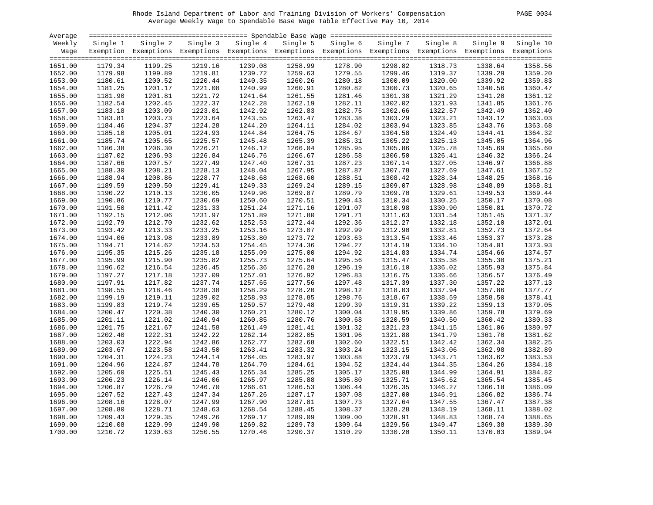# Rhode Island Department of Labor and Training Division of Workers' Compensation PAGE 0034 Average Weekly Wage to Spendable Base Wage Table Effective May 10, 2014

| <b>PAGE</b> | 0034 |
|-------------|------|
|-------------|------|

| Average |          |                                                                                                              |         |                   |          |          |          |          |         |                    |
|---------|----------|--------------------------------------------------------------------------------------------------------------|---------|-------------------|----------|----------|----------|----------|---------|--------------------|
| Weekly  | Single 1 | Single 2                                                                                                     |         | Single 3 Single 4 | Single 5 | Single 6 | Single 7 | Single 8 |         | Single 9 Single 10 |
| Waqe    |          | Exemption Exemptions Exemptions Exemptions Exemptions Exemptions Exemptions Exemptions Exemptions Exemptions |         |                   |          |          |          |          |         |                    |
|         |          |                                                                                                              |         |                   |          |          |          |          |         |                    |
| 1651.00 | 1179.34  | 1199.25                                                                                                      | 1219.16 | 1239.08           | 1258.99  | 1278.90  | 1298.82  | 1318.73  | 1338.64 | 1358.56            |
| 1652.00 | 1179.98  | 1199.89                                                                                                      | 1219.81 | 1239.72           | 1259.63  | 1279.55  | 1299.46  | 1319.37  | 1339.29 | 1359.20            |
| 1653.00 | 1180.61  | 1200.52                                                                                                      | 1220.44 | 1240.35           | 1260.26  | 1280.18  | 1300.09  | 1320.00  | 1339.92 | 1359.83            |
| 1654.00 | 1181.25  | 1201.17                                                                                                      | 1221.08 | 1240.99           | 1260.91  | 1280.82  | 1300.73  | 1320.65  | 1340.56 | 1360.47            |
| 1655.00 | 1181.90  | 1201.81                                                                                                      | 1221.72 | 1241.64           | 1261.55  | 1281.46  | 1301.38  | 1321.29  | 1341.20 | 1361.12            |
| 1656.00 | 1182.54  | 1202.45                                                                                                      | 1222.37 | 1242.28           | 1262.19  | 1282.11  | 1302.02  | 1321.93  | 1341.85 | 1361.76            |
| 1657.00 | 1183.18  | 1203.09                                                                                                      | 1223.01 | 1242.92           | 1262.83  | 1282.75  | 1302.66  | 1322.57  | 1342.49 | 1362.40            |
| 1658.00 | 1183.81  | 1203.73                                                                                                      | 1223.64 | 1243.55           | 1263.47  | 1283.38  | 1303.29  | 1323.21  | 1343.12 | 1363.03            |
| 1659.00 | 1184.46  | 1204.37                                                                                                      | 1224.28 | 1244.20           | 1264.11  | 1284.02  | 1303.94  | 1323.85  | 1343.76 | 1363.68            |
| 1660.00 | 1185.10  | 1205.01                                                                                                      | 1224.93 | 1244.84           | 1264.75  | 1284.67  | 1304.58  | 1324.49  | 1344.41 | 1364.32            |
| 1661.00 | 1185.74  | 1205.65                                                                                                      | 1225.57 | 1245.48           | 1265.39  | 1285.31  | 1305.22  | 1325.13  | 1345.05 | 1364.96            |
| 1662.00 | 1186.38  | 1206.30                                                                                                      | 1226.21 | 1246.12           | 1266.04  | 1285.95  | 1305.86  | 1325.78  | 1345.69 | 1365.60            |
| 1663.00 | 1187.02  | 1206.93                                                                                                      | 1226.84 | 1246.76           | 1266.67  | 1286.58  | 1306.50  | 1326.41  | 1346.32 | 1366.24            |
| 1664.00 | 1187.66  | 1207.57                                                                                                      | 1227.49 | 1247.40           | 1267.31  | 1287.23  | 1307.14  | 1327.05  | 1346.97 | 1366.88            |
| 1665.00 | 1188.30  | 1208.21                                                                                                      | 1228.13 | 1248.04           | 1267.95  | 1287.87  | 1307.78  | 1327.69  | 1347.61 | 1367.52            |
| 1666.00 | 1188.94  | 1208.86                                                                                                      | 1228.77 | 1248.68           | 1268.60  | 1288.51  | 1308.42  | 1328.34  | 1348.25 | 1368.16            |
| 1667.00 | 1189.59  | 1209.50                                                                                                      | 1229.41 | 1249.33           | 1269.24  | 1289.15  | 1309.07  | 1328.98  | 1348.89 | 1368.81            |
| 1668.00 | 1190.22  | 1210.13                                                                                                      | 1230.05 | 1249.96           | 1269.87  | 1289.79  | 1309.70  | 1329.61  | 1349.53 | 1369.44            |
| 1669.00 | 1190.86  | 1210.77                                                                                                      | 1230.69 | 1250.60           | 1270.51  | 1290.43  | 1310.34  | 1330.25  | 1350.17 | 1370.08            |
| 1670.00 | 1191.50  | 1211.42                                                                                                      | 1231.33 | 1251.24           | 1271.16  | 1291.07  | 1310.98  | 1330.90  | 1350.81 | 1370.72            |
| 1671.00 | 1192.15  | 1212.06                                                                                                      | 1231.97 | 1251.89           | 1271.80  | 1291.71  | 1311.63  | 1331.54  | 1351.45 | 1371.37            |
| 1672.00 | 1192.79  | 1212.70                                                                                                      | 1232.62 | 1252.53           | 1272.44  | 1292.36  | 1312.27  | 1332.18  | 1352.10 | 1372.01            |
| 1673.00 | 1193.42  | 1213.33                                                                                                      | 1233.25 | 1253.16           | 1273.07  | 1292.99  | 1312.90  | 1332.81  | 1352.73 | 1372.64            |
| 1674.00 | 1194.06  | 1213.98                                                                                                      | 1233.89 | 1253.80           | 1273.72  | 1293.63  | 1313.54  | 1333.46  | 1353.37 | 1373.28            |
| 1675.00 | 1194.71  | 1214.62                                                                                                      | 1234.53 | 1254.45           | 1274.36  | 1294.27  | 1314.19  | 1334.10  | 1354.01 | 1373.93            |
| 1676.00 | 1195.35  | 1215.26                                                                                                      | 1235.18 | 1255.09           | 1275.00  | 1294.92  | 1314.83  | 1334.74  | 1354.66 | 1374.57            |
| 1677.00 | 1195.99  | 1215.90                                                                                                      | 1235.82 | 1255.73           | 1275.64  | 1295.56  | 1315.47  | 1335.38  | 1355.30 | 1375.21            |
| 1678.00 | 1196.62  | 1216.54                                                                                                      | 1236.45 | 1256.36           | 1276.28  | 1296.19  | 1316.10  | 1336.02  | 1355.93 | 1375.84            |
| 1679.00 | 1197.27  | 1217.18                                                                                                      | 1237.09 | 1257.01           | 1276.92  | 1296.83  | 1316.75  | 1336.66  | 1356.57 | 1376.49            |
| 1680.00 | 1197.91  | 1217.82                                                                                                      | 1237.74 | 1257.65           | 1277.56  | 1297.48  | 1317.39  | 1337.30  | 1357.22 | 1377.13            |
| 1681.00 | 1198.55  | 1218.46                                                                                                      | 1238.38 | 1258.29           | 1278.20  | 1298.12  | 1318.03  | 1337.94  | 1357.86 | 1377.77            |
|         |          |                                                                                                              |         |                   |          |          |          |          |         | 1378.41            |
| 1682.00 | 1199.19  | 1219.11                                                                                                      | 1239.02 | 1258.93           | 1278.85  | 1298.76  | 1318.67  | 1338.59  | 1358.50 | 1379.05            |
| 1683.00 | 1199.83  | 1219.74                                                                                                      | 1239.65 | 1259.57           | 1279.48  | 1299.39  | 1319.31  | 1339.22  | 1359.13 |                    |
| 1684.00 | 1200.47  | 1220.38                                                                                                      | 1240.30 | 1260.21           | 1280.12  | 1300.04  | 1319.95  | 1339.86  | 1359.78 | 1379.69            |
| 1685.00 | 1201.11  | 1221.02                                                                                                      | 1240.94 | 1260.85           | 1280.76  | 1300.68  | 1320.59  | 1340.50  | 1360.42 | 1380.33            |
| 1686.00 | 1201.75  | 1221.67                                                                                                      | 1241.58 | 1261.49           | 1281.41  | 1301.32  | 1321.23  | 1341.15  | 1361.06 | 1380.97            |
| 1687.00 | 1202.40  | 1222.31                                                                                                      | 1242.22 | 1262.14           | 1282.05  | 1301.96  | 1321.88  | 1341.79  | 1361.70 | 1381.62            |
| 1688.00 | 1203.03  | 1222.94                                                                                                      | 1242.86 | 1262.77           | 1282.68  | 1302.60  | 1322.51  | 1342.42  | 1362.34 | 1382.25            |
| 1689.00 | 1203.67  | 1223.58                                                                                                      | 1243.50 | 1263.41           | 1283.32  | 1303.24  | 1323.15  | 1343.06  | 1362.98 | 1382.89            |
| 1690.00 | 1204.31  | 1224.23                                                                                                      | 1244.14 | 1264.05           | 1283.97  | 1303.88  | 1323.79  | 1343.71  | 1363.62 | 1383.53            |
| 1691.00 | 1204.96  | 1224.87                                                                                                      | 1244.78 | 1264.70           | 1284.61  | 1304.52  | 1324.44  | 1344.35  | 1364.26 | 1384.18            |
| 1692.00 | 1205.60  | 1225.51                                                                                                      | 1245.43 | 1265.34           | 1285.25  | 1305.17  | 1325.08  | 1344.99  | 1364.91 | 1384.82            |
| 1693.00 | 1206.23  | 1226.14                                                                                                      | 1246.06 | 1265.97           | 1285.88  | 1305.80  | 1325.71  | 1345.62  | 1365.54 | 1385.45            |
| 1694.00 | 1206.87  | 1226.79                                                                                                      | 1246.70 | 1266.61           | 1286.53  | 1306.44  | 1326.35  | 1346.27  | 1366.18 | 1386.09            |
| 1695.00 | 1207.52  | 1227.43                                                                                                      | 1247.34 | 1267.26           | 1287.17  | 1307.08  | 1327.00  | 1346.91  | 1366.82 | 1386.74            |
| 1696.00 | 1208.16  | 1228.07                                                                                                      | 1247.99 | 1267.90           | 1287.81  | 1307.73  | 1327.64  | 1347.55  | 1367.47 | 1387.38            |
| 1697.00 | 1208.80  | 1228.71                                                                                                      | 1248.63 | 1268.54           | 1288.45  | 1308.37  | 1328.28  | 1348.19  | 1368.11 | 1388.02            |
| 1698.00 | 1209.43  | 1229.35                                                                                                      | 1249.26 | 1269.17           | 1289.09  | 1309.00  | 1328.91  | 1348.83  | 1368.74 | 1388.65            |
| 1699.00 | 1210.08  | 1229.99                                                                                                      | 1249.90 | 1269.82           | 1289.73  | 1309.64  | 1329.56  | 1349.47  | 1369.38 | 1389.30            |
| 1700.00 | 1210.72  | 1230.63                                                                                                      | 1250.55 | 1270.46           | 1290.37  | 1310.29  | 1330.20  | 1350.11  | 1370.03 | 1389.94            |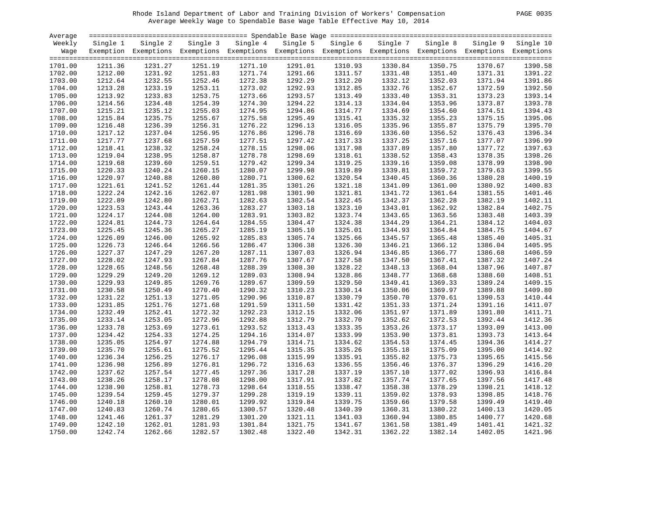# Rhode Island Department of Labor and Training Division of Workers' Compensation PAGE 0035 Average Weekly Wage to Spendable Base Wage Table Effective May 10, 2014

| PAGE | 0035 |  |
|------|------|--|
|------|------|--|

| Average |          |                                                                                                              |          |          |          |          |          |          |         |                    |
|---------|----------|--------------------------------------------------------------------------------------------------------------|----------|----------|----------|----------|----------|----------|---------|--------------------|
| Weekly  | Single 1 | Single 2                                                                                                     | Single 3 | Single 4 | Single 5 | Single 6 | Single 7 | Single 8 |         | Single 9 Single 10 |
| Wage    |          | Exemption Exemptions Exemptions Exemptions Exemptions Exemptions Exemptions Exemptions Exemptions Exemptions |          |          |          |          |          |          |         |                    |
|         |          |                                                                                                              |          |          |          |          |          |          |         |                    |
| 1701.00 | 1211.36  | 1231.27                                                                                                      | 1251.19  | 1271.10  | 1291.01  | 1310.93  | 1330.84  | 1350.75  | 1370.67 | 1390.58            |
| 1702.00 | 1212.00  | 1231.92                                                                                                      | 1251.83  | 1271.74  | 1291.66  | 1311.57  | 1331.48  | 1351.40  | 1371.31 | 1391.22            |
| 1703.00 | 1212.64  | 1232.55                                                                                                      | 1252.46  | 1272.38  | 1292.29  | 1312.20  | 1332.12  | 1352.03  | 1371.94 | 1391.86            |
| 1704.00 | 1213.28  | 1233.19                                                                                                      | 1253.11  | 1273.02  | 1292.93  | 1312.85  | 1332.76  | 1352.67  | 1372.59 | 1392.50            |
| 1705.00 | 1213.92  | 1233.83                                                                                                      | 1253.75  | 1273.66  | 1293.57  | 1313.49  | 1333.40  | 1353.31  | 1373.23 | 1393.14            |
| 1706.00 | 1214.56  | 1234.48                                                                                                      | 1254.39  | 1274.30  | 1294.22  | 1314.13  | 1334.04  | 1353.96  | 1373.87 | 1393.78            |
| 1707.00 | 1215.21  | 1235.12                                                                                                      | 1255.03  | 1274.95  | 1294.86  | 1314.77  | 1334.69  | 1354.60  | 1374.51 | 1394.43            |
| 1708.00 | 1215.84  | 1235.75                                                                                                      | 1255.67  | 1275.58  | 1295.49  | 1315.41  | 1335.32  | 1355.23  | 1375.15 | 1395.06            |
| 1709.00 | 1216.48  | 1236.39                                                                                                      | 1256.31  | 1276.22  | 1296.13  | 1316.05  | 1335.96  | 1355.87  | 1375.79 | 1395.70            |
| 1710.00 | 1217.12  | 1237.04                                                                                                      | 1256.95  | 1276.86  | 1296.78  | 1316.69  | 1336.60  | 1356.52  | 1376.43 | 1396.34            |
|         |          |                                                                                                              |          |          |          |          |          |          |         | 1396.99            |
| 1711.00 | 1217.77  | 1237.68                                                                                                      | 1257.59  | 1277.51  | 1297.42  | 1317.33  | 1337.25  | 1357.16  | 1377.07 |                    |
| 1712.00 | 1218.41  | 1238.32                                                                                                      | 1258.24  | 1278.15  | 1298.06  | 1317.98  | 1337.89  | 1357.80  | 1377.72 | 1397.63            |
| 1713.00 | 1219.04  | 1238.95                                                                                                      | 1258.87  | 1278.78  | 1298.69  | 1318.61  | 1338.52  | 1358.43  | 1378.35 | 1398.26            |
| 1714.00 | 1219.68  | 1239.60                                                                                                      | 1259.51  | 1279.42  | 1299.34  | 1319.25  | 1339.16  | 1359.08  | 1378.99 | 1398.90            |
| 1715.00 | 1220.33  | 1240.24                                                                                                      | 1260.15  | 1280.07  | 1299.98  | 1319.89  | 1339.81  | 1359.72  | 1379.63 | 1399.55            |
| 1716.00 | 1220.97  | 1240.88                                                                                                      | 1260.80  | 1280.71  | 1300.62  | 1320.54  | 1340.45  | 1360.36  | 1380.28 | 1400.19            |
| 1717.00 | 1221.61  | 1241.52                                                                                                      | 1261.44  | 1281.35  | 1301.26  | 1321.18  | 1341.09  | 1361.00  | 1380.92 | 1400.83            |
| 1718.00 | 1222.24  | 1242.16                                                                                                      | 1262.07  | 1281.98  | 1301.90  | 1321.81  | 1341.72  | 1361.64  | 1381.55 | 1401.46            |
| 1719.00 | 1222.89  | 1242.80                                                                                                      | 1262.71  | 1282.63  | 1302.54  | 1322.45  | 1342.37  | 1362.28  | 1382.19 | 1402.11            |
| 1720.00 | 1223.53  | 1243.44                                                                                                      | 1263.36  | 1283.27  | 1303.18  | 1323.10  | 1343.01  | 1362.92  | 1382.84 | 1402.75            |
| 1721.00 | 1224.17  | 1244.08                                                                                                      | 1264.00  | 1283.91  | 1303.82  | 1323.74  | 1343.65  | 1363.56  | 1383.48 | 1403.39            |
| 1722.00 | 1224.81  | 1244.73                                                                                                      | 1264.64  | 1284.55  | 1304.47  | 1324.38  | 1344.29  | 1364.21  | 1384.12 | 1404.03            |
| 1723.00 | 1225.45  | 1245.36                                                                                                      | 1265.27  | 1285.19  | 1305.10  | 1325.01  | 1344.93  | 1364.84  | 1384.75 | 1404.67            |
| 1724.00 | 1226.09  | 1246.00                                                                                                      | 1265.92  | 1285.83  | 1305.74  | 1325.66  | 1345.57  | 1365.48  | 1385.40 | 1405.31            |
| 1725.00 | 1226.73  | 1246.64                                                                                                      | 1266.56  | 1286.47  | 1306.38  | 1326.30  | 1346.21  | 1366.12  | 1386.04 | 1405.95            |
| 1726.00 | 1227.37  | 1247.29                                                                                                      | 1267.20  | 1287.11  | 1307.03  | 1326.94  | 1346.85  | 1366.77  | 1386.68 | 1406.59            |
| 1727.00 | 1228.02  | 1247.93                                                                                                      | 1267.84  | 1287.76  | 1307.67  | 1327.58  | 1347.50  | 1367.41  | 1387.32 | 1407.24            |
| 1728.00 | 1228.65  | 1248.56                                                                                                      | 1268.48  | 1288.39  | 1308.30  | 1328.22  | 1348.13  | 1368.04  | 1387.96 | 1407.87            |
| 1729.00 | 1229.29  | 1249.20                                                                                                      | 1269.12  | 1289.03  | 1308.94  | 1328.86  | 1348.77  | 1368.68  | 1388.60 | 1408.51            |
| 1730.00 | 1229.93  | 1249.85                                                                                                      | 1269.76  | 1289.67  | 1309.59  | 1329.50  | 1349.41  | 1369.33  | 1389.24 | 1409.15            |
| 1731.00 | 1230.58  | 1250.49                                                                                                      | 1270.40  | 1290.32  | 1310.23  | 1330.14  | 1350.06  | 1369.97  | 1389.88 | 1409.80            |
| 1732.00 | 1231.22  | 1251.13                                                                                                      | 1271.05  | 1290.96  | 1310.87  | 1330.79  | 1350.70  | 1370.61  | 1390.53 | 1410.44            |
| 1733.00 | 1231.85  | 1251.76                                                                                                      | 1271.68  | 1291.59  | 1311.50  | 1331.42  | 1351.33  | 1371.24  | 1391.16 | 1411.07            |
| 1734.00 | 1232.49  | 1252.41                                                                                                      | 1272.32  | 1292.23  | 1312.15  | 1332.06  | 1351.97  | 1371.89  | 1391.80 | 1411.71            |
| 1735.00 | 1233.14  | 1253.05                                                                                                      | 1272.96  | 1292.88  | 1312.79  | 1332.70  | 1352.62  | 1372.53  | 1392.44 | 1412.36            |
| 1736.00 | 1233.78  | 1253.69                                                                                                      | 1273.61  | 1293.52  | 1313.43  | 1333.35  | 1353.26  | 1373.17  | 1393.09 | 1413.00            |
| 1737.00 | 1234.42  | 1254.33                                                                                                      | 1274.25  | 1294.16  | 1314.07  | 1333.99  | 1353.90  | 1373.81  | 1393.73 | 1413.64            |
| 1738.00 | 1235.05  | 1254.97                                                                                                      | 1274.88  | 1294.79  | 1314.71  | 1334.62  | 1354.53  | 1374.45  | 1394.36 | 1414.27            |
| 1739.00 | 1235.70  | 1255.61                                                                                                      | 1275.52  | 1295.44  | 1315.35  | 1335.26  | 1355.18  | 1375.09  | 1395.00 | 1414.92            |
| 1740.00 | 1236.34  | 1256.25                                                                                                      | 1276.17  | 1296.08  | 1315.99  | 1335.91  | 1355.82  | 1375.73  | 1395.65 | 1415.56            |
| 1741.00 | 1236.98  | 1256.89                                                                                                      |          | 1296.72  | 1316.63  | 1336.55  | 1356.46  | 1376.37  | 1396.29 | 1416.20            |
|         |          |                                                                                                              | 1276.81  |          |          |          |          |          |         |                    |
| 1742.00 | 1237.62  | 1257.54                                                                                                      | 1277.45  | 1297.36  | 1317.28  | 1337.19  | 1357.10  | 1377.02  | 1396.93 | 1416.84            |
| 1743.00 | 1238.26  | 1258.17                                                                                                      | 1278.08  | 1298.00  | 1317.91  | 1337.82  | 1357.74  | 1377.65  | 1397.56 | 1417.48            |
| 1744.00 | 1238.90  | 1258.81                                                                                                      | 1278.73  | 1298.64  | 1318.55  | 1338.47  | 1358.38  | 1378.29  | 1398.21 | 1418.12            |
| 1745.00 | 1239.54  | 1259.45                                                                                                      | 1279.37  | 1299.28  | 1319.19  | 1339.11  | 1359.02  | 1378.93  | 1398.85 | 1418.76            |
| 1746.00 | 1240.18  | 1260.10                                                                                                      | 1280.01  | 1299.92  | 1319.84  | 1339.75  | 1359.66  | 1379.58  | 1399.49 | 1419.40            |
| 1747.00 | 1240.83  | 1260.74                                                                                                      | 1280.65  | 1300.57  | 1320.48  | 1340.39  | 1360.31  | 1380.22  | 1400.13 | 1420.05            |
| 1748.00 | 1241.46  | 1261.37                                                                                                      | 1281.29  | 1301.20  | 1321.11  | 1341.03  | 1360.94  | 1380.85  | 1400.77 | 1420.68            |
| 1749.00 | 1242.10  | 1262.01                                                                                                      | 1281.93  | 1301.84  | 1321.75  | 1341.67  | 1361.58  | 1381.49  | 1401.41 | 1421.32            |
| 1750.00 | 1242.74  | 1262.66                                                                                                      | 1282.57  | 1302.48  | 1322.40  | 1342.31  | 1362.22  | 1382.14  | 1402.05 | 1421.96            |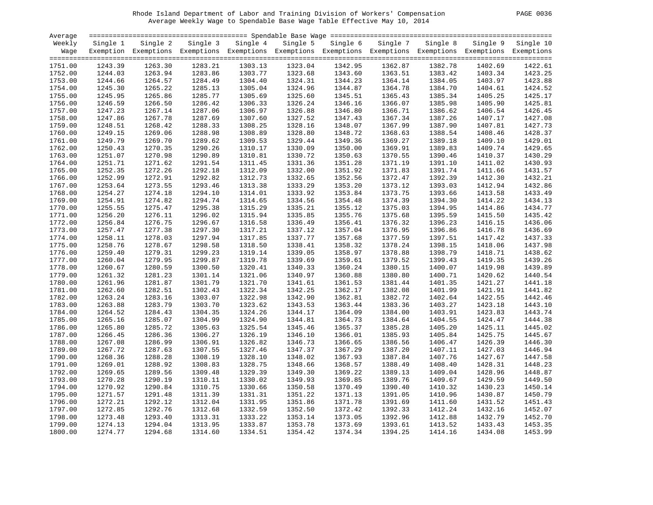# Rhode Island Department of Labor and Training Division of Workers' Compensation PAGE 0036 Average Weekly Wage to Spendable Base Wage Table Effective May 10, 2014

| PAGE 0036 |  |  |
|-----------|--|--|
|-----------|--|--|

| Average            |          |                                                                                                              |         |                   |          |          |          |          |         |                    |
|--------------------|----------|--------------------------------------------------------------------------------------------------------------|---------|-------------------|----------|----------|----------|----------|---------|--------------------|
| Weekly             | Single 1 | Single 2                                                                                                     |         | Single 3 Single 4 | Single 5 | Single 6 | Single 7 | Single 8 |         | Single 9 Single 10 |
| Wage               |          | Exemption Exemptions Exemptions Exemptions Exemptions Exemptions Exemptions Exemptions Exemptions Exemptions |         |                   |          |          |          |          |         |                    |
|                    |          |                                                                                                              |         |                   |          |          |          |          |         |                    |
| 1751.00            | 1243.39  | 1263.30                                                                                                      | 1283.21 | 1303.13           | 1323.04  | 1342.95  | 1362.87  | 1382.78  | 1402.69 | 1422.61            |
| 1752.00            | 1244.03  | 1263.94                                                                                                      | 1283.86 | 1303.77           | 1323.68  | 1343.60  | 1363.51  | 1383.42  | 1403.34 | 1423.25            |
| 1753.00            | 1244.66  | 1264.57                                                                                                      | 1284.49 | 1304.40           | 1324.31  | 1344.23  | 1364.14  | 1384.05  | 1403.97 | 1423.88            |
| 1754.00            | 1245.30  | 1265.22                                                                                                      | 1285.13 | 1305.04           | 1324.96  | 1344.87  | 1364.78  | 1384.70  | 1404.61 | 1424.52            |
| 1755.00            | 1245.95  | 1265.86                                                                                                      | 1285.77 | 1305.69           | 1325.60  | 1345.51  | 1365.43  | 1385.34  | 1405.25 | 1425.17            |
| 1756.00            | 1246.59  | 1266.50                                                                                                      | 1286.42 | 1306.33           | 1326.24  | 1346.16  | 1366.07  | 1385.98  | 1405.90 | 1425.81            |
| 1757.00            | 1247.23  | 1267.14                                                                                                      | 1287.06 | 1306.97           | 1326.88  | 1346.80  | 1366.71  | 1386.62  | 1406.54 | 1426.45            |
| 1758.00            | 1247.86  | 1267.78                                                                                                      | 1287.69 | 1307.60           | 1327.52  | 1347.43  | 1367.34  | 1387.26  | 1407.17 | 1427.08            |
| 1759.00            | 1248.51  | 1268.42                                                                                                      | 1288.33 | 1308.25           | 1328.16  | 1348.07  | 1367.99  | 1387.90  | 1407.81 | 1427.73            |
| 1760.00            | 1249.15  | 1269.06                                                                                                      | 1288.98 | 1308.89           | 1328.80  | 1348.72  | 1368.63  | 1388.54  | 1408.46 | 1428.37            |
| 1761.00            | 1249.79  | 1269.70                                                                                                      | 1289.62 | 1309.53           | 1329.44  | 1349.36  | 1369.27  | 1389.18  | 1409.10 | 1429.01            |
| 1762.00            | 1250.43  | 1270.35                                                                                                      | 1290.26 | 1310.17           | 1330.09  | 1350.00  | 1369.91  | 1389.83  | 1409.74 | 1429.65            |
| 1763.00            | 1251.07  | 1270.98                                                                                                      | 1290.89 | 1310.81           | 1330.72  | 1350.63  | 1370.55  | 1390.46  | 1410.37 | 1430.29            |
| 1764.00            | 1251.71  | 1271.62                                                                                                      | 1291.54 | 1311.45           | 1331.36  | 1351.28  | 1371.19  | 1391.10  | 1411.02 | 1430.93            |
| 1765.00            | 1252.35  | 1272.26                                                                                                      | 1292.18 | 1312.09           | 1332.00  | 1351.92  | 1371.83  | 1391.74  | 1411.66 | 1431.57            |
| 1766.00            | 1252.99  | 1272.91                                                                                                      | 1292.82 | 1312.73           | 1332.65  | 1352.56  | 1372.47  | 1392.39  | 1412.30 | 1432.21            |
| 1767.00            | 1253.64  | 1273.55                                                                                                      | 1293.46 | 1313.38           | 1333.29  | 1353.20  | 1373.12  | 1393.03  | 1412.94 | 1432.86            |
|                    | 1254.27  | 1274.18                                                                                                      | 1294.10 | 1314.01           | 1333.92  | 1353.84  | 1373.75  | 1393.66  | 1413.58 | 1433.49            |
| 1768.00<br>1769.00 |          |                                                                                                              | 1294.74 |                   |          |          |          | 1394.30  |         |                    |
|                    | 1254.91  | 1274.82                                                                                                      |         | 1314.65           | 1334.56  | 1354.48  | 1374.39  |          | 1414.22 | 1434.13<br>1434.77 |
| 1770.00            | 1255.55  | 1275.47                                                                                                      | 1295.38 | 1315.29           | 1335.21  | 1355.12  | 1375.03  | 1394.95  | 1414.86 |                    |
| 1771.00            | 1256.20  | 1276.11                                                                                                      | 1296.02 | 1315.94           | 1335.85  | 1355.76  | 1375.68  | 1395.59  | 1415.50 | 1435.42            |
| 1772.00            | 1256.84  | 1276.75                                                                                                      | 1296.67 | 1316.58           | 1336.49  | 1356.41  | 1376.32  | 1396.23  | 1416.15 | 1436.06            |
| 1773.00            | 1257.47  | 1277.38                                                                                                      | 1297.30 | 1317.21           | 1337.12  | 1357.04  | 1376.95  | 1396.86  | 1416.78 | 1436.69            |
| 1774.00            | 1258.11  | 1278.03                                                                                                      | 1297.94 | 1317.85           | 1337.77  | 1357.68  | 1377.59  | 1397.51  | 1417.42 | 1437.33            |
| 1775.00            | 1258.76  | 1278.67                                                                                                      | 1298.58 | 1318.50           | 1338.41  | 1358.32  | 1378.24  | 1398.15  | 1418.06 | 1437.98            |
| 1776.00            | 1259.40  | 1279.31                                                                                                      | 1299.23 | 1319.14           | 1339.05  | 1358.97  | 1378.88  | 1398.79  | 1418.71 | 1438.62            |
| 1777.00            | 1260.04  | 1279.95                                                                                                      | 1299.87 | 1319.78           | 1339.69  | 1359.61  | 1379.52  | 1399.43  | 1419.35 | 1439.26            |
| 1778.00            | 1260.67  | 1280.59                                                                                                      | 1300.50 | 1320.41           | 1340.33  | 1360.24  | 1380.15  | 1400.07  | 1419.98 | 1439.89            |
| 1779.00            | 1261.32  | 1281.23                                                                                                      | 1301.14 | 1321.06           | 1340.97  | 1360.88  | 1380.80  | 1400.71  | 1420.62 | 1440.54            |
| 1780.00            | 1261.96  | 1281.87                                                                                                      | 1301.79 | 1321.70           | 1341.61  | 1361.53  | 1381.44  | 1401.35  | 1421.27 | 1441.18            |
| 1781.00            | 1262.60  | 1282.51                                                                                                      | 1302.43 | 1322.34           | 1342.25  | 1362.17  | 1382.08  | 1401.99  | 1421.91 | 1441.82            |
| 1782.00            | 1263.24  | 1283.16                                                                                                      | 1303.07 | 1322.98           | 1342.90  | 1362.81  | 1382.72  | 1402.64  | 1422.55 | 1442.46            |
| 1783.00            | 1263.88  | 1283.79                                                                                                      | 1303.70 | 1323.62           | 1343.53  | 1363.44  | 1383.36  | 1403.27  | 1423.18 | 1443.10            |
| 1784.00            | 1264.52  | 1284.43                                                                                                      | 1304.35 | 1324.26           | 1344.17  | 1364.09  | 1384.00  | 1403.91  | 1423.83 | 1443.74            |
| 1785.00            | 1265.16  | 1285.07                                                                                                      | 1304.99 | 1324.90           | 1344.81  | 1364.73  | 1384.64  | 1404.55  | 1424.47 | 1444.38            |
| 1786.00            | 1265.80  | 1285.72                                                                                                      | 1305.63 | 1325.54           | 1345.46  | 1365.37  | 1385.28  | 1405.20  | 1425.11 | 1445.02            |
| 1787.00            | 1266.45  | 1286.36                                                                                                      | 1306.27 | 1326.19           | 1346.10  | 1366.01  | 1385.93  | 1405.84  | 1425.75 | 1445.67            |
| 1788.00            | 1267.08  | 1286.99                                                                                                      | 1306.91 | 1326.82           | 1346.73  | 1366.65  | 1386.56  | 1406.47  | 1426.39 | 1446.30            |
| 1789.00            | 1267.72  | 1287.63                                                                                                      | 1307.55 | 1327.46           | 1347.37  | 1367.29  | 1387.20  | 1407.11  | 1427.03 | 1446.94            |
| 1790.00            | 1268.36  | 1288.28                                                                                                      | 1308.19 | 1328.10           | 1348.02  | 1367.93  | 1387.84  | 1407.76  | 1427.67 | 1447.58            |
| 1791.00            | 1269.01  | 1288.92                                                                                                      | 1308.83 | 1328.75           | 1348.66  | 1368.57  | 1388.49  | 1408.40  | 1428.31 | 1448.23            |
| 1792.00            | 1269.65  | 1289.56                                                                                                      | 1309.48 | 1329.39           | 1349.30  | 1369.22  | 1389.13  | 1409.04  | 1428.96 | 1448.87            |
| 1793.00            | 1270.28  | 1290.19                                                                                                      | 1310.11 | 1330.02           | 1349.93  | 1369.85  | 1389.76  | 1409.67  | 1429.59 | 1449.50            |
| 1794.00            | 1270.92  | 1290.84                                                                                                      | 1310.75 | 1330.66           | 1350.58  | 1370.49  | 1390.40  | 1410.32  | 1430.23 | 1450.14            |
| 1795.00            | 1271.57  | 1291.48                                                                                                      | 1311.39 | 1331.31           | 1351.22  | 1371.13  | 1391.05  | 1410.96  | 1430.87 | 1450.79            |
| 1796.00            | 1272.21  | 1292.12                                                                                                      | 1312.04 | 1331.95           | 1351.86  | 1371.78  | 1391.69  | 1411.60  | 1431.52 | 1451.43            |
| 1797.00            | 1272.85  | 1292.76                                                                                                      | 1312.68 | 1332.59           | 1352.50  | 1372.42  | 1392.33  | 1412.24  | 1432.16 | 1452.07            |
| 1798.00            | 1273.48  | 1293.40                                                                                                      | 1313.31 | 1333.22           | 1353.14  | 1373.05  | 1392.96  | 1412.88  | 1432.79 | 1452.70            |
| 1799.00            | 1274.13  | 1294.04                                                                                                      | 1313.95 | 1333.87           | 1353.78  | 1373.69  | 1393.61  | 1413.52  | 1433.43 | 1453.35            |
|                    |          |                                                                                                              |         |                   |          |          |          |          |         | 1453.99            |
| 1800.00            | 1274.77  | 1294.68                                                                                                      | 1314.60 | 1334.51           | 1354.42  | 1374.34  | 1394.25  | 1414.16  | 1434.08 |                    |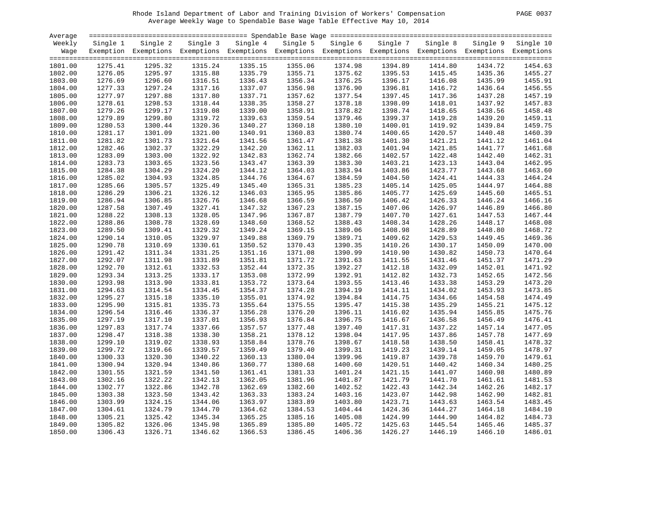# Rhode Island Department of Labor and Training Division of Workers' Compensation PAGE 0037 Average Weekly Wage to Spendable Base Wage Table Effective May 10, 2014

| PAGE. | - 0037 |
|-------|--------|
|       |        |

| Average |          |                                                                                                              |         |                   |          |          |          |          |         |                    |
|---------|----------|--------------------------------------------------------------------------------------------------------------|---------|-------------------|----------|----------|----------|----------|---------|--------------------|
| Weekly  | Single 1 | Single 2                                                                                                     |         | Single 3 Single 4 | Single 5 | Single 6 | Single 7 | Single 8 |         | Single 9 Single 10 |
| Wage    |          | Exemption Exemptions Exemptions Exemptions Exemptions Exemptions Exemptions Exemptions Exemptions Exemptions |         |                   |          |          |          |          |         |                    |
|         |          |                                                                                                              |         |                   |          |          |          |          |         |                    |
| 1801.00 | 1275.41  | 1295.32                                                                                                      | 1315.24 | 1335.15           | 1355.06  | 1374.98  | 1394.89  | 1414.80  | 1434.72 | 1454.63            |
| 1802.00 | 1276.05  | 1295.97                                                                                                      | 1315.88 | 1335.79           | 1355.71  | 1375.62  | 1395.53  | 1415.45  | 1435.36 | 1455.27            |
| 1803.00 | 1276.69  | 1296.60                                                                                                      | 1316.51 | 1336.43           | 1356.34  | 1376.25  | 1396.17  | 1416.08  | 1435.99 | 1455.91            |
| 1804.00 | 1277.33  | 1297.24                                                                                                      | 1317.16 | 1337.07           | 1356.98  | 1376.90  | 1396.81  | 1416.72  | 1436.64 | 1456.55            |
| 1805.00 | 1277.97  | 1297.88                                                                                                      | 1317.80 | 1337.71           | 1357.62  | 1377.54  | 1397.45  | 1417.36  | 1437.28 | 1457.19            |
| 1806.00 | 1278.61  | 1298.53                                                                                                      | 1318.44 | 1338.35           | 1358.27  | 1378.18  | 1398.09  | 1418.01  | 1437.92 | 1457.83            |
|         |          |                                                                                                              |         |                   |          |          |          |          |         | 1458.48            |
| 1807.00 | 1279.26  | 1299.17                                                                                                      | 1319.08 | 1339.00           | 1358.91  | 1378.82  | 1398.74  | 1418.65  | 1438.56 |                    |
| 1808.00 | 1279.89  | 1299.80                                                                                                      | 1319.72 | 1339.63           | 1359.54  | 1379.46  | 1399.37  | 1419.28  | 1439.20 | 1459.11            |
| 1809.00 | 1280.53  | 1300.44                                                                                                      | 1320.36 | 1340.27           | 1360.18  | 1380.10  | 1400.01  | 1419.92  | 1439.84 | 1459.75            |
| 1810.00 | 1281.17  | 1301.09                                                                                                      | 1321.00 | 1340.91           | 1360.83  | 1380.74  | 1400.65  | 1420.57  | 1440.48 | 1460.39            |
| 1811.00 | 1281.82  | 1301.73                                                                                                      | 1321.64 | 1341.56           | 1361.47  | 1381.38  | 1401.30  | 1421.21  | 1441.12 | 1461.04            |
| 1812.00 | 1282.46  | 1302.37                                                                                                      | 1322.29 | 1342.20           | 1362.11  | 1382.03  | 1401.94  | 1421.85  | 1441.77 | 1461.68            |
| 1813.00 | 1283.09  | 1303.00                                                                                                      | 1322.92 | 1342.83           | 1362.74  | 1382.66  | 1402.57  | 1422.48  | 1442.40 | 1462.31            |
| 1814.00 | 1283.73  | 1303.65                                                                                                      | 1323.56 | 1343.47           | 1363.39  | 1383.30  | 1403.21  | 1423.13  | 1443.04 | 1462.95            |
| 1815.00 | 1284.38  | 1304.29                                                                                                      | 1324.20 | 1344.12           | 1364.03  | 1383.94  | 1403.86  | 1423.77  | 1443.68 | 1463.60            |
| 1816.00 | 1285.02  | 1304.93                                                                                                      | 1324.85 | 1344.76           | 1364.67  | 1384.59  | 1404.50  | 1424.41  | 1444.33 | 1464.24            |
| 1817.00 | 1285.66  | 1305.57                                                                                                      | 1325.49 | 1345.40           | 1365.31  | 1385.23  | 1405.14  | 1425.05  | 1444.97 | 1464.88            |
| 1818.00 | 1286.29  | 1306.21                                                                                                      | 1326.12 | 1346.03           | 1365.95  | 1385.86  | 1405.77  | 1425.69  | 1445.60 | 1465.51            |
| 1819.00 | 1286.94  | 1306.85                                                                                                      | 1326.76 | 1346.68           | 1366.59  | 1386.50  | 1406.42  | 1426.33  | 1446.24 | 1466.16            |
| 1820.00 | 1287.58  | 1307.49                                                                                                      | 1327.41 | 1347.32           | 1367.23  | 1387.15  | 1407.06  | 1426.97  | 1446.89 | 1466.80            |
| 1821.00 | 1288.22  | 1308.13                                                                                                      | 1328.05 | 1347.96           | 1367.87  | 1387.79  | 1407.70  | 1427.61  | 1447.53 | 1467.44            |
| 1822.00 | 1288.86  | 1308.78                                                                                                      | 1328.69 | 1348.60           | 1368.52  | 1388.43  | 1408.34  | 1428.26  | 1448.17 | 1468.08            |
| 1823.00 | 1289.50  | 1309.41                                                                                                      | 1329.32 | 1349.24           | 1369.15  | 1389.06  | 1408.98  | 1428.89  | 1448.80 | 1468.72            |
| 1824.00 | 1290.14  | 1310.05                                                                                                      | 1329.97 | 1349.88           | 1369.79  | 1389.71  | 1409.62  | 1429.53  | 1449.45 | 1469.36            |
| 1825.00 | 1290.78  | 1310.69                                                                                                      | 1330.61 | 1350.52           | 1370.43  | 1390.35  | 1410.26  | 1430.17  | 1450.09 | 1470.00            |
| 1826.00 | 1291.42  | 1311.34                                                                                                      | 1331.25 | 1351.16           | 1371.08  | 1390.99  | 1410.90  | 1430.82  | 1450.73 | 1470.64            |
| 1827.00 | 1292.07  | 1311.98                                                                                                      | 1331.89 | 1351.81           | 1371.72  | 1391.63  | 1411.55  | 1431.46  | 1451.37 | 1471.29            |
| 1828.00 | 1292.70  | 1312.61                                                                                                      | 1332.53 | 1352.44           | 1372.35  | 1392.27  | 1412.18  | 1432.09  | 1452.01 | 1471.92            |
| 1829.00 | 1293.34  | 1313.25                                                                                                      | 1333.17 | 1353.08           | 1372.99  | 1392.91  | 1412.82  | 1432.73  | 1452.65 | 1472.56            |
| 1830.00 | 1293.98  | 1313.90                                                                                                      | 1333.81 | 1353.72           | 1373.64  | 1393.55  | 1413.46  | 1433.38  | 1453.29 | 1473.20            |
| 1831.00 | 1294.63  | 1314.54                                                                                                      | 1334.45 | 1354.37           | 1374.28  | 1394.19  | 1414.11  | 1434.02  | 1453.93 | 1473.85            |
| 1832.00 | 1295.27  | 1315.18                                                                                                      | 1335.10 | 1355.01           | 1374.92  | 1394.84  | 1414.75  | 1434.66  | 1454.58 | 1474.49            |
| 1833.00 | 1295.90  | 1315.81                                                                                                      | 1335.73 | 1355.64           | 1375.55  | 1395.47  | 1415.38  | 1435.29  | 1455.21 | 1475.12            |
| 1834.00 | 1296.54  | 1316.46                                                                                                      | 1336.37 | 1356.28           | 1376.20  | 1396.11  | 1416.02  | 1435.94  | 1455.85 | 1475.76            |
| 1835.00 | 1297.19  | 1317.10                                                                                                      | 1337.01 | 1356.93           | 1376.84  | 1396.75  | 1416.67  | 1436.58  | 1456.49 | 1476.41            |
| 1836.00 | 1297.83  | 1317.74                                                                                                      | 1337.66 | 1357.57           | 1377.48  | 1397.40  | 1417.31  | 1437.22  | 1457.14 | 1477.05            |
| 1837.00 | 1298.47  | 1318.38                                                                                                      | 1338.30 | 1358.21           | 1378.12  | 1398.04  | 1417.95  | 1437.86  | 1457.78 | 1477.69            |
| 1838.00 | 1299.10  | 1319.02                                                                                                      | 1338.93 | 1358.84           | 1378.76  | 1398.67  | 1418.58  | 1438.50  | 1458.41 | 1478.32            |
|         |          |                                                                                                              |         |                   |          |          |          |          |         | 1478.97            |
| 1839.00 | 1299.72  | 1319.66                                                                                                      | 1339.57 | 1359.49           | 1379.40  | 1399.31  | 1419.23  | 1439.14  | 1459.05 |                    |
| 1840.00 | 1300.33  | 1320.30                                                                                                      | 1340.22 | 1360.13           | 1380.04  | 1399.96  | 1419.87  | 1439.78  | 1459.70 | 1479.61            |
| 1841.00 | 1300.94  | 1320.94                                                                                                      | 1340.86 | 1360.77           | 1380.68  | 1400.60  | 1420.51  | 1440.42  | 1460.34 | 1480.25            |
| 1842.00 | 1301.55  | 1321.59                                                                                                      | 1341.50 | 1361.41           | 1381.33  | 1401.24  | 1421.15  | 1441.07  | 1460.98 | 1480.89            |
| 1843.00 | 1302.16  | 1322.22                                                                                                      | 1342.13 | 1362.05           | 1381.96  | 1401.87  | 1421.79  | 1441.70  | 1461.61 | 1481.53            |
| 1844.00 | 1302.77  | 1322.86                                                                                                      | 1342.78 | 1362.69           | 1382.60  | 1402.52  | 1422.43  | 1442.34  | 1462.26 | 1482.17            |
| 1845.00 | 1303.38  | 1323.50                                                                                                      | 1343.42 | 1363.33           | 1383.24  | 1403.16  | 1423.07  | 1442.98  | 1462.90 | 1482.81            |
| 1846.00 | 1303.99  | 1324.15                                                                                                      | 1344.06 | 1363.97           | 1383.89  | 1403.80  | 1423.71  | 1443.63  | 1463.54 | 1483.45            |
| 1847.00 | 1304.61  | 1324.79                                                                                                      | 1344.70 | 1364.62           | 1384.53  | 1404.44  | 1424.36  | 1444.27  | 1464.18 | 1484.10            |
| 1848.00 | 1305.21  | 1325.42                                                                                                      | 1345.34 | 1365.25           | 1385.16  | 1405.08  | 1424.99  | 1444.90  | 1464.82 | 1484.73            |
| 1849.00 | 1305.82  | 1326.06                                                                                                      | 1345.98 | 1365.89           | 1385.80  | 1405.72  | 1425.63  | 1445.54  | 1465.46 | 1485.37            |
| 1850.00 | 1306.43  | 1326.71                                                                                                      | 1346.62 | 1366.53           | 1386.45  | 1406.36  | 1426.27  | 1446.19  | 1466.10 | 1486.01            |
|         |          |                                                                                                              |         |                   |          |          |          |          |         |                    |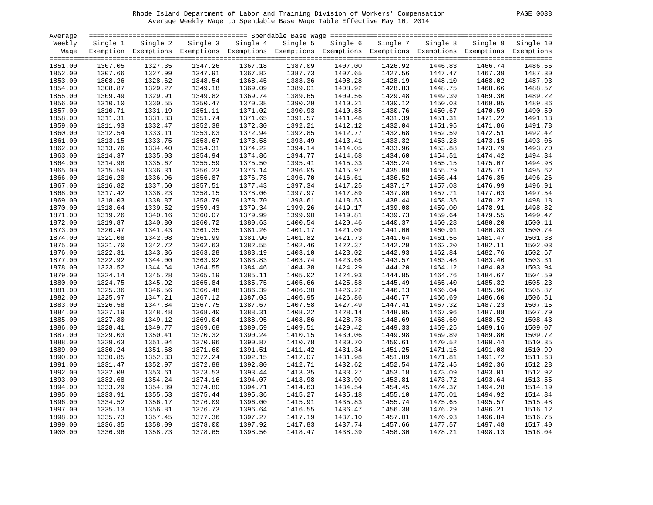# Rhode Island Department of Labor and Training Division of Workers' Compensation PAGE 0038 Average Weekly Wage to Spendable Base Wage Table Effective May 10, 2014

| PAGE | -0038 |  |
|------|-------|--|
|------|-------|--|

| Average            |                    |                                                                                                              |                    |                    |                    |                    |                    |                    |                    |                    |
|--------------------|--------------------|--------------------------------------------------------------------------------------------------------------|--------------------|--------------------|--------------------|--------------------|--------------------|--------------------|--------------------|--------------------|
| Weekly             | Single 1           | Single 2                                                                                                     | Single 3           | Single 4           | Single 5           | Single 6           | Single 7           | Single 8           |                    | Single 9 Single 10 |
| Wage               |                    | Exemption Exemptions Exemptions Exemptions Exemptions Exemptions Exemptions Exemptions Exemptions Exemptions |                    |                    |                    |                    |                    |                    |                    |                    |
|                    |                    |                                                                                                              |                    |                    |                    |                    |                    |                    |                    |                    |
| 1851.00            | 1307.05            | 1327.35                                                                                                      | 1347.26            | 1367.18            | 1387.09            | 1407.00            | 1426.92            | 1446.83            | 1466.74            | 1486.66            |
| 1852.00            | 1307.66            | 1327.99                                                                                                      | 1347.91            | 1367.82            | 1387.73            | 1407.65            | 1427.56            | 1447.47            | 1467.39            | 1487.30            |
| 1853.00            | 1308.26            | 1328.62                                                                                                      | 1348.54            | 1368.45            | 1388.36            | 1408.28            | 1428.19            | 1448.10            | 1468.02            | 1487.93            |
| 1854.00            | 1308.87            | 1329.27                                                                                                      | 1349.18            | 1369.09            | 1389.01            | 1408.92            | 1428.83            | 1448.75            | 1468.66            | 1488.57            |
| 1855.00            | 1309.49            | 1329.91                                                                                                      | 1349.82            | 1369.74            | 1389.65            | 1409.56            | 1429.48            | 1449.39            | 1469.30            | 1489.22            |
| 1856.00            | 1310.10            | 1330.55                                                                                                      | 1350.47            | 1370.38            | 1390.29            | 1410.21            | 1430.12            | 1450.03            | 1469.95            | 1489.86            |
| 1857.00            | 1310.71            | 1331.19                                                                                                      | 1351.11            | 1371.02            | 1390.93            | 1410.85            | 1430.76            | 1450.67            | 1470.59            | 1490.50            |
| 1858.00            | 1311.31            | 1331.83                                                                                                      | 1351.74            | 1371.65            | 1391.57            | 1411.48            | 1431.39            | 1451.31            | 1471.22            | 1491.13            |
| 1859.00            | 1311.93            | 1332.47                                                                                                      | 1352.38            | 1372.30            | 1392.21            | 1412.12            | 1432.04            | 1451.95            | 1471.86            | 1491.78            |
| 1860.00            | 1312.54            | 1333.11                                                                                                      | 1353.03            | 1372.94            | 1392.85            | 1412.77            | 1432.68            | 1452.59            | 1472.51            | 1492.42            |
| 1861.00            | 1313.15            | 1333.75                                                                                                      | 1353.67            | 1373.58            | 1393.49            | 1413.41            | 1433.32            | 1453.23            | 1473.15            | 1493.06            |
| 1862.00            | 1313.76            | 1334.40                                                                                                      | 1354.31            | 1374.22            | 1394.14            | 1414.05            | 1433.96            | 1453.88            | 1473.79            | 1493.70            |
| 1863.00            | 1314.37            | 1335.03                                                                                                      | 1354.94            | 1374.86            | 1394.77            | 1414.68            | 1434.60            | 1454.51            | 1474.42            | 1494.34            |
| 1864.00            | 1314.98            | 1335.67                                                                                                      | 1355.59            | 1375.50            | 1395.41            | 1415.33            | 1435.24            | 1455.15            | 1475.07            | 1494.98            |
| 1865.00            | 1315.59            | 1336.31                                                                                                      | 1356.23            | 1376.14            | 1396.05            | 1415.97            | 1435.88            | 1455.79            | 1475.71            | 1495.62            |
| 1866.00            | 1316.20            | 1336.96                                                                                                      | 1356.87            | 1376.78            | 1396.70            | 1416.61            | 1436.52            | 1456.44            | 1476.35            | 1496.26            |
| 1867.00            | 1316.82            | 1337.60                                                                                                      | 1357.51            | 1377.43            | 1397.34            | 1417.25            | 1437.17            | 1457.08            | 1476.99            | 1496.91            |
| 1868.00            | 1317.42            | 1338.23                                                                                                      | 1358.15            | 1378.06            | 1397.97            | 1417.89            | 1437.80            | 1457.71            | 1477.63            | 1497.54            |
| 1869.00            | 1318.03            | 1338.87                                                                                                      | 1358.79            | 1378.70            | 1398.61            | 1418.53            | 1438.44            | 1458.35            | 1478.27            | 1498.18            |
| 1870.00            | 1318.64            | 1339.52                                                                                                      | 1359.43            | 1379.34            | 1399.26            | 1419.17            | 1439.08            | 1459.00            | 1478.91            | 1498.82            |
| 1871.00            | 1319.26            | 1340.16                                                                                                      | 1360.07            | 1379.99            | 1399.90            | 1419.81            | 1439.73            | 1459.64            | 1479.55            | 1499.47            |
| 1872.00            | 1319.87            | 1340.80                                                                                                      | 1360.72            | 1380.63            | 1400.54            | 1420.46            | 1440.37            | 1460.28            | 1480.20            | 1500.11            |
| 1873.00            | 1320.47            | 1341.43                                                                                                      | 1361.35            | 1381.26            | 1401.17            | 1421.09            | 1441.00            | 1460.91            | 1480.83            | 1500.74            |
| 1874.00            | 1321.08            | 1342.08                                                                                                      | 1361.99            | 1381.90            | 1401.82            | 1421.73            | 1441.64            | 1461.56            | 1481.47            | 1501.38            |
| 1875.00            | 1321.70            | 1342.72                                                                                                      | 1362.63            | 1382.55            | 1402.46            | 1422.37            | 1442.29            | 1462.20            | 1482.11            | 1502.03            |
| 1876.00            | 1322.31            | 1343.36                                                                                                      | 1363.28            | 1383.19            | 1403.10            | 1423.02            | 1442.93            | 1462.84            | 1482.76            | 1502.67            |
|                    |                    |                                                                                                              |                    |                    |                    |                    |                    |                    |                    | 1503.31            |
| 1877.00            | 1322.92            | 1344.00<br>1344.64                                                                                           | 1363.92            | 1383.83<br>1384.46 | 1403.74<br>1404.38 | 1423.66<br>1424.29 | 1443.57<br>1444.20 | 1463.48            | 1483.40<br>1484.03 | 1503.94            |
| 1878.00<br>1879.00 | 1323.52<br>1324.14 | 1345.28                                                                                                      | 1364.55<br>1365.19 | 1385.11            | 1405.02            | 1424.93            | 1444.85            | 1464.12<br>1464.76 | 1484.67            | 1504.59            |
| 1880.00            | 1324.75            | 1345.92                                                                                                      | 1365.84            | 1385.75            | 1405.66            | 1425.58            | 1445.49            | 1465.40            | 1485.32            | 1505.23            |
|                    |                    |                                                                                                              | 1366.48            |                    | 1406.30            |                    |                    | 1466.04            |                    | 1505.87            |
| 1881.00            | 1325.36            | 1346.56                                                                                                      |                    | 1386.39            |                    | 1426.22            | 1446.13            |                    | 1485.96            |                    |
| 1882.00            | 1325.97            | 1347.21                                                                                                      | 1367.12            | 1387.03            | 1406.95            | 1426.86            | 1446.77            | 1466.69            | 1486.60            | 1506.51            |
| 1883.00            | 1326.58            | 1347.84                                                                                                      | 1367.75            | 1387.67            | 1407.58            | 1427.49            | 1447.41            | 1467.32            | 1487.23            | 1507.15            |
| 1884.00            | 1327.19            | 1348.48                                                                                                      | 1368.40            | 1388.31            | 1408.22            | 1428.14            | 1448.05            | 1467.96            | 1487.88            | 1507.79            |
| 1885.00            | 1327.80            | 1349.12                                                                                                      | 1369.04            | 1388.95            | 1408.86            | 1428.78            | 1448.69            | 1468.60            | 1488.52            | 1508.43            |
| 1886.00            | 1328.41            | 1349.77                                                                                                      | 1369.68            | 1389.59            | 1409.51            | 1429.42            | 1449.33            | 1469.25            | 1489.16            | 1509.07            |
| 1887.00            | 1329.03            | 1350.41                                                                                                      | 1370.32            | 1390.24            | 1410.15            | 1430.06            | 1449.98            | 1469.89            | 1489.80            | 1509.72            |
| 1888.00            | 1329.63            | 1351.04                                                                                                      | 1370.96            | 1390.87            | 1410.78            | 1430.70            | 1450.61            | 1470.52            | 1490.44            | 1510.35            |
| 1889.00            | 1330.24            | 1351.68                                                                                                      | 1371.60            | 1391.51            | 1411.42            | 1431.34            | 1451.25            | 1471.16            | 1491.08            | 1510.99            |
| 1890.00            | 1330.85            | 1352.33                                                                                                      | 1372.24            | 1392.15            | 1412.07            | 1431.98            | 1451.89            | 1471.81            | 1491.72            | 1511.63            |
| 1891.00            | 1331.47            | 1352.97                                                                                                      | 1372.88            | 1392.80            | 1412.71            | 1432.62            | 1452.54            | 1472.45            | 1492.36            | 1512.28            |
| 1892.00            | 1332.08            | 1353.61                                                                                                      | 1373.53            | 1393.44            | 1413.35            | 1433.27            | 1453.18            | 1473.09            | 1493.01            | 1512.92            |
| 1893.00            | 1332.68            | 1354.24                                                                                                      | 1374.16            | 1394.07            | 1413.98            | 1433.90            | 1453.81            | 1473.72            | 1493.64            | 1513.55            |
| 1894.00            | 1333.29            | 1354.89                                                                                                      | 1374.80            | 1394.71            | 1414.63            | 1434.54            | 1454.45            | 1474.37            | 1494.28            | 1514.19            |
| 1895.00            | 1333.91            | 1355.53                                                                                                      | 1375.44            | 1395.36            | 1415.27            | 1435.18            | 1455.10            | 1475.01            | 1494.92            | 1514.84            |
| 1896.00            | 1334.52            | 1356.17                                                                                                      | 1376.09            | 1396.00            | 1415.91            | 1435.83            | 1455.74            | 1475.65            | 1495.57            | 1515.48            |
| 1897.00            | 1335.13            | 1356.81                                                                                                      | 1376.73            | 1396.64            | 1416.55            | 1436.47            | 1456.38            | 1476.29            | 1496.21            | 1516.12            |
| 1898.00            | 1335.73            | 1357.45                                                                                                      | 1377.36            | 1397.27            | 1417.19            | 1437.10            | 1457.01            | 1476.93            | 1496.84            | 1516.75            |
| 1899.00            | 1336.35            | 1358.09                                                                                                      | 1378.00            | 1397.92            | 1417.83            | 1437.74            | 1457.66            | 1477.57            | 1497.48            | 1517.40            |
| 1900.00            | 1336.96            | 1358.73                                                                                                      | 1378.65            | 1398.56            | 1418.47            | 1438.39            | 1458.30            | 1478.21            | 1498.13            | 1518.04            |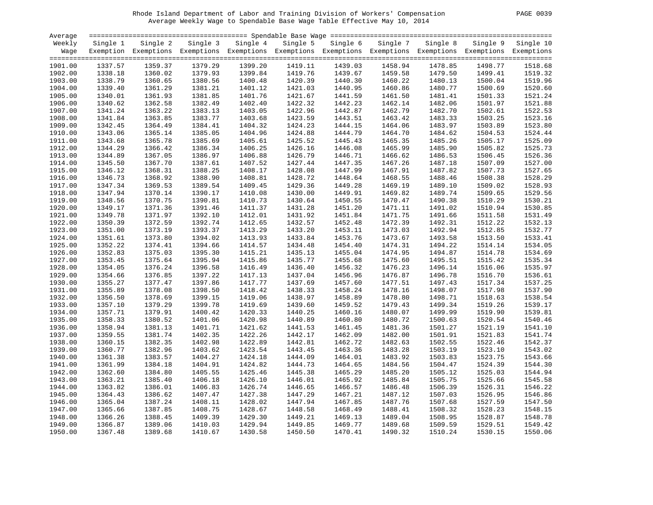# Rhode Island Department of Labor and Training Division of Workers' Compensation PAGE 0039 Average Weekly Wage to Spendable Base Wage Table Effective May 10, 2014

|--|

| Average |          |                                                                                                              |          |          |          |          |          |          |         |                    |
|---------|----------|--------------------------------------------------------------------------------------------------------------|----------|----------|----------|----------|----------|----------|---------|--------------------|
| Weekly  | Single 1 | Single 2                                                                                                     | Single 3 | Single 4 | Single 5 | Single 6 | Single 7 | Single 8 |         | Single 9 Single 10 |
| Wage    |          | Exemption Exemptions Exemptions Exemptions Exemptions Exemptions Exemptions Exemptions Exemptions Exemptions |          |          |          |          |          |          |         |                    |
|         |          |                                                                                                              |          |          |          |          |          |          |         |                    |
| 1901.00 | 1337.57  | 1359.37                                                                                                      | 1379.29  | 1399.20  | 1419.11  | 1439.03  | 1458.94  | 1478.85  | 1498.77 | 1518.68            |
| 1902.00 | 1338.18  | 1360.02                                                                                                      | 1379.93  | 1399.84  | 1419.76  | 1439.67  | 1459.58  | 1479.50  | 1499.41 | 1519.32            |
| 1903.00 | 1338.79  | 1360.65                                                                                                      | 1380.56  | 1400.48  | 1420.39  | 1440.30  | 1460.22  | 1480.13  | 1500.04 | 1519.96            |
| 1904.00 | 1339.40  | 1361.29                                                                                                      | 1381.21  | 1401.12  | 1421.03  | 1440.95  | 1460.86  | 1480.77  | 1500.69 | 1520.60            |
| 1905.00 | 1340.01  | 1361.93                                                                                                      | 1381.85  | 1401.76  | 1421.67  | 1441.59  | 1461.50  | 1481.41  | 1501.33 | 1521.24            |
| 1906.00 | 1340.62  | 1362.58                                                                                                      | 1382.49  | 1402.40  | 1422.32  | 1442.23  | 1462.14  | 1482.06  | 1501.97 | 1521.88            |
| 1907.00 | 1341.24  | 1363.22                                                                                                      | 1383.13  | 1403.05  | 1422.96  | 1442.87  | 1462.79  | 1482.70  | 1502.61 | 1522.53            |
| 1908.00 | 1341.84  | 1363.85                                                                                                      | 1383.77  | 1403.68  | 1423.59  | 1443.51  | 1463.42  | 1483.33  | 1503.25 | 1523.16            |
|         |          |                                                                                                              |          |          |          |          |          | 1483.97  |         | 1523.80            |
| 1909.00 | 1342.45  | 1364.49                                                                                                      | 1384.41  | 1404.32  | 1424.23  | 1444.15  | 1464.06  |          | 1503.89 |                    |
| 1910.00 | 1343.06  | 1365.14                                                                                                      | 1385.05  | 1404.96  | 1424.88  | 1444.79  | 1464.70  | 1484.62  | 1504.53 | 1524.44            |
| 1911.00 | 1343.68  | 1365.78                                                                                                      | 1385.69  | 1405.61  | 1425.52  | 1445.43  | 1465.35  | 1485.26  | 1505.17 | 1525.09            |
| 1912.00 | 1344.29  | 1366.42                                                                                                      | 1386.34  | 1406.25  | 1426.16  | 1446.08  | 1465.99  | 1485.90  | 1505.82 | 1525.73            |
| 1913.00 | 1344.89  | 1367.05                                                                                                      | 1386.97  | 1406.88  | 1426.79  | 1446.71  | 1466.62  | 1486.53  | 1506.45 | 1526.36            |
| 1914.00 | 1345.50  | 1367.70                                                                                                      | 1387.61  | 1407.52  | 1427.44  | 1447.35  | 1467.26  | 1487.18  | 1507.09 | 1527.00            |
| 1915.00 | 1346.12  | 1368.31                                                                                                      | 1388.25  | 1408.17  | 1428.08  | 1447.99  | 1467.91  | 1487.82  | 1507.73 | 1527.65            |
| 1916.00 | 1346.73  | 1368.92                                                                                                      | 1388.90  | 1408.81  | 1428.72  | 1448.64  | 1468.55  | 1488.46  | 1508.38 | 1528.29            |
| 1917.00 | 1347.34  | 1369.53                                                                                                      | 1389.54  | 1409.45  | 1429.36  | 1449.28  | 1469.19  | 1489.10  | 1509.02 | 1528.93            |
| 1918.00 | 1347.94  | 1370.14                                                                                                      | 1390.17  | 1410.08  | 1430.00  | 1449.91  | 1469.82  | 1489.74  | 1509.65 | 1529.56            |
| 1919.00 | 1348.56  | 1370.75                                                                                                      | 1390.81  | 1410.73  | 1430.64  | 1450.55  | 1470.47  | 1490.38  | 1510.29 | 1530.21            |
| 1920.00 | 1349.17  | 1371.36                                                                                                      | 1391.46  | 1411.37  | 1431.28  | 1451.20  | 1471.11  | 1491.02  | 1510.94 | 1530.85            |
| 1921.00 | 1349.78  | 1371.97                                                                                                      | 1392.10  | 1412.01  | 1431.92  | 1451.84  | 1471.75  | 1491.66  | 1511.58 | 1531.49            |
| 1922.00 | 1350.39  | 1372.59                                                                                                      | 1392.74  | 1412.65  | 1432.57  | 1452.48  | 1472.39  | 1492.31  | 1512.22 | 1532.13            |
| 1923.00 | 1351.00  | 1373.19                                                                                                      | 1393.37  | 1413.29  | 1433.20  | 1453.11  | 1473.03  | 1492.94  | 1512.85 | 1532.77            |
| 1924.00 | 1351.61  | 1373.80                                                                                                      | 1394.02  | 1413.93  | 1433.84  | 1453.76  | 1473.67  | 1493.58  | 1513.50 | 1533.41            |
| 1925.00 | 1352.22  | 1374.41                                                                                                      | 1394.66  | 1414.57  | 1434.48  | 1454.40  | 1474.31  | 1494.22  | 1514.14 | 1534.05            |
| 1926.00 | 1352.83  | 1375.03                                                                                                      | 1395.30  | 1415.21  | 1435.13  | 1455.04  | 1474.95  | 1494.87  | 1514.78 | 1534.69            |
| 1927.00 | 1353.45  | 1375.64                                                                                                      | 1395.94  | 1415.86  | 1435.77  | 1455.68  | 1475.60  | 1495.51  | 1515.42 | 1535.34            |
| 1928.00 | 1354.05  | 1376.24                                                                                                      | 1396.58  | 1416.49  | 1436.40  | 1456.32  | 1476.23  | 1496.14  | 1516.06 | 1535.97            |
| 1929.00 | 1354.66  | 1376.85                                                                                                      | 1397.22  | 1417.13  | 1437.04  | 1456.96  | 1476.87  | 1496.78  | 1516.70 | 1536.61            |
| 1930.00 | 1355.27  | 1377.47                                                                                                      | 1397.86  | 1417.77  | 1437.69  | 1457.60  | 1477.51  | 1497.43  | 1517.34 | 1537.25            |
| 1931.00 | 1355.89  | 1378.08                                                                                                      | 1398.50  | 1418.42  | 1438.33  | 1458.24  | 1478.16  | 1498.07  | 1517.98 | 1537.90            |
| 1932.00 | 1356.50  | 1378.69                                                                                                      | 1399.15  | 1419.06  | 1438.97  | 1458.89  | 1478.80  | 1498.71  | 1518.63 | 1538.54            |
| 1933.00 | 1357.10  | 1379.29                                                                                                      | 1399.78  | 1419.69  | 1439.60  | 1459.52  | 1479.43  | 1499.34  | 1519.26 | 1539.17            |
| 1934.00 | 1357.71  | 1379.91                                                                                                      | 1400.42  | 1420.33  | 1440.25  | 1460.16  | 1480.07  | 1499.99  | 1519.90 | 1539.81            |
| 1935.00 | 1358.33  | 1380.52                                                                                                      | 1401.06  | 1420.98  | 1440.89  | 1460.80  | 1480.72  | 1500.63  | 1520.54 | 1540.46            |
| 1936.00 | 1358.94  | 1381.13                                                                                                      | 1401.71  | 1421.62  | 1441.53  | 1461.45  | 1481.36  | 1501.27  | 1521.19 | 1541.10            |
| 1937.00 | 1359.55  | 1381.74                                                                                                      | 1402.35  | 1422.26  | 1442.17  | 1462.09  | 1482.00  | 1501.91  | 1521.83 | 1541.74            |
|         |          |                                                                                                              |          |          |          |          |          |          |         |                    |
| 1938.00 | 1360.15  | 1382.35                                                                                                      | 1402.98  | 1422.89  | 1442.81  | 1462.72  | 1482.63  | 1502.55  | 1522.46 | 1542.37            |
| 1939.00 | 1360.77  | 1382.96                                                                                                      | 1403.62  | 1423.54  | 1443.45  | 1463.36  | 1483.28  | 1503.19  | 1523.10 | 1543.02            |
| 1940.00 | 1361.38  | 1383.57                                                                                                      | 1404.27  | 1424.18  | 1444.09  | 1464.01  | 1483.92  | 1503.83  | 1523.75 | 1543.66            |
| 1941.00 | 1361.99  | 1384.18                                                                                                      | 1404.91  | 1424.82  | 1444.73  | 1464.65  | 1484.56  | 1504.47  | 1524.39 | 1544.30            |
| 1942.00 | 1362.60  | 1384.80                                                                                                      | 1405.55  | 1425.46  | 1445.38  | 1465.29  | 1485.20  | 1505.12  | 1525.03 | 1544.94            |
| 1943.00 | 1363.21  | 1385.40                                                                                                      | 1406.18  | 1426.10  | 1446.01  | 1465.92  | 1485.84  | 1505.75  | 1525.66 | 1545.58            |
| 1944.00 | 1363.82  | 1386.01                                                                                                      | 1406.83  | 1426.74  | 1446.65  | 1466.57  | 1486.48  | 1506.39  | 1526.31 | 1546.22            |
| 1945.00 | 1364.43  | 1386.62                                                                                                      | 1407.47  | 1427.38  | 1447.29  | 1467.21  | 1487.12  | 1507.03  | 1526.95 | 1546.86            |
| 1946.00 | 1365.04  | 1387.24                                                                                                      | 1408.11  | 1428.02  | 1447.94  | 1467.85  | 1487.76  | 1507.68  | 1527.59 | 1547.50            |
| 1947.00 | 1365.66  | 1387.85                                                                                                      | 1408.75  | 1428.67  | 1448.58  | 1468.49  | 1488.41  | 1508.32  | 1528.23 | 1548.15            |
| 1948.00 | 1366.26  | 1388.45                                                                                                      | 1409.39  | 1429.30  | 1449.21  | 1469.13  | 1489.04  | 1508.95  | 1528.87 | 1548.78            |
| 1949.00 | 1366.87  | 1389.06                                                                                                      | 1410.03  | 1429.94  | 1449.85  | 1469.77  | 1489.68  | 1509.59  | 1529.51 | 1549.42            |
| 1950.00 | 1367.48  | 1389.68                                                                                                      | 1410.67  | 1430.58  | 1450.50  | 1470.41  | 1490.32  | 1510.24  | 1530.15 | 1550.06            |
|         |          |                                                                                                              |          |          |          |          |          |          |         |                    |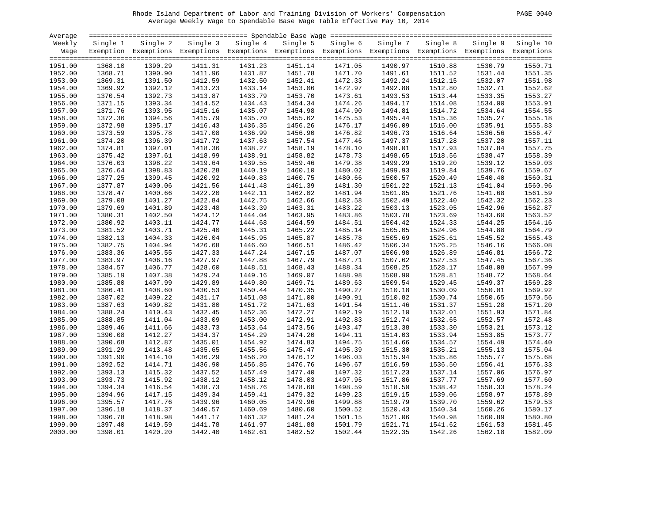# Rhode Island Department of Labor and Training Division of Workers' Compensation PAGE 0040 Average Weekly Wage to Spendable Base Wage Table Effective May 10, 2014

| Average |          |                                                                                                              |          |          |          |          |          |          |          |           |
|---------|----------|--------------------------------------------------------------------------------------------------------------|----------|----------|----------|----------|----------|----------|----------|-----------|
| Weekly  | Single 1 | Single 2                                                                                                     | Single 3 | Single 4 | Single 5 | Single 6 | Single 7 | Single 8 | Single 9 | Single 10 |
| Wage    |          | Exemption Exemptions Exemptions Exemptions Exemptions Exemptions Exemptions Exemptions Exemptions Exemptions |          |          |          |          |          |          |          |           |
|         |          |                                                                                                              |          |          |          |          |          |          |          |           |
| 1951.00 | 1368.10  | 1390.29                                                                                                      | 1411.31  | 1431.23  | 1451.14  | 1471.05  | 1490.97  | 1510.88  | 1530.79  | 1550.71   |
| 1952.00 | 1368.71  | 1390.90                                                                                                      | 1411.96  | 1431.87  | 1451.78  | 1471.70  | 1491.61  | 1511.52  | 1531.44  | 1551.35   |
| 1953.00 | 1369.31  | 1391.50                                                                                                      | 1412.59  | 1432.50  | 1452.41  | 1472.33  | 1492.24  | 1512.15  | 1532.07  | 1551.98   |
| 1954.00 | 1369.92  | 1392.12                                                                                                      | 1413.23  | 1433.14  | 1453.06  | 1472.97  | 1492.88  | 1512.80  | 1532.71  | 1552.62   |
| 1955.00 | 1370.54  | 1392.73                                                                                                      | 1413.87  | 1433.79  | 1453.70  | 1473.61  | 1493.53  | 1513.44  | 1533.35  | 1553.27   |
| 1956.00 | 1371.15  | 1393.34                                                                                                      | 1414.52  | 1434.43  | 1454.34  | 1474.26  | 1494.17  | 1514.08  | 1534.00  | 1553.91   |
| 1957.00 | 1371.76  | 1393.95                                                                                                      | 1415.16  | 1435.07  | 1454.98  | 1474.90  | 1494.81  | 1514.72  | 1534.64  | 1554.55   |
| 1958.00 | 1372.36  | 1394.56                                                                                                      | 1415.79  | 1435.70  | 1455.62  | 1475.53  | 1495.44  | 1515.36  | 1535.27  | 1555.18   |
| 1959.00 | 1372.98  | 1395.17                                                                                                      | 1416.43  | 1436.35  | 1456.26  | 1476.17  | 1496.09  | 1516.00  | 1535.91  | 1555.83   |
| 1960.00 | 1373.59  | 1395.78                                                                                                      | 1417.08  | 1436.99  | 1456.90  | 1476.82  | 1496.73  | 1516.64  | 1536.56  | 1556.47   |
| 1961.00 | 1374.20  | 1396.39                                                                                                      | 1417.72  | 1437.63  | 1457.54  | 1477.46  | 1497.37  | 1517.28  | 1537.20  | 1557.11   |
| 1962.00 | 1374.81  | 1397.01                                                                                                      | 1418.36  | 1438.27  | 1458.19  | 1478.10  | 1498.01  | 1517.93  | 1537.84  | 1557.75   |
| 1963.00 | 1375.42  | 1397.61                                                                                                      | 1418.99  | 1438.91  | 1458.82  | 1478.73  | 1498.65  | 1518.56  | 1538.47  | 1558.39   |
| 1964.00 | 1376.03  | 1398.22                                                                                                      | 1419.64  | 1439.55  | 1459.46  | 1479.38  | 1499.29  | 1519.20  | 1539.12  | 1559.03   |
| 1965.00 | 1376.64  | 1398.83                                                                                                      | 1420.28  | 1440.19  | 1460.10  | 1480.02  | 1499.93  | 1519.84  | 1539.76  | 1559.67   |
| 1966.00 | 1377.25  | 1399.45                                                                                                      | 1420.92  | 1440.83  | 1460.75  | 1480.66  | 1500.57  | 1520.49  | 1540.40  | 1560.31   |
| 1967.00 | 1377.87  | 1400.06                                                                                                      | 1421.56  | 1441.48  | 1461.39  | 1481.30  | 1501.22  | 1521.13  | 1541.04  | 1560.96   |
| 1968.00 | 1378.47  | 1400.66                                                                                                      | 1422.20  | 1442.11  | 1462.02  | 1481.94  | 1501.85  | 1521.76  | 1541.68  | 1561.59   |
|         |          | 1401.27                                                                                                      |          | 1442.75  | 1462.66  |          | 1502.49  |          |          | 1562.23   |
| 1969.00 | 1379.08  |                                                                                                              | 1422.84  |          |          | 1482.58  |          | 1522.40  | 1542.32  |           |
| 1970.00 | 1379.69  | 1401.89                                                                                                      | 1423.48  | 1443.39  | 1463.31  | 1483.22  | 1503.13  | 1523.05  | 1542.96  | 1562.87   |
| 1971.00 | 1380.31  | 1402.50                                                                                                      | 1424.12  | 1444.04  | 1463.95  | 1483.86  | 1503.78  | 1523.69  | 1543.60  | 1563.52   |
| 1972.00 | 1380.92  | 1403.11                                                                                                      | 1424.77  | 1444.68  | 1464.59  | 1484.51  | 1504.42  | 1524.33  | 1544.25  | 1564.16   |
| 1973.00 | 1381.52  | 1403.71                                                                                                      | 1425.40  | 1445.31  | 1465.22  | 1485.14  | 1505.05  | 1524.96  | 1544.88  | 1564.79   |
| 1974.00 | 1382.13  | 1404.33                                                                                                      | 1426.04  | 1445.95  | 1465.87  | 1485.78  | 1505.69  | 1525.61  | 1545.52  | 1565.43   |
| 1975.00 | 1382.75  | 1404.94                                                                                                      | 1426.68  | 1446.60  | 1466.51  | 1486.42  | 1506.34  | 1526.25  | 1546.16  | 1566.08   |
| 1976.00 | 1383.36  | 1405.55                                                                                                      | 1427.33  | 1447.24  | 1467.15  | 1487.07  | 1506.98  | 1526.89  | 1546.81  | 1566.72   |
| 1977.00 | 1383.97  | 1406.16                                                                                                      | 1427.97  | 1447.88  | 1467.79  | 1487.71  | 1507.62  | 1527.53  | 1547.45  | 1567.36   |
| 1978.00 | 1384.57  | 1406.77                                                                                                      | 1428.60  | 1448.51  | 1468.43  | 1488.34  | 1508.25  | 1528.17  | 1548.08  | 1567.99   |
| 1979.00 | 1385.19  | 1407.38                                                                                                      | 1429.24  | 1449.16  | 1469.07  | 1488.98  | 1508.90  | 1528.81  | 1548.72  | 1568.64   |
| 1980.00 | 1385.80  | 1407.99                                                                                                      | 1429.89  | 1449.80  | 1469.71  | 1489.63  | 1509.54  | 1529.45  | 1549.37  | 1569.28   |
| 1981.00 | 1386.41  | 1408.60                                                                                                      | 1430.53  | 1450.44  | 1470.35  | 1490.27  | 1510.18  | 1530.09  | 1550.01  | 1569.92   |
| 1982.00 | 1387.02  | 1409.22                                                                                                      | 1431.17  | 1451.08  | 1471.00  | 1490.91  | 1510.82  | 1530.74  | 1550.65  | 1570.56   |
| 1983.00 | 1387.63  | 1409.82                                                                                                      | 1431.80  | 1451.72  | 1471.63  | 1491.54  | 1511.46  | 1531.37  | 1551.28  | 1571.20   |
| 1984.00 | 1388.24  | 1410.43                                                                                                      | 1432.45  | 1452.36  | 1472.27  | 1492.19  | 1512.10  | 1532.01  | 1551.93  | 1571.84   |
| 1985.00 | 1388.85  | 1411.04                                                                                                      | 1433.09  | 1453.00  | 1472.91  | 1492.83  | 1512.74  | 1532.65  | 1552.57  | 1572.48   |
| 1986.00 | 1389.46  | 1411.66                                                                                                      | 1433.73  | 1453.64  | 1473.56  | 1493.47  | 1513.38  | 1533.30  | 1553.21  | 1573.12   |
| 1987.00 | 1390.08  | 1412.27                                                                                                      | 1434.37  | 1454.29  | 1474.20  | 1494.11  | 1514.03  | 1533.94  | 1553.85  | 1573.77   |
| 1988.00 | 1390.68  | 1412.87                                                                                                      | 1435.01  | 1454.92  | 1474.83  | 1494.75  | 1514.66  | 1534.57  | 1554.49  | 1574.40   |
| 1989.00 | 1391.29  | 1413.48                                                                                                      | 1435.65  | 1455.56  | 1475.47  | 1495.39  | 1515.30  | 1535.21  | 1555.13  | 1575.04   |
| 1990.00 | 1391.90  | 1414.10                                                                                                      | 1436.29  | 1456.20  | 1476.12  | 1496.03  | 1515.94  | 1535.86  | 1555.77  | 1575.68   |
| 1991.00 | 1392.52  | 1414.71                                                                                                      | 1436.90  | 1456.85  | 1476.76  | 1496.67  | 1516.59  | 1536.50  | 1556.41  | 1576.33   |
| 1992.00 | 1393.13  | 1415.32                                                                                                      | 1437.52  | 1457.49  | 1477.40  | 1497.32  | 1517.23  | 1537.14  | 1557.06  | 1576.97   |
| 1993.00 | 1393.73  | 1415.92                                                                                                      | 1438.12  | 1458.12  | 1478.03  | 1497.95  | 1517.86  | 1537.77  | 1557.69  | 1577.60   |
| 1994.00 | 1394.34  | 1416.54                                                                                                      | 1438.73  | 1458.76  | 1478.68  | 1498.59  | 1518.50  | 1538.42  | 1558.33  | 1578.24   |
| 1995.00 | 1394.96  | 1417.15                                                                                                      | 1439.34  | 1459.41  | 1479.32  | 1499.23  | 1519.15  | 1539.06  | 1558.97  | 1578.89   |
| 1996.00 | 1395.57  | 1417.76                                                                                                      | 1439.96  | 1460.05  | 1479.96  | 1499.88  | 1519.79  | 1539.70  | 1559.62  | 1579.53   |
| 1997.00 | 1396.18  | 1418.37                                                                                                      | 1440.57  | 1460.69  | 1480.60  | 1500.52  | 1520.43  | 1540.34  | 1560.26  | 1580.17   |
| 1998.00 | 1396.78  | 1418.98                                                                                                      | 1441.17  | 1461.32  | 1481.24  | 1501.15  | 1521.06  | 1540.98  | 1560.89  | 1580.80   |
| 1999.00 | 1397.40  | 1419.59                                                                                                      | 1441.78  | 1461.97  | 1481.88  | 1501.79  | 1521.71  | 1541.62  | 1561.53  | 1581.45   |
| 2000.00 | 1398.01  | 1420.20                                                                                                      | 1442.40  | 1462.61  | 1482.52  | 1502.44  | 1522.35  | 1542.26  | 1562.18  | 1582.09   |
|         |          |                                                                                                              |          |          |          |          |          |          |          |           |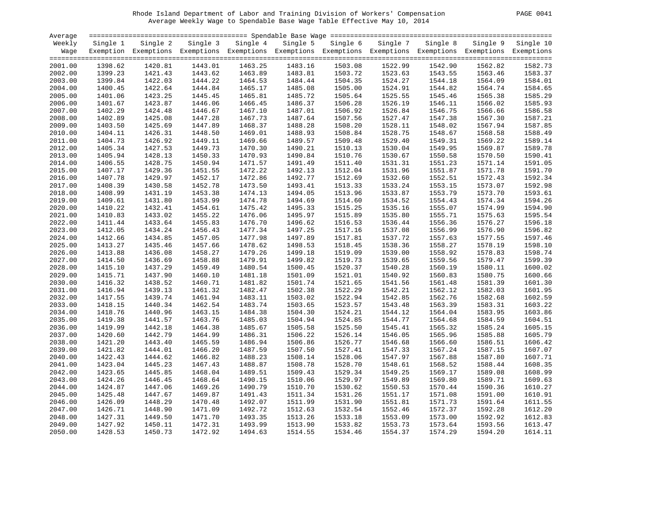# Rhode Island Department of Labor and Training Division of Workers' Compensation PAGE 0041 Average Weekly Wage to Spendable Base Wage Table Effective May 10, 2014

| PAGE. |
|-------|
|       |

| Average            |                    |                                                                                                              |          |          |          |          |          |          |          |           |
|--------------------|--------------------|--------------------------------------------------------------------------------------------------------------|----------|----------|----------|----------|----------|----------|----------|-----------|
| Weekly             | Single 1           | Single 2                                                                                                     | Single 3 | Single 4 | Single 5 | Single 6 | Single 7 | Single 8 | Single 9 | Single 10 |
| Wage               |                    | Exemption Exemptions Exemptions Exemptions Exemptions Exemptions Exemptions Exemptions Exemptions Exemptions |          |          |          |          |          |          |          |           |
|                    |                    |                                                                                                              |          |          |          |          |          |          |          |           |
| 2001.00            | 1398.62            | 1420.81                                                                                                      | 1443.01  | 1463.25  | 1483.16  | 1503.08  | 1522.99  | 1542.90  | 1562.82  | 1582.73   |
| 2002.00            | 1399.23            | 1421.43                                                                                                      | 1443.62  | 1463.89  | 1483.81  | 1503.72  | 1523.63  | 1543.55  | 1563.46  | 1583.37   |
| 2003.00            | 1399.84            | 1422.03                                                                                                      | 1444.22  | 1464.53  | 1484.44  | 1504.35  | 1524.27  | 1544.18  | 1564.09  | 1584.01   |
| 2004.00            | 1400.45            | 1422.64                                                                                                      | 1444.84  | 1465.17  | 1485.08  | 1505.00  | 1524.91  | 1544.82  | 1564.74  | 1584.65   |
| 2005.00            | 1401.06            | 1423.25                                                                                                      | 1445.45  | 1465.81  | 1485.72  | 1505.64  | 1525.55  | 1545.46  | 1565.38  | 1585.29   |
| 2006.00            | 1401.67            | 1423.87                                                                                                      | 1446.06  | 1466.45  | 1486.37  | 1506.28  | 1526.19  | 1546.11  | 1566.02  | 1585.93   |
| 2007.00            | 1402.29            | 1424.48                                                                                                      | 1446.67  | 1467.10  | 1487.01  | 1506.92  | 1526.84  | 1546.75  | 1566.66  | 1586.58   |
| 2008.00            | 1402.89            | 1425.08                                                                                                      | 1447.28  | 1467.73  | 1487.64  | 1507.56  | 1527.47  | 1547.38  | 1567.30  | 1587.21   |
| 2009.00            | 1403.50            | 1425.69                                                                                                      | 1447.89  | 1468.37  | 1488.28  | 1508.20  | 1528.11  | 1548.02  | 1567.94  | 1587.85   |
| 2010.00            | 1404.11            | 1426.31                                                                                                      | 1448.50  | 1469.01  | 1488.93  | 1508.84  | 1528.75  | 1548.67  | 1568.58  | 1588.49   |
| 2011.00            | 1404.73            | 1426.92                                                                                                      | 1449.11  | 1469.66  | 1489.57  | 1509.48  | 1529.40  | 1549.31  | 1569.22  | 1589.14   |
| 2012.00            | 1405.34            | 1427.53                                                                                                      | 1449.73  | 1470.30  | 1490.21  | 1510.13  | 1530.04  | 1549.95  | 1569.87  | 1589.78   |
| 2013.00            | 1405.94            | 1428.13                                                                                                      | 1450.33  | 1470.93  | 1490.84  | 1510.76  | 1530.67  | 1550.58  | 1570.50  | 1590.41   |
| 2014.00            | 1406.55            | 1428.75                                                                                                      | 1450.94  | 1471.57  | 1491.49  | 1511.40  | 1531.31  | 1551.23  | 1571.14  | 1591.05   |
| 2015.00            | 1407.17            | 1429.36                                                                                                      | 1451.55  | 1472.22  | 1492.13  | 1512.04  | 1531.96  | 1551.87  | 1571.78  | 1591.70   |
| 2016.00            | 1407.78            | 1429.97                                                                                                      | 1452.17  | 1472.86  | 1492.77  | 1512.69  | 1532.60  | 1552.51  | 1572.43  | 1592.34   |
| 2017.00            | 1408.39            | 1430.58                                                                                                      | 1452.78  | 1473.50  | 1493.41  | 1513.33  | 1533.24  | 1553.15  | 1573.07  | 1592.98   |
| 2018.00            | 1408.99            | 1431.19                                                                                                      | 1453.38  | 1474.13  | 1494.05  | 1513.96  | 1533.87  | 1553.79  | 1573.70  | 1593.61   |
|                    | 1409.61            | 1431.80                                                                                                      | 1453.99  | 1474.78  | 1494.69  | 1514.60  | 1534.52  | 1554.43  | 1574.34  | 1594.26   |
| 2019.00<br>2020.00 |                    |                                                                                                              | 1454.61  | 1475.42  | 1495.33  |          |          |          |          | 1594.90   |
|                    | 1410.22<br>1410.83 | 1432.41<br>1433.02                                                                                           |          |          |          | 1515.25  | 1535.16  | 1555.07  | 1574.99  | 1595.54   |
| 2021.00            |                    |                                                                                                              | 1455.22  | 1476.06  | 1495.97  | 1515.89  | 1535.80  | 1555.71  | 1575.63  |           |
| 2022.00            | 1411.44            | 1433.64                                                                                                      | 1455.83  | 1476.70  | 1496.62  | 1516.53  | 1536.44  | 1556.36  | 1576.27  | 1596.18   |
| 2023.00            | 1412.05            | 1434.24                                                                                                      | 1456.43  | 1477.34  | 1497.25  | 1517.16  | 1537.08  | 1556.99  | 1576.90  | 1596.82   |
| 2024.00            | 1412.66            | 1434.85                                                                                                      | 1457.05  | 1477.98  | 1497.89  | 1517.81  | 1537.72  | 1557.63  | 1577.55  | 1597.46   |
| 2025.00            | 1413.27            | 1435.46                                                                                                      | 1457.66  | 1478.62  | 1498.53  | 1518.45  | 1538.36  | 1558.27  | 1578.19  | 1598.10   |
| 2026.00            | 1413.88            | 1436.08                                                                                                      | 1458.27  | 1479.26  | 1499.18  | 1519.09  | 1539.00  | 1558.92  | 1578.83  | 1598.74   |
| 2027.00            | 1414.50            | 1436.69                                                                                                      | 1458.88  | 1479.91  | 1499.82  | 1519.73  | 1539.65  | 1559.56  | 1579.47  | 1599.39   |
| 2028.00            | 1415.10            | 1437.29                                                                                                      | 1459.49  | 1480.54  | 1500.45  | 1520.37  | 1540.28  | 1560.19  | 1580.11  | 1600.02   |
| 2029.00            | 1415.71            | 1437.90                                                                                                      | 1460.10  | 1481.18  | 1501.09  | 1521.01  | 1540.92  | 1560.83  | 1580.75  | 1600.66   |
| 2030.00            | 1416.32            | 1438.52                                                                                                      | 1460.71  | 1481.82  | 1501.74  | 1521.65  | 1541.56  | 1561.48  | 1581.39  | 1601.30   |
| 2031.00            | 1416.94            | 1439.13                                                                                                      | 1461.32  | 1482.47  | 1502.38  | 1522.29  | 1542.21  | 1562.12  | 1582.03  | 1601.95   |
| 2032.00            | 1417.55            | 1439.74                                                                                                      | 1461.94  | 1483.11  | 1503.02  | 1522.94  | 1542.85  | 1562.76  | 1582.68  | 1602.59   |
| 2033.00            | 1418.15            | 1440.34                                                                                                      | 1462.54  | 1483.74  | 1503.65  | 1523.57  | 1543.48  | 1563.39  | 1583.31  | 1603.22   |
| 2034.00            | 1418.76            | 1440.96                                                                                                      | 1463.15  | 1484.38  | 1504.30  | 1524.21  | 1544.12  | 1564.04  | 1583.95  | 1603.86   |
| 2035.00            | 1419.38            | 1441.57                                                                                                      | 1463.76  | 1485.03  | 1504.94  | 1524.85  | 1544.77  | 1564.68  | 1584.59  | 1604.51   |
| 2036.00            | 1419.99            | 1442.18                                                                                                      | 1464.38  | 1485.67  | 1505.58  | 1525.50  | 1545.41  | 1565.32  | 1585.24  | 1605.15   |
| 2037.00            | 1420.60            | 1442.79                                                                                                      | 1464.99  | 1486.31  | 1506.22  | 1526.14  | 1546.05  | 1565.96  | 1585.88  | 1605.79   |
| 2038.00            | 1421.20            | 1443.40                                                                                                      | 1465.59  | 1486.94  | 1506.86  | 1526.77  | 1546.68  | 1566.60  | 1586.51  | 1606.42   |
| 2039.00            | 1421.82            | 1444.01                                                                                                      | 1466.20  | 1487.59  | 1507.50  | 1527.41  | 1547.33  | 1567.24  | 1587.15  | 1607.07   |
| 2040.00            | 1422.43            | 1444.62                                                                                                      | 1466.82  | 1488.23  | 1508.14  | 1528.06  | 1547.97  | 1567.88  | 1587.80  | 1607.71   |
| 2041.00            | 1423.04            | 1445.23                                                                                                      | 1467.43  | 1488.87  | 1508.78  | 1528.70  | 1548.61  | 1568.52  | 1588.44  | 1608.35   |
| 2042.00            | 1423.65            | 1445.85                                                                                                      | 1468.04  | 1489.51  | 1509.43  | 1529.34  | 1549.25  | 1569.17  | 1589.08  | 1608.99   |
| 2043.00            | 1424.26            | 1446.45                                                                                                      | 1468.64  | 1490.15  | 1510.06  | 1529.97  | 1549.89  | 1569.80  | 1589.71  | 1609.63   |
| 2044.00            | 1424.87            | 1447.06                                                                                                      | 1469.26  | 1490.79  | 1510.70  | 1530.62  | 1550.53  | 1570.44  | 1590.36  | 1610.27   |
| 2045.00            | 1425.48            | 1447.67                                                                                                      | 1469.87  | 1491.43  | 1511.34  | 1531.26  | 1551.17  | 1571.08  | 1591.00  | 1610.91   |
| 2046.00            | 1426.09            | 1448.29                                                                                                      | 1470.48  | 1492.07  | 1511.99  | 1531.90  | 1551.81  | 1571.73  | 1591.64  | 1611.55   |
| 2047.00            | 1426.71            | 1448.90                                                                                                      | 1471.09  | 1492.72  | 1512.63  | 1532.54  | 1552.46  | 1572.37  | 1592.28  | 1612.20   |
| 2048.00            | 1427.31            | 1449.50                                                                                                      | 1471.70  | 1493.35  | 1513.26  | 1533.18  | 1553.09  | 1573.00  | 1592.92  | 1612.83   |
| 2049.00            | 1427.92            | 1450.11                                                                                                      | 1472.31  | 1493.99  | 1513.90  | 1533.82  | 1553.73  | 1573.64  | 1593.56  | 1613.47   |
| 2050.00            | 1428.53            | 1450.73                                                                                                      | 1472.92  | 1494.63  | 1514.55  | 1534.46  | 1554.37  | 1574.29  | 1594.20  | 1614.11   |
|                    |                    |                                                                                                              |          |          |          |          |          |          |          |           |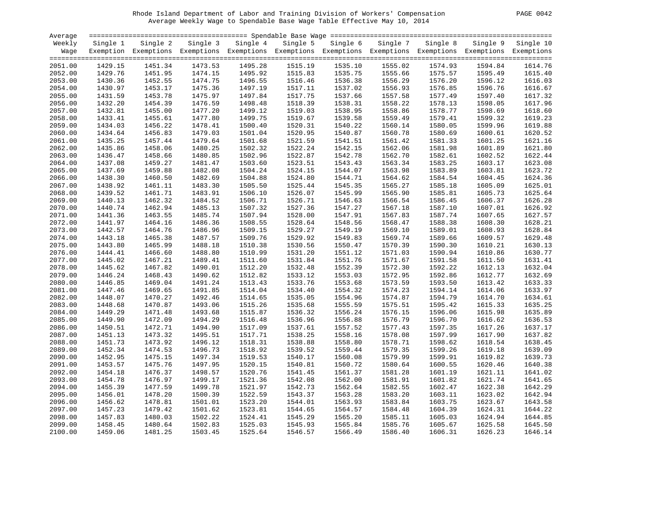# Rhode Island Department of Labor and Training Division of Workers' Compensation PAGE 0042 Average Weekly Wage to Spendable Base Wage Table Effective May 10, 2014

| PAGE | 0042 |
|------|------|
|      |      |

| Average |          |                                                                                                              |          |          |          |          |          |          |          |           |
|---------|----------|--------------------------------------------------------------------------------------------------------------|----------|----------|----------|----------|----------|----------|----------|-----------|
| Weekly  | Single 1 | Single 2                                                                                                     | Single 3 | Single 4 | Single 5 | Single 6 | Single 7 | Single 8 | Single 9 | Single 10 |
| Wage    |          | Exemption Exemptions Exemptions Exemptions Exemptions Exemptions Exemptions Exemptions Exemptions Exemptions |          |          |          |          |          |          |          |           |
|         |          |                                                                                                              |          |          |          |          |          |          |          |           |
| 2051.00 | 1429.15  | 1451.34                                                                                                      | 1473.53  | 1495.28  | 1515.19  | 1535.10  | 1555.02  | 1574.93  | 1594.84  | 1614.76   |
| 2052.00 | 1429.76  | 1451.95                                                                                                      | 1474.15  | 1495.92  | 1515.83  | 1535.75  | 1555.66  | 1575.57  | 1595.49  | 1615.40   |
| 2053.00 | 1430.36  | 1452.55                                                                                                      | 1474.75  | 1496.55  | 1516.46  | 1536.38  | 1556.29  | 1576.20  | 1596.12  | 1616.03   |
| 2054.00 | 1430.97  | 1453.17                                                                                                      | 1475.36  | 1497.19  | 1517.11  | 1537.02  | 1556.93  | 1576.85  | 1596.76  | 1616.67   |
| 2055.00 | 1431.59  | 1453.78                                                                                                      | 1475.97  | 1497.84  | 1517.75  | 1537.66  | 1557.58  | 1577.49  | 1597.40  | 1617.32   |
| 2056.00 | 1432.20  | 1454.39                                                                                                      | 1476.59  | 1498.48  | 1518.39  | 1538.31  | 1558.22  | 1578.13  | 1598.05  | 1617.96   |
| 2057.00 | 1432.81  | 1455.00                                                                                                      | 1477.20  | 1499.12  | 1519.03  | 1538.95  | 1558.86  | 1578.77  | 1598.69  | 1618.60   |
| 2058.00 | 1433.41  | 1455.61                                                                                                      | 1477.80  | 1499.75  | 1519.67  | 1539.58  | 1559.49  | 1579.41  | 1599.32  | 1619.23   |
| 2059.00 | 1434.03  | 1456.22                                                                                                      | 1478.41  | 1500.40  | 1520.31  | 1540.22  | 1560.14  | 1580.05  | 1599.96  | 1619.88   |
| 2060.00 | 1434.64  | 1456.83                                                                                                      | 1479.03  | 1501.04  | 1520.95  | 1540.87  | 1560.78  | 1580.69  | 1600.61  | 1620.52   |
| 2061.00 | 1435.25  | 1457.44                                                                                                      | 1479.64  | 1501.68  | 1521.59  | 1541.51  | 1561.42  | 1581.33  | 1601.25  | 1621.16   |
| 2062.00 | 1435.86  | 1458.06                                                                                                      | 1480.25  | 1502.32  | 1522.24  | 1542.15  | 1562.06  | 1581.98  | 1601.89  | 1621.80   |
| 2063.00 | 1436.47  | 1458.66                                                                                                      | 1480.85  | 1502.96  | 1522.87  | 1542.78  | 1562.70  | 1582.61  | 1602.52  | 1622.44   |
| 2064.00 | 1437.08  | 1459.27                                                                                                      | 1481.47  | 1503.60  | 1523.51  | 1543.43  | 1563.34  | 1583.25  | 1603.17  | 1623.08   |
| 2065.00 | 1437.69  | 1459.88                                                                                                      | 1482.08  | 1504.24  | 1524.15  | 1544.07  | 1563.98  | 1583.89  | 1603.81  | 1623.72   |
| 2066.00 | 1438.30  | 1460.50                                                                                                      | 1482.69  | 1504.88  | 1524.80  | 1544.71  | 1564.62  | 1584.54  | 1604.45  | 1624.36   |
| 2067.00 | 1438.92  | 1461.11                                                                                                      | 1483.30  | 1505.50  | 1525.44  | 1545.35  | 1565.27  | 1585.18  | 1605.09  | 1625.01   |
| 2068.00 | 1439.52  | 1461.71                                                                                                      | 1483.91  | 1506.10  | 1526.07  | 1545.99  | 1565.90  | 1585.81  | 1605.73  | 1625.64   |
| 2069.00 | 1440.13  | 1462.32                                                                                                      | 1484.52  | 1506.71  | 1526.71  | 1546.63  | 1566.54  | 1586.45  | 1606.37  | 1626.28   |
| 2070.00 | 1440.74  | 1462.94                                                                                                      | 1485.13  | 1507.32  | 1527.36  | 1547.27  | 1567.18  | 1587.10  | 1607.01  | 1626.92   |
| 2071.00 | 1441.36  | 1463.55                                                                                                      | 1485.74  | 1507.94  | 1528.00  | 1547.91  | 1567.83  | 1587.74  | 1607.65  | 1627.57   |
| 2072.00 | 1441.97  | 1464.16                                                                                                      | 1486.36  | 1508.55  | 1528.64  | 1548.56  | 1568.47  | 1588.38  | 1608.30  | 1628.21   |
| 2073.00 | 1442.57  | 1464.76                                                                                                      | 1486.96  | 1509.15  | 1529.27  | 1549.19  | 1569.10  | 1589.01  | 1608.93  | 1628.84   |
| 2074.00 | 1443.18  | 1465.38                                                                                                      | 1487.57  | 1509.76  | 1529.92  | 1549.83  | 1569.74  | 1589.66  | 1609.57  | 1629.48   |
| 2075.00 | 1443.80  | 1465.99                                                                                                      | 1488.18  | 1510.38  | 1530.56  | 1550.47  | 1570.39  | 1590.30  | 1610.21  | 1630.13   |
| 2076.00 | 1444.41  | 1466.60                                                                                                      | 1488.80  | 1510.99  | 1531.20  | 1551.12  | 1571.03  | 1590.94  | 1610.86  | 1630.77   |
| 2077.00 | 1445.02  | 1467.21                                                                                                      | 1489.41  | 1511.60  | 1531.84  | 1551.76  | 1571.67  | 1591.58  | 1611.50  | 1631.41   |
| 2078.00 | 1445.62  | 1467.82                                                                                                      | 1490.01  | 1512.20  | 1532.48  | 1552.39  | 1572.30  | 1592.22  | 1612.13  | 1632.04   |
| 2079.00 | 1446.24  | 1468.43                                                                                                      | 1490.62  | 1512.82  | 1533.12  | 1553.03  | 1572.95  | 1592.86  | 1612.77  | 1632.69   |
| 2080.00 | 1446.85  | 1469.04                                                                                                      | 1491.24  | 1513.43  | 1533.76  | 1553.68  | 1573.59  | 1593.50  | 1613.42  | 1633.33   |
| 2081.00 | 1447.46  | 1469.65                                                                                                      | 1491.85  | 1514.04  | 1534.40  | 1554.32  | 1574.23  | 1594.14  | 1614.06  | 1633.97   |
| 2082.00 | 1448.07  | 1470.27                                                                                                      | 1492.46  | 1514.65  | 1535.05  | 1554.96  | 1574.87  | 1594.79  | 1614.70  | 1634.61   |
| 2083.00 | 1448.68  | 1470.87                                                                                                      | 1493.06  | 1515.26  | 1535.68  | 1555.59  | 1575.51  | 1595.42  | 1615.33  | 1635.25   |
| 2084.00 | 1449.29  | 1471.48                                                                                                      | 1493.68  | 1515.87  | 1536.32  | 1556.24  | 1576.15  | 1596.06  | 1615.98  | 1635.89   |
| 2085.00 | 1449.90  | 1472.09                                                                                                      | 1494.29  | 1516.48  | 1536.96  | 1556.88  | 1576.79  | 1596.70  | 1616.62  | 1636.53   |
| 2086.00 | 1450.51  | 1472.71                                                                                                      | 1494.90  | 1517.09  | 1537.61  | 1557.52  | 1577.43  | 1597.35  | 1617.26  | 1637.17   |
| 2087.00 | 1451.13  | 1473.32                                                                                                      | 1495.51  | 1517.71  | 1538.25  | 1558.16  | 1578.08  | 1597.99  | 1617.90  | 1637.82   |
| 2088.00 | 1451.73  | 1473.92                                                                                                      | 1496.12  | 1518.31  | 1538.88  | 1558.80  | 1578.71  | 1598.62  | 1618.54  | 1638.45   |
| 2089.00 | 1452.34  | 1474.53                                                                                                      | 1496.73  | 1518.92  | 1539.52  | 1559.44  | 1579.35  | 1599.26  | 1619.18  | 1639.09   |
| 2090.00 | 1452.95  | 1475.15                                                                                                      | 1497.34  | 1519.53  | 1540.17  | 1560.08  | 1579.99  | 1599.91  | 1619.82  | 1639.73   |
| 2091.00 | 1453.57  | 1475.76                                                                                                      | 1497.95  | 1520.15  | 1540.81  | 1560.72  | 1580.64  | 1600.55  | 1620.46  | 1640.38   |
| 2092.00 | 1454.18  | 1476.37                                                                                                      | 1498.57  | 1520.76  | 1541.45  | 1561.37  | 1581.28  | 1601.19  | 1621.11  | 1641.02   |
| 2093.00 | 1454.78  | 1476.97                                                                                                      | 1499.17  | 1521.36  | 1542.08  | 1562.00  | 1581.91  | 1601.82  | 1621.74  | 1641.65   |
| 2094.00 | 1455.39  | 1477.59                                                                                                      | 1499.78  | 1521.97  | 1542.73  | 1562.64  | 1582.55  | 1602.47  | 1622.38  | 1642.29   |
| 2095.00 | 1456.01  | 1478.20                                                                                                      | 1500.39  | 1522.59  | 1543.37  | 1563.28  | 1583.20  | 1603.11  | 1623.02  | 1642.94   |
| 2096.00 | 1456.62  | 1478.81                                                                                                      | 1501.01  | 1523.20  | 1544.01  | 1563.93  | 1583.84  | 1603.75  | 1623.67  | 1643.58   |
| 2097.00 | 1457.23  | 1479.42                                                                                                      | 1501.62  | 1523.81  | 1544.65  | 1564.57  | 1584.48  | 1604.39  | 1624.31  | 1644.22   |
| 2098.00 | 1457.83  | 1480.03                                                                                                      | 1502.22  | 1524.41  | 1545.29  | 1565.20  | 1585.11  | 1605.03  | 1624.94  | 1644.85   |
| 2099.00 | 1458.45  | 1480.64                                                                                                      | 1502.83  | 1525.03  | 1545.93  | 1565.84  | 1585.76  | 1605.67  | 1625.58  | 1645.50   |
| 2100.00 | 1459.06  | 1481.25                                                                                                      | 1503.45  | 1525.64  | 1546.57  | 1566.49  | 1586.40  | 1606.31  | 1626.23  | 1646.14   |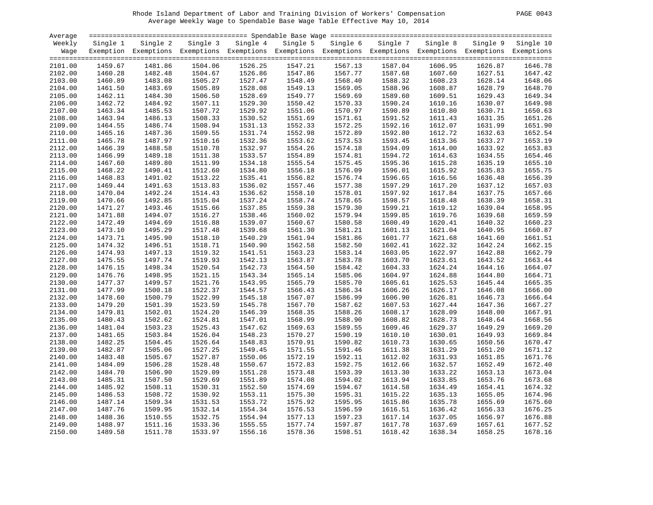# Rhode Island Department of Labor and Training Division of Workers' Compensation PAGE 0043 Average Weekly Wage to Spendable Base Wage Table Effective May 10, 2014

| PAGE | 0043 |
|------|------|
|      |      |

| Average |          |                                                                                                              |          |          |          |          |          |          |          |           |
|---------|----------|--------------------------------------------------------------------------------------------------------------|----------|----------|----------|----------|----------|----------|----------|-----------|
| Weekly  | Single 1 | Single 2                                                                                                     | Single 3 | Single 4 | Single 5 | Single 6 | Single 7 | Single 8 | Single 9 | Single 10 |
| Wage    |          | Exemption Exemptions Exemptions Exemptions Exemptions Exemptions Exemptions Exemptions Exemptions Exemptions |          |          |          |          |          |          |          |           |
|         |          |                                                                                                              |          |          |          |          |          |          |          |           |
| 2101.00 | 1459.67  | 1481.86                                                                                                      | 1504.06  | 1526.25  | 1547.21  | 1567.13  | 1587.04  | 1606.95  | 1626.87  | 1646.78   |
| 2102.00 | 1460.28  | 1482.48                                                                                                      | 1504.67  | 1526.86  | 1547.86  | 1567.77  | 1587.68  | 1607.60  | 1627.51  | 1647.42   |
| 2103.00 | 1460.89  | 1483.08                                                                                                      | 1505.27  | 1527.47  | 1548.49  | 1568.40  | 1588.32  | 1608.23  | 1628.14  | 1648.06   |
| 2104.00 | 1461.50  | 1483.69                                                                                                      | 1505.89  | 1528.08  | 1549.13  | 1569.05  | 1588.96  | 1608.87  | 1628.79  | 1648.70   |
| 2105.00 | 1462.11  | 1484.30                                                                                                      | 1506.50  | 1528.69  | 1549.77  | 1569.69  | 1589.60  | 1609.51  | 1629.43  | 1649.34   |
| 2106.00 | 1462.72  | 1484.92                                                                                                      | 1507.11  | 1529.30  | 1550.42  | 1570.33  | 1590.24  | 1610.16  | 1630.07  | 1649.98   |
| 2107.00 | 1463.34  | 1485.53                                                                                                      | 1507.72  | 1529.92  | 1551.06  | 1570.97  | 1590.89  | 1610.80  | 1630.71  | 1650.63   |
| 2108.00 | 1463.94  | 1486.13                                                                                                      | 1508.33  | 1530.52  | 1551.69  | 1571.61  | 1591.52  | 1611.43  | 1631.35  | 1651.26   |
| 2109.00 | 1464.55  | 1486.74                                                                                                      | 1508.94  | 1531.13  | 1552.33  | 1572.25  | 1592.16  | 1612.07  | 1631.99  | 1651.90   |
| 2110.00 | 1465.16  | 1487.36                                                                                                      | 1509.55  | 1531.74  | 1552.98  | 1572.89  | 1592.80  | 1612.72  | 1632.63  | 1652.54   |
| 2111.00 | 1465.78  | 1487.97                                                                                                      | 1510.16  | 1532.36  | 1553.62  | 1573.53  | 1593.45  | 1613.36  | 1633.27  | 1653.19   |
| 2112.00 | 1466.39  | 1488.58                                                                                                      | 1510.78  | 1532.97  | 1554.26  | 1574.18  | 1594.09  | 1614.00  | 1633.92  | 1653.83   |
| 2113.00 | 1466.99  | 1489.18                                                                                                      | 1511.38  | 1533.57  | 1554.89  | 1574.81  | 1594.72  | 1614.63  | 1634.55  | 1654.46   |
| 2114.00 | 1467.60  | 1489.80                                                                                                      | 1511.99  | 1534.18  | 1555.54  | 1575.45  | 1595.36  | 1615.28  | 1635.19  | 1655.10   |
| 2115.00 | 1468.22  | 1490.41                                                                                                      | 1512.60  | 1534.80  | 1556.18  | 1576.09  | 1596.01  | 1615.92  | 1635.83  | 1655.75   |
| 2116.00 | 1468.83  | 1491.02                                                                                                      | 1513.22  | 1535.41  | 1556.82  | 1576.74  | 1596.65  | 1616.56  | 1636.48  | 1656.39   |
| 2117.00 | 1469.44  | 1491.63                                                                                                      | 1513.83  | 1536.02  | 1557.46  | 1577.38  | 1597.29  | 1617.20  | 1637.12  | 1657.03   |
| 2118.00 | 1470.04  | 1492.24                                                                                                      | 1514.43  | 1536.62  | 1558.10  | 1578.01  | 1597.92  | 1617.84  | 1637.75  | 1657.66   |
| 2119.00 | 1470.66  | 1492.85                                                                                                      | 1515.04  | 1537.24  | 1558.74  | 1578.65  | 1598.57  | 1618.48  | 1638.39  | 1658.31   |
| 2120.00 | 1471.27  | 1493.46                                                                                                      | 1515.66  | 1537.85  | 1559.38  | 1579.30  | 1599.21  | 1619.12  | 1639.04  | 1658.95   |
| 2121.00 | 1471.88  | 1494.07                                                                                                      | 1516.27  | 1538.46  | 1560.02  | 1579.94  | 1599.85  | 1619.76  | 1639.68  | 1659.59   |
| 2122.00 | 1472.49  | 1494.69                                                                                                      | 1516.88  | 1539.07  | 1560.67  | 1580.58  | 1600.49  | 1620.41  | 1640.32  | 1660.23   |
| 2123.00 | 1473.10  | 1495.29                                                                                                      | 1517.48  | 1539.68  | 1561.30  | 1581.21  | 1601.13  | 1621.04  | 1640.95  | 1660.87   |
| 2124.00 | 1473.71  | 1495.90                                                                                                      | 1518.10  | 1540.29  | 1561.94  | 1581.86  | 1601.77  | 1621.68  | 1641.60  | 1661.51   |
| 2125.00 | 1474.32  | 1496.51                                                                                                      | 1518.71  | 1540.90  | 1562.58  | 1582.50  | 1602.41  | 1622.32  | 1642.24  | 1662.15   |
| 2126.00 | 1474.93  | 1497.13                                                                                                      | 1519.32  | 1541.51  | 1563.23  | 1583.14  | 1603.05  | 1622.97  | 1642.88  | 1662.79   |
| 2127.00 | 1475.55  | 1497.74                                                                                                      | 1519.93  | 1542.13  | 1563.87  | 1583.78  | 1603.70  | 1623.61  | 1643.52  | 1663.44   |
| 2128.00 | 1476.15  | 1498.34                                                                                                      | 1520.54  | 1542.73  | 1564.50  | 1584.42  | 1604.33  | 1624.24  | 1644.16  | 1664.07   |
| 2129.00 | 1476.76  | 1498.95                                                                                                      | 1521.15  | 1543.34  | 1565.14  | 1585.06  | 1604.97  | 1624.88  | 1644.80  | 1664.71   |
| 2130.00 | 1477.37  | 1499.57                                                                                                      | 1521.76  | 1543.95  | 1565.79  | 1585.70  | 1605.61  | 1625.53  | 1645.44  | 1665.35   |
| 2131.00 | 1477.99  | 1500.18                                                                                                      | 1522.37  | 1544.57  | 1566.43  | 1586.34  | 1606.26  | 1626.17  | 1646.08  | 1666.00   |
| 2132.00 | 1478.60  | 1500.79                                                                                                      | 1522.99  | 1545.18  | 1567.07  | 1586.99  | 1606.90  | 1626.81  | 1646.73  | 1666.64   |
| 2133.00 | 1479.20  | 1501.39                                                                                                      | 1523.59  | 1545.78  | 1567.70  | 1587.62  | 1607.53  | 1627.44  | 1647.36  | 1667.27   |
| 2134.00 | 1479.81  | 1502.01                                                                                                      | 1524.20  | 1546.39  | 1568.35  | 1588.26  | 1608.17  | 1628.09  | 1648.00  | 1667.91   |
| 2135.00 | 1480.43  | 1502.62                                                                                                      | 1524.81  | 1547.01  | 1568.99  | 1588.90  | 1608.82  | 1628.73  | 1648.64  | 1668.56   |
| 2136.00 | 1481.04  | 1503.23                                                                                                      | 1525.43  | 1547.62  | 1569.63  | 1589.55  | 1609.46  | 1629.37  | 1649.29  | 1669.20   |
| 2137.00 | 1481.65  | 1503.84                                                                                                      | 1526.04  | 1548.23  | 1570.27  | 1590.19  | 1610.10  | 1630.01  | 1649.93  | 1669.84   |
| 2138.00 | 1482.25  | 1504.45                                                                                                      | 1526.64  | 1548.83  | 1570.91  | 1590.82  | 1610.73  | 1630.65  | 1650.56  | 1670.47   |
| 2139.00 | 1482.87  | 1505.06                                                                                                      | 1527.25  | 1549.45  | 1571.55  | 1591.46  | 1611.38  | 1631.29  | 1651.20  | 1671.12   |
| 2140.00 | 1483.48  | 1505.67                                                                                                      | 1527.87  | 1550.06  | 1572.19  | 1592.11  | 1612.02  | 1631.93  | 1651.85  | 1671.76   |
| 2141.00 | 1484.09  | 1506.28                                                                                                      | 1528.48  | 1550.67  | 1572.83  | 1592.75  | 1612.66  | 1632.57  | 1652.49  | 1672.40   |
| 2142.00 | 1484.70  | 1506.90                                                                                                      | 1529.09  | 1551.28  | 1573.48  | 1593.39  | 1613.30  | 1633.22  | 1653.13  | 1673.04   |
| 2143.00 | 1485.31  | 1507.50                                                                                                      | 1529.69  | 1551.89  | 1574.08  | 1594.02  | 1613.94  | 1633.85  | 1653.76  | 1673.68   |
| 2144.00 | 1485.92  | 1508.11                                                                                                      | 1530.31  | 1552.50  | 1574.69  | 1594.67  | 1614.58  | 1634.49  | 1654.41  | 1674.32   |
| 2145.00 | 1486.53  | 1508.72                                                                                                      | 1530.92  | 1553.11  | 1575.30  | 1595.31  | 1615.22  | 1635.13  | 1655.05  | 1674.96   |
| 2146.00 | 1487.14  | 1509.34                                                                                                      | 1531.53  | 1553.72  | 1575.92  | 1595.95  | 1615.86  | 1635.78  | 1655.69  | 1675.60   |
| 2147.00 | 1487.76  | 1509.95                                                                                                      | 1532.14  | 1554.34  | 1576.53  | 1596.59  | 1616.51  | 1636.42  | 1656.33  | 1676.25   |
| 2148.00 | 1488.36  | 1510.55                                                                                                      | 1532.75  | 1554.94  | 1577.13  | 1597.23  | 1617.14  | 1637.05  | 1656.97  | 1676.88   |
| 2149.00 | 1488.97  | 1511.16                                                                                                      | 1533.36  | 1555.55  | 1577.74  | 1597.87  | 1617.78  | 1637.69  | 1657.61  | 1677.52   |
| 2150.00 | 1489.58  | 1511.78                                                                                                      | 1533.97  | 1556.16  | 1578.36  | 1598.51  | 1618.42  | 1638.34  | 1658.25  | 1678.16   |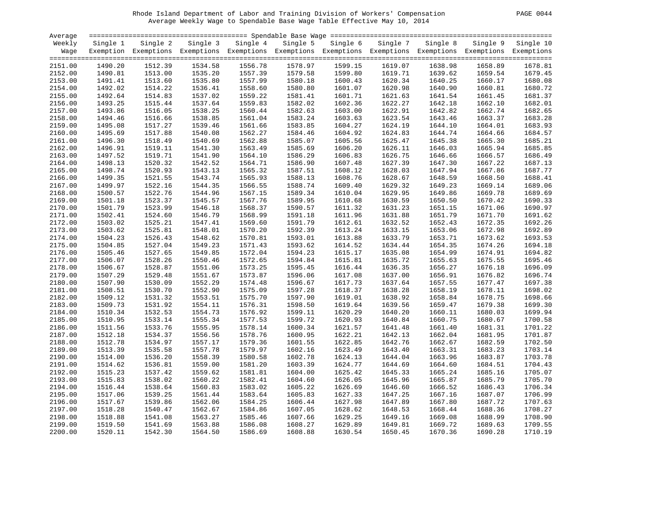# Rhode Island Department of Labor and Training Division of Workers' Compensation PAGE 0044 Average Weekly Wage to Spendable Base Wage Table Effective May 10, 2014

| PAGE. |  |  | 0044 |
|-------|--|--|------|
|-------|--|--|------|

| Average            |          |                                                                                                              |          |          |          |          |          |                    |          |           |
|--------------------|----------|--------------------------------------------------------------------------------------------------------------|----------|----------|----------|----------|----------|--------------------|----------|-----------|
| Weekly             | Single 1 | Single 2                                                                                                     | Single 3 | Single 4 | Single 5 | Single 6 | Single 7 | Single 8           | Single 9 | Single 10 |
| Wage               |          | Exemption Exemptions Exemptions Exemptions Exemptions Exemptions Exemptions Exemptions Exemptions Exemptions |          |          |          |          |          |                    |          |           |
|                    |          |                                                                                                              |          |          |          |          |          |                    |          |           |
| 2151.00            | 1490.20  | 1512.39                                                                                                      | 1534.58  | 1556.78  | 1578.97  | 1599.15  | 1619.07  | 1638.98            | 1658.89  | 1678.81   |
| 2152.00            | 1490.81  | 1513.00                                                                                                      | 1535.20  | 1557.39  | 1579.58  | 1599.80  | 1619.71  | 1639.62            | 1659.54  | 1679.45   |
| 2153.00            | 1491.41  | 1513.60                                                                                                      | 1535.80  | 1557.99  | 1580.18  | 1600.43  | 1620.34  | 1640.25            | 1660.17  | 1680.08   |
| 2154.00            | 1492.02  | 1514.22                                                                                                      | 1536.41  | 1558.60  | 1580.80  | 1601.07  | 1620.98  | 1640.90            | 1660.81  | 1680.72   |
| 2155.00            | 1492.64  | 1514.83                                                                                                      | 1537.02  | 1559.22  | 1581.41  | 1601.71  | 1621.63  | 1641.54            | 1661.45  | 1681.37   |
| 2156.00            | 1493.25  | 1515.44                                                                                                      | 1537.64  | 1559.83  | 1582.02  | 1602.36  | 1622.27  | 1642.18            | 1662.10  | 1682.01   |
| 2157.00            | 1493.86  | 1516.05                                                                                                      | 1538.25  | 1560.44  | 1582.63  | 1603.00  | 1622.91  | 1642.82            | 1662.74  | 1682.65   |
| 2158.00            | 1494.46  | 1516.66                                                                                                      | 1538.85  | 1561.04  | 1583.24  | 1603.63  | 1623.54  | 1643.46            | 1663.37  | 1683.28   |
| 2159.00            | 1495.08  | 1517.27                                                                                                      | 1539.46  | 1561.66  | 1583.85  | 1604.27  | 1624.19  | 1644.10            | 1664.01  | 1683.93   |
| 2160.00            | 1495.69  | 1517.88                                                                                                      | 1540.08  | 1562.27  | 1584.46  | 1604.92  | 1624.83  | 1644.74            | 1664.66  | 1684.57   |
| 2161.00            | 1496.30  | 1518.49                                                                                                      | 1540.69  | 1562.88  | 1585.07  | 1605.56  | 1625.47  | 1645.38            | 1665.30  | 1685.21   |
| 2162.00            | 1496.91  | 1519.11                                                                                                      | 1541.30  | 1563.49  | 1585.69  | 1606.20  | 1626.11  | 1646.03            | 1665.94  | 1685.85   |
| 2163.00            | 1497.52  | 1519.71                                                                                                      | 1541.90  | 1564.10  | 1586.29  | 1606.83  | 1626.75  | 1646.66            | 1666.57  | 1686.49   |
| 2164.00            | 1498.13  | 1520.32                                                                                                      | 1542.52  | 1564.71  | 1586.90  | 1607.48  | 1627.39  | 1647.30            | 1667.22  | 1687.13   |
| 2165.00            | 1498.74  | 1520.93                                                                                                      | 1543.13  | 1565.32  | 1587.51  | 1608.12  | 1628.03  | 1647.94            | 1667.86  | 1687.77   |
| 2166.00            | 1499.35  | 1521.55                                                                                                      | 1543.74  | 1565.93  | 1588.13  | 1608.76  | 1628.67  | 1648.59            | 1668.50  | 1688.41   |
| 2167.00            | 1499.97  | 1522.16                                                                                                      | 1544.35  | 1566.55  | 1588.74  | 1609.40  | 1629.32  | 1649.23            | 1669.14  | 1689.06   |
| 2168.00            | 1500.57  | 1522.76                                                                                                      | 1544.96  | 1567.15  | 1589.34  | 1610.04  | 1629.95  | 1649.86            | 1669.78  | 1689.69   |
| 2169.00            | 1501.18  | 1523.37                                                                                                      | 1545.57  | 1567.76  | 1589.95  | 1610.68  | 1630.59  | 1650.50            | 1670.42  | 1690.33   |
| 2170.00            | 1501.79  | 1523.99                                                                                                      | 1546.18  | 1568.37  | 1590.57  | 1611.32  | 1631.23  | 1651.15            | 1671.06  | 1690.97   |
| 2171.00            | 1502.41  | 1524.60                                                                                                      | 1546.79  | 1568.99  | 1591.18  | 1611.96  | 1631.88  | 1651.79            | 1671.70  | 1691.62   |
| 2172.00            | 1503.02  | 1525.21                                                                                                      | 1547.41  | 1569.60  | 1591.79  | 1612.61  | 1632.52  | 1652.43            | 1672.35  | 1692.26   |
|                    |          | 1525.81                                                                                                      | 1548.01  | 1570.20  | 1592.39  |          |          |                    |          | 1692.89   |
| 2173.00<br>2174.00 | 1503.62  | 1526.43                                                                                                      | 1548.62  | 1570.81  | 1593.01  | 1613.24  | 1633.15  | 1653.06<br>1653.71 | 1672.98  | 1693.53   |
|                    | 1504.23  |                                                                                                              |          |          |          | 1613.88  | 1633.79  |                    | 1673.62  | 1694.18   |
| 2175.00            | 1504.85  | 1527.04                                                                                                      | 1549.23  | 1571.43  | 1593.62  | 1614.52  | 1634.44  | 1654.35            | 1674.26  |           |
| 2176.00            | 1505.46  | 1527.65                                                                                                      | 1549.85  | 1572.04  | 1594.23  | 1615.17  | 1635.08  | 1654.99            | 1674.91  | 1694.82   |
| 2177.00            | 1506.07  | 1528.26                                                                                                      | 1550.46  | 1572.65  | 1594.84  | 1615.81  | 1635.72  | 1655.63            | 1675.55  | 1695.46   |
| 2178.00            | 1506.67  | 1528.87                                                                                                      | 1551.06  | 1573.25  | 1595.45  | 1616.44  | 1636.35  | 1656.27            | 1676.18  | 1696.09   |
| 2179.00            | 1507.29  | 1529.48                                                                                                      | 1551.67  | 1573.87  | 1596.06  | 1617.08  | 1637.00  | 1656.91            | 1676.82  | 1696.74   |
| 2180.00            | 1507.90  | 1530.09                                                                                                      | 1552.29  | 1574.48  | 1596.67  | 1617.73  | 1637.64  | 1657.55            | 1677.47  | 1697.38   |
| 2181.00            | 1508.51  | 1530.70                                                                                                      | 1552.90  | 1575.09  | 1597.28  | 1618.37  | 1638.28  | 1658.19            | 1678.11  | 1698.02   |
| 2182.00            | 1509.12  | 1531.32                                                                                                      | 1553.51  | 1575.70  | 1597.90  | 1619.01  | 1638.92  | 1658.84            | 1678.75  | 1698.66   |
| 2183.00            | 1509.73  | 1531.92                                                                                                      | 1554.11  | 1576.31  | 1598.50  | 1619.64  | 1639.56  | 1659.47            | 1679.38  | 1699.30   |
| 2184.00            | 1510.34  | 1532.53                                                                                                      | 1554.73  | 1576.92  | 1599.11  | 1620.29  | 1640.20  | 1660.11            | 1680.03  | 1699.94   |
| 2185.00            | 1510.95  | 1533.14                                                                                                      | 1555.34  | 1577.53  | 1599.72  | 1620.93  | 1640.84  | 1660.75            | 1680.67  | 1700.58   |
| 2186.00            | 1511.56  | 1533.76                                                                                                      | 1555.95  | 1578.14  | 1600.34  | 1621.57  | 1641.48  | 1661.40            | 1681.31  | 1701.22   |
| 2187.00            | 1512.18  | 1534.37                                                                                                      | 1556.56  | 1578.76  | 1600.95  | 1622.21  | 1642.13  | 1662.04            | 1681.95  | 1701.87   |
| 2188.00            | 1512.78  | 1534.97                                                                                                      | 1557.17  | 1579.36  | 1601.55  | 1622.85  | 1642.76  | 1662.67            | 1682.59  | 1702.50   |
| 2189.00            | 1513.39  | 1535.58                                                                                                      | 1557.78  | 1579.97  | 1602.16  | 1623.49  | 1643.40  | 1663.31            | 1683.23  | 1703.14   |
| 2190.00            | 1514.00  | 1536.20                                                                                                      | 1558.39  | 1580.58  | 1602.78  | 1624.13  | 1644.04  | 1663.96            | 1683.87  | 1703.78   |
| 2191.00            | 1514.62  | 1536.81                                                                                                      | 1559.00  | 1581.20  | 1603.39  | 1624.77  | 1644.69  | 1664.60            | 1684.51  | 1704.43   |
| 2192.00            | 1515.23  | 1537.42                                                                                                      | 1559.62  | 1581.81  | 1604.00  | 1625.42  | 1645.33  | 1665.24            | 1685.16  | 1705.07   |
| 2193.00            | 1515.83  | 1538.02                                                                                                      | 1560.22  | 1582.41  | 1604.60  | 1626.05  | 1645.96  | 1665.87            | 1685.79  | 1705.70   |
| 2194.00            | 1516.44  | 1538.64                                                                                                      | 1560.83  | 1583.02  | 1605.22  | 1626.69  | 1646.60  | 1666.52            | 1686.43  | 1706.34   |
| 2195.00            | 1517.06  | 1539.25                                                                                                      | 1561.44  | 1583.64  | 1605.83  | 1627.33  | 1647.25  | 1667.16            | 1687.07  | 1706.99   |
| 2196.00            | 1517.67  | 1539.86                                                                                                      | 1562.06  | 1584.25  | 1606.44  | 1627.98  | 1647.89  | 1667.80            | 1687.72  | 1707.63   |
| 2197.00            | 1518.28  | 1540.47                                                                                                      | 1562.67  | 1584.86  | 1607.05  | 1628.62  | 1648.53  | 1668.44            | 1688.36  | 1708.27   |
| 2198.00            | 1518.88  | 1541.08                                                                                                      | 1563.27  | 1585.46  | 1607.66  | 1629.25  | 1649.16  | 1669.08            | 1688.99  | 1708.90   |
| 2199.00            | 1519.50  | 1541.69                                                                                                      | 1563.88  | 1586.08  | 1608.27  | 1629.89  | 1649.81  | 1669.72            | 1689.63  | 1709.55   |
| 2200.00            | 1520.11  | 1542.30                                                                                                      | 1564.50  | 1586.69  | 1608.88  | 1630.54  | 1650.45  | 1670.36            | 1690.28  | 1710.19   |
|                    |          |                                                                                                              |          |          |          |          |          |                    |          |           |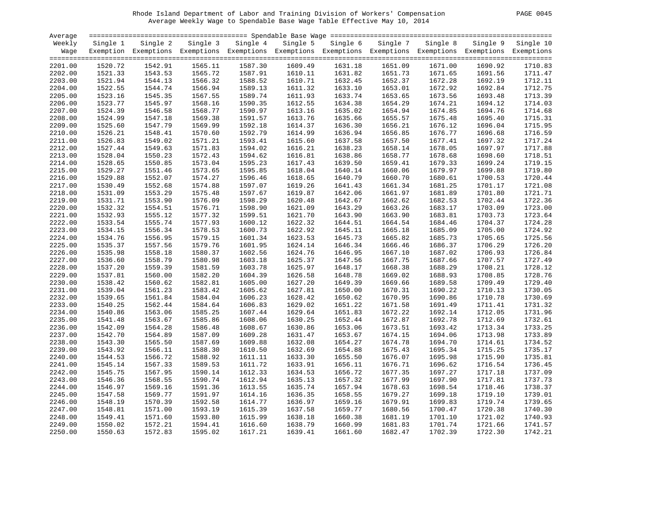# Rhode Island Department of Labor and Training Division of Workers' Compensation PAGE 0045 Average Weekly Wage to Spendable Base Wage Table Effective May 10, 2014

| PAGE | 0045 |  |
|------|------|--|
|------|------|--|

| Average |          |                                                                                                              |          |          |          |          |          |          |          |           |
|---------|----------|--------------------------------------------------------------------------------------------------------------|----------|----------|----------|----------|----------|----------|----------|-----------|
| Weekly  | Single 1 | Single 2                                                                                                     | Single 3 | Single 4 | Single 5 | Single 6 | Single 7 | Single 8 | Single 9 | Single 10 |
| Waqe    |          | Exemption Exemptions Exemptions Exemptions Exemptions Exemptions Exemptions Exemptions Exemptions Exemptions |          |          |          |          |          |          |          |           |
| 2201.00 | 1520.72  | 1542.91                                                                                                      | 1565.11  | 1587.30  | 1609.49  | 1631.18  | 1651.09  | 1671.00  | 1690.92  | 1710.83   |
| 2202.00 | 1521.33  | 1543.53                                                                                                      | 1565.72  | 1587.91  | 1610.11  | 1631.82  | 1651.73  | 1671.65  | 1691.56  | 1711.47   |
| 2203.00 | 1521.94  | 1544.13                                                                                                      | 1566.32  | 1588.52  | 1610.71  | 1632.45  | 1652.37  | 1672.28  | 1692.19  | 1712.11   |
| 2204.00 | 1522.55  | 1544.74                                                                                                      | 1566.94  | 1589.13  | 1611.32  | 1633.10  | 1653.01  | 1672.92  | 1692.84  | 1712.75   |
| 2205.00 | 1523.16  | 1545.35                                                                                                      | 1567.55  | 1589.74  | 1611.93  | 1633.74  | 1653.65  | 1673.56  | 1693.48  | 1713.39   |
| 2206.00 | 1523.77  | 1545.97                                                                                                      | 1568.16  | 1590.35  | 1612.55  | 1634.38  | 1654.29  | 1674.21  | 1694.12  | 1714.03   |
| 2207.00 | 1524.39  | 1546.58                                                                                                      | 1568.77  | 1590.97  | 1613.16  | 1635.02  | 1654.94  | 1674.85  | 1694.76  | 1714.68   |
| 2208.00 | 1524.99  | 1547.18                                                                                                      | 1569.38  | 1591.57  | 1613.76  | 1635.66  | 1655.57  | 1675.48  | 1695.40  | 1715.31   |
| 2209.00 | 1525.60  | 1547.79                                                                                                      | 1569.99  | 1592.18  | 1614.37  | 1636.30  | 1656.21  | 1676.12  | 1696.04  | 1715.95   |
| 2210.00 | 1526.21  | 1548.41                                                                                                      | 1570.60  | 1592.79  | 1614.99  | 1636.94  | 1656.85  | 1676.77  | 1696.68  | 1716.59   |
| 2211.00 | 1526.83  | 1549.02                                                                                                      | 1571.21  | 1593.41  | 1615.60  | 1637.58  | 1657.50  | 1677.41  | 1697.32  | 1717.24   |
| 2212.00 | 1527.44  | 1549.63                                                                                                      | 1571.83  | 1594.02  | 1616.21  | 1638.23  | 1658.14  | 1678.05  | 1697.97  | 1717.88   |
| 2213.00 | 1528.04  | 1550.23                                                                                                      | 1572.43  | 1594.62  | 1616.81  | 1638.86  | 1658.77  | 1678.68  | 1698.60  | 1718.51   |
| 2214.00 | 1528.65  | 1550.85                                                                                                      | 1573.04  | 1595.23  | 1617.43  | 1639.50  | 1659.41  | 1679.33  | 1699.24  | 1719.15   |
| 2215.00 | 1529.27  | 1551.46                                                                                                      | 1573.65  | 1595.85  | 1618.04  | 1640.14  | 1660.06  | 1679.97  | 1699.88  | 1719.80   |
| 2216.00 | 1529.88  | 1552.07                                                                                                      | 1574.27  | 1596.46  | 1618.65  | 1640.79  | 1660.70  | 1680.61  | 1700.53  | 1720.44   |
| 2217.00 | 1530.49  | 1552.68                                                                                                      | 1574.88  | 1597.07  | 1619.26  | 1641.43  | 1661.34  | 1681.25  | 1701.17  | 1721.08   |
| 2218.00 | 1531.09  | 1553.29                                                                                                      | 1575.48  | 1597.67  | 1619.87  | 1642.06  | 1661.97  | 1681.89  | 1701.80  | 1721.71   |
| 2219.00 | 1531.71  | 1553.90                                                                                                      | 1576.09  | 1598.29  | 1620.48  | 1642.67  | 1662.62  | 1682.53  | 1702.44  | 1722.36   |
| 2220.00 | 1532.32  | 1554.51                                                                                                      | 1576.71  | 1598.90  | 1621.09  | 1643.29  | 1663.26  | 1683.17  | 1703.09  | 1723.00   |
| 2221.00 | 1532.93  | 1555.12                                                                                                      | 1577.32  | 1599.51  | 1621.70  | 1643.90  | 1663.90  | 1683.81  | 1703.73  | 1723.64   |
| 2222.00 | 1533.54  | 1555.74                                                                                                      | 1577.93  | 1600.12  | 1622.32  | 1644.51  | 1664.54  | 1684.46  | 1704.37  | 1724.28   |
| 2223.00 | 1534.15  | 1556.34                                                                                                      | 1578.53  | 1600.73  | 1622.92  | 1645.11  | 1665.18  | 1685.09  | 1705.00  | 1724.92   |
| 2224.00 | 1534.76  | 1556.95                                                                                                      | 1579.15  | 1601.34  | 1623.53  | 1645.73  | 1665.82  | 1685.73  | 1705.65  | 1725.56   |
| 2225.00 | 1535.37  | 1557.56                                                                                                      | 1579.76  | 1601.95  | 1624.14  | 1646.34  | 1666.46  | 1686.37  | 1706.29  | 1726.20   |
| 2226.00 | 1535.98  | 1558.18                                                                                                      | 1580.37  | 1602.56  | 1624.76  | 1646.95  | 1667.10  | 1687.02  | 1706.93  | 1726.84   |
| 2227.00 | 1536.60  | 1558.79                                                                                                      | 1580.98  | 1603.18  | 1625.37  | 1647.56  | 1667.75  | 1687.66  | 1707.57  | 1727.49   |
| 2228.00 | 1537.20  | 1559.39                                                                                                      | 1581.59  | 1603.78  | 1625.97  | 1648.17  | 1668.38  | 1688.29  | 1708.21  | 1728.12   |
| 2229.00 | 1537.81  | 1560.00                                                                                                      | 1582.20  | 1604.39  | 1626.58  | 1648.78  | 1669.02  | 1688.93  | 1708.85  | 1728.76   |
| 2230.00 | 1538.42  | 1560.62                                                                                                      | 1582.81  | 1605.00  | 1627.20  | 1649.39  | 1669.66  | 1689.58  | 1709.49  | 1729.40   |
| 2231.00 | 1539.04  | 1561.23                                                                                                      | 1583.42  | 1605.62  | 1627.81  | 1650.00  | 1670.31  | 1690.22  | 1710.13  | 1730.05   |
| 2232.00 | 1539.65  | 1561.84                                                                                                      | 1584.04  | 1606.23  | 1628.42  | 1650.62  | 1670.95  | 1690.86  | 1710.78  | 1730.69   |
| 2233.00 | 1540.25  | 1562.44                                                                                                      | 1584.64  | 1606.83  | 1629.02  | 1651.22  | 1671.58  | 1691.49  | 1711.41  | 1731.32   |
| 2234.00 | 1540.86  | 1563.06                                                                                                      | 1585.25  | 1607.44  | 1629.64  | 1651.83  | 1672.22  | 1692.14  | 1712.05  | 1731.96   |
| 2235.00 | 1541.48  | 1563.67                                                                                                      | 1585.86  | 1608.06  | 1630.25  | 1652.44  | 1672.87  | 1692.78  | 1712.69  | 1732.61   |
| 2236.00 | 1542.09  | 1564.28                                                                                                      | 1586.48  | 1608.67  | 1630.86  | 1653.06  | 1673.51  | 1693.42  | 1713.34  | 1733.25   |
| 2237.00 | 1542.70  | 1564.89                                                                                                      | 1587.09  | 1609.28  | 1631.47  | 1653.67  | 1674.15  | 1694.06  | 1713.98  | 1733.89   |
| 2238.00 | 1543.30  | 1565.50                                                                                                      | 1587.69  | 1609.88  | 1632.08  | 1654.27  | 1674.78  | 1694.70  | 1714.61  | 1734.52   |
| 2239.00 | 1543.92  | 1566.11                                                                                                      | 1588.30  | 1610.50  | 1632.69  | 1654.88  | 1675.43  | 1695.34  | 1715.25  | 1735.17   |
| 2240.00 | 1544.53  | 1566.72                                                                                                      | 1588.92  | 1611.11  | 1633.30  | 1655.50  | 1676.07  | 1695.98  | 1715.90  | 1735.81   |
| 2241.00 | 1545.14  | 1567.33                                                                                                      | 1589.53  | 1611.72  | 1633.91  | 1656.11  | 1676.71  | 1696.62  | 1716.54  | 1736.45   |
| 2242.00 | 1545.75  | 1567.95                                                                                                      | 1590.14  | 1612.33  | 1634.53  | 1656.72  | 1677.35  | 1697.27  | 1717.18  | 1737.09   |
| 2243.00 | 1546.36  | 1568.55                                                                                                      | 1590.74  | 1612.94  | 1635.13  | 1657.32  | 1677.99  | 1697.90  | 1717.81  | 1737.73   |
| 2244.00 | 1546.97  | 1569.16                                                                                                      | 1591.36  | 1613.55  | 1635.74  | 1657.94  | 1678.63  | 1698.54  | 1718.46  | 1738.37   |
| 2245.00 | 1547.58  | 1569.77                                                                                                      | 1591.97  | 1614.16  | 1636.35  | 1658.55  | 1679.27  | 1699.18  | 1719.10  | 1739.01   |
| 2246.00 | 1548.19  | 1570.39                                                                                                      | 1592.58  | 1614.77  | 1636.97  | 1659.16  | 1679.91  | 1699.83  | 1719.74  | 1739.65   |
| 2247.00 | 1548.81  | 1571.00                                                                                                      | 1593.19  | 1615.39  | 1637.58  | 1659.77  | 1680.56  | 1700.47  | 1720.38  | 1740.30   |
| 2248.00 | 1549.41  | 1571.60                                                                                                      | 1593.80  | 1615.99  | 1638.18  | 1660.38  | 1681.19  | 1701.10  | 1721.02  | 1740.93   |
| 2249.00 | 1550.02  | 1572.21                                                                                                      | 1594.41  | 1616.60  | 1638.79  | 1660.99  | 1681.83  | 1701.74  | 1721.66  | 1741.57   |
| 2250.00 | 1550.63  | 1572.83                                                                                                      | 1595.02  | 1617.21  | 1639.41  | 1661.60  | 1682.47  | 1702.39  | 1722.30  | 1742.21   |
|         |          |                                                                                                              |          |          |          |          |          |          |          |           |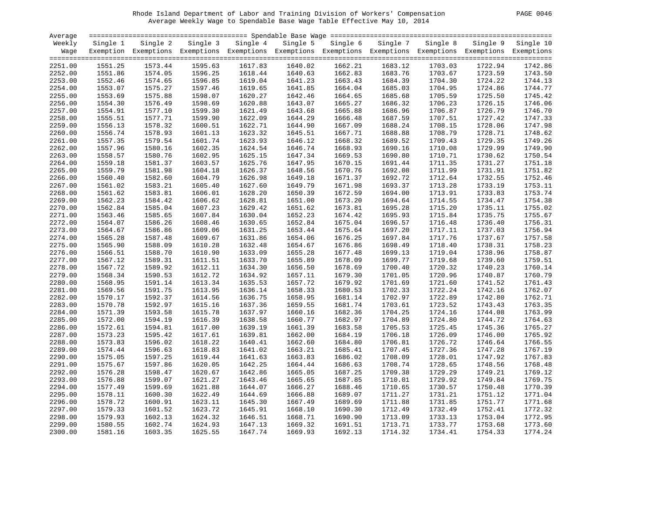# Rhode Island Department of Labor and Training Division of Workers' Compensation PAGE 0046 Average Weekly Wage to Spendable Base Wage Table Effective May 10, 2014

| PAGE.<br>0046 |  |  |
|---------------|--|--|
|---------------|--|--|

| Average |          |                                                                                                              |          |          |          |          |          |          |          |                    |
|---------|----------|--------------------------------------------------------------------------------------------------------------|----------|----------|----------|----------|----------|----------|----------|--------------------|
| Weekly  | Single 1 | Single 2                                                                                                     | Single 3 | Single 4 | Single 5 | Single 6 | Single 7 | Single 8 | Single 9 | Single 10          |
| Wage    |          | Exemption Exemptions Exemptions Exemptions Exemptions Exemptions Exemptions Exemptions Exemptions Exemptions |          |          |          |          |          |          |          |                    |
|         |          |                                                                                                              |          |          |          |          |          |          |          |                    |
| 2251.00 | 1551.25  | 1573.44                                                                                                      | 1595.63  | 1617.83  | 1640.02  | 1662.21  | 1683.12  | 1703.03  | 1722.94  | 1742.86            |
| 2252.00 | 1551.86  | 1574.05                                                                                                      | 1596.25  | 1618.44  | 1640.63  | 1662.83  | 1683.76  | 1703.67  | 1723.59  | 1743.50            |
| 2253.00 | 1552.46  | 1574.65                                                                                                      | 1596.85  | 1619.04  | 1641.23  | 1663.43  | 1684.39  | 1704.30  | 1724.22  | 1744.13            |
| 2254.00 | 1553.07  | 1575.27                                                                                                      | 1597.46  | 1619.65  | 1641.85  | 1664.04  | 1685.03  | 1704.95  | 1724.86  | 1744.77            |
| 2255.00 | 1553.69  | 1575.88                                                                                                      | 1598.07  | 1620.27  | 1642.46  | 1664.65  | 1685.68  | 1705.59  | 1725.50  | 1745.42            |
| 2256.00 | 1554.30  | 1576.49                                                                                                      | 1598.69  | 1620.88  | 1643.07  | 1665.27  | 1686.32  | 1706.23  | 1726.15  | 1746.06            |
| 2257.00 | 1554.91  | 1577.10                                                                                                      | 1599.30  | 1621.49  | 1643.68  | 1665.88  | 1686.96  | 1706.87  | 1726.79  | 1746.70            |
| 2258.00 | 1555.51  | 1577.71                                                                                                      | 1599.90  | 1622.09  | 1644.29  | 1666.48  | 1687.59  | 1707.51  | 1727.42  | 1747.33            |
| 2259.00 | 1556.13  | 1578.32                                                                                                      | 1600.51  | 1622.71  | 1644.90  | 1667.09  | 1688.24  | 1708.15  | 1728.06  | 1747.98            |
| 2260.00 | 1556.74  | 1578.93                                                                                                      | 1601.13  | 1623.32  | 1645.51  | 1667.71  | 1688.88  | 1708.79  | 1728.71  | 1748.62            |
| 2261.00 | 1557.35  | 1579.54                                                                                                      | 1601.74  | 1623.93  | 1646.12  | 1668.32  | 1689.52  | 1709.43  | 1729.35  | 1749.26            |
| 2262.00 | 1557.96  | 1580.16                                                                                                      | 1602.35  | 1624.54  | 1646.74  | 1668.93  | 1690.16  | 1710.08  | 1729.99  | 1749.90            |
| 2263.00 | 1558.57  | 1580.76                                                                                                      | 1602.95  | 1625.15  | 1647.34  | 1669.53  | 1690.80  | 1710.71  | 1730.62  | 1750.54            |
| 2264.00 | 1559.18  | 1581.37                                                                                                      | 1603.57  | 1625.76  | 1647.95  | 1670.15  | 1691.44  | 1711.35  | 1731.27  | 1751.18            |
| 2265.00 | 1559.79  | 1581.98                                                                                                      | 1604.18  | 1626.37  | 1648.56  | 1670.76  | 1692.08  | 1711.99  | 1731.91  | 1751.82            |
| 2266.00 | 1560.40  | 1582.60                                                                                                      | 1604.79  | 1626.98  | 1649.18  | 1671.37  | 1692.72  | 1712.64  | 1732.55  | 1752.46            |
| 2267.00 | 1561.02  | 1583.21                                                                                                      | 1605.40  | 1627.60  | 1649.79  | 1671.98  | 1693.37  | 1713.28  | 1733.19  | 1753.11            |
|         | 1561.62  | 1583.81                                                                                                      |          | 1628.20  | 1650.39  | 1672.59  | 1694.00  | 1713.91  | 1733.83  | 1753.74            |
| 2268.00 |          | 1584.42                                                                                                      | 1606.01  | 1628.81  |          |          |          | 1714.55  |          |                    |
| 2269.00 | 1562.23  |                                                                                                              | 1606.62  |          | 1651.00  | 1673.20  | 1694.64  |          | 1734.47  | 1754.38<br>1755.02 |
| 2270.00 | 1562.84  | 1585.04                                                                                                      | 1607.23  | 1629.42  | 1651.62  | 1673.81  | 1695.28  | 1715.20  | 1735.11  |                    |
| 2271.00 | 1563.46  | 1585.65                                                                                                      | 1607.84  | 1630.04  | 1652.23  | 1674.42  | 1695.93  | 1715.84  | 1735.75  | 1755.67            |
| 2272.00 | 1564.07  | 1586.26                                                                                                      | 1608.46  | 1630.65  | 1652.84  | 1675.04  | 1696.57  | 1716.48  | 1736.40  | 1756.31            |
| 2273.00 | 1564.67  | 1586.86                                                                                                      | 1609.06  | 1631.25  | 1653.44  | 1675.64  | 1697.20  | 1717.11  | 1737.03  | 1756.94            |
| 2274.00 | 1565.28  | 1587.48                                                                                                      | 1609.67  | 1631.86  | 1654.06  | 1676.25  | 1697.84  | 1717.76  | 1737.67  | 1757.58            |
| 2275.00 | 1565.90  | 1588.09                                                                                                      | 1610.28  | 1632.48  | 1654.67  | 1676.86  | 1698.49  | 1718.40  | 1738.31  | 1758.23            |
| 2276.00 | 1566.51  | 1588.70                                                                                                      | 1610.90  | 1633.09  | 1655.28  | 1677.48  | 1699.13  | 1719.04  | 1738.96  | 1758.87            |
| 2277.00 | 1567.12  | 1589.31                                                                                                      | 1611.51  | 1633.70  | 1655.89  | 1678.09  | 1699.77  | 1719.68  | 1739.60  | 1759.51            |
| 2278.00 | 1567.72  | 1589.92                                                                                                      | 1612.11  | 1634.30  | 1656.50  | 1678.69  | 1700.40  | 1720.32  | 1740.23  | 1760.14            |
| 2279.00 | 1568.34  | 1590.53                                                                                                      | 1612.72  | 1634.92  | 1657.11  | 1679.30  | 1701.05  | 1720.96  | 1740.87  | 1760.79            |
| 2280.00 | 1568.95  | 1591.14                                                                                                      | 1613.34  | 1635.53  | 1657.72  | 1679.92  | 1701.69  | 1721.60  | 1741.52  | 1761.43            |
| 2281.00 | 1569.56  | 1591.75                                                                                                      | 1613.95  | 1636.14  | 1658.33  | 1680.53  | 1702.33  | 1722.24  | 1742.16  | 1762.07            |
| 2282.00 | 1570.17  | 1592.37                                                                                                      | 1614.56  | 1636.75  | 1658.95  | 1681.14  | 1702.97  | 1722.89  | 1742.80  | 1762.71            |
| 2283.00 | 1570.78  | 1592.97                                                                                                      | 1615.16  | 1637.36  | 1659.55  | 1681.74  | 1703.61  | 1723.52  | 1743.43  | 1763.35            |
| 2284.00 | 1571.39  | 1593.58                                                                                                      | 1615.78  | 1637.97  | 1660.16  | 1682.36  | 1704.25  | 1724.16  | 1744.08  | 1763.99            |
| 2285.00 | 1572.00  | 1594.19                                                                                                      | 1616.39  | 1638.58  | 1660.77  | 1682.97  | 1704.89  | 1724.80  | 1744.72  | 1764.63            |
| 2286.00 | 1572.61  | 1594.81                                                                                                      | 1617.00  | 1639.19  | 1661.39  | 1683.58  | 1705.53  | 1725.45  | 1745.36  | 1765.27            |
| 2287.00 | 1573.23  | 1595.42                                                                                                      | 1617.61  | 1639.81  | 1662.00  | 1684.19  | 1706.18  | 1726.09  | 1746.00  | 1765.92            |
| 2288.00 | 1573.83  | 1596.02                                                                                                      | 1618.22  | 1640.41  | 1662.60  | 1684.80  | 1706.81  | 1726.72  | 1746.64  | 1766.55            |
| 2289.00 | 1574.44  | 1596.63                                                                                                      | 1618.83  | 1641.02  | 1663.21  | 1685.41  | 1707.45  | 1727.36  | 1747.28  | 1767.19            |
| 2290.00 | 1575.05  | 1597.25                                                                                                      | 1619.44  | 1641.63  | 1663.83  | 1686.02  | 1708.09  | 1728.01  | 1747.92  | 1767.83            |
| 2291.00 | 1575.67  | 1597.86                                                                                                      | 1620.05  | 1642.25  | 1664.44  | 1686.63  | 1708.74  | 1728.65  | 1748.56  | 1768.48            |
| 2292.00 | 1576.28  | 1598.47                                                                                                      | 1620.67  | 1642.86  | 1665.05  | 1687.25  | 1709.38  | 1729.29  | 1749.21  | 1769.12            |
| 2293.00 | 1576.88  | 1599.07                                                                                                      | 1621.27  | 1643.46  | 1665.65  | 1687.85  | 1710.01  | 1729.92  | 1749.84  | 1769.75            |
| 2294.00 | 1577.49  | 1599.69                                                                                                      | 1621.88  | 1644.07  | 1666.27  | 1688.46  | 1710.65  | 1730.57  | 1750.48  | 1770.39            |
| 2295.00 | 1578.11  | 1600.30                                                                                                      | 1622.49  | 1644.69  | 1666.88  | 1689.07  | 1711.27  | 1731.21  | 1751.12  | 1771.04            |
| 2296.00 | 1578.72  | 1600.91                                                                                                      | 1623.11  | 1645.30  | 1667.49  | 1689.69  | 1711.88  | 1731.85  | 1751.77  | 1771.68            |
| 2297.00 | 1579.33  | 1601.52                                                                                                      | 1623.72  | 1645.91  | 1668.10  | 1690.30  | 1712.49  | 1732.49  | 1752.41  | 1772.32            |
| 2298.00 | 1579.93  | 1602.13                                                                                                      | 1624.32  | 1646.51  | 1668.71  | 1690.90  | 1713.09  | 1733.13  | 1753.04  | 1772.95            |
| 2299.00 | 1580.55  | 1602.74                                                                                                      | 1624.93  | 1647.13  | 1669.32  | 1691.51  | 1713.71  | 1733.77  | 1753.68  | 1773.60            |
| 2300.00 | 1581.16  | 1603.35                                                                                                      | 1625.55  | 1647.74  | 1669.93  | 1692.13  | 1714.32  | 1734.41  | 1754.33  | 1774.24            |
|         |          |                                                                                                              |          |          |          |          |          |          |          |                    |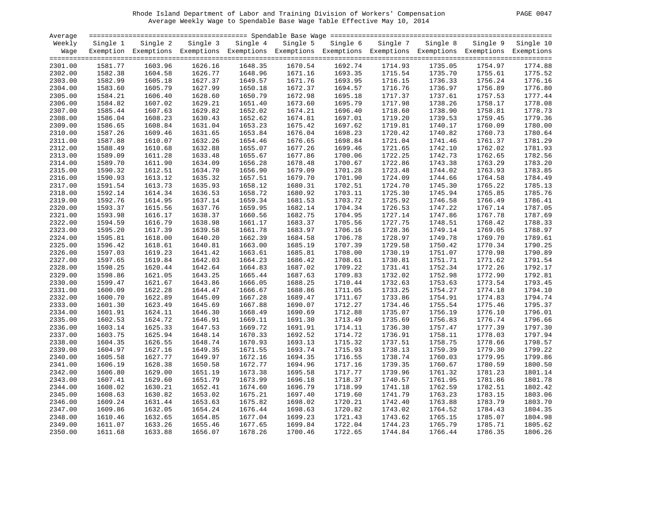# Rhode Island Department of Labor and Training Division of Workers' Compensation PAGE 0047 Average Weekly Wage to Spendable Base Wage Table Effective May 10, 2014

| PAGE | 0047 |
|------|------|
|      |      |

| Weekly<br>Single 4<br>Single 5<br>Single 6<br>Single 7<br>Single 1<br>Single 2<br>Single 3<br>Exemption Exemptions Exemptions Exemptions Exemptions Exemptions Exemptions Exemptions Exemptions Exemptions<br>Wage<br>1603.96<br>1626.16<br>1648.35<br>1670.54<br>1692.74<br>1714.93<br>2301.00<br>1581.77 | Single 8<br>Single 9<br>1735.05<br>1754.97<br>1735.70<br>1755.61<br>1736.33<br>1756.24 | Single 10<br>1774.88 |
|------------------------------------------------------------------------------------------------------------------------------------------------------------------------------------------------------------------------------------------------------------------------------------------------------------|----------------------------------------------------------------------------------------|----------------------|
|                                                                                                                                                                                                                                                                                                            |                                                                                        |                      |
|                                                                                                                                                                                                                                                                                                            |                                                                                        |                      |
|                                                                                                                                                                                                                                                                                                            |                                                                                        |                      |
|                                                                                                                                                                                                                                                                                                            |                                                                                        |                      |
| 1671.16<br>1693.35<br>2302.00<br>1582.38<br>1604.58<br>1626.77<br>1648.96<br>1715.54                                                                                                                                                                                                                       |                                                                                        | 1775.52              |
| 1671.76<br>1693.95<br>2303.00<br>1582.99<br>1605.18<br>1627.37<br>1649.57<br>1716.15                                                                                                                                                                                                                       |                                                                                        | 1776.16              |
| 2304.00<br>1583.60<br>1605.79<br>1627.99<br>1650.18<br>1672.37<br>1694.57<br>1716.76                                                                                                                                                                                                                       | 1736.97<br>1756.89                                                                     | 1776.80              |
| 1584.21<br>1606.40<br>1650.79<br>1672.98<br>1695.18<br>1717.37<br>2305.00<br>1628.60                                                                                                                                                                                                                       | 1757.53<br>1737.61                                                                     | 1777.44              |
| 1584.82<br>1607.02<br>1629.21<br>1651.40<br>1673.60<br>1695.79<br>1717.98<br>2306.00                                                                                                                                                                                                                       | 1738.26<br>1758.17                                                                     | 1778.08              |
| 1607.63<br>1696.40<br>1718.60<br>2307.00<br>1585.44<br>1629.82<br>1652.02<br>1674.21                                                                                                                                                                                                                       | 1738.90<br>1758.81                                                                     | 1778.73              |
| 2308.00<br>1586.04<br>1608.23<br>1630.43<br>1652.62<br>1674.81<br>1697.01<br>1719.20                                                                                                                                                                                                                       | 1739.53<br>1759.45                                                                     | 1779.36              |
| 1697.62<br>2309.00<br>1586.65<br>1608.84<br>1631.04<br>1653.23<br>1675.42<br>1719.81                                                                                                                                                                                                                       | 1740.17<br>1760.09                                                                     | 1780.00              |
| 1609.46<br>1653.84<br>1698.23<br>1720.42<br>2310.00<br>1587.26<br>1631.65<br>1676.04                                                                                                                                                                                                                       | 1740.82<br>1760.73                                                                     | 1780.64              |
| 2311.00<br>1587.88<br>1610.07<br>1632.26<br>1654.46<br>1676.65<br>1698.84<br>1721.04                                                                                                                                                                                                                       | 1741.46<br>1761.37                                                                     | 1781.29              |
| 1588.49<br>1610.68<br>1655.07<br>1677.26<br>1699.46<br>1721.65<br>2312.00<br>1632.88                                                                                                                                                                                                                       | 1742.10<br>1762.02                                                                     | 1781.93              |
| 1611.28<br>1722.25<br>2313.00<br>1589.09<br>1633.48<br>1655.67<br>1677.86<br>1700.06                                                                                                                                                                                                                       | 1742.73<br>1762.65                                                                     | 1782.56              |
| 1611.90<br>1722.86<br>2314.00<br>1589.70<br>1634.09<br>1656.28<br>1678.48<br>1700.67                                                                                                                                                                                                                       | 1743.38<br>1763.29                                                                     | 1783.20              |
| 1590.32<br>1612.51<br>1634.70<br>1656.90<br>1679.09<br>1701.28<br>1723.48<br>2315.00                                                                                                                                                                                                                       | 1744.02<br>1763.93                                                                     | 1783.85              |
| 1679.70<br>2316.00<br>1590.93<br>1613.12<br>1635.32<br>1657.51<br>1701.90<br>1724.09                                                                                                                                                                                                                       | 1744.66<br>1764.58                                                                     | 1784.49              |
| 1591.54<br>1613.73<br>1635.93<br>1658.12<br>1680.31<br>1702.51<br>1724.70<br>2317.00                                                                                                                                                                                                                       | 1745.30<br>1765.22                                                                     | 1785.13              |
| 1592.14<br>1614.34<br>1658.72<br>1680.92<br>1703.11<br>1725.30<br>2318.00<br>1636.53                                                                                                                                                                                                                       | 1745.94<br>1765.85                                                                     | 1785.76              |
| 1592.76<br>1614.95<br>1637.14<br>1659.34<br>1681.53<br>1703.72<br>1725.92                                                                                                                                                                                                                                  | 1746.58<br>1766.49                                                                     | 1786.41              |
| 2319.00<br>2320.00<br>1593.37<br>1615.56<br>1637.76<br>1659.95                                                                                                                                                                                                                                             | 1747.22                                                                                | 1787.05              |
| 1682.14<br>1704.34<br>1726.53                                                                                                                                                                                                                                                                              | 1767.14                                                                                |                      |
| 2321.00<br>1593.98<br>1616.17<br>1638.37<br>1660.56<br>1682.75<br>1704.95<br>1727.14                                                                                                                                                                                                                       | 1747.86<br>1767.78                                                                     | 1787.69              |
| 1594.59<br>1616.79<br>1638.98<br>1705.56<br>2322.00<br>1661.17<br>1683.37<br>1727.75                                                                                                                                                                                                                       | 1748.51<br>1768.42                                                                     | 1788.33              |
| 2323.00<br>1595.20<br>1617.39<br>1639.58<br>1661.78<br>1683.97<br>1706.16<br>1728.36                                                                                                                                                                                                                       | 1749.14<br>1769.05                                                                     | 1788.97              |
| 1618.00<br>1595.81<br>1640.20<br>1662.39<br>1684.58<br>1706.78<br>1728.97<br>2324.00                                                                                                                                                                                                                       | 1749.78<br>1769.70                                                                     | 1789.61              |
| 2325.00<br>1596.42<br>1618.61<br>1640.81<br>1663.00<br>1685.19<br>1707.39<br>1729.58                                                                                                                                                                                                                       | 1750.42<br>1770.34                                                                     | 1790.25              |
| 1597.03<br>1619.23<br>1685.81<br>1708.00<br>1730.19<br>2326.00<br>1641.42<br>1663.61                                                                                                                                                                                                                       | 1751.07<br>1770.98                                                                     | 1790.89              |
| 2327.00<br>1597.65<br>1619.84<br>1642.03<br>1664.23<br>1686.42<br>1708.61<br>1730.81                                                                                                                                                                                                                       | 1751.71<br>1771.62                                                                     | 1791.54              |
| 1598.25<br>1620.44<br>1687.02<br>1709.22<br>1731.41<br>2328.00<br>1642.64<br>1664.83                                                                                                                                                                                                                       | 1752.34<br>1772.26                                                                     | 1792.17              |
| 1598.86<br>1621.05<br>1665.44<br>1687.63<br>1732.02<br>2329.00<br>1643.25<br>1709.83                                                                                                                                                                                                                       | 1752.98<br>1772.90                                                                     | 1792.81              |
| 1621.67<br>1688.25<br>1732.63<br>2330.00<br>1599.47<br>1643.86<br>1666.05<br>1710.44                                                                                                                                                                                                                       | 1753.63<br>1773.54                                                                     | 1793.45              |
| 1600.09<br>1622.28<br>1644.47<br>1666.67<br>1688.86<br>1711.05<br>1733.25<br>2331.00                                                                                                                                                                                                                       | 1754.27<br>1774.18                                                                     | 1794.10              |
| 1600.70<br>1622.89<br>1667.28<br>1689.47<br>1711.67<br>1733.86<br>2332.00<br>1645.09                                                                                                                                                                                                                       | 1754.91<br>1774.83                                                                     | 1794.74              |
| 2333.00<br>1601.30<br>1623.49<br>1645.69<br>1667.88<br>1690.07<br>1712.27<br>1734.46                                                                                                                                                                                                                       | 1755.54<br>1775.46                                                                     | 1795.37              |
| 1601.91<br>1624.11<br>1646.30<br>1668.49<br>1690.69<br>1712.88<br>1735.07<br>2334.00                                                                                                                                                                                                                       | 1756.19<br>1776.10                                                                     | 1796.01              |
| 1602.53<br>1624.72<br>1669.11<br>1691.30<br>1713.49<br>1735.69<br>2335.00<br>1646.91                                                                                                                                                                                                                       | 1756.83<br>1776.74                                                                     | 1796.66              |
| 1625.33<br>1691.91<br>1736.30<br>2336.00<br>1603.14<br>1647.53<br>1669.72<br>1714.11                                                                                                                                                                                                                       | 1757.47<br>1777.39                                                                     | 1797.30              |
| 2337.00<br>1603.75<br>1625.94<br>1648.14<br>1670.33<br>1692.52<br>1714.72<br>1736.91                                                                                                                                                                                                                       | 1758.11<br>1778.03                                                                     | 1797.94              |
| 1604.35<br>1626.55<br>1670.93<br>2338.00<br>1648.74<br>1693.13<br>1715.32<br>1737.51                                                                                                                                                                                                                       | 1758.75<br>1778.66                                                                     | 1798.57              |
| 1627.16<br>1671.55<br>1693.74<br>1738.13<br>2339.00<br>1604.97<br>1649.35<br>1715.93                                                                                                                                                                                                                       | 1759.39<br>1779.30                                                                     | 1799.22              |
| 2340.00<br>1605.58<br>1627.77<br>1649.97<br>1672.16<br>1694.35<br>1716.55<br>1738.74                                                                                                                                                                                                                       | 1760.03<br>1779.95                                                                     | 1799.86              |
| 1606.19<br>1628.38<br>1694.96<br>1739.35<br>2341.00<br>1650.58<br>1672.77<br>1717.16                                                                                                                                                                                                                       | 1760.67<br>1780.59                                                                     | 1800.50              |
| 1717.77<br>1739.96<br>2342.00<br>1606.80<br>1629.00<br>1651.19<br>1673.38<br>1695.58                                                                                                                                                                                                                       | 1761.32<br>1781.23                                                                     | 1801.14              |
| 1629.60<br>1673.99<br>1718.37<br>1740.57<br>2343.00<br>1607.41<br>1651.79<br>1696.18                                                                                                                                                                                                                       | 1781.86<br>1761.95                                                                     | 1801.78              |
| 2344.00<br>1608.02<br>1630.21<br>1652.41<br>1674.60<br>1696.79<br>1718.99<br>1741.18                                                                                                                                                                                                                       | 1762.59<br>1782.51                                                                     | 1802.42              |
| 1608.63<br>1630.82<br>1653.02<br>1675.21<br>1697.40<br>1719.60<br>1741.79<br>2345.00                                                                                                                                                                                                                       | 1763.23<br>1783.15                                                                     | 1803.06              |
| 1631.44<br>2346.00<br>1609.24<br>1653.63<br>1675.82<br>1698.02<br>1720.21<br>1742.40                                                                                                                                                                                                                       | 1763.88<br>1783.79                                                                     | 1803.70              |
| 1609.86<br>1632.05<br>1654.24<br>1676.44<br>1720.82<br>1743.02<br>2347.00<br>1698.63                                                                                                                                                                                                                       | 1764.52<br>1784.43                                                                     | 1804.35              |
| 2348.00<br>1610.46<br>1632.65<br>1654.85<br>1677.04<br>1699.23<br>1721.43<br>1743.62                                                                                                                                                                                                                       | 1765.15<br>1785.07                                                                     | 1804.98              |
| 1633.26<br>1677.65<br>1699.84<br>1722.04<br>1744.23<br>2349.00<br>1611.07<br>1655.46                                                                                                                                                                                                                       | 1785.71<br>1765.79                                                                     | 1805.62              |
| 2350.00<br>1611.68<br>1633.88<br>1656.07<br>1678.26<br>1700.46<br>1722.65<br>1744.84                                                                                                                                                                                                                       | 1766.44<br>1786.35                                                                     | 1806.26              |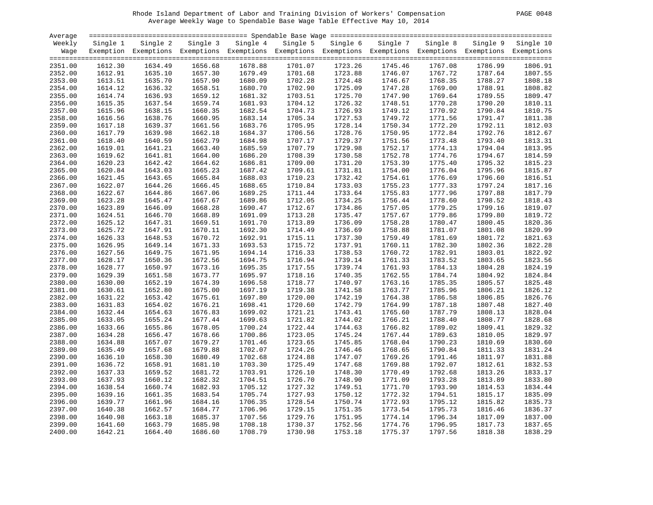# Rhode Island Department of Labor and Training Division of Workers' Compensation PAGE 0048 Average Weekly Wage to Spendable Base Wage Table Effective May 10, 2014

| PAGE.<br>0048 |  |  |
|---------------|--|--|
|---------------|--|--|

| Average            |                    |                                                                                                              |                    |                    |                    |                    |                    |                    |                    |           |
|--------------------|--------------------|--------------------------------------------------------------------------------------------------------------|--------------------|--------------------|--------------------|--------------------|--------------------|--------------------|--------------------|-----------|
| Weekly             | Single 1           | Single 2                                                                                                     | Single 3           | Single 4           | Single 5           | Single 6           | Single 7           | Single 8           | Single 9           | Single 10 |
| Wage               |                    | Exemption Exemptions Exemptions Exemptions Exemptions Exemptions Exemptions Exemptions Exemptions Exemptions |                    |                    |                    |                    |                    |                    |                    |           |
|                    |                    |                                                                                                              |                    |                    |                    |                    |                    |                    |                    |           |
| 2351.00            | 1612.30            | 1634.49                                                                                                      | 1656.68            | 1678.88            | 1701.07            | 1723.26            | 1745.46            | 1767.08            | 1786.99            | 1806.91   |
| 2352.00            | 1612.91            | 1635.10                                                                                                      | 1657.30            | 1679.49            | 1701.68            | 1723.88            | 1746.07            | 1767.72            | 1787.64            | 1807.55   |
| 2353.00            | 1613.51            | 1635.70                                                                                                      | 1657.90            | 1680.09            | 1702.28            | 1724.48            | 1746.67            | 1768.35            | 1788.27            | 1808.18   |
| 2354.00            | 1614.12            | 1636.32                                                                                                      | 1658.51            | 1680.70            | 1702.90            | 1725.09            | 1747.28            | 1769.00            | 1788.91            | 1808.82   |
| 2355.00            | 1614.74            | 1636.93                                                                                                      | 1659.12            | 1681.32            | 1703.51            | 1725.70            | 1747.90            | 1769.64            | 1789.55            | 1809.47   |
| 2356.00            | 1615.35            | 1637.54                                                                                                      | 1659.74            | 1681.93            | 1704.12            | 1726.32            | 1748.51            | 1770.28            | 1790.20            | 1810.11   |
| 2357.00            | 1615.96            | 1638.15                                                                                                      | 1660.35            | 1682.54            | 1704.73            | 1726.93            | 1749.12            | 1770.92            | 1790.84            | 1810.75   |
| 2358.00            | 1616.56            | 1638.76                                                                                                      | 1660.95            | 1683.14            | 1705.34            | 1727.53            | 1749.72            | 1771.56            | 1791.47            | 1811.38   |
| 2359.00            | 1617.18            | 1639.37                                                                                                      | 1661.56            | 1683.76            | 1705.95            | 1728.14            | 1750.34            | 1772.20            | 1792.11            | 1812.03   |
| 2360.00            | 1617.79            | 1639.98                                                                                                      | 1662.18            | 1684.37            | 1706.56            | 1728.76            | 1750.95            | 1772.84            | 1792.76            | 1812.67   |
| 2361.00            | 1618.40            | 1640.59                                                                                                      | 1662.79            | 1684.98            | 1707.17            | 1729.37            | 1751.56            | 1773.48            | 1793.40            | 1813.31   |
| 2362.00            | 1619.01            | 1641.21                                                                                                      | 1663.40            | 1685.59            | 1707.79            | 1729.98            | 1752.17            | 1774.13            | 1794.04            | 1813.95   |
| 2363.00            | 1619.62            | 1641.81                                                                                                      | 1664.00            | 1686.20            | 1708.39            | 1730.58            | 1752.78            | 1774.76            | 1794.67            | 1814.59   |
| 2364.00            | 1620.23            | 1642.42                                                                                                      | 1664.62            | 1686.81            | 1709.00            | 1731.20            | 1753.39            | 1775.40            | 1795.32            | 1815.23   |
| 2365.00            | 1620.84            | 1643.03                                                                                                      | 1665.23            | 1687.42            | 1709.61            | 1731.81            | 1754.00            | 1776.04            | 1795.96            | 1815.87   |
| 2366.00            | 1621.45            | 1643.65                                                                                                      | 1665.84            | 1688.03            | 1710.23            | 1732.42            | 1754.61            | 1776.69            | 1796.60            | 1816.51   |
| 2367.00            | 1622.07            | 1644.26                                                                                                      | 1666.45            | 1688.65            | 1710.84            | 1733.03            | 1755.23            | 1777.33            | 1797.24            | 1817.16   |
| 2368.00            | 1622.67            | 1644.86                                                                                                      | 1667.06            | 1689.25            | 1711.44            | 1733.64            | 1755.83            | 1777.96            | 1797.88            | 1817.79   |
| 2369.00            | 1623.28            | 1645.47                                                                                                      | 1667.67            | 1689.86            | 1712.05            | 1734.25            | 1756.44            | 1778.60            | 1798.52            | 1818.43   |
| 2370.00            | 1623.89            | 1646.09                                                                                                      | 1668.28            | 1690.47            | 1712.67            | 1734.86            | 1757.05            | 1779.25            | 1799.16            | 1819.07   |
| 2371.00            | 1624.51            | 1646.70                                                                                                      | 1668.89            | 1691.09            | 1713.28            | 1735.47            | 1757.67            | 1779.86            | 1799.80            | 1819.72   |
| 2372.00            | 1625.12            | 1647.31                                                                                                      | 1669.51            | 1691.70            | 1713.89            | 1736.09            | 1758.28            | 1780.47            | 1800.45            | 1820.36   |
| 2373.00            | 1625.72            | 1647.91                                                                                                      | 1670.11            | 1692.30            | 1714.49            | 1736.69            | 1758.88            | 1781.07            | 1801.08            | 1820.99   |
| 2374.00            | 1626.33            | 1648.53                                                                                                      | 1670.72            | 1692.91            | 1715.11            | 1737.30            | 1759.49            | 1781.69            | 1801.72            | 1821.63   |
| 2375.00            | 1626.95            | 1649.14                                                                                                      | 1671.33            | 1693.53            | 1715.72            | 1737.91            | 1760.11            | 1782.30            | 1802.36            | 1822.28   |
| 2376.00            | 1627.56            | 1649.75                                                                                                      | 1671.95            | 1694.14            | 1716.33            | 1738.53            | 1760.72            | 1782.91            | 1803.01            | 1822.92   |
|                    |                    |                                                                                                              |                    |                    |                    |                    |                    |                    |                    | 1823.56   |
| 2377.00            | 1628.17            | 1650.36<br>1650.97                                                                                           | 1672.56            | 1694.75<br>1695.35 | 1716.94<br>1717.55 | 1739.14<br>1739.74 | 1761.33<br>1761.93 | 1783.52            | 1803.65<br>1804.28 | 1824.19   |
| 2378.00<br>2379.00 | 1628.77<br>1629.39 | 1651.58                                                                                                      | 1673.16<br>1673.77 | 1695.97            | 1718.16            | 1740.35            | 1762.55            | 1784.13<br>1784.74 | 1804.92            | 1824.84   |
| 2380.00            | 1630.00            | 1652.19                                                                                                      | 1674.39            | 1696.58            | 1718.77            | 1740.97            | 1763.16            | 1785.35            | 1805.57            | 1825.48   |
|                    | 1630.61            | 1652.80                                                                                                      |                    | 1697.19            |                    | 1741.58            | 1763.77            |                    |                    | 1826.12   |
| 2381.00            |                    |                                                                                                              | 1675.00            |                    | 1719.38            |                    |                    | 1785.96            | 1806.21            |           |
| 2382.00            | 1631.22            | 1653.42                                                                                                      | 1675.61            | 1697.80            | 1720.00            | 1742.19            | 1764.38            | 1786.58            | 1806.85            | 1826.76   |
| 2383.00            | 1631.83            | 1654.02                                                                                                      | 1676.21            | 1698.41            | 1720.60            | 1742.79            | 1764.99            | 1787.18            | 1807.48            | 1827.40   |
| 2384.00            | 1632.44            | 1654.63                                                                                                      | 1676.83            | 1699.02            | 1721.21            | 1743.41            | 1765.60            | 1787.79            | 1808.13            | 1828.04   |
| 2385.00            | 1633.05            | 1655.24                                                                                                      | 1677.44            | 1699.63            | 1721.82            | 1744.02            | 1766.21            | 1788.40            | 1808.77            | 1828.68   |
| 2386.00            | 1633.66            | 1655.86                                                                                                      | 1678.05            | 1700.24            | 1722.44            | 1744.63            | 1766.82            | 1789.02            | 1809.41            | 1829.32   |
| 2387.00            | 1634.28            | 1656.47                                                                                                      | 1678.66            | 1700.86            | 1723.05            | 1745.24            | 1767.44            | 1789.63            | 1810.05            | 1829.97   |
| 2388.00            | 1634.88            | 1657.07                                                                                                      | 1679.27            | 1701.46            | 1723.65            | 1745.85            | 1768.04            | 1790.23            | 1810.69            | 1830.60   |
| 2389.00            | 1635.49            | 1657.68                                                                                                      | 1679.88            | 1702.07            | 1724.26            | 1746.46            | 1768.65            | 1790.84            | 1811.33            | 1831.24   |
| 2390.00            | 1636.10            | 1658.30                                                                                                      | 1680.49            | 1702.68            | 1724.88            | 1747.07            | 1769.26            | 1791.46            | 1811.97            | 1831.88   |
| 2391.00            | 1636.72            | 1658.91                                                                                                      | 1681.10            | 1703.30            | 1725.49            | 1747.68            | 1769.88            | 1792.07            | 1812.61            | 1832.53   |
| 2392.00            | 1637.33            | 1659.52                                                                                                      | 1681.72            | 1703.91            | 1726.10            | 1748.30            | 1770.49            | 1792.68            | 1813.26            | 1833.17   |
| 2393.00            | 1637.93            | 1660.12                                                                                                      | 1682.32            | 1704.51            | 1726.70            | 1748.90            | 1771.09            | 1793.28            | 1813.89            | 1833.80   |
| 2394.00            | 1638.54            | 1660.74                                                                                                      | 1682.93            | 1705.12            | 1727.32            | 1749.51            | 1771.70            | 1793.90            | 1814.53            | 1834.44   |
| 2395.00            | 1639.16            | 1661.35                                                                                                      | 1683.54            | 1705.74            | 1727.93            | 1750.12            | 1772.32            | 1794.51            | 1815.17            | 1835.09   |
| 2396.00            | 1639.77            | 1661.96                                                                                                      | 1684.16            | 1706.35            | 1728.54            | 1750.74            | 1772.93            | 1795.12            | 1815.82            | 1835.73   |
| 2397.00            | 1640.38            | 1662.57                                                                                                      | 1684.77            | 1706.96            | 1729.15            | 1751.35            | 1773.54            | 1795.73            | 1816.46            | 1836.37   |
| 2398.00            | 1640.98            | 1663.18                                                                                                      | 1685.37            | 1707.56            | 1729.76            | 1751.95            | 1774.14            | 1796.34            | 1817.09            | 1837.00   |
| 2399.00            | 1641.60            | 1663.79                                                                                                      | 1685.98            | 1708.18            | 1730.37            | 1752.56            | 1774.76            | 1796.95            | 1817.73            | 1837.65   |
| 2400.00            | 1642.21            | 1664.40                                                                                                      | 1686.60            | 1708.79            | 1730.98            | 1753.18            | 1775.37            | 1797.56            | 1818.38            | 1838.29   |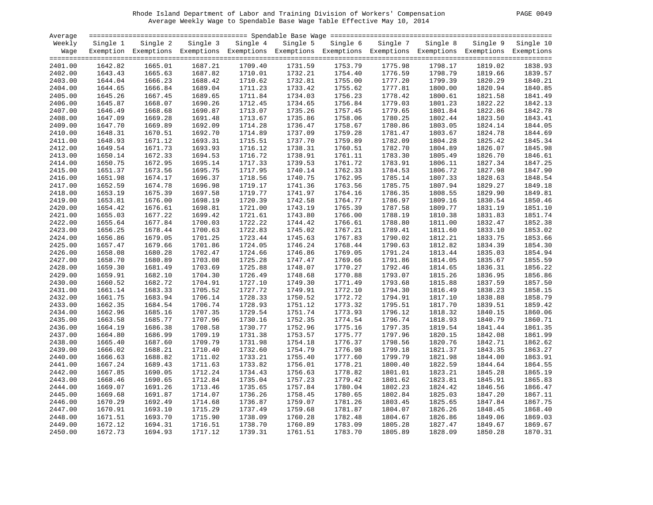# Rhode Island Department of Labor and Training Division of Workers' Compensation PAGE 0049 Average Weekly Wage to Spendable Base Wage Table Effective May 10, 2014

| Average |          |                                                                                                              |          |          |          |          |          |          |          |           |
|---------|----------|--------------------------------------------------------------------------------------------------------------|----------|----------|----------|----------|----------|----------|----------|-----------|
| Weekly  | Single 1 | Single 2                                                                                                     | Single 3 | Single 4 | Single 5 | Single 6 | Single 7 | Single 8 | Single 9 | Single 10 |
| Wage    |          | Exemption Exemptions Exemptions Exemptions Exemptions Exemptions Exemptions Exemptions Exemptions Exemptions |          |          |          |          |          |          |          |           |
|         |          |                                                                                                              |          |          |          |          |          |          |          |           |
| 2401.00 | 1642.82  | 1665.01                                                                                                      | 1687.21  | 1709.40  | 1731.59  | 1753.79  | 1775.98  | 1798.17  | 1819.02  | 1838.93   |
| 2402.00 | 1643.43  | 1665.63                                                                                                      | 1687.82  | 1710.01  | 1732.21  | 1754.40  | 1776.59  | 1798.79  | 1819.66  | 1839.57   |
| 2403.00 | 1644.04  | 1666.23                                                                                                      | 1688.42  | 1710.62  | 1732.81  | 1755.00  | 1777.20  | 1799.39  | 1820.29  | 1840.21   |
| 2404.00 | 1644.65  | 1666.84                                                                                                      | 1689.04  | 1711.23  | 1733.42  | 1755.62  | 1777.81  | 1800.00  | 1820.94  | 1840.85   |
| 2405.00 | 1645.26  | 1667.45                                                                                                      | 1689.65  | 1711.84  | 1734.03  | 1756.23  | 1778.42  | 1800.61  | 1821.58  | 1841.49   |
| 2406.00 | 1645.87  | 1668.07                                                                                                      | 1690.26  | 1712.45  | 1734.65  | 1756.84  | 1779.03  | 1801.23  | 1822.22  | 1842.13   |
| 2407.00 | 1646.49  | 1668.68                                                                                                      | 1690.87  | 1713.07  | 1735.26  | 1757.45  | 1779.65  | 1801.84  | 1822.86  | 1842.78   |
| 2408.00 | 1647.09  | 1669.28                                                                                                      | 1691.48  | 1713.67  | 1735.86  | 1758.06  | 1780.25  | 1802.44  | 1823.50  | 1843.41   |
| 2409.00 | 1647.70  | 1669.89                                                                                                      | 1692.09  | 1714.28  | 1736.47  | 1758.67  | 1780.86  | 1803.05  | 1824.14  | 1844.05   |
| 2410.00 | 1648.31  | 1670.51                                                                                                      | 1692.70  | 1714.89  | 1737.09  | 1759.28  | 1781.47  | 1803.67  | 1824.78  | 1844.69   |
| 2411.00 | 1648.93  | 1671.12                                                                                                      | 1693.31  | 1715.51  | 1737.70  | 1759.89  | 1782.09  | 1804.28  | 1825.42  | 1845.34   |
| 2412.00 | 1649.54  | 1671.73                                                                                                      | 1693.93  | 1716.12  | 1738.31  | 1760.51  | 1782.70  | 1804.89  | 1826.07  | 1845.98   |
| 2413.00 | 1650.14  | 1672.33                                                                                                      | 1694.53  | 1716.72  | 1738.91  | 1761.11  | 1783.30  | 1805.49  | 1826.70  | 1846.61   |
| 2414.00 | 1650.75  | 1672.95                                                                                                      | 1695.14  | 1717.33  | 1739.53  | 1761.72  | 1783.91  | 1806.11  | 1827.34  | 1847.25   |
| 2415.00 | 1651.37  | 1673.56                                                                                                      | 1695.75  | 1717.95  | 1740.14  | 1762.33  | 1784.53  | 1806.72  | 1827.98  | 1847.90   |
| 2416.00 | 1651.98  | 1674.17                                                                                                      | 1696.37  | 1718.56  | 1740.75  | 1762.95  | 1785.14  | 1807.33  | 1828.63  | 1848.54   |
| 2417.00 | 1652.59  | 1674.78                                                                                                      | 1696.98  | 1719.17  | 1741.36  | 1763.56  | 1785.75  | 1807.94  | 1829.27  | 1849.18   |
| 2418.00 | 1653.19  | 1675.39                                                                                                      | 1697.58  | 1719.77  | 1741.97  | 1764.16  | 1786.35  | 1808.55  | 1829.90  | 1849.81   |
| 2419.00 | 1653.81  |                                                                                                              | 1698.19  | 1720.39  | 1742.58  | 1764.77  | 1786.97  | 1809.16  |          | 1850.46   |
|         |          | 1676.00                                                                                                      |          | 1721.00  |          |          |          |          | 1830.54  | 1851.10   |
| 2420.00 | 1654.42  | 1676.61                                                                                                      | 1698.81  |          | 1743.19  | 1765.39  | 1787.58  | 1809.77  | 1831.19  |           |
| 2421.00 | 1655.03  | 1677.22                                                                                                      | 1699.42  | 1721.61  | 1743.80  | 1766.00  | 1788.19  | 1810.38  | 1831.83  | 1851.74   |
| 2422.00 | 1655.64  | 1677.84                                                                                                      | 1700.03  | 1722.22  | 1744.42  | 1766.61  | 1788.80  | 1811.00  | 1832.47  | 1852.38   |
| 2423.00 | 1656.25  | 1678.44                                                                                                      | 1700.63  | 1722.83  | 1745.02  | 1767.21  | 1789.41  | 1811.60  | 1833.10  | 1853.02   |
| 2424.00 | 1656.86  | 1679.05                                                                                                      | 1701.25  | 1723.44  | 1745.63  | 1767.83  | 1790.02  | 1812.21  | 1833.75  | 1853.66   |
| 2425.00 | 1657.47  | 1679.66                                                                                                      | 1701.86  | 1724.05  | 1746.24  | 1768.44  | 1790.63  | 1812.82  | 1834.39  | 1854.30   |
| 2426.00 | 1658.08  | 1680.28                                                                                                      | 1702.47  | 1724.66  | 1746.86  | 1769.05  | 1791.24  | 1813.44  | 1835.03  | 1854.94   |
| 2427.00 | 1658.70  | 1680.89                                                                                                      | 1703.08  | 1725.28  | 1747.47  | 1769.66  | 1791.86  | 1814.05  | 1835.67  | 1855.59   |
| 2428.00 | 1659.30  | 1681.49                                                                                                      | 1703.69  | 1725.88  | 1748.07  | 1770.27  | 1792.46  | 1814.65  | 1836.31  | 1856.22   |
| 2429.00 | 1659.91  | 1682.10                                                                                                      | 1704.30  | 1726.49  | 1748.68  | 1770.88  | 1793.07  | 1815.26  | 1836.95  | 1856.86   |
| 2430.00 | 1660.52  | 1682.72                                                                                                      | 1704.91  | 1727.10  | 1749.30  | 1771.49  | 1793.68  | 1815.88  | 1837.59  | 1857.50   |
| 2431.00 | 1661.14  | 1683.33                                                                                                      | 1705.52  | 1727.72  | 1749.91  | 1772.10  | 1794.30  | 1816.49  | 1838.23  | 1858.15   |
| 2432.00 | 1661.75  | 1683.94                                                                                                      | 1706.14  | 1728.33  | 1750.52  | 1772.72  | 1794.91  | 1817.10  | 1838.88  | 1858.79   |
| 2433.00 | 1662.35  | 1684.54                                                                                                      | 1706.74  | 1728.93  | 1751.12  | 1773.32  | 1795.51  | 1817.70  | 1839.51  | 1859.42   |
| 2434.00 | 1662.96  | 1685.16                                                                                                      | 1707.35  | 1729.54  | 1751.74  | 1773.93  | 1796.12  | 1818.32  | 1840.15  | 1860.06   |
| 2435.00 | 1663.58  | 1685.77                                                                                                      | 1707.96  | 1730.16  | 1752.35  | 1774.54  | 1796.74  | 1818.93  | 1840.79  | 1860.71   |
| 2436.00 | 1664.19  | 1686.38                                                                                                      | 1708.58  | 1730.77  | 1752.96  | 1775.16  | 1797.35  | 1819.54  | 1841.44  | 1861.35   |
| 2437.00 | 1664.80  | 1686.99                                                                                                      | 1709.19  | 1731.38  | 1753.57  | 1775.77  | 1797.96  | 1820.15  | 1842.08  | 1861.99   |
| 2438.00 | 1665.40  | 1687.60                                                                                                      | 1709.79  | 1731.98  | 1754.18  | 1776.37  | 1798.56  | 1820.76  | 1842.71  | 1862.62   |
| 2439.00 | 1666.02  | 1688.21                                                                                                      | 1710.40  | 1732.60  | 1754.79  | 1776.98  | 1799.18  | 1821.37  | 1843.35  | 1863.27   |
| 2440.00 | 1666.63  | 1688.82                                                                                                      | 1711.02  | 1733.21  | 1755.40  | 1777.60  | 1799.79  | 1821.98  | 1844.00  | 1863.91   |
| 2441.00 | 1667.24  | 1689.43                                                                                                      | 1711.63  | 1733.82  | 1756.01  | 1778.21  | 1800.40  | 1822.59  | 1844.64  | 1864.55   |
| 2442.00 | 1667.85  | 1690.05                                                                                                      | 1712.24  | 1734.43  | 1756.63  | 1778.82  | 1801.01  | 1823.21  | 1845.28  | 1865.19   |
| 2443.00 | 1668.46  | 1690.65                                                                                                      | 1712.84  | 1735.04  | 1757.23  | 1779.42  | 1801.62  | 1823.81  | 1845.91  | 1865.83   |
| 2444.00 | 1669.07  | 1691.26                                                                                                      | 1713.46  | 1735.65  | 1757.84  | 1780.04  | 1802.23  | 1824.42  | 1846.56  | 1866.47   |
| 2445.00 | 1669.68  | 1691.87                                                                                                      | 1714.07  | 1736.26  | 1758.45  | 1780.65  | 1802.84  | 1825.03  | 1847.20  | 1867.11   |
| 2446.00 | 1670.29  | 1692.49                                                                                                      | 1714.68  | 1736.87  | 1759.07  | 1781.26  | 1803.45  | 1825.65  | 1847.84  | 1867.75   |
| 2447.00 | 1670.91  | 1693.10                                                                                                      | 1715.29  | 1737.49  | 1759.68  | 1781.87  | 1804.07  | 1826.26  | 1848.45  | 1868.40   |
| 2448.00 | 1671.51  | 1693.70                                                                                                      | 1715.90  | 1738.09  | 1760.28  | 1782.48  | 1804.67  | 1826.86  | 1849.06  | 1869.03   |
| 2449.00 | 1672.12  | 1694.31                                                                                                      | 1716.51  | 1738.70  | 1760.89  | 1783.09  | 1805.28  | 1827.47  | 1849.67  | 1869.67   |
| 2450.00 | 1672.73  | 1694.93                                                                                                      | 1717.12  | 1739.31  | 1761.51  | 1783.70  | 1805.89  | 1828.09  | 1850.28  | 1870.31   |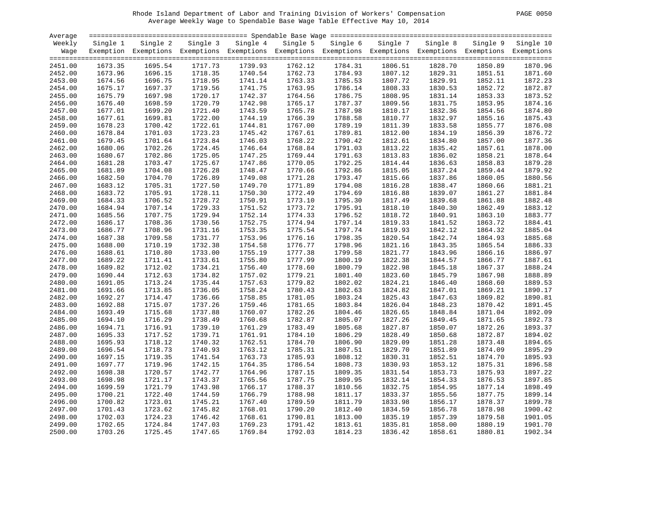# Rhode Island Department of Labor and Training Division of Workers' Compensation PAGE 0050 Average Weekly Wage to Spendable Base Wage Table Effective May 10, 2014

| PAGE. | 0050 |
|-------|------|
|       |      |

| Average            |                    |                                                                                                              |                    |                    |                    |                    |                    |                    |                    |                    |
|--------------------|--------------------|--------------------------------------------------------------------------------------------------------------|--------------------|--------------------|--------------------|--------------------|--------------------|--------------------|--------------------|--------------------|
| Weekly             | Single 1           | Single 2                                                                                                     | Single 3           | Single 4           | Single 5           | Single 6           | Single 7           | Single 8           | Single 9           | Single 10          |
| Wage               |                    | Exemption Exemptions Exemptions Exemptions Exemptions Exemptions Exemptions Exemptions Exemptions Exemptions |                    |                    |                    |                    |                    |                    |                    |                    |
|                    |                    |                                                                                                              |                    |                    |                    |                    |                    |                    |                    |                    |
| 2451.00            | 1673.35            | 1695.54                                                                                                      | 1717.73            | 1739.93            | 1762.12            | 1784.31            | 1806.51            | 1828.70            | 1850.89            | 1870.96            |
| 2452.00            | 1673.96            | 1696.15                                                                                                      | 1718.35            | 1740.54            | 1762.73            | 1784.93            | 1807.12            | 1829.31            | 1851.51            | 1871.60            |
| 2453.00            | 1674.56            | 1696.75                                                                                                      | 1718.95            | 1741.14            | 1763.33            | 1785.53            | 1807.72            | 1829.91            | 1852.11            | 1872.23            |
| 2454.00            | 1675.17            | 1697.37                                                                                                      | 1719.56            | 1741.75            | 1763.95            | 1786.14            | 1808.33            | 1830.53            | 1852.72            | 1872.87            |
| 2455.00            | 1675.79            | 1697.98                                                                                                      | 1720.17            | 1742.37            | 1764.56            | 1786.75            | 1808.95            | 1831.14            | 1853.33            | 1873.52            |
| 2456.00            | 1676.40            | 1698.59                                                                                                      | 1720.79            | 1742.98            | 1765.17            | 1787.37            | 1809.56            | 1831.75            | 1853.95            | 1874.16            |
| 2457.00            | 1677.01            | 1699.20                                                                                                      | 1721.40            | 1743.59            | 1765.78            | 1787.98            | 1810.17            | 1832.36            | 1854.56            | 1874.80            |
| 2458.00            | 1677.61            | 1699.81                                                                                                      | 1722.00            | 1744.19            | 1766.39            | 1788.58            | 1810.77            | 1832.97            | 1855.16            | 1875.43            |
| 2459.00            | 1678.23            | 1700.42                                                                                                      | 1722.61            | 1744.81            | 1767.00            | 1789.19            | 1811.39            | 1833.58            | 1855.77            | 1876.08            |
| 2460.00            | 1678.84            | 1701.03                                                                                                      | 1723.23            | 1745.42            | 1767.61            | 1789.81            | 1812.00            | 1834.19            | 1856.39            | 1876.72            |
| 2461.00            | 1679.45            | 1701.64                                                                                                      | 1723.84            | 1746.03            | 1768.22            | 1790.42            | 1812.61            | 1834.80            | 1857.00            | 1877.36            |
| 2462.00            | 1680.06            | 1702.26                                                                                                      | 1724.45            | 1746.64            | 1768.84            | 1791.03            | 1813.22            | 1835.42            | 1857.61            | 1878.00            |
| 2463.00            | 1680.67            | 1702.86                                                                                                      | 1725.05            | 1747.25            | 1769.44            | 1791.63            | 1813.83            | 1836.02            | 1858.21            | 1878.64            |
| 2464.00            | 1681.28            | 1703.47                                                                                                      | 1725.67            | 1747.86            | 1770.05            | 1792.25            | 1814.44            | 1836.63            | 1858.83            | 1879.28            |
| 2465.00            | 1681.89            | 1704.08                                                                                                      | 1726.28            | 1748.47            | 1770.66            | 1792.86            | 1815.05            | 1837.24            | 1859.44            | 1879.92            |
| 2466.00            | 1682.50            | 1704.70                                                                                                      | 1726.89            | 1749.08            | 1771.28            | 1793.47            | 1815.66            | 1837.86            | 1860.05            | 1880.56            |
| 2467.00            | 1683.12            | 1705.31                                                                                                      | 1727.50            | 1749.70            | 1771.89            | 1794.08            | 1816.28            | 1838.47            | 1860.66            | 1881.21            |
| 2468.00            | 1683.72            | 1705.91                                                                                                      | 1728.11            | 1750.30            | 1772.49            | 1794.69            | 1816.88            | 1839.07            | 1861.27            | 1881.84            |
| 2469.00            | 1684.33            | 1706.52                                                                                                      | 1728.72            | 1750.91            | 1773.10            | 1795.30            | 1817.49            | 1839.68            | 1861.88            | 1882.48            |
| 2470.00            | 1684.94            | 1707.14                                                                                                      | 1729.33            | 1751.52            | 1773.72            | 1795.91            | 1818.10            | 1840.30            | 1862.49            | 1883.12            |
| 2471.00            | 1685.56            | 1707.75                                                                                                      | 1729.94            | 1752.14            | 1774.33            | 1796.52            | 1818.72            | 1840.91            | 1863.10            | 1883.77            |
| 2472.00            | 1686.17            | 1708.36                                                                                                      | 1730.56            | 1752.75            | 1774.94            | 1797.14            | 1819.33            | 1841.52            | 1863.72            | 1884.41            |
| 2473.00            | 1686.77            | 1708.96                                                                                                      | 1731.16            | 1753.35            | 1775.54            | 1797.74            | 1819.93            | 1842.12            | 1864.32            | 1885.04            |
| 2474.00            | 1687.38            | 1709.58                                                                                                      | 1731.77            | 1753.96            | 1776.16            | 1798.35            | 1820.54            | 1842.74            | 1864.93            | 1885.68            |
| 2475.00            | 1688.00            | 1710.19                                                                                                      | 1732.38            | 1754.58            | 1776.77            | 1798.96            | 1821.16            | 1843.35            | 1865.54            | 1886.33            |
| 2476.00            | 1688.61            | 1710.80                                                                                                      | 1733.00            | 1755.19            | 1777.38            | 1799.58            | 1821.77            | 1843.96            | 1866.16            | 1886.97            |
| 2477.00            | 1689.22            | 1711.41                                                                                                      | 1733.61            | 1755.80            | 1777.99            | 1800.19            | 1822.38            | 1844.57            | 1866.77            | 1887.61            |
| 2478.00            | 1689.82            | 1712.02                                                                                                      | 1734.21            | 1756.40            | 1778.60            | 1800.79            | 1822.98            | 1845.18            | 1867.37            | 1888.24            |
| 2479.00            | 1690.44            | 1712.63                                                                                                      | 1734.82            | 1757.02            | 1779.21            | 1801.40            | 1823.60            | 1845.79            | 1867.98            | 1888.89            |
| 2480.00            | 1691.05            | 1713.24                                                                                                      | 1735.44            | 1757.63            | 1779.82            | 1802.02            | 1824.21            | 1846.40            | 1868.60            | 1889.53            |
| 2481.00            | 1691.66            | 1713.85                                                                                                      | 1736.05            | 1758.24            | 1780.43            | 1802.63            | 1824.82            | 1847.01            | 1869.21            | 1890.17            |
| 2482.00            | 1692.27            | 1714.47                                                                                                      | 1736.66            | 1758.85            | 1781.05            | 1803.24            | 1825.43            | 1847.63            | 1869.82            | 1890.81            |
| 2483.00            | 1692.88            | 1715.07                                                                                                      | 1737.26            | 1759.46            | 1781.65            | 1803.84            | 1826.04            | 1848.23            | 1870.42            | 1891.45            |
| 2484.00            | 1693.49            | 1715.68                                                                                                      | 1737.88            | 1760.07            | 1782.26            | 1804.46            | 1826.65            | 1848.84            | 1871.04            | 1892.09            |
| 2485.00            | 1694.10            | 1716.29                                                                                                      | 1738.49            | 1760.68            | 1782.87            | 1805.07            | 1827.26            | 1849.45            | 1871.65            | 1892.73            |
| 2486.00            | 1694.71            | 1716.91                                                                                                      | 1739.10            | 1761.29            | 1783.49            | 1805.68            | 1827.87            | 1850.07            | 1872.26            | 1893.37            |
| 2487.00            | 1695.33            | 1717.52                                                                                                      | 1739.71            | 1761.91            | 1784.10            | 1806.29            | 1828.49            | 1850.68            | 1872.87            | 1894.02            |
| 2488.00            | 1695.93            | 1718.12                                                                                                      | 1740.32            | 1762.51            | 1784.70            | 1806.90            | 1829.09            | 1851.28            | 1873.48            | 1894.65            |
| 2489.00            | 1696.54            | 1718.73                                                                                                      | 1740.93            | 1763.12            | 1785.31            | 1807.51            | 1829.70            | 1851.89            | 1874.09            | 1895.29            |
| 2490.00            | 1697.15            | 1719.35                                                                                                      | 1741.54            | 1763.73            | 1785.93            | 1808.12            | 1830.31            | 1852.51            | 1874.70            | 1895.93            |
|                    |                    |                                                                                                              |                    |                    |                    |                    |                    |                    |                    | 1896.58            |
| 2491.00<br>2492.00 | 1697.77<br>1698.38 | 1719.96<br>1720.57                                                                                           | 1742.15<br>1742.77 | 1764.35<br>1764.96 | 1786.54<br>1787.15 | 1808.73<br>1809.35 | 1830.93<br>1831.54 | 1853.12<br>1853.73 | 1875.31<br>1875.93 | 1897.22            |
|                    |                    |                                                                                                              |                    |                    |                    |                    |                    |                    |                    |                    |
| 2493.00            | 1698.98            | 1721.17                                                                                                      | 1743.37            | 1765.56            | 1787.75            | 1809.95            | 1832.14            | 1854.33            | 1876.53            | 1897.85<br>1898.49 |
| 2494.00            | 1699.59            | 1721.79                                                                                                      | 1743.98            | 1766.17            | 1788.37            | 1810.56            | 1832.75            | 1854.95            | 1877.14<br>1877.75 |                    |
| 2495.00            | 1700.21            | 1722.40                                                                                                      | 1744.59            | 1766.79            | 1788.98            | 1811.17            | 1833.37            | 1855.56            |                    | 1899.14            |
| 2496.00            | 1700.82            | 1723.01                                                                                                      | 1745.21            | 1767.40            | 1789.59            | 1811.79            | 1833.98            | 1856.17            | 1878.37            | 1899.78            |
| 2497.00            | 1701.43            | 1723.62                                                                                                      | 1745.82            | 1768.01            | 1790.20            | 1812.40            | 1834.59            | 1856.78            | 1878.98            | 1900.42            |
| 2498.00            | 1702.03            | 1724.23                                                                                                      | 1746.42            | 1768.61            | 1790.81            | 1813.00            | 1835.19            | 1857.39            | 1879.58            | 1901.05            |
| 2499.00            | 1702.65            | 1724.84                                                                                                      | 1747.03            | 1769.23            | 1791.42            | 1813.61            | 1835.81            | 1858.00            | 1880.19            | 1901.70            |
| 2500.00            | 1703.26            | 1725.45                                                                                                      | 1747.65            | 1769.84            | 1792.03            | 1814.23            | 1836.42            | 1858.61            | 1880.81            | 1902.34            |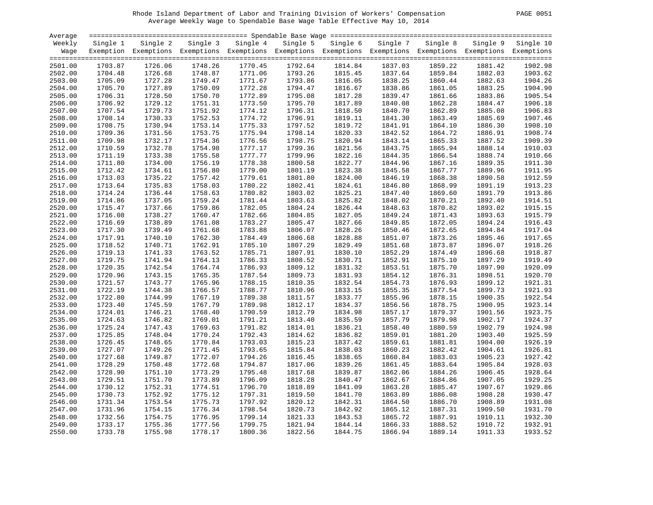# Rhode Island Department of Labor and Training Division of Workers' Compensation PAGE 0051 Average Weekly Wage to Spendable Base Wage Table Effective May 10, 2014

| PAGE.<br>0051 |
|---------------|
|---------------|

| Average |          |                                                                                                              |          |                    |          |          |          |          |          |                    |
|---------|----------|--------------------------------------------------------------------------------------------------------------|----------|--------------------|----------|----------|----------|----------|----------|--------------------|
| Weekly  | Single 1 | Single 2                                                                                                     | Single 3 | Single 4           | Single 5 | Single 6 | Single 7 | Single 8 | Single 9 | Single 10          |
| Wage    |          | Exemption Exemptions Exemptions Exemptions Exemptions Exemptions Exemptions Exemptions Exemptions Exemptions |          |                    |          |          |          |          |          |                    |
|         |          |                                                                                                              |          |                    |          |          |          |          |          |                    |
| 2501.00 | 1703.87  | 1726.06                                                                                                      | 1748.26  | 1770.45            | 1792.64  | 1814.84  | 1837.03  | 1859.22  | 1881.42  | 1902.98            |
| 2502.00 | 1704.48  | 1726.68                                                                                                      | 1748.87  | 1771.06            | 1793.26  | 1815.45  | 1837.64  | 1859.84  | 1882.03  | 1903.62            |
| 2503.00 | 1705.09  | 1727.28                                                                                                      | 1749.47  | 1771.67            | 1793.86  | 1816.05  | 1838.25  | 1860.44  | 1882.63  | 1904.26            |
| 2504.00 | 1705.70  | 1727.89                                                                                                      | 1750.09  | 1772.28            | 1794.47  | 1816.67  | 1838.86  | 1861.05  | 1883.25  | 1904.90            |
| 2505.00 | 1706.31  | 1728.50                                                                                                      | 1750.70  | 1772.89            | 1795.08  | 1817.28  | 1839.47  | 1861.66  | 1883.86  | 1905.54            |
| 2506.00 | 1706.92  | 1729.12                                                                                                      | 1751.31  | 1773.50            | 1795.70  | 1817.89  | 1840.08  | 1862.28  | 1884.47  | 1906.18            |
| 2507.00 | 1707.54  | 1729.73                                                                                                      | 1751.92  | 1774.12            | 1796.31  | 1818.50  | 1840.70  | 1862.89  | 1885.08  | 1906.83            |
| 2508.00 | 1708.14  | 1730.33                                                                                                      | 1752.53  | 1774.72            | 1796.91  | 1819.11  | 1841.30  | 1863.49  | 1885.69  | 1907.46            |
| 2509.00 | 1708.75  | 1730.94                                                                                                      | 1753.14  | 1775.33            | 1797.52  | 1819.72  | 1841.91  | 1864.10  | 1886.30  | 1908.10            |
| 2510.00 | 1709.36  | 1731.56                                                                                                      | 1753.75  | 1775.94            | 1798.14  | 1820.33  | 1842.52  | 1864.72  | 1886.91  | 1908.74            |
| 2511.00 | 1709.98  | 1732.17                                                                                                      | 1754.36  | 1776.56            | 1798.75  | 1820.94  | 1843.14  | 1865.33  | 1887.52  | 1909.39            |
| 2512.00 | 1710.59  | 1732.78                                                                                                      | 1754.98  | 1777.17            | 1799.36  | 1821.56  | 1843.75  | 1865.94  | 1888.14  | 1910.03            |
| 2513.00 | 1711.19  | 1733.38                                                                                                      | 1755.58  | 1777.77            | 1799.96  | 1822.16  | 1844.35  | 1866.54  | 1888.74  | 1910.66            |
| 2514.00 | 1711.80  | 1734.00                                                                                                      | 1756.19  | 1778.38            | 1800.58  | 1822.77  | 1844.96  | 1867.16  | 1889.35  | 1911.30            |
| 2515.00 | 1712.42  | 1734.61                                                                                                      | 1756.80  | 1779.00            | 1801.19  | 1823.38  | 1845.58  | 1867.77  | 1889.96  | 1911.95            |
| 2516.00 | 1713.03  | 1735.22                                                                                                      | 1757.42  | 1779.61            | 1801.80  | 1824.00  | 1846.19  | 1868.38  | 1890.58  | 1912.59            |
| 2517.00 | 1713.64  | 1735.83                                                                                                      | 1758.03  | 1780.22            | 1802.41  | 1824.61  | 1846.80  | 1868.99  | 1891.19  | 1913.23            |
| 2518.00 |          | 1736.44                                                                                                      | 1758.63  | 1780.82            | 1803.02  |          | 1847.40  | 1869.60  | 1891.79  | 1913.86            |
|         | 1714.24  |                                                                                                              |          |                    |          | 1825.21  |          |          |          | 1914.51            |
| 2519.00 | 1714.86  | 1737.05                                                                                                      | 1759.24  | 1781.44<br>1782.05 | 1803.63  | 1825.82  | 1848.02  | 1870.21  | 1892.40  |                    |
| 2520.00 | 1715.47  | 1737.66                                                                                                      | 1759.86  |                    | 1804.24  | 1826.44  | 1848.63  | 1870.82  | 1893.02  | 1915.15<br>1915.79 |
| 2521.00 | 1716.08  | 1738.27                                                                                                      | 1760.47  | 1782.66            | 1804.85  | 1827.05  | 1849.24  | 1871.43  | 1893.63  |                    |
| 2522.00 | 1716.69  | 1738.89                                                                                                      | 1761.08  | 1783.27            | 1805.47  | 1827.66  | 1849.85  | 1872.05  | 1894.24  | 1916.43            |
| 2523.00 | 1717.30  | 1739.49                                                                                                      | 1761.68  | 1783.88            | 1806.07  | 1828.26  | 1850.46  | 1872.65  | 1894.84  | 1917.04            |
| 2524.00 | 1717.91  | 1740.10                                                                                                      | 1762.30  | 1784.49            | 1806.68  | 1828.88  | 1851.07  | 1873.26  | 1895.46  | 1917.65            |
| 2525.00 | 1718.52  | 1740.71                                                                                                      | 1762.91  | 1785.10            | 1807.29  | 1829.49  | 1851.68  | 1873.87  | 1896.07  | 1918.26            |
| 2526.00 | 1719.13  | 1741.33                                                                                                      | 1763.52  | 1785.71            | 1807.91  | 1830.10  | 1852.29  | 1874.49  | 1896.68  | 1918.87            |
| 2527.00 | 1719.75  | 1741.94                                                                                                      | 1764.13  | 1786.33            | 1808.52  | 1830.71  | 1852.91  | 1875.10  | 1897.29  | 1919.49            |
| 2528.00 | 1720.35  | 1742.54                                                                                                      | 1764.74  | 1786.93            | 1809.12  | 1831.32  | 1853.51  | 1875.70  | 1897.90  | 1920.09            |
| 2529.00 | 1720.96  | 1743.15                                                                                                      | 1765.35  | 1787.54            | 1809.73  | 1831.93  | 1854.12  | 1876.31  | 1898.51  | 1920.70            |
| 2530.00 | 1721.57  | 1743.77                                                                                                      | 1765.96  | 1788.15            | 1810.35  | 1832.54  | 1854.73  | 1876.93  | 1899.12  | 1921.31            |
| 2531.00 | 1722.19  | 1744.38                                                                                                      | 1766.57  | 1788.77            | 1810.96  | 1833.15  | 1855.35  | 1877.54  | 1899.73  | 1921.93            |
| 2532.00 | 1722.80  | 1744.99                                                                                                      | 1767.19  | 1789.38            | 1811.57  | 1833.77  | 1855.96  | 1878.15  | 1900.35  | 1922.54            |
| 2533.00 | 1723.40  | 1745.59                                                                                                      | 1767.79  | 1789.98            | 1812.17  | 1834.37  | 1856.56  | 1878.75  | 1900.95  | 1923.14            |
| 2534.00 | 1724.01  | 1746.21                                                                                                      | 1768.40  | 1790.59            | 1812.79  | 1834.98  | 1857.17  | 1879.37  | 1901.56  | 1923.75            |
| 2535.00 | 1724.63  | 1746.82                                                                                                      | 1769.01  | 1791.21            | 1813.40  | 1835.59  | 1857.79  | 1879.98  | 1902.17  | 1924.37            |
| 2536.00 | 1725.24  | 1747.43                                                                                                      | 1769.63  | 1791.82            | 1814.01  | 1836.21  | 1858.40  | 1880.59  | 1902.79  | 1924.98            |
| 2537.00 | 1725.85  | 1748.04                                                                                                      | 1770.24  | 1792.43            | 1814.62  | 1836.82  | 1859.01  | 1881.20  | 1903.40  | 1925.59            |
| 2538.00 | 1726.45  | 1748.65                                                                                                      | 1770.84  | 1793.03            | 1815.23  | 1837.42  | 1859.61  | 1881.81  | 1904.00  | 1926.19            |
| 2539.00 | 1727.07  | 1749.26                                                                                                      | 1771.45  | 1793.65            | 1815.84  | 1838.03  | 1860.23  | 1882.42  | 1904.61  | 1926.81            |
| 2540.00 | 1727.68  | 1749.87                                                                                                      | 1772.07  | 1794.26            | 1816.45  | 1838.65  | 1860.84  | 1883.03  | 1905.23  | 1927.42            |
| 2541.00 | 1728.29  | 1750.48                                                                                                      | 1772.68  | 1794.87            | 1817.06  | 1839.26  | 1861.45  | 1883.64  | 1905.84  | 1928.03            |
| 2542.00 | 1728.90  | 1751.10                                                                                                      | 1773.29  | 1795.48            | 1817.68  | 1839.87  | 1862.06  | 1884.26  | 1906.45  | 1928.64            |
| 2543.00 | 1729.51  | 1751.70                                                                                                      | 1773.89  | 1796.09            | 1818.28  | 1840.47  | 1862.67  | 1884.86  | 1907.05  | 1929.25            |
| 2544.00 | 1730.12  | 1752.31                                                                                                      | 1774.51  | 1796.70            | 1818.89  | 1841.09  | 1863.28  | 1885.47  | 1907.67  | 1929.86            |
| 2545.00 | 1730.73  | 1752.92                                                                                                      | 1775.12  | 1797.31            | 1819.50  | 1841.70  | 1863.89  | 1886.08  | 1908.28  | 1930.47            |
| 2546.00 | 1731.34  | 1753.54                                                                                                      | 1775.73  | 1797.92            | 1820.12  | 1842.31  | 1864.50  | 1886.70  | 1908.89  | 1931.08            |
| 2547.00 | 1731.96  | 1754.15                                                                                                      | 1776.34  | 1798.54            | 1820.73  | 1842.92  | 1865.12  | 1887.31  | 1909.50  | 1931.70            |
| 2548.00 | 1732.56  | 1754.75                                                                                                      | 1776.95  | 1799.14            | 1821.33  | 1843.53  | 1865.72  | 1887.91  | 1910.11  | 1932.30            |
| 2549.00 | 1733.17  | 1755.36                                                                                                      | 1777.56  | 1799.75            | 1821.94  | 1844.14  | 1866.33  | 1888.52  | 1910.72  | 1932.91            |
| 2550.00 | 1733.78  | 1755.98                                                                                                      | 1778.17  | 1800.36            | 1822.56  | 1844.75  | 1866.94  | 1889.14  | 1911.33  | 1933.52            |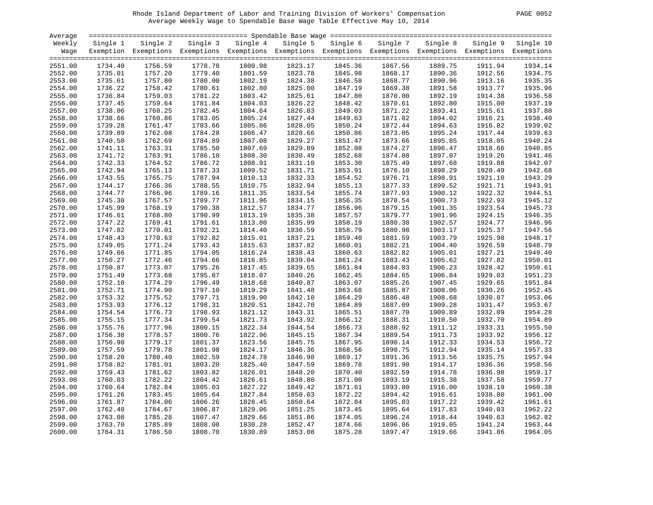# Rhode Island Department of Labor and Training Division of Workers' Compensation PAGE 0052 Average Weekly Wage to Spendable Base Wage Table Effective May 10, 2014

| 0052 |
|------|
|      |

| Average |          |                                                                                                              |          |          |          |          |          |          |          |           |
|---------|----------|--------------------------------------------------------------------------------------------------------------|----------|----------|----------|----------|----------|----------|----------|-----------|
| Weekly  | Single 1 | Single 2                                                                                                     | Single 3 | Single 4 | Single 5 | Single 6 | Single 7 | Single 8 | Single 9 | Single 10 |
| Waqe    |          | Exemption Exemptions Exemptions Exemptions Exemptions Exemptions Exemptions Exemptions Exemptions Exemptions |          |          |          |          |          |          |          |           |
|         |          |                                                                                                              |          |          |          |          |          |          |          |           |
| 2551.00 | 1734.40  | 1756.59                                                                                                      | 1778.78  | 1800.98  | 1823.17  | 1845.36  | 1867.56  | 1889.75  | 1911.94  | 1934.14   |
| 2552.00 | 1735.01  | 1757.20                                                                                                      | 1779.40  | 1801.59  | 1823.78  | 1845.98  | 1868.17  | 1890.36  | 1912.56  | 1934.75   |
| 2553.00 | 1735.61  | 1757.80                                                                                                      | 1780.00  | 1802.19  | 1824.38  | 1846.58  | 1868.77  | 1890.96  | 1913.16  | 1935.35   |
| 2554.00 | 1736.22  | 1758.42                                                                                                      | 1780.61  | 1802.80  | 1825.00  | 1847.19  | 1869.38  | 1891.58  | 1913.77  | 1935.96   |
| 2555.00 | 1736.84  | 1759.03                                                                                                      | 1781.22  | 1803.42  | 1825.61  | 1847.80  | 1870.00  | 1892.19  | 1914.38  | 1936.58   |
| 2556.00 | 1737.45  | 1759.64                                                                                                      | 1781.84  | 1804.03  | 1826.22  | 1848.42  | 1870.61  | 1892.80  | 1915.00  | 1937.19   |
| 2557.00 | 1738.06  | 1760.25                                                                                                      | 1782.45  | 1804.64  | 1826.83  | 1849.03  | 1871.22  | 1893.41  | 1915.61  | 1937.80   |
| 2558.00 | 1738.66  | 1760.86                                                                                                      | 1783.05  | 1805.24  | 1827.44  | 1849.63  | 1871.82  | 1894.02  | 1916.21  | 1938.40   |
| 2559.00 | 1739.28  | 1761.47                                                                                                      | 1783.66  | 1805.86  | 1828.05  | 1850.24  | 1872.44  | 1894.63  | 1916.82  | 1939.02   |
| 2560.00 | 1739.89  | 1762.08                                                                                                      | 1784.28  | 1806.47  | 1828.66  | 1850.86  | 1873.05  | 1895.24  | 1917.44  | 1939.63   |
| 2561.00 | 1740.50  | 1762.69                                                                                                      | 1784.89  | 1807.08  | 1829.27  | 1851.47  | 1873.66  | 1895.85  | 1918.05  | 1940.24   |
| 2562.00 | 1741.11  | 1763.31                                                                                                      | 1785.50  | 1807.69  | 1829.89  | 1852.08  | 1874.27  | 1896.47  | 1918.66  | 1940.85   |
| 2563.00 | 1741.72  | 1763.91                                                                                                      | 1786.10  | 1808.30  | 1830.49  | 1852.68  | 1874.88  | 1897.07  | 1919.26  | 1941.46   |
| 2564.00 | 1742.33  | 1764.52                                                                                                      | 1786.72  | 1808.91  | 1831.10  | 1853.30  | 1875.49  | 1897.68  | 1919.88  | 1942.07   |
| 2565.00 | 1742.94  | 1765.13                                                                                                      | 1787.33  | 1809.52  | 1831.71  | 1853.91  | 1876.10  | 1898.29  | 1920.49  | 1942.68   |
| 2566.00 | 1743.55  | 1765.75                                                                                                      | 1787.94  | 1810.13  | 1832.33  | 1854.52  | 1876.71  | 1898.91  | 1921.10  | 1943.29   |
| 2567.00 | 1744.17  | 1766.36                                                                                                      | 1788.55  | 1810.75  | 1832.94  | 1855.13  | 1877.33  | 1899.52  | 1921.71  | 1943.91   |
| 2568.00 | 1744.77  | 1766.96                                                                                                      | 1789.16  | 1811.35  | 1833.54  | 1855.74  | 1877.93  | 1900.12  | 1922.32  | 1944.51   |
| 2569.00 | 1745.38  | 1767.57                                                                                                      | 1789.77  | 1811.96  | 1834.15  | 1856.35  | 1878.54  | 1900.73  | 1922.93  | 1945.12   |
| 2570.00 | 1745.99  | 1768.19                                                                                                      | 1790.38  | 1812.57  | 1834.77  | 1856.96  | 1879.15  | 1901.35  | 1923.54  | 1945.73   |
| 2571.00 | 1746.61  | 1768.80                                                                                                      | 1790.99  | 1813.19  | 1835.38  | 1857.57  | 1879.77  | 1901.96  | 1924.15  | 1946.35   |
| 2572.00 | 1747.22  | 1769.41                                                                                                      | 1791.61  | 1813.80  | 1835.99  | 1858.19  | 1880.38  | 1902.57  | 1924.77  | 1946.96   |
| 2573.00 | 1747.82  | 1770.01                                                                                                      | 1792.21  | 1814.40  | 1836.59  | 1858.79  | 1880.98  | 1903.17  | 1925.37  | 1947.56   |
| 2574.00 | 1748.43  | 1770.63                                                                                                      | 1792.82  | 1815.01  | 1837.21  | 1859.40  | 1881.59  | 1903.79  | 1925.98  | 1948.17   |
| 2575.00 | 1749.05  | 1771.24                                                                                                      | 1793.43  | 1815.63  | 1837.82  | 1860.01  | 1882.21  | 1904.40  | 1926.59  | 1948.79   |
| 2576.00 | 1749.66  | 1771.85                                                                                                      | 1794.05  | 1816.24  | 1838.43  | 1860.63  | 1882.82  | 1905.01  | 1927.21  | 1949.40   |
| 2577.00 | 1750.27  | 1772.46                                                                                                      | 1794.66  | 1816.85  | 1839.04  | 1861.24  | 1883.43  | 1905.62  | 1927.82  | 1950.01   |
| 2578.00 | 1750.87  | 1773.07                                                                                                      | 1795.26  | 1817.45  | 1839.65  | 1861.84  | 1884.03  | 1906.23  | 1928.42  | 1950.61   |
| 2579.00 | 1751.49  | 1773.68                                                                                                      | 1795.87  | 1818.07  | 1840.26  | 1862.45  | 1884.65  | 1906.84  | 1929.03  | 1951.23   |
| 2580.00 | 1752.10  | 1774.29                                                                                                      | 1796.49  | 1818.68  | 1840.87  | 1863.07  | 1885.26  | 1907.45  | 1929.65  | 1951.84   |
| 2581.00 | 1752.71  | 1774.90                                                                                                      | 1797.10  | 1819.29  | 1841.48  | 1863.68  | 1885.87  | 1908.06  | 1930.26  | 1952.45   |
| 2582.00 | 1753.32  | 1775.52                                                                                                      | 1797.71  | 1819.90  | 1842.10  | 1864.29  | 1886.48  | 1908.68  | 1930.87  | 1953.06   |
| 2583.00 | 1753.93  | 1776.12                                                                                                      | 1798.31  | 1820.51  | 1842.70  | 1864.89  | 1887.09  | 1909.28  | 1931.47  | 1953.67   |
| 2584.00 | 1754.54  | 1776.73                                                                                                      | 1798.93  | 1821.12  | 1843.31  | 1865.51  | 1887.70  | 1909.89  | 1932.09  | 1954.28   |
| 2585.00 | 1755.15  | 1777.34                                                                                                      | 1799.54  | 1821.73  | 1843.92  | 1866.12  | 1888.31  | 1910.50  | 1932.70  | 1954.89   |
| 2586.00 | 1755.76  | 1777.96                                                                                                      | 1800.15  | 1822.34  | 1844.54  | 1866.73  | 1888.92  | 1911.12  | 1933.31  | 1955.50   |
| 2587.00 | 1756.38  | 1778.57                                                                                                      | 1800.76  | 1822.96  | 1845.15  | 1867.34  | 1889.54  | 1911.73  | 1933.92  | 1956.12   |
| 2588.00 | 1756.98  | 1779.17                                                                                                      | 1801.37  | 1823.56  | 1845.75  | 1867.95  | 1890.14  | 1912.33  | 1934.53  | 1956.72   |
| 2589.00 | 1757.59  | 1779.78                                                                                                      | 1801.98  | 1824.17  | 1846.36  | 1868.56  | 1890.75  | 1912.94  | 1935.14  | 1957.33   |
| 2590.00 | 1758.20  | 1780.40                                                                                                      | 1802.59  | 1824.78  | 1846.98  | 1869.17  | 1891.36  | 1913.56  | 1935.75  | 1957.94   |
| 2591.00 | 1758.82  | 1781.01                                                                                                      | 1803.20  | 1825.40  | 1847.59  | 1869.78  | 1891.98  | 1914.17  | 1936.36  | 1958.56   |
| 2592.00 | 1759.43  | 1781.62                                                                                                      | 1803.82  | 1826.01  | 1848.20  | 1870.40  | 1892.59  | 1914.78  | 1936.98  | 1959.17   |
| 2593.00 | 1760.03  | 1782.22                                                                                                      | 1804.42  | 1826.61  | 1848.80  | 1871.00  | 1893.19  | 1915.38  | 1937.58  | 1959.77   |
| 2594.00 | 1760.64  | 1782.84                                                                                                      | 1805.03  | 1827.22  | 1849.42  | 1871.61  | 1893.80  | 1916.00  | 1938.19  | 1960.38   |
| 2595.00 | 1761.26  | 1783.45                                                                                                      | 1805.64  | 1827.84  | 1850.03  | 1872.22  | 1894.42  | 1916.61  | 1938.80  | 1961.00   |
| 2596.00 | 1761.87  | 1784.06                                                                                                      | 1806.26  | 1828.45  | 1850.64  | 1872.84  | 1895.03  | 1917.22  | 1939.42  | 1961.61   |
| 2597.00 | 1762.48  | 1784.67                                                                                                      | 1806.87  | 1829.06  | 1851.25  | 1873.45  | 1895.64  | 1917.83  | 1940.03  | 1962.22   |
| 2598.00 | 1763.08  | 1785.28                                                                                                      | 1807.47  | 1829.66  | 1851.86  | 1874.05  | 1896.24  | 1918.44  | 1940.63  | 1962.82   |
| 2599.00 | 1763.70  | 1785.89                                                                                                      | 1808.08  | 1830.28  | 1852.47  | 1874.66  | 1896.86  | 1919.05  | 1941.24  | 1963.44   |
| 2600.00 | 1764.31  | 1786.50                                                                                                      | 1808.70  | 1830.89  | 1853.08  | 1875.28  | 1897.47  | 1919.66  | 1941.86  | 1964.05   |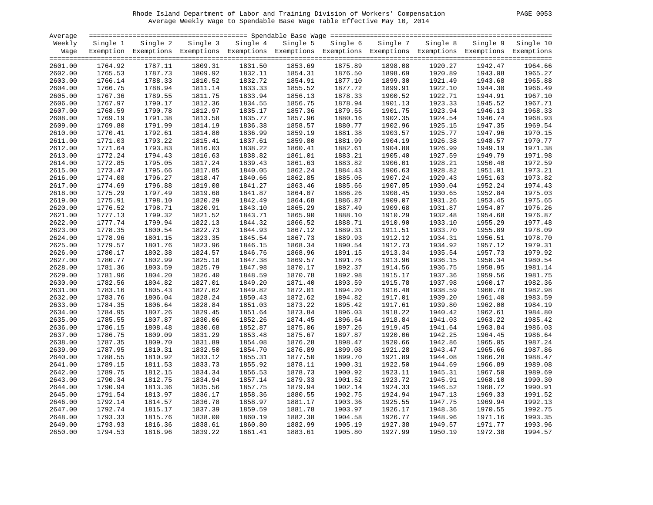# Rhode Island Department of Labor and Training Division of Workers' Compensation PAGE 0053 Average Weekly Wage to Spendable Base Wage Table Effective May 10, 2014

| PAGE | 0053 |
|------|------|
|      |      |

| Average            |                    |                    |                    |                                                                                                              |                    |                    |                    |                    |                    |                    |
|--------------------|--------------------|--------------------|--------------------|--------------------------------------------------------------------------------------------------------------|--------------------|--------------------|--------------------|--------------------|--------------------|--------------------|
| Weekly             | Single 1           | Single 2           |                    | Single 3 Single 4                                                                                            | Single 5           | Single 6           | Single 7           | Single 8           | Single 9           | Single 10          |
| Waqe               |                    |                    |                    | Exemption Exemptions Exemptions Exemptions Exemptions Exemptions Exemptions Exemptions Exemptions Exemptions |                    |                    |                    |                    |                    |                    |
|                    | 1764.92            | 1787.11            | 1809.31            | 1831.50                                                                                                      | 1853.69            | 1875.89            | 1898.08            | 1920.27            | 1942.47            | 1964.66            |
| 2601.00<br>2602.00 | 1765.53            | 1787.73            | 1809.92            |                                                                                                              | 1854.31            | 1876.50            | 1898.69            | 1920.89            | 1943.08            | 1965.27            |
|                    |                    |                    |                    | 1832.11                                                                                                      |                    |                    |                    |                    |                    |                    |
| 2603.00            | 1766.14<br>1766.75 | 1788.33<br>1788.94 | 1810.52<br>1811.14 | 1832.72<br>1833.33                                                                                           | 1854.91<br>1855.52 | 1877.10<br>1877.72 | 1899.30<br>1899.91 | 1921.49<br>1922.10 | 1943.68<br>1944.30 | 1965.88<br>1966.49 |
| 2604.00            |                    |                    |                    |                                                                                                              |                    |                    |                    |                    |                    | 1967.10            |
| 2605.00            | 1767.36            | 1789.55            | 1811.75            | 1833.94                                                                                                      | 1856.13            | 1878.33            | 1900.52            | 1922.71            | 1944.91            | 1967.71            |
| 2606.00            | 1767.97            | 1790.17<br>1790.78 | 1812.36            | 1834.55                                                                                                      | 1856.75            | 1878.94            | 1901.13            | 1923.33            | 1945.52            | 1968.33            |
| 2607.00            | 1768.59            |                    | 1812.97            | 1835.17<br>1835.77                                                                                           | 1857.36            | 1879.55            | 1901.75<br>1902.35 | 1923.94            | 1946.13            | 1968.93            |
| 2608.00            | 1769.19            | 1791.38            | 1813.58            |                                                                                                              | 1857.96            | 1880.16            |                    | 1924.54            | 1946.74            |                    |
| 2609.00            | 1769.80            | 1791.99            | 1814.19            | 1836.38                                                                                                      | 1858.57            | 1880.77            | 1902.96            | 1925.15            | 1947.35            | 1969.54            |
| 2610.00            | 1770.41            | 1792.61            | 1814.80            | 1836.99                                                                                                      | 1859.19            | 1881.38            | 1903.57            | 1925.77            | 1947.96            | 1970.15<br>1970.77 |
| 2611.00            | 1771.03            | 1793.22<br>1793.83 | 1815.41            | 1837.61<br>1838.22                                                                                           | 1859.80            | 1881.99            | 1904.19            | 1926.38            | 1948.57            | 1971.38            |
| 2612.00            | 1771.64            |                    | 1816.03            |                                                                                                              | 1860.41            | 1882.61            | 1904.80            | 1926.99            | 1949.19            | 1971.98            |
| 2613.00            | 1772.24            | 1794.43            | 1816.63            | 1838.82                                                                                                      | 1861.01            | 1883.21            | 1905.40            | 1927.59            | 1949.79            | 1972.59            |
| 2614.00            | 1772.85            | 1795.05            | 1817.24            | 1839.43                                                                                                      | 1861.63            | 1883.82            | 1906.01            | 1928.21            | 1950.40            |                    |
| 2615.00            | 1773.47            | 1795.66            | 1817.85            | 1840.05                                                                                                      | 1862.24            | 1884.43            | 1906.63            | 1928.82            | 1951.01            | 1973.21            |
| 2616.00            | 1774.08            | 1796.27            | 1818.47            | 1840.66                                                                                                      | 1862.85            | 1885.05            | 1907.24            | 1929.43            | 1951.63            | 1973.82            |
| 2617.00            | 1774.69            | 1796.88            | 1819.08            | 1841.27                                                                                                      | 1863.46            | 1885.66            | 1907.85            | 1930.04            | 1952.24            | 1974.43            |
| 2618.00            | 1775.29            | 1797.49            | 1819.68            | 1841.87                                                                                                      | 1864.07            | 1886.26            | 1908.45            | 1930.65            | 1952.84            | 1975.03            |
| 2619.00            | 1775.91            | 1798.10            | 1820.29            | 1842.49                                                                                                      | 1864.68            | 1886.87            | 1909.07            | 1931.26            | 1953.45            | 1975.65            |
| 2620.00            | 1776.52            | 1798.71            | 1820.91            | 1843.10                                                                                                      | 1865.29            | 1887.49            | 1909.68            | 1931.87            | 1954.07            | 1976.26            |
| 2621.00            | 1777.13            | 1799.32            | 1821.52            | 1843.71                                                                                                      | 1865.90            | 1888.10            | 1910.29            | 1932.48            | 1954.68            | 1976.87            |
| 2622.00            | 1777.74            | 1799.94            | 1822.13            | 1844.32                                                                                                      | 1866.52            | 1888.71            | 1910.90            | 1933.10            | 1955.29            | 1977.48            |
| 2623.00            | 1778.35            | 1800.54            | 1822.73            | 1844.93                                                                                                      | 1867.12            | 1889.31            | 1911.51            | 1933.70            | 1955.89            | 1978.09            |
| 2624.00            | 1778.96            | 1801.15            | 1823.35            | 1845.54                                                                                                      | 1867.73            | 1889.93            | 1912.12            | 1934.31            | 1956.51            | 1978.70            |
| 2625.00            | 1779.57            | 1801.76            | 1823.96            | 1846.15                                                                                                      | 1868.34            | 1890.54            | 1912.73            | 1934.92            | 1957.12            | 1979.31            |
| 2626.00            | 1780.17            | 1802.38            | 1824.57            | 1846.76                                                                                                      | 1868.96            | 1891.15            | 1913.34            | 1935.54            | 1957.73            | 1979.92            |
| 2627.00            | 1780.77            | 1802.99            | 1825.18            | 1847.38                                                                                                      | 1869.57            | 1891.76            | 1913.96            | 1936.15            | 1958.34            | 1980.54            |
| 2628.00            | 1781.36            | 1803.59            | 1825.79            | 1847.98                                                                                                      | 1870.17            | 1892.37            | 1914.56            | 1936.75            | 1958.95            | 1981.14            |
| 2629.00            | 1781.96            | 1804.20            | 1826.40            | 1848.59                                                                                                      | 1870.78            | 1892.98            | 1915.17            | 1937.36            | 1959.56            | 1981.75            |
| 2630.00            | 1782.56            | 1804.82            | 1827.01            | 1849.20                                                                                                      | 1871.40            | 1893.59            | 1915.78            | 1937.98            | 1960.17            | 1982.36            |
| 2631.00            | 1783.16            | 1805.43            | 1827.62            | 1849.82                                                                                                      | 1872.01            | 1894.20            | 1916.40            | 1938.59            | 1960.78            | 1982.98            |
| 2632.00            | 1783.76            | 1806.04            | 1828.24            | 1850.43                                                                                                      | 1872.62            | 1894.82            | 1917.01            | 1939.20            | 1961.40            | 1983.59            |
| 2633.00            | 1784.35            | 1806.64            | 1828.84            | 1851.03                                                                                                      | 1873.22            | 1895.42            | 1917.61            | 1939.80            | 1962.00            | 1984.19            |
| 2634.00            | 1784.95            | 1807.26            | 1829.45            | 1851.64                                                                                                      | 1873.84            | 1896.03            | 1918.22            | 1940.42            | 1962.61            | 1984.80<br>1985.42 |
| 2635.00            | 1785.55            | 1807.87            | 1830.06            | 1852.26                                                                                                      | 1874.45            | 1896.64            | 1918.84            | 1941.03            | 1963.22            | 1986.03            |
| 2636.00            | 1786.15            | 1808.48            | 1830.68            | 1852.87                                                                                                      | 1875.06            | 1897.26            | 1919.45            | 1941.64            | 1963.84            | 1986.64            |
| 2637.00            | 1786.75            | 1809.09            | 1831.29            | 1853.48                                                                                                      | 1875.67            | 1897.87            | 1920.06            | 1942.25            | 1964.45            |                    |
| 2638.00            | 1787.35            | 1809.70            | 1831.89            | 1854.08                                                                                                      | 1876.28            | 1898.47            | 1920.66            | 1942.86            | 1965.05            | 1987.24            |
| 2639.00            | 1787.95            | 1810.31            | 1832.50            | 1854.70                                                                                                      | 1876.89            | 1899.08            | 1921.28            | 1943.47            | 1965.66            | 1987.86            |
| 2640.00            | 1788.55            | 1810.92            | 1833.12            | 1855.31                                                                                                      | 1877.50            | 1899.70            | 1921.89            | 1944.08            | 1966.28            | 1988.47            |
| 2641.00            | 1789.15            | 1811.53            | 1833.73            | 1855.92                                                                                                      | 1878.11            | 1900.31            | 1922.50            | 1944.69            | 1966.89            | 1989.08            |
| 2642.00            | 1789.75            | 1812.15            | 1834.34            | 1856.53                                                                                                      | 1878.73            | 1900.92            | 1923.11            | 1945.31            | 1967.50            | 1989.69            |
| 2643.00            | 1790.34            | 1812.75            | 1834.94            | 1857.14                                                                                                      | 1879.33            | 1901.52            | 1923.72            | 1945.91            | 1968.10            | 1990.30            |
| 2644.00            | 1790.94            | 1813.36            | 1835.56            | 1857.75                                                                                                      | 1879.94            | 1902.14            | 1924.33            | 1946.52            | 1968.72            | 1990.91            |
| 2645.00            | 1791.54            | 1813.97            | 1836.17            | 1858.36                                                                                                      | 1880.55            | 1902.75            | 1924.94            | 1947.13            | 1969.33            | 1991.52            |
| 2646.00            | 1792.14            | 1814.57            | 1836.78            | 1858.97                                                                                                      | 1881.17            | 1903.36            | 1925.55            | 1947.75            | 1969.94            | 1992.13            |
| 2647.00            | 1792.74            | 1815.17            | 1837.39            | 1859.59                                                                                                      | 1881.78            | 1903.97            | 1926.17            | 1948.36            | 1970.55            | 1992.75            |
| 2648.00            | 1793.33            | 1815.76            | 1838.00            | 1860.19                                                                                                      | 1882.38            | 1904.58            | 1926.77            | 1948.96            | 1971.16            | 1993.35            |
| 2649.00            | 1793.93            | 1816.36            | 1838.61            | 1860.80                                                                                                      | 1882.99            | 1905.19            | 1927.38            | 1949.57            | 1971.77            | 1993.96            |
| 2650.00            | 1794.53            | 1816.96            | 1839.22            | 1861.41                                                                                                      | 1883.61            | 1905.80            | 1927.99            | 1950.19            | 1972.38            | 1994.57            |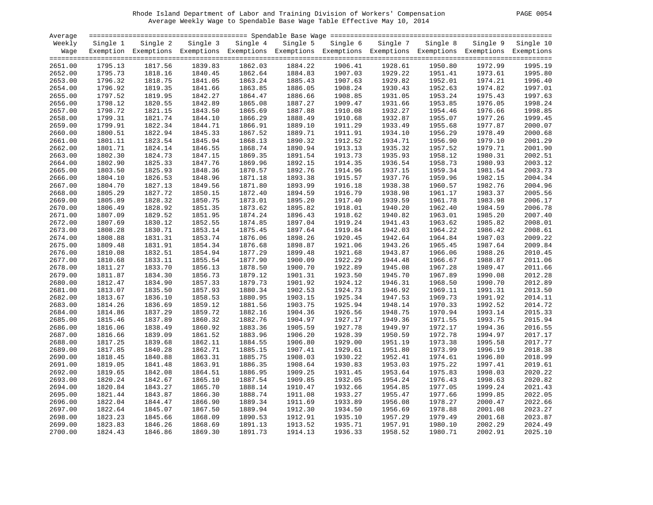# Rhode Island Department of Labor and Training Division of Workers' Compensation PAGE 0054 Average Weekly Wage to Spendable Base Wage Table Effective May 10, 2014

| PAGE. | 0054 |
|-------|------|
|-------|------|

| Average            |                    |                                                                                                              |                    |                    |                    |                    |                    |                    |                    |           |
|--------------------|--------------------|--------------------------------------------------------------------------------------------------------------|--------------------|--------------------|--------------------|--------------------|--------------------|--------------------|--------------------|-----------|
| Weekly             | Single 1           | Single 2                                                                                                     | Single 3           | Single 4           | Single 5           | Single 6           | Single 7           | Single 8           | Single 9           | Single 10 |
| Wage               |                    | Exemption Exemptions Exemptions Exemptions Exemptions Exemptions Exemptions Exemptions Exemptions Exemptions |                    |                    |                    |                    |                    |                    |                    |           |
|                    |                    |                                                                                                              |                    |                    |                    |                    |                    |                    |                    |           |
| 2651.00            | 1795.13            | 1817.56                                                                                                      | 1839.83            | 1862.03            | 1884.22            | 1906.41            | 1928.61            | 1950.80            | 1972.99            | 1995.19   |
| 2652.00            | 1795.73            | 1818.16                                                                                                      | 1840.45            | 1862.64            | 1884.83            | 1907.03            | 1929.22            | 1951.41            | 1973.61            | 1995.80   |
| 2653.00            | 1796.32            | 1818.75                                                                                                      | 1841.05            | 1863.24            | 1885.43            | 1907.63            | 1929.82            | 1952.01            | 1974.21            | 1996.40   |
| 2654.00            | 1796.92            | 1819.35                                                                                                      | 1841.66            | 1863.85            | 1886.05            | 1908.24            | 1930.43            | 1952.63            | 1974.82            | 1997.01   |
| 2655.00            | 1797.52            | 1819.95                                                                                                      | 1842.27            | 1864.47            | 1886.66            | 1908.85            | 1931.05            | 1953.24            | 1975.43            | 1997.63   |
| 2656.00            | 1798.12            | 1820.55                                                                                                      | 1842.89            | 1865.08            | 1887.27            | 1909.47            | 1931.66            | 1953.85            | 1976.05            | 1998.24   |
| 2657.00            | 1798.72            | 1821.15                                                                                                      | 1843.50            | 1865.69            | 1887.88            | 1910.08            | 1932.27            | 1954.46            | 1976.66            | 1998.85   |
| 2658.00            | 1799.31            | 1821.74                                                                                                      | 1844.10            | 1866.29            | 1888.49            | 1910.68            | 1932.87            | 1955.07            | 1977.26            | 1999.45   |
| 2659.00            | 1799.91            | 1822.34                                                                                                      | 1844.71            | 1866.91            | 1889.10            | 1911.29            | 1933.49            | 1955.68            | 1977.87            | 2000.07   |
| 2660.00            | 1800.51            | 1822.94                                                                                                      | 1845.33            | 1867.52            | 1889.71            | 1911.91            | 1934.10            | 1956.29            | 1978.49            | 2000.68   |
| 2661.00            | 1801.11            | 1823.54                                                                                                      | 1845.94            | 1868.13            | 1890.32            | 1912.52            | 1934.71            | 1956.90            | 1979.10            | 2001.29   |
| 2662.00            | 1801.71            | 1824.14                                                                                                      | 1846.55            | 1868.74            | 1890.94            | 1913.13            | 1935.32            | 1957.52            | 1979.71            | 2001.90   |
| 2663.00            | 1802.30            | 1824.73                                                                                                      | 1847.15            | 1869.35            | 1891.54            | 1913.73            | 1935.93            | 1958.12            | 1980.31            | 2002.51   |
| 2664.00            | 1802.90            | 1825.33                                                                                                      | 1847.76            | 1869.96            | 1892.15            | 1914.35            | 1936.54            | 1958.73            | 1980.93            | 2003.12   |
| 2665.00            | 1803.50            | 1825.93                                                                                                      | 1848.36            | 1870.57            | 1892.76            | 1914.96            | 1937.15            | 1959.34            | 1981.54            | 2003.73   |
| 2666.00            | 1804.10            | 1826.53                                                                                                      | 1848.96            | 1871.18            | 1893.38            | 1915.57            | 1937.76            | 1959.96            | 1982.15            | 2004.34   |
| 2667.00            | 1804.70            | 1827.13                                                                                                      | 1849.56            | 1871.80            | 1893.99            | 1916.18            | 1938.38            | 1960.57            | 1982.76            | 2004.96   |
| 2668.00            | 1805.29            | 1827.72                                                                                                      | 1850.15            | 1872.40            | 1894.59            | 1916.79            | 1938.98            | 1961.17            | 1983.37            | 2005.56   |
| 2669.00            | 1805.89            | 1828.32                                                                                                      | 1850.75            | 1873.01            | 1895.20            | 1917.40            | 1939.59            | 1961.78            | 1983.98            | 2006.17   |
| 2670.00            | 1806.49            | 1828.92                                                                                                      | 1851.35            | 1873.62            | 1895.82            | 1918.01            | 1940.20            | 1962.40            | 1984.59            | 2006.78   |
| 2671.00            | 1807.09            | 1829.52                                                                                                      | 1851.95            | 1874.24            | 1896.43            | 1918.62            | 1940.82            | 1963.01            | 1985.20            | 2007.40   |
| 2672.00            | 1807.69            | 1830.12                                                                                                      | 1852.55            | 1874.85            | 1897.04            | 1919.24            | 1941.43            | 1963.62            | 1985.82            | 2008.01   |
| 2673.00            | 1808.28            | 1830.71                                                                                                      | 1853.14            | 1875.45            | 1897.64            | 1919.84            | 1942.03            | 1964.22            | 1986.42            | 2008.61   |
| 2674.00            | 1808.88            | 1831.31                                                                                                      | 1853.74            | 1876.06            | 1898.26            | 1920.45            | 1942.64            | 1964.84            | 1987.03            | 2009.22   |
| 2675.00            | 1809.48            | 1831.91                                                                                                      | 1854.34            | 1876.68            | 1898.87            | 1921.06            | 1943.26            | 1965.45            | 1987.64            | 2009.84   |
| 2676.00            | 1810.08            | 1832.51                                                                                                      | 1854.94            | 1877.29            | 1899.48            | 1921.68            | 1943.87            | 1966.06            | 1988.26            | 2010.45   |
|                    |                    |                                                                                                              |                    |                    |                    |                    |                    |                    |                    | 2011.06   |
| 2677.00            | 1810.68            | 1833.11<br>1833.70                                                                                           | 1855.54            | 1877.90<br>1878.50 | 1900.09<br>1900.70 | 1922.29<br>1922.89 | 1944.48<br>1945.08 | 1966.67            | 1988.87<br>1989.47 | 2011.66   |
| 2678.00<br>2679.00 | 1811.27<br>1811.87 | 1834.30                                                                                                      | 1856.13<br>1856.73 | 1879.12            | 1901.31            | 1923.50            | 1945.70            | 1967.28<br>1967.89 | 1990.08            | 2012.28   |
| 2680.00            | 1812.47            | 1834.90                                                                                                      | 1857.33            | 1879.73            | 1901.92            | 1924.12            | 1946.31            | 1968.50            | 1990.70            | 2012.89   |
|                    | 1813.07            | 1835.50                                                                                                      | 1857.93            | 1880.34            | 1902.53            |                    |                    | 1969.11            |                    | 2013.50   |
| 2681.00            |                    |                                                                                                              |                    |                    |                    | 1924.73            | 1946.92            |                    | 1991.31            |           |
| 2682.00            | 1813.67            | 1836.10                                                                                                      | 1858.53            | 1880.95            | 1903.15            | 1925.34            | 1947.53            | 1969.73            | 1991.92            | 2014.11   |
| 2683.00            | 1814.26            | 1836.69                                                                                                      | 1859.12            | 1881.56            | 1903.75            | 1925.94            | 1948.14            | 1970.33            | 1992.52            | 2014.72   |
| 2684.00            | 1814.86            | 1837.29                                                                                                      | 1859.72            | 1882.16            | 1904.36            | 1926.56            | 1948.75            | 1970.94            | 1993.14            | 2015.33   |
| 2685.00            | 1815.46            | 1837.89                                                                                                      | 1860.32            | 1882.76            | 1904.97            | 1927.17            | 1949.36            | 1971.55            | 1993.75            | 2015.94   |
| 2686.00            | 1816.06            | 1838.49                                                                                                      | 1860.92            | 1883.36            | 1905.59            | 1927.78            | 1949.97            | 1972.17            | 1994.36            | 2016.55   |
| 2687.00            | 1816.66            | 1839.09                                                                                                      | 1861.52            | 1883.96            | 1906.20            | 1928.39            | 1950.59            | 1972.78            | 1994.97            | 2017.17   |
| 2688.00            | 1817.25            | 1839.68                                                                                                      | 1862.11            | 1884.55            | 1906.80            | 1929.00            | 1951.19            | 1973.38            | 1995.58            | 2017.77   |
| 2689.00            | 1817.85            | 1840.28                                                                                                      | 1862.71            | 1885.15            | 1907.41            | 1929.61            | 1951.80            | 1973.99            | 1996.19            | 2018.38   |
| 2690.00            | 1818.45            | 1840.88                                                                                                      | 1863.31            | 1885.75            | 1908.03            | 1930.22            | 1952.41            | 1974.61            | 1996.80            | 2018.99   |
| 2691.00            | 1819.05            | 1841.48                                                                                                      | 1863.91            | 1886.35            | 1908.64            | 1930.83            | 1953.03            | 1975.22            | 1997.41            | 2019.61   |
| 2692.00            | 1819.65            | 1842.08                                                                                                      | 1864.51            | 1886.95            | 1909.25            | 1931.45            | 1953.64            | 1975.83            | 1998.03            | 2020.22   |
| 2693.00            | 1820.24            | 1842.67                                                                                                      | 1865.10            | 1887.54            | 1909.85            | 1932.05            | 1954.24            | 1976.43            | 1998.63            | 2020.82   |
| 2694.00            | 1820.84            | 1843.27                                                                                                      | 1865.70            | 1888.14            | 1910.47            | 1932.66            | 1954.85            | 1977.05            | 1999.24            | 2021.43   |
| 2695.00            | 1821.44            | 1843.87                                                                                                      | 1866.30            | 1888.74            | 1911.08            | 1933.27            | 1955.47            | 1977.66            | 1999.85            | 2022.05   |
| 2696.00            | 1822.04            | 1844.47                                                                                                      | 1866.90            | 1889.34            | 1911.69            | 1933.89            | 1956.08            | 1978.27            | 2000.47            | 2022.66   |
| 2697.00            | 1822.64            | 1845.07                                                                                                      | 1867.50            | 1889.94            | 1912.30            | 1934.50            | 1956.69            | 1978.88            | 2001.08            | 2023.27   |
| 2698.00            | 1823.23            | 1845.66                                                                                                      | 1868.09            | 1890.53            | 1912.91            | 1935.10            | 1957.29            | 1979.49            | 2001.68            | 2023.87   |
| 2699.00            | 1823.83            | 1846.26                                                                                                      | 1868.69            | 1891.13            | 1913.52            | 1935.71            | 1957.91            | 1980.10            | 2002.29            | 2024.49   |
| 2700.00            | 1824.43            | 1846.86                                                                                                      | 1869.30            | 1891.73            | 1914.13            | 1936.33            | 1958.52            | 1980.71            | 2002.91            | 2025.10   |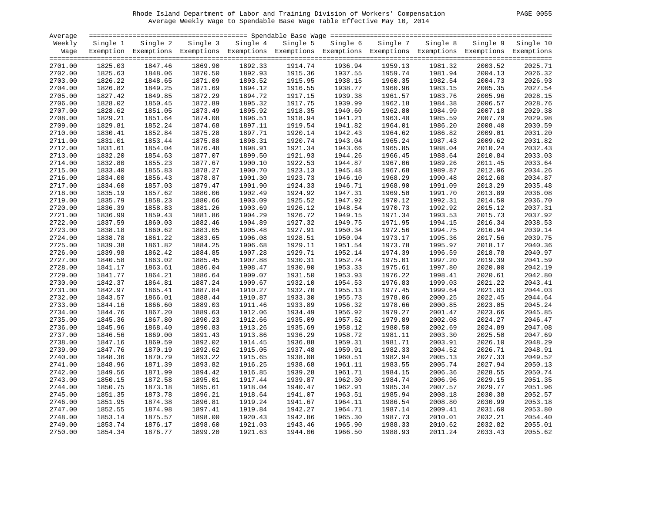# Rhode Island Department of Labor and Training Division of Workers' Compensation PAGE 0055 Average Weekly Wage to Spendable Base Wage Table Effective May 10, 2014

| PAGE. | 0055 |
|-------|------|
|       |      |

| Average |          |                                                                                                              |          |          |          |          |          |          |          |                    |
|---------|----------|--------------------------------------------------------------------------------------------------------------|----------|----------|----------|----------|----------|----------|----------|--------------------|
| Weekly  | Single 1 | Single 2                                                                                                     | Single 3 | Single 4 | Single 5 | Single 6 | Single 7 | Single 8 | Single 9 | Single 10          |
| Wage    |          | Exemption Exemptions Exemptions Exemptions Exemptions Exemptions Exemptions Exemptions Exemptions Exemptions |          |          |          |          |          |          |          |                    |
|         |          |                                                                                                              |          |          |          |          |          |          |          |                    |
| 2701.00 | 1825.03  | 1847.46                                                                                                      | 1869.90  | 1892.33  | 1914.74  | 1936.94  | 1959.13  | 1981.32  | 2003.52  | 2025.71            |
| 2702.00 | 1825.63  | 1848.06                                                                                                      | 1870.50  | 1892.93  | 1915.36  | 1937.55  | 1959.74  | 1981.94  | 2004.13  | 2026.32            |
| 2703.00 | 1826.22  | 1848.65                                                                                                      | 1871.09  | 1893.52  | 1915.95  | 1938.15  | 1960.35  | 1982.54  | 2004.73  | 2026.93            |
| 2704.00 | 1826.82  | 1849.25                                                                                                      | 1871.69  | 1894.12  | 1916.55  | 1938.77  | 1960.96  | 1983.15  | 2005.35  | 2027.54            |
| 2705.00 | 1827.42  | 1849.85                                                                                                      | 1872.29  | 1894.72  | 1917.15  | 1939.38  | 1961.57  | 1983.76  | 2005.96  | 2028.15            |
| 2706.00 | 1828.02  | 1850.45                                                                                                      | 1872.89  | 1895.32  | 1917.75  | 1939.99  | 1962.18  | 1984.38  | 2006.57  | 2028.76            |
| 2707.00 | 1828.62  | 1851.05                                                                                                      | 1873.49  | 1895.92  | 1918.35  | 1940.60  | 1962.80  | 1984.99  | 2007.18  | 2029.38            |
| 2708.00 | 1829.21  | 1851.64                                                                                                      | 1874.08  | 1896.51  | 1918.94  | 1941.21  | 1963.40  | 1985.59  | 2007.79  | 2029.98            |
| 2709.00 | 1829.81  | 1852.24                                                                                                      | 1874.68  | 1897.11  | 1919.54  | 1941.82  | 1964.01  | 1986.20  | 2008.40  | 2030.59            |
| 2710.00 | 1830.41  | 1852.84                                                                                                      | 1875.28  | 1897.71  | 1920.14  | 1942.43  | 1964.62  | 1986.82  | 2009.01  | 2031.20            |
| 2711.00 | 1831.01  | 1853.44                                                                                                      | 1875.88  | 1898.31  | 1920.74  | 1943.04  | 1965.24  | 1987.43  | 2009.62  | 2031.82            |
| 2712.00 | 1831.61  | 1854.04                                                                                                      | 1876.48  | 1898.91  | 1921.34  | 1943.66  | 1965.85  | 1988.04  | 2010.24  | 2032.43            |
| 2713.00 | 1832.20  | 1854.63                                                                                                      | 1877.07  | 1899.50  | 1921.93  | 1944.26  | 1966.45  | 1988.64  | 2010.84  | 2033.03            |
| 2714.00 | 1832.80  | 1855.23                                                                                                      | 1877.67  | 1900.10  | 1922.53  | 1944.87  | 1967.06  | 1989.26  | 2011.45  | 2033.64            |
| 2715.00 | 1833.40  | 1855.83                                                                                                      | 1878.27  | 1900.70  | 1923.13  | 1945.48  | 1967.68  | 1989.87  | 2012.06  | 2034.26            |
| 2716.00 | 1834.00  | 1856.43                                                                                                      | 1878.87  | 1901.30  | 1923.73  | 1946.10  | 1968.29  | 1990.48  | 2012.68  | 2034.87            |
| 2717.00 | 1834.60  | 1857.03                                                                                                      | 1879.47  | 1901.90  | 1924.33  | 1946.71  | 1968.90  | 1991.09  | 2013.29  | 2035.48            |
| 2718.00 | 1835.19  | 1857.62                                                                                                      | 1880.06  | 1902.49  | 1924.92  | 1947.31  | 1969.50  | 1991.70  | 2013.89  | 2036.08            |
| 2719.00 | 1835.79  | 1858.23                                                                                                      | 1880.66  | 1903.09  | 1925.52  | 1947.92  | 1970.12  | 1992.31  | 2014.50  | 2036.70            |
| 2720.00 | 1836.39  | 1858.83                                                                                                      | 1881.26  | 1903.69  | 1926.12  | 1948.54  | 1970.73  | 1992.92  | 2015.12  | 2037.31            |
| 2721.00 | 1836.99  | 1859.43                                                                                                      | 1881.86  | 1904.29  | 1926.72  | 1949.15  | 1971.34  | 1993.53  | 2015.73  | 2037.92            |
| 2722.00 | 1837.59  | 1860.03                                                                                                      | 1882.46  | 1904.89  | 1927.32  | 1949.75  | 1971.95  | 1994.15  | 2016.34  | 2038.53            |
| 2723.00 | 1838.18  | 1860.62                                                                                                      | 1883.05  | 1905.48  | 1927.91  | 1950.34  | 1972.56  | 1994.75  | 2016.94  | 2039.14            |
| 2724.00 | 1838.78  | 1861.22                                                                                                      | 1883.65  | 1906.08  | 1928.51  | 1950.94  | 1973.17  | 1995.36  | 2017.56  | 2039.75            |
| 2725.00 | 1839.38  | 1861.82                                                                                                      | 1884.25  | 1906.68  | 1929.11  | 1951.54  | 1973.78  | 1995.97  | 2018.17  | 2040.36            |
| 2726.00 | 1839.98  | 1862.42                                                                                                      | 1884.85  | 1907.28  | 1929.71  | 1952.14  | 1974.39  | 1996.59  | 2018.78  | 2040.97            |
| 2727.00 | 1840.58  | 1863.02                                                                                                      | 1885.45  | 1907.88  | 1930.31  | 1952.74  | 1975.01  | 1997.20  | 2019.39  | 2041.59            |
| 2728.00 | 1841.17  | 1863.61                                                                                                      | 1886.04  | 1908.47  | 1930.90  | 1953.33  | 1975.61  | 1997.80  | 2020.00  | 2042.19            |
| 2729.00 | 1841.77  | 1864.21                                                                                                      | 1886.64  | 1909.07  | 1931.50  | 1953.93  | 1976.22  | 1998.41  | 2020.61  | 2042.80            |
| 2730.00 | 1842.37  | 1864.81                                                                                                      | 1887.24  | 1909.67  | 1932.10  | 1954.53  | 1976.83  | 1999.03  | 2021.22  | 2043.41            |
|         |          |                                                                                                              | 1887.84  | 1910.27  | 1932.70  |          | 1977.45  | 1999.64  |          | 2044.03            |
| 2731.00 | 1842.97  | 1865.41                                                                                                      |          | 1910.87  |          | 1955.13  |          |          | 2021.83  |                    |
| 2732.00 | 1843.57  | 1866.01                                                                                                      | 1888.44  |          | 1933.30  | 1955.73  | 1978.06  | 2000.25  | 2022.45  | 2044.64            |
| 2733.00 | 1844.16  | 1866.60                                                                                                      | 1889.03  | 1911.46  | 1933.89  | 1956.32  | 1978.66  | 2000.85  | 2023.05  | 2045.24            |
| 2734.00 | 1844.76  | 1867.20                                                                                                      | 1889.63  | 1912.06  | 1934.49  | 1956.92  | 1979.27  | 2001.47  | 2023.66  | 2045.85<br>2046.47 |
| 2735.00 | 1845.36  | 1867.80                                                                                                      | 1890.23  | 1912.66  | 1935.09  | 1957.52  | 1979.89  | 2002.08  | 2024.27  |                    |
| 2736.00 | 1845.96  | 1868.40                                                                                                      | 1890.83  | 1913.26  | 1935.69  | 1958.12  | 1980.50  | 2002.69  | 2024.89  | 2047.08            |
| 2737.00 | 1846.56  | 1869.00                                                                                                      | 1891.43  | 1913.86  | 1936.29  | 1958.72  | 1981.11  | 2003.30  | 2025.50  | 2047.69            |
| 2738.00 | 1847.16  | 1869.59                                                                                                      | 1892.02  | 1914.45  | 1936.88  | 1959.31  | 1981.71  | 2003.91  | 2026.10  | 2048.29            |
| 2739.00 | 1847.76  | 1870.19                                                                                                      | 1892.62  | 1915.05  | 1937.48  | 1959.91  | 1982.33  | 2004.52  | 2026.71  | 2048.91            |
| 2740.00 | 1848.36  | 1870.79                                                                                                      | 1893.22  | 1915.65  | 1938.08  | 1960.51  | 1982.94  | 2005.13  | 2027.33  | 2049.52            |
| 2741.00 | 1848.96  | 1871.39                                                                                                      | 1893.82  | 1916.25  | 1938.68  | 1961.11  | 1983.55  | 2005.74  | 2027.94  | 2050.13            |
| 2742.00 | 1849.56  | 1871.99                                                                                                      | 1894.42  | 1916.85  | 1939.28  | 1961.71  | 1984.15  | 2006.36  | 2028.55  | 2050.74            |
| 2743.00 | 1850.15  | 1872.58                                                                                                      | 1895.01  | 1917.44  | 1939.87  | 1962.30  | 1984.74  | 2006.96  | 2029.15  | 2051.35            |
| 2744.00 | 1850.75  | 1873.18                                                                                                      | 1895.61  | 1918.04  | 1940.47  | 1962.91  | 1985.34  | 2007.57  | 2029.77  | 2051.96            |
| 2745.00 | 1851.35  | 1873.78                                                                                                      | 1896.21  | 1918.64  | 1941.07  | 1963.51  | 1985.94  | 2008.18  | 2030.38  | 2052.57            |
| 2746.00 | 1851.95  | 1874.38                                                                                                      | 1896.81  | 1919.24  | 1941.67  | 1964.11  | 1986.54  | 2008.80  | 2030.99  | 2053.18            |
| 2747.00 | 1852.55  | 1874.98                                                                                                      | 1897.41  | 1919.84  | 1942.27  | 1964.71  | 1987.14  | 2009.41  | 2031.60  | 2053.80            |
| 2748.00 | 1853.14  | 1875.57                                                                                                      | 1898.00  | 1920.43  | 1942.86  | 1965.30  | 1987.73  | 2010.01  | 2032.21  | 2054.40            |
| 2749.00 | 1853.74  | 1876.17                                                                                                      | 1898.60  | 1921.03  | 1943.46  | 1965.90  | 1988.33  | 2010.62  | 2032.82  | 2055.01            |
| 2750.00 | 1854.34  | 1876.77                                                                                                      | 1899.20  | 1921.63  | 1944.06  | 1966.50  | 1988.93  | 2011.24  | 2033.43  | 2055.62            |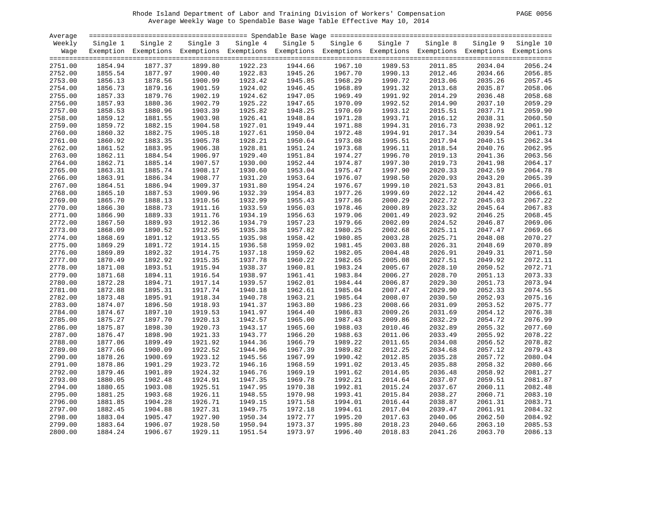# Rhode Island Department of Labor and Training Division of Workers' Compensation PAGE 0056 Average Weekly Wage to Spendable Base Wage Table Effective May 10, 2014

| 0056 | PAGE |
|------|------|
|------|------|

| Average |          |                                                                                                              |          |          |          |          |          |          |          |           |
|---------|----------|--------------------------------------------------------------------------------------------------------------|----------|----------|----------|----------|----------|----------|----------|-----------|
| Weekly  | Single 1 | Single 2                                                                                                     | Single 3 | Single 4 | Single 5 | Single 6 | Single 7 | Single 8 | Single 9 | Single 10 |
| Wage    |          | Exemption Exemptions Exemptions Exemptions Exemptions Exemptions Exemptions Exemptions Exemptions Exemptions |          |          |          |          |          |          |          |           |
|         |          |                                                                                                              |          |          |          |          |          |          |          |           |
| 2751.00 | 1854.94  | 1877.37                                                                                                      | 1899.80  | 1922.23  | 1944.66  | 1967.10  | 1989.53  | 2011.85  | 2034.04  | 2056.24   |
| 2752.00 | 1855.54  | 1877.97                                                                                                      | 1900.40  | 1922.83  | 1945.26  | 1967.70  | 1990.13  | 2012.46  | 2034.66  | 2056.85   |
| 2753.00 | 1856.13  | 1878.56                                                                                                      | 1900.99  | 1923.42  | 1945.85  | 1968.29  | 1990.72  | 2013.06  | 2035.26  | 2057.45   |
| 2754.00 | 1856.73  | 1879.16                                                                                                      | 1901.59  | 1924.02  | 1946.45  | 1968.89  | 1991.32  | 2013.68  | 2035.87  | 2058.06   |
| 2755.00 | 1857.33  | 1879.76                                                                                                      | 1902.19  | 1924.62  | 1947.05  | 1969.49  | 1991.92  | 2014.29  | 2036.48  | 2058.68   |
| 2756.00 | 1857.93  | 1880.36                                                                                                      | 1902.79  | 1925.22  | 1947.65  | 1970.09  | 1992.52  | 2014.90  | 2037.10  | 2059.29   |
| 2757.00 | 1858.53  | 1880.96                                                                                                      | 1903.39  | 1925.82  | 1948.25  | 1970.69  | 1993.12  | 2015.51  | 2037.71  | 2059.90   |
| 2758.00 | 1859.12  | 1881.55                                                                                                      | 1903.98  | 1926.41  | 1948.84  | 1971.28  | 1993.71  | 2016.12  | 2038.31  | 2060.50   |
| 2759.00 | 1859.72  | 1882.15                                                                                                      | 1904.58  | 1927.01  | 1949.44  | 1971.88  | 1994.31  | 2016.73  | 2038.92  | 2061.12   |
| 2760.00 | 1860.32  | 1882.75                                                                                                      | 1905.18  | 1927.61  | 1950.04  | 1972.48  | 1994.91  | 2017.34  | 2039.54  | 2061.73   |
| 2761.00 | 1860.92  | 1883.35                                                                                                      | 1905.78  | 1928.21  | 1950.64  | 1973.08  | 1995.51  | 2017.94  | 2040.15  | 2062.34   |
| 2762.00 | 1861.52  | 1883.95                                                                                                      | 1906.38  | 1928.81  | 1951.24  | 1973.68  | 1996.11  | 2018.54  | 2040.76  | 2062.95   |
| 2763.00 | 1862.11  | 1884.54                                                                                                      | 1906.97  | 1929.40  | 1951.84  | 1974.27  | 1996.70  | 2019.13  | 2041.36  | 2063.56   |
| 2764.00 | 1862.71  | 1885.14                                                                                                      | 1907.57  | 1930.00  | 1952.44  | 1974.87  | 1997.30  | 2019.73  | 2041.98  | 2064.17   |
| 2765.00 | 1863.31  | 1885.74                                                                                                      | 1908.17  | 1930.60  | 1953.04  | 1975.47  | 1997.90  | 2020.33  | 2042.59  | 2064.78   |
| 2766.00 | 1863.91  | 1886.34                                                                                                      | 1908.77  | 1931.20  | 1953.64  | 1976.07  | 1998.50  | 2020.93  | 2043.20  | 2065.39   |
| 2767.00 | 1864.51  | 1886.94                                                                                                      | 1909.37  | 1931.80  | 1954.24  | 1976.67  | 1999.10  | 2021.53  | 2043.81  | 2066.01   |
| 2768.00 | 1865.10  | 1887.53                                                                                                      | 1909.96  | 1932.39  | 1954.83  | 1977.26  | 1999.69  | 2022.12  | 2044.42  | 2066.61   |
| 2769.00 | 1865.70  | 1888.13                                                                                                      | 1910.56  | 1932.99  | 1955.43  | 1977.86  | 2000.29  | 2022.72  | 2045.03  | 2067.22   |
| 2770.00 | 1866.30  | 1888.73                                                                                                      | 1911.16  | 1933.59  | 1956.03  | 1978.46  | 2000.89  | 2023.32  | 2045.64  | 2067.83   |
| 2771.00 | 1866.90  | 1889.33                                                                                                      | 1911.76  | 1934.19  | 1956.63  | 1979.06  | 2001.49  | 2023.92  | 2046.25  | 2068.45   |
| 2772.00 | 1867.50  | 1889.93                                                                                                      | 1912.36  | 1934.79  | 1957.23  | 1979.66  | 2002.09  | 2024.52  | 2046.87  | 2069.06   |
| 2773.00 | 1868.09  | 1890.52                                                                                                      | 1912.95  | 1935.38  | 1957.82  | 1980.25  | 2002.68  | 2025.11  | 2047.47  | 2069.66   |
| 2774.00 | 1868.69  | 1891.12                                                                                                      | 1913.55  | 1935.98  | 1958.42  | 1980.85  | 2003.28  | 2025.71  | 2048.08  | 2070.27   |
| 2775.00 | 1869.29  | 1891.72                                                                                                      | 1914.15  | 1936.58  | 1959.02  | 1981.45  | 2003.88  | 2026.31  | 2048.69  | 2070.89   |
| 2776.00 | 1869.89  | 1892.32                                                                                                      | 1914.75  | 1937.18  | 1959.62  | 1982.05  | 2004.48  | 2026.91  | 2049.31  | 2071.50   |
| 2777.00 | 1870.49  | 1892.92                                                                                                      | 1915.35  | 1937.78  | 1960.22  | 1982.65  | 2005.08  | 2027.51  | 2049.92  | 2072.11   |
| 2778.00 | 1871.08  | 1893.51                                                                                                      | 1915.94  | 1938.37  | 1960.81  | 1983.24  | 2005.67  | 2028.10  | 2050.52  | 2072.71   |
| 2779.00 | 1871.68  | 1894.11                                                                                                      | 1916.54  | 1938.97  | 1961.41  | 1983.84  | 2006.27  | 2028.70  | 2051.13  | 2073.33   |
| 2780.00 | 1872.28  | 1894.71                                                                                                      | 1917.14  | 1939.57  | 1962.01  | 1984.44  | 2006.87  | 2029.30  | 2051.73  | 2073.94   |
| 2781.00 | 1872.88  | 1895.31                                                                                                      | 1917.74  | 1940.18  | 1962.61  | 1985.04  | 2007.47  | 2029.90  | 2052.33  | 2074.55   |
| 2782.00 | 1873.48  | 1895.91                                                                                                      | 1918.34  | 1940.78  | 1963.21  | 1985.64  | 2008.07  | 2030.50  | 2052.93  | 2075.16   |
| 2783.00 | 1874.07  | 1896.50                                                                                                      | 1918.93  | 1941.37  | 1963.80  | 1986.23  | 2008.66  | 2031.09  | 2053.52  | 2075.77   |
| 2784.00 | 1874.67  | 1897.10                                                                                                      | 1919.53  | 1941.97  | 1964.40  | 1986.83  | 2009.26  | 2031.69  | 2054.12  | 2076.38   |
| 2785.00 | 1875.27  | 1897.70                                                                                                      | 1920.13  | 1942.57  | 1965.00  | 1987.43  | 2009.86  | 2032.29  | 2054.72  | 2076.99   |
| 2786.00 | 1875.87  | 1898.30                                                                                                      | 1920.73  | 1943.17  | 1965.60  | 1988.03  | 2010.46  | 2032.89  | 2055.32  | 2077.60   |
| 2787.00 | 1876.47  | 1898.90                                                                                                      | 1921.33  | 1943.77  | 1966.20  | 1988.63  | 2011.06  | 2033.49  | 2055.92  | 2078.22   |
| 2788.00 | 1877.06  | 1899.49                                                                                                      | 1921.92  | 1944.36  | 1966.79  | 1989.22  | 2011.65  | 2034.08  | 2056.52  | 2078.82   |
| 2789.00 | 1877.66  | 1900.09                                                                                                      | 1922.52  | 1944.96  | 1967.39  | 1989.82  | 2012.25  | 2034.68  | 2057.12  | 2079.43   |
| 2790.00 | 1878.26  | 1900.69                                                                                                      | 1923.12  | 1945.56  | 1967.99  | 1990.42  | 2012.85  | 2035.28  | 2057.72  | 2080.04   |
| 2791.00 | 1878.86  | 1901.29                                                                                                      | 1923.72  | 1946.16  | 1968.59  | 1991.02  | 2013.45  | 2035.88  | 2058.32  | 2080.66   |
| 2792.00 | 1879.46  | 1901.89                                                                                                      | 1924.32  | 1946.76  | 1969.19  | 1991.62  | 2014.05  | 2036.48  | 2058.92  | 2081.27   |
| 2793.00 | 1880.05  | 1902.48                                                                                                      | 1924.91  | 1947.35  | 1969.78  | 1992.21  | 2014.64  | 2037.07  | 2059.51  | 2081.87   |
| 2794.00 | 1880.65  | 1903.08                                                                                                      | 1925.51  | 1947.95  | 1970.38  | 1992.81  | 2015.24  | 2037.67  | 2060.11  | 2082.48   |
| 2795.00 | 1881.25  | 1903.68                                                                                                      | 1926.11  | 1948.55  | 1970.98  | 1993.41  | 2015.84  | 2038.27  | 2060.71  | 2083.10   |
| 2796.00 | 1881.85  | 1904.28                                                                                                      | 1926.71  | 1949.15  | 1971.58  | 1994.01  | 2016.44  | 2038.87  | 2061.31  | 2083.71   |
| 2797.00 | 1882.45  | 1904.88                                                                                                      | 1927.31  | 1949.75  | 1972.18  | 1994.61  | 2017.04  | 2039.47  | 2061.91  | 2084.32   |
| 2798.00 | 1883.04  | 1905.47                                                                                                      | 1927.90  | 1950.34  | 1972.77  | 1995.20  | 2017.63  | 2040.06  | 2062.50  | 2084.92   |
| 2799.00 | 1883.64  | 1906.07                                                                                                      | 1928.50  | 1950.94  | 1973.37  | 1995.80  | 2018.23  | 2040.66  | 2063.10  | 2085.53   |
|         | 1884.24  | 1906.67                                                                                                      | 1929.11  | 1951.54  | 1973.97  | 1996.40  | 2018.83  | 2041.26  | 2063.70  | 2086.13   |
| 2800.00 |          |                                                                                                              |          |          |          |          |          |          |          |           |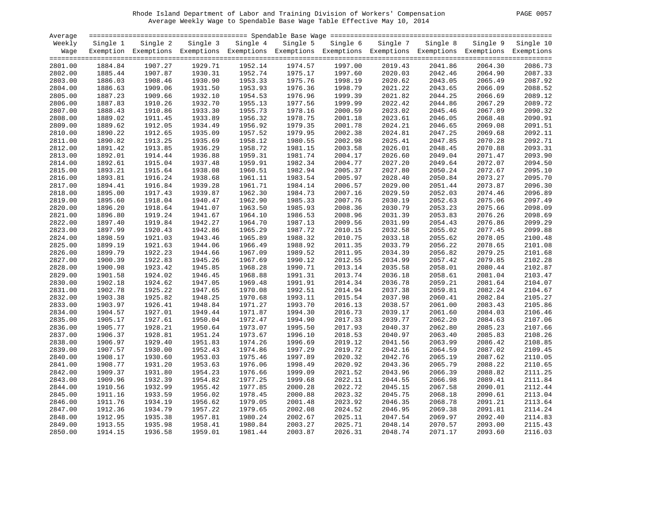# Rhode Island Department of Labor and Training Division of Workers' Compensation PAGE 0057 Average Weekly Wage to Spendable Base Wage Table Effective May 10, 2014

| PAGE | 0057 |
|------|------|
|      |      |

| Average            |                    |                                                                                                              |                    |                    |                    |                    |                    |                    |                    |                    |
|--------------------|--------------------|--------------------------------------------------------------------------------------------------------------|--------------------|--------------------|--------------------|--------------------|--------------------|--------------------|--------------------|--------------------|
| Weekly             | Single 1           | Single 2                                                                                                     | Single 3           | Single 4           | Single 5           | Single 6           | Single 7           | Single 8           | Single 9           | Single 10          |
| Wage               |                    | Exemption Exemptions Exemptions Exemptions Exemptions Exemptions Exemptions Exemptions Exemptions Exemptions |                    |                    |                    |                    |                    |                    |                    |                    |
|                    |                    |                                                                                                              |                    |                    |                    |                    |                    |                    |                    |                    |
| 2801.00            | 1884.84            | 1907.27                                                                                                      | 1929.71            | 1952.14            | 1974.57            | 1997.00            | 2019.43            | 2041.86            | 2064.30            | 2086.73            |
| 2802.00            | 1885.44            | 1907.87                                                                                                      | 1930.31            | 1952.74            | 1975.17            | 1997.60            | 2020.03            | 2042.46            | 2064.90            | 2087.33            |
| 2803.00            | 1886.03            | 1908.46                                                                                                      | 1930.90            | 1953.33            | 1975.76            | 1998.19            | 2020.62            | 2043.05            | 2065.49            | 2087.92            |
| 2804.00            | 1886.63            | 1909.06                                                                                                      | 1931.50            | 1953.93            | 1976.36            | 1998.79            | 2021.22            | 2043.65            | 2066.09            | 2088.52            |
| 2805.00            | 1887.23            | 1909.66                                                                                                      | 1932.10            | 1954.53            | 1976.96            | 1999.39            | 2021.82            | 2044.25            | 2066.69            | 2089.12            |
| 2806.00            | 1887.83            | 1910.26                                                                                                      | 1932.70            | 1955.13            | 1977.56            | 1999.99            | 2022.42            | 2044.86            | 2067.29            | 2089.72            |
| 2807.00            | 1888.43            | 1910.86                                                                                                      | 1933.30            | 1955.73            | 1978.16            | 2000.59            | 2023.02            | 2045.46            | 2067.89            | 2090.32            |
| 2808.00            | 1889.02            | 1911.45                                                                                                      | 1933.89            | 1956.32            | 1978.75            | 2001.18            | 2023.61            | 2046.05            | 2068.48            | 2090.91            |
| 2809.00            | 1889.62            | 1912.05                                                                                                      | 1934.49            | 1956.92            | 1979.35            | 2001.78            | 2024.21            | 2046.65            | 2069.08            | 2091.51            |
| 2810.00            | 1890.22            | 1912.65                                                                                                      | 1935.09            | 1957.52            | 1979.95            | 2002.38            | 2024.81            | 2047.25            | 2069.68            | 2092.11            |
| 2811.00            | 1890.82            | 1913.25                                                                                                      | 1935.69            | 1958.12            | 1980.55            | 2002.98            | 2025.41            | 2047.85            | 2070.28            | 2092.71            |
| 2812.00            | 1891.42            | 1913.85                                                                                                      | 1936.29            | 1958.72            | 1981.15            | 2003.58            | 2026.01            | 2048.45            | 2070.88            | 2093.31            |
| 2813.00            | 1892.01            | 1914.44                                                                                                      | 1936.88            | 1959.31            | 1981.74            | 2004.17            | 2026.60            | 2049.04            | 2071.47            | 2093.90            |
| 2814.00            | 1892.61            | 1915.04                                                                                                      | 1937.48            | 1959.91            | 1982.34            | 2004.77            | 2027.20            | 2049.64            | 2072.07            | 2094.50            |
| 2815.00            | 1893.21            | 1915.64                                                                                                      | 1938.08            | 1960.51            | 1982.94            | 2005.37            | 2027.80            | 2050.24            | 2072.67            | 2095.10            |
| 2816.00            | 1893.81            | 1916.24                                                                                                      | 1938.68            | 1961.11            | 1983.54            | 2005.97            | 2028.40            | 2050.84            | 2073.27            | 2095.70            |
| 2817.00            | 1894.41            | 1916.84                                                                                                      | 1939.28            | 1961.71            | 1984.14            | 2006.57            | 2029.00            | 2051.44            | 2073.87            | 2096.30            |
| 2818.00            | 1895.00            | 1917.43                                                                                                      | 1939.87            | 1962.30            | 1984.73            | 2007.16            | 2029.59            | 2052.03            | 2074.46            | 2096.89            |
| 2819.00            | 1895.60            | 1918.04                                                                                                      | 1940.47            | 1962.90            | 1985.33            | 2007.76            | 2030.19            | 2052.63            | 2075.06            | 2097.49            |
| 2820.00            | 1896.20            | 1918.64                                                                                                      | 1941.07            | 1963.50            | 1985.93            | 2008.36            | 2030.79            | 2053.23            | 2075.66            | 2098.09            |
| 2821.00            | 1896.80            | 1919.24                                                                                                      | 1941.67            | 1964.10            | 1986.53            | 2008.96            | 2031.39            | 2053.83            | 2076.26            | 2098.69            |
| 2822.00            | 1897.40            | 1919.84                                                                                                      | 1942.27            | 1964.70            | 1987.13            | 2009.56            | 2031.99            | 2054.43            | 2076.86            | 2099.29            |
| 2823.00            | 1897.99            | 1920.43                                                                                                      | 1942.86            | 1965.29            | 1987.72            | 2010.15            | 2032.58            | 2055.02            | 2077.45            | 2099.88            |
| 2824.00            | 1898.59            | 1921.03                                                                                                      | 1943.46            | 1965.89            | 1988.32            | 2010.75            | 2033.18            | 2055.62            | 2078.05            | 2100.48            |
| 2825.00            | 1899.19            | 1921.63                                                                                                      | 1944.06            | 1966.49            | 1988.92            | 2011.35            | 2033.79            | 2056.22            | 2078.65            | 2101.08            |
| 2826.00            | 1899.79            | 1922.23                                                                                                      | 1944.66            | 1967.09            | 1989.52            | 2011.95            | 2034.39            | 2056.82            | 2079.25            | 2101.68            |
|                    |                    |                                                                                                              |                    |                    |                    |                    |                    |                    |                    | 2102.28            |
| 2827.00            | 1900.39<br>1900.98 | 1922.83<br>1923.42                                                                                           | 1945.26<br>1945.85 | 1967.69<br>1968.28 | 1990.12<br>1990.71 | 2012.55<br>2013.14 | 2034.99<br>2035.58 | 2057.42            | 2079.85<br>2080.44 | 2102.87            |
| 2828.00<br>2829.00 | 1901.58            | 1924.02                                                                                                      | 1946.45            | 1968.88            | 1991.31            | 2013.74            | 2036.18            | 2058.01<br>2058.61 | 2081.04            | 2103.47            |
| 2830.00            | 1902.18            | 1924.62                                                                                                      | 1947.05            | 1969.48            | 1991.91            | 2014.34            | 2036.78            | 2059.21            | 2081.64            | 2104.07            |
|                    |                    |                                                                                                              | 1947.65            | 1970.08            |                    |                    |                    | 2059.81            |                    | 2104.67            |
| 2831.00            | 1902.78<br>1903.38 | 1925.22<br>1925.82                                                                                           | 1948.25            |                    | 1992.51<br>1993.11 | 2014.94<br>2015.54 | 2037.38<br>2037.98 |                    | 2082.24<br>2082.84 | 2105.27            |
| 2832.00            |                    |                                                                                                              |                    | 1970.68            |                    |                    |                    | 2060.41            |                    |                    |
| 2833.00            | 1903.97            | 1926.41                                                                                                      | 1948.84            | 1971.27            | 1993.70            | 2016.13            | 2038.57            | 2061.00            | 2083.43            | 2105.86            |
| 2834.00            | 1904.57            | 1927.01                                                                                                      | 1949.44            | 1971.87            | 1994.30            | 2016.73            | 2039.17            | 2061.60            | 2084.03            | 2106.46<br>2107.06 |
| 2835.00            | 1905.17            | 1927.61                                                                                                      | 1950.04            | 1972.47            | 1994.90            | 2017.33            | 2039.77            | 2062.20            | 2084.63            | 2107.66            |
| 2836.00            | 1905.77            | 1928.21                                                                                                      | 1950.64            | 1973.07            | 1995.50            | 2017.93            | 2040.37            | 2062.80            | 2085.23            |                    |
| 2837.00            | 1906.37            | 1928.81                                                                                                      | 1951.24            | 1973.67            | 1996.10            | 2018.53            | 2040.97            | 2063.40            | 2085.83            | 2108.26            |
| 2838.00            | 1906.97            | 1929.40                                                                                                      | 1951.83            | 1974.26            | 1996.69            | 2019.12            | 2041.56            | 2063.99            | 2086.42            | 2108.85            |
| 2839.00            | 1907.57            | 1930.00                                                                                                      | 1952.43            | 1974.86            | 1997.29            | 2019.72            | 2042.16            | 2064.59            | 2087.02            | 2109.45            |
| 2840.00            | 1908.17            | 1930.60                                                                                                      | 1953.03            | 1975.46            | 1997.89            | 2020.32            | 2042.76            | 2065.19            | 2087.62            | 2110.05            |
| 2841.00            | 1908.77            | 1931.20                                                                                                      | 1953.63            | 1976.06            | 1998.49            | 2020.92            | 2043.36            | 2065.79            | 2088.22            | 2110.65            |
| 2842.00            | 1909.37            | 1931.80                                                                                                      | 1954.23            | 1976.66            | 1999.09            | 2021.52            | 2043.96            | 2066.39            | 2088.82            | 2111.25            |
| 2843.00            | 1909.96            | 1932.39                                                                                                      | 1954.82            | 1977.25            | 1999.68            | 2022.11            | 2044.55            | 2066.98            | 2089.41            | 2111.84            |
| 2844.00            | 1910.56            | 1932.99                                                                                                      | 1955.42            | 1977.85            | 2000.28            | 2022.72            | 2045.15            | 2067.58            | 2090.01            | 2112.44            |
| 2845.00            | 1911.16            | 1933.59                                                                                                      | 1956.02            | 1978.45            | 2000.88            | 2023.32            | 2045.75            | 2068.18            | 2090.61            | 2113.04            |
| 2846.00            | 1911.76            | 1934.19                                                                                                      | 1956.62            | 1979.05            | 2001.48            | 2023.92            | 2046.35            | 2068.78            | 2091.21            | 2113.64            |
| 2847.00            | 1912.36            | 1934.79                                                                                                      | 1957.22            | 1979.65            | 2002.08            | 2024.52            | 2046.95            | 2069.38            | 2091.81            | 2114.24            |
| 2848.00            | 1912.95            | 1935.38                                                                                                      | 1957.81            | 1980.24            | 2002.67            | 2025.11            | 2047.54            | 2069.97            | 2092.40            | 2114.83            |
| 2849.00            | 1913.55            | 1935.98                                                                                                      | 1958.41            | 1980.84            | 2003.27            | 2025.71            | 2048.14            | 2070.57            | 2093.00            | 2115.43            |
| 2850.00            | 1914.15            | 1936.58                                                                                                      | 1959.01            | 1981.44            | 2003.87            | 2026.31            | 2048.74            | 2071.17            | 2093.60            | 2116.03            |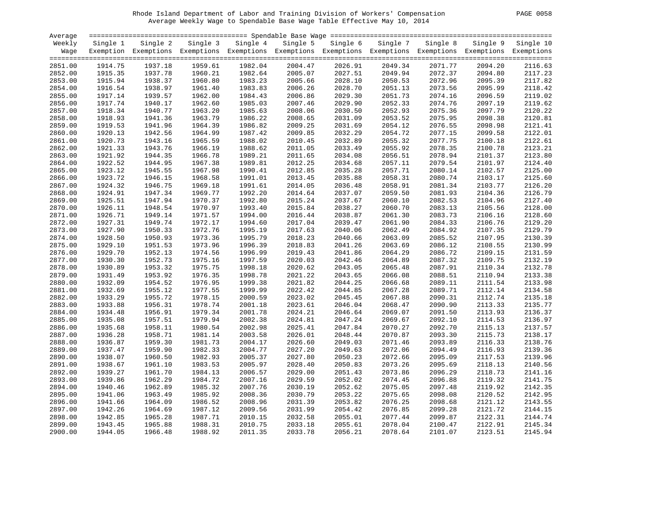# Rhode Island Department of Labor and Training Division of Workers' Compensation PAGE 0058 Average Weekly Wage to Spendable Base Wage Table Effective May 10, 2014

| PAGE<br>0058 |  |  |
|--------------|--|--|
|--------------|--|--|

| Average |          |                                                                                                              |          |          |          |          |          |          |          |           |
|---------|----------|--------------------------------------------------------------------------------------------------------------|----------|----------|----------|----------|----------|----------|----------|-----------|
| Weekly  | Single 1 | Single 2                                                                                                     | Single 3 | Single 4 | Single 5 | Single 6 | Single 7 | Single 8 | Single 9 | Single 10 |
| Wage    |          | Exemption Exemptions Exemptions Exemptions Exemptions Exemptions Exemptions Exemptions Exemptions Exemptions |          |          |          |          |          |          |          |           |
|         |          |                                                                                                              |          |          |          |          |          |          |          |           |
| 2851.00 | 1914.75  | 1937.18                                                                                                      | 1959.61  | 1982.04  | 2004.47  | 2026.91  | 2049.34  | 2071.77  | 2094.20  | 2116.63   |
| 2852.00 | 1915.35  | 1937.78                                                                                                      | 1960.21  | 1982.64  | 2005.07  | 2027.51  | 2049.94  | 2072.37  | 2094.80  | 2117.23   |
| 2853.00 | 1915.94  | 1938.37                                                                                                      | 1960.80  | 1983.23  | 2005.66  | 2028.10  | 2050.53  | 2072.96  | 2095.39  | 2117.82   |
| 2854.00 | 1916.54  | 1938.97                                                                                                      | 1961.40  | 1983.83  | 2006.26  | 2028.70  | 2051.13  | 2073.56  | 2095.99  | 2118.42   |
| 2855.00 | 1917.14  | 1939.57                                                                                                      | 1962.00  | 1984.43  | 2006.86  | 2029.30  | 2051.73  | 2074.16  | 2096.59  | 2119.02   |
| 2856.00 | 1917.74  | 1940.17                                                                                                      | 1962.60  | 1985.03  | 2007.46  | 2029.90  | 2052.33  | 2074.76  | 2097.19  | 2119.62   |
| 2857.00 | 1918.34  | 1940.77                                                                                                      | 1963.20  | 1985.63  | 2008.06  | 2030.50  | 2052.93  | 2075.36  | 2097.79  | 2120.22   |
| 2858.00 | 1918.93  | 1941.36                                                                                                      | 1963.79  | 1986.22  | 2008.65  | 2031.09  | 2053.52  | 2075.95  | 2098.38  | 2120.81   |
| 2859.00 | 1919.53  | 1941.96                                                                                                      | 1964.39  | 1986.82  | 2009.25  | 2031.69  | 2054.12  | 2076.55  | 2098.98  | 2121.41   |
| 2860.00 | 1920.13  | 1942.56                                                                                                      | 1964.99  | 1987.42  | 2009.85  | 2032.29  | 2054.72  | 2077.15  | 2099.58  | 2122.01   |
| 2861.00 | 1920.73  | 1943.16                                                                                                      | 1965.59  | 1988.02  | 2010.45  | 2032.89  | 2055.32  | 2077.75  | 2100.18  | 2122.61   |
| 2862.00 | 1921.33  | 1943.76                                                                                                      | 1966.19  | 1988.62  | 2011.05  | 2033.49  | 2055.92  | 2078.35  | 2100.78  | 2123.21   |
| 2863.00 | 1921.92  | 1944.35                                                                                                      | 1966.78  | 1989.21  | 2011.65  | 2034.08  | 2056.51  | 2078.94  | 2101.37  | 2123.80   |
| 2864.00 | 1922.52  | 1944.95                                                                                                      | 1967.38  | 1989.81  | 2012.25  | 2034.68  | 2057.11  | 2079.54  | 2101.97  | 2124.40   |
| 2865.00 | 1923.12  | 1945.55                                                                                                      | 1967.98  | 1990.41  | 2012.85  | 2035.28  | 2057.71  | 2080.14  | 2102.57  | 2125.00   |
| 2866.00 | 1923.72  | 1946.15                                                                                                      | 1968.58  | 1991.01  | 2013.45  | 2035.88  | 2058.31  | 2080.74  | 2103.17  | 2125.60   |
| 2867.00 |          | 1946.75                                                                                                      | 1969.18  | 1991.61  |          | 2036.48  | 2058.91  | 2081.34  |          | 2126.20   |
|         | 1924.32  | 1947.34                                                                                                      | 1969.77  | 1992.20  | 2014.05  |          | 2059.50  | 2081.93  | 2103.77  | 2126.79   |
| 2868.00 | 1924.91  |                                                                                                              |          |          | 2014.64  | 2037.07  |          |          | 2104.36  | 2127.40   |
| 2869.00 | 1925.51  | 1947.94                                                                                                      | 1970.37  | 1992.80  | 2015.24  | 2037.67  | 2060.10  | 2082.53  | 2104.96  |           |
| 2870.00 | 1926.11  | 1948.54                                                                                                      | 1970.97  | 1993.40  | 2015.84  | 2038.27  | 2060.70  | 2083.13  | 2105.56  | 2128.00   |
| 2871.00 | 1926.71  | 1949.14                                                                                                      | 1971.57  | 1994.00  | 2016.44  | 2038.87  | 2061.30  | 2083.73  | 2106.16  | 2128.60   |
| 2872.00 | 1927.31  | 1949.74                                                                                                      | 1972.17  | 1994.60  | 2017.04  | 2039.47  | 2061.90  | 2084.33  | 2106.76  | 2129.20   |
| 2873.00 | 1927.90  | 1950.33                                                                                                      | 1972.76  | 1995.19  | 2017.63  | 2040.06  | 2062.49  | 2084.92  | 2107.35  | 2129.79   |
| 2874.00 | 1928.50  | 1950.93                                                                                                      | 1973.36  | 1995.79  | 2018.23  | 2040.66  | 2063.09  | 2085.52  | 2107.95  | 2130.39   |
| 2875.00 | 1929.10  | 1951.53                                                                                                      | 1973.96  | 1996.39  | 2018.83  | 2041.26  | 2063.69  | 2086.12  | 2108.55  | 2130.99   |
| 2876.00 | 1929.70  | 1952.13                                                                                                      | 1974.56  | 1996.99  | 2019.43  | 2041.86  | 2064.29  | 2086.72  | 2109.15  | 2131.59   |
| 2877.00 | 1930.30  | 1952.73                                                                                                      | 1975.16  | 1997.59  | 2020.03  | 2042.46  | 2064.89  | 2087.32  | 2109.75  | 2132.19   |
| 2878.00 | 1930.89  | 1953.32                                                                                                      | 1975.75  | 1998.18  | 2020.62  | 2043.05  | 2065.48  | 2087.91  | 2110.34  | 2132.78   |
| 2879.00 | 1931.49  | 1953.92                                                                                                      | 1976.35  | 1998.78  | 2021.22  | 2043.65  | 2066.08  | 2088.51  | 2110.94  | 2133.38   |
| 2880.00 | 1932.09  | 1954.52                                                                                                      | 1976.95  | 1999.38  | 2021.82  | 2044.25  | 2066.68  | 2089.11  | 2111.54  | 2133.98   |
| 2881.00 | 1932.69  | 1955.12                                                                                                      | 1977.55  | 1999.99  | 2022.42  | 2044.85  | 2067.28  | 2089.71  | 2112.14  | 2134.58   |
| 2882.00 | 1933.29  | 1955.72                                                                                                      | 1978.15  | 2000.59  | 2023.02  | 2045.45  | 2067.88  | 2090.31  | 2112.74  | 2135.18   |
| 2883.00 | 1933.88  | 1956.31                                                                                                      | 1978.74  | 2001.18  | 2023.61  | 2046.04  | 2068.47  | 2090.90  | 2113.33  | 2135.77   |
| 2884.00 | 1934.48  | 1956.91                                                                                                      | 1979.34  | 2001.78  | 2024.21  | 2046.64  | 2069.07  | 2091.50  | 2113.93  | 2136.37   |
| 2885.00 | 1935.08  | 1957.51                                                                                                      | 1979.94  | 2002.38  | 2024.81  | 2047.24  | 2069.67  | 2092.10  | 2114.53  | 2136.97   |
| 2886.00 | 1935.68  | 1958.11                                                                                                      | 1980.54  | 2002.98  | 2025.41  | 2047.84  | 2070.27  | 2092.70  | 2115.13  | 2137.57   |
| 2887.00 | 1936.28  | 1958.71                                                                                                      | 1981.14  | 2003.58  | 2026.01  | 2048.44  | 2070.87  | 2093.30  | 2115.73  | 2138.17   |
| 2888.00 | 1936.87  | 1959.30                                                                                                      | 1981.73  | 2004.17  | 2026.60  | 2049.03  | 2071.46  | 2093.89  | 2116.33  | 2138.76   |
| 2889.00 | 1937.47  | 1959.90                                                                                                      | 1982.33  | 2004.77  | 2027.20  | 2049.63  | 2072.06  | 2094.49  | 2116.93  | 2139.36   |
| 2890.00 | 1938.07  | 1960.50                                                                                                      | 1982.93  | 2005.37  | 2027.80  | 2050.23  | 2072.66  | 2095.09  | 2117.53  | 2139.96   |
| 2891.00 | 1938.67  | 1961.10                                                                                                      | 1983.53  | 2005.97  | 2028.40  | 2050.83  | 2073.26  | 2095.69  | 2118.13  | 2140.56   |
| 2892.00 | 1939.27  | 1961.70                                                                                                      | 1984.13  | 2006.57  | 2029.00  | 2051.43  | 2073.86  | 2096.29  | 2118.73  | 2141.16   |
| 2893.00 | 1939.86  | 1962.29                                                                                                      | 1984.72  | 2007.16  | 2029.59  | 2052.02  | 2074.45  | 2096.88  | 2119.32  | 2141.75   |
| 2894.00 | 1940.46  | 1962.89                                                                                                      | 1985.32  | 2007.76  | 2030.19  | 2052.62  | 2075.05  | 2097.48  | 2119.92  | 2142.35   |
| 2895.00 | 1941.06  | 1963.49                                                                                                      | 1985.92  | 2008.36  | 2030.79  | 2053.22  | 2075.65  | 2098.08  | 2120.52  | 2142.95   |
| 2896.00 | 1941.66  | 1964.09                                                                                                      | 1986.52  | 2008.96  | 2031.39  | 2053.82  | 2076.25  | 2098.68  | 2121.12  | 2143.55   |
| 2897.00 | 1942.26  | 1964.69                                                                                                      | 1987.12  | 2009.56  | 2031.99  | 2054.42  | 2076.85  | 2099.28  | 2121.72  | 2144.15   |
| 2898.00 | 1942.85  | 1965.28                                                                                                      | 1987.71  | 2010.15  | 2032.58  | 2055.01  | 2077.44  | 2099.87  | 2122.31  | 2144.74   |
| 2899.00 | 1943.45  | 1965.88                                                                                                      | 1988.31  | 2010.75  | 2033.18  | 2055.61  | 2078.04  | 2100.47  | 2122.91  | 2145.34   |
| 2900.00 | 1944.05  | 1966.48                                                                                                      | 1988.92  | 2011.35  | 2033.78  | 2056.21  | 2078.64  | 2101.07  | 2123.51  | 2145.94   |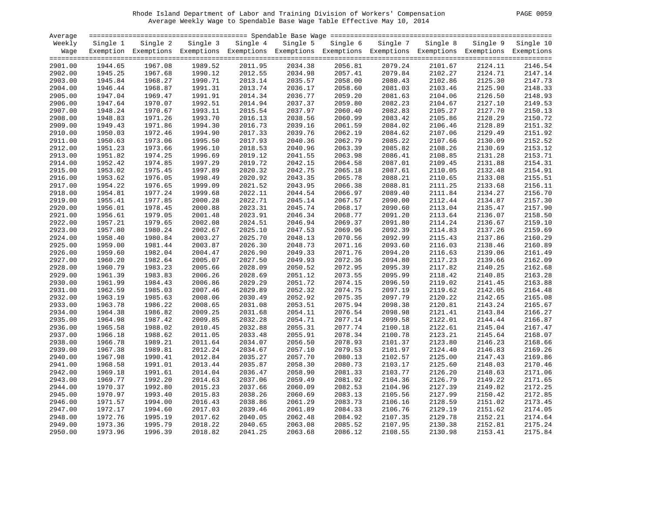# Rhode Island Department of Labor and Training Division of Workers' Compensation PAGE 0059 Average Weekly Wage to Spendable Base Wage Table Effective May 10, 2014

| PAGE 0059 |  |  |
|-----------|--|--|
|-----------|--|--|

| Average            |                    |                                                                                                              |                    |          |                    |                    |                    |                    |                    |           |
|--------------------|--------------------|--------------------------------------------------------------------------------------------------------------|--------------------|----------|--------------------|--------------------|--------------------|--------------------|--------------------|-----------|
| Weekly             | Single 1           | Single 2                                                                                                     | Single 3           | Single 4 | Single 5           | Single 6           | Single 7           | Single 8           | Single 9           | Single 10 |
| Wage               |                    | Exemption Exemptions Exemptions Exemptions Exemptions Exemptions Exemptions Exemptions Exemptions Exemptions |                    |          |                    |                    |                    |                    |                    |           |
|                    |                    |                                                                                                              |                    |          |                    |                    |                    |                    |                    |           |
| 2901.00            | 1944.65            | 1967.08                                                                                                      | 1989.52            | 2011.95  | 2034.38            | 2056.81            | 2079.24            | 2101.67            | 2124.11            | 2146.54   |
| 2902.00            | 1945.25            | 1967.68                                                                                                      | 1990.12            | 2012.55  | 2034.98            | 2057.41            | 2079.84            | 2102.27            | 2124.71            | 2147.14   |
| 2903.00            | 1945.84            | 1968.27                                                                                                      | 1990.71            | 2013.14  | 2035.57            | 2058.00            | 2080.43            | 2102.86            | 2125.30            | 2147.73   |
| 2904.00            | 1946.44            | 1968.87                                                                                                      | 1991.31            | 2013.74  | 2036.17            | 2058.60            | 2081.03            | 2103.46            | 2125.90            | 2148.33   |
| 2905.00            | 1947.04            | 1969.47                                                                                                      | 1991.91            | 2014.34  | 2036.77            | 2059.20            | 2081.63            | 2104.06            | 2126.50            | 2148.93   |
| 2906.00            | 1947.64            | 1970.07                                                                                                      | 1992.51            | 2014.94  | 2037.37            | 2059.80            | 2082.23            | 2104.67            | 2127.10            | 2149.53   |
| 2907.00            | 1948.24            | 1970.67                                                                                                      | 1993.11            | 2015.54  | 2037.97            | 2060.40            | 2082.83            | 2105.27            | 2127.70            | 2150.13   |
| 2908.00            | 1948.83            | 1971.26                                                                                                      | 1993.70            | 2016.13  | 2038.56            | 2060.99            | 2083.42            | 2105.86            | 2128.29            | 2150.72   |
| 2909.00            | 1949.43            | 1971.86                                                                                                      | 1994.30            | 2016.73  | 2039.16            | 2061.59            | 2084.02            | 2106.46            | 2128.89            | 2151.32   |
| 2910.00            | 1950.03            | 1972.46                                                                                                      | 1994.90            | 2017.33  | 2039.76            | 2062.19            | 2084.62            | 2107.06            | 2129.49            | 2151.92   |
| 2911.00            | 1950.63            | 1973.06                                                                                                      | 1995.50            | 2017.93  | 2040.36            | 2062.79            | 2085.22            | 2107.66            | 2130.09            | 2152.52   |
| 2912.00            | 1951.23            | 1973.66                                                                                                      | 1996.10            | 2018.53  | 2040.96            | 2063.39            | 2085.82            | 2108.26            | 2130.69            | 2153.12   |
| 2913.00            | 1951.82            | 1974.25                                                                                                      | 1996.69            | 2019.12  | 2041.55            | 2063.98            | 2086.41            | 2108.85            | 2131.28            | 2153.71   |
| 2914.00            | 1952.42            | 1974.85                                                                                                      | 1997.29            | 2019.72  | 2042.15            | 2064.58            | 2087.01            | 2109.45            | 2131.88            | 2154.31   |
| 2915.00            | 1953.02            | 1975.45                                                                                                      | 1997.89            | 2020.32  | 2042.75            | 2065.18            | 2087.61            | 2110.05            | 2132.48            | 2154.91   |
| 2916.00            | 1953.62            | 1976.05                                                                                                      | 1998.49            | 2020.92  | 2043.35            | 2065.78            | 2088.21            | 2110.65            | 2133.08            | 2155.51   |
| 2917.00            | 1954.22            | 1976.65                                                                                                      | 1999.09            | 2021.52  | 2043.95            | 2066.38            | 2088.81            | 2111.25            | 2133.68            | 2156.11   |
| 2918.00            | 1954.81            | 1977.24                                                                                                      | 1999.68            | 2022.11  | 2044.54            | 2066.97            | 2089.40            | 2111.84            | 2134.27            | 2156.70   |
| 2919.00            | 1955.41            | 1977.85                                                                                                      | 2000.28            | 2022.71  | 2045.14            | 2067.57            | 2090.00            | 2112.44            | 2134.87            | 2157.30   |
| 2920.00            | 1956.01            | 1978.45                                                                                                      | 2000.88            | 2023.31  | 2045.74            | 2068.17            | 2090.60            | 2113.04            | 2135.47            | 2157.90   |
| 2921.00            | 1956.61            | 1979.05                                                                                                      | 2001.48            | 2023.91  | 2046.34            | 2068.77            | 2091.20            | 2113.64            | 2136.07            | 2158.50   |
| 2922.00            | 1957.21            | 1979.65                                                                                                      | 2002.08            | 2024.51  | 2046.94            | 2069.37            | 2091.80            | 2114.24            | 2136.67            | 2159.10   |
| 2923.00            | 1957.80            | 1980.24                                                                                                      | 2002.67            | 2025.10  | 2047.53            | 2069.96            | 2092.39            | 2114.83            | 2137.26            | 2159.69   |
| 2924.00            | 1958.40            | 1980.84                                                                                                      | 2003.27            | 2025.70  | 2048.13            | 2070.56            | 2092.99            | 2115.43            | 2137.86            | 2160.29   |
| 2925.00            | 1959.00            | 1981.44                                                                                                      | 2003.87            | 2026.30  | 2048.73            | 2071.16            | 2093.60            | 2116.03            | 2138.46            | 2160.89   |
| 2926.00            | 1959.60            | 1982.04                                                                                                      | 2004.47            | 2026.90  | 2049.33            | 2071.76            | 2094.20            | 2116.63            | 2139.06            | 2161.49   |
|                    |                    |                                                                                                              |                    | 2027.50  |                    |                    |                    |                    |                    | 2162.09   |
| 2927.00<br>2928.00 | 1960.20<br>1960.79 | 1982.64<br>1983.23                                                                                           | 2005.07<br>2005.66 | 2028.09  | 2049.93<br>2050.52 | 2072.36<br>2072.95 | 2094.80<br>2095.39 | 2117.23            | 2139.66<br>2140.25 | 2162.68   |
| 2929.00            | 1961.39            | 1983.83                                                                                                      | 2006.26            | 2028.69  | 2051.12            | 2073.55            | 2095.99            | 2117.82<br>2118.42 | 2140.85            | 2163.28   |
| 2930.00            | 1961.99            | 1984.43                                                                                                      | 2006.86            | 2029.29  | 2051.72            | 2074.15            | 2096.59            | 2119.02            | 2141.45            | 2163.88   |
|                    |                    | 1985.03                                                                                                      | 2007.46            | 2029.89  |                    |                    | 2097.19            | 2119.62            |                    | 2164.48   |
| 2931.00            | 1962.59<br>1963.19 |                                                                                                              |                    |          | 2052.32            | 2074.75            |                    |                    | 2142.05            |           |
| 2932.00            |                    | 1985.63                                                                                                      | 2008.06            | 2030.49  | 2052.92            | 2075.35            | 2097.79            | 2120.22            | 2142.65            | 2165.08   |
| 2933.00            | 1963.78            | 1986.22                                                                                                      | 2008.65            | 2031.08  | 2053.51            | 2075.94            | 2098.38            | 2120.81            | 2143.24            | 2165.67   |
| 2934.00            | 1964.38            | 1986.82                                                                                                      | 2009.25            | 2031.68  | 2054.11            | 2076.54            | 2098.98            | 2121.41            | 2143.84            | 2166.27   |
| 2935.00            | 1964.98            | 1987.42                                                                                                      | 2009.85            | 2032.28  | 2054.71            | 2077.14            | 2099.58            | 2122.01            | 2144.44            | 2166.87   |
| 2936.00            | 1965.58            | 1988.02                                                                                                      | 2010.45            | 2032.88  | 2055.31            | 2077.74            | 2100.18            | 2122.61            | 2145.04            | 2167.47   |
| 2937.00            | 1966.18            | 1988.62                                                                                                      | 2011.05            | 2033.48  | 2055.91            | 2078.34            | 2100.78            | 2123.21            | 2145.64            | 2168.07   |
| 2938.00            | 1966.78            | 1989.21                                                                                                      | 2011.64            | 2034.07  | 2056.50            | 2078.93            | 2101.37            | 2123.80            | 2146.23            | 2168.66   |
| 2939.00            | 1967.38            | 1989.81                                                                                                      | 2012.24            | 2034.67  | 2057.10            | 2079.53            | 2101.97            | 2124.40            | 2146.83            | 2169.26   |
| 2940.00            | 1967.98            | 1990.41                                                                                                      | 2012.84            | 2035.27  | 2057.70            | 2080.13            | 2102.57            | 2125.00            | 2147.43            | 2169.86   |
| 2941.00            | 1968.58            | 1991.01                                                                                                      | 2013.44            | 2035.87  | 2058.30            | 2080.73            | 2103.17            | 2125.60            | 2148.03            | 2170.46   |
| 2942.00            | 1969.18            | 1991.61                                                                                                      | 2014.04            | 2036.47  | 2058.90            | 2081.33            | 2103.77            | 2126.20            | 2148.63            | 2171.06   |
| 2943.00            | 1969.77            | 1992.20                                                                                                      | 2014.63            | 2037.06  | 2059.49            | 2081.92            | 2104.36            | 2126.79            | 2149.22            | 2171.65   |
| 2944.00            | 1970.37            | 1992.80                                                                                                      | 2015.23            | 2037.66  | 2060.09            | 2082.53            | 2104.96            | 2127.39            | 2149.82            | 2172.25   |
| 2945.00            | 1970.97            | 1993.40                                                                                                      | 2015.83            | 2038.26  | 2060.69            | 2083.13            | 2105.56            | 2127.99            | 2150.42            | 2172.85   |
| 2946.00            | 1971.57            | 1994.00                                                                                                      | 2016.43            | 2038.86  | 2061.29            | 2083.73            | 2106.16            | 2128.59            | 2151.02            | 2173.45   |
| 2947.00            | 1972.17            | 1994.60                                                                                                      | 2017.03            | 2039.46  | 2061.89            | 2084.33            | 2106.76            | 2129.19            | 2151.62            | 2174.05   |
| 2948.00            | 1972.76            | 1995.19                                                                                                      | 2017.62            | 2040.05  | 2062.48            | 2084.92            | 2107.35            | 2129.78            | 2152.21            | 2174.64   |
| 2949.00            | 1973.36            | 1995.79                                                                                                      | 2018.22            | 2040.65  | 2063.08            | 2085.52            | 2107.95            | 2130.38            | 2152.81            | 2175.24   |
| 2950.00            | 1973.96            | 1996.39                                                                                                      | 2018.82            | 2041.25  | 2063.68            | 2086.12            | 2108.55            | 2130.98            | 2153.41            | 2175.84   |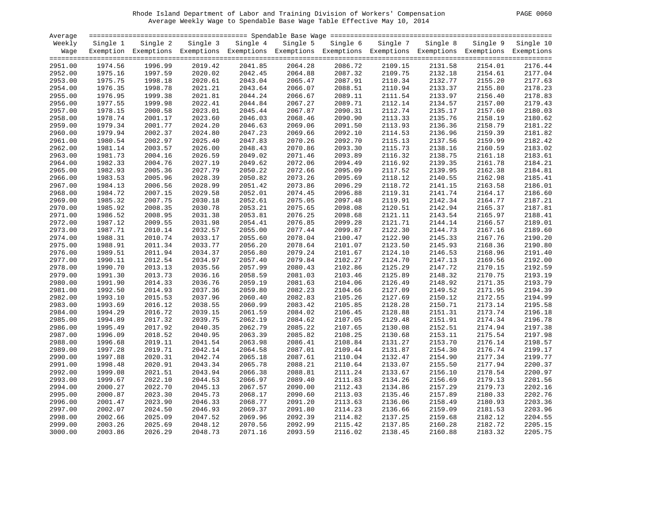# Rhode Island Department of Labor and Training Division of Workers' Compensation PAGE 0060 Average Weekly Wage to Spendable Base Wage Table Effective May 10, 2014

| PAGE | 0060 |  |
|------|------|--|
|------|------|--|

| Average |          |                                                                                                              |          |          |          |          |          |          |          |           |
|---------|----------|--------------------------------------------------------------------------------------------------------------|----------|----------|----------|----------|----------|----------|----------|-----------|
| Weekly  | Single 1 | Single 2                                                                                                     | Single 3 | Single 4 | Single 5 | Single 6 | Single 7 | Single 8 | Single 9 | Single 10 |
| Wage    |          | Exemption Exemptions Exemptions Exemptions Exemptions Exemptions Exemptions Exemptions Exemptions Exemptions |          |          |          |          |          |          |          |           |
|         |          |                                                                                                              |          |          |          |          |          |          |          |           |
| 2951.00 | 1974.56  | 1996.99                                                                                                      | 2019.42  | 2041.85  | 2064.28  | 2086.72  | 2109.15  | 2131.58  | 2154.01  | 2176.44   |
| 2952.00 | 1975.16  | 1997.59                                                                                                      | 2020.02  | 2042.45  | 2064.88  | 2087.32  | 2109.75  | 2132.18  | 2154.61  | 2177.04   |
| 2953.00 | 1975.75  | 1998.18                                                                                                      | 2020.61  | 2043.04  | 2065.47  | 2087.91  | 2110.34  | 2132.77  | 2155.20  | 2177.63   |
| 2954.00 | 1976.35  | 1998.78                                                                                                      | 2021.21  | 2043.64  | 2066.07  | 2088.51  | 2110.94  | 2133.37  | 2155.80  | 2178.23   |
| 2955.00 | 1976.95  | 1999.38                                                                                                      | 2021.81  | 2044.24  | 2066.67  | 2089.11  | 2111.54  | 2133.97  | 2156.40  | 2178.83   |
| 2956.00 | 1977.55  | 1999.98                                                                                                      | 2022.41  | 2044.84  | 2067.27  | 2089.71  | 2112.14  | 2134.57  | 2157.00  | 2179.43   |
| 2957.00 | 1978.15  | 2000.58                                                                                                      | 2023.01  | 2045.44  | 2067.87  | 2090.31  | 2112.74  | 2135.17  | 2157.60  | 2180.03   |
| 2958.00 | 1978.74  | 2001.17                                                                                                      | 2023.60  | 2046.03  | 2068.46  | 2090.90  | 2113.33  | 2135.76  | 2158.19  | 2180.62   |
| 2959.00 | 1979.34  | 2001.77                                                                                                      | 2024.20  | 2046.63  | 2069.06  | 2091.50  | 2113.93  | 2136.36  | 2158.79  | 2181.22   |
| 2960.00 | 1979.94  | 2002.37                                                                                                      | 2024.80  | 2047.23  | 2069.66  | 2092.10  | 2114.53  | 2136.96  | 2159.39  | 2181.82   |
| 2961.00 | 1980.54  | 2002.97                                                                                                      | 2025.40  | 2047.83  | 2070.26  | 2092.70  | 2115.13  | 2137.56  | 2159.99  | 2182.42   |
| 2962.00 | 1981.14  | 2003.57                                                                                                      | 2026.00  | 2048.43  | 2070.86  | 2093.30  | 2115.73  | 2138.16  | 2160.59  | 2183.02   |
| 2963.00 | 1981.73  | 2004.16                                                                                                      | 2026.59  | 2049.02  | 2071.46  | 2093.89  | 2116.32  | 2138.75  | 2161.18  | 2183.61   |
| 2964.00 | 1982.33  | 2004.76                                                                                                      | 2027.19  | 2049.62  | 2072.06  | 2094.49  | 2116.92  | 2139.35  | 2161.78  | 2184.21   |
| 2965.00 | 1982.93  | 2005.36                                                                                                      | 2027.79  | 2050.22  | 2072.66  | 2095.09  | 2117.52  | 2139.95  | 2162.38  | 2184.81   |
| 2966.00 | 1983.53  | 2005.96                                                                                                      | 2028.39  | 2050.82  | 2073.26  | 2095.69  | 2118.12  | 2140.55  | 2162.98  | 2185.41   |
| 2967.00 | 1984.13  | 2006.56                                                                                                      | 2028.99  | 2051.42  | 2073.86  | 2096.29  | 2118.72  | 2141.15  | 2163.58  | 2186.01   |
| 2968.00 | 1984.72  | 2007.15                                                                                                      | 2029.58  | 2052.01  | 2074.45  | 2096.88  | 2119.31  | 2141.74  | 2164.17  | 2186.60   |
|         |          | 2007.75                                                                                                      |          |          |          |          | 2119.91  |          |          | 2187.21   |
| 2969.00 | 1985.32  |                                                                                                              | 2030.18  | 2052.61  | 2075.05  | 2097.48  |          | 2142.34  | 2164.77  | 2187.81   |
| 2970.00 | 1985.92  | 2008.35                                                                                                      | 2030.78  | 2053.21  | 2075.65  | 2098.08  | 2120.51  | 2142.94  | 2165.37  |           |
| 2971.00 | 1986.52  | 2008.95                                                                                                      | 2031.38  | 2053.81  | 2076.25  | 2098.68  | 2121.11  | 2143.54  | 2165.97  | 2188.41   |
| 2972.00 | 1987.12  | 2009.55                                                                                                      | 2031.98  | 2054.41  | 2076.85  | 2099.28  | 2121.71  | 2144.14  | 2166.57  | 2189.01   |
| 2973.00 | 1987.71  | 2010.14                                                                                                      | 2032.57  | 2055.00  | 2077.44  | 2099.87  | 2122.30  | 2144.73  | 2167.16  | 2189.60   |
| 2974.00 | 1988.31  | 2010.74                                                                                                      | 2033.17  | 2055.60  | 2078.04  | 2100.47  | 2122.90  | 2145.33  | 2167.76  | 2190.20   |
| 2975.00 | 1988.91  | 2011.34                                                                                                      | 2033.77  | 2056.20  | 2078.64  | 2101.07  | 2123.50  | 2145.93  | 2168.36  | 2190.80   |
| 2976.00 | 1989.51  | 2011.94                                                                                                      | 2034.37  | 2056.80  | 2079.24  | 2101.67  | 2124.10  | 2146.53  | 2168.96  | 2191.40   |
| 2977.00 | 1990.11  | 2012.54                                                                                                      | 2034.97  | 2057.40  | 2079.84  | 2102.27  | 2124.70  | 2147.13  | 2169.56  | 2192.00   |
| 2978.00 | 1990.70  | 2013.13                                                                                                      | 2035.56  | 2057.99  | 2080.43  | 2102.86  | 2125.29  | 2147.72  | 2170.15  | 2192.59   |
| 2979.00 | 1991.30  | 2013.73                                                                                                      | 2036.16  | 2058.59  | 2081.03  | 2103.46  | 2125.89  | 2148.32  | 2170.75  | 2193.19   |
| 2980.00 | 1991.90  | 2014.33                                                                                                      | 2036.76  | 2059.19  | 2081.63  | 2104.06  | 2126.49  | 2148.92  | 2171.35  | 2193.79   |
| 2981.00 | 1992.50  | 2014.93                                                                                                      | 2037.36  | 2059.80  | 2082.23  | 2104.66  | 2127.09  | 2149.52  | 2171.95  | 2194.39   |
| 2982.00 | 1993.10  | 2015.53                                                                                                      | 2037.96  | 2060.40  | 2082.83  | 2105.26  | 2127.69  | 2150.12  | 2172.55  | 2194.99   |
| 2983.00 | 1993.69  | 2016.12                                                                                                      | 2038.55  | 2060.99  | 2083.42  | 2105.85  | 2128.28  | 2150.71  | 2173.14  | 2195.58   |
| 2984.00 | 1994.29  | 2016.72                                                                                                      | 2039.15  | 2061.59  | 2084.02  | 2106.45  | 2128.88  | 2151.31  | 2173.74  | 2196.18   |
| 2985.00 | 1994.89  | 2017.32                                                                                                      | 2039.75  | 2062.19  | 2084.62  | 2107.05  | 2129.48  | 2151.91  | 2174.34  | 2196.78   |
| 2986.00 | 1995.49  | 2017.92                                                                                                      | 2040.35  | 2062.79  | 2085.22  | 2107.65  | 2130.08  | 2152.51  | 2174.94  | 2197.38   |
| 2987.00 | 1996.09  | 2018.52                                                                                                      | 2040.95  | 2063.39  | 2085.82  | 2108.25  | 2130.68  | 2153.11  | 2175.54  | 2197.98   |
| 2988.00 | 1996.68  | 2019.11                                                                                                      | 2041.54  | 2063.98  | 2086.41  | 2108.84  | 2131.27  | 2153.70  | 2176.14  | 2198.57   |
| 2989.00 | 1997.28  | 2019.71                                                                                                      | 2042.14  | 2064.58  | 2087.01  | 2109.44  | 2131.87  | 2154.30  | 2176.74  | 2199.17   |
| 2990.00 | 1997.88  | 2020.31                                                                                                      | 2042.74  | 2065.18  | 2087.61  | 2110.04  | 2132.47  | 2154.90  | 2177.34  | 2199.77   |
| 2991.00 | 1998.48  | 2020.91                                                                                                      | 2043.34  | 2065.78  | 2088.21  | 2110.64  | 2133.07  | 2155.50  | 2177.94  | 2200.37   |
| 2992.00 | 1999.08  | 2021.51                                                                                                      | 2043.94  | 2066.38  | 2088.81  | 2111.24  | 2133.67  | 2156.10  | 2178.54  | 2200.97   |
| 2993.00 | 1999.67  | 2022.10                                                                                                      | 2044.53  | 2066.97  | 2089.40  | 2111.83  | 2134.26  | 2156.69  | 2179.13  | 2201.56   |
| 2994.00 | 2000.27  | 2022.70                                                                                                      | 2045.13  | 2067.57  | 2090.00  | 2112.43  | 2134.86  | 2157.29  | 2179.73  | 2202.16   |
| 2995.00 | 2000.87  | 2023.30                                                                                                      | 2045.73  | 2068.17  | 2090.60  | 2113.03  | 2135.46  | 2157.89  | 2180.33  | 2202.76   |
| 2996.00 | 2001.47  | 2023.90                                                                                                      | 2046.33  | 2068.77  | 2091.20  | 2113.63  | 2136.06  | 2158.49  | 2180.93  | 2203.36   |
| 2997.00 | 2002.07  | 2024.50                                                                                                      | 2046.93  | 2069.37  | 2091.80  | 2114.23  | 2136.66  | 2159.09  | 2181.53  | 2203.96   |
| 2998.00 | 2002.66  | 2025.09                                                                                                      | 2047.52  | 2069.96  | 2092.39  | 2114.82  | 2137.25  | 2159.68  | 2182.12  | 2204.55   |
| 2999.00 | 2003.26  | 2025.69                                                                                                      | 2048.12  | 2070.56  | 2092.99  | 2115.42  | 2137.85  | 2160.28  | 2182.72  | 2205.15   |
|         |          |                                                                                                              |          |          |          |          |          |          |          |           |
| 3000.00 | 2003.86  | 2026.29                                                                                                      | 2048.73  | 2071.16  | 2093.59  | 2116.02  | 2138.45  | 2160.88  | 2183.32  | 2205.75   |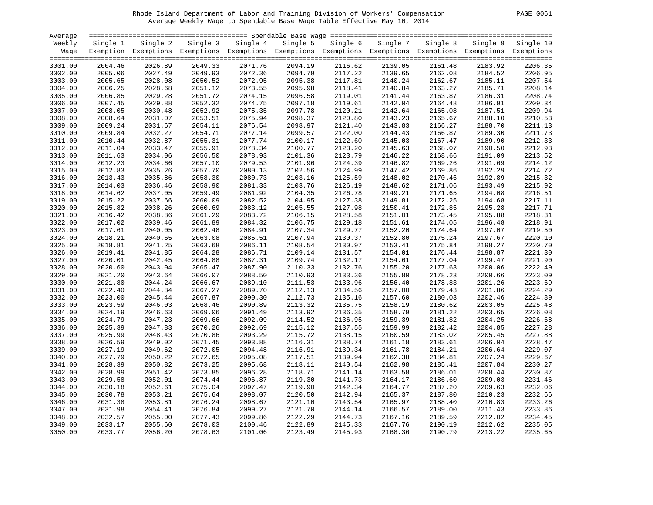# Rhode Island Department of Labor and Training Division of Workers' Compensation PAGE 0061 Average Weekly Wage to Spendable Base Wage Table Effective May 10, 2014

| PAGE.<br>0061 |
|---------------|
|---------------|

| Average            |                    |                                                                                                              |                    |                    |                    |                    |                    |                    |                    |           |
|--------------------|--------------------|--------------------------------------------------------------------------------------------------------------|--------------------|--------------------|--------------------|--------------------|--------------------|--------------------|--------------------|-----------|
| Weekly             | Single 1           | Single 2                                                                                                     | Single 3           | Single 4           | Single 5           | Single 6           | Single 7           | Single 8           | Single 9           | Single 10 |
| Wage               |                    | Exemption Exemptions Exemptions Exemptions Exemptions Exemptions Exemptions Exemptions Exemptions Exemptions |                    |                    |                    |                    |                    |                    |                    |           |
|                    |                    |                                                                                                              |                    |                    |                    |                    |                    |                    |                    |           |
| 3001.00            | 2004.46            | 2026.89                                                                                                      | 2049.33            | 2071.76            | 2094.19            | 2116.62            | 2139.05            | 2161.48            | 2183.92            | 2206.35   |
| 3002.00            | 2005.06            | 2027.49                                                                                                      | 2049.93            | 2072.36            | 2094.79            | 2117.22            | 2139.65            | 2162.08            | 2184.52            | 2206.95   |
| 3003.00            | 2005.65            | 2028.08                                                                                                      | 2050.52            | 2072.95            | 2095.38            | 2117.81            | 2140.24            | 2162.67            | 2185.11            | 2207.54   |
| 3004.00            | 2006.25            | 2028.68                                                                                                      | 2051.12            | 2073.55            | 2095.98            | 2118.41            | 2140.84            | 2163.27            | 2185.71            | 2208.14   |
| 3005.00            | 2006.85            | 2029.28                                                                                                      | 2051.72            | 2074.15            | 2096.58            | 2119.01            | 2141.44            | 2163.87            | 2186.31            | 2208.74   |
| 3006.00            | 2007.45            | 2029.88                                                                                                      | 2052.32            | 2074.75            | 2097.18            | 2119.61            | 2142.04            | 2164.48            | 2186.91            | 2209.34   |
| 3007.00            | 2008.05            | 2030.48                                                                                                      | 2052.92            | 2075.35            | 2097.78            | 2120.21            | 2142.64            | 2165.08            | 2187.51            | 2209.94   |
| 3008.00            | 2008.64            | 2031.07                                                                                                      | 2053.51            | 2075.94            | 2098.37            | 2120.80            | 2143.23            | 2165.67            | 2188.10            | 2210.53   |
| 3009.00            | 2009.24            | 2031.67                                                                                                      | 2054.11            | 2076.54            | 2098.97            | 2121.40            | 2143.83            | 2166.27            | 2188.70            | 2211.13   |
| 3010.00            | 2009.84            | 2032.27                                                                                                      | 2054.71            | 2077.14            | 2099.57            | 2122.00            | 2144.43            | 2166.87            | 2189.30            | 2211.73   |
| 3011.00            | 2010.44            | 2032.87                                                                                                      | 2055.31            | 2077.74            | 2100.17            | 2122.60            | 2145.03            | 2167.47            | 2189.90            | 2212.33   |
| 3012.00            | 2011.04            | 2033.47                                                                                                      | 2055.91            | 2078.34            | 2100.77            | 2123.20            | 2145.63            | 2168.07            | 2190.50            | 2212.93   |
| 3013.00            | 2011.63            | 2034.06                                                                                                      | 2056.50            | 2078.93            | 2101.36            | 2123.79            | 2146.22            | 2168.66            | 2191.09            | 2213.52   |
| 3014.00            | 2012.23            | 2034.66                                                                                                      | 2057.10            | 2079.53            | 2101.96            | 2124.39            | 2146.82            | 2169.26            | 2191.69            | 2214.12   |
| 3015.00            | 2012.83            | 2035.26                                                                                                      | 2057.70            | 2080.13            | 2102.56            | 2124.99            | 2147.42            | 2169.86            | 2192.29            | 2214.72   |
| 3016.00            | 2013.43            | 2035.86                                                                                                      | 2058.30            | 2080.73            | 2103.16            | 2125.59            | 2148.02            | 2170.46            | 2192.89            | 2215.32   |
| 3017.00            | 2014.03            | 2036.46                                                                                                      | 2058.90            | 2081.33            | 2103.76            | 2126.19            | 2148.62            | 2171.06            | 2193.49            | 2215.92   |
| 3018.00            | 2014.62            | 2037.05                                                                                                      | 2059.49            | 2081.92            | 2104.35            | 2126.78            | 2149.21            | 2171.65            | 2194.08            | 2216.51   |
| 3019.00            | 2015.22            | 2037.66                                                                                                      | 2060.09            | 2082.52            | 2104.95            | 2127.38            | 2149.81            | 2172.25            | 2194.68            | 2217.11   |
| 3020.00            | 2015.82            | 2038.26                                                                                                      | 2060.69            | 2083.12            | 2105.55            | 2127.98            | 2150.41            | 2172.85            | 2195.28            | 2217.71   |
| 3021.00            | 2016.42            | 2038.86                                                                                                      | 2061.29            | 2083.72            | 2106.15            | 2128.58            | 2151.01            | 2173.45            | 2195.88            | 2218.31   |
| 3022.00            | 2017.02            | 2039.46                                                                                                      | 2061.89            | 2084.32            | 2106.75            | 2129.18            | 2151.61            | 2174.05            | 2196.48            | 2218.91   |
| 3023.00            | 2017.61            | 2040.05                                                                                                      | 2062.48            | 2084.91            | 2107.34            | 2129.77            | 2152.20            | 2174.64            | 2197.07            | 2219.50   |
|                    | 2018.21            | 2040.65                                                                                                      | 2063.08            | 2085.51            | 2107.94            | 2130.37            | 2152.80            | 2175.24            | 2197.67            | 2220.10   |
| 3024.00<br>3025.00 | 2018.81            | 2041.25                                                                                                      | 2063.68            | 2086.11            | 2108.54            | 2130.97            | 2153.41            | 2175.84            | 2198.27            | 2220.70   |
| 3026.00            | 2019.41            | 2041.85                                                                                                      | 2064.28            | 2086.71            | 2109.14            | 2131.57            | 2154.01            | 2176.44            | 2198.87            | 2221.30   |
|                    |                    |                                                                                                              |                    |                    |                    |                    |                    |                    |                    | 2221.90   |
| 3027.00            | 2020.01            | 2042.45<br>2043.04                                                                                           | 2064.88<br>2065.47 | 2087.31<br>2087.90 | 2109.74<br>2110.33 | 2132.17<br>2132.76 | 2154.61<br>2155.20 | 2177.04            | 2199.47<br>2200.06 | 2222.49   |
| 3028.00<br>3029.00 | 2020.60<br>2021.20 | 2043.64                                                                                                      | 2066.07            | 2088.50            | 2110.93            | 2133.36            | 2155.80            | 2177.63<br>2178.23 | 2200.66            | 2223.09   |
| 3030.00            | 2021.80            | 2044.24                                                                                                      | 2066.67            | 2089.10            | 2111.53            | 2133.96            | 2156.40            | 2178.83            | 2201.26            | 2223.69   |
|                    | 2022.40            | 2044.84                                                                                                      |                    |                    |                    |                    |                    | 2179.43            |                    | 2224.29   |
| 3031.00            |                    |                                                                                                              | 2067.27            | 2089.70            | 2112.13            | 2134.56            | 2157.00            |                    | 2201.86            |           |
| 3032.00            | 2023.00            | 2045.44                                                                                                      | 2067.87            | 2090.30            | 2112.73            | 2135.16            | 2157.60            | 2180.03            | 2202.46            | 2224.89   |
| 3033.00            | 2023.59            | 2046.03                                                                                                      | 2068.46            | 2090.89            | 2113.32            | 2135.75            | 2158.19            | 2180.62            | 2203.05            | 2225.48   |
| 3034.00            | 2024.19            | 2046.63                                                                                                      | 2069.06            | 2091.49            | 2113.92            | 2136.35            | 2158.79            | 2181.22            | 2203.65            | 2226.08   |
| 3035.00            | 2024.79            | 2047.23                                                                                                      | 2069.66            | 2092.09            | 2114.52            | 2136.95            | 2159.39            | 2181.82            | 2204.25            | 2226.68   |
| 3036.00            | 2025.39            | 2047.83                                                                                                      | 2070.26            | 2092.69            | 2115.12            | 2137.55            | 2159.99            | 2182.42            | 2204.85            | 2227.28   |
| 3037.00            | 2025.99            | 2048.43                                                                                                      | 2070.86            | 2093.29            | 2115.72            | 2138.15            | 2160.59            | 2183.02            | 2205.45            | 2227.88   |
| 3038.00            | 2026.59            | 2049.02                                                                                                      | 2071.45            | 2093.88            | 2116.31            | 2138.74            | 2161.18            | 2183.61            | 2206.04            | 2228.47   |
| 3039.00            | 2027.19            | 2049.62                                                                                                      | 2072.05            | 2094.48            | 2116.91            | 2139.34            | 2161.78            | 2184.21            | 2206.64            | 2229.07   |
| 3040.00            | 2027.79            | 2050.22                                                                                                      | 2072.65            | 2095.08            | 2117.51            | 2139.94            | 2162.38            | 2184.81            | 2207.24            | 2229.67   |
| 3041.00            | 2028.39            | 2050.82                                                                                                      | 2073.25            | 2095.68            | 2118.11            | 2140.54            | 2162.98            | 2185.41            | 2207.84            | 2230.27   |
| 3042.00            | 2028.99            | 2051.42                                                                                                      | 2073.85            | 2096.28            | 2118.71            | 2141.14            | 2163.58            | 2186.01            | 2208.44            | 2230.87   |
| 3043.00            | 2029.58            | 2052.01                                                                                                      | 2074.44            | 2096.87            | 2119.30            | 2141.73            | 2164.17            | 2186.60            | 2209.03            | 2231.46   |
| 3044.00            | 2030.18            | 2052.61                                                                                                      | 2075.04            | 2097.47            | 2119.90            | 2142.34            | 2164.77            | 2187.20            | 2209.63            | 2232.06   |
| 3045.00            | 2030.78            | 2053.21                                                                                                      | 2075.64            | 2098.07            | 2120.50            | 2142.94            | 2165.37            | 2187.80            | 2210.23            | 2232.66   |
| 3046.00            | 2031.38            | 2053.81                                                                                                      | 2076.24            | 2098.67            | 2121.10            | 2143.54            | 2165.97            | 2188.40            | 2210.83            | 2233.26   |
| 3047.00            | 2031.98            | 2054.41                                                                                                      | 2076.84            | 2099.27            | 2121.70            | 2144.14            | 2166.57            | 2189.00            | 2211.43            | 2233.86   |
| 3048.00            | 2032.57            | 2055.00                                                                                                      | 2077.43            | 2099.86            | 2122.29            | 2144.73            | 2167.16            | 2189.59            | 2212.02            | 2234.45   |
| 3049.00            | 2033.17            | 2055.60                                                                                                      | 2078.03            | 2100.46            | 2122.89            | 2145.33            | 2167.76            | 2190.19            | 2212.62            | 2235.05   |
| 3050.00            | 2033.77            | 2056.20                                                                                                      | 2078.63            | 2101.06            | 2123.49            | 2145.93            | 2168.36            | 2190.79            | 2213.22            | 2235.65   |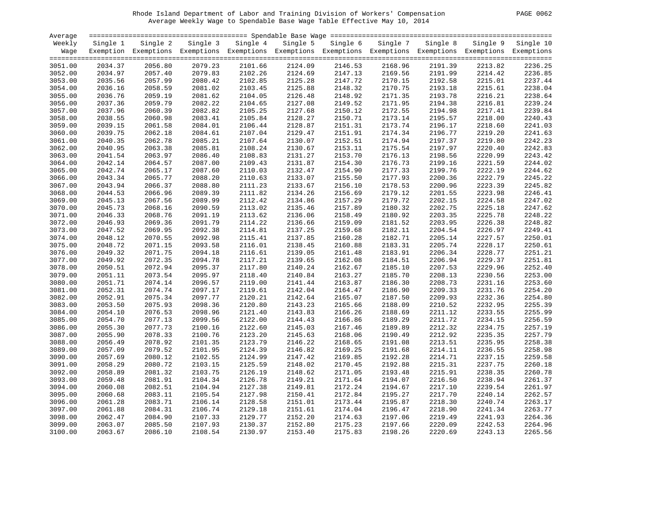# Rhode Island Department of Labor and Training Division of Workers' Compensation PAGE 0062 Average Weekly Wage to Spendable Base Wage Table Effective May 10, 2014

| PAGE.<br>0062 |
|---------------|
|---------------|

| Average |          |                                                                                                              |          |          |          |          |                    |          |          |                    |
|---------|----------|--------------------------------------------------------------------------------------------------------------|----------|----------|----------|----------|--------------------|----------|----------|--------------------|
| Weekly  | Single 1 | Single 2                                                                                                     | Single 3 | Single 4 | Single 5 | Single 6 | Single 7           | Single 8 | Single 9 | Single 10          |
| Wage    |          | Exemption Exemptions Exemptions Exemptions Exemptions Exemptions Exemptions Exemptions Exemptions Exemptions |          |          |          |          |                    |          |          |                    |
|         |          |                                                                                                              |          |          |          |          |                    |          |          |                    |
| 3051.00 | 2034.37  | 2056.80                                                                                                      | 2079.23  | 2101.66  | 2124.09  | 2146.53  | 2168.96            | 2191.39  | 2213.82  | 2236.25            |
| 3052.00 | 2034.97  | 2057.40                                                                                                      | 2079.83  | 2102.26  | 2124.69  | 2147.13  | 2169.56            | 2191.99  | 2214.42  | 2236.85            |
| 3053.00 | 2035.56  | 2057.99                                                                                                      | 2080.42  | 2102.85  | 2125.28  | 2147.72  | 2170.15            | 2192.58  | 2215.01  | 2237.44            |
| 3054.00 | 2036.16  | 2058.59                                                                                                      | 2081.02  | 2103.45  | 2125.88  | 2148.32  | 2170.75            | 2193.18  | 2215.61  | 2238.04            |
| 3055.00 | 2036.76  | 2059.19                                                                                                      | 2081.62  | 2104.05  | 2126.48  | 2148.92  | 2171.35            | 2193.78  | 2216.21  | 2238.64            |
| 3056.00 | 2037.36  | 2059.79                                                                                                      | 2082.22  | 2104.65  | 2127.08  | 2149.52  | 2171.95            | 2194.38  | 2216.81  | 2239.24            |
| 3057.00 | 2037.96  | 2060.39                                                                                                      | 2082.82  | 2105.25  | 2127.68  | 2150.12  | 2172.55            | 2194.98  | 2217.41  | 2239.84            |
| 3058.00 | 2038.55  | 2060.98                                                                                                      | 2083.41  | 2105.84  | 2128.27  | 2150.71  | 2173.14            | 2195.57  | 2218.00  | 2240.43            |
| 3059.00 | 2039.15  | 2061.58                                                                                                      | 2084.01  | 2106.44  | 2128.87  | 2151.31  | 2173.74            | 2196.17  | 2218.60  | 2241.03            |
| 3060.00 | 2039.75  | 2062.18                                                                                                      | 2084.61  | 2107.04  | 2129.47  | 2151.91  | 2174.34            | 2196.77  | 2219.20  | 2241.63            |
| 3061.00 | 2040.35  | 2062.78                                                                                                      | 2085.21  | 2107.64  | 2130.07  | 2152.51  | 2174.94            | 2197.37  | 2219.80  | 2242.23            |
| 3062.00 | 2040.95  | 2063.38                                                                                                      | 2085.81  | 2108.24  | 2130.67  | 2153.11  | 2175.54            | 2197.97  | 2220.40  | 2242.83            |
| 3063.00 | 2041.54  | 2063.97                                                                                                      | 2086.40  | 2108.83  | 2131.27  | 2153.70  | 2176.13            | 2198.56  | 2220.99  | 2243.42            |
| 3064.00 | 2042.14  | 2064.57                                                                                                      | 2087.00  | 2109.43  | 2131.87  | 2154.30  | 2176.73            | 2199.16  | 2221.59  | 2244.02            |
| 3065.00 | 2042.74  | 2065.17                                                                                                      | 2087.60  | 2110.03  | 2132.47  | 2154.90  | 2177.33            | 2199.76  | 2222.19  | 2244.62            |
| 3066.00 | 2043.34  | 2065.77                                                                                                      | 2088.20  | 2110.63  | 2133.07  | 2155.50  | 2177.93            | 2200.36  | 2222.79  | 2245.22            |
| 3067.00 |          | 2066.37                                                                                                      | 2088.80  | 2111.23  | 2133.67  | 2156.10  |                    | 2200.96  |          | 2245.82            |
|         | 2043.94  | 2066.96                                                                                                      | 2089.39  |          |          |          | 2178.53<br>2179.12 | 2201.55  | 2223.39  |                    |
| 3068.00 | 2044.53  |                                                                                                              |          | 2111.82  | 2134.26  | 2156.69  |                    |          | 2223.98  | 2246.41<br>2247.02 |
| 3069.00 | 2045.13  | 2067.56                                                                                                      | 2089.99  | 2112.42  | 2134.86  | 2157.29  | 2179.72            | 2202.15  | 2224.58  |                    |
| 3070.00 | 2045.73  | 2068.16                                                                                                      | 2090.59  | 2113.02  | 2135.46  | 2157.89  | 2180.32            | 2202.75  | 2225.18  | 2247.62            |
| 3071.00 | 2046.33  | 2068.76                                                                                                      | 2091.19  | 2113.62  | 2136.06  | 2158.49  | 2180.92            | 2203.35  | 2225.78  | 2248.22            |
| 3072.00 | 2046.93  | 2069.36                                                                                                      | 2091.79  | 2114.22  | 2136.66  | 2159.09  | 2181.52            | 2203.95  | 2226.38  | 2248.82            |
| 3073.00 | 2047.52  | 2069.95                                                                                                      | 2092.38  | 2114.81  | 2137.25  | 2159.68  | 2182.11            | 2204.54  | 2226.97  | 2249.41            |
| 3074.00 | 2048.12  | 2070.55                                                                                                      | 2092.98  | 2115.41  | 2137.85  | 2160.28  | 2182.71            | 2205.14  | 2227.57  | 2250.01            |
| 3075.00 | 2048.72  | 2071.15                                                                                                      | 2093.58  | 2116.01  | 2138.45  | 2160.88  | 2183.31            | 2205.74  | 2228.17  | 2250.61            |
| 3076.00 | 2049.32  | 2071.75                                                                                                      | 2094.18  | 2116.61  | 2139.05  | 2161.48  | 2183.91            | 2206.34  | 2228.77  | 2251.21            |
| 3077.00 | 2049.92  | 2072.35                                                                                                      | 2094.78  | 2117.21  | 2139.65  | 2162.08  | 2184.51            | 2206.94  | 2229.37  | 2251.81            |
| 3078.00 | 2050.51  | 2072.94                                                                                                      | 2095.37  | 2117.80  | 2140.24  | 2162.67  | 2185.10            | 2207.53  | 2229.96  | 2252.40            |
| 3079.00 | 2051.11  | 2073.54                                                                                                      | 2095.97  | 2118.40  | 2140.84  | 2163.27  | 2185.70            | 2208.13  | 2230.56  | 2253.00            |
| 3080.00 | 2051.71  | 2074.14                                                                                                      | 2096.57  | 2119.00  | 2141.44  | 2163.87  | 2186.30            | 2208.73  | 2231.16  | 2253.60            |
| 3081.00 | 2052.31  | 2074.74                                                                                                      | 2097.17  | 2119.61  | 2142.04  | 2164.47  | 2186.90            | 2209.33  | 2231.76  | 2254.20            |
| 3082.00 | 2052.91  | 2075.34                                                                                                      | 2097.77  | 2120.21  | 2142.64  | 2165.07  | 2187.50            | 2209.93  | 2232.36  | 2254.80            |
| 3083.00 | 2053.50  | 2075.93                                                                                                      | 2098.36  | 2120.80  | 2143.23  | 2165.66  | 2188.09            | 2210.52  | 2232.95  | 2255.39            |
| 3084.00 | 2054.10  | 2076.53                                                                                                      | 2098.96  | 2121.40  | 2143.83  | 2166.26  | 2188.69            | 2211.12  | 2233.55  | 2255.99            |
| 3085.00 | 2054.70  | 2077.13                                                                                                      | 2099.56  | 2122.00  | 2144.43  | 2166.86  | 2189.29            | 2211.72  | 2234.15  | 2256.59            |
| 3086.00 | 2055.30  | 2077.73                                                                                                      | 2100.16  | 2122.60  | 2145.03  | 2167.46  | 2189.89            | 2212.32  | 2234.75  | 2257.19            |
| 3087.00 | 2055.90  | 2078.33                                                                                                      | 2100.76  | 2123.20  | 2145.63  | 2168.06  | 2190.49            | 2212.92  | 2235.35  | 2257.79            |
| 3088.00 | 2056.49  | 2078.92                                                                                                      | 2101.35  | 2123.79  | 2146.22  | 2168.65  | 2191.08            | 2213.51  | 2235.95  | 2258.38            |
| 3089.00 | 2057.09  | 2079.52                                                                                                      | 2101.95  | 2124.39  | 2146.82  | 2169.25  | 2191.68            | 2214.11  | 2236.55  | 2258.98            |
| 3090.00 | 2057.69  | 2080.12                                                                                                      | 2102.55  | 2124.99  | 2147.42  | 2169.85  | 2192.28            | 2214.71  | 2237.15  | 2259.58            |
| 3091.00 | 2058.29  | 2080.72                                                                                                      | 2103.15  | 2125.59  | 2148.02  | 2170.45  | 2192.88            | 2215.31  | 2237.75  | 2260.18            |
| 3092.00 | 2058.89  | 2081.32                                                                                                      | 2103.75  | 2126.19  | 2148.62  | 2171.05  | 2193.48            | 2215.91  | 2238.35  | 2260.78            |
| 3093.00 | 2059.48  | 2081.91                                                                                                      | 2104.34  | 2126.78  | 2149.21  | 2171.64  | 2194.07            | 2216.50  | 2238.94  | 2261.37            |
| 3094.00 | 2060.08  | 2082.51                                                                                                      | 2104.94  | 2127.38  | 2149.81  | 2172.24  | 2194.67            | 2217.10  | 2239.54  | 2261.97            |
| 3095.00 | 2060.68  | 2083.11                                                                                                      | 2105.54  | 2127.98  | 2150.41  | 2172.84  | 2195.27            | 2217.70  | 2240.14  | 2262.57            |
| 3096.00 | 2061.28  | 2083.71                                                                                                      | 2106.14  | 2128.58  | 2151.01  | 2173.44  | 2195.87            | 2218.30  | 2240.74  | 2263.17            |
| 3097.00 | 2061.88  | 2084.31                                                                                                      | 2106.74  | 2129.18  | 2151.61  | 2174.04  | 2196.47            | 2218.90  | 2241.34  | 2263.77            |
| 3098.00 | 2062.47  | 2084.90                                                                                                      | 2107.33  | 2129.77  | 2152.20  | 2174.63  | 2197.06            | 2219.49  | 2241.93  | 2264.36            |
| 3099.00 | 2063.07  | 2085.50                                                                                                      | 2107.93  | 2130.37  | 2152.80  | 2175.23  | 2197.66            | 2220.09  | 2242.53  | 2264.96            |
| 3100.00 | 2063.67  | 2086.10                                                                                                      | 2108.54  | 2130.97  | 2153.40  | 2175.83  | 2198.26            | 2220.69  | 2243.13  | 2265.56            |
|         |          |                                                                                                              |          |          |          |          |                    |          |          |                    |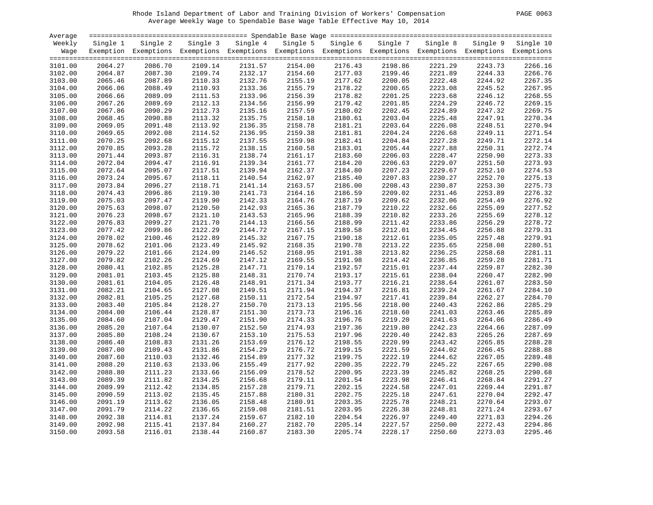# Rhode Island Department of Labor and Training Division of Workers' Compensation PAGE 0063 Average Weekly Wage to Spendable Base Wage Table Effective May 10, 2014

| PAGE<br>0063 |
|--------------|
|--------------|

| Average |          |                                                                                                              |          |          |          |          |          |          |          |           |
|---------|----------|--------------------------------------------------------------------------------------------------------------|----------|----------|----------|----------|----------|----------|----------|-----------|
| Weekly  | Single 1 | Single 2                                                                                                     | Single 3 | Single 4 | Single 5 | Single 6 | Single 7 | Single 8 | Single 9 | Single 10 |
| Waqe    |          | Exemption Exemptions Exemptions Exemptions Exemptions Exemptions Exemptions Exemptions Exemptions Exemptions |          |          |          |          |          |          |          |           |
|         |          |                                                                                                              |          |          |          |          |          |          |          |           |
| 3101.00 | 2064.27  | 2086.70                                                                                                      | 2109.14  | 2131.57  | 2154.00  | 2176.43  | 2198.86  | 2221.29  | 2243.73  | 2266.16   |
| 3102.00 | 2064.87  | 2087.30                                                                                                      | 2109.74  | 2132.17  | 2154.60  | 2177.03  | 2199.46  | 2221.89  | 2244.33  | 2266.76   |
| 3103.00 | 2065.46  | 2087.89                                                                                                      | 2110.33  | 2132.76  | 2155.19  | 2177.62  | 2200.05  | 2222.48  | 2244.92  | 2267.35   |
| 3104.00 | 2066.06  | 2088.49                                                                                                      | 2110.93  | 2133.36  | 2155.79  | 2178.22  | 2200.65  | 2223.08  | 2245.52  | 2267.95   |
| 3105.00 | 2066.66  | 2089.09                                                                                                      | 2111.53  | 2133.96  | 2156.39  | 2178.82  | 2201.25  | 2223.68  | 2246.12  | 2268.55   |
| 3106.00 | 2067.26  | 2089.69                                                                                                      | 2112.13  | 2134.56  | 2156.99  | 2179.42  | 2201.85  | 2224.29  | 2246.72  | 2269.15   |
| 3107.00 | 2067.86  | 2090.29                                                                                                      | 2112.73  | 2135.16  | 2157.59  | 2180.02  | 2202.45  | 2224.89  | 2247.32  | 2269.75   |
| 3108.00 | 2068.45  | 2090.88                                                                                                      | 2113.32  | 2135.75  | 2158.18  | 2180.61  | 2203.04  | 2225.48  | 2247.91  | 2270.34   |
| 3109.00 | 2069.05  | 2091.48                                                                                                      | 2113.92  | 2136.35  | 2158.78  | 2181.21  | 2203.64  | 2226.08  | 2248.51  | 2270.94   |
| 3110.00 | 2069.65  | 2092.08                                                                                                      | 2114.52  | 2136.95  | 2159.38  | 2181.81  | 2204.24  | 2226.68  | 2249.11  | 2271.54   |
| 3111.00 | 2070.25  | 2092.68                                                                                                      | 2115.12  | 2137.55  | 2159.98  | 2182.41  | 2204.84  | 2227.28  | 2249.71  | 2272.14   |
| 3112.00 | 2070.85  | 2093.28                                                                                                      | 2115.72  | 2138.15  | 2160.58  | 2183.01  | 2205.44  | 2227.88  | 2250.31  | 2272.74   |
| 3113.00 | 2071.44  | 2093.87                                                                                                      | 2116.31  | 2138.74  | 2161.17  | 2183.60  | 2206.03  | 2228.47  | 2250.90  | 2273.33   |
| 3114.00 | 2072.04  | 2094.47                                                                                                      | 2116.91  | 2139.34  | 2161.77  | 2184.20  | 2206.63  | 2229.07  | 2251.50  | 2273.93   |
|         | 2072.64  | 2095.07                                                                                                      | 2117.51  | 2139.94  |          |          | 2207.23  | 2229.67  |          | 2274.53   |
| 3115.00 |          |                                                                                                              |          |          | 2162.37  | 2184.80  |          |          | 2252.10  |           |
| 3116.00 | 2073.24  | 2095.67                                                                                                      | 2118.11  | 2140.54  | 2162.97  | 2185.40  | 2207.83  | 2230.27  | 2252.70  | 2275.13   |
| 3117.00 | 2073.84  | 2096.27                                                                                                      | 2118.71  | 2141.14  | 2163.57  | 2186.00  | 2208.43  | 2230.87  | 2253.30  | 2275.73   |
| 3118.00 | 2074.43  | 2096.86                                                                                                      | 2119.30  | 2141.73  | 2164.16  | 2186.59  | 2209.02  | 2231.46  | 2253.89  | 2276.32   |
| 3119.00 | 2075.03  | 2097.47                                                                                                      | 2119.90  | 2142.33  | 2164.76  | 2187.19  | 2209.62  | 2232.06  | 2254.49  | 2276.92   |
| 3120.00 | 2075.63  | 2098.07                                                                                                      | 2120.50  | 2142.93  | 2165.36  | 2187.79  | 2210.22  | 2232.66  | 2255.09  | 2277.52   |
| 3121.00 | 2076.23  | 2098.67                                                                                                      | 2121.10  | 2143.53  | 2165.96  | 2188.39  | 2210.82  | 2233.26  | 2255.69  | 2278.12   |
| 3122.00 | 2076.83  | 2099.27                                                                                                      | 2121.70  | 2144.13  | 2166.56  | 2188.99  | 2211.42  | 2233.86  | 2256.29  | 2278.72   |
| 3123.00 | 2077.42  | 2099.86                                                                                                      | 2122.29  | 2144.72  | 2167.15  | 2189.58  | 2212.01  | 2234.45  | 2256.88  | 2279.31   |
| 3124.00 | 2078.02  | 2100.46                                                                                                      | 2122.89  | 2145.32  | 2167.75  | 2190.18  | 2212.61  | 2235.05  | 2257.48  | 2279.91   |
| 3125.00 | 2078.62  | 2101.06                                                                                                      | 2123.49  | 2145.92  | 2168.35  | 2190.78  | 2213.22  | 2235.65  | 2258.08  | 2280.51   |
| 3126.00 | 2079.22  | 2101.66                                                                                                      | 2124.09  | 2146.52  | 2168.95  | 2191.38  | 2213.82  | 2236.25  | 2258.68  | 2281.11   |
| 3127.00 | 2079.82  | 2102.26                                                                                                      | 2124.69  | 2147.12  | 2169.55  | 2191.98  | 2214.42  | 2236.85  | 2259.28  | 2281.71   |
| 3128.00 | 2080.41  | 2102.85                                                                                                      | 2125.28  | 2147.71  | 2170.14  | 2192.57  | 2215.01  | 2237.44  | 2259.87  | 2282.30   |
| 3129.00 | 2081.01  | 2103.45                                                                                                      | 2125.88  | 2148.31  | 2170.74  | 2193.17  | 2215.61  | 2238.04  | 2260.47  | 2282.90   |
| 3130.00 | 2081.61  | 2104.05                                                                                                      | 2126.48  | 2148.91  | 2171.34  | 2193.77  | 2216.21  | 2238.64  | 2261.07  | 2283.50   |
| 3131.00 | 2082.21  | 2104.65                                                                                                      | 2127.08  | 2149.51  | 2171.94  | 2194.37  | 2216.81  | 2239.24  | 2261.67  | 2284.10   |
| 3132.00 | 2082.81  | 2105.25                                                                                                      | 2127.68  | 2150.11  | 2172.54  | 2194.97  | 2217.41  | 2239.84  | 2262.27  | 2284.70   |
| 3133.00 | 2083.40  | 2105.84                                                                                                      | 2128.27  | 2150.70  | 2173.13  | 2195.56  | 2218.00  | 2240.43  | 2262.86  | 2285.29   |
| 3134.00 | 2084.00  | 2106.44                                                                                                      | 2128.87  | 2151.30  | 2173.73  | 2196.16  | 2218.60  | 2241.03  | 2263.46  | 2285.89   |
| 3135.00 | 2084.60  | 2107.04                                                                                                      | 2129.47  | 2151.90  | 2174.33  | 2196.76  | 2219.20  | 2241.63  | 2264.06  | 2286.49   |
| 3136.00 | 2085.20  | 2107.64                                                                                                      | 2130.07  | 2152.50  | 2174.93  | 2197.36  | 2219.80  | 2242.23  | 2264.66  | 2287.09   |
| 3137.00 | 2085.80  | 2108.24                                                                                                      | 2130.67  | 2153.10  | 2175.53  | 2197.96  | 2220.40  | 2242.83  | 2265.26  | 2287.69   |
| 3138.00 | 2086.40  | 2108.83                                                                                                      | 2131.26  | 2153.69  | 2176.12  | 2198.55  | 2220.99  | 2243.42  | 2265.85  | 2288.28   |
| 3139.00 | 2087.00  | 2109.43                                                                                                      | 2131.86  | 2154.29  | 2176.72  | 2199.15  | 2221.59  | 2244.02  | 2266.45  | 2288.88   |
| 3140.00 | 2087.60  | 2110.03                                                                                                      | 2132.46  | 2154.89  | 2177.32  | 2199.75  | 2222.19  | 2244.62  | 2267.05  | 2289.48   |
| 3141.00 | 2088.20  | 2110.63                                                                                                      | 2133.06  | 2155.49  | 2177.92  | 2200.35  | 2222.79  | 2245.22  | 2267.65  | 2290.08   |
| 3142.00 | 2088.80  | 2111.23                                                                                                      | 2133.66  | 2156.09  | 2178.52  | 2200.95  | 2223.39  | 2245.82  | 2268.25  | 2290.68   |
| 3143.00 | 2089.39  | 2111.82                                                                                                      | 2134.25  | 2156.68  | 2179.11  | 2201.54  | 2223.98  | 2246.41  | 2268.84  | 2291.27   |
| 3144.00 | 2089.99  | 2112.42                                                                                                      | 2134.85  | 2157.28  | 2179.71  | 2202.15  | 2224.58  | 2247.01  | 2269.44  | 2291.87   |
| 3145.00 | 2090.59  | 2113.02                                                                                                      | 2135.45  | 2157.88  | 2180.31  | 2202.75  | 2225.18  | 2247.61  | 2270.04  | 2292.47   |
|         |          |                                                                                                              |          |          |          |          |          |          |          |           |
| 3146.00 | 2091.19  | 2113.62                                                                                                      | 2136.05  | 2158.48  | 2180.91  | 2203.35  | 2225.78  | 2248.21  | 2270.64  | 2293.07   |
| 3147.00 | 2091.79  | 2114.22                                                                                                      | 2136.65  | 2159.08  | 2181.51  | 2203.95  | 2226.38  | 2248.81  | 2271.24  | 2293.67   |
| 3148.00 | 2092.38  | 2114.81                                                                                                      | 2137.24  | 2159.67  | 2182.10  | 2204.54  | 2226.97  | 2249.40  | 2271.83  | 2294.26   |
| 3149.00 | 2092.98  | 2115.41                                                                                                      | 2137.84  | 2160.27  | 2182.70  | 2205.14  | 2227.57  | 2250.00  | 2272.43  | 2294.86   |
| 3150.00 | 2093.58  | 2116.01                                                                                                      | 2138.44  | 2160.87  | 2183.30  | 2205.74  | 2228.17  | 2250.60  | 2273.03  | 2295.46   |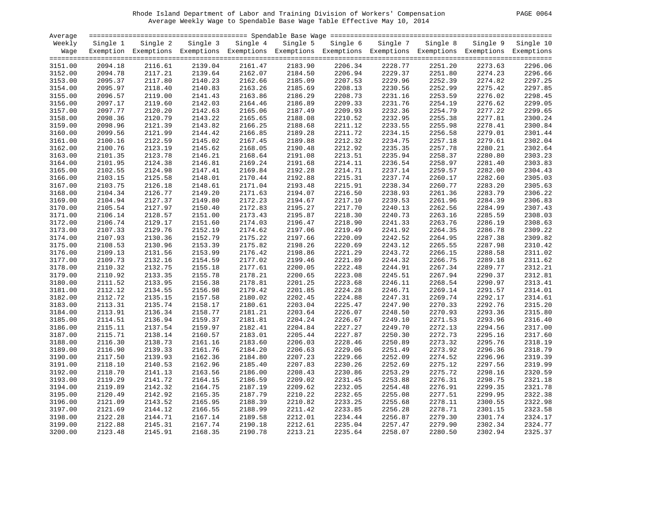# Rhode Island Department of Labor and Training Division of Workers' Compensation PAGE 0064 Average Weekly Wage to Spendable Base Wage Table Effective May 10, 2014

| Average |          |                                                                                                              |                    |          |          |          |          |          |          |                    |
|---------|----------|--------------------------------------------------------------------------------------------------------------|--------------------|----------|----------|----------|----------|----------|----------|--------------------|
| Weekly  | Single 1 | Single 2                                                                                                     | Single 3           | Single 4 | Single 5 | Single 6 | Single 7 | Single 8 | Single 9 | Single 10          |
| Waqe    |          | Exemption Exemptions Exemptions Exemptions Exemptions Exemptions Exemptions Exemptions Exemptions Exemptions |                    |          |          |          |          |          |          |                    |
|         |          |                                                                                                              |                    |          |          |          |          |          |          |                    |
| 3151.00 | 2094.18  | 2116.61                                                                                                      | 2139.04            | 2161.47  | 2183.90  | 2206.34  | 2228.77  | 2251.20  | 2273.63  | 2296.06            |
| 3152.00 | 2094.78  | 2117.21                                                                                                      | 2139.64            | 2162.07  | 2184.50  | 2206.94  | 2229.37  | 2251.80  | 2274.23  | 2296.66            |
| 3153.00 | 2095.37  | 2117.80                                                                                                      | 2140.23            | 2162.66  | 2185.09  | 2207.53  | 2229.96  | 2252.39  | 2274.82  | 2297.25            |
| 3154.00 | 2095.97  | 2118.40                                                                                                      | 2140.83            | 2163.26  | 2185.69  | 2208.13  | 2230.56  | 2252.99  | 2275.42  | 2297.85            |
| 3155.00 | 2096.57  | 2119.00                                                                                                      | 2141.43            | 2163.86  | 2186.29  | 2208.73  | 2231.16  | 2253.59  | 2276.02  | 2298.45            |
| 3156.00 | 2097.17  | 2119.60                                                                                                      | 2142.03            | 2164.46  | 2186.89  | 2209.33  | 2231.76  | 2254.19  | 2276.62  | 2299.05            |
| 3157.00 | 2097.77  | 2120.20                                                                                                      | 2142.63            | 2165.06  | 2187.49  | 2209.93  | 2232.36  | 2254.79  | 2277.22  | 2299.65            |
| 3158.00 | 2098.36  | 2120.79                                                                                                      | 2143.22            | 2165.65  | 2188.08  | 2210.52  | 2232.95  | 2255.38  | 2277.81  | 2300.24            |
| 3159.00 | 2098.96  | 2121.39                                                                                                      | 2143.82            | 2166.25  | 2188.68  | 2211.12  | 2233.55  | 2255.98  | 2278.41  | 2300.84            |
| 3160.00 | 2099.56  | 2121.99                                                                                                      | 2144.42            | 2166.85  | 2189.28  | 2211.72  | 2234.15  | 2256.58  | 2279.01  | 2301.44            |
| 3161.00 | 2100.16  | 2122.59                                                                                                      | 2145.02            | 2167.45  | 2189.88  | 2212.32  | 2234.75  | 2257.18  | 2279.61  | 2302.04            |
| 3162.00 | 2100.76  | 2123.19                                                                                                      | 2145.62            | 2168.05  | 2190.48  | 2212.92  | 2235.35  | 2257.78  | 2280.21  | 2302.64            |
| 3163.00 | 2101.35  | 2123.78                                                                                                      | 2146.21            | 2168.64  | 2191.08  | 2213.51  | 2235.94  | 2258.37  | 2280.80  | 2303.23            |
| 3164.00 | 2101.95  | 2124.38                                                                                                      | 2146.81            | 2169.24  | 2191.68  | 2214.11  | 2236.54  | 2258.97  | 2281.40  | 2303.83            |
| 3165.00 | 2102.55  | 2124.98                                                                                                      | 2147.41            | 2169.84  | 2192.28  | 2214.71  | 2237.14  | 2259.57  | 2282.00  | 2304.43            |
| 3166.00 | 2103.15  | 2125.58                                                                                                      | 2148.01            | 2170.44  | 2192.88  | 2215.31  | 2237.74  | 2260.17  | 2282.60  | 2305.03            |
| 3167.00 | 2103.75  | 2126.18                                                                                                      | 2148.61            | 2171.04  | 2193.48  | 2215.91  | 2238.34  | 2260.77  | 2283.20  | 2305.63            |
| 3168.00 | 2104.34  | 2126.77                                                                                                      | 2149.20            | 2171.63  | 2194.07  | 2216.50  | 2238.93  | 2261.36  | 2283.79  | 2306.22            |
| 3169.00 | 2104.94  | 2127.37                                                                                                      | 2149.80            | 2172.23  | 2194.67  | 2217.10  | 2239.53  | 2261.96  | 2284.39  | 2306.83            |
| 3170.00 | 2105.54  | 2127.97                                                                                                      | 2150.40            | 2172.83  | 2195.27  | 2217.70  | 2240.13  | 2262.56  | 2284.99  | 2307.43            |
| 3171.00 | 2106.14  | 2128.57                                                                                                      | 2151.00            | 2173.43  | 2195.87  | 2218.30  | 2240.73  | 2263.16  | 2285.59  | 2308.03            |
| 3172.00 | 2106.74  | 2129.17                                                                                                      | 2151.60            | 2174.03  | 2196.47  | 2218.90  | 2241.33  | 2263.76  | 2286.19  | 2308.63            |
| 3173.00 | 2107.33  | 2129.76                                                                                                      | 2152.19            | 2174.62  | 2197.06  | 2219.49  | 2241.92  | 2264.35  | 2286.78  | 2309.22            |
| 3174.00 | 2107.93  | 2130.36                                                                                                      | 2152.79            | 2175.22  | 2197.66  | 2220.09  | 2242.52  | 2264.95  | 2287.38  | 2309.82            |
| 3175.00 | 2108.53  | 2130.96                                                                                                      | 2153.39            | 2175.82  | 2198.26  | 2220.69  | 2243.12  | 2265.55  | 2287.98  | 2310.42            |
| 3176.00 | 2109.13  | 2131.56                                                                                                      | 2153.99            | 2176.42  | 2198.86  | 2221.29  | 2243.72  | 2266.15  | 2288.58  | 2311.02            |
|         |          |                                                                                                              |                    | 2177.02  |          |          | 2244.32  |          |          | 2311.62            |
| 3177.00 | 2109.73  | 2132.16                                                                                                      | 2154.59            |          | 2199.46  | 2221.89  |          | 2266.75  | 2289.18  |                    |
| 3178.00 | 2110.32  | 2132.75                                                                                                      | 2155.18            | 2177.61  | 2200.05  | 2222.48  | 2244.91  | 2267.34  | 2289.77  | 2312.21<br>2312.81 |
| 3179.00 | 2110.92  | 2133.35<br>2133.95                                                                                           | 2155.78<br>2156.38 | 2178.21  | 2200.65  | 2223.08  | 2245.51  | 2267.94  | 2290.37  |                    |
| 3180.00 | 2111.52  |                                                                                                              |                    | 2178.81  | 2201.25  | 2223.68  | 2246.11  | 2268.54  | 2290.97  | 2313.41            |
| 3181.00 | 2112.12  | 2134.55                                                                                                      | 2156.98            | 2179.42  | 2201.85  | 2224.28  | 2246.71  | 2269.14  | 2291.57  | 2314.01            |
| 3182.00 | 2112.72  | 2135.15                                                                                                      | 2157.58            | 2180.02  | 2202.45  | 2224.88  | 2247.31  | 2269.74  | 2292.17  | 2314.61            |
| 3183.00 | 2113.31  | 2135.74                                                                                                      | 2158.17            | 2180.61  | 2203.04  | 2225.47  | 2247.90  | 2270.33  | 2292.76  | 2315.20            |
| 3184.00 | 2113.91  | 2136.34                                                                                                      | 2158.77            | 2181.21  | 2203.64  | 2226.07  | 2248.50  | 2270.93  | 2293.36  | 2315.80            |
| 3185.00 | 2114.51  | 2136.94                                                                                                      | 2159.37            | 2181.81  | 2204.24  | 2226.67  | 2249.10  | 2271.53  | 2293.96  | 2316.40            |
| 3186.00 | 2115.11  | 2137.54                                                                                                      | 2159.97            | 2182.41  | 2204.84  | 2227.27  | 2249.70  | 2272.13  | 2294.56  | 2317.00            |
| 3187.00 | 2115.71  | 2138.14                                                                                                      | 2160.57            | 2183.01  | 2205.44  | 2227.87  | 2250.30  | 2272.73  | 2295.16  | 2317.60            |
| 3188.00 | 2116.30  | 2138.73                                                                                                      | 2161.16            | 2183.60  | 2206.03  | 2228.46  | 2250.89  | 2273.32  | 2295.76  | 2318.19            |
| 3189.00 | 2116.90  | 2139.33                                                                                                      | 2161.76            | 2184.20  | 2206.63  | 2229.06  | 2251.49  | 2273.92  | 2296.36  | 2318.79            |
| 3190.00 | 2117.50  | 2139.93                                                                                                      | 2162.36            | 2184.80  | 2207.23  | 2229.66  | 2252.09  | 2274.52  | 2296.96  | 2319.39            |
| 3191.00 | 2118.10  | 2140.53                                                                                                      | 2162.96            | 2185.40  | 2207.83  | 2230.26  | 2252.69  | 2275.12  | 2297.56  | 2319.99            |
| 3192.00 | 2118.70  | 2141.13                                                                                                      | 2163.56            | 2186.00  | 2208.43  | 2230.86  | 2253.29  | 2275.72  | 2298.16  | 2320.59            |
| 3193.00 | 2119.29  | 2141.72                                                                                                      | 2164.15            | 2186.59  | 2209.02  | 2231.45  | 2253.88  | 2276.31  | 2298.75  | 2321.18            |
| 3194.00 | 2119.89  | 2142.32                                                                                                      | 2164.75            | 2187.19  | 2209.62  | 2232.05  | 2254.48  | 2276.91  | 2299.35  | 2321.78            |
| 3195.00 | 2120.49  | 2142.92                                                                                                      | 2165.35            | 2187.79  | 2210.22  | 2232.65  | 2255.08  | 2277.51  | 2299.95  | 2322.38            |
| 3196.00 | 2121.09  | 2143.52                                                                                                      | 2165.95            | 2188.39  | 2210.82  | 2233.25  | 2255.68  | 2278.11  | 2300.55  | 2322.98            |
| 3197.00 | 2121.69  | 2144.12                                                                                                      | 2166.55            | 2188.99  | 2211.42  | 2233.85  | 2256.28  | 2278.71  | 2301.15  | 2323.58            |
| 3198.00 | 2122.28  | 2144.71                                                                                                      | 2167.14            | 2189.58  | 2212.01  | 2234.44  | 2256.87  | 2279.30  | 2301.74  | 2324.17            |
| 3199.00 | 2122.88  | 2145.31                                                                                                      | 2167.74            | 2190.18  | 2212.61  | 2235.04  | 2257.47  | 2279.90  | 2302.34  | 2324.77            |
| 3200.00 | 2123.48  | 2145.91                                                                                                      | 2168.35            | 2190.78  | 2213.21  | 2235.64  | 2258.07  | 2280.50  | 2302.94  | 2325.37            |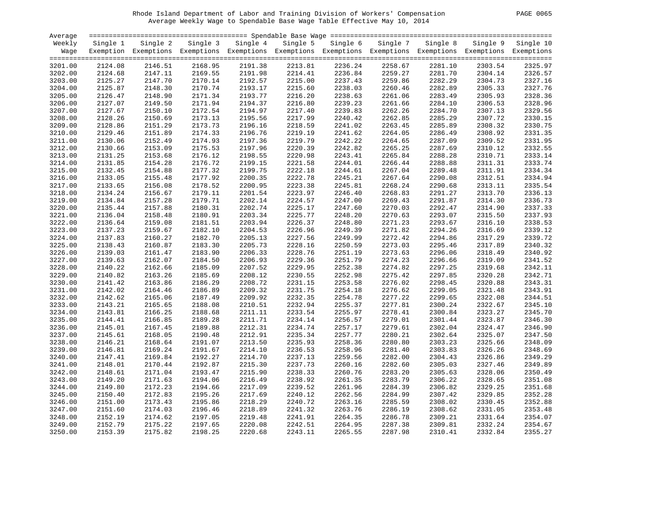# Rhode Island Department of Labor and Training Division of Workers' Compensation PAGE 0065 Average Weekly Wage to Spendable Base Wage Table Effective May 10, 2014

| PAGE<br>0065 |  |  |
|--------------|--|--|
|--------------|--|--|

| Average |          |                                                                                                              |          |          |          |          |          |          |          |           |
|---------|----------|--------------------------------------------------------------------------------------------------------------|----------|----------|----------|----------|----------|----------|----------|-----------|
| Weekly  | Single 1 | Single 2                                                                                                     | Single 3 | Single 4 | Single 5 | Single 6 | Single 7 | Single 8 | Single 9 | Single 10 |
| Wage    |          | Exemption Exemptions Exemptions Exemptions Exemptions Exemptions Exemptions Exemptions Exemptions Exemptions |          |          |          |          |          |          |          |           |
|         |          |                                                                                                              |          |          |          |          |          |          |          |           |
| 3201.00 | 2124.08  | 2146.51                                                                                                      | 2168.95  | 2191.38  | 2213.81  | 2236.24  | 2258.67  | 2281.10  | 2303.54  | 2325.97   |
| 3202.00 | 2124.68  | 2147.11                                                                                                      | 2169.55  | 2191.98  | 2214.41  | 2236.84  | 2259.27  | 2281.70  | 2304.14  | 2326.57   |
| 3203.00 | 2125.27  | 2147.70                                                                                                      | 2170.14  | 2192.57  | 2215.00  | 2237.43  | 2259.86  | 2282.29  | 2304.73  | 2327.16   |
| 3204.00 | 2125.87  | 2148.30                                                                                                      | 2170.74  | 2193.17  | 2215.60  | 2238.03  | 2260.46  | 2282.89  | 2305.33  | 2327.76   |
| 3205.00 | 2126.47  | 2148.90                                                                                                      | 2171.34  | 2193.77  | 2216.20  | 2238.63  | 2261.06  | 2283.49  | 2305.93  | 2328.36   |
| 3206.00 | 2127.07  | 2149.50                                                                                                      | 2171.94  | 2194.37  | 2216.80  | 2239.23  | 2261.66  | 2284.10  | 2306.53  | 2328.96   |
| 3207.00 | 2127.67  | 2150.10                                                                                                      | 2172.54  | 2194.97  | 2217.40  | 2239.83  | 2262.26  | 2284.70  | 2307.13  | 2329.56   |
| 3208.00 | 2128.26  | 2150.69                                                                                                      | 2173.13  | 2195.56  | 2217.99  | 2240.42  | 2262.85  | 2285.29  | 2307.72  | 2330.15   |
| 3209.00 | 2128.86  | 2151.29                                                                                                      | 2173.73  | 2196.16  | 2218.59  | 2241.02  | 2263.45  | 2285.89  | 2308.32  | 2330.75   |
| 3210.00 | 2129.46  | 2151.89                                                                                                      | 2174.33  | 2196.76  | 2219.19  | 2241.62  | 2264.05  | 2286.49  | 2308.92  | 2331.35   |
| 3211.00 | 2130.06  | 2152.49                                                                                                      | 2174.93  | 2197.36  | 2219.79  | 2242.22  | 2264.65  | 2287.09  | 2309.52  | 2331.95   |
| 3212.00 | 2130.66  | 2153.09                                                                                                      | 2175.53  | 2197.96  | 2220.39  | 2242.82  | 2265.25  | 2287.69  | 2310.12  | 2332.55   |
| 3213.00 | 2131.25  | 2153.68                                                                                                      | 2176.12  | 2198.55  | 2220.98  | 2243.41  | 2265.84  | 2288.28  | 2310.71  | 2333.14   |
| 3214.00 | 2131.85  | 2154.28                                                                                                      | 2176.72  | 2199.15  | 2221.58  | 2244.01  | 2266.44  | 2288.88  | 2311.31  | 2333.74   |
| 3215.00 | 2132.45  | 2154.88                                                                                                      | 2177.32  | 2199.75  | 2222.18  | 2244.61  | 2267.04  | 2289.48  | 2311.91  | 2334.34   |
| 3216.00 | 2133.05  | 2155.48                                                                                                      | 2177.92  | 2200.35  | 2222.78  | 2245.21  | 2267.64  | 2290.08  | 2312.51  | 2334.94   |
| 3217.00 | 2133.65  | 2156.08                                                                                                      | 2178.52  | 2200.95  | 2223.38  | 2245.81  | 2268.24  | 2290.68  | 2313.11  | 2335.54   |
| 3218.00 | 2134.24  | 2156.67                                                                                                      | 2179.11  | 2201.54  | 2223.97  | 2246.40  | 2268.83  | 2291.27  | 2313.70  | 2336.13   |
| 3219.00 | 2134.84  | 2157.28                                                                                                      | 2179.71  | 2202.14  | 2224.57  | 2247.00  | 2269.43  | 2291.87  | 2314.30  | 2336.73   |
| 3220.00 | 2135.44  | 2157.88                                                                                                      | 2180.31  | 2202.74  | 2225.17  | 2247.60  | 2270.03  | 2292.47  | 2314.90  | 2337.33   |
| 3221.00 | 2136.04  | 2158.48                                                                                                      | 2180.91  | 2203.34  | 2225.77  | 2248.20  | 2270.63  | 2293.07  | 2315.50  | 2337.93   |
| 3222.00 | 2136.64  | 2159.08                                                                                                      | 2181.51  | 2203.94  | 2226.37  | 2248.80  | 2271.23  | 2293.67  | 2316.10  | 2338.53   |
| 3223.00 | 2137.23  | 2159.67                                                                                                      | 2182.10  | 2204.53  | 2226.96  | 2249.39  | 2271.82  | 2294.26  | 2316.69  | 2339.12   |
| 3224.00 | 2137.83  | 2160.27                                                                                                      | 2182.70  | 2205.13  | 2227.56  | 2249.99  | 2272.42  | 2294.86  | 2317.29  | 2339.72   |
| 3225.00 | 2138.43  | 2160.87                                                                                                      | 2183.30  | 2205.73  | 2228.16  | 2250.59  | 2273.03  | 2295.46  | 2317.89  | 2340.32   |
| 3226.00 | 2139.03  | 2161.47                                                                                                      | 2183.90  | 2206.33  | 2228.76  | 2251.19  | 2273.63  | 2296.06  | 2318.49  | 2340.92   |
| 3227.00 | 2139.63  | 2162.07                                                                                                      | 2184.50  | 2206.93  | 2229.36  | 2251.79  | 2274.23  | 2296.66  | 2319.09  | 2341.52   |
| 3228.00 | 2140.22  | 2162.66                                                                                                      | 2185.09  | 2207.52  | 2229.95  | 2252.38  | 2274.82  | 2297.25  | 2319.68  | 2342.11   |
| 3229.00 | 2140.82  | 2163.26                                                                                                      | 2185.69  | 2208.12  | 2230.55  | 2252.98  | 2275.42  | 2297.85  | 2320.28  | 2342.71   |
| 3230.00 | 2141.42  | 2163.86                                                                                                      | 2186.29  | 2208.72  | 2231.15  | 2253.58  | 2276.02  | 2298.45  | 2320.88  | 2343.31   |
| 3231.00 | 2142.02  | 2164.46                                                                                                      | 2186.89  | 2209.32  | 2231.75  | 2254.18  | 2276.62  | 2299.05  | 2321.48  | 2343.91   |
| 3232.00 | 2142.62  | 2165.06                                                                                                      | 2187.49  | 2209.92  | 2232.35  | 2254.78  | 2277.22  | 2299.65  | 2322.08  | 2344.51   |
| 3233.00 | 2143.21  | 2165.65                                                                                                      | 2188.08  | 2210.51  | 2232.94  | 2255.37  | 2277.81  | 2300.24  | 2322.67  | 2345.10   |
| 3234.00 | 2143.81  | 2166.25                                                                                                      | 2188.68  | 2211.11  | 2233.54  | 2255.97  | 2278.41  | 2300.84  | 2323.27  | 2345.70   |
| 3235.00 | 2144.41  | 2166.85                                                                                                      | 2189.28  | 2211.71  | 2234.14  | 2256.57  | 2279.01  | 2301.44  | 2323.87  | 2346.30   |
| 3236.00 | 2145.01  | 2167.45                                                                                                      | 2189.88  | 2212.31  | 2234.74  | 2257.17  | 2279.61  | 2302.04  | 2324.47  | 2346.90   |
| 3237.00 | 2145.61  | 2168.05                                                                                                      | 2190.48  | 2212.91  | 2235.34  | 2257.77  | 2280.21  | 2302.64  | 2325.07  | 2347.50   |
| 3238.00 | 2146.21  | 2168.64                                                                                                      | 2191.07  | 2213.50  | 2235.93  | 2258.36  | 2280.80  | 2303.23  | 2325.66  | 2348.09   |
| 3239.00 | 2146.81  | 2169.24                                                                                                      | 2191.67  | 2214.10  | 2236.53  | 2258.96  | 2281.40  | 2303.83  | 2326.26  | 2348.69   |
| 3240.00 | 2147.41  | 2169.84                                                                                                      | 2192.27  | 2214.70  | 2237.13  | 2259.56  | 2282.00  | 2304.43  | 2326.86  | 2349.29   |
| 3241.00 | 2148.01  | 2170.44                                                                                                      | 2192.87  | 2215.30  | 2237.73  | 2260.16  | 2282.60  | 2305.03  | 2327.46  | 2349.89   |
| 3242.00 | 2148.61  | 2171.04                                                                                                      | 2193.47  | 2215.90  | 2238.33  | 2260.76  | 2283.20  | 2305.63  | 2328.06  | 2350.49   |
| 3243.00 | 2149.20  | 2171.63                                                                                                      | 2194.06  | 2216.49  | 2238.92  | 2261.35  | 2283.79  | 2306.22  | 2328.65  | 2351.08   |
| 3244.00 | 2149.80  | 2172.23                                                                                                      | 2194.66  | 2217.09  | 2239.52  | 2261.96  | 2284.39  | 2306.82  | 2329.25  | 2351.68   |
| 3245.00 | 2150.40  | 2172.83                                                                                                      | 2195.26  | 2217.69  | 2240.12  | 2262.56  | 2284.99  | 2307.42  | 2329.85  | 2352.28   |
| 3246.00 | 2151.00  | 2173.43                                                                                                      | 2195.86  | 2218.29  | 2240.72  | 2263.16  | 2285.59  | 2308.02  | 2330.45  | 2352.88   |
| 3247.00 | 2151.60  | 2174.03                                                                                                      | 2196.46  | 2218.89  | 2241.32  | 2263.76  | 2286.19  | 2308.62  | 2331.05  | 2353.48   |
| 3248.00 | 2152.19  | 2174.62                                                                                                      | 2197.05  | 2219.48  | 2241.91  | 2264.35  | 2286.78  | 2309.21  | 2331.64  | 2354.07   |
| 3249.00 | 2152.79  | 2175.22                                                                                                      | 2197.65  | 2220.08  | 2242.51  | 2264.95  | 2287.38  | 2309.81  | 2332.24  | 2354.67   |
| 3250.00 | 2153.39  | 2175.82                                                                                                      | 2198.25  | 2220.68  | 2243.11  | 2265.55  | 2287.98  | 2310.41  | 2332.84  | 2355.27   |
|         |          |                                                                                                              |          |          |          |          |          |          |          |           |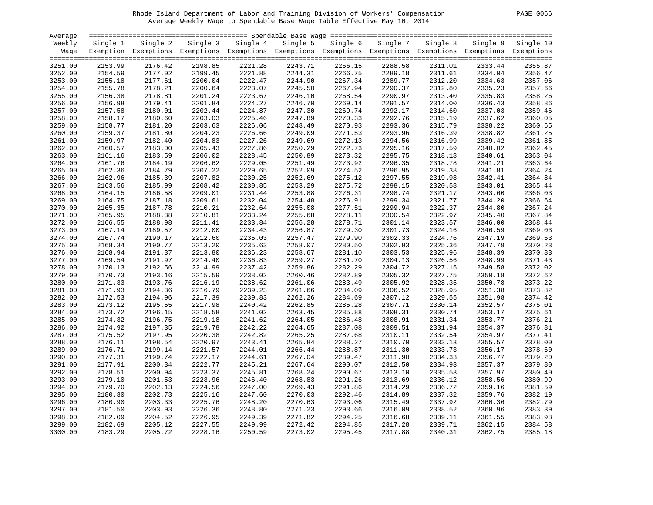# Rhode Island Department of Labor and Training Division of Workers' Compensation PAGE 0066 Average Weekly Wage to Spendable Base Wage Table Effective May 10, 2014

| PAGE | 0066 |  |
|------|------|--|
|      |      |  |

| Average |          |          |          |          |          |                                                                                                              |          |          |          |           |
|---------|----------|----------|----------|----------|----------|--------------------------------------------------------------------------------------------------------------|----------|----------|----------|-----------|
| Weekly  | Single 1 | Single 2 | Single 3 | Single 4 | Single 5 | Single 6                                                                                                     | Single 7 | Single 8 | Single 9 | Single 10 |
| Wage    |          |          |          |          |          | Exemption Exemptions Exemptions Exemptions Exemptions Exemptions Exemptions Exemptions Exemptions Exemptions |          |          |          |           |
|         |          |          |          |          |          |                                                                                                              |          |          |          |           |
| 3251.00 | 2153.99  | 2176.42  | 2198.85  | 2221.28  | 2243.71  | 2266.15                                                                                                      | 2288.58  | 2311.01  | 2333.44  | 2355.87   |
| 3252.00 | 2154.59  | 2177.02  | 2199.45  | 2221.88  | 2244.31  | 2266.75                                                                                                      | 2289.18  | 2311.61  | 2334.04  | 2356.47   |
| 3253.00 | 2155.18  | 2177.61  | 2200.04  | 2222.47  | 2244.90  | 2267.34                                                                                                      | 2289.77  | 2312.20  | 2334.63  | 2357.06   |
| 3254.00 | 2155.78  | 2178.21  | 2200.64  | 2223.07  | 2245.50  | 2267.94                                                                                                      | 2290.37  | 2312.80  | 2335.23  | 2357.66   |
| 3255.00 | 2156.38  | 2178.81  | 2201.24  | 2223.67  | 2246.10  | 2268.54                                                                                                      | 2290.97  | 2313.40  | 2335.83  | 2358.26   |
| 3256.00 | 2156.98  | 2179.41  | 2201.84  | 2224.27  | 2246.70  | 2269.14                                                                                                      | 2291.57  | 2314.00  | 2336.43  | 2358.86   |
| 3257.00 | 2157.58  | 2180.01  | 2202.44  | 2224.87  | 2247.30  | 2269.74                                                                                                      | 2292.17  | 2314.60  | 2337.03  | 2359.46   |
| 3258.00 | 2158.17  | 2180.60  | 2203.03  | 2225.46  | 2247.89  | 2270.33                                                                                                      | 2292.76  | 2315.19  | 2337.62  | 2360.05   |
| 3259.00 | 2158.77  | 2181.20  | 2203.63  | 2226.06  | 2248.49  | 2270.93                                                                                                      | 2293.36  | 2315.79  | 2338.22  | 2360.65   |
| 3260.00 | 2159.37  | 2181.80  | 2204.23  | 2226.66  | 2249.09  | 2271.53                                                                                                      | 2293.96  | 2316.39  | 2338.82  | 2361.25   |
| 3261.00 | 2159.97  | 2182.40  | 2204.83  | 2227.26  | 2249.69  | 2272.13                                                                                                      | 2294.56  | 2316.99  | 2339.42  | 2361.85   |
| 3262.00 | 2160.57  | 2183.00  | 2205.43  | 2227.86  | 2250.29  | 2272.73                                                                                                      | 2295.16  | 2317.59  | 2340.02  | 2362.45   |
| 3263.00 | 2161.16  | 2183.59  | 2206.02  | 2228.45  | 2250.89  | 2273.32                                                                                                      | 2295.75  | 2318.18  | 2340.61  | 2363.04   |
| 3264.00 | 2161.76  | 2184.19  | 2206.62  | 2229.05  | 2251.49  | 2273.92                                                                                                      | 2296.35  | 2318.78  | 2341.21  | 2363.64   |
|         | 2162.36  | 2184.79  | 2207.22  | 2229.65  | 2252.09  | 2274.52                                                                                                      |          | 2319.38  |          |           |
| 3265.00 |          |          |          |          |          |                                                                                                              | 2296.95  |          | 2341.81  | 2364.24   |
| 3266.00 | 2162.96  | 2185.39  | 2207.82  | 2230.25  | 2252.69  | 2275.12                                                                                                      | 2297.55  | 2319.98  | 2342.41  | 2364.84   |
| 3267.00 | 2163.56  | 2185.99  | 2208.42  | 2230.85  | 2253.29  | 2275.72                                                                                                      | 2298.15  | 2320.58  | 2343.01  | 2365.44   |
| 3268.00 | 2164.15  | 2186.58  | 2209.01  | 2231.44  | 2253.88  | 2276.31                                                                                                      | 2298.74  | 2321.17  | 2343.60  | 2366.03   |
| 3269.00 | 2164.75  | 2187.18  | 2209.61  | 2232.04  | 2254.48  | 2276.91                                                                                                      | 2299.34  | 2321.77  | 2344.20  | 2366.64   |
| 3270.00 | 2165.35  | 2187.78  | 2210.21  | 2232.64  | 2255.08  | 2277.51                                                                                                      | 2299.94  | 2322.37  | 2344.80  | 2367.24   |
| 3271.00 | 2165.95  | 2188.38  | 2210.81  | 2233.24  | 2255.68  | 2278.11                                                                                                      | 2300.54  | 2322.97  | 2345.40  | 2367.84   |
| 3272.00 | 2166.55  | 2188.98  | 2211.41  | 2233.84  | 2256.28  | 2278.71                                                                                                      | 2301.14  | 2323.57  | 2346.00  | 2368.44   |
| 3273.00 | 2167.14  | 2189.57  | 2212.00  | 2234.43  | 2256.87  | 2279.30                                                                                                      | 2301.73  | 2324.16  | 2346.59  | 2369.03   |
| 3274.00 | 2167.74  | 2190.17  | 2212.60  | 2235.03  | 2257.47  | 2279.90                                                                                                      | 2302.33  | 2324.76  | 2347.19  | 2369.63   |
| 3275.00 | 2168.34  | 2190.77  | 2213.20  | 2235.63  | 2258.07  | 2280.50                                                                                                      | 2302.93  | 2325.36  | 2347.79  | 2370.23   |
| 3276.00 | 2168.94  | 2191.37  | 2213.80  | 2236.23  | 2258.67  | 2281.10                                                                                                      | 2303.53  | 2325.96  | 2348.39  | 2370.83   |
| 3277.00 | 2169.54  | 2191.97  | 2214.40  | 2236.83  | 2259.27  | 2281.70                                                                                                      | 2304.13  | 2326.56  | 2348.99  | 2371.43   |
| 3278.00 | 2170.13  | 2192.56  | 2214.99  | 2237.42  | 2259.86  | 2282.29                                                                                                      | 2304.72  | 2327.15  | 2349.58  | 2372.02   |
| 3279.00 | 2170.73  | 2193.16  | 2215.59  | 2238.02  | 2260.46  | 2282.89                                                                                                      | 2305.32  | 2327.75  | 2350.18  | 2372.62   |
| 3280.00 | 2171.33  | 2193.76  | 2216.19  | 2238.62  | 2261.06  | 2283.49                                                                                                      | 2305.92  | 2328.35  | 2350.78  | 2373.22   |
| 3281.00 | 2171.93  | 2194.36  | 2216.79  | 2239.23  | 2261.66  | 2284.09                                                                                                      | 2306.52  | 2328.95  | 2351.38  | 2373.82   |
| 3282.00 | 2172.53  | 2194.96  | 2217.39  | 2239.83  | 2262.26  | 2284.69                                                                                                      | 2307.12  | 2329.55  | 2351.98  | 2374.42   |
| 3283.00 | 2173.12  | 2195.55  | 2217.98  | 2240.42  | 2262.85  | 2285.28                                                                                                      | 2307.71  | 2330.14  | 2352.57  | 2375.01   |
| 3284.00 | 2173.72  | 2196.15  | 2218.58  | 2241.02  | 2263.45  | 2285.88                                                                                                      | 2308.31  | 2330.74  | 2353.17  | 2375.61   |
| 3285.00 | 2174.32  | 2196.75  | 2219.18  | 2241.62  | 2264.05  | 2286.48                                                                                                      | 2308.91  | 2331.34  | 2353.77  | 2376.21   |
| 3286.00 | 2174.92  | 2197.35  | 2219.78  | 2242.22  | 2264.65  | 2287.08                                                                                                      | 2309.51  | 2331.94  | 2354.37  | 2376.81   |
| 3287.00 | 2175.52  | 2197.95  | 2220.38  | 2242.82  | 2265.25  | 2287.68                                                                                                      | 2310.11  | 2332.54  | 2354.97  | 2377.41   |
| 3288.00 | 2176.11  | 2198.54  | 2220.97  | 2243.41  | 2265.84  | 2288.27                                                                                                      | 2310.70  | 2333.13  | 2355.57  | 2378.00   |
| 3289.00 | 2176.71  | 2199.14  | 2221.57  | 2244.01  | 2266.44  | 2288.87                                                                                                      | 2311.30  | 2333.73  | 2356.17  | 2378.60   |
| 3290.00 | 2177.31  | 2199.74  | 2222.17  | 2244.61  | 2267.04  | 2289.47                                                                                                      | 2311.90  | 2334.33  | 2356.77  | 2379.20   |
| 3291.00 | 2177.91  | 2200.34  | 2222.77  | 2245.21  | 2267.64  | 2290.07                                                                                                      | 2312.50  | 2334.93  | 2357.37  | 2379.80   |
| 3292.00 | 2178.51  | 2200.94  | 2223.37  | 2245.81  | 2268.24  | 2290.67                                                                                                      | 2313.10  | 2335.53  | 2357.97  | 2380.40   |
| 3293.00 | 2179.10  | 2201.53  | 2223.96  | 2246.40  | 2268.83  | 2291.26                                                                                                      | 2313.69  | 2336.12  | 2358.56  | 2380.99   |
| 3294.00 | 2179.70  | 2202.13  | 2224.56  | 2247.00  | 2269.43  | 2291.86                                                                                                      | 2314.29  | 2336.72  | 2359.16  | 2381.59   |
| 3295.00 | 2180.30  | 2202.73  | 2225.16  | 2247.60  | 2270.03  | 2292.46                                                                                                      | 2314.89  | 2337.32  | 2359.76  | 2382.19   |
| 3296.00 | 2180.90  | 2203.33  | 2225.76  | 2248.20  | 2270.63  | 2293.06                                                                                                      | 2315.49  | 2337.92  | 2360.36  | 2382.79   |
| 3297.00 | 2181.50  | 2203.93  | 2226.36  | 2248.80  | 2271.23  | 2293.66                                                                                                      | 2316.09  | 2338.52  | 2360.96  | 2383.39   |
|         | 2182.09  | 2204.52  | 2226.95  | 2249.39  | 2271.82  | 2294.25                                                                                                      | 2316.68  | 2339.11  |          | 2383.98   |
| 3298.00 |          | 2205.12  | 2227.55  | 2249.99  | 2272.42  | 2294.85                                                                                                      | 2317.28  | 2339.71  | 2361.55  | 2384.58   |
| 3299.00 | 2182.69  |          |          |          |          |                                                                                                              |          |          | 2362.15  |           |
| 3300.00 | 2183.29  | 2205.72  | 2228.16  | 2250.59  | 2273.02  | 2295.45                                                                                                      | 2317.88  | 2340.31  | 2362.75  | 2385.18   |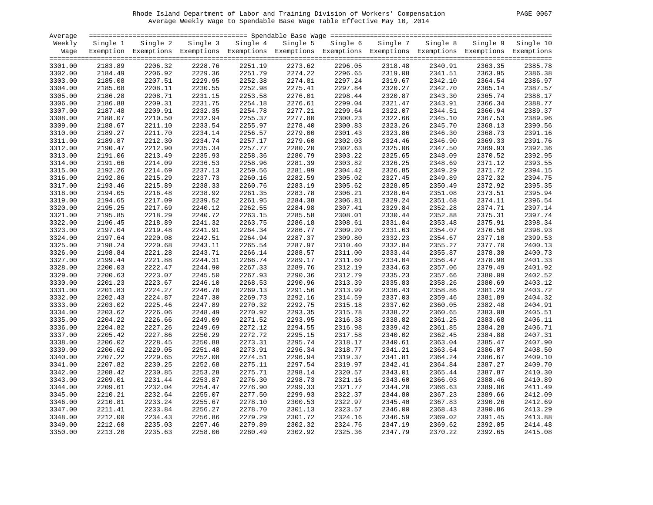# Rhode Island Department of Labor and Training Division of Workers' Compensation PAGE 0067 Average Weekly Wage to Spendable Base Wage Table Effective May 10, 2014

| PAGE. | 0067 |
|-------|------|
|       |      |

| Average |          |                                                                                                              |          |          |          |          |          |          |          |                    |
|---------|----------|--------------------------------------------------------------------------------------------------------------|----------|----------|----------|----------|----------|----------|----------|--------------------|
| Weekly  | Single 1 | Single 2                                                                                                     | Single 3 | Single 4 | Single 5 | Single 6 | Single 7 | Single 8 | Single 9 | Single 10          |
| Wage    |          | Exemption Exemptions Exemptions Exemptions Exemptions Exemptions Exemptions Exemptions Exemptions Exemptions |          |          |          |          |          |          |          |                    |
|         |          |                                                                                                              |          |          |          |          |          |          |          |                    |
| 3301.00 | 2183.89  | 2206.32                                                                                                      | 2228.76  | 2251.19  | 2273.62  | 2296.05  | 2318.48  | 2340.91  | 2363.35  | 2385.78            |
| 3302.00 | 2184.49  | 2206.92                                                                                                      | 2229.36  | 2251.79  | 2274.22  | 2296.65  | 2319.08  | 2341.51  | 2363.95  | 2386.38            |
| 3303.00 | 2185.08  | 2207.51                                                                                                      | 2229.95  | 2252.38  | 2274.81  | 2297.24  | 2319.67  | 2342.10  | 2364.54  | 2386.97            |
| 3304.00 | 2185.68  | 2208.11                                                                                                      | 2230.55  | 2252.98  | 2275.41  | 2297.84  | 2320.27  | 2342.70  | 2365.14  | 2387.57            |
| 3305.00 | 2186.28  | 2208.71                                                                                                      | 2231.15  | 2253.58  | 2276.01  | 2298.44  | 2320.87  | 2343.30  | 2365.74  | 2388.17            |
| 3306.00 | 2186.88  | 2209.31                                                                                                      | 2231.75  | 2254.18  | 2276.61  | 2299.04  | 2321.47  | 2343.91  | 2366.34  | 2388.77            |
| 3307.00 | 2187.48  | 2209.91                                                                                                      | 2232.35  | 2254.78  | 2277.21  | 2299.64  | 2322.07  | 2344.51  | 2366.94  | 2389.37            |
| 3308.00 | 2188.07  | 2210.50                                                                                                      | 2232.94  | 2255.37  | 2277.80  | 2300.23  | 2322.66  | 2345.10  | 2367.53  | 2389.96            |
| 3309.00 | 2188.67  | 2211.10                                                                                                      | 2233.54  | 2255.97  | 2278.40  | 2300.83  | 2323.26  | 2345.70  | 2368.13  | 2390.56            |
| 3310.00 | 2189.27  | 2211.70                                                                                                      | 2234.14  | 2256.57  | 2279.00  | 2301.43  | 2323.86  | 2346.30  | 2368.73  | 2391.16            |
| 3311.00 | 2189.87  | 2212.30                                                                                                      | 2234.74  | 2257.17  | 2279.60  | 2302.03  | 2324.46  | 2346.90  | 2369.33  | 2391.76            |
| 3312.00 | 2190.47  | 2212.90                                                                                                      | 2235.34  | 2257.77  | 2280.20  | 2302.63  | 2325.06  | 2347.50  | 2369.93  | 2392.36            |
| 3313.00 | 2191.06  | 2213.49                                                                                                      | 2235.93  | 2258.36  | 2280.79  | 2303.22  | 2325.65  | 2348.09  | 2370.52  | 2392.95            |
| 3314.00 | 2191.66  | 2214.09                                                                                                      | 2236.53  | 2258.96  | 2281.39  | 2303.82  | 2326.25  | 2348.69  | 2371.12  | 2393.55            |
| 3315.00 | 2192.26  | 2214.69                                                                                                      | 2237.13  | 2259.56  | 2281.99  | 2304.42  | 2326.85  | 2349.29  | 2371.72  | 2394.15            |
| 3316.00 | 2192.86  | 2215.29                                                                                                      | 2237.73  | 2260.16  | 2282.59  | 2305.02  | 2327.45  | 2349.89  | 2372.32  | 2394.75            |
| 3317.00 | 2193.46  | 2215.89                                                                                                      | 2238.33  | 2260.76  | 2283.19  | 2305.62  | 2328.05  | 2350.49  | 2372.92  | 2395.35            |
| 3318.00 | 2194.05  | 2216.48                                                                                                      | 2238.92  | 2261.35  | 2283.78  | 2306.21  | 2328.64  | 2351.08  | 2373.51  | 2395.94            |
| 3319.00 | 2194.65  | 2217.09                                                                                                      | 2239.52  | 2261.95  | 2284.38  | 2306.81  | 2329.24  | 2351.68  | 2374.11  | 2396.54            |
| 3320.00 | 2195.25  | 2217.69                                                                                                      | 2240.12  | 2262.55  | 2284.98  | 2307.41  | 2329.84  | 2352.28  | 2374.71  | 2397.14            |
| 3321.00 | 2195.85  | 2218.29                                                                                                      | 2240.72  | 2263.15  | 2285.58  | 2308.01  | 2330.44  | 2352.88  | 2375.31  | 2397.74            |
|         | 2196.45  | 2218.89                                                                                                      | 2241.32  | 2263.75  |          | 2308.61  | 2331.04  |          |          | 2398.34            |
| 3322.00 |          |                                                                                                              |          |          | 2286.18  |          |          | 2353.48  | 2375.91  |                    |
| 3323.00 | 2197.04  | 2219.48                                                                                                      | 2241.91  | 2264.34  | 2286.77  | 2309.20  | 2331.63  | 2354.07  | 2376.50  | 2398.93<br>2399.53 |
| 3324.00 | 2197.64  | 2220.08                                                                                                      | 2242.51  | 2264.94  | 2287.37  | 2309.80  | 2332.23  | 2354.67  | 2377.10  | 2400.13            |
| 3325.00 | 2198.24  | 2220.68                                                                                                      | 2243.11  | 2265.54  | 2287.97  | 2310.40  | 2332.84  | 2355.27  | 2377.70  | 2400.73            |
| 3326.00 | 2198.84  | 2221.28                                                                                                      | 2243.71  | 2266.14  | 2288.57  | 2311.00  | 2333.44  | 2355.87  | 2378.30  |                    |
| 3327.00 | 2199.44  | 2221.88                                                                                                      | 2244.31  | 2266.74  | 2289.17  | 2311.60  | 2334.04  | 2356.47  | 2378.90  | 2401.33            |
| 3328.00 | 2200.03  | 2222.47                                                                                                      | 2244.90  | 2267.33  | 2289.76  | 2312.19  | 2334.63  | 2357.06  | 2379.49  | 2401.92            |
| 3329.00 | 2200.63  | 2223.07                                                                                                      | 2245.50  | 2267.93  | 2290.36  | 2312.79  | 2335.23  | 2357.66  | 2380.09  | 2402.52            |
| 3330.00 | 2201.23  | 2223.67                                                                                                      | 2246.10  | 2268.53  | 2290.96  | 2313.39  | 2335.83  | 2358.26  | 2380.69  | 2403.12            |
| 3331.00 | 2201.83  | 2224.27                                                                                                      | 2246.70  | 2269.13  | 2291.56  | 2313.99  | 2336.43  | 2358.86  | 2381.29  | 2403.72            |
| 3332.00 | 2202.43  | 2224.87                                                                                                      | 2247.30  | 2269.73  | 2292.16  | 2314.59  | 2337.03  | 2359.46  | 2381.89  | 2404.32            |
| 3333.00 | 2203.02  | 2225.46                                                                                                      | 2247.89  | 2270.32  | 2292.75  | 2315.18  | 2337.62  | 2360.05  | 2382.48  | 2404.91            |
| 3334.00 | 2203.62  | 2226.06                                                                                                      | 2248.49  | 2270.92  | 2293.35  | 2315.78  | 2338.22  | 2360.65  | 2383.08  | 2405.51            |
| 3335.00 | 2204.22  | 2226.66                                                                                                      | 2249.09  | 2271.52  | 2293.95  | 2316.38  | 2338.82  | 2361.25  | 2383.68  | 2406.11            |
| 3336.00 | 2204.82  | 2227.26                                                                                                      | 2249.69  | 2272.12  | 2294.55  | 2316.98  | 2339.42  | 2361.85  | 2384.28  | 2406.71            |
| 3337.00 | 2205.42  | 2227.86                                                                                                      | 2250.29  | 2272.72  | 2295.15  | 2317.58  | 2340.02  | 2362.45  | 2384.88  | 2407.31            |
| 3338.00 | 2206.02  | 2228.45                                                                                                      | 2250.88  | 2273.31  | 2295.74  | 2318.17  | 2340.61  | 2363.04  | 2385.47  | 2407.90            |
| 3339.00 | 2206.62  | 2229.05                                                                                                      | 2251.48  | 2273.91  | 2296.34  | 2318.77  | 2341.21  | 2363.64  | 2386.07  | 2408.50            |
| 3340.00 | 2207.22  | 2229.65                                                                                                      | 2252.08  | 2274.51  | 2296.94  | 2319.37  | 2341.81  | 2364.24  | 2386.67  | 2409.10            |
| 3341.00 | 2207.82  | 2230.25                                                                                                      | 2252.68  | 2275.11  | 2297.54  | 2319.97  | 2342.41  | 2364.84  | 2387.27  | 2409.70            |
| 3342.00 | 2208.42  | 2230.85                                                                                                      | 2253.28  | 2275.71  | 2298.14  | 2320.57  | 2343.01  | 2365.44  | 2387.87  | 2410.30            |
| 3343.00 | 2209.01  | 2231.44                                                                                                      | 2253.87  | 2276.30  | 2298.73  | 2321.16  | 2343.60  | 2366.03  | 2388.46  | 2410.89            |
| 3344.00 | 2209.61  | 2232.04                                                                                                      | 2254.47  | 2276.90  | 2299.33  | 2321.77  | 2344.20  | 2366.63  | 2389.06  | 2411.49            |
| 3345.00 | 2210.21  | 2232.64                                                                                                      | 2255.07  | 2277.50  | 2299.93  | 2322.37  | 2344.80  | 2367.23  | 2389.66  | 2412.09            |
| 3346.00 | 2210.81  | 2233.24                                                                                                      | 2255.67  | 2278.10  | 2300.53  | 2322.97  | 2345.40  | 2367.83  | 2390.26  | 2412.69            |
| 3347.00 | 2211.41  | 2233.84                                                                                                      | 2256.27  | 2278.70  | 2301.13  | 2323.57  | 2346.00  | 2368.43  | 2390.86  | 2413.29            |
| 3348.00 | 2212.00  | 2234.43                                                                                                      | 2256.86  | 2279.29  | 2301.72  | 2324.16  | 2346.59  | 2369.02  | 2391.45  | 2413.88            |
| 3349.00 | 2212.60  | 2235.03                                                                                                      | 2257.46  | 2279.89  | 2302.32  | 2324.76  | 2347.19  | 2369.62  | 2392.05  | 2414.48            |
| 3350.00 | 2213.20  | 2235.63                                                                                                      | 2258.06  | 2280.49  | 2302.92  | 2325.36  | 2347.79  | 2370.22  | 2392.65  | 2415.08            |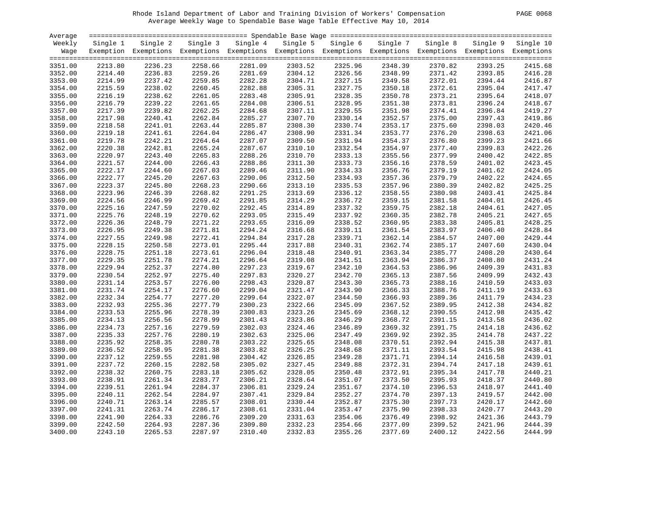# Rhode Island Department of Labor and Training Division of Workers' Compensation PAGE 0068 Average Weekly Wage to Spendable Base Wage Table Effective May 10, 2014

|  | PAGE | 0068 |  |  |
|--|------|------|--|--|
|--|------|------|--|--|

| Average            |                    |                                                                                                              |                    |                    |                    |                    |          |                    |                    |                    |
|--------------------|--------------------|--------------------------------------------------------------------------------------------------------------|--------------------|--------------------|--------------------|--------------------|----------|--------------------|--------------------|--------------------|
| Weekly             | Single 1           | Single 2                                                                                                     | Single 3           | Single 4           | Single 5           | Single 6           | Single 7 | Single 8           | Single 9           | Single 10          |
| Wage               |                    | Exemption Exemptions Exemptions Exemptions Exemptions Exemptions Exemptions Exemptions Exemptions Exemptions |                    |                    |                    |                    |          |                    |                    |                    |
|                    |                    |                                                                                                              |                    |                    |                    |                    |          |                    |                    |                    |
| 3351.00            | 2213.80            | 2236.23                                                                                                      | 2258.66            | 2281.09            | 2303.52            | 2325.96            | 2348.39  | 2370.82            | 2393.25            | 2415.68            |
| 3352.00            | 2214.40            | 2236.83                                                                                                      | 2259.26            | 2281.69            | 2304.12            | 2326.56            | 2348.99  | 2371.42            | 2393.85            | 2416.28            |
| 3353.00            | 2214.99            | 2237.42                                                                                                      | 2259.85            | 2282.28            | 2304.71            | 2327.15            | 2349.58  | 2372.01            | 2394.44            | 2416.87            |
| 3354.00            | 2215.59            | 2238.02                                                                                                      | 2260.45            | 2282.88            | 2305.31            | 2327.75            | 2350.18  | 2372.61            | 2395.04            | 2417.47            |
| 3355.00            | 2216.19            | 2238.62                                                                                                      | 2261.05            | 2283.48            | 2305.91            | 2328.35            | 2350.78  | 2373.21            | 2395.64            | 2418.07            |
| 3356.00            | 2216.79            | 2239.22                                                                                                      | 2261.65            | 2284.08            | 2306.51            | 2328.95            | 2351.38  | 2373.81            | 2396.24            | 2418.67            |
| 3357.00            | 2217.39            | 2239.82                                                                                                      | 2262.25            | 2284.68            | 2307.11            | 2329.55            | 2351.98  | 2374.41            | 2396.84            | 2419.27            |
| 3358.00            | 2217.98            | 2240.41                                                                                                      | 2262.84            | 2285.27            | 2307.70            | 2330.14            | 2352.57  | 2375.00            | 2397.43            | 2419.86            |
| 3359.00            | 2218.58            | 2241.01                                                                                                      | 2263.44            | 2285.87            | 2308.30            | 2330.74            | 2353.17  | 2375.60            | 2398.03            | 2420.46            |
| 3360.00            | 2219.18            | 2241.61                                                                                                      | 2264.04            | 2286.47            | 2308.90            | 2331.34            | 2353.77  | 2376.20            | 2398.63            | 2421.06            |
| 3361.00            | 2219.78            | 2242.21                                                                                                      | 2264.64            | 2287.07            | 2309.50            | 2331.94            | 2354.37  | 2376.80            | 2399.23            | 2421.66            |
| 3362.00            | 2220.38            | 2242.81                                                                                                      | 2265.24            | 2287.67            | 2310.10            | 2332.54            | 2354.97  | 2377.40            | 2399.83            | 2422.26            |
| 3363.00            | 2220.97            | 2243.40                                                                                                      | 2265.83            | 2288.26            | 2310.70            | 2333.13            | 2355.56  | 2377.99            | 2400.42            | 2422.85            |
| 3364.00            | 2221.57            | 2244.00                                                                                                      | 2266.43            | 2288.86            | 2311.30            | 2333.73            | 2356.16  | 2378.59            | 2401.02            | 2423.45            |
| 3365.00            | 2222.17            | 2244.60                                                                                                      | 2267.03            | 2289.46            | 2311.90            | 2334.33            | 2356.76  | 2379.19            | 2401.62            | 2424.05            |
| 3366.00            | 2222.77            | 2245.20                                                                                                      | 2267.63            | 2290.06            | 2312.50            | 2334.93            | 2357.36  | 2379.79            | 2402.22            | 2424.65            |
| 3367.00            | 2223.37            | 2245.80                                                                                                      | 2268.23            | 2290.66            | 2313.10            | 2335.53            | 2357.96  | 2380.39            | 2402.82            | 2425.25            |
| 3368.00            | 2223.96            | 2246.39                                                                                                      | 2268.82            | 2291.25            | 2313.69            | 2336.12            | 2358.55  | 2380.98            | 2403.41            | 2425.84            |
| 3369.00            | 2224.56            | 2246.99                                                                                                      | 2269.42            | 2291.85            | 2314.29            | 2336.72            | 2359.15  | 2381.58            | 2404.01            | 2426.45            |
| 3370.00            | 2225.16            | 2247.59                                                                                                      | 2270.02            | 2292.45            | 2314.89            | 2337.32            | 2359.75  | 2382.18            | 2404.61            | 2427.05            |
| 3371.00            | 2225.76            | 2248.19                                                                                                      | 2270.62            | 2293.05            | 2315.49            | 2337.92            | 2360.35  | 2382.78            | 2405.21            | 2427.65            |
| 3372.00            | 2226.36            | 2248.79                                                                                                      | 2271.22            | 2293.65            | 2316.09            | 2338.52            | 2360.95  | 2383.38            | 2405.81            | 2428.25            |
| 3373.00            | 2226.95            | 2249.38                                                                                                      | 2271.81            | 2294.24            | 2316.68            | 2339.11            | 2361.54  | 2383.97            | 2406.40            | 2428.84            |
|                    |                    | 2249.98                                                                                                      |                    | 2294.84            |                    |                    | 2362.14  |                    |                    | 2429.44            |
| 3374.00<br>3375.00 | 2227.55<br>2228.15 | 2250.58                                                                                                      | 2272.41<br>2273.01 | 2295.44            | 2317.28<br>2317.88 | 2339.71<br>2340.31 | 2362.74  | 2384.57<br>2385.17 | 2407.00<br>2407.60 | 2430.04            |
| 3376.00            | 2228.75            | 2251.18                                                                                                      | 2273.61            | 2296.04            | 2318.48            | 2340.91            | 2363.34  | 2385.77            | 2408.20            | 2430.64            |
|                    |                    |                                                                                                              |                    |                    |                    |                    |          |                    |                    |                    |
| 3377.00            | 2229.35            | 2251.78                                                                                                      | 2274.21            | 2296.64            | 2319.08            | 2341.51            | 2363.94  | 2386.37            | 2408.80            | 2431.24<br>2431.83 |
| 3378.00            | 2229.94            | 2252.37                                                                                                      | 2274.80            | 2297.23<br>2297.83 | 2319.67            | 2342.10            | 2364.53  | 2386.96            | 2409.39            | 2432.43            |
| 3379.00            | 2230.54            | 2252.97                                                                                                      | 2275.40            |                    | 2320.27            | 2342.70            | 2365.13  | 2387.56            | 2409.99            | 2433.03            |
| 3380.00            | 2231.14            | 2253.57                                                                                                      | 2276.00            | 2298.43            | 2320.87            | 2343.30            | 2365.73  | 2388.16            | 2410.59            |                    |
| 3381.00            | 2231.74            | 2254.17                                                                                                      | 2276.60            | 2299.04            | 2321.47            | 2343.90            | 2366.33  | 2388.76            | 2411.19            | 2433.63            |
| 3382.00            | 2232.34            | 2254.77                                                                                                      | 2277.20            | 2299.64            | 2322.07            | 2344.50            | 2366.93  | 2389.36            | 2411.79            | 2434.23            |
| 3383.00            | 2232.93            | 2255.36                                                                                                      | 2277.79            | 2300.23            | 2322.66            | 2345.09            | 2367.52  | 2389.95            | 2412.38            | 2434.82            |
| 3384.00            | 2233.53            | 2255.96                                                                                                      | 2278.39            | 2300.83            | 2323.26            | 2345.69            | 2368.12  | 2390.55            | 2412.98            | 2435.42            |
| 3385.00            | 2234.13            | 2256.56                                                                                                      | 2278.99            | 2301.43            | 2323.86            | 2346.29            | 2368.72  | 2391.15            | 2413.58            | 2436.02            |
| 3386.00            | 2234.73            | 2257.16                                                                                                      | 2279.59            | 2302.03            | 2324.46            | 2346.89            | 2369.32  | 2391.75            | 2414.18            | 2436.62            |
| 3387.00            | 2235.33            | 2257.76                                                                                                      | 2280.19            | 2302.63            | 2325.06            | 2347.49            | 2369.92  | 2392.35            | 2414.78            | 2437.22            |
| 3388.00            | 2235.92            | 2258.35                                                                                                      | 2280.78            | 2303.22            | 2325.65            | 2348.08            | 2370.51  | 2392.94            | 2415.38            | 2437.81            |
| 3389.00            | 2236.52            | 2258.95                                                                                                      | 2281.38            | 2303.82            | 2326.25            | 2348.68            | 2371.11  | 2393.54            | 2415.98            | 2438.41            |
| 3390.00            | 2237.12            | 2259.55                                                                                                      | 2281.98            | 2304.42            | 2326.85            | 2349.28            | 2371.71  | 2394.14            | 2416.58            | 2439.01            |
| 3391.00            | 2237.72            | 2260.15                                                                                                      | 2282.58            | 2305.02            | 2327.45            | 2349.88            | 2372.31  | 2394.74            | 2417.18            | 2439.61            |
| 3392.00            | 2238.32            | 2260.75                                                                                                      | 2283.18            | 2305.62            | 2328.05            | 2350.48            | 2372.91  | 2395.34            | 2417.78            | 2440.21            |
| 3393.00            | 2238.91            | 2261.34                                                                                                      | 2283.77            | 2306.21            | 2328.64            | 2351.07            | 2373.50  | 2395.93            | 2418.37            | 2440.80            |
| 3394.00            | 2239.51            | 2261.94                                                                                                      | 2284.37            | 2306.81            | 2329.24            | 2351.67            | 2374.10  | 2396.53            | 2418.97            | 2441.40            |
| 3395.00            | 2240.11            | 2262.54                                                                                                      | 2284.97            | 2307.41            | 2329.84            | 2352.27            | 2374.70  | 2397.13            | 2419.57            | 2442.00            |
| 3396.00            | 2240.71            | 2263.14                                                                                                      | 2285.57            | 2308.01            | 2330.44            | 2352.87            | 2375.30  | 2397.73            | 2420.17            | 2442.60            |
| 3397.00            | 2241.31            | 2263.74                                                                                                      | 2286.17            | 2308.61            | 2331.04            | 2353.47            | 2375.90  | 2398.33            | 2420.77            | 2443.20            |
| 3398.00            | 2241.90            | 2264.33                                                                                                      | 2286.76            | 2309.20            | 2331.63            | 2354.06            | 2376.49  | 2398.92            | 2421.36            | 2443.79            |
| 3399.00            | 2242.50            | 2264.93                                                                                                      | 2287.36            | 2309.80            | 2332.23            | 2354.66            | 2377.09  | 2399.52            | 2421.96            | 2444.39            |
| 3400.00            | 2243.10            | 2265.53                                                                                                      | 2287.97            | 2310.40            | 2332.83            | 2355.26            | 2377.69  | 2400.12            | 2422.56            | 2444.99            |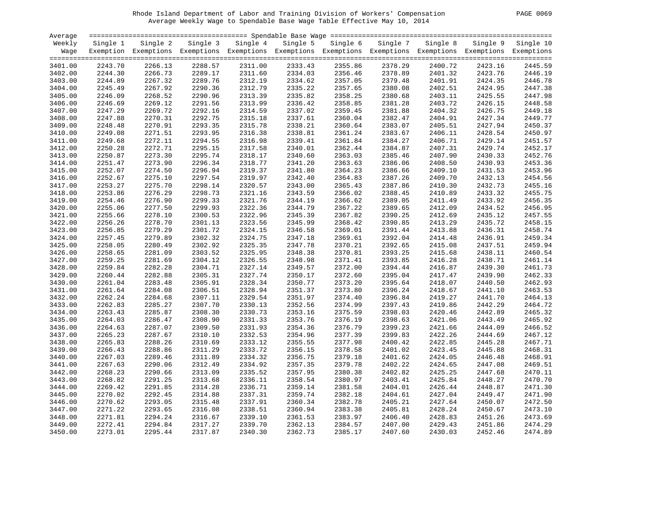# Rhode Island Department of Labor and Training Division of Workers' Compensation PAGE 0069 Average Weekly Wage to Spendable Base Wage Table Effective May 10, 2014

| PAGE.<br>0069 |  |  |  |
|---------------|--|--|--|
|---------------|--|--|--|

| Average |          |                                                                                                              |          |          |          |          |          |          |          |           |
|---------|----------|--------------------------------------------------------------------------------------------------------------|----------|----------|----------|----------|----------|----------|----------|-----------|
| Weekly  | Single 1 | Single 2                                                                                                     | Single 3 | Single 4 | Single 5 | Single 6 | Single 7 | Single 8 | Single 9 | Single 10 |
| Wage    |          | Exemption Exemptions Exemptions Exemptions Exemptions Exemptions Exemptions Exemptions Exemptions Exemptions |          |          |          |          |          |          |          |           |
|         |          |                                                                                                              |          |          |          |          |          |          |          |           |
| 3401.00 | 2243.70  | 2266.13                                                                                                      | 2288.57  | 2311.00  | 2333.43  | 2355.86  | 2378.29  | 2400.72  | 2423.16  | 2445.59   |
| 3402.00 | 2244.30  | 2266.73                                                                                                      | 2289.17  | 2311.60  | 2334.03  | 2356.46  | 2378.89  | 2401.32  | 2423.76  | 2446.19   |
| 3403.00 | 2244.89  | 2267.32                                                                                                      | 2289.76  | 2312.19  | 2334.62  | 2357.05  | 2379.48  | 2401.91  | 2424.35  | 2446.78   |
| 3404.00 | 2245.49  | 2267.92                                                                                                      | 2290.36  | 2312.79  | 2335.22  | 2357.65  | 2380.08  | 2402.51  | 2424.95  | 2447.38   |
| 3405.00 | 2246.09  | 2268.52                                                                                                      | 2290.96  | 2313.39  | 2335.82  | 2358.25  | 2380.68  | 2403.11  | 2425.55  | 2447.98   |
| 3406.00 | 2246.69  | 2269.12                                                                                                      | 2291.56  | 2313.99  | 2336.42  | 2358.85  | 2381.28  | 2403.72  | 2426.15  | 2448.58   |
| 3407.00 | 2247.29  | 2269.72                                                                                                      | 2292.16  | 2314.59  | 2337.02  | 2359.45  | 2381.88  | 2404.32  | 2426.75  | 2449.18   |
| 3408.00 | 2247.88  | 2270.31                                                                                                      | 2292.75  | 2315.18  | 2337.61  | 2360.04  | 2382.47  | 2404.91  | 2427.34  | 2449.77   |
| 3409.00 | 2248.48  | 2270.91                                                                                                      | 2293.35  | 2315.78  | 2338.21  | 2360.64  | 2383.07  | 2405.51  | 2427.94  | 2450.37   |
| 3410.00 | 2249.08  | 2271.51                                                                                                      | 2293.95  | 2316.38  | 2338.81  | 2361.24  | 2383.67  | 2406.11  | 2428.54  | 2450.97   |
| 3411.00 | 2249.68  | 2272.11                                                                                                      | 2294.55  | 2316.98  | 2339.41  | 2361.84  | 2384.27  | 2406.71  | 2429.14  | 2451.57   |
| 3412.00 | 2250.28  | 2272.71                                                                                                      | 2295.15  | 2317.58  | 2340.01  | 2362.44  | 2384.87  | 2407.31  | 2429.74  | 2452.17   |
| 3413.00 | 2250.87  | 2273.30                                                                                                      | 2295.74  | 2318.17  | 2340.60  | 2363.03  | 2385.46  | 2407.90  | 2430.33  | 2452.76   |
| 3414.00 | 2251.47  | 2273.90                                                                                                      | 2296.34  | 2318.77  | 2341.20  | 2363.63  | 2386.06  | 2408.50  | 2430.93  | 2453.36   |
| 3415.00 | 2252.07  | 2274.50                                                                                                      | 2296.94  | 2319.37  | 2341.80  | 2364.23  | 2386.66  | 2409.10  | 2431.53  | 2453.96   |
| 3416.00 | 2252.67  | 2275.10                                                                                                      | 2297.54  | 2319.97  | 2342.40  | 2364.83  | 2387.26  | 2409.70  | 2432.13  | 2454.56   |
| 3417.00 | 2253.27  | 2275.70                                                                                                      | 2298.14  | 2320.57  | 2343.00  | 2365.43  | 2387.86  | 2410.30  | 2432.73  | 2455.16   |
| 3418.00 | 2253.86  | 2276.29                                                                                                      | 2298.73  | 2321.16  | 2343.59  | 2366.02  | 2388.45  | 2410.89  | 2433.32  | 2455.75   |
| 3419.00 | 2254.46  | 2276.90                                                                                                      | 2299.33  | 2321.76  | 2344.19  | 2366.62  | 2389.05  | 2411.49  | 2433.92  | 2456.35   |
| 3420.00 | 2255.06  | 2277.50                                                                                                      | 2299.93  | 2322.36  | 2344.79  | 2367.22  | 2389.65  | 2412.09  | 2434.52  | 2456.95   |
| 3421.00 | 2255.66  | 2278.10                                                                                                      | 2300.53  | 2322.96  | 2345.39  | 2367.82  | 2390.25  | 2412.69  | 2435.12  | 2457.55   |
| 3422.00 | 2256.26  | 2278.70                                                                                                      | 2301.13  | 2323.56  | 2345.99  | 2368.42  | 2390.85  | 2413.29  | 2435.72  | 2458.15   |
| 3423.00 | 2256.85  | 2279.29                                                                                                      | 2301.72  | 2324.15  | 2346.58  | 2369.01  | 2391.44  | 2413.88  | 2436.31  | 2458.74   |
| 3424.00 | 2257.45  | 2279.89                                                                                                      | 2302.32  | 2324.75  | 2347.18  | 2369.61  | 2392.04  | 2414.48  | 2436.91  | 2459.34   |
| 3425.00 | 2258.05  | 2280.49                                                                                                      | 2302.92  | 2325.35  | 2347.78  | 2370.21  | 2392.65  | 2415.08  | 2437.51  | 2459.94   |
| 3426.00 | 2258.65  | 2281.09                                                                                                      | 2303.52  | 2325.95  | 2348.38  | 2370.81  | 2393.25  | 2415.68  | 2438.11  | 2460.54   |
| 3427.00 | 2259.25  | 2281.69                                                                                                      | 2304.12  | 2326.55  | 2348.98  | 2371.41  | 2393.85  | 2416.28  | 2438.71  | 2461.14   |
| 3428.00 | 2259.84  | 2282.28                                                                                                      | 2304.71  | 2327.14  | 2349.57  | 2372.00  | 2394.44  | 2416.87  | 2439.30  | 2461.73   |
| 3429.00 | 2260.44  | 2282.88                                                                                                      | 2305.31  | 2327.74  | 2350.17  | 2372.60  | 2395.04  | 2417.47  | 2439.90  | 2462.33   |
| 3430.00 | 2261.04  | 2283.48                                                                                                      | 2305.91  | 2328.34  | 2350.77  | 2373.20  | 2395.64  | 2418.07  | 2440.50  | 2462.93   |
| 3431.00 | 2261.64  | 2284.08                                                                                                      | 2306.51  | 2328.94  | 2351.37  | 2373.80  | 2396.24  | 2418.67  | 2441.10  | 2463.53   |
| 3432.00 | 2262.24  | 2284.68                                                                                                      | 2307.11  | 2329.54  | 2351.97  | 2374.40  | 2396.84  | 2419.27  | 2441.70  | 2464.13   |
| 3433.00 | 2262.83  | 2285.27                                                                                                      | 2307.70  | 2330.13  | 2352.56  | 2374.99  | 2397.43  | 2419.86  | 2442.29  | 2464.72   |
| 3434.00 | 2263.43  | 2285.87                                                                                                      | 2308.30  | 2330.73  | 2353.16  | 2375.59  | 2398.03  | 2420.46  | 2442.89  | 2465.32   |
| 3435.00 | 2264.03  | 2286.47                                                                                                      | 2308.90  | 2331.33  | 2353.76  | 2376.19  | 2398.63  | 2421.06  | 2443.49  | 2465.92   |
| 3436.00 | 2264.63  | 2287.07                                                                                                      | 2309.50  | 2331.93  | 2354.36  | 2376.79  | 2399.23  | 2421.66  | 2444.09  | 2466.52   |
| 3437.00 | 2265.23  | 2287.67                                                                                                      | 2310.10  | 2332.53  | 2354.96  | 2377.39  | 2399.83  | 2422.26  | 2444.69  | 2467.12   |
| 3438.00 | 2265.83  | 2288.26                                                                                                      | 2310.69  | 2333.12  | 2355.55  | 2377.98  | 2400.42  | 2422.85  | 2445.28  | 2467.71   |
| 3439.00 | 2266.43  | 2288.86                                                                                                      | 2311.29  | 2333.72  | 2356.15  | 2378.58  | 2401.02  | 2423.45  | 2445.88  | 2468.31   |
| 3440.00 | 2267.03  | 2289.46                                                                                                      | 2311.89  | 2334.32  | 2356.75  | 2379.18  | 2401.62  | 2424.05  | 2446.48  | 2468.91   |
| 3441.00 | 2267.63  | 2290.06                                                                                                      | 2312.49  | 2334.92  | 2357.35  | 2379.78  | 2402.22  | 2424.65  | 2447.08  | 2469.51   |
| 3442.00 | 2268.23  | 2290.66                                                                                                      | 2313.09  | 2335.52  | 2357.95  | 2380.38  | 2402.82  | 2425.25  | 2447.68  | 2470.11   |
| 3443.00 | 2268.82  | 2291.25                                                                                                      | 2313.68  | 2336.11  | 2358.54  | 2380.97  | 2403.41  | 2425.84  | 2448.27  | 2470.70   |
| 3444.00 | 2269.42  | 2291.85                                                                                                      | 2314.28  | 2336.71  | 2359.14  | 2381.58  | 2404.01  | 2426.44  | 2448.87  | 2471.30   |
| 3445.00 | 2270.02  | 2292.45                                                                                                      | 2314.88  | 2337.31  | 2359.74  | 2382.18  | 2404.61  | 2427.04  | 2449.47  | 2471.90   |
|         |          |                                                                                                              |          |          |          |          |          |          |          |           |
| 3446.00 | 2270.62  | 2293.05                                                                                                      | 2315.48  | 2337.91  | 2360.34  | 2382.78  | 2405.21  | 2427.64  | 2450.07  | 2472.50   |
| 3447.00 | 2271.22  | 2293.65                                                                                                      | 2316.08  | 2338.51  | 2360.94  | 2383.38  | 2405.81  | 2428.24  | 2450.67  | 2473.10   |
| 3448.00 | 2271.81  | 2294.24                                                                                                      | 2316.67  | 2339.10  | 2361.53  | 2383.97  | 2406.40  | 2428.83  | 2451.26  | 2473.69   |
| 3449.00 | 2272.41  | 2294.84                                                                                                      | 2317.27  | 2339.70  | 2362.13  | 2384.57  | 2407.00  | 2429.43  | 2451.86  | 2474.29   |
| 3450.00 | 2273.01  | 2295.44                                                                                                      | 2317.87  | 2340.30  | 2362.73  | 2385.17  | 2407.60  | 2430.03  | 2452.46  | 2474.89   |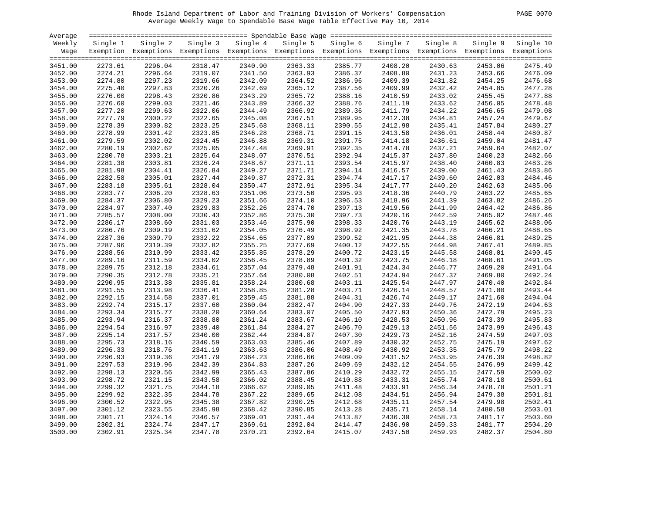# Rhode Island Department of Labor and Training Division of Workers' Compensation PAGE 0070 Average Weekly Wage to Spendable Base Wage Table Effective May 10, 2014

| PAGE 0070 |
|-----------|
|           |

| Average            |          |                                                                                                              |          |          |          |          |          |          |          |           |
|--------------------|----------|--------------------------------------------------------------------------------------------------------------|----------|----------|----------|----------|----------|----------|----------|-----------|
| Weekly             | Single 1 | Single 2                                                                                                     | Single 3 | Single 4 | Single 5 | Single 6 | Single 7 | Single 8 | Single 9 | Single 10 |
| Wage               |          | Exemption Exemptions Exemptions Exemptions Exemptions Exemptions Exemptions Exemptions Exemptions Exemptions |          |          |          |          |          |          |          |           |
|                    |          |                                                                                                              |          |          |          |          |          |          |          |           |
| 3451.00            | 2273.61  | 2296.04                                                                                                      | 2318.47  | 2340.90  | 2363.33  | 2385.77  | 2408.20  | 2430.63  | 2453.06  | 2475.49   |
| 3452.00            | 2274.21  | 2296.64                                                                                                      | 2319.07  | 2341.50  | 2363.93  | 2386.37  | 2408.80  | 2431.23  | 2453.66  | 2476.09   |
| 3453.00            | 2274.80  | 2297.23                                                                                                      | 2319.66  | 2342.09  | 2364.52  | 2386.96  | 2409.39  | 2431.82  | 2454.25  | 2476.68   |
| 3454.00            | 2275.40  | 2297.83                                                                                                      | 2320.26  | 2342.69  | 2365.12  | 2387.56  | 2409.99  | 2432.42  | 2454.85  | 2477.28   |
| 3455.00            | 2276.00  | 2298.43                                                                                                      | 2320.86  | 2343.29  | 2365.72  | 2388.16  | 2410.59  | 2433.02  | 2455.45  | 2477.88   |
| 3456.00            | 2276.60  | 2299.03                                                                                                      | 2321.46  | 2343.89  | 2366.32  | 2388.76  | 2411.19  | 2433.62  | 2456.05  | 2478.48   |
| 3457.00            | 2277.20  | 2299.63                                                                                                      | 2322.06  | 2344.49  | 2366.92  | 2389.36  | 2411.79  | 2434.22  | 2456.65  | 2479.08   |
| 3458.00            | 2277.79  | 2300.22                                                                                                      | 2322.65  | 2345.08  | 2367.51  | 2389.95  | 2412.38  | 2434.81  | 2457.24  | 2479.67   |
| 3459.00            | 2278.39  | 2300.82                                                                                                      | 2323.25  | 2345.68  | 2368.11  | 2390.55  | 2412.98  | 2435.41  | 2457.84  | 2480.27   |
| 3460.00            | 2278.99  | 2301.42                                                                                                      | 2323.85  | 2346.28  | 2368.71  | 2391.15  | 2413.58  | 2436.01  | 2458.44  | 2480.87   |
| 3461.00            | 2279.59  | 2302.02                                                                                                      | 2324.45  | 2346.88  | 2369.31  | 2391.75  | 2414.18  | 2436.61  | 2459.04  | 2481.47   |
| 3462.00            | 2280.19  | 2302.62                                                                                                      | 2325.05  | 2347.48  | 2369.91  | 2392.35  | 2414.78  | 2437.21  | 2459.64  | 2482.07   |
| 3463.00            | 2280.78  | 2303.21                                                                                                      | 2325.64  | 2348.07  | 2370.51  | 2392.94  | 2415.37  | 2437.80  | 2460.23  | 2482.66   |
| 3464.00            | 2281.38  | 2303.81                                                                                                      | 2326.24  | 2348.67  | 2371.11  | 2393.54  | 2415.97  | 2438.40  | 2460.83  | 2483.26   |
| 3465.00            | 2281.98  | 2304.41                                                                                                      | 2326.84  | 2349.27  | 2371.71  | 2394.14  | 2416.57  | 2439.00  | 2461.43  | 2483.86   |
| 3466.00            | 2282.58  | 2305.01                                                                                                      | 2327.44  | 2349.87  | 2372.31  | 2394.74  | 2417.17  | 2439.60  | 2462.03  | 2484.46   |
|                    | 2283.18  | 2305.61                                                                                                      | 2328.04  | 2350.47  | 2372.91  | 2395.34  | 2417.77  | 2440.20  | 2462.63  | 2485.06   |
| 3467.00<br>3468.00 | 2283.77  | 2306.20                                                                                                      | 2328.63  | 2351.06  | 2373.50  | 2395.93  | 2418.36  | 2440.79  | 2463.22  | 2485.65   |
|                    |          |                                                                                                              |          |          |          |          | 2418.96  |          |          | 2486.26   |
| 3469.00            | 2284.37  | 2306.80                                                                                                      | 2329.23  | 2351.66  | 2374.10  | 2396.53  |          | 2441.39  | 2463.82  | 2486.86   |
| 3470.00            | 2284.97  | 2307.40                                                                                                      | 2329.83  | 2352.26  | 2374.70  | 2397.13  | 2419.56  | 2441.99  | 2464.42  |           |
| 3471.00            | 2285.57  | 2308.00                                                                                                      | 2330.43  | 2352.86  | 2375.30  | 2397.73  | 2420.16  | 2442.59  | 2465.02  | 2487.46   |
| 3472.00            | 2286.17  | 2308.60                                                                                                      | 2331.03  | 2353.46  | 2375.90  | 2398.33  | 2420.76  | 2443.19  | 2465.62  | 2488.06   |
| 3473.00            | 2286.76  | 2309.19                                                                                                      | 2331.62  | 2354.05  | 2376.49  | 2398.92  | 2421.35  | 2443.78  | 2466.21  | 2488.65   |
| 3474.00            | 2287.36  | 2309.79                                                                                                      | 2332.22  | 2354.65  | 2377.09  | 2399.52  | 2421.95  | 2444.38  | 2466.81  | 2489.25   |
| 3475.00            | 2287.96  | 2310.39                                                                                                      | 2332.82  | 2355.25  | 2377.69  | 2400.12  | 2422.55  | 2444.98  | 2467.41  | 2489.85   |
| 3476.00            | 2288.56  | 2310.99                                                                                                      | 2333.42  | 2355.85  | 2378.29  | 2400.72  | 2423.15  | 2445.58  | 2468.01  | 2490.45   |
| 3477.00            | 2289.16  | 2311.59                                                                                                      | 2334.02  | 2356.45  | 2378.89  | 2401.32  | 2423.75  | 2446.18  | 2468.61  | 2491.05   |
| 3478.00            | 2289.75  | 2312.18                                                                                                      | 2334.61  | 2357.04  | 2379.48  | 2401.91  | 2424.34  | 2446.77  | 2469.20  | 2491.64   |
| 3479.00            | 2290.35  | 2312.78                                                                                                      | 2335.21  | 2357.64  | 2380.08  | 2402.51  | 2424.94  | 2447.37  | 2469.80  | 2492.24   |
| 3480.00            | 2290.95  | 2313.38                                                                                                      | 2335.81  | 2358.24  | 2380.68  | 2403.11  | 2425.54  | 2447.97  | 2470.40  | 2492.84   |
| 3481.00            | 2291.55  | 2313.98                                                                                                      | 2336.41  | 2358.85  | 2381.28  | 2403.71  | 2426.14  | 2448.57  | 2471.00  | 2493.44   |
| 3482.00            | 2292.15  | 2314.58                                                                                                      | 2337.01  | 2359.45  | 2381.88  | 2404.31  | 2426.74  | 2449.17  | 2471.60  | 2494.04   |
| 3483.00            | 2292.74  | 2315.17                                                                                                      | 2337.60  | 2360.04  | 2382.47  | 2404.90  | 2427.33  | 2449.76  | 2472.19  | 2494.63   |
| 3484.00            | 2293.34  | 2315.77                                                                                                      | 2338.20  | 2360.64  | 2383.07  | 2405.50  | 2427.93  | 2450.36  | 2472.79  | 2495.23   |
| 3485.00            | 2293.94  | 2316.37                                                                                                      | 2338.80  | 2361.24  | 2383.67  | 2406.10  | 2428.53  | 2450.96  | 2473.39  | 2495.83   |
| 3486.00            | 2294.54  | 2316.97                                                                                                      | 2339.40  | 2361.84  | 2384.27  | 2406.70  | 2429.13  | 2451.56  | 2473.99  | 2496.43   |
| 3487.00            | 2295.14  | 2317.57                                                                                                      | 2340.00  | 2362.44  | 2384.87  | 2407.30  | 2429.73  | 2452.16  | 2474.59  | 2497.03   |
| 3488.00            | 2295.73  | 2318.16                                                                                                      | 2340.59  | 2363.03  | 2385.46  | 2407.89  | 2430.32  | 2452.75  | 2475.19  | 2497.62   |
| 3489.00            | 2296.33  | 2318.76                                                                                                      | 2341.19  | 2363.63  | 2386.06  | 2408.49  | 2430.92  | 2453.35  | 2475.79  | 2498.22   |
| 3490.00            | 2296.93  | 2319.36                                                                                                      | 2341.79  | 2364.23  | 2386.66  | 2409.09  | 2431.52  | 2453.95  | 2476.39  | 2498.82   |
| 3491.00            | 2297.53  | 2319.96                                                                                                      | 2342.39  | 2364.83  | 2387.26  | 2409.69  | 2432.12  | 2454.55  | 2476.99  | 2499.42   |
| 3492.00            | 2298.13  | 2320.56                                                                                                      | 2342.99  | 2365.43  | 2387.86  | 2410.29  | 2432.72  | 2455.15  | 2477.59  | 2500.02   |
| 3493.00            | 2298.72  | 2321.15                                                                                                      | 2343.58  | 2366.02  | 2388.45  | 2410.88  | 2433.31  | 2455.74  | 2478.18  | 2500.61   |
| 3494.00            | 2299.32  | 2321.75                                                                                                      | 2344.18  | 2366.62  | 2389.05  | 2411.48  | 2433.91  | 2456.34  | 2478.78  | 2501.21   |
| 3495.00            | 2299.92  | 2322.35                                                                                                      | 2344.78  | 2367.22  | 2389.65  | 2412.08  | 2434.51  | 2456.94  | 2479.38  | 2501.81   |
| 3496.00            | 2300.52  | 2322.95                                                                                                      | 2345.38  | 2367.82  | 2390.25  | 2412.68  | 2435.11  | 2457.54  | 2479.98  | 2502.41   |
| 3497.00            | 2301.12  | 2323.55                                                                                                      | 2345.98  | 2368.42  | 2390.85  | 2413.28  | 2435.71  | 2458.14  | 2480.58  | 2503.01   |
| 3498.00            | 2301.71  | 2324.14                                                                                                      | 2346.57  | 2369.01  | 2391.44  | 2413.87  | 2436.30  | 2458.73  | 2481.17  | 2503.60   |
| 3499.00            | 2302.31  | 2324.74                                                                                                      | 2347.17  | 2369.61  | 2392.04  | 2414.47  | 2436.90  | 2459.33  | 2481.77  | 2504.20   |
| 3500.00            | 2302.91  | 2325.34                                                                                                      | 2347.78  | 2370.21  | 2392.64  | 2415.07  | 2437.50  | 2459.93  | 2482.37  | 2504.80   |
|                    |          |                                                                                                              |          |          |          |          |          |          |          |           |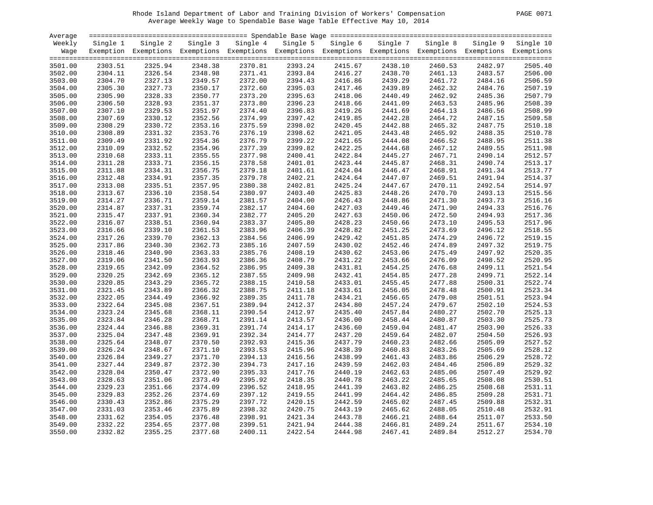# Rhode Island Department of Labor and Training Division of Workers' Compensation PAGE 0071 Average Weekly Wage to Spendable Base Wage Table Effective May 10, 2014

| PAGE. | -007 |  |
|-------|------|--|
|       |      |  |

| Average |          |                                                                                                              |         |                   |          |          |          |          |          |           |
|---------|----------|--------------------------------------------------------------------------------------------------------------|---------|-------------------|----------|----------|----------|----------|----------|-----------|
| Weekly  | Single 1 | Single 2                                                                                                     |         | Single 3 Single 4 | Single 5 | Single 6 | Single 7 | Single 8 | Single 9 | Single 10 |
| Wage    |          | Exemption Exemptions Exemptions Exemptions Exemptions Exemptions Exemptions Exemptions Exemptions Exemptions |         |                   |          |          |          |          |          |           |
|         |          |                                                                                                              |         |                   |          |          |          |          |          |           |
| 3501.00 | 2303.51  | 2325.94                                                                                                      | 2348.38 | 2370.81           | 2393.24  | 2415.67  | 2438.10  | 2460.53  | 2482.97  | 2505.40   |
| 3502.00 | 2304.11  | 2326.54                                                                                                      | 2348.98 | 2371.41           | 2393.84  | 2416.27  | 2438.70  | 2461.13  | 2483.57  | 2506.00   |
| 3503.00 | 2304.70  | 2327.13                                                                                                      | 2349.57 | 2372.00           | 2394.43  | 2416.86  | 2439.29  | 2461.72  | 2484.16  | 2506.59   |
| 3504.00 | 2305.30  | 2327.73                                                                                                      | 2350.17 | 2372.60           | 2395.03  | 2417.46  | 2439.89  | 2462.32  | 2484.76  | 2507.19   |
| 3505.00 | 2305.90  | 2328.33                                                                                                      | 2350.77 | 2373.20           | 2395.63  | 2418.06  | 2440.49  | 2462.92  | 2485.36  | 2507.79   |
| 3506.00 | 2306.50  | 2328.93                                                                                                      | 2351.37 | 2373.80           | 2396.23  | 2418.66  | 2441.09  | 2463.53  | 2485.96  | 2508.39   |
| 3507.00 | 2307.10  | 2329.53                                                                                                      | 2351.97 | 2374.40           | 2396.83  | 2419.26  | 2441.69  | 2464.13  | 2486.56  | 2508.99   |
| 3508.00 | 2307.69  | 2330.12                                                                                                      | 2352.56 | 2374.99           | 2397.42  | 2419.85  | 2442.28  | 2464.72  | 2487.15  | 2509.58   |
| 3509.00 | 2308.29  | 2330.72                                                                                                      | 2353.16 | 2375.59           | 2398.02  | 2420.45  | 2442.88  | 2465.32  | 2487.75  | 2510.18   |
| 3510.00 | 2308.89  | 2331.32                                                                                                      | 2353.76 | 2376.19           | 2398.62  | 2421.05  | 2443.48  | 2465.92  | 2488.35  | 2510.78   |
|         |          |                                                                                                              |         |                   |          |          |          |          |          | 2511.38   |
| 3511.00 | 2309.49  | 2331.92                                                                                                      | 2354.36 | 2376.79           | 2399.22  | 2421.65  | 2444.08  | 2466.52  | 2488.95  |           |
| 3512.00 | 2310.09  | 2332.52                                                                                                      | 2354.96 | 2377.39           | 2399.82  | 2422.25  | 2444.68  | 2467.12  | 2489.55  | 2511.98   |
| 3513.00 | 2310.68  | 2333.11                                                                                                      | 2355.55 | 2377.98           | 2400.41  | 2422.84  | 2445.27  | 2467.71  | 2490.14  | 2512.57   |
| 3514.00 | 2311.28  | 2333.71                                                                                                      | 2356.15 | 2378.58           | 2401.01  | 2423.44  | 2445.87  | 2468.31  | 2490.74  | 2513.17   |
| 3515.00 | 2311.88  | 2334.31                                                                                                      | 2356.75 | 2379.18           | 2401.61  | 2424.04  | 2446.47  | 2468.91  | 2491.34  | 2513.77   |
| 3516.00 | 2312.48  | 2334.91                                                                                                      | 2357.35 | 2379.78           | 2402.21  | 2424.64  | 2447.07  | 2469.51  | 2491.94  | 2514.37   |
| 3517.00 | 2313.08  | 2335.51                                                                                                      | 2357.95 | 2380.38           | 2402.81  | 2425.24  | 2447.67  | 2470.11  | 2492.54  | 2514.97   |
| 3518.00 | 2313.67  | 2336.10                                                                                                      | 2358.54 | 2380.97           | 2403.40  | 2425.83  | 2448.26  | 2470.70  | 2493.13  | 2515.56   |
| 3519.00 | 2314.27  | 2336.71                                                                                                      | 2359.14 | 2381.57           | 2404.00  | 2426.43  | 2448.86  | 2471.30  | 2493.73  | 2516.16   |
| 3520.00 | 2314.87  | 2337.31                                                                                                      | 2359.74 | 2382.17           | 2404.60  | 2427.03  | 2449.46  | 2471.90  | 2494.33  | 2516.76   |
| 3521.00 | 2315.47  | 2337.91                                                                                                      | 2360.34 | 2382.77           | 2405.20  | 2427.63  | 2450.06  | 2472.50  | 2494.93  | 2517.36   |
| 3522.00 | 2316.07  | 2338.51                                                                                                      | 2360.94 | 2383.37           | 2405.80  | 2428.23  | 2450.66  | 2473.10  | 2495.53  | 2517.96   |
| 3523.00 | 2316.66  | 2339.10                                                                                                      | 2361.53 | 2383.96           | 2406.39  | 2428.82  | 2451.25  | 2473.69  | 2496.12  | 2518.55   |
| 3524.00 | 2317.26  | 2339.70                                                                                                      | 2362.13 | 2384.56           | 2406.99  | 2429.42  | 2451.85  | 2474.29  | 2496.72  | 2519.15   |
| 3525.00 | 2317.86  | 2340.30                                                                                                      | 2362.73 | 2385.16           | 2407.59  | 2430.02  | 2452.46  | 2474.89  | 2497.32  | 2519.75   |
| 3526.00 | 2318.46  | 2340.90                                                                                                      | 2363.33 | 2385.76           | 2408.19  | 2430.62  | 2453.06  | 2475.49  | 2497.92  | 2520.35   |
| 3527.00 | 2319.06  | 2341.50                                                                                                      | 2363.93 | 2386.36           | 2408.79  | 2431.22  | 2453.66  | 2476.09  | 2498.52  | 2520.95   |
| 3528.00 | 2319.65  | 2342.09                                                                                                      | 2364.52 | 2386.95           | 2409.38  | 2431.81  | 2454.25  | 2476.68  | 2499.11  | 2521.54   |
| 3529.00 | 2320.25  | 2342.69                                                                                                      | 2365.12 | 2387.55           | 2409.98  | 2432.41  | 2454.85  | 2477.28  | 2499.71  | 2522.14   |
| 3530.00 | 2320.85  | 2343.29                                                                                                      | 2365.72 | 2388.15           | 2410.58  | 2433.01  | 2455.45  | 2477.88  | 2500.31  | 2522.74   |
| 3531.00 | 2321.45  | 2343.89                                                                                                      | 2366.32 | 2388.75           | 2411.18  | 2433.61  | 2456.05  | 2478.48  | 2500.91  | 2523.34   |
| 3532.00 | 2322.05  | 2344.49                                                                                                      | 2366.92 | 2389.35           | 2411.78  | 2434.21  | 2456.65  | 2479.08  | 2501.51  | 2523.94   |
| 3533.00 | 2322.64  | 2345.08                                                                                                      | 2367.51 | 2389.94           | 2412.37  | 2434.80  | 2457.24  | 2479.67  | 2502.10  | 2524.53   |
| 3534.00 | 2323.24  | 2345.68                                                                                                      | 2368.11 | 2390.54           | 2412.97  | 2435.40  | 2457.84  | 2480.27  | 2502.70  | 2525.13   |
| 3535.00 | 2323.84  | 2346.28                                                                                                      | 2368.71 | 2391.14           | 2413.57  | 2436.00  | 2458.44  | 2480.87  | 2503.30  | 2525.73   |
| 3536.00 | 2324.44  | 2346.88                                                                                                      | 2369.31 | 2391.74           | 2414.17  | 2436.60  | 2459.04  | 2481.47  | 2503.90  | 2526.33   |
| 3537.00 | 2325.04  | 2347.48                                                                                                      | 2369.91 | 2392.34           | 2414.77  | 2437.20  | 2459.64  | 2482.07  | 2504.50  | 2526.93   |
|         |          |                                                                                                              |         |                   |          |          |          |          |          | 2527.52   |
| 3538.00 | 2325.64  | 2348.07                                                                                                      | 2370.50 | 2392.93           | 2415.36  | 2437.79  | 2460.23  | 2482.66  | 2505.09  |           |
| 3539.00 | 2326.24  | 2348.67                                                                                                      | 2371.10 | 2393.53           | 2415.96  | 2438.39  | 2460.83  | 2483.26  | 2505.69  | 2528.12   |
| 3540.00 | 2326.84  | 2349.27                                                                                                      | 2371.70 | 2394.13           | 2416.56  | 2438.99  | 2461.43  | 2483.86  | 2506.29  | 2528.72   |
| 3541.00 | 2327.44  | 2349.87                                                                                                      | 2372.30 | 2394.73           | 2417.16  | 2439.59  | 2462.03  | 2484.46  | 2506.89  | 2529.32   |
| 3542.00 | 2328.04  | 2350.47                                                                                                      | 2372.90 | 2395.33           | 2417.76  | 2440.19  | 2462.63  | 2485.06  | 2507.49  | 2529.92   |
| 3543.00 | 2328.63  | 2351.06                                                                                                      | 2373.49 | 2395.92           | 2418.35  | 2440.78  | 2463.22  | 2485.65  | 2508.08  | 2530.51   |
| 3544.00 | 2329.23  | 2351.66                                                                                                      | 2374.09 | 2396.52           | 2418.95  | 2441.39  | 2463.82  | 2486.25  | 2508.68  | 2531.11   |
| 3545.00 | 2329.83  | 2352.26                                                                                                      | 2374.69 | 2397.12           | 2419.55  | 2441.99  | 2464.42  | 2486.85  | 2509.28  | 2531.71   |
| 3546.00 | 2330.43  | 2352.86                                                                                                      | 2375.29 | 2397.72           | 2420.15  | 2442.59  | 2465.02  | 2487.45  | 2509.88  | 2532.31   |
| 3547.00 | 2331.03  | 2353.46                                                                                                      | 2375.89 | 2398.32           | 2420.75  | 2443.19  | 2465.62  | 2488.05  | 2510.48  | 2532.91   |
| 3548.00 | 2331.62  | 2354.05                                                                                                      | 2376.48 | 2398.91           | 2421.34  | 2443.78  | 2466.21  | 2488.64  | 2511.07  | 2533.50   |
| 3549.00 | 2332.22  | 2354.65                                                                                                      | 2377.08 | 2399.51           | 2421.94  | 2444.38  | 2466.81  | 2489.24  | 2511.67  | 2534.10   |
| 3550.00 | 2332.82  | 2355.25                                                                                                      | 2377.68 | 2400.11           | 2422.54  | 2444.98  | 2467.41  | 2489.84  | 2512.27  | 2534.70   |
|         |          |                                                                                                              |         |                   |          |          |          |          |          |           |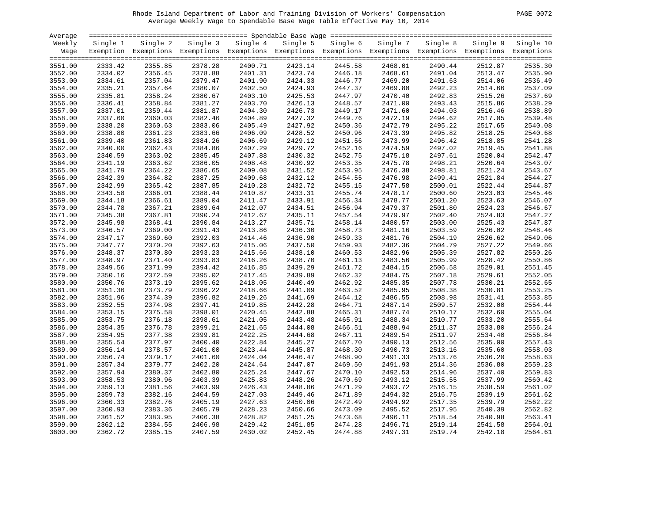# Rhode Island Department of Labor and Training Division of Workers' Compensation PAGE 0072 Average Weekly Wage to Spendable Base Wage Table Effective May 10, 2014

| PAGE<br>0072 |
|--------------|
|--------------|

| Average |          |                                                                                                              |          |          |          |                    |          |          |          |                    |
|---------|----------|--------------------------------------------------------------------------------------------------------------|----------|----------|----------|--------------------|----------|----------|----------|--------------------|
| Weekly  | Single 1 | Single 2                                                                                                     | Single 3 | Single 4 | Single 5 | Single 6           | Single 7 | Single 8 | Single 9 | Single 10          |
| Wage    |          | Exemption Exemptions Exemptions Exemptions Exemptions Exemptions Exemptions Exemptions Exemptions Exemptions |          |          |          |                    |          |          |          |                    |
|         |          |                                                                                                              |          |          |          |                    |          |          |          |                    |
| 3551.00 | 2333.42  | 2355.85                                                                                                      | 2378.28  | 2400.71  | 2423.14  | 2445.58            | 2468.01  | 2490.44  | 2512.87  | 2535.30            |
| 3552.00 | 2334.02  | 2356.45                                                                                                      | 2378.88  | 2401.31  | 2423.74  | 2446.18            | 2468.61  | 2491.04  | 2513.47  | 2535.90            |
| 3553.00 | 2334.61  | 2357.04                                                                                                      | 2379.47  | 2401.90  | 2424.33  | 2446.77            | 2469.20  | 2491.63  | 2514.06  | 2536.49            |
| 3554.00 | 2335.21  | 2357.64                                                                                                      | 2380.07  | 2402.50  | 2424.93  |                    | 2469.80  | 2492.23  | 2514.66  | 2537.09            |
| 3555.00 | 2335.81  | 2358.24                                                                                                      | 2380.67  | 2403.10  | 2425.53  | 2447.37<br>2447.97 | 2470.40  | 2492.83  | 2515.26  | 2537.69            |
| 3556.00 | 2336.41  | 2358.84                                                                                                      | 2381.27  | 2403.70  | 2426.13  | 2448.57            | 2471.00  | 2493.43  | 2515.86  | 2538.29            |
| 3557.00 | 2337.01  | 2359.44                                                                                                      | 2381.87  | 2404.30  | 2426.73  | 2449.17            | 2471.60  | 2494.03  | 2516.46  | 2538.89            |
| 3558.00 | 2337.60  | 2360.03                                                                                                      | 2382.46  | 2404.89  | 2427.32  | 2449.76            | 2472.19  | 2494.62  | 2517.05  | 2539.48            |
| 3559.00 | 2338.20  | 2360.63                                                                                                      | 2383.06  | 2405.49  | 2427.92  | 2450.36            | 2472.79  | 2495.22  | 2517.65  | 2540.08            |
| 3560.00 | 2338.80  | 2361.23                                                                                                      | 2383.66  | 2406.09  | 2428.52  | 2450.96            | 2473.39  | 2495.82  | 2518.25  | 2540.68            |
| 3561.00 | 2339.40  | 2361.83                                                                                                      | 2384.26  | 2406.69  | 2429.12  | 2451.56            | 2473.99  | 2496.42  | 2518.85  | 2541.28            |
| 3562.00 | 2340.00  | 2362.43                                                                                                      | 2384.86  | 2407.29  | 2429.72  | 2452.16            | 2474.59  | 2497.02  | 2519.45  | 2541.88            |
| 3563.00 | 2340.59  | 2363.02                                                                                                      | 2385.45  | 2407.88  | 2430.32  | 2452.75            | 2475.18  | 2497.61  | 2520.04  | 2542.47            |
| 3564.00 | 2341.19  | 2363.62                                                                                                      | 2386.05  | 2408.48  | 2430.92  | 2453.35            | 2475.78  | 2498.21  | 2520.64  | 2543.07            |
| 3565.00 | 2341.79  | 2364.22                                                                                                      | 2386.65  | 2409.08  | 2431.52  | 2453.95            | 2476.38  | 2498.81  | 2521.24  | 2543.67            |
| 3566.00 | 2342.39  | 2364.82                                                                                                      | 2387.25  | 2409.68  | 2432.12  | 2454.55            | 2476.98  | 2499.41  | 2521.84  | 2544.27            |
| 3567.00 | 2342.99  | 2365.42                                                                                                      | 2387.85  | 2410.28  | 2432.72  | 2455.15            | 2477.58  | 2500.01  | 2522.44  | 2544.87            |
| 3568.00 | 2343.58  | 2366.01                                                                                                      | 2388.44  | 2410.87  | 2433.31  | 2455.74            | 2478.17  | 2500.60  | 2523.03  | 2545.46            |
|         | 2344.18  | 2366.61                                                                                                      | 2389.04  | 2411.47  | 2433.91  | 2456.34            | 2478.77  |          | 2523.63  | 2546.07            |
| 3569.00 |          |                                                                                                              |          |          |          |                    | 2479.37  | 2501.20  |          |                    |
| 3570.00 | 2344.78  | 2367.21                                                                                                      | 2389.64  | 2412.07  | 2434.51  | 2456.94            |          | 2501.80  | 2524.23  | 2546.67<br>2547.27 |
| 3571.00 | 2345.38  | 2367.81                                                                                                      | 2390.24  | 2412.67  | 2435.11  | 2457.54            | 2479.97  | 2502.40  | 2524.83  |                    |
| 3572.00 | 2345.98  | 2368.41                                                                                                      | 2390.84  | 2413.27  | 2435.71  | 2458.14            | 2480.57  | 2503.00  | 2525.43  | 2547.87            |
| 3573.00 | 2346.57  | 2369.00                                                                                                      | 2391.43  | 2413.86  | 2436.30  | 2458.73            | 2481.16  | 2503.59  | 2526.02  | 2548.46            |
| 3574.00 | 2347.17  | 2369.60                                                                                                      | 2392.03  | 2414.46  | 2436.90  | 2459.33            | 2481.76  | 2504.19  | 2526.62  | 2549.06            |
| 3575.00 | 2347.77  | 2370.20                                                                                                      | 2392.63  | 2415.06  | 2437.50  | 2459.93            | 2482.36  | 2504.79  | 2527.22  | 2549.66            |
| 3576.00 | 2348.37  | 2370.80                                                                                                      | 2393.23  | 2415.66  | 2438.10  | 2460.53            | 2482.96  | 2505.39  | 2527.82  | 2550.26            |
| 3577.00 | 2348.97  | 2371.40                                                                                                      | 2393.83  | 2416.26  | 2438.70  | 2461.13            | 2483.56  | 2505.99  | 2528.42  | 2550.86            |
| 3578.00 | 2349.56  | 2371.99                                                                                                      | 2394.42  | 2416.85  | 2439.29  | 2461.72            | 2484.15  | 2506.58  | 2529.01  | 2551.45            |
| 3579.00 | 2350.16  | 2372.59                                                                                                      | 2395.02  | 2417.45  | 2439.89  | 2462.32            | 2484.75  | 2507.18  | 2529.61  | 2552.05            |
| 3580.00 | 2350.76  | 2373.19                                                                                                      | 2395.62  | 2418.05  | 2440.49  | 2462.92            | 2485.35  | 2507.78  | 2530.21  | 2552.65            |
| 3581.00 | 2351.36  | 2373.79                                                                                                      | 2396.22  | 2418.66  | 2441.09  | 2463.52            | 2485.95  | 2508.38  | 2530.81  | 2553.25            |
| 3582.00 | 2351.96  | 2374.39                                                                                                      | 2396.82  | 2419.26  | 2441.69  | 2464.12            | 2486.55  | 2508.98  | 2531.41  | 2553.85            |
| 3583.00 | 2352.55  | 2374.98                                                                                                      | 2397.41  | 2419.85  | 2442.28  | 2464.71            | 2487.14  | 2509.57  | 2532.00  | 2554.44            |
| 3584.00 | 2353.15  | 2375.58                                                                                                      | 2398.01  | 2420.45  | 2442.88  | 2465.31            | 2487.74  | 2510.17  | 2532.60  | 2555.04            |
| 3585.00 | 2353.75  | 2376.18                                                                                                      | 2398.61  | 2421.05  | 2443.48  | 2465.91            | 2488.34  | 2510.77  | 2533.20  | 2555.64            |
| 3586.00 | 2354.35  | 2376.78                                                                                                      | 2399.21  | 2421.65  | 2444.08  | 2466.51            | 2488.94  | 2511.37  | 2533.80  | 2556.24            |
| 3587.00 | 2354.95  | 2377.38                                                                                                      | 2399.81  | 2422.25  | 2444.68  | 2467.11            | 2489.54  | 2511.97  | 2534.40  | 2556.84            |
| 3588.00 | 2355.54  | 2377.97                                                                                                      | 2400.40  | 2422.84  | 2445.27  | 2467.70            | 2490.13  | 2512.56  | 2535.00  | 2557.43            |
| 3589.00 | 2356.14  | 2378.57                                                                                                      | 2401.00  | 2423.44  | 2445.87  | 2468.30            | 2490.73  | 2513.16  | 2535.60  | 2558.03            |
| 3590.00 | 2356.74  | 2379.17                                                                                                      | 2401.60  | 2424.04  | 2446.47  | 2468.90            | 2491.33  | 2513.76  | 2536.20  | 2558.63            |
| 3591.00 | 2357.34  | 2379.77                                                                                                      | 2402.20  | 2424.64  | 2447.07  | 2469.50            | 2491.93  | 2514.36  | 2536.80  | 2559.23            |
| 3592.00 | 2357.94  | 2380.37                                                                                                      | 2402.80  | 2425.24  | 2447.67  | 2470.10            | 2492.53  | 2514.96  | 2537.40  | 2559.83            |
| 3593.00 | 2358.53  | 2380.96                                                                                                      | 2403.39  | 2425.83  | 2448.26  | 2470.69            | 2493.12  | 2515.55  | 2537.99  | 2560.42            |
| 3594.00 | 2359.13  | 2381.56                                                                                                      | 2403.99  | 2426.43  | 2448.86  | 2471.29            | 2493.72  | 2516.15  | 2538.59  | 2561.02            |
| 3595.00 | 2359.73  | 2382.16                                                                                                      | 2404.59  | 2427.03  | 2449.46  | 2471.89            | 2494.32  | 2516.75  | 2539.19  | 2561.62            |
| 3596.00 | 2360.33  | 2382.76                                                                                                      | 2405.19  | 2427.63  | 2450.06  | 2472.49            | 2494.92  | 2517.35  | 2539.79  | 2562.22            |
| 3597.00 | 2360.93  | 2383.36                                                                                                      | 2405.79  | 2428.23  | 2450.66  | 2473.09            | 2495.52  | 2517.95  | 2540.39  | 2562.82            |
| 3598.00 | 2361.52  | 2383.95                                                                                                      | 2406.38  | 2428.82  | 2451.25  | 2473.68            | 2496.11  | 2518.54  | 2540.98  | 2563.41            |
| 3599.00 | 2362.12  | 2384.55                                                                                                      | 2406.98  | 2429.42  | 2451.85  | 2474.28            | 2496.71  | 2519.14  | 2541.58  | 2564.01            |
| 3600.00 | 2362.72  | 2385.15                                                                                                      | 2407.59  | 2430.02  | 2452.45  | 2474.88            | 2497.31  | 2519.74  | 2542.18  | 2564.61            |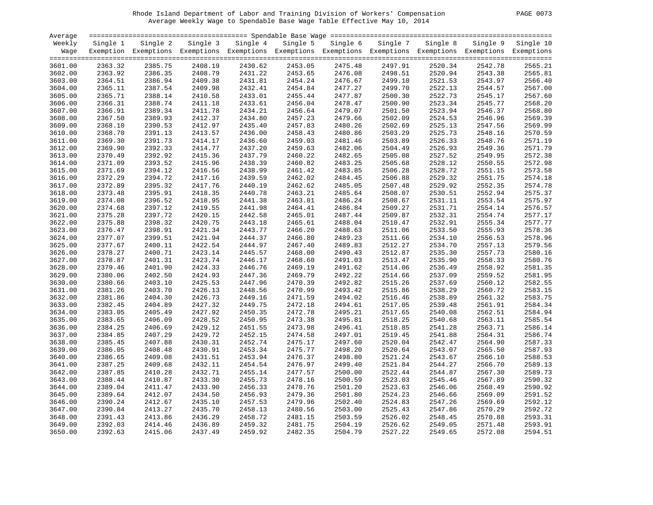# Rhode Island Department of Labor and Training Division of Workers' Compensation PAGE 0073 Average Weekly Wage to Spendable Base Wage Table Effective May 10, 2014

| PAGE<br>-0073 |  |
|---------------|--|
|---------------|--|

| Average |          |                                                                                                              |          |          |          |          |          |          |          |           |
|---------|----------|--------------------------------------------------------------------------------------------------------------|----------|----------|----------|----------|----------|----------|----------|-----------|
| Weekly  | Single 1 | Single 2                                                                                                     | Single 3 | Single 4 | Single 5 | Single 6 | Single 7 | Single 8 | Single 9 | Single 10 |
| Waqe    |          | Exemption Exemptions Exemptions Exemptions Exemptions Exemptions Exemptions Exemptions Exemptions Exemptions |          |          |          |          |          |          |          |           |
|         |          |                                                                                                              |          |          |          |          |          |          |          |           |
| 3601.00 | 2363.32  | 2385.75                                                                                                      | 2408.19  | 2430.62  | 2453.05  | 2475.48  | 2497.91  | 2520.34  | 2542.78  | 2565.21   |
| 3602.00 | 2363.92  | 2386.35                                                                                                      | 2408.79  | 2431.22  | 2453.65  | 2476.08  | 2498.51  | 2520.94  | 2543.38  | 2565.81   |
| 3603.00 | 2364.51  | 2386.94                                                                                                      | 2409.38  | 2431.81  | 2454.24  | 2476.67  | 2499.10  | 2521.53  | 2543.97  | 2566.40   |
| 3604.00 | 2365.11  | 2387.54                                                                                                      | 2409.98  | 2432.41  | 2454.84  | 2477.27  | 2499.70  | 2522.13  | 2544.57  | 2567.00   |
| 3605.00 | 2365.71  | 2388.14                                                                                                      | 2410.58  | 2433.01  | 2455.44  | 2477.87  | 2500.30  | 2522.73  | 2545.17  | 2567.60   |
| 3606.00 | 2366.31  | 2388.74                                                                                                      | 2411.18  | 2433.61  | 2456.04  | 2478.47  | 2500.90  | 2523.34  | 2545.77  | 2568.20   |
| 3607.00 | 2366.91  | 2389.34                                                                                                      | 2411.78  | 2434.21  | 2456.64  | 2479.07  | 2501.50  | 2523.94  | 2546.37  | 2568.80   |
| 3608.00 | 2367.50  | 2389.93                                                                                                      | 2412.37  | 2434.80  | 2457.23  | 2479.66  | 2502.09  | 2524.53  | 2546.96  | 2569.39   |
| 3609.00 | 2368.10  | 2390.53                                                                                                      | 2412.97  | 2435.40  | 2457.83  | 2480.26  | 2502.69  | 2525.13  | 2547.56  | 2569.99   |
| 3610.00 | 2368.70  | 2391.13                                                                                                      | 2413.57  | 2436.00  | 2458.43  | 2480.86  | 2503.29  | 2525.73  | 2548.16  | 2570.59   |
| 3611.00 | 2369.30  | 2391.73                                                                                                      | 2414.17  | 2436.60  | 2459.03  | 2481.46  | 2503.89  | 2526.33  | 2548.76  | 2571.19   |
| 3612.00 | 2369.90  | 2392.33                                                                                                      | 2414.77  | 2437.20  | 2459.63  | 2482.06  | 2504.49  | 2526.93  | 2549.36  | 2571.79   |
| 3613.00 | 2370.49  | 2392.92                                                                                                      | 2415.36  | 2437.79  | 2460.22  | 2482.65  | 2505.08  | 2527.52  | 2549.95  | 2572.38   |
| 3614.00 | 2371.09  | 2393.52                                                                                                      | 2415.96  | 2438.39  | 2460.82  | 2483.25  | 2505.68  | 2528.12  | 2550.55  | 2572.98   |
| 3615.00 | 2371.69  | 2394.12                                                                                                      | 2416.56  | 2438.99  | 2461.42  | 2483.85  | 2506.28  | 2528.72  | 2551.15  | 2573.58   |
| 3616.00 | 2372.29  | 2394.72                                                                                                      | 2417.16  | 2439.59  | 2462.02  | 2484.45  | 2506.88  | 2529.32  | 2551.75  | 2574.18   |
| 3617.00 | 2372.89  | 2395.32                                                                                                      | 2417.76  | 2440.19  | 2462.62  | 2485.05  | 2507.48  | 2529.92  | 2552.35  | 2574.78   |
| 3618.00 | 2373.48  | 2395.91                                                                                                      | 2418.35  | 2440.78  | 2463.21  | 2485.64  | 2508.07  | 2530.51  | 2552.94  | 2575.37   |
| 3619.00 | 2374.08  | 2396.52                                                                                                      | 2418.95  | 2441.38  | 2463.81  | 2486.24  | 2508.67  | 2531.11  | 2553.54  | 2575.97   |
| 3620.00 | 2374.68  | 2397.12                                                                                                      | 2419.55  | 2441.98  | 2464.41  | 2486.84  | 2509.27  | 2531.71  | 2554.14  | 2576.57   |
| 3621.00 | 2375.28  | 2397.72                                                                                                      | 2420.15  | 2442.58  | 2465.01  | 2487.44  | 2509.87  | 2532.31  | 2554.74  | 2577.17   |
| 3622.00 | 2375.88  | 2398.32                                                                                                      | 2420.75  | 2443.18  | 2465.61  | 2488.04  | 2510.47  | 2532.91  | 2555.34  | 2577.77   |
| 3623.00 | 2376.47  | 2398.91                                                                                                      | 2421.34  | 2443.77  | 2466.20  | 2488.63  | 2511.06  | 2533.50  | 2555.93  | 2578.36   |
| 3624.00 | 2377.07  | 2399.51                                                                                                      | 2421.94  | 2444.37  | 2466.80  | 2489.23  | 2511.66  | 2534.10  | 2556.53  | 2578.96   |
| 3625.00 | 2377.67  | 2400.11                                                                                                      | 2422.54  | 2444.97  | 2467.40  | 2489.83  | 2512.27  | 2534.70  | 2557.13  | 2579.56   |
| 3626.00 | 2378.27  | 2400.71                                                                                                      | 2423.14  | 2445.57  | 2468.00  | 2490.43  | 2512.87  | 2535.30  | 2557.73  | 2580.16   |
| 3627.00 | 2378.87  | 2401.31                                                                                                      | 2423.74  | 2446.17  | 2468.60  | 2491.03  | 2513.47  | 2535.90  | 2558.33  | 2580.76   |
| 3628.00 | 2379.46  | 2401.90                                                                                                      | 2424.33  | 2446.76  | 2469.19  | 2491.62  | 2514.06  | 2536.49  | 2558.92  | 2581.35   |
| 3629.00 | 2380.06  | 2402.50                                                                                                      | 2424.93  | 2447.36  | 2469.79  | 2492.22  | 2514.66  | 2537.09  | 2559.52  | 2581.95   |
| 3630.00 | 2380.66  | 2403.10                                                                                                      | 2425.53  | 2447.96  | 2470.39  | 2492.82  | 2515.26  | 2537.69  | 2560.12  | 2582.55   |
| 3631.00 | 2381.26  | 2403.70                                                                                                      | 2426.13  | 2448.56  | 2470.99  | 2493.42  | 2515.86  | 2538.29  | 2560.72  | 2583.15   |
| 3632.00 | 2381.86  | 2404.30                                                                                                      | 2426.73  | 2449.16  | 2471.59  | 2494.02  | 2516.46  | 2538.89  | 2561.32  | 2583.75   |
| 3633.00 | 2382.45  | 2404.89                                                                                                      | 2427.32  | 2449.75  | 2472.18  | 2494.61  | 2517.05  | 2539.48  | 2561.91  | 2584.34   |
| 3634.00 | 2383.05  | 2405.49                                                                                                      | 2427.92  | 2450.35  | 2472.78  | 2495.21  | 2517.65  | 2540.08  | 2562.51  | 2584.94   |
| 3635.00 | 2383.65  | 2406.09                                                                                                      | 2428.52  | 2450.95  | 2473.38  | 2495.81  | 2518.25  | 2540.68  | 2563.11  | 2585.54   |
| 3636.00 | 2384.25  | 2406.69                                                                                                      | 2429.12  | 2451.55  | 2473.98  | 2496.41  | 2518.85  | 2541.28  | 2563.71  | 2586.14   |
| 3637.00 | 2384.85  | 2407.29                                                                                                      | 2429.72  | 2452.15  | 2474.58  | 2497.01  | 2519.45  | 2541.88  | 2564.31  | 2586.74   |
| 3638.00 | 2385.45  | 2407.88                                                                                                      | 2430.31  | 2452.74  | 2475.17  | 2497.60  | 2520.04  | 2542.47  | 2564.90  | 2587.33   |
| 3639.00 | 2386.05  | 2408.48                                                                                                      | 2430.91  | 2453.34  | 2475.77  | 2498.20  | 2520.64  | 2543.07  | 2565.50  | 2587.93   |
| 3640.00 | 2386.65  | 2409.08                                                                                                      | 2431.51  | 2453.94  | 2476.37  | 2498.80  | 2521.24  | 2543.67  | 2566.10  | 2588.53   |
| 3641.00 | 2387.25  | 2409.68                                                                                                      | 2432.11  | 2454.54  | 2476.97  | 2499.40  | 2521.84  | 2544.27  | 2566.70  | 2589.13   |
| 3642.00 | 2387.85  | 2410.28                                                                                                      | 2432.71  | 2455.14  | 2477.57  | 2500.00  | 2522.44  | 2544.87  | 2567.30  | 2589.73   |
| 3643.00 | 2388.44  | 2410.87                                                                                                      | 2433.30  | 2455.73  | 2478.16  | 2500.59  | 2523.03  | 2545.46  | 2567.89  | 2590.32   |
| 3644.00 | 2389.04  | 2411.47                                                                                                      | 2433.90  | 2456.33  | 2478.76  | 2501.20  | 2523.63  | 2546.06  | 2568.49  | 2590.92   |
| 3645.00 | 2389.64  | 2412.07                                                                                                      | 2434.50  | 2456.93  | 2479.36  | 2501.80  | 2524.23  | 2546.66  | 2569.09  | 2591.52   |
| 3646.00 | 2390.24  | 2412.67                                                                                                      | 2435.10  | 2457.53  | 2479.96  | 2502.40  | 2524.83  | 2547.26  | 2569.69  | 2592.12   |
| 3647.00 | 2390.84  | 2413.27                                                                                                      | 2435.70  | 2458.13  | 2480.56  | 2503.00  | 2525.43  | 2547.86  | 2570.29  | 2592.72   |
| 3648.00 | 2391.43  | 2413.86                                                                                                      | 2436.29  | 2458.72  | 2481.15  | 2503.59  | 2526.02  | 2548.45  | 2570.88  | 2593.31   |
| 3649.00 | 2392.03  | 2414.46                                                                                                      | 2436.89  | 2459.32  | 2481.75  | 2504.19  | 2526.62  | 2549.05  | 2571.48  | 2593.91   |
| 3650.00 | 2392.63  | 2415.06                                                                                                      | 2437.49  | 2459.92  | 2482.35  | 2504.79  | 2527.22  | 2549.65  | 2572.08  | 2594.51   |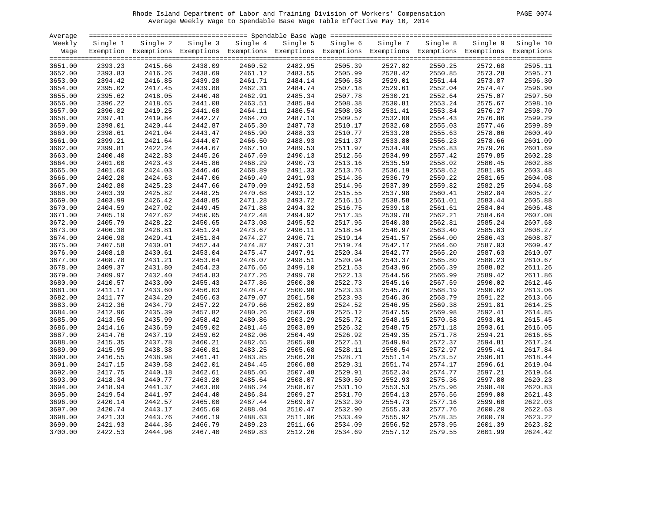# Rhode Island Department of Labor and Training Division of Workers' Compensation PAGE 0074 Average Weekly Wage to Spendable Base Wage Table Effective May 10, 2014

| 0074<br>PAGE |  |  |
|--------------|--|--|
|--------------|--|--|

| Average |          |                                                                                                              |          |          |          |          |          |          |          |                    |
|---------|----------|--------------------------------------------------------------------------------------------------------------|----------|----------|----------|----------|----------|----------|----------|--------------------|
| Weekly  | Single 1 | Single 2                                                                                                     | Single 3 | Single 4 | Single 5 | Single 6 | Single 7 | Single 8 | Single 9 | Single 10          |
| Wage    |          | Exemption Exemptions Exemptions Exemptions Exemptions Exemptions Exemptions Exemptions Exemptions Exemptions |          |          |          |          |          |          |          |                    |
|         |          |                                                                                                              |          |          |          |          |          |          |          |                    |
| 3651.00 | 2393.23  | 2415.66                                                                                                      | 2438.09  | 2460.52  | 2482.95  | 2505.39  | 2527.82  | 2550.25  | 2572.68  | 2595.11            |
| 3652.00 | 2393.83  | 2416.26                                                                                                      | 2438.69  | 2461.12  | 2483.55  | 2505.99  | 2528.42  | 2550.85  | 2573.28  | 2595.71            |
| 3653.00 | 2394.42  | 2416.85                                                                                                      | 2439.28  | 2461.71  | 2484.14  | 2506.58  | 2529.01  | 2551.44  | 2573.87  | 2596.30            |
| 3654.00 | 2395.02  | 2417.45                                                                                                      | 2439.88  | 2462.31  | 2484.74  | 2507.18  | 2529.61  | 2552.04  | 2574.47  | 2596.90            |
| 3655.00 | 2395.62  | 2418.05                                                                                                      | 2440.48  | 2462.91  | 2485.34  | 2507.78  | 2530.21  | 2552.64  | 2575.07  | 2597.50            |
| 3656.00 | 2396.22  | 2418.65                                                                                                      | 2441.08  | 2463.51  | 2485.94  | 2508.38  | 2530.81  | 2553.24  | 2575.67  | 2598.10            |
| 3657.00 | 2396.82  | 2419.25                                                                                                      | 2441.68  | 2464.11  | 2486.54  | 2508.98  | 2531.41  | 2553.84  | 2576.27  | 2598.70            |
| 3658.00 | 2397.41  | 2419.84                                                                                                      | 2442.27  | 2464.70  | 2487.13  | 2509.57  | 2532.00  | 2554.43  | 2576.86  | 2599.29            |
| 3659.00 | 2398.01  | 2420.44                                                                                                      | 2442.87  | 2465.30  | 2487.73  | 2510.17  | 2532.60  | 2555.03  | 2577.46  | 2599.89            |
| 3660.00 | 2398.61  | 2421.04                                                                                                      | 2443.47  | 2465.90  | 2488.33  | 2510.77  | 2533.20  | 2555.63  | 2578.06  | 2600.49            |
| 3661.00 | 2399.21  | 2421.64                                                                                                      | 2444.07  | 2466.50  | 2488.93  | 2511.37  | 2533.80  | 2556.23  | 2578.66  | 2601.09            |
| 3662.00 | 2399.81  | 2422.24                                                                                                      | 2444.67  | 2467.10  | 2489.53  | 2511.97  | 2534.40  | 2556.83  | 2579.26  | 2601.69            |
| 3663.00 | 2400.40  | 2422.83                                                                                                      | 2445.26  | 2467.69  | 2490.13  | 2512.56  | 2534.99  | 2557.42  | 2579.85  | 2602.28            |
| 3664.00 | 2401.00  | 2423.43                                                                                                      | 2445.86  | 2468.29  | 2490.73  | 2513.16  | 2535.59  | 2558.02  | 2580.45  | 2602.88            |
| 3665.00 | 2401.60  | 2424.03                                                                                                      | 2446.46  | 2468.89  | 2491.33  | 2513.76  | 2536.19  | 2558.62  | 2581.05  | 2603.48            |
| 3666.00 | 2402.20  | 2424.63                                                                                                      | 2447.06  | 2469.49  | 2491.93  | 2514.36  | 2536.79  | 2559.22  | 2581.65  | 2604.08            |
| 3667.00 | 2402.80  | 2425.23                                                                                                      | 2447.66  | 2470.09  | 2492.53  | 2514.96  | 2537.39  | 2559.82  | 2582.25  | 2604.68            |
| 3668.00 | 2403.39  | 2425.82                                                                                                      | 2448.25  | 2470.68  | 2493.12  | 2515.55  | 2537.98  | 2560.41  | 2582.84  | 2605.27            |
|         | 2403.99  | 2426.42                                                                                                      | 2448.85  | 2471.28  | 2493.72  | 2516.15  | 2538.58  |          | 2583.44  | 2605.88            |
| 3669.00 | 2404.59  | 2427.02                                                                                                      | 2449.45  |          |          |          |          | 2561.01  |          |                    |
| 3670.00 |          |                                                                                                              |          | 2471.88  | 2494.32  | 2516.75  | 2539.18  | 2561.61  | 2584.04  | 2606.48<br>2607.08 |
| 3671.00 | 2405.19  | 2427.62                                                                                                      | 2450.05  | 2472.48  | 2494.92  | 2517.35  | 2539.78  | 2562.21  | 2584.64  |                    |
| 3672.00 | 2405.79  | 2428.22                                                                                                      | 2450.65  | 2473.08  | 2495.52  | 2517.95  | 2540.38  | 2562.81  | 2585.24  | 2607.68            |
| 3673.00 | 2406.38  | 2428.81                                                                                                      | 2451.24  | 2473.67  | 2496.11  | 2518.54  | 2540.97  | 2563.40  | 2585.83  | 2608.27            |
| 3674.00 | 2406.98  | 2429.41                                                                                                      | 2451.84  | 2474.27  | 2496.71  | 2519.14  | 2541.57  | 2564.00  | 2586.43  | 2608.87            |
| 3675.00 | 2407.58  | 2430.01                                                                                                      | 2452.44  | 2474.87  | 2497.31  | 2519.74  | 2542.17  | 2564.60  | 2587.03  | 2609.47            |
| 3676.00 | 2408.18  | 2430.61                                                                                                      | 2453.04  | 2475.47  | 2497.91  | 2520.34  | 2542.77  | 2565.20  | 2587.63  | 2610.07            |
| 3677.00 | 2408.78  | 2431.21                                                                                                      | 2453.64  | 2476.07  | 2498.51  | 2520.94  | 2543.37  | 2565.80  | 2588.23  | 2610.67            |
| 3678.00 | 2409.37  | 2431.80                                                                                                      | 2454.23  | 2476.66  | 2499.10  | 2521.53  | 2543.96  | 2566.39  | 2588.82  | 2611.26            |
| 3679.00 | 2409.97  | 2432.40                                                                                                      | 2454.83  | 2477.26  | 2499.70  | 2522.13  | 2544.56  | 2566.99  | 2589.42  | 2611.86            |
| 3680.00 | 2410.57  | 2433.00                                                                                                      | 2455.43  | 2477.86  | 2500.30  | 2522.73  | 2545.16  | 2567.59  | 2590.02  | 2612.46            |
| 3681.00 | 2411.17  | 2433.60                                                                                                      | 2456.03  | 2478.47  | 2500.90  | 2523.33  | 2545.76  | 2568.19  | 2590.62  | 2613.06            |
| 3682.00 | 2411.77  | 2434.20                                                                                                      | 2456.63  | 2479.07  | 2501.50  | 2523.93  | 2546.36  | 2568.79  | 2591.22  | 2613.66            |
| 3683.00 | 2412.36  | 2434.79                                                                                                      | 2457.22  | 2479.66  | 2502.09  | 2524.52  | 2546.95  | 2569.38  | 2591.81  | 2614.25            |
| 3684.00 | 2412.96  | 2435.39                                                                                                      | 2457.82  | 2480.26  | 2502.69  | 2525.12  | 2547.55  | 2569.98  | 2592.41  | 2614.85            |
| 3685.00 | 2413.56  | 2435.99                                                                                                      | 2458.42  | 2480.86  | 2503.29  | 2525.72  | 2548.15  | 2570.58  | 2593.01  | 2615.45            |
| 3686.00 | 2414.16  | 2436.59                                                                                                      | 2459.02  | 2481.46  | 2503.89  | 2526.32  | 2548.75  | 2571.18  | 2593.61  | 2616.05            |
| 3687.00 | 2414.76  | 2437.19                                                                                                      | 2459.62  | 2482.06  | 2504.49  | 2526.92  | 2549.35  | 2571.78  | 2594.21  | 2616.65            |
| 3688.00 | 2415.35  | 2437.78                                                                                                      | 2460.21  | 2482.65  | 2505.08  | 2527.51  | 2549.94  | 2572.37  | 2594.81  | 2617.24            |
| 3689.00 | 2415.95  | 2438.38                                                                                                      | 2460.81  | 2483.25  | 2505.68  | 2528.11  | 2550.54  | 2572.97  | 2595.41  | 2617.84            |
| 3690.00 | 2416.55  | 2438.98                                                                                                      | 2461.41  | 2483.85  | 2506.28  | 2528.71  | 2551.14  | 2573.57  | 2596.01  | 2618.44            |
| 3691.00 | 2417.15  | 2439.58                                                                                                      | 2462.01  | 2484.45  | 2506.88  | 2529.31  | 2551.74  | 2574.17  | 2596.61  | 2619.04            |
| 3692.00 | 2417.75  | 2440.18                                                                                                      | 2462.61  | 2485.05  | 2507.48  | 2529.91  | 2552.34  | 2574.77  | 2597.21  | 2619.64            |
| 3693.00 | 2418.34  | 2440.77                                                                                                      | 2463.20  | 2485.64  | 2508.07  | 2530.50  | 2552.93  | 2575.36  | 2597.80  | 2620.23            |
| 3694.00 | 2418.94  | 2441.37                                                                                                      | 2463.80  | 2486.24  | 2508.67  | 2531.10  | 2553.53  | 2575.96  | 2598.40  | 2620.83            |
| 3695.00 | 2419.54  | 2441.97                                                                                                      | 2464.40  | 2486.84  | 2509.27  | 2531.70  | 2554.13  | 2576.56  | 2599.00  | 2621.43            |
| 3696.00 | 2420.14  | 2442.57                                                                                                      | 2465.00  | 2487.44  | 2509.87  | 2532.30  | 2554.73  | 2577.16  | 2599.60  | 2622.03            |
| 3697.00 | 2420.74  | 2443.17                                                                                                      | 2465.60  | 2488.04  | 2510.47  | 2532.90  | 2555.33  | 2577.76  | 2600.20  | 2622.63            |
| 3698.00 | 2421.33  | 2443.76                                                                                                      | 2466.19  | 2488.63  | 2511.06  | 2533.49  | 2555.92  | 2578.35  | 2600.79  | 2623.22            |
| 3699.00 | 2421.93  | 2444.36                                                                                                      | 2466.79  | 2489.23  | 2511.66  | 2534.09  | 2556.52  | 2578.95  | 2601.39  | 2623.82            |
| 3700.00 | 2422.53  | 2444.96                                                                                                      | 2467.40  | 2489.83  | 2512.26  | 2534.69  | 2557.12  | 2579.55  | 2601.99  | 2624.42            |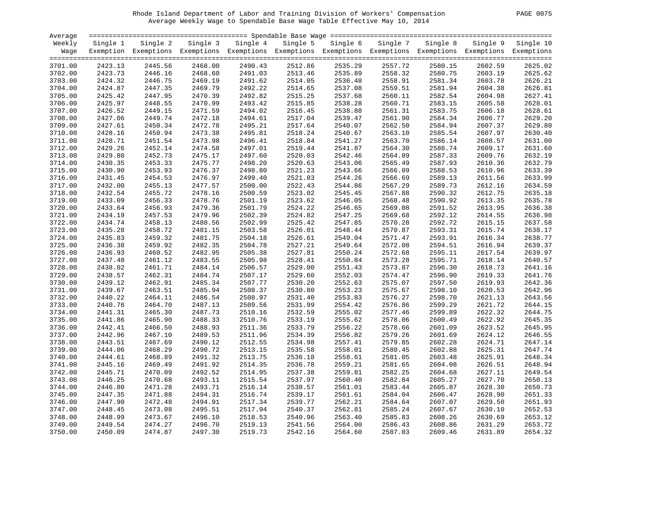# Rhode Island Department of Labor and Training Division of Workers' Compensation PAGE 0075 Average Weekly Wage to Spendable Base Wage Table Effective May 10, 2014

|  | PAGE | 0075 |
|--|------|------|
|--|------|------|

| Average            |                    |                                                                                                              |                    |                    |          |          |          |                    |          |           |
|--------------------|--------------------|--------------------------------------------------------------------------------------------------------------|--------------------|--------------------|----------|----------|----------|--------------------|----------|-----------|
| Weekly             | Single 1           | Single 2                                                                                                     | Single 3           | Single 4           | Single 5 | Single 6 | Single 7 | Single 8           | Single 9 | Single 10 |
| Wage               |                    | Exemption Exemptions Exemptions Exemptions Exemptions Exemptions Exemptions Exemptions Exemptions Exemptions |                    |                    |          |          |          |                    |          |           |
|                    |                    |                                                                                                              |                    |                    |          |          |          |                    |          |           |
| 3701.00            | 2423.13            | 2445.56                                                                                                      | 2468.00            | 2490.43            | 2512.86  | 2535.29  | 2557.72  | 2580.15            | 2602.59  | 2625.02   |
| 3702.00            | 2423.73            | 2446.16                                                                                                      | 2468.60            | 2491.03            | 2513.46  | 2535.89  | 2558.32  | 2580.75            | 2603.19  | 2625.62   |
| 3703.00            | 2424.32            | 2446.75                                                                                                      | 2469.19            | 2491.62            | 2514.05  | 2536.48  | 2558.91  | 2581.34            | 2603.78  | 2626.21   |
| 3704.00            | 2424.87            | 2447.35                                                                                                      | 2469.79            | 2492.22            | 2514.65  | 2537.08  | 2559.51  | 2581.94            | 2604.38  | 2626.81   |
| 3705.00            | 2425.42            | 2447.95                                                                                                      | 2470.39            | 2492.82            | 2515.25  | 2537.68  | 2560.11  | 2582.54            | 2604.98  | 2627.41   |
| 3706.00            | 2425.97            | 2448.55                                                                                                      | 2470.99            | 2493.42            | 2515.85  | 2538.28  | 2560.71  | 2583.15            | 2605.58  | 2628.01   |
| 3707.00            | 2426.52            | 2449.15                                                                                                      | 2471.59            | 2494.02            | 2516.45  | 2538.88  | 2561.31  | 2583.75            | 2606.18  | 2628.61   |
| 3708.00            | 2427.06            | 2449.74                                                                                                      | 2472.18            | 2494.61            | 2517.04  | 2539.47  | 2561.90  | 2584.34            | 2606.77  | 2629.20   |
| 3709.00            | 2427.61            | 2450.34                                                                                                      | 2472.78            | 2495.21            | 2517.64  | 2540.07  | 2562.50  | 2584.94            | 2607.37  | 2629.80   |
| 3710.00            | 2428.16            | 2450.94                                                                                                      | 2473.38            | 2495.81            | 2518.24  | 2540.67  | 2563.10  | 2585.54            | 2607.97  | 2630.40   |
| 3711.00            | 2428.71            | 2451.54                                                                                                      | 2473.98            | 2496.41            | 2518.84  | 2541.27  | 2563.70  | 2586.14            | 2608.57  | 2631.00   |
| 3712.00            | 2429.26            | 2452.14                                                                                                      | 2474.58            | 2497.01            | 2519.44  | 2541.87  | 2564.30  | 2586.74            | 2609.17  | 2631.60   |
| 3713.00            | 2429.80            | 2452.73                                                                                                      | 2475.17            | 2497.60            | 2520.03  | 2542.46  | 2564.89  | 2587.33            | 2609.76  | 2632.19   |
| 3714.00            | 2430.35            | 2453.33                                                                                                      | 2475.77            | 2498.20            | 2520.63  | 2543.06  | 2565.49  | 2587.93            | 2610.36  | 2632.79   |
| 3715.00            | 2430.90            | 2453.93                                                                                                      | 2476.37            | 2498.80            | 2521.23  | 2543.66  | 2566.09  | 2588.53            | 2610.96  | 2633.39   |
| 3716.00            | 2431.45            | 2454.53                                                                                                      | 2476.97            | 2499.40            | 2521.83  | 2544.26  | 2566.69  | 2589.13            | 2611.56  | 2633.99   |
| 3717.00            | 2432.00            | 2455.13                                                                                                      | 2477.57            | 2500.00            | 2522.43  | 2544.86  | 2567.29  | 2589.73            | 2612.16  | 2634.59   |
| 3718.00            | 2432.54            | 2455.72                                                                                                      | 2478.16            | 2500.59            | 2523.02  | 2545.45  | 2567.88  | 2590.32            | 2612.75  | 2635.18   |
| 3719.00            | 2433.09            | 2456.33                                                                                                      | 2478.76            | 2501.19            | 2523.62  | 2546.05  | 2568.48  | 2590.92            | 2613.35  | 2635.78   |
| 3720.00            | 2433.64            | 2456.93                                                                                                      | 2479.36            | 2501.79            | 2524.22  | 2546.65  | 2569.08  | 2591.52            | 2613.95  | 2636.38   |
| 3721.00            | 2434.19            | 2457.53                                                                                                      | 2479.96            | 2502.39            | 2524.82  | 2547.25  | 2569.68  | 2592.12            | 2614.55  | 2636.98   |
| 3722.00            | 2434.74            | 2458.13                                                                                                      | 2480.56            | 2502.99            | 2525.42  | 2547.85  | 2570.28  | 2592.72            | 2615.15  | 2637.58   |
| 3723.00            | 2435.28            | 2458.72                                                                                                      | 2481.15            | 2503.58            | 2526.01  | 2548.44  | 2570.87  | 2593.31            | 2615.74  | 2638.17   |
| 3724.00            | 2435.83            | 2459.32                                                                                                      | 2481.75            | 2504.18            | 2526.61  | 2549.04  | 2571.47  | 2593.91            | 2616.34  | 2638.77   |
| 3725.00            | 2436.38            | 2459.92                                                                                                      | 2482.35            | 2504.78            | 2527.21  | 2549.64  | 2572.08  | 2594.51            | 2616.94  | 2639.37   |
| 3726.00            | 2436.93            | 2460.52                                                                                                      | 2482.95            | 2505.38            | 2527.81  | 2550.24  | 2572.68  | 2595.11            | 2617.54  | 2639.97   |
| 3727.00            | 2437.48            | 2461.12                                                                                                      | 2483.55            | 2505.98            | 2528.41  | 2550.84  | 2573.28  | 2595.71            | 2618.14  | 2640.57   |
| 3728.00            | 2438.02            | 2461.71                                                                                                      | 2484.14            | 2506.57            | 2529.00  | 2551.43  | 2573.87  | 2596.30            | 2618.73  | 2641.16   |
| 3729.00            | 2438.57            | 2462.31                                                                                                      | 2484.74            | 2507.17            | 2529.60  | 2552.03  | 2574.47  | 2596.90            | 2619.33  | 2641.76   |
| 3730.00            | 2439.12            | 2462.91                                                                                                      | 2485.34            | 2507.77            | 2530.20  | 2552.63  | 2575.07  | 2597.50            | 2619.93  | 2642.36   |
| 3731.00            | 2439.67            | 2463.51                                                                                                      | 2485.94            | 2508.37            | 2530.80  | 2553.23  | 2575.67  | 2598.10            | 2620.53  | 2642.96   |
| 3732.00            | 2440.22            | 2464.11                                                                                                      | 2486.54            | 2508.97            | 2531.40  | 2553.83  | 2576.27  | 2598.70            | 2621.13  | 2643.56   |
|                    | 2440.76            | 2464.70                                                                                                      | 2487.13            | 2509.56            | 2531.99  |          | 2576.86  | 2599.29            | 2621.72  | 2644.15   |
| 3733.00            |                    |                                                                                                              |                    |                    |          | 2554.42  |          |                    |          | 2644.75   |
| 3734.00            | 2441.31            | 2465.30                                                                                                      | 2487.73            | 2510.16            | 2532.59  | 2555.02  | 2577.46  | 2599.89            | 2622.32  | 2645.35   |
| 3735.00            | 2441.86<br>2442.41 | 2465.90<br>2466.50                                                                                           | 2488.33<br>2488.93 | 2510.76            | 2533.19  | 2555.62  | 2578.06  | 2600.49<br>2601.09 | 2622.92  | 2645.95   |
| 3736.00<br>3737.00 | 2442.96            | 2467.10                                                                                                      | 2489.53            | 2511.36<br>2511.96 | 2533.79  | 2556.22  | 2578.66  | 2601.69            | 2623.52  |           |
|                    |                    |                                                                                                              |                    |                    | 2534.39  | 2556.82  | 2579.26  |                    | 2624.12  | 2646.55   |
| 3738.00            | 2443.51            | 2467.69                                                                                                      | 2490.12            | 2512.55            | 2534.98  | 2557.41  | 2579.85  | 2602.28            | 2624.71  | 2647.14   |
| 3739.00            | 2444.06            | 2468.29                                                                                                      | 2490.72            | 2513.15            | 2535.58  | 2558.01  | 2580.45  | 2602.88            | 2625.31  | 2647.74   |
| 3740.00            | 2444.61            | 2468.89                                                                                                      | 2491.32            | 2513.75            | 2536.18  | 2558.61  | 2581.05  | 2603.48            | 2625.91  | 2648.34   |
| 3741.00            | 2445.16            | 2469.49                                                                                                      | 2491.92            | 2514.35            | 2536.78  | 2559.21  | 2581.65  | 2604.08            | 2626.51  | 2648.94   |
| 3742.00            | 2445.71            | 2470.09                                                                                                      | 2492.52            | 2514.95            | 2537.38  | 2559.81  | 2582.25  | 2604.68            | 2627.11  | 2649.54   |
| 3743.00            | 2446.25            | 2470.68                                                                                                      | 2493.11            | 2515.54            | 2537.97  | 2560.40  | 2582.84  | 2605.27            | 2627.70  | 2650.13   |
| 3744.00            | 2446.80            | 2471.28                                                                                                      | 2493.71            | 2516.14            | 2538.57  | 2561.01  | 2583.44  | 2605.87            | 2628.30  | 2650.73   |
| 3745.00            | 2447.35            | 2471.88                                                                                                      | 2494.31            | 2516.74            | 2539.17  | 2561.61  | 2584.04  | 2606.47            | 2628.90  | 2651.33   |
| 3746.00            | 2447.90            | 2472.48                                                                                                      | 2494.91            | 2517.34            | 2539.77  | 2562.21  | 2584.64  | 2607.07            | 2629.50  | 2651.93   |
| 3747.00            | 2448.45            | 2473.08                                                                                                      | 2495.51            | 2517.94            | 2540.37  | 2562.81  | 2585.24  | 2607.67            | 2630.10  | 2652.53   |
| 3748.00            | 2448.99            | 2473.67                                                                                                      | 2496.10            | 2518.53            | 2540.96  | 2563.40  | 2585.83  | 2608.26            | 2630.69  | 2653.12   |
| 3749.00            | 2449.54            | 2474.27                                                                                                      | 2496.70            | 2519.13            | 2541.56  | 2564.00  | 2586.43  | 2608.86            | 2631.29  | 2653.72   |
| 3750.00            | 2450.09            | 2474.87                                                                                                      | 2497.30            | 2519.73            | 2542.16  | 2564.60  | 2587.03  | 2609.46            | 2631.89  | 2654.32   |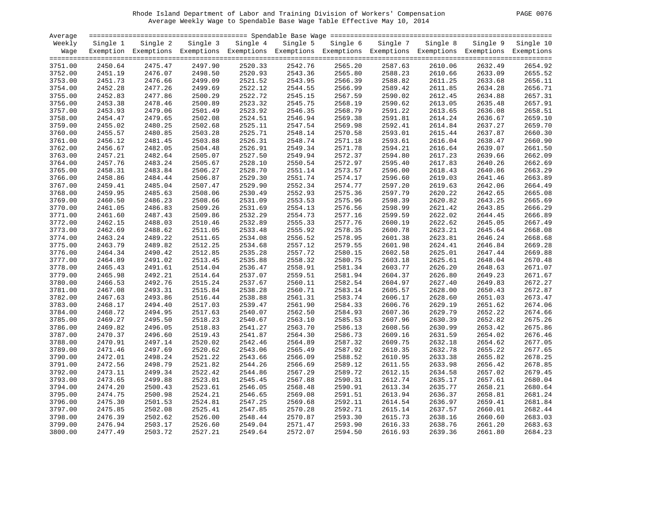# Rhode Island Department of Labor and Training Division of Workers' Compensation PAGE 0076 Average Weekly Wage to Spendable Base Wage Table Effective May 10, 2014

| PAGE<br>0076 |  |  |
|--------------|--|--|
|--------------|--|--|

| Average |          |                                                                                                              |          |          |          |          |          |          |          |           |
|---------|----------|--------------------------------------------------------------------------------------------------------------|----------|----------|----------|----------|----------|----------|----------|-----------|
| Weekly  | Single 1 | Single 2                                                                                                     | Single 3 | Single 4 | Single 5 | Single 6 | Single 7 | Single 8 | Single 9 | Single 10 |
| Wage    |          | Exemption Exemptions Exemptions Exemptions Exemptions Exemptions Exemptions Exemptions Exemptions Exemptions |          |          |          |          |          |          |          |           |
|         |          |                                                                                                              |          |          |          |          |          |          |          |           |
| 3751.00 | 2450.64  | 2475.47                                                                                                      | 2497.90  | 2520.33  | 2542.76  | 2565.20  | 2587.63  | 2610.06  | 2632.49  | 2654.92   |
| 3752.00 | 2451.19  | 2476.07                                                                                                      | 2498.50  | 2520.93  | 2543.36  | 2565.80  | 2588.23  | 2610.66  | 2633.09  | 2655.52   |
| 3753.00 | 2451.73  | 2476.66                                                                                                      | 2499.09  | 2521.52  | 2543.95  | 2566.39  | 2588.82  | 2611.25  | 2633.68  | 2656.11   |
| 3754.00 | 2452.28  | 2477.26                                                                                                      | 2499.69  | 2522.12  | 2544.55  | 2566.99  | 2589.42  | 2611.85  | 2634.28  | 2656.71   |
| 3755.00 | 2452.83  | 2477.86                                                                                                      | 2500.29  | 2522.72  | 2545.15  | 2567.59  | 2590.02  | 2612.45  | 2634.88  | 2657.31   |
| 3756.00 | 2453.38  | 2478.46                                                                                                      | 2500.89  | 2523.32  | 2545.75  | 2568.19  | 2590.62  | 2613.05  | 2635.48  | 2657.91   |
| 3757.00 | 2453.93  | 2479.06                                                                                                      | 2501.49  | 2523.92  | 2546.35  | 2568.79  | 2591.22  | 2613.65  | 2636.08  | 2658.51   |
| 3758.00 | 2454.47  | 2479.65                                                                                                      | 2502.08  | 2524.51  | 2546.94  | 2569.38  | 2591.81  | 2614.24  | 2636.67  | 2659.10   |
| 3759.00 | 2455.02  | 2480.25                                                                                                      | 2502.68  | 2525.11  | 2547.54  | 2569.98  | 2592.41  | 2614.84  | 2637.27  | 2659.70   |
| 3760.00 | 2455.57  | 2480.85                                                                                                      | 2503.28  | 2525.71  | 2548.14  | 2570.58  | 2593.01  | 2615.44  | 2637.87  | 2660.30   |
| 3761.00 | 2456.12  | 2481.45                                                                                                      | 2503.88  | 2526.31  | 2548.74  | 2571.18  | 2593.61  | 2616.04  | 2638.47  | 2660.90   |
| 3762.00 | 2456.67  | 2482.05                                                                                                      | 2504.48  | 2526.91  | 2549.34  | 2571.78  | 2594.21  | 2616.64  | 2639.07  | 2661.50   |
| 3763.00 | 2457.21  | 2482.64                                                                                                      | 2505.07  | 2527.50  | 2549.94  | 2572.37  | 2594.80  | 2617.23  | 2639.66  | 2662.09   |
| 3764.00 | 2457.76  | 2483.24                                                                                                      | 2505.67  | 2528.10  | 2550.54  | 2572.97  | 2595.40  | 2617.83  | 2640.26  | 2662.69   |
| 3765.00 | 2458.31  | 2483.84                                                                                                      | 2506.27  | 2528.70  | 2551.14  | 2573.57  | 2596.00  | 2618.43  | 2640.86  | 2663.29   |
| 3766.00 | 2458.86  | 2484.44                                                                                                      | 2506.87  | 2529.30  | 2551.74  | 2574.17  | 2596.60  | 2619.03  | 2641.46  | 2663.89   |
| 3767.00 | 2459.41  | 2485.04                                                                                                      | 2507.47  | 2529.90  | 2552.34  | 2574.77  | 2597.20  | 2619.63  | 2642.06  | 2664.49   |
| 3768.00 | 2459.95  | 2485.63                                                                                                      | 2508.06  | 2530.49  | 2552.93  | 2575.36  | 2597.79  | 2620.22  | 2642.65  | 2665.08   |
| 3769.00 | 2460.50  | 2486.23                                                                                                      | 2508.66  | 2531.09  | 2553.53  | 2575.96  | 2598.39  | 2620.82  | 2643.25  | 2665.69   |
| 3770.00 | 2461.05  | 2486.83                                                                                                      | 2509.26  | 2531.69  | 2554.13  | 2576.56  | 2598.99  | 2621.42  | 2643.85  | 2666.29   |
| 3771.00 | 2461.60  | 2487.43                                                                                                      | 2509.86  | 2532.29  | 2554.73  | 2577.16  | 2599.59  | 2622.02  | 2644.45  | 2666.89   |
| 3772.00 | 2462.15  | 2488.03                                                                                                      | 2510.46  | 2532.89  | 2555.33  | 2577.76  | 2600.19  | 2622.62  | 2645.05  | 2667.49   |
| 3773.00 | 2462.69  | 2488.62                                                                                                      | 2511.05  | 2533.48  | 2555.92  | 2578.35  | 2600.78  | 2623.21  | 2645.64  | 2668.08   |
| 3774.00 | 2463.24  | 2489.22                                                                                                      | 2511.65  | 2534.08  | 2556.52  | 2578.95  | 2601.38  | 2623.81  | 2646.24  | 2668.68   |
| 3775.00 | 2463.79  | 2489.82                                                                                                      | 2512.25  | 2534.68  | 2557.12  | 2579.55  | 2601.98  | 2624.41  | 2646.84  | 2669.28   |
| 3776.00 | 2464.34  | 2490.42                                                                                                      | 2512.85  | 2535.28  | 2557.72  | 2580.15  | 2602.58  | 2625.01  | 2647.44  | 2669.88   |
| 3777.00 | 2464.89  | 2491.02                                                                                                      | 2513.45  | 2535.88  | 2558.32  | 2580.75  | 2603.18  | 2625.61  | 2648.04  | 2670.48   |
| 3778.00 | 2465.43  | 2491.61                                                                                                      | 2514.04  | 2536.47  | 2558.91  | 2581.34  | 2603.77  | 2626.20  | 2648.63  | 2671.07   |
| 3779.00 | 2465.98  | 2492.21                                                                                                      | 2514.64  | 2537.07  | 2559.51  | 2581.94  | 2604.37  | 2626.80  | 2649.23  | 2671.67   |
| 3780.00 | 2466.53  | 2492.76                                                                                                      | 2515.24  | 2537.67  | 2560.11  | 2582.54  | 2604.97  | 2627.40  | 2649.83  | 2672.27   |
| 3781.00 | 2467.08  | 2493.31                                                                                                      | 2515.84  | 2538.28  | 2560.71  | 2583.14  | 2605.57  | 2628.00  | 2650.43  | 2672.87   |
|         |          |                                                                                                              |          |          |          |          |          |          |          |           |
| 3782.00 | 2467.63  | 2493.86                                                                                                      | 2516.44  | 2538.88  | 2561.31  | 2583.74  | 2606.17  | 2628.60  | 2651.03  | 2673.47   |
| 3783.00 | 2468.17  | 2494.40                                                                                                      | 2517.03  | 2539.47  | 2561.90  | 2584.33  | 2606.76  | 2629.19  | 2651.62  | 2674.06   |
| 3784.00 | 2468.72  | 2494.95                                                                                                      | 2517.63  | 2540.07  | 2562.50  | 2584.93  | 2607.36  | 2629.79  | 2652.22  | 2674.66   |
| 3785.00 | 2469.27  | 2495.50                                                                                                      | 2518.23  | 2540.67  | 2563.10  | 2585.53  | 2607.96  | 2630.39  | 2652.82  | 2675.26   |
| 3786.00 | 2469.82  | 2496.05                                                                                                      | 2518.83  | 2541.27  | 2563.70  | 2586.13  | 2608.56  | 2630.99  | 2653.42  | 2675.86   |
| 3787.00 | 2470.37  | 2496.60                                                                                                      | 2519.43  | 2541.87  | 2564.30  | 2586.73  | 2609.16  | 2631.59  | 2654.02  | 2676.46   |
| 3788.00 | 2470.91  | 2497.14                                                                                                      | 2520.02  | 2542.46  | 2564.89  | 2587.32  | 2609.75  | 2632.18  | 2654.62  | 2677.05   |
| 3789.00 | 2471.46  | 2497.69                                                                                                      | 2520.62  | 2543.06  | 2565.49  | 2587.92  | 2610.35  | 2632.78  | 2655.22  | 2677.65   |
| 3790.00 | 2472.01  | 2498.24                                                                                                      | 2521.22  | 2543.66  | 2566.09  | 2588.52  | 2610.95  | 2633.38  | 2655.82  | 2678.25   |
| 3791.00 | 2472.56  | 2498.79                                                                                                      | 2521.82  | 2544.26  | 2566.69  | 2589.12  | 2611.55  | 2633.98  | 2656.42  | 2678.85   |
| 3792.00 | 2473.11  | 2499.34                                                                                                      | 2522.42  | 2544.86  | 2567.29  | 2589.72  | 2612.15  | 2634.58  | 2657.02  | 2679.45   |
| 3793.00 | 2473.65  | 2499.88                                                                                                      | 2523.01  | 2545.45  | 2567.88  | 2590.31  | 2612.74  | 2635.17  | 2657.61  | 2680.04   |
| 3794.00 | 2474.20  | 2500.43                                                                                                      | 2523.61  | 2546.05  | 2568.48  | 2590.91  | 2613.34  | 2635.77  | 2658.21  | 2680.64   |
| 3795.00 | 2474.75  | 2500.98                                                                                                      | 2524.21  | 2546.65  | 2569.08  | 2591.51  | 2613.94  | 2636.37  | 2658.81  | 2681.24   |
| 3796.00 | 2475.30  | 2501.53                                                                                                      | 2524.81  | 2547.25  | 2569.68  | 2592.11  | 2614.54  | 2636.97  | 2659.41  | 2681.84   |
| 3797.00 | 2475.85  | 2502.08                                                                                                      | 2525.41  | 2547.85  | 2570.28  | 2592.71  | 2615.14  | 2637.57  | 2660.01  | 2682.44   |
| 3798.00 | 2476.39  | 2502.62                                                                                                      | 2526.00  | 2548.44  | 2570.87  | 2593.30  | 2615.73  | 2638.16  | 2660.60  | 2683.03   |
| 3799.00 | 2476.94  | 2503.17                                                                                                      | 2526.60  | 2549.04  | 2571.47  | 2593.90  | 2616.33  | 2638.76  | 2661.20  | 2683.63   |
| 3800.00 | 2477.49  | 2503.72                                                                                                      | 2527.21  | 2549.64  | 2572.07  | 2594.50  | 2616.93  | 2639.36  | 2661.80  | 2684.23   |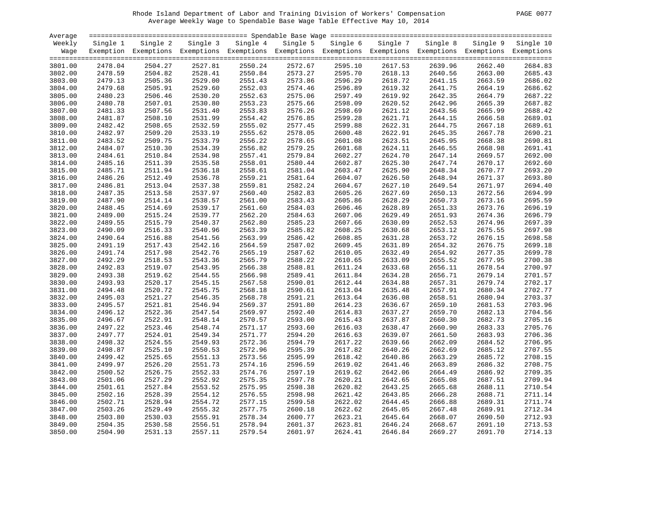# Rhode Island Department of Labor and Training Division of Workers' Compensation PAGE 0077 Average Weekly Wage to Spendable Base Wage Table Effective May 10, 2014

| PAGE. | 0077 |
|-------|------|
|       |      |

| Average |          |                                                                                                              |          |          |          |          |          |          |          |           |
|---------|----------|--------------------------------------------------------------------------------------------------------------|----------|----------|----------|----------|----------|----------|----------|-----------|
| Weekly  | Single 1 | Single 2                                                                                                     | Single 3 | Single 4 | Single 5 | Single 6 | Single 7 | Single 8 | Single 9 | Single 10 |
| Wage    |          | Exemption Exemptions Exemptions Exemptions Exemptions Exemptions Exemptions Exemptions Exemptions Exemptions |          |          |          |          |          |          |          |           |
|         |          |                                                                                                              |          |          |          |          |          |          |          |           |
| 3801.00 | 2478.04  | 2504.27                                                                                                      | 2527.81  | 2550.24  | 2572.67  | 2595.10  | 2617.53  | 2639.96  | 2662.40  | 2684.83   |
| 3802.00 | 2478.59  | 2504.82                                                                                                      | 2528.41  | 2550.84  | 2573.27  | 2595.70  | 2618.13  | 2640.56  | 2663.00  | 2685.43   |
| 3803.00 | 2479.13  | 2505.36                                                                                                      | 2529.00  | 2551.43  | 2573.86  | 2596.29  | 2618.72  | 2641.15  | 2663.59  | 2686.02   |
| 3804.00 | 2479.68  | 2505.91                                                                                                      | 2529.60  | 2552.03  | 2574.46  | 2596.89  | 2619.32  | 2641.75  | 2664.19  | 2686.62   |
| 3805.00 | 2480.23  | 2506.46                                                                                                      | 2530.20  | 2552.63  | 2575.06  | 2597.49  | 2619.92  | 2642.35  | 2664.79  | 2687.22   |
| 3806.00 | 2480.78  | 2507.01                                                                                                      | 2530.80  | 2553.23  | 2575.66  | 2598.09  | 2620.52  | 2642.96  | 2665.39  | 2687.82   |
| 3807.00 | 2481.33  | 2507.56                                                                                                      | 2531.40  | 2553.83  | 2576.26  | 2598.69  | 2621.12  | 2643.56  | 2665.99  | 2688.42   |
| 3808.00 | 2481.87  | 2508.10                                                                                                      | 2531.99  | 2554.42  | 2576.85  | 2599.28  | 2621.71  | 2644.15  | 2666.58  | 2689.01   |
|         | 2482.42  | 2508.65                                                                                                      | 2532.59  | 2555.02  | 2577.45  | 2599.88  | 2622.31  | 2644.75  | 2667.18  | 2689.61   |
| 3809.00 |          |                                                                                                              |          |          |          |          |          |          |          | 2690.21   |
| 3810.00 | 2482.97  | 2509.20                                                                                                      | 2533.19  | 2555.62  | 2578.05  | 2600.48  | 2622.91  | 2645.35  | 2667.78  |           |
| 3811.00 | 2483.52  | 2509.75                                                                                                      | 2533.79  | 2556.22  | 2578.65  | 2601.08  | 2623.51  | 2645.95  | 2668.38  | 2690.81   |
| 3812.00 | 2484.07  | 2510.30                                                                                                      | 2534.39  | 2556.82  | 2579.25  | 2601.68  | 2624.11  | 2646.55  | 2668.98  | 2691.41   |
| 3813.00 | 2484.61  | 2510.84                                                                                                      | 2534.98  | 2557.41  | 2579.84  | 2602.27  | 2624.70  | 2647.14  | 2669.57  | 2692.00   |
| 3814.00 | 2485.16  | 2511.39                                                                                                      | 2535.58  | 2558.01  | 2580.44  | 2602.87  | 2625.30  | 2647.74  | 2670.17  | 2692.60   |
| 3815.00 | 2485.71  | 2511.94                                                                                                      | 2536.18  | 2558.61  | 2581.04  | 2603.47  | 2625.90  | 2648.34  | 2670.77  | 2693.20   |
| 3816.00 | 2486.26  | 2512.49                                                                                                      | 2536.78  | 2559.21  | 2581.64  | 2604.07  | 2626.50  | 2648.94  | 2671.37  | 2693.80   |
| 3817.00 | 2486.81  | 2513.04                                                                                                      | 2537.38  | 2559.81  | 2582.24  | 2604.67  | 2627.10  | 2649.54  | 2671.97  | 2694.40   |
| 3818.00 | 2487.35  | 2513.58                                                                                                      | 2537.97  | 2560.40  | 2582.83  | 2605.26  | 2627.69  | 2650.13  | 2672.56  | 2694.99   |
| 3819.00 | 2487.90  | 2514.14                                                                                                      | 2538.57  | 2561.00  | 2583.43  | 2605.86  | 2628.29  | 2650.73  | 2673.16  | 2695.59   |
| 3820.00 | 2488.45  | 2514.69                                                                                                      | 2539.17  | 2561.60  | 2584.03  | 2606.46  | 2628.89  | 2651.33  | 2673.76  | 2696.19   |
| 3821.00 | 2489.00  | 2515.24                                                                                                      | 2539.77  | 2562.20  | 2584.63  | 2607.06  | 2629.49  | 2651.93  | 2674.36  | 2696.79   |
| 3822.00 | 2489.55  | 2515.79                                                                                                      | 2540.37  | 2562.80  | 2585.23  | 2607.66  | 2630.09  | 2652.53  | 2674.96  | 2697.39   |
| 3823.00 | 2490.09  | 2516.33                                                                                                      | 2540.96  | 2563.39  | 2585.82  | 2608.25  | 2630.68  | 2653.12  | 2675.55  | 2697.98   |
| 3824.00 | 2490.64  | 2516.88                                                                                                      | 2541.56  | 2563.99  | 2586.42  | 2608.85  | 2631.28  | 2653.72  | 2676.15  | 2698.58   |
| 3825.00 | 2491.19  | 2517.43                                                                                                      | 2542.16  | 2564.59  | 2587.02  | 2609.45  | 2631.89  | 2654.32  | 2676.75  | 2699.18   |
| 3826.00 | 2491.74  | 2517.98                                                                                                      | 2542.76  | 2565.19  | 2587.62  | 2610.05  | 2632.49  | 2654.92  | 2677.35  | 2699.78   |
| 3827.00 | 2492.29  | 2518.53                                                                                                      | 2543.36  | 2565.79  | 2588.22  | 2610.65  | 2633.09  | 2655.52  | 2677.95  | 2700.38   |
| 3828.00 | 2492.83  | 2519.07                                                                                                      | 2543.95  | 2566.38  | 2588.81  | 2611.24  | 2633.68  | 2656.11  | 2678.54  | 2700.97   |
| 3829.00 | 2493.38  | 2519.62                                                                                                      | 2544.55  | 2566.98  | 2589.41  | 2611.84  | 2634.28  | 2656.71  | 2679.14  | 2701.57   |
| 3830.00 | 2493.93  | 2520.17                                                                                                      | 2545.15  | 2567.58  | 2590.01  | 2612.44  | 2634.88  | 2657.31  | 2679.74  | 2702.17   |
| 3831.00 | 2494.48  | 2520.72                                                                                                      | 2545.75  | 2568.18  | 2590.61  | 2613.04  | 2635.48  | 2657.91  | 2680.34  | 2702.77   |
|         |          |                                                                                                              |          |          |          |          |          |          |          |           |
| 3832.00 | 2495.03  | 2521.27                                                                                                      | 2546.35  | 2568.78  | 2591.21  | 2613.64  | 2636.08  | 2658.51  | 2680.94  | 2703.37   |
| 3833.00 | 2495.57  | 2521.81                                                                                                      | 2546.94  | 2569.37  | 2591.80  | 2614.23  | 2636.67  | 2659.10  | 2681.53  | 2703.96   |
| 3834.00 | 2496.12  | 2522.36                                                                                                      | 2547.54  | 2569.97  | 2592.40  | 2614.83  | 2637.27  | 2659.70  | 2682.13  | 2704.56   |
| 3835.00 | 2496.67  | 2522.91                                                                                                      | 2548.14  | 2570.57  | 2593.00  | 2615.43  | 2637.87  | 2660.30  | 2682.73  | 2705.16   |
| 3836.00 | 2497.22  | 2523.46                                                                                                      | 2548.74  | 2571.17  | 2593.60  | 2616.03  | 2638.47  | 2660.90  | 2683.33  | 2705.76   |
| 3837.00 | 2497.77  | 2524.01                                                                                                      | 2549.34  | 2571.77  | 2594.20  | 2616.63  | 2639.07  | 2661.50  | 2683.93  | 2706.36   |
| 3838.00 | 2498.32  | 2524.55                                                                                                      | 2549.93  | 2572.36  | 2594.79  | 2617.22  | 2639.66  | 2662.09  | 2684.52  | 2706.95   |
| 3839.00 | 2498.87  | 2525.10                                                                                                      | 2550.53  | 2572.96  | 2595.39  | 2617.82  | 2640.26  | 2662.69  | 2685.12  | 2707.55   |
| 3840.00 | 2499.42  | 2525.65                                                                                                      | 2551.13  | 2573.56  | 2595.99  | 2618.42  | 2640.86  | 2663.29  | 2685.72  | 2708.15   |
| 3841.00 | 2499.97  | 2526.20                                                                                                      | 2551.73  | 2574.16  | 2596.59  | 2619.02  | 2641.46  | 2663.89  | 2686.32  | 2708.75   |
| 3842.00 | 2500.52  | 2526.75                                                                                                      | 2552.33  | 2574.76  | 2597.19  | 2619.62  | 2642.06  | 2664.49  | 2686.92  | 2709.35   |
| 3843.00 | 2501.06  | 2527.29                                                                                                      | 2552.92  | 2575.35  | 2597.78  | 2620.21  | 2642.65  | 2665.08  | 2687.51  | 2709.94   |
| 3844.00 | 2501.61  | 2527.84                                                                                                      | 2553.52  | 2575.95  | 2598.38  | 2620.82  | 2643.25  | 2665.68  | 2688.11  | 2710.54   |
| 3845.00 | 2502.16  | 2528.39                                                                                                      | 2554.12  | 2576.55  | 2598.98  | 2621.42  | 2643.85  | 2666.28  | 2688.71  | 2711.14   |
| 3846.00 | 2502.71  | 2528.94                                                                                                      | 2554.72  | 2577.15  | 2599.58  | 2622.02  | 2644.45  | 2666.88  | 2689.31  | 2711.74   |
| 3847.00 | 2503.26  | 2529.49                                                                                                      | 2555.32  | 2577.75  | 2600.18  | 2622.62  | 2645.05  | 2667.48  | 2689.91  | 2712.34   |
| 3848.00 | 2503.80  | 2530.03                                                                                                      | 2555.91  | 2578.34  | 2600.77  | 2623.21  | 2645.64  | 2668.07  | 2690.50  | 2712.93   |
| 3849.00 | 2504.35  | 2530.58                                                                                                      | 2556.51  | 2578.94  | 2601.37  | 2623.81  | 2646.24  | 2668.67  | 2691.10  | 2713.53   |
| 3850.00 | 2504.90  | 2531.13                                                                                                      | 2557.11  | 2579.54  | 2601.97  | 2624.41  | 2646.84  | 2669.27  | 2691.70  | 2714.13   |
|         |          |                                                                                                              |          |          |          |          |          |          |          |           |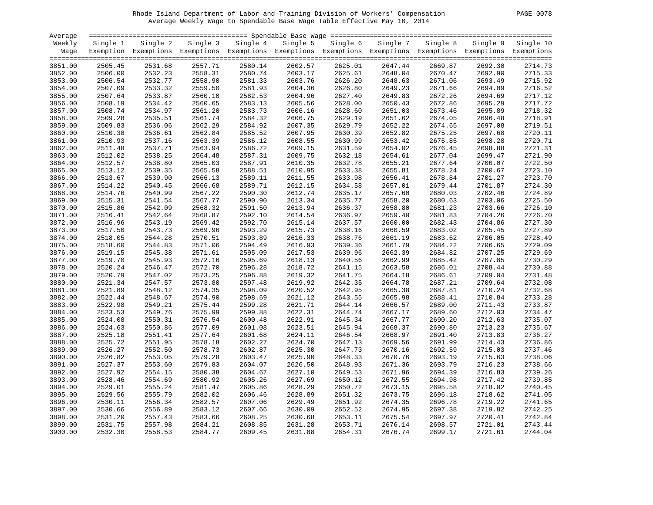# Rhode Island Department of Labor and Training Division of Workers' Compensation PAGE 0078 Average Weekly Wage to Spendable Base Wage Table Effective May 10, 2014

| PAGE.<br>-0078 |  |  |
|----------------|--|--|
|----------------|--|--|

| Average |          |                                                                                                              |          |          |          |          |          |          |          |           |
|---------|----------|--------------------------------------------------------------------------------------------------------------|----------|----------|----------|----------|----------|----------|----------|-----------|
| Weekly  | Single 1 | Single 2                                                                                                     | Single 3 | Single 4 | Single 5 | Single 6 | Single 7 | Single 8 | Single 9 | Single 10 |
| Waqe    |          | Exemption Exemptions Exemptions Exemptions Exemptions Exemptions Exemptions Exemptions Exemptions Exemptions |          |          |          |          |          |          |          |           |
|         |          |                                                                                                              |          |          |          |          |          |          |          |           |
| 3851.00 | 2505.45  | 2531.68                                                                                                      | 2557.71  | 2580.14  | 2602.57  | 2625.01  | 2647.44  | 2669.87  | 2692.30  | 2714.73   |
| 3852.00 | 2506.00  | 2532.23                                                                                                      | 2558.31  | 2580.74  | 2603.17  | 2625.61  | 2648.04  | 2670.47  | 2692.90  | 2715.33   |
| 3853.00 | 2506.54  | 2532.77                                                                                                      | 2558.90  | 2581.33  | 2603.76  | 2626.20  | 2648.63  | 2671.06  | 2693.49  | 2715.92   |
| 3854.00 | 2507.09  | 2533.32                                                                                                      | 2559.50  | 2581.93  | 2604.36  | 2626.80  | 2649.23  | 2671.66  | 2694.09  | 2716.52   |
| 3855.00 | 2507.64  | 2533.87                                                                                                      | 2560.10  | 2582.53  | 2604.96  | 2627.40  | 2649.83  | 2672.26  | 2694.69  | 2717.12   |
| 3856.00 | 2508.19  | 2534.42                                                                                                      | 2560.65  | 2583.13  | 2605.56  | 2628.00  | 2650.43  | 2672.86  | 2695.29  | 2717.72   |
| 3857.00 | 2508.74  | 2534.97                                                                                                      | 2561.20  | 2583.73  | 2606.16  | 2628.60  | 2651.03  | 2673.46  | 2695.89  | 2718.32   |
| 3858.00 | 2509.28  | 2535.51                                                                                                      | 2561.74  | 2584.32  | 2606.75  | 2629.19  | 2651.62  | 2674.05  | 2696.48  | 2718.91   |
| 3859.00 | 2509.83  | 2536.06                                                                                                      | 2562.29  | 2584.92  | 2607.35  | 2629.79  | 2652.22  | 2674.65  | 2697.08  | 2719.51   |
| 3860.00 | 2510.38  | 2536.61                                                                                                      | 2562.84  | 2585.52  | 2607.95  | 2630.39  | 2652.82  | 2675.25  | 2697.68  | 2720.11   |
| 3861.00 | 2510.93  | 2537.16                                                                                                      | 2563.39  | 2586.12  | 2608.55  | 2630.99  | 2653.42  | 2675.85  | 2698.28  | 2720.71   |
| 3862.00 | 2511.48  | 2537.71                                                                                                      | 2563.94  | 2586.72  | 2609.15  | 2631.59  | 2654.02  | 2676.45  | 2698.88  | 2721.31   |
| 3863.00 | 2512.02  | 2538.25                                                                                                      | 2564.48  | 2587.31  | 2609.75  | 2632.18  | 2654.61  | 2677.04  | 2699.47  | 2721.90   |
| 3864.00 | 2512.57  | 2538.80                                                                                                      | 2565.03  | 2587.91  | 2610.35  | 2632.78  | 2655.21  | 2677.64  | 2700.07  | 2722.50   |
| 3865.00 | 2513.12  | 2539.35                                                                                                      | 2565.58  | 2588.51  | 2610.95  | 2633.38  | 2655.81  | 2678.24  | 2700.67  | 2723.10   |
| 3866.00 | 2513.67  | 2539.90                                                                                                      | 2566.13  | 2589.11  | 2611.55  | 2633.98  | 2656.41  | 2678.84  | 2701.27  | 2723.70   |
| 3867.00 | 2514.22  | 2540.45                                                                                                      | 2566.68  | 2589.71  | 2612.15  | 2634.58  | 2657.01  | 2679.44  | 2701.87  | 2724.30   |
| 3868.00 | 2514.76  | 2540.99                                                                                                      | 2567.22  | 2590.30  | 2612.74  | 2635.17  | 2657.60  | 2680.03  | 2702.46  | 2724.89   |
| 3869.00 | 2515.31  | 2541.54                                                                                                      | 2567.77  | 2590.90  | 2613.34  | 2635.77  | 2658.20  | 2680.63  | 2703.06  | 2725.50   |
| 3870.00 | 2515.86  | 2542.09                                                                                                      | 2568.32  | 2591.50  | 2613.94  | 2636.37  | 2658.80  | 2681.23  | 2703.66  | 2726.10   |
| 3871.00 | 2516.41  | 2542.64                                                                                                      | 2568.87  | 2592.10  | 2614.54  | 2636.97  | 2659.40  | 2681.83  | 2704.26  | 2726.70   |
| 3872.00 | 2516.96  | 2543.19                                                                                                      | 2569.42  | 2592.70  | 2615.14  | 2637.57  | 2660.00  | 2682.43  | 2704.86  | 2727.30   |
| 3873.00 | 2517.50  | 2543.73                                                                                                      | 2569.96  | 2593.29  | 2615.73  | 2638.16  | 2660.59  | 2683.02  | 2705.45  | 2727.89   |
| 3874.00 | 2518.05  | 2544.28                                                                                                      | 2570.51  | 2593.89  | 2616.33  | 2638.76  | 2661.19  | 2683.62  | 2706.05  | 2728.49   |
| 3875.00 | 2518.60  | 2544.83                                                                                                      | 2571.06  | 2594.49  | 2616.93  | 2639.36  | 2661.79  | 2684.22  | 2706.65  | 2729.09   |
| 3876.00 | 2519.15  | 2545.38                                                                                                      | 2571.61  | 2595.09  | 2617.53  | 2639.96  | 2662.39  | 2684.82  | 2707.25  | 2729.69   |
| 3877.00 | 2519.70  | 2545.93                                                                                                      | 2572.16  | 2595.69  | 2618.13  | 2640.56  | 2662.99  | 2685.42  | 2707.85  | 2730.29   |
| 3878.00 | 2520.24  | 2546.47                                                                                                      | 2572.70  | 2596.28  | 2618.72  | 2641.15  | 2663.58  | 2686.01  | 2708.44  | 2730.88   |
| 3879.00 | 2520.79  | 2547.02                                                                                                      | 2573.25  | 2596.88  | 2619.32  | 2641.75  | 2664.18  | 2686.61  | 2709.04  | 2731.48   |
| 3880.00 | 2521.34  | 2547.57                                                                                                      | 2573.80  | 2597.48  | 2619.92  | 2642.35  | 2664.78  | 2687.21  | 2709.64  | 2732.08   |
| 3881.00 | 2521.89  | 2548.12                                                                                                      | 2574.35  | 2598.09  | 2620.52  | 2642.95  | 2665.38  | 2687.81  | 2710.24  | 2732.68   |
| 3882.00 | 2522.44  | 2548.67                                                                                                      | 2574.90  | 2598.69  | 2621.12  | 2643.55  | 2665.98  | 2688.41  | 2710.84  | 2733.28   |
| 3883.00 | 2522.98  | 2549.21                                                                                                      | 2575.44  | 2599.28  | 2621.71  | 2644.14  | 2666.57  | 2689.00  | 2711.43  | 2733.87   |
| 3884.00 | 2523.53  | 2549.76                                                                                                      | 2575.99  | 2599.88  | 2622.31  | 2644.74  | 2667.17  | 2689.60  | 2712.03  | 2734.47   |
| 3885.00 | 2524.08  | 2550.31                                                                                                      | 2576.54  | 2600.48  | 2622.91  | 2645.34  | 2667.77  | 2690.20  | 2712.63  | 2735.07   |
| 3886.00 | 2524.63  | 2550.86                                                                                                      | 2577.09  | 2601.08  | 2623.51  | 2645.94  | 2668.37  | 2690.80  | 2713.23  | 2735.67   |
| 3887.00 | 2525.18  | 2551.41                                                                                                      | 2577.64  | 2601.68  | 2624.11  | 2646.54  | 2668.97  | 2691.40  | 2713.83  | 2736.27   |
| 3888.00 | 2525.72  | 2551.95                                                                                                      | 2578.18  | 2602.27  | 2624.70  | 2647.13  | 2669.56  | 2691.99  | 2714.43  | 2736.86   |
| 3889.00 | 2526.27  | 2552.50                                                                                                      | 2578.73  | 2602.87  | 2625.30  | 2647.73  | 2670.16  | 2692.59  | 2715.03  | 2737.46   |
| 3890.00 | 2526.82  | 2553.05                                                                                                      | 2579.28  | 2603.47  | 2625.90  | 2648.33  | 2670.76  | 2693.19  | 2715.63  | 2738.06   |
| 3891.00 | 2527.37  | 2553.60                                                                                                      | 2579.83  | 2604.07  | 2626.50  | 2648.93  | 2671.36  | 2693.79  | 2716.23  | 2738.66   |
| 3892.00 | 2527.92  | 2554.15                                                                                                      | 2580.38  | 2604.67  | 2627.10  | 2649.53  | 2671.96  | 2694.39  | 2716.83  | 2739.26   |
| 3893.00 | 2528.46  | 2554.69                                                                                                      | 2580.92  | 2605.26  | 2627.69  | 2650.12  | 2672.55  | 2694.98  | 2717.42  | 2739.85   |
| 3894.00 | 2529.01  | 2555.24                                                                                                      | 2581.47  | 2605.86  | 2628.29  | 2650.72  | 2673.15  | 2695.58  | 2718.02  | 2740.45   |
| 3895.00 | 2529.56  | 2555.79                                                                                                      | 2582.02  | 2606.46  | 2628.89  | 2651.32  | 2673.75  | 2696.18  | 2718.62  | 2741.05   |
| 3896.00 | 2530.11  | 2556.34                                                                                                      | 2582.57  | 2607.06  | 2629.49  | 2651.92  | 2674.35  | 2696.78  | 2719.22  | 2741.65   |
| 3897.00 | 2530.66  | 2556.89                                                                                                      | 2583.12  | 2607.66  | 2630.09  | 2652.52  | 2674.95  | 2697.38  | 2719.82  | 2742.25   |
| 3898.00 | 2531.20  | 2557.43                                                                                                      | 2583.66  | 2608.25  | 2630.68  | 2653.11  | 2675.54  | 2697.97  | 2720.41  | 2742.84   |
| 3899.00 | 2531.75  | 2557.98                                                                                                      | 2584.21  | 2608.85  | 2631.28  | 2653.71  | 2676.14  | 2698.57  | 2721.01  | 2743.44   |
| 3900.00 | 2532.30  | 2558.53                                                                                                      | 2584.77  | 2609.45  | 2631.88  | 2654.31  | 2676.74  | 2699.17  | 2721.61  | 2744.04   |
|         |          |                                                                                                              |          |          |          |          |          |          |          |           |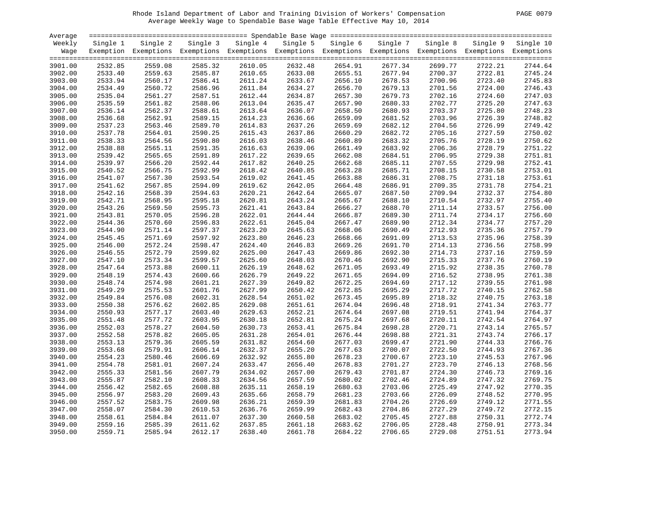# Rhode Island Department of Labor and Training Division of Workers' Compensation PAGE 0079 Average Weekly Wage to Spendable Base Wage Table Effective May 10, 2014

|  | PAGE 0079 |  |
|--|-----------|--|
|--|-----------|--|

| Average |          |                                                                                                              |          |          |          |          |                    |          |          |           |
|---------|----------|--------------------------------------------------------------------------------------------------------------|----------|----------|----------|----------|--------------------|----------|----------|-----------|
| Weekly  | Single 1 | Single 2                                                                                                     | Single 3 | Single 4 | Single 5 | Single 6 | Single 7           | Single 8 | Single 9 | Single 10 |
| Wage    |          | Exemption Exemptions Exemptions Exemptions Exemptions Exemptions Exemptions Exemptions Exemptions Exemptions |          |          |          |          |                    |          |          |           |
|         |          |                                                                                                              |          |          |          |          |                    |          |          |           |
| 3901.00 | 2532.85  | 2559.08                                                                                                      | 2585.32  | 2610.05  | 2632.48  | 2654.91  | 2677.34            | 2699.77  | 2722.21  | 2744.64   |
| 3902.00 | 2533.40  | 2559.63                                                                                                      | 2585.87  | 2610.65  | 2633.08  | 2655.51  | 2677.94            | 2700.37  | 2722.81  | 2745.24   |
| 3903.00 | 2533.94  | 2560.17                                                                                                      | 2586.41  | 2611.24  | 2633.67  | 2656.10  | 2678.53            | 2700.96  | 2723.40  | 2745.83   |
| 3904.00 | 2534.49  | 2560.72                                                                                                      | 2586.96  | 2611.84  | 2634.27  | 2656.70  | 2679.13            | 2701.56  | 2724.00  | 2746.43   |
| 3905.00 | 2535.04  | 2561.27                                                                                                      | 2587.51  | 2612.44  | 2634.87  | 2657.30  | 2679.73            | 2702.16  | 2724.60  | 2747.03   |
| 3906.00 | 2535.59  | 2561.82                                                                                                      | 2588.06  | 2613.04  | 2635.47  | 2657.90  | 2680.33            | 2702.77  | 2725.20  | 2747.63   |
| 3907.00 | 2536.14  | 2562.37                                                                                                      | 2588.61  | 2613.64  | 2636.07  | 2658.50  | 2680.93            | 2703.37  | 2725.80  | 2748.23   |
| 3908.00 | 2536.68  | 2562.91                                                                                                      | 2589.15  | 2614.23  | 2636.66  | 2659.09  | 2681.52            | 2703.96  | 2726.39  | 2748.82   |
| 3909.00 | 2537.23  | 2563.46                                                                                                      | 2589.70  | 2614.83  | 2637.26  | 2659.69  | 2682.12            | 2704.56  | 2726.99  | 2749.42   |
| 3910.00 | 2537.78  | 2564.01                                                                                                      | 2590.25  | 2615.43  | 2637.86  | 2660.29  | 2682.72            | 2705.16  | 2727.59  | 2750.02   |
| 3911.00 | 2538.33  | 2564.56                                                                                                      | 2590.80  | 2616.03  | 2638.46  | 2660.89  | 2683.32            | 2705.76  | 2728.19  | 2750.62   |
| 3912.00 | 2538.88  | 2565.11                                                                                                      | 2591.35  | 2616.63  | 2639.06  | 2661.49  | 2683.92            | 2706.36  | 2728.79  | 2751.22   |
| 3913.00 | 2539.42  | 2565.65                                                                                                      | 2591.89  | 2617.22  | 2639.65  | 2662.08  | 2684.51            | 2706.95  | 2729.38  | 2751.81   |
| 3914.00 | 2539.97  | 2566.20                                                                                                      | 2592.44  | 2617.82  | 2640.25  | 2662.68  | 2685.11            | 2707.55  | 2729.98  | 2752.41   |
| 3915.00 | 2540.52  | 2566.75                                                                                                      | 2592.99  | 2618.42  | 2640.85  | 2663.28  | 2685.71            | 2708.15  | 2730.58  | 2753.01   |
| 3916.00 | 2541.07  | 2567.30                                                                                                      | 2593.54  | 2619.02  | 2641.45  | 2663.88  | 2686.31            | 2708.75  | 2731.18  | 2753.61   |
| 3917.00 | 2541.62  | 2567.85                                                                                                      | 2594.09  | 2619.62  | 2642.05  | 2664.48  | 2686.91            | 2709.35  | 2731.78  | 2754.21   |
| 3918.00 | 2542.16  | 2568.39                                                                                                      | 2594.63  | 2620.21  | 2642.64  | 2665.07  | 2687.50            | 2709.94  | 2732.37  | 2754.80   |
| 3919.00 | 2542.71  | 2568.95                                                                                                      | 2595.18  | 2620.81  | 2643.24  | 2665.67  | 2688.10            | 2710.54  | 2732.97  | 2755.40   |
| 3920.00 | 2543.26  | 2569.50                                                                                                      | 2595.73  | 2621.41  | 2643.84  | 2666.27  | 2688.70            | 2711.14  | 2733.57  | 2756.00   |
| 3921.00 | 2543.81  | 2570.05                                                                                                      | 2596.28  | 2622.01  | 2644.44  | 2666.87  | 2689.30            | 2711.74  | 2734.17  | 2756.60   |
| 3922.00 | 2544.36  | 2570.60                                                                                                      | 2596.83  | 2622.61  | 2645.04  | 2667.47  | 2689.90            | 2712.34  | 2734.77  | 2757.20   |
| 3923.00 | 2544.90  | 2571.14                                                                                                      | 2597.37  | 2623.20  | 2645.63  | 2668.06  | 2690.49            | 2712.93  | 2735.36  | 2757.79   |
| 3924.00 | 2545.45  | 2571.69                                                                                                      | 2597.92  | 2623.80  | 2646.23  | 2668.66  | 2691.09            | 2713.53  | 2735.96  | 2758.39   |
| 3925.00 | 2546.00  | 2572.24                                                                                                      | 2598.47  | 2624.40  | 2646.83  | 2669.26  | 2691.70            | 2714.13  | 2736.56  | 2758.99   |
|         |          | 2572.79                                                                                                      |          | 2625.00  |          | 2669.86  | 2692.30            |          |          | 2759.59   |
| 3926.00 | 2546.55  |                                                                                                              | 2599.02  |          | 2647.43  |          |                    | 2714.73  | 2737.16  |           |
| 3927.00 | 2547.10  | 2573.34                                                                                                      | 2599.57  | 2625.60  | 2648.03  | 2670.46  | 2692.90<br>2693.49 | 2715.33  | 2737.76  | 2760.19   |
| 3928.00 | 2547.64  | 2573.88                                                                                                      | 2600.11  | 2626.19  | 2648.62  | 2671.05  |                    | 2715.92  | 2738.35  | 2760.78   |
| 3929.00 | 2548.19  | 2574.43                                                                                                      | 2600.66  | 2626.79  | 2649.22  | 2671.65  | 2694.09            | 2716.52  | 2738.95  | 2761.38   |
| 3930.00 | 2548.74  | 2574.98                                                                                                      | 2601.21  | 2627.39  | 2649.82  | 2672.25  | 2694.69            | 2717.12  | 2739.55  | 2761.98   |
| 3931.00 | 2549.29  | 2575.53                                                                                                      | 2601.76  | 2627.99  | 2650.42  | 2672.85  | 2695.29            | 2717.72  | 2740.15  | 2762.58   |
| 3932.00 | 2549.84  | 2576.08                                                                                                      | 2602.31  | 2628.54  | 2651.02  | 2673.45  | 2695.89            | 2718.32  | 2740.75  | 2763.18   |
| 3933.00 | 2550.38  | 2576.62                                                                                                      | 2602.85  | 2629.08  | 2651.61  | 2674.04  | 2696.48            | 2718.91  | 2741.34  | 2763.77   |
| 3934.00 | 2550.93  | 2577.17                                                                                                      | 2603.40  | 2629.63  | 2652.21  | 2674.64  | 2697.08            | 2719.51  | 2741.94  | 2764.37   |
| 3935.00 | 2551.48  | 2577.72                                                                                                      | 2603.95  | 2630.18  | 2652.81  | 2675.24  | 2697.68            | 2720.11  | 2742.54  | 2764.97   |
| 3936.00 | 2552.03  | 2578.27                                                                                                      | 2604.50  | 2630.73  | 2653.41  | 2675.84  | 2698.28            | 2720.71  | 2743.14  | 2765.57   |
| 3937.00 | 2552.58  | 2578.82                                                                                                      | 2605.05  | 2631.28  | 2654.01  | 2676.44  | 2698.88            | 2721.31  | 2743.74  | 2766.17   |
| 3938.00 | 2553.13  | 2579.36                                                                                                      | 2605.59  | 2631.82  | 2654.60  | 2677.03  | 2699.47            | 2721.90  | 2744.33  | 2766.76   |
| 3939.00 | 2553.68  | 2579.91                                                                                                      | 2606.14  | 2632.37  | 2655.20  | 2677.63  | 2700.07            | 2722.50  | 2744.93  | 2767.36   |
| 3940.00 | 2554.23  | 2580.46                                                                                                      | 2606.69  | 2632.92  | 2655.80  | 2678.23  | 2700.67            | 2723.10  | 2745.53  | 2767.96   |
| 3941.00 | 2554.78  | 2581.01                                                                                                      | 2607.24  | 2633.47  | 2656.40  | 2678.83  | 2701.27            | 2723.70  | 2746.13  | 2768.56   |
| 3942.00 | 2555.33  | 2581.56                                                                                                      | 2607.79  | 2634.02  | 2657.00  | 2679.43  | 2701.87            | 2724.30  | 2746.73  | 2769.16   |
| 3943.00 | 2555.87  | 2582.10                                                                                                      | 2608.33  | 2634.56  | 2657.59  | 2680.02  | 2702.46            | 2724.89  | 2747.32  | 2769.75   |
| 3944.00 | 2556.42  | 2582.65                                                                                                      | 2608.88  | 2635.11  | 2658.19  | 2680.63  | 2703.06            | 2725.49  | 2747.92  | 2770.35   |
| 3945.00 | 2556.97  | 2583.20                                                                                                      | 2609.43  | 2635.66  | 2658.79  | 2681.23  | 2703.66            | 2726.09  | 2748.52  | 2770.95   |
| 3946.00 | 2557.52  | 2583.75                                                                                                      | 2609.98  | 2636.21  | 2659.39  | 2681.83  | 2704.26            | 2726.69  | 2749.12  | 2771.55   |
| 3947.00 | 2558.07  | 2584.30                                                                                                      | 2610.53  | 2636.76  | 2659.99  | 2682.43  | 2704.86            | 2727.29  | 2749.72  | 2772.15   |
| 3948.00 | 2558.61  | 2584.84                                                                                                      | 2611.07  | 2637.30  | 2660.58  | 2683.02  | 2705.45            | 2727.88  | 2750.31  | 2772.74   |
| 3949.00 | 2559.16  | 2585.39                                                                                                      | 2611.62  | 2637.85  | 2661.18  | 2683.62  | 2706.05            | 2728.48  | 2750.91  | 2773.34   |
| 3950.00 | 2559.71  | 2585.94                                                                                                      | 2612.17  | 2638.40  | 2661.78  | 2684.22  | 2706.65            | 2729.08  | 2751.51  | 2773.94   |
|         |          |                                                                                                              |          |          |          |          |                    |          |          |           |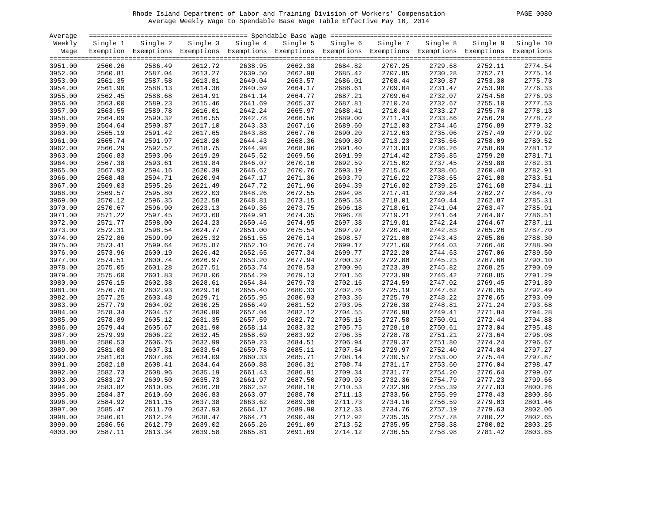# Rhode Island Department of Labor and Training Division of Workers' Compensation PAGE 0080 Average Weekly Wage to Spendable Base Wage Table Effective May 10, 2014

| PAGE<br>0080 |
|--------------|
|--------------|

| Average            |          |                                                                                                              |          |          |          |          |          |          |          |           |
|--------------------|----------|--------------------------------------------------------------------------------------------------------------|----------|----------|----------|----------|----------|----------|----------|-----------|
| Weekly             | Single 1 | Single 2                                                                                                     | Single 3 | Single 4 | Single 5 | Single 6 | Single 7 | Single 8 | Single 9 | Single 10 |
| Wage               |          | Exemption Exemptions Exemptions Exemptions Exemptions Exemptions Exemptions Exemptions Exemptions Exemptions |          |          |          |          |          |          |          |           |
|                    |          |                                                                                                              |          |          |          |          |          |          |          |           |
| 3951.00            | 2560.26  | 2586.49                                                                                                      | 2612.72  | 2638.95  | 2662.38  | 2684.82  | 2707.25  | 2729.68  | 2752.11  | 2774.54   |
| 3952.00            | 2560.81  | 2587.04                                                                                                      | 2613.27  | 2639.50  | 2662.98  | 2685.42  | 2707.85  | 2730.28  | 2752.71  | 2775.14   |
| 3953.00            | 2561.35  | 2587.58                                                                                                      | 2613.81  | 2640.04  | 2663.57  | 2686.01  | 2708.44  | 2730.87  | 2753.30  | 2775.73   |
| 3954.00            | 2561.90  | 2588.13                                                                                                      | 2614.36  | 2640.59  | 2664.17  | 2686.61  | 2709.04  | 2731.47  | 2753.90  | 2776.33   |
| 3955.00            | 2562.45  | 2588.68                                                                                                      | 2614.91  | 2641.14  | 2664.77  | 2687.21  | 2709.64  | 2732.07  | 2754.50  | 2776.93   |
| 3956.00            | 2563.00  | 2589.23                                                                                                      | 2615.46  | 2641.69  | 2665.37  | 2687.81  | 2710.24  | 2732.67  | 2755.10  | 2777.53   |
| 3957.00            | 2563.55  | 2589.78                                                                                                      | 2616.01  | 2642.24  | 2665.97  | 2688.41  | 2710.84  | 2733.27  | 2755.70  | 2778.13   |
| 3958.00            | 2564.09  | 2590.32                                                                                                      | 2616.55  | 2642.78  | 2666.56  | 2689.00  | 2711.43  | 2733.86  | 2756.29  | 2778.72   |
| 3959.00            | 2564.64  | 2590.87                                                                                                      | 2617.10  | 2643.33  | 2667.16  | 2689.60  | 2712.03  | 2734.46  | 2756.89  | 2779.32   |
| 3960.00            | 2565.19  | 2591.42                                                                                                      | 2617.65  | 2643.88  | 2667.76  | 2690.20  | 2712.63  | 2735.06  | 2757.49  | 2779.92   |
| 3961.00            | 2565.74  | 2591.97                                                                                                      | 2618.20  | 2644.43  | 2668.36  | 2690.80  | 2713.23  | 2735.66  | 2758.09  | 2780.52   |
| 3962.00            | 2566.29  | 2592.52                                                                                                      | 2618.75  | 2644.98  | 2668.96  | 2691.40  | 2713.83  | 2736.26  | 2758.69  | 2781.12   |
| 3963.00            | 2566.83  | 2593.06                                                                                                      | 2619.29  | 2645.52  | 2669.56  | 2691.99  | 2714.42  | 2736.85  | 2759.28  | 2781.71   |
| 3964.00            | 2567.38  | 2593.61                                                                                                      | 2619.84  | 2646.07  | 2670.16  | 2692.59  | 2715.02  | 2737.45  | 2759.88  | 2782.31   |
| 3965.00            | 2567.93  | 2594.16                                                                                                      | 2620.39  | 2646.62  | 2670.76  | 2693.19  | 2715.62  | 2738.05  | 2760.48  | 2782.91   |
| 3966.00            | 2568.48  | 2594.71                                                                                                      | 2620.94  | 2647.17  | 2671.36  | 2693.79  | 2716.22  | 2738.65  | 2761.08  | 2783.51   |
| 3967.00            | 2569.03  | 2595.26                                                                                                      | 2621.49  | 2647.72  | 2671.96  | 2694.39  | 2716.82  | 2739.25  | 2761.68  | 2784.11   |
| 3968.00            | 2569.57  | 2595.80                                                                                                      | 2622.03  | 2648.26  | 2672.55  | 2694.98  | 2717.41  | 2739.84  | 2762.27  | 2784.70   |
| 3969.00            | 2570.12  | 2596.35                                                                                                      | 2622.58  | 2648.81  | 2673.15  | 2695.58  | 2718.01  | 2740.44  | 2762.87  | 2785.31   |
| 3970.00            | 2570.67  | 2596.90                                                                                                      | 2623.13  | 2649.36  | 2673.75  | 2696.18  | 2718.61  | 2741.04  | 2763.47  | 2785.91   |
| 3971.00            | 2571.22  | 2597.45                                                                                                      | 2623.68  | 2649.91  | 2674.35  | 2696.78  | 2719.21  | 2741.64  | 2764.07  | 2786.51   |
| 3972.00            | 2571.77  | 2598.00                                                                                                      | 2624.23  | 2650.46  | 2674.95  | 2697.38  | 2719.81  | 2742.24  | 2764.67  | 2787.11   |
| 3973.00            | 2572.31  | 2598.54                                                                                                      | 2624.77  | 2651.00  | 2675.54  | 2697.97  | 2720.40  | 2742.83  | 2765.26  | 2787.70   |
| 3974.00            | 2572.86  | 2599.09                                                                                                      | 2625.32  | 2651.55  | 2676.14  | 2698.57  | 2721.00  | 2743.43  | 2765.86  | 2788.30   |
| 3975.00            | 2573.41  | 2599.64                                                                                                      | 2625.87  | 2652.10  | 2676.74  | 2699.17  | 2721.60  | 2744.03  | 2766.46  | 2788.90   |
| 3976.00            | 2573.96  | 2600.19                                                                                                      | 2626.42  | 2652.65  | 2677.34  | 2699.77  | 2722.20  | 2744.63  | 2767.06  | 2789.50   |
| 3977.00            | 2574.51  | 2600.74                                                                                                      | 2626.97  | 2653.20  | 2677.94  | 2700.37  | 2722.80  | 2745.23  | 2767.66  | 2790.10   |
|                    | 2575.05  | 2601.28                                                                                                      | 2627.51  | 2653.74  | 2678.53  | 2700.96  | 2723.39  | 2745.82  | 2768.25  | 2790.69   |
| 3978.00<br>3979.00 | 2575.60  | 2601.83                                                                                                      | 2628.06  | 2654.29  | 2679.13  | 2701.56  | 2723.99  | 2746.42  | 2768.85  | 2791.29   |
|                    |          |                                                                                                              |          |          |          |          |          |          |          | 2791.89   |
| 3980.00            | 2576.15  | 2602.38                                                                                                      | 2628.61  | 2654.84  | 2679.73  | 2702.16  | 2724.59  | 2747.02  | 2769.45  |           |
| 3981.00            | 2576.70  | 2602.93                                                                                                      | 2629.16  | 2655.40  | 2680.33  | 2702.76  | 2725.19  | 2747.62  | 2770.05  | 2792.49   |
| 3982.00            | 2577.25  | 2603.48                                                                                                      | 2629.71  | 2655.95  | 2680.93  | 2703.36  | 2725.79  | 2748.22  | 2770.65  | 2793.09   |
| 3983.00            | 2577.79  | 2604.02                                                                                                      | 2630.25  | 2656.49  | 2681.52  | 2703.95  | 2726.38  | 2748.81  | 2771.24  | 2793.68   |
| 3984.00            | 2578.34  | 2604.57                                                                                                      | 2630.80  | 2657.04  | 2682.12  | 2704.55  | 2726.98  | 2749.41  | 2771.84  | 2794.28   |
| 3985.00            | 2578.89  | 2605.12                                                                                                      | 2631.35  | 2657.59  | 2682.72  | 2705.15  | 2727.58  | 2750.01  | 2772.44  | 2794.88   |
| 3986.00            | 2579.44  | 2605.67                                                                                                      | 2631.90  | 2658.14  | 2683.32  | 2705.75  | 2728.18  | 2750.61  | 2773.04  | 2795.48   |
| 3987.00            | 2579.99  | 2606.22                                                                                                      | 2632.45  | 2658.69  | 2683.92  | 2706.35  | 2728.78  | 2751.21  | 2773.64  | 2796.08   |
| 3988.00            | 2580.53  | 2606.76                                                                                                      | 2632.99  | 2659.23  | 2684.51  | 2706.94  | 2729.37  | 2751.80  | 2774.24  | 2796.67   |
| 3989.00            | 2581.08  | 2607.31                                                                                                      | 2633.54  | 2659.78  | 2685.11  | 2707.54  | 2729.97  | 2752.40  | 2774.84  | 2797.27   |
| 3990.00            | 2581.63  | 2607.86                                                                                                      | 2634.09  | 2660.33  | 2685.71  | 2708.14  | 2730.57  | 2753.00  | 2775.44  | 2797.87   |
| 3991.00            | 2582.18  | 2608.41                                                                                                      | 2634.64  | 2660.88  | 2686.31  | 2708.74  | 2731.17  | 2753.60  | 2776.04  | 2798.47   |
| 3992.00            | 2582.73  | 2608.96                                                                                                      | 2635.19  | 2661.43  | 2686.91  | 2709.34  | 2731.77  | 2754.20  | 2776.64  | 2799.07   |
| 3993.00            | 2583.27  | 2609.50                                                                                                      | 2635.73  | 2661.97  | 2687.50  | 2709.93  | 2732.36  | 2754.79  | 2777.23  | 2799.66   |
| 3994.00            | 2583.82  | 2610.05                                                                                                      | 2636.28  | 2662.52  | 2688.10  | 2710.53  | 2732.96  | 2755.39  | 2777.83  | 2800.26   |
| 3995.00            | 2584.37  | 2610.60                                                                                                      | 2636.83  | 2663.07  | 2688.70  | 2711.13  | 2733.56  | 2755.99  | 2778.43  | 2800.86   |
| 3996.00            | 2584.92  | 2611.15                                                                                                      | 2637.38  | 2663.62  | 2689.30  | 2711.73  | 2734.16  | 2756.59  | 2779.03  | 2801.46   |
| 3997.00            | 2585.47  | 2611.70                                                                                                      | 2637.93  | 2664.17  | 2689.90  | 2712.33  | 2734.76  | 2757.19  | 2779.63  | 2802.06   |
| 3998.00            | 2586.01  | 2612.24                                                                                                      | 2638.47  | 2664.71  | 2690.49  | 2712.92  | 2735.35  | 2757.78  | 2780.22  | 2802.65   |
| 3999.00            | 2586.56  | 2612.79                                                                                                      | 2639.02  | 2665.26  | 2691.09  | 2713.52  | 2735.95  | 2758.38  | 2780.82  | 2803.25   |
| 4000.00            | 2587.11  | 2613.34                                                                                                      | 2639.58  | 2665.81  | 2691.69  | 2714.12  | 2736.55  | 2758.98  | 2781.42  | 2803.85   |
|                    |          |                                                                                                              |          |          |          |          |          |          |          |           |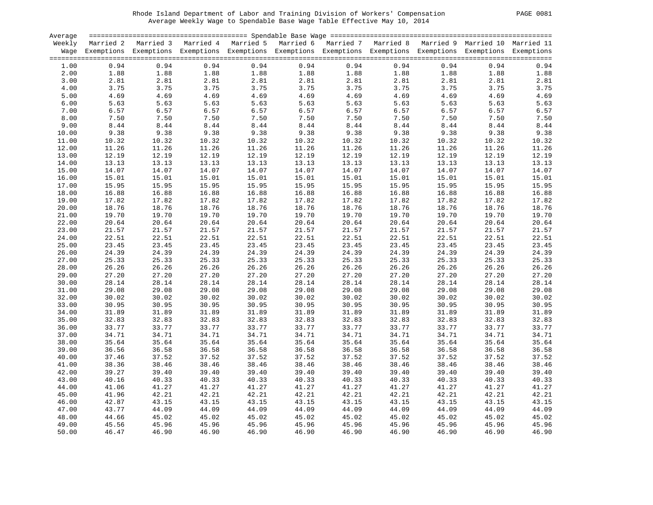# Rhode Island Department of Labor and Training Division of Workers' Compensation PAGE 0081 Average Weekly Wage to Spendable Base Wage Table Effective May 10, 2014

| <b>PAGE</b> | 0081 |
|-------------|------|
|             |      |

| Average |        |                                                                                                                    |                                                                   |                |                                                                            |       |                                                                                                            |       |       |       |
|---------|--------|--------------------------------------------------------------------------------------------------------------------|-------------------------------------------------------------------|----------------|----------------------------------------------------------------------------|-------|------------------------------------------------------------------------------------------------------------|-------|-------|-------|
|         |        | Weekly Married 2 Married 3 Married 4 Married 5 Married 6 Married 7 Married 8 Married 9 Married 10 Married 11       |                                                                   |                |                                                                            |       |                                                                                                            |       |       |       |
|         |        | Wage Exemptions Exemptions Exemptions Exemptions Exemptions Exemptions Exemptions Exemptions Exemptions Exemptions |                                                                   |                |                                                                            |       |                                                                                                            |       |       |       |
|         |        |                                                                                                                    |                                                                   |                |                                                                            |       |                                                                                                            |       |       |       |
| 1.00    | 0.94   |                                                                                                                    | $1.88$<br>$1.88$<br>$2.81$<br>$3.75$<br>$3.75$<br>$4.66$<br>$5.6$ | 0.94           | 0.94                                                                       |       | 0.94<br>0.94                                                                                               | 0.94  | 0.94  | 0.94  |
| 2.00    | 1.88   |                                                                                                                    |                                                                   | 1.88           | 1.88<br>$1.88$<br>$2.81$<br>$3.75$<br>$4.69$<br>$5.63$<br>$6.57$<br>$7.50$ | 1.88  | 1.88<br>2.81<br>3.75<br>4.69<br>5.63<br>$1.88$<br>$2.81$<br>$3.75$<br>$4.69$<br>$5.63$<br>$6.57$<br>$7.50$ | 1.88  | 1.88  | 1.88  |
| 3.00    | 2.81   |                                                                                                                    |                                                                   |                | 2.81                                                                       |       |                                                                                                            | 2.81  | 2.81  | 2.81  |
| 4.00    | 3.75   |                                                                                                                    |                                                                   |                | 3.75                                                                       |       |                                                                                                            | 3.75  | 3.75  | 3.75  |
| 5.00    | 4.69   |                                                                                                                    |                                                                   |                | 4.69                                                                       |       |                                                                                                            | 4.69  | 4.69  | 4.69  |
| 6.00    | 5.63   |                                                                                                                    |                                                                   |                | 5.63                                                                       | 5.63  |                                                                                                            | 5.63  | 5.63  | 5.63  |
| 7.00    | 6.57   | 6.57                                                                                                               | 6.57                                                              |                | 6.57                                                                       |       |                                                                                                            | 6.57  | 6.57  | 6.57  |
| 8.00    | 7.50   | 7.50                                                                                                               | 7.50                                                              |                | 7.50                                                                       |       | $6.57$<br>$7.50$                                                                                           | 7.50  | 7.50  | 7.50  |
| 9.00    | $8.44$ | 8.44                                                                                                               | 8.44                                                              | 8.44           | $8.44$                                                                     | 8.44  | 8.44                                                                                                       | 8.44  | 8.44  | 8.44  |
|         | 9.38   | 9.38                                                                                                               | $8.44$<br>$9.38$                                                  | 9.38           | 9.38                                                                       | 9.38  |                                                                                                            |       |       | 9.38  |
| 10.00   |        |                                                                                                                    |                                                                   |                |                                                                            |       | 9.38                                                                                                       | 9.38  | 9.38  |       |
| 11.00   | 10.32  | 10.32                                                                                                              | 10.32                                                             | 10.32          | 10.32                                                                      | 10.32 | 10.32                                                                                                      | 10.32 | 10.32 | 10.32 |
| 12.00   | 11.26  | 11.26<br>11.26<br>12.19                                                                                            | 11.26                                                             | 11.26          | 11.26                                                                      | 11.26 | 11.26                                                                                                      | 11.26 | 11.26 | 11.26 |
| 13.00   | 12.19  |                                                                                                                    | 12.19                                                             | 12.19          | 12.19                                                                      | 12.19 | 12.19                                                                                                      | 12.19 | 12.19 | 12.19 |
| 14.00   | 13.13  | 13.13                                                                                                              | 13.13                                                             | 13.13          | 13.13                                                                      | 13.13 | 13.13                                                                                                      | 13.13 | 13.13 | 13.13 |
| 15.00   | 14.07  | 14.07                                                                                                              | 14.07                                                             | 14.07          | 14.07                                                                      | 14.07 | 14.07                                                                                                      | 14.07 | 14.07 | 14.07 |
| 16.00   | 15.01  | 15.01                                                                                                              | 15.01                                                             | 15.01          | 15.01                                                                      | 15.01 | 15.01                                                                                                      | 15.01 | 15.01 | 15.01 |
| 17.00   | 15.95  |                                                                                                                    | 15.95                                                             | 15.95          | 15.95                                                                      | 15.95 | 15.95                                                                                                      | 15.95 | 15.95 | 15.95 |
| 18.00   | 16.88  |                                                                                                                    | 16.88                                                             | 16.88          | 16.88                                                                      | 16.88 | 16.88                                                                                                      | 16.88 | 16.88 | 16.88 |
| 19.00   | 17.82  | 15.><br>16.88<br>17.82                                                                                             | 17.82                                                             | 17.82          | 17.82                                                                      | 17.82 | 17.82                                                                                                      | 17.82 | 17.82 | 17.82 |
| 20.00   | 18.76  | 18.76                                                                                                              | 18.76                                                             | 18.76          | 18.76                                                                      | 18.76 | 18.76                                                                                                      | 18.76 | 18.76 | 18.76 |
| 21.00   | 19.70  | 19.70                                                                                                              | 19.70                                                             | 19.70          | 19.70                                                                      | 19.70 | 19.70                                                                                                      | 19.70 | 19.70 | 19.70 |
| 22.00   | 20.64  | 20.64                                                                                                              | 20.64                                                             | 20.64          | 20.64                                                                      | 20.64 | 20.64                                                                                                      | 20.64 | 20.64 | 20.64 |
| 23.00   | 21.57  | 21.57                                                                                                              | 21.57                                                             | 21.57          | 21.57                                                                      | 21.57 | 21.57                                                                                                      | 21.57 | 21.57 | 21.57 |
| 24.00   | 22.51  | 22.51                                                                                                              | 22.51                                                             | 22.51          | 22.51                                                                      | 22.51 | 22.51                                                                                                      | 22.51 | 22.51 | 22.51 |
| 25.00   | 23.45  | 23.45                                                                                                              | 23.45                                                             | 23.45          | 23.45                                                                      | 23.45 | 23.45                                                                                                      | 23.45 | 23.45 | 23.45 |
| 26.00   | 24.39  | 24.39                                                                                                              | 24.39                                                             | 24.39          | 24.39                                                                      | 24.39 | 24.39                                                                                                      | 24.39 | 24.39 | 24.39 |
| 27.00   | 25.33  | 25.33                                                                                                              | 25.33                                                             | 25.33          | 25.33                                                                      | 25.33 | 25.33                                                                                                      | 25.33 | 25.33 | 25.33 |
| 28.00   | 26.26  | 26.26                                                                                                              | 26.26                                                             | 26.26          | 26.26                                                                      | 26.26 | 26.26                                                                                                      | 26.26 | 26.26 | 26.26 |
| 29.00   | 27.20  | 27.20                                                                                                              | 27.20                                                             | 27.20          | 27.20                                                                      | 27.20 | 27.20                                                                                                      | 27.20 | 27.20 | 27.20 |
|         |        |                                                                                                                    |                                                                   |                |                                                                            |       |                                                                                                            |       |       |       |
| 30.00   | 28.14  | 28.14                                                                                                              | 28.14                                                             | 28.14          | 28.14                                                                      | 28.14 | 28.14                                                                                                      | 28.14 | 28.14 | 28.14 |
| 31.00   | 29.08  | 29.08                                                                                                              | 29.08                                                             | 29.08          | 29.08                                                                      | 29.08 | 29.08                                                                                                      | 29.08 | 29.08 | 29.08 |
| 32.00   | 30.02  | 30.02                                                                                                              | 30.02                                                             | 30.02          | 30.02                                                                      | 30.02 | 30.02                                                                                                      | 30.02 | 30.02 | 30.02 |
| 33.00   | 30.95  | 30.95                                                                                                              | 30.95                                                             | 30.95          | 30.95                                                                      | 30.95 | 30.95                                                                                                      | 30.95 | 30.95 | 30.95 |
| 34.00   | 31.89  | 31.89                                                                                                              | 31.89                                                             | 31.89          | 31.89                                                                      | 31.89 | 31.89                                                                                                      | 31.89 | 31.89 | 31.89 |
| 35.00   | 32.83  | 32.83                                                                                                              | 32.83                                                             | 32.83          | 32.83                                                                      | 32.83 | 32.83                                                                                                      | 32.83 | 32.83 | 32.83 |
| 36.00   | 33.77  | 33.77                                                                                                              | 33.77                                                             | 33.77          | 33.77                                                                      | 33.77 | 33.77                                                                                                      | 33.77 | 33.77 | 33.77 |
| 37.00   | 34.71  | 34.71                                                                                                              | 34.71                                                             | 34.71          | 34.71                                                                      | 34.71 | 34.71                                                                                                      | 34.71 | 34.71 | 34.71 |
| 38.00   | 35.64  | 35.64                                                                                                              | 35.64                                                             | 35.64          | 35.64                                                                      | 35.64 | 35.64                                                                                                      | 35.64 | 35.64 | 35.64 |
| 39.00   | 36.56  | 36.58                                                                                                              | 36.58                                                             | 36.58          | 36.58                                                                      | 36.58 | 36.58                                                                                                      | 36.58 | 36.58 | 36.58 |
| 40.00   | 37.46  | 37.52                                                                                                              | 37.52                                                             | 37.52          | 37.52                                                                      | 37.52 | 37.52                                                                                                      | 37.52 | 37.52 | 37.52 |
| 41.00   | 38.36  | 38.46                                                                                                              | 38.46                                                             | 38.46          | 38.46                                                                      | 38.46 | 38.46                                                                                                      | 38.46 | 38.46 | 38.46 |
| 42.00   | 39.27  | 39.40                                                                                                              | 39.40                                                             | 39.40          | 39.40                                                                      | 39.40 | 39.40                                                                                                      | 39.40 | 39.40 | 39.40 |
| 43.00   | 40.16  | 40.33                                                                                                              | 40.33                                                             | 40.33          | 40.33                                                                      | 40.33 | 40.33                                                                                                      | 40.33 | 40.33 | 40.33 |
| 44.00   | 41.06  | 41.27                                                                                                              | 41.27                                                             | 41.27          | 41.27                                                                      | 41.27 | 41.27                                                                                                      | 41.27 | 41.27 | 41.27 |
| 45.00   | 41.96  | 42.21                                                                                                              | 42.21                                                             | 42.21          | 42.21                                                                      | 42.21 | 42.21                                                                                                      | 42.21 | 42.21 | 42.21 |
| 46.00   | 42.87  | 43.15                                                                                                              | 43.15                                                             | 43.15          | 43.15                                                                      | 43.15 | 43.15                                                                                                      | 43.15 | 43.15 | 43.15 |
| 47.00   | 43.77  | 44.09                                                                                                              | 44.09                                                             | 44.09          | 44.09                                                                      | 44.09 | 44.09                                                                                                      | 44.09 | 44.09 | 44.09 |
| 48.00   | 44.66  |                                                                                                                    | 45.02                                                             |                | 45.02                                                                      | 45.02 | 45.02                                                                                                      | 45.02 | 45.02 | 45.02 |
|         |        | $45.02$<br>$45.96$<br>$46.90$                                                                                      |                                                                   | 45.02<br>45.96 |                                                                            |       |                                                                                                            |       |       |       |
| 49.00   | 45.56  |                                                                                                                    | 45.96                                                             | 45.96          | 45.96                                                                      | 45.96 | 45.96                                                                                                      | 45.96 | 45.96 | 45.96 |
| 50.00   | 46.47  | 46.90                                                                                                              | 46.90                                                             | 46.90          | 46.90                                                                      | 46.90 | 46.90                                                                                                      | 46.90 | 46.90 | 46.90 |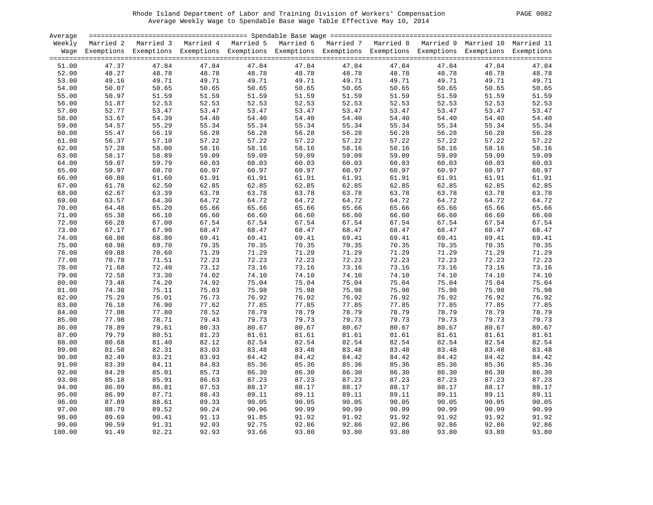# Rhode Island Department of Labor and Training Division of Workers' Compensation PAGE 0082 Average Weekly Wage to Spendable Base Wage Table Effective May 10, 2014

| <b>PAGE</b> | 0082 |
|-------------|------|
|             |      |

| Average |       |                                                                                                                                                                                                                                                                                                                                                                                                                              |       |       |       |       |                                                                                                                                                        |       |       |       |
|---------|-------|------------------------------------------------------------------------------------------------------------------------------------------------------------------------------------------------------------------------------------------------------------------------------------------------------------------------------------------------------------------------------------------------------------------------------|-------|-------|-------|-------|--------------------------------------------------------------------------------------------------------------------------------------------------------|-------|-------|-------|
|         |       | Weekly Married 2 Married 3 Married 4 Married 5 Married 6 Married 7 Married 8 Married 9 Married 10 Married 11                                                                                                                                                                                                                                                                                                                 |       |       |       |       |                                                                                                                                                        |       |       |       |
|         |       | Wage Exemptions Exemptions Exemptions Exemptions Exemptions Exemptions Exemptions Exemptions Exemptions Exemptions                                                                                                                                                                                                                                                                                                           |       |       |       |       |                                                                                                                                                        |       |       |       |
|         |       |                                                                                                                                                                                                                                                                                                                                                                                                                              |       |       |       |       |                                                                                                                                                        |       |       |       |
| 51.00   | 47.37 | 47.84                                                                                                                                                                                                                                                                                                                                                                                                                        | 47.84 | 47.84 | 47.84 | 47.84 | 47.84                                                                                                                                                  | 47.84 | 47.84 | 47.84 |
| 52.00   | 48.27 |                                                                                                                                                                                                                                                                                                                                                                                                                              | 48.78 |       | 48.78 | 48.78 | 48.78                                                                                                                                                  | 48.78 | 48.78 | 48.78 |
| 53.00   | 49.16 |                                                                                                                                                                                                                                                                                                                                                                                                                              | 49.71 |       | 49.71 | 49.71 |                                                                                                                                                        | 49.71 | 49.71 | 49.71 |
| 54.00   | 50.07 |                                                                                                                                                                                                                                                                                                                                                                                                                              | 50.65 |       | 50.65 | 50.65 |                                                                                                                                                        | 50.65 | 50.65 | 50.65 |
| 55.00   | 50.97 |                                                                                                                                                                                                                                                                                                                                                                                                                              | 51.59 |       | 51.59 | 51.59 |                                                                                                                                                        | 51.59 | 51.59 | 51.59 |
| 56.00   | 51.87 | $18.78$<br>$49.71$<br>$50.65$<br>$51.59$<br>$52.53$<br>$47$<br>$54.39$<br>$55.29$<br>$56.10$<br>$58.89$<br>$59.79$<br>$61.60$<br>$62.50$<br>$63.39$<br>$64.30$<br>$65.20$<br>$67.00$<br>$67.90$<br>$68.80$<br>$59.70$<br>$47.84$<br>$48.78$<br>$49.71$<br>$50.65$<br>$51.59$<br>$52.53$<br>$53.47$<br>$54.39$<br>$55.29$<br>$56.19$<br>$57.10$<br>$58.00$<br>$58.89$<br>$59.79$<br>$60.760$<br>$62.50$<br>$63.39$<br>$64.30$ | 52.53 |       | 52.53 | 52.53 | $48.78$<br>$49.71$<br>$50.65$<br>$51.59$<br>$52.53$<br>$53.47$<br>$54.40$<br>$55.34$<br>$56.28$<br>$57.22$<br>$58.16$<br>$59.09$<br>$60.97$<br>$61.91$ | 52.53 | 52.53 | 52.53 |
| 57.00   | 52.77 |                                                                                                                                                                                                                                                                                                                                                                                                                              | 53.47 |       | 53.47 | 53.47 |                                                                                                                                                        | 53.47 | 53.47 | 53.47 |
| 58.00   | 53.67 |                                                                                                                                                                                                                                                                                                                                                                                                                              | 54.40 |       | 54.40 | 54.40 |                                                                                                                                                        | 54.40 | 54.40 | 54.40 |
| 59.00   | 54.57 |                                                                                                                                                                                                                                                                                                                                                                                                                              | 55.34 |       | 55.34 | 55.34 |                                                                                                                                                        | 55.34 | 55.34 | 55.34 |
| 60.00   | 55.47 |                                                                                                                                                                                                                                                                                                                                                                                                                              | 56.28 |       | 56.28 | 56.28 |                                                                                                                                                        | 56.28 | 56.28 | 56.28 |
| 61.00   | 56.37 |                                                                                                                                                                                                                                                                                                                                                                                                                              | 57.22 |       | 57.22 | 57.22 |                                                                                                                                                        | 57.22 | 57.22 | 57.22 |
| 62.00   | 57.28 |                                                                                                                                                                                                                                                                                                                                                                                                                              | 58.16 |       | 58.16 | 58.16 |                                                                                                                                                        | 58.16 | 58.16 | 58.16 |
| 63.00   | 58.17 |                                                                                                                                                                                                                                                                                                                                                                                                                              | 59.09 |       | 59.09 | 59.09 |                                                                                                                                                        | 59.09 | 59.09 | 59.09 |
| 64.00   | 59.07 |                                                                                                                                                                                                                                                                                                                                                                                                                              | 60.03 |       | 60.03 | 60.03 |                                                                                                                                                        | 60.03 | 60.03 | 60.03 |
|         |       |                                                                                                                                                                                                                                                                                                                                                                                                                              |       |       |       |       |                                                                                                                                                        |       |       |       |
| 65.00   | 59.97 |                                                                                                                                                                                                                                                                                                                                                                                                                              | 60.97 |       | 60.97 | 60.97 |                                                                                                                                                        | 60.97 | 60.97 | 60.97 |
| 66.00   | 60.88 |                                                                                                                                                                                                                                                                                                                                                                                                                              | 61.91 |       | 61.91 | 61.91 |                                                                                                                                                        | 61.91 | 61.91 | 61.91 |
| 67.00   | 61.78 |                                                                                                                                                                                                                                                                                                                                                                                                                              | 62.85 |       | 62.85 | 62.85 |                                                                                                                                                        | 62.85 | 62.85 | 62.85 |
| 68.00   | 62.67 |                                                                                                                                                                                                                                                                                                                                                                                                                              | 63.78 |       | 63.78 | 63.78 | $61.91$<br>$61.85$<br>$62.85$<br>$63.78$<br>$64.72$<br>$65.66$<br>$66.60$<br>$67.54$<br>$68.47$<br>$69.41$<br>$70.35$                                  | 63.78 | 63.78 | 63.78 |
| 69.00   | 63.57 |                                                                                                                                                                                                                                                                                                                                                                                                                              | 64.72 |       | 64.72 | 64.72 |                                                                                                                                                        | 64.72 | 64.72 | 64.72 |
| 70.00   | 64.48 |                                                                                                                                                                                                                                                                                                                                                                                                                              | 65.66 |       | 65.66 | 65.66 |                                                                                                                                                        | 65.66 | 65.66 | 65.66 |
| 71.00   | 65.38 |                                                                                                                                                                                                                                                                                                                                                                                                                              | 66.60 |       | 66.60 | 66.60 |                                                                                                                                                        | 66.60 | 66.60 | 66.60 |
| 72.00   | 66.28 |                                                                                                                                                                                                                                                                                                                                                                                                                              | 67.54 |       | 67.54 | 67.54 |                                                                                                                                                        | 67.54 | 67.54 | 67.54 |
| 73.00   | 67.17 |                                                                                                                                                                                                                                                                                                                                                                                                                              | 68.47 |       | 68.47 | 68.47 |                                                                                                                                                        | 68.47 | 68.47 | 68.47 |
| 74.00   | 68.08 |                                                                                                                                                                                                                                                                                                                                                                                                                              | 69.41 |       | 69.41 | 69.41 |                                                                                                                                                        | 69.41 | 69.41 | 69.41 |
| 75.00   | 68.98 |                                                                                                                                                                                                                                                                                                                                                                                                                              | 70.35 |       | 70.35 | 70.35 |                                                                                                                                                        | 70.35 | 70.35 | 70.35 |
| 76.00   | 69.88 | 70.60                                                                                                                                                                                                                                                                                                                                                                                                                        | 71.29 |       | 71.29 | 71.29 | 71.29                                                                                                                                                  | 71.29 | 71.29 | 71.29 |
| 77.00   | 70.78 |                                                                                                                                                                                                                                                                                                                                                                                                                              | 72.23 | 72.23 | 72.23 | 72.23 | 72.23                                                                                                                                                  | 72.23 | 72.23 | 72.23 |
| 78.00   | 71.68 |                                                                                                                                                                                                                                                                                                                                                                                                                              | 73.12 | 73.16 | 73.16 | 73.16 | 73.16                                                                                                                                                  | 73.16 | 73.16 | 73.16 |
| 79.00   | 72.58 |                                                                                                                                                                                                                                                                                                                                                                                                                              | 74.02 | 74.10 | 74.10 | 74.10 | 74.10                                                                                                                                                  | 74.10 | 74.10 | 74.10 |
| 80.00   | 73.48 |                                                                                                                                                                                                                                                                                                                                                                                                                              | 74.92 | 75.04 | 75.04 | 75.04 | 75.04                                                                                                                                                  | 75.04 | 75.04 | 75.04 |
| 81.00   | 74.38 |                                                                                                                                                                                                                                                                                                                                                                                                                              | 75.83 | 75.98 | 75.98 | 75.98 | 75.98                                                                                                                                                  | 75.98 | 75.98 | 75.98 |
| 82.00   | 75.29 |                                                                                                                                                                                                                                                                                                                                                                                                                              | 76.73 | 76.92 | 76.92 | 76.92 | 76.92                                                                                                                                                  | 76.92 | 76.92 | 76.92 |
| 83.00   | 76.18 |                                                                                                                                                                                                                                                                                                                                                                                                                              | 77.62 | 77.85 | 77.85 | 77.85 | 77.85                                                                                                                                                  | 77.85 | 77.85 | 77.85 |
| 84.00   | 77.08 |                                                                                                                                                                                                                                                                                                                                                                                                                              | 78.52 | 78.79 | 78.79 | 78.79 |                                                                                                                                                        | 78.79 | 78.79 | 78.79 |
| 85.00   | 77.98 |                                                                                                                                                                                                                                                                                                                                                                                                                              | 79.43 | 79.73 | 79.73 | 79.73 |                                                                                                                                                        | 79.73 | 79.73 | 79.73 |
| 86.00   | 78.89 | 70.60<br>71.51<br>72.40<br>73.30<br>74.20<br>73.30<br>74.20<br>75.11<br>76.01<br>76.90<br>77.78<br>78.71<br>79.61<br>80.51<br>81.40<br>82.31<br>83.21<br>83.11<br>83.11<br>83.11<br>83.11<br>83.11<br>84.10<br>84.11<br>84.11<br>84.11<br>85.11<br>84.11<br>85.11<br>85.11<br>85.11<br>85.11<br>85.11<br>85.11<br>85.11<br>85.11<br>85.11<br>                                                                                | 80.33 | 80.67 | 80.67 | 80.67 | $78.79$<br>$79.73$<br>$80.67$<br>$81.61$<br>$82.54$<br>$23.48$                                                                                         | 80.67 | 80.67 | 80.67 |
| 87.00   | 79.79 |                                                                                                                                                                                                                                                                                                                                                                                                                              | 81.23 | 81.61 | 81.61 | 81.61 |                                                                                                                                                        | 81.61 | 81.61 | 81.61 |
| 88.00   | 80.68 |                                                                                                                                                                                                                                                                                                                                                                                                                              | 82.12 | 82.54 | 82.54 | 82.54 |                                                                                                                                                        | 82.54 | 82.54 | 82.54 |
| 89.00   | 81.58 |                                                                                                                                                                                                                                                                                                                                                                                                                              | 83.03 | 83.48 | 83.48 | 83.48 | 83.48                                                                                                                                                  | 83.48 | 83.48 | 83.48 |
| 90.00   | 82.49 |                                                                                                                                                                                                                                                                                                                                                                                                                              | 83.93 | 84.42 | 84.42 | 84.42 | 84.42                                                                                                                                                  | 84.42 | 84.42 | 84.42 |
| 91.00   | 83.39 |                                                                                                                                                                                                                                                                                                                                                                                                                              | 84.83 | 85.36 | 85.36 | 85.36 | 85.36                                                                                                                                                  | 85.36 | 85.36 | 85.36 |
| 92.00   | 84.29 |                                                                                                                                                                                                                                                                                                                                                                                                                              | 85.73 | 86.30 | 86.30 | 86.30 | 86.30                                                                                                                                                  | 86.30 | 86.30 | 86.30 |
| 93.00   | 85.18 |                                                                                                                                                                                                                                                                                                                                                                                                                              | 86.63 | 87.23 | 87.23 | 87.23 | 87.23                                                                                                                                                  | 87.23 | 87.23 | 87.23 |
| 94.00   | 86.09 |                                                                                                                                                                                                                                                                                                                                                                                                                              | 87.53 | 88.17 | 88.17 | 88.17 | 88.17                                                                                                                                                  | 88.17 | 88.17 | 88.17 |
| 95.00   | 86.99 | 87.71                                                                                                                                                                                                                                                                                                                                                                                                                        | 88.43 | 89.11 | 89.11 | 89.11 | 89.11                                                                                                                                                  | 89.11 | 89.11 | 89.11 |
| 96.00   | 87.89 | 88.61                                                                                                                                                                                                                                                                                                                                                                                                                        | 89.33 | 90.05 | 90.05 | 90.05 | 90.05                                                                                                                                                  | 90.05 | 90.05 | 90.05 |
| 97.00   | 88.79 | 89.52                                                                                                                                                                                                                                                                                                                                                                                                                        | 90.24 | 90.96 | 90.99 | 90.99 | 90.99                                                                                                                                                  | 90.99 | 90.99 | 90.99 |
| 98.00   | 89.69 | 90.41                                                                                                                                                                                                                                                                                                                                                                                                                        | 91.13 | 91.85 | 91.92 | 91.92 | 91.92                                                                                                                                                  | 91.92 | 91.92 | 91.92 |
| 99.00   | 90.59 | 91.31                                                                                                                                                                                                                                                                                                                                                                                                                        | 92.03 | 92.75 | 92.86 | 92.86 | 92.86                                                                                                                                                  | 92.86 | 92.86 | 92.86 |
| 100.00  | 91.49 | 92.21                                                                                                                                                                                                                                                                                                                                                                                                                        | 92.93 | 93.66 | 93.80 | 93.80 | 93.80                                                                                                                                                  | 93.80 | 93.80 | 93.80 |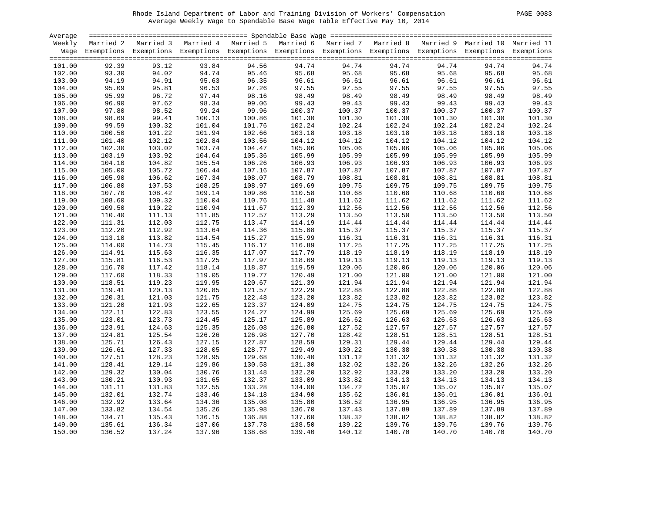# Rhode Island Department of Labor and Training Division of Workers' Compensation PAGE 0083 Average Weekly Wage to Spendable Base Wage Table Effective May 10, 2014

| <b>PAGE</b> | 0083 |
|-------------|------|
|             |      |

| Average |                |                                                                                                                    |                  |        |        |        |        |        |        |        |
|---------|----------------|--------------------------------------------------------------------------------------------------------------------|------------------|--------|--------|--------|--------|--------|--------|--------|
| Weekly  |                | Married 2 Married 3 Married 4 Married 5 Married 6 Married 7 Married 8 Married 9 Married 10 Married 11              |                  |        |        |        |        |        |        |        |
|         |                | Wage Exemptions Exemptions Exemptions Exemptions Exemptions Exemptions Exemptions Exemptions Exemptions Exemptions |                  |        |        |        |        |        |        |        |
|         |                |                                                                                                                    |                  |        |        |        |        |        |        |        |
| 101.00  | 92.39          | 93.12                                                                                                              | 93.84            | 94.56  | 94.74  | 94.74  | 94.74  | 94.74  | 94.74  | 94.74  |
| 102.00  | 93.30          | 94.02                                                                                                              | 94.74            | 95.46  | 95.68  | 95.68  | 95.68  | 95.68  | 95.68  | 95.68  |
| 103.00  | 94.19          | 94.91                                                                                                              | 95.63            | 96.35  | 96.61  | 96.61  | 96.61  | 96.61  | 96.61  | 96.61  |
| 104.00  | 95.09          | 95.81                                                                                                              | 96.53            | 97.26  | 97.55  | 97.55  | 97.55  | 97.55  | 97.55  | 97.55  |
| 105.00  | 95.99          | 96.72                                                                                                              | 97.44            | 98.16  | 98.49  | 98.49  | 98.49  | 98.49  | 98.49  | 98.49  |
| 106.00  | 96.90          | 97.62                                                                                                              | 98.34            | 99.06  | 99.43  | 99.43  | 99.43  | 99.43  | 99.43  | 99.43  |
| 107.00  | 97.80<br>98.69 | 98.52                                                                                                              | 99.24            | 99.96  | 100.37 | 100.37 | 100.37 | 100.37 | 100.37 | 100.37 |
| 108.00  |                | 99.41                                                                                                              | 100.13           | 100.86 | 101.30 | 101.30 | 101.30 | 101.30 | 101.30 | 101.30 |
| 109.00  | 99.59          | 100.32                                                                                                             | 101.04           | 101.76 | 102.24 | 102.24 | 102.24 | 102.24 | 102.24 | 102.24 |
| 110.00  | 100.50         | 101.22                                                                                                             | 101.94           | 102.66 | 103.18 | 103.18 | 103.18 | 103.18 | 103.18 | 103.18 |
| 111.00  | 101.40         | 102.12                                                                                                             | 102.84           | 103.56 | 104.12 | 104.12 | 104.12 | 104.12 | 104.12 | 104.12 |
| 112.00  | 102.30         | 103.02                                                                                                             | 103.74           | 104.47 | 105.06 | 105.06 | 105.06 | 105.06 | 105.06 | 105.06 |
| 113.00  | 103.19         | 103.92                                                                                                             | 104.64           | 105.36 | 105.99 | 105.99 | 105.99 | 105.99 | 105.99 | 105.99 |
| 114.00  | 104.10         | 104.82                                                                                                             | 105.54           | 106.26 | 106.93 | 106.93 | 106.93 | 106.93 | 106.93 | 106.93 |
| 115.00  | 105.00         | 105.72                                                                                                             | 106.44           | 107.16 | 107.87 | 107.87 | 107.87 | 107.87 | 107.87 | 107.87 |
| 116.00  | 105.90         | 106.62                                                                                                             | 107.34           | 108.07 | 108.79 | 108.81 | 108.81 | 108.81 | 108.81 | 108.81 |
| 117.00  | 106.80         | 107.53                                                                                                             | 108.25           | 108.97 | 109.69 | 109.75 | 109.75 | 109.75 | 109.75 | 109.75 |
| 118.00  | 107.70         | 108.42                                                                                                             | 109.14           | 109.86 | 110.58 | 110.68 | 110.68 | 110.68 | 110.68 | 110.68 |
| 119.00  | 108.60         | 109.32                                                                                                             | 110.04           | 110.76 | 111.48 | 111.62 | 111.62 | 111.62 | 111.62 | 111.62 |
| 120.00  | 109.50         | 110.22                                                                                                             | 110.94           | 111.67 | 112.39 | 112.56 | 112.56 | 112.56 | 112.56 | 112.56 |
| 121.00  | 110.40         | 111.13                                                                                                             | 111.85           | 112.57 | 113.29 | 113.50 | 113.50 | 113.50 | 113.50 | 113.50 |
| 122.00  | 111.31         | 112.03                                                                                                             | 112.75<br>113.64 | 113.47 | 114.19 | 114.44 | 114.44 | 114.44 | 114.44 | 114.44 |
| 123.00  | 112.20         | 112.92                                                                                                             |                  | 114.36 | 115.08 | 115.37 | 115.37 | 115.37 | 115.37 | 115.37 |
| 124.00  | 113.10         | 113.82                                                                                                             | 114.54           | 115.27 | 115.99 | 116.31 | 116.31 | 116.31 | 116.31 | 116.31 |
| 125.00  | 114.00         | 114.73                                                                                                             | 115.45           | 116.17 | 116.89 | 117.25 | 117.25 | 117.25 | 117.25 | 117.25 |
| 126.00  | 114.91         | 115.63                                                                                                             | 116.35           | 117.07 | 117.79 | 118.19 | 118.19 | 118.19 | 118.19 | 118.19 |
| 127.00  | 115.81         | 116.53                                                                                                             | 117.25           | 117.97 | 118.69 | 119.13 | 119.13 | 119.13 | 119.13 | 119.13 |
| 128.00  | 116.70         | 117.42                                                                                                             | 118.14           | 118.87 | 119.59 | 120.06 | 120.06 | 120.06 | 120.06 | 120.06 |
| 129.00  | 117.60         | 118.33                                                                                                             | 119.05           | 119.77 | 120.49 | 121.00 | 121.00 | 121.00 | 121.00 | 121.00 |
| 130.00  | 118.51         | 119.23                                                                                                             | 119.95           | 120.67 | 121.39 | 121.94 | 121.94 | 121.94 | 121.94 | 121.94 |
| 131.00  | 119.41         | 120.13                                                                                                             | 120.85           | 121.57 | 122.29 | 122.88 | 122.88 | 122.88 | 122.88 | 122.88 |
| 132.00  | 120.31         | 121.03                                                                                                             | 121.75           | 122.48 | 123.20 | 123.82 | 123.82 | 123.82 | 123.82 | 123.82 |
| 133.00  | 121.20         | 121.93                                                                                                             | 122.65           | 123.37 | 124.09 | 124.75 | 124.75 | 124.75 | 124.75 | 124.75 |
| 134.00  | 122.11         | 122.83                                                                                                             | 123.55           | 124.27 | 124.99 | 125.69 | 125.69 | 125.69 | 125.69 | 125.69 |
| 135.00  | 123.01         | 123.73                                                                                                             | 124.45           | 125.17 | 125.89 | 126.62 | 126.63 | 126.63 | 126.63 | 126.63 |
| 136.00  | 123.91         | 124.63                                                                                                             | 125.35           | 126.08 | 126.80 | 127.52 | 127.57 | 127.57 | 127.57 | 127.57 |
| 137.00  | 124.81         | 125.54                                                                                                             | 126.26           | 126.98 | 127.70 | 128.42 | 128.51 | 128.51 | 128.51 | 128.51 |
| 138.00  | 125.71         | 126.43                                                                                                             | 127.15           | 127.87 | 128.59 | 129.31 | 129.44 | 129.44 | 129.44 | 129.44 |
| 139.00  | 126.61         | 127.33                                                                                                             | 128.05           | 128.77 | 129.49 | 130.22 | 130.38 | 130.38 | 130.38 | 130.38 |
| 140.00  | 127.51         | 128.23                                                                                                             | 128.95           | 129.68 | 130.40 | 131.12 | 131.32 | 131.32 | 131.32 | 131.32 |
| 141.00  | 128.41         | 129.14                                                                                                             | 129.86           | 130.58 | 131.30 | 132.02 | 132.26 | 132.26 | 132.26 | 132.26 |
| 142.00  | 129.32         | 130.04                                                                                                             | 130.76           | 131.48 | 132.20 | 132.92 | 133.20 | 133.20 | 133.20 | 133.20 |
| 143.00  | 130.21         | 130.93                                                                                                             | 131.65           | 132.37 | 133.09 | 133.82 | 134.13 | 134.13 | 134.13 | 134.13 |
| 144.00  | 131.11         | 131.83                                                                                                             | 132.55           | 133.28 | 134.00 | 134.72 | 135.07 | 135.07 | 135.07 | 135.07 |
| 145.00  | 132.01         | 132.74                                                                                                             | 133.46           | 134.18 | 134.90 | 135.62 | 136.01 | 136.01 | 136.01 | 136.01 |
| 146.00  | 132.92         | 133.64                                                                                                             | 134.36           | 135.08 | 135.80 | 136.52 | 136.95 | 136.95 | 136.95 | 136.95 |
| 147.00  | 133.82         | 134.54                                                                                                             | 135.26           | 135.98 | 136.70 | 137.43 | 137.89 | 137.89 | 137.89 | 137.89 |
| 148.00  | 134.71         | 135.43                                                                                                             | 136.15           | 136.88 | 137.60 | 138.32 | 138.82 | 138.82 | 138.82 | 138.82 |
| 149.00  | 135.61         | 136.34                                                                                                             | 137.06           | 137.78 | 138.50 | 139.22 | 139.76 | 139.76 | 139.76 | 139.76 |
| 150.00  | 136.52         | 137.24                                                                                                             | 137.96           | 138.68 | 139.40 | 140.12 | 140.70 | 140.70 | 140.70 | 140.70 |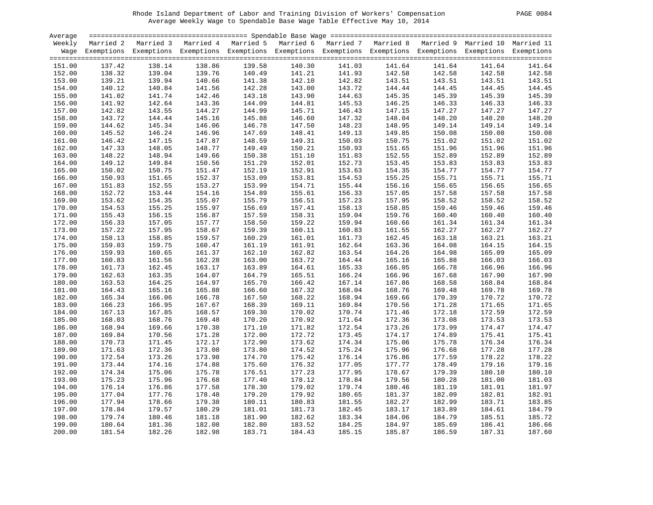| PAGE | 0084 |
|------|------|
|------|------|

| Average |                  |                                                                                                                    |                                              |                  |        |        |        |        |        |                  |
|---------|------------------|--------------------------------------------------------------------------------------------------------------------|----------------------------------------------|------------------|--------|--------|--------|--------|--------|------------------|
| Weekly  |                  | Married 2 Married 3 Married 4 Married 5 Married 6 Married 7 Married 8 Married 9 Married 10 Married 11              |                                              |                  |        |        |        |        |        |                  |
|         |                  | Wage Exemptions Exemptions Exemptions Exemptions Exemptions Exemptions Exemptions Exemptions Exemptions Exemptions |                                              |                  |        |        |        |        |        |                  |
|         |                  |                                                                                                                    |                                              |                  |        |        |        |        |        |                  |
| 151.00  | 137.42           | 138.14                                                                                                             | 138.86                                       | 139.58           | 140.30 | 141.03 | 141.64 | 141.64 | 141.64 | 141.64           |
| 152.00  | 138.32           | 139.04                                                                                                             |                                              | 140.49           | 141.21 | 141.93 | 142.58 | 142.58 | 142.58 | 142.58           |
| 153.00  | 139.21           | 139.94                                                                                                             |                                              | 141.38           | 142.10 | 142.82 | 143.51 | 143.51 | 143.51 | 143.51           |
| 154.00  | 140.12           | 140.84                                                                                                             |                                              | 142.28           | 143.00 | 143.72 | 144.44 | 144.45 | 144.45 | 144.45           |
| 155.00  | 140.12<br>141.02 | 141.74                                                                                                             | $139.76$<br>$140.66$<br>$141.56$<br>$142.46$ | 143.18           | 143.90 | 144.63 | 145.35 | 145.39 | 145.39 | 145.39           |
| 156.00  | 141.92           | 142.64                                                                                                             | 143.36                                       | 144.09           | 144.81 | 145.53 | 146.25 | 146.33 | 146.33 | 146.33           |
| 157.00  | 142.82           | 143.55                                                                                                             | 144.27                                       | 144.99           | 145.71 | 146.43 | 147.15 | 147.27 | 147.27 | 147.27           |
| 158.00  | 143.72           | 144.44                                                                                                             | 145.16                                       | 145.88           | 146.60 | 147.32 | 148.04 | 148.20 | 148.20 | 148.20           |
| 159.00  | 144.62           | 145.34                                                                                                             | 146.06                                       | 146.78           | 147.50 | 148.23 | 148.95 | 149.14 | 149.14 | 149.14           |
| 160.00  | 145.52           | 146.24                                                                                                             | 146.96                                       | 147.69           | 148.41 | 149.13 | 149.85 | 150.08 | 150.08 | 150.08           |
| 161.00  | 146.42           | 147.15                                                                                                             | 147.87                                       | 148.59           | 149.31 | 150.03 | 150.75 | 151.02 | 151.02 | 151.02           |
| 162.00  | 147.33           | 148.05                                                                                                             | 148.77                                       | 149.49           | 150.21 | 150.93 | 151.65 | 151.96 | 151.96 | 151.96           |
| 163.00  | 148.22           | 148.94                                                                                                             | 149.66                                       | 150.38           | 151.10 | 151.83 | 152.55 | 152.89 | 152.89 | 152.89           |
| 164.00  | 149.12           | 149.84                                                                                                             | 150.56                                       | 151.29           | 152.01 | 152.73 | 153.45 | 153.83 | 153.83 | 153.83           |
| 165.00  | 150.02           | 150.75                                                                                                             | 151.47                                       | 152.19           | 152.91 | 153.63 | 154.35 | 154.77 | 154.77 | 154.77           |
| 166.00  | 150.93           | 151.65                                                                                                             | 152.37                                       | 153.09           | 153.81 | 154.53 | 155.25 | 155.71 | 155.71 | 155.71           |
| 167.00  | 151.83           | 152.55                                                                                                             |                                              | 153.99           | 154.71 | 155.44 | 156.16 | 156.65 | 156.65 | 156.65           |
| 168.00  | 152.72           | 153.44                                                                                                             | $153.27$<br>153.27                           | 154.89           | 155.61 | 156.33 | 157.05 | 157.58 | 157.58 | 157.58           |
| 169.00  | 153.62           | 154.35                                                                                                             | 155.07                                       | 155.79           | 156.51 | 157.23 | 157.95 | 158.52 | 158.52 | 158.52           |
| 170.00  | 154.53           | 155.25                                                                                                             | 155.97                                       | 156.69           | 157.41 | 158.13 | 158.85 | 159.46 | 159.46 | 159.46           |
| 171.00  | 155.43           | 156.15                                                                                                             | 156.87                                       | 157.59           | 158.31 | 159.04 | 159.76 | 160.40 | 160.40 | 160.40           |
| 172.00  | 156.33           | 157.05                                                                                                             | 157.77                                       | 158.50           | 159.22 | 159.94 | 160.66 | 161.34 | 161.34 | 161.34           |
| 173.00  | 157.22           | 157.95                                                                                                             | 158.67                                       | 159.39           | 160.11 | 160.83 | 161.55 | 162.27 | 162.27 | 162.27           |
|         | 158.13           | 158.85                                                                                                             | 159.57                                       | 160.29           |        | 161.73 | 162.45 |        | 163.21 | 163.21           |
| 174.00  |                  |                                                                                                                    |                                              |                  | 161.01 |        |        | 163.18 |        |                  |
| 175.00  | 159.03           | 159.75                                                                                                             | 160.47<br>161.37                             | 161.19<br>162.10 | 161.91 | 162.64 | 163.36 | 164.08 | 164.15 | 164.15<br>165.09 |
| 176.00  | 159.93           | 160.65                                                                                                             | 161.37                                       |                  | 162.82 | 163.54 | 164.26 | 164.98 | 165.09 |                  |
| 177.00  | 160.83           | 161.56                                                                                                             | 162.28                                       | 163.00           | 163.72 | 164.44 | 165.16 | 165.88 | 166.03 | 166.03           |
| 178.00  | 161.73           | 162.45                                                                                                             | 163.17                                       | 163.89           | 164.61 | 165.33 | 166.05 | 166.78 | 166.96 | 166.96           |
| 179.00  | 162.63           | 163.35                                                                                                             | 164.07                                       | 164.79           | 165.51 | 166.24 | 166.96 | 167.68 | 167.90 | 167.90           |
| 180.00  | 163.53           | 164.25                                                                                                             | 164.97                                       | 165.70           | 166.42 | 167.14 | 167.86 | 168.58 | 168.84 | 168.84           |
| 181.00  | 164.43           | 165.16                                                                                                             | 165.88                                       | 166.60           | 167.32 | 168.04 | 168.76 | 169.48 | 169.78 | 169.78           |
| 182.00  | 165.34           | 166.06                                                                                                             | 166.78                                       | 167.50           | 168.22 | 168.94 | 169.66 | 170.39 | 170.72 | 170.72           |
| 183.00  | 166.23           | 166.95                                                                                                             | 167.67                                       | 168.39           | 169.11 | 169.84 | 170.56 | 171.28 | 171.65 | 171.65           |
| 184.00  | 167.13           | 167.85                                                                                                             | 168.57                                       | 169.30           | 170.02 | 170.74 | 171.46 | 172.18 | 172.59 | 172.59           |
| 185.00  | 168.03           | 168.76                                                                                                             | 169.48<br>170.38                             | 170.20           | 170.92 | 171.64 | 172.36 | 173.08 | 173.53 | 173.53           |
| 186.00  | 168.94           | 169.66                                                                                                             |                                              | 171.10           | 171.82 | 172.54 | 173.26 | 173.99 | 174.47 | 174.47           |
| 187.00  | 169.84           | 170.56                                                                                                             | 171.28                                       | 172.00           | 172.72 | 173.45 | 174.17 | 174.89 | 175.41 | 175.41           |
| 188.00  | 170.73           | 171.45                                                                                                             | 172.17                                       | 172.90           | 173.62 | 174.34 | 175.06 | 175.78 | 176.34 | 176.34           |
| 189.00  | 171.63           | 172.36                                                                                                             | 173.08                                       | 173.80           | 174.52 | 175.24 | 175.96 | 176.68 | 177.28 | 177.28           |
| 190.00  | 172.54           | 173.26                                                                                                             | 173.98                                       | 174.70           | 175.42 | 176.14 | 176.86 | 177.59 | 178.22 | 178.22           |
| 191.00  | 173.44           | 174.16                                                                                                             | 174.88                                       | 175.60           | 176.32 | 177.05 | 177.77 | 178.49 | 179.16 | 179.16           |
| 192.00  | 174.34           | 175.06                                                                                                             | 175.78                                       | 176.51           | 177.23 | 177.95 | 178.67 | 179.39 | 180.10 | 180.10           |
| 193.00  | 175.23           | 175.96                                                                                                             | 176.68                                       | 177.40           | 178.12 | 178.84 | 179.56 | 180.28 | 181.00 | 181.03           |
| 194.00  | 176.14           | 176.86                                                                                                             | 177.58                                       | 178.30           | 179.02 | 179.74 | 180.46 | 181.19 | 181.91 | 181.97           |
| 195.00  | 177.04           | 177.76                                                                                                             | 178.48                                       | 179.20           | 179.92 | 180.65 | 181.37 | 182.09 | 182.81 | 182.91           |
| 196.00  | 177.94           | 178.66                                                                                                             | 179.38                                       | 180.11           | 180.83 | 181.55 | 182.27 | 182.99 | 183.71 | 183.85           |
| 197.00  | 178.84           | 179.57                                                                                                             | 180.29                                       | 181.01           | 181.73 | 182.45 | 183.17 | 183.89 | 184.61 | 184.79           |
| 198.00  | 179.74           | 180.46                                                                                                             | 181.18                                       | 181.90           | 182.62 | 183.34 | 184.06 | 184.79 | 185.51 | 185.72           |
| 199.00  | 180.64           | 181.36                                                                                                             | 182.08                                       | 182.80           | 183.52 | 184.25 | 184.97 | 185.69 | 186.41 | 186.66           |
| 200.00  | 181.54           | 182.26                                                                                                             | 182.98                                       | 183.71           | 184.43 | 185.15 | 185.87 | 186.59 | 187.31 | 187.60           |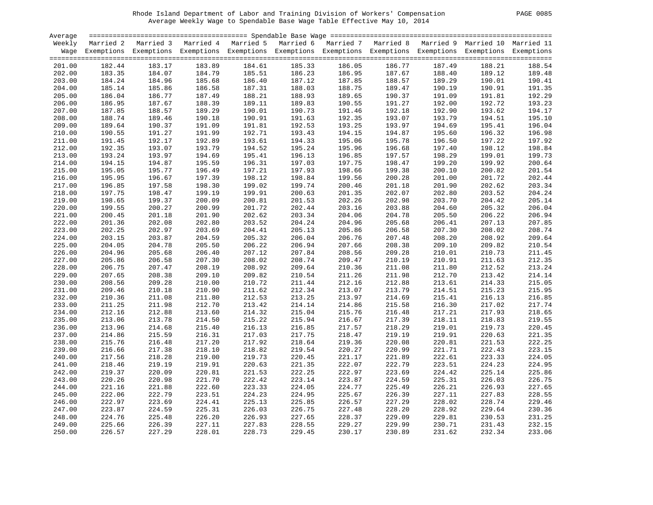| PAGE | 0085 |
|------|------|
|      |      |

| Average          |        |                                                                                                                    |        |        |        |        |        |        |        |        |
|------------------|--------|--------------------------------------------------------------------------------------------------------------------|--------|--------|--------|--------|--------|--------|--------|--------|
| Weekly           |        | Married 2 Married 3 Married 4 Married 5 Married 6 Married 7 Married 8 Married 9 Married 10 Married 11              |        |        |        |        |        |        |        |        |
|                  |        | Wage Exemptions Exemptions Exemptions Exemptions Exemptions Exemptions Exemptions Exemptions Exemptions Exemptions |        |        |        |        |        |        |        |        |
|                  |        |                                                                                                                    |        |        |        |        |        |        |        |        |
| 201.00           | 182.44 | 183.17                                                                                                             | 183.89 | 184.61 | 185.33 | 186.05 | 186.77 | 187.49 | 188.21 | 188.54 |
| 202.00           | 183.35 | 184.07                                                                                                             | 184.79 | 185.51 | 186.23 | 186.95 | 187.67 | 188.40 | 189.12 | 189.48 |
| 203.00           | 184.24 | 184.96                                                                                                             | 185.68 | 186.40 | 187.12 | 187.85 | 188.57 | 189.29 | 190.01 | 190.41 |
| 204.00           | 185.14 | 185.86                                                                                                             | 186.58 | 187.31 | 188.03 | 188.75 | 189.47 | 190.19 | 190.91 | 191.35 |
| 205.00           | 186.04 | 186.77                                                                                                             | 187.49 | 188.21 | 188.93 | 189.65 | 190.37 | 191.09 | 191.81 | 192.29 |
| 206.00           | 186.95 | 187.67                                                                                                             | 188.39 | 189.11 | 189.83 | 190.55 | 191.27 | 192.00 | 192.72 | 193.23 |
| 207.00           | 187.85 | 188.57                                                                                                             | 189.29 | 190.01 | 190.73 | 191.46 | 192.18 | 192.90 | 193.62 | 194.17 |
| 208.00           | 188.74 | 189.46                                                                                                             | 190.18 | 190.91 | 191.63 | 192.35 | 193.07 | 193.79 | 194.51 | 195.10 |
| 209.00           | 189.64 | 190.37                                                                                                             | 191.09 | 191.81 | 192.53 | 193.25 | 193.97 | 194.69 | 195.41 | 196.04 |
| 210.00           | 190.55 | 191.27                                                                                                             | 191.99 | 192.71 | 193.43 | 194.15 | 194.87 | 195.60 | 196.32 | 196.98 |
| 211.00           | 191.45 | 192.17                                                                                                             | 192.89 | 193.61 | 194.33 | 195.06 | 195.78 | 196.50 | 197.22 | 197.92 |
| 212.00           | 192.35 | 193.07                                                                                                             | 193.79 | 194.52 | 195.24 | 195.96 | 196.68 | 197.40 | 198.12 | 198.84 |
| 213.00           | 193.24 | 193.97                                                                                                             | 194.69 | 195.41 | 196.13 | 196.85 | 197.57 | 198.29 | 199.01 | 199.73 |
| 214.00           | 194.15 | 194.87                                                                                                             | 195.59 | 196.31 | 197.03 | 197.75 | 198.47 | 199.20 | 199.92 | 200.64 |
| 215.00           | 195.05 | 195.77                                                                                                             | 196.49 | 197.21 | 197.93 | 198.66 | 199.38 | 200.10 | 200.82 | 201.54 |
| 216.00           | 195.95 | 196.67                                                                                                             | 197.39 | 198.12 | 198.84 | 199.56 | 200.28 | 201.00 | 201.72 | 202.44 |
| 217.00           | 196.85 | 197.58                                                                                                             | 198.30 | 199.02 | 199.74 | 200.46 | 201.18 | 201.90 | 202.62 | 203.34 |
| 218.00           | 197.75 | 198.47                                                                                                             | 199.19 | 199.91 | 200.63 | 201.35 | 202.07 | 202.80 | 203.52 | 204.24 |
| 219.00           | 198.65 | 199.37                                                                                                             | 200.09 | 200.81 | 201.53 | 202.26 | 202.98 | 203.70 | 204.42 | 205.14 |
| 220.00           | 199.55 | 200.27                                                                                                             | 200.99 | 201.72 | 202.44 | 203.16 | 203.88 | 204.60 | 205.32 | 206.04 |
| 221.00           | 200.45 | 201.18                                                                                                             | 201.90 | 202.62 | 203.34 | 204.06 | 204.78 | 205.50 | 206.22 | 206.94 |
| 222.00           | 201.36 | 202.08                                                                                                             | 202.80 | 203.52 | 204.24 | 204.96 | 205.68 | 206.41 | 207.13 | 207.85 |
| 223.00           | 202.25 | 202.97                                                                                                             | 203.69 | 204.41 | 205.13 | 205.86 | 206.58 | 207.30 | 208.02 | 208.74 |
|                  | 203.15 | 203.87                                                                                                             | 204.59 | 205.32 | 206.04 | 206.76 | 207.48 | 208.20 | 208.92 | 209.64 |
| 224.00<br>225.00 | 204.05 | 204.78                                                                                                             | 205.50 | 206.22 | 206.94 | 207.66 | 208.38 | 209.10 | 209.82 | 210.54 |
|                  |        |                                                                                                                    |        |        |        |        |        |        |        |        |
| 226.00           | 204.96 | 205.68                                                                                                             | 206.40 | 207.12 | 207.84 | 208.56 | 209.28 | 210.01 | 210.73 | 211.45 |
| 227.00           | 205.86 | 206.58                                                                                                             | 207.30 | 208.02 | 208.74 | 209.47 | 210.19 | 210.91 | 211.63 | 212.35 |
| 228.00           | 206.75 | 207.47                                                                                                             | 208.19 | 208.92 | 209.64 | 210.36 | 211.08 | 211.80 | 212.52 | 213.24 |
| 229.00           | 207.65 | 208.38                                                                                                             | 209.10 | 209.82 | 210.54 | 211.26 | 211.98 | 212.70 | 213.42 | 214.14 |
| 230.00           | 208.56 | 209.28                                                                                                             | 210.00 | 210.72 | 211.44 | 212.16 | 212.88 | 213.61 | 214.33 | 215.05 |
| 231.00           | 209.46 | 210.18                                                                                                             | 210.90 | 211.62 | 212.34 | 213.07 | 213.79 | 214.51 | 215.23 | 215.95 |
| 232.00           | 210.36 | 211.08                                                                                                             | 211.80 | 212.53 | 213.25 | 213.97 | 214.69 | 215.41 | 216.13 | 216.85 |
| 233.00           | 211.25 | 211.98                                                                                                             | 212.70 | 213.42 | 214.14 | 214.86 | 215.58 | 216.30 | 217.02 | 217.74 |
| 234.00           | 212.16 | 212.88                                                                                                             | 213.60 | 214.32 | 215.04 | 215.76 | 216.48 | 217.21 | 217.93 | 218.65 |
| 235.00           | 213.06 | 213.78                                                                                                             | 214.50 | 215.22 | 215.94 | 216.67 | 217.39 | 218.11 | 218.83 | 219.55 |
| 236.00           | 213.96 | 214.68                                                                                                             | 215.40 | 216.13 | 216.85 | 217.57 | 218.29 | 219.01 | 219.73 | 220.45 |
| 237.00           | 214.86 | 215.59                                                                                                             | 216.31 | 217.03 | 217.75 | 218.47 | 219.19 | 219.91 | 220.63 | 221.35 |
| 238.00           | 215.76 | 216.48                                                                                                             | 217.20 | 217.92 | 218.64 | 219.36 | 220.08 | 220.81 | 221.53 | 222.25 |
| 239.00           | 216.66 | 217.38                                                                                                             | 218.10 | 218.82 | 219.54 | 220.27 | 220.99 | 221.71 | 222.43 | 223.15 |
| 240.00           | 217.56 | 218.28                                                                                                             | 219.00 | 219.73 | 220.45 | 221.17 | 221.89 | 222.61 | 223.33 | 224.05 |
| 241.00           | 218.46 | 219.19                                                                                                             | 219.91 | 220.63 | 221.35 | 222.07 | 222.79 | 223.51 | 224.23 | 224.95 |
| 242.00           | 219.37 | 220.09                                                                                                             | 220.81 | 221.53 | 222.25 | 222.97 | 223.69 | 224.42 | 225.14 | 225.86 |
| 243.00           | 220.26 | 220.98                                                                                                             | 221.70 | 222.42 | 223.14 | 223.87 | 224.59 | 225.31 | 226.03 | 226.75 |
| 244.00           | 221.16 | 221.88                                                                                                             | 222.60 | 223.33 | 224.05 | 224.77 | 225.49 | 226.21 | 226.93 | 227.65 |
| 245.00           | 222.06 | 222.79                                                                                                             | 223.51 | 224.23 | 224.95 | 225.67 | 226.39 | 227.11 | 227.83 | 228.55 |
| 246.00           | 222.97 | 223.69                                                                                                             | 224.41 | 225.13 | 225.85 | 226.57 | 227.29 | 228.02 | 228.74 | 229.46 |
| 247.00           | 223.87 | 224.59                                                                                                             | 225.31 | 226.03 | 226.75 | 227.48 | 228.20 | 228.92 | 229.64 | 230.36 |
| 248.00           | 224.76 | 225.48                                                                                                             | 226.20 | 226.93 | 227.65 | 228.37 | 229.09 | 229.81 | 230.53 | 231.25 |
| 249.00           | 225.66 | 226.39                                                                                                             | 227.11 | 227.83 | 228.55 | 229.27 | 229.99 | 230.71 | 231.43 | 232.15 |
| 250.00           | 226.57 | 227.29                                                                                                             | 228.01 | 228.73 | 229.45 | 230.17 | 230.89 | 231.62 | 232.34 | 233.06 |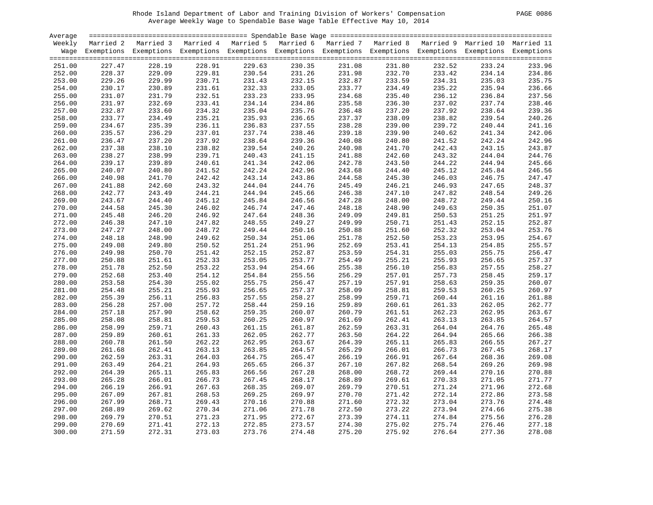| Average |        |                                                                                                                    |        |                  |                  |        |                  |        |                  |        |
|---------|--------|--------------------------------------------------------------------------------------------------------------------|--------|------------------|------------------|--------|------------------|--------|------------------|--------|
| Weekly  |        | Married 2 Married 3 Married 4 Married 5 Married 6 Married 7 Married 8 Married 9 Married 10 Married 11              |        |                  |                  |        |                  |        |                  |        |
|         |        | Wage Exemptions Exemptions Exemptions Exemptions Exemptions Exemptions Exemptions Exemptions Exemptions Exemptions |        |                  |                  |        |                  |        |                  |        |
|         |        |                                                                                                                    |        |                  |                  |        |                  |        |                  |        |
| 251.00  | 227.47 | 228.19                                                                                                             | 228.91 | 229.63           | 230.35           | 231.08 | 231.80           | 232.52 | 233.24           | 233.96 |
| 252.00  | 228.37 | 229.09                                                                                                             | 229.81 | 230.54           | 231.26           | 231.98 | 232.70           | 233.42 | 234.14           | 234.86 |
| 253.00  | 229.26 | 229.99                                                                                                             | 230.71 | 231.43           | 232.15           | 232.87 | 233.59           | 234.31 | 235.03           | 235.75 |
| 254.00  | 230.17 | 230.89                                                                                                             | 231.61 | 232.33           | 233.05           | 233.77 | 234.49           | 235.22 | 235.94           | 236.66 |
| 255.00  | 231.07 | 231.79                                                                                                             | 232.51 | 233.23           | 233.95           | 234.68 | 235.40           | 236.12 | 236.84           | 237.56 |
| 256.00  | 231.97 | 232.69                                                                                                             | 233.41 | 234.14           | 234.86           | 235.58 | 236.30           | 237.02 | 237.74           | 238.46 |
| 257.00  | 232.87 | 233.60                                                                                                             | 234.32 | 235.04           | 235.76           | 236.48 | 237.20           | 237.92 | 238.64           | 239.36 |
| 258.00  | 233.77 | 234.49                                                                                                             | 235.21 | 235.93           | 236.65           | 237.37 | 238.09           | 238.82 | 239.54           | 240.26 |
| 259.00  | 234.67 | 235.39                                                                                                             | 236.11 | 236.83           | 237.55           | 238.28 | 239.00           | 239.72 | 240.44           | 241.16 |
| 260.00  | 235.57 | 236.29                                                                                                             | 237.01 | 237.74           | 238.46           | 239.18 | 239.90           | 240.62 | 241.34           | 242.06 |
| 261.00  | 236.47 | 237.20                                                                                                             | 237.92 | 238.64           | 239.36           | 240.08 | 240.80           | 241.52 | 242.24           | 242.96 |
|         |        |                                                                                                                    |        |                  |                  |        |                  |        |                  |        |
| 262.00  | 237.38 | 238.10<br>238.99                                                                                                   | 238.82 | 239.54<br>240.43 | 240.26<br>241.15 | 240.98 | 241.70<br>242.60 | 242.43 | 243.15<br>244.04 | 243.87 |
| 263.00  | 238.27 |                                                                                                                    | 239.71 |                  |                  | 241.88 |                  | 243.32 |                  | 244.76 |
| 264.00  | 239.17 | 239.89                                                                                                             | 240.61 | 241.34           | 242.06           | 242.78 | 243.50           | 244.22 | 244.94           | 245.66 |
| 265.00  | 240.07 | 240.80                                                                                                             | 241.52 | 242.24           | 242.96           | 243.68 | 244.40           | 245.12 | 245.84           | 246.56 |
| 266.00  | 240.98 | 241.70                                                                                                             | 242.42 | 243.14           | 243.86           | 244.58 | 245.30           | 246.03 | 246.75           | 247.47 |
| 267.00  | 241.88 | 242.60                                                                                                             | 243.32 | 244.04           | 244.76           | 245.49 | 246.21           | 246.93 | 247.65           | 248.37 |
| 268.00  | 242.77 | 243.49                                                                                                             | 244.21 | 244.94           | 245.66           | 246.38 | 247.10           | 247.82 | 248.54           | 249.26 |
| 269.00  | 243.67 | 244.40                                                                                                             | 245.12 | 245.84           | 246.56           | 247.28 | 248.00           | 248.72 | 249.44           | 250.16 |
| 270.00  | 244.58 | 245.30                                                                                                             | 246.02 | 246.74           | 247.46           | 248.18 | 248.90           | 249.63 | 250.35           | 251.07 |
| 271.00  | 245.48 | 246.20                                                                                                             | 246.92 | 247.64           | 248.36           | 249.09 | 249.81           | 250.53 | 251.25           | 251.97 |
| 272.00  | 246.38 | 247.10                                                                                                             | 247.82 | 248.55           | 249.27           | 249.99 | 250.71           | 251.43 | 252.15           | 252.87 |
| 273.00  | 247.27 | 248.00                                                                                                             | 248.72 | 249.44           | 250.16           | 250.88 | 251.60           | 252.32 | 253.04           | 253.76 |
| 274.00  | 248.18 | 248.90                                                                                                             | 249.62 | 250.34           | 251.06           | 251.78 | 252.50           | 253.23 | 253.95           | 254.67 |
| 275.00  | 249.08 | 249.80                                                                                                             | 250.52 | 251.24           | 251.96           | 252.69 | 253.41           | 254.13 | 254.85           | 255.57 |
| 276.00  | 249.98 | 250.70                                                                                                             | 251.42 | 252.15           | 252.87           | 253.59 | 254.31           | 255.03 | 255.75           | 256.47 |
| 277.00  | 250.88 | 251.61                                                                                                             | 252.33 | 253.05           | 253.77           | 254.49 | 255.21           | 255.93 | 256.65           | 257.37 |
| 278.00  | 251.78 | 252.50                                                                                                             | 253.22 | 253.94           | 254.66           | 255.38 | 256.10           | 256.83 | 257.55           | 258.27 |
| 279.00  | 252.68 | 253.40                                                                                                             | 254.12 | 254.84           | 255.56           | 256.29 | 257.01           | 257.73 | 258.45           | 259.17 |
| 280.00  | 253.58 | 254.30                                                                                                             | 255.02 | 255.75           | 256.47           | 257.19 | 257.91           | 258.63 | 259.35           | 260.07 |
| 281.00  | 254.48 | 255.21                                                                                                             | 255.93 | 256.65           | 257.37           | 258.09 | 258.81           | 259.53 | 260.25           | 260.97 |
| 282.00  | 255.39 | 256.11                                                                                                             | 256.83 | 257.55           | 258.27           | 258.99 | 259.71           | 260.44 | 261.16           | 261.88 |
| 283.00  | 256.28 | 257.00                                                                                                             | 257.72 | 258.44           | 259.16           | 259.89 | 260.61           | 261.33 | 262.05           | 262.77 |
| 284.00  | 257.18 | 257.90                                                                                                             | 258.62 | 259.35           | 260.07           | 260.79 | 261.51           | 262.23 | 262.95           | 263.67 |
| 285.00  | 258.08 | 258.81                                                                                                             | 259.53 | 260.25           | 260.97           | 261.69 | 262.41           | 263.13 | 263.85           | 264.57 |
| 286.00  | 258.99 | 259.71                                                                                                             | 260.43 | 261.15           | 261.87           | 262.59 | 263.31           | 264.04 | 264.76           | 265.48 |
| 287.00  | 259.89 | 260.61                                                                                                             | 261.33 | 262.05           | 262.77           | 263.50 | 264.22           | 264.94 | 265.66           | 266.38 |
| 288.00  | 260.78 | 261.50                                                                                                             | 262.22 | 262.95           | 263.67           | 264.39 | 265.11           | 265.83 | 266.55           | 267.27 |
| 289.00  | 261.68 | 262.41                                                                                                             | 263.13 | 263.85           | 264.57           | 265.29 | 266.01           | 266.73 | 267.45           | 268.17 |
| 290.00  | 262.59 | 263.31                                                                                                             | 264.03 | 264.75           | 265.47           | 266.19 | 266.91           | 267.64 | 268.36           | 269.08 |
| 291.00  | 263.49 | 264.21                                                                                                             | 264.93 | 265.65           | 266.37           | 267.10 | 267.82           | 268.54 | 269.26           | 269.98 |
| 292.00  | 264.39 | 265.11                                                                                                             | 265.83 | 266.56           | 267.28           | 268.00 | 268.72           | 269.44 | 270.16           | 270.88 |
| 293.00  | 265.28 | 266.01                                                                                                             | 266.73 | 267.45           | 268.17           | 268.89 | 269.61           | 270.33 | 271.05           | 271.77 |
| 294.00  | 266.19 | 266.91                                                                                                             | 267.63 | 268.35           | 269.07           | 269.79 | 270.51           | 271.24 | 271.96           | 272.68 |
| 295.00  | 267.09 | 267.81                                                                                                             | 268.53 | 269.25           | 269.97           | 270.70 | 271.42           | 272.14 | 272.86           | 273.58 |
| 296.00  | 267.99 | 268.71                                                                                                             | 269.43 | 270.16           | 270.88           | 271.60 | 272.32           | 273.04 | 273.76           | 274.48 |
| 297.00  | 268.89 | 269.62                                                                                                             | 270.34 | 271.06           | 271.78           | 272.50 | 273.22           | 273.94 | 274.66           | 275.38 |
| 298.00  | 269.79 | 270.51                                                                                                             | 271.23 | 271.95           | 272.67           | 273.39 | 274.11           | 274.84 | 275.56           | 276.28 |
| 299.00  | 270.69 | 271.41                                                                                                             | 272.13 | 272.85           | 273.57           | 274.30 | 275.02           | 275.74 | 276.46           | 277.18 |
| 300.00  | 271.59 | 272.31                                                                                                             | 273.03 | 273.76           | 274.48           | 275.20 | 275.92           | 276.64 | 277.36           | 278.08 |
|         |        |                                                                                                                    |        |                  |                  |        |                  |        |                  |        |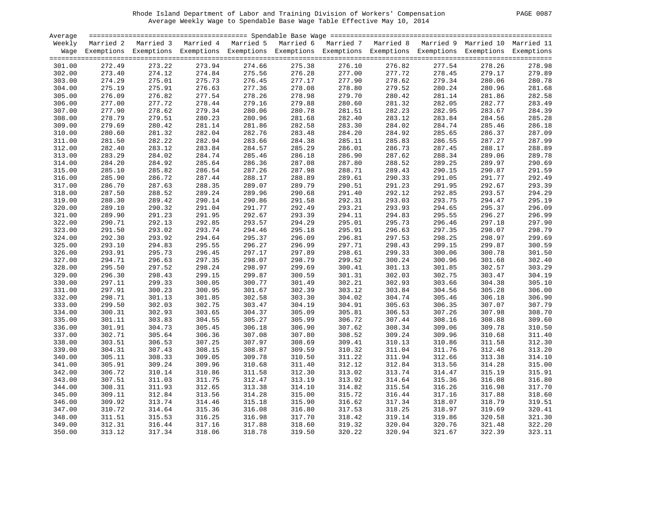| PAGE | 0087 |
|------|------|
|      |      |

| Average |        |                                                                                                                    |        |        |        |        |        |        |        |        |
|---------|--------|--------------------------------------------------------------------------------------------------------------------|--------|--------|--------|--------|--------|--------|--------|--------|
| Weekly  |        | Married 2 Married 3 Married 4 Married 5 Married 6 Married 7 Married 8 Married 9 Married 10 Married 11              |        |        |        |        |        |        |        |        |
|         |        | Wage Exemptions Exemptions Exemptions Exemptions Exemptions Exemptions Exemptions Exemptions Exemptions Exemptions |        |        |        |        |        |        |        |        |
|         |        |                                                                                                                    |        |        |        |        |        |        |        |        |
| 301.00  | 272.49 | 273.22                                                                                                             | 273.94 | 274.66 | 275.38 | 276.10 | 276.82 | 277.54 | 278.26 | 278.98 |
| 302.00  | 273.40 | 274.12                                                                                                             | 274.84 | 275.56 | 276.28 | 277.00 | 277.72 | 278.45 | 279.17 | 279.89 |
| 303.00  | 274.29 | 275.01                                                                                                             | 275.73 | 276.45 | 277.17 | 277.90 | 278.62 | 279.34 | 280.06 | 280.78 |
| 304.00  | 275.19 | 275.91                                                                                                             | 276.63 | 277.36 | 278.08 | 278.80 | 279.52 | 280.24 | 280.96 | 281.68 |
| 305.00  | 276.09 | 276.82                                                                                                             | 277.54 | 278.26 | 278.98 | 279.70 | 280.42 | 281.14 | 281.86 | 282.58 |
| 306.00  | 277.00 | 277.72                                                                                                             | 278.44 | 279.16 | 279.88 | 280.60 | 281.32 | 282.05 | 282.77 | 283.49 |
| 307.00  | 277.90 | 278.62                                                                                                             | 279.34 | 280.06 | 280.78 | 281.51 | 282.23 | 282.95 | 283.67 | 284.39 |
| 308.00  | 278.79 | 279.51                                                                                                             | 280.23 | 280.96 | 281.68 | 282.40 | 283.12 | 283.84 | 284.56 | 285.28 |
| 309.00  | 279.69 | 280.42                                                                                                             | 281.14 | 281.86 | 282.58 | 283.30 | 284.02 | 284.74 | 285.46 | 286.18 |
| 310.00  | 280.60 | 281.32                                                                                                             | 282.04 | 282.76 | 283.48 | 284.20 | 284.92 | 285.65 | 286.37 | 287.09 |
| 311.00  | 281.50 | 282.22                                                                                                             | 282.94 | 283.66 | 284.38 | 285.11 | 285.83 | 286.55 | 287.27 | 287.99 |
|         |        |                                                                                                                    |        |        |        |        |        |        |        |        |
| 312.00  | 282.40 | 283.12                                                                                                             | 283.84 | 284.57 | 285.29 | 286.01 | 286.73 | 287.45 | 288.17 | 288.89 |
| 313.00  | 283.29 | 284.02                                                                                                             | 284.74 | 285.46 | 286.18 | 286.90 | 287.62 | 288.34 | 289.06 | 289.78 |
| 314.00  | 284.20 | 284.92                                                                                                             | 285.64 | 286.36 | 287.08 | 287.80 | 288.52 | 289.25 | 289.97 | 290.69 |
| 315.00  | 285.10 | 285.82                                                                                                             | 286.54 | 287.26 | 287.98 | 288.71 | 289.43 | 290.15 | 290.87 | 291.59 |
| 316.00  | 285.90 | 286.72                                                                                                             | 287.44 | 288.17 | 288.89 | 289.61 | 290.33 | 291.05 | 291.77 | 292.49 |
| 317.00  | 286.70 | 287.63                                                                                                             | 288.35 | 289.07 | 289.79 | 290.51 | 291.23 | 291.95 | 292.67 | 293.39 |
| 318.00  | 287.50 | 288.52                                                                                                             | 289.24 | 289.96 | 290.68 | 291.40 | 292.12 | 292.85 | 293.57 | 294.29 |
| 319.00  | 288.30 | 289.42                                                                                                             | 290.14 | 290.86 | 291.58 | 292.31 | 293.03 | 293.75 | 294.47 | 295.19 |
| 320.00  | 289.10 | 290.32                                                                                                             | 291.04 | 291.77 | 292.49 | 293.21 | 293.93 | 294.65 | 295.37 | 296.09 |
| 321.00  | 289.90 | 291.23                                                                                                             | 291.95 | 292.67 | 293.39 | 294.11 | 294.83 | 295.55 | 296.27 | 296.99 |
| 322.00  | 290.71 | 292.13                                                                                                             | 292.85 | 293.57 | 294.29 | 295.01 | 295.73 | 296.46 | 297.18 | 297.90 |
| 323.00  | 291.50 | 293.02                                                                                                             | 293.74 | 294.46 | 295.18 | 295.91 | 296.63 | 297.35 | 298.07 | 298.79 |
| 324.00  | 292.30 | 293.92                                                                                                             | 294.64 | 295.37 | 296.09 | 296.81 | 297.53 | 298.25 | 298.97 | 299.69 |
| 325.00  | 293.10 | 294.83                                                                                                             | 295.55 | 296.27 | 296.99 | 297.71 | 298.43 | 299.15 | 299.87 | 300.59 |
| 326.00  | 293.91 | 295.73                                                                                                             | 296.45 | 297.17 | 297.89 | 298.61 | 299.33 | 300.06 | 300.78 | 301.50 |
| 327.00  | 294.71 | 296.63                                                                                                             | 297.35 | 298.07 | 298.79 | 299.52 | 300.24 | 300.96 | 301.68 | 302.40 |
| 328.00  | 295.50 | 297.52                                                                                                             | 298.24 | 298.97 | 299.69 | 300.41 | 301.13 | 301.85 | 302.57 | 303.29 |
| 329.00  | 296.30 | 298.43                                                                                                             | 299.15 | 299.87 | 300.59 | 301.31 | 302.03 | 302.75 | 303.47 | 304.19 |
| 330.00  | 297.11 | 299.33                                                                                                             | 300.05 | 300.77 | 301.49 | 302.21 | 302.93 | 303.66 | 304.38 | 305.10 |
| 331.00  | 297.91 | 300.23                                                                                                             | 300.95 | 301.67 | 302.39 | 303.12 | 303.84 | 304.56 | 305.28 | 306.00 |
| 332.00  | 298.71 | 301.13                                                                                                             | 301.85 | 302.58 | 303.30 | 304.02 | 304.74 | 305.46 | 306.18 | 306.90 |
| 333.00  | 299.50 | 302.03                                                                                                             | 302.75 | 303.47 | 304.19 | 304.91 | 305.63 | 306.35 | 307.07 | 307.79 |
| 334.00  | 300.31 | 302.93                                                                                                             | 303.65 | 304.37 | 305.09 | 305.81 | 306.53 | 307.26 | 307.98 | 308.70 |
| 335.00  | 301.11 | 303.83                                                                                                             | 304.55 | 305.27 | 305.99 | 306.72 | 307.44 | 308.16 | 308.88 | 309.60 |
| 336.00  | 301.91 | 304.73                                                                                                             | 305.45 | 306.18 | 306.90 | 307.62 | 308.34 | 309.06 | 309.78 | 310.50 |
| 337.00  | 302.71 | 305.64                                                                                                             | 306.36 | 307.08 | 307.80 | 308.52 | 309.24 | 309.96 | 310.68 | 311.40 |
| 338.00  | 303.51 | 306.53                                                                                                             | 307.25 | 307.97 | 308.69 | 309.41 | 310.13 | 310.86 | 311.58 | 312.30 |
| 339.00  | 304.31 | 307.43                                                                                                             | 308.15 | 308.87 | 309.59 | 310.32 | 311.04 | 311.76 | 312.48 | 313.20 |
| 340.00  | 305.11 | 308.33                                                                                                             | 309.05 | 309.78 | 310.50 | 311.22 | 311.94 | 312.66 | 313.38 | 314.10 |
| 341.00  | 305.91 | 309.24                                                                                                             | 309.96 | 310.68 | 311.40 | 312.12 | 312.84 | 313.56 | 314.28 | 315.00 |
| 342.00  | 306.72 | 310.14                                                                                                             | 310.86 | 311.58 | 312.30 | 313.02 | 313.74 | 314.47 | 315.19 | 315.91 |
| 343.00  | 307.51 | 311.03                                                                                                             | 311.75 | 312.47 | 313.19 | 313.92 | 314.64 | 315.36 | 316.08 | 316.80 |
| 344.00  | 308.31 | 311.93                                                                                                             | 312.65 | 313.38 | 314.10 | 314.82 | 315.54 | 316.26 | 316.98 | 317.70 |
| 345.00  | 309.11 | 312.84                                                                                                             | 313.56 | 314.28 | 315.00 | 315.72 | 316.44 | 317.16 | 317.88 | 318.60 |
| 346.00  | 309.92 | 313.74                                                                                                             | 314.46 | 315.18 | 315.90 | 316.62 | 317.34 | 318.07 | 318.79 | 319.51 |
| 347.00  | 310.72 | 314.64                                                                                                             | 315.36 | 316.08 | 316.80 | 317.53 | 318.25 | 318.97 | 319.69 | 320.41 |
| 348.00  | 311.51 | 315.53                                                                                                             | 316.25 | 316.98 | 317.70 | 318.42 | 319.14 | 319.86 | 320.58 | 321.30 |
| 349.00  | 312.31 | 316.44                                                                                                             | 317.16 | 317.88 | 318.60 | 319.32 | 320.04 | 320.76 | 321.48 | 322.20 |
| 350.00  | 313.12 | 317.34                                                                                                             | 318.06 | 318.78 | 319.50 | 320.22 | 320.94 | 321.67 | 322.39 | 323.11 |
|         |        |                                                                                                                    |        |        |        |        |        |        |        |        |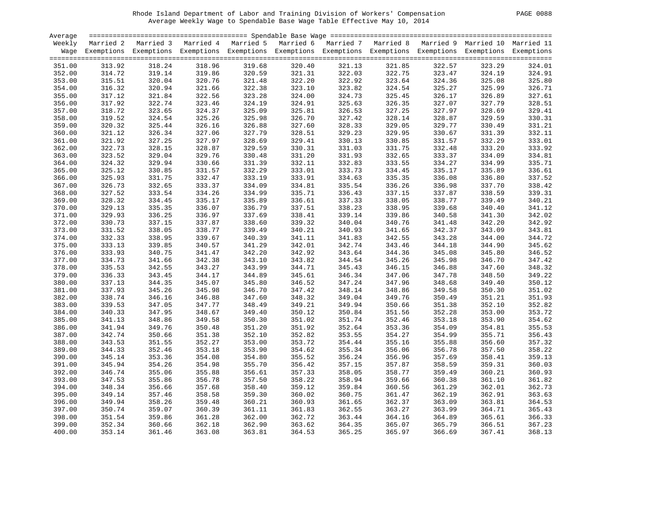| <b>PAGE</b> | 0088 |
|-------------|------|
|             |      |

| Average |        |                                                                                                                    |        |        |        |        |        |        |        |        |
|---------|--------|--------------------------------------------------------------------------------------------------------------------|--------|--------|--------|--------|--------|--------|--------|--------|
| Weekly  |        | Married 2 Married 3 Married 4 Married 5 Married 6 Married 7 Married 8 Married 9 Married 10 Married 11              |        |        |        |        |        |        |        |        |
|         |        | Wage Exemptions Exemptions Exemptions Exemptions Exemptions Exemptions Exemptions Exemptions Exemptions Exemptions |        |        |        |        |        |        |        |        |
|         |        |                                                                                                                    |        |        |        |        |        |        |        |        |
| 351.00  | 313.92 | 318.24                                                                                                             | 318.96 | 319.68 | 320.40 | 321.13 | 321.85 | 322.57 | 323.29 | 324.01 |
| 352.00  | 314.72 | 319.14                                                                                                             | 319.86 | 320.59 | 321.31 | 322.03 | 322.75 | 323.47 | 324.19 | 324.91 |
| 353.00  | 315.51 | 320.04                                                                                                             | 320.76 | 321.48 | 322.20 | 322.92 | 323.64 | 324.36 | 325.08 | 325.80 |
| 354.00  | 316.32 | 320.94                                                                                                             | 321.66 | 322.38 | 323.10 | 323.82 | 324.54 | 325.27 | 325.99 | 326.71 |
|         |        |                                                                                                                    |        |        |        |        |        |        |        |        |
| 355.00  | 317.12 | 321.84                                                                                                             | 322.56 | 323.28 | 324.00 | 324.73 | 325.45 | 326.17 | 326.89 | 327.61 |
| 356.00  | 317.92 | 322.74                                                                                                             | 323.46 | 324.19 | 324.91 | 325.63 | 326.35 | 327.07 | 327.79 | 328.51 |
| 357.00  | 318.72 | 323.65                                                                                                             | 324.37 | 325.09 | 325.81 | 326.53 | 327.25 | 327.97 | 328.69 | 329.41 |
| 358.00  | 319.52 | 324.54                                                                                                             | 325.26 | 325.98 | 326.70 | 327.42 | 328.14 | 328.87 | 329.59 | 330.31 |
| 359.00  | 320.32 | 325.44                                                                                                             | 326.16 | 326.88 | 327.60 | 328.33 | 329.05 | 329.77 | 330.49 | 331.21 |
| 360.00  | 321.12 | 326.34                                                                                                             | 327.06 | 327.79 | 328.51 | 329.23 | 329.95 | 330.67 | 331.39 | 332.11 |
| 361.00  | 321.92 | 327.25                                                                                                             | 327.97 | 328.69 | 329.41 | 330.13 | 330.85 | 331.57 | 332.29 | 333.01 |
| 362.00  | 322.73 | 328.15                                                                                                             | 328.87 | 329.59 | 330.31 | 331.03 | 331.75 | 332.48 | 333.20 | 333.92 |
| 363.00  | 323.52 | 329.04                                                                                                             | 329.76 | 330.48 | 331.20 | 331.93 | 332.65 | 333.37 | 334.09 | 334.81 |
| 364.00  | 324.32 | 329.94                                                                                                             | 330.66 | 331.39 | 332.11 | 332.83 | 333.55 | 334.27 | 334.99 | 335.71 |
| 365.00  | 325.12 | 330.85                                                                                                             | 331.57 | 332.29 | 333.01 | 333.73 | 334.45 | 335.17 | 335.89 | 336.61 |
| 366.00  | 325.93 | 331.75                                                                                                             | 332.47 | 333.19 | 333.91 | 334.63 | 335.35 | 336.08 | 336.80 | 337.52 |
| 367.00  | 326.73 | 332.65                                                                                                             | 333.37 | 334.09 | 334.81 | 335.54 | 336.26 | 336.98 | 337.70 | 338.42 |
| 368.00  | 327.52 | 333.54                                                                                                             | 334.26 | 334.99 | 335.71 | 336.43 | 337.15 | 337.87 | 338.59 | 339.31 |
| 369.00  | 328.32 | 334.45                                                                                                             | 335.17 | 335.89 | 336.61 | 337.33 | 338.05 | 338.77 | 339.49 | 340.21 |
| 370.00  | 329.13 | 335.35                                                                                                             | 336.07 | 336.79 | 337.51 | 338.23 | 338.95 | 339.68 | 340.40 | 341.12 |
| 371.00  | 329.93 | 336.25                                                                                                             | 336.97 | 337.69 | 338.41 | 339.14 | 339.86 | 340.58 | 341.30 | 342.02 |
| 372.00  | 330.73 | 337.15                                                                                                             | 337.87 | 338.60 | 339.32 | 340.04 | 340.76 | 341.48 | 342.20 | 342.92 |
| 373.00  | 331.52 | 338.05                                                                                                             | 338.77 | 339.49 | 340.21 | 340.93 | 341.65 | 342.37 | 343.09 | 343.81 |
| 374.00  | 332.33 | 338.95                                                                                                             | 339.67 | 340.39 | 341.11 | 341.83 | 342.55 | 343.28 | 344.00 | 344.72 |
| 375.00  | 333.13 | 339.85                                                                                                             | 340.57 | 341.29 | 342.01 | 342.74 | 343.46 | 344.18 | 344.90 | 345.62 |
|         |        | 340.75                                                                                                             |        |        | 342.92 |        |        |        |        |        |
| 376.00  | 333.93 |                                                                                                                    | 341.47 | 342.20 |        | 343.64 | 344.36 | 345.08 | 345.80 | 346.52 |
| 377.00  | 334.73 | 341.66                                                                                                             | 342.38 | 343.10 | 343.82 | 344.54 | 345.26 | 345.98 | 346.70 | 347.42 |
| 378.00  | 335.53 | 342.55                                                                                                             | 343.27 | 343.99 | 344.71 | 345.43 | 346.15 | 346.88 | 347.60 | 348.32 |
| 379.00  | 336.33 | 343.45                                                                                                             | 344.17 | 344.89 | 345.61 | 346.34 | 347.06 | 347.78 | 348.50 | 349.22 |
| 380.00  | 337.13 | 344.35                                                                                                             | 345.07 | 345.80 | 346.52 | 347.24 | 347.96 | 348.68 | 349.40 | 350.12 |
| 381.00  | 337.93 | 345.26                                                                                                             | 345.98 | 346.70 | 347.42 | 348.14 | 348.86 | 349.58 | 350.30 | 351.02 |
| 382.00  | 338.74 | 346.16                                                                                                             | 346.88 | 347.60 | 348.32 | 349.04 | 349.76 | 350.49 | 351.21 | 351.93 |
| 383.00  | 339.53 | 347.05                                                                                                             | 347.77 | 348.49 | 349.21 | 349.94 | 350.66 | 351.38 | 352.10 | 352.82 |
| 384.00  | 340.33 | 347.95                                                                                                             | 348.67 | 349.40 | 350.12 | 350.84 | 351.56 | 352.28 | 353.00 | 353.72 |
| 385.00  | 341.13 | 348.86                                                                                                             | 349.58 | 350.30 | 351.02 | 351.74 | 352.46 | 353.18 | 353.90 | 354.62 |
| 386.00  | 341.94 | 349.76                                                                                                             | 350.48 | 351.20 | 351.92 | 352.64 | 353.36 | 354.09 | 354.81 | 355.53 |
| 387.00  | 342.74 | 350.66                                                                                                             | 351.38 | 352.10 | 352.82 | 353.55 | 354.27 | 354.99 | 355.71 | 356.43 |
| 388.00  | 343.53 | 351.55                                                                                                             | 352.27 | 353.00 | 353.72 | 354.44 | 355.16 | 355.88 | 356.60 | 357.32 |
| 389.00  | 344.33 | 352.46                                                                                                             | 353.18 | 353.90 | 354.62 | 355.34 | 356.06 | 356.78 | 357.50 | 358.22 |
| 390.00  | 345.14 | 353.36                                                                                                             | 354.08 | 354.80 | 355.52 | 356.24 | 356.96 | 357.69 | 358.41 | 359.13 |
| 391.00  | 345.94 | 354.26                                                                                                             | 354.98 | 355.70 | 356.42 | 357.15 | 357.87 | 358.59 | 359.31 | 360.03 |
| 392.00  | 346.74 | 355.06                                                                                                             | 355.88 | 356.61 | 357.33 | 358.05 | 358.77 | 359.49 | 360.21 | 360.93 |
| 393.00  | 347.53 | 355.86                                                                                                             | 356.78 | 357.50 | 358.22 | 358.94 | 359.66 | 360.38 | 361.10 | 361.82 |
| 394.00  | 348.34 | 356.66                                                                                                             | 357.68 | 358.40 | 359.12 | 359.84 | 360.56 | 361.29 | 362.01 | 362.73 |
| 395.00  | 349.14 | 357.46                                                                                                             | 358.58 | 359.30 | 360.02 | 360.75 | 361.47 | 362.19 | 362.91 | 363.63 |
| 396.00  | 349.94 | 358.26                                                                                                             | 359.48 | 360.21 | 360.93 | 361.65 | 362.37 | 363.09 | 363.81 | 364.53 |
| 397.00  | 350.74 | 359.07                                                                                                             | 360.39 | 361.11 | 361.83 | 362.55 | 363.27 | 363.99 | 364.71 | 365.43 |
| 398.00  | 351.54 | 359.86                                                                                                             | 361.28 | 362.00 | 362.72 | 363.44 | 364.16 | 364.89 | 365.61 | 366.33 |
| 399.00  | 352.34 | 360.66                                                                                                             | 362.18 | 362.90 | 363.62 | 364.35 | 365.07 | 365.79 | 366.51 | 367.23 |
| 400.00  | 353.14 | 361.46                                                                                                             | 363.08 | 363.81 | 364.53 | 365.25 | 365.97 | 366.69 | 367.41 | 368.13 |
|         |        |                                                                                                                    |        |        |        |        |        |        |        |        |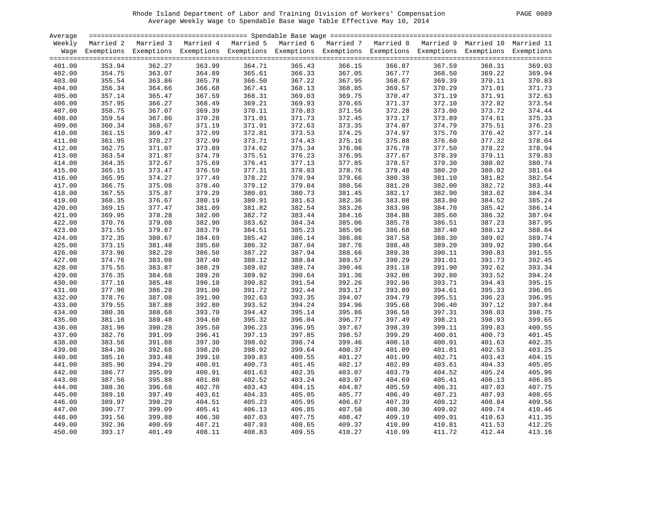| PAGE | 0089 |
|------|------|
|      |      |

| Average          |                  |                                                                                                                    |                  |        |                  |                  |        |                  |                  |                  |
|------------------|------------------|--------------------------------------------------------------------------------------------------------------------|------------------|--------|------------------|------------------|--------|------------------|------------------|------------------|
| Weekly           |                  | Married 2 Married 3 Married 4 Married 5 Married 6 Married 7 Married 8 Married 9 Married 10 Married 11              |                  |        |                  |                  |        |                  |                  |                  |
|                  |                  | Wage Exemptions Exemptions Exemptions Exemptions Exemptions Exemptions Exemptions Exemptions Exemptions Exemptions |                  |        |                  |                  |        |                  |                  |                  |
|                  |                  |                                                                                                                    |                  |        |                  |                  |        |                  |                  |                  |
| 401.00           | 353.94           | 362.27                                                                                                             | 363.99           | 364.71 | 365.43           | 366.15           | 366.87 | 367.59           | 368.31           | 369.03           |
| 402.00           | 354.75           | 363.07                                                                                                             | 364.89           | 365.61 | 366.33           | 367.05           | 367.77 | 368.50           | 369.22           | 369.94           |
| 403.00           | 355.54           | 363.86                                                                                                             | 365.78           | 366.50 | 367.22           | 367.95           | 368.67 | 369.39           | 370.11           | 370.83           |
| 404.00           | 356.34           | 364.66                                                                                                             | 366.68           | 367.41 | 368.13           | 368.85           | 369.57 | 370.29           | 371.01           | 371.73           |
| 405.00           | 357.14           | 365.47                                                                                                             | 367.59           | 368.31 | 369.03           | 369.75           | 370.47 | 371.19           | 371.91           | 372.63           |
| 406.00           | 357.95           | 366.27                                                                                                             | 368.49           | 369.21 | 369.93           | 370.65           | 371.37 | 372.10           | 372.82           | 373.54           |
| 407.00           | 358.75           | 367.07                                                                                                             | 369.39           | 370.11 | 370.83           | 371.56           | 372.28 | 373.00           | 373.72           | 374.44           |
| 408.00           | 359.54           | 367.86                                                                                                             | 370.28           | 371.01 | 371.73           | 372.45           | 373.17 | 373.89           | 374.61           | 375.33           |
| 409.00           | 360.34           | 368.67                                                                                                             | 371.19           | 371.91 | 372.63           | 373.35           | 374.07 | 374.79           | 375.51           | 376.23           |
| 410.00           | 361.15           | 369.47                                                                                                             | 372.09           | 372.81 | 373.53           | 374.25           | 374.97 | 375.70           | 376.42           | 377.14           |
| 411.00           | 361.95           | 370.27                                                                                                             | 372.99           | 373.71 | 374.43           | 375.16           | 375.88 | 376.60           | 377.32           | 378.04           |
| 412.00           | 362.75           | 371.07                                                                                                             | 373.89           | 374.62 | 375.34           | 376.06           | 376.78 | 377.50           | 378.22           | 378.94           |
| 413.00           | 363.54           | 371.87                                                                                                             | 374.79           | 375.51 | 376.23           | 376.95           | 377.67 | 378.39           | 379.11           | 379.83           |
| 414.00           | 364.35           | 372.67                                                                                                             | 375.69           | 376.41 | 377.13           | 377.85           | 378.57 | 379.30           | 380.02           | 380.74           |
| 415.00           | 365.15           | 373.47                                                                                                             | 376.59           | 377.31 | 378.03           | 378.76           | 379.48 | 380.20           | 380.92           | 381.64           |
| 416.00           | 365.95           | 374.27                                                                                                             | 377.49           | 378.22 | 378.94           | 379.66           | 380.38 | 381.10           | 381.82           | 382.54           |
| 417.00           | 366.75           | 375.08                                                                                                             | 378.40           | 379.12 | 379.84           | 380.56           | 381.28 | 382.00           | 382.72           | 383.44           |
| 418.00           | 367.55           | 375.87                                                                                                             | 379.29           | 380.01 | 380.73           | 381.45           | 382.17 | 382.90           | 383.62           | 384.34           |
| 419.00           | 368.35           | 376.67                                                                                                             | 380.19           | 380.91 | 381.63           | 382.36           | 383.08 | 383.80           | 384.52           | 385.24           |
| 420.00           | 369.15           | 377.47                                                                                                             | 381.09           | 381.82 | 382.54           | 383.26           | 383.98 | 384.70           | 385.42           | 386.14           |
| 421.00           | 369.95           | 378.28                                                                                                             | 382.00           | 382.72 | 383.44           | 384.16           | 384.88 | 385.60           | 386.32           | 387.04           |
| 422.00           | 370.76           | 379.08                                                                                                             | 382.90           | 383.62 | 384.34           | 385.06           | 385.78 | 386.51           | 387.23           | 387.95           |
| 423.00           | 371.55           | 379.87                                                                                                             | 383.79           | 384.51 | 385.23           | 385.96           | 386.68 | 387.40           | 388.12           | 388.84           |
| 424.00           | 372.35           | 380.67                                                                                                             | 384.69           | 385.42 | 386.14           | 386.86           | 387.58 | 388.30           | 389.02           | 389.74           |
| 425.00           | 373.15           | 381.48                                                                                                             | 385.60           | 386.32 | 387.04           | 387.76           | 388.48 | 389.20           | 389.92           | 390.64           |
| 426.00           | 373.96           | 382.28                                                                                                             | 386.50           | 387.22 | 387.94           | 388.66           | 389.38 | 390.11           | 390.83           | 391.55           |
| 427.00           | 374.76           | 383.08                                                                                                             |                  | 388.12 | 388.84           |                  | 390.29 |                  |                  |                  |
|                  | 375.55           |                                                                                                                    | 387.40<br>388.29 | 389.02 | 389.74           | 389.57<br>390.46 | 391.18 | 391.01<br>391.90 | 391.73<br>392.62 | 392.45<br>393.34 |
| 428.00           | 376.35           | 383.87<br>384.68                                                                                                   | 389.20           | 389.92 |                  | 391.36           | 392.08 | 392.80           | 393.52           | 394.24           |
| 429.00           |                  |                                                                                                                    |                  | 390.82 | 390.64<br>391.54 | 392.26           | 392.98 | 393.71           | 394.43           | 395.15           |
| 430.00<br>431.00 | 377.16           | 385.48<br>386.28                                                                                                   | 390.10<br>391.00 | 391.72 | 392.44           | 393.17           | 393.89 |                  |                  | 396.05           |
|                  | 377.96<br>378.76 |                                                                                                                    |                  |        | 393.35           |                  | 394.79 | 394.61           | 395.33<br>396.23 |                  |
| 432.00           |                  | 387.08                                                                                                             | 391.90           | 392.63 |                  | 394.07           |        | 395.51           |                  | 396.95           |
| 433.00           | 379.55           | 387.88                                                                                                             | 392.80           | 393.52 | 394.24           | 394.96           | 395.68 | 396.40           | 397.12           | 397.84           |
| 434.00           | 380.36           | 388.68                                                                                                             | 393.70           | 394.42 | 395.14           | 395.86           | 396.58 | 397.31           | 398.03           | 398.75           |
| 435.00           | 381.16           | 389.48                                                                                                             | 394.60           | 395.32 | 396.04           | 396.77           | 397.49 | 398.21           | 398.93           | 399.65           |
| 436.00           | 381.96           | 390.28                                                                                                             | 395.50           | 396.23 | 396.95           | 397.67           | 398.39 | 399.11           | 399.83           | 400.55           |
| 437.00           | 382.76           | 391.09                                                                                                             | 396.41           | 397.13 | 397.85           | 398.57           | 399.29 | 400.01           | 400.73           | 401.45           |
| 438.00           | 383.56           | 391.88                                                                                                             | 397.30           | 398.02 | 398.74           | 399.46           | 400.18 | 400.91           | 401.63           | 402.35           |
| 439.00           | 384.36           | 392.68                                                                                                             | 398.20           | 398.92 | 399.64           | 400.37           | 401.09 | 401.81           | 402.53           | 403.25           |
| 440.00           | 385.16           | 393.48                                                                                                             | 399.10           | 399.83 | 400.55           | 401.27           | 401.99 | 402.71           | 403.43           | 404.15           |
| 441.00           | 385.96           | 394.29                                                                                                             | 400.01           | 400.73 | 401.45           | 402.17           | 402.89 | 403.61           | 404.33           | 405.05           |
| 442.00           | 386.77           | 395.09                                                                                                             | 400.91           | 401.63 | 402.35           | 403.07           | 403.79 | 404.52           | 405.24           | 405.96           |
| 443.00           | 387.56           | 395.88                                                                                                             | 401.80           | 402.52 | 403.24           | 403.97           | 404.69 | 405.41           | 406.13           | 406.85           |
| 444.00           | 388.36           | 396.68                                                                                                             | 402.70           | 403.43 | 404.15           | 404.87           | 405.59 | 406.31           | 407.03           | 407.75           |
| 445.00           | 389.16           | 397.49                                                                                                             | 403.61           | 404.33 | 405.05           | 405.77           | 406.49 | 407.21           | 407.93           | 408.65           |
| 446.00           | 389.97           | 398.29                                                                                                             | 404.51           | 405.23 | 405.95           | 406.67           | 407.39 | 408.12           | 408.84           | 409.56           |
| 447.00           | 390.77           | 399.09                                                                                                             | 405.41           | 406.13 | 406.85           | 407.58           | 408.30 | 409.02           | 409.74           | 410.46           |
| 448.00           | 391.56           | 399.88                                                                                                             | 406.30           | 407.03 | 407.75           | 408.47           | 409.19 | 409.91           | 410.63           | 411.35           |
| 449.00           | 392.36           | 400.69                                                                                                             | 407.21           | 407.93 | 408.65           | 409.37           | 410.09 | 410.81           | 411.53           | 412.25           |
| 450.00           | 393.17           | 401.49                                                                                                             | 408.11           | 408.83 | 409.55           | 410.27           | 410.99 | 411.72           | 412.44           | 413.16           |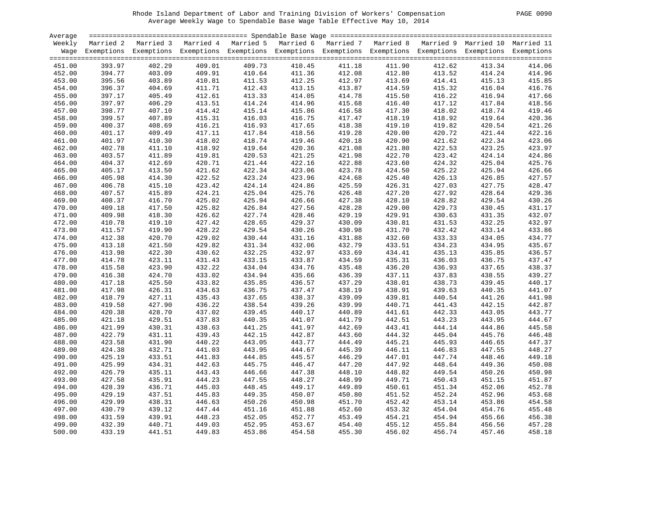| PAGE | 0090 |
|------|------|
|      |      |

| Average |        |                                                                                                                    |        |        |        |        |        |        |        |        |
|---------|--------|--------------------------------------------------------------------------------------------------------------------|--------|--------|--------|--------|--------|--------|--------|--------|
| Weekly  |        | Married 2 Married 3 Married 4 Married 5 Married 6 Married 7 Married 8 Married 9 Married 10 Married 11              |        |        |        |        |        |        |        |        |
|         |        | Wage Exemptions Exemptions Exemptions Exemptions Exemptions Exemptions Exemptions Exemptions Exemptions Exemptions |        |        |        |        |        |        |        |        |
|         |        |                                                                                                                    |        |        |        |        |        |        |        |        |
| 451.00  | 393.97 | 402.29                                                                                                             | 409.01 | 409.73 | 410.45 | 411.18 | 411.90 | 412.62 | 413.34 | 414.06 |
| 452.00  | 394.77 | 403.09                                                                                                             | 409.91 | 410.64 | 411.36 | 412.08 | 412.80 | 413.52 | 414.24 | 414.96 |
| 453.00  | 395.56 | 403.89                                                                                                             | 410.81 | 411.53 | 412.25 | 412.97 | 413.69 | 414.41 | 415.13 | 415.85 |
| 454.00  | 396.37 | 404.69                                                                                                             | 411.71 | 412.43 | 413.15 | 413.87 | 414.59 | 415.32 | 416.04 | 416.76 |
| 455.00  | 397.17 | 405.49                                                                                                             | 412.61 | 413.33 | 414.05 | 414.78 | 415.50 | 416.22 | 416.94 | 417.66 |
| 456.00  | 397.97 | 406.29                                                                                                             | 413.51 | 414.24 | 414.96 | 415.68 | 416.40 | 417.12 | 417.84 | 418.56 |
| 457.00  | 398.77 | 407.10                                                                                                             | 414.42 | 415.14 | 415.86 | 416.58 | 417.30 | 418.02 | 418.74 | 419.46 |
| 458.00  | 399.57 | 407.89                                                                                                             | 415.31 | 416.03 | 416.75 | 417.47 | 418.19 | 418.92 | 419.64 | 420.36 |
| 459.00  | 400.37 | 408.69                                                                                                             | 416.21 | 416.93 | 417.65 | 418.38 | 419.10 | 419.82 | 420.54 | 421.26 |
| 460.00  | 401.17 | 409.49                                                                                                             | 417.11 | 417.84 | 418.56 | 419.28 | 420.00 | 420.72 | 421.44 | 422.16 |
| 461.00  | 401.97 | 410.30                                                                                                             | 418.02 | 418.74 | 419.46 | 420.18 | 420.90 | 421.62 | 422.34 | 423.06 |
| 462.00  | 402.78 | 411.10                                                                                                             | 418.92 | 419.64 | 420.36 | 421.08 | 421.80 | 422.53 | 423.25 | 423.97 |
| 463.00  | 403.57 | 411.89                                                                                                             | 419.81 | 420.53 | 421.25 | 421.98 | 422.70 | 423.42 | 424.14 | 424.86 |
| 464.00  | 404.37 | 412.69                                                                                                             | 420.71 | 421.44 | 422.16 | 422.88 | 423.60 | 424.32 | 425.04 | 425.76 |
| 465.00  | 405.17 | 413.50                                                                                                             |        | 422.34 | 423.06 | 423.78 | 424.50 | 425.22 | 425.94 |        |
|         |        |                                                                                                                    | 421.62 |        |        |        |        |        |        | 426.66 |
| 466.00  | 405.98 | 414.30                                                                                                             | 422.52 | 423.24 | 423.96 | 424.68 | 425.40 | 426.13 | 426.85 | 427.57 |
| 467.00  | 406.78 | 415.10                                                                                                             | 423.42 | 424.14 | 424.86 | 425.59 | 426.31 | 427.03 | 427.75 | 428.47 |
| 468.00  | 407.57 | 415.89                                                                                                             | 424.21 | 425.04 | 425.76 | 426.48 | 427.20 | 427.92 | 428.64 | 429.36 |
| 469.00  | 408.37 | 416.70                                                                                                             | 425.02 | 425.94 | 426.66 | 427.38 | 428.10 | 428.82 | 429.54 | 430.26 |
| 470.00  | 409.18 | 417.50                                                                                                             | 425.82 | 426.84 | 427.56 | 428.28 | 429.00 | 429.73 | 430.45 | 431.17 |
| 471.00  | 409.98 | 418.30                                                                                                             | 426.62 | 427.74 | 428.46 | 429.19 | 429.91 | 430.63 | 431.35 | 432.07 |
| 472.00  | 410.78 | 419.10                                                                                                             | 427.42 | 428.65 | 429.37 | 430.09 | 430.81 | 431.53 | 432.25 | 432.97 |
| 473.00  | 411.57 | 419.90                                                                                                             | 428.22 | 429.54 | 430.26 | 430.98 | 431.70 | 432.42 | 433.14 | 433.86 |
| 474.00  | 412.38 | 420.70                                                                                                             | 429.02 | 430.44 | 431.16 | 431.88 | 432.60 | 433.33 | 434.05 | 434.77 |
| 475.00  | 413.18 | 421.50                                                                                                             | 429.82 | 431.34 | 432.06 | 432.79 | 433.51 | 434.23 | 434.95 | 435.67 |
| 476.00  | 413.98 | 422.30                                                                                                             | 430.62 | 432.25 | 432.97 | 433.69 | 434.41 | 435.13 | 435.85 | 436.57 |
| 477.00  | 414.78 | 423.11                                                                                                             | 431.43 | 433.15 | 433.87 | 434.59 | 435.31 | 436.03 | 436.75 | 437.47 |
| 478.00  | 415.58 | 423.90                                                                                                             | 432.22 | 434.04 | 434.76 | 435.48 | 436.20 | 436.93 | 437.65 | 438.37 |
| 479.00  | 416.38 | 424.70                                                                                                             | 433.02 | 434.94 | 435.66 | 436.39 | 437.11 | 437.83 | 438.55 | 439.27 |
| 480.00  | 417.18 | 425.50                                                                                                             | 433.82 | 435.85 | 436.57 | 437.29 | 438.01 | 438.73 | 439.45 | 440.17 |
| 481.00  | 417.98 | 426.31                                                                                                             | 434.63 | 436.75 | 437.47 | 438.19 | 438.91 | 439.63 | 440.35 | 441.07 |
| 482.00  | 418.79 | 427.11                                                                                                             | 435.43 | 437.65 | 438.37 | 439.09 | 439.81 | 440.54 | 441.26 | 441.98 |
| 483.00  | 419.58 | 427.90                                                                                                             | 436.22 | 438.54 | 439.26 | 439.99 | 440.71 | 441.43 | 442.15 | 442.87 |
| 484.00  | 420.38 | 428.70                                                                                                             | 437.02 | 439.45 | 440.17 | 440.89 | 441.61 | 442.33 | 443.05 | 443.77 |
| 485.00  | 421.18 | 429.51                                                                                                             | 437.83 | 440.35 | 441.07 | 441.79 | 442.51 | 443.23 | 443.95 | 444.67 |
| 486.00  | 421.99 | 430.31                                                                                                             | 438.63 | 441.25 | 441.97 | 442.69 | 443.41 | 444.14 | 444.86 | 445.58 |
| 487.00  | 422.79 | 431.11                                                                                                             | 439.43 | 442.15 | 442.87 | 443.60 | 444.32 | 445.04 | 445.76 | 446.48 |
| 488.00  | 423.58 | 431.90                                                                                                             | 440.22 | 443.05 | 443.77 | 444.49 | 445.21 | 445.93 | 446.65 | 447.37 |
| 489.00  | 424.38 | 432.71                                                                                                             | 441.03 | 443.95 | 444.67 | 445.39 | 446.11 | 446.83 | 447.55 | 448.27 |
| 490.00  | 425.19 | 433.51                                                                                                             | 441.83 | 444.85 | 445.57 | 446.29 | 447.01 | 447.74 | 448.46 | 449.18 |
| 491.00  | 425.99 | 434.31                                                                                                             | 442.63 | 445.75 | 446.47 | 447.20 | 447.92 | 448.64 | 449.36 | 450.08 |
| 492.00  | 426.79 | 435.11                                                                                                             | 443.43 | 446.66 | 447.38 | 448.10 | 448.82 | 449.54 | 450.26 | 450.98 |
| 493.00  | 427.58 | 435.91                                                                                                             | 444.23 | 447.55 | 448.27 | 448.99 | 449.71 | 450.43 | 451.15 | 451.87 |
| 494.00  | 428.39 | 436.71                                                                                                             | 445.03 | 448.45 | 449.17 | 449.89 | 450.61 | 451.34 | 452.06 | 452.78 |
| 495.00  | 429.19 | 437.51                                                                                                             | 445.83 | 449.35 | 450.07 | 450.80 | 451.52 | 452.24 | 452.96 | 453.68 |
| 496.00  | 429.99 | 438.31                                                                                                             | 446.63 | 450.26 | 450.98 | 451.70 | 452.42 | 453.14 | 453.86 | 454.58 |
| 497.00  | 430.79 | 439.12                                                                                                             | 447.44 | 451.16 | 451.88 | 452.60 | 453.32 | 454.04 | 454.76 | 455.48 |
| 498.00  | 431.59 | 439.91                                                                                                             | 448.23 | 452.05 | 452.77 | 453.49 | 454.21 | 454.94 | 455.66 | 456.38 |
| 499.00  | 432.39 | 440.71                                                                                                             | 449.03 | 452.95 | 453.67 | 454.40 | 455.12 | 455.84 | 456.56 | 457.28 |
| 500.00  | 433.19 | 441.51                                                                                                             | 449.83 | 453.86 | 454.58 | 455.30 | 456.02 | 456.74 | 457.46 | 458.18 |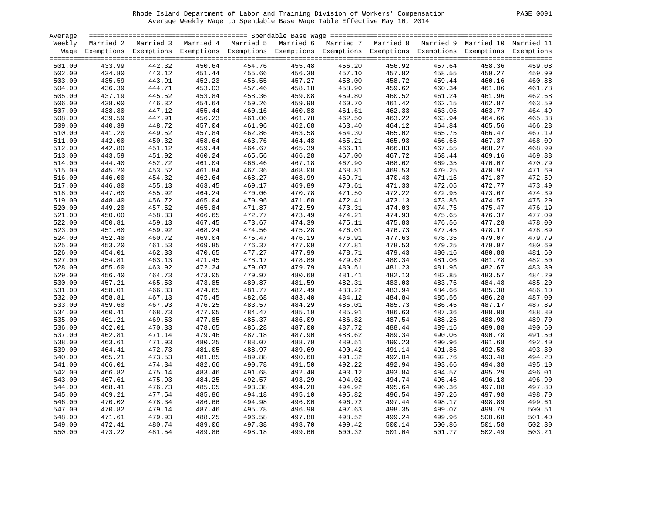Rhode Island Department of Labor and Training Division of Workers' Compensation PAGE 0091 Average Weekly Wage to Spendable Base Wage Table Effective May 10, 2014

| PAGE. | 0091 |  |
|-------|------|--|
|-------|------|--|

| Average |        |                                                                                                                    |        |        |        |        |        |        |        | $=$ $=$ $=$ $=$ |
|---------|--------|--------------------------------------------------------------------------------------------------------------------|--------|--------|--------|--------|--------|--------|--------|-----------------|
| Weekly  |        | Married 2 Married 3 Married 4 Married 5 Married 6 Married 7 Married 8 Married 9 Married 10 Married 11              |        |        |        |        |        |        |        |                 |
|         |        | Wage Exemptions Exemptions Exemptions Exemptions Exemptions Exemptions Exemptions Exemptions Exemptions Exemptions |        |        |        |        |        |        |        |                 |
|         |        |                                                                                                                    |        |        |        |        |        |        |        |                 |
| 501.00  | 433.99 | 442.32                                                                                                             | 450.64 | 454.76 | 455.48 | 456.20 | 456.92 | 457.64 | 458.36 | 459.08          |
| 502.00  | 434.80 | 443.12                                                                                                             | 451.44 | 455.66 | 456.38 | 457.10 | 457.82 | 458.55 | 459.27 | 459.99          |
| 503.00  | 435.59 | 443.91                                                                                                             | 452.23 | 456.55 | 457.27 | 458.00 | 458.72 | 459.44 | 460.16 | 460.88          |
| 504.00  | 436.39 | 444.71                                                                                                             | 453.03 | 457.46 | 458.18 | 458.90 | 459.62 | 460.34 | 461.06 | 461.78          |
| 505.00  | 437.19 | 445.52                                                                                                             | 453.84 | 458.36 | 459.08 | 459.80 | 460.52 | 461.24 | 461.96 | 462.68          |
|         |        |                                                                                                                    |        |        |        |        |        |        |        |                 |
| 506.00  | 438.00 | 446.32                                                                                                             | 454.64 | 459.26 | 459.98 | 460.70 | 461.42 | 462.15 | 462.87 | 463.59          |
| 507.00  | 438.80 | 447.12                                                                                                             | 455.44 | 460.16 | 460.88 | 461.61 | 462.33 | 463.05 | 463.77 | 464.49          |
| 508.00  | 439.59 | 447.91                                                                                                             | 456.23 | 461.06 | 461.78 | 462.50 | 463.22 | 463.94 | 464.66 | 465.38          |
| 509.00  | 440.39 | 448.72                                                                                                             | 457.04 | 461.96 | 462.68 | 463.40 | 464.12 | 464.84 | 465.56 | 466.28          |
| 510.00  | 441.20 | 449.52                                                                                                             | 457.84 | 462.86 | 463.58 | 464.30 | 465.02 | 465.75 | 466.47 | 467.19          |
| 511.00  | 442.00 | 450.32                                                                                                             | 458.64 | 463.76 | 464.48 | 465.21 | 465.93 | 466.65 | 467.37 | 468.09          |
| 512.00  | 442.80 | 451.12                                                                                                             | 459.44 | 464.67 | 465.39 | 466.11 | 466.83 | 467.55 | 468.27 | 468.99          |
| 513.00  | 443.59 | 451.92                                                                                                             | 460.24 | 465.56 | 466.28 | 467.00 | 467.72 | 468.44 | 469.16 | 469.88          |
| 514.00  | 444.40 | 452.72                                                                                                             | 461.04 | 466.46 | 467.18 | 467.90 | 468.62 | 469.35 | 470.07 | 470.79          |
| 515.00  | 445.20 | 453.52                                                                                                             | 461.84 | 467.36 | 468.08 | 468.81 | 469.53 | 470.25 | 470.97 | 471.69          |
| 516.00  | 446.00 | 454.32                                                                                                             | 462.64 | 468.27 | 468.99 | 469.71 | 470.43 | 471.15 | 471.87 | 472.59          |
| 517.00  | 446.80 | 455.13                                                                                                             | 463.45 | 469.17 | 469.89 | 470.61 | 471.33 | 472.05 | 472.77 | 473.49          |
| 518.00  | 447.60 | 455.92                                                                                                             | 464.24 | 470.06 | 470.78 | 471.50 | 472.22 | 472.95 | 473.67 | 474.39          |
| 519.00  | 448.40 | 456.72                                                                                                             | 465.04 | 470.96 | 471.68 | 472.41 | 473.13 | 473.85 | 474.57 | 475.29          |
| 520.00  | 449.20 | 457.52                                                                                                             | 465.84 | 471.87 | 472.59 | 473.31 | 474.03 | 474.75 | 475.47 | 476.19          |
| 521.00  | 450.00 | 458.33                                                                                                             | 466.65 | 472.77 | 473.49 | 474.21 | 474.93 | 475.65 | 476.37 | 477.09          |
| 522.00  | 450.81 | 459.13                                                                                                             | 467.45 | 473.67 | 474.39 | 475.11 | 475.83 | 476.56 | 477.28 | 478.00          |
| 523.00  | 451.60 | 459.92                                                                                                             | 468.24 | 474.56 | 475.28 | 476.01 | 476.73 | 477.45 | 478.17 | 478.89          |
| 524.00  | 452.40 | 460.72                                                                                                             | 469.04 | 475.47 | 476.19 | 476.91 | 477.63 | 478.35 | 479.07 | 479.79          |
| 525.00  | 453.20 | 461.53                                                                                                             | 469.85 | 476.37 | 477.09 | 477.81 | 478.53 | 479.25 | 479.97 | 480.69          |
|         | 454.01 | 462.33                                                                                                             | 470.65 | 477.27 | 477.99 | 478.71 | 479.43 | 480.16 | 480.88 | 481.60          |
| 526.00  |        |                                                                                                                    |        |        |        |        |        |        |        |                 |
| 527.00  | 454.81 | 463.13                                                                                                             | 471.45 | 478.17 | 478.89 | 479.62 | 480.34 | 481.06 | 481.78 | 482.50          |
| 528.00  | 455.60 | 463.92                                                                                                             | 472.24 | 479.07 | 479.79 | 480.51 | 481.23 | 481.95 | 482.67 | 483.39          |
| 529.00  | 456.40 | 464.73                                                                                                             | 473.05 | 479.97 | 480.69 | 481.41 | 482.13 | 482.85 | 483.57 | 484.29          |
| 530.00  | 457.21 | 465.53                                                                                                             | 473.85 | 480.87 | 481.59 | 482.31 | 483.03 | 483.76 | 484.48 | 485.20          |
| 531.00  | 458.01 | 466.33                                                                                                             | 474.65 | 481.77 | 482.49 | 483.22 | 483.94 | 484.66 | 485.38 | 486.10          |
| 532.00  | 458.81 | 467.13                                                                                                             | 475.45 | 482.68 | 483.40 | 484.12 | 484.84 | 485.56 | 486.28 | 487.00          |
| 533.00  | 459.60 | 467.93                                                                                                             | 476.25 | 483.57 | 484.29 | 485.01 | 485.73 | 486.45 | 487.17 | 487.89          |
| 534.00  | 460.41 | 468.73                                                                                                             | 477.05 | 484.47 | 485.19 | 485.91 | 486.63 | 487.36 | 488.08 | 488.80          |
| 535.00  | 461.21 | 469.53                                                                                                             | 477.85 | 485.37 | 486.09 | 486.82 | 487.54 | 488.26 | 488.98 | 489.70          |
| 536.00  | 462.01 | 470.33                                                                                                             | 478.65 | 486.28 | 487.00 | 487.72 | 488.44 | 489.16 | 489.88 | 490.60          |
| 537.00  | 462.81 | 471.14                                                                                                             | 479.46 | 487.18 | 487.90 | 488.62 | 489.34 | 490.06 | 490.78 | 491.50          |
| 538.00  | 463.61 | 471.93                                                                                                             | 480.25 | 488.07 | 488.79 | 489.51 | 490.23 | 490.96 | 491.68 | 492.40          |
| 539.00  | 464.41 | 472.73                                                                                                             | 481.05 | 488.97 | 489.69 | 490.42 | 491.14 | 491.86 | 492.58 | 493.30          |
| 540.00  | 465.21 | 473.53                                                                                                             | 481.85 | 489.88 | 490.60 | 491.32 | 492.04 | 492.76 | 493.48 | 494.20          |
| 541.00  | 466.01 | 474.34                                                                                                             | 482.66 | 490.78 | 491.50 | 492.22 | 492.94 | 493.66 | 494.38 | 495.10          |
| 542.00  | 466.82 | 475.14                                                                                                             | 483.46 | 491.68 | 492.40 | 493.12 | 493.84 | 494.57 | 495.29 | 496.01          |
| 543.00  | 467.61 | 475.93                                                                                                             | 484.25 | 492.57 | 493.29 | 494.02 | 494.74 | 495.46 | 496.18 | 496.90          |
| 544.00  | 468.41 | 476.73                                                                                                             | 485.05 | 493.38 | 494.20 | 494.92 | 495.64 | 496.36 | 497.08 | 497.80          |
| 545.00  | 469.21 | 477.54                                                                                                             | 485.86 | 494.18 | 495.10 | 495.82 | 496.54 | 497.26 | 497.98 | 498.70          |
| 546.00  | 470.02 | 478.34                                                                                                             | 486.66 | 494.98 | 496.00 | 496.72 | 497.44 | 498.17 | 498.89 | 499.61          |
| 547.00  | 470.82 | 479.14                                                                                                             | 487.46 | 495.78 | 496.90 | 497.63 | 498.35 | 499.07 | 499.79 | 500.51          |
| 548.00  | 471.61 | 479.93                                                                                                             | 488.25 | 496.58 | 497.80 | 498.52 | 499.24 | 499.96 | 500.68 | 501.40          |
| 549.00  | 472.41 | 480.74                                                                                                             | 489.06 | 497.38 | 498.70 | 499.42 | 500.14 | 500.86 | 501.58 | 502.30          |
| 550.00  | 473.22 | 481.54                                                                                                             | 489.86 | 498.18 | 499.60 | 500.32 | 501.04 | 501.77 | 502.49 | 503.21          |
|         |        |                                                                                                                    |        |        |        |        |        |        |        |                 |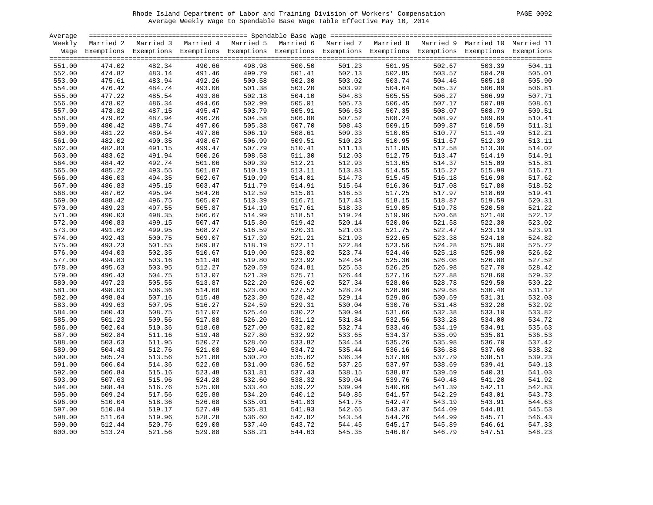| PAGE | 0092 |
|------|------|
|      |      |

| Average          |        |                                                                                                                    |                  |        |                  |                  |                  |                  |        |                  |
|------------------|--------|--------------------------------------------------------------------------------------------------------------------|------------------|--------|------------------|------------------|------------------|------------------|--------|------------------|
| Weekly           |        | Married 2 Married 3 Married 4 Married 5 Married 6 Married 7 Married 8 Married 9 Married 10 Married 11              |                  |        |                  |                  |                  |                  |        |                  |
|                  |        | Wage Exemptions Exemptions Exemptions Exemptions Exemptions Exemptions Exemptions Exemptions Exemptions Exemptions |                  |        |                  |                  |                  |                  |        |                  |
|                  |        |                                                                                                                    |                  |        |                  |                  |                  |                  |        |                  |
| 551.00           | 474.02 | 482.34                                                                                                             | 490.66           | 498.98 | 500.50           | 501.23           | 501.95           | 502.67           | 503.39 | 504.11           |
| 552.00           | 474.82 | 483.14                                                                                                             | 491.46           | 499.79 | 501.41           | 502.13           | 502.85           | 503.57           | 504.29 | 505.01           |
| 553.00           | 475.61 | 483.94                                                                                                             | 492.26           | 500.58 | 502.30           | 503.02           | 503.74           | 504.46           | 505.18 | 505.90           |
| 554.00           | 476.42 | 484.74                                                                                                             | 493.06           | 501.38 | 503.20           | 503.92           | 504.64           | 505.37           | 506.09 | 506.81           |
| 555.00           | 477.22 | 485.54                                                                                                             | 493.86           | 502.18 | 504.10           | 504.83           | 505.55           | 506.27           | 506.99 | 507.71           |
| 556.00           | 478.02 | 486.34                                                                                                             | 494.66           | 502.99 | 505.01           | 505.73           | 506.45           | 507.17           | 507.89 | 508.61           |
| 557.00           | 478.82 | 487.15                                                                                                             | 495.47           | 503.79 | 505.91           | 506.63           | 507.35           | 508.07           | 508.79 | 509.51           |
| 558.00           | 479.62 | 487.94                                                                                                             | 496.26           | 504.58 | 506.80           | 507.52           | 508.24           | 508.97           | 509.69 | 510.41           |
| 559.00           | 480.42 | 488.74                                                                                                             | 497.06           | 505.38 | 507.70           | 508.43           | 509.15           | 509.87           | 510.59 | 511.31           |
| 560.00           | 481.22 | 489.54                                                                                                             | 497.86           | 506.19 | 508.61           | 509.33           | 510.05           | 510.77           | 511.49 | 512.21           |
| 561.00           | 482.02 | 490.35                                                                                                             | 498.67           | 506.99 | 509.51           | 510.23           | 510.95           | 511.67           | 512.39 | 513.11           |
| 562.00           | 482.83 | 491.15                                                                                                             | 499.47           | 507.79 | 510.41           | 511.13           | 511.85           | 512.58           | 513.30 | 514.02           |
| 563.00           | 483.62 | 491.94                                                                                                             | 500.26           | 508.58 | 511.30           | 512.03           | 512.75           | 513.47           | 514.19 | 514.91           |
| 564.00           | 484.42 | 492.74                                                                                                             | 501.06           | 509.39 | 512.21           | 512.93           | 513.65           | 514.37           | 515.09 | 515.81           |
| 565.00           | 485.22 | 493.55                                                                                                             | 501.87           | 510.19 | 513.11           | 513.83           | 514.55           | 515.27           | 515.99 | 516.71           |
| 566.00           | 486.03 | 494.35                                                                                                             | 502.67           | 510.99 | 514.01           | 514.73           | 515.45           | 516.18           | 516.90 | 517.62           |
| 567.00           | 486.83 | 495.15                                                                                                             | 503.47           | 511.79 | 514.91           | 515.64           | 516.36           | 517.08           | 517.80 | 518.52           |
| 568.00           | 487.62 | 495.94                                                                                                             | 504.26           | 512.59 | 515.81           | 516.53           | 517.25           | 517.97           | 518.69 | 519.41           |
| 569.00           | 488.42 | 496.75                                                                                                             | 505.07           | 513.39 | 516.71           | 517.43           | 518.15           | 518.87           | 519.59 | 520.31           |
| 570.00           | 489.23 | 497.55                                                                                                             | 505.87           | 514.19 | 517.61           | 518.33           | 519.05           | 519.78           | 520.50 | 521.22           |
| 571.00           | 490.03 | 498.35                                                                                                             | 506.67           | 514.99 | 518.51           | 519.24           | 519.96           | 520.68           | 521.40 | 522.12           |
| 572.00           | 490.83 | 499.15                                                                                                             | 507.47           | 515.80 | 519.42           | 520.14           | 520.86           | 521.58           | 522.30 | 523.02           |
| 573.00           | 491.62 | 499.95                                                                                                             | 508.27           | 516.59 | 520.31           | 521.03           | 521.75           | 522.47           | 523.19 | 523.91           |
| 574.00           | 492.43 | 500.75                                                                                                             | 509.07           | 517.39 | 521.21           | 521.93           | 522.65           | 523.38           | 524.10 | 524.82           |
| 575.00           | 493.23 | 501.55                                                                                                             | 509.87           | 518.19 | 522.11           | 522.84           | 523.56           | 524.28           | 525.00 | 525.72           |
| 576.00           | 494.03 | 502.35                                                                                                             | 510.67           | 519.00 | 523.02           | 523.74           | 524.46           | 525.18           | 525.90 | 526.62           |
| 577.00           | 494.83 | 503.16                                                                                                             |                  | 519.80 | 523.92           |                  | 525.36           |                  | 526.80 |                  |
|                  | 495.63 |                                                                                                                    | 511.48<br>512.27 | 520.59 | 524.81           | 524.64<br>525.53 |                  | 526.08<br>526.98 | 527.70 | 527.52<br>528.42 |
| 578.00           | 496.43 | 503.95<br>504.75                                                                                                   | 513.07           | 521.39 | 525.71           | 526.44           | 526.25<br>527.16 | 527.88           | 528.60 | 529.32           |
| 579.00           | 497.23 |                                                                                                                    |                  | 522.20 |                  | 527.34           |                  |                  | 529.50 |                  |
| 580.00<br>581.00 | 498.03 | 505.55                                                                                                             | 513.87<br>514.68 | 523.00 | 526.62<br>527.52 | 528.24           | 528.06<br>528.96 | 528.78           |        | 530.22<br>531.12 |
|                  |        | 506.36<br>507.16                                                                                                   |                  |        | 528.42           | 529.14           |                  | 529.68           | 530.40 |                  |
| 582.00           | 498.84 |                                                                                                                    | 515.48           | 523.80 |                  |                  | 529.86           | 530.59           | 531.31 | 532.03           |
| 583.00           | 499.63 | 507.95                                                                                                             | 516.27           | 524.59 | 529.31           | 530.04           | 530.76           | 531.48           | 532.20 | 532.92           |
| 584.00           | 500.43 | 508.75                                                                                                             | 517.07           | 525.40 | 530.22           | 530.94           | 531.66           | 532.38           | 533.10 | 533.82           |
| 585.00           | 501.23 | 509.56                                                                                                             | 517.88           | 526.20 | 531.12           | 531.84           | 532.56           | 533.28           | 534.00 | 534.72           |
| 586.00           | 502.04 | 510.36                                                                                                             | 518.68           | 527.00 | 532.02           | 532.74           | 533.46           | 534.19           | 534.91 | 535.63           |
| 587.00           | 502.84 | 511.16                                                                                                             | 519.48           | 527.80 | 532.92           | 533.65           | 534.37           | 535.09           | 535.81 | 536.53           |
| 588.00           | 503.63 | 511.95                                                                                                             | 520.27           | 528.60 | 533.82           | 534.54           | 535.26           | 535.98           | 536.70 | 537.42           |
| 589.00           | 504.43 | 512.76                                                                                                             | 521.08           | 529.40 | 534.72           | 535.44           | 536.16           | 536.88           | 537.60 | 538.32           |
| 590.00           | 505.24 | 513.56                                                                                                             | 521.88           | 530.20 | 535.62           | 536.34           | 537.06           | 537.79           | 538.51 | 539.23           |
| 591.00           | 506.04 | 514.36                                                                                                             | 522.68           | 531.00 | 536.52           | 537.25           | 537.97           | 538.69           | 539.41 | 540.13           |
| 592.00           | 506.84 | 515.16                                                                                                             | 523.48           | 531.81 | 537.43           | 538.15           | 538.87           | 539.59           | 540.31 | 541.03           |
| 593.00           | 507.63 | 515.96                                                                                                             | 524.28           | 532.60 | 538.32           | 539.04           | 539.76           | 540.48           | 541.20 | 541.92           |
| 594.00           | 508.44 | 516.76                                                                                                             | 525.08           | 533.40 | 539.22           | 539.94           | 540.66           | 541.39           | 542.11 | 542.83           |
| 595.00           | 509.24 | 517.56                                                                                                             | 525.88           | 534.20 | 540.12           | 540.85           | 541.57           | 542.29           | 543.01 | 543.73           |
| 596.00           | 510.04 | 518.36                                                                                                             | 526.68           | 535.01 | 541.03           | 541.75           | 542.47           | 543.19           | 543.91 | 544.63           |
| 597.00           | 510.84 | 519.17                                                                                                             | 527.49           | 535.81 | 541.93           | 542.65           | 543.37           | 544.09           | 544.81 | 545.53           |
| 598.00           | 511.64 | 519.96                                                                                                             | 528.28           | 536.60 | 542.82           | 543.54           | 544.26           | 544.99           | 545.71 | 546.43           |
| 599.00           | 512.44 | 520.76                                                                                                             | 529.08           | 537.40 | 543.72           | 544.45           | 545.17           | 545.89           | 546.61 | 547.33           |
| 600.00           | 513.24 | 521.56                                                                                                             | 529.88           | 538.21 | 544.63           | 545.35           | 546.07           | 546.79           | 547.51 | 548.23           |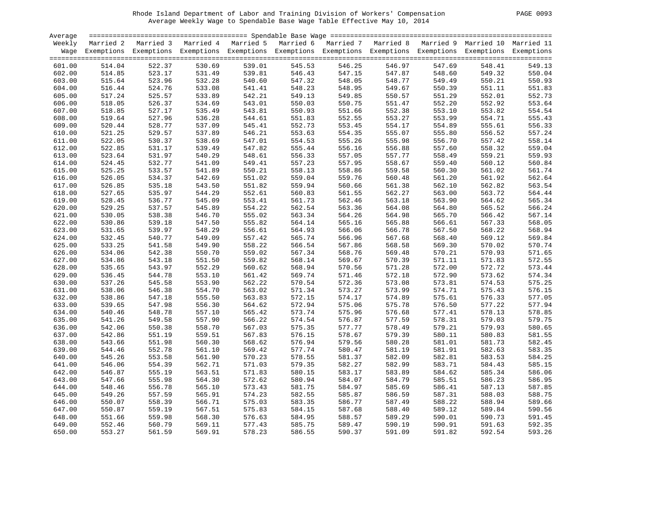| PAGE | 0093 |
|------|------|
|      |      |

| Average |        |                                                                                                                    |        |        |        |        |        |        |        |        |
|---------|--------|--------------------------------------------------------------------------------------------------------------------|--------|--------|--------|--------|--------|--------|--------|--------|
| Weekly  |        | Married 2 Married 3 Married 4 Married 5 Married 6 Married 7 Married 8 Married 9 Married 10 Married 11              |        |        |        |        |        |        |        |        |
|         |        | Wage Exemptions Exemptions Exemptions Exemptions Exemptions Exemptions Exemptions Exemptions Exemptions Exemptions |        |        |        |        |        |        |        |        |
|         |        |                                                                                                                    |        |        |        |        |        |        |        |        |
| 601.00  | 514.04 | 522.37                                                                                                             | 530.69 | 539.01 | 545.53 | 546.25 | 546.97 | 547.69 | 548.41 | 549.13 |
| 602.00  | 514.85 | 523.17                                                                                                             | 531.49 | 539.81 | 546.43 | 547.15 | 547.87 | 548.60 | 549.32 | 550.04 |
| 603.00  | 515.64 | 523.96                                                                                                             | 532.28 | 540.60 | 547.32 | 548.05 | 548.77 | 549.49 | 550.21 | 550.93 |
| 604.00  | 516.44 | 524.76                                                                                                             | 533.08 | 541.41 | 548.23 | 548.95 | 549.67 | 550.39 | 551.11 | 551.83 |
| 605.00  | 517.24 | 525.57                                                                                                             | 533.89 | 542.21 | 549.13 | 549.85 | 550.57 | 551.29 | 552.01 | 552.73 |
| 606.00  | 518.05 | 526.37                                                                                                             | 534.69 | 543.01 | 550.03 | 550.75 | 551.47 | 552.20 | 552.92 | 553.64 |
| 607.00  | 518.85 | 527.17                                                                                                             | 535.49 | 543.81 | 550.93 | 551.66 | 552.38 | 553.10 | 553.82 | 554.54 |
| 608.00  | 519.64 | 527.96                                                                                                             | 536.28 | 544.61 | 551.83 | 552.55 | 553.27 | 553.99 | 554.71 | 555.43 |
| 609.00  | 520.44 | 528.77                                                                                                             | 537.09 | 545.41 | 552.73 | 553.45 | 554.17 | 554.89 | 555.61 | 556.33 |
| 610.00  | 521.25 | 529.57                                                                                                             | 537.89 | 546.21 | 553.63 | 554.35 | 555.07 | 555.80 | 556.52 | 557.24 |
| 611.00  | 522.05 | 530.37                                                                                                             | 538.69 | 547.01 | 554.53 | 555.26 | 555.98 | 556.70 | 557.42 | 558.14 |
| 612.00  | 522.85 | 531.17                                                                                                             | 539.49 | 547.82 | 555.44 | 556.16 | 556.88 | 557.60 | 558.32 | 559.04 |
|         |        |                                                                                                                    | 540.29 | 548.61 |        |        | 557.77 |        | 559.21 |        |
| 613.00  | 523.64 | 531.97                                                                                                             |        |        | 556.33 | 557.05 |        | 558.49 |        | 559.93 |
| 614.00  | 524.45 | 532.77                                                                                                             | 541.09 | 549.41 | 557.23 | 557.95 | 558.67 | 559.40 | 560.12 | 560.84 |
| 615.00  | 525.25 | 533.57                                                                                                             | 541.89 | 550.21 | 558.13 | 558.86 | 559.58 | 560.30 | 561.02 | 561.74 |
| 616.00  | 526.05 | 534.37                                                                                                             | 542.69 | 551.02 | 559.04 | 559.76 | 560.48 | 561.20 | 561.92 | 562.64 |
| 617.00  | 526.85 | 535.18                                                                                                             | 543.50 | 551.82 | 559.94 | 560.66 | 561.38 | 562.10 | 562.82 | 563.54 |
| 618.00  | 527.65 | 535.97                                                                                                             | 544.29 | 552.61 | 560.83 | 561.55 | 562.27 | 563.00 | 563.72 | 564.44 |
| 619.00  | 528.45 | 536.77                                                                                                             | 545.09 | 553.41 | 561.73 | 562.46 | 563.18 | 563.90 | 564.62 | 565.34 |
| 620.00  | 529.25 | 537.57                                                                                                             | 545.89 | 554.22 | 562.54 | 563.36 | 564.08 | 564.80 | 565.52 | 566.24 |
| 621.00  | 530.05 | 538.38                                                                                                             | 546.70 | 555.02 | 563.34 | 564.26 | 564.98 | 565.70 | 566.42 | 567.14 |
| 622.00  | 530.86 | 539.18                                                                                                             | 547.50 | 555.82 | 564.14 | 565.16 | 565.88 | 566.61 | 567.33 | 568.05 |
| 623.00  | 531.65 | 539.97                                                                                                             | 548.29 | 556.61 | 564.93 | 566.06 | 566.78 | 567.50 | 568.22 | 568.94 |
| 624.00  | 532.45 | 540.77                                                                                                             | 549.09 | 557.42 | 565.74 | 566.96 | 567.68 | 568.40 | 569.12 | 569.84 |
| 625.00  | 533.25 | 541.58                                                                                                             | 549.90 | 558.22 | 566.54 | 567.86 | 568.58 | 569.30 | 570.02 | 570.74 |
| 626.00  | 534.06 | 542.38                                                                                                             | 550.70 | 559.02 | 567.34 | 568.76 | 569.48 | 570.21 | 570.93 | 571.65 |
| 627.00  | 534.86 | 543.18                                                                                                             | 551.50 | 559.82 | 568.14 | 569.67 | 570.39 | 571.11 | 571.83 | 572.55 |
| 628.00  | 535.65 | 543.97                                                                                                             | 552.29 | 560.62 | 568.94 | 570.56 | 571.28 | 572.00 | 572.72 | 573.44 |
| 629.00  | 536.45 | 544.78                                                                                                             | 553.10 | 561.42 | 569.74 | 571.46 | 572.18 | 572.90 | 573.62 | 574.34 |
| 630.00  | 537.26 | 545.58                                                                                                             | 553.90 | 562.22 | 570.54 | 572.36 | 573.08 | 573.81 | 574.53 | 575.25 |
| 631.00  | 538.06 | 546.38                                                                                                             | 554.70 | 563.02 | 571.34 | 573.27 | 573.99 | 574.71 | 575.43 | 576.15 |
| 632.00  | 538.86 | 547.18                                                                                                             | 555.50 | 563.83 | 572.15 | 574.17 | 574.89 | 575.61 | 576.33 | 577.05 |
| 633.00  | 539.65 | 547.98                                                                                                             | 556.30 | 564.62 | 572.94 | 575.06 | 575.78 | 576.50 | 577.22 | 577.94 |
| 634.00  | 540.46 | 548.78                                                                                                             | 557.10 | 565.42 | 573.74 | 575.96 | 576.68 | 577.41 | 578.13 | 578.85 |
| 635.00  | 541.26 | 549.58                                                                                                             | 557.90 | 566.22 | 574.54 | 576.87 | 577.59 | 578.31 | 579.03 | 579.75 |
| 636.00  | 542.06 | 550.38                                                                                                             | 558.70 | 567.03 | 575.35 | 577.77 | 578.49 | 579.21 | 579.93 | 580.65 |
| 637.00  | 542.86 | 551.19                                                                                                             | 559.51 | 567.83 | 576.15 | 578.67 | 579.39 | 580.11 | 580.83 | 581.55 |
| 638.00  | 543.66 | 551.98                                                                                                             | 560.30 | 568.62 | 576.94 | 579.56 | 580.28 | 581.01 | 581.73 | 582.45 |
| 639.00  | 544.46 | 552.78                                                                                                             | 561.10 | 569.42 | 577.74 | 580.47 | 581.19 | 581.91 | 582.63 | 583.35 |
| 640.00  | 545.26 | 553.58                                                                                                             | 561.90 | 570.23 | 578.55 | 581.37 | 582.09 | 582.81 | 583.53 | 584.25 |
| 641.00  | 546.06 | 554.39                                                                                                             | 562.71 | 571.03 | 579.35 | 582.27 | 582.99 | 583.71 | 584.43 | 585.15 |
| 642.00  | 546.87 | 555.19                                                                                                             | 563.51 | 571.83 | 580.15 | 583.17 | 583.89 | 584.62 | 585.34 | 586.06 |
| 643.00  | 547.66 | 555.98                                                                                                             | 564.30 | 572.62 | 580.94 | 584.07 | 584.79 | 585.51 | 586.23 | 586.95 |
| 644.00  | 548.46 | 556.78                                                                                                             | 565.10 | 573.43 | 581.75 | 584.97 | 585.69 | 586.41 | 587.13 | 587.85 |
| 645.00  | 549.26 | 557.59                                                                                                             | 565.91 | 574.23 | 582.55 | 585.87 | 586.59 | 587.31 | 588.03 | 588.75 |
| 646.00  | 550.07 | 558.39                                                                                                             | 566.71 | 575.03 | 583.35 | 586.77 | 587.49 | 588.22 | 588.94 | 589.66 |
| 647.00  | 550.87 | 559.19                                                                                                             | 567.51 | 575.83 | 584.15 | 587.68 | 588.40 | 589.12 | 589.84 | 590.56 |
| 648.00  | 551.66 | 559.98                                                                                                             | 568.30 | 576.63 | 584.95 | 588.57 | 589.29 | 590.01 | 590.73 | 591.45 |
| 649.00  | 552.46 | 560.79                                                                                                             | 569.11 | 577.43 | 585.75 | 589.47 | 590.19 | 590.91 | 591.63 | 592.35 |
| 650.00  | 553.27 | 561.59                                                                                                             | 569.91 | 578.23 | 586.55 | 590.37 | 591.09 | 591.82 | 592.54 | 593.26 |
|         |        |                                                                                                                    |        |        |        |        |        |        |        |        |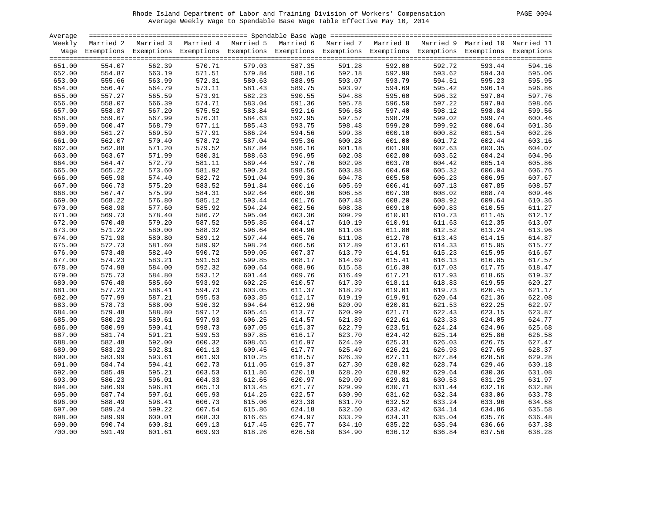| <b>PAGE</b> |  | 0094 |
|-------------|--|------|
|-------------|--|------|

| Average |           |                                                                                                                    |        |        |                                                                                   |        |        |        |        |        |
|---------|-----------|--------------------------------------------------------------------------------------------------------------------|--------|--------|-----------------------------------------------------------------------------------|--------|--------|--------|--------|--------|
| Weekly  | Married 2 | Married 3                                                                                                          |        |        | Married 4 Married 5 Married 6 Married 7 Married 8 Married 9 Married 10 Married 11 |        |        |        |        |        |
|         |           | Wage Exemptions Exemptions Exemptions Exemptions Exemptions Exemptions Exemptions Exemptions Exemptions Exemptions |        |        |                                                                                   |        |        |        |        |        |
|         |           |                                                                                                                    |        |        |                                                                                   |        |        |        |        |        |
| 651.00  | 554.07    | 562.39                                                                                                             | 570.71 | 579.03 | 587.35                                                                            | 591.28 | 592.00 | 592.72 | 593.44 | 594.16 |
| 652.00  | 554.87    | 563.19                                                                                                             | 571.51 | 579.84 | 588.16                                                                            | 592.18 | 592.90 | 593.62 | 594.34 | 595.06 |
| 653.00  | 555.66    | 563.99                                                                                                             | 572.31 | 580.63 | 588.95                                                                            | 593.07 | 593.79 | 594.51 | 595.23 | 595.95 |
| 654.00  | 556.47    | 564.79                                                                                                             | 573.11 | 581.43 | 589.75                                                                            | 593.97 | 594.69 | 595.42 | 596.14 | 596.86 |
|         |           |                                                                                                                    | 573.91 | 582.23 | 590.55                                                                            |        |        | 596.32 | 597.04 | 597.76 |
| 655.00  | 557.27    | 565.59                                                                                                             |        |        |                                                                                   | 594.88 | 595.60 |        |        |        |
| 656.00  | 558.07    | 566.39                                                                                                             | 574.71 | 583.04 | 591.36                                                                            | 595.78 | 596.50 | 597.22 | 597.94 | 598.66 |
| 657.00  | 558.87    | 567.20                                                                                                             | 575.52 | 583.84 | 592.16                                                                            | 596.68 | 597.40 | 598.12 | 598.84 | 599.56 |
| 658.00  | 559.67    | 567.99                                                                                                             | 576.31 | 584.63 | 592.95                                                                            | 597.57 | 598.29 | 599.02 | 599.74 | 600.46 |
| 659.00  | 560.47    | 568.79                                                                                                             | 577.11 | 585.43 | 593.75                                                                            | 598.48 | 599.20 | 599.92 | 600.64 | 601.36 |
| 660.00  | 561.27    | 569.59                                                                                                             | 577.91 | 586.24 | 594.56                                                                            | 599.38 | 600.10 | 600.82 | 601.54 | 602.26 |
| 661.00  | 562.07    | 570.40                                                                                                             | 578.72 | 587.04 | 595.36                                                                            | 600.28 | 601.00 | 601.72 | 602.44 | 603.16 |
| 662.00  | 562.88    | 571.20                                                                                                             | 579.52 | 587.84 | 596.16                                                                            | 601.18 | 601.90 | 602.63 | 603.35 | 604.07 |
| 663.00  | 563.67    | 571.99                                                                                                             | 580.31 | 588.63 | 596.95                                                                            | 602.08 | 602.80 | 603.52 | 604.24 | 604.96 |
| 664.00  | 564.47    | 572.79                                                                                                             | 581.11 | 589.44 | 597.76                                                                            | 602.98 | 603.70 | 604.42 | 605.14 | 605.86 |
| 665.00  | 565.22    | 573.60                                                                                                             | 581.92 | 590.24 | 598.56                                                                            | 603.88 | 604.60 | 605.32 | 606.04 | 606.76 |
| 666.00  | 565.98    | 574.40                                                                                                             | 582.72 | 591.04 | 599.36                                                                            | 604.78 | 605.50 | 606.23 | 606.95 | 607.67 |
| 667.00  | 566.73    | 575.20                                                                                                             | 583.52 | 591.84 | 600.16                                                                            | 605.69 | 606.41 | 607.13 | 607.85 | 608.57 |
| 668.00  | 567.47    | 575.99                                                                                                             | 584.31 | 592.64 | 600.96                                                                            | 606.58 | 607.30 | 608.02 | 608.74 | 609.46 |
| 669.00  | 568.22    | 576.80                                                                                                             | 585.12 | 593.44 | 601.76                                                                            | 607.48 | 608.20 | 608.92 | 609.64 | 610.36 |
| 670.00  | 568.98    | 577.60                                                                                                             | 585.92 | 594.24 | 602.56                                                                            | 608.38 | 609.10 | 609.83 | 610.55 | 611.27 |
| 671.00  | 569.73    | 578.40                                                                                                             | 586.72 | 595.04 | 603.36                                                                            | 609.29 | 610.01 | 610.73 | 611.45 | 612.17 |
| 672.00  | 570.48    | 579.20                                                                                                             | 587.52 | 595.85 | 604.17                                                                            | 610.19 | 610.91 | 611.63 | 612.35 | 613.07 |
| 673.00  | 571.22    | 580.00                                                                                                             | 588.32 | 596.64 | 604.96                                                                            | 611.08 | 611.80 | 612.52 | 613.24 | 613.96 |
| 674.00  | 571.98    | 580.80                                                                                                             | 589.12 | 597.44 | 605.76                                                                            | 611.98 | 612.70 | 613.43 | 614.15 | 614.87 |
| 675.00  | 572.73    | 581.60                                                                                                             | 589.92 | 598.24 | 606.56                                                                            | 612.89 | 613.61 | 614.33 | 615.05 | 615.77 |
| 676.00  | 573.48    | 582.40                                                                                                             | 590.72 | 599.05 | 607.37                                                                            | 613.79 | 614.51 | 615.23 | 615.95 | 616.67 |
| 677.00  | 574.23    | 583.21                                                                                                             | 591.53 | 599.85 | 608.17                                                                            | 614.69 | 615.41 | 616.13 | 616.85 | 617.57 |
| 678.00  | 574.98    | 584.00                                                                                                             | 592.32 | 600.64 | 608.96                                                                            | 615.58 | 616.30 | 617.03 | 617.75 | 618.47 |
| 679.00  | 575.73    | 584.80                                                                                                             | 593.12 | 601.44 | 609.76                                                                            | 616.49 | 617.21 | 617.93 | 618.65 | 619.37 |
| 680.00  | 576.48    | 585.60                                                                                                             | 593.92 | 602.25 | 610.57                                                                            | 617.39 | 618.11 | 618.83 | 619.55 | 620.27 |
| 681.00  | 577.23    | 586.41                                                                                                             | 594.73 | 603.05 | 611.37                                                                            | 618.29 | 619.01 | 619.73 | 620.45 | 621.17 |
| 682.00  | 577.99    | 587.21                                                                                                             | 595.53 | 603.85 | 612.17                                                                            | 619.19 | 619.91 | 620.64 | 621.36 | 622.08 |
| 683.00  | 578.73    | 588.00                                                                                                             | 596.32 | 604.64 | 612.96                                                                            | 620.09 | 620.81 | 621.53 | 622.25 | 622.97 |
| 684.00  | 579.48    | 588.80                                                                                                             | 597.12 | 605.45 | 613.77                                                                            | 620.99 | 621.71 | 622.43 | 623.15 | 623.87 |
| 685.00  | 580.23    | 589.61                                                                                                             | 597.93 | 606.25 | 614.57                                                                            | 621.89 | 622.61 | 623.33 | 624.05 | 624.77 |
| 686.00  | 580.99    | 590.41                                                                                                             | 598.73 | 607.05 | 615.37                                                                            | 622.79 | 623.51 | 624.24 | 624.96 | 625.68 |
| 687.00  | 581.74    | 591.21                                                                                                             | 599.53 | 607.85 | 616.17                                                                            | 623.70 | 624.42 | 625.14 | 625.86 | 626.58 |
|         |           | 592.00                                                                                                             |        | 608.65 |                                                                                   | 624.59 | 625.31 |        |        |        |
| 688.00  | 582.48    |                                                                                                                    | 600.32 |        | 616.97                                                                            |        |        | 626.03 | 626.75 | 627.47 |
| 689.00  | 583.23    | 592.81                                                                                                             | 601.13 | 609.45 | 617.77                                                                            | 625.49 | 626.21 | 626.93 | 627.65 | 628.37 |
| 690.00  | 583.99    | 593.61                                                                                                             | 601.93 | 610.25 | 618.57                                                                            | 626.39 | 627.11 | 627.84 | 628.56 | 629.28 |
| 691.00  | 584.74    | 594.41                                                                                                             | 602.73 | 611.05 | 619.37                                                                            | 627.30 | 628.02 | 628.74 | 629.46 | 630.18 |
| 692.00  | 585.49    | 595.21                                                                                                             | 603.53 | 611.86 | 620.18                                                                            | 628.20 | 628.92 | 629.64 | 630.36 | 631.08 |
| 693.00  | 586.23    | 596.01                                                                                                             | 604.33 | 612.65 | 620.97                                                                            | 629.09 | 629.81 | 630.53 | 631.25 | 631.97 |
| 694.00  | 586.99    | 596.81                                                                                                             | 605.13 | 613.45 | 621.77                                                                            | 629.99 | 630.71 | 631.44 | 632.16 | 632.88 |
| 695.00  | 587.74    | 597.61                                                                                                             | 605.93 | 614.25 | 622.57                                                                            | 630.90 | 631.62 | 632.34 | 633.06 | 633.78 |
| 696.00  | 588.49    | 598.41                                                                                                             | 606.73 | 615.06 | 623.38                                                                            | 631.70 | 632.52 | 633.24 | 633.96 | 634.68 |
| 697.00  | 589.24    | 599.22                                                                                                             | 607.54 | 615.86 | 624.18                                                                            | 632.50 | 633.42 | 634.14 | 634.86 | 635.58 |
| 698.00  | 589.99    | 600.01                                                                                                             | 608.33 | 616.65 | 624.97                                                                            | 633.29 | 634.31 | 635.04 | 635.76 | 636.48 |
| 699.00  | 590.74    | 600.81                                                                                                             | 609.13 | 617.45 | 625.77                                                                            | 634.10 | 635.22 | 635.94 | 636.66 | 637.38 |
| 700.00  | 591.49    | 601.61                                                                                                             | 609.93 | 618.26 | 626.58                                                                            | 634.90 | 636.12 | 636.84 | 637.56 | 638.28 |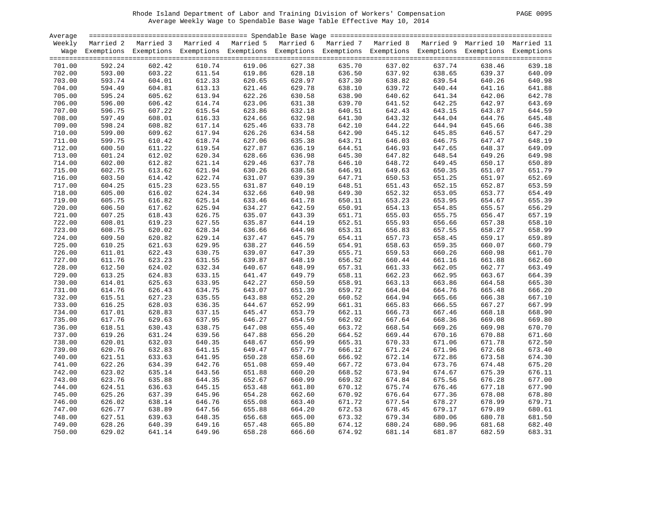| PAGE | 0095 |
|------|------|
|------|------|

| Average |        |                                                                                                                    |        |        |        |        |        |        |        |        |
|---------|--------|--------------------------------------------------------------------------------------------------------------------|--------|--------|--------|--------|--------|--------|--------|--------|
| Weekly  |        | Married 2 Married 3 Married 4 Married 5 Married 6 Married 7 Married 8 Married 9 Married 10 Married 11              |        |        |        |        |        |        |        |        |
|         |        | Wage Exemptions Exemptions Exemptions Exemptions Exemptions Exemptions Exemptions Exemptions Exemptions Exemptions |        |        |        |        |        |        |        |        |
|         |        |                                                                                                                    |        |        |        |        |        |        |        |        |
| 701.00  | 592.24 | 602.42                                                                                                             | 610.74 | 619.06 | 627.38 | 635.70 | 637.02 | 637.74 | 638.46 | 639.18 |
| 702.00  | 593.00 | 603.22                                                                                                             | 611.54 | 619.86 | 628.18 | 636.50 | 637.92 | 638.65 | 639.37 | 640.09 |
| 703.00  | 593.74 | 604.01                                                                                                             | 612.33 | 620.65 | 628.97 | 637.30 | 638.82 | 639.54 | 640.26 | 640.98 |
| 704.00  | 594.49 | 604.81                                                                                                             | 613.13 | 621.46 | 629.78 | 638.10 | 639.72 | 640.44 | 641.16 | 641.88 |
| 705.00  | 595.24 | 605.62                                                                                                             | 613.94 | 622.26 | 630.58 | 638.90 | 640.62 | 641.34 | 642.06 | 642.78 |
| 706.00  | 596.00 | 606.42                                                                                                             | 614.74 | 623.06 | 631.38 | 639.70 | 641.52 | 642.25 | 642.97 | 643.69 |
| 707.00  | 596.75 | 607.22                                                                                                             | 615.54 | 623.86 | 632.18 | 640.51 | 642.43 | 643.15 | 643.87 | 644.59 |
|         |        |                                                                                                                    |        |        |        | 641.30 |        | 644.04 | 644.76 | 645.48 |
| 708.00  | 597.49 | 608.01                                                                                                             | 616.33 | 624.66 | 632.98 |        | 643.32 |        |        |        |
| 709.00  | 598.24 | 608.82                                                                                                             | 617.14 | 625.46 | 633.78 | 642.10 | 644.22 | 644.94 | 645.66 | 646.38 |
| 710.00  | 599.00 | 609.62                                                                                                             | 617.94 | 626.26 | 634.58 | 642.90 | 645.12 | 645.85 | 646.57 | 647.29 |
| 711.00  | 599.75 | 610.42                                                                                                             | 618.74 | 627.06 | 635.38 | 643.71 | 646.03 | 646.75 | 647.47 | 648.19 |
| 712.00  | 600.50 | 611.22                                                                                                             | 619.54 | 627.87 | 636.19 | 644.51 | 646.93 | 647.65 | 648.37 | 649.09 |
| 713.00  | 601.24 | 612.02                                                                                                             | 620.34 | 628.66 | 636.98 | 645.30 | 647.82 | 648.54 | 649.26 | 649.98 |
| 714.00  | 602.00 | 612.82                                                                                                             | 621.14 | 629.46 | 637.78 | 646.10 | 648.72 | 649.45 | 650.17 | 650.89 |
| 715.00  | 602.75 | 613.62                                                                                                             | 621.94 | 630.26 | 638.58 | 646.91 | 649.63 | 650.35 | 651.07 | 651.79 |
| 716.00  | 603.50 | 614.42                                                                                                             | 622.74 | 631.07 | 639.39 | 647.71 | 650.53 | 651.25 | 651.97 | 652.69 |
| 717.00  | 604.25 | 615.23                                                                                                             | 623.55 | 631.87 | 640.19 | 648.51 | 651.43 | 652.15 | 652.87 | 653.59 |
| 718.00  | 605.00 | 616.02                                                                                                             | 624.34 | 632.66 | 640.98 | 649.30 | 652.32 | 653.05 | 653.77 | 654.49 |
| 719.00  | 605.75 | 616.82                                                                                                             | 625.14 | 633.46 | 641.78 | 650.11 | 653.23 | 653.95 | 654.67 | 655.39 |
| 720.00  | 606.50 | 617.62                                                                                                             | 625.94 | 634.27 | 642.59 | 650.91 | 654.13 | 654.85 | 655.57 | 656.29 |
| 721.00  | 607.25 | 618.43                                                                                                             | 626.75 | 635.07 | 643.39 | 651.71 | 655.03 | 655.75 | 656.47 | 657.19 |
| 722.00  | 608.01 | 619.23                                                                                                             | 627.55 | 635.87 | 644.19 | 652.51 | 655.93 | 656.66 | 657.38 | 658.10 |
| 723.00  | 608.75 | 620.02                                                                                                             | 628.34 | 636.66 | 644.98 | 653.31 | 656.83 | 657.55 | 658.27 | 658.99 |
| 724.00  | 609.50 | 620.82                                                                                                             | 629.14 | 637.47 | 645.79 | 654.11 | 657.73 | 658.45 | 659.17 | 659.89 |
| 725.00  | 610.25 | 621.63                                                                                                             | 629.95 | 638.27 | 646.59 | 654.91 | 658.63 | 659.35 | 660.07 | 660.79 |
| 726.00  | 611.01 | 622.43                                                                                                             | 630.75 | 639.07 | 647.39 | 655.71 | 659.53 | 660.26 | 660.98 | 661.70 |
| 727.00  | 611.76 | 623.23                                                                                                             | 631.55 | 639.87 | 648.19 | 656.52 | 660.44 | 661.16 | 661.88 | 662.60 |
| 728.00  | 612.50 | 624.02                                                                                                             | 632.34 | 640.67 | 648.99 | 657.31 | 661.33 | 662.05 | 662.77 | 663.49 |
| 729.00  | 613.25 | 624.83                                                                                                             | 633.15 | 641.47 | 649.79 | 658.11 | 662.23 | 662.95 | 663.67 | 664.39 |
| 730.00  | 614.01 | 625.63                                                                                                             | 633.95 | 642.27 | 650.59 | 658.91 | 663.13 | 663.86 | 664.58 | 665.30 |
| 731.00  | 614.76 | 626.43                                                                                                             | 634.75 | 643.07 | 651.39 | 659.72 | 664.04 | 664.76 | 665.48 | 666.20 |
| 732.00  | 615.51 | 627.23                                                                                                             | 635.55 | 643.88 | 652.20 | 660.52 | 664.94 | 665.66 | 666.38 | 667.10 |
|         |        |                                                                                                                    |        |        |        |        |        |        |        |        |
| 733.00  | 616.25 | 628.03                                                                                                             | 636.35 | 644.67 | 652.99 | 661.31 | 665.83 | 666.55 | 667.27 | 667.99 |
| 734.00  | 617.01 | 628.83                                                                                                             | 637.15 | 645.47 | 653.79 | 662.11 | 666.73 | 667.46 | 668.18 | 668.90 |
| 735.00  | 617.76 | 629.63                                                                                                             | 637.95 | 646.27 | 654.59 | 662.92 | 667.64 | 668.36 | 669.08 | 669.80 |
| 736.00  | 618.51 | 630.43                                                                                                             | 638.75 | 647.08 | 655.40 | 663.72 | 668.54 | 669.26 | 669.98 | 670.70 |
| 737.00  | 619.26 | 631.24                                                                                                             | 639.56 | 647.88 | 656.20 | 664.52 | 669.44 | 670.16 | 670.88 | 671.60 |
| 738.00  | 620.01 | 632.03                                                                                                             | 640.35 | 648.67 | 656.99 | 665.31 | 670.33 | 671.06 | 671.78 | 672.50 |
| 739.00  | 620.76 | 632.83                                                                                                             | 641.15 | 649.47 | 657.79 | 666.12 | 671.24 | 671.96 | 672.68 | 673.40 |
| 740.00  | 621.51 | 633.63                                                                                                             | 641.95 | 650.28 | 658.60 | 666.92 | 672.14 | 672.86 | 673.58 | 674.30 |
| 741.00  | 622.26 | 634.39                                                                                                             | 642.76 | 651.08 | 659.40 | 667.72 | 673.04 | 673.76 | 674.48 | 675.20 |
| 742.00  | 623.02 | 635.14                                                                                                             | 643.56 | 651.88 | 660.20 | 668.52 | 673.94 | 674.67 | 675.39 | 676.11 |
| 743.00  | 623.76 | 635.88                                                                                                             | 644.35 | 652.67 | 660.99 | 669.32 | 674.84 | 675.56 | 676.28 | 677.00 |
| 744.00  | 624.51 | 636.63                                                                                                             | 645.15 | 653.48 | 661.80 | 670.12 | 675.74 | 676.46 | 677.18 | 677.90 |
| 745.00  | 625.26 | 637.39                                                                                                             | 645.96 | 654.28 | 662.60 | 670.92 | 676.64 | 677.36 | 678.08 | 678.80 |
| 746.00  | 626.02 | 638.14                                                                                                             | 646.76 | 655.08 | 663.40 | 671.72 | 677.54 | 678.27 | 678.99 | 679.71 |
| 747.00  | 626.77 | 638.89                                                                                                             | 647.56 | 655.88 | 664.20 | 672.53 | 678.45 | 679.17 | 679.89 | 680.61 |
| 748.00  | 627.51 | 639.63                                                                                                             | 648.35 | 656.68 | 665.00 | 673.32 | 679.34 | 680.06 | 680.78 | 681.50 |
| 749.00  | 628.26 | 640.39                                                                                                             | 649.16 | 657.48 | 665.80 | 674.12 | 680.24 | 680.96 | 681.68 | 682.40 |
| 750.00  | 629.02 | 641.14                                                                                                             | 649.96 | 658.28 | 666.60 | 674.92 | 681.14 | 681.87 | 682.59 | 683.31 |
|         |        |                                                                                                                    |        |        |        |        |        |        |        |        |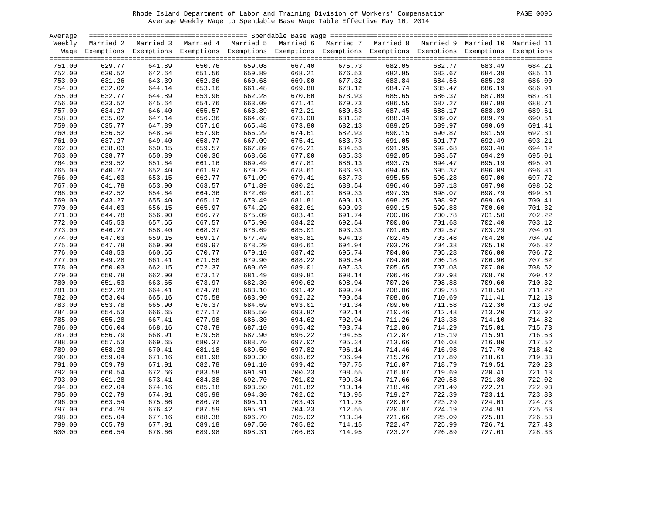|  | 0096<br><b>PAGE</b> |  |
|--|---------------------|--|
|--|---------------------|--|

| Average |        |                     |        |                                                                                                                    |        |        |        |        |        |        |
|---------|--------|---------------------|--------|--------------------------------------------------------------------------------------------------------------------|--------|--------|--------|--------|--------|--------|
| Weekly  |        | Married 2 Married 3 |        | Married 4 Married 5 Married 6 Married 7 Married 8 Married 9 Married 10 Married 11                                  |        |        |        |        |        |        |
|         |        |                     |        | Wage Exemptions Exemptions Exemptions Exemptions Exemptions Exemptions Exemptions Exemptions Exemptions Exemptions |        |        |        |        |        |        |
| 751.00  | 629.77 | 641.89              | 650.76 | 659.08                                                                                                             | 667.40 | 675.73 | 682.05 | 682.77 | 683.49 | 684.21 |
| 752.00  | 630.52 | 642.64              | 651.56 | 659.89                                                                                                             | 668.21 | 676.53 | 682.95 | 683.67 | 684.39 | 685.11 |
| 753.00  | 631.26 | 643.39              | 652.36 | 660.68                                                                                                             | 669.00 | 677.32 | 683.84 | 684.56 | 685.28 | 686.00 |
| 754.00  | 632.02 | 644.14              | 653.16 | 661.48                                                                                                             | 669.80 | 678.12 | 684.74 | 685.47 | 686.19 | 686.91 |
| 755.00  | 632.77 | 644.89              | 653.96 | 662.28                                                                                                             | 670.60 | 678.93 | 685.65 | 686.37 | 687.09 | 687.81 |
| 756.00  | 633.52 | 645.64              | 654.76 | 663.09                                                                                                             | 671.41 | 679.73 | 686.55 | 687.27 | 687.99 | 688.71 |
| 757.00  | 634.27 | 646.40              | 655.57 | 663.89                                                                                                             | 672.21 | 680.53 | 687.45 | 688.17 | 688.89 | 689.61 |
| 758.00  | 635.02 | 647.14              | 656.36 | 664.68                                                                                                             | 673.00 | 681.32 | 688.34 | 689.07 | 689.79 | 690.51 |
| 759.00  | 635.77 | 647.89              | 657.16 | 665.48                                                                                                             | 673.80 | 682.13 | 689.25 | 689.97 | 690.69 | 691.41 |
| 760.00  | 636.52 | 648.64              | 657.96 | 666.29                                                                                                             | 674.61 | 682.93 | 690.15 | 690.87 | 691.59 | 692.31 |
| 761.00  | 637.27 | 649.40              | 658.77 | 667.09                                                                                                             | 675.41 | 683.73 | 691.05 | 691.77 | 692.49 | 693.21 |
| 762.00  | 638.03 | 650.15              | 659.57 | 667.89                                                                                                             | 676.21 | 684.53 | 691.95 | 692.68 | 693.40 | 694.12 |
| 763.00  | 638.77 | 650.89              | 660.36 | 668.68                                                                                                             | 677.00 | 685.33 | 692.85 | 693.57 | 694.29 | 695.01 |
| 764.00  | 639.52 | 651.64              | 661.16 | 669.49                                                                                                             | 677.81 | 686.13 | 693.75 | 694.47 | 695.19 | 695.91 |
| 765.00  | 640.27 | 652.40              | 661.97 | 670.29                                                                                                             | 678.61 | 686.93 | 694.65 | 695.37 | 696.09 | 696.81 |
| 766.00  | 641.03 | 653.15              | 662.77 | 671.09                                                                                                             | 679.41 | 687.73 | 695.55 | 696.28 | 697.00 | 697.72 |
| 767.00  | 641.78 | 653.90              | 663.57 | 671.89                                                                                                             | 680.21 | 688.54 | 696.46 | 697.18 | 697.90 | 698.62 |
| 768.00  | 642.52 | 654.64              | 664.36 | 672.69                                                                                                             | 681.01 | 689.33 | 697.35 | 698.07 | 698.79 | 699.51 |
| 769.00  | 643.27 | 655.40              | 665.17 | 673.49                                                                                                             | 681.81 | 690.13 | 698.25 | 698.97 | 699.69 | 700.41 |
| 770.00  | 644.03 | 656.15              | 665.97 | 674.29                                                                                                             | 682.61 | 690.93 | 699.15 | 699.88 | 700.60 | 701.32 |
| 771.00  | 644.78 | 656.90              | 666.77 | 675.09                                                                                                             | 683.41 | 691.74 | 700.06 | 700.78 | 701.50 | 702.22 |
| 772.00  | 645.53 | 657.65              | 667.57 | 675.90                                                                                                             | 684.22 | 692.54 | 700.86 | 701.68 | 702.40 | 703.12 |
| 773.00  | 646.27 | 658.40              | 668.37 | 676.69                                                                                                             | 685.01 | 693.33 | 701.65 | 702.57 | 703.29 | 704.01 |
| 774.00  | 647.03 | 659.15              | 669.17 | 677.49                                                                                                             | 685.81 | 694.13 | 702.45 | 703.48 | 704.20 | 704.92 |
| 775.00  | 647.78 | 659.90              | 669.97 | 678.29                                                                                                             | 686.61 | 694.94 | 703.26 | 704.38 | 705.10 | 705.82 |
| 776.00  | 648.53 | 660.65              | 670.77 | 679.10                                                                                                             | 687.42 | 695.74 | 704.06 | 705.28 | 706.00 | 706.72 |
| 777.00  | 649.28 | 661.41              | 671.58 | 679.90                                                                                                             | 688.22 | 696.54 | 704.86 | 706.18 | 706.90 | 707.62 |
| 778.00  | 650.03 | 662.15              | 672.37 | 680.69                                                                                                             | 689.01 | 697.33 | 705.65 | 707.08 | 707.80 | 708.52 |
| 779.00  | 650.78 | 662.90              | 673.17 | 681.49                                                                                                             | 689.81 | 698.14 | 706.46 | 707.98 | 708.70 | 709.42 |
| 780.00  | 651.53 | 663.65              | 673.97 | 682.30                                                                                                             | 690.62 | 698.94 | 707.26 | 708.88 | 709.60 | 710.32 |
| 781.00  | 652.28 | 664.41              | 674.78 | 683.10                                                                                                             | 691.42 | 699.74 | 708.06 | 709.78 | 710.50 | 711.22 |
| 782.00  | 653.04 | 665.16              | 675.58 | 683.90                                                                                                             | 692.22 | 700.54 | 708.86 | 710.69 | 711.41 | 712.13 |
| 783.00  | 653.78 | 665.90              | 676.37 | 684.69                                                                                                             | 693.01 | 701.34 | 709.66 | 711.58 | 712.30 | 713.02 |
| 784.00  | 654.53 | 666.65              | 677.17 | 685.50                                                                                                             | 693.82 | 702.14 | 710.46 | 712.48 | 713.20 | 713.92 |
| 785.00  | 655.28 | 667.41              | 677.98 | 686.30                                                                                                             | 694.62 | 702.94 | 711.26 | 713.38 | 714.10 | 714.82 |
| 786.00  | 656.04 | 668.16              | 678.78 | 687.10                                                                                                             | 695.42 | 703.74 | 712.06 | 714.29 | 715.01 | 715.73 |
| 787.00  | 656.79 | 668.91              | 679.58 | 687.90                                                                                                             | 696.22 | 704.55 | 712.87 | 715.19 | 715.91 | 716.63 |
| 788.00  | 657.53 | 669.65              | 680.37 | 688.70                                                                                                             | 697.02 | 705.34 | 713.66 | 716.08 | 716.80 | 717.52 |
| 789.00  | 658.28 | 670.41              | 681.18 | 689.50                                                                                                             | 697.82 | 706.14 | 714.46 | 716.98 | 717.70 | 718.42 |
| 790.00  | 659.04 | 671.16              | 681.98 | 690.30                                                                                                             | 698.62 | 706.94 | 715.26 | 717.89 | 718.61 | 719.33 |
| 791.00  | 659.79 | 671.91              | 682.78 | 691.10                                                                                                             | 699.42 | 707.75 | 716.07 | 718.79 | 719.51 | 720.23 |
| 792.00  | 660.54 | 672.66              | 683.58 | 691.91                                                                                                             | 700.23 | 708.55 | 716.87 | 719.69 | 720.41 | 721.13 |
| 793.00  | 661.28 | 673.41              | 684.38 | 692.70                                                                                                             | 701.02 | 709.34 | 717.66 | 720.58 | 721.30 | 722.02 |
| 794.00  | 662.04 | 674.16              | 685.18 | 693.50                                                                                                             | 701.82 | 710.14 | 718.46 | 721.49 | 722.21 | 722.93 |
| 795.00  | 662.79 | 674.91              | 685.98 | 694.30                                                                                                             | 702.62 | 710.95 | 719.27 | 722.39 | 723.11 | 723.83 |
| 796.00  | 663.54 | 675.66              | 686.78 | 695.11                                                                                                             | 703.43 | 711.75 | 720.07 | 723.29 | 724.01 | 724.73 |
| 797.00  | 664.29 | 676.42              | 687.59 | 695.91                                                                                                             | 704.23 | 712.55 | 720.87 | 724.19 | 724.91 | 725.63 |
| 798.00  | 665.04 | 677.16              | 688.38 | 696.70                                                                                                             | 705.02 | 713.34 | 721.66 | 725.09 | 725.81 | 726.53 |
| 799.00  | 665.79 | 677.91              | 689.18 | 697.50                                                                                                             | 705.82 | 714.15 | 722.47 | 725.99 | 726.71 | 727.43 |
| 800.00  | 666.54 | 678.66              | 689.98 | 698.31                                                                                                             | 706.63 | 714.95 | 723.27 | 726.89 | 727.61 | 728.33 |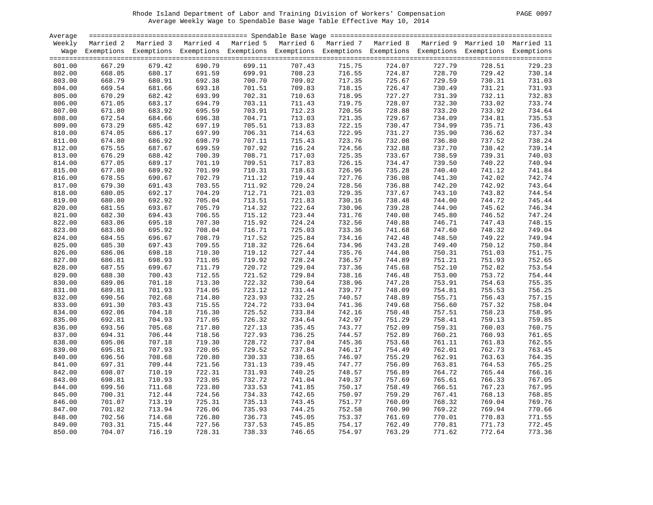| PAGE | 0097 |
|------|------|
|      |      |

| Average |        |                                                                                                                    |        |        |        |        |        |        |        |        |
|---------|--------|--------------------------------------------------------------------------------------------------------------------|--------|--------|--------|--------|--------|--------|--------|--------|
| Weekly  |        | Married 2 Married 3 Married 4 Married 5 Married 6 Married 7 Married 8 Married 9 Married 10 Married 11              |        |        |        |        |        |        |        |        |
|         |        | Wage Exemptions Exemptions Exemptions Exemptions Exemptions Exemptions Exemptions Exemptions Exemptions Exemptions |        |        |        |        |        |        |        |        |
|         |        |                                                                                                                    |        |        |        |        |        |        |        |        |
| 801.00  | 667.29 | 679.42                                                                                                             | 690.79 | 699.11 | 707.43 | 715.75 | 724.07 | 727.79 | 728.51 | 729.23 |
| 802.00  | 668.05 | 680.17                                                                                                             | 691.59 | 699.91 | 708.23 | 716.55 | 724.87 | 728.70 | 729.42 | 730.14 |
| 803.00  | 668.79 | 680.91                                                                                                             | 692.38 | 700.70 | 709.02 | 717.35 | 725.67 | 729.59 | 730.31 | 731.03 |
| 804.00  | 669.54 | 681.66                                                                                                             | 693.18 | 701.51 | 709.83 | 718.15 | 726.47 | 730.49 | 731.21 | 731.93 |
| 805.00  | 670.29 | 682.42                                                                                                             | 693.99 | 702.31 | 710.63 | 718.95 | 727.27 | 731.39 | 732.11 | 732.83 |
| 806.00  | 671.05 | 683.17                                                                                                             | 694.79 | 703.11 | 711.43 | 719.75 | 728.07 | 732.30 | 733.02 | 733.74 |
| 807.00  | 671.80 | 683.92                                                                                                             | 695.59 | 703.91 | 712.23 | 720.56 | 728.88 | 733.20 | 733.92 | 734.64 |
| 808.00  | 672.54 | 684.66                                                                                                             | 696.38 | 704.71 | 713.03 | 721.35 | 729.67 | 734.09 | 734.81 | 735.53 |
| 809.00  | 673.29 | 685.42                                                                                                             | 697.19 | 705.51 | 713.83 | 722.15 | 730.47 | 734.99 | 735.71 | 736.43 |
| 810.00  | 674.05 | 686.17                                                                                                             | 697.99 | 706.31 | 714.63 | 722.95 | 731.27 | 735.90 | 736.62 | 737.34 |
| 811.00  | 674.80 | 686.92                                                                                                             | 698.79 | 707.11 | 715.43 | 723.76 | 732.08 | 736.80 | 737.52 | 738.24 |
|         |        |                                                                                                                    |        |        |        |        |        |        |        |        |
| 812.00  | 675.55 | 687.67                                                                                                             | 699.59 | 707.92 | 716.24 | 724.56 | 732.88 | 737.70 | 738.42 | 739.14 |
| 813.00  | 676.29 | 688.42                                                                                                             | 700.39 | 708.71 | 717.03 | 725.35 | 733.67 | 738.59 | 739.31 | 740.03 |
| 814.00  | 677.05 | 689.17                                                                                                             | 701.19 | 709.51 | 717.83 | 726.15 | 734.47 | 739.50 | 740.22 | 740.94 |
| 815.00  | 677.80 | 689.92                                                                                                             | 701.99 | 710.31 | 718.63 | 726.96 | 735.28 | 740.40 | 741.12 | 741.84 |
| 816.00  | 678.55 | 690.67                                                                                                             | 702.79 | 711.12 | 719.44 | 727.76 | 736.08 | 741.30 | 742.02 | 742.74 |
| 817.00  | 679.30 | 691.43                                                                                                             | 703.55 | 711.92 | 720.24 | 728.56 | 736.88 | 742.20 | 742.92 | 743.64 |
| 818.00  | 680.05 | 692.17                                                                                                             | 704.29 | 712.71 | 721.03 | 729.35 | 737.67 | 743.10 | 743.82 | 744.54 |
| 819.00  | 680.80 | 692.92                                                                                                             | 705.04 | 713.51 | 721.83 | 730.16 | 738.48 | 744.00 | 744.72 | 745.44 |
| 820.00  | 681.55 | 693.67                                                                                                             | 705.79 | 714.32 | 722.64 | 730.96 | 739.28 | 744.90 | 745.62 | 746.34 |
| 821.00  | 682.30 | 694.43                                                                                                             | 706.55 | 715.12 | 723.44 | 731.76 | 740.08 | 745.80 | 746.52 | 747.24 |
| 822.00  | 683.06 | 695.18                                                                                                             | 707.30 | 715.92 | 724.24 | 732.56 | 740.88 | 746.71 | 747.43 | 748.15 |
| 823.00  | 683.80 | 695.92                                                                                                             | 708.04 | 716.71 | 725.03 | 733.36 | 741.68 | 747.60 | 748.32 | 749.04 |
| 824.00  | 684.55 | 696.67                                                                                                             | 708.79 | 717.52 | 725.84 | 734.16 | 742.48 | 748.50 | 749.22 | 749.94 |
| 825.00  | 685.30 | 697.43                                                                                                             | 709.55 | 718.32 | 726.64 | 734.96 | 743.28 | 749.40 | 750.12 | 750.84 |
| 826.00  | 686.06 | 698.18                                                                                                             | 710.30 | 719.12 | 727.44 | 735.76 | 744.08 | 750.31 | 751.03 | 751.75 |
| 827.00  | 686.81 | 698.93                                                                                                             | 711.05 | 719.92 | 728.24 | 736.57 | 744.89 | 751.21 | 751.93 | 752.65 |
| 828.00  | 687.55 | 699.67                                                                                                             | 711.79 | 720.72 | 729.04 | 737.36 | 745.68 | 752.10 | 752.82 | 753.54 |
| 829.00  | 688.30 | 700.43                                                                                                             | 712.55 | 721.52 | 729.84 | 738.16 | 746.48 | 753.00 | 753.72 | 754.44 |
| 830.00  | 689.06 | 701.18                                                                                                             | 713.30 | 722.32 | 730.64 | 738.96 | 747.28 | 753.91 | 754.63 | 755.35 |
| 831.00  | 689.81 | 701.93                                                                                                             | 714.05 | 723.12 | 731.44 | 739.77 | 748.09 | 754.81 | 755.53 | 756.25 |
| 832.00  | 690.56 | 702.68                                                                                                             | 714.80 | 723.93 | 732.25 | 740.57 | 748.89 | 755.71 | 756.43 | 757.15 |
| 833.00  | 691.30 | 703.43                                                                                                             | 715.55 | 724.72 | 733.04 | 741.36 | 749.68 | 756.60 | 757.32 | 758.04 |
| 834.00  | 692.06 | 704.18                                                                                                             | 716.30 | 725.52 | 733.84 | 742.16 | 750.48 | 757.51 | 758.23 | 758.95 |
| 835.00  | 692.81 | 704.93                                                                                                             | 717.05 | 726.32 | 734.64 | 742.97 | 751.29 | 758.41 | 759.13 | 759.85 |
| 836.00  | 693.56 | 705.68                                                                                                             | 717.80 | 727.13 | 735.45 | 743.77 | 752.09 | 759.31 | 760.03 | 760.75 |
| 837.00  | 694.31 | 706.44                                                                                                             | 718.56 | 727.93 | 736.25 | 744.57 | 752.89 | 760.21 | 760.93 | 761.65 |
| 838.00  | 695.06 | 707.18                                                                                                             | 719.30 | 728.72 | 737.04 | 745.36 | 753.68 | 761.11 | 761.83 | 762.55 |
| 839.00  | 695.81 | 707.93                                                                                                             | 720.05 | 729.52 | 737.84 | 746.17 | 754.49 | 762.01 | 762.73 | 763.45 |
| 840.00  | 696.56 | 708.68                                                                                                             | 720.80 | 730.33 | 738.65 | 746.97 | 755.29 | 762.91 | 763.63 | 764.35 |
| 841.00  | 697.31 | 709.44                                                                                                             | 721.56 | 731.13 | 739.45 | 747.77 | 756.09 | 763.81 | 764.53 | 765.25 |
| 842.00  | 698.07 | 710.19                                                                                                             | 722.31 | 731.93 | 740.25 | 748.57 | 756.89 | 764.72 | 765.44 | 766.16 |
| 843.00  | 698.81 | 710.93                                                                                                             | 723.05 | 732.72 | 741.04 | 749.37 | 757.69 | 765.61 | 766.33 | 767.05 |
| 844.00  | 699.56 | 711.68                                                                                                             | 723.80 | 733.53 | 741.85 | 750.17 | 758.49 | 766.51 | 767.23 | 767.95 |
| 845.00  | 700.31 | 712.44                                                                                                             | 724.56 | 734.33 | 742.65 | 750.97 | 759.29 | 767.41 | 768.13 | 768.85 |
| 846.00  | 701.07 | 713.19                                                                                                             | 725.31 | 735.13 | 743.45 | 751.77 | 760.09 | 768.32 | 769.04 | 769.76 |
| 847.00  | 701.82 | 713.94                                                                                                             | 726.06 | 735.93 | 744.25 | 752.58 | 760.90 | 769.22 | 769.94 | 770.66 |
| 848.00  | 702.56 | 714.68                                                                                                             | 726.80 | 736.73 | 745.05 | 753.37 | 761.69 | 770.01 | 770.83 | 771.55 |
| 849.00  | 703.31 | 715.44                                                                                                             | 727.56 | 737.53 | 745.85 | 754.17 | 762.49 | 770.81 | 771.73 | 772.45 |
| 850.00  | 704.07 | 716.19                                                                                                             | 728.31 | 738.33 | 746.65 | 754.97 | 763.29 | 771.62 | 772.64 | 773.36 |
|         |        |                                                                                                                    |        |        |        |        |        |        |        |        |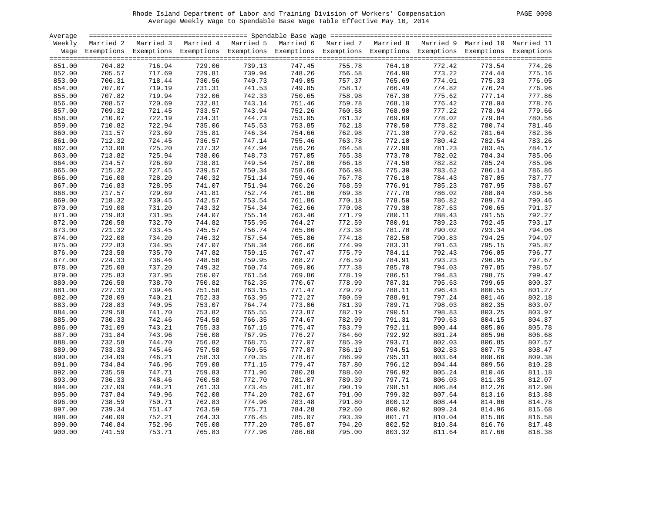| PAGE | 0098 |
|------|------|
|      |      |

| Average          |        |                                                                                                                    |        |        |        |        |        |        |        |        |
|------------------|--------|--------------------------------------------------------------------------------------------------------------------|--------|--------|--------|--------|--------|--------|--------|--------|
| Weekly           |        | Married 2 Married 3 Married 4 Married 5 Married 6 Married 7 Married 8 Married 9 Married 10 Married 11              |        |        |        |        |        |        |        |        |
|                  |        | Wage Exemptions Exemptions Exemptions Exemptions Exemptions Exemptions Exemptions Exemptions Exemptions Exemptions |        |        |        |        |        |        |        |        |
|                  |        |                                                                                                                    |        |        |        |        |        |        |        |        |
| 851.00           | 704.82 | 716.94                                                                                                             | 729.06 | 739.13 | 747.45 | 755.78 | 764.10 | 772.42 | 773.54 | 774.26 |
| 852.00           | 705.57 | 717.69                                                                                                             | 729.81 | 739.94 | 748.26 | 756.58 | 764.90 | 773.22 | 774.44 | 775.16 |
| 853.00           | 706.31 | 718.44                                                                                                             | 730.56 | 740.73 | 749.05 | 757.37 | 765.69 | 774.01 | 775.33 | 776.05 |
| 854.00           | 707.07 | 719.19                                                                                                             | 731.31 | 741.53 | 749.85 | 758.17 | 766.49 | 774.82 | 776.24 | 776.96 |
| 855.00           | 707.82 | 719.94                                                                                                             | 732.06 | 742.33 | 750.65 | 758.98 | 767.30 | 775.62 | 777.14 | 777.86 |
| 856.00           | 708.57 | 720.69                                                                                                             | 732.81 | 743.14 | 751.46 | 759.78 | 768.10 | 776.42 | 778.04 | 778.76 |
| 857.00           | 709.32 | 721.45                                                                                                             | 733.57 | 743.94 | 752.26 | 760.58 | 768.90 | 777.22 | 778.94 | 779.66 |
| 858.00           | 710.07 | 722.19                                                                                                             | 734.31 | 744.73 | 753.05 | 761.37 | 769.69 | 778.02 | 779.84 | 780.56 |
| 859.00           | 710.82 | 722.94                                                                                                             | 735.06 | 745.53 | 753.85 | 762.18 | 770.50 | 778.82 | 780.74 | 781.46 |
| 860.00           | 711.57 | 723.69                                                                                                             | 735.81 | 746.34 | 754.66 | 762.98 | 771.30 | 779.62 | 781.64 | 782.36 |
| 861.00           | 712.32 | 724.45                                                                                                             | 736.57 | 747.14 | 755.46 | 763.78 | 772.10 | 780.42 | 782.54 | 783.26 |
|                  |        |                                                                                                                    |        |        |        |        |        |        |        |        |
| 862.00           | 713.08 | 725.20                                                                                                             | 737.32 | 747.94 | 756.26 | 764.58 | 772.90 | 781.23 | 783.45 | 784.17 |
| 863.00           | 713.82 | 725.94                                                                                                             | 738.06 | 748.73 | 757.05 | 765.38 | 773.70 | 782.02 | 784.34 | 785.06 |
| 864.00           | 714.57 | 726.69                                                                                                             | 738.81 | 749.54 | 757.86 | 766.18 | 774.50 | 782.82 | 785.24 | 785.96 |
| 865.00           | 715.32 | 727.45                                                                                                             | 739.57 | 750.34 | 758.66 | 766.98 | 775.30 | 783.62 | 786.14 | 786.86 |
| 866.00           | 716.08 | 728.20                                                                                                             | 740.32 | 751.14 | 759.46 | 767.78 | 776.10 | 784.43 | 787.05 | 787.77 |
| 867.00           | 716.83 | 728.95                                                                                                             | 741.07 | 751.94 | 760.26 | 768.59 | 776.91 | 785.23 | 787.95 | 788.67 |
| 868.00           | 717.57 | 729.69                                                                                                             | 741.81 | 752.74 | 761.06 | 769.38 | 777.70 | 786.02 | 788.84 | 789.56 |
| 869.00           | 718.32 | 730.45                                                                                                             | 742.57 | 753.54 | 761.86 | 770.18 | 778.50 | 786.82 | 789.74 | 790.46 |
| 870.00           | 719.08 | 731.20                                                                                                             | 743.32 | 754.34 | 762.66 | 770.98 | 779.30 | 787.63 | 790.65 | 791.37 |
| 871.00           | 719.83 | 731.95                                                                                                             | 744.07 | 755.14 | 763.46 | 771.79 | 780.11 | 788.43 | 791.55 | 792.27 |
| 872.00           | 720.58 | 732.70                                                                                                             | 744.82 | 755.95 | 764.27 | 772.59 | 780.91 | 789.23 | 792.45 | 793.17 |
| 873.00           | 721.32 | 733.45                                                                                                             | 745.57 | 756.74 | 765.06 | 773.38 | 781.70 | 790.02 | 793.34 | 794.06 |
| 874.00           | 722.08 | 734.20                                                                                                             | 746.32 | 757.54 | 765.86 | 774.18 | 782.50 | 790.83 | 794.25 | 794.97 |
| 875.00           | 722.83 | 734.95                                                                                                             | 747.07 | 758.34 | 766.66 | 774.99 | 783.31 | 791.63 | 795.15 | 795.87 |
| 876.00           | 723.58 | 735.70                                                                                                             | 747.82 | 759.15 | 767.47 | 775.79 | 784.11 | 792.43 | 796.05 | 796.77 |
| 877.00           | 724.33 | 736.46                                                                                                             | 748.58 | 759.95 | 768.27 | 776.59 | 784.91 | 793.23 | 796.95 | 797.67 |
| 878.00           | 725.08 | 737.20                                                                                                             | 749.32 | 760.74 | 769.06 | 777.38 | 785.70 | 794.03 | 797.85 | 798.57 |
| 879.00           | 725.83 | 737.95                                                                                                             | 750.07 | 761.54 | 769.86 | 778.19 | 786.51 | 794.83 | 798.75 | 799.47 |
| 880.00           | 726.58 | 738.70                                                                                                             | 750.82 | 762.35 | 770.67 | 778.99 | 787.31 | 795.63 | 799.65 | 800.37 |
| 881.00           | 727.33 | 739.46                                                                                                             | 751.58 | 763.15 | 771.47 | 779.79 | 788.11 | 796.43 | 800.55 | 801.27 |
| 882.00           | 728.09 | 740.21                                                                                                             | 752.33 | 763.95 | 772.27 | 780.59 | 788.91 | 797.24 | 801.46 | 802.18 |
| 883.00           | 728.83 | 740.95                                                                                                             | 753.07 | 764.74 | 773.06 | 781.39 | 789.71 | 798.03 | 802.35 | 803.07 |
| 884.00           | 729.58 | 741.70                                                                                                             | 753.82 | 765.55 | 773.87 | 782.19 | 790.51 | 798.83 | 803.25 | 803.97 |
| 885.00           | 730.33 | 742.46                                                                                                             | 754.58 | 766.35 | 774.67 | 782.99 | 791.31 | 799.63 | 804.15 | 804.87 |
| 886.00           | 731.09 | 743.21                                                                                                             | 755.33 | 767.15 | 775.47 | 783.79 | 792.11 | 800.44 | 805.06 | 805.78 |
| 887.00           | 731.84 | 743.96                                                                                                             | 756.08 | 767.95 | 776.27 | 784.60 | 792.92 | 801.24 | 805.96 | 806.68 |
| 888.00           | 732.58 | 744.70                                                                                                             | 756.82 | 768.75 | 777.07 | 785.39 | 793.71 | 802.03 | 806.85 | 807.57 |
| 889.00           | 733.33 | 745.46                                                                                                             | 757.58 | 769.55 | 777.87 | 786.19 | 794.51 | 802.83 | 807.75 | 808.47 |
| 890.00           | 734.09 | 746.21                                                                                                             | 758.33 | 770.35 | 778.67 | 786.99 | 795.31 | 803.64 | 808.66 | 809.38 |
| 891.00           | 734.84 | 746.96                                                                                                             | 759.08 | 771.15 | 779.47 | 787.80 | 796.12 | 804.44 | 809.56 | 810.28 |
| 892.00           | 735.59 | 747.71                                                                                                             | 759.83 | 771.96 | 780.28 | 788.60 | 796.92 | 805.24 | 810.46 | 811.18 |
| 893.00           | 736.33 | 748.46                                                                                                             | 760.58 | 772.70 | 781.07 | 789.39 | 797.71 | 806.03 | 811.35 | 812.07 |
| 894.00           | 737.09 | 749.21                                                                                                             | 761.33 | 773.45 | 781.87 | 790.19 | 798.51 | 806.84 | 812.26 | 812.98 |
| 895.00           | 737.84 | 749.96                                                                                                             | 762.08 | 774.20 | 782.67 | 791.00 | 799.32 | 807.64 | 813.16 | 813.88 |
| 896.00           | 738.59 | 750.71                                                                                                             | 762.83 | 774.96 | 783.48 | 791.80 | 800.12 | 808.44 | 814.06 | 814.78 |
|                  | 739.34 | 751.47                                                                                                             | 763.59 | 775.71 | 784.28 | 792.60 | 800.92 | 809.24 | 814.96 | 815.68 |
| 897.00<br>898.00 | 740.09 | 752.21                                                                                                             | 764.33 | 776.45 | 785.07 | 793.39 | 801.71 | 810.04 | 815.86 | 816.58 |
|                  |        |                                                                                                                    |        |        |        |        |        |        |        |        |
| 899.00           | 740.84 | 752.96                                                                                                             | 765.08 | 777.20 | 785.87 | 794.20 | 802.52 | 810.84 | 816.76 | 817.48 |
| 900.00           | 741.59 | 753.71                                                                                                             | 765.83 | 777.96 | 786.68 | 795.00 | 803.32 | 811.64 | 817.66 | 818.38 |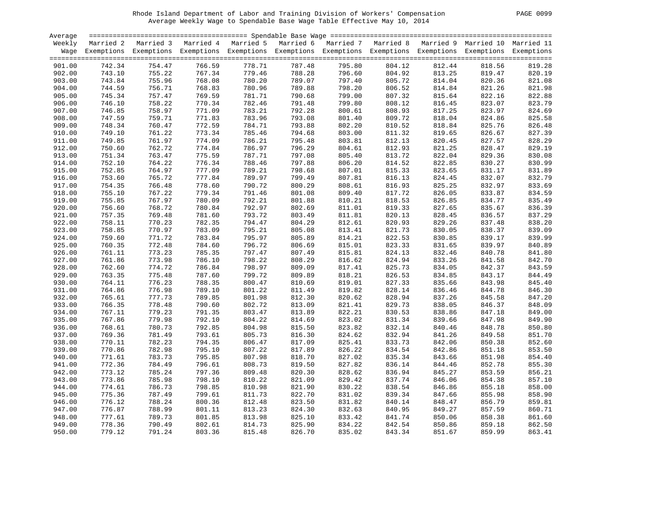| PAGE | 0099 |
|------|------|
|      |      |

| Average |                  |        |                  |                  |                                                                                                                    |        |        |        |        |        |
|---------|------------------|--------|------------------|------------------|--------------------------------------------------------------------------------------------------------------------|--------|--------|--------|--------|--------|
| Weekly  |                  |        |                  |                  | Married 2 Married 3 Married 4 Married 5 Married 6 Married 7 Married 8 Married 9 Married 10 Married 11              |        |        |        |        |        |
|         |                  |        |                  |                  | Wage Exemptions Exemptions Exemptions Exemptions Exemptions Exemptions Exemptions Exemptions Exemptions Exemptions |        |        |        |        |        |
|         |                  |        |                  |                  |                                                                                                                    |        |        |        |        |        |
| 901.00  | 742.34           | 754.47 | 766.59           | 778.71           | 787.48                                                                                                             | 795.80 | 804.12 | 812.44 | 818.56 | 819.28 |
| 902.00  | 743.10           | 755.22 | 767.34           | 779.46           | 788.28                                                                                                             | 796.60 | 804.92 | 813.25 | 819.47 | 820.19 |
| 903.00  | 743.84           | 755.96 | 768.08           | 780.20           | 789.07                                                                                                             | 797.40 | 805.72 | 814.04 | 820.36 | 821.08 |
| 904.00  | 744.59           | 756.71 | 768.83           | 780.96           | 789.88                                                                                                             | 798.20 | 806.52 | 814.84 | 821.26 | 821.98 |
| 905.00  | 745.34           | 757.47 | 769.59           | 781.71           | 790.68                                                                                                             | 799.00 | 807.32 | 815.64 | 822.16 | 822.88 |
| 906.00  | 746.10           | 758.22 | 770.34           | 782.46           | 791.48                                                                                                             | 799.80 | 808.12 | 816.45 | 823.07 | 823.79 |
|         |                  |        |                  |                  |                                                                                                                    |        |        |        |        |        |
| 907.00  | 746.85<br>747.59 | 758.97 | 771.09<br>771.83 | 783.21<br>783.96 | 792.28<br>793.08                                                                                                   | 800.61 | 808.93 | 817.25 | 823.97 | 824.69 |
| 908.00  |                  | 759.71 |                  |                  |                                                                                                                    | 801.40 | 809.72 | 818.04 | 824.86 | 825.58 |
| 909.00  | 748.34           | 760.47 | 772.59           | 784.71           | 793.88                                                                                                             | 802.20 | 810.52 | 818.84 | 825.76 | 826.48 |
| 910.00  | 749.10           | 761.22 | 773.34           | 785.46           | 794.68                                                                                                             | 803.00 | 811.32 | 819.65 | 826.67 | 827.39 |
| 911.00  | 749.85           | 761.97 | 774.09           | 786.21           | 795.48                                                                                                             | 803.81 | 812.13 | 820.45 | 827.57 | 828.29 |
| 912.00  | 750.60           | 762.72 | 774.84           | 786.97           | 796.29                                                                                                             | 804.61 | 812.93 | 821.25 | 828.47 | 829.19 |
| 913.00  | 751.34           | 763.47 | 775.59           | 787.71           | 797.08                                                                                                             | 805.40 | 813.72 | 822.04 | 829.36 | 830.08 |
| 914.00  | 752.10           | 764.22 | 776.34           | 788.46           | 797.88                                                                                                             | 806.20 | 814.52 | 822.85 | 830.27 | 830.99 |
| 915.00  | 752.85           | 764.97 | 777.09           | 789.21           | 798.68                                                                                                             | 807.01 | 815.33 | 823.65 | 831.17 | 831.89 |
| 916.00  | 753.60           | 765.72 | 777.84           | 789.97           | 799.49                                                                                                             | 807.81 | 816.13 | 824.45 | 832.07 | 832.79 |
| 917.00  | 754.35           | 766.48 | 778.60           | 790.72           | 800.29                                                                                                             | 808.61 | 816.93 | 825.25 | 832.97 | 833.69 |
| 918.00  | 755.10           | 767.22 | 779.34           | 791.46           | 801.08                                                                                                             | 809.40 | 817.72 | 826.05 | 833.87 | 834.59 |
| 919.00  | 755.85           | 767.97 | 780.09           | 792.21           | 801.88                                                                                                             | 810.21 | 818.53 | 826.85 | 834.77 | 835.49 |
| 920.00  | 756.60           | 768.72 | 780.84           | 792.97           | 802.69                                                                                                             | 811.01 | 819.33 | 827.65 | 835.67 | 836.39 |
| 921.00  | 757.35           | 769.48 | 781.60           | 793.72           | 803.49                                                                                                             | 811.81 | 820.13 | 828.45 | 836.57 | 837.29 |
| 922.00  | 758.11           | 770.23 | 782.35           | 794.47           | 804.29                                                                                                             | 812.61 | 820.93 | 829.26 | 837.48 | 838.20 |
| 923.00  | 758.85           | 770.97 | 783.09           | 795.21           | 805.08                                                                                                             | 813.41 | 821.73 | 830.05 | 838.37 | 839.09 |
| 924.00  | 759.60           | 771.72 | 783.84           | 795.97           | 805.89                                                                                                             | 814.21 | 822.53 | 830.85 | 839.17 | 839.99 |
| 925.00  | 760.35           | 772.48 | 784.60           | 796.72           | 806.69                                                                                                             | 815.01 | 823.33 | 831.65 | 839.97 | 840.89 |
| 926.00  | 761.11           | 773.23 | 785.35           | 797.47           | 807.49                                                                                                             | 815.81 | 824.13 | 832.46 | 840.78 | 841.80 |
| 927.00  | 761.86           | 773.98 | 786.10           | 798.22           | 808.29                                                                                                             | 816.62 | 824.94 | 833.26 | 841.58 | 842.70 |
| 928.00  | 762.60           | 774.72 | 786.84           | 798.97           | 809.09                                                                                                             | 817.41 | 825.73 | 834.05 | 842.37 | 843.59 |
| 929.00  | 763.35           | 775.48 | 787.60           | 799.72           | 809.89                                                                                                             | 818.21 | 826.53 | 834.85 | 843.17 | 844.49 |
| 930.00  | 764.11           | 776.23 | 788.35           | 800.47           | 810.69                                                                                                             | 819.01 | 827.33 | 835.66 | 843.98 | 845.40 |
| 931.00  | 764.86           | 776.98 | 789.10           | 801.22           | 811.49                                                                                                             | 819.82 | 828.14 | 836.46 | 844.78 | 846.30 |
| 932.00  | 765.61           | 777.73 | 789.85           | 801.98           | 812.30                                                                                                             | 820.62 | 828.94 | 837.26 | 845.58 | 847.20 |
|         |                  |        |                  |                  |                                                                                                                    |        |        |        |        |        |
| 933.00  | 766.35           | 778.48 | 790.60           | 802.72           | 813.09                                                                                                             | 821.41 | 829.73 | 838.05 | 846.37 | 848.09 |
| 934.00  | 767.11           | 779.23 | 791.35           | 803.47           | 813.89                                                                                                             | 822.21 | 830.53 | 838.86 | 847.18 | 849.00 |
| 935.00  | 767.86           | 779.98 | 792.10           | 804.22           | 814.69                                                                                                             | 823.02 | 831.34 | 839.66 | 847.98 | 849.90 |
| 936.00  | 768.61           | 780.73 | 792.85           | 804.98           | 815.50                                                                                                             | 823.82 | 832.14 | 840.46 | 848.78 | 850.80 |
| 937.00  | 769.36           | 781.49 | 793.61           | 805.73           | 816.30                                                                                                             | 824.62 | 832.94 | 841.26 | 849.58 | 851.70 |
| 938.00  | 770.11           | 782.23 | 794.35           | 806.47           | 817.09                                                                                                             | 825.41 | 833.73 | 842.06 | 850.38 | 852.60 |
| 939.00  | 770.86           | 782.98 | 795.10           | 807.22           | 817.89                                                                                                             | 826.22 | 834.54 | 842.86 | 851.18 | 853.50 |
| 940.00  | 771.61           | 783.73 | 795.85           | 807.98           | 818.70                                                                                                             | 827.02 | 835.34 | 843.66 | 851.98 | 854.40 |
| 941.00  | 772.36           | 784.49 | 796.61           | 808.73           | 819.50                                                                                                             | 827.82 | 836.14 | 844.46 | 852.78 | 855.30 |
| 942.00  | 773.12           | 785.24 | 797.36           | 809.48           | 820.30                                                                                                             | 828.62 | 836.94 | 845.27 | 853.59 | 856.21 |
| 943.00  | 773.86           | 785.98 | 798.10           | 810.22           | 821.09                                                                                                             | 829.42 | 837.74 | 846.06 | 854.38 | 857.10 |
| 944.00  | 774.61           | 786.73 | 798.85           | 810.98           | 821.90                                                                                                             | 830.22 | 838.54 | 846.86 | 855.18 | 858.00 |
| 945.00  | 775.36           | 787.49 | 799.61           | 811.73           | 822.70                                                                                                             | 831.02 | 839.34 | 847.66 | 855.98 | 858.90 |
| 946.00  | 776.12           | 788.24 | 800.36           | 812.48           | 823.50                                                                                                             | 831.82 | 840.14 | 848.47 | 856.79 | 859.81 |
| 947.00  | 776.87           | 788.99 | 801.11           | 813.23           | 824.30                                                                                                             | 832.63 | 840.95 | 849.27 | 857.59 | 860.71 |
| 948.00  | 777.61           | 789.73 | 801.85           | 813.98           | 825.10                                                                                                             | 833.42 | 841.74 | 850.06 | 858.38 | 861.60 |
| 949.00  | 778.36           | 790.49 | 802.61           | 814.73           | 825.90                                                                                                             | 834.22 | 842.54 | 850.86 | 859.18 | 862.50 |
| 950.00  | 779.12           | 791.24 | 803.36           | 815.48           | 826.70                                                                                                             | 835.02 | 843.34 | 851.67 | 859.99 | 863.41 |
|         |                  |        |                  |                  |                                                                                                                    |        |        |        |        |        |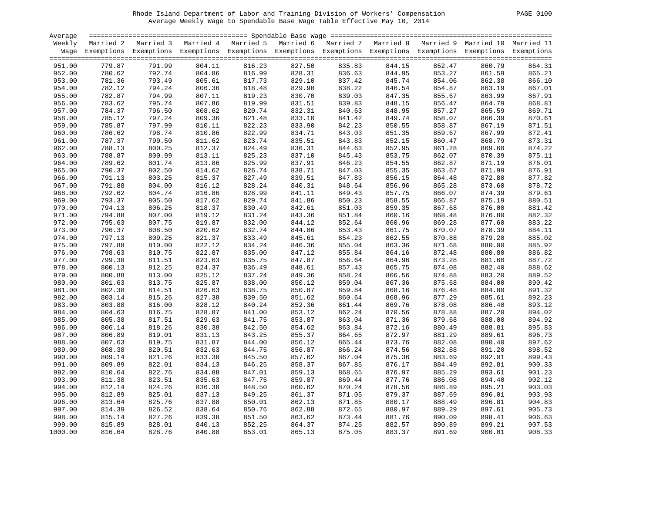| <b>PAGE</b> | 0100 |
|-------------|------|
|             |      |

| Average |        |                                                                                                                    |        |        |        |        |        |        |                  |        |
|---------|--------|--------------------------------------------------------------------------------------------------------------------|--------|--------|--------|--------|--------|--------|------------------|--------|
| Weekly  |        | Married 2 Married 3 Married 4 Married 5 Married 6 Married 7 Married 8 Married 9 Married 10 Married 11              |        |        |        |        |        |        |                  |        |
|         |        | Wage Exemptions Exemptions Exemptions Exemptions Exemptions Exemptions Exemptions Exemptions Exemptions Exemptions |        |        |        |        |        |        |                  |        |
|         |        |                                                                                                                    |        |        |        |        |        |        |                  |        |
| 951.00  | 779.87 | 791.99                                                                                                             | 804.11 | 816.23 | 827.50 | 835.83 | 844.15 | 852.47 | 860.79           | 864.31 |
| 952.00  | 780.62 | 792.74                                                                                                             | 804.86 | 816.99 | 828.31 | 836.63 | 844.95 | 853.27 | 861.59           | 865.21 |
| 953.00  | 781.36 | 793.49                                                                                                             | 805.61 | 817.73 | 829.10 | 837.42 | 845.74 | 854.06 | 862.38           | 866.10 |
| 954.00  | 782.12 | 794.24                                                                                                             | 806.36 | 818.48 | 829.90 | 838.22 | 846.54 | 854.87 | 863.19           | 867.01 |
| 955.00  | 782.87 | 794.99                                                                                                             | 807.11 | 819.23 | 830.70 | 839.03 | 847.35 | 855.67 | 863.99           | 867.91 |
| 956.00  | 783.62 | 795.74                                                                                                             | 807.86 | 819.99 | 831.51 | 839.83 | 848.15 | 856.47 | 864.79           | 868.81 |
| 957.00  | 784.37 | 796.50                                                                                                             | 808.62 | 820.74 | 832.31 | 840.63 | 848.95 | 857.27 | 865.59           | 869.71 |
| 958.00  | 785.12 | 797.24                                                                                                             | 809.36 | 821.48 | 833.10 | 841.42 | 849.74 | 858.07 | 866.39           | 870.61 |
| 959.00  | 785.87 | 797.99                                                                                                             | 810.11 | 822.23 | 833.90 | 842.23 | 850.55 | 858.87 | 867.19           | 871.51 |
| 960.00  | 786.62 | 798.74                                                                                                             | 810.86 | 822.99 | 834.71 | 843.03 | 851.35 | 859.67 | 867.99           | 872.41 |
| 961.00  | 787.37 | 799.50                                                                                                             | 811.62 | 823.74 | 835.51 | 843.83 | 852.15 | 860.47 | 868.79           | 873.31 |
|         |        |                                                                                                                    |        |        |        |        |        |        |                  |        |
| 962.00  | 788.13 | 800.25                                                                                                             | 812.37 | 824.49 | 836.31 | 844.63 | 852.95 | 861.28 | 869.60<br>870.39 | 874.22 |
| 963.00  | 788.87 | 800.99                                                                                                             | 813.11 | 825.23 | 837.10 | 845.43 | 853.75 | 862.07 |                  | 875.11 |
| 964.00  | 789.62 | 801.74                                                                                                             | 813.86 | 825.99 | 837.91 | 846.23 | 854.55 | 862.87 | 871.19           | 876.01 |
| 965.00  | 790.37 | 802.50                                                                                                             | 814.62 | 826.74 | 838.71 | 847.03 | 855.35 | 863.67 | 871.99           | 876.91 |
| 966.00  | 791.13 | 803.25                                                                                                             | 815.37 | 827.49 | 839.51 | 847.83 | 856.15 | 864.48 | 872.80           | 877.82 |
| 967.00  | 791.88 | 804.00                                                                                                             | 816.12 | 828.24 | 840.31 | 848.64 | 856.96 | 865.28 | 873.60           | 878.72 |
| 968.00  | 792.62 | 804.74                                                                                                             | 816.86 | 828.99 | 841.11 | 849.43 | 857.75 | 866.07 | 874.39           | 879.61 |
| 969.00  | 793.37 | 805.50                                                                                                             | 817.62 | 829.74 | 841.86 | 850.23 | 858.55 | 866.87 | 875.19           | 880.51 |
| 970.00  | 794.13 | 806.25                                                                                                             | 818.37 | 830.49 | 842.61 | 851.03 | 859.35 | 867.68 | 876.00           | 881.42 |
| 971.00  | 794.88 | 807.00                                                                                                             | 819.12 | 831.24 | 843.36 | 851.84 | 860.16 | 868.48 | 876.80           | 882.32 |
| 972.00  | 795.63 | 807.75                                                                                                             | 819.87 | 832.00 | 844.12 | 852.64 | 860.96 | 869.28 | 877.60           | 883.22 |
| 973.00  | 796.37 | 808.50                                                                                                             | 820.62 | 832.74 | 844.86 | 853.43 | 861.75 | 870.07 | 878.39           | 884.11 |
| 974.00  | 797.13 | 809.25                                                                                                             | 821.37 | 833.49 | 845.61 | 854.23 | 862.55 | 870.88 | 879.20           | 885.02 |
| 975.00  | 797.88 | 810.00                                                                                                             | 822.12 | 834.24 | 846.36 | 855.04 | 863.36 | 871.68 | 880.00           | 885.92 |
| 976.00  | 798.63 | 810.75                                                                                                             | 822.87 | 835.00 | 847.12 | 855.84 | 864.16 | 872.48 | 880.80           | 886.82 |
| 977.00  | 799.38 | 811.51                                                                                                             | 823.63 | 835.75 | 847.87 | 856.64 | 864.96 | 873.28 | 881.60           | 887.72 |
| 978.00  | 800.13 | 812.25                                                                                                             | 824.37 | 836.49 | 848.61 | 857.43 | 865.75 | 874.08 | 882.40           | 888.62 |
| 979.00  | 800.88 | 813.00                                                                                                             | 825.12 | 837.24 | 849.36 | 858.24 | 866.56 | 874.88 | 883.20           | 889.52 |
| 980.00  | 801.63 | 813.75                                                                                                             | 825.87 | 838.00 | 850.12 | 859.04 | 867.36 | 875.68 | 884.00           | 890.42 |
| 981.00  | 802.38 | 814.51                                                                                                             | 826.63 | 838.75 | 850.87 | 859.84 | 868.16 | 876.48 | 884.80           | 891.32 |
| 982.00  | 803.14 | 815.26                                                                                                             | 827.38 | 839.50 | 851.62 | 860.64 | 868.96 | 877.29 | 885.61           | 892.23 |
| 983.00  | 803.88 | 816.00                                                                                                             | 828.12 | 840.24 | 852.36 | 861.44 | 869.76 | 878.08 | 886.40           | 893.12 |
| 984.00  | 804.63 | 816.75                                                                                                             | 828.87 | 841.00 | 853.12 | 862.24 | 870.56 | 878.88 | 887.20           | 894.02 |
| 985.00  | 805.38 | 817.51                                                                                                             | 829.63 | 841.75 | 853.87 | 863.04 | 871.36 | 879.68 | 888.00           | 894.92 |
| 986.00  | 806.14 | 818.26                                                                                                             | 830.38 | 842.50 | 854.62 | 863.84 | 872.16 | 880.49 | 888.81           | 895.83 |
| 987.00  | 806.89 | 819.01                                                                                                             | 831.13 | 843.25 | 855.37 | 864.65 | 872.97 | 881.29 | 889.61           | 896.73 |
| 988.00  | 807.63 | 819.75                                                                                                             | 831.87 | 844.00 | 856.12 | 865.44 | 873.76 | 882.08 | 890.40           | 897.62 |
| 989.00  | 808.38 | 820.51                                                                                                             | 832.63 | 844.75 | 856.87 | 866.24 | 874.56 | 882.88 | 891.20           | 898.52 |
| 990.00  | 809.14 | 821.26                                                                                                             | 833.38 | 845.50 | 857.62 | 867.04 | 875.36 | 883.69 | 892.01           | 899.43 |
| 991.00  | 809.89 | 822.01                                                                                                             | 834.13 | 846.25 | 858.37 | 867.85 | 876.17 | 884.49 | 892.81           | 900.33 |
| 992.00  | 810.64 | 822.76                                                                                                             | 834.88 | 847.01 | 859.13 | 868.65 | 876.97 | 885.29 | 893.61           | 901.23 |
| 993.00  | 811.38 | 823.51                                                                                                             | 835.63 | 847.75 | 859.87 | 869.44 | 877.76 | 886.08 | 894.40           | 902.12 |
| 994.00  | 812.14 | 824.26                                                                                                             | 836.38 | 848.50 | 860.62 | 870.24 | 878.56 | 886.89 | 895.21           | 903.03 |
| 995.00  | 812.89 | 825.01                                                                                                             | 837.13 | 849.25 | 861.37 | 871.05 | 879.37 | 887.69 | 896.01           | 903.93 |
| 996.00  | 813.64 | 825.76                                                                                                             | 837.88 | 850.01 | 862.13 | 871.85 | 880.17 | 888.49 | 896.81           | 904.83 |
| 997.00  | 814.39 | 826.52                                                                                                             | 838.64 | 850.76 | 862.88 | 872.65 | 880.97 | 889.29 | 897.61           | 905.73 |
| 998.00  | 815.14 | 827.26                                                                                                             | 839.38 | 851.50 | 863.62 | 873.44 | 881.76 | 890.09 | 898.41           | 906.63 |
| 999.00  | 815.89 | 828.01                                                                                                             | 840.13 | 852.25 | 864.37 | 874.25 | 882.57 | 890.89 | 899.21           | 907.53 |
| 1000.00 | 816.64 | 828.76                                                                                                             | 840.88 | 853.01 | 865.13 | 875.05 | 883.37 | 891.69 | 900.01           | 908.33 |
|         |        |                                                                                                                    |        |        |        |        |        |        |                  |        |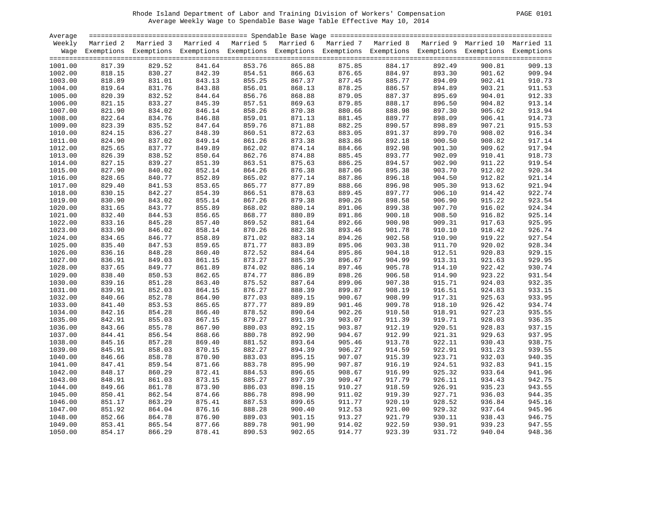| Average |        |                                                                                                                    |        |        |        |        |        |        |        |        |
|---------|--------|--------------------------------------------------------------------------------------------------------------------|--------|--------|--------|--------|--------|--------|--------|--------|
| Weekly  |        | Married 2 Married 3 Married 4 Married 5 Married 6 Married 7 Married 8 Married 9 Married 10 Married 11              |        |        |        |        |        |        |        |        |
|         |        | Wage Exemptions Exemptions Exemptions Exemptions Exemptions Exemptions Exemptions Exemptions Exemptions Exemptions |        |        |        |        |        |        |        |        |
|         |        |                                                                                                                    |        |        |        |        |        |        |        |        |
| 1001.00 | 817.39 | 829.52                                                                                                             | 841.64 | 853.76 | 865.88 | 875.85 | 884.17 | 892.49 | 900.81 | 909.13 |
| 1002.00 | 818.15 | 830.27                                                                                                             | 842.39 | 854.51 | 866.63 | 876.65 | 884.97 | 893.30 | 901.62 | 909.94 |
| 1003.00 | 818.89 | 831.01                                                                                                             | 843.13 | 855.25 | 867.37 | 877.45 | 885.77 | 894.09 | 902.41 | 910.73 |
| 1004.00 | 819.64 | 831.76                                                                                                             | 843.88 | 856.01 | 868.13 | 878.25 | 886.57 | 894.89 | 903.21 | 911.53 |
| 1005.00 | 820.39 | 832.52                                                                                                             | 844.64 | 856.76 | 868.88 | 879.05 | 887.37 | 895.69 | 904.01 | 912.33 |
| 1006.00 | 821.15 | 833.27                                                                                                             | 845.39 | 857.51 | 869.63 | 879.85 | 888.17 | 896.50 | 904.82 | 913.14 |
| 1007.00 | 821.90 | 834.02                                                                                                             | 846.14 | 858.26 | 870.38 | 880.66 | 888.98 | 897.30 | 905.62 | 913.94 |
| 1008.00 | 822.64 | 834.76                                                                                                             | 846.88 | 859.01 | 871.13 | 881.45 | 889.77 | 898.09 | 906.41 | 914.73 |
| 1009.00 | 823.39 | 835.52                                                                                                             | 847.64 | 859.76 | 871.88 | 882.25 | 890.57 | 898.89 | 907.21 | 915.53 |
| 1010.00 | 824.15 | 836.27                                                                                                             | 848.39 | 860.51 | 872.63 | 883.05 | 891.37 | 899.70 | 908.02 | 916.34 |
| 1011.00 | 824.90 | 837.02                                                                                                             | 849.14 | 861.26 | 873.38 | 883.86 | 892.18 | 900.50 | 908.82 | 917.14 |
| 1012.00 | 825.65 | 837.77                                                                                                             | 849.89 | 862.02 | 874.14 | 884.66 | 892.98 | 901.30 | 909.62 | 917.94 |
| 1013.00 | 826.39 | 838.52                                                                                                             | 850.64 | 862.76 | 874.88 | 885.45 | 893.77 | 902.09 | 910.41 | 918.73 |
| 1014.00 | 827.15 | 839.27                                                                                                             | 851.39 | 863.51 | 875.63 | 886.25 | 894.57 | 902.90 | 911.22 | 919.54 |
| 1015.00 | 827.90 | 840.02                                                                                                             | 852.14 | 864.26 | 876.38 | 887.06 | 895.38 | 903.70 | 912.02 | 920.34 |
| 1016.00 | 828.65 | 840.77                                                                                                             | 852.89 | 865.02 | 877.14 | 887.86 | 896.18 | 904.50 | 912.82 | 921.14 |
| 1017.00 | 829.40 | 841.53                                                                                                             | 853.65 | 865.77 | 877.89 | 888.66 | 896.98 | 905.30 | 913.62 | 921.94 |
| 1018.00 | 830.15 | 842.27                                                                                                             | 854.39 | 866.51 | 878.63 | 889.45 | 897.77 | 906.10 | 914.42 | 922.74 |
| 1019.00 | 830.90 | 843.02                                                                                                             | 855.14 | 867.26 | 879.38 | 890.26 | 898.58 | 906.90 | 915.22 | 923.54 |
| 1020.00 | 831.65 | 843.77                                                                                                             | 855.89 | 868.02 | 880.14 | 891.06 | 899.38 | 907.70 | 916.02 | 924.34 |
| 1021.00 | 832.40 | 844.53                                                                                                             | 856.65 | 868.77 | 880.89 | 891.86 | 900.18 | 908.50 | 916.82 | 925.14 |
| 1022.00 | 833.16 | 845.28                                                                                                             | 857.40 | 869.52 | 881.64 | 892.66 | 900.98 | 909.31 | 917.63 | 925.95 |
| 1023.00 | 833.90 | 846.02                                                                                                             | 858.14 | 870.26 | 882.38 | 893.46 | 901.78 | 910.10 | 918.42 | 926.74 |
| 1024.00 | 834.65 | 846.77                                                                                                             | 858.89 | 871.02 | 883.14 | 894.26 | 902.58 | 910.90 | 919.22 | 927.54 |
| 1025.00 | 835.40 | 847.53                                                                                                             | 859.65 | 871.77 | 883.89 | 895.06 | 903.38 | 911.70 | 920.02 | 928.34 |
| 1026.00 | 836.16 | 848.28                                                                                                             | 860.40 | 872.52 | 884.64 | 895.86 | 904.18 | 912.51 | 920.83 | 929.15 |
| 1027.00 | 836.91 | 849.03                                                                                                             | 861.15 | 873.27 | 885.39 | 896.67 | 904.99 | 913.31 | 921.63 | 929.95 |
| 1028.00 | 837.65 | 849.77                                                                                                             | 861.89 | 874.02 | 886.14 | 897.46 | 905.78 | 914.10 | 922.42 | 930.74 |
| 1029.00 | 838.40 | 850.53                                                                                                             | 862.65 | 874.77 | 886.89 | 898.26 | 906.58 | 914.90 | 923.22 | 931.54 |
| 1030.00 | 839.16 | 851.28                                                                                                             | 863.40 | 875.52 | 887.64 | 899.06 | 907.38 | 915.71 | 924.03 | 932.35 |
| 1031.00 | 839.91 | 852.03                                                                                                             | 864.15 | 876.27 | 888.39 | 899.87 | 908.19 | 916.51 | 924.83 | 933.15 |
| 1032.00 | 840.66 | 852.78                                                                                                             | 864.90 | 877.03 | 889.15 | 900.67 | 908.99 | 917.31 | 925.63 | 933.95 |
| 1033.00 | 841.40 | 853.53                                                                                                             | 865.65 | 877.77 | 889.89 | 901.46 | 909.78 | 918.10 | 926.42 | 934.74 |
| 1034.00 | 842.16 | 854.28                                                                                                             | 866.40 | 878.52 | 890.64 | 902.26 | 910.58 | 918.91 | 927.23 | 935.55 |
| 1035.00 | 842.91 | 855.03                                                                                                             | 867.15 | 879.27 | 891.39 | 903.07 | 911.39 | 919.71 | 928.03 | 936.35 |
| 1036.00 | 843.66 | 855.78                                                                                                             | 867.90 | 880.03 | 892.15 | 903.87 | 912.19 | 920.51 | 928.83 | 937.15 |
| 1037.00 | 844.41 | 856.54                                                                                                             | 868.66 | 880.78 | 892.90 | 904.67 | 912.99 | 921.31 | 929.63 | 937.95 |
| 1038.00 | 845.16 | 857.28                                                                                                             | 869.40 | 881.52 | 893.64 | 905.46 | 913.78 | 922.11 | 930.43 | 938.75 |
| 1039.00 | 845.91 | 858.03                                                                                                             | 870.15 | 882.27 | 894.39 | 906.27 | 914.59 | 922.91 | 931.23 | 939.55 |
| 1040.00 | 846.66 | 858.78                                                                                                             | 870.90 | 883.03 | 895.15 | 907.07 | 915.39 | 923.71 | 932.03 | 940.35 |
| 1041.00 | 847.41 | 859.54                                                                                                             | 871.66 | 883.78 | 895.90 | 907.87 | 916.19 | 924.51 | 932.83 | 941.15 |
| 1042.00 | 848.17 | 860.29                                                                                                             | 872.41 | 884.53 | 896.65 | 908.67 | 916.99 | 925.32 | 933.64 | 941.96 |
| 1043.00 | 848.91 | 861.03                                                                                                             | 873.15 | 885.27 | 897.39 | 909.47 | 917.79 | 926.11 | 934.43 | 942.75 |
| 1044.00 | 849.66 | 861.78                                                                                                             | 873.90 | 886.03 | 898.15 | 910.27 | 918.59 | 926.91 | 935.23 | 943.55 |
| 1045.00 | 850.41 | 862.54                                                                                                             | 874.66 | 886.78 | 898.90 | 911.02 | 919.39 | 927.71 | 936.03 | 944.35 |
| 1046.00 | 851.17 | 863.29                                                                                                             | 875.41 | 887.53 | 899.65 | 911.77 | 920.19 | 928.52 | 936.84 | 945.16 |
| 1047.00 | 851.92 | 864.04                                                                                                             | 876.16 | 888.28 | 900.40 | 912.53 | 921.00 | 929.32 | 937.64 | 945.96 |
| 1048.00 | 852.66 | 864.78                                                                                                             | 876.90 | 889.03 | 901.15 | 913.27 | 921.79 | 930.11 | 938.43 | 946.75 |
| 1049.00 | 853.41 | 865.54                                                                                                             | 877.66 | 889.78 | 901.90 | 914.02 | 922.59 | 930.91 | 939.23 | 947.55 |
| 1050.00 | 854.17 | 866.29                                                                                                             | 878.41 | 890.53 | 902.65 | 914.77 | 923.39 | 931.72 | 940.04 | 948.36 |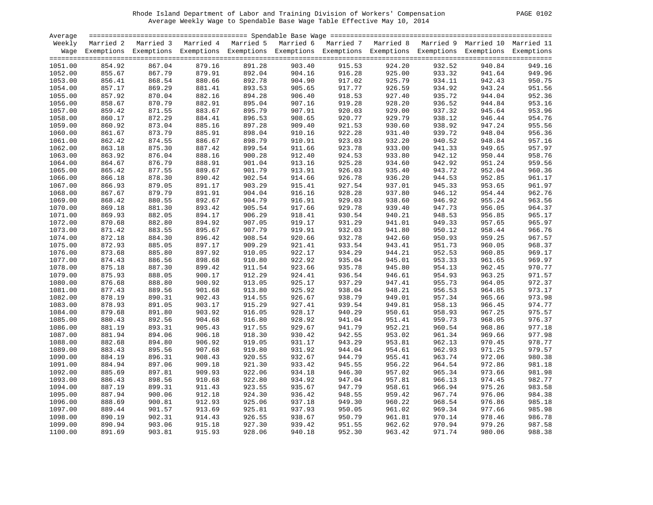| <b>PAGE</b> | 0102 |
|-------------|------|
|             |      |

| Average |                            | stational access to the contract the contract term and the contract term and the contract term access to the c     |                                                                                                                     |        |                            |        |                  |                                                                                                                                                                                                                                                                                                                             |        |        |
|---------|----------------------------|--------------------------------------------------------------------------------------------------------------------|---------------------------------------------------------------------------------------------------------------------|--------|----------------------------|--------|------------------|-----------------------------------------------------------------------------------------------------------------------------------------------------------------------------------------------------------------------------------------------------------------------------------------------------------------------------|--------|--------|
| Weekly  |                            | Married 2 Married 3 Married 4 Married 5 Married 6 Married 7 Married 8 Married 9 Married 10 Married 11              |                                                                                                                     |        |                            |        |                  |                                                                                                                                                                                                                                                                                                                             |        |        |
|         |                            | Wage Exemptions Exemptions Exemptions Exemptions Exemptions Exemptions Exemptions Exemptions Exemptions Exemptions |                                                                                                                     |        |                            |        |                  |                                                                                                                                                                                                                                                                                                                             |        |        |
|         |                            |                                                                                                                    |                                                                                                                     |        |                            |        |                  |                                                                                                                                                                                                                                                                                                                             |        |        |
| 1051.00 | 854.92                     | 867.04                                                                                                             | 879.16                                                                                                              | 891.28 | 903.40                     | 915.53 | 924.20           | 932.52                                                                                                                                                                                                                                                                                                                      | 940.84 | 949.16 |
| 1052.00 | 855.67                     | 867.79<br>97.79 ده<br>868.54<br>869.20                                                                             | 879.91                                                                                                              | 892.04 | 904.16                     | 916.28 | 925.00<br>925.79 |                                                                                                                                                                                                                                                                                                                             | 941.64 | 949.96 |
| 1053.00 | 856.41<br>857.17<br>857.92 |                                                                                                                    | 880.66                                                                                                              | 892.78 | 904.90<br>905.65<br>906.40 | 917.02 |                  | 934.11<br>934.92<br>935.72                                                                                                                                                                                                                                                                                                  | 942.43 | 950.75 |
| 1054.00 |                            |                                                                                                                    | 881.41                                                                                                              | 893.53 |                            | 917.77 | 926.59           |                                                                                                                                                                                                                                                                                                                             | 943.24 | 951.56 |
| 1055.00 |                            | 870.04                                                                                                             | 882.16                                                                                                              | 894.28 |                            | 918.53 | 927.40           |                                                                                                                                                                                                                                                                                                                             | 944.04 | 952.36 |
| 1056.00 | 858.67                     | 870.79                                                                                                             | 882.91                                                                                                              | 895.04 | 907.16                     | 919.28 | 928.20           |                                                                                                                                                                                                                                                                                                                             | 944.84 | 953.16 |
| 1057.00 | 859.42                     | 871.55                                                                                                             | 883.67                                                                                                              | 895.79 | 907.91                     | 920.03 | 929.00           |                                                                                                                                                                                                                                                                                                                             | 945.64 | 953.96 |
| 1058.00 | 860.17                     | 872.29                                                                                                             | 884.41                                                                                                              | 896.53 | 908.65                     | 920.77 | 929.79           |                                                                                                                                                                                                                                                                                                                             | 946.44 | 954.76 |
| 1059.00 | 860.92                     | 873.04                                                                                                             | 885.16                                                                                                              | 897.28 | 909.40                     | 921.53 | 930.60           |                                                                                                                                                                                                                                                                                                                             | 947.24 | 955.56 |
| 1060.00 | 861.67                     | 873.79                                                                                                             | 885.91                                                                                                              | 898.04 | 910.16                     | 922.28 | 931.40           |                                                                                                                                                                                                                                                                                                                             | 948.04 | 956.36 |
| 1061.00 | 862.42                     | 874.55                                                                                                             | 886.67                                                                                                              | 898.79 | 910.91                     | 923.03 | 932.20           |                                                                                                                                                                                                                                                                                                                             | 948.84 | 957.16 |
| 1062.00 | 863.18                     | 875.30                                                                                                             | 887.42                                                                                                              | 899.54 | 911.66<br>912.40           | 923.78 | 933.00           |                                                                                                                                                                                                                                                                                                                             | 949.65 | 957.97 |
| 1063.00 | 863.92                     | 876.04                                                                                                             | 888.16                                                                                                              | 900.28 |                            | 924.53 | 933.80           |                                                                                                                                                                                                                                                                                                                             | 950.44 | 958.76 |
| 1064.00 | 864.67                     | 876.79                                                                                                             | 888.91                                                                                                              | 901.04 | 913.16                     | 925.28 | 934.60           |                                                                                                                                                                                                                                                                                                                             | 951.24 | 959.56 |
| 1065.00 | 865.42                     | 877.55                                                                                                             | 889.67                                                                                                              | 901.79 | 913.91                     | 926.03 | 935.40           |                                                                                                                                                                                                                                                                                                                             | 952.04 | 960.36 |
| 1066.00 | 866.18                     | 878.30                                                                                                             | 890.42                                                                                                              | 902.54 | 914.66                     | 926.78 | 936.20           |                                                                                                                                                                                                                                                                                                                             | 952.85 | 961.17 |
| 1067.00 | 866.93                     | 879.05                                                                                                             | 891.17                                                                                                              | 903.29 | 915.41                     | 927.54 | 937.01           |                                                                                                                                                                                                                                                                                                                             | 953.65 | 961.97 |
| 1068.00 | 867.67                     | 879.79                                                                                                             | 891.91                                                                                                              | 904.04 | 916.16                     | 928.28 | 937.80           |                                                                                                                                                                                                                                                                                                                             | 954.44 | 962.76 |
| 1069.00 | 868.42                     | 880.55                                                                                                             | 892.67                                                                                                              | 904.79 | 916.91                     | 929.03 | 938.60           |                                                                                                                                                                                                                                                                                                                             | 955.24 | 963.56 |
| 1070.00 | 869.18                     | 881.30                                                                                                             | 893.42                                                                                                              | 905.54 | 917.66                     | 929.78 | 939.40           |                                                                                                                                                                                                                                                                                                                             | 956.05 | 964.37 |
| 1071.00 | 869.93                     | 882.05                                                                                                             | 894.17                                                                                                              | 906.29 | 918.41                     | 930.54 | 940.21           |                                                                                                                                                                                                                                                                                                                             | 956.85 | 965.17 |
| 1072.00 | 870.68                     | 882.80                                                                                                             | 894.92                                                                                                              | 907.05 |                            | 931.29 | 941.01           |                                                                                                                                                                                                                                                                                                                             | 957.65 | 965.97 |
| 1073.00 | 871.42                     | 883.55                                                                                                             | 895.67                                                                                                              | 907.79 | 919.17<br>919.91           | 932.03 | 941.80           |                                                                                                                                                                                                                                                                                                                             | 958.44 | 966.76 |
| 1074.00 | 872.18                     | 884.30                                                                                                             | 896.42                                                                                                              | 908.54 | 920.66                     | 932.78 | 942.60           |                                                                                                                                                                                                                                                                                                                             | 959.25 | 967.57 |
| 1075.00 | 872.93                     | 885.05                                                                                                             | 897.17                                                                                                              | 909.29 | 921.41                     | 933.54 | 943.41           |                                                                                                                                                                                                                                                                                                                             | 960.05 | 968.37 |
| 1076.00 | 873.68                     | 885.80                                                                                                             | 897.92                                                                                                              | 910.05 | 922.17                     | 934.29 | 944.21           |                                                                                                                                                                                                                                                                                                                             | 960.85 | 969.17 |
| 1077.00 | 874.43                     | 886.56                                                                                                             | 898.68                                                                                                              | 910.80 | 922.92                     | 935.04 | 945.01           |                                                                                                                                                                                                                                                                                                                             | 961.65 | 969.97 |
| 1078.00 | 875.18                     | 887.30                                                                                                             | 899.42                                                                                                              | 911.54 | 923.66                     | 935.78 | 945.80           |                                                                                                                                                                                                                                                                                                                             | 962.45 | 970.77 |
| 1079.00 | 875.93                     | 888.05                                                                                                             | 900.17                                                                                                              | 912.29 | 924.41                     | 936.54 | 946.61           |                                                                                                                                                                                                                                                                                                                             | 963.25 | 971.57 |
| 1080.00 | 876.68                     | 888.80                                                                                                             | 900.92                                                                                                              | 913.05 | 925.17                     | 937.29 | 947.41           |                                                                                                                                                                                                                                                                                                                             | 964.05 | 972.37 |
| 1081.00 | 877.43                     | 889.56                                                                                                             | 901.68                                                                                                              | 913.80 | 925.92                     | 938.04 | 948.21           |                                                                                                                                                                                                                                                                                                                             | 964.85 | 973.17 |
| 1082.00 | 878.19                     | 890.31                                                                                                             |                                                                                                                     | 914.55 | 926.67                     | 938.79 | 949.01           |                                                                                                                                                                                                                                                                                                                             | 965.66 | 973.98 |
| 1083.00 | 878.93                     | 891.05                                                                                                             | 902.43<br>903.17<br>903.92<br>904.68<br>905.43<br>906.18<br>906.92                                                  | 915.29 | 927.41                     | 939.54 | 949.81           |                                                                                                                                                                                                                                                                                                                             | 966.45 | 974.77 |
| 1084.00 | 879.68                     | 891.80                                                                                                             |                                                                                                                     | 916.05 | 928.17                     | 940.29 | 950.61           |                                                                                                                                                                                                                                                                                                                             | 967.25 | 975.57 |
| 1085.00 | 880.43                     | 892.56                                                                                                             |                                                                                                                     | 916.80 | 928.92                     | 941.04 | 951.41           |                                                                                                                                                                                                                                                                                                                             | 968.05 | 976.37 |
| 1086.00 | 881.19                     | 893.31                                                                                                             |                                                                                                                     | 917.55 | 929.67                     | 941.79 | 952.21           |                                                                                                                                                                                                                                                                                                                             | 968.86 | 977.18 |
| 1087.00 | 881.94                     | 894.06                                                                                                             |                                                                                                                     | 918.30 | 930.42                     | 942.55 | 953.02           |                                                                                                                                                                                                                                                                                                                             | 969.66 | 977.98 |
| 1088.00 | 882.68                     | 894.80                                                                                                             |                                                                                                                     | 919.05 | 931.17                     | 943.29 | 953.81           |                                                                                                                                                                                                                                                                                                                             | 970.45 | 978.77 |
| 1089.00 | 883.43                     | 895.56                                                                                                             | 907.68                                                                                                              | 919.80 | 931.92                     | 944.04 | 954.61           |                                                                                                                                                                                                                                                                                                                             | 971.25 | 979.57 |
| 1090.00 | 884.19                     | 896.31                                                                                                             | 908.43                                                                                                              | 920.55 | 932.67                     | 944.79 | 955.41           |                                                                                                                                                                                                                                                                                                                             | 972.06 | 980.38 |
| 1091.00 | 884.94                     | 897.06                                                                                                             | 909.18                                                                                                              | 921.30 | 933.42                     | 945.55 | 956.22           |                                                                                                                                                                                                                                                                                                                             | 972.86 | 981.18 |
| 1092.00 | 885.69                     | 897.81                                                                                                             | 909.93                                                                                                              | 922.06 | 934.18                     | 946.30 | 957.02           |                                                                                                                                                                                                                                                                                                                             | 973.66 | 981.98 |
| 1093.00 | 886.43                     | 898.56                                                                                                             | 910.68                                                                                                              | 922.80 | 934.92                     | 947.04 | 957.81           | $\begin{array}{l} 933\cdot 32\\ 934\cdot 92\\ 243\cdot 93\\ 25\cdot 72\\ 937\cdot 32\\ 938\cdot 92\\ 240\cdot 52\\ 941\cdot 33\\ 942\cdot 12\\ 242\cdot 92\\ 244\cdot 53\\ 945\cdot 33\\ 945\cdot 33\\ 945\cdot 33\\ 946\cdot 12\\ 944\cdot 53\\ 945\cdot 33\\ 946\cdot 12\\ 944\cdot 53\\ 945\cdot 33\\ 946\cdot 12\\ 947$ | 974.45 | 982.77 |
| 1094.00 | 887.19                     | 899.31                                                                                                             |                                                                                                                     | 923.55 | 935.67                     | 947.79 | 958.61           |                                                                                                                                                                                                                                                                                                                             | 975.26 | 983.58 |
| 1095.00 | 887.94                     | 900.06                                                                                                             |                                                                                                                     | 924.30 | 936.42                     | 948.55 | 959.42           |                                                                                                                                                                                                                                                                                                                             | 976.06 | 984.38 |
| 1096.00 | 888.69                     | 900.81                                                                                                             |                                                                                                                     | 925.06 | 937.18                     | 949.30 | 960.22           |                                                                                                                                                                                                                                                                                                                             | 976.86 | 985.18 |
| 1097.00 | 889.44                     | 901.57                                                                                                             |                                                                                                                     | 925.81 | 937.93                     | 950.05 | 961.02           |                                                                                                                                                                                                                                                                                                                             | 977.66 | 985.98 |
| 1098.00 | 890.19                     | 902.31                                                                                                             |                                                                                                                     | 926.55 | 938.67                     | 950.79 | 961.81           |                                                                                                                                                                                                                                                                                                                             | 978.46 | 986.78 |
| 1099.00 | 890.94                     | 903.06                                                                                                             |                                                                                                                     | 927.30 | 939.42                     | 951.55 | 962.62           |                                                                                                                                                                                                                                                                                                                             | 979.26 | 987.58 |
| 1100.00 | 891.69                     | 903.81                                                                                                             | $\begin{array}{cccc} . & 9 & 9 & \ 0 & 91 & \ 81 & 912 & \ 57 & 913.6 & \ 914.43 & \ 915.1^{\circ} & \ \end{array}$ | 928.06 | 940.18                     | 952.30 | 963.42           | 971.74                                                                                                                                                                                                                                                                                                                      | 980.06 | 988.38 |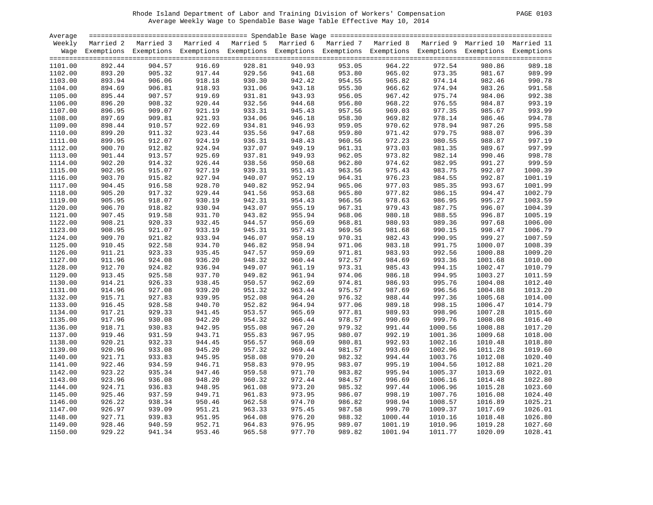|  | <b>PAGE</b> | 0103 |
|--|-------------|------|
|--|-------------|------|

| Average |        |                                                                                                                    |                                                |        |                  |        |                  |                                                                                                                                                                                                                                                                                        |         |         |
|---------|--------|--------------------------------------------------------------------------------------------------------------------|------------------------------------------------|--------|------------------|--------|------------------|----------------------------------------------------------------------------------------------------------------------------------------------------------------------------------------------------------------------------------------------------------------------------------------|---------|---------|
| Weekly  |        | Married 2 Married 3 Married 4 Married 5 Married 6 Married 7 Married 8 Married 9 Married 10 Married 11              |                                                |        |                  |        |                  |                                                                                                                                                                                                                                                                                        |         |         |
|         |        | Wage Exemptions Exemptions Exemptions Exemptions Exemptions Exemptions Exemptions Exemptions Exemptions Exemptions |                                                |        |                  |        |                  |                                                                                                                                                                                                                                                                                        |         |         |
|         |        |                                                                                                                    |                                                |        |                  |        |                  |                                                                                                                                                                                                                                                                                        |         |         |
| 1101.00 | 892.44 | 904.57                                                                                                             | 916.69                                         | 928.81 | 940.93           | 953.05 | 964.22           | 972.54                                                                                                                                                                                                                                                                                 | 980.86  | 989.18  |
| 1102.00 | 893.20 | 905.32                                                                                                             |                                                | 929.56 | 941.68<br>942.42 | 953.80 | 965.02<br>965.82 | 973.35                                                                                                                                                                                                                                                                                 | 981.67  | 989.99  |
| 1103.00 | 893.94 | 906.06                                                                                                             |                                                | 930.30 |                  | 954.55 |                  | 974.14                                                                                                                                                                                                                                                                                 | 982.46  | 990.78  |
| 1104.00 | 894.69 | 906.81                                                                                                             |                                                | 931.06 | 943.18           | 955.30 | 966.62           | 974.94                                                                                                                                                                                                                                                                                 | 983.26  | 991.58  |
| 1105.00 | 895.44 | 907.57                                                                                                             |                                                | 931.81 | 943.93           | 956.05 | 967.42           | 975.74                                                                                                                                                                                                                                                                                 | 984.06  | 992.38  |
| 1106.00 | 896.20 | 908.32                                                                                                             | 917.44<br>918.18<br>918.93<br>919.69<br>920.44 | 932.56 | 944.68           | 956.80 | 968.22           | 976.55                                                                                                                                                                                                                                                                                 | 984.87  | 993.19  |
| 1107.00 | 896.95 | 909.07                                                                                                             | 921.19                                         | 933.31 | 945.43           | 957.56 | 969.03           | 977.35                                                                                                                                                                                                                                                                                 | 985.67  | 993.99  |
| 1108.00 | 897.69 | 909.81                                                                                                             | 921.93                                         | 934.06 | 946.18           | 958.30 | 969.82           | 978.14                                                                                                                                                                                                                                                                                 | 986.46  | 994.78  |
| 1109.00 | 898.44 | 910.57                                                                                                             | 922.69                                         | 934.81 | 946.93           | 959.05 | 970.62           | 978.94                                                                                                                                                                                                                                                                                 | 987.26  | 995.58  |
| 1110.00 | 899.20 | 911.32                                                                                                             | 923.44                                         | 935.56 | 947.68           | 959.80 | 971.42           | 979.75                                                                                                                                                                                                                                                                                 | 988.07  | 996.39  |
| 1111.00 | 899.95 | 912.07                                                                                                             | 924.19                                         | 936.31 | 948.43           | 960.56 | 972.23           | 980.55                                                                                                                                                                                                                                                                                 | 988.87  | 997.19  |
| 1112.00 | 900.70 | 912.82                                                                                                             | 924.94                                         | 937.07 | 949.19           | 961.31 | 973.03           |                                                                                                                                                                                                                                                                                        | 989.67  | 997.99  |
| 1113.00 | 901.44 | 913.57                                                                                                             | 925.69                                         | 937.81 | 949.93           | 962.05 | 973.82           |                                                                                                                                                                                                                                                                                        | 990.46  | 998.78  |
| 1114.00 | 902.20 | 914.32                                                                                                             | 926.44                                         | 938.56 | 950.68           | 962.80 | 974.62           |                                                                                                                                                                                                                                                                                        | 991.27  | 999.59  |
| 1115.00 | 902.95 | 915.07                                                                                                             | 927.19                                         | 939.31 | 951.43           | 963.56 | 975.43           |                                                                                                                                                                                                                                                                                        | 992.07  | 1000.39 |
| 1116.00 | 903.70 | 915.82                                                                                                             | 927.94                                         | 940.07 | 952.19           | 964.31 | 976.23           |                                                                                                                                                                                                                                                                                        | 992.87  | 1001.19 |
| 1117.00 | 904.45 | 916.58                                                                                                             | 928.70                                         | 940.82 | 952.94           | 965.06 | 977.03           |                                                                                                                                                                                                                                                                                        | 993.67  | 1001.99 |
| 1118.00 | 905.20 | 917.32                                                                                                             | 929.44                                         | 941.56 | 953.68           | 965.80 | 977.82           |                                                                                                                                                                                                                                                                                        | 994.47  | 1002.79 |
| 1119.00 | 905.95 | 918.07                                                                                                             | 930.19                                         | 942.31 | 954.43           | 966.56 | 978.63           |                                                                                                                                                                                                                                                                                        | 995.27  | 1003.59 |
| 1120.00 | 906.70 | 918.82                                                                                                             | 930.94                                         | 943.07 | 955.19           | 967.31 | 979.43           |                                                                                                                                                                                                                                                                                        | 996.07  | 1004.39 |
| 1121.00 | 907.45 | 919.58                                                                                                             | 931.70                                         | 943.82 | 955.94           | 968.06 | 980.18           |                                                                                                                                                                                                                                                                                        | 996.87  | 1005.19 |
| 1122.00 | 908.21 | 920.33                                                                                                             | 932.45                                         | 944.57 | 956.69           | 968.81 | 980.93           |                                                                                                                                                                                                                                                                                        | 997.68  | 1006.00 |
| 1123.00 | 908.95 | 921.07                                                                                                             | 933.19                                         | 945.31 | 957.43           | 969.56 | 981.68           |                                                                                                                                                                                                                                                                                        | 998.47  | 1006.79 |
| 1124.00 | 909.70 | 921.82                                                                                                             | 933.94                                         | 946.07 | 958.19           | 970.31 | 982.43           | 981.3<br>982.1<br>982.1<br>982.9<br>983.7<br>984.5<br>985.3!<br>985.3!<br>986.1!<br>986.9!<br>987.75<br>989.36<br>990.95<br>991.75<br>992.56<br>993.36<br>994.15<br>995.75<br>994.15<br>995.75<br>994.15<br>995.75<br>994.15<br>996.56<br>997.75<br>994.15<br>995.76<br>997.75<br>999. | 999.27  | 1007.59 |
| 1125.00 | 910.45 | 922.58                                                                                                             | 934.70                                         | 946.82 | 958.94           | 971.06 | 983.18           |                                                                                                                                                                                                                                                                                        | 1000.07 | 1008.39 |
| 1126.00 | 911.21 | 923.33                                                                                                             | 935.45                                         | 947.57 | 959.69           | 971.81 | 983.93           |                                                                                                                                                                                                                                                                                        | 1000.88 | 1009.20 |
| 1127.00 | 911.96 | 924.08                                                                                                             | 936.20                                         | 948.32 | 960.44           | 972.57 | 984.69           |                                                                                                                                                                                                                                                                                        | 1001.68 | 1010.00 |
| 1128.00 | 912.70 | 924.82                                                                                                             | 936.94                                         | 949.07 | 961.19           | 973.31 | 985.43           |                                                                                                                                                                                                                                                                                        | 1002.47 | 1010.79 |
| 1129.00 | 913.45 | 925.58                                                                                                             | 937.70                                         | 949.82 | 961.94           | 974.06 | 986.18           |                                                                                                                                                                                                                                                                                        | 1003.27 | 1011.59 |
| 1130.00 | 914.21 | 926.33                                                                                                             | $938.45$<br>$939.20$                           | 950.57 | 962.69           | 974.81 | 986.93           |                                                                                                                                                                                                                                                                                        | 1004.08 | 1012.40 |
| 1131.00 | 914.96 | 927.08                                                                                                             |                                                | 951.32 | 963.44           | 975.57 | 987.69           |                                                                                                                                                                                                                                                                                        | 1004.88 | 1013.20 |
| 1132.00 | 915.71 | 927.83                                                                                                             | 939.95                                         | 952.08 | 964.20           | 976.32 | 988.44           |                                                                                                                                                                                                                                                                                        | 1005.68 | 1014.00 |
| 1133.00 | 916.45 | 928.58                                                                                                             | 940.70                                         | 952.82 | 964.94           | 977.06 | 989.18           |                                                                                                                                                                                                                                                                                        | 1006.47 | 1014.79 |
| 1134.00 | 917.21 | 929.33                                                                                                             | 941.45                                         | 953.57 | 965.69           | 977.81 | 989.93           |                                                                                                                                                                                                                                                                                        | 1007.28 | 1015.60 |
| 1135.00 | 917.96 | 930.08                                                                                                             |                                                | 954.32 | 966.44           | 978.57 | 990.69           | 999.76                                                                                                                                                                                                                                                                                 | 1008.08 | 1016.40 |
| 1136.00 | 918.71 | 930.83                                                                                                             |                                                | 955.08 | 967.20           | 979.32 | 991.44           | 1000.56                                                                                                                                                                                                                                                                                | 1008.88 | 1017.20 |
| 1137.00 | 919.46 | 931.59                                                                                                             |                                                | 955.83 | 967.95           | 980.07 | 992.19           | 1001.36                                                                                                                                                                                                                                                                                | 1009.68 | 1018.00 |
| 1138.00 | 920.21 | 932.33                                                                                                             |                                                | 956.57 | 968.69           | 980.81 | 992.93           | 1002.16                                                                                                                                                                                                                                                                                | 1010.48 | 1018.80 |
| 1139.00 | 920.96 | 933.08                                                                                                             | 942.20<br>942.95<br>943.71<br>944.45<br>945.20 | 957.32 | 969.44           | 981.57 | 993.69           | 1002.96                                                                                                                                                                                                                                                                                | 1011.28 | 1019.60 |
| 1140.00 | 921.71 | 933.83                                                                                                             | 945.95                                         | 958.08 | 970.20           | 982.32 | 994.44           | 1003.76                                                                                                                                                                                                                                                                                | 1012.08 | 1020.40 |
| 1141.00 | 922.46 | 934.59                                                                                                             | 946.71                                         | 958.83 | 970.95           | 983.07 | 995.19           | 1004.56                                                                                                                                                                                                                                                                                | 1012.88 | 1021.20 |
| 1142.00 | 923.22 | 935.34                                                                                                             |                                                | 959.58 | 971.70           | 983.82 | 995.94           | 1005.37                                                                                                                                                                                                                                                                                | 1013.69 | 1022.01 |
| 1143.00 | 923.96 | 936.08                                                                                                             |                                                | 960.32 | 972.44           | 984.57 | 996.69           | 1006.16                                                                                                                                                                                                                                                                                | 1014.48 | 1022.80 |
| 1144.00 | 924.71 | 936.83                                                                                                             | 947.46<br>948.20<br>948.95                     | 961.08 | 973.20           | 985.32 | 997.44           | 1006.96                                                                                                                                                                                                                                                                                | 1015.28 | 1023.60 |
| 1145.00 | 925.46 | 937.59                                                                                                             | 949.71                                         | 961.83 | 973.95           | 986.07 | 998.19           | 1007.76                                                                                                                                                                                                                                                                                | 1016.08 | 1024.40 |
| 1146.00 | 926.22 | 938.34                                                                                                             | 950.46                                         | 962.58 | 974.70           | 986.82 | 998.94           | 1008.57                                                                                                                                                                                                                                                                                | 1016.89 | 1025.21 |
| 1147.00 | 926.97 | 939.09                                                                                                             | 951.21                                         | 963.33 | 975.45           | 987.58 | 999.70           | 1009.37                                                                                                                                                                                                                                                                                | 1017.69 | 1026.01 |
| 1148.00 | 927.71 | 939.83                                                                                                             | 951.95                                         | 964.08 | 976.20           | 988.32 | 1000.44          | 1010.16                                                                                                                                                                                                                                                                                | 1018.48 | 1026.80 |
| 1149.00 | 928.46 | 940.59                                                                                                             | 952.71                                         | 964.83 | 976.95           | 989.07 | 1001.19          | 1010.96                                                                                                                                                                                                                                                                                | 1019.28 | 1027.60 |
|         | 929.22 |                                                                                                                    | 953.46                                         | 965.58 | 977.70           | 989.82 | 1001.94          | 1011.77                                                                                                                                                                                                                                                                                | 1020.09 | 1028.41 |
| 1150.00 |        | 941.34                                                                                                             |                                                |        |                  |        |                  |                                                                                                                                                                                                                                                                                        |         |         |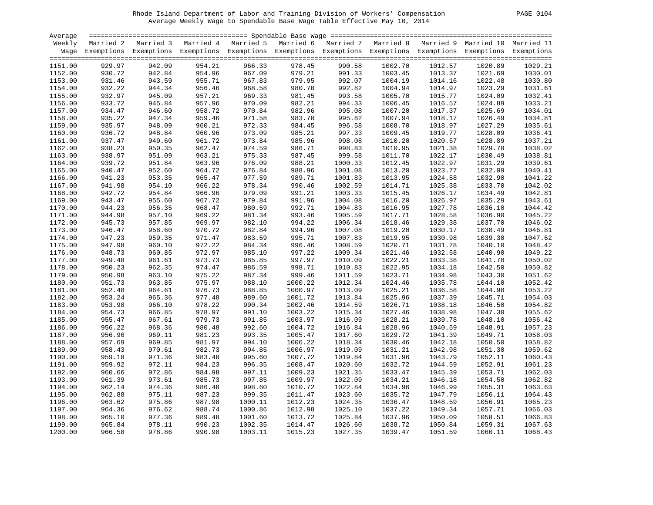|  | PAGE. | 0104 |
|--|-------|------|
|--|-------|------|

| Average |        |                                                                                                                    |                                                |         |                            |         |         |         |         |         |
|---------|--------|--------------------------------------------------------------------------------------------------------------------|------------------------------------------------|---------|----------------------------|---------|---------|---------|---------|---------|
| Weekly  |        | Married 2 Married 3 Married 4 Married 5 Married 6 Married 7 Married 8 Married 9 Married 10 Married 11              |                                                |         |                            |         |         |         |         |         |
|         |        | Wage Exemptions Exemptions Exemptions Exemptions Exemptions Exemptions Exemptions Exemptions Exemptions Exemptions |                                                |         |                            |         |         |         |         |         |
|         |        |                                                                                                                    |                                                |         |                            |         |         |         |         |         |
| 1151.00 | 929.97 | 942.09                                                                                                             | 954.21                                         | 966.33  | 978.45                     | 990.58  | 1002.70 | 1012.57 | 1020.89 | 1029.21 |
| 1152.00 | 930.72 | 942.84                                                                                                             |                                                | 967.09  | 979.21                     | 991.33  | 1003.45 | 1013.37 | 1021.69 | 1030.01 |
| 1153.00 | 931.46 | 943.59                                                                                                             |                                                | 967.83  | 979.95<br>980.70<br>981.45 | 992.07  | 1004.19 | 1014.16 | 1022.48 | 1030.80 |
| 1154.00 | 932.22 | 944.34                                                                                                             |                                                | 968.58  |                            | 992.82  | 1004.94 | 1014.97 | 1023.29 | 1031.61 |
| 1155.00 | 932.97 | 945.09                                                                                                             |                                                | 969.33  |                            | 993.58  | 1005.70 | 1015.77 | 1024.09 | 1032.41 |
| 1156.00 | 933.72 | 945.84                                                                                                             | 954.96<br>955.71<br>956.46<br>957.21<br>957.96 | 970.09  | 982.21                     | 994.33  | 1006.45 | 1016.57 | 1024.89 | 1033.21 |
| 1157.00 | 934.47 | 946.60                                                                                                             | 958.72                                         | 970.84  | 982.96                     | 995.08  | 1007.20 | 1017.37 | 1025.69 | 1034.01 |
| 1158.00 | 935.22 | 947.34                                                                                                             | 959.46                                         | 971.58  | 983.70                     | 995.82  | 1007.94 | 1018.17 | 1026.49 | 1034.81 |
| 1159.00 | 935.97 | 948.09                                                                                                             | 960.21                                         | 972.33  | 984.45                     | 996.58  | 1008.70 | 1018.97 | 1027.29 | 1035.61 |
| 1160.00 | 936.72 | 948.84                                                                                                             | 960.96                                         | 973.09  | 985.21                     | 997.33  | 1009.45 | 1019.77 | 1028.09 | 1036.41 |
| 1161.00 | 937.47 | 949.60                                                                                                             | 961.72                                         | 973.84  | 985.96                     | 998.08  | 1010.20 | 1020.57 | 1028.89 | 1037.21 |
| 1162.00 | 938.23 | 950.35                                                                                                             | 962.47                                         | 974.59  | 986.71                     | 998.83  | 1010.95 | 1021.38 | 1029.70 | 1038.02 |
|         | 938.97 | 951.09                                                                                                             | 963.21                                         | 975.33  |                            | 999.58  | 1011.70 |         |         | 1038.81 |
| 1163.00 | 939.72 |                                                                                                                    |                                                | 976.09  | 987.45                     |         | 1012.45 | 1022.17 | 1030.49 | 1039.61 |
| 1164.00 |        | 951.84                                                                                                             | 963.96                                         |         | 988.21                     | 1000.33 |         | 1022.97 | 1031.29 |         |
| 1165.00 | 940.47 | 952.60                                                                                                             | 964.72                                         | 976.84  | 988.96                     | 1001.08 | 1013.20 | 1023.77 | 1032.09 | 1040.41 |
| 1166.00 | 941.23 | 953.35                                                                                                             | 965.47                                         | 977.59  | 989.71                     | 1001.83 | 1013.95 | 1024.58 | 1032.90 | 1041.22 |
| 1167.00 | 941.98 | 954.10                                                                                                             | 966.22                                         | 978.34  | 990.46                     | 1002.59 | 1014.71 | 1025.38 | 1033.70 | 1042.02 |
| 1168.00 | 942.72 | 954.84                                                                                                             | 966.96                                         | 979.09  | 991.21                     | 1003.33 | 1015.45 | 1026.17 | 1034.49 | 1042.81 |
| 1169.00 | 943.47 | 955.60                                                                                                             | 967.72                                         | 979.84  | 991.96                     | 1004.08 | 1016.20 | 1026.97 | 1035.29 | 1043.61 |
| 1170.00 | 944.23 | 956.35                                                                                                             | 968.47                                         | 980.59  | 992.71                     | 1004.83 | 1016.95 | 1027.78 | 1036.10 | 1044.42 |
| 1171.00 | 944.98 | 957.10                                                                                                             | 969.22                                         | 981.34  | 993.46                     | 1005.59 | 1017.71 | 1028.58 | 1036.90 | 1045.22 |
| 1172.00 | 945.73 | 957.85                                                                                                             | 969.97                                         | 982.10  | 994.22                     | 1006.34 | 1018.46 | 1029.38 | 1037.70 | 1046.02 |
| 1173.00 | 946.47 | 958.60                                                                                                             | 970.72                                         | 982.84  | 994.96                     | 1007.08 | 1019.20 | 1030.17 | 1038.49 | 1046.81 |
| 1174.00 | 947.23 | 959.35                                                                                                             | 971.47                                         | 983.59  | 995.71                     | 1007.83 | 1019.95 | 1030.98 | 1039.30 | 1047.62 |
| 1175.00 | 947.98 | 960.10                                                                                                             | 972.22                                         | 984.34  | 996.46                     | 1008.59 | 1020.71 | 1031.78 | 1040.10 | 1048.42 |
| 1176.00 | 948.73 | 960.85                                                                                                             | 972.97                                         | 985.10  | 997.22                     | 1009.34 | 1021.46 | 1032.58 | 1040.90 | 1049.22 |
| 1177.00 | 949.48 | 961.61                                                                                                             | 973.73                                         | 985.85  | 997.97                     | 1010.09 | 1022.21 | 1033.38 | 1041.70 | 1050.02 |
| 1178.00 | 950.23 | 962.35                                                                                                             | 974.47                                         | 986.59  | 998.71                     | 1010.83 | 1022.95 | 1034.18 | 1042.50 | 1050.82 |
| 1179.00 | 950.98 | 963.10                                                                                                             | 975.22                                         | 987.34  | 999.46                     | 1011.59 | 1023.71 | 1034.98 | 1043.30 | 1051.62 |
| 1180.00 | 951.73 | 963.85                                                                                                             | 975.97                                         | 988.10  | 1000.22                    | 1012.34 | 1024.46 | 1035.78 | 1044.10 | 1052.42 |
| 1181.00 | 952.48 | 964.61                                                                                                             | 976.73                                         | 988.85  | 1000.97                    | 1013.09 | 1025.21 | 1036.58 | 1044.90 | 1053.22 |
| 1182.00 | 953.24 | 965.36                                                                                                             | 977.48                                         | 989.60  | 1001.72                    | 1013.84 | 1025.96 | 1037.39 | 1045.71 | 1054.03 |
| 1183.00 | 953.98 | 966.10                                                                                                             | 978.22                                         | 990.34  | 1002.46                    | 1014.59 | 1026.71 | 1038.18 | 1046.50 | 1054.82 |
| 1184.00 | 954.73 | 966.85                                                                                                             | 978.97                                         | 991.10  | 1003.22                    | 1015.34 | 1027.46 | 1038.98 | 1047.30 | 1055.62 |
| 1185.00 | 955.47 | 967.61                                                                                                             | 979.73                                         | 991.85  | 1003.97                    | 1016.09 | 1028.21 | 1039.78 | 1048.10 | 1056.42 |
| 1186.00 | 956.22 | 968.36                                                                                                             | 980.48                                         | 992.60  | 1004.72                    | 1016.84 | 1028.96 | 1040.59 | 1048.91 | 1057.23 |
| 1187.00 | 956.96 | 969.11                                                                                                             | 981.23                                         | 993.35  | 1005.47                    | 1017.60 | 1029.72 | 1041.39 | 1049.71 | 1058.03 |
| 1188.00 | 957.69 | 969.85                                                                                                             | 981.97                                         | 994.10  | 1006.22                    | 1018.34 | 1030.46 | 1042.18 | 1050.50 | 1058.82 |
| 1189.00 | 958.43 | 970.61                                                                                                             | 982.73                                         | 994.85  | 1006.97                    | 1019.09 | 1031.21 | 1042.98 | 1051.30 | 1059.62 |
| 1190.00 | 959.18 | 971.36                                                                                                             | 983.48                                         | 995.60  | 1007.72                    | 1019.84 | 1031.96 | 1043.79 | 1052.11 | 1060.43 |
| 1191.00 | 959.92 | 972.11                                                                                                             | 984.23                                         | 996.35  | 1008.47                    | 1020.60 | 1032.72 | 1044.59 | 1052.91 | 1061.23 |
| 1192.00 | 960.66 | 972.86                                                                                                             | 984.98                                         | 997.11  | 1009.23                    | 1021.35 | 1033.47 | 1045.39 | 1053.71 | 1062.03 |
| 1193.00 | 961.39 | 973.61                                                                                                             | 985.73                                         | 997.85  | 1009.97                    | 1022.09 | 1034.21 | 1046.18 | 1054.50 | 1062.82 |
| 1194.00 | 962.14 | 974.36                                                                                                             | 986.48                                         | 998.60  | 1010.72                    | 1022.84 | 1034.96 | 1046.99 | 1055.31 | 1063.63 |
| 1195.00 | 962.88 | 975.11                                                                                                             | 987.23                                         | 999.35  | 1011.47                    | 1023.60 | 1035.72 | 1047.79 | 1056.11 | 1064.43 |
| 1196.00 | 963.62 | 975.86                                                                                                             | 987.98                                         | 1000.11 | 1012.23                    | 1024.35 | 1036.47 | 1048.59 | 1056.91 | 1065.23 |
| 1197.00 | 964.36 | 976.62                                                                                                             | 988.74                                         | 1000.86 | 1012.98                    | 1025.10 | 1037.22 | 1049.34 | 1057.71 | 1066.03 |
| 1198.00 | 965.10 | 977.36                                                                                                             | 989.48                                         | 1001.60 | 1013.72                    | 1025.84 | 1037.96 | 1050.09 | 1058.51 | 1066.83 |
| 1199.00 | 965.84 | 978.11                                                                                                             | 990.23                                         | 1002.35 | 1014.47                    | 1026.60 | 1038.72 | 1050.84 | 1059.31 | 1067.63 |
| 1200.00 | 966.58 | 978.86                                                                                                             | 990.98                                         | 1003.11 | 1015.23                    | 1027.35 |         | 1051.59 | 1060.11 |         |
|         |        |                                                                                                                    |                                                |         |                            |         | 1039.47 |         |         | 1068.43 |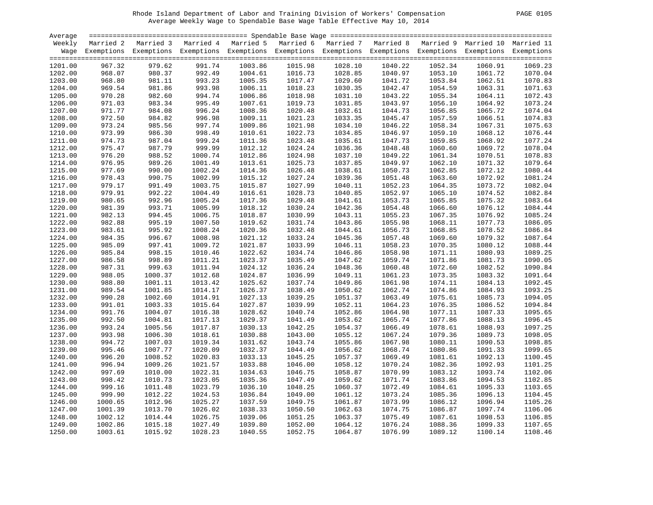| <b>PAGE</b> | 0105 |
|-------------|------|
|-------------|------|

| Average |         |                                                                                                                    |         |         |         |                    |         |         |         |         |
|---------|---------|--------------------------------------------------------------------------------------------------------------------|---------|---------|---------|--------------------|---------|---------|---------|---------|
| Weekly  |         | Married 2 Married 3 Married 4 Married 5 Married 6 Married 7 Married 8 Married 9 Married 10 Married 11              |         |         |         |                    |         |         |         |         |
|         |         | Wage Exemptions Exemptions Exemptions Exemptions Exemptions Exemptions Exemptions Exemptions Exemptions Exemptions |         |         |         |                    |         |         |         |         |
|         |         |                                                                                                                    |         |         |         |                    |         |         |         |         |
| 1201.00 | 967.32  | 979.62                                                                                                             | 991.74  | 1003.86 | 1015.98 | 1028.10            | 1040.22 | 1052.34 | 1060.91 | 1069.23 |
| 1202.00 | 968.07  | 980.37                                                                                                             | 992.49  | 1004.61 | 1016.73 | 1028.85<br>1029.60 | 1040.97 | 1053.10 | 1061.72 | 1070.04 |
| 1203.00 | 968.80  | 981.11                                                                                                             | 993.23  | 1005.35 | 1017.47 |                    | 1041.72 | 1053.84 | 1062.51 | 1070.83 |
| 1204.00 | 969.54  | 981.86                                                                                                             | 993.98  | 1006.11 | 1018.23 | 1030.35            | 1042.47 | 1054.59 | 1063.31 | 1071.63 |
| 1205.00 | 970.28  | 982.60                                                                                                             | 994.74  | 1006.86 | 1018.98 | 1031.10            | 1043.22 | 1055.34 | 1064.11 | 1072.43 |
| 1206.00 | 971.03  | 983.34                                                                                                             | 995.49  | 1007.61 | 1019.73 | 1031.85            | 1043.97 | 1056.10 | 1064.92 | 1073.24 |
| 1207.00 | 971.77  | 984.08                                                                                                             | 996.24  | 1008.36 | 1020.48 | 1032.61            | 1044.73 | 1056.85 | 1065.72 | 1074.04 |
| 1208.00 | 972.50  | 984.82                                                                                                             | 996.98  | 1009.11 | 1021.23 | 1033.35            | 1045.47 | 1057.59 | 1066.51 | 1074.83 |
| 1209.00 | 973.24  | 985.56                                                                                                             | 997.74  | 1009.86 | 1021.98 | 1034.10            | 1046.22 | 1058.34 | 1067.31 | 1075.63 |
| 1210.00 | 973.99  | 986.30                                                                                                             | 998.49  | 1010.61 | 1022.73 | 1034.85            | 1046.97 | 1059.10 | 1068.12 | 1076.44 |
| 1211.00 | 974.73  | 987.04                                                                                                             | 999.24  | 1011.36 | 1023.48 | 1035.61            | 1047.73 | 1059.85 | 1068.92 | 1077.24 |
| 1212.00 | 975.47  | 987.79                                                                                                             | 999.99  | 1012.12 | 1024.24 | 1036.36            | 1048.48 | 1060.60 | 1069.72 | 1078.04 |
| 1213.00 | 976.20  | 988.52                                                                                                             | 1000.74 | 1012.86 | 1024.98 | 1037.10            | 1049.22 | 1061.34 | 1070.51 | 1078.83 |
| 1214.00 | 976.95  | 989.26                                                                                                             | 1001.49 | 1013.61 | 1025.73 | 1037.85            | 1049.97 | 1062.10 | 1071.32 | 1079.64 |
|         |         |                                                                                                                    |         |         |         |                    |         |         |         |         |
| 1215.00 | 977.69  | 990.00                                                                                                             | 1002.24 | 1014.36 | 1026.48 | 1038.61            | 1050.73 | 1062.85 | 1072.12 | 1080.44 |
| 1216.00 | 978.43  | 990.75                                                                                                             | 1002.99 | 1015.12 | 1027.24 | 1039.36            | 1051.48 | 1063.60 | 1072.92 | 1081.24 |
| 1217.00 | 979.17  | 991.49                                                                                                             | 1003.75 | 1015.87 | 1027.99 | 1040.11            | 1052.23 | 1064.35 | 1073.72 | 1082.04 |
| 1218.00 | 979.91  | 992.22                                                                                                             | 1004.49 | 1016.61 | 1028.73 | 1040.85            | 1052.97 | 1065.10 | 1074.52 | 1082.84 |
| 1219.00 | 980.65  | 992.96                                                                                                             | 1005.24 | 1017.36 | 1029.48 | 1041.61            | 1053.73 | 1065.85 | 1075.32 | 1083.64 |
| 1220.00 | 981.39  | 993.71                                                                                                             | 1005.99 | 1018.12 | 1030.24 | 1042.36            | 1054.48 | 1066.60 | 1076.12 | 1084.44 |
| 1221.00 | 982.13  | 994.45                                                                                                             | 1006.75 | 1018.87 | 1030.99 | 1043.11            | 1055.23 | 1067.35 | 1076.92 | 1085.24 |
| 1222.00 | 982.88  | 995.19                                                                                                             | 1007.50 | 1019.62 | 1031.74 | 1043.86            | 1055.98 | 1068.11 | 1077.73 | 1086.05 |
| 1223.00 | 983.61  | 995.92                                                                                                             | 1008.24 | 1020.36 | 1032.48 | 1044.61            | 1056.73 | 1068.85 | 1078.52 | 1086.84 |
| 1224.00 | 984.35  | 996.67                                                                                                             | 1008.98 | 1021.12 | 1033.24 | 1045.36            | 1057.48 | 1069.60 | 1079.32 | 1087.64 |
| 1225.00 | 985.09  | 997.41                                                                                                             | 1009.72 | 1021.87 | 1033.99 | 1046.11            | 1058.23 | 1070.35 | 1080.12 | 1088.44 |
| 1226.00 | 985.84  | 998.15                                                                                                             | 1010.46 | 1022.62 | 1034.74 | 1046.86            | 1058.98 | 1071.11 | 1080.93 | 1089.25 |
| 1227.00 | 986.58  | 998.89                                                                                                             | 1011.21 | 1023.37 | 1035.49 | 1047.62            | 1059.74 | 1071.86 | 1081.73 | 1090.05 |
| 1228.00 | 987.31  | 999.63                                                                                                             | 1011.94 | 1024.12 | 1036.24 | 1048.36            | 1060.48 | 1072.60 | 1082.52 | 1090.84 |
| 1229.00 | 988.05  | 1000.37                                                                                                            | 1012.68 | 1024.87 | 1036.99 | 1049.11            | 1061.23 | 1073.35 | 1083.32 | 1091.64 |
| 1230.00 | 988.80  | 1001.11                                                                                                            | 1013.42 | 1025.62 | 1037.74 | 1049.86            | 1061.98 | 1074.11 | 1084.13 | 1092.45 |
| 1231.00 | 989.54  | 1001.85                                                                                                            | 1014.17 | 1026.37 | 1038.49 | 1050.62            | 1062.74 | 1074.86 | 1084.93 | 1093.25 |
| 1232.00 | 990.28  | 1002.60                                                                                                            | 1014.91 | 1027.13 | 1039.25 | 1051.37            | 1063.49 | 1075.61 | 1085.73 | 1094.05 |
| 1233.00 | 991.01  | 1003.33                                                                                                            | 1015.64 | 1027.87 | 1039.99 | 1052.11            | 1064.23 | 1076.35 | 1086.52 | 1094.84 |
| 1234.00 | 991.76  | 1004.07                                                                                                            | 1016.38 | 1028.62 | 1040.74 | 1052.86            | 1064.98 | 1077.11 | 1087.33 | 1095.65 |
| 1235.00 | 992.50  | 1004.81                                                                                                            | 1017.13 | 1029.37 | 1041.49 | 1053.62            | 1065.74 | 1077.86 | 1088.13 | 1096.45 |
| 1236.00 | 993.24  | 1005.56                                                                                                            | 1017.87 | 1030.13 | 1042.25 | 1054.37            | 1066.49 | 1078.61 | 1088.93 | 1097.25 |
| 1237.00 | 993.98  | 1006.30                                                                                                            | 1018.61 | 1030.88 | 1043.00 | 1055.12            | 1067.24 | 1079.36 | 1089.73 | 1098.05 |
| 1238.00 | 994.72  | 1007.03                                                                                                            | 1019.34 | 1031.62 | 1043.74 | 1055.86            | 1067.98 | 1080.11 | 1090.53 | 1098.85 |
|         |         |                                                                                                                    |         |         |         |                    |         |         |         | 1099.65 |
| 1239.00 | 995.46  | 1007.77                                                                                                            | 1020.09 | 1032.37 | 1044.49 | 1056.62            | 1068.74 | 1080.86 | 1091.33 |         |
| 1240.00 | 996.20  | 1008.52                                                                                                            | 1020.83 | 1033.13 | 1045.25 | 1057.37            | 1069.49 | 1081.61 | 1092.13 | 1100.45 |
| 1241.00 | 996.94  | 1009.26                                                                                                            | 1021.57 | 1033.88 | 1046.00 | 1058.12            | 1070.24 | 1082.36 | 1092.93 | 1101.25 |
| 1242.00 | 997.69  | 1010.00                                                                                                            | 1022.31 | 1034.63 | 1046.75 | 1058.87            | 1070.99 | 1083.12 | 1093.74 | 1102.06 |
| 1243.00 | 998.42  | 1010.73                                                                                                            | 1023.05 | 1035.36 | 1047.49 | 1059.62            | 1071.74 | 1083.86 | 1094.53 | 1102.85 |
| 1244.00 | 999.16  | 1011.48                                                                                                            | 1023.79 | 1036.10 | 1048.25 | 1060.37            | 1072.49 | 1084.61 | 1095.33 | 1103.65 |
| 1245.00 | 999.90  | 1012.22                                                                                                            | 1024.53 | 1036.84 | 1049.00 | 1061.12            | 1073.24 | 1085.36 | 1096.13 | 1104.45 |
| 1246.00 | 1000.65 | 1012.96                                                                                                            | 1025.27 | 1037.59 | 1049.75 | 1061.87            | 1073.99 | 1086.12 | 1096.94 | 1105.26 |
| 1247.00 | 1001.39 | 1013.70                                                                                                            | 1026.02 | 1038.33 | 1050.50 | 1062.63            | 1074.75 | 1086.87 | 1097.74 | 1106.06 |
| 1248.00 | 1002.12 | 1014.44                                                                                                            | 1026.75 | 1039.06 | 1051.25 | 1063.37            | 1075.49 | 1087.61 | 1098.53 | 1106.85 |
| 1249.00 | 1002.86 | 1015.18                                                                                                            | 1027.49 | 1039.80 | 1052.00 | 1064.12            | 1076.24 | 1088.36 | 1099.33 | 1107.65 |
| 1250.00 | 1003.61 | 1015.92                                                                                                            | 1028.23 | 1040.55 | 1052.75 | 1064.87            | 1076.99 | 1089.12 | 1100.14 | 1108.46 |
|         |         |                                                                                                                    |         |         |         |                    |         |         |         |         |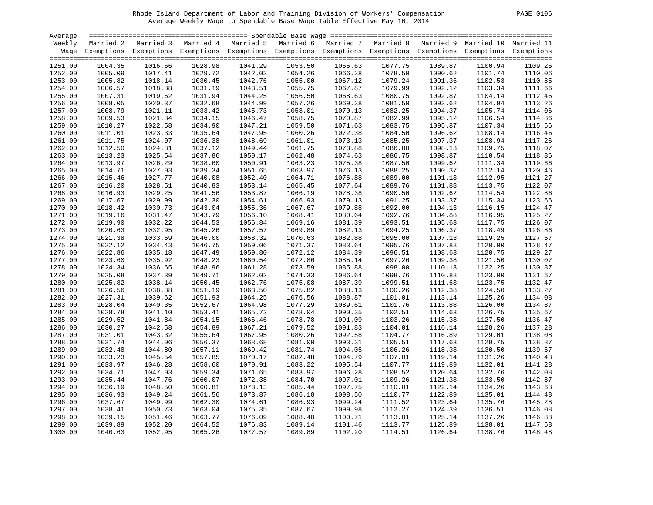| PAGE | 0106 |
|------|------|
|------|------|

| Average |         |                                                                                                                    |         |         |         |         |         |         |         |         |
|---------|---------|--------------------------------------------------------------------------------------------------------------------|---------|---------|---------|---------|---------|---------|---------|---------|
| Weekly  |         | Married 2 Married 3 Married 4 Married 5 Married 6 Married 7 Married 8 Married 9 Married 10 Married 11              |         |         |         |         |         |         |         |         |
|         |         | Wage Exemptions Exemptions Exemptions Exemptions Exemptions Exemptions Exemptions Exemptions Exemptions Exemptions |         |         |         |         |         |         |         |         |
|         |         |                                                                                                                    |         |         |         |         |         |         |         |         |
| 1251.00 | 1004.35 | 1016.66                                                                                                            | 1028.98 | 1041.29 | 1053.50 | 1065.63 | 1077.75 | 1089.87 | 1100.94 | 1109.26 |
| 1252.00 | 1005.09 | 1017.41                                                                                                            | 1029.72 | 1042.03 | 1054.26 | 1066.38 | 1078.50 | 1090.62 | 1101.74 | 1110.06 |
| 1253.00 | 1005.82 | 1018.14                                                                                                            | 1030.45 | 1042.76 | 1055.00 | 1067.12 | 1079.24 | 1091.36 | 1102.53 | 1110.85 |
| 1254.00 | 1006.57 | 1018.88                                                                                                            | 1031.19 | 1043.51 | 1055.75 | 1067.87 | 1079.99 | 1092.12 | 1103.34 | 1111.66 |
|         |         | 1019.62                                                                                                            |         | 1044.25 |         |         |         |         | 1104.14 | 1112.46 |
| 1255.00 | 1007.31 |                                                                                                                    | 1031.94 |         | 1056.50 | 1068.63 | 1080.75 | 1092.87 |         |         |
| 1256.00 | 1008.05 | 1020.37                                                                                                            | 1032.68 | 1044.99 | 1057.26 | 1069.38 | 1081.50 | 1093.62 | 1104.94 | 1113.26 |
| 1257.00 | 1008.79 | 1021.11                                                                                                            | 1033.42 | 1045.73 | 1058.01 | 1070.13 | 1082.25 | 1094.37 | 1105.74 | 1114.06 |
| 1258.00 | 1009.53 | 1021.84                                                                                                            | 1034.15 | 1046.47 | 1058.75 | 1070.87 | 1082.99 | 1095.12 | 1106.54 | 1114.86 |
| 1259.00 | 1010.27 | 1022.58                                                                                                            | 1034.90 | 1047.21 | 1059.50 | 1071.63 | 1083.75 | 1095.87 | 1107.34 | 1115.66 |
| 1260.00 | 1011.01 | 1023.33                                                                                                            | 1035.64 | 1047.95 | 1060.26 | 1072.38 | 1084.50 | 1096.62 | 1108.14 | 1116.46 |
| 1261.00 | 1011.75 | 1024.07                                                                                                            | 1036.38 | 1048.69 | 1061.01 | 1073.13 | 1085.25 | 1097.37 | 1108.94 | 1117.26 |
| 1262.00 | 1012.50 | 1024.81                                                                                                            | 1037.12 | 1049.44 | 1061.75 | 1073.88 | 1086.00 | 1098.13 | 1109.75 | 1118.07 |
| 1263.00 | 1013.23 | 1025.54                                                                                                            | 1037.86 | 1050.17 | 1062.48 | 1074.63 | 1086.75 | 1098.87 | 1110.54 | 1118.86 |
| 1264.00 | 1013.97 | 1026.29                                                                                                            | 1038.60 | 1050.91 | 1063.23 | 1075.38 | 1087.50 | 1099.62 | 1111.34 | 1119.66 |
| 1265.00 | 1014.71 | 1027.03                                                                                                            | 1039.34 | 1051.65 | 1063.97 | 1076.13 | 1088.25 | 1100.37 | 1112.14 | 1120.46 |
| 1266.00 | 1015.46 | 1027.77                                                                                                            | 1040.08 | 1052.40 | 1064.71 | 1076.88 | 1089.00 | 1101.13 | 1112.95 | 1121.27 |
| 1267.00 | 1016.20 | 1028.51                                                                                                            | 1040.83 | 1053.14 | 1065.45 | 1077.64 | 1089.76 | 1101.88 | 1113.75 | 1122.07 |
| 1268.00 | 1016.93 | 1029.25                                                                                                            | 1041.56 | 1053.87 | 1066.19 | 1078.38 | 1090.50 | 1102.62 | 1114.54 | 1122.86 |
| 1269.00 | 1017.67 | 1029.99                                                                                                            | 1042.30 | 1054.61 | 1066.93 | 1079.13 | 1091.25 | 1103.37 | 1115.34 | 1123.66 |
| 1270.00 | 1018.42 | 1030.73                                                                                                            | 1043.04 | 1055.36 | 1067.67 | 1079.88 | 1092.00 | 1104.13 | 1116.15 | 1124.47 |
| 1271.00 | 1019.16 | 1031.47                                                                                                            | 1043.79 | 1056.10 | 1068.41 | 1080.64 | 1092.76 | 1104.88 | 1116.95 | 1125.27 |
| 1272.00 | 1019.90 | 1032.22                                                                                                            | 1044.53 | 1056.84 | 1069.16 | 1081.39 | 1093.51 | 1105.63 | 1117.75 | 1126.07 |
| 1273.00 | 1020.63 | 1032.95                                                                                                            | 1045.26 | 1057.57 | 1069.89 | 1082.13 | 1094.25 | 1106.37 | 1118.49 | 1126.86 |
| 1274.00 | 1021.38 | 1033.69                                                                                                            | 1046.00 | 1058.32 | 1070.63 | 1082.88 | 1095.00 | 1107.13 | 1119.25 | 1127.67 |
| 1275.00 | 1022.12 | 1034.43                                                                                                            | 1046.75 | 1059.06 | 1071.37 | 1083.64 | 1095.76 | 1107.88 | 1120.00 | 1128.47 |
| 1276.00 | 1022.86 | 1035.18                                                                                                            | 1047.49 | 1059.80 | 1072.12 | 1084.39 | 1096.51 | 1108.63 | 1120.75 | 1129.27 |
| 1277.00 | 1023.60 | 1035.92                                                                                                            | 1048.23 | 1060.54 | 1072.86 | 1085.14 | 1097.26 | 1109.38 | 1121.50 | 1130.07 |
| 1278.00 | 1024.34 | 1036.65                                                                                                            | 1048.96 | 1061.28 | 1073.59 | 1085.88 | 1098.00 | 1110.13 | 1122.25 | 1130.87 |
| 1279.00 | 1025.08 | 1037.39                                                                                                            | 1049.71 | 1062.02 | 1074.33 | 1086.64 | 1098.76 | 1110.88 | 1123.00 | 1131.67 |
|         |         | 1038.14                                                                                                            |         |         |         |         |         |         |         | 1132.47 |
| 1280.00 | 1025.82 |                                                                                                                    | 1050.45 | 1062.76 | 1075.08 | 1087.39 | 1099.51 | 1111.63 | 1123.75 |         |
| 1281.00 | 1026.56 | 1038.88                                                                                                            | 1051.19 | 1063.50 | 1075.82 | 1088.13 | 1100.26 | 1112.38 | 1124.50 | 1133.27 |
| 1282.00 | 1027.31 | 1039.62                                                                                                            | 1051.93 | 1064.25 | 1076.56 | 1088.87 | 1101.01 | 1113.14 | 1125.26 | 1134.08 |
| 1283.00 | 1028.04 | 1040.35                                                                                                            | 1052.67 | 1064.98 | 1077.29 | 1089.61 | 1101.76 | 1113.88 | 1126.00 | 1134.87 |
| 1284.00 | 1028.78 | 1041.10                                                                                                            | 1053.41 | 1065.72 | 1078.04 | 1090.35 | 1102.51 | 1114.63 | 1126.75 | 1135.67 |
| 1285.00 | 1029.52 | 1041.84                                                                                                            | 1054.15 | 1066.46 | 1078.78 | 1091.09 | 1103.26 | 1115.38 | 1127.50 | 1136.47 |
| 1286.00 | 1030.27 | 1042.58                                                                                                            | 1054.89 | 1067.21 | 1079.52 | 1091.83 | 1104.01 | 1116.14 | 1128.26 | 1137.28 |
| 1287.00 | 1031.01 | 1043.32                                                                                                            | 1055.64 | 1067.95 | 1080.26 | 1092.58 | 1104.77 | 1116.89 | 1129.01 | 1138.08 |
| 1288.00 | 1031.74 | 1044.06                                                                                                            | 1056.37 | 1068.68 | 1081.00 | 1093.31 | 1105.51 | 1117.63 | 1129.75 | 1138.87 |
| 1289.00 | 1032.48 | 1044.80                                                                                                            | 1057.11 | 1069.42 | 1081.74 | 1094.05 | 1106.26 | 1118.38 | 1130.50 | 1139.67 |
| 1290.00 | 1033.23 | 1045.54                                                                                                            | 1057.85 | 1070.17 | 1082.48 | 1094.79 | 1107.01 | 1119.14 | 1131.26 | 1140.48 |
| 1291.00 | 1033.97 | 1046.28                                                                                                            | 1058.60 | 1070.91 | 1083.22 | 1095.54 | 1107.77 | 1119.89 | 1132.01 | 1141.28 |
| 1292.00 | 1034.71 | 1047.03                                                                                                            | 1059.34 | 1071.65 | 1083.97 | 1096.28 | 1108.52 | 1120.64 | 1132.76 | 1142.08 |
| 1293.00 | 1035.44 | 1047.76                                                                                                            | 1060.07 | 1072.38 | 1084.70 | 1097.01 | 1109.26 | 1121.38 | 1133.50 | 1142.87 |
| 1294.00 | 1036.19 | 1048.50                                                                                                            | 1060.81 | 1073.13 | 1085.44 | 1097.75 | 1110.01 | 1122.14 | 1134.26 | 1143.68 |
| 1295.00 | 1036.93 | 1049.24                                                                                                            | 1061.56 | 1073.87 | 1086.18 | 1098.50 | 1110.77 | 1122.89 | 1135.01 | 1144.48 |
| 1296.00 | 1037.67 | 1049.99                                                                                                            | 1062.30 | 1074.61 | 1086.93 | 1099.24 | 1111.52 | 1123.64 | 1135.76 | 1145.28 |
| 1297.00 | 1038.41 | 1050.73                                                                                                            | 1063.04 | 1075.35 | 1087.67 | 1099.98 | 1112.27 | 1124.39 | 1136.51 | 1146.08 |
| 1298.00 | 1039.15 | 1051.46                                                                                                            | 1063.77 | 1076.09 | 1088.40 | 1100.71 | 1113.01 | 1125.14 | 1137.26 | 1146.88 |
| 1299.00 | 1039.89 | 1052.20                                                                                                            | 1064.52 | 1076.83 | 1089.14 | 1101.46 | 1113.77 | 1125.89 | 1138.01 | 1147.68 |
| 1300.00 | 1040.63 | 1052.95                                                                                                            | 1065.26 | 1077.57 | 1089.89 | 1102.20 | 1114.51 | 1126.64 | 1138.76 | 1148.48 |
|         |         |                                                                                                                    |         |         |         |         |         |         |         |         |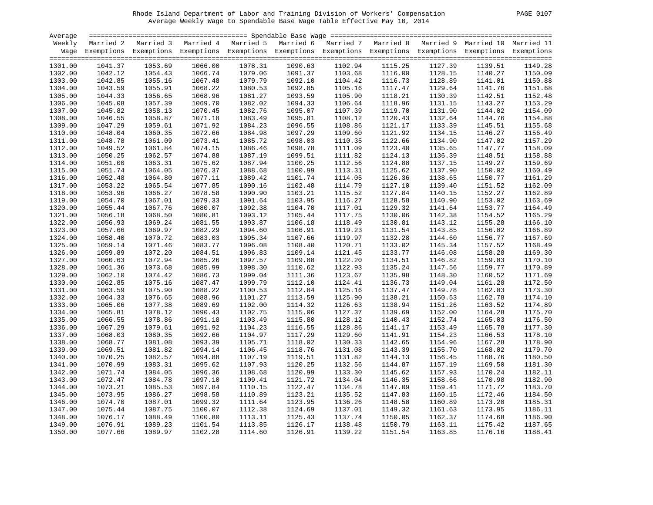| 0107<br>PAGE |
|--------------|
|--------------|

| Average |         |                                                                                                                    |         |         |         |         |         |         |         |         |
|---------|---------|--------------------------------------------------------------------------------------------------------------------|---------|---------|---------|---------|---------|---------|---------|---------|
| Weekly  |         | Married 2 Married 3 Married 4 Married 5 Married 6 Married 7 Married 8 Married 9 Married 10 Married 11              |         |         |         |         |         |         |         |         |
|         |         | Wage Exemptions Exemptions Exemptions Exemptions Exemptions Exemptions Exemptions Exemptions Exemptions Exemptions |         |         |         |         |         |         |         |         |
|         |         |                                                                                                                    |         |         |         |         |         |         |         |         |
| 1301.00 | 1041.37 | 1053.69                                                                                                            | 1066.00 | 1078.31 | 1090.63 | 1102.94 | 1115.25 | 1127.39 | 1139.51 | 1149.28 |
| 1302.00 | 1042.12 | 1054.43                                                                                                            | 1066.74 | 1079.06 | 1091.37 | 1103.68 | 1116.00 | 1128.15 | 1140.27 | 1150.09 |
| 1303.00 | 1042.85 | 1055.16                                                                                                            | 1067.48 | 1079.79 | 1092.10 | 1104.42 | 1116.73 | 1128.89 | 1141.01 | 1150.88 |
| 1304.00 | 1043.59 | 1055.91                                                                                                            | 1068.22 | 1080.53 | 1092.85 | 1105.16 | 1117.47 | 1129.64 | 1141.76 | 1151.68 |
|         |         | 1056.65                                                                                                            |         | 1081.27 |         | 1105.90 | 1118.21 |         |         | 1152.48 |
| 1305.00 | 1044.33 |                                                                                                                    | 1068.96 |         | 1093.59 |         |         | 1130.39 | 1142.51 |         |
| 1306.00 | 1045.08 | 1057.39                                                                                                            | 1069.70 | 1082.02 | 1094.33 | 1106.64 | 1118.96 | 1131.15 | 1143.27 | 1153.29 |
| 1307.00 | 1045.82 | 1058.13                                                                                                            | 1070.45 | 1082.76 | 1095.07 | 1107.39 | 1119.70 | 1131.90 | 1144.02 | 1154.09 |
| 1308.00 | 1046.55 | 1058.87                                                                                                            | 1071.18 | 1083.49 | 1095.81 | 1108.12 | 1120.43 | 1132.64 | 1144.76 | 1154.88 |
| 1309.00 | 1047.29 | 1059.61                                                                                                            | 1071.92 | 1084.23 | 1096.55 | 1108.86 | 1121.17 | 1133.39 | 1145.51 | 1155.68 |
| 1310.00 | 1048.04 | 1060.35                                                                                                            | 1072.66 | 1084.98 | 1097.29 | 1109.60 | 1121.92 | 1134.15 | 1146.27 | 1156.49 |
| 1311.00 | 1048.78 | 1061.09                                                                                                            | 1073.41 | 1085.72 | 1098.03 | 1110.35 | 1122.66 | 1134.90 | 1147.02 | 1157.29 |
| 1312.00 | 1049.52 | 1061.84                                                                                                            | 1074.15 | 1086.46 | 1098.78 | 1111.09 | 1123.40 | 1135.65 | 1147.77 | 1158.09 |
| 1313.00 | 1050.25 | 1062.57                                                                                                            | 1074.88 | 1087.19 | 1099.51 | 1111.82 | 1124.13 | 1136.39 | 1148.51 | 1158.88 |
| 1314.00 | 1051.00 | 1063.31                                                                                                            | 1075.62 | 1087.94 | 1100.25 | 1112.56 | 1124.88 | 1137.15 | 1149.27 | 1159.69 |
| 1315.00 | 1051.74 | 1064.05                                                                                                            | 1076.37 | 1088.68 | 1100.99 | 1113.31 | 1125.62 | 1137.90 | 1150.02 | 1160.49 |
| 1316.00 | 1052.48 | 1064.80                                                                                                            | 1077.11 | 1089.42 | 1101.74 | 1114.05 | 1126.36 | 1138.65 | 1150.77 | 1161.29 |
| 1317.00 | 1053.22 | 1065.54                                                                                                            | 1077.85 | 1090.16 | 1102.48 | 1114.79 | 1127.10 | 1139.40 | 1151.52 | 1162.09 |
| 1318.00 | 1053.96 | 1066.27                                                                                                            | 1078.58 | 1090.90 | 1103.21 | 1115.52 | 1127.84 | 1140.15 | 1152.27 | 1162.89 |
| 1319.00 | 1054.70 | 1067.01                                                                                                            | 1079.33 | 1091.64 | 1103.95 | 1116.27 | 1128.58 | 1140.90 | 1153.02 | 1163.69 |
| 1320.00 | 1055.44 | 1067.76                                                                                                            | 1080.07 | 1092.38 | 1104.70 | 1117.01 | 1129.32 | 1141.64 | 1153.77 | 1164.49 |
| 1321.00 | 1056.18 | 1068.50                                                                                                            | 1080.81 | 1093.12 | 1105.44 | 1117.75 | 1130.06 | 1142.38 | 1154.52 | 1165.29 |
| 1322.00 | 1056.93 | 1069.24                                                                                                            | 1081.55 | 1093.87 | 1106.18 | 1118.49 | 1130.81 | 1143.12 | 1155.28 | 1166.10 |
| 1323.00 | 1057.66 | 1069.97                                                                                                            | 1082.29 | 1094.60 | 1106.91 | 1119.23 | 1131.54 | 1143.85 | 1156.02 | 1166.89 |
| 1324.00 | 1058.40 | 1070.72                                                                                                            | 1083.03 | 1095.34 | 1107.66 | 1119.97 | 1132.28 | 1144.60 | 1156.77 | 1167.69 |
| 1325.00 | 1059.14 | 1071.46                                                                                                            | 1083.77 | 1096.08 | 1108.40 | 1120.71 | 1133.02 | 1145.34 | 1157.52 | 1168.49 |
| 1326.00 | 1059.89 | 1072.20                                                                                                            | 1084.51 | 1096.83 | 1109.14 | 1121.45 | 1133.77 | 1146.08 | 1158.28 | 1169.30 |
| 1327.00 | 1060.63 | 1072.94                                                                                                            | 1085.26 | 1097.57 | 1109.88 | 1122.20 | 1134.51 | 1146.82 | 1159.03 | 1170.10 |
| 1328.00 | 1061.36 | 1073.68                                                                                                            | 1085.99 | 1098.30 | 1110.62 | 1122.93 | 1135.24 | 1147.56 | 1159.77 | 1170.89 |
|         |         | 1074.42                                                                                                            |         |         |         |         |         |         |         | 1171.69 |
| 1329.00 | 1062.10 |                                                                                                                    | 1086.73 | 1099.04 | 1111.36 | 1123.67 | 1135.98 | 1148.30 | 1160.52 |         |
| 1330.00 | 1062.85 | 1075.16                                                                                                            | 1087.47 | 1099.79 | 1112.10 | 1124.41 | 1136.73 | 1149.04 | 1161.28 | 1172.50 |
| 1331.00 | 1063.59 | 1075.90                                                                                                            | 1088.22 | 1100.53 | 1112.84 | 1125.16 | 1137.47 | 1149.78 | 1162.03 | 1173.30 |
| 1332.00 | 1064.33 | 1076.65                                                                                                            | 1088.96 | 1101.27 | 1113.59 | 1125.90 | 1138.21 | 1150.53 | 1162.78 | 1174.10 |
| 1333.00 | 1065.06 | 1077.38                                                                                                            | 1089.69 | 1102.00 | 1114.32 | 1126.63 | 1138.94 | 1151.26 | 1163.52 | 1174.89 |
| 1334.00 | 1065.81 | 1078.12                                                                                                            | 1090.43 | 1102.75 | 1115.06 | 1127.37 | 1139.69 | 1152.00 | 1164.28 | 1175.70 |
| 1335.00 | 1066.55 | 1078.86                                                                                                            | 1091.18 | 1103.49 | 1115.80 | 1128.12 | 1140.43 | 1152.74 | 1165.03 | 1176.50 |
| 1336.00 | 1067.29 | 1079.61                                                                                                            | 1091.92 | 1104.23 | 1116.55 | 1128.86 | 1141.17 | 1153.49 | 1165.78 | 1177.30 |
| 1337.00 | 1068.03 | 1080.35                                                                                                            | 1092.66 | 1104.97 | 1117.29 | 1129.60 | 1141.91 | 1154.23 | 1166.53 | 1178.10 |
| 1338.00 | 1068.77 | 1081.08                                                                                                            | 1093.39 | 1105.71 | 1118.02 | 1130.33 | 1142.65 | 1154.96 | 1167.28 | 1178.90 |
| 1339.00 | 1069.51 | 1081.82                                                                                                            | 1094.14 | 1106.45 | 1118.76 | 1131.08 | 1143.39 | 1155.70 | 1168.02 | 1179.70 |
| 1340.00 | 1070.25 | 1082.57                                                                                                            | 1094.88 | 1107.19 | 1119.51 | 1131.82 | 1144.13 | 1156.45 | 1168.76 | 1180.50 |
| 1341.00 | 1070.99 | 1083.31                                                                                                            | 1095.62 | 1107.93 | 1120.25 | 1132.56 | 1144.87 | 1157.19 | 1169.50 | 1181.30 |
| 1342.00 | 1071.74 | 1084.05                                                                                                            | 1096.36 | 1108.68 | 1120.99 | 1133.30 | 1145.62 | 1157.93 | 1170.24 | 1182.11 |
| 1343.00 | 1072.47 | 1084.78                                                                                                            | 1097.10 | 1109.41 | 1121.72 | 1134.04 | 1146.35 | 1158.66 | 1170.98 | 1182.90 |
| 1344.00 | 1073.21 | 1085.53                                                                                                            | 1097.84 | 1110.15 | 1122.47 | 1134.78 | 1147.09 | 1159.41 | 1171.72 | 1183.70 |
| 1345.00 | 1073.95 | 1086.27                                                                                                            | 1098.58 | 1110.89 | 1123.21 | 1135.52 | 1147.83 | 1160.15 | 1172.46 | 1184.50 |
| 1346.00 | 1074.70 | 1087.01                                                                                                            | 1099.32 | 1111.64 | 1123.95 | 1136.26 | 1148.58 | 1160.89 | 1173.20 | 1185.31 |
| 1347.00 | 1075.44 | 1087.75                                                                                                            | 1100.07 | 1112.38 | 1124.69 | 1137.01 | 1149.32 | 1161.63 | 1173.95 | 1186.11 |
| 1348.00 | 1076.17 | 1088.49                                                                                                            | 1100.80 | 1113.11 | 1125.43 | 1137.74 | 1150.05 | 1162.37 | 1174.68 | 1186.90 |
| 1349.00 | 1076.91 | 1089.23                                                                                                            | 1101.54 | 1113.85 | 1126.17 | 1138.48 | 1150.79 | 1163.11 | 1175.42 | 1187.65 |
| 1350.00 | 1077.66 | 1089.97                                                                                                            | 1102.28 | 1114.60 | 1126.91 | 1139.22 | 1151.54 | 1163.85 | 1176.16 | 1188.41 |
|         |         |                                                                                                                    |         |         |         |         |         |         |         |         |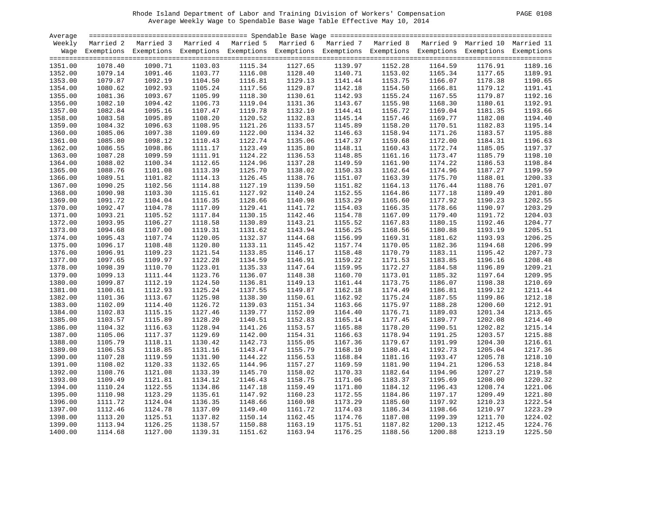| 0108<br>PAGE |
|--------------|
|--------------|

| Average |         |                                                                                                                    |         |         |         |         |         |         |         |         |
|---------|---------|--------------------------------------------------------------------------------------------------------------------|---------|---------|---------|---------|---------|---------|---------|---------|
| Weekly  |         | Married 2 Married 3 Married 4 Married 5 Married 6 Married 7 Married 8 Married 9 Married 10 Married 11              |         |         |         |         |         |         |         |         |
|         |         | Wage Exemptions Exemptions Exemptions Exemptions Exemptions Exemptions Exemptions Exemptions Exemptions Exemptions |         |         |         |         |         |         |         |         |
|         |         |                                                                                                                    |         |         |         |         |         |         |         |         |
| 1351.00 | 1078.40 | 1090.71                                                                                                            | 1103.03 | 1115.34 | 1127.65 | 1139.97 | 1152.28 | 1164.59 | 1176.91 | 1189.16 |
| 1352.00 | 1079.14 | 1091.46                                                                                                            | 1103.77 | 1116.08 | 1128.40 | 1140.71 | 1153.02 | 1165.34 | 1177.65 | 1189.91 |
| 1353.00 | 1079.87 | 1092.19                                                                                                            | 1104.50 | 1116.81 | 1129.13 | 1141.44 | 1153.75 | 1166.07 | 1178.38 | 1190.65 |
| 1354.00 | 1080.62 | 1092.93                                                                                                            | 1105.24 | 1117.56 | 1129.87 | 1142.18 | 1154.50 | 1166.81 | 1179.12 | 1191.41 |
|         |         | 1093.67                                                                                                            |         | 1118.30 |         |         | 1155.24 |         |         | 1192.16 |
| 1355.00 | 1081.36 |                                                                                                                    | 1105.99 |         | 1130.61 | 1142.93 |         | 1167.55 | 1179.87 |         |
| 1356.00 | 1082.10 | 1094.42                                                                                                            | 1106.73 | 1119.04 | 1131.36 | 1143.67 | 1155.98 | 1168.30 | 1180.61 | 1192.91 |
| 1357.00 | 1082.84 | 1095.16                                                                                                            | 1107.47 | 1119.78 | 1132.10 | 1144.41 | 1156.72 | 1169.04 | 1181.35 | 1193.66 |
| 1358.00 | 1083.58 | 1095.89                                                                                                            | 1108.20 | 1120.52 | 1132.83 | 1145.14 | 1157.46 | 1169.77 | 1182.08 | 1194.40 |
| 1359.00 | 1084.32 | 1096.63                                                                                                            | 1108.95 | 1121.26 | 1133.57 | 1145.89 | 1158.20 | 1170.51 | 1182.83 | 1195.14 |
| 1360.00 | 1085.06 | 1097.38                                                                                                            | 1109.69 | 1122.00 | 1134.32 | 1146.63 | 1158.94 | 1171.26 | 1183.57 | 1195.88 |
| 1361.00 | 1085.80 | 1098.12                                                                                                            | 1110.43 | 1122.74 | 1135.06 | 1147.37 | 1159.68 | 1172.00 | 1184.31 | 1196.63 |
| 1362.00 | 1086.55 | 1098.86                                                                                                            | 1111.17 | 1123.49 | 1135.80 | 1148.11 | 1160.43 | 1172.74 | 1185.05 | 1197.37 |
| 1363.00 | 1087.28 | 1099.59                                                                                                            | 1111.91 | 1124.22 | 1136.53 | 1148.85 | 1161.16 | 1173.47 | 1185.79 | 1198.10 |
| 1364.00 | 1088.02 | 1100.34                                                                                                            | 1112.65 | 1124.96 | 1137.28 | 1149.59 | 1161.90 | 1174.22 | 1186.53 | 1198.84 |
| 1365.00 | 1088.76 | 1101.08                                                                                                            | 1113.39 | 1125.70 | 1138.02 | 1150.33 | 1162.64 | 1174.96 | 1187.27 | 1199.59 |
| 1366.00 | 1089.51 | 1101.82                                                                                                            | 1114.13 | 1126.45 | 1138.76 | 1151.07 | 1163.39 | 1175.70 | 1188.01 | 1200.33 |
| 1367.00 | 1090.25 | 1102.56                                                                                                            | 1114.88 | 1127.19 | 1139.50 | 1151.82 | 1164.13 | 1176.44 | 1188.76 | 1201.07 |
| 1368.00 | 1090.98 | 1103.30                                                                                                            | 1115.61 | 1127.92 | 1140.24 | 1152.55 | 1164.86 | 1177.18 | 1189.49 | 1201.80 |
| 1369.00 | 1091.72 | 1104.04                                                                                                            | 1116.35 | 1128.66 | 1140.98 | 1153.29 | 1165.60 | 1177.92 | 1190.23 | 1202.55 |
| 1370.00 | 1092.47 | 1104.78                                                                                                            | 1117.09 | 1129.41 | 1141.72 | 1154.03 | 1166.35 | 1178.66 | 1190.97 | 1203.29 |
| 1371.00 | 1093.21 | 1105.52                                                                                                            | 1117.84 | 1130.15 | 1142.46 | 1154.78 | 1167.09 | 1179.40 | 1191.72 | 1204.03 |
| 1372.00 | 1093.95 | 1106.27                                                                                                            | 1118.58 | 1130.89 | 1143.21 | 1155.52 | 1167.83 | 1180.15 | 1192.46 | 1204.77 |
| 1373.00 | 1094.68 | 1107.00                                                                                                            | 1119.31 | 1131.62 | 1143.94 | 1156.25 | 1168.56 | 1180.88 | 1193.19 | 1205.51 |
| 1374.00 | 1095.43 | 1107.74                                                                                                            | 1120.05 | 1132.37 | 1144.68 | 1156.99 | 1169.31 | 1181.62 | 1193.93 | 1206.25 |
| 1375.00 | 1096.17 | 1108.48                                                                                                            | 1120.80 | 1133.11 | 1145.42 | 1157.74 | 1170.05 | 1182.36 | 1194.68 | 1206.99 |
| 1376.00 | 1096.91 | 1109.23                                                                                                            | 1121.54 | 1133.85 | 1146.17 | 1158.48 | 1170.79 | 1183.11 | 1195.42 | 1207.73 |
| 1377.00 | 1097.65 | 1109.97                                                                                                            | 1122.28 | 1134.59 | 1146.91 | 1159.22 | 1171.53 | 1183.85 | 1196.16 | 1208.48 |
| 1378.00 | 1098.39 | 1110.70                                                                                                            |         | 1135.33 | 1147.64 | 1159.95 | 1172.27 |         | 1196.89 | 1209.21 |
|         |         |                                                                                                                    | 1123.01 |         |         |         |         | 1184.58 |         |         |
| 1379.00 | 1099.13 | 1111.44                                                                                                            | 1123.76 | 1136.07 | 1148.38 | 1160.70 | 1173.01 | 1185.32 | 1197.64 | 1209.95 |
| 1380.00 | 1099.87 | 1112.19                                                                                                            | 1124.50 | 1136.81 | 1149.13 | 1161.44 | 1173.75 | 1186.07 | 1198.38 | 1210.69 |
| 1381.00 | 1100.61 | 1112.93                                                                                                            | 1125.24 | 1137.55 | 1149.87 | 1162.18 | 1174.49 | 1186.81 | 1199.12 | 1211.44 |
| 1382.00 | 1101.36 | 1113.67                                                                                                            | 1125.98 | 1138.30 | 1150.61 | 1162.92 | 1175.24 | 1187.55 | 1199.86 | 1212.18 |
| 1383.00 | 1102.09 | 1114.40                                                                                                            | 1126.72 | 1139.03 | 1151.34 | 1163.66 | 1175.97 | 1188.28 | 1200.60 | 1212.91 |
| 1384.00 | 1102.83 | 1115.15                                                                                                            | 1127.46 | 1139.77 | 1152.09 | 1164.40 | 1176.71 | 1189.03 | 1201.34 | 1213.65 |
| 1385.00 | 1103.57 | 1115.89                                                                                                            | 1128.20 | 1140.51 | 1152.83 | 1165.14 | 1177.45 | 1189.77 | 1202.08 | 1214.40 |
| 1386.00 | 1104.32 | 1116.63                                                                                                            | 1128.94 | 1141.26 | 1153.57 | 1165.88 | 1178.20 | 1190.51 | 1202.82 | 1215.14 |
| 1387.00 | 1105.06 | 1117.37                                                                                                            | 1129.69 | 1142.00 | 1154.31 | 1166.63 | 1178.94 | 1191.25 | 1203.57 | 1215.88 |
| 1388.00 | 1105.79 | 1118.11                                                                                                            | 1130.42 | 1142.73 | 1155.05 | 1167.36 | 1179.67 | 1191.99 | 1204.30 | 1216.61 |
| 1389.00 | 1106.53 | 1118.85                                                                                                            | 1131.16 | 1143.47 | 1155.79 | 1168.10 | 1180.41 | 1192.73 | 1205.04 | 1217.36 |
| 1390.00 | 1107.28 | 1119.59                                                                                                            | 1131.90 | 1144.22 | 1156.53 | 1168.84 | 1181.16 | 1193.47 | 1205.78 | 1218.10 |
| 1391.00 | 1108.02 | 1120.33                                                                                                            | 1132.65 | 1144.96 | 1157.27 | 1169.59 | 1181.90 | 1194.21 | 1206.53 | 1218.84 |
| 1392.00 | 1108.76 | 1121.08                                                                                                            | 1133.39 | 1145.70 | 1158.02 | 1170.33 | 1182.64 | 1194.96 | 1207.27 | 1219.58 |
| 1393.00 | 1109.49 | 1121.81                                                                                                            | 1134.12 | 1146.43 | 1158.75 | 1171.06 | 1183.37 | 1195.69 | 1208.00 | 1220.32 |
| 1394.00 | 1110.24 | 1122.55                                                                                                            | 1134.86 | 1147.18 | 1159.49 | 1171.80 | 1184.12 | 1196.43 | 1208.74 | 1221.06 |
| 1395.00 | 1110.98 | 1123.29                                                                                                            | 1135.61 | 1147.92 | 1160.23 | 1172.55 | 1184.86 | 1197.17 | 1209.49 | 1221.80 |
| 1396.00 | 1111.72 | 1124.04                                                                                                            | 1136.35 | 1148.66 | 1160.98 | 1173.29 | 1185.60 | 1197.92 | 1210.23 | 1222.54 |
| 1397.00 | 1112.46 | 1124.78                                                                                                            | 1137.09 | 1149.40 | 1161.72 | 1174.03 | 1186.34 | 1198.66 | 1210.97 | 1223.29 |
| 1398.00 | 1113.20 | 1125.51                                                                                                            | 1137.82 | 1150.14 | 1162.45 | 1174.76 | 1187.08 | 1199.39 | 1211.70 | 1224.02 |
| 1399.00 | 1113.94 | 1126.25                                                                                                            | 1138.57 | 1150.88 | 1163.19 | 1175.51 | 1187.82 | 1200.13 | 1212.45 | 1224.76 |
| 1400.00 | 1114.68 | 1127.00                                                                                                            | 1139.31 | 1151.62 | 1163.94 | 1176.25 | 1188.56 | 1200.88 | 1213.19 | 1225.50 |
|         |         |                                                                                                                    |         |         |         |         |         |         |         |         |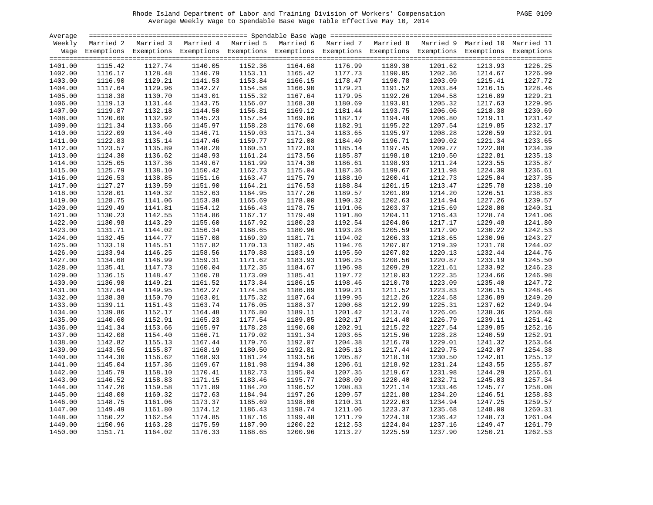| PAGE 0109 |  |
|-----------|--|
|-----------|--|

| Average |         |                                                                                                                    |         |         |         |         |         |         |         |         |
|---------|---------|--------------------------------------------------------------------------------------------------------------------|---------|---------|---------|---------|---------|---------|---------|---------|
| Weekly  |         | Married 2 Married 3 Married 4 Married 5 Married 6 Married 7 Married 8 Married 9 Married 10 Married 11              |         |         |         |         |         |         |         |         |
|         |         | Wage Exemptions Exemptions Exemptions Exemptions Exemptions Exemptions Exemptions Exemptions Exemptions Exemptions |         |         |         |         |         |         |         |         |
|         |         |                                                                                                                    |         |         |         |         |         |         |         |         |
| 1401.00 | 1115.42 | 1127.74                                                                                                            | 1140.05 | 1152.36 | 1164.68 | 1176.99 | 1189.30 | 1201.62 | 1213.93 | 1226.25 |
| 1402.00 | 1116.17 | 1128.48                                                                                                            | 1140.79 | 1153.11 | 1165.42 | 1177.73 | 1190.05 | 1202.36 | 1214.67 | 1226.99 |
| 1403.00 | 1116.90 | 1129.21                                                                                                            | 1141.53 | 1153.84 | 1166.15 | 1178.47 | 1190.78 | 1203.09 | 1215.41 | 1227.72 |
| 1404.00 | 1117.64 | 1129.96                                                                                                            | 1142.27 | 1154.58 | 1166.90 | 1179.21 | 1191.52 | 1203.84 | 1216.15 | 1228.46 |
| 1405.00 | 1118.38 | 1130.70                                                                                                            | 1143.01 | 1155.32 | 1167.64 | 1179.95 | 1192.26 | 1204.58 | 1216.89 | 1229.21 |
| 1406.00 | 1119.13 | 1131.44                                                                                                            | 1143.75 | 1156.07 | 1168.38 | 1180.69 | 1193.01 | 1205.32 | 1217.63 | 1229.95 |
| 1407.00 | 1119.87 | 1132.18                                                                                                            | 1144.50 | 1156.81 | 1169.12 | 1181.44 | 1193.75 | 1206.06 | 1218.38 | 1230.69 |
| 1408.00 | 1120.60 | 1132.92                                                                                                            | 1145.23 | 1157.54 | 1169.86 | 1182.17 | 1194.48 | 1206.80 | 1219.11 | 1231.42 |
| 1409.00 | 1121.34 | 1133.66                                                                                                            | 1145.97 | 1158.28 | 1170.60 | 1182.91 | 1195.22 | 1207.54 | 1219.85 | 1232.17 |
| 1410.00 | 1122.09 | 1134.40                                                                                                            | 1146.71 | 1159.03 | 1171.34 | 1183.65 | 1195.97 | 1208.28 | 1220.59 | 1232.91 |
| 1411.00 | 1122.83 | 1135.14                                                                                                            | 1147.46 | 1159.77 | 1172.08 | 1184.40 | 1196.71 | 1209.02 | 1221.34 | 1233.65 |
| 1412.00 | 1123.57 | 1135.89                                                                                                            | 1148.20 | 1160.51 | 1172.83 | 1185.14 | 1197.45 | 1209.77 | 1222.08 | 1234.39 |
| 1413.00 | 1124.30 | 1136.62                                                                                                            | 1148.93 | 1161.24 | 1173.56 | 1185.87 | 1198.18 | 1210.50 | 1222.81 | 1235.13 |
| 1414.00 | 1125.05 | 1137.36                                                                                                            | 1149.67 | 1161.99 | 1174.30 | 1186.61 | 1198.93 | 1211.24 | 1223.55 | 1235.87 |
| 1415.00 | 1125.79 | 1138.10                                                                                                            | 1150.42 | 1162.73 | 1175.04 | 1187.36 | 1199.67 | 1211.98 | 1224.30 | 1236.61 |
|         |         | 1138.85                                                                                                            |         |         |         |         |         |         |         | 1237.35 |
| 1416.00 | 1126.53 |                                                                                                                    | 1151.16 | 1163.47 | 1175.79 | 1188.10 | 1200.41 | 1212.73 | 1225.04 |         |
| 1417.00 | 1127.27 | 1139.59                                                                                                            | 1151.90 | 1164.21 | 1176.53 | 1188.84 | 1201.15 | 1213.47 | 1225.78 | 1238.10 |
| 1418.00 | 1128.01 | 1140.32                                                                                                            | 1152.63 | 1164.95 | 1177.26 | 1189.57 | 1201.89 | 1214.20 | 1226.51 | 1238.83 |
| 1419.00 | 1128.75 | 1141.06                                                                                                            | 1153.38 | 1165.69 | 1178.00 | 1190.32 | 1202.63 | 1214.94 | 1227.26 | 1239.57 |
| 1420.00 | 1129.49 | 1141.81                                                                                                            | 1154.12 | 1166.43 | 1178.75 | 1191.06 | 1203.37 | 1215.69 | 1228.00 | 1240.31 |
| 1421.00 | 1130.23 | 1142.55                                                                                                            | 1154.86 | 1167.17 | 1179.49 | 1191.80 | 1204.11 | 1216.43 | 1228.74 | 1241.06 |
| 1422.00 | 1130.98 | 1143.29                                                                                                            | 1155.60 | 1167.92 | 1180.23 | 1192.54 | 1204.86 | 1217.17 | 1229.48 | 1241.80 |
| 1423.00 | 1131.71 | 1144.02                                                                                                            | 1156.34 | 1168.65 | 1180.96 | 1193.28 | 1205.59 | 1217.90 | 1230.22 | 1242.53 |
| 1424.00 | 1132.45 | 1144.77                                                                                                            | 1157.08 | 1169.39 | 1181.71 | 1194.02 | 1206.33 | 1218.65 | 1230.96 | 1243.27 |
| 1425.00 | 1133.19 | 1145.51                                                                                                            | 1157.82 | 1170.13 | 1182.45 | 1194.76 | 1207.07 | 1219.39 | 1231.70 | 1244.02 |
| 1426.00 | 1133.94 | 1146.25                                                                                                            | 1158.56 | 1170.88 | 1183.19 | 1195.50 | 1207.82 | 1220.13 | 1232.44 | 1244.76 |
| 1427.00 | 1134.68 | 1146.99                                                                                                            | 1159.31 | 1171.62 | 1183.93 | 1196.25 | 1208.56 | 1220.87 | 1233.19 | 1245.50 |
| 1428.00 | 1135.41 | 1147.73                                                                                                            | 1160.04 | 1172.35 | 1184.67 | 1196.98 | 1209.29 | 1221.61 | 1233.92 | 1246.23 |
| 1429.00 | 1136.15 | 1148.47                                                                                                            | 1160.78 | 1173.09 | 1185.41 | 1197.72 | 1210.03 | 1222.35 | 1234.66 | 1246.98 |
| 1430.00 | 1136.90 | 1149.21                                                                                                            | 1161.52 | 1173.84 | 1186.15 | 1198.46 | 1210.78 | 1223.09 | 1235.40 | 1247.72 |
| 1431.00 | 1137.64 | 1149.95                                                                                                            | 1162.27 | 1174.58 | 1186.89 | 1199.21 | 1211.52 | 1223.83 | 1236.15 | 1248.46 |
| 1432.00 | 1138.38 | 1150.70                                                                                                            | 1163.01 | 1175.32 | 1187.64 | 1199.95 | 1212.26 | 1224.58 | 1236.89 | 1249.20 |
| 1433.00 | 1139.11 | 1151.43                                                                                                            | 1163.74 | 1176.05 | 1188.37 | 1200.68 | 1212.99 | 1225.31 | 1237.62 | 1249.94 |
| 1434.00 | 1139.86 | 1152.17                                                                                                            | 1164.48 | 1176.80 | 1189.11 | 1201.42 | 1213.74 | 1226.05 | 1238.36 | 1250.68 |
| 1435.00 | 1140.60 | 1152.91                                                                                                            | 1165.23 | 1177.54 | 1189.85 | 1202.17 | 1214.48 | 1226.79 | 1239.11 | 1251.42 |
| 1436.00 | 1141.34 | 1153.66                                                                                                            | 1165.97 | 1178.28 | 1190.60 | 1202.91 | 1215.22 | 1227.54 | 1239.85 | 1252.16 |
| 1437.00 | 1142.08 | 1154.40                                                                                                            | 1166.71 | 1179.02 | 1191.34 | 1203.65 | 1215.96 | 1228.28 | 1240.59 | 1252.91 |
| 1438.00 | 1142.82 | 1155.13                                                                                                            | 1167.44 | 1179.76 | 1192.07 | 1204.38 | 1216.70 | 1229.01 | 1241.32 | 1253.64 |
| 1439.00 | 1143.56 | 1155.87                                                                                                            | 1168.19 | 1180.50 | 1192.81 | 1205.13 | 1217.44 | 1229.75 | 1242.07 | 1254.38 |
| 1440.00 | 1144.30 | 1156.62                                                                                                            | 1168.93 | 1181.24 | 1193.56 | 1205.87 | 1218.18 | 1230.50 | 1242.81 | 1255.12 |
| 1441.00 | 1145.04 | 1157.36                                                                                                            | 1169.67 | 1181.98 | 1194.30 | 1206.61 | 1218.92 | 1231.24 | 1243.55 | 1255.87 |
| 1442.00 | 1145.79 | 1158.10                                                                                                            | 1170.41 | 1182.73 | 1195.04 | 1207.35 | 1219.67 | 1231.98 | 1244.29 | 1256.61 |
| 1443.00 | 1146.52 | 1158.83                                                                                                            | 1171.15 | 1183.46 | 1195.77 | 1208.09 | 1220.40 | 1232.71 | 1245.03 | 1257.34 |
| 1444.00 | 1147.26 | 1159.58                                                                                                            | 1171.89 | 1184.20 | 1196.52 | 1208.83 | 1221.14 | 1233.46 | 1245.77 | 1258.08 |
| 1445.00 | 1148.00 | 1160.32                                                                                                            | 1172.63 | 1184.94 | 1197.26 | 1209.57 | 1221.88 | 1234.20 | 1246.51 | 1258.83 |
| 1446.00 | 1148.75 | 1161.06                                                                                                            | 1173.37 | 1185.69 | 1198.00 | 1210.31 | 1222.63 | 1234.94 | 1247.25 | 1259.57 |
| 1447.00 | 1149.49 | 1161.80                                                                                                            | 1174.12 | 1186.43 | 1198.74 | 1211.06 | 1223.37 | 1235.68 | 1248.00 | 1260.31 |
|         |         |                                                                                                                    |         |         |         |         |         |         |         | 1261.04 |
| 1448.00 | 1150.22 | 1162.54                                                                                                            | 1174.85 | 1187.16 | 1199.48 | 1211.79 | 1224.10 | 1236.42 | 1248.73 |         |
| 1449.00 | 1150.96 | 1163.28                                                                                                            | 1175.59 | 1187.90 | 1200.22 | 1212.53 | 1224.84 | 1237.16 | 1249.47 | 1261.79 |
| 1450.00 | 1151.71 | 1164.02                                                                                                            | 1176.33 | 1188.65 | 1200.96 | 1213.27 | 1225.59 | 1237.90 | 1250.21 | 1262.53 |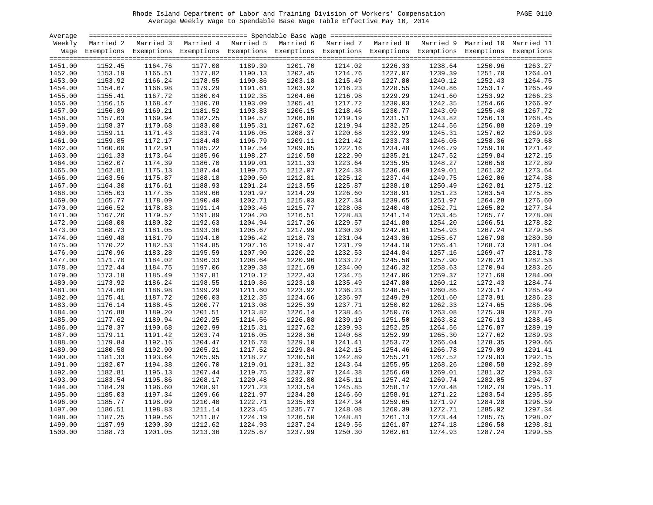| Average            |                    |                                                                                                                    |                    |         |                    |                    |                    |                    |                    |         |
|--------------------|--------------------|--------------------------------------------------------------------------------------------------------------------|--------------------|---------|--------------------|--------------------|--------------------|--------------------|--------------------|---------|
| Weekly             |                    | Married 2 Married 3 Married 4 Married 5 Married 6 Married 7 Married 8 Married 9 Married 10 Married 11              |                    |         |                    |                    |                    |                    |                    |         |
|                    |                    | Wage Exemptions Exemptions Exemptions Exemptions Exemptions Exemptions Exemptions Exemptions Exemptions Exemptions |                    |         |                    |                    |                    |                    |                    |         |
| 1451.00            | 1152.45            | 1164.76                                                                                                            | 1177.08            | 1189.39 | 1201.70            | 1214.02            | 1226.33            | 1238.64            | 1250.96            | 1263.27 |
| 1452.00            | 1153.19            | 1165.51                                                                                                            | 1177.82            | 1190.13 | 1202.45            | 1214.76            | 1227.07            | 1239.39            | 1251.70            | 1264.01 |
|                    |                    |                                                                                                                    |                    | 1190.86 |                    |                    |                    |                    |                    | 1264.75 |
| 1453.00<br>1454.00 | 1153.92<br>1154.67 | 1166.24<br>1166.98                                                                                                 | 1178.55<br>1179.29 | 1191.61 | 1203.18<br>1203.92 | 1215.49<br>1216.23 | 1227.80<br>1228.55 | 1240.12<br>1240.86 | 1252.43<br>1253.17 | 1265.49 |
|                    |                    |                                                                                                                    |                    |         |                    |                    |                    |                    |                    |         |
| 1455.00            | 1155.41            | 1167.72                                                                                                            | 1180.04            | 1192.35 | 1204.66            | 1216.98            | 1229.29            | 1241.60            | 1253.92            | 1266.23 |
| 1456.00            | 1156.15            | 1168.47                                                                                                            | 1180.78            | 1193.09 | 1205.41            | 1217.72            | 1230.03            | 1242.35            | 1254.66            | 1266.97 |
| 1457.00            | 1156.89            | 1169.21                                                                                                            | 1181.52            | 1193.83 | 1206.15            | 1218.46            | 1230.77            | 1243.09            | 1255.40            | 1267.72 |
| 1458.00            | 1157.63            | 1169.94                                                                                                            | 1182.25            | 1194.57 | 1206.88            | 1219.19            | 1231.51            | 1243.82            | 1256.13            | 1268.45 |
| 1459.00            | 1158.37            | 1170.68                                                                                                            | 1183.00            | 1195.31 | 1207.62            | 1219.94            | 1232.25            | 1244.56            | 1256.88            | 1269.19 |
| 1460.00            | 1159.11            | 1171.43                                                                                                            | 1183.74            | 1196.05 | 1208.37            | 1220.68            | 1232.99            | 1245.31            | 1257.62            | 1269.93 |
| 1461.00            | 1159.85            | 1172.17                                                                                                            | 1184.48            | 1196.79 | 1209.11            | 1221.42            | 1233.73            | 1246.05            | 1258.36            | 1270.68 |
| 1462.00            | 1160.60            | 1172.91                                                                                                            | 1185.22            | 1197.54 | 1209.85            | 1222.16            | 1234.48            | 1246.79            | 1259.10            | 1271.42 |
| 1463.00            | 1161.33            | 1173.64                                                                                                            | 1185.96            | 1198.27 | 1210.58            | 1222.90            | 1235.21            | 1247.52            | 1259.84            | 1272.15 |
| 1464.00            | 1162.07            | 1174.39                                                                                                            | 1186.70            | 1199.01 | 1211.33            | 1223.64            | 1235.95            | 1248.27            | 1260.58            | 1272.89 |
| 1465.00            | 1162.81            | 1175.13                                                                                                            | 1187.44            | 1199.75 | 1212.07            | 1224.38            | 1236.69            | 1249.01            | 1261.32            | 1273.64 |
| 1466.00            | 1163.56            | 1175.87                                                                                                            | 1188.18            | 1200.50 | 1212.81            | 1225.12            | 1237.44            | 1249.75            | 1262.06            | 1274.38 |
| 1467.00            | 1164.30            | 1176.61                                                                                                            | 1188.93            | 1201.24 | 1213.55            | 1225.87            | 1238.18            | 1250.49            | 1262.81            | 1275.12 |
| 1468.00            | 1165.03            | 1177.35                                                                                                            | 1189.66            | 1201.97 | 1214.29            | 1226.60            | 1238.91            | 1251.23            | 1263.54            | 1275.85 |
| 1469.00            | 1165.77            | 1178.09                                                                                                            | 1190.40            | 1202.71 | 1215.03            | 1227.34            | 1239.65            | 1251.97            | 1264.28            | 1276.60 |
| 1470.00            | 1166.52            | 1178.83                                                                                                            | 1191.14            | 1203.46 | 1215.77            | 1228.08            | 1240.40            | 1252.71            | 1265.02            | 1277.34 |
| 1471.00            | 1167.26            | 1179.57                                                                                                            | 1191.89            | 1204.20 | 1216.51            | 1228.83            | 1241.14            | 1253.45            | 1265.77            | 1278.08 |
| 1472.00            | 1168.00            | 1180.32                                                                                                            | 1192.63            | 1204.94 | 1217.26            | 1229.57            | 1241.88            | 1254.20            | 1266.51            | 1278.82 |
| 1473.00            | 1168.73            | 1181.05                                                                                                            | 1193.36            | 1205.67 | 1217.99            | 1230.30            | 1242.61            | 1254.93            | 1267.24            | 1279.56 |
| 1474.00            | 1169.48            | 1181.79                                                                                                            | 1194.10            | 1206.42 | 1218.73            | 1231.04            | 1243.36            | 1255.67            | 1267.98            | 1280.30 |
| 1475.00            | 1170.22            | 1182.53                                                                                                            | 1194.85            | 1207.16 | 1219.47            | 1231.79            | 1244.10            | 1256.41            | 1268.73            | 1281.04 |
| 1476.00            | 1170.96            | 1183.28                                                                                                            | 1195.59            | 1207.90 | 1220.22            | 1232.53            | 1244.84            | 1257.16            | 1269.47            | 1281.78 |
| 1477.00            | 1171.70            | 1184.02                                                                                                            | 1196.33            | 1208.64 | 1220.96            | 1233.27            | 1245.58            | 1257.90            | 1270.21            | 1282.53 |
| 1478.00            | 1172.44            | 1184.75                                                                                                            | 1197.06            | 1209.38 | 1221.69            | 1234.00            | 1246.32            | 1258.63            | 1270.94            | 1283.26 |
| 1479.00            | 1173.18            | 1185.49                                                                                                            | 1197.81            | 1210.12 | 1222.43            | 1234.75            | 1247.06            | 1259.37            | 1271.69            | 1284.00 |
| 1480.00            | 1173.92            | 1186.24                                                                                                            | 1198.55            | 1210.86 | 1223.18            | 1235.49            | 1247.80            | 1260.12            | 1272.43            | 1284.74 |
| 1481.00            | 1174.66            | 1186.98                                                                                                            | 1199.29            | 1211.60 | 1223.92            | 1236.23            | 1248.54            | 1260.86            | 1273.17            | 1285.49 |
| 1482.00            | 1175.41            | 1187.72                                                                                                            | 1200.03            | 1212.35 | 1224.66            | 1236.97            | 1249.29            | 1261.60            | 1273.91            | 1286.23 |
| 1483.00            | 1176.14            | 1188.45                                                                                                            | 1200.77            | 1213.08 | 1225.39            | 1237.71            | 1250.02            | 1262.33            | 1274.65            | 1286.96 |
| 1484.00            | 1176.88            | 1189.20                                                                                                            | 1201.51            | 1213.82 | 1226.14            | 1238.45            | 1250.76            | 1263.08            | 1275.39            | 1287.70 |
| 1485.00            | 1177.62            | 1189.94                                                                                                            | 1202.25            | 1214.56 | 1226.88            | 1239.19            | 1251.50            | 1263.82            | 1276.13            | 1288.45 |
| 1486.00            | 1178.37            | 1190.68                                                                                                            | 1202.99            | 1215.31 | 1227.62            | 1239.93            | 1252.25            | 1264.56            | 1276.87            | 1289.19 |
| 1487.00            | 1179.11            | 1191.42                                                                                                            | 1203.74            | 1216.05 | 1228.36            | 1240.68            | 1252.99            | 1265.30            | 1277.62            | 1289.93 |
| 1488.00            | 1179.84            | 1192.16                                                                                                            | 1204.47            | 1216.78 | 1229.10            | 1241.41            | 1253.72            | 1266.04            | 1278.35            | 1290.66 |
| 1489.00            | 1180.58            | 1192.90                                                                                                            | 1205.21            | 1217.52 | 1229.84            | 1242.15            | 1254.46            | 1266.78            | 1279.09            | 1291.41 |
| 1490.00            | 1181.33            | 1193.64                                                                                                            | 1205.95            | 1218.27 | 1230.58            | 1242.89            | 1255.21            | 1267.52            | 1279.83            | 1292.15 |
| 1491.00            | 1182.07            | 1194.38                                                                                                            | 1206.70            | 1219.01 | 1231.32            | 1243.64            | 1255.95            | 1268.26            | 1280.58            | 1292.89 |
| 1492.00            | 1182.81            | 1195.13                                                                                                            | 1207.44            | 1219.75 | 1232.07            | 1244.38            | 1256.69            | 1269.01            | 1281.32            | 1293.63 |
| 1493.00            | 1183.54            | 1195.86                                                                                                            | 1208.17            | 1220.48 | 1232.80            | 1245.11            | 1257.42            | 1269.74            | 1282.05            | 1294.37 |
| 1494.00            | 1184.29            | 1196.60                                                                                                            | 1208.91            | 1221.23 | 1233.54            | 1245.85            | 1258.17            | 1270.48            | 1282.79            | 1295.11 |
| 1495.00            | 1185.03            | 1197.34                                                                                                            | 1209.66            | 1221.97 | 1234.28            | 1246.60            | 1258.91            | 1271.22            | 1283.54            | 1295.85 |
| 1496.00            | 1185.77            | 1198.09                                                                                                            | 1210.40            | 1222.71 | 1235.03            | 1247.34            | 1259.65            | 1271.97            | 1284.28            | 1296.59 |
| 1497.00            | 1186.51            | 1198.83                                                                                                            | 1211.14            | 1223.45 | 1235.77            | 1248.08            | 1260.39            | 1272.71            | 1285.02            | 1297.34 |
| 1498.00            | 1187.25            | 1199.56                                                                                                            | 1211.87            | 1224.19 | 1236.50            | 1248.81            | 1261.13            | 1273.44            | 1285.75            | 1298.07 |
| 1499.00            | 1187.99            | 1200.30                                                                                                            | 1212.62            | 1224.93 | 1237.24            | 1249.56            | 1261.87            | 1274.18            | 1286.50            | 1298.81 |
| 1500.00            | 1188.73            | 1201.05                                                                                                            | 1213.36            | 1225.67 | 1237.99            | 1250.30            | 1262.61            | 1274.93            | 1287.24            | 1299.55 |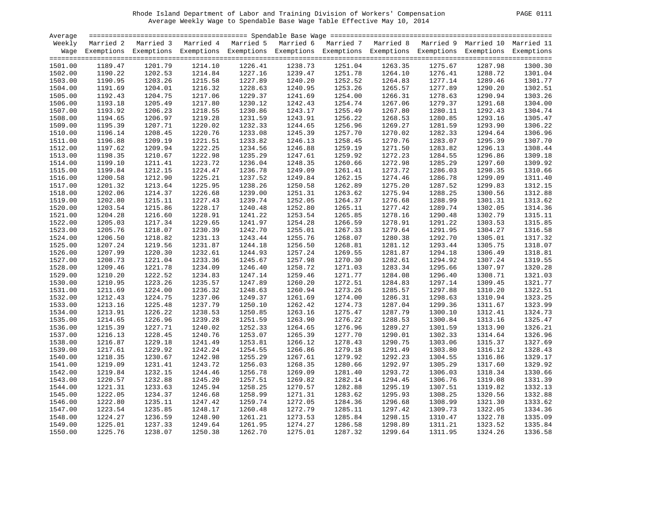| 2ACF. | 1.<br>C |
|-------|---------|
|       |         |

| Average |         |                                                                                                                    |         |         |         |         |         |         |         |         |
|---------|---------|--------------------------------------------------------------------------------------------------------------------|---------|---------|---------|---------|---------|---------|---------|---------|
| Weekly  |         | Married 2 Married 3 Married 4 Married 5 Married 6 Married 7 Married 8 Married 9 Married 10 Married 11              |         |         |         |         |         |         |         |         |
|         |         | Wage Exemptions Exemptions Exemptions Exemptions Exemptions Exemptions Exemptions Exemptions Exemptions Exemptions |         |         |         |         |         |         |         |         |
|         |         |                                                                                                                    |         |         |         |         |         |         |         |         |
| 1501.00 | 1189.47 | 1201.79                                                                                                            | 1214.10 | 1226.41 | 1238.73 | 1251.04 | 1263.35 | 1275.67 | 1287.98 | 1300.30 |
| 1502.00 | 1190.22 | 1202.53                                                                                                            | 1214.84 | 1227.16 | 1239.47 | 1251.78 | 1264.10 | 1276.41 | 1288.72 | 1301.04 |
| 1503.00 | 1190.95 | 1203.26                                                                                                            | 1215.58 | 1227.89 | 1240.20 | 1252.52 | 1264.83 | 1277.14 | 1289.46 | 1301.77 |
| 1504.00 | 1191.69 | 1204.01                                                                                                            | 1216.32 | 1228.63 | 1240.95 | 1253.26 | 1265.57 | 1277.89 | 1290.20 | 1302.51 |
| 1505.00 | 1192.43 | 1204.75                                                                                                            | 1217.06 | 1229.37 | 1241.69 | 1254.00 | 1266.31 | 1278.63 | 1290.94 | 1303.26 |
| 1506.00 | 1193.18 | 1205.49                                                                                                            | 1217.80 | 1230.12 | 1242.43 | 1254.74 | 1267.06 | 1279.37 | 1291.68 | 1304.00 |
| 1507.00 | 1193.92 | 1206.23                                                                                                            | 1218.55 | 1230.86 | 1243.17 | 1255.49 | 1267.80 | 1280.11 | 1292.43 | 1304.74 |
| 1508.00 | 1194.65 | 1206.97                                                                                                            | 1219.28 | 1231.59 | 1243.91 | 1256.22 | 1268.53 | 1280.85 | 1293.16 | 1305.47 |
| 1509.00 | 1195.39 | 1207.71                                                                                                            | 1220.02 | 1232.33 | 1244.65 | 1256.96 | 1269.27 | 1281.59 | 1293.90 | 1306.22 |
| 1510.00 | 1196.14 | 1208.45                                                                                                            | 1220.76 | 1233.08 | 1245.39 | 1257.70 | 1270.02 | 1282.33 | 1294.64 | 1306.96 |
| 1511.00 | 1196.88 | 1209.19                                                                                                            | 1221.51 | 1233.82 | 1246.13 | 1258.45 | 1270.76 | 1283.07 | 1295.39 | 1307.70 |
| 1512.00 | 1197.62 | 1209.94                                                                                                            | 1222.25 | 1234.56 | 1246.88 | 1259.19 | 1271.50 | 1283.82 | 1296.13 | 1308.44 |
| 1513.00 | 1198.35 | 1210.67                                                                                                            | 1222.98 | 1235.29 | 1247.61 | 1259.92 | 1272.23 | 1284.55 | 1296.86 | 1309.18 |
| 1514.00 | 1199.10 | 1211.41                                                                                                            | 1223.72 | 1236.04 | 1248.35 | 1260.66 | 1272.98 | 1285.29 | 1297.60 | 1309.92 |
|         |         |                                                                                                                    |         | 1236.78 | 1249.09 |         |         |         |         | 1310.66 |
| 1515.00 | 1199.84 | 1212.15                                                                                                            | 1224.47 |         |         | 1261.41 | 1273.72 | 1286.03 | 1298.35 |         |
| 1516.00 | 1200.58 | 1212.90                                                                                                            | 1225.21 | 1237.52 | 1249.84 | 1262.15 | 1274.46 | 1286.78 | 1299.09 | 1311.40 |
| 1517.00 | 1201.32 | 1213.64                                                                                                            | 1225.95 | 1238.26 | 1250.58 | 1262.89 | 1275.20 | 1287.52 | 1299.83 | 1312.15 |
| 1518.00 | 1202.06 | 1214.37                                                                                                            | 1226.68 | 1239.00 | 1251.31 | 1263.62 | 1275.94 | 1288.25 | 1300.56 | 1312.88 |
| 1519.00 | 1202.80 | 1215.11                                                                                                            | 1227.43 | 1239.74 | 1252.05 | 1264.37 | 1276.68 | 1288.99 | 1301.31 | 1313.62 |
| 1520.00 | 1203.54 | 1215.86                                                                                                            | 1228.17 | 1240.48 | 1252.80 | 1265.11 | 1277.42 | 1289.74 | 1302.05 | 1314.36 |
| 1521.00 | 1204.28 | 1216.60                                                                                                            | 1228.91 | 1241.22 | 1253.54 | 1265.85 | 1278.16 | 1290.48 | 1302.79 | 1315.11 |
| 1522.00 | 1205.03 | 1217.34                                                                                                            | 1229.65 | 1241.97 | 1254.28 | 1266.59 | 1278.91 | 1291.22 | 1303.53 | 1315.85 |
| 1523.00 | 1205.76 | 1218.07                                                                                                            | 1230.39 | 1242.70 | 1255.01 | 1267.33 | 1279.64 | 1291.95 | 1304.27 | 1316.58 |
| 1524.00 | 1206.50 | 1218.82                                                                                                            | 1231.13 | 1243.44 | 1255.76 | 1268.07 | 1280.38 | 1292.70 | 1305.01 | 1317.32 |
| 1525.00 | 1207.24 | 1219.56                                                                                                            | 1231.87 | 1244.18 | 1256.50 | 1268.81 | 1281.12 | 1293.44 | 1305.75 | 1318.07 |
| 1526.00 | 1207.99 | 1220.30                                                                                                            | 1232.61 | 1244.93 | 1257.24 | 1269.55 | 1281.87 | 1294.18 | 1306.49 | 1318.81 |
| 1527.00 | 1208.73 | 1221.04                                                                                                            | 1233.36 | 1245.67 | 1257.98 | 1270.30 | 1282.61 | 1294.92 | 1307.24 | 1319.55 |
| 1528.00 | 1209.46 | 1221.78                                                                                                            | 1234.09 | 1246.40 | 1258.72 | 1271.03 | 1283.34 | 1295.66 | 1307.97 | 1320.28 |
| 1529.00 | 1210.20 | 1222.52                                                                                                            | 1234.83 | 1247.14 | 1259.46 | 1271.77 | 1284.08 | 1296.40 | 1308.71 | 1321.03 |
| 1530.00 | 1210.95 | 1223.26                                                                                                            | 1235.57 | 1247.89 | 1260.20 | 1272.51 | 1284.83 | 1297.14 | 1309.45 | 1321.77 |
| 1531.00 | 1211.69 | 1224.00                                                                                                            | 1236.32 | 1248.63 | 1260.94 | 1273.26 | 1285.57 | 1297.88 | 1310.20 | 1322.51 |
| 1532.00 | 1212.43 | 1224.75                                                                                                            | 1237.06 | 1249.37 | 1261.69 | 1274.00 | 1286.31 | 1298.63 | 1310.94 | 1323.25 |
| 1533.00 | 1213.16 | 1225.48                                                                                                            | 1237.79 | 1250.10 | 1262.42 | 1274.73 | 1287.04 | 1299.36 | 1311.67 | 1323.99 |
| 1534.00 | 1213.91 | 1226.22                                                                                                            | 1238.53 | 1250.85 | 1263.16 | 1275.47 | 1287.79 | 1300.10 | 1312.41 | 1324.73 |
| 1535.00 | 1214.65 | 1226.96                                                                                                            | 1239.28 | 1251.59 | 1263.90 | 1276.22 | 1288.53 | 1300.84 | 1313.16 | 1325.47 |
| 1536.00 | 1215.39 | 1227.71                                                                                                            | 1240.02 | 1252.33 | 1264.65 | 1276.96 | 1289.27 | 1301.59 | 1313.90 | 1326.21 |
| 1537.00 | 1216.13 | 1228.45                                                                                                            | 1240.76 | 1253.07 | 1265.39 | 1277.70 | 1290.01 | 1302.33 | 1314.64 | 1326.96 |
| 1538.00 | 1216.87 | 1229.18                                                                                                            | 1241.49 | 1253.81 | 1266.12 | 1278.43 | 1290.75 | 1303.06 | 1315.37 | 1327.69 |
| 1539.00 | 1217.61 | 1229.92                                                                                                            | 1242.24 | 1254.55 | 1266.86 | 1279.18 | 1291.49 | 1303.80 | 1316.12 | 1328.43 |
| 1540.00 | 1218.35 | 1230.67                                                                                                            | 1242.98 | 1255.29 | 1267.61 | 1279.92 | 1292.23 | 1304.55 | 1316.86 | 1329.17 |
| 1541.00 | 1219.09 | 1231.41                                                                                                            | 1243.72 | 1256.03 | 1268.35 | 1280.66 | 1292.97 | 1305.29 | 1317.60 | 1329.92 |
| 1542.00 | 1219.84 | 1232.15                                                                                                            | 1244.46 | 1256.78 | 1269.09 | 1281.40 | 1293.72 | 1306.03 | 1318.34 | 1330.66 |
| 1543.00 | 1220.57 | 1232.88                                                                                                            | 1245.20 | 1257.51 | 1269.82 | 1282.14 | 1294.45 | 1306.76 | 1319.08 | 1331.39 |
| 1544.00 | 1221.31 | 1233.63                                                                                                            | 1245.94 | 1258.25 | 1270.57 | 1282.88 | 1295.19 | 1307.51 | 1319.82 | 1332.13 |
| 1545.00 | 1222.05 | 1234.37                                                                                                            | 1246.68 | 1258.99 | 1271.31 | 1283.62 | 1295.93 | 1308.25 | 1320.56 | 1332.88 |
|         |         |                                                                                                                    |         |         |         |         |         |         |         |         |
| 1546.00 | 1222.80 | 1235.11                                                                                                            | 1247.42 | 1259.74 | 1272.05 | 1284.36 | 1296.68 | 1308.99 | 1321.30 | 1333.62 |
| 1547.00 | 1223.54 | 1235.85                                                                                                            | 1248.17 | 1260.48 | 1272.79 | 1285.11 | 1297.42 | 1309.73 | 1322.05 | 1334.36 |
| 1548.00 | 1224.27 | 1236.59                                                                                                            | 1248.90 | 1261.21 | 1273.53 | 1285.84 | 1298.15 | 1310.47 | 1322.78 | 1335.09 |
| 1549.00 | 1225.01 | 1237.33                                                                                                            | 1249.64 | 1261.95 | 1274.27 | 1286.58 | 1298.89 | 1311.21 | 1323.52 | 1335.84 |
| 1550.00 | 1225.76 | 1238.07                                                                                                            | 1250.38 | 1262.70 | 1275.01 | 1287.32 | 1299.64 | 1311.95 | 1324.26 | 1336.58 |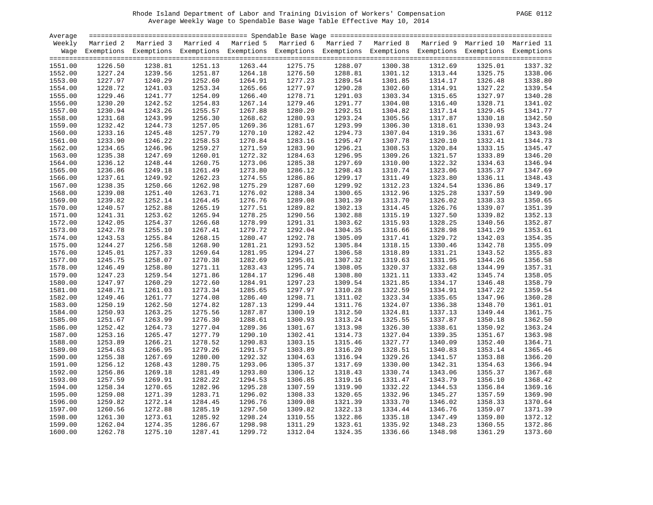| PAGE | 011 |  |
|------|-----|--|
|      |     |  |

| Average |           |                                                                                                                    |         |         |         |         |         |         |         |         |
|---------|-----------|--------------------------------------------------------------------------------------------------------------------|---------|---------|---------|---------|---------|---------|---------|---------|
| Weekly  | Married 2 | Married 3 Married 4 Married 5 Married 6 Married 7 Married 8 Married 9 Married 10 Married 11                        |         |         |         |         |         |         |         |         |
|         |           | Wage Exemptions Exemptions Exemptions Exemptions Exemptions Exemptions Exemptions Exemptions Exemptions Exemptions |         |         |         |         |         |         |         |         |
|         |           |                                                                                                                    |         |         |         |         |         |         |         |         |
| 1551.00 | 1226.50   | 1238.81                                                                                                            | 1251.13 | 1263.44 | 1275.75 | 1288.07 | 1300.38 | 1312.69 | 1325.01 | 1337.32 |
| 1552.00 | 1227.24   | 1239.56                                                                                                            | 1251.87 | 1264.18 | 1276.50 | 1288.81 | 1301.12 | 1313.44 | 1325.75 | 1338.06 |
| 1553.00 | 1227.97   | 1240.29                                                                                                            | 1252.60 | 1264.91 | 1277.23 | 1289.54 | 1301.85 | 1314.17 | 1326.48 | 1338.80 |
| 1554.00 | 1228.72   | 1241.03                                                                                                            | 1253.34 | 1265.66 | 1277.97 | 1290.28 | 1302.60 | 1314.91 | 1327.22 | 1339.54 |
| 1555.00 | 1229.46   | 1241.77                                                                                                            | 1254.09 | 1266.40 | 1278.71 | 1291.03 | 1303.34 | 1315.65 | 1327.97 | 1340.28 |
| 1556.00 | 1230.20   | 1242.52                                                                                                            | 1254.83 | 1267.14 | 1279.46 | 1291.77 | 1304.08 | 1316.40 | 1328.71 | 1341.02 |
| 1557.00 | 1230.94   | 1243.26                                                                                                            | 1255.57 | 1267.88 | 1280.20 | 1292.51 | 1304.82 | 1317.14 | 1329.45 | 1341.77 |
| 1558.00 | 1231.68   | 1243.99                                                                                                            | 1256.30 | 1268.62 | 1280.93 | 1293.24 | 1305.56 | 1317.87 | 1330.18 | 1342.50 |
| 1559.00 | 1232.42   | 1244.73                                                                                                            | 1257.05 | 1269.36 | 1281.67 | 1293.99 | 1306.30 | 1318.61 | 1330.93 | 1343.24 |
| 1560.00 | 1233.16   | 1245.48                                                                                                            | 1257.79 | 1270.10 | 1282.42 | 1294.73 | 1307.04 | 1319.36 | 1331.67 | 1343.98 |
| 1561.00 | 1233.90   | 1246.22                                                                                                            | 1258.53 | 1270.84 | 1283.16 | 1295.47 | 1307.78 | 1320.10 | 1332.41 | 1344.73 |
| 1562.00 | 1234.65   | 1246.96                                                                                                            | 1259.27 | 1271.59 | 1283.90 | 1296.21 | 1308.53 | 1320.84 | 1333.15 | 1345.47 |
| 1563.00 | 1235.38   | 1247.69                                                                                                            | 1260.01 | 1272.32 | 1284.63 | 1296.95 | 1309.26 | 1321.57 | 1333.89 | 1346.20 |
| 1564.00 | 1236.12   | 1248.44                                                                                                            | 1260.75 | 1273.06 | 1285.38 | 1297.69 | 1310.00 | 1322.32 | 1334.63 | 1346.94 |
|         |           |                                                                                                                    |         |         |         |         |         |         |         |         |
| 1565.00 | 1236.86   | 1249.18                                                                                                            | 1261.49 | 1273.80 | 1286.12 | 1298.43 | 1310.74 | 1323.06 | 1335.37 | 1347.69 |
| 1566.00 | 1237.61   | 1249.92                                                                                                            | 1262.23 | 1274.55 | 1286.86 | 1299.17 | 1311.49 | 1323.80 | 1336.11 | 1348.43 |
| 1567.00 | 1238.35   | 1250.66                                                                                                            | 1262.98 | 1275.29 | 1287.60 | 1299.92 | 1312.23 | 1324.54 | 1336.86 | 1349.17 |
| 1568.00 | 1239.08   | 1251.40                                                                                                            | 1263.71 | 1276.02 | 1288.34 | 1300.65 | 1312.96 | 1325.28 | 1337.59 | 1349.90 |
| 1569.00 | 1239.82   | 1252.14                                                                                                            | 1264.45 | 1276.76 | 1289.08 | 1301.39 | 1313.70 | 1326.02 | 1338.33 | 1350.65 |
| 1570.00 | 1240.57   | 1252.88                                                                                                            | 1265.19 | 1277.51 | 1289.82 | 1302.13 | 1314.45 | 1326.76 | 1339.07 | 1351.39 |
| 1571.00 | 1241.31   | 1253.62                                                                                                            | 1265.94 | 1278.25 | 1290.56 | 1302.88 | 1315.19 | 1327.50 | 1339.82 | 1352.13 |
| 1572.00 | 1242.05   | 1254.37                                                                                                            | 1266.68 | 1278.99 | 1291.31 | 1303.62 | 1315.93 | 1328.25 | 1340.56 | 1352.87 |
| 1573.00 | 1242.78   | 1255.10                                                                                                            | 1267.41 | 1279.72 | 1292.04 | 1304.35 | 1316.66 | 1328.98 | 1341.29 | 1353.61 |
| 1574.00 | 1243.53   | 1255.84                                                                                                            | 1268.15 | 1280.47 | 1292.78 | 1305.09 | 1317.41 | 1329.72 | 1342.03 | 1354.35 |
| 1575.00 | 1244.27   | 1256.58                                                                                                            | 1268.90 | 1281.21 | 1293.52 | 1305.84 | 1318.15 | 1330.46 | 1342.78 | 1355.09 |
| 1576.00 | 1245.01   | 1257.33                                                                                                            | 1269.64 | 1281.95 | 1294.27 | 1306.58 | 1318.89 | 1331.21 | 1343.52 | 1355.83 |
| 1577.00 | 1245.75   | 1258.07                                                                                                            | 1270.38 | 1282.69 | 1295.01 | 1307.32 | 1319.63 | 1331.95 | 1344.26 | 1356.58 |
| 1578.00 | 1246.49   | 1258.80                                                                                                            | 1271.11 | 1283.43 | 1295.74 | 1308.05 | 1320.37 | 1332.68 | 1344.99 | 1357.31 |
| 1579.00 | 1247.23   | 1259.54                                                                                                            | 1271.86 | 1284.17 | 1296.48 | 1308.80 | 1321.11 | 1333.42 | 1345.74 | 1358.05 |
| 1580.00 | 1247.97   | 1260.29                                                                                                            | 1272.60 | 1284.91 | 1297.23 | 1309.54 | 1321.85 | 1334.17 | 1346.48 | 1358.79 |
| 1581.00 | 1248.71   | 1261.03                                                                                                            | 1273.34 | 1285.65 | 1297.97 | 1310.28 | 1322.59 | 1334.91 | 1347.22 | 1359.54 |
| 1582.00 | 1249.46   | 1261.77                                                                                                            | 1274.08 | 1286.40 | 1298.71 | 1311.02 | 1323.34 | 1335.65 | 1347.96 | 1360.28 |
| 1583.00 | 1250.19   | 1262.50                                                                                                            | 1274.82 | 1287.13 | 1299.44 | 1311.76 | 1324.07 | 1336.38 | 1348.70 | 1361.01 |
| 1584.00 | 1250.93   | 1263.25                                                                                                            | 1275.56 | 1287.87 | 1300.19 | 1312.50 | 1324.81 | 1337.13 | 1349.44 | 1361.75 |
| 1585.00 | 1251.67   | 1263.99                                                                                                            | 1276.30 | 1288.61 | 1300.93 | 1313.24 | 1325.55 | 1337.87 | 1350.18 | 1362.50 |
| 1586.00 | 1252.42   | 1264.73                                                                                                            | 1277.04 | 1289.36 | 1301.67 | 1313.98 | 1326.30 | 1338.61 | 1350.92 | 1363.24 |
| 1587.00 | 1253.16   | 1265.47                                                                                                            | 1277.79 | 1290.10 | 1302.41 | 1314.73 | 1327.04 | 1339.35 | 1351.67 | 1363.98 |
| 1588.00 | 1253.89   | 1266.21                                                                                                            | 1278.52 | 1290.83 | 1303.15 | 1315.46 | 1327.77 | 1340.09 | 1352.40 | 1364.71 |
| 1589.00 | 1254.63   | 1266.95                                                                                                            | 1279.26 | 1291.57 | 1303.89 | 1316.20 | 1328.51 | 1340.83 | 1353.14 | 1365.46 |
| 1590.00 | 1255.38   | 1267.69                                                                                                            | 1280.00 | 1292.32 | 1304.63 | 1316.94 | 1329.26 | 1341.57 | 1353.88 | 1366.20 |
| 1591.00 | 1256.12   | 1268.43                                                                                                            | 1280.75 | 1293.06 | 1305.37 | 1317.69 | 1330.00 | 1342.31 | 1354.63 | 1366.94 |
| 1592.00 | 1256.86   | 1269.18                                                                                                            | 1281.49 | 1293.80 | 1306.12 | 1318.43 | 1330.74 | 1343.06 | 1355.37 | 1367.68 |
| 1593.00 | 1257.59   | 1269.91                                                                                                            | 1282.22 | 1294.53 | 1306.85 | 1319.16 | 1331.47 | 1343.79 | 1356.10 | 1368.42 |
| 1594.00 | 1258.34   | 1270.65                                                                                                            | 1282.96 | 1295.28 | 1307.59 | 1319.90 | 1332.22 | 1344.53 | 1356.84 | 1369.16 |
| 1595.00 | 1259.08   | 1271.39                                                                                                            | 1283.71 | 1296.02 | 1308.33 | 1320.65 | 1332.96 | 1345.27 | 1357.59 | 1369.90 |
| 1596.00 | 1259.82   | 1272.14                                                                                                            | 1284.45 | 1296.76 | 1309.08 | 1321.39 | 1333.70 | 1346.02 | 1358.33 | 1370.64 |
| 1597.00 | 1260.56   | 1272.88                                                                                                            | 1285.19 | 1297.50 | 1309.82 | 1322.13 | 1334.44 | 1346.76 | 1359.07 | 1371.39 |
| 1598.00 | 1261.30   | 1273.61                                                                                                            | 1285.92 | 1298.24 | 1310.55 | 1322.86 | 1335.18 | 1347.49 | 1359.80 | 1372.12 |
| 1599.00 | 1262.04   | 1274.35                                                                                                            | 1286.67 | 1298.98 | 1311.29 | 1323.61 | 1335.92 | 1348.23 | 1360.55 | 1372.86 |
| 1600.00 | 1262.78   | 1275.10                                                                                                            | 1287.41 | 1299.72 | 1312.04 | 1324.35 | 1336.66 | 1348.98 | 1361.29 | 1373.60 |
|         |           |                                                                                                                    |         |         |         |         |         |         |         |         |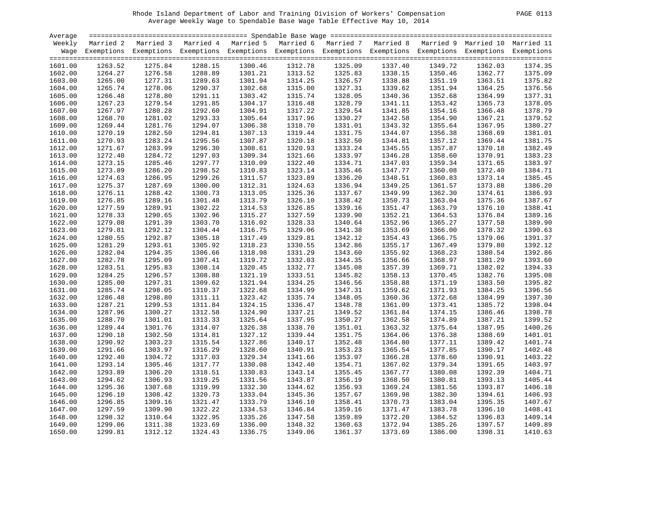| AGE. |
|------|
|------|

| Average |         |                                                                                                                    |         |         |         |         |         |         |         |         |
|---------|---------|--------------------------------------------------------------------------------------------------------------------|---------|---------|---------|---------|---------|---------|---------|---------|
| Weekly  |         | Married 2 Married 3 Married 4 Married 5 Married 6 Married 7 Married 8 Married 9 Married 10 Married 11              |         |         |         |         |         |         |         |         |
|         |         | Wage Exemptions Exemptions Exemptions Exemptions Exemptions Exemptions Exemptions Exemptions Exemptions Exemptions |         |         |         |         |         |         |         |         |
|         |         |                                                                                                                    |         |         |         |         |         |         |         |         |
| 1601.00 | 1263.52 | 1275.84                                                                                                            | 1288.15 | 1300.46 | 1312.78 | 1325.09 | 1337.40 | 1349.72 | 1362.03 | 1374.35 |
| 1602.00 | 1264.27 | 1276.58                                                                                                            | 1288.89 | 1301.21 | 1313.52 | 1325.83 | 1338.15 | 1350.46 | 1362.77 | 1375.09 |
| 1603.00 | 1265.00 | 1277.31                                                                                                            | 1289.63 | 1301.94 | 1314.25 | 1326.57 | 1338.88 | 1351.19 | 1363.51 | 1375.82 |
| 1604.00 | 1265.74 | 1278.06                                                                                                            | 1290.37 | 1302.68 | 1315.00 | 1327.31 | 1339.62 | 1351.94 | 1364.25 | 1376.56 |
| 1605.00 | 1266.48 | 1278.80                                                                                                            | 1291.11 | 1303.42 | 1315.74 | 1328.05 | 1340.36 | 1352.68 | 1364.99 | 1377.31 |
| 1606.00 | 1267.23 | 1279.54                                                                                                            | 1291.85 | 1304.17 | 1316.48 | 1328.79 | 1341.11 | 1353.42 | 1365.73 | 1378.05 |
| 1607.00 | 1267.97 | 1280.28                                                                                                            | 1292.60 | 1304.91 | 1317.22 | 1329.54 | 1341.85 | 1354.16 | 1366.48 | 1378.79 |
| 1608.00 | 1268.70 | 1281.02                                                                                                            | 1293.33 | 1305.64 | 1317.96 | 1330.27 | 1342.58 | 1354.90 | 1367.21 | 1379.52 |
| 1609.00 | 1269.44 | 1281.76                                                                                                            | 1294.07 | 1306.38 | 1318.70 | 1331.01 | 1343.32 | 1355.64 | 1367.95 | 1380.27 |
| 1610.00 | 1270.19 | 1282.50                                                                                                            | 1294.81 | 1307.13 | 1319.44 | 1331.75 | 1344.07 | 1356.38 | 1368.69 | 1381.01 |
| 1611.00 | 1270.93 | 1283.24                                                                                                            | 1295.56 | 1307.87 | 1320.18 | 1332.50 | 1344.81 | 1357.12 | 1369.44 | 1381.75 |
| 1612.00 | 1271.67 | 1283.99                                                                                                            | 1296.30 | 1308.61 | 1320.93 | 1333.24 | 1345.55 | 1357.87 | 1370.18 | 1382.49 |
| 1613.00 | 1272.40 | 1284.72                                                                                                            | 1297.03 | 1309.34 | 1321.66 | 1333.97 | 1346.28 | 1358.60 | 1370.91 | 1383.23 |
| 1614.00 | 1273.15 | 1285.46                                                                                                            | 1297.77 | 1310.09 | 1322.40 | 1334.71 | 1347.03 | 1359.34 | 1371.65 | 1383.97 |
| 1615.00 | 1273.89 | 1286.20                                                                                                            | 1298.52 | 1310.83 | 1323.14 | 1335.46 | 1347.77 | 1360.08 | 1372.40 | 1384.71 |
|         |         |                                                                                                                    |         |         |         |         |         |         |         | 1385.45 |
| 1616.00 | 1274.63 | 1286.95                                                                                                            | 1299.26 | 1311.57 | 1323.89 | 1336.20 | 1348.51 | 1360.83 | 1373.14 |         |
| 1617.00 | 1275.37 | 1287.69                                                                                                            | 1300.00 | 1312.31 | 1324.63 | 1336.94 | 1349.25 | 1361.57 | 1373.88 | 1386.20 |
| 1618.00 | 1276.11 | 1288.42                                                                                                            | 1300.73 | 1313.05 | 1325.36 | 1337.67 | 1349.99 | 1362.30 | 1374.61 | 1386.93 |
| 1619.00 | 1276.85 | 1289.16                                                                                                            | 1301.48 | 1313.79 | 1326.10 | 1338.42 | 1350.73 | 1363.04 | 1375.36 | 1387.67 |
| 1620.00 | 1277.59 | 1289.91                                                                                                            | 1302.22 | 1314.53 | 1326.85 | 1339.16 | 1351.47 | 1363.79 | 1376.10 | 1388.41 |
| 1621.00 | 1278.33 | 1290.65                                                                                                            | 1302.96 | 1315.27 | 1327.59 | 1339.90 | 1352.21 | 1364.53 | 1376.84 | 1389.16 |
| 1622.00 | 1279.08 | 1291.39                                                                                                            | 1303.70 | 1316.02 | 1328.33 | 1340.64 | 1352.96 | 1365.27 | 1377.58 | 1389.90 |
| 1623.00 | 1279.81 | 1292.12                                                                                                            | 1304.44 | 1316.75 | 1329.06 | 1341.38 | 1353.69 | 1366.00 | 1378.32 | 1390.63 |
| 1624.00 | 1280.55 | 1292.87                                                                                                            | 1305.18 | 1317.49 | 1329.81 | 1342.12 | 1354.43 | 1366.75 | 1379.06 | 1391.37 |
| 1625.00 | 1281.29 | 1293.61                                                                                                            | 1305.92 | 1318.23 | 1330.55 | 1342.86 | 1355.17 | 1367.49 | 1379.80 | 1392.12 |
| 1626.00 | 1282.04 | 1294.35                                                                                                            | 1306.66 | 1318.98 | 1331.29 | 1343.60 | 1355.92 | 1368.23 | 1380.54 | 1392.86 |
| 1627.00 | 1282.78 | 1295.09                                                                                                            | 1307.41 | 1319.72 | 1332.03 | 1344.35 | 1356.66 | 1368.97 | 1381.29 | 1393.60 |
| 1628.00 | 1283.51 | 1295.83                                                                                                            | 1308.14 | 1320.45 | 1332.77 | 1345.08 | 1357.39 | 1369.71 | 1382.02 | 1394.33 |
| 1629.00 | 1284.25 | 1296.57                                                                                                            | 1308.88 | 1321.19 | 1333.51 | 1345.82 | 1358.13 | 1370.45 | 1382.76 | 1395.08 |
| 1630.00 | 1285.00 | 1297.31                                                                                                            | 1309.62 | 1321.94 | 1334.25 | 1346.56 | 1358.88 | 1371.19 | 1383.50 | 1395.82 |
| 1631.00 | 1285.74 | 1298.05                                                                                                            | 1310.37 | 1322.68 | 1334.99 | 1347.31 | 1359.62 | 1371.93 | 1384.25 | 1396.56 |
| 1632.00 | 1286.48 | 1298.80                                                                                                            | 1311.11 | 1323.42 | 1335.74 | 1348.05 | 1360.36 | 1372.68 | 1384.99 | 1397.30 |
| 1633.00 | 1287.21 | 1299.53                                                                                                            | 1311.84 | 1324.15 | 1336.47 | 1348.78 | 1361.09 | 1373.41 | 1385.72 | 1398.04 |
| 1634.00 | 1287.96 | 1300.27                                                                                                            | 1312.58 | 1324.90 | 1337.21 | 1349.52 | 1361.84 | 1374.15 | 1386.46 | 1398.78 |
| 1635.00 | 1288.70 | 1301.01                                                                                                            | 1313.33 | 1325.64 | 1337.95 | 1350.27 | 1362.58 | 1374.89 | 1387.21 | 1399.52 |
| 1636.00 | 1289.44 | 1301.76                                                                                                            | 1314.07 | 1326.38 | 1338.70 | 1351.01 | 1363.32 | 1375.64 | 1387.95 | 1400.26 |
| 1637.00 | 1290.18 | 1302.50                                                                                                            | 1314.81 | 1327.12 | 1339.44 | 1351.75 | 1364.06 | 1376.38 | 1388.69 | 1401.01 |
| 1638.00 | 1290.92 | 1303.23                                                                                                            | 1315.54 | 1327.86 | 1340.17 | 1352.48 | 1364.80 | 1377.11 | 1389.42 | 1401.74 |
| 1639.00 | 1291.66 | 1303.97                                                                                                            | 1316.29 | 1328.60 | 1340.91 | 1353.23 | 1365.54 | 1377.85 | 1390.17 | 1402.48 |
| 1640.00 | 1292.40 | 1304.72                                                                                                            | 1317.03 | 1329.34 | 1341.66 | 1353.97 | 1366.28 | 1378.60 | 1390.91 | 1403.22 |
| 1641.00 | 1293.14 | 1305.46                                                                                                            | 1317.77 | 1330.08 | 1342.40 | 1354.71 | 1367.02 | 1379.34 | 1391.65 | 1403.97 |
| 1642.00 | 1293.89 | 1306.20                                                                                                            | 1318.51 | 1330.83 | 1343.14 | 1355.45 | 1367.77 | 1380.08 | 1392.39 | 1404.71 |
| 1643.00 | 1294.62 | 1306.93                                                                                                            | 1319.25 | 1331.56 | 1343.87 | 1356.19 | 1368.50 | 1380.81 | 1393.13 | 1405.44 |
| 1644.00 | 1295.36 | 1307.68                                                                                                            | 1319.99 | 1332.30 | 1344.62 | 1356.93 | 1369.24 | 1381.56 | 1393.87 | 1406.18 |
| 1645.00 | 1296.10 | 1308.42                                                                                                            | 1320.73 | 1333.04 | 1345.36 | 1357.67 | 1369.98 | 1382.30 | 1394.61 | 1406.93 |
| 1646.00 | 1296.85 | 1309.16                                                                                                            | 1321.47 | 1333.79 | 1346.10 | 1358.41 | 1370.73 | 1383.04 | 1395.35 | 1407.67 |
|         |         |                                                                                                                    |         |         |         |         |         |         |         |         |
| 1647.00 | 1297.59 | 1309.90                                                                                                            | 1322.22 | 1334.53 | 1346.84 | 1359.16 | 1371.47 | 1383.78 | 1396.10 | 1408.41 |
| 1648.00 | 1298.32 | 1310.64                                                                                                            | 1322.95 | 1335.26 | 1347.58 | 1359.89 | 1372.20 | 1384.52 | 1396.83 | 1409.14 |
| 1649.00 | 1299.06 | 1311.38                                                                                                            | 1323.69 | 1336.00 | 1348.32 | 1360.63 | 1372.94 | 1385.26 | 1397.57 | 1409.89 |
| 1650.00 | 1299.81 | 1312.12                                                                                                            | 1324.43 | 1336.75 | 1349.06 | 1361.37 | 1373.69 | 1386.00 | 1398.31 | 1410.63 |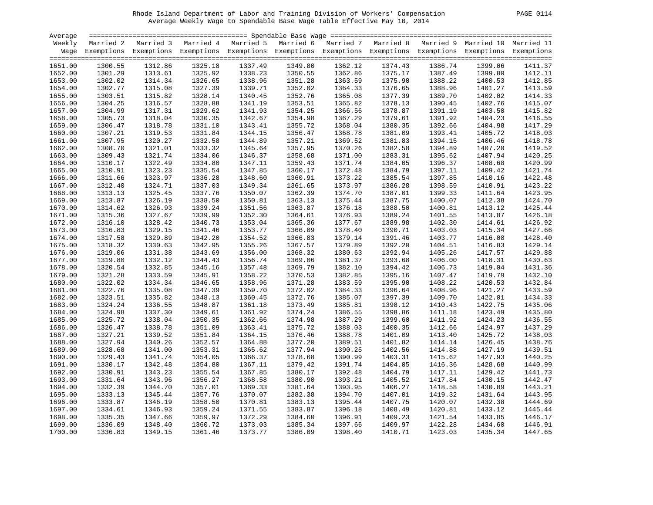| Average |         |                                                                                                                    |         |         |         |         |         |         |         |         |
|---------|---------|--------------------------------------------------------------------------------------------------------------------|---------|---------|---------|---------|---------|---------|---------|---------|
| Weekly  |         | Married 2 Married 3 Married 4 Married 5 Married 6 Married 7 Married 8 Married 9 Married 10 Married 11              |         |         |         |         |         |         |         |         |
|         |         | Wage Exemptions Exemptions Exemptions Exemptions Exemptions Exemptions Exemptions Exemptions Exemptions Exemptions |         |         |         |         |         |         |         |         |
|         |         |                                                                                                                    |         |         |         |         |         |         |         |         |
| 1651.00 | 1300.55 | 1312.86                                                                                                            | 1325.18 | 1337.49 | 1349.80 | 1362.12 | 1374.43 | 1386.74 | 1399.06 | 1411.37 |
| 1652.00 | 1301.29 | 1313.61                                                                                                            | 1325.92 | 1338.23 | 1350.55 | 1362.86 | 1375.17 | 1387.49 | 1399.80 | 1412.11 |
| 1653.00 | 1302.02 | 1314.34                                                                                                            | 1326.65 | 1338.96 | 1351.28 | 1363.59 | 1375.90 | 1388.22 | 1400.53 | 1412.85 |
| 1654.00 | 1302.77 | 1315.08                                                                                                            | 1327.39 | 1339.71 | 1352.02 | 1364.33 | 1376.65 | 1388.96 | 1401.27 | 1413.59 |
| 1655.00 | 1303.51 | 1315.82                                                                                                            | 1328.14 | 1340.45 | 1352.76 | 1365.08 | 1377.39 | 1389.70 | 1402.02 | 1414.33 |
| 1656.00 | 1304.25 | 1316.57                                                                                                            | 1328.88 | 1341.19 | 1353.51 | 1365.82 | 1378.13 | 1390.45 | 1402.76 | 1415.07 |
| 1657.00 | 1304.99 | 1317.31                                                                                                            | 1329.62 | 1341.93 | 1354.25 | 1366.56 | 1378.87 | 1391.19 | 1403.50 | 1415.82 |
| 1658.00 | 1305.73 | 1318.04                                                                                                            | 1330.35 | 1342.67 | 1354.98 | 1367.29 | 1379.61 | 1391.92 | 1404.23 | 1416.55 |
| 1659.00 | 1306.47 | 1318.78                                                                                                            | 1331.10 | 1343.41 | 1355.72 | 1368.04 | 1380.35 | 1392.66 | 1404.98 | 1417.29 |
| 1660.00 | 1307.21 | 1319.53                                                                                                            | 1331.84 | 1344.15 | 1356.47 | 1368.78 | 1381.09 | 1393.41 | 1405.72 | 1418.03 |
| 1661.00 | 1307.95 | 1320.27                                                                                                            | 1332.58 | 1344.89 | 1357.21 | 1369.52 | 1381.83 | 1394.15 | 1406.46 | 1418.78 |
| 1662.00 | 1308.70 | 1321.01                                                                                                            | 1333.32 | 1345.64 | 1357.95 | 1370.26 | 1382.58 | 1394.89 | 1407.20 | 1419.52 |
| 1663.00 | 1309.43 | 1321.74                                                                                                            | 1334.06 | 1346.37 | 1358.68 | 1371.00 | 1383.31 | 1395.62 | 1407.94 | 1420.25 |
| 1664.00 | 1310.17 | 1322.49                                                                                                            | 1334.80 | 1347.11 | 1359.43 | 1371.74 | 1384.05 | 1396.37 | 1408.68 | 1420.99 |
| 1665.00 | 1310.91 | 1323.23                                                                                                            | 1335.54 | 1347.85 | 1360.17 | 1372.48 | 1384.79 | 1397.11 | 1409.42 | 1421.74 |
| 1666.00 | 1311.66 | 1323.97                                                                                                            | 1336.28 | 1348.60 | 1360.91 | 1373.22 | 1385.54 | 1397.85 | 1410.16 | 1422.48 |
| 1667.00 | 1312.40 | 1324.71                                                                                                            | 1337.03 | 1349.34 | 1361.65 | 1373.97 | 1386.28 | 1398.59 | 1410.91 | 1423.22 |
| 1668.00 | 1313.13 | 1325.45                                                                                                            | 1337.76 | 1350.07 | 1362.39 | 1374.70 | 1387.01 | 1399.33 | 1411.64 | 1423.95 |
| 1669.00 | 1313.87 | 1326.19                                                                                                            | 1338.50 | 1350.81 | 1363.13 | 1375.44 | 1387.75 | 1400.07 | 1412.38 | 1424.70 |
| 1670.00 | 1314.62 | 1326.93                                                                                                            | 1339.24 | 1351.56 | 1363.87 | 1376.18 | 1388.50 | 1400.81 | 1413.12 | 1425.44 |
| 1671.00 | 1315.36 | 1327.67                                                                                                            | 1339.99 | 1352.30 | 1364.61 | 1376.93 | 1389.24 | 1401.55 | 1413.87 | 1426.18 |
| 1672.00 | 1316.10 | 1328.42                                                                                                            | 1340.73 | 1353.04 | 1365.36 | 1377.67 | 1389.98 | 1402.30 | 1414.61 | 1426.92 |
| 1673.00 | 1316.83 | 1329.15                                                                                                            | 1341.46 | 1353.77 | 1366.09 | 1378.40 | 1390.71 | 1403.03 | 1415.34 | 1427.66 |
| 1674.00 | 1317.58 | 1329.89                                                                                                            | 1342.20 | 1354.52 | 1366.83 | 1379.14 | 1391.46 | 1403.77 | 1416.08 | 1428.40 |
| 1675.00 | 1318.32 | 1330.63                                                                                                            | 1342.95 | 1355.26 | 1367.57 | 1379.89 | 1392.20 | 1404.51 | 1416.83 | 1429.14 |
| 1676.00 | 1319.06 | 1331.38                                                                                                            | 1343.69 | 1356.00 | 1368.32 | 1380.63 | 1392.94 | 1405.26 | 1417.57 | 1429.88 |
| 1677.00 | 1319.80 | 1332.12                                                                                                            | 1344.43 | 1356.74 | 1369.06 | 1381.37 | 1393.68 | 1406.00 | 1418.31 | 1430.63 |
| 1678.00 | 1320.54 | 1332.85                                                                                                            | 1345.16 | 1357.48 | 1369.79 | 1382.10 | 1394.42 | 1406.73 | 1419.04 | 1431.36 |
| 1679.00 | 1321.28 | 1333.59                                                                                                            | 1345.91 | 1358.22 | 1370.53 | 1382.85 | 1395.16 | 1407.47 | 1419.79 | 1432.10 |
| 1680.00 | 1322.02 | 1334.34                                                                                                            | 1346.65 | 1358.96 | 1371.28 | 1383.59 | 1395.90 | 1408.22 | 1420.53 | 1432.84 |
| 1681.00 | 1322.76 | 1335.08                                                                                                            | 1347.39 | 1359.70 | 1372.02 | 1384.33 | 1396.64 | 1408.96 | 1421.27 | 1433.59 |
| 1682.00 | 1323.51 | 1335.82                                                                                                            | 1348.13 | 1360.45 | 1372.76 | 1385.07 | 1397.39 | 1409.70 | 1422.01 | 1434.33 |
| 1683.00 | 1324.24 | 1336.55                                                                                                            | 1348.87 | 1361.18 | 1373.49 | 1385.81 | 1398.12 | 1410.43 | 1422.75 | 1435.06 |
| 1684.00 | 1324.98 | 1337.30                                                                                                            | 1349.61 | 1361.92 | 1374.24 | 1386.55 | 1398.86 | 1411.18 | 1423.49 | 1435.80 |
| 1685.00 | 1325.72 | 1338.04                                                                                                            | 1350.35 | 1362.66 | 1374.98 | 1387.29 | 1399.60 | 1411.92 | 1424.23 | 1436.55 |
| 1686.00 | 1326.47 | 1338.78                                                                                                            | 1351.09 | 1363.41 | 1375.72 | 1388.03 | 1400.35 | 1412.66 | 1424.97 | 1437.29 |
| 1687.00 | 1327.21 | 1339.52                                                                                                            | 1351.84 | 1364.15 | 1376.46 | 1388.78 | 1401.09 | 1413.40 | 1425.72 | 1438.03 |
| 1688.00 | 1327.94 | 1340.26                                                                                                            | 1352.57 | 1364.88 | 1377.20 | 1389.51 | 1401.82 | 1414.14 | 1426.45 | 1438.76 |
| 1689.00 | 1328.68 | 1341.00                                                                                                            | 1353.31 | 1365.62 | 1377.94 | 1390.25 | 1402.56 | 1414.88 | 1427.19 | 1439.51 |
| 1690.00 | 1329.43 | 1341.74                                                                                                            | 1354.05 | 1366.37 | 1378.68 | 1390.99 | 1403.31 | 1415.62 | 1427.93 | 1440.25 |
| 1691.00 | 1330.17 | 1342.48                                                                                                            | 1354.80 | 1367.11 | 1379.42 | 1391.74 | 1404.05 | 1416.36 | 1428.68 | 1440.99 |
| 1692.00 | 1330.91 | 1343.23                                                                                                            | 1355.54 | 1367.85 | 1380.17 | 1392.48 | 1404.79 | 1417.11 | 1429.42 | 1441.73 |
| 1693.00 | 1331.64 | 1343.96                                                                                                            | 1356.27 | 1368.58 | 1380.90 | 1393.21 | 1405.52 | 1417.84 | 1430.15 | 1442.47 |
| 1694.00 | 1332.39 | 1344.70                                                                                                            | 1357.01 | 1369.33 | 1381.64 | 1393.95 | 1406.27 | 1418.58 | 1430.89 | 1443.21 |
| 1695.00 | 1333.13 | 1345.44                                                                                                            | 1357.76 | 1370.07 | 1382.38 | 1394.70 | 1407.01 | 1419.32 | 1431.64 | 1443.95 |
| 1696.00 | 1333.87 | 1346.19                                                                                                            | 1358.50 | 1370.81 | 1383.13 | 1395.44 | 1407.75 | 1420.07 | 1432.38 | 1444.69 |
| 1697.00 | 1334.61 | 1346.93                                                                                                            | 1359.24 | 1371.55 | 1383.87 | 1396.18 | 1408.49 | 1420.81 | 1433.12 | 1445.44 |
| 1698.00 | 1335.35 | 1347.66                                                                                                            | 1359.97 | 1372.29 | 1384.60 | 1396.91 | 1409.23 | 1421.54 | 1433.85 | 1446.17 |
| 1699.00 | 1336.09 | 1348.40                                                                                                            | 1360.72 | 1373.03 | 1385.34 | 1397.66 | 1409.97 | 1422.28 | 1434.60 | 1446.91 |
| 1700.00 | 1336.83 | 1349.15                                                                                                            | 1361.46 | 1373.77 | 1386.09 | 1398.40 | 1410.71 | 1423.03 | 1435.34 | 1447.65 |
|         |         |                                                                                                                    |         |         |         |         |         |         |         |         |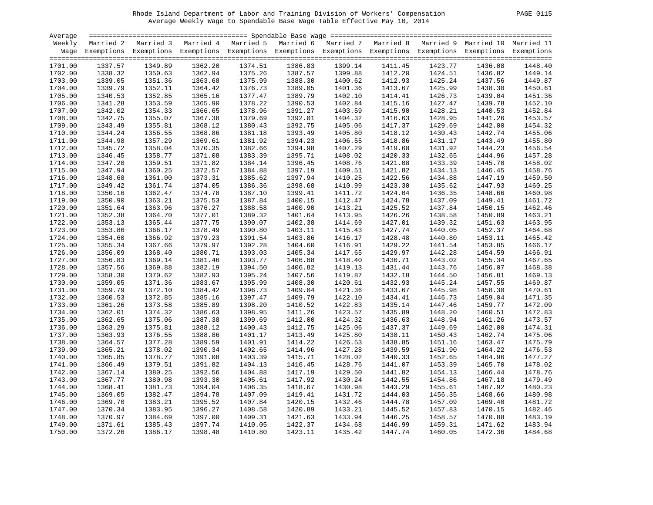| PAGE. |  |
|-------|--|
|       |  |

| Average |         |                                                                                                                    |         |         |         |         |         |         |         |         |
|---------|---------|--------------------------------------------------------------------------------------------------------------------|---------|---------|---------|---------|---------|---------|---------|---------|
| Weekly  |         | Married 2 Married 3 Married 4 Married 5 Married 6 Married 7 Married 8 Married 9 Married 10 Married 11              |         |         |         |         |         |         |         |         |
|         |         | Wage Exemptions Exemptions Exemptions Exemptions Exemptions Exemptions Exemptions Exemptions Exemptions Exemptions |         |         |         |         |         |         |         |         |
|         |         |                                                                                                                    |         |         |         |         |         |         |         |         |
| 1701.00 | 1337.57 | 1349.89                                                                                                            | 1362.20 | 1374.51 | 1386.83 | 1399.14 | 1411.45 | 1423.77 | 1436.08 | 1448.40 |
| 1702.00 | 1338.32 | 1350.63                                                                                                            | 1362.94 | 1375.26 | 1387.57 | 1399.88 | 1412.20 | 1424.51 | 1436.82 | 1449.14 |
| 1703.00 | 1339.05 | 1351.36                                                                                                            | 1363.68 | 1375.99 | 1388.30 | 1400.62 | 1412.93 | 1425.24 | 1437.56 | 1449.87 |
| 1704.00 | 1339.79 | 1352.11                                                                                                            | 1364.42 | 1376.73 | 1389.05 | 1401.36 | 1413.67 | 1425.99 | 1438.30 | 1450.61 |
| 1705.00 | 1340.53 | 1352.85                                                                                                            | 1365.16 | 1377.47 | 1389.79 | 1402.10 | 1414.41 | 1426.73 | 1439.04 | 1451.36 |
| 1706.00 | 1341.28 | 1353.59                                                                                                            | 1365.90 | 1378.22 | 1390.53 | 1402.84 | 1415.16 | 1427.47 | 1439.78 | 1452.10 |
| 1707.00 | 1342.02 | 1354.33                                                                                                            | 1366.65 | 1378.96 | 1391.27 | 1403.59 | 1415.90 | 1428.21 | 1440.53 | 1452.84 |
| 1708.00 | 1342.75 | 1355.07                                                                                                            | 1367.38 | 1379.69 | 1392.01 | 1404.32 | 1416.63 | 1428.95 | 1441.26 | 1453.57 |
| 1709.00 | 1343.49 | 1355.81                                                                                                            | 1368.12 | 1380.43 | 1392.75 | 1405.06 | 1417.37 | 1429.69 | 1442.00 | 1454.32 |
| 1710.00 | 1344.24 | 1356.55                                                                                                            | 1368.86 | 1381.18 | 1393.49 | 1405.80 | 1418.12 | 1430.43 | 1442.74 | 1455.06 |
| 1711.00 | 1344.98 | 1357.29                                                                                                            | 1369.61 | 1381.92 | 1394.23 | 1406.55 | 1418.86 | 1431.17 | 1443.49 | 1455.80 |
| 1712.00 | 1345.72 | 1358.04                                                                                                            | 1370.35 | 1382.66 | 1394.98 | 1407.29 | 1419.60 | 1431.92 | 1444.23 | 1456.54 |
| 1713.00 | 1346.45 | 1358.77                                                                                                            | 1371.08 | 1383.39 | 1395.71 | 1408.02 | 1420.33 | 1432.65 | 1444.96 | 1457.28 |
| 1714.00 | 1347.20 | 1359.51                                                                                                            | 1371.82 | 1384.14 | 1396.45 | 1408.76 | 1421.08 | 1433.39 | 1445.70 | 1458.02 |
| 1715.00 | 1347.94 | 1360.25                                                                                                            | 1372.57 | 1384.88 | 1397.19 | 1409.51 | 1421.82 | 1434.13 | 1446.45 | 1458.76 |
| 1716.00 | 1348.68 | 1361.00                                                                                                            | 1373.31 | 1385.62 | 1397.94 | 1410.25 | 1422.56 | 1434.88 | 1447.19 | 1459.50 |
| 1717.00 | 1349.42 | 1361.74                                                                                                            | 1374.05 | 1386.36 | 1398.68 | 1410.99 | 1423.30 | 1435.62 | 1447.93 | 1460.25 |
| 1718.00 | 1350.16 | 1362.47                                                                                                            | 1374.78 | 1387.10 | 1399.41 | 1411.72 | 1424.04 | 1436.35 | 1448.66 | 1460.98 |
| 1719.00 | 1350.90 | 1363.21                                                                                                            | 1375.53 | 1387.84 | 1400.15 | 1412.47 | 1424.78 | 1437.09 | 1449.41 | 1461.72 |
| 1720.00 | 1351.64 | 1363.96                                                                                                            | 1376.27 | 1388.58 | 1400.90 | 1413.21 | 1425.52 | 1437.84 | 1450.15 | 1462.46 |
| 1721.00 | 1352.38 | 1364.70                                                                                                            | 1377.01 | 1389.32 | 1401.64 | 1413.95 | 1426.26 | 1438.58 | 1450.89 | 1463.21 |
| 1722.00 | 1353.13 | 1365.44                                                                                                            | 1377.75 | 1390.07 | 1402.38 | 1414.69 | 1427.01 | 1439.32 | 1451.63 | 1463.95 |
| 1723.00 | 1353.86 | 1366.17                                                                                                            | 1378.49 | 1390.80 | 1403.11 | 1415.43 | 1427.74 | 1440.05 | 1452.37 | 1464.68 |
| 1724.00 | 1354.60 | 1366.92                                                                                                            | 1379.23 | 1391.54 | 1403.86 | 1416.17 | 1428.48 | 1440.80 | 1453.11 | 1465.42 |
| 1725.00 | 1355.34 | 1367.66                                                                                                            | 1379.97 | 1392.28 | 1404.60 | 1416.91 | 1429.22 | 1441.54 | 1453.85 | 1466.17 |
| 1726.00 | 1356.09 | 1368.40                                                                                                            | 1380.71 | 1393.03 | 1405.34 | 1417.65 | 1429.97 | 1442.28 | 1454.59 | 1466.91 |
| 1727.00 | 1356.83 | 1369.14                                                                                                            | 1381.46 | 1393.77 | 1406.08 | 1418.40 | 1430.71 | 1443.02 | 1455.34 | 1467.65 |
| 1728.00 | 1357.56 | 1369.88                                                                                                            | 1382.19 | 1394.50 | 1406.82 | 1419.13 | 1431.44 | 1443.76 | 1456.07 | 1468.38 |
| 1729.00 | 1358.30 | 1370.62                                                                                                            | 1382.93 | 1395.24 | 1407.56 | 1419.87 | 1432.18 | 1444.50 | 1456.81 | 1469.13 |
| 1730.00 | 1359.05 | 1371.36                                                                                                            | 1383.67 | 1395.99 | 1408.30 | 1420.61 | 1432.93 | 1445.24 | 1457.55 | 1469.87 |
| 1731.00 | 1359.79 | 1372.10                                                                                                            | 1384.42 | 1396.73 | 1409.04 | 1421.36 | 1433.67 | 1445.98 | 1458.30 | 1470.61 |
| 1732.00 | 1360.53 | 1372.85                                                                                                            | 1385.16 | 1397.47 | 1409.79 | 1422.10 | 1434.41 | 1446.73 | 1459.04 | 1471.35 |
| 1733.00 | 1361.26 | 1373.58                                                                                                            | 1385.89 | 1398.20 | 1410.52 | 1422.83 | 1435.14 | 1447.46 | 1459.77 | 1472.09 |
| 1734.00 | 1362.01 | 1374.32                                                                                                            | 1386.63 | 1398.95 | 1411.26 | 1423.57 | 1435.89 | 1448.20 | 1460.51 | 1472.83 |
| 1735.00 | 1362.65 | 1375.06                                                                                                            | 1387.38 | 1399.69 | 1412.00 | 1424.32 | 1436.63 | 1448.94 | 1461.26 | 1473.57 |
| 1736.00 | 1363.29 | 1375.81                                                                                                            | 1388.12 | 1400.43 | 1412.75 | 1425.06 | 1437.37 | 1449.69 | 1462.00 | 1474.31 |
| 1737.00 | 1363.93 | 1376.55                                                                                                            | 1388.86 | 1401.17 | 1413.49 | 1425.80 | 1438.11 | 1450.43 | 1462.74 | 1475.06 |
| 1738.00 | 1364.57 | 1377.28                                                                                                            | 1389.59 | 1401.91 | 1414.22 | 1426.53 | 1438.85 | 1451.16 | 1463.47 | 1475.79 |
| 1739.00 | 1365.21 | 1378.02                                                                                                            | 1390.34 | 1402.65 | 1414.96 | 1427.28 | 1439.59 | 1451.90 | 1464.22 | 1476.53 |
| 1740.00 | 1365.85 | 1378.77                                                                                                            | 1391.08 | 1403.39 | 1415.71 | 1428.02 | 1440.33 | 1452.65 | 1464.96 | 1477.27 |
| 1741.00 | 1366.49 | 1379.51                                                                                                            | 1391.82 | 1404.13 | 1416.45 | 1428.76 | 1441.07 | 1453.39 | 1465.70 | 1478.02 |
| 1742.00 | 1367.14 | 1380.25                                                                                                            | 1392.56 | 1404.88 | 1417.19 | 1429.50 | 1441.82 | 1454.13 | 1466.44 | 1478.76 |
| 1743.00 | 1367.77 | 1380.98                                                                                                            | 1393.30 | 1405.61 | 1417.92 | 1430.24 | 1442.55 | 1454.86 | 1467.18 | 1479.49 |
| 1744.00 | 1368.41 | 1381.73                                                                                                            | 1394.04 | 1406.35 | 1418.67 | 1430.98 | 1443.29 | 1455.61 | 1467.92 | 1480.23 |
| 1745.00 | 1369.05 | 1382.47                                                                                                            | 1394.78 | 1407.09 | 1419.41 | 1431.72 | 1444.03 | 1456.35 | 1468.66 | 1480.98 |
| 1746.00 | 1369.70 | 1383.21                                                                                                            | 1395.52 | 1407.84 | 1420.15 | 1432.46 | 1444.78 | 1457.09 | 1469.40 | 1481.72 |
| 1747.00 | 1370.34 | 1383.95                                                                                                            | 1396.27 | 1408.58 | 1420.89 | 1433.21 | 1445.52 | 1457.83 | 1470.15 | 1482.46 |
| 1748.00 | 1370.97 | 1384.69                                                                                                            | 1397.00 | 1409.31 | 1421.63 | 1433.94 | 1446.25 | 1458.57 | 1470.88 | 1483.19 |
| 1749.00 | 1371.61 | 1385.43                                                                                                            | 1397.74 | 1410.05 | 1422.37 | 1434.68 | 1446.99 | 1459.31 | 1471.62 | 1483.94 |
| 1750.00 | 1372.26 | 1386.17                                                                                                            | 1398.48 | 1410.80 | 1423.11 | 1435.42 | 1447.74 | 1460.05 | 1472.36 | 1484.68 |
|         |         |                                                                                                                    |         |         |         |         |         |         |         |         |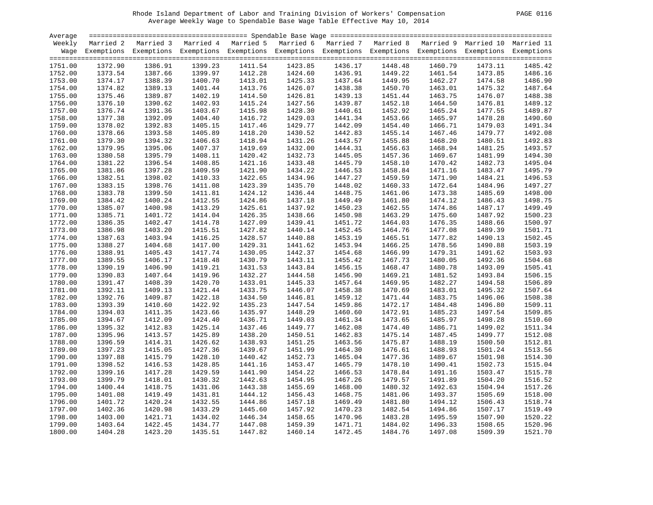| <b>PAGE</b><br>0116 |
|---------------------|
|---------------------|

| Average |         |                                                                                                                    |         |         |         |         |                 |         |                 |         |
|---------|---------|--------------------------------------------------------------------------------------------------------------------|---------|---------|---------|---------|-----------------|---------|-----------------|---------|
| Weekly  |         | Married 2 Married 3 Married 4 Married 5 Married 6 Married 7 Married 8 Married 9 Married 10 Married 11              |         |         |         |         |                 |         |                 |         |
|         |         | Wage Exemptions Exemptions Exemptions Exemptions Exemptions Exemptions Exemptions Exemptions Exemptions Exemptions |         |         |         |         |                 |         |                 |         |
|         |         |                                                                                                                    |         |         |         |         |                 |         |                 |         |
| 1751.00 | 1372.90 | 1386.91                                                                                                            | 1399.23 | 1411.54 | 1423.85 | 1436.17 | 1448.48         | 1460.79 | 1473.11         | 1485.42 |
| 1752.00 | 1373.54 | 1387.66                                                                                                            | 1399.97 | 1412.28 | 1424.60 |         | 1436.91 1449.22 | 1461.54 | 1473.85         | 1486.16 |
| 1753.00 | 1374.17 | 1388.39                                                                                                            | 1400.70 | 1413.01 | 1425.33 | 1437.64 | 1449.95         |         | 1462.27 1474.58 | 1486.90 |
| 1754.00 | 1374.82 | 1389.13                                                                                                            | 1401.44 | 1413.76 | 1426.07 | 1438.38 | 1450.70         | 1463.01 | 1475.32         | 1487.64 |
| 1755.00 | 1375.46 | 1389.87                                                                                                            | 1402.19 | 1414.50 | 1426.81 | 1439.13 | 1451.44         | 1463.75 | 1476.07         | 1488.38 |
| 1756.00 | 1376.10 | 1390.62                                                                                                            | 1402.93 | 1415.24 | 1427.56 | 1439.87 | 1452.18         | 1464.50 | 1476.81         | 1489.12 |
| 1757.00 | 1376.74 | 1391.36                                                                                                            | 1403.67 | 1415.98 | 1428.30 | 1440.61 | 1452.92         | 1465.24 | 1477.55         | 1489.87 |
| 1758.00 | 1377.38 | 1392.09                                                                                                            | 1404.40 | 1416.72 | 1429.03 | 1441.34 | 1453.66         | 1465.97 | 1478.28         | 1490.60 |
| 1759.00 | 1378.02 | 1392.83                                                                                                            | 1405.15 | 1417.46 | 1429.77 | 1442.09 | 1454.40         | 1466.71 | 1479.03         | 1491.34 |
| 1760.00 | 1378.66 | 1393.58                                                                                                            | 1405.89 | 1418.20 | 1430.52 | 1442.83 | 1455.14         | 1467.46 | 1479.77         | 1492.08 |
| 1761.00 | 1379.30 | 1394.32                                                                                                            | 1406.63 | 1418.94 | 1431.26 | 1443.57 | 1455.88         | 1468.20 | 1480.51         | 1492.83 |
| 1762.00 | 1379.95 | 1395.06                                                                                                            | 1407.37 | 1419.69 | 1432.00 | 1444.31 | 1456.63         | 1468.94 | 1481.25         | 1493.57 |
| 1763.00 | 1380.58 | 1395.79                                                                                                            | 1408.11 | 1420.42 | 1432.73 | 1445.05 | 1457.36         | 1469.67 | 1481.99         | 1494.30 |
| 1764.00 | 1381.22 | 1396.54                                                                                                            | 1408.85 | 1421.16 | 1433.48 | 1445.79 | 1458.10         | 1470.42 | 1482.73         | 1495.04 |
| 1765.00 | 1381.86 | 1397.28                                                                                                            | 1409.59 | 1421.90 | 1434.22 | 1446.53 | 1458.84         | 1471.16 | 1483.47         | 1495.79 |
| 1766.00 | 1382.51 | 1398.02                                                                                                            | 1410.33 | 1422.65 | 1434.96 | 1447.27 | 1459.59         | 1471.90 | 1484.21         | 1496.53 |
| 1767.00 | 1383.15 | 1398.76                                                                                                            | 1411.08 | 1423.39 | 1435.70 | 1448.02 | 1460.33         | 1472.64 | 1484.96         | 1497.27 |
| 1768.00 | 1383.78 | 1399.50                                                                                                            | 1411.81 | 1424.12 | 1436.44 | 1448.75 | 1461.06         | 1473.38 | 1485.69         | 1498.00 |
| 1769.00 | 1384.42 | 1400.24                                                                                                            | 1412.55 | 1424.86 | 1437.18 | 1449.49 | 1461.80         | 1474.12 | 1486.43         | 1498.75 |
| 1770.00 | 1385.07 | 1400.98                                                                                                            | 1413.29 | 1425.61 | 1437.92 | 1450.23 | 1462.55         | 1474.86 | 1487.17         | 1499.49 |
| 1771.00 | 1385.71 | 1401.72                                                                                                            | 1414.04 | 1426.35 | 1438.66 | 1450.98 | 1463.29         | 1475.60 | 1487.92         | 1500.23 |
| 1772.00 | 1386.35 | 1402.47                                                                                                            | 1414.78 | 1427.09 | 1439.41 | 1451.72 | 1464.03         | 1476.35 | 1488.66         | 1500.97 |
| 1773.00 | 1386.98 | 1403.20                                                                                                            | 1415.51 | 1427.82 | 1440.14 | 1452.45 | 1464.76         | 1477.08 | 1489.39         | 1501.71 |
| 1774.00 | 1387.63 | 1403.94                                                                                                            | 1416.25 | 1428.57 | 1440.88 | 1453.19 | 1465.51         | 1477.82 | 1490.13         | 1502.45 |
| 1775.00 | 1388.27 | 1404.68                                                                                                            | 1417.00 | 1429.31 | 1441.62 | 1453.94 | 1466.25         | 1478.56 | 1490.88         | 1503.19 |
| 1776.00 | 1388.91 | 1405.43                                                                                                            | 1417.74 | 1430.05 | 1442.37 | 1454.68 | 1466.99         | 1479.31 | 1491.62         | 1503.93 |
| 1777.00 | 1389.55 | 1406.17                                                                                                            | 1418.48 | 1430.79 | 1443.11 | 1455.42 | 1467.73         | 1480.05 | 1492.36         | 1504.68 |
| 1778.00 | 1390.19 | 1406.90                                                                                                            | 1419.21 | 1431.53 | 1443.84 | 1456.15 | 1468.47         | 1480.78 | 1493.09         | 1505.41 |
| 1779.00 | 1390.83 | 1407.64                                                                                                            | 1419.96 | 1432.27 | 1444.58 | 1456.90 | 1469.21         | 1481.52 | 1493.84         | 1506.15 |
| 1780.00 | 1391.47 | 1408.39                                                                                                            | 1420.70 | 1433.01 | 1445.33 | 1457.64 | 1469.95         | 1482.27 | 1494.58         | 1506.89 |
| 1781.00 | 1392.11 | 1409.13                                                                                                            | 1421.44 | 1433.75 | 1446.07 | 1458.38 | 1470.69         | 1483.01 | 1495.32         | 1507.64 |
| 1782.00 | 1392.76 | 1409.87                                                                                                            | 1422.18 | 1434.50 | 1446.81 | 1459.12 | 1471.44         | 1483.75 | 1496.06         | 1508.38 |
| 1783.00 | 1393.39 | 1410.60                                                                                                            | 1422.92 | 1435.23 | 1447.54 | 1459.86 | 1472.17         | 1484.48 | 1496.80         | 1509.11 |
| 1784.00 | 1394.03 | 1411.35                                                                                                            | 1423.66 | 1435.97 | 1448.29 | 1460.60 | 1472.91         | 1485.23 | 1497.54         | 1509.85 |
| 1785.00 | 1394.67 | 1412.09                                                                                                            | 1424.40 | 1436.71 | 1449.03 | 1461.34 | 1473.65         | 1485.97 | 1498.28         | 1510.60 |
| 1786.00 | 1395.32 | 1412.83                                                                                                            | 1425.14 | 1437.46 | 1449.77 | 1462.08 | 1474.40         | 1486.71 | 1499.02         | 1511.34 |
| 1787.00 | 1395.96 | 1413.57                                                                                                            | 1425.89 | 1438.20 | 1450.51 | 1462.83 | 1475.14         | 1487.45 | 1499.77         | 1512.08 |
| 1788.00 | 1396.59 | 1414.31                                                                                                            | 1426.62 | 1438.93 | 1451.25 | 1463.56 | 1475.87         | 1488.19 | 1500.50         | 1512.81 |
| 1789.00 | 1397.23 | 1415.05                                                                                                            | 1427.36 | 1439.67 | 1451.99 | 1464.30 | 1476.61         | 1488.93 | 1501.24         | 1513.56 |
| 1790.00 | 1397.88 | 1415.79                                                                                                            | 1428.10 | 1440.42 | 1452.73 | 1465.04 | 1477.36         | 1489.67 | 1501.98         | 1514.30 |
| 1791.00 | 1398.52 | 1416.53                                                                                                            | 1428.85 | 1441.16 | 1453.47 | 1465.79 | 1478.10         | 1490.41 | 1502.73         | 1515.04 |
| 1792.00 | 1399.16 | 1417.28                                                                                                            | 1429.59 | 1441.90 | 1454.22 | 1466.53 | 1478.84         | 1491.16 | 1503.47         | 1515.78 |
| 1793.00 | 1399.79 | 1418.01                                                                                                            | 1430.32 | 1442.63 | 1454.95 | 1467.26 | 1479.57         | 1491.89 | 1504.20         | 1516.52 |
| 1794.00 | 1400.44 | 1418.75                                                                                                            | 1431.06 | 1443.38 | 1455.69 | 1468.00 | 1480.32         | 1492.63 | 1504.94         | 1517.26 |
| 1795.00 | 1401.08 | 1419.49                                                                                                            | 1431.81 | 1444.12 | 1456.43 | 1468.75 | 1481.06         | 1493.37 | 1505.69         | 1518.00 |
| 1796.00 | 1401.72 | 1420.24                                                                                                            | 1432.55 | 1444.86 | 1457.18 | 1469.49 | 1481.80         | 1494.12 | 1506.43         | 1518.74 |
| 1797.00 | 1402.36 | 1420.98                                                                                                            | 1433.29 | 1445.60 | 1457.92 | 1470.23 | 1482.54         | 1494.86 | 1507.17         | 1519.49 |
| 1798.00 | 1403.00 | 1421.71                                                                                                            | 1434.02 | 1446.34 | 1458.65 | 1470.96 | 1483.28         | 1495.59 | 1507.90         | 1520.22 |
| 1799.00 | 1403.64 | 1422.45                                                                                                            | 1434.77 | 1447.08 | 1459.39 | 1471.71 | 1484.02         | 1496.33 | 1508.65         | 1520.96 |
| 1800.00 | 1404.28 | 1423.20                                                                                                            | 1435.51 | 1447.82 | 1460.14 | 1472.45 | 1484.76         | 1497.08 | 1509.39         | 1521.70 |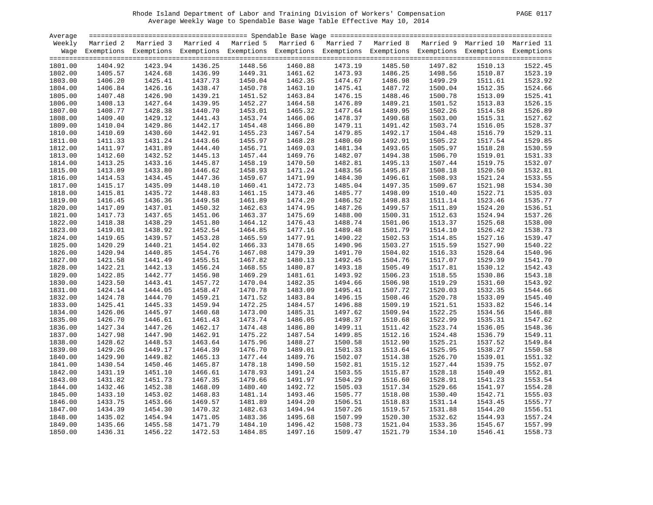| >ACF. |  |
|-------|--|
|       |  |

| Average |         |                                                                                                                    |         |         |         |                    |         |         |         |         |
|---------|---------|--------------------------------------------------------------------------------------------------------------------|---------|---------|---------|--------------------|---------|---------|---------|---------|
| Weekly  |         | Married 2 Married 3 Married 4 Married 5 Married 6 Married 7 Married 8 Married 9 Married 10 Married 11              |         |         |         |                    |         |         |         |         |
|         |         | Wage Exemptions Exemptions Exemptions Exemptions Exemptions Exemptions Exemptions Exemptions Exemptions Exemptions |         |         |         |                    |         |         |         |         |
|         |         |                                                                                                                    |         |         |         |                    |         |         |         |         |
| 1801.00 | 1404.92 | 1423.94                                                                                                            | 1436.25 | 1448.56 | 1460.88 | 1473.19            | 1485.50 | 1497.82 | 1510.13 | 1522.45 |
| 1802.00 | 1405.57 | 1424.68                                                                                                            | 1436.99 | 1449.31 | 1461.62 | 1473.93<br>1474.67 | 1486.25 | 1498.56 | 1510.87 | 1523.19 |
| 1803.00 | 1406.20 | 1425.41                                                                                                            | 1437.73 | 1450.04 | 1462.35 |                    | 1486.98 | 1499.29 | 1511.61 | 1523.92 |
| 1804.00 | 1406.84 | 1426.16                                                                                                            | 1438.47 | 1450.78 | 1463.10 | 1475.41            | 1487.72 | 1500.04 | 1512.35 | 1524.66 |
| 1805.00 | 1407.48 | 1426.90                                                                                                            | 1439.21 | 1451.52 | 1463.84 | 1476.15            | 1488.46 | 1500.78 | 1513.09 | 1525.41 |
| 1806.00 | 1408.13 | 1427.64                                                                                                            | 1439.95 | 1452.27 | 1464.58 | 1476.89            | 1489.21 | 1501.52 | 1513.83 | 1526.15 |
| 1807.00 | 1408.77 | 1428.38                                                                                                            | 1440.70 | 1453.01 | 1465.32 | 1477.64            | 1489.95 | 1502.26 | 1514.58 | 1526.89 |
| 1808.00 | 1409.40 | 1429.12                                                                                                            | 1441.43 | 1453.74 | 1466.06 | 1478.37            | 1490.68 | 1503.00 | 1515.31 | 1527.62 |
| 1809.00 | 1410.04 | 1429.86                                                                                                            | 1442.17 | 1454.48 | 1466.80 | 1479.11            | 1491.42 | 1503.74 | 1516.05 | 1528.37 |
| 1810.00 | 1410.69 | 1430.60                                                                                                            | 1442.91 | 1455.23 | 1467.54 | 1479.85            | 1492.17 | 1504.48 | 1516.79 | 1529.11 |
| 1811.00 | 1411.33 | 1431.24                                                                                                            | 1443.66 | 1455.97 | 1468.28 | 1480.60            | 1492.91 | 1505.22 | 1517.54 | 1529.85 |
| 1812.00 | 1411.97 | 1431.89                                                                                                            | 1444.40 | 1456.71 | 1469.03 | 1481.34            | 1493.65 | 1505.97 | 1518.28 | 1530.59 |
| 1813.00 | 1412.60 | 1432.52                                                                                                            | 1445.13 | 1457.44 | 1469.76 | 1482.07            | 1494.38 | 1506.70 | 1519.01 | 1531.33 |
| 1814.00 | 1413.25 | 1433.16                                                                                                            | 1445.87 | 1458.19 | 1470.50 | 1482.81            | 1495.13 | 1507.44 | 1519.75 | 1532.07 |
| 1815.00 | 1413.89 | 1433.80                                                                                                            | 1446.62 | 1458.93 | 1471.24 | 1483.56            | 1495.87 | 1508.18 | 1520.50 | 1532.81 |
| 1816.00 | 1414.53 | 1434.45                                                                                                            | 1447.36 | 1459.67 | 1471.99 | 1484.30            | 1496.61 | 1508.93 | 1521.24 | 1533.55 |
| 1817.00 | 1415.17 | 1435.09                                                                                                            | 1448.10 | 1460.41 | 1472.73 | 1485.04            | 1497.35 | 1509.67 | 1521.98 | 1534.30 |
| 1818.00 | 1415.81 | 1435.72                                                                                                            | 1448.83 | 1461.15 | 1473.46 | 1485.77            | 1498.09 | 1510.40 | 1522.71 | 1535.03 |
| 1819.00 | 1416.45 | 1436.36                                                                                                            | 1449.58 | 1461.89 | 1474.20 | 1486.52            | 1498.83 | 1511.14 | 1523.46 | 1535.77 |
| 1820.00 | 1417.09 | 1437.01                                                                                                            | 1450.32 | 1462.63 | 1474.95 | 1487.26            | 1499.57 | 1511.89 | 1524.20 | 1536.51 |
| 1821.00 | 1417.73 | 1437.65                                                                                                            | 1451.06 | 1463.37 | 1475.69 | 1488.00            | 1500.31 | 1512.63 | 1524.94 | 1537.26 |
| 1822.00 | 1418.38 | 1438.29                                                                                                            | 1451.80 | 1464.12 | 1476.43 | 1488.74            | 1501.06 | 1513.37 | 1525.68 | 1538.00 |
| 1823.00 | 1419.01 | 1438.92                                                                                                            | 1452.54 | 1464.85 | 1477.16 | 1489.48            | 1501.79 | 1514.10 | 1526.42 | 1538.73 |
| 1824.00 | 1419.65 | 1439.57                                                                                                            | 1453.28 | 1465.59 | 1477.91 | 1490.22            | 1502.53 | 1514.85 | 1527.16 | 1539.47 |
| 1825.00 | 1420.29 | 1440.21                                                                                                            | 1454.02 | 1466.33 | 1478.65 | 1490.96            | 1503.27 | 1515.59 | 1527.90 | 1540.22 |
| 1826.00 | 1420.94 | 1440.85                                                                                                            | 1454.76 | 1467.08 | 1479.39 | 1491.70            | 1504.02 | 1516.33 | 1528.64 | 1540.96 |
| 1827.00 | 1421.58 | 1441.49                                                                                                            | 1455.51 | 1467.82 | 1480.13 | 1492.45            | 1504.76 | 1517.07 | 1529.39 | 1541.70 |
| 1828.00 | 1422.21 | 1442.13                                                                                                            | 1456.24 | 1468.55 | 1480.87 | 1493.18            | 1505.49 | 1517.81 | 1530.12 | 1542.43 |
| 1829.00 | 1422.85 | 1442.77                                                                                                            | 1456.98 | 1469.29 | 1481.61 | 1493.92            | 1506.23 | 1518.55 | 1530.86 | 1543.18 |
| 1830.00 | 1423.50 | 1443.41                                                                                                            | 1457.72 | 1470.04 | 1482.35 | 1494.66            | 1506.98 | 1519.29 | 1531.60 | 1543.92 |
| 1831.00 | 1424.14 | 1444.05                                                                                                            | 1458.47 | 1470.78 | 1483.09 | 1495.41            | 1507.72 | 1520.03 | 1532.35 | 1544.66 |
| 1832.00 | 1424.78 | 1444.70                                                                                                            | 1459.21 | 1471.52 | 1483.84 | 1496.15            | 1508.46 | 1520.78 | 1533.09 | 1545.40 |
| 1833.00 | 1425.41 | 1445.33                                                                                                            | 1459.94 | 1472.25 | 1484.57 | 1496.88            | 1509.19 | 1521.51 | 1533.82 | 1546.14 |
| 1834.00 | 1426.06 | 1445.97                                                                                                            | 1460.68 | 1473.00 | 1485.31 | 1497.62            | 1509.94 | 1522.25 | 1534.56 | 1546.88 |
| 1835.00 | 1426.70 | 1446.61                                                                                                            | 1461.43 | 1473.74 | 1486.05 | 1498.37            | 1510.68 | 1522.99 | 1535.31 | 1547.62 |
| 1836.00 | 1427.34 | 1447.26                                                                                                            | 1462.17 | 1474.48 | 1486.80 | 1499.11            | 1511.42 | 1523.74 | 1536.05 | 1548.36 |
| 1837.00 | 1427.98 | 1447.90                                                                                                            | 1462.91 | 1475.22 | 1487.54 | 1499.85            | 1512.16 | 1524.48 | 1536.79 | 1549.11 |
| 1838.00 | 1428.62 | 1448.53                                                                                                            | 1463.64 | 1475.96 | 1488.27 | 1500.58            | 1512.90 | 1525.21 | 1537.52 | 1549.84 |
| 1839.00 | 1429.26 | 1449.17                                                                                                            | 1464.39 | 1476.70 | 1489.01 | 1501.33            | 1513.64 | 1525.95 | 1538.27 | 1550.58 |
| 1840.00 | 1429.90 | 1449.82                                                                                                            | 1465.13 | 1477.44 | 1489.76 | 1502.07            | 1514.38 | 1526.70 | 1539.01 | 1551.32 |
| 1841.00 | 1430.54 | 1450.46                                                                                                            | 1465.87 | 1478.18 | 1490.50 | 1502.81            | 1515.12 | 1527.44 | 1539.75 | 1552.07 |
| 1842.00 | 1431.19 | 1451.10                                                                                                            | 1466.61 | 1478.93 | 1491.24 | 1503.55            | 1515.87 | 1528.18 | 1540.49 | 1552.81 |
| 1843.00 | 1431.82 | 1451.73                                                                                                            | 1467.35 | 1479.66 | 1491.97 | 1504.29            | 1516.60 | 1528.91 | 1541.23 | 1553.54 |
| 1844.00 | 1432.46 | 1452.38                                                                                                            | 1468.09 | 1480.40 | 1492.72 | 1505.03            | 1517.34 | 1529.66 | 1541.97 | 1554.28 |
| 1845.00 | 1433.10 | 1453.02                                                                                                            | 1468.83 | 1481.14 | 1493.46 | 1505.77            | 1518.08 | 1530.40 | 1542.71 | 1555.03 |
| 1846.00 | 1433.75 | 1453.66                                                                                                            | 1469.57 | 1481.89 | 1494.20 | 1506.51            | 1518.83 | 1531.14 | 1543.45 | 1555.77 |
| 1847.00 | 1434.39 | 1454.30                                                                                                            | 1470.32 | 1482.63 | 1494.94 | 1507.26            | 1519.57 | 1531.88 | 1544.20 | 1556.51 |
| 1848.00 | 1435.02 | 1454.94                                                                                                            | 1471.05 | 1483.36 | 1495.68 | 1507.99            | 1520.30 | 1532.62 | 1544.93 | 1557.24 |
| 1849.00 | 1435.66 | 1455.58                                                                                                            | 1471.79 | 1484.10 | 1496.42 | 1508.73            | 1521.04 | 1533.36 | 1545.67 | 1557.99 |
| 1850.00 | 1436.31 | 1456.22                                                                                                            | 1472.53 | 1484.85 | 1497.16 | 1509.47            | 1521.79 | 1534.10 | 1546.41 | 1558.73 |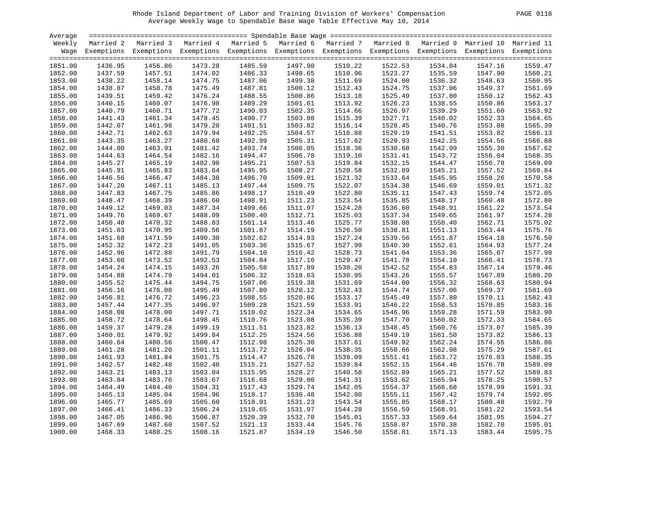| Average |         |                                                                                                                    |         |         |         |         |         |         |         |         |
|---------|---------|--------------------------------------------------------------------------------------------------------------------|---------|---------|---------|---------|---------|---------|---------|---------|
| Weekly  |         | Married 2 Married 3 Married 4 Married 5 Married 6 Married 7 Married 8 Married 9 Married 10 Married 11              |         |         |         |         |         |         |         |         |
|         |         | Wage Exemptions Exemptions Exemptions Exemptions Exemptions Exemptions Exemptions Exemptions Exemptions Exemptions |         |         |         |         |         |         |         |         |
|         |         |                                                                                                                    |         |         |         |         |         |         |         |         |
| 1851.00 | 1436.95 | 1456.86                                                                                                            | 1473.28 | 1485.59 | 1497.90 | 1510.22 | 1522.53 | 1534.84 | 1547.16 | 1559.47 |
| 1852.00 | 1437.59 | 1457.51                                                                                                            | 1474.02 | 1486.33 | 1498.65 | 1510.96 | 1523.27 | 1535.59 | 1547.90 | 1560.21 |
| 1853.00 | 1438.22 | 1458.14                                                                                                            | 1474.75 | 1487.06 | 1499.38 | 1511.69 | 1524.00 | 1536.32 | 1548.63 | 1560.95 |
| 1854.00 | 1438.87 | 1458.78                                                                                                            | 1475.49 | 1487.81 | 1500.12 | 1512.43 | 1524.75 | 1537.06 | 1549.37 | 1561.69 |
| 1855.00 | 1439.51 | 1459.42                                                                                                            | 1476.24 | 1488.55 | 1500.86 | 1513.18 | 1525.49 | 1537.80 | 1550.12 | 1562.43 |
| 1856.00 | 1440.15 | 1460.07                                                                                                            | 1476.98 | 1489.29 | 1501.61 | 1513.92 | 1526.23 | 1538.55 | 1550.86 | 1563.17 |
| 1857.00 | 1440.79 | 1460.71                                                                                                            | 1477.72 | 1490.03 | 1502.35 | 1514.66 | 1526.97 | 1539.29 | 1551.60 | 1563.92 |
|         |         | 1461.34                                                                                                            |         |         |         |         |         |         |         |         |
| 1858.00 | 1441.43 |                                                                                                                    | 1478.45 | 1490.77 | 1503.08 | 1515.39 | 1527.71 | 1540.02 | 1552.33 | 1564.65 |
| 1859.00 | 1442.07 | 1461.98                                                                                                            | 1479.20 | 1491.51 | 1503.82 | 1516.14 | 1528.45 | 1540.76 | 1553.08 | 1565.39 |
| 1860.00 | 1442.71 | 1462.63                                                                                                            | 1479.94 | 1492.25 | 1504.57 | 1516.88 | 1529.19 | 1541.51 | 1553.82 | 1566.13 |
| 1861.00 | 1443.35 | 1463.27                                                                                                            | 1480.68 | 1492.99 | 1505.31 | 1517.62 | 1529.93 | 1542.25 | 1554.56 | 1566.88 |
| 1862.00 | 1444.00 | 1463.91                                                                                                            | 1481.42 | 1493.74 | 1506.05 | 1518.36 | 1530.68 | 1542.99 | 1555.30 | 1567.62 |
| 1863.00 | 1444.63 | 1464.54                                                                                                            | 1482.16 | 1494.47 | 1506.78 | 1519.10 | 1531.41 | 1543.72 | 1556.04 | 1568.35 |
| 1864.00 | 1445.27 | 1465.19                                                                                                            | 1482.90 | 1495.21 | 1507.53 | 1519.84 | 1532.15 | 1544.47 | 1556.78 | 1569.09 |
| 1865.00 | 1445.91 | 1465.83                                                                                                            | 1483.64 | 1495.95 | 1508.27 | 1520.58 | 1532.89 | 1545.21 | 1557.52 | 1569.84 |
| 1866.00 | 1446.56 | 1466.47                                                                                                            | 1484.38 | 1496.70 | 1509.01 | 1521.32 | 1533.64 | 1545.95 | 1558.26 | 1570.58 |
| 1867.00 | 1447.20 | 1467.11                                                                                                            | 1485.13 | 1497.44 | 1509.75 | 1522.07 | 1534.38 | 1546.69 | 1559.01 | 1571.32 |
| 1868.00 | 1447.83 | 1467.75                                                                                                            | 1485.86 | 1498.17 | 1510.49 | 1522.80 | 1535.11 | 1547.43 | 1559.74 | 1572.05 |
| 1869.00 | 1448.47 | 1468.39                                                                                                            | 1486.60 | 1498.91 | 1511.23 | 1523.54 | 1535.85 | 1548.17 | 1560.48 | 1572.80 |
| 1870.00 | 1449.12 | 1469.03                                                                                                            | 1487.34 | 1499.66 | 1511.97 | 1524.28 | 1536.60 | 1548.91 | 1561.22 | 1573.54 |
| 1871.00 | 1449.76 | 1469.67                                                                                                            | 1488.09 | 1500.40 | 1512.71 | 1525.03 | 1537.34 | 1549.65 | 1561.97 | 1574.28 |
| 1872.00 | 1450.40 | 1470.32                                                                                                            | 1488.83 | 1501.14 | 1513.46 | 1525.77 | 1538.08 | 1550.40 | 1562.71 | 1575.02 |
| 1873.00 | 1451.03 | 1470.95                                                                                                            | 1489.56 | 1501.87 | 1514.19 | 1526.50 | 1538.81 | 1551.13 | 1563.44 | 1575.76 |
| 1874.00 | 1451.68 | 1471.59                                                                                                            | 1490.30 | 1502.62 | 1514.93 | 1527.24 | 1539.56 | 1551.87 | 1564.18 | 1576.50 |
| 1875.00 | 1452.32 | 1472.23                                                                                                            | 1491.05 | 1503.36 | 1515.67 | 1527.99 | 1540.30 | 1552.61 | 1564.93 | 1577.24 |
| 1876.00 | 1452.96 | 1472.88                                                                                                            | 1491.79 | 1504.10 | 1516.42 | 1528.73 | 1541.04 | 1553.36 | 1565.67 | 1577.98 |
| 1877.00 | 1453.60 | 1473.52                                                                                                            | 1492.53 | 1504.84 | 1517.16 | 1529.47 | 1541.78 | 1554.10 | 1566.41 | 1578.73 |
| 1878.00 | 1454.24 | 1474.15                                                                                                            | 1493.26 | 1505.58 | 1517.89 | 1530.20 | 1542.52 | 1554.83 | 1567.14 | 1579.46 |
| 1879.00 | 1454.88 | 1474.79                                                                                                            | 1494.01 | 1506.32 | 1518.63 | 1530.95 | 1543.26 | 1555.57 | 1567.89 | 1580.20 |
| 1880.00 | 1455.52 | 1475.44                                                                                                            | 1494.75 | 1507.06 | 1519.38 | 1531.69 | 1544.00 | 1556.32 | 1568.63 | 1580.94 |
| 1881.00 | 1456.16 | 1476.08                                                                                                            | 1495.49 | 1507.80 | 1520.12 | 1532.43 | 1544.74 | 1557.06 | 1569.37 | 1581.69 |
| 1882.00 | 1456.81 | 1476.72                                                                                                            | 1496.23 | 1508.55 | 1520.86 | 1533.17 | 1545.49 | 1557.80 | 1570.11 | 1582.43 |
| 1883.00 | 1457.44 | 1477.35                                                                                                            | 1496.97 | 1509.28 | 1521.59 | 1533.91 | 1546.22 | 1558.53 | 1570.85 | 1583.16 |
| 1884.00 | 1458.08 | 1478.00                                                                                                            | 1497.71 | 1510.02 | 1522.34 | 1534.65 | 1546.96 | 1559.28 | 1571.59 | 1583.90 |
| 1885.00 | 1458.72 | 1478.64                                                                                                            | 1498.45 | 1510.76 | 1523.08 | 1535.39 | 1547.70 | 1560.02 | 1572.33 | 1584.65 |
|         | 1459.37 | 1479.28                                                                                                            | 1499.19 | 1511.51 | 1523.82 | 1536.13 | 1548.45 | 1560.76 | 1573.07 | 1585.39 |
| 1886.00 |         |                                                                                                                    |         |         |         |         |         |         |         | 1586.13 |
| 1887.00 | 1460.01 | 1479.92                                                                                                            | 1499.84 | 1512.25 | 1524.56 | 1536.88 | 1549.19 | 1561.50 | 1573.82 |         |
| 1888.00 | 1460.64 | 1480.56                                                                                                            | 1500.47 | 1512.98 | 1525.30 | 1537.61 | 1549.92 | 1562.24 | 1574.55 | 1586.86 |
| 1889.00 | 1461.28 | 1481.20                                                                                                            | 1501.11 | 1513.72 | 1526.04 | 1538.35 | 1550.66 | 1562.98 | 1575.29 | 1587.61 |
| 1890.00 | 1461.93 | 1481.84                                                                                                            | 1501.75 | 1514.47 | 1526.78 | 1539.09 | 1551.41 | 1563.72 | 1576.03 | 1588.35 |
| 1891.00 | 1462.57 | 1482.48                                                                                                            | 1502.40 | 1515.21 | 1527.52 | 1539.84 | 1552.15 | 1564.46 | 1576.78 | 1589.09 |
| 1892.00 | 1463.21 | 1483.13                                                                                                            | 1503.04 | 1515.95 | 1528.27 | 1540.58 | 1552.89 | 1565.21 | 1577.52 | 1589.83 |
| 1893.00 | 1463.84 | 1483.76                                                                                                            | 1503.67 | 1516.68 | 1529.00 | 1541.31 | 1553.62 | 1565.94 | 1578.25 | 1590.57 |
| 1894.00 | 1464.49 | 1484.40                                                                                                            | 1504.31 | 1517.43 | 1529.74 | 1542.05 | 1554.37 | 1566.68 | 1578.99 | 1591.31 |
| 1895.00 | 1465.13 | 1485.04                                                                                                            | 1504.96 | 1518.17 | 1530.48 | 1542.80 | 1555.11 | 1567.42 | 1579.74 | 1592.05 |
| 1896.00 | 1465.77 | 1485.69                                                                                                            | 1505.60 | 1518.91 | 1531.23 | 1543.54 | 1555.85 | 1568.17 | 1580.48 | 1592.79 |
| 1897.00 | 1466.41 | 1486.33                                                                                                            | 1506.24 | 1519.65 | 1531.97 | 1544.28 | 1556.59 | 1568.91 | 1581.22 | 1593.54 |
| 1898.00 | 1467.05 | 1486.96                                                                                                            | 1506.87 | 1520.39 | 1532.70 | 1545.01 | 1557.33 | 1569.64 | 1581.95 | 1594.27 |
| 1899.00 | 1467.69 | 1487.60                                                                                                            | 1507.52 | 1521.13 | 1533.44 | 1545.76 | 1558.07 | 1570.38 | 1582.70 | 1595.01 |
| 1900.00 | 1468.33 | 1488.25                                                                                                            | 1508.16 | 1521.87 | 1534.19 | 1546.50 | 1558.81 | 1571.13 | 1583.44 | 1595.75 |
|         |         |                                                                                                                    |         |         |         |         |         |         |         |         |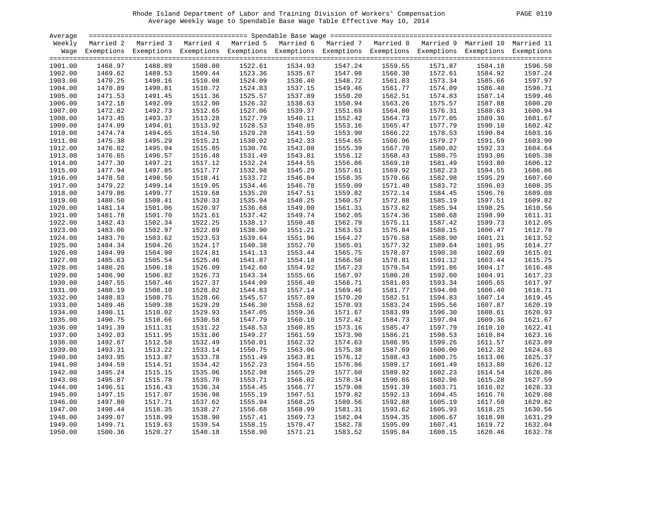| PAGE. |  |
|-------|--|
|       |  |

| Average |         |                                                                                                       |         |         |         |         |         |         |         |                                                                                                                    |
|---------|---------|-------------------------------------------------------------------------------------------------------|---------|---------|---------|---------|---------|---------|---------|--------------------------------------------------------------------------------------------------------------------|
| Weekly  |         | Married 2 Married 3 Married 4 Married 5 Married 6 Married 7 Married 8 Married 9 Married 10 Married 11 |         |         |         |         |         |         |         |                                                                                                                    |
|         |         |                                                                                                       |         |         |         |         |         |         |         | Wage Exemptions Exemptions Exemptions Exemptions Exemptions Exemptions Exemptions Exemptions Exemptions Exemptions |
|         |         |                                                                                                       |         |         |         |         |         |         |         |                                                                                                                    |
| 1901.00 | 1468.97 | 1488.89                                                                                               | 1508.80 | 1522.61 | 1534.93 | 1547.24 | 1559.55 | 1571.87 | 1584.18 | 1596.50                                                                                                            |
| 1902.00 | 1469.62 | 1489.53                                                                                               | 1509.44 | 1523.36 | 1535.67 | 1547.98 | 1560.30 | 1572.61 | 1584.92 | 1597.24                                                                                                            |
| 1903.00 | 1470.25 | 1490.16                                                                                               | 1510.08 | 1524.09 | 1536.40 | 1548.72 | 1561.03 | 1573.34 | 1585.66 | 1597.97                                                                                                            |
| 1904.00 | 1470.89 | 1490.81                                                                                               | 1510.72 | 1524.83 | 1537.15 | 1549.46 | 1561.77 | 1574.09 | 1586.40 | 1598.71                                                                                                            |
| 1905.00 | 1471.53 | 1491.45                                                                                               | 1511.36 | 1525.57 | 1537.89 | 1550.20 | 1562.51 | 1574.83 | 1587.14 | 1599.46                                                                                                            |
| 1906.00 | 1472.18 | 1492.09                                                                                               | 1512.00 | 1526.32 | 1538.63 | 1550.94 | 1563.26 | 1575.57 | 1587.88 | 1600.20                                                                                                            |
| 1907.00 | 1472.82 | 1492.73                                                                                               | 1512.65 | 1527.06 | 1539.37 | 1551.69 | 1564.00 | 1576.31 | 1588.63 | 1600.94                                                                                                            |
| 1908.00 | 1473.45 | 1493.37                                                                                               | 1513.28 | 1527.79 | 1540.11 | 1552.42 | 1564.73 | 1577.05 | 1589.36 | 1601.67                                                                                                            |
| 1909.00 | 1474.09 | 1494.01                                                                                               | 1513.92 | 1528.53 | 1540.85 | 1553.16 | 1565.47 | 1577.79 | 1590.10 | 1602.42                                                                                                            |
| 1910.00 | 1474.74 | 1494.65                                                                                               | 1514.56 | 1529.28 | 1541.59 | 1553.90 | 1566.22 | 1578.53 | 1590.84 | 1603.16                                                                                                            |
| 1911.00 | 1475.38 | 1495.29                                                                                               | 1515.21 | 1530.02 | 1542.33 | 1554.65 | 1566.96 | 1579.27 | 1591.59 | 1603.90                                                                                                            |
| 1912.00 | 1476.02 | 1495.94                                                                                               | 1515.85 | 1530.76 | 1543.08 | 1555.39 | 1567.70 | 1580.02 | 1592.33 | 1604.64                                                                                                            |
| 1913.00 | 1476.65 | 1496.57                                                                                               | 1516.48 | 1531.49 | 1543.81 | 1556.12 | 1568.43 | 1580.75 | 1593.06 | 1605.38                                                                                                            |
| 1914.00 | 1477.30 | 1497.21                                                                                               | 1517.12 | 1532.24 | 1544.55 | 1556.86 | 1569.18 | 1581.49 | 1593.80 | 1606.12                                                                                                            |
| 1915.00 | 1477.94 | 1497.85                                                                                               | 1517.77 | 1532.98 | 1545.29 | 1557.61 | 1569.92 | 1582.23 | 1594.55 | 1606.86                                                                                                            |
| 1916.00 | 1478.58 | 1498.50                                                                                               | 1518.41 | 1533.72 | 1546.04 | 1558.35 | 1570.66 | 1582.98 | 1595.29 | 1607.60                                                                                                            |
| 1917.00 | 1479.22 | 1499.14                                                                                               | 1519.05 | 1534.46 | 1546.78 | 1559.09 | 1571.40 | 1583.72 | 1596.03 | 1608.35                                                                                                            |
| 1918.00 | 1479.86 | 1499.77                                                                                               | 1519.68 | 1535.20 | 1547.51 | 1559.82 | 1572.14 | 1584.45 | 1596.76 | 1609.08                                                                                                            |
| 1919.00 | 1480.50 | 1500.41                                                                                               | 1520.33 | 1535.94 | 1548.25 | 1560.57 | 1572.88 | 1585.19 | 1597.51 | 1609.82                                                                                                            |
| 1920.00 | 1481.14 | 1501.06                                                                                               | 1520.97 | 1536.68 | 1549.00 | 1561.31 | 1573.62 | 1585.94 | 1598.25 | 1610.56                                                                                                            |
| 1921.00 | 1481.78 | 1501.70                                                                                               | 1521.61 | 1537.42 | 1549.74 | 1562.05 | 1574.36 | 1586.68 | 1598.99 | 1611.31                                                                                                            |
| 1922.00 | 1482.43 | 1502.34                                                                                               | 1522.25 | 1538.17 | 1550.48 | 1562.79 | 1575.11 | 1587.42 | 1599.73 | 1612.05                                                                                                            |
| 1923.00 | 1483.06 | 1502.97                                                                                               | 1522.89 | 1538.90 | 1551.21 | 1563.53 | 1575.84 | 1588.15 | 1600.47 | 1612.78                                                                                                            |
| 1924.00 | 1483.70 | 1503.62                                                                                               | 1523.53 | 1539.64 | 1551.96 | 1564.27 | 1576.58 | 1588.90 | 1601.21 | 1613.52                                                                                                            |
| 1925.00 | 1484.34 | 1504.26                                                                                               | 1524.17 | 1540.38 | 1552.70 | 1565.01 | 1577.32 | 1589.64 | 1601.95 | 1614.27                                                                                                            |
| 1926.00 | 1484.99 | 1504.90                                                                                               | 1524.81 | 1541.13 | 1553.44 | 1565.75 | 1578.07 | 1590.38 | 1602.69 | 1615.01                                                                                                            |
| 1927.00 | 1485.63 | 1505.54                                                                                               | 1525.46 | 1541.87 | 1554.18 | 1566.50 | 1578.81 | 1591.12 | 1603.44 | 1615.75                                                                                                            |
| 1928.00 | 1486.26 | 1506.18                                                                                               | 1526.09 | 1542.60 | 1554.92 | 1567.23 | 1579.54 | 1591.86 | 1604.17 | 1616.48                                                                                                            |
| 1929.00 | 1486.90 | 1506.82                                                                                               | 1526.73 | 1543.34 | 1555.66 | 1567.97 | 1580.28 | 1592.60 | 1604.91 | 1617.23                                                                                                            |
| 1930.00 | 1487.55 | 1507.46                                                                                               | 1527.37 | 1544.09 | 1556.40 | 1568.71 | 1581.03 | 1593.34 | 1605.65 | 1617.97                                                                                                            |
| 1931.00 | 1488.19 | 1508.10                                                                                               | 1528.02 | 1544.83 | 1557.14 | 1569.46 | 1581.77 | 1594.08 | 1606.40 | 1618.71                                                                                                            |
| 1932.00 | 1488.83 | 1508.75                                                                                               | 1528.66 | 1545.57 | 1557.89 | 1570.20 | 1582.51 | 1594.83 | 1607.14 | 1619.45                                                                                                            |
| 1933.00 | 1489.46 | 1509.38                                                                                               | 1529.29 | 1546.30 | 1558.62 | 1570.93 | 1583.24 | 1595.56 | 1607.87 | 1620.19                                                                                                            |
| 1934.00 | 1490.11 | 1510.02                                                                                               | 1529.93 | 1547.05 | 1559.36 | 1571.67 | 1583.99 | 1596.30 | 1608.61 | 1620.93                                                                                                            |
| 1935.00 | 1490.75 | 1510.66                                                                                               | 1530.58 | 1547.79 | 1560.10 | 1572.42 | 1584.73 | 1597.04 | 1609.36 | 1621.67                                                                                                            |
| 1936.00 | 1491.39 | 1511.31                                                                                               | 1531.22 | 1548.53 | 1560.85 | 1573.16 | 1585.47 | 1597.79 | 1610.10 | 1622.41                                                                                                            |
| 1937.00 | 1492.03 | 1511.95                                                                                               | 1531.86 | 1549.27 | 1561.59 | 1573.90 | 1586.21 | 1598.53 | 1610.84 | 1623.16                                                                                                            |
| 1938.00 | 1492.67 | 1512.58                                                                                               | 1532.49 | 1550.01 | 1562.32 | 1574.63 | 1586.95 | 1599.26 | 1611.57 | 1623.89                                                                                                            |
| 1939.00 | 1493.31 | 1513.22                                                                                               | 1533.14 | 1550.75 | 1563.06 | 1575.38 | 1587.69 | 1600.00 | 1612.32 | 1624.63                                                                                                            |
| 1940.00 | 1493.95 | 1513.87                                                                                               | 1533.78 | 1551.49 | 1563.81 | 1576.12 | 1588.43 | 1600.75 | 1613.06 | 1625.37                                                                                                            |
| 1941.00 | 1494.59 | 1514.51                                                                                               | 1534.42 | 1552.23 | 1564.55 | 1576.86 | 1589.17 | 1601.49 | 1613.80 | 1626.12                                                                                                            |
| 1942.00 | 1495.24 | 1515.15                                                                                               | 1535.06 | 1552.98 | 1565.29 | 1577.60 | 1589.92 | 1602.23 | 1614.54 | 1626.86                                                                                                            |
| 1943.00 | 1495.87 | 1515.78                                                                                               | 1535.70 | 1553.71 | 1566.02 | 1578.34 | 1590.65 | 1602.96 | 1615.28 | 1627.59                                                                                                            |
| 1944.00 | 1496.51 | 1516.43                                                                                               | 1536.34 | 1554.45 | 1566.77 | 1579.08 | 1591.39 | 1603.71 | 1616.02 | 1628.33                                                                                                            |
| 1945.00 | 1497.15 | 1517.07                                                                                               | 1536.98 | 1555.19 | 1567.51 | 1579.82 | 1592.13 | 1604.45 | 1616.76 | 1629.08                                                                                                            |
| 1946.00 | 1497.80 | 1517.71                                                                                               | 1537.62 | 1555.94 | 1568.25 | 1580.56 | 1592.88 | 1605.19 | 1617.50 | 1629.82                                                                                                            |
| 1947.00 | 1498.44 | 1518.35                                                                                               | 1538.27 | 1556.68 | 1568.99 | 1581.31 | 1593.62 | 1605.93 | 1618.25 | 1630.56                                                                                                            |
| 1948.00 | 1499.07 | 1518.99                                                                                               | 1538.90 | 1557.41 | 1569.73 | 1582.04 | 1594.35 | 1606.67 | 1618.98 | 1631.29                                                                                                            |
| 1949.00 | 1499.71 | 1519.63                                                                                               | 1539.54 | 1558.15 | 1570.47 | 1582.78 | 1595.09 | 1607.41 | 1619.72 | 1632.04                                                                                                            |
| 1950.00 | 1500.36 | 1520.27                                                                                               | 1540.18 | 1558.90 | 1571.21 | 1583.52 | 1595.84 | 1608.15 | 1620.46 | 1632.78                                                                                                            |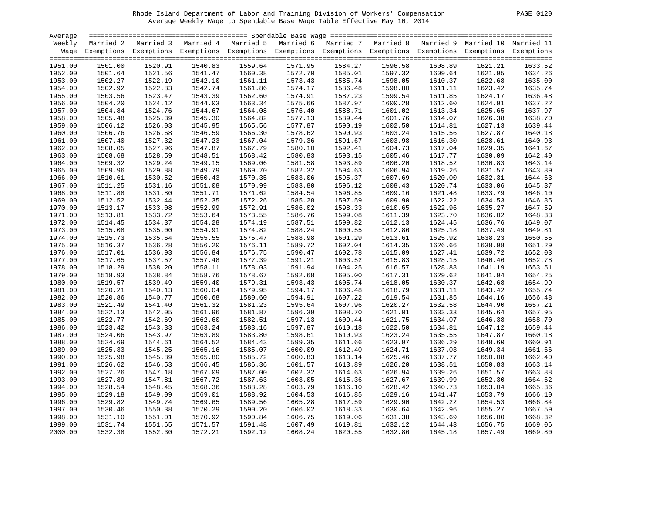| PAGE. | 0120 |
|-------|------|
|       |      |

| Average |         |                                                                                                                    |         |         |         |         |         |         |         |         |
|---------|---------|--------------------------------------------------------------------------------------------------------------------|---------|---------|---------|---------|---------|---------|---------|---------|
| Weekly  |         | Married 2 Married 3 Married 4 Married 5 Married 6 Married 7 Married 8 Married 9 Married 10 Married 11              |         |         |         |         |         |         |         |         |
|         |         | Wage Exemptions Exemptions Exemptions Exemptions Exemptions Exemptions Exemptions Exemptions Exemptions Exemptions |         |         |         |         |         |         |         |         |
| 1951.00 | 1501.00 | 1520.91                                                                                                            | 1540.83 | 1559.64 | 1571.95 | 1584.27 | 1596.58 | 1608.89 | 1621.21 | 1633.52 |
| 1952.00 | 1501.64 | 1521.56                                                                                                            | 1541.47 | 1560.38 | 1572.70 | 1585.01 | 1597.32 | 1609.64 | 1621.95 | 1634.26 |
| 1953.00 | 1502.27 | 1522.19                                                                                                            | 1542.10 | 1561.11 | 1573.43 | 1585.74 | 1598.05 | 1610.37 | 1622.68 | 1635.00 |
| 1954.00 | 1502.92 | 1522.83                                                                                                            | 1542.74 | 1561.86 | 1574.17 | 1586.48 | 1598.80 | 1611.11 | 1623.42 | 1635.74 |
| 1955.00 | 1503.56 | 1523.47                                                                                                            | 1543.39 | 1562.60 | 1574.91 | 1587.23 | 1599.54 | 1611.85 | 1624.17 | 1636.48 |
| 1956.00 | 1504.20 | 1524.12                                                                                                            | 1544.03 | 1563.34 | 1575.66 | 1587.97 | 1600.28 | 1612.60 | 1624.91 | 1637.22 |
| 1957.00 | 1504.84 | 1524.76                                                                                                            | 1544.67 | 1564.08 | 1576.40 | 1588.71 | 1601.02 | 1613.34 | 1625.65 | 1637.97 |
| 1958.00 | 1505.48 | 1525.39                                                                                                            | 1545.30 | 1564.82 | 1577.13 | 1589.44 | 1601.76 | 1614.07 | 1626.38 | 1638.70 |
| 1959.00 | 1506.12 | 1526.03                                                                                                            | 1545.95 | 1565.56 | 1577.87 | 1590.19 | 1602.50 | 1614.81 | 1627.13 | 1639.44 |
| 1960.00 | 1506.76 | 1526.68                                                                                                            | 1546.59 | 1566.30 | 1578.62 | 1590.93 | 1603.24 | 1615.56 | 1627.87 | 1640.18 |
| 1961.00 | 1507.40 | 1527.32                                                                                                            | 1547.23 | 1567.04 | 1579.36 | 1591.67 | 1603.98 | 1616.30 | 1628.61 | 1640.93 |
| 1962.00 | 1508.05 | 1527.96                                                                                                            | 1547.87 | 1567.79 | 1580.10 | 1592.41 | 1604.73 | 1617.04 | 1629.35 | 1641.67 |
| 1963.00 | 1508.68 | 1528.59                                                                                                            | 1548.51 | 1568.42 | 1580.83 | 1593.15 | 1605.46 | 1617.77 | 1630.09 | 1642.40 |
| 1964.00 | 1509.32 | 1529.24                                                                                                            | 1549.15 | 1569.06 | 1581.58 | 1593.89 | 1606.20 | 1618.52 | 1630.83 | 1643.14 |
| 1965.00 | 1509.96 | 1529.88                                                                                                            | 1549.79 | 1569.70 | 1582.32 | 1594.63 | 1606.94 | 1619.26 | 1631.57 | 1643.89 |
| 1966.00 | 1510.61 | 1530.52                                                                                                            | 1550.43 | 1570.35 | 1583.06 | 1595.37 | 1607.69 | 1620.00 | 1632.31 | 1644.63 |
| 1967.00 | 1511.25 | 1531.16                                                                                                            | 1551.08 | 1570.99 | 1583.80 | 1596.12 | 1608.43 | 1620.74 | 1633.06 | 1645.37 |
| 1968.00 | 1511.88 | 1531.80                                                                                                            | 1551.71 | 1571.62 | 1584.54 | 1596.85 | 1609.16 | 1621.48 | 1633.79 | 1646.10 |
| 1969.00 | 1512.52 | 1532.44                                                                                                            | 1552.35 | 1572.26 | 1585.28 | 1597.59 | 1609.90 | 1622.22 | 1634.53 | 1646.85 |
| 1970.00 | 1513.17 | 1533.08                                                                                                            | 1552.99 | 1572.91 | 1586.02 | 1598.33 | 1610.65 | 1622.96 | 1635.27 | 1647.59 |
| 1971.00 | 1513.81 | 1533.72                                                                                                            | 1553.64 | 1573.55 | 1586.76 | 1599.08 | 1611.39 | 1623.70 | 1636.02 | 1648.33 |
| 1972.00 | 1514.45 | 1534.37                                                                                                            | 1554.28 | 1574.19 | 1587.51 | 1599.82 | 1612.13 | 1624.45 | 1636.76 | 1649.07 |
| 1973.00 | 1515.08 | 1535.00                                                                                                            | 1554.91 | 1574.82 | 1588.24 | 1600.55 | 1612.86 | 1625.18 | 1637.49 | 1649.81 |
| 1974.00 | 1515.73 | 1535.64                                                                                                            | 1555.55 | 1575.47 | 1588.98 | 1601.29 | 1613.61 | 1625.92 | 1638.23 | 1650.55 |
| 1975.00 | 1516.37 | 1536.28                                                                                                            | 1556.20 | 1576.11 | 1589.72 | 1602.04 | 1614.35 | 1626.66 | 1638.98 | 1651.29 |
| 1976.00 | 1517.01 | 1536.93                                                                                                            | 1556.84 | 1576.75 | 1590.47 | 1602.78 | 1615.09 | 1627.41 | 1639.72 | 1652.03 |
| 1977.00 | 1517.65 | 1537.57                                                                                                            | 1557.48 | 1577.39 | 1591.21 | 1603.52 | 1615.83 | 1628.15 | 1640.46 | 1652.78 |
| 1978.00 | 1518.29 | 1538.20                                                                                                            | 1558.11 | 1578.03 | 1591.94 | 1604.25 | 1616.57 | 1628.88 | 1641.19 | 1653.51 |
| 1979.00 | 1518.93 | 1538.84                                                                                                            | 1558.76 | 1578.67 | 1592.68 | 1605.00 | 1617.31 | 1629.62 | 1641.94 | 1654.25 |
| 1980.00 | 1519.57 | 1539.49                                                                                                            | 1559.40 | 1579.31 | 1593.43 | 1605.74 | 1618.05 | 1630.37 | 1642.68 | 1654.99 |
| 1981.00 | 1520.21 | 1540.13                                                                                                            | 1560.04 | 1579.95 | 1594.17 | 1606.48 | 1618.79 | 1631.11 | 1643.42 | 1655.74 |
| 1982.00 | 1520.86 | 1540.77                                                                                                            | 1560.68 | 1580.60 | 1594.91 | 1607.22 | 1619.54 | 1631.85 | 1644.16 | 1656.48 |
| 1983.00 | 1521.49 | 1541.40                                                                                                            | 1561.32 | 1581.23 | 1595.64 | 1607.96 | 1620.27 | 1632.58 | 1644.90 | 1657.21 |
| 1984.00 | 1522.13 | 1542.05                                                                                                            | 1561.96 | 1581.87 | 1596.39 | 1608.70 | 1621.01 | 1633.33 | 1645.64 | 1657.95 |
| 1985.00 | 1522.77 | 1542.69                                                                                                            | 1562.60 | 1582.51 | 1597.13 | 1609.44 | 1621.75 | 1634.07 | 1646.38 | 1658.70 |
| 1986.00 | 1523.42 | 1543.33                                                                                                            | 1563.24 | 1583.16 | 1597.87 | 1610.18 | 1622.50 | 1634.81 | 1647.12 | 1659.44 |
| 1987.00 | 1524.06 | 1543.97                                                                                                            | 1563.89 | 1583.80 | 1598.61 | 1610.93 | 1623.24 | 1635.55 | 1647.87 | 1660.18 |
| 1988.00 | 1524.69 | 1544.61                                                                                                            | 1564.52 | 1584.43 | 1599.35 | 1611.66 | 1623.97 | 1636.29 | 1648.60 | 1660.91 |
| 1989.00 | 1525.33 | 1545.25                                                                                                            | 1565.16 | 1585.07 | 1600.09 | 1612.40 | 1624.71 | 1637.03 | 1649.34 | 1661.66 |
|         | 1525.98 | 1545.89                                                                                                            | 1565.80 | 1585.72 | 1600.83 | 1613.14 | 1625.46 |         |         | 1662.40 |
| 1990.00 |         |                                                                                                                    |         |         |         |         |         | 1637.77 | 1650.08 |         |
| 1991.00 | 1526.62 | 1546.53                                                                                                            | 1566.45 | 1586.36 | 1601.57 | 1613.89 | 1626.20 | 1638.51 | 1650.83 | 1663.14 |
| 1992.00 | 1527.26 | 1547.18                                                                                                            | 1567.09 | 1587.00 | 1602.32 | 1614.63 | 1626.94 | 1639.26 | 1651.57 | 1663.88 |
| 1993.00 | 1527.89 | 1547.81                                                                                                            | 1567.72 | 1587.63 | 1603.05 | 1615.36 | 1627.67 | 1639.99 | 1652.30 | 1664.62 |
| 1994.00 | 1528.54 | 1548.45                                                                                                            | 1568.36 | 1588.28 | 1603.79 | 1616.10 | 1628.42 | 1640.73 | 1653.04 | 1665.36 |
| 1995.00 | 1529.18 | 1549.09                                                                                                            | 1569.01 | 1588.92 | 1604.53 | 1616.85 | 1629.16 | 1641.47 | 1653.79 | 1666.10 |
| 1996.00 | 1529.82 | 1549.74                                                                                                            | 1569.65 | 1589.56 | 1605.28 | 1617.59 | 1629.90 | 1642.22 | 1654.53 | 1666.84 |
| 1997.00 | 1530.46 | 1550.38                                                                                                            | 1570.29 | 1590.20 | 1606.02 | 1618.33 | 1630.64 | 1642.96 | 1655.27 | 1667.59 |
| 1998.00 | 1531.10 | 1551.01                                                                                                            | 1570.92 | 1590.84 | 1606.75 | 1619.06 | 1631.38 | 1643.69 | 1656.00 | 1668.32 |
| 1999.00 | 1531.74 | 1551.65                                                                                                            | 1571.57 | 1591.48 | 1607.49 | 1619.81 | 1632.12 | 1644.43 | 1656.75 | 1669.06 |
| 2000.00 | 1532.38 | 1552.30                                                                                                            | 1572.21 | 1592.12 | 1608.24 | 1620.55 | 1632.86 | 1645.18 | 1657.49 | 1669.80 |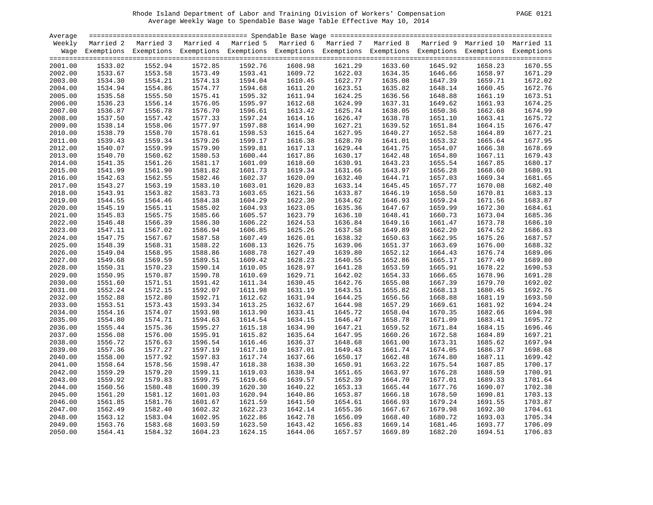| PAGE | 01<br>2 |
|------|---------|
|      |         |

| Average |         |                                                                                                                    |         |         |         |                    |         |         |         |         |
|---------|---------|--------------------------------------------------------------------------------------------------------------------|---------|---------|---------|--------------------|---------|---------|---------|---------|
| Weekly  |         | Married 2 Married 3 Married 4 Married 5 Married 6 Married 7 Married 8 Married 9 Married 10 Married 11              |         |         |         |                    |         |         |         |         |
|         |         | Wage Exemptions Exemptions Exemptions Exemptions Exemptions Exemptions Exemptions Exemptions Exemptions Exemptions |         |         |         |                    |         |         |         |         |
| 2001.00 | 1533.02 | 1552.94                                                                                                            | 1572.85 | 1592.76 | 1608.98 | 1621.29            | 1633.60 | 1645.92 | 1658.23 | 1670.55 |
| 2002.00 | 1533.67 | 1553.58                                                                                                            | 1573.49 | 1593.41 | 1609.72 |                    | 1634.35 | 1646.66 | 1658.97 | 1671.29 |
| 2003.00 | 1534.30 | 1554.21                                                                                                            | 1574.13 | 1594.04 | 1610.45 | 1622.03<br>1622.77 | 1635.08 | 1647.39 | 1659.71 | 1672.02 |
| 2004.00 | 1534.94 | 1554.86                                                                                                            | 1574.77 | 1594.68 | 1611.20 | 1623.51            | 1635.82 | 1648.14 | 1660.45 | 1672.76 |
| 2005.00 | 1535.58 | 1555.50                                                                                                            | 1575.41 | 1595.32 | 1611.94 | 1624.25            | 1636.56 | 1648.88 | 1661.19 | 1673.51 |
| 2006.00 | 1536.23 | 1556.14                                                                                                            | 1576.05 | 1595.97 | 1612.68 | 1624.99            | 1637.31 | 1649.62 | 1661.93 | 1674.25 |
| 2007.00 | 1536.87 | 1556.78                                                                                                            | 1576.70 | 1596.61 | 1613.42 | 1625.74            | 1638.05 | 1650.36 | 1662.68 | 1674.99 |
| 2008.00 | 1537.50 | 1557.42                                                                                                            | 1577.33 | 1597.24 | 1614.16 | 1626.47            | 1638.78 | 1651.10 | 1663.41 | 1675.72 |
| 2009.00 | 1538.14 | 1558.06                                                                                                            | 1577.97 | 1597.88 | 1614.90 | 1627.21            | 1639.52 | 1651.84 | 1664.15 | 1676.47 |
| 2010.00 | 1538.79 | 1558.70                                                                                                            | 1578.61 | 1598.53 | 1615.64 | 1627.95            | 1640.27 | 1652.58 | 1664.89 | 1677.21 |
| 2011.00 | 1539.43 | 1559.34                                                                                                            | 1579.26 | 1599.17 | 1616.38 | 1628.70            | 1641.01 | 1653.32 | 1665.64 | 1677.95 |
| 2012.00 | 1540.07 | 1559.99                                                                                                            | 1579.90 | 1599.81 | 1617.13 | 1629.44            | 1641.75 | 1654.07 | 1666.38 | 1678.69 |
| 2013.00 | 1540.70 | 1560.62                                                                                                            | 1580.53 | 1600.44 | 1617.86 | 1630.17            | 1642.48 | 1654.80 | 1667.11 | 1679.43 |
| 2014.00 | 1541.35 | 1561.26                                                                                                            | 1581.17 | 1601.09 | 1618.60 | 1630.91            | 1643.23 | 1655.54 | 1667.85 | 1680.17 |
| 2015.00 | 1541.99 | 1561.90                                                                                                            | 1581.82 | 1601.73 | 1619.34 | 1631.66            | 1643.97 | 1656.28 | 1668.60 | 1680.91 |
| 2016.00 | 1542.63 | 1562.55                                                                                                            | 1582.46 | 1602.37 | 1620.09 | 1632.40            | 1644.71 | 1657.03 | 1669.34 | 1681.65 |
| 2017.00 | 1543.27 | 1563.19                                                                                                            | 1583.10 | 1603.01 | 1620.83 | 1633.14            | 1645.45 | 1657.77 | 1670.08 | 1682.40 |
| 2018.00 | 1543.91 | 1563.82                                                                                                            | 1583.73 | 1603.65 | 1621.56 | 1633.87            | 1646.19 | 1658.50 | 1670.81 | 1683.13 |
| 2019.00 | 1544.55 | 1564.46                                                                                                            | 1584.38 | 1604.29 | 1622.30 | 1634.62            | 1646.93 | 1659.24 | 1671.56 | 1683.87 |
| 2020.00 | 1545.19 | 1565.11                                                                                                            | 1585.02 | 1604.93 | 1623.05 | 1635.36            | 1647.67 | 1659.99 | 1672.30 | 1684.61 |
| 2021.00 | 1545.83 | 1565.75                                                                                                            | 1585.66 | 1605.57 | 1623.79 | 1636.10            | 1648.41 | 1660.73 | 1673.04 | 1685.36 |
| 2022.00 | 1546.48 | 1566.39                                                                                                            | 1586.30 | 1606.22 | 1624.53 | 1636.84            | 1649.16 | 1661.47 | 1673.78 | 1686.10 |
| 2023.00 | 1547.11 | 1567.02                                                                                                            | 1586.94 | 1606.85 | 1625.26 | 1637.58            | 1649.89 | 1662.20 | 1674.52 | 1686.83 |
| 2024.00 | 1547.75 | 1567.67                                                                                                            | 1587.58 | 1607.49 | 1626.01 | 1638.32            | 1650.63 | 1662.95 | 1675.26 | 1687.57 |
| 2025.00 | 1548.39 | 1568.31                                                                                                            | 1588.22 | 1608.13 | 1626.75 | 1639.06            | 1651.37 | 1663.69 | 1676.00 | 1688.32 |
| 2026.00 | 1549.04 | 1568.95                                                                                                            | 1588.86 | 1608.78 | 1627.49 | 1639.80            | 1652.12 | 1664.43 | 1676.74 | 1689.06 |
| 2027.00 | 1549.68 | 1569.59                                                                                                            | 1589.51 | 1609.42 | 1628.23 | 1640.55            | 1652.86 | 1665.17 | 1677.49 | 1689.80 |
| 2028.00 | 1550.31 | 1570.23                                                                                                            | 1590.14 | 1610.05 | 1628.97 | 1641.28            | 1653.59 | 1665.91 | 1678.22 | 1690.53 |
| 2029.00 | 1550.95 | 1570.87                                                                                                            | 1590.78 | 1610.69 | 1629.71 | 1642.02            | 1654.33 | 1666.65 | 1678.96 | 1691.28 |
| 2030.00 | 1551.60 | 1571.51                                                                                                            | 1591.42 | 1611.34 | 1630.45 | 1642.76            | 1655.08 | 1667.39 | 1679.70 | 1692.02 |
| 2031.00 | 1552.24 | 1572.15                                                                                                            | 1592.07 | 1611.98 | 1631.19 | 1643.51            | 1655.82 | 1668.13 | 1680.45 | 1692.76 |
| 2032.00 | 1552.88 | 1572.80                                                                                                            | 1592.71 | 1612.62 | 1631.94 | 1644.25            | 1656.56 | 1668.88 | 1681.19 | 1693.50 |
| 2033.00 | 1553.51 | 1573.43                                                                                                            | 1593.34 | 1613.25 | 1632.67 | 1644.98            | 1657.29 | 1669.61 | 1681.92 | 1694.24 |
| 2034.00 | 1554.16 | 1574.07                                                                                                            | 1593.98 | 1613.90 | 1633.41 | 1645.72            | 1658.04 | 1670.35 | 1682.66 | 1694.98 |
| 2035.00 | 1554.80 | 1574.71                                                                                                            | 1594.63 | 1614.54 | 1634.15 | 1646.47            | 1658.78 | 1671.09 | 1683.41 | 1695.72 |
| 2036.00 | 1555.44 | 1575.36                                                                                                            | 1595.27 | 1615.18 | 1634.90 | 1647.21            | 1659.52 | 1671.84 | 1684.15 | 1696.46 |
| 2037.00 | 1556.08 | 1576.00                                                                                                            | 1595.91 | 1615.82 | 1635.64 | 1647.95            | 1660.26 | 1672.58 | 1684.89 | 1697.21 |
| 2038.00 | 1556.72 | 1576.63                                                                                                            | 1596.54 | 1616.46 | 1636.37 | 1648.68            | 1661.00 | 1673.31 | 1685.62 | 1697.94 |
| 2039.00 | 1557.36 | 1577.27                                                                                                            | 1597.19 | 1617.10 | 1637.01 | 1649.43            | 1661.74 | 1674.05 | 1686.37 | 1698.68 |
| 2040.00 | 1558.00 | 1577.92                                                                                                            | 1597.83 | 1617.74 | 1637.66 | 1650.17            | 1662.48 | 1674.80 | 1687.11 | 1699.42 |
| 2041.00 | 1558.64 | 1578.56                                                                                                            | 1598.47 | 1618.38 | 1638.30 | 1650.91            | 1663.22 | 1675.54 | 1687.85 | 1700.17 |
| 2042.00 | 1559.29 | 1579.20                                                                                                            | 1599.11 | 1619.03 | 1638.94 | 1651.65            | 1663.97 | 1676.28 | 1688.59 | 1700.91 |
| 2043.00 | 1559.92 | 1579.83                                                                                                            | 1599.75 | 1619.66 | 1639.57 | 1652.39            | 1664.70 | 1677.01 | 1689.33 | 1701.64 |
| 2044.00 | 1560.56 | 1580.48                                                                                                            | 1600.39 | 1620.30 | 1640.22 | 1653.13            | 1665.44 | 1677.76 | 1690.07 | 1702.38 |
| 2045.00 | 1561.20 | 1581.12                                                                                                            | 1601.03 | 1620.94 | 1640.86 | 1653.87            | 1666.18 | 1678.50 | 1690.81 | 1703.13 |
| 2046.00 | 1561.85 | 1581.76                                                                                                            | 1601.67 | 1621.59 | 1641.50 | 1654.61            | 1666.93 | 1679.24 | 1691.55 | 1703.87 |
| 2047.00 | 1562.49 | 1582.40                                                                                                            | 1602.32 | 1622.23 | 1642.14 | 1655.36            | 1667.67 | 1679.98 | 1692.30 | 1704.61 |
| 2048.00 | 1563.12 | 1583.04                                                                                                            | 1602.95 | 1622.86 | 1642.78 | 1656.09            | 1668.40 | 1680.72 | 1693.03 | 1705.34 |
| 2049.00 | 1563.76 | 1583.68                                                                                                            | 1603.59 | 1623.50 | 1643.42 | 1656.83            | 1669.14 | 1681.46 | 1693.77 | 1706.09 |
| 2050.00 | 1564.41 | 1584.32                                                                                                            | 1604.23 | 1624.15 | 1644.06 | 1657.57            | 1669.89 | 1682.20 | 1694.51 | 1706.83 |
|         |         |                                                                                                                    |         |         |         |                    |         |         |         |         |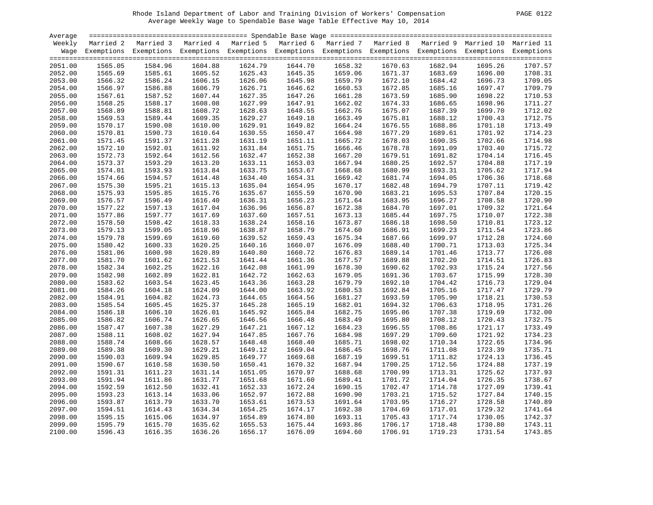| PAGE. | 0 |
|-------|---|
|       |   |

| Average            |                    |                                                                                                                    |                    |                    |                    |                    |                    |                    |                    |                    |
|--------------------|--------------------|--------------------------------------------------------------------------------------------------------------------|--------------------|--------------------|--------------------|--------------------|--------------------|--------------------|--------------------|--------------------|
| Weekly             |                    | Married 2 Married 3 Married 4 Married 5 Married 6 Married 7 Married 8 Married 9 Married 10 Married 11              |                    |                    |                    |                    |                    |                    |                    |                    |
|                    |                    | Wage Exemptions Exemptions Exemptions Exemptions Exemptions Exemptions Exemptions Exemptions Exemptions Exemptions |                    |                    |                    |                    |                    |                    |                    |                    |
| 2051.00            | 1565.05            | 1584.96                                                                                                            | 1604.88            | 1624.79            | 1644.70            | 1658.32            | 1670.63            | 1682.94            | 1695.26            | 1707.57            |
| 2052.00            | 1565.69            | 1585.61                                                                                                            | 1605.52            | 1625.43            | 1645.35            | 1659.06            | 1671.37            | 1683.69            | 1696.00            | 1708.31            |
| 2053.00            | 1566.32            | 1586.24                                                                                                            | 1606.15            | 1626.06            | 1645.98            | 1659.79            | 1672.10            | 1684.42            | 1696.73            | 1709.05            |
| 2054.00            | 1566.97            | 1586.88                                                                                                            | 1606.79            | 1626.71            | 1646.62            | 1660.53            | 1672.85            | 1685.16            | 1697.47            | 1709.79            |
| 2055.00            | 1567.61            | 1587.52                                                                                                            | 1607.44            | 1627.35            | 1647.26            | 1661.28            | 1673.59            | 1685.90            | 1698.22            | 1710.53            |
| 2056.00            | 1568.25            | 1588.17                                                                                                            | 1608.08            | 1627.99            | 1647.91            | 1662.02            | 1674.33            | 1686.65            | 1698.96            | 1711.27            |
| 2057.00            | 1568.89            | 1588.81                                                                                                            | 1608.72            | 1628.63            | 1648.55            | 1662.76            | 1675.07            | 1687.39            | 1699.70            | 1712.02            |
| 2058.00            | 1569.53            | 1589.44                                                                                                            | 1609.35            | 1629.27            | 1649.18            | 1663.49            | 1675.81            | 1688.12            | 1700.43            | 1712.75            |
| 2059.00            | 1570.17            | 1590.08                                                                                                            | 1610.00            | 1629.91            | 1649.82            | 1664.24            | 1676.55            | 1688.86            | 1701.18            | 1713.49            |
| 2060.00            | 1570.81            | 1590.73                                                                                                            | 1610.64            | 1630.55            | 1650.47            | 1664.98            | 1677.29            | 1689.61            | 1701.92            | 1714.23            |
| 2061.00            | 1571.45            | 1591.37                                                                                                            | 1611.28            | 1631.19            | 1651.11            | 1665.72            | 1678.03            | 1690.35            | 1702.66            | 1714.98            |
| 2062.00            | 1572.10            | 1592.01                                                                                                            | 1611.92            | 1631.84            | 1651.75            | 1666.46            | 1678.78            | 1691.09            | 1703.40            | 1715.72            |
| 2063.00            | 1572.73            | 1592.64                                                                                                            | 1612.56            | 1632.47            | 1652.38            | 1667.20            | 1679.51            | 1691.82            | 1704.14            | 1716.45            |
| 2064.00            | 1573.37            | 1593.29                                                                                                            | 1613.20            | 1633.11            | 1653.03            | 1667.94            | 1680.25            | 1692.57            | 1704.88            | 1717.19            |
| 2065.00            | 1574.01            | 1593.93                                                                                                            | 1613.84            | 1633.75            | 1653.67            | 1668.68            | 1680.99            | 1693.31            | 1705.62            | 1717.94            |
| 2066.00            | 1574.66            | 1594.57                                                                                                            | 1614.48            | 1634.40            | 1654.31            | 1669.42            | 1681.74            | 1694.05            | 1706.36            | 1718.68            |
| 2067.00            | 1575.30            | 1595.21                                                                                                            | 1615.13            | 1635.04            | 1654.95            | 1670.17            | 1682.48            | 1694.79            | 1707.11            | 1719.42            |
| 2068.00            | 1575.93            | 1595.85                                                                                                            | 1615.76            | 1635.67            | 1655.59            | 1670.90            | 1683.21            | 1695.53            | 1707.84            | 1720.15            |
| 2069.00            | 1576.57            | 1596.49                                                                                                            | 1616.40            | 1636.31            | 1656.23            | 1671.64            | 1683.95            | 1696.27            | 1708.58            | 1720.90            |
| 2070.00            | 1577.22            | 1597.13                                                                                                            | 1617.04            | 1636.96            | 1656.87            | 1672.38            | 1684.70            | 1697.01            | 1709.32            | 1721.64            |
| 2071.00            | 1577.86            | 1597.77                                                                                                            | 1617.69            | 1637.60            | 1657.51            | 1673.13            | 1685.44            | 1697.75            | 1710.07            | 1722.38            |
| 2072.00            | 1578.50            | 1598.42                                                                                                            | 1618.33            | 1638.24            | 1658.16            | 1673.87            | 1686.18            | 1698.50            | 1710.81            | 1723.12            |
| 2073.00            | 1579.13            | 1599.05                                                                                                            | 1618.96            | 1638.87            | 1658.79            | 1674.60            | 1686.91            | 1699.23            | 1711.54            | 1723.86            |
| 2074.00            |                    | 1599.69                                                                                                            | 1619.60            | 1639.52            | 1659.43            |                    |                    | 1699.97            |                    | 1724.60            |
| 2075.00            | 1579.78<br>1580.42 | 1600.33                                                                                                            | 1620.25            | 1640.16            | 1660.07            | 1675.34<br>1676.09 | 1687.66<br>1688.40 | 1700.71            | 1712.28<br>1713.03 | 1725.34            |
| 2076.00            | 1581.06            | 1600.98                                                                                                            | 1620.89            | 1640.80            | 1660.72            | 1676.83            | 1689.14            | 1701.46            | 1713.77            | 1726.08            |
| 2077.00            |                    |                                                                                                                    |                    |                    | 1661.36            | 1677.57            | 1689.88            |                    |                    |                    |
|                    | 1581.70<br>1582.34 | 1601.62<br>1602.25                                                                                                 | 1621.53            | 1641.44<br>1642.08 |                    |                    | 1690.62            | 1702.20            | 1714.51<br>1715.24 | 1726.83<br>1727.56 |
| 2078.00            |                    | 1602.89                                                                                                            | 1622.16            | 1642.72            | 1661.99            | 1678.30            | 1691.36            | 1702.93            |                    | 1728.30            |
| 2079.00<br>2080.00 | 1582.98<br>1583.62 | 1603.54                                                                                                            | 1622.81<br>1623.45 | 1643.36            | 1662.63<br>1663.28 | 1679.05<br>1679.79 | 1692.10            | 1703.67<br>1704.42 | 1715.99<br>1716.73 | 1729.04            |
|                    |                    |                                                                                                                    |                    |                    |                    |                    |                    |                    |                    | 1729.79            |
| 2081.00            | 1584.26<br>1584.91 | 1604.18<br>1604.82                                                                                                 | 1624.09            | 1644.00<br>1644.65 | 1663.92<br>1664.56 | 1680.53<br>1681.27 | 1692.84<br>1693.59 | 1705.16<br>1705.90 | 1717.47<br>1718.21 | 1730.53            |
| 2082.00            |                    | 1605.45                                                                                                            | 1624.73            |                    |                    |                    |                    |                    |                    | 1731.26            |
| 2083.00            | 1585.54<br>1586.18 | 1606.10                                                                                                            | 1625.37            | 1645.28<br>1645.92 | 1665.19<br>1665.84 | 1682.01<br>1682.75 | 1694.32<br>1695.06 | 1706.63<br>1707.38 | 1718.95<br>1719.69 | 1732.00            |
| 2084.00            |                    | 1606.74                                                                                                            | 1626.01            | 1646.56            |                    | 1683.49            | 1695.80            |                    |                    | 1732.75            |
| 2085.00            | 1586.82            |                                                                                                                    | 1626.65            |                    | 1666.48            |                    |                    | 1708.12            | 1720.43            |                    |
| 2086.00            | 1587.47            | 1607.38                                                                                                            | 1627.29            | 1647.21            | 1667.12            | 1684.23            | 1696.55            | 1708.86            | 1721.17            | 1733.49            |
| 2087.00            | 1588.11            | 1608.02<br>1608.66                                                                                                 | 1627.94            | 1647.85            | 1667.76            | 1684.98<br>1685.71 | 1697.29            | 1709.60            | 1721.92            | 1734.23<br>1734.96 |
| 2088.00            | 1588.74            |                                                                                                                    | 1628.57            | 1648.48            | 1668.40            |                    | 1698.02            | 1710.34            | 1722.65            |                    |
| 2089.00            | 1589.38            | 1609.30                                                                                                            | 1629.21            | 1649.12            | 1669.04            | 1686.45            | 1698.76            | 1711.08            | 1723.39            | 1735.71            |
| 2090.00            | 1590.03            | 1609.94                                                                                                            | 1629.85            | 1649.77            | 1669.68            | 1687.19            | 1699.51            | 1711.82            | 1724.13            | 1736.45            |
| 2091.00            | 1590.67            | 1610.58                                                                                                            | 1630.50            | 1650.41            | 1670.32            | 1687.94            | 1700.25            | 1712.56            | 1724.88            | 1737.19            |
| 2092.00            | 1591.31            | 1611.23                                                                                                            | 1631.14            | 1651.05            | 1670.97            | 1688.68            | 1700.99            | 1713.31            | 1725.62            | 1737.93            |
| 2093.00            | 1591.94            | 1611.86                                                                                                            | 1631.77            | 1651.68            | 1671.60            | 1689.41            | 1701.72            | 1714.04            | 1726.35            | 1738.67            |
| 2094.00            | 1592.59            | 1612.50                                                                                                            | 1632.41            | 1652.33            | 1672.24            | 1690.15            | 1702.47            | 1714.78            | 1727.09            | 1739.41            |
| 2095.00            | 1593.23            | 1613.14                                                                                                            | 1633.06            | 1652.97            | 1672.88            | 1690.90            | 1703.21            | 1715.52            | 1727.84            | 1740.15            |
| 2096.00            | 1593.87            | 1613.79                                                                                                            | 1633.70            | 1653.61            | 1673.53            | 1691.64            | 1703.95            | 1716.27            | 1728.58            | 1740.89            |
| 2097.00            | 1594.51            | 1614.43                                                                                                            | 1634.34            | 1654.25            | 1674.17            | 1692.38            | 1704.69            | 1717.01            | 1729.32            | 1741.64            |
| 2098.00            | 1595.15            | 1615.06                                                                                                            | 1634.97            | 1654.89            | 1674.80            | 1693.11            | 1705.43            | 1717.74            | 1730.05            | 1742.37            |
| 2099.00            | 1595.79            | 1615.70                                                                                                            | 1635.62            | 1655.53            | 1675.44            | 1693.86            | 1706.17            | 1718.48            | 1730.80            | 1743.11            |
| 2100.00            | 1596.43            | 1616.35                                                                                                            | 1636.26            | 1656.17            | 1676.09            | 1694.60            | 1706.91            | 1719.23            | 1731.54            | 1743.85            |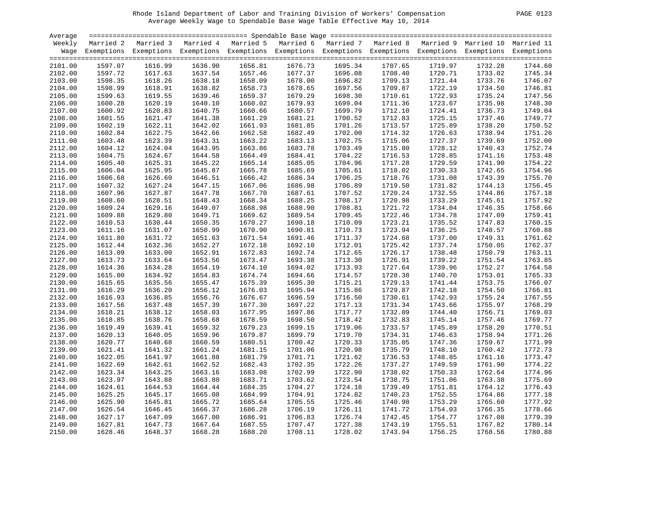| PAGE. | 01 |
|-------|----|
|       |    |

| Average |         |                                                                                                                    |         |         |         |         |         |                                                     |         |         |
|---------|---------|--------------------------------------------------------------------------------------------------------------------|---------|---------|---------|---------|---------|-----------------------------------------------------|---------|---------|
| Weekly  |         | Married 2 Married 3 Married 4 Married 5 Married 6                                                                  |         |         |         |         |         | Married 7 Married 8 Married 9 Married 10 Married 11 |         |         |
|         |         | Wage Exemptions Exemptions Exemptions Exemptions Exemptions Exemptions Exemptions Exemptions Exemptions Exemptions |         |         |         |         |         |                                                     |         |         |
|         |         |                                                                                                                    |         |         |         |         |         |                                                     |         |         |
| 2101.00 | 1597.07 | 1616.99                                                                                                            | 1636.90 | 1656.81 | 1676.73 | 1695.34 | 1707.65 | 1719.97                                             | 1732.28 | 1744.60 |
| 2102.00 | 1597.72 | 1617.63                                                                                                            | 1637.54 | 1657.46 | 1677.37 | 1696.08 | 1708.40 | 1720.71                                             | 1733.02 | 1745.34 |
| 2103.00 | 1598.35 | 1618.26                                                                                                            | 1638.18 | 1658.09 | 1678.00 | 1696.82 | 1709.13 | 1721.44                                             | 1733.76 | 1746.07 |
| 2104.00 | 1598.99 | 1618.91                                                                                                            | 1638.82 | 1658.73 | 1678.65 | 1697.56 | 1709.87 | 1722.19                                             | 1734.50 | 1746.81 |
| 2105.00 | 1599.63 | 1619.55                                                                                                            | 1639.46 | 1659.37 | 1679.29 | 1698.30 | 1710.61 | 1722.93                                             | 1735.24 | 1747.56 |
| 2106.00 | 1600.28 | 1620.19                                                                                                            | 1640.10 | 1660.02 | 1679.93 | 1699.04 | 1711.36 | 1723.67                                             | 1735.98 | 1748.30 |
| 2107.00 | 1600.92 | 1620.83                                                                                                            | 1640.75 | 1660.66 | 1680.57 | 1699.79 | 1712.10 | 1724.41                                             | 1736.73 | 1749.04 |
| 2108.00 | 1601.55 | 1621.47                                                                                                            | 1641.38 | 1661.29 | 1681.21 | 1700.52 | 1712.83 | 1725.15                                             | 1737.46 | 1749.77 |
| 2109.00 | 1602.19 | 1622.11                                                                                                            | 1642.02 | 1661.93 | 1681.85 | 1701.26 | 1713.57 | 1725.89                                             | 1738.20 | 1750.52 |
| 2110.00 | 1602.84 | 1622.75                                                                                                            | 1642.66 | 1662.58 | 1682.49 | 1702.00 | 1714.32 | 1726.63                                             | 1738.94 | 1751.26 |
| 2111.00 | 1603.48 | 1623.39                                                                                                            | 1643.31 | 1663.22 | 1683.13 | 1702.75 | 1715.06 | 1727.37                                             | 1739.69 | 1752.00 |
| 2112.00 | 1604.12 | 1624.04                                                                                                            | 1643.95 | 1663.86 | 1683.78 | 1703.49 | 1715.80 | 1728.12                                             | 1740.43 | 1752.74 |
| 2113.00 | 1604.75 | 1624.67                                                                                                            | 1644.58 | 1664.49 | 1684.41 | 1704.22 | 1716.53 | 1728.85                                             | 1741.16 | 1753.48 |
| 2114.00 | 1605.40 | 1625.31                                                                                                            | 1645.22 | 1665.14 | 1685.05 | 1704.96 | 1717.28 | 1729.59                                             | 1741.90 | 1754.22 |
| 2115.00 | 1606.04 | 1625.95                                                                                                            | 1645.87 | 1665.78 | 1685.69 | 1705.61 | 1718.02 | 1730.33                                             | 1742.65 | 1754.96 |
| 2116.00 | 1606.68 | 1626.60                                                                                                            | 1646.51 | 1666.42 | 1686.34 | 1706.25 | 1718.76 | 1731.08                                             | 1743.39 | 1755.70 |
| 2117.00 | 1607.32 | 1627.24                                                                                                            | 1647.15 | 1667.06 | 1686.98 | 1706.89 | 1719.50 | 1731.82                                             | 1744.13 | 1756.45 |
| 2118.00 | 1607.96 | 1627.87                                                                                                            | 1647.78 | 1667.70 | 1687.61 | 1707.52 | 1720.24 | 1732.55                                             | 1744.86 | 1757.18 |
| 2119.00 | 1608.60 | 1628.51                                                                                                            | 1648.43 | 1668.34 | 1688.25 | 1708.17 | 1720.98 | 1733.29                                             | 1745.61 | 1757.92 |
| 2120.00 | 1609.24 | 1629.16                                                                                                            | 1649.07 | 1668.98 | 1688.90 | 1708.81 | 1721.72 | 1734.04                                             | 1746.35 | 1758.66 |
|         |         | 1629.80                                                                                                            |         |         | 1689.54 |         |         |                                                     |         | 1759.41 |
| 2121.00 | 1609.88 |                                                                                                                    | 1649.71 | 1669.62 |         | 1709.45 | 1722.46 | 1734.78                                             | 1747.09 |         |
| 2122.00 | 1610.53 | 1630.44                                                                                                            | 1650.35 | 1670.27 | 1690.18 | 1710.09 | 1723.21 | 1735.52                                             | 1747.83 | 1760.15 |
| 2123.00 | 1611.16 | 1631.07                                                                                                            | 1650.99 | 1670.90 | 1690.81 | 1710.73 | 1723.94 | 1736.25                                             | 1748.57 | 1760.88 |
| 2124.00 | 1611.80 | 1631.72                                                                                                            | 1651.63 | 1671.54 | 1691.46 | 1711.37 | 1724.68 | 1737.00                                             | 1749.31 | 1761.62 |
| 2125.00 | 1612.44 | 1632.36                                                                                                            | 1652.27 | 1672.18 | 1692.10 | 1712.01 | 1725.42 | 1737.74                                             | 1750.05 | 1762.37 |
| 2126.00 | 1613.09 | 1633.00                                                                                                            | 1652.91 | 1672.83 | 1692.74 | 1712.65 | 1726.17 | 1738.48                                             | 1750.79 | 1763.11 |
| 2127.00 | 1613.73 | 1633.64                                                                                                            | 1653.56 | 1673.47 | 1693.38 | 1713.30 | 1726.91 | 1739.22                                             | 1751.54 | 1763.85 |
| 2128.00 | 1614.36 | 1634.28                                                                                                            | 1654.19 | 1674.10 | 1694.02 | 1713.93 | 1727.64 | 1739.96                                             | 1752.27 | 1764.58 |
| 2129.00 | 1615.00 | 1634.92                                                                                                            | 1654.83 | 1674.74 | 1694.66 | 1714.57 | 1728.38 | 1740.70                                             | 1753.01 | 1765.33 |
| 2130.00 | 1615.65 | 1635.56                                                                                                            | 1655.47 | 1675.39 | 1695.30 | 1715.21 | 1729.13 | 1741.44                                             | 1753.75 | 1766.07 |
| 2131.00 | 1616.29 | 1636.20                                                                                                            | 1656.12 | 1676.03 | 1695.94 | 1715.86 | 1729.87 | 1742.18                                             | 1754.50 | 1766.81 |
| 2132.00 | 1616.93 | 1636.85                                                                                                            | 1656.76 | 1676.67 | 1696.59 | 1716.50 | 1730.61 | 1742.93                                             | 1755.24 | 1767.55 |
| 2133.00 | 1617.56 | 1637.48                                                                                                            | 1657.39 | 1677.30 | 1697.22 | 1717.13 | 1731.34 | 1743.66                                             | 1755.97 | 1768.29 |
| 2134.00 | 1618.21 | 1638.12                                                                                                            | 1658.03 | 1677.95 | 1697.86 | 1717.77 | 1732.09 | 1744.40                                             | 1756.71 | 1769.03 |
| 2135.00 | 1618.85 | 1638.76                                                                                                            | 1658.68 | 1678.59 | 1698.50 | 1718.42 | 1732.83 | 1745.14                                             | 1757.46 | 1769.77 |
| 2136.00 | 1619.49 | 1639.41                                                                                                            | 1659.32 | 1679.23 | 1699.15 | 1719.06 | 1733.57 | 1745.89                                             | 1758.20 | 1770.51 |
| 2137.00 | 1620.13 | 1640.05                                                                                                            | 1659.96 | 1679.87 | 1699.79 | 1719.70 | 1734.31 | 1746.63                                             | 1758.94 | 1771.26 |
| 2138.00 | 1620.77 | 1640.68                                                                                                            | 1660.59 | 1680.51 | 1700.42 | 1720.33 | 1735.05 | 1747.36                                             | 1759.67 | 1771.99 |
| 2139.00 | 1621.41 | 1641.32                                                                                                            | 1661.24 | 1681.15 | 1701.06 | 1720.98 | 1735.79 | 1748.10                                             | 1760.42 | 1772.73 |
| 2140.00 | 1622.05 | 1641.97                                                                                                            | 1661.88 | 1681.79 | 1701.71 | 1721.62 | 1736.53 | 1748.85                                             | 1761.16 | 1773.47 |
| 2141.00 | 1622.69 | 1642.61                                                                                                            | 1662.52 | 1682.43 | 1702.35 | 1722.26 | 1737.27 | 1749.59                                             | 1761.90 | 1774.22 |
| 2142.00 | 1623.34 | 1643.25                                                                                                            | 1663.16 | 1683.08 | 1702.99 | 1722.90 | 1738.02 | 1750.33                                             | 1762.64 | 1774.96 |
| 2143.00 | 1623.97 | 1643.88                                                                                                            | 1663.80 | 1683.71 | 1703.62 | 1723.54 | 1738.75 | 1751.06                                             | 1763.38 | 1775.69 |
| 2144.00 | 1624.61 | 1644.53                                                                                                            | 1664.44 | 1684.35 | 1704.27 | 1724.18 | 1739.49 | 1751.81                                             | 1764.12 | 1776.43 |
| 2145.00 | 1625.25 | 1645.17                                                                                                            | 1665.08 | 1684.99 | 1704.91 | 1724.82 | 1740.23 | 1752.55                                             | 1764.86 | 1777.18 |
| 2146.00 | 1625.90 | 1645.81                                                                                                            | 1665.72 | 1685.64 | 1705.55 | 1725.46 | 1740.98 | 1753.29                                             | 1765.60 | 1777.92 |
| 2147.00 | 1626.54 | 1646.45                                                                                                            | 1666.37 | 1686.28 | 1706.19 | 1726.11 | 1741.72 | 1754.03                                             | 1766.35 | 1778.66 |
| 2148.00 | 1627.17 | 1647.09                                                                                                            | 1667.00 | 1686.91 | 1706.83 | 1726.74 | 1742.45 | 1754.77                                             | 1767.08 | 1779.39 |
| 2149.00 | 1627.81 | 1647.73                                                                                                            | 1667.64 | 1687.55 | 1707.47 | 1727.38 | 1743.19 | 1755.51                                             | 1767.82 | 1780.14 |
| 2150.00 | 1628.46 | 1648.37                                                                                                            | 1668.28 | 1688.20 | 1708.11 | 1728.02 | 1743.94 | 1756.25                                             | 1768.56 | 1780.88 |
|         |         |                                                                                                                    |         |         |         |         |         |                                                     |         |         |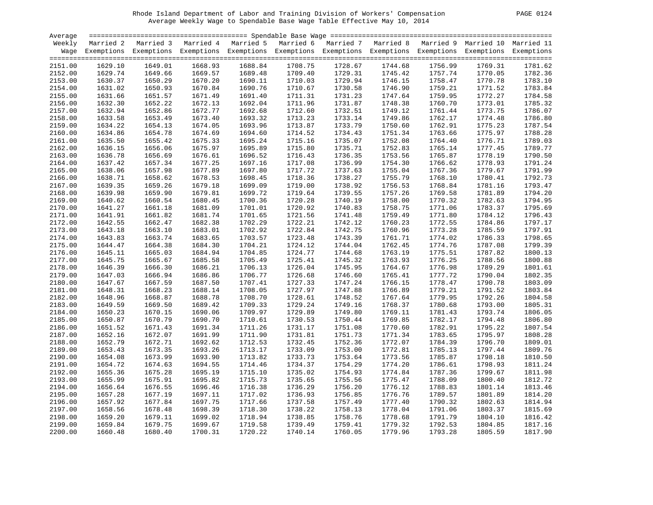| <sup>ን</sup> AGE | 1 |
|------------------|---|
|                  |   |

| Average |         |                                                                                                                    |         |         |         |         |         |         |         |                                                     |
|---------|---------|--------------------------------------------------------------------------------------------------------------------|---------|---------|---------|---------|---------|---------|---------|-----------------------------------------------------|
| Weekly  |         | Married 2 Married 3 Married 4 Married 5 Married 6                                                                  |         |         |         |         |         |         |         | Married 7 Married 8 Married 9 Married 10 Married 11 |
|         |         | Wage Exemptions Exemptions Exemptions Exemptions Exemptions Exemptions Exemptions Exemptions Exemptions Exemptions |         |         |         |         |         |         |         |                                                     |
| 2151.00 | 1629.10 | 1649.01                                                                                                            | 1668.93 | 1688.84 | 1708.75 | 1728.67 | 1744.68 | 1756.99 | 1769.31 | 1781.62                                             |
| 2152.00 | 1629.74 | 1649.66                                                                                                            | 1669.57 | 1689.48 | 1709.40 | 1729.31 | 1745.42 | 1757.74 | 1770.05 | 1782.36                                             |
| 2153.00 | 1630.37 | 1650.29                                                                                                            | 1670.20 | 1690.11 | 1710.03 | 1729.94 | 1746.15 | 1758.47 | 1770.78 | 1783.10                                             |
| 2154.00 | 1631.02 | 1650.93                                                                                                            | 1670.84 | 1690.76 | 1710.67 | 1730.58 | 1746.90 | 1759.21 | 1771.52 | 1783.84                                             |
| 2155.00 | 1631.66 | 1651.57                                                                                                            | 1671.49 | 1691.40 | 1711.31 | 1731.23 | 1747.64 | 1759.95 | 1772.27 | 1784.58                                             |
| 2156.00 | 1632.30 | 1652.22                                                                                                            | 1672.13 | 1692.04 | 1711.96 | 1731.87 | 1748.38 | 1760.70 | 1773.01 | 1785.32                                             |
| 2157.00 | 1632.94 | 1652.86                                                                                                            | 1672.77 | 1692.68 | 1712.60 | 1732.51 | 1749.12 | 1761.44 | 1773.75 | 1786.07                                             |
| 2158.00 | 1633.58 | 1653.49                                                                                                            | 1673.40 | 1693.32 | 1713.23 | 1733.14 | 1749.86 | 1762.17 | 1774.48 | 1786.80                                             |
| 2159.00 | 1634.22 | 1654.13                                                                                                            | 1674.05 | 1693.96 | 1713.87 | 1733.79 | 1750.60 | 1762.91 | 1775.23 | 1787.54                                             |
| 2160.00 | 1634.86 | 1654.78                                                                                                            | 1674.69 | 1694.60 | 1714.52 | 1734.43 | 1751.34 | 1763.66 | 1775.97 | 1788.28                                             |
| 2161.00 | 1635.50 | 1655.42                                                                                                            | 1675.33 | 1695.24 | 1715.16 | 1735.07 | 1752.08 | 1764.40 | 1776.71 | 1789.03                                             |
| 2162.00 | 1636.15 | 1656.06                                                                                                            | 1675.97 | 1695.89 | 1715.80 | 1735.71 | 1752.83 | 1765.14 | 1777.45 | 1789.77                                             |
| 2163.00 | 1636.78 | 1656.69                                                                                                            | 1676.61 | 1696.52 | 1716.43 | 1736.35 | 1753.56 | 1765.87 | 1778.19 | 1790.50                                             |
| 2164.00 | 1637.42 | 1657.34                                                                                                            | 1677.25 | 1697.16 | 1717.08 | 1736.99 | 1754.30 | 1766.62 | 1778.93 | 1791.24                                             |
| 2165.00 | 1638.06 | 1657.98                                                                                                            | 1677.89 | 1697.80 | 1717.72 | 1737.63 | 1755.04 | 1767.36 | 1779.67 | 1791.99                                             |
| 2166.00 | 1638.71 | 1658.62                                                                                                            | 1678.53 | 1698.45 | 1718.36 | 1738.27 | 1755.79 | 1768.10 | 1780.41 | 1792.73                                             |
| 2167.00 | 1639.35 | 1659.26                                                                                                            | 1679.18 | 1699.09 | 1719.00 | 1738.92 | 1756.53 | 1768.84 | 1781.16 | 1793.47                                             |
| 2168.00 | 1639.98 | 1659.90                                                                                                            | 1679.81 | 1699.72 | 1719.64 | 1739.55 | 1757.26 | 1769.58 | 1781.89 | 1794.20                                             |
| 2169.00 | 1640.62 | 1660.54                                                                                                            | 1680.45 | 1700.36 | 1720.28 | 1740.19 | 1758.00 | 1770.32 | 1782.63 | 1794.95                                             |
| 2170.00 | 1641.27 | 1661.18                                                                                                            | 1681.09 | 1701.01 | 1720.92 | 1740.83 | 1758.75 | 1771.06 | 1783.37 | 1795.69                                             |
| 2171.00 | 1641.91 | 1661.82                                                                                                            | 1681.74 | 1701.65 | 1721.56 | 1741.48 | 1759.49 | 1771.80 | 1784.12 | 1796.43                                             |
| 2172.00 | 1642.55 | 1662.47                                                                                                            | 1682.38 | 1702.29 | 1722.21 | 1742.12 | 1760.23 | 1772.55 | 1784.86 | 1797.17                                             |
| 2173.00 | 1643.18 | 1663.10                                                                                                            | 1683.01 | 1702.92 | 1722.84 | 1742.75 | 1760.96 | 1773.28 | 1785.59 | 1797.91                                             |
| 2174.00 | 1643.83 | 1663.74                                                                                                            | 1683.65 | 1703.57 | 1723.48 | 1743.39 | 1761.71 | 1774.02 | 1786.33 | 1798.65                                             |
| 2175.00 | 1644.47 | 1664.38                                                                                                            | 1684.30 | 1704.21 | 1724.12 | 1744.04 | 1762.45 | 1774.76 | 1787.08 | 1799.39                                             |
| 2176.00 | 1645.11 | 1665.03                                                                                                            | 1684.94 | 1704.85 | 1724.77 | 1744.68 | 1763.19 | 1775.51 | 1787.82 | 1800.13                                             |
| 2177.00 | 1645.75 | 1665.67                                                                                                            | 1685.58 | 1705.49 | 1725.41 | 1745.32 | 1763.93 | 1776.25 | 1788.56 | 1800.88                                             |
| 2178.00 | 1646.39 | 1666.30                                                                                                            | 1686.21 | 1706.13 | 1726.04 | 1745.95 | 1764.67 | 1776.98 | 1789.29 | 1801.61                                             |
| 2179.00 | 1647.03 | 1666.94                                                                                                            | 1686.86 | 1706.77 | 1726.68 | 1746.60 | 1765.41 | 1777.72 | 1790.04 | 1802.35                                             |
| 2180.00 | 1647.67 | 1667.59                                                                                                            | 1687.50 | 1707.41 | 1727.33 | 1747.24 | 1766.15 | 1778.47 | 1790.78 | 1803.09                                             |
| 2181.00 | 1648.31 | 1668.23                                                                                                            | 1688.14 | 1708.05 | 1727.97 | 1747.88 | 1766.89 | 1779.21 | 1791.52 | 1803.84                                             |
| 2182.00 | 1648.96 | 1668.87                                                                                                            | 1688.78 | 1708.70 | 1728.61 | 1748.52 | 1767.64 | 1779.95 | 1792.26 | 1804.58                                             |
| 2183.00 | 1649.59 | 1669.50                                                                                                            | 1689.42 | 1709.33 | 1729.24 | 1749.16 | 1768.37 | 1780.68 | 1793.00 | 1805.31                                             |
| 2184.00 | 1650.23 | 1670.15                                                                                                            | 1690.06 | 1709.97 | 1729.89 | 1749.80 | 1769.11 | 1781.43 | 1793.74 | 1806.05                                             |
| 2185.00 | 1650.87 | 1670.79                                                                                                            | 1690.70 | 1710.61 | 1730.53 | 1750.44 | 1769.85 | 1782.17 | 1794.48 | 1806.80                                             |
| 2186.00 | 1651.52 | 1671.43                                                                                                            | 1691.34 | 1711.26 | 1731.17 | 1751.08 | 1770.60 | 1782.91 | 1795.22 | 1807.54                                             |
| 2187.00 | 1652.16 | 1672.07                                                                                                            | 1691.99 | 1711.90 | 1731.81 | 1751.73 | 1771.34 | 1783.65 | 1795.97 | 1808.28                                             |
| 2188.00 | 1652.79 | 1672.71                                                                                                            | 1692.62 | 1712.53 | 1732.45 | 1752.36 | 1772.07 | 1784.39 | 1796.70 | 1809.01                                             |
| 2189.00 | 1653.43 | 1673.35                                                                                                            | 1693.26 | 1713.17 | 1733.09 | 1753.00 | 1772.81 | 1785.13 | 1797.44 | 1809.76                                             |
| 2190.00 | 1654.08 | 1673.99                                                                                                            | 1693.90 | 1713.82 | 1733.73 | 1753.64 | 1773.56 | 1785.87 | 1798.18 | 1810.50                                             |
| 2191.00 | 1654.72 | 1674.63                                                                                                            | 1694.55 | 1714.46 | 1734.37 | 1754.29 | 1774.20 | 1786.61 | 1798.93 | 1811.24                                             |
| 2192.00 | 1655.36 | 1675.28                                                                                                            | 1695.19 | 1715.10 | 1735.02 | 1754.93 | 1774.84 | 1787.36 | 1799.67 | 1811.98                                             |
| 2193.00 | 1655.99 | 1675.91                                                                                                            | 1695.82 | 1715.73 | 1735.65 | 1755.56 | 1775.47 | 1788.09 | 1800.40 | 1812.72                                             |
| 2194.00 | 1656.64 | 1676.55                                                                                                            | 1696.46 | 1716.38 | 1736.29 | 1756.20 | 1776.12 | 1788.83 | 1801.14 | 1813.46                                             |
| 2195.00 | 1657.28 | 1677.19                                                                                                            | 1697.11 | 1717.02 | 1736.93 | 1756.85 | 1776.76 | 1789.57 | 1801.89 | 1814.20                                             |
| 2196.00 | 1657.92 | 1677.84                                                                                                            | 1697.75 | 1717.66 | 1737.58 | 1757.49 | 1777.40 | 1790.32 | 1802.63 | 1814.94                                             |
| 2197.00 | 1658.56 | 1678.48                                                                                                            | 1698.39 | 1718.30 | 1738.22 | 1758.13 | 1778.04 | 1791.06 | 1803.37 | 1815.69                                             |
| 2198.00 | 1659.20 | 1679.11                                                                                                            | 1699.02 | 1718.94 | 1738.85 | 1758.76 | 1778.68 | 1791.79 | 1804.10 | 1816.42                                             |
| 2199.00 | 1659.84 | 1679.75                                                                                                            | 1699.67 | 1719.58 | 1739.49 | 1759.41 | 1779.32 | 1792.53 | 1804.85 | 1817.16                                             |
| 2200.00 | 1660.48 | 1680.40                                                                                                            | 1700.31 | 1720.22 | 1740.14 | 1760.05 | 1779.96 | 1793.28 | 1805.59 | 1817.90                                             |
|         |         |                                                                                                                    |         |         |         |         |         |         |         |                                                     |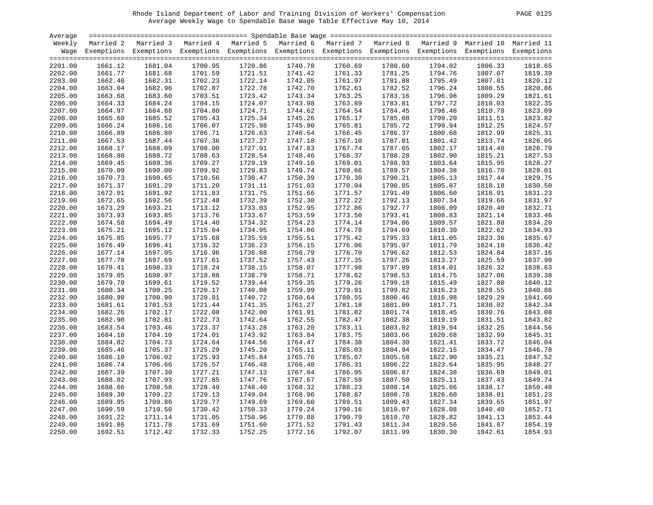| PAGE. | 01 |
|-------|----|
|       |    |

| Average |           |                                                                                                                    |         |         |                                                                                   |                    |         |         |         |         |
|---------|-----------|--------------------------------------------------------------------------------------------------------------------|---------|---------|-----------------------------------------------------------------------------------|--------------------|---------|---------|---------|---------|
| Weekly  | Married 2 | Married 3                                                                                                          |         |         | Married 4 Married 5 Married 6 Married 7 Married 8 Married 9 Married 10 Married 11 |                    |         |         |         |         |
|         |           | Wage Exemptions Exemptions Exemptions Exemptions Exemptions Exemptions Exemptions Exemptions Exemptions Exemptions |         |         |                                                                                   |                    |         |         |         |         |
|         |           |                                                                                                                    |         |         |                                                                                   |                    |         |         |         |         |
| 2201.00 | 1661.12   | 1681.04                                                                                                            | 1700.95 | 1720.86 | 1740.78                                                                           | 1760.69            | 1780.60 | 1794.02 | 1806.33 | 1818.65 |
| 2202.00 | 1661.77   | 1681.68                                                                                                            | 1701.59 | 1721.51 | 1741.42                                                                           | 1761.33            | 1781.25 | 1794.76 | 1807.07 | 1819.39 |
| 2203.00 | 1662.40   | 1682.31                                                                                                            | 1702.23 | 1722.14 | 1742.05                                                                           | 1761.97            | 1781.88 | 1795.49 | 1807.81 | 1820.12 |
| 2204.00 | 1663.04   | 1682.96                                                                                                            | 1702.87 | 1722.78 | 1742.70                                                                           | 1762.61            | 1782.52 | 1796.24 | 1808.55 | 1820.86 |
| 2205.00 | 1663.68   | 1683.60                                                                                                            | 1703.51 | 1723.42 | 1743.34                                                                           | 1763.25            | 1783.16 | 1796.98 | 1809.29 | 1821.61 |
| 2206.00 | 1664.33   | 1684.24                                                                                                            | 1704.15 | 1724.07 | 1743.98                                                                           | 1763.89            | 1783.81 | 1797.72 | 1810.03 | 1822.35 |
| 2207.00 | 1664.97   | 1684.88                                                                                                            | 1704.80 | 1724.71 | 1744.62                                                                           | 1764.54            | 1784.45 | 1798.46 | 1810.78 | 1823.09 |
| 2208.00 | 1665.60   | 1685.52                                                                                                            | 1705.43 | 1725.34 | 1745.26                                                                           | 1765.17            | 1785.08 | 1799.20 | 1811.51 | 1823.82 |
| 2209.00 | 1666.24   | 1686.16                                                                                                            | 1706.07 | 1725.98 | 1745.90                                                                           | 1765.81            | 1785.72 | 1799.94 | 1812.25 | 1824.57 |
| 2210.00 | 1666.89   | 1686.80                                                                                                            | 1706.71 | 1726.63 | 1746.54                                                                           | 1766.45            | 1786.37 | 1800.68 | 1812.99 | 1825.31 |
| 2211.00 | 1667.53   | 1687.44                                                                                                            | 1707.36 | 1727.27 | 1747.18                                                                           | 1767.10            | 1787.01 | 1801.42 | 1813.74 | 1826.05 |
| 2212.00 | 1668.17   | 1688.09                                                                                                            | 1708.00 | 1727.91 | 1747.83                                                                           | 1767.74            | 1787.65 | 1802.17 | 1814.48 | 1826.79 |
| 2213.00 | 1668.80   | 1688.72                                                                                                            | 1708.63 | 1728.54 | 1748.46                                                                           | 1768.37            | 1788.28 | 1802.90 | 1815.21 | 1827.53 |
| 2214.00 | 1669.45   | 1689.36                                                                                                            | 1709.27 | 1729.19 | 1749.10                                                                           | 1769.01            | 1788.93 | 1803.64 | 1815.95 | 1828.27 |
| 2215.00 | 1670.09   | 1690.00                                                                                                            | 1709.92 | 1729.83 | 1749.74                                                                           | 1769.66            | 1789.57 | 1804.38 | 1816.70 | 1829.01 |
| 2216.00 | 1670.73   | 1690.65                                                                                                            | 1710.56 | 1730.47 | 1750.39                                                                           | 1770.30            | 1790.21 | 1805.13 | 1817.44 | 1829.75 |
| 2217.00 | 1671.37   | 1691.29                                                                                                            | 1711.20 | 1731.11 | 1751.03                                                                           | 1770.94            | 1790.85 | 1805.87 | 1818.18 | 1830.50 |
| 2218.00 | 1672.01   | 1691.92                                                                                                            | 1711.83 | 1731.75 | 1751.66                                                                           | 1771.57            | 1791.49 | 1806.60 | 1818.91 | 1831.23 |
| 2219.00 | 1672.65   | 1692.56                                                                                                            | 1712.48 | 1732.39 | 1752.30                                                                           | 1772.22            | 1792.13 | 1807.34 | 1819.66 | 1831.97 |
| 2220.00 | 1673.29   | 1693.21                                                                                                            | 1713.12 | 1733.03 | 1752.95                                                                           | 1772.86            | 1792.77 | 1808.09 | 1820.40 | 1832.71 |
| 2221.00 | 1673.93   | 1693.85                                                                                                            | 1713.76 | 1733.67 | 1753.59                                                                           | 1773.50            | 1793.41 | 1808.83 | 1821.14 | 1833.46 |
|         | 1674.58   | 1694.49                                                                                                            | 1714.40 | 1734.32 | 1754.23                                                                           | 1774.14            | 1794.06 | 1809.57 | 1821.88 | 1834.20 |
| 2222.00 | 1675.21   | 1695.12                                                                                                            | 1715.04 | 1734.95 | 1754.86                                                                           | 1774.78            | 1794.69 | 1810.30 |         | 1834.93 |
| 2223.00 |           | 1695.77                                                                                                            | 1715.68 | 1735.59 |                                                                                   |                    |         |         | 1822.62 | 1835.67 |
| 2224.00 | 1675.85   |                                                                                                                    |         | 1736.23 | 1755.51                                                                           | 1775.42<br>1776.06 | 1795.33 | 1811.05 | 1823.36 | 1836.42 |
| 2225.00 | 1676.49   | 1696.41                                                                                                            | 1716.32 |         | 1756.15                                                                           |                    | 1795.97 | 1811.79 | 1824.10 |         |
| 2226.00 | 1677.14   | 1697.05                                                                                                            | 1716.96 | 1736.88 | 1756.79                                                                           | 1776.70            | 1796.62 | 1812.53 | 1824.84 | 1837.16 |
| 2227.00 | 1677.78   | 1697.69                                                                                                            | 1717.61 | 1737.52 | 1757.43                                                                           | 1777.35            | 1797.26 | 1813.27 | 1825.59 | 1837.90 |
| 2228.00 | 1678.41   | 1698.33                                                                                                            | 1718.24 | 1738.15 | 1758.07                                                                           | 1777.98            | 1797.89 | 1814.01 | 1826.32 | 1838.63 |
| 2229.00 | 1679.05   | 1698.97                                                                                                            | 1718.88 | 1738.79 | 1758.71                                                                           | 1778.62            | 1798.53 | 1814.75 | 1827.06 | 1839.38 |
| 2230.00 | 1679.70   | 1699.61                                                                                                            | 1719.52 | 1739.44 | 1759.35                                                                           | 1779.26            | 1799.18 | 1815.49 | 1827.80 | 1840.12 |
| 2231.00 | 1680.34   | 1700.25                                                                                                            | 1720.17 | 1740.08 | 1759.99                                                                           | 1779.91            | 1799.82 | 1816.23 | 1828.55 | 1840.86 |
| 2232.00 | 1680.98   | 1700.90                                                                                                            | 1720.81 | 1740.72 | 1760.64                                                                           | 1780.55            | 1800.46 | 1816.98 | 1829.29 | 1841.60 |
| 2233.00 | 1681.61   | 1701.53                                                                                                            | 1721.44 | 1741.35 | 1761.27                                                                           | 1781.18            | 1801.09 | 1817.71 | 1830.02 | 1842.34 |
| 2234.00 | 1682.26   | 1702.17                                                                                                            | 1722.08 | 1742.00 | 1761.91                                                                           | 1781.82            | 1801.74 | 1818.45 | 1830.76 | 1843.08 |
| 2235.00 | 1682.90   | 1702.81                                                                                                            | 1722.73 | 1742.64 | 1762.55                                                                           | 1782.47            | 1802.38 | 1819.19 | 1831.51 | 1843.82 |
| 2236.00 | 1683.54   | 1703.46                                                                                                            | 1723.37 | 1743.28 | 1763.20                                                                           | 1783.11            | 1803.02 | 1819.94 | 1832.25 | 1844.56 |
| 2237.00 | 1684.18   | 1704.10                                                                                                            | 1724.01 | 1743.92 | 1763.84                                                                           | 1783.75            | 1803.66 | 1820.68 | 1832.99 | 1845.31 |
| 2238.00 | 1684.82   | 1704.73                                                                                                            | 1724.64 | 1744.56 | 1764.47                                                                           | 1784.38            | 1804.30 | 1821.41 | 1833.72 | 1846.04 |
| 2239.00 | 1685.46   | 1705.37                                                                                                            | 1725.29 | 1745.20 | 1765.11                                                                           | 1785.03            | 1804.94 | 1822.15 | 1834.47 | 1846.78 |
| 2240.00 | 1686.10   | 1706.02                                                                                                            | 1725.93 | 1745.84 | 1765.76                                                                           | 1785.67            | 1805.58 | 1822.90 | 1835.21 | 1847.52 |
| 2241.00 | 1686.74   | 1706.66                                                                                                            | 1726.57 | 1746.48 | 1766.40                                                                           | 1786.31            | 1806.22 | 1823.64 | 1835.95 | 1848.27 |
| 2242.00 | 1687.39   | 1707.30                                                                                                            | 1727.21 | 1747.13 | 1767.04                                                                           | 1786.95            | 1806.87 | 1824.38 | 1836.69 | 1849.01 |
| 2243.00 | 1688.02   | 1707.93                                                                                                            | 1727.85 | 1747.76 | 1767.67                                                                           | 1787.59            | 1807.50 | 1825.11 | 1837.43 | 1849.74 |
| 2244.00 | 1688.66   | 1708.58                                                                                                            | 1728.49 | 1748.40 | 1768.32                                                                           | 1788.23            | 1808.14 | 1825.86 | 1838.17 | 1850.48 |
| 2245.00 | 1689.30   | 1709.22                                                                                                            | 1729.13 | 1749.04 | 1768.96                                                                           | 1788.87            | 1808.78 | 1826.60 | 1838.91 | 1851.23 |
| 2246.00 | 1689.95   | 1709.86                                                                                                            | 1729.77 | 1749.69 | 1769.60                                                                           | 1789.51            | 1809.43 | 1827.34 | 1839.65 | 1851.97 |
| 2247.00 | 1690.59   | 1710.50                                                                                                            | 1730.42 | 1750.33 | 1770.24                                                                           | 1790.16            | 1810.07 | 1828.08 | 1840.40 | 1852.71 |
| 2248.00 | 1691.22   | 1711.14                                                                                                            | 1731.05 | 1750.96 | 1770.88                                                                           | 1790.79            | 1810.70 | 1828.82 | 1841.13 | 1853.44 |
| 2249.00 | 1691.86   | 1711.78                                                                                                            | 1731.69 | 1751.60 | 1771.52                                                                           | 1791.43            | 1811.34 | 1829.56 | 1841.87 | 1854.19 |
| 2250.00 | 1692.51   | 1712.42                                                                                                            | 1732.33 | 1752.25 | 1772.16                                                                           | 1792.07            | 1811.99 | 1830.30 | 1842.61 | 1854.93 |
|         |           |                                                                                                                    |         |         |                                                                                   |                    |         |         |         |         |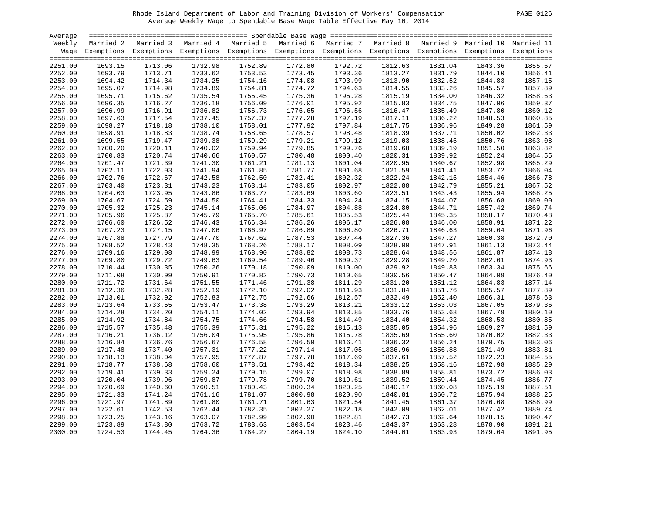| <b>PAGE</b> | 0126 |
|-------------|------|
|             |      |

| Average |           |                                                                                                                    |         |         |         |         |                    |         |         |         |
|---------|-----------|--------------------------------------------------------------------------------------------------------------------|---------|---------|---------|---------|--------------------|---------|---------|---------|
| Weekly  | Married 2 | Married 3 Married 4 Married 5 Married 6 Married 7 Married 8 Married 9 Married 10 Married 11                        |         |         |         |         |                    |         |         |         |
|         |           | Wage Exemptions Exemptions Exemptions Exemptions Exemptions Exemptions Exemptions Exemptions Exemptions Exemptions |         |         |         |         |                    |         |         |         |
|         |           |                                                                                                                    |         |         |         |         |                    |         |         |         |
| 2251.00 | 1693.15   | 1713.06                                                                                                            | 1732.98 | 1752.89 | 1772.80 | 1792.72 | 1812.63            | 1831.04 | 1843.36 | 1855.67 |
| 2252.00 | 1693.79   | 1713.71                                                                                                            | 1733.62 | 1753.53 | 1773.45 | 1793.36 | 1813.27            | 1831.79 | 1844.10 | 1856.41 |
| 2253.00 | 1694.42   | 1714.34                                                                                                            | 1734.25 | 1754.16 | 1774.08 | 1793.99 | 1813.90            | 1832.52 | 1844.83 | 1857.15 |
| 2254.00 | 1695.07   | 1714.98                                                                                                            | 1734.89 | 1754.81 | 1774.72 | 1794.63 | 1814.55            | 1833.26 | 1845.57 | 1857.89 |
| 2255.00 | 1695.71   | 1715.62                                                                                                            | 1735.54 | 1755.45 | 1775.36 | 1795.28 | 1815.19            | 1834.00 | 1846.32 | 1858.63 |
| 2256.00 | 1696.35   | 1716.27                                                                                                            | 1736.18 | 1756.09 | 1776.01 | 1795.92 | 1815.83            | 1834.75 | 1847.06 | 1859.37 |
| 2257.00 | 1696.99   | 1716.91                                                                                                            | 1736.82 | 1756.73 | 1776.65 | 1796.56 | 1816.47            | 1835.49 | 1847.80 | 1860.12 |
| 2258.00 | 1697.63   | 1717.54                                                                                                            | 1737.45 | 1757.37 | 1777.28 | 1797.19 | 1817.11            | 1836.22 | 1848.53 | 1860.85 |
| 2259.00 | 1698.27   | 1718.18                                                                                                            | 1738.10 | 1758.01 | 1777.92 | 1797.84 | 1817.75            | 1836.96 | 1849.28 | 1861.59 |
| 2260.00 | 1698.91   | 1718.83                                                                                                            | 1738.74 | 1758.65 | 1778.57 | 1798.48 | 1818.39            | 1837.71 | 1850.02 | 1862.33 |
| 2261.00 | 1699.55   | 1719.47                                                                                                            | 1739.38 | 1759.29 | 1779.21 | 1799.12 | 1819.03            | 1838.45 | 1850.76 | 1863.08 |
| 2262.00 | 1700.20   | 1720.11                                                                                                            | 1740.02 | 1759.94 | 1779.85 | 1799.76 | 1819.68            | 1839.19 | 1851.50 | 1863.82 |
| 2263.00 | 1700.83   | 1720.74                                                                                                            | 1740.66 | 1760.57 | 1780.48 | 1800.40 | 1820.31            | 1839.92 | 1852.24 | 1864.55 |
| 2264.00 | 1701.47   | 1721.39                                                                                                            | 1741.30 | 1761.21 | 1781.13 | 1801.04 | 1820.95            | 1840.67 | 1852.98 | 1865.29 |
| 2265.00 | 1702.11   | 1722.03                                                                                                            | 1741.94 | 1761.85 | 1781.77 | 1801.68 | 1821.59            | 1841.41 | 1853.72 | 1866.04 |
| 2266.00 | 1702.76   | 1722.67                                                                                                            | 1742.58 | 1762.50 | 1782.41 | 1802.32 | 1822.24            | 1842.15 | 1854.46 | 1866.78 |
| 2267.00 | 1703.40   | 1723.31                                                                                                            | 1743.23 | 1763.14 | 1783.05 | 1802.97 | 1822.88            | 1842.79 | 1855.21 | 1867.52 |
| 2268.00 | 1704.03   | 1723.95                                                                                                            | 1743.86 | 1763.77 | 1783.69 | 1803.60 | 1823.51            | 1843.43 | 1855.94 | 1868.25 |
| 2269.00 | 1704.67   | 1724.59                                                                                                            | 1744.50 | 1764.41 | 1784.33 | 1804.24 | 1824.15            | 1844.07 | 1856.68 | 1869.00 |
| 2270.00 | 1705.32   | 1725.23                                                                                                            | 1745.14 | 1765.06 | 1784.97 | 1804.88 | 1824.80            | 1844.71 | 1857.42 | 1869.74 |
| 2271.00 | 1705.96   | 1725.87                                                                                                            | 1745.79 | 1765.70 | 1785.61 | 1805.53 | 1825.44            | 1845.35 | 1858.17 | 1870.48 |
| 2272.00 | 1706.60   | 1726.52                                                                                                            | 1746.43 | 1766.34 | 1786.26 | 1806.17 | 1826.08            | 1846.00 | 1858.91 | 1871.22 |
| 2273.00 | 1707.23   | 1727.15                                                                                                            | 1747.06 | 1766.97 | 1786.89 | 1806.80 | 1826.71            | 1846.63 | 1859.64 | 1871.96 |
| 2274.00 | 1707.88   | 1727.79                                                                                                            | 1747.70 | 1767.62 | 1787.53 | 1807.44 | 1827.36            | 1847.27 | 1860.38 | 1872.70 |
| 2275.00 | 1708.52   | 1728.43                                                                                                            | 1748.35 | 1768.26 | 1788.17 | 1808.09 | 1828.00            | 1847.91 | 1861.13 | 1873.44 |
|         | 1709.16   | 1729.08                                                                                                            | 1748.99 | 1768.90 | 1788.82 |         | 1828.64            | 1848.56 |         | 1874.18 |
| 2276.00 |           |                                                                                                                    |         |         |         | 1808.73 |                    |         | 1861.87 | 1874.93 |
| 2277.00 | 1709.80   | 1729.72<br>1730.35                                                                                                 | 1749.63 | 1769.54 | 1789.46 | 1809.37 | 1829.28<br>1829.92 | 1849.20 | 1862.61 |         |
| 2278.00 | 1710.44   |                                                                                                                    | 1750.26 | 1770.18 | 1790.09 | 1810.00 |                    | 1849.83 | 1863.34 | 1875.66 |
| 2279.00 | 1711.08   | 1730.99                                                                                                            | 1750.91 | 1770.82 | 1790.73 | 1810.65 | 1830.56            | 1850.47 | 1864.09 | 1876.40 |
| 2280.00 | 1711.72   | 1731.64                                                                                                            | 1751.55 | 1771.46 | 1791.38 | 1811.29 | 1831.20            | 1851.12 | 1864.83 | 1877.14 |
| 2281.00 | 1712.36   | 1732.28                                                                                                            | 1752.19 | 1772.10 | 1792.02 | 1811.93 | 1831.84            | 1851.76 | 1865.57 | 1877.89 |
| 2282.00 | 1713.01   | 1732.92                                                                                                            | 1752.83 | 1772.75 | 1792.66 | 1812.57 | 1832.49            | 1852.40 | 1866.31 | 1878.63 |
| 2283.00 | 1713.64   | 1733.55                                                                                                            | 1753.47 | 1773.38 | 1793.29 | 1813.21 | 1833.12            | 1853.03 | 1867.05 | 1879.36 |
| 2284.00 | 1714.28   | 1734.20                                                                                                            | 1754.11 | 1774.02 | 1793.94 | 1813.85 | 1833.76            | 1853.68 | 1867.79 | 1880.10 |
| 2285.00 | 1714.92   | 1734.84                                                                                                            | 1754.75 | 1774.66 | 1794.58 | 1814.49 | 1834.40            | 1854.32 | 1868.53 | 1880.85 |
| 2286.00 | 1715.57   | 1735.48                                                                                                            | 1755.39 | 1775.31 | 1795.22 | 1815.13 | 1835.05            | 1854.96 | 1869.27 | 1881.59 |
| 2287.00 | 1716.21   | 1736.12                                                                                                            | 1756.04 | 1775.95 | 1795.86 | 1815.78 | 1835.69            | 1855.60 | 1870.02 | 1882.33 |
| 2288.00 | 1716.84   | 1736.76                                                                                                            | 1756.67 | 1776.58 | 1796.50 | 1816.41 | 1836.32            | 1856.24 | 1870.75 | 1883.06 |
| 2289.00 | 1717.48   | 1737.40                                                                                                            | 1757.31 | 1777.22 | 1797.14 | 1817.05 | 1836.96            | 1856.88 | 1871.49 | 1883.81 |
| 2290.00 | 1718.13   | 1738.04                                                                                                            | 1757.95 | 1777.87 | 1797.78 | 1817.69 | 1837.61            | 1857.52 | 1872.23 | 1884.55 |
| 2291.00 | 1718.77   | 1738.68                                                                                                            | 1758.60 | 1778.51 | 1798.42 | 1818.34 | 1838.25            | 1858.16 | 1872.98 | 1885.29 |
| 2292.00 | 1719.41   | 1739.33                                                                                                            | 1759.24 | 1779.15 | 1799.07 | 1818.98 | 1838.89            | 1858.81 | 1873.72 | 1886.03 |
| 2293.00 | 1720.04   | 1739.96                                                                                                            | 1759.87 | 1779.78 | 1799.70 | 1819.61 | 1839.52            | 1859.44 | 1874.45 | 1886.77 |
| 2294.00 | 1720.69   | 1740.60                                                                                                            | 1760.51 | 1780.43 | 1800.34 | 1820.25 | 1840.17            | 1860.08 | 1875.19 | 1887.51 |
| 2295.00 | 1721.33   | 1741.24                                                                                                            | 1761.16 | 1781.07 | 1800.98 | 1820.90 | 1840.81            | 1860.72 | 1875.94 | 1888.25 |
| 2296.00 | 1721.97   | 1741.89                                                                                                            | 1761.80 | 1781.71 | 1801.63 | 1821.54 | 1841.45            | 1861.37 | 1876.68 | 1888.99 |
| 2297.00 | 1722.61   | 1742.53                                                                                                            | 1762.44 | 1782.35 | 1802.27 | 1822.18 | 1842.09            | 1862.01 | 1877.42 | 1889.74 |
| 2298.00 | 1723.25   | 1743.16                                                                                                            | 1763.07 | 1782.99 | 1802.90 | 1822.81 | 1842.73            | 1862.64 | 1878.15 | 1890.47 |
| 2299.00 | 1723.89   | 1743.80                                                                                                            | 1763.72 | 1783.63 | 1803.54 | 1823.46 | 1843.37            | 1863.28 | 1878.90 | 1891.21 |
| 2300.00 | 1724.53   | 1744.45                                                                                                            | 1764.36 | 1784.27 | 1804.19 | 1824.10 | 1844.01            | 1863.93 | 1879.64 | 1891.95 |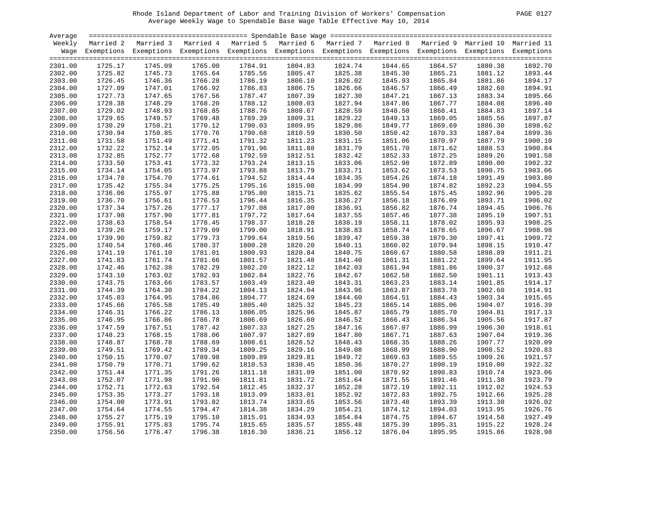| Average |         |                                                                                                                    |         |         |         |         |         |         |         |                                                     |
|---------|---------|--------------------------------------------------------------------------------------------------------------------|---------|---------|---------|---------|---------|---------|---------|-----------------------------------------------------|
| Weekly  |         | Married 2 Married 3 Married 4 Married 5 Married 6                                                                  |         |         |         |         |         |         |         | Married 7 Married 8 Married 9 Married 10 Married 11 |
|         |         | Wage Exemptions Exemptions Exemptions Exemptions Exemptions Exemptions Exemptions Exemptions Exemptions Exemptions |         |         |         |         |         |         |         |                                                     |
|         |         |                                                                                                                    |         |         |         |         |         |         |         |                                                     |
| 2301.00 | 1725.17 | 1745.09                                                                                                            | 1765.00 | 1784.91 | 1804.83 | 1824.74 | 1844.65 | 1864.57 | 1880.38 | 1892.70                                             |
| 2302.00 | 1725.82 | 1745.73                                                                                                            | 1765.64 | 1785.56 | 1805.47 | 1825.38 | 1845.30 | 1865.21 | 1881.12 | 1893.44                                             |
| 2303.00 | 1726.45 | 1746.36                                                                                                            | 1766.28 | 1786.19 | 1806.10 | 1826.02 | 1845.93 | 1865.84 | 1881.86 | 1894.17                                             |
| 2304.00 | 1727.09 | 1747.01                                                                                                            | 1766.92 | 1786.83 | 1806.75 | 1826.66 | 1846.57 | 1866.49 | 1882.60 | 1894.91                                             |
| 2305.00 | 1727.73 | 1747.65                                                                                                            | 1767.56 | 1787.47 | 1807.39 | 1827.30 | 1847.21 | 1867.13 | 1883.34 | 1895.66                                             |
| 2306.00 | 1728.38 | 1748.29                                                                                                            | 1768.20 | 1788.12 | 1808.03 | 1827.94 | 1847.86 | 1867.77 | 1884.08 | 1896.40                                             |
| 2307.00 | 1729.02 | 1748.93                                                                                                            | 1768.85 | 1788.76 | 1808.67 | 1828.59 | 1848.50 | 1868.41 | 1884.83 | 1897.14                                             |
| 2308.00 | 1729.65 | 1749.57                                                                                                            | 1769.48 | 1789.39 | 1809.31 | 1829.22 | 1849.13 | 1869.05 | 1885.56 | 1897.87                                             |
| 2309.00 | 1730.29 | 1750.21                                                                                                            | 1770.12 | 1790.03 | 1809.95 | 1829.86 | 1849.77 | 1869.69 | 1886.30 | 1898.62                                             |
| 2310.00 | 1730.94 | 1750.85                                                                                                            | 1770.76 | 1790.68 | 1810.59 | 1830.50 | 1850.42 | 1870.33 | 1887.04 | 1899.36                                             |
| 2311.00 | 1731.58 | 1751.49                                                                                                            | 1771.41 | 1791.32 | 1811.23 | 1831.15 | 1851.06 | 1870.97 | 1887.79 | 1900.10                                             |
| 2312.00 | 1732.22 | 1752.14                                                                                                            | 1772.05 | 1791.96 | 1811.88 | 1831.79 | 1851.70 | 1871.62 | 1888.53 | 1900.84                                             |
| 2313.00 | 1732.85 | 1752.77                                                                                                            | 1772.68 | 1792.59 | 1812.51 | 1832.42 | 1852.33 | 1872.25 | 1889.26 | 1901.58                                             |
| 2314.00 | 1733.50 | 1753.41                                                                                                            | 1773.32 | 1793.24 | 1813.15 | 1833.06 | 1852.98 | 1872.89 | 1890.00 | 1902.32                                             |
| 2315.00 | 1734.14 | 1754.05                                                                                                            | 1773.97 | 1793.88 | 1813.79 | 1833.71 | 1853.62 | 1873.53 | 1890.75 | 1903.06                                             |
| 2316.00 | 1734.78 | 1754.70                                                                                                            | 1774.61 | 1794.52 | 1814.44 | 1834.35 | 1854.26 | 1874.18 | 1891.49 | 1903.80                                             |
| 2317.00 | 1735.42 | 1755.34                                                                                                            | 1775.25 | 1795.16 | 1815.08 | 1834.99 | 1854.90 | 1874.82 | 1892.23 | 1904.55                                             |
| 2318.00 | 1736.06 | 1755.97                                                                                                            | 1775.88 | 1795.80 | 1815.71 | 1835.62 | 1855.54 | 1875.45 | 1892.96 | 1905.28                                             |
| 2319.00 | 1736.70 | 1756.61                                                                                                            | 1776.53 | 1796.44 | 1816.35 | 1836.27 | 1856.18 | 1876.09 | 1893.71 | 1906.02                                             |
| 2320.00 | 1737.34 | 1757.26                                                                                                            | 1777.17 | 1797.08 | 1817.00 | 1836.91 | 1856.82 | 1876.74 | 1894.45 | 1906.76                                             |
| 2321.00 | 1737.98 | 1757.90                                                                                                            | 1777.81 | 1797.72 | 1817.64 | 1837.55 | 1857.46 | 1877.38 | 1895.19 | 1907.51                                             |
| 2322.00 | 1738.63 | 1758.54                                                                                                            | 1778.45 | 1798.37 | 1818.28 | 1838.19 | 1858.11 | 1878.02 | 1895.93 | 1908.25                                             |
| 2323.00 | 1739.26 | 1759.17                                                                                                            | 1779.09 | 1799.00 | 1818.91 | 1838.83 | 1858.74 | 1878.65 | 1896.67 | 1908.98                                             |
| 2324.00 | 1739.90 | 1759.82                                                                                                            | 1779.73 | 1799.64 | 1819.56 | 1839.47 | 1859.38 | 1879.30 | 1897.41 | 1909.72                                             |
| 2325.00 | 1740.54 | 1760.46                                                                                                            | 1780.37 | 1800.28 | 1820.20 | 1840.11 | 1860.02 | 1879.94 | 1898.15 | 1910.47                                             |
| 2326.00 | 1741.19 | 1761.10                                                                                                            | 1781.01 | 1800.93 | 1820.84 | 1840.75 | 1860.67 | 1880.58 | 1898.89 | 1911.21                                             |
| 2327.00 | 1741.83 | 1761.74                                                                                                            | 1781.66 | 1801.57 | 1821.48 | 1841.40 | 1861.31 | 1881.22 | 1899.64 | 1911.95                                             |
| 2328.00 | 1742.46 | 1762.38                                                                                                            | 1782.29 | 1802.20 | 1822.12 | 1842.03 | 1861.94 | 1881.86 | 1900.37 | 1912.68                                             |
| 2329.00 | 1743.10 | 1763.02                                                                                                            | 1782.93 | 1802.84 | 1822.76 | 1842.67 | 1862.58 | 1882.50 | 1901.11 | 1913.43                                             |
| 2330.00 | 1743.75 | 1763.66                                                                                                            | 1783.57 | 1803.49 | 1823.40 | 1843.31 | 1863.23 | 1883.14 | 1901.85 | 1914.17                                             |
| 2331.00 | 1744.39 | 1764.30                                                                                                            | 1784.22 | 1804.13 | 1824.04 | 1843.96 | 1863.87 | 1883.78 | 1902.60 | 1914.91                                             |
| 2332.00 | 1745.03 | 1764.95                                                                                                            | 1784.86 | 1804.77 | 1824.69 | 1844.60 | 1864.51 | 1884.43 | 1903.34 | 1915.65                                             |
| 2333.00 | 1745.66 | 1765.58                                                                                                            | 1785.49 | 1805.40 | 1825.32 | 1845.23 | 1865.14 | 1885.06 | 1904.07 | 1916.39                                             |
| 2334.00 | 1746.31 | 1766.22                                                                                                            | 1786.13 | 1806.05 | 1825.96 | 1845.87 | 1865.79 | 1885.70 | 1904.81 | 1917.13                                             |
|         | 1746.95 | 1766.86                                                                                                            | 1786.78 | 1806.69 | 1826.60 | 1846.52 | 1866.43 | 1886.34 | 1905.56 | 1917.87                                             |
| 2335.00 | 1747.59 | 1767.51                                                                                                            | 1787.42 | 1807.33 | 1827.25 | 1847.16 | 1867.07 | 1886.99 | 1906.30 | 1918.61                                             |
| 2336.00 | 1748.23 | 1768.15                                                                                                            |         | 1807.97 | 1827.89 |         |         |         |         | 1919.36                                             |
| 2337.00 |         |                                                                                                                    | 1788.06 |         |         | 1847.80 | 1867.71 | 1887.63 | 1907.04 | 1920.09                                             |
| 2338.00 | 1748.87 | 1768.78                                                                                                            | 1788.69 | 1808.61 | 1828.52 | 1848.43 | 1868.35 | 1888.26 | 1907.77 |                                                     |
| 2339.00 | 1749.51 | 1769.42                                                                                                            | 1789.34 | 1809.25 | 1829.16 | 1849.08 | 1868.99 | 1888.90 | 1908.52 | 1920.83                                             |
| 2340.00 | 1750.15 | 1770.07                                                                                                            | 1789.98 | 1809.89 | 1829.81 | 1849.72 | 1869.63 | 1889.55 | 1909.26 | 1921.57                                             |
| 2341.00 | 1750.79 | 1770.71                                                                                                            | 1790.62 | 1810.53 | 1830.45 | 1850.36 | 1870.27 | 1890.19 | 1910.00 | 1922.32                                             |
| 2342.00 | 1751.44 | 1771.35                                                                                                            | 1791.26 | 1811.18 | 1831.09 | 1851.00 | 1870.92 | 1890.83 | 1910.74 | 1923.06                                             |
| 2343.00 | 1752.07 | 1771.98                                                                                                            | 1791.90 | 1811.81 | 1831.72 | 1851.64 | 1871.55 | 1891.46 | 1911.38 | 1923.79                                             |
| 2344.00 | 1752.71 | 1772.63                                                                                                            | 1792.54 | 1812.45 | 1832.37 | 1852.28 | 1872.19 | 1892.11 | 1912.02 | 1924.53                                             |
| 2345.00 | 1753.35 | 1773.27                                                                                                            | 1793.18 | 1813.09 | 1833.01 | 1852.92 | 1872.83 | 1892.75 | 1912.66 | 1925.28                                             |
| 2346.00 | 1754.00 | 1773.91                                                                                                            | 1793.82 | 1813.74 | 1833.65 | 1853.56 | 1873.48 | 1893.39 | 1913.30 | 1926.02                                             |
| 2347.00 | 1754.64 | 1774.55                                                                                                            | 1794.47 | 1814.38 | 1834.29 | 1854.21 | 1874.12 | 1894.03 | 1913.95 | 1926.76                                             |
| 2348.00 | 1755.27 | 1775.19                                                                                                            | 1795.10 | 1815.01 | 1834.93 | 1854.84 | 1874.75 | 1894.67 | 1914.58 | 1927.49                                             |
| 2349.00 | 1755.91 | 1775.83                                                                                                            | 1795.74 | 1815.65 | 1835.57 | 1855.48 | 1875.39 | 1895.31 | 1915.22 | 1928.24                                             |
| 2350.00 | 1756.56 | 1776.47                                                                                                            | 1796.38 | 1816.30 | 1836.21 | 1856.12 | 1876.04 | 1895.95 | 1915.86 | 1928.98                                             |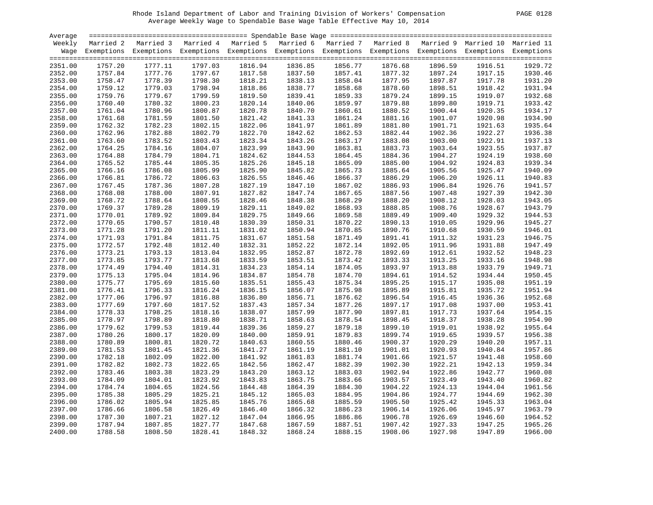| PAGE | 0128 |
|------|------|
|      |      |

| Average |         |                                                                                                                    |         |         |         |         |         |         |         |         |
|---------|---------|--------------------------------------------------------------------------------------------------------------------|---------|---------|---------|---------|---------|---------|---------|---------|
| Weekly  |         | Married 2 Married 3 Married 4 Married 5 Married 6 Married 7 Married 8 Married 9 Married 10 Married 11              |         |         |         |         |         |         |         |         |
|         |         | Wage Exemptions Exemptions Exemptions Exemptions Exemptions Exemptions Exemptions Exemptions Exemptions Exemptions |         |         |         |         |         |         |         |         |
| 2351.00 | 1757.20 | 1777.11                                                                                                            | 1797.03 | 1816.94 | 1836.85 | 1856.77 | 1876.68 | 1896.59 | 1916.51 | 1929.72 |
| 2352.00 | 1757.84 | 1777.76                                                                                                            | 1797.67 | 1817.58 | 1837.50 | 1857.41 | 1877.32 | 1897.24 | 1917.15 | 1930.46 |
| 2353.00 | 1758.47 | 1778.39                                                                                                            | 1798.30 | 1818.21 | 1838.13 | 1858.04 | 1877.95 | 1897.87 | 1917.78 | 1931.20 |
| 2354.00 | 1759.12 | 1779.03                                                                                                            | 1798.94 | 1818.86 | 1838.77 | 1858.68 | 1878.60 | 1898.51 | 1918.42 | 1931.94 |
| 2355.00 | 1759.76 | 1779.67                                                                                                            | 1799.59 | 1819.50 | 1839.41 | 1859.33 | 1879.24 | 1899.15 | 1919.07 | 1932.68 |
| 2356.00 | 1760.40 | 1780.32                                                                                                            | 1800.23 | 1820.14 | 1840.06 | 1859.97 | 1879.88 | 1899.80 | 1919.71 | 1933.42 |
| 2357.00 | 1761.04 | 1780.96                                                                                                            | 1800.87 | 1820.78 | 1840.70 | 1860.61 | 1880.52 | 1900.44 | 1920.35 | 1934.17 |
| 2358.00 | 1761.68 | 1781.59                                                                                                            | 1801.50 | 1821.42 | 1841.33 | 1861.24 | 1881.16 | 1901.07 | 1920.98 | 1934.90 |
| 2359.00 | 1762.32 | 1782.23                                                                                                            | 1802.15 | 1822.06 | 1841.97 | 1861.89 | 1881.80 | 1901.71 | 1921.63 | 1935.64 |
| 2360.00 | 1762.96 | 1782.88                                                                                                            | 1802.79 | 1822.70 | 1842.62 | 1862.53 | 1882.44 | 1902.36 | 1922.27 | 1936.38 |
| 2361.00 | 1763.60 | 1783.52                                                                                                            | 1803.43 | 1823.34 | 1843.26 | 1863.17 | 1883.08 | 1903.00 | 1922.91 | 1937.13 |
| 2362.00 | 1764.25 | 1784.16                                                                                                            | 1804.07 | 1823.99 | 1843.90 | 1863.81 | 1883.73 | 1903.64 | 1923.55 | 1937.87 |
| 2363.00 | 1764.88 | 1784.79                                                                                                            | 1804.71 | 1824.62 | 1844.53 | 1864.45 | 1884.36 | 1904.27 | 1924.19 | 1938.60 |
| 2364.00 | 1765.52 | 1785.44                                                                                                            | 1805.35 | 1825.26 | 1845.18 | 1865.09 | 1885.00 | 1904.92 | 1924.83 | 1939.34 |
| 2365.00 | 1766.16 | 1786.08                                                                                                            | 1805.99 | 1825.90 | 1845.82 | 1865.73 | 1885.64 | 1905.56 | 1925.47 | 1940.09 |
| 2366.00 | 1766.81 | 1786.72                                                                                                            | 1806.63 | 1826.55 | 1846.46 | 1866.37 | 1886.29 | 1906.20 | 1926.11 | 1940.83 |
| 2367.00 | 1767.45 | 1787.36                                                                                                            | 1807.28 | 1827.19 | 1847.10 | 1867.02 | 1886.93 | 1906.84 | 1926.76 | 1941.57 |
| 2368.00 | 1768.08 | 1788.00                                                                                                            | 1807.91 | 1827.82 | 1847.74 | 1867.65 | 1887.56 | 1907.48 | 1927.39 | 1942.30 |
| 2369.00 | 1768.72 | 1788.64                                                                                                            | 1808.55 | 1828.46 | 1848.38 | 1868.29 | 1888.20 | 1908.12 | 1928.03 | 1943.05 |
| 2370.00 | 1769.37 | 1789.28                                                                                                            | 1809.19 | 1829.11 | 1849.02 | 1868.93 | 1888.85 | 1908.76 | 1928.67 | 1943.79 |
| 2371.00 | 1770.01 | 1789.92                                                                                                            | 1809.84 | 1829.75 | 1849.66 | 1869.58 | 1889.49 | 1909.40 | 1929.32 | 1944.53 |
| 2372.00 | 1770.65 | 1790.57                                                                                                            | 1810.48 | 1830.39 | 1850.31 | 1870.22 | 1890.13 | 1910.05 | 1929.96 | 1945.27 |
| 2373.00 | 1771.28 | 1791.20                                                                                                            | 1811.11 | 1831.02 | 1850.94 | 1870.85 | 1890.76 | 1910.68 | 1930.59 | 1946.01 |
| 2374.00 | 1771.93 | 1791.84                                                                                                            | 1811.75 | 1831.67 | 1851.58 | 1871.49 | 1891.41 | 1911.32 | 1931.23 | 1946.75 |
| 2375.00 | 1772.57 | 1792.48                                                                                                            | 1812.40 | 1832.31 | 1852.22 | 1872.14 | 1892.05 | 1911.96 | 1931.88 | 1947.49 |
| 2376.00 | 1773.21 | 1793.13                                                                                                            | 1813.04 | 1832.95 | 1852.87 | 1872.78 | 1892.69 | 1912.61 | 1932.52 | 1948.23 |
| 2377.00 | 1773.85 | 1793.77                                                                                                            | 1813.68 | 1833.59 | 1853.51 | 1873.42 | 1893.33 | 1913.25 | 1933.16 | 1948.98 |
| 2378.00 | 1774.49 | 1794.40                                                                                                            | 1814.31 | 1834.23 | 1854.14 | 1874.05 | 1893.97 | 1913.88 | 1933.79 | 1949.71 |
| 2379.00 | 1775.13 | 1795.04                                                                                                            | 1814.96 | 1834.87 | 1854.78 | 1874.70 | 1894.61 | 1914.52 | 1934.44 | 1950.45 |
| 2380.00 | 1775.77 | 1795.69                                                                                                            | 1815.60 | 1835.51 | 1855.43 | 1875.34 | 1895.25 | 1915.17 | 1935.08 | 1951.19 |
| 2381.00 | 1776.41 | 1796.33                                                                                                            | 1816.24 | 1836.15 | 1856.07 | 1875.98 | 1895.89 | 1915.81 | 1935.72 | 1951.94 |
| 2382.00 | 1777.06 | 1796.97                                                                                                            | 1816.88 | 1836.80 | 1856.71 | 1876.62 | 1896.54 | 1916.45 | 1936.36 | 1952.68 |
| 2383.00 | 1777.69 | 1797.60                                                                                                            | 1817.52 | 1837.43 | 1857.34 | 1877.26 | 1897.17 | 1917.08 | 1937.00 | 1953.41 |
| 2384.00 | 1778.33 | 1798.25                                                                                                            | 1818.16 | 1838.07 | 1857.99 | 1877.90 | 1897.81 | 1917.73 | 1937.64 | 1954.15 |
| 2385.00 | 1778.97 | 1798.89                                                                                                            | 1818.80 | 1838.71 | 1858.63 | 1878.54 | 1898.45 | 1918.37 | 1938.28 | 1954.90 |
| 2386.00 | 1779.62 | 1799.53                                                                                                            | 1819.44 | 1839.36 | 1859.27 | 1879.18 | 1899.10 | 1919.01 | 1938.92 | 1955.64 |
| 2387.00 | 1780.26 | 1800.17                                                                                                            | 1820.09 | 1840.00 | 1859.91 | 1879.83 | 1899.74 | 1919.65 | 1939.57 | 1956.38 |
| 2388.00 | 1780.89 | 1800.81                                                                                                            | 1820.72 | 1840.63 | 1860.55 | 1880.46 | 1900.37 | 1920.29 | 1940.20 | 1957.11 |
| 2389.00 | 1781.53 | 1801.45                                                                                                            | 1821.36 | 1841.27 | 1861.19 | 1881.10 | 1901.01 | 1920.93 | 1940.84 | 1957.86 |
| 2390.00 | 1782.18 | 1802.09                                                                                                            | 1822.00 | 1841.92 | 1861.83 | 1881.74 | 1901.66 | 1921.57 | 1941.48 | 1958.60 |
| 2391.00 | 1782.82 | 1802.73                                                                                                            | 1822.65 | 1842.56 | 1862.47 | 1882.39 | 1902.30 | 1922.21 | 1942.13 | 1959.34 |
| 2392.00 | 1783.46 | 1803.38                                                                                                            | 1823.29 | 1843.20 | 1863.12 | 1883.03 | 1902.94 | 1922.86 | 1942.77 | 1960.08 |
| 2393.00 | 1784.09 | 1804.01                                                                                                            | 1823.92 | 1843.83 | 1863.75 | 1883.66 | 1903.57 | 1923.49 | 1943.40 | 1960.82 |
| 2394.00 | 1784.74 | 1804.65                                                                                                            | 1824.56 | 1844.48 | 1864.39 | 1884.30 | 1904.22 | 1924.13 | 1944.04 | 1961.56 |
| 2395.00 | 1785.38 | 1805.29                                                                                                            | 1825.21 | 1845.12 | 1865.03 | 1884.95 | 1904.86 | 1924.77 | 1944.69 | 1962.30 |
| 2396.00 | 1786.02 | 1805.94                                                                                                            | 1825.85 | 1845.76 | 1865.68 | 1885.59 | 1905.50 | 1925.42 | 1945.33 | 1963.04 |
| 2397.00 | 1786.66 | 1806.58                                                                                                            | 1826.49 | 1846.40 | 1866.32 | 1886.23 | 1906.14 | 1926.06 | 1945.97 | 1963.79 |
| 2398.00 | 1787.30 | 1807.21                                                                                                            | 1827.12 | 1847.04 | 1866.95 | 1886.86 | 1906.78 | 1926.69 | 1946.60 | 1964.52 |
| 2399.00 | 1787.94 | 1807.85                                                                                                            | 1827.77 | 1847.68 | 1867.59 | 1887.51 | 1907.42 | 1927.33 | 1947.25 | 1965.26 |
| 2400.00 | 1788.58 | 1808.50                                                                                                            | 1828.41 | 1848.32 | 1868.24 | 1888.15 | 1908.06 | 1927.98 | 1947.89 | 1966.00 |
|         |         |                                                                                                                    |         |         |         |         |         |         |         |         |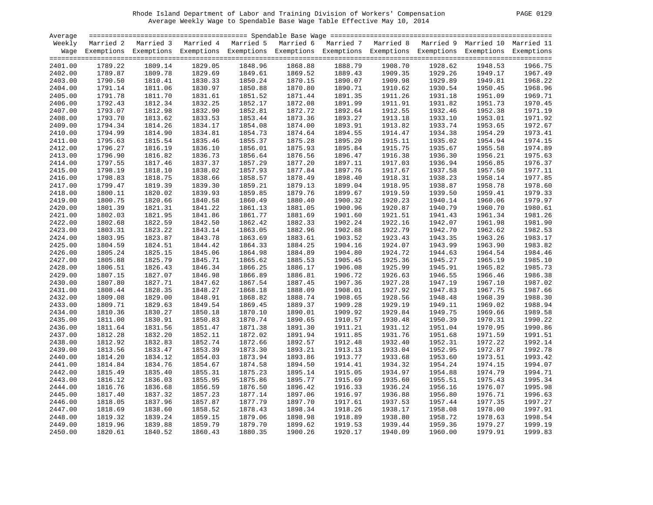| PAGE. | 29<br>01 |
|-------|----------|
|       |          |

| Average |         |                                                                                                                    |         |         |         |         |         |                                                     |         |         |
|---------|---------|--------------------------------------------------------------------------------------------------------------------|---------|---------|---------|---------|---------|-----------------------------------------------------|---------|---------|
| Weekly  |         | Married 2 Married 3 Married 4 Married 5 Married 6                                                                  |         |         |         |         |         | Married 7 Married 8 Married 9 Married 10 Married 11 |         |         |
|         |         | Wage Exemptions Exemptions Exemptions Exemptions Exemptions Exemptions Exemptions Exemptions Exemptions Exemptions |         |         |         |         |         |                                                     |         |         |
| 2401.00 | 1789.22 | 1809.14                                                                                                            | 1829.05 | 1848.96 | 1868.88 | 1888.79 | 1908.70 | 1928.62                                             | 1948.53 | 1966.75 |
| 2402.00 | 1789.87 | 1809.78                                                                                                            | 1829.69 | 1849.61 | 1869.52 | 1889.43 | 1909.35 | 1929.26                                             | 1949.17 | 1967.49 |
| 2403.00 | 1790.50 | 1810.41                                                                                                            | 1830.33 | 1850.24 | 1870.15 | 1890.07 | 1909.98 | 1929.89                                             | 1949.81 | 1968.22 |
| 2404.00 | 1791.14 | 1811.06                                                                                                            | 1830.97 | 1850.88 | 1870.80 | 1890.71 | 1910.62 | 1930.54                                             | 1950.45 | 1968.96 |
| 2405.00 | 1791.78 | 1811.70                                                                                                            | 1831.61 | 1851.52 | 1871.44 | 1891.35 | 1911.26 | 1931.18                                             | 1951.09 | 1969.71 |
| 2406.00 | 1792.43 | 1812.34                                                                                                            | 1832.25 | 1852.17 | 1872.08 | 1891.99 | 1911.91 | 1931.82                                             | 1951.73 | 1970.45 |
| 2407.00 | 1793.07 | 1812.98                                                                                                            | 1832.90 | 1852.81 | 1872.72 | 1892.64 | 1912.55 | 1932.46                                             | 1952.38 | 1971.19 |
| 2408.00 | 1793.70 | 1813.62                                                                                                            | 1833.53 | 1853.44 | 1873.36 | 1893.27 | 1913.18 | 1933.10                                             | 1953.01 | 1971.92 |
| 2409.00 | 1794.34 | 1814.26                                                                                                            | 1834.17 | 1854.08 | 1874.00 | 1893.91 | 1913.82 | 1933.74                                             | 1953.65 | 1972.67 |
| 2410.00 | 1794.99 | 1814.90                                                                                                            | 1834.81 | 1854.73 | 1874.64 | 1894.55 | 1914.47 | 1934.38                                             | 1954.29 | 1973.41 |
| 2411.00 | 1795.63 | 1815.54                                                                                                            | 1835.46 | 1855.37 | 1875.28 | 1895.20 | 1915.11 | 1935.02                                             | 1954.94 | 1974.15 |
| 2412.00 | 1796.27 | 1816.19                                                                                                            | 1836.10 | 1856.01 | 1875.93 | 1895.84 | 1915.75 | 1935.67                                             | 1955.58 | 1974.89 |
| 2413.00 | 1796.90 | 1816.82                                                                                                            | 1836.73 | 1856.64 | 1876.56 | 1896.47 | 1916.38 | 1936.30                                             | 1956.21 | 1975.63 |
| 2414.00 | 1797.55 | 1817.46                                                                                                            | 1837.37 | 1857.29 | 1877.20 | 1897.11 | 1917.03 | 1936.94                                             | 1956.85 | 1976.37 |
| 2415.00 | 1798.19 | 1818.10                                                                                                            | 1838.02 | 1857.93 | 1877.84 | 1897.76 | 1917.67 | 1937.58                                             | 1957.50 | 1977.11 |
| 2416.00 | 1798.83 | 1818.75                                                                                                            | 1838.66 | 1858.57 | 1878.49 | 1898.40 | 1918.31 | 1938.23                                             | 1958.14 | 1977.85 |
| 2417.00 | 1799.47 | 1819.39                                                                                                            | 1839.30 | 1859.21 | 1879.13 | 1899.04 | 1918.95 | 1938.87                                             | 1958.78 | 1978.60 |
| 2418.00 | 1800.11 | 1820.02                                                                                                            | 1839.93 | 1859.85 | 1879.76 | 1899.67 | 1919.59 | 1939.50                                             | 1959.41 | 1979.33 |
| 2419.00 | 1800.75 | 1820.66                                                                                                            | 1840.58 | 1860.49 | 1880.40 | 1900.32 | 1920.23 | 1940.14                                             | 1960.06 | 1979.97 |
| 2420.00 | 1801.39 | 1821.31                                                                                                            | 1841.22 | 1861.13 | 1881.05 | 1900.96 | 1920.87 | 1940.79                                             | 1960.70 | 1980.61 |
| 2421.00 | 1802.03 | 1821.95                                                                                                            | 1841.86 | 1861.77 | 1881.69 | 1901.60 | 1921.51 | 1941.43                                             | 1961.34 | 1981.26 |
| 2422.00 | 1802.68 | 1822.59                                                                                                            | 1842.50 | 1862.42 | 1882.33 | 1902.24 | 1922.16 | 1942.07                                             | 1961.98 | 1981.90 |
| 2423.00 | 1803.31 | 1823.22                                                                                                            | 1843.14 | 1863.05 | 1882.96 | 1902.88 | 1922.79 | 1942.70                                             | 1962.62 | 1982.53 |
| 2424.00 | 1803.95 | 1823.87                                                                                                            | 1843.78 | 1863.69 | 1883.61 | 1903.52 | 1923.43 | 1943.35                                             | 1963.26 | 1983.17 |
| 2425.00 | 1804.59 | 1824.51                                                                                                            | 1844.42 | 1864.33 | 1884.25 | 1904.16 | 1924.07 | 1943.99                                             | 1963.90 | 1983.82 |
| 2426.00 | 1805.24 | 1825.15                                                                                                            | 1845.06 | 1864.98 | 1884.89 | 1904.80 | 1924.72 | 1944.63                                             | 1964.54 | 1984.46 |
| 2427.00 | 1805.88 | 1825.79                                                                                                            | 1845.71 | 1865.62 | 1885.53 | 1905.45 | 1925.36 | 1945.27                                             | 1965.19 | 1985.10 |
| 2428.00 | 1806.51 | 1826.43                                                                                                            | 1846.34 | 1866.25 | 1886.17 | 1906.08 | 1925.99 | 1945.91                                             | 1965.82 | 1985.73 |
| 2429.00 | 1807.15 | 1827.07                                                                                                            | 1846.98 | 1866.89 | 1886.81 | 1906.72 | 1926.63 | 1946.55                                             | 1966.46 | 1986.38 |
| 2430.00 | 1807.80 | 1827.71                                                                                                            | 1847.62 | 1867.54 | 1887.45 | 1907.36 | 1927.28 | 1947.19                                             | 1967.10 | 1987.02 |
| 2431.00 | 1808.44 | 1828.35                                                                                                            | 1848.27 | 1868.18 | 1888.09 | 1908.01 | 1927.92 | 1947.83                                             | 1967.75 | 1987.66 |
| 2432.00 | 1809.08 | 1829.00                                                                                                            | 1848.91 | 1868.82 | 1888.74 | 1908.65 | 1928.56 | 1948.48                                             | 1968.39 | 1988.30 |
| 2433.00 | 1809.71 | 1829.63                                                                                                            | 1849.54 | 1869.45 | 1889.37 | 1909.28 | 1929.19 | 1949.11                                             | 1969.02 | 1988.94 |
| 2434.00 | 1810.36 | 1830.27                                                                                                            | 1850.18 | 1870.10 | 1890.01 | 1909.92 | 1929.84 | 1949.75                                             | 1969.66 | 1989.58 |
| 2435.00 | 1811.00 | 1830.91                                                                                                            | 1850.83 | 1870.74 | 1890.65 | 1910.57 | 1930.48 | 1950.39                                             | 1970.31 | 1990.22 |
| 2436.00 | 1811.64 | 1831.56                                                                                                            | 1851.47 | 1871.38 | 1891.30 | 1911.21 | 1931.12 | 1951.04                                             | 1970.95 | 1990.86 |
| 2437.00 | 1812.28 | 1832.20                                                                                                            | 1852.11 | 1872.02 | 1891.94 | 1911.85 | 1931.76 | 1951.68                                             | 1971.59 | 1991.51 |
| 2438.00 | 1812.92 | 1832.83                                                                                                            | 1852.74 | 1872.66 | 1892.57 | 1912.48 | 1932.40 | 1952.31                                             | 1972.22 | 1992.14 |
| 2439.00 | 1813.56 | 1833.47                                                                                                            | 1853.39 | 1873.30 | 1893.21 | 1913.13 | 1933.04 | 1952.95                                             | 1972.87 | 1992.78 |
| 2440.00 | 1814.20 | 1834.12                                                                                                            | 1854.03 | 1873.94 | 1893.86 | 1913.77 | 1933.68 | 1953.60                                             | 1973.51 | 1993.42 |
| 2441.00 | 1814.84 | 1834.76                                                                                                            | 1854.67 | 1874.58 | 1894.50 | 1914.41 | 1934.32 | 1954.24                                             | 1974.15 | 1994.07 |
| 2442.00 | 1815.49 | 1835.40                                                                                                            | 1855.31 | 1875.23 | 1895.14 | 1915.05 | 1934.97 | 1954.88                                             | 1974.79 | 1994.71 |
| 2443.00 | 1816.12 | 1836.03                                                                                                            | 1855.95 | 1875.86 | 1895.77 | 1915.69 | 1935.60 | 1955.51                                             | 1975.43 | 1995.34 |
| 2444.00 | 1816.76 | 1836.68                                                                                                            | 1856.59 | 1876.50 | 1896.42 | 1916.33 | 1936.24 | 1956.16                                             | 1976.07 | 1995.98 |
| 2445.00 | 1817.40 | 1837.32                                                                                                            | 1857.23 | 1877.14 | 1897.06 | 1916.97 | 1936.88 | 1956.80                                             | 1976.71 | 1996.63 |
| 2446.00 | 1818.05 | 1837.96                                                                                                            | 1857.87 | 1877.79 | 1897.70 | 1917.61 | 1937.53 | 1957.44                                             | 1977.35 | 1997.27 |
| 2447.00 | 1818.69 | 1838.60                                                                                                            | 1858.52 | 1878.43 | 1898.34 | 1918.26 | 1938.17 | 1958.08                                             | 1978.00 | 1997.91 |
| 2448.00 | 1819.32 | 1839.24                                                                                                            | 1859.15 | 1879.06 | 1898.98 | 1918.89 | 1938.80 | 1958.72                                             | 1978.63 | 1998.54 |
| 2449.00 | 1819.96 | 1839.88                                                                                                            | 1859.79 | 1879.70 | 1899.62 | 1919.53 | 1939.44 | 1959.36                                             | 1979.27 | 1999.19 |
| 2450.00 | 1820.61 | 1840.52                                                                                                            | 1860.43 | 1880.35 | 1900.26 | 1920.17 | 1940.09 | 1960.00                                             | 1979.91 | 1999.83 |
|         |         |                                                                                                                    |         |         |         |         |         |                                                     |         |         |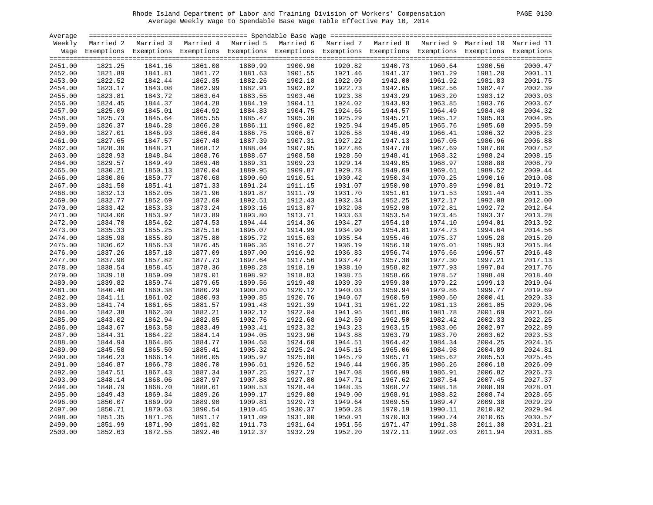| 0130<br><b>PAGE</b> |  |  |
|---------------------|--|--|
|---------------------|--|--|

| Average |         |                                                   |         |         |         |         |         |         |         |                                                                                                                    |
|---------|---------|---------------------------------------------------|---------|---------|---------|---------|---------|---------|---------|--------------------------------------------------------------------------------------------------------------------|
| Weekly  |         | Married 2 Married 3 Married 4 Married 5 Married 6 |         |         |         |         |         |         |         | Married 7 Married 8 Married 9 Married 10 Married 11                                                                |
|         |         |                                                   |         |         |         |         |         |         |         | Wage Exemptions Exemptions Exemptions Exemptions Exemptions Exemptions Exemptions Exemptions Exemptions Exemptions |
|         |         |                                                   |         |         |         |         |         |         |         |                                                                                                                    |
| 2451.00 | 1821.25 | 1841.16                                           | 1861.08 | 1880.99 | 1900.90 | 1920.82 | 1940.73 | 1960.64 | 1980.56 | 2000.47                                                                                                            |
| 2452.00 | 1821.89 | 1841.81                                           | 1861.72 | 1881.63 | 1901.55 | 1921.46 | 1941.37 | 1961.29 | 1981.20 | 2001.11                                                                                                            |
| 2453.00 | 1822.52 | 1842.44                                           | 1862.35 | 1882.26 | 1902.18 | 1922.09 | 1942.00 | 1961.92 | 1981.83 | 2001.75                                                                                                            |
| 2454.00 | 1823.17 | 1843.08                                           | 1862.99 | 1882.91 | 1902.82 | 1922.73 | 1942.65 | 1962.56 | 1982.47 | 2002.39                                                                                                            |
| 2455.00 | 1823.81 | 1843.72                                           | 1863.64 | 1883.55 | 1903.46 | 1923.38 | 1943.29 | 1963.20 | 1983.12 | 2003.03                                                                                                            |
| 2456.00 | 1824.45 | 1844.37                                           | 1864.28 | 1884.19 | 1904.11 | 1924.02 | 1943.93 | 1963.85 | 1983.76 | 2003.67                                                                                                            |
| 2457.00 | 1825.09 | 1845.01                                           | 1864.92 | 1884.83 | 1904.75 | 1924.66 | 1944.57 | 1964.49 | 1984.40 | 2004.32                                                                                                            |
| 2458.00 | 1825.73 | 1845.64                                           | 1865.55 | 1885.47 | 1905.38 | 1925.29 | 1945.21 | 1965.12 | 1985.03 | 2004.95                                                                                                            |
| 2459.00 | 1826.37 | 1846.28                                           | 1866.20 | 1886.11 | 1906.02 | 1925.94 | 1945.85 | 1965.76 | 1985.68 | 2005.59                                                                                                            |
| 2460.00 | 1827.01 | 1846.93                                           | 1866.84 | 1886.75 | 1906.67 | 1926.58 | 1946.49 | 1966.41 | 1986.32 | 2006.23                                                                                                            |
| 2461.00 | 1827.65 | 1847.57                                           | 1867.48 | 1887.39 | 1907.31 | 1927.22 | 1947.13 | 1967.05 | 1986.96 | 2006.88                                                                                                            |
| 2462.00 | 1828.30 | 1848.21                                           | 1868.12 | 1888.04 | 1907.95 | 1927.86 | 1947.78 | 1967.69 | 1987.60 | 2007.52                                                                                                            |
| 2463.00 | 1828.93 | 1848.84                                           | 1868.76 | 1888.67 | 1908.58 | 1928.50 | 1948.41 | 1968.32 | 1988.24 | 2008.15                                                                                                            |
| 2464.00 | 1829.57 | 1849.49                                           | 1869.40 | 1889.31 | 1909.23 | 1929.14 | 1949.05 | 1968.97 | 1988.88 | 2008.79                                                                                                            |
| 2465.00 | 1830.21 | 1850.13                                           | 1870.04 | 1889.95 | 1909.87 | 1929.78 | 1949.69 | 1969.61 | 1989.52 | 2009.44                                                                                                            |
| 2466.00 | 1830.86 | 1850.77                                           | 1870.68 | 1890.60 | 1910.51 | 1930.42 | 1950.34 | 1970.25 | 1990.16 | 2010.08                                                                                                            |
| 2467.00 | 1831.50 | 1851.41                                           | 1871.33 | 1891.24 | 1911.15 | 1931.07 | 1950.98 | 1970.89 | 1990.81 | 2010.72                                                                                                            |
| 2468.00 | 1832.13 | 1852.05                                           | 1871.96 | 1891.87 | 1911.79 | 1931.70 | 1951.61 | 1971.53 | 1991.44 | 2011.35                                                                                                            |
| 2469.00 | 1832.77 | 1852.69                                           | 1872.60 | 1892.51 | 1912.43 | 1932.34 | 1952.25 | 1972.17 | 1992.08 | 2012.00                                                                                                            |
| 2470.00 | 1833.42 | 1853.33                                           | 1873.24 | 1893.16 | 1913.07 | 1932.98 | 1952.90 | 1972.81 | 1992.72 | 2012.64                                                                                                            |
| 2471.00 | 1834.06 | 1853.97                                           | 1873.89 | 1893.80 | 1913.71 | 1933.63 | 1953.54 | 1973.45 | 1993.37 | 2013.28                                                                                                            |
|         |         |                                                   |         |         |         |         |         |         |         | 2013.92                                                                                                            |
| 2472.00 | 1834.70 | 1854.62<br>1855.25                                | 1874.53 | 1894.44 | 1914.36 | 1934.27 | 1954.18 | 1974.10 | 1994.01 | 2014.56                                                                                                            |
| 2473.00 | 1835.33 |                                                   | 1875.16 | 1895.07 | 1914.99 | 1934.90 | 1954.81 | 1974.73 | 1994.64 |                                                                                                                    |
| 2474.00 | 1835.98 | 1855.89                                           | 1875.80 | 1895.72 | 1915.63 | 1935.54 | 1955.46 | 1975.37 | 1995.28 | 2015.20<br>2015.84                                                                                                 |
| 2475.00 | 1836.62 | 1856.53                                           | 1876.45 | 1896.36 | 1916.27 | 1936.19 | 1956.10 | 1976.01 | 1995.93 |                                                                                                                    |
| 2476.00 | 1837.26 | 1857.18                                           | 1877.09 | 1897.00 | 1916.92 | 1936.83 | 1956.74 | 1976.66 | 1996.57 | 2016.48                                                                                                            |
| 2477.00 | 1837.90 | 1857.82                                           | 1877.73 | 1897.64 | 1917.56 | 1937.47 | 1957.38 | 1977.30 | 1997.21 | 2017.13                                                                                                            |
| 2478.00 | 1838.54 | 1858.45                                           | 1878.36 | 1898.28 | 1918.19 | 1938.10 | 1958.02 | 1977.93 | 1997.84 | 2017.76                                                                                                            |
| 2479.00 | 1839.18 | 1859.09                                           | 1879.01 | 1898.92 | 1918.83 | 1938.75 | 1958.66 | 1978.57 | 1998.49 | 2018.40                                                                                                            |
| 2480.00 | 1839.82 | 1859.74                                           | 1879.65 | 1899.56 | 1919.48 | 1939.39 | 1959.30 | 1979.22 | 1999.13 | 2019.04                                                                                                            |
| 2481.00 | 1840.46 | 1860.38                                           | 1880.29 | 1900.20 | 1920.12 | 1940.03 | 1959.94 | 1979.86 | 1999.77 | 2019.69                                                                                                            |
| 2482.00 | 1841.11 | 1861.02                                           | 1880.93 | 1900.85 | 1920.76 | 1940.67 | 1960.59 | 1980.50 | 2000.41 | 2020.33                                                                                                            |
| 2483.00 | 1841.74 | 1861.65                                           | 1881.57 | 1901.48 | 1921.39 | 1941.31 | 1961.22 | 1981.13 | 2001.05 | 2020.96                                                                                                            |
| 2484.00 | 1842.38 | 1862.30                                           | 1882.21 | 1902.12 | 1922.04 | 1941.95 | 1961.86 | 1981.78 | 2001.69 | 2021.60                                                                                                            |
| 2485.00 | 1843.02 | 1862.94                                           | 1882.85 | 1902.76 | 1922.68 | 1942.59 | 1962.50 | 1982.42 | 2002.33 | 2022.25                                                                                                            |
| 2486.00 | 1843.67 | 1863.58                                           | 1883.49 | 1903.41 | 1923.32 | 1943.23 | 1963.15 | 1983.06 | 2002.97 | 2022.89                                                                                                            |
| 2487.00 | 1844.31 | 1864.22                                           | 1884.14 | 1904.05 | 1923.96 | 1943.88 | 1963.79 | 1983.70 | 2003.62 | 2023.53                                                                                                            |
| 2488.00 | 1844.94 | 1864.86                                           | 1884.77 | 1904.68 | 1924.60 | 1944.51 | 1964.42 | 1984.34 | 2004.25 | 2024.16                                                                                                            |
| 2489.00 | 1845.58 | 1865.50                                           | 1885.41 | 1905.32 | 1925.24 | 1945.15 | 1965.06 | 1984.98 | 2004.89 | 2024.81                                                                                                            |
| 2490.00 | 1846.23 | 1866.14                                           | 1886.05 | 1905.97 | 1925.88 | 1945.79 | 1965.71 | 1985.62 | 2005.53 | 2025.45                                                                                                            |
| 2491.00 | 1846.87 | 1866.78                                           | 1886.70 | 1906.61 | 1926.52 | 1946.44 | 1966.35 | 1986.26 | 2006.18 | 2026.09                                                                                                            |
| 2492.00 | 1847.51 | 1867.43                                           | 1887.34 | 1907.25 | 1927.17 | 1947.08 | 1966.99 | 1986.91 | 2006.82 | 2026.73                                                                                                            |
| 2493.00 | 1848.14 | 1868.06                                           | 1887.97 | 1907.88 | 1927.80 | 1947.71 | 1967.62 | 1987.54 | 2007.45 | 2027.37                                                                                                            |
| 2494.00 | 1848.79 | 1868.70                                           | 1888.61 | 1908.53 | 1928.44 | 1948.35 | 1968.27 | 1988.18 | 2008.09 | 2028.01                                                                                                            |
| 2495.00 | 1849.43 | 1869.34                                           | 1889.26 | 1909.17 | 1929.08 | 1949.00 | 1968.91 | 1988.82 | 2008.74 | 2028.65                                                                                                            |
| 2496.00 | 1850.07 | 1869.99                                           | 1889.90 | 1909.81 | 1929.73 | 1949.64 | 1969.55 | 1989.47 | 2009.38 | 2029.29                                                                                                            |
| 2497.00 | 1850.71 | 1870.63                                           | 1890.54 | 1910.45 | 1930.37 | 1950.28 | 1970.19 | 1990.11 | 2010.02 | 2029.94                                                                                                            |
| 2498.00 | 1851.35 | 1871.26                                           | 1891.17 | 1911.09 | 1931.00 | 1950.91 | 1970.83 | 1990.74 | 2010.65 | 2030.57                                                                                                            |
| 2499.00 | 1851.99 | 1871.90                                           | 1891.82 | 1911.73 | 1931.64 | 1951.56 | 1971.47 | 1991.38 | 2011.30 | 2031.21                                                                                                            |
| 2500.00 | 1852.63 | 1872.55                                           | 1892.46 | 1912.37 | 1932.29 | 1952.20 | 1972.11 | 1992.03 | 2011.94 | 2031.85                                                                                                            |
|         |         |                                                   |         |         |         |         |         |         |         |                                                                                                                    |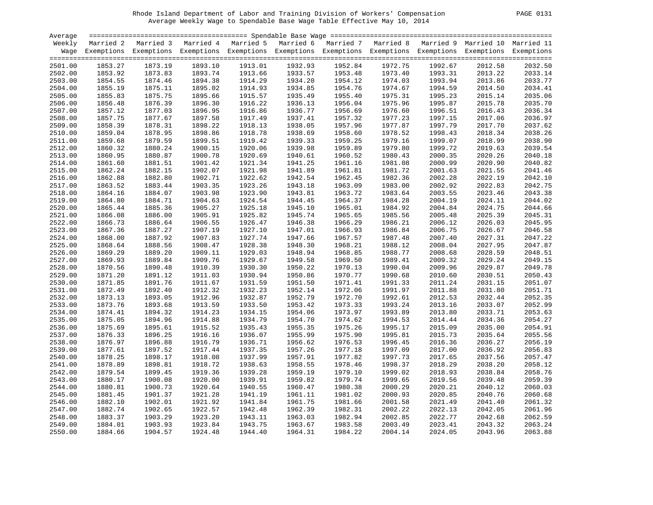| PAGE. | 0 |
|-------|---|
|       |   |

| Average |         |                                                                                                                    |                    |         |         |                    |         |         |         |         |
|---------|---------|--------------------------------------------------------------------------------------------------------------------|--------------------|---------|---------|--------------------|---------|---------|---------|---------|
| Weekly  |         | Married 2 Married 3 Married 4 Married 5 Married 6 Married 7 Married 8 Married 9 Married 10 Married 11              |                    |         |         |                    |         |         |         |         |
|         |         | Wage Exemptions Exemptions Exemptions Exemptions Exemptions Exemptions Exemptions Exemptions Exemptions Exemptions |                    |         |         |                    |         |         |         |         |
|         |         |                                                                                                                    |                    |         |         |                    |         |         |         |         |
| 2501.00 | 1853.27 | 1873.19                                                                                                            | 1893.10            | 1913.01 | 1932.93 | 1952.84            | 1972.75 | 1992.67 | 2012.58 | 2032.50 |
| 2502.00 | 1853.92 | 1873.83                                                                                                            | 1893.74            | 1913.66 | 1933.57 | 1953.48<br>1954.12 | 1973.40 | 1993.31 | 2013.22 | 2033.14 |
| 2503.00 | 1854.55 | 1874.46                                                                                                            | 1894.38            | 1914.29 | 1934.20 |                    | 1974.03 | 1993.94 | 2013.86 | 2033.77 |
| 2504.00 | 1855.19 | 1875.11                                                                                                            | 1895.02            | 1914.93 | 1934.85 | 1954.76            | 1974.67 | 1994.59 | 2014.50 | 2034.41 |
| 2505.00 | 1855.83 | 1875.75                                                                                                            | 1895.66            | 1915.57 | 1935.49 | 1955.40            | 1975.31 | 1995.23 | 2015.14 | 2035.06 |
| 2506.00 | 1856.48 | 1876.39                                                                                                            | 1896.30            | 1916.22 | 1936.13 | 1956.04            | 1975.96 | 1995.87 | 2015.78 | 2035.70 |
| 2507.00 | 1857.12 | 1877.03                                                                                                            | 1896.95            | 1916.86 | 1936.77 | 1956.69            | 1976.60 | 1996.51 | 2016.43 | 2036.34 |
| 2508.00 | 1857.75 | 1877.67                                                                                                            | 1897.58            | 1917.49 | 1937.41 | 1957.32            | 1977.23 | 1997.15 | 2017.06 | 2036.97 |
| 2509.00 | 1858.39 | 1878.31                                                                                                            | 1898.22            | 1918.13 | 1938.05 | 1957.96            | 1977.87 | 1997.79 | 2017.70 | 2037.62 |
| 2510.00 | 1859.04 | 1878.95                                                                                                            | 1898.86            | 1918.78 | 1938.69 | 1958.60            | 1978.52 | 1998.43 | 2018.34 | 2038.26 |
| 2511.00 | 1859.68 | 1879.59                                                                                                            | 1899.51            | 1919.42 | 1939.33 | 1959.25            | 1979.16 | 1999.07 | 2018.99 | 2038.90 |
| 2512.00 | 1860.32 | 1880.24                                                                                                            | 1900.15            | 1920.06 | 1939.98 | 1959.89            | 1979.80 | 1999.72 | 2019.63 | 2039.54 |
| 2513.00 | 1860.95 | 1880.87                                                                                                            | 1900.78            | 1920.69 | 1940.61 | 1960.52            | 1980.43 | 2000.35 | 2020.26 | 2040.18 |
| 2514.00 | 1861.60 | 1881.51                                                                                                            | 1901.42            | 1921.34 | 1941.25 | 1961.16            | 1981.08 | 2000.99 | 2020.90 | 2040.82 |
| 2515.00 | 1862.24 | 1882.15                                                                                                            | 1902.07            | 1921.98 | 1941.89 | 1961.81            | 1981.72 | 2001.63 | 2021.55 | 2041.46 |
| 2516.00 | 1862.88 | 1882.80                                                                                                            | 1902.71            | 1922.62 | 1942.54 | 1962.45            | 1982.36 | 2002.28 | 2022.19 | 2042.10 |
| 2517.00 | 1863.52 | 1883.44                                                                                                            | 1903.35            | 1923.26 | 1943.18 | 1963.09            | 1983.00 | 2002.92 | 2022.83 | 2042.75 |
| 2518.00 | 1864.16 | 1884.07                                                                                                            | 1903.98            | 1923.90 | 1943.81 | 1963.72            | 1983.64 | 2003.55 | 2023.46 | 2043.38 |
| 2519.00 | 1864.80 | 1884.71                                                                                                            | 1904.63            | 1924.54 | 1944.45 | 1964.37            | 1984.28 | 2004.19 | 2024.11 | 2044.02 |
| 2520.00 | 1865.44 | 1885.36                                                                                                            | 1905.27            | 1925.18 | 1945.10 | 1965.01            | 1984.92 | 2004.84 | 2024.75 | 2044.66 |
| 2521.00 | 1866.08 | 1886.00                                                                                                            | 1905.91            | 1925.82 | 1945.74 | 1965.65            | 1985.56 | 2005.48 | 2025.39 | 2045.31 |
|         |         |                                                                                                                    |                    | 1926.47 |         |                    |         |         |         | 2045.95 |
| 2522.00 | 1866.73 | 1886.64                                                                                                            | 1906.55<br>1907.19 | 1927.10 | 1946.38 | 1966.29            | 1986.21 | 2006.12 | 2026.03 | 2046.58 |
| 2523.00 | 1867.36 | 1887.27                                                                                                            |                    |         | 1947.01 | 1966.93            | 1986.84 | 2006.75 | 2026.67 |         |
| 2524.00 | 1868.00 | 1887.92                                                                                                            | 1907.83            | 1927.74 | 1947.66 | 1967.57            | 1987.48 | 2007.40 | 2027.31 | 2047.22 |
| 2525.00 | 1868.64 | 1888.56                                                                                                            | 1908.47            | 1928.38 | 1948.30 | 1968.21            | 1988.12 | 2008.04 | 2027.95 | 2047.87 |
| 2526.00 | 1869.29 | 1889.20                                                                                                            | 1909.11            | 1929.03 | 1948.94 | 1968.85            | 1988.77 | 2008.68 | 2028.59 | 2048.51 |
| 2527.00 | 1869.93 | 1889.84                                                                                                            | 1909.76            | 1929.67 | 1949.58 | 1969.50            | 1989.41 | 2009.32 | 2029.24 | 2049.15 |
| 2528.00 | 1870.56 | 1890.48                                                                                                            | 1910.39            | 1930.30 | 1950.22 | 1970.13            | 1990.04 | 2009.96 | 2029.87 | 2049.78 |
| 2529.00 | 1871.20 | 1891.12                                                                                                            | 1911.03            | 1930.94 | 1950.86 | 1970.77            | 1990.68 | 2010.60 | 2030.51 | 2050.43 |
| 2530.00 | 1871.85 | 1891.76                                                                                                            | 1911.67            | 1931.59 | 1951.50 | 1971.41            | 1991.33 | 2011.24 | 2031.15 | 2051.07 |
| 2531.00 | 1872.49 | 1892.40                                                                                                            | 1912.32            | 1932.23 | 1952.14 | 1972.06            | 1991.97 | 2011.88 | 2031.80 | 2051.71 |
| 2532.00 | 1873.13 | 1893.05                                                                                                            | 1912.96            | 1932.87 | 1952.79 | 1972.70            | 1992.61 | 2012.53 | 2032.44 | 2052.35 |
| 2533.00 | 1873.76 | 1893.68                                                                                                            | 1913.59            | 1933.50 | 1953.42 | 1973.33            | 1993.24 | 2013.16 | 2033.07 | 2052.99 |
| 2534.00 | 1874.41 | 1894.32                                                                                                            | 1914.23            | 1934.15 | 1954.06 | 1973.97            | 1993.89 | 2013.80 | 2033.71 | 2053.63 |
| 2535.00 | 1875.05 | 1894.96                                                                                                            | 1914.88            | 1934.79 | 1954.70 | 1974.62            | 1994.53 | 2014.44 | 2034.36 | 2054.27 |
| 2536.00 | 1875.69 | 1895.61                                                                                                            | 1915.52            | 1935.43 | 1955.35 | 1975.26            | 1995.17 | 2015.09 | 2035.00 | 2054.91 |
| 2537.00 | 1876.33 | 1896.25                                                                                                            | 1916.16            | 1936.07 | 1955.99 | 1975.90            | 1995.81 | 2015.73 | 2035.64 | 2055.56 |
| 2538.00 | 1876.97 | 1896.88                                                                                                            | 1916.79            | 1936.71 | 1956.62 | 1976.53            | 1996.45 | 2016.36 | 2036.27 | 2056.19 |
| 2539.00 | 1877.61 | 1897.52                                                                                                            | 1917.44            | 1937.35 | 1957.26 | 1977.18            | 1997.09 | 2017.00 | 2036.92 | 2056.83 |
| 2540.00 | 1878.25 | 1898.17                                                                                                            | 1918.08            | 1937.99 | 1957.91 | 1977.82            | 1997.73 | 2017.65 | 2037.56 | 2057.47 |
| 2541.00 | 1878.89 | 1898.81                                                                                                            | 1918.72            | 1938.63 | 1958.55 | 1978.46            | 1998.37 | 2018.29 | 2038.20 | 2058.12 |
| 2542.00 | 1879.54 | 1899.45                                                                                                            | 1919.36            | 1939.28 | 1959.19 | 1979.10            | 1999.02 | 2018.93 | 2038.84 | 2058.76 |
| 2543.00 | 1880.17 | 1900.08                                                                                                            | 1920.00            | 1939.91 | 1959.82 | 1979.74            | 1999.65 | 2019.56 | 2039.48 | 2059.39 |
| 2544.00 | 1880.81 | 1900.73                                                                                                            | 1920.64            | 1940.55 | 1960.47 | 1980.38            | 2000.29 | 2020.21 | 2040.12 | 2060.03 |
| 2545.00 | 1881.45 | 1901.37                                                                                                            | 1921.28            | 1941.19 | 1961.11 | 1981.02            | 2000.93 | 2020.85 | 2040.76 | 2060.68 |
| 2546.00 | 1882.10 | 1902.01                                                                                                            | 1921.92            | 1941.84 | 1961.75 | 1981.66            | 2001.58 | 2021.49 | 2041.40 | 2061.32 |
| 2547.00 | 1882.74 | 1902.65                                                                                                            | 1922.57            | 1942.48 | 1962.39 | 1982.31            | 2002.22 | 2022.13 | 2042.05 | 2061.96 |
| 2548.00 | 1883.37 | 1903.29                                                                                                            | 1923.20            | 1943.11 | 1963.03 | 1982.94            | 2002.85 | 2022.77 | 2042.68 | 2062.59 |
| 2549.00 | 1884.01 | 1903.93                                                                                                            | 1923.84            | 1943.75 | 1963.67 | 1983.58            | 2003.49 | 2023.41 | 2043.32 | 2063.24 |
| 2550.00 | 1884.66 | 1904.57                                                                                                            | 1924.48            | 1944.40 | 1964.31 | 1984.22            | 2004.14 | 2024.05 | 2043.96 | 2063.88 |
|         |         |                                                                                                                    |                    |         |         |                    |         |         |         |         |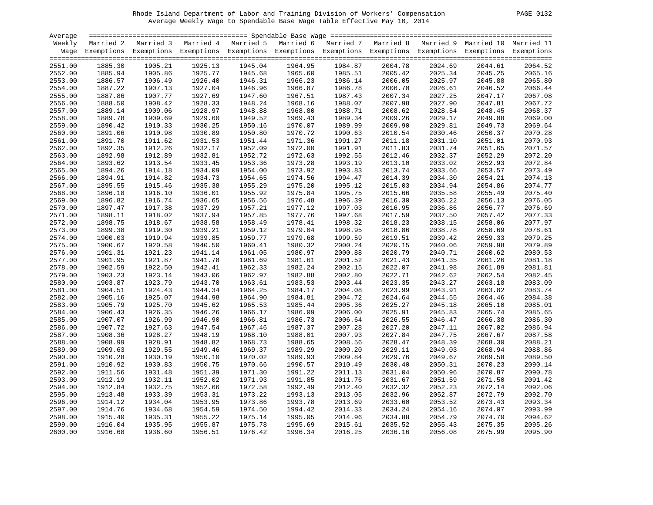| PAGE. |  |
|-------|--|
|       |  |

| Average |         |                                                                                                                    |                    |         |                    |         |         |         |         |         |
|---------|---------|--------------------------------------------------------------------------------------------------------------------|--------------------|---------|--------------------|---------|---------|---------|---------|---------|
| Weekly  |         | Married 2 Married 3 Married 4 Married 5 Married 6 Married 7 Married 8 Married 9 Married 10 Married 11              |                    |         |                    |         |         |         |         |         |
|         |         | Wage Exemptions Exemptions Exemptions Exemptions Exemptions Exemptions Exemptions Exemptions Exemptions Exemptions |                    |         |                    |         |         |         |         |         |
| 2551.00 | 1885.30 | 1905.21                                                                                                            | 1925.13            | 1945.04 | 1964.95            | 1984.87 | 2004.78 | 2024.69 | 2044.61 | 2064.52 |
| 2552.00 | 1885.94 | 1905.86                                                                                                            | 1925.77            | 1945.68 | 1965.60            | 1985.51 | 2005.42 | 2025.34 | 2045.25 | 2065.16 |
| 2553.00 | 1886.57 | 1906.49                                                                                                            | 1926.40            | 1946.31 | 1966.23            | 1986.14 | 2006.05 | 2025.97 | 2045.88 | 2065.80 |
| 2554.00 | 1887.22 | 1907.13                                                                                                            | 1927.04            | 1946.96 | 1966.87            | 1986.78 | 2006.70 | 2026.61 | 2046.52 | 2066.44 |
| 2555.00 | 1887.86 | 1907.77                                                                                                            | 1927.69            | 1947.60 | 1967.51            | 1987.43 | 2007.34 | 2027.25 | 2047.17 | 2067.08 |
| 2556.00 | 1888.50 | 1908.42                                                                                                            | 1928.33            | 1948.24 | 1968.16            | 1988.07 | 2007.98 | 2027.90 | 2047.81 | 2067.72 |
| 2557.00 | 1889.14 | 1909.06                                                                                                            | 1928.97            | 1948.88 | 1968.80            | 1988.71 | 2008.62 | 2028.54 | 2048.45 | 2068.37 |
| 2558.00 | 1889.78 | 1909.69                                                                                                            | 1929.60            | 1949.52 | 1969.43            | 1989.34 | 2009.26 | 2029.17 | 2049.08 | 2069.00 |
| 2559.00 | 1890.42 | 1910.33                                                                                                            | 1930.25            | 1950.16 | 1970.07            | 1989.99 | 2009.90 | 2029.81 | 2049.73 | 2069.64 |
|         |         | 1910.98                                                                                                            |                    | 1950.80 |                    |         |         |         |         | 2070.28 |
| 2560.00 | 1891.06 | 1911.62                                                                                                            | 1930.89<br>1931.53 | 1951.44 | 1970.72<br>1971.36 | 1990.63 | 2010.54 | 2030.46 | 2050.37 |         |
| 2561.00 | 1891.70 |                                                                                                                    |                    |         |                    | 1991.27 | 2011.18 | 2031.10 | 2051.01 | 2070.93 |
| 2562.00 | 1892.35 | 1912.26                                                                                                            | 1932.17            | 1952.09 | 1972.00            | 1991.91 | 2011.83 | 2031.74 | 2051.65 | 2071.57 |
| 2563.00 | 1892.98 | 1912.89                                                                                                            | 1932.81            | 1952.72 | 1972.63            | 1992.55 | 2012.46 | 2032.37 | 2052.29 | 2072.20 |
| 2564.00 | 1893.62 | 1913.54                                                                                                            | 1933.45            | 1953.36 | 1973.28            | 1993.19 | 2013.10 | 2033.02 | 2052.93 | 2072.84 |
| 2565.00 | 1894.26 | 1914.18                                                                                                            | 1934.09            | 1954.00 | 1973.92            | 1993.83 | 2013.74 | 2033.66 | 2053.57 | 2073.49 |
| 2566.00 | 1894.91 | 1914.82                                                                                                            | 1934.73            | 1954.65 | 1974.56            | 1994.47 | 2014.39 | 2034.30 | 2054.21 | 2074.13 |
| 2567.00 | 1895.55 | 1915.46                                                                                                            | 1935.38            | 1955.29 | 1975.20            | 1995.12 | 2015.03 | 2034.94 | 2054.86 | 2074.77 |
| 2568.00 | 1896.18 | 1916.10                                                                                                            | 1936.01            | 1955.92 | 1975.84            | 1995.75 | 2015.66 | 2035.58 | 2055.49 | 2075.40 |
| 2569.00 | 1896.82 | 1916.74                                                                                                            | 1936.65            | 1956.56 | 1976.48            | 1996.39 | 2016.30 | 2036.22 | 2056.13 | 2076.05 |
| 2570.00 | 1897.47 | 1917.38                                                                                                            | 1937.29            | 1957.21 | 1977.12            | 1997.03 | 2016.95 | 2036.86 | 2056.77 | 2076.69 |
| 2571.00 | 1898.11 | 1918.02                                                                                                            | 1937.94            | 1957.85 | 1977.76            | 1997.68 | 2017.59 | 2037.50 | 2057.42 | 2077.33 |
| 2572.00 | 1898.75 | 1918.67                                                                                                            | 1938.58            | 1958.49 | 1978.41            | 1998.32 | 2018.23 | 2038.15 | 2058.06 | 2077.97 |
| 2573.00 | 1899.38 | 1919.30                                                                                                            | 1939.21            | 1959.12 | 1979.04            | 1998.95 | 2018.86 | 2038.78 | 2058.69 | 2078.61 |
| 2574.00 | 1900.03 | 1919.94                                                                                                            | 1939.85            | 1959.77 | 1979.68            | 1999.59 | 2019.51 | 2039.42 | 2059.33 | 2079.25 |
| 2575.00 | 1900.67 | 1920.58                                                                                                            | 1940.50            | 1960.41 | 1980.32            | 2000.24 | 2020.15 | 2040.06 | 2059.98 | 2079.89 |
| 2576.00 | 1901.31 | 1921.23                                                                                                            | 1941.14            | 1961.05 | 1980.97            | 2000.88 | 2020.79 | 2040.71 | 2060.62 | 2080.53 |
| 2577.00 | 1901.95 | 1921.87                                                                                                            | 1941.78            | 1961.69 | 1981.61            | 2001.52 | 2021.43 | 2041.35 | 2061.26 | 2081.18 |
| 2578.00 | 1902.59 | 1922.50                                                                                                            | 1942.41            | 1962.33 | 1982.24            | 2002.15 | 2022.07 | 2041.98 | 2061.89 | 2081.81 |
| 2579.00 | 1903.23 | 1923.14                                                                                                            | 1943.06            | 1962.97 | 1982.88            | 2002.80 | 2022.71 | 2042.62 | 2062.54 | 2082.45 |
| 2580.00 | 1903.87 | 1923.79                                                                                                            | 1943.70            | 1963.61 | 1983.53            | 2003.44 | 2023.35 | 2043.27 | 2063.18 | 2083.09 |
| 2581.00 | 1904.51 | 1924.43                                                                                                            | 1944.34            | 1964.25 | 1984.17            | 2004.08 | 2023.99 | 2043.91 | 2063.82 | 2083.74 |
| 2582.00 | 1905.16 | 1925.07                                                                                                            | 1944.98            | 1964.90 | 1984.81            | 2004.72 | 2024.64 | 2044.55 | 2064.46 | 2084.38 |
| 2583.00 | 1905.79 | 1925.70                                                                                                            | 1945.62            | 1965.53 | 1985.44            | 2005.36 | 2025.27 | 2045.18 | 2065.10 | 2085.01 |
| 2584.00 | 1906.43 | 1926.35                                                                                                            | 1946.26            | 1966.17 | 1986.09            | 2006.00 | 2025.91 | 2045.83 | 2065.74 | 2085.65 |
| 2585.00 | 1907.07 | 1926.99                                                                                                            | 1946.90            | 1966.81 | 1986.73            | 2006.64 | 2026.55 | 2046.47 | 2066.38 | 2086.30 |
| 2586.00 | 1907.72 | 1927.63                                                                                                            | 1947.54            | 1967.46 | 1987.37            | 2007.28 | 2027.20 | 2047.11 | 2067.02 | 2086.94 |
| 2587.00 | 1908.36 | 1928.27                                                                                                            | 1948.19            | 1968.10 | 1988.01            | 2007.93 | 2027.84 | 2047.75 | 2067.67 | 2087.58 |
| 2588.00 | 1908.99 | 1928.91                                                                                                            | 1948.82            | 1968.73 | 1988.65            | 2008.56 | 2028.47 | 2048.39 | 2068.30 | 2088.21 |
| 2589.00 | 1909.63 | 1929.55                                                                                                            | 1949.46            | 1969.37 | 1989.29            | 2009.20 | 2029.11 | 2049.03 | 2068.94 | 2088.86 |
| 2590.00 | 1910.28 | 1930.19                                                                                                            | 1950.10            | 1970.02 | 1989.93            | 2009.84 | 2029.76 | 2049.67 | 2069.58 | 2089.50 |
| 2591.00 | 1910.92 | 1930.83                                                                                                            | 1950.75            | 1970.66 | 1990.57            | 2010.49 | 2030.40 | 2050.31 | 2070.23 | 2090.14 |
| 2592.00 | 1911.56 | 1931.48                                                                                                            | 1951.39            | 1971.30 | 1991.22            | 2011.13 | 2031.04 | 2050.96 | 2070.87 | 2090.78 |
| 2593.00 | 1912.19 | 1932.11                                                                                                            | 1952.02            | 1971.93 | 1991.85            | 2011.76 | 2031.67 | 2051.59 | 2071.50 | 2091.42 |
| 2594.00 | 1912.84 | 1932.75                                                                                                            | 1952.66            | 1972.58 | 1992.49            | 2012.40 | 2032.32 | 2052.23 | 2072.14 | 2092.06 |
| 2595.00 | 1913.48 | 1933.39                                                                                                            | 1953.31            | 1973.22 | 1993.13            | 2013.05 | 2032.96 | 2052.87 | 2072.79 | 2092.70 |
| 2596.00 | 1914.12 | 1934.04                                                                                                            | 1953.95            | 1973.86 | 1993.78            | 2013.69 | 2033.60 | 2053.52 | 2073.43 | 2093.34 |
| 2597.00 | 1914.76 | 1934.68                                                                                                            | 1954.59            | 1974.50 | 1994.42            | 2014.33 | 2034.24 | 2054.16 | 2074.07 | 2093.99 |
| 2598.00 | 1915.40 | 1935.31                                                                                                            | 1955.22            | 1975.14 | 1995.05            | 2014.96 | 2034.88 | 2054.79 | 2074.70 | 2094.62 |
| 2599.00 | 1916.04 | 1935.95                                                                                                            | 1955.87            | 1975.78 | 1995.69            | 2015.61 | 2035.52 | 2055.43 | 2075.35 | 2095.26 |
| 2600.00 | 1916.68 | 1936.60                                                                                                            | 1956.51            | 1976.42 | 1996.34            | 2016.25 | 2036.16 | 2056.08 | 2075.99 | 2095.90 |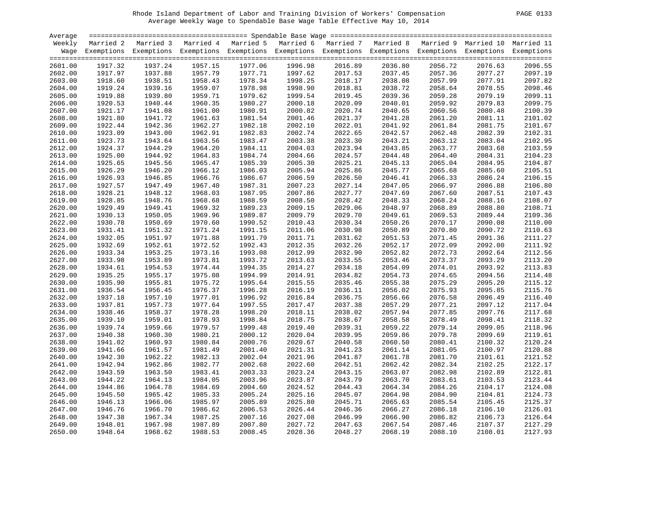| PAGE |  |
|------|--|
|      |  |

| Average |         |                                                                                                                    |         |         |         |         |         |         |         |         |
|---------|---------|--------------------------------------------------------------------------------------------------------------------|---------|---------|---------|---------|---------|---------|---------|---------|
| Weekly  |         | Married 2 Married 3 Married 4 Married 5 Married 6 Married 7 Married 8 Married 9 Married 10 Married 11              |         |         |         |         |         |         |         |         |
|         |         | Wage Exemptions Exemptions Exemptions Exemptions Exemptions Exemptions Exemptions Exemptions Exemptions Exemptions |         |         |         |         |         |         |         |         |
| 2601.00 | 1917.32 | 1937.24                                                                                                            | 1957.15 | 1977.06 | 1996.98 | 2016.89 | 2036.80 | 2056.72 | 2076.63 | 2096.55 |
| 2602.00 | 1917.97 | 1937.88                                                                                                            | 1957.79 | 1977.71 | 1997.62 | 2017.53 | 2037.45 | 2057.36 | 2077.27 | 2097.19 |
| 2603.00 | 1918.60 | 1938.51                                                                                                            | 1958.43 | 1978.34 | 1998.25 | 2018.17 | 2038.08 | 2057.99 | 2077.91 | 2097.82 |
| 2604.00 | 1919.24 | 1939.16                                                                                                            | 1959.07 | 1978.98 | 1998.90 | 2018.81 | 2038.72 | 2058.64 | 2078.55 | 2098.46 |
| 2605.00 | 1919.88 | 1939.80                                                                                                            | 1959.71 | 1979.62 | 1999.54 | 2019.45 | 2039.36 | 2059.28 | 2079.19 | 2099.11 |
| 2606.00 | 1920.53 | 1940.44                                                                                                            | 1960.35 | 1980.27 | 2000.18 | 2020.09 | 2040.01 | 2059.92 | 2079.83 | 2099.75 |
| 2607.00 | 1921.17 | 1941.08                                                                                                            | 1961.00 | 1980.91 | 2000.82 | 2020.74 | 2040.65 | 2060.56 | 2080.48 | 2100.39 |
| 2608.00 | 1921.80 | 1941.72                                                                                                            | 1961.63 | 1981.54 | 2001.46 | 2021.37 | 2041.28 | 2061.20 | 2081.11 | 2101.02 |
| 2609.00 | 1922.44 | 1942.36                                                                                                            | 1962.27 | 1982.18 | 2002.10 | 2022.01 | 2041.92 | 2061.84 | 2081.75 | 2101.67 |
| 2610.00 | 1923.09 | 1943.00                                                                                                            | 1962.91 | 1982.83 | 2002.74 | 2022.65 | 2042.57 | 2062.48 | 2082.39 | 2102.31 |
| 2611.00 | 1923.73 | 1943.64                                                                                                            | 1963.56 | 1983.47 | 2003.38 | 2023.30 | 2043.21 | 2063.12 | 2083.04 | 2102.95 |
| 2612.00 | 1924.37 | 1944.29                                                                                                            | 1964.20 | 1984.11 | 2004.03 | 2023.94 | 2043.85 | 2063.77 | 2083.68 | 2103.59 |
| 2613.00 | 1925.00 | 1944.92                                                                                                            | 1964.83 | 1984.74 | 2004.66 | 2024.57 | 2044.48 | 2064.40 | 2084.31 | 2104.23 |
| 2614.00 | 1925.65 | 1945.56                                                                                                            | 1965.47 | 1985.39 | 2005.30 | 2025.21 | 2045.13 | 2065.04 | 2084.95 | 2104.87 |
| 2615.00 | 1926.29 | 1946.20                                                                                                            | 1966.12 | 1986.03 | 2005.94 | 2025.86 | 2045.77 | 2065.68 | 2085.60 | 2105.51 |
| 2616.00 | 1926.93 | 1946.85                                                                                                            | 1966.76 | 1986.67 | 2006.59 | 2026.50 | 2046.41 | 2066.33 | 2086.24 | 2106.15 |
| 2617.00 | 1927.57 | 1947.49                                                                                                            | 1967.40 | 1987.31 | 2007.23 | 2027.14 | 2047.05 | 2066.97 | 2086.88 | 2106.80 |
| 2618.00 | 1928.21 | 1948.12                                                                                                            | 1968.03 | 1987.95 | 2007.86 | 2027.77 | 2047.69 | 2067.60 | 2087.51 | 2107.43 |
| 2619.00 | 1928.85 | 1948.76                                                                                                            | 1968.68 | 1988.59 | 2008.50 | 2028.42 | 2048.33 | 2068.24 | 2088.16 | 2108.07 |
| 2620.00 | 1929.49 | 1949.41                                                                                                            | 1969.32 | 1989.23 | 2009.15 | 2029.06 | 2048.97 | 2068.89 | 2088.80 | 2108.71 |
| 2621.00 | 1930.13 | 1950.05                                                                                                            | 1969.96 | 1989.87 | 2009.79 | 2029.70 | 2049.61 | 2069.53 | 2089.44 | 2109.36 |
| 2622.00 | 1930.78 | 1950.69                                                                                                            | 1970.60 | 1990.52 | 2010.43 | 2030.34 | 2050.26 | 2070.17 | 2090.08 | 2110.00 |
| 2623.00 | 1931.41 | 1951.32                                                                                                            | 1971.24 | 1991.15 | 2011.06 | 2030.98 | 2050.89 | 2070.80 | 2090.72 | 2110.63 |
| 2624.00 | 1932.05 | 1951.97                                                                                                            | 1971.88 | 1991.79 | 2011.71 | 2031.62 | 2051.53 | 2071.45 | 2091.36 | 2111.27 |
| 2625.00 | 1932.69 | 1952.61                                                                                                            | 1972.52 | 1992.43 | 2012.35 | 2032.26 | 2052.17 | 2072.09 | 2092.00 | 2111.92 |
| 2626.00 | 1933.34 | 1953.25                                                                                                            | 1973.16 | 1993.08 | 2012.99 | 2032.90 | 2052.82 | 2072.73 | 2092.64 | 2112.56 |
| 2627.00 | 1933.98 | 1953.89                                                                                                            | 1973.81 | 1993.72 | 2013.63 | 2033.55 | 2053.46 | 2073.37 | 2093.29 | 2113.20 |
| 2628.00 | 1934.61 | 1954.53                                                                                                            | 1974.44 | 1994.35 | 2014.27 | 2034.18 | 2054.09 | 2074.01 | 2093.92 | 2113.83 |
| 2629.00 | 1935.25 | 1955.17                                                                                                            | 1975.08 | 1994.99 | 2014.91 | 2034.82 | 2054.73 | 2074.65 | 2094.56 | 2114.48 |
| 2630.00 | 1935.90 | 1955.81                                                                                                            | 1975.72 | 1995.64 | 2015.55 | 2035.46 | 2055.38 | 2075.29 | 2095.20 | 2115.12 |
| 2631.00 | 1936.54 | 1956.45                                                                                                            | 1976.37 | 1996.28 | 2016.19 | 2036.11 | 2056.02 | 2075.93 | 2095.85 | 2115.76 |
| 2632.00 | 1937.18 | 1957.10                                                                                                            | 1977.01 | 1996.92 | 2016.84 | 2036.75 | 2056.66 | 2076.58 | 2096.49 | 2116.40 |
| 2633.00 | 1937.81 | 1957.73                                                                                                            | 1977.64 | 1997.55 | 2017.47 | 2037.38 | 2057.29 | 2077.21 | 2097.12 | 2117.04 |
| 2634.00 | 1938.46 | 1958.37                                                                                                            | 1978.28 | 1998.20 | 2018.11 | 2038.02 | 2057.94 | 2077.85 | 2097.76 | 2117.68 |
| 2635.00 | 1939.10 | 1959.01                                                                                                            | 1978.93 | 1998.84 | 2018.75 | 2038.67 | 2058.58 | 2078.49 | 2098.41 | 2118.32 |
| 2636.00 | 1939.74 | 1959.66                                                                                                            | 1979.57 | 1999.48 | 2019.40 | 2039.31 | 2059.22 | 2079.14 | 2099.05 | 2118.96 |
| 2637.00 | 1940.38 | 1960.30                                                                                                            | 1980.21 | 2000.12 | 2020.04 | 2039.95 | 2059.86 | 2079.78 | 2099.69 | 2119.61 |
| 2638.00 | 1941.02 | 1960.93                                                                                                            | 1980.84 | 2000.76 | 2020.67 | 2040.58 | 2060.50 | 2080.41 | 2100.32 | 2120.24 |
| 2639.00 | 1941.66 | 1961.57                                                                                                            | 1981.49 | 2001.40 | 2021.31 | 2041.23 | 2061.14 | 2081.05 | 2100.97 | 2120.88 |
| 2640.00 | 1942.30 | 1962.22                                                                                                            | 1982.13 | 2002.04 | 2021.96 | 2041.87 | 2061.78 | 2081.70 | 2101.61 | 2121.52 |
| 2641.00 | 1942.94 | 1962.86                                                                                                            | 1982.77 | 2002.68 | 2022.60 | 2042.51 | 2062.42 | 2082.34 | 2102.25 | 2122.17 |
| 2642.00 | 1943.59 | 1963.50                                                                                                            | 1983.41 | 2003.33 | 2023.24 | 2043.15 | 2063.07 | 2082.98 | 2102.89 | 2122.81 |
| 2643.00 | 1944.22 | 1964.13                                                                                                            | 1984.05 | 2003.96 | 2023.87 | 2043.79 | 2063.70 | 2083.61 | 2103.53 | 2123.44 |
| 2644.00 | 1944.86 | 1964.78                                                                                                            | 1984.69 | 2004.60 | 2024.52 | 2044.43 | 2064.34 | 2084.26 | 2104.17 | 2124.08 |
| 2645.00 | 1945.50 | 1965.42                                                                                                            | 1985.33 | 2005.24 | 2025.16 | 2045.07 | 2064.98 | 2084.90 | 2104.81 | 2124.73 |
| 2646.00 | 1946.13 | 1966.06                                                                                                            | 1985.97 | 2005.89 | 2025.80 | 2045.71 | 2065.63 | 2085.54 | 2105.45 | 2125.37 |
| 2647.00 | 1946.76 | 1966.70                                                                                                            | 1986.62 | 2006.53 | 2026.44 | 2046.36 | 2066.27 | 2086.18 | 2106.10 | 2126.01 |
| 2648.00 | 1947.38 | 1967.34                                                                                                            | 1987.25 | 2007.16 | 2027.08 | 2046.99 | 2066.90 | 2086.82 | 2106.73 | 2126.64 |
| 2649.00 | 1948.01 | 1967.98                                                                                                            | 1987.89 | 2007.80 | 2027.72 | 2047.63 | 2067.54 | 2087.46 | 2107.37 | 2127.29 |
| 2650.00 | 1948.64 | 1968.62                                                                                                            | 1988.53 | 2008.45 | 2028.36 | 2048.27 | 2068.19 | 2088.10 | 2108.01 | 2127.93 |
|         |         |                                                                                                                    |         |         |         |         |         |         |         |         |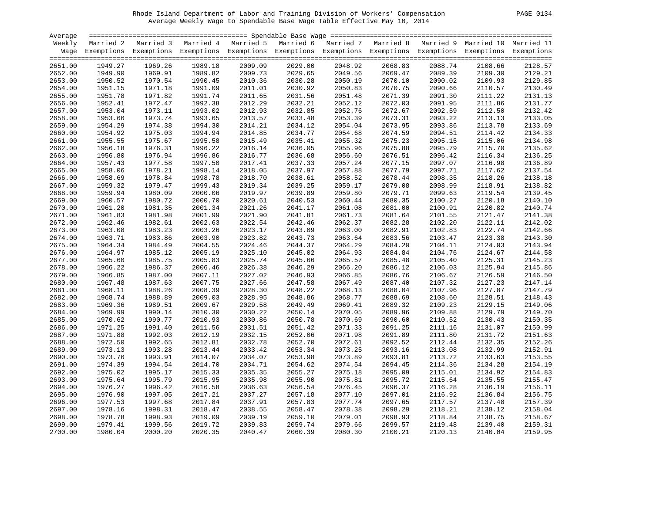| PAGE. | 01 |
|-------|----|
|       |    |

| Average            |                    |                                                                                                                    |                    |                    |                    |                    |                    |                    |                    |                    |
|--------------------|--------------------|--------------------------------------------------------------------------------------------------------------------|--------------------|--------------------|--------------------|--------------------|--------------------|--------------------|--------------------|--------------------|
| Weekly             |                    | Married 2 Married 3 Married 4 Married 5 Married 6 Married 7 Married 8 Married 9 Married 10 Married 11              |                    |                    |                    |                    |                    |                    |                    |                    |
|                    |                    | Wage Exemptions Exemptions Exemptions Exemptions Exemptions Exemptions Exemptions Exemptions Exemptions Exemptions |                    |                    |                    |                    |                    |                    |                    |                    |
| 2651.00            | 1949.27            | 1969.26                                                                                                            | 1989.18            | 2009.09            | 2029.00            | 2048.92            | 2068.83            | 2088.74            | 2108.66            | 2128.57            |
| 2652.00            | 1949.90            | 1969.91                                                                                                            | 1989.82            | 2009.73            | 2029.65            | 2049.56            | 2069.47            | 2089.39            | 2109.30            | 2129.21            |
| 2653.00            | 1950.52            | 1970.54                                                                                                            | 1990.45            | 2010.36            | 2030.28            | 2049.56<br>2050.19 | 2070.10            | 2090.02            | 2109.93            | 2129.85            |
| 2654.00            | 1951.15            | 1971.18                                                                                                            | 1991.09            | 2011.01            | 2030.92            | 2050.83            | 2070.75            | 2090.66            | 2110.57            | 2130.49            |
| 2655.00            | 1951.78            | 1971.82                                                                                                            | 1991.74            | 2011.65            | 2031.56            | 2051.48            | 2071.39            | 2091.30            | 2111.22            | 2131.13            |
| 2656.00            | 1952.41            | 1972.47                                                                                                            | 1992.38            | 2012.29            | 2032.21            | 2052.12            | 2072.03            | 2091.95            | 2111.86            | 2131.77            |
| 2657.00            | 1953.04            | 1973.11                                                                                                            | 1993.02            | 2012.93            | 2032.85            | 2052.76            | 2072.67            | 2092.59            | 2112.50            | 2132.42            |
| 2658.00            | 1953.66            | 1973.74                                                                                                            | 1993.65            | 2013.57            | 2033.48            | 2053.39            | 2073.31            | 2093.22            | 2113.13            | 2133.05            |
| 2659.00            | 1954.29            | 1974.38                                                                                                            | 1994.30            | 2014.21            | 2034.12            | 2054.04            | 2073.95            | 2093.86            | 2113.78            | 2133.69            |
| 2660.00            | 1954.92            | 1975.03                                                                                                            | 1994.94            | 2014.85            | 2034.77            | 2054.68            | 2074.59            | 2094.51            | 2114.42            | 2134.33            |
| 2661.00            | 1955.55            | 1975.67                                                                                                            | 1995.58            | 2015.49            | 2035.41            | 2055.32            | 2075.23            | 2095.15            | 2115.06            | 2134.98            |
| 2662.00            | 1956.18            | 1976.31                                                                                                            | 1996.22            | 2016.14            | 2036.05            | 2055.96            | 2075.88            | 2095.79            | 2115.70            | 2135.62            |
| 2663.00            | 1956.80            | 1976.94                                                                                                            | 1996.86            | 2016.77            | 2036.68            | 2056.60            | 2076.51            | 2096.42            | 2116.34            | 2136.25            |
| 2664.00            | 1957.43            | 1977.58                                                                                                            | 1997.50            | 2017.41            | 2037.33            | 2057.24            | 2077.15            | 2097.07            | 2116.98            | 2136.89            |
|                    | 1958.06            | 1978.21                                                                                                            | 1998.14            | 2018.05            | 2037.97            |                    | 2077.79            |                    |                    | 2137.54            |
| 2665.00            | 1958.69            | 1978.84                                                                                                            | 1998.78            |                    | 2038.61            | 2057.88<br>2058.52 | 2078.44            | 2097.71<br>2098.35 | 2117.62            | 2138.18            |
| 2666.00            | 1959.32            | 1979.47                                                                                                            | 1999.43            | 2018.70<br>2019.34 | 2039.25            | 2059.17            | 2079.08            | 2098.99            | 2118.26            | 2138.82            |
| 2667.00<br>2668.00 | 1959.94            | 1980.09                                                                                                            | 2000.06            | 2019.97            | 2039.89            | 2059.80            | 2079.71            | 2099.63            | 2118.91<br>2119.54 | 2139.45            |
| 2669.00            | 1960.57            | 1980.72                                                                                                            | 2000.70            | 2020.61            | 2040.53            | 2060.44            | 2080.35            | 2100.27            | 2120.18            | 2140.10            |
| 2670.00            | 1961.20            | 1981.35                                                                                                            | 2001.34            | 2021.26            | 2041.17            | 2061.08            | 2081.00            | 2100.91            | 2120.82            | 2140.74            |
| 2671.00            | 1961.83            | 1981.98                                                                                                            | 2001.99            | 2021.90            | 2041.81            | 2061.73            | 2081.64            | 2101.55            | 2121.47            | 2141.38            |
| 2672.00            | 1962.46            | 1982.61                                                                                                            | 2002.63            | 2022.54            | 2042.46            | 2062.37            | 2082.28            | 2102.20            | 2122.11            | 2142.02            |
| 2673.00            | 1963.08            | 1983.23                                                                                                            | 2003.26            | 2023.17            | 2043.09            | 2063.00            | 2082.91            | 2102.83            | 2122.74            | 2142.66            |
| 2674.00            | 1963.71            | 1983.86                                                                                                            | 2003.90            | 2023.82            | 2043.73            | 2063.64            | 2083.56            | 2103.47            | 2123.38            | 2143.30            |
| 2675.00            | 1964.34            | 1984.49                                                                                                            | 2004.55            | 2024.46            | 2044.37            | 2064.29            | 2084.20            | 2104.11            | 2124.03            | 2143.94            |
| 2676.00            | 1964.97            | 1985.12                                                                                                            | 2005.19            | 2025.10            | 2045.02            | 2064.93            | 2084.84            | 2104.76            | 2124.67            | 2144.58            |
| 2677.00            | 1965.60            | 1985.75                                                                                                            | 2005.83            | 2025.74            | 2045.66            | 2065.57            | 2085.48            | 2105.40            | 2125.31            | 2145.23            |
| 2678.00            | 1966.22            | 1986.37                                                                                                            | 2006.46            | 2026.38            | 2046.29            | 2066.20            | 2086.12            | 2106.03            | 2125.94            | 2145.86            |
| 2679.00            | 1966.85            | 1987.00                                                                                                            | 2007.11            | 2027.02            | 2046.93            | 2066.85            | 2086.76            | 2106.67            | 2126.59            | 2146.50            |
| 2680.00            | 1967.48            | 1987.63                                                                                                            | 2007.75            | 2027.66            | 2047.58            | 2067.49            | 2087.40            | 2107.32            | 2127.23            | 2147.14            |
| 2681.00            | 1968.11            | 1988.26                                                                                                            | 2008.39            | 2028.30            | 2048.22            | 2068.13            | 2088.04            | 2107.96            | 2127.87            | 2147.79            |
| 2682.00            | 1968.74            | 1988.89                                                                                                            | 2009.03            | 2028.95            | 2048.86            | 2068.77            | 2088.69            | 2108.60            | 2128.51            | 2148.43            |
| 2683.00            | 1969.36            | 1989.51                                                                                                            | 2009.67            | 2029.58            | 2049.49            | 2069.41            | 2089.32            | 2109.23            | 2129.15            | 2149.06            |
| 2684.00            | 1969.99            | 1990.14                                                                                                            | 2010.30            | 2030.22            | 2050.14            | 2070.05            | 2089.96            | 2109.88            | 2129.79            | 2149.70            |
| 2685.00            | 1970.62            | 1990.77                                                                                                            | 2010.93            | 2030.86            | 2050.78            | 2070.69            | 2090.60            | 2110.52            | 2130.43            | 2150.35            |
| 2686.00            | 1971.25            | 1991.40                                                                                                            | 2011.56            | 2031.51            | 2051.42            | 2071.33            | 2091.25            | 2111.16            | 2131.07            | 2150.99            |
| 2687.00            | 1971.88            | 1992.03                                                                                                            | 2012.19            | 2032.15            | 2052.06            | 2071.98            | 2091.89            | 2111.80            | 2131.72            | 2151.63            |
| 2688.00            | 1972.50            | 1992.65                                                                                                            | 2012.81            | 2032.78            | 2052.70            | 2072.61            | 2092.52            | 2112.44            | 2132.35            | 2152.26            |
|                    | 1973.13            | 1993.28                                                                                                            |                    | 2033.42            | 2053.34            | 2073.25            | 2093.16            |                    |                    |                    |
| 2689.00            |                    |                                                                                                                    | 2013.44            |                    |                    |                    |                    | 2113.08            | 2132.99            | 2152.91<br>2153.55 |
| 2690.00            | 1973.76            | 1993.91                                                                                                            | 2014.07            | 2034.07            | 2053.98            | 2073.89            | 2093.81            | 2113.72            | 2133.63            | 2154.19            |
| 2691.00<br>2692.00 | 1974.39<br>1975.02 | 1994.54<br>1995.17                                                                                                 | 2014.70            | 2034.71<br>2035.35 | 2054.62<br>2055.27 | 2074.54            | 2094.45            | 2114.36            | 2134.28            |                    |
| 2693.00            | 1975.64            | 1995.79                                                                                                            | 2015.33<br>2015.95 | 2035.98            | 2055.90            | 2075.18<br>2075.81 | 2095.09<br>2095.72 | 2115.01<br>2115.64 | 2134.92<br>2135.55 | 2154.83<br>2155.47 |
| 2694.00            | 1976.27            | 1996.42                                                                                                            | 2016.58            | 2036.63            | 2056.54            | 2076.45            | 2096.37            | 2116.28            | 2136.19            | 2156.11            |
|                    |                    | 1997.05                                                                                                            |                    | 2037.27            |                    | 2077.10            |                    | 2116.92            |                    | 2156.75            |
| 2695.00            | 1976.90            | 1997.68                                                                                                            | 2017.21            |                    | 2057.18            |                    | 2097.01            |                    | 2136.84            | 2157.39            |
| 2696.00<br>2697.00 | 1977.53<br>1978.16 | 1998.31                                                                                                            | 2017.84            | 2037.91<br>2038.55 | 2057.83            | 2077.74            | 2097.65<br>2098.29 | 2117.57            | 2137.48            | 2158.04            |
|                    |                    |                                                                                                                    | 2018.47            | 2039.19            | 2058.47            | 2078.38            |                    | 2118.21            | 2138.12            | 2158.67            |
| 2698.00            | 1978.78<br>1979.41 | 1998.93<br>1999.56                                                                                                 | 2019.09            | 2039.83            | 2059.10<br>2059.74 | 2079.01<br>2079.66 | 2098.93<br>2099.57 | 2118.84<br>2119.48 | 2138.75<br>2139.40 | 2159.31            |
| 2699.00            |                    |                                                                                                                    | 2019.72            |                    |                    |                    |                    |                    |                    |                    |
| 2700.00            | 1980.04            | 2000.20                                                                                                            | 2020.35            | 2040.47            | 2060.39            | 2080.30            | 2100.21            | 2120.13            | 2140.04            | 2159.95            |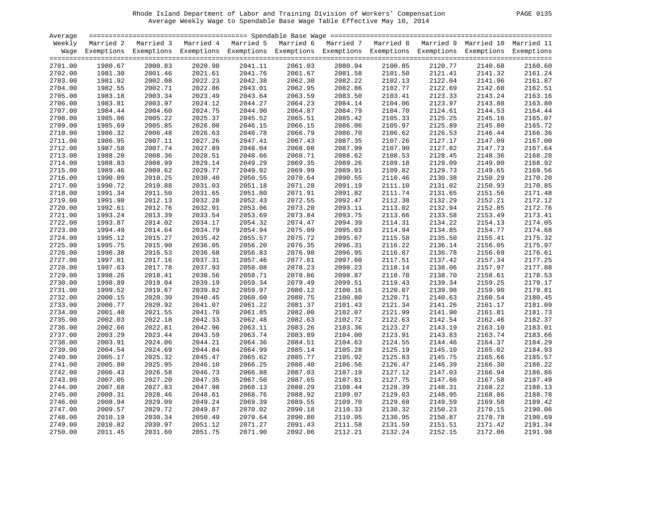| <b>PAGE</b> | 0135 |
|-------------|------|
|             |      |

| Average |         |                                                                                                                    |         |         |         |         |         |         |         |         |
|---------|---------|--------------------------------------------------------------------------------------------------------------------|---------|---------|---------|---------|---------|---------|---------|---------|
| Weekly  |         | Married 2 Married 3 Married 4 Married 5 Married 6 Married 7 Married 8 Married 9 Married 10 Married 11              |         |         |         |         |         |         |         |         |
|         |         | Wage Exemptions Exemptions Exemptions Exemptions Exemptions Exemptions Exemptions Exemptions Exemptions Exemptions |         |         |         |         |         |         |         |         |
|         |         |                                                                                                                    |         |         |         |         |         |         |         |         |
| 2701.00 | 1980.67 | 2000.83                                                                                                            | 2020.98 | 2041.11 | 2061.03 | 2080.94 | 2100.85 | 2120.77 | 2140.68 | 2160.60 |
| 2702.00 | 1981.30 | 2001.46                                                                                                            | 2021.61 | 2041.76 | 2061.67 | 2081.58 | 2101.50 | 2121.41 | 2141.32 | 2161.24 |
| 2703.00 | 1981.92 | 2002.08                                                                                                            | 2022.23 | 2042.38 | 2062.30 | 2082.22 | 2102.13 | 2122.04 | 2141.96 | 2161.87 |
| 2704.00 | 1982.55 | 2002.71                                                                                                            | 2022.86 | 2043.01 | 2062.95 | 2082.86 | 2102.77 | 2122.69 | 2142.60 | 2162.51 |
| 2705.00 | 1983.18 | 2003.34                                                                                                            | 2023.49 | 2043.64 | 2063.59 | 2083.50 | 2103.41 | 2123.33 | 2143.24 | 2163.16 |
| 2706.00 | 1983.81 | 2003.97                                                                                                            | 2024.12 | 2044.27 | 2064.23 | 2084.14 | 2104.06 | 2123.97 | 2143.88 | 2163.80 |
| 2707.00 | 1984.44 | 2004.60                                                                                                            | 2024.75 | 2044.90 | 2064.87 | 2084.79 | 2104.70 | 2124.61 | 2144.53 | 2164.44 |
| 2708.00 | 1985.06 | 2005.22                                                                                                            | 2025.37 | 2045.52 | 2065.51 | 2085.42 | 2105.33 | 2125.25 | 2145.16 | 2165.07 |
| 2709.00 | 1985.69 | 2005.85                                                                                                            | 2026.00 | 2046.15 | 2066.15 | 2086.06 | 2105.97 | 2125.89 | 2145.80 | 2165.72 |
| 2710.00 | 1986.32 | 2006.48                                                                                                            | 2026.63 | 2046.78 | 2066.79 | 2086.70 | 2106.62 | 2126.53 | 2146.44 | 2166.36 |
| 2711.00 | 1986.95 | 2007.11                                                                                                            | 2027.26 | 2047.41 | 2067.43 | 2087.35 | 2107.26 | 2127.17 | 2147.09 | 2167.00 |
| 2712.00 | 1987.58 | 2007.74                                                                                                            | 2027.89 | 2048.04 | 2068.08 | 2087.99 | 2107.90 | 2127.82 | 2147.73 | 2167.64 |
| 2713.00 | 1988.20 | 2008.36                                                                                                            | 2028.51 | 2048.66 | 2068.71 | 2088.62 | 2108.53 | 2128.45 | 2148.36 | 2168.28 |
| 2714.00 | 1988.83 | 2008.99                                                                                                            | 2029.14 | 2049.29 | 2069.35 | 2089.26 | 2109.18 | 2129.09 | 2149.00 | 2168.92 |
| 2715.00 | 1989.46 | 2009.62                                                                                                            | 2029.77 | 2049.92 | 2069.99 | 2089.91 | 2109.82 | 2129.73 | 2149.65 | 2169.56 |
| 2716.00 | 1990.09 | 2010.25                                                                                                            | 2030.40 | 2050.55 | 2070.64 | 2090.55 | 2110.46 | 2130.38 | 2150.29 | 2170.20 |
| 2717.00 | 1990.72 | 2010.88                                                                                                            | 2031.03 | 2051.18 | 2071.28 | 2091.19 | 2111.10 | 2131.02 | 2150.93 | 2170.85 |
| 2718.00 | 1991.34 | 2011.50                                                                                                            | 2031.65 | 2051.80 | 2071.91 | 2091.82 | 2111.74 | 2131.65 | 2151.56 | 2171.48 |
| 2719.00 | 1991.98 | 2012.13                                                                                                            | 2032.28 | 2052.43 | 2072.55 | 2092.47 | 2112.38 | 2132.29 | 2152.21 | 2172.12 |
| 2720.00 | 1992.61 | 2012.76                                                                                                            | 2032.91 | 2053.06 | 2073.20 | 2093.11 | 2113.02 | 2132.94 | 2152.85 | 2172.76 |
| 2721.00 | 1993.24 | 2013.39                                                                                                            | 2033.54 | 2053.69 | 2073.84 | 2093.75 | 2113.66 | 2133.58 | 2153.49 | 2173.41 |
| 2722.00 | 1993.87 | 2014.02                                                                                                            | 2034.17 | 2054.32 | 2074.47 | 2094.39 | 2114.31 | 2134.22 | 2154.13 | 2174.05 |
| 2723.00 | 1994.49 | 2014.64                                                                                                            | 2034.79 | 2054.94 | 2075.09 | 2095.03 | 2114.94 | 2134.85 | 2154.77 | 2174.68 |
| 2724.00 | 1995.12 | 2015.27                                                                                                            | 2035.42 | 2055.57 | 2075.72 | 2095.67 | 2115.58 | 2135.50 | 2155.41 | 2175.32 |
| 2725.00 | 1995.75 | 2015.90                                                                                                            | 2036.05 | 2056.20 | 2076.35 | 2096.31 | 2116.22 | 2136.14 | 2156.05 | 2175.97 |
| 2726.00 | 1996.38 | 2016.53                                                                                                            | 2036.68 | 2056.83 | 2076.98 | 2096.95 | 2116.87 | 2136.78 | 2156.69 | 2176.61 |
| 2727.00 | 1997.01 | 2017.16                                                                                                            | 2037.31 | 2057.46 | 2077.61 | 2097.60 | 2117.51 | 2137.42 | 2157.34 | 2177.25 |
| 2728.00 | 1997.63 | 2017.78                                                                                                            | 2037.93 | 2058.08 | 2078.23 | 2098.23 | 2118.14 | 2138.06 | 2157.97 | 2177.88 |
| 2729.00 | 1998.26 | 2018.41                                                                                                            | 2038.56 | 2058.71 | 2078.86 | 2098.87 | 2118.78 | 2138.70 | 2158.61 | 2178.53 |
| 2730.00 | 1998.89 | 2019.04                                                                                                            | 2039.19 | 2059.34 | 2079.49 | 2099.51 | 2119.43 | 2139.34 | 2159.25 | 2179.17 |
| 2731.00 | 1999.52 | 2019.67                                                                                                            | 2039.82 | 2059.97 | 2080.12 | 2100.16 | 2120.07 | 2139.98 | 2159.90 | 2179.81 |
| 2732.00 | 2000.15 | 2020.30                                                                                                            | 2040.45 | 2060.60 | 2080.75 | 2100.80 | 2120.71 | 2140.63 | 2160.54 | 2180.45 |
| 2733.00 | 2000.77 | 2020.92                                                                                                            | 2041.07 | 2061.22 | 2081.37 | 2101.43 | 2121.34 | 2141.26 | 2161.17 | 2181.09 |
| 2734.00 | 2001.40 | 2021.55                                                                                                            | 2041.70 | 2061.85 | 2082.00 | 2102.07 | 2121.99 | 2141.90 | 2161.81 | 2181.73 |
| 2735.00 | 2002.03 | 2022.18                                                                                                            | 2042.33 | 2062.48 | 2082.63 | 2102.72 | 2122.63 | 2142.54 | 2162.46 | 2182.37 |
| 2736.00 | 2002.66 | 2022.81                                                                                                            | 2042.96 | 2063.11 | 2083.26 | 2103.36 | 2123.27 | 2143.19 | 2163.10 | 2183.01 |
| 2737.00 | 2003.29 | 2023.44                                                                                                            | 2043.59 | 2063.74 | 2083.89 | 2104.00 | 2123.91 | 2143.83 | 2163.74 | 2183.66 |
| 2738.00 | 2003.91 | 2024.06                                                                                                            | 2044.21 | 2064.36 | 2084.51 | 2104.63 | 2124.55 | 2144.46 | 2164.37 | 2184.29 |
| 2739.00 | 2004.54 | 2024.69                                                                                                            | 2044.84 | 2064.99 | 2085.14 | 2105.28 | 2125.19 | 2145.10 | 2165.02 | 2184.93 |
| 2740.00 | 2005.17 | 2025.32                                                                                                            | 2045.47 | 2065.62 | 2085.77 | 2105.92 | 2125.83 | 2145.75 | 2165.66 | 2185.57 |
| 2741.00 | 2005.80 | 2025.95                                                                                                            | 2046.10 | 2066.25 | 2086.40 | 2106.56 | 2126.47 | 2146.39 | 2166.30 | 2186.22 |
| 2742.00 | 2006.43 | 2026.58                                                                                                            | 2046.73 | 2066.88 | 2087.03 | 2107.19 | 2127.12 | 2147.03 | 2166.94 | 2186.86 |
| 2743.00 | 2007.05 | 2027.20                                                                                                            | 2047.35 | 2067.50 | 2087.65 | 2107.81 | 2127.75 | 2147.66 | 2167.58 | 2187.49 |
| 2744.00 | 2007.68 | 2027.83                                                                                                            | 2047.98 | 2068.13 | 2088.29 | 2108.44 | 2128.39 | 2148.31 | 2168.22 | 2188.13 |
| 2745.00 | 2008.31 | 2028.46                                                                                                            | 2048.61 | 2068.76 | 2088.92 | 2109.07 | 2129.03 | 2148.95 | 2168.86 | 2188.78 |
| 2746.00 |         | 2029.09                                                                                                            | 2049.24 | 2069.39 | 2089.55 |         | 2129.68 |         |         | 2189.42 |
|         | 2008.94 |                                                                                                                    |         |         |         | 2109.70 |         | 2149.59 | 2169.50 |         |
| 2747.00 | 2009.57 | 2029.72                                                                                                            | 2049.87 | 2070.02 | 2090.18 | 2110.33 | 2130.32 | 2150.23 | 2170.15 | 2190.06 |
| 2748.00 | 2010.19 | 2030.34                                                                                                            | 2050.49 | 2070.64 | 2090.80 | 2110.95 | 2130.95 | 2150.87 | 2170.78 | 2190.69 |
| 2749.00 | 2010.82 | 2030.97                                                                                                            | 2051.12 | 2071.27 | 2091.43 | 2111.58 | 2131.59 | 2151.51 | 2171.42 | 2191.34 |
| 2750.00 | 2011.45 | 2031.60                                                                                                            | 2051.75 | 2071.90 | 2092.06 | 2112.21 | 2132.24 | 2152.15 | 2172.06 | 2191.98 |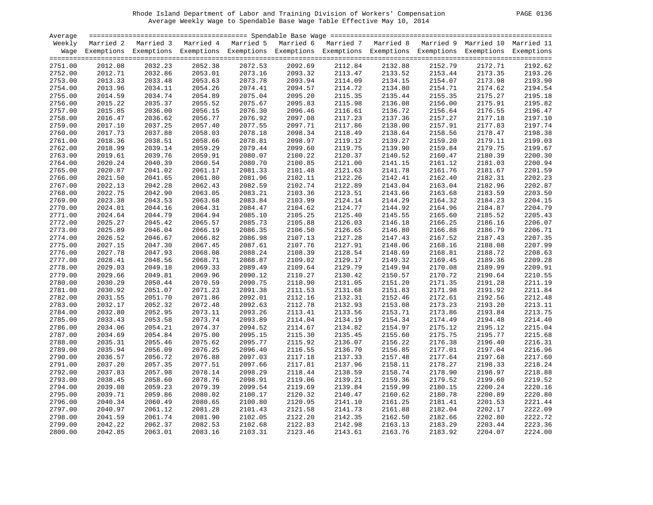| <b>PAGE</b> | 0136 |
|-------------|------|
|             |      |

| Average |         |                                                                                                                    |                    |                    |         |         |         |         |                    |         |
|---------|---------|--------------------------------------------------------------------------------------------------------------------|--------------------|--------------------|---------|---------|---------|---------|--------------------|---------|
| Weekly  |         | Married 2 Married 3 Married 4 Married 5 Married 6 Married 7 Married 8 Married 9 Married 10 Married 11              |                    |                    |         |         |         |         |                    |         |
|         |         | Wage Exemptions Exemptions Exemptions Exemptions Exemptions Exemptions Exemptions Exemptions Exemptions Exemptions |                    |                    |         |         |         |         |                    |         |
| 2751.00 | 2012.08 | 2032.23                                                                                                            | 2052.38            | 2072.53            | 2092.69 | 2112.84 | 2132.88 | 2152.79 | 2172.71            | 2192.62 |
| 2752.00 | 2012.71 | 2032.86                                                                                                            | 2053.01            | 2073.16            | 2093.32 | 2113.47 | 2133.52 | 2153.44 | 2173.35            | 2193.26 |
| 2753.00 | 2013.33 | 2033.48                                                                                                            |                    |                    | 2093.94 | 2114.09 | 2134.15 | 2154.07 |                    | 2193.90 |
| 2754.00 | 2013.96 | 2034.11                                                                                                            | 2053.63<br>2054.26 | 2073.78<br>2074.41 | 2094.57 | 2114.72 | 2134.80 | 2154.71 | 2173.98<br>2174.62 | 2194.54 |
| 2755.00 | 2014.59 | 2034.74                                                                                                            | 2054.89            | 2075.04            | 2095.20 | 2115.35 | 2135.44 | 2155.35 | 2175.27            | 2195.18 |
| 2756.00 | 2015.22 | 2035.37                                                                                                            | 2055.52            | 2075.67            | 2095.83 | 2115.98 | 2136.08 | 2156.00 | 2175.91            | 2195.82 |
| 2757.00 | 2015.85 | 2036.00                                                                                                            | 2056.15            | 2076.30            | 2096.46 | 2116.61 | 2136.72 | 2156.64 | 2176.55            | 2196.47 |
| 2758.00 |         | 2036.62                                                                                                            | 2056.77            | 2076.92            | 2097.08 |         | 2137.36 | 2157.27 |                    | 2197.10 |
|         | 2016.47 |                                                                                                                    |                    |                    |         | 2117.23 |         |         | 2177.18            |         |
| 2759.00 | 2017.10 | 2037.25                                                                                                            | 2057.40            | 2077.55            | 2097.71 | 2117.86 | 2138.00 | 2157.91 | 2177.83            | 2197.74 |
| 2760.00 | 2017.73 | 2037.88                                                                                                            | 2058.03            | 2078.18            | 2098.34 | 2118.49 | 2138.64 | 2158.56 | 2178.47            | 2198.38 |
| 2761.00 | 2018.36 | 2038.51                                                                                                            | 2058.66            | 2078.81            | 2098.97 | 2119.12 | 2139.27 | 2159.20 | 2179.11            | 2199.03 |
| 2762.00 | 2018.99 | 2039.14                                                                                                            | 2059.29            | 2079.44            | 2099.60 | 2119.75 | 2139.90 | 2159.84 | 2179.75            | 2199.67 |
| 2763.00 | 2019.61 | 2039.76                                                                                                            | 2059.91            | 2080.07            | 2100.22 | 2120.37 | 2140.52 | 2160.47 | 2180.39            | 2200.30 |
| 2764.00 | 2020.24 | 2040.39                                                                                                            | 2060.54            | 2080.70            | 2100.85 | 2121.00 | 2141.15 | 2161.12 | 2181.03            | 2200.94 |
| 2765.00 | 2020.87 | 2041.02                                                                                                            | 2061.17            | 2081.33            | 2101.48 | 2121.63 | 2141.78 | 2161.76 | 2181.67            | 2201.59 |
| 2766.00 | 2021.50 | 2041.65                                                                                                            | 2061.80            | 2081.96            | 2102.11 | 2122.26 | 2142.41 | 2162.40 | 2182.31            | 2202.23 |
| 2767.00 | 2022.13 | 2042.28                                                                                                            | 2062.43            | 2082.59            | 2102.74 | 2122.89 | 2143.04 | 2163.04 | 2182.96            | 2202.87 |
| 2768.00 | 2022.75 | 2042.90                                                                                                            | 2063.05            | 2083.21            | 2103.36 | 2123.51 | 2143.66 | 2163.68 | 2183.59            | 2203.50 |
| 2769.00 | 2023.38 | 2043.53                                                                                                            | 2063.68            | 2083.84            | 2103.99 | 2124.14 | 2144.29 | 2164.32 | 2184.23            | 2204.15 |
| 2770.00 | 2024.01 | 2044.16                                                                                                            | 2064.31            | 2084.47            | 2104.62 | 2124.77 | 2144.92 | 2164.96 | 2184.87            | 2204.79 |
| 2771.00 | 2024.64 | 2044.79                                                                                                            | 2064.94            | 2085.10            | 2105.25 | 2125.40 | 2145.55 | 2165.60 | 2185.52            | 2205.43 |
| 2772.00 | 2025.27 | 2045.42                                                                                                            | 2065.57            | 2085.73            | 2105.88 | 2126.03 | 2146.18 | 2166.25 | 2186.16            | 2206.07 |
| 2773.00 | 2025.89 | 2046.04                                                                                                            | 2066.19            | 2086.35            | 2106.50 | 2126.65 | 2146.80 | 2166.88 | 2186.79            | 2206.71 |
| 2774.00 | 2026.52 | 2046.67                                                                                                            | 2066.82            | 2086.98            | 2107.13 | 2127.28 | 2147.43 | 2167.52 | 2187.43            | 2207.35 |
| 2775.00 | 2027.15 | 2047.30                                                                                                            | 2067.45            | 2087.61            | 2107.76 | 2127.91 | 2148.06 | 2168.16 | 2188.08            | 2207.99 |
| 2776.00 | 2027.78 | 2047.93                                                                                                            | 2068.08            | 2088.24            | 2108.39 | 2128.54 | 2148.69 | 2168.81 | 2188.72            | 2208.63 |
| 2777.00 | 2028.41 | 2048.56                                                                                                            | 2068.71            | 2088.87            | 2109.02 | 2129.17 | 2149.32 | 2169.45 | 2189.36            | 2209.28 |
| 2778.00 | 2029.03 | 2049.18                                                                                                            | 2069.33            | 2089.49            | 2109.64 | 2129.79 | 2149.94 | 2170.08 | 2189.99            | 2209.91 |
| 2779.00 | 2029.66 | 2049.81                                                                                                            | 2069.96            | 2090.12            | 2110.27 | 2130.42 | 2150.57 | 2170.72 | 2190.64            | 2210.55 |
| 2780.00 | 2030.29 | 2050.44                                                                                                            | 2070.59            | 2090.75            | 2110.90 | 2131.05 | 2151.20 | 2171.35 | 2191.28            | 2211.19 |
| 2781.00 | 2030.92 | 2051.07                                                                                                            | 2071.23            | 2091.38            | 2111.53 | 2131.68 | 2151.83 | 2171.98 | 2191.92            | 2211.84 |
| 2782.00 | 2031.55 | 2051.70                                                                                                            | 2071.86            | 2092.01            | 2112.16 | 2132.31 | 2152.46 | 2172.61 | 2192.56            | 2212.48 |
| 2783.00 | 2032.17 | 2052.32                                                                                                            | 2072.48            | 2092.63            | 2112.78 | 2132.93 | 2153.08 | 2173.23 | 2193.20            | 2213.11 |
| 2784.00 | 2032.80 | 2052.95                                                                                                            | 2073.11            | 2093.26            | 2113.41 | 2133.56 | 2153.71 | 2173.86 | 2193.84            | 2213.75 |
| 2785.00 | 2033.43 | 2053.58                                                                                                            | 2073.74            | 2093.89            | 2114.04 | 2134.19 | 2154.34 | 2174.49 | 2194.48            | 2214.40 |
| 2786.00 | 2034.06 | 2054.21                                                                                                            | 2074.37            | 2094.52            | 2114.67 | 2134.82 | 2154.97 | 2175.12 | 2195.12            | 2215.04 |
| 2787.00 | 2034.69 | 2054.84                                                                                                            | 2075.00            | 2095.15            | 2115.30 | 2135.45 | 2155.60 | 2175.75 | 2195.77            | 2215.68 |
| 2788.00 | 2035.31 | 2055.46                                                                                                            | 2075.62            | 2095.77            | 2115.92 | 2136.07 | 2156.22 | 2176.38 | 2196.40            | 2216.31 |
| 2789.00 | 2035.94 | 2056.09                                                                                                            | 2076.25            | 2096.40            | 2116.55 | 2136.70 | 2156.85 | 2177.01 | 2197.04            | 2216.96 |
| 2790.00 | 2036.57 | 2056.72                                                                                                            | 2076.88            | 2097.03            | 2117.18 | 2137.33 | 2157.48 | 2177.64 | 2197.68            | 2217.60 |
| 2791.00 | 2037.20 | 2057.35                                                                                                            | 2077.51            | 2097.66            | 2117.81 | 2137.96 | 2158.11 | 2178.27 | 2198.33            | 2218.24 |
| 2792.00 | 2037.83 | 2057.98                                                                                                            | 2078.14            | 2098.29            | 2118.44 | 2138.59 | 2158.74 | 2178.90 | 2198.97            | 2218.88 |
| 2793.00 | 2038.45 | 2058.60                                                                                                            | 2078.76            | 2098.91            | 2119.06 | 2139.21 | 2159.36 | 2179.52 | 2199.60            | 2219.52 |
| 2794.00 | 2039.08 | 2059.23                                                                                                            | 2079.39            | 2099.54            | 2119.69 | 2139.84 | 2159.99 | 2180.15 | 2200.24            | 2220.16 |
| 2795.00 | 2039.71 | 2059.86                                                                                                            | 2080.02            | 2100.17            | 2120.32 | 2140.47 | 2160.62 | 2180.78 | 2200.89            | 2220.80 |
| 2796.00 | 2040.34 | 2060.49                                                                                                            | 2080.65            | 2100.80            | 2120.95 | 2141.10 | 2161.25 | 2181.41 | 2201.53            | 2221.44 |
| 2797.00 | 2040.97 | 2061.12                                                                                                            | 2081.28            | 2101.43            | 2121.58 | 2141.73 | 2161.88 | 2182.04 | 2202.17            | 2222.09 |
| 2798.00 | 2041.59 | 2061.74                                                                                                            | 2081.90            | 2102.05            | 2122.20 | 2142.35 | 2162.50 | 2182.66 | 2202.80            | 2222.72 |
| 2799.00 | 2042.22 | 2062.37                                                                                                            | 2082.53            | 2102.68            | 2122.83 | 2142.98 | 2163.13 | 2183.29 | 2203.44            | 2223.36 |
| 2800.00 | 2042.85 | 2063.01                                                                                                            | 2083.16            | 2103.31            | 2123.46 | 2143.61 | 2163.76 | 2183.92 | 2204.07            | 2224.00 |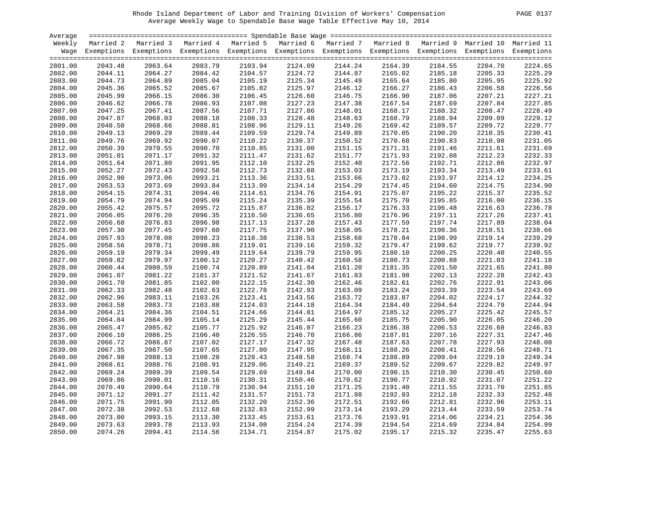| PAGE |  |
|------|--|
|      |  |

| Average            |         |                                                                                                                    |         |         |         |                    |         |         |         |         |
|--------------------|---------|--------------------------------------------------------------------------------------------------------------------|---------|---------|---------|--------------------|---------|---------|---------|---------|
| Weekly             |         | Married 2 Married 3 Married 4 Married 5 Married 6 Married 7 Married 8 Married 9 Married 10 Married 11              |         |         |         |                    |         |         |         |         |
|                    |         | Wage Exemptions Exemptions Exemptions Exemptions Exemptions Exemptions Exemptions Exemptions Exemptions Exemptions |         |         |         |                    |         |         |         |         |
| 2801.00            | 2043.48 | 2063.64                                                                                                            | 2083.79 | 2103.94 | 2124.09 | 2144.24            | 2164.39 | 2184.55 | 2204.70 | 2224.65 |
| 2802.00            | 2044.11 | 2064.27                                                                                                            | 2084.42 | 2104.57 | 2124.72 | 2144.87            | 2165.02 | 2185.18 | 2205.33 | 2225.29 |
| 2803.00            | 2044.73 | 2064.89                                                                                                            | 2085.04 | 2105.19 | 2125.34 | 2144.87<br>2145.49 | 2165.64 | 2185.80 | 2205.95 | 2225.92 |
| 2804.00            | 2045.36 | 2065.52                                                                                                            | 2085.67 | 2105.82 | 2125.97 | 2146.12            | 2166.27 | 2186.43 | 2206.58 | 2226.56 |
|                    | 2045.99 | 2066.15                                                                                                            | 2086.30 | 2106.45 | 2126.60 | 2146.75            | 2166.90 | 2187.06 | 2207.21 | 2227.21 |
| 2805.00<br>2806.00 | 2046.62 | 2066.78                                                                                                            | 2086.93 | 2107.08 | 2127.23 | 2147.38            | 2167.54 | 2187.69 | 2207.84 | 2227.85 |
|                    |         |                                                                                                                    |         |         |         |                    | 2168.17 |         |         | 2228.49 |
| 2807.00            | 2047.25 | 2067.41                                                                                                            | 2087.56 | 2107.71 | 2127.86 | 2148.01            |         | 2188.32 | 2208.47 | 2229.12 |
| 2808.00            | 2047.87 | 2068.03                                                                                                            | 2088.18 | 2108.33 | 2128.48 | 2148.63            | 2168.79 | 2188.94 | 2209.09 |         |
| 2809.00            | 2048.50 | 2068.66                                                                                                            | 2088.81 | 2108.96 | 2129.11 | 2149.26            | 2169.42 | 2189.57 | 2209.72 | 2229.77 |
| 2810.00            | 2049.13 | 2069.29                                                                                                            | 2089.44 | 2109.59 | 2129.74 | 2149.89            | 2170.05 | 2190.20 | 2210.35 | 2230.41 |
| 2811.00            | 2049.76 | 2069.92                                                                                                            | 2090.07 | 2110.22 | 2130.37 | 2150.52            | 2170.68 | 2190.83 | 2210.98 | 2231.05 |
| 2812.00            | 2050.39 | 2070.55                                                                                                            | 2090.70 | 2110.85 | 2131.00 | 2151.15            | 2171.31 | 2191.46 | 2211.61 | 2231.69 |
| 2813.00            | 2051.01 | 2071.17                                                                                                            | 2091.32 | 2111.47 | 2131.62 | 2151.77            | 2171.93 | 2192.08 | 2212.23 | 2232.33 |
| 2814.00            | 2051.64 | 2071.80                                                                                                            | 2091.95 | 2112.10 | 2132.25 | 2152.40            | 2172.56 | 2192.71 | 2212.86 | 2232.97 |
| 2815.00            | 2052.27 | 2072.43                                                                                                            | 2092.58 | 2112.73 | 2132.88 | 2153.03            | 2173.19 | 2193.34 | 2213.49 | 2233.61 |
| 2816.00            | 2052.90 | 2073.06                                                                                                            | 2093.21 | 2113.36 | 2133.51 | 2153.66            | 2173.82 | 2193.97 | 2214.12 | 2234.25 |
| 2817.00            | 2053.53 | 2073.69                                                                                                            | 2093.84 | 2113.99 | 2134.14 | 2154.29            | 2174.45 | 2194.60 | 2214.75 | 2234.90 |
| 2818.00            | 2054.15 | 2074.31                                                                                                            | 2094.46 | 2114.61 | 2134.76 | 2154.91            | 2175.07 | 2195.22 | 2215.37 | 2235.52 |
| 2819.00            | 2054.79 | 2074.94                                                                                                            | 2095.09 | 2115.24 | 2135.39 | 2155.54            | 2175.70 | 2195.85 | 2216.00 | 2236.15 |
| 2820.00            | 2055.42 | 2075.57                                                                                                            | 2095.72 | 2115.87 | 2136.02 | 2156.17            | 2176.33 | 2196.48 | 2216.63 | 2236.78 |
| 2821.00            | 2056.05 | 2076.20                                                                                                            | 2096.35 | 2116.50 | 2136.65 | 2156.80            | 2176.96 | 2197.11 | 2217.26 | 2237.41 |
| 2822.00            | 2056.68 | 2076.83                                                                                                            | 2096.98 | 2117.13 | 2137.28 | 2157.43            | 2177.59 | 2197.74 | 2217.89 | 2238.04 |
| 2823.00            | 2057.30 | 2077.45                                                                                                            | 2097.60 | 2117.75 | 2137.90 | 2158.05            | 2178.21 | 2198.36 | 2218.51 | 2238.66 |
| 2824.00            | 2057.93 | 2078.08                                                                                                            | 2098.23 | 2118.38 | 2138.53 | 2158.68            | 2178.84 | 2198.99 | 2219.14 | 2239.29 |
| 2825.00            | 2058.56 | 2078.71                                                                                                            | 2098.86 | 2119.01 | 2139.16 | 2159.32            | 2179.47 | 2199.62 | 2219.77 | 2239.92 |
| 2826.00            | 2059.19 | 2079.34                                                                                                            | 2099.49 | 2119.64 | 2139.79 | 2159.95            | 2180.10 | 2200.25 | 2220.40 | 2240.55 |
| 2827.00            | 2059.82 | 2079.97                                                                                                            | 2100.12 | 2120.27 | 2140.42 | 2160.58            | 2180.73 | 2200.88 | 2221.03 | 2241.18 |
| 2828.00            | 2060.44 | 2080.59                                                                                                            | 2100.74 | 2120.89 | 2141.04 | 2161.20            | 2181.35 | 2201.50 | 2221.65 | 2241.80 |
| 2829.00            | 2061.07 | 2081.22                                                                                                            | 2101.37 | 2121.52 | 2141.67 | 2161.83            | 2181.98 | 2202.13 | 2222.28 | 2242.43 |
| 2830.00            | 2061.70 | 2081.85                                                                                                            | 2102.00 | 2122.15 | 2142.30 | 2162.46            | 2182.61 | 2202.76 | 2222.91 | 2243.06 |
| 2831.00            | 2062.33 | 2082.48                                                                                                            | 2102.63 | 2122.78 | 2142.93 | 2163.09            | 2183.24 | 2203.39 | 2223.54 | 2243.69 |
| 2832.00            | 2062.96 | 2083.11                                                                                                            | 2103.26 | 2123.41 | 2143.56 | 2163.72            | 2183.87 | 2204.02 | 2224.17 | 2244.32 |
| 2833.00            | 2063.58 | 2083.73                                                                                                            | 2103.88 | 2124.03 | 2144.18 | 2164.34            | 2184.49 | 2204.64 | 2224.79 | 2244.94 |
| 2834.00            | 2064.21 | 2084.36                                                                                                            | 2104.51 | 2124.66 | 2144.81 | 2164.97            | 2185.12 | 2205.27 | 2225.42 | 2245.57 |
| 2835.00            | 2064.84 | 2084.99                                                                                                            | 2105.14 | 2125.29 | 2145.44 | 2165.60            | 2185.75 | 2205.90 | 2226.05 | 2246.20 |
| 2836.00            | 2065.47 | 2085.62                                                                                                            | 2105.77 | 2125.92 | 2146.07 | 2166.23            | 2186.38 | 2206.53 | 2226.68 | 2246.83 |
| 2837.00            | 2066.10 | 2086.25                                                                                                            | 2106.40 | 2126.55 | 2146.70 | 2166.86            | 2187.01 | 2207.16 | 2227.31 | 2247.46 |
| 2838.00            | 2066.72 | 2086.87                                                                                                            | 2107.02 | 2127.17 | 2147.32 | 2167.48            | 2187.63 | 2207.78 | 2227.93 | 2248.08 |
| 2839.00            | 2067.35 | 2087.50                                                                                                            | 2107.65 | 2127.80 | 2147.95 | 2168.11            | 2188.26 | 2208.41 | 2228.56 | 2248.71 |
| 2840.00            | 2067.98 | 2088.13                                                                                                            | 2108.28 | 2128.43 | 2148.58 | 2168.74            | 2188.89 | 2209.04 | 2229.19 | 2249.34 |
| 2841.00            | 2068.61 | 2088.76                                                                                                            | 2108.91 | 2129.06 | 2149.21 | 2169.37            | 2189.52 | 2209.67 | 2229.82 | 2249.97 |
| 2842.00            | 2069.24 | 2089.39                                                                                                            | 2109.54 | 2129.69 | 2149.84 | 2170.00            | 2190.15 | 2210.30 | 2230.45 | 2250.60 |
| 2843.00            | 2069.86 | 2090.01                                                                                                            | 2110.16 | 2130.31 | 2150.46 | 2170.62            | 2190.77 | 2210.92 | 2231.07 | 2251.22 |
| 2844.00            | 2070.49 | 2090.64                                                                                                            | 2110.79 | 2130.94 | 2151.10 | 2171.25            | 2191.40 | 2211.55 | 2231.70 | 2251.85 |
| 2845.00            | 2071.12 | 2091.27                                                                                                            | 2111.42 | 2131.57 | 2151.73 | 2171.88            | 2192.03 | 2212.18 | 2232.33 | 2252.48 |
| 2846.00            | 2071.75 | 2091.90                                                                                                            | 2112.05 | 2132.20 | 2152.36 | 2172.51            | 2192.66 | 2212.81 | 2232.96 | 2253.11 |
| 2847.00            | 2072.38 | 2092.53                                                                                                            | 2112.68 | 2132.83 | 2152.99 | 2173.14            | 2193.29 | 2213.44 | 2233.59 | 2253.74 |
| 2848.00            | 2073.00 | 2093.15                                                                                                            | 2113.30 | 2133.45 | 2153.61 | 2173.76            | 2193.91 | 2214.06 | 2234.21 | 2254.36 |
| 2849.00            | 2073.63 | 2093.78                                                                                                            | 2113.93 | 2134.08 | 2154.24 | 2174.39            | 2194.54 | 2214.69 | 2234.84 | 2254.99 |
| 2850.00            | 2074.26 | 2094.41                                                                                                            | 2114.56 | 2134.71 | 2154.87 | 2175.02            | 2195.17 | 2215.32 | 2235.47 | 2255.63 |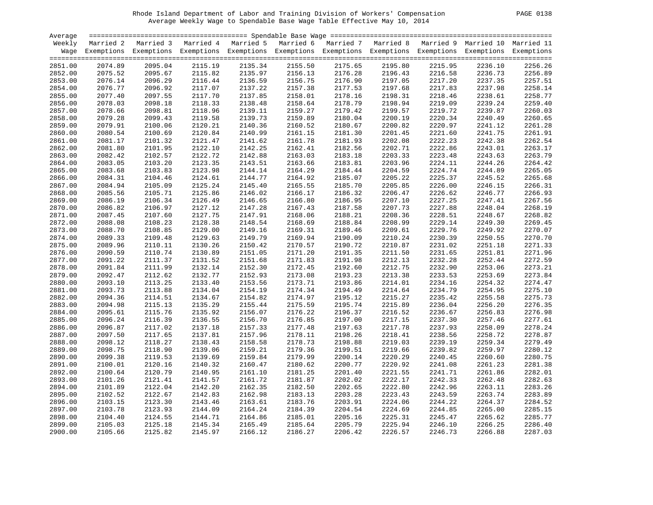| PAGE | 0138 |
|------|------|
|      |      |

| Average |         |                                                                                                       |         |         |         |                    |         |         |         |                                                                                                                    |
|---------|---------|-------------------------------------------------------------------------------------------------------|---------|---------|---------|--------------------|---------|---------|---------|--------------------------------------------------------------------------------------------------------------------|
| Weekly  |         | Married 2 Married 3 Married 4 Married 5 Married 6 Married 7 Married 8 Married 9 Married 10 Married 11 |         |         |         |                    |         |         |         |                                                                                                                    |
|         |         |                                                                                                       |         |         |         |                    |         |         |         | Wage Exemptions Exemptions Exemptions Exemptions Exemptions Exemptions Exemptions Exemptions Exemptions Exemptions |
|         |         |                                                                                                       |         |         |         |                    |         |         |         |                                                                                                                    |
| 2851.00 | 2074.89 | 2095.04                                                                                               | 2115.19 | 2135.34 | 2155.50 | 2175.65            | 2195.80 | 2215.95 | 2236.10 | 2256.26                                                                                                            |
| 2852.00 | 2075.52 | 2095.67                                                                                               | 2115.82 | 2135.97 | 2156.13 |                    | 2196.43 | 2216.58 | 2236.73 | 2256.89                                                                                                            |
| 2853.00 | 2076.14 | 2096.29                                                                                               | 2116.44 | 2136.59 | 2156.75 | 2176.28<br>2176.90 | 2197.05 | 2217.20 | 2237.35 | 2257.51                                                                                                            |
| 2854.00 | 2076.77 | 2096.92                                                                                               | 2117.07 | 2137.22 | 2157.38 | 2177.53            | 2197.68 | 2217.83 | 2237.98 | 2258.14                                                                                                            |
| 2855.00 | 2077.40 | 2097.55                                                                                               | 2117.70 | 2137.85 | 2158.01 | 2178.16            | 2198.31 | 2218.46 | 2238.61 | 2258.77                                                                                                            |
| 2856.00 | 2078.03 | 2098.18                                                                                               | 2118.33 | 2138.48 | 2158.64 | 2178.79            | 2198.94 | 2219.09 | 2239.24 | 2259.40                                                                                                            |
| 2857.00 | 2078.66 | 2098.81                                                                                               | 2118.96 | 2139.11 | 2159.27 | 2179.42            | 2199.57 | 2219.72 | 2239.87 | 2260.03                                                                                                            |
| 2858.00 | 2079.28 | 2099.43                                                                                               | 2119.58 | 2139.73 | 2159.89 | 2180.04            | 2200.19 | 2220.34 | 2240.49 | 2260.65                                                                                                            |
| 2859.00 | 2079.91 | 2100.06                                                                                               | 2120.21 | 2140.36 | 2160.52 | 2180.67            | 2200.82 | 2220.97 | 2241.12 | 2261.28                                                                                                            |
| 2860.00 | 2080.54 | 2100.69                                                                                               | 2120.84 | 2140.99 | 2161.15 | 2181.30            | 2201.45 | 2221.60 | 2241.75 | 2261.91                                                                                                            |
| 2861.00 | 2081.17 | 2101.32                                                                                               | 2121.47 | 2141.62 | 2161.78 | 2181.93            | 2202.08 | 2222.23 | 2242.38 | 2262.54                                                                                                            |
| 2862.00 | 2081.80 | 2101.95                                                                                               | 2122.10 | 2142.25 | 2162.41 | 2182.56            | 2202.71 | 2222.86 | 2243.01 | 2263.17                                                                                                            |
| 2863.00 | 2082.42 | 2102.57                                                                                               | 2122.72 | 2142.88 | 2163.03 | 2183.18            | 2203.33 | 2223.48 | 2243.63 | 2263.79                                                                                                            |
| 2864.00 | 2083.05 | 2103.20                                                                                               | 2123.35 | 2143.51 | 2163.66 | 2183.81            | 2203.96 | 2224.11 | 2244.26 | 2264.42                                                                                                            |
| 2865.00 | 2083.68 | 2103.83                                                                                               | 2123.98 | 2144.14 | 2164.29 | 2184.44            | 2204.59 | 2224.74 | 2244.89 | 2265.05                                                                                                            |
| 2866.00 | 2084.31 | 2104.46                                                                                               | 2124.61 | 2144.77 | 2164.92 | 2185.07            | 2205.22 | 2225.37 | 2245.52 | 2265.68                                                                                                            |
|         | 2084.94 | 2105.09                                                                                               | 2125.24 | 2145.40 | 2165.55 | 2185.70            | 2205.85 | 2226.00 | 2246.15 | 2266.31                                                                                                            |
| 2867.00 |         |                                                                                                       |         |         |         |                    |         |         |         | 2266.93                                                                                                            |
| 2868.00 | 2085.56 | 2105.71                                                                                               | 2125.86 | 2146.02 | 2166.17 | 2186.32            | 2206.47 | 2226.62 | 2246.77 | 2267.56                                                                                                            |
| 2869.00 | 2086.19 | 2106.34                                                                                               | 2126.49 | 2146.65 | 2166.80 | 2186.95            | 2207.10 | 2227.25 | 2247.41 |                                                                                                                    |
| 2870.00 | 2086.82 | 2106.97                                                                                               | 2127.12 | 2147.28 | 2167.43 | 2187.58            | 2207.73 | 2227.88 | 2248.04 | 2268.19                                                                                                            |
| 2871.00 | 2087.45 | 2107.60                                                                                               | 2127.75 | 2147.91 | 2168.06 | 2188.21            | 2208.36 | 2228.51 | 2248.67 | 2268.82                                                                                                            |
| 2872.00 | 2088.08 | 2108.23                                                                                               | 2128.38 | 2148.54 | 2168.69 | 2188.84            | 2208.99 | 2229.14 | 2249.30 | 2269.45                                                                                                            |
| 2873.00 | 2088.70 | 2108.85                                                                                               | 2129.00 | 2149.16 | 2169.31 | 2189.46            | 2209.61 | 2229.76 | 2249.92 | 2270.07                                                                                                            |
| 2874.00 | 2089.33 | 2109.48                                                                                               | 2129.63 | 2149.79 | 2169.94 | 2190.09            | 2210.24 | 2230.39 | 2250.55 | 2270.70                                                                                                            |
| 2875.00 | 2089.96 | 2110.11                                                                                               | 2130.26 | 2150.42 | 2170.57 | 2190.72            | 2210.87 | 2231.02 | 2251.18 | 2271.33                                                                                                            |
| 2876.00 | 2090.59 | 2110.74                                                                                               | 2130.89 | 2151.05 | 2171.20 | 2191.35            | 2211.50 | 2231.65 | 2251.81 | 2271.96                                                                                                            |
| 2877.00 | 2091.22 | 2111.37                                                                                               | 2131.52 | 2151.68 | 2171.83 | 2191.98            | 2212.13 | 2232.28 | 2252.44 | 2272.59                                                                                                            |
| 2878.00 | 2091.84 | 2111.99                                                                                               | 2132.14 | 2152.30 | 2172.45 | 2192.60            | 2212.75 | 2232.90 | 2253.06 | 2273.21                                                                                                            |
| 2879.00 | 2092.47 | 2112.62                                                                                               | 2132.77 | 2152.93 | 2173.08 | 2193.23            | 2213.38 | 2233.53 | 2253.69 | 2273.84                                                                                                            |
| 2880.00 | 2093.10 | 2113.25                                                                                               | 2133.40 | 2153.56 | 2173.71 | 2193.86            | 2214.01 | 2234.16 | 2254.32 | 2274.47                                                                                                            |
| 2881.00 | 2093.73 | 2113.88                                                                                               | 2134.04 | 2154.19 | 2174.34 | 2194.49            | 2214.64 | 2234.79 | 2254.95 | 2275.10                                                                                                            |
| 2882.00 | 2094.36 | 2114.51                                                                                               | 2134.67 | 2154.82 | 2174.97 | 2195.12            | 2215.27 | 2235.42 | 2255.58 | 2275.73                                                                                                            |
| 2883.00 | 2094.98 | 2115.13                                                                                               | 2135.29 | 2155.44 | 2175.59 | 2195.74            | 2215.89 | 2236.04 | 2256.20 | 2276.35                                                                                                            |
| 2884.00 | 2095.61 | 2115.76                                                                                               | 2135.92 | 2156.07 | 2176.22 | 2196.37            | 2216.52 | 2236.67 | 2256.83 | 2276.98                                                                                                            |
| 2885.00 | 2096.24 | 2116.39                                                                                               | 2136.55 | 2156.70 | 2176.85 | 2197.00            | 2217.15 | 2237.30 | 2257.46 | 2277.61                                                                                                            |
| 2886.00 | 2096.87 | 2117.02                                                                                               | 2137.18 | 2157.33 | 2177.48 | 2197.63            | 2217.78 | 2237.93 | 2258.09 | 2278.24                                                                                                            |
| 2887.00 | 2097.50 | 2117.65                                                                                               | 2137.81 | 2157.96 | 2178.11 | 2198.26            | 2218.41 | 2238.56 | 2258.72 | 2278.87                                                                                                            |
| 2888.00 | 2098.12 | 2118.27                                                                                               | 2138.43 | 2158.58 | 2178.73 | 2198.88            | 2219.03 | 2239.19 | 2259.34 | 2279.49                                                                                                            |
| 2889.00 | 2098.75 | 2118.90                                                                                               | 2139.06 | 2159.21 | 2179.36 | 2199.51            | 2219.66 | 2239.82 | 2259.97 | 2280.12                                                                                                            |
| 2890.00 | 2099.38 | 2119.53                                                                                               | 2139.69 | 2159.84 | 2179.99 | 2200.14            | 2220.29 | 2240.45 | 2260.60 | 2280.75                                                                                                            |
| 2891.00 | 2100.01 | 2120.16                                                                                               | 2140.32 | 2160.47 | 2180.62 | 2200.77            | 2220.92 | 2241.08 | 2261.23 | 2281.38                                                                                                            |
| 2892.00 | 2100.64 | 2120.79                                                                                               | 2140.95 | 2161.10 | 2181.25 | 2201.40            | 2221.55 | 2241.71 | 2261.86 | 2282.01                                                                                                            |
| 2893.00 | 2101.26 | 2121.41                                                                                               | 2141.57 | 2161.72 | 2181.87 | 2202.02            | 2222.17 | 2242.33 | 2262.48 | 2282.63                                                                                                            |
| 2894.00 | 2101.89 | 2122.04                                                                                               | 2142.20 | 2162.35 | 2182.50 | 2202.65            | 2222.80 | 2242.96 | 2263.11 | 2283.26                                                                                                            |
| 2895.00 | 2102.52 | 2122.67                                                                                               | 2142.83 | 2162.98 | 2183.13 | 2203.28            | 2223.43 | 2243.59 | 2263.74 | 2283.89                                                                                                            |
| 2896.00 | 2103.15 | 2123.30                                                                                               | 2143.46 | 2163.61 | 2183.76 | 2203.91            | 2224.06 | 2244.22 | 2264.37 | 2284.52                                                                                                            |
| 2897.00 | 2103.78 | 2123.93                                                                                               | 2144.09 | 2164.24 | 2184.39 | 2204.54            | 2224.69 | 2244.85 | 2265.00 | 2285.15                                                                                                            |
| 2898.00 | 2104.40 | 2124.55                                                                                               | 2144.71 | 2164.86 | 2185.01 | 2205.16            | 2225.31 | 2245.47 | 2265.62 | 2285.77                                                                                                            |
| 2899.00 | 2105.03 | 2125.18                                                                                               | 2145.34 | 2165.49 | 2185.64 | 2205.79            | 2225.94 | 2246.10 | 2266.25 | 2286.40                                                                                                            |
| 2900.00 | 2105.66 | 2125.82                                                                                               | 2145.97 | 2166.12 | 2186.27 | 2206.42            | 2226.57 | 2246.73 | 2266.88 | 2287.03                                                                                                            |
|         |         |                                                                                                       |         |         |         |                    |         |         |         |                                                                                                                    |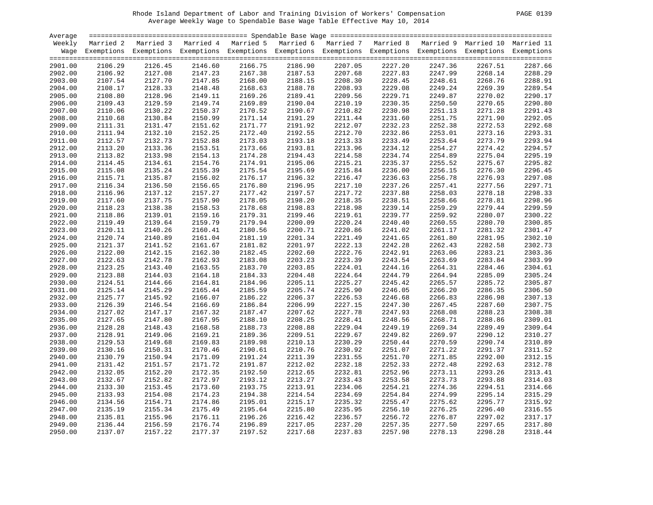|  | <b>PAGE</b> | 0139 |  |
|--|-------------|------|--|
|--|-------------|------|--|

| Average |           |                                                                                                                    |         |         |                                                                                   |                    |         |         |         |         |
|---------|-----------|--------------------------------------------------------------------------------------------------------------------|---------|---------|-----------------------------------------------------------------------------------|--------------------|---------|---------|---------|---------|
| Weekly  | Married 2 | Married 3                                                                                                          |         |         | Married 4 Married 5 Married 6 Married 7 Married 8 Married 9 Married 10 Married 11 |                    |         |         |         |         |
|         |           | Wage Exemptions Exemptions Exemptions Exemptions Exemptions Exemptions Exemptions Exemptions Exemptions Exemptions |         |         |                                                                                   |                    |         |         |         |         |
|         |           |                                                                                                                    |         |         |                                                                                   |                    |         |         |         |         |
| 2901.00 | 2106.29   | 2126.45                                                                                                            | 2146.60 | 2166.75 | 2186.90                                                                           | 2207.05            | 2227.20 | 2247.36 | 2267.51 | 2287.66 |
| 2902.00 | 2106.92   | 2127.08                                                                                                            | 2147.23 | 2167.38 | 2187.53                                                                           |                    | 2227.83 | 2247.99 | 2268.14 | 2288.29 |
| 2903.00 | 2107.54   | 2127.70                                                                                                            | 2147.85 | 2168.00 | 2188.15                                                                           | 2207.68<br>2208.30 | 2228.45 | 2248.61 | 2268.76 | 2288.91 |
| 2904.00 | 2108.17   | 2128.33                                                                                                            | 2148.48 | 2168.63 | 2188.78                                                                           | 2208.93            | 2229.08 | 2249.24 | 2269.39 | 2289.54 |
| 2905.00 | 2108.80   | 2128.96                                                                                                            | 2149.11 | 2169.26 | 2189.41                                                                           | 2209.56            | 2229.71 | 2249.87 | 2270.02 | 2290.17 |
| 2906.00 | 2109.43   | 2129.59                                                                                                            | 2149.74 | 2169.89 | 2190.04                                                                           | 2210.19            | 2230.35 | 2250.50 | 2270.65 | 2290.80 |
| 2907.00 | 2110.06   | 2130.22                                                                                                            | 2150.37 | 2170.52 | 2190.67                                                                           | 2210.82            | 2230.98 | 2251.13 | 2271.28 | 2291.43 |
| 2908.00 | 2110.68   | 2130.84                                                                                                            | 2150.99 | 2171.14 | 2191.29                                                                           | 2211.44            | 2231.60 | 2251.75 | 2271.90 | 2292.05 |
| 2909.00 | 2111.31   | 2131.47                                                                                                            | 2151.62 | 2171.77 | 2191.92                                                                           | 2212.07            | 2232.23 | 2252.38 | 2272.53 | 2292.68 |
| 2910.00 | 2111.94   | 2132.10                                                                                                            | 2152.25 | 2172.40 | 2192.55                                                                           | 2212.70            | 2232.86 | 2253.01 | 2273.16 | 2293.31 |
| 2911.00 | 2112.57   | 2132.73                                                                                                            | 2152.88 | 2173.03 | 2193.18                                                                           | 2213.33            | 2233.49 | 2253.64 | 2273.79 | 2293.94 |
| 2912.00 | 2113.20   | 2133.36                                                                                                            | 2153.51 | 2173.66 | 2193.81                                                                           | 2213.96            | 2234.12 | 2254.27 | 2274.42 | 2294.57 |
| 2913.00 | 2113.82   | 2133.98                                                                                                            | 2154.13 | 2174.28 | 2194.43                                                                           | 2214.58            | 2234.74 | 2254.89 | 2275.04 | 2295.19 |
| 2914.00 | 2114.45   | 2134.61                                                                                                            | 2154.76 | 2174.91 | 2195.06                                                                           | 2215.21            | 2235.37 | 2255.52 | 2275.67 | 2295.82 |
| 2915.00 | 2115.08   | 2135.24                                                                                                            | 2155.39 | 2175.54 | 2195.69                                                                           | 2215.84            | 2236.00 | 2256.15 | 2276.30 | 2296.45 |
|         | 2115.71   | 2135.87                                                                                                            | 2156.02 | 2176.17 |                                                                                   | 2216.47            |         |         |         | 2297.08 |
| 2916.00 |           |                                                                                                                    |         |         | 2196.32                                                                           |                    | 2236.63 | 2256.78 | 2276.93 | 2297.71 |
| 2917.00 | 2116.34   | 2136.50                                                                                                            | 2156.65 | 2176.80 | 2196.95                                                                           | 2217.10            | 2237.26 | 2257.41 | 2277.56 | 2298.33 |
| 2918.00 | 2116.96   | 2137.12                                                                                                            | 2157.27 | 2177.42 | 2197.57                                                                           | 2217.72            | 2237.88 | 2258.03 | 2278.18 | 2298.96 |
| 2919.00 | 2117.60   | 2137.75                                                                                                            | 2157.90 | 2178.05 | 2198.20                                                                           | 2218.35            | 2238.51 | 2258.66 | 2278.81 |         |
| 2920.00 | 2118.23   | 2138.38                                                                                                            | 2158.53 | 2178.68 | 2198.83                                                                           | 2218.98            | 2239.14 | 2259.29 | 2279.44 | 2299.59 |
| 2921.00 | 2118.86   | 2139.01                                                                                                            | 2159.16 | 2179.31 | 2199.46                                                                           | 2219.61            | 2239.77 | 2259.92 | 2280.07 | 2300.22 |
| 2922.00 | 2119.49   | 2139.64                                                                                                            | 2159.79 | 2179.94 | 2200.09                                                                           | 2220.24            | 2240.40 | 2260.55 | 2280.70 | 2300.85 |
| 2923.00 | 2120.11   | 2140.26                                                                                                            | 2160.41 | 2180.56 | 2200.71                                                                           | 2220.86            | 2241.02 | 2261.17 | 2281.32 | 2301.47 |
| 2924.00 | 2120.74   | 2140.89                                                                                                            | 2161.04 | 2181.19 | 2201.34                                                                           | 2221.49            | 2241.65 | 2261.80 | 2281.95 | 2302.10 |
| 2925.00 | 2121.37   | 2141.52                                                                                                            | 2161.67 | 2181.82 | 2201.97                                                                           | 2222.13            | 2242.28 | 2262.43 | 2282.58 | 2302.73 |
| 2926.00 | 2122.00   | 2142.15                                                                                                            | 2162.30 | 2182.45 | 2202.60                                                                           | 2222.76            | 2242.91 | 2263.06 | 2283.21 | 2303.36 |
| 2927.00 | 2122.63   | 2142.78                                                                                                            | 2162.93 | 2183.08 | 2203.23                                                                           | 2223.39            | 2243.54 | 2263.69 | 2283.84 | 2303.99 |
| 2928.00 | 2123.25   | 2143.40                                                                                                            | 2163.55 | 2183.70 | 2203.85                                                                           | 2224.01            | 2244.16 | 2264.31 | 2284.46 | 2304.61 |
| 2929.00 | 2123.88   | 2144.03                                                                                                            | 2164.18 | 2184.33 | 2204.48                                                                           | 2224.64            | 2244.79 | 2264.94 | 2285.09 | 2305.24 |
| 2930.00 | 2124.51   | 2144.66                                                                                                            | 2164.81 | 2184.96 | 2205.11                                                                           | 2225.27            | 2245.42 | 2265.57 | 2285.72 | 2305.87 |
| 2931.00 | 2125.14   | 2145.29                                                                                                            | 2165.44 | 2185.59 | 2205.74                                                                           | 2225.90            | 2246.05 | 2266.20 | 2286.35 | 2306.50 |
| 2932.00 | 2125.77   | 2145.92                                                                                                            | 2166.07 | 2186.22 | 2206.37                                                                           | 2226.53            | 2246.68 | 2266.83 | 2286.98 | 2307.13 |
| 2933.00 | 2126.39   | 2146.54                                                                                                            | 2166.69 | 2186.84 | 2206.99                                                                           | 2227.15            | 2247.30 | 2267.45 | 2287.60 | 2307.75 |
| 2934.00 | 2127.02   | 2147.17                                                                                                            | 2167.32 | 2187.47 | 2207.62                                                                           | 2227.78            | 2247.93 | 2268.08 | 2288.23 | 2308.38 |
| 2935.00 | 2127.65   | 2147.80                                                                                                            | 2167.95 | 2188.10 | 2208.25                                                                           | 2228.41            | 2248.56 | 2268.71 | 2288.86 | 2309.01 |
| 2936.00 | 2128.28   | 2148.43                                                                                                            | 2168.58 | 2188.73 | 2208.88                                                                           | 2229.04            | 2249.19 | 2269.34 | 2289.49 | 2309.64 |
| 2937.00 | 2128.91   | 2149.06                                                                                                            | 2169.21 | 2189.36 | 2209.51                                                                           | 2229.67            | 2249.82 | 2269.97 | 2290.12 | 2310.27 |
| 2938.00 | 2129.53   | 2149.68                                                                                                            | 2169.83 | 2189.98 | 2210.13                                                                           | 2230.29            | 2250.44 | 2270.59 | 2290.74 | 2310.89 |
| 2939.00 | 2130.16   | 2150.31                                                                                                            | 2170.46 | 2190.61 | 2210.76                                                                           | 2230.92            | 2251.07 | 2271.22 | 2291.37 | 2311.52 |
| 2940.00 | 2130.79   | 2150.94                                                                                                            | 2171.09 | 2191.24 | 2211.39                                                                           | 2231.55            | 2251.70 | 2271.85 | 2292.00 | 2312.15 |
| 2941.00 | 2131.42   | 2151.57                                                                                                            | 2171.72 | 2191.87 | 2212.02                                                                           | 2232.18            | 2252.33 | 2272.48 | 2292.63 | 2312.78 |
| 2942.00 | 2132.05   | 2152.20                                                                                                            | 2172.35 | 2192.50 | 2212.65                                                                           | 2232.81            | 2252.96 | 2273.11 | 2293.26 | 2313.41 |
| 2943.00 | 2132.67   | 2152.82                                                                                                            | 2172.97 | 2193.12 | 2213.27                                                                           | 2233.43            | 2253.58 | 2273.73 | 2293.88 | 2314.03 |
| 2944.00 | 2133.30   | 2153.45                                                                                                            | 2173.60 | 2193.75 | 2213.91                                                                           | 2234.06            | 2254.21 | 2274.36 | 2294.51 | 2314.66 |
| 2945.00 | 2133.93   | 2154.08                                                                                                            | 2174.23 | 2194.38 | 2214.54                                                                           | 2234.69            | 2254.84 | 2274.99 | 2295.14 | 2315.29 |
| 2946.00 | 2134.56   | 2154.71                                                                                                            | 2174.86 | 2195.01 | 2215.17                                                                           | 2235.32            | 2255.47 | 2275.62 | 2295.77 | 2315.92 |
| 2947.00 | 2135.19   | 2155.34                                                                                                            | 2175.49 | 2195.64 | 2215.80                                                                           | 2235.95            | 2256.10 | 2276.25 | 2296.40 | 2316.55 |
| 2948.00 | 2135.81   | 2155.96                                                                                                            | 2176.11 | 2196.26 | 2216.42                                                                           | 2236.57            | 2256.72 | 2276.87 | 2297.02 | 2317.17 |
| 2949.00 | 2136.44   | 2156.59                                                                                                            | 2176.74 | 2196.89 | 2217.05                                                                           | 2237.20            | 2257.35 | 2277.50 | 2297.65 | 2317.80 |
| 2950.00 | 2137.07   | 2157.22                                                                                                            | 2177.37 | 2197.52 | 2217.68                                                                           | 2237.83            | 2257.98 | 2278.13 | 2298.28 | 2318.44 |
|         |           |                                                                                                                    |         |         |                                                                                   |                    |         |         |         |         |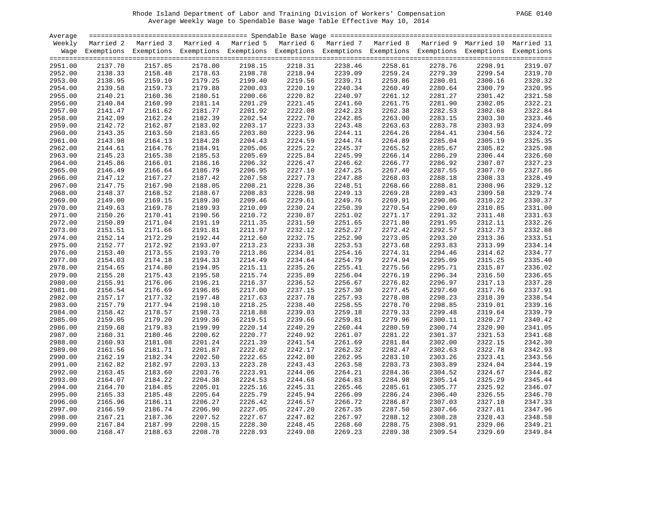|  | <b>PAGE</b> | 0140 |
|--|-------------|------|
|--|-------------|------|

| Average |         |                                                                                                                    |         |                    |         |                    |                    |         |         |         |
|---------|---------|--------------------------------------------------------------------------------------------------------------------|---------|--------------------|---------|--------------------|--------------------|---------|---------|---------|
| Weekly  |         | Married 2 Married 3 Married 4 Married 5 Married 6 Married 7 Married 8 Married 9 Married 10 Married 11              |         |                    |         |                    |                    |         |         |         |
|         |         | Wage Exemptions Exemptions Exemptions Exemptions Exemptions Exemptions Exemptions Exemptions Exemptions Exemptions |         |                    |         |                    |                    |         |         |         |
|         |         |                                                                                                                    |         |                    |         |                    |                    |         |         |         |
| 2951.00 | 2137.70 | 2157.85                                                                                                            | 2178.00 | 2198.15            | 2218.31 | 2238.46            | 2258.61            | 2278.76 | 2298.91 | 2319.07 |
| 2952.00 | 2138.33 | 2158.48                                                                                                            | 2178.63 | 2198.78            | 2218.94 | 2239.09            | 2259.24            | 2279.39 | 2299.54 | 2319.70 |
| 2953.00 | 2138.95 | 2159.10                                                                                                            | 2179.25 | 2199.40            | 2219.56 | 2239.09<br>2239.71 | 2259.86            | 2280.01 | 2300.16 | 2320.32 |
| 2954.00 | 2139.58 | 2159.73                                                                                                            | 2179.88 | 2200.03            | 2220.19 | 2240.34            | 2260.49            | 2280.64 | 2300.79 | 2320.95 |
| 2955.00 | 2140.21 | 2160.36                                                                                                            | 2180.51 | 2200.66            | 2220.82 | 2240.97            | 2261.12            | 2281.27 | 2301.42 | 2321.58 |
| 2956.00 | 2140.84 | 2160.99                                                                                                            | 2181.14 | 2201.29            | 2221.45 | 2241.60            | 2261.75            | 2281.90 | 2302.05 | 2322.21 |
| 2957.00 | 2141.47 | 2161.62                                                                                                            | 2181.77 | 2201.92            | 2222.08 | 2242.23            | 2262.38            | 2282.53 | 2302.68 | 2322.84 |
| 2958.00 | 2142.09 | 2162.24                                                                                                            | 2182.39 | 2202.54            | 2222.70 | 2242.85            | 2263.00            | 2283.15 | 2303.30 | 2323.46 |
| 2959.00 | 2142.72 | 2162.87                                                                                                            | 2183.02 | 2203.17            | 2223.33 | 2243.48            | 2263.63            | 2283.78 | 2303.93 | 2324.09 |
| 2960.00 | 2143.35 | 2163.50                                                                                                            | 2183.65 | 2203.80            | 2223.96 | 2244.11            | 2264.26            | 2284.41 | 2304.56 | 2324.72 |
| 2961.00 | 2143.98 | 2164.13                                                                                                            | 2184.28 | 2204.43            | 2224.59 | 2244.74            | 2264.89            | 2285.04 | 2305.19 | 2325.35 |
| 2962.00 | 2144.61 | 2164.76                                                                                                            | 2184.91 | 2205.06            | 2225.22 | 2245.37            | 2265.52            | 2285.67 | 2305.82 | 2325.98 |
| 2963.00 | 2145.23 | 2165.38                                                                                                            | 2185.53 | 2205.69            | 2225.84 | 2245.99            | 2266.14            | 2286.29 | 2306.44 | 2326.60 |
| 2964.00 | 2145.86 | 2166.01                                                                                                            | 2186.16 | 2206.32            | 2226.47 | 2246.62            | 2266.77            | 2286.92 | 2307.07 | 2327.23 |
| 2965.00 | 2146.49 | 2166.64                                                                                                            | 2186.79 | 2206.95            | 2227.10 | 2247.25            | 2267.40            | 2287.55 | 2307.70 | 2327.86 |
| 2966.00 | 2147.12 | 2167.27                                                                                                            | 2187.42 | 2207.58            | 2227.73 | 2247.88            | 2268.03            | 2288.18 | 2308.33 | 2328.49 |
| 2967.00 | 2147.75 | 2167.90                                                                                                            | 2188.05 | 2208.21            | 2228.36 | 2248.51            | 2268.66            | 2288.81 | 2308.96 | 2329.12 |
| 2968.00 | 2148.37 | 2168.52                                                                                                            | 2188.67 | 2208.83            | 2228.98 | 2249.13            | 2269.28            | 2289.43 | 2309.58 | 2329.74 |
| 2969.00 | 2149.00 | 2169.15                                                                                                            | 2189.30 | 2209.46            | 2229.61 | 2249.76            | 2269.91            | 2290.06 | 2310.22 | 2330.37 |
| 2970.00 | 2149.63 | 2169.78                                                                                                            | 2189.93 | 2210.09            | 2230.24 | 2250.39            | 2270.54            | 2290.69 | 2310.85 | 2331.00 |
| 2971.00 | 2150.26 | 2170.41                                                                                                            | 2190.56 | 2210.72            | 2230.87 | 2251.02            | 2271.17            | 2291.32 | 2311.48 | 2331.63 |
|         |         |                                                                                                                    |         |                    |         |                    |                    |         |         | 2332.26 |
| 2972.00 | 2150.89 | 2171.04<br>2171.66                                                                                                 | 2191.19 | 2211.35<br>2211.97 | 2231.50 | 2251.65<br>2252.27 | 2271.80<br>2272.42 | 2291.95 | 2312.11 | 2332.88 |
| 2973.00 | 2151.51 |                                                                                                                    | 2191.81 |                    | 2232.12 |                    |                    | 2292.57 | 2312.73 |         |
| 2974.00 | 2152.14 | 2172.29                                                                                                            | 2192.44 | 2212.60            | 2232.75 | 2252.90            | 2273.05            | 2293.20 | 2313.36 | 2333.51 |
| 2975.00 | 2152.77 | 2172.92                                                                                                            | 2193.07 | 2213.23            | 2233.38 | 2253.53            | 2273.68            | 2293.83 | 2313.99 | 2334.14 |
| 2976.00 | 2153.40 | 2173.55                                                                                                            | 2193.70 | 2213.86            | 2234.01 | 2254.16            | 2274.31            | 2294.46 | 2314.62 | 2334.77 |
| 2977.00 | 2154.03 | 2174.18                                                                                                            | 2194.33 | 2214.49            | 2234.64 | 2254.79            | 2274.94            | 2295.09 | 2315.25 | 2335.40 |
| 2978.00 | 2154.65 | 2174.80                                                                                                            | 2194.95 | 2215.11            | 2235.26 | 2255.41            | 2275.56            | 2295.71 | 2315.87 | 2336.02 |
| 2979.00 | 2155.28 | 2175.43                                                                                                            | 2195.58 | 2215.74            | 2235.89 | 2256.04            | 2276.19            | 2296.34 | 2316.50 | 2336.65 |
| 2980.00 | 2155.91 | 2176.06                                                                                                            | 2196.21 | 2216.37            | 2236.52 | 2256.67            | 2276.82            | 2296.97 | 2317.13 | 2337.28 |
| 2981.00 | 2156.54 | 2176.69                                                                                                            | 2196.85 | 2217.00            | 2237.15 | 2257.30            | 2277.45            | 2297.60 | 2317.76 | 2337.91 |
| 2982.00 | 2157.17 | 2177.32                                                                                                            | 2197.48 | 2217.63            | 2237.78 | 2257.93            | 2278.08            | 2298.23 | 2318.39 | 2338.54 |
| 2983.00 | 2157.79 | 2177.94                                                                                                            | 2198.10 | 2218.25            | 2238.40 | 2258.55            | 2278.70            | 2298.85 | 2319.01 | 2339.16 |
| 2984.00 | 2158.42 | 2178.57                                                                                                            | 2198.73 | 2218.88            | 2239.03 | 2259.18            | 2279.33            | 2299.48 | 2319.64 | 2339.79 |
| 2985.00 | 2159.05 | 2179.20                                                                                                            | 2199.36 | 2219.51            | 2239.66 | 2259.81            | 2279.96            | 2300.11 | 2320.27 | 2340.42 |
| 2986.00 | 2159.68 | 2179.83                                                                                                            | 2199.99 | 2220.14            | 2240.29 | 2260.44            | 2280.59            | 2300.74 | 2320.90 | 2341.05 |
| 2987.00 | 2160.31 | 2180.46                                                                                                            | 2200.62 | 2220.77            | 2240.92 | 2261.07            | 2281.22            | 2301.37 | 2321.53 | 2341.68 |
| 2988.00 | 2160.93 | 2181.08                                                                                                            | 2201.24 | 2221.39            | 2241.54 | 2261.69            | 2281.84            | 2302.00 | 2322.15 | 2342.30 |
| 2989.00 | 2161.56 | 2181.71                                                                                                            | 2201.87 | 2222.02            | 2242.17 | 2262.32            | 2282.47            | 2302.63 | 2322.78 | 2342.93 |
| 2990.00 | 2162.19 | 2182.34                                                                                                            | 2202.50 | 2222.65            | 2242.80 | 2262.95            | 2283.10            | 2303.26 | 2323.41 | 2343.56 |
| 2991.00 | 2162.82 | 2182.97                                                                                                            | 2203.13 | 2223.28            | 2243.43 | 2263.58            | 2283.73            | 2303.89 | 2324.04 | 2344.19 |
| 2992.00 | 2163.45 | 2183.60                                                                                                            | 2203.76 | 2223.91            | 2244.06 | 2264.21            | 2284.36            | 2304.52 | 2324.67 | 2344.82 |
| 2993.00 | 2164.07 | 2184.22                                                                                                            | 2204.38 | 2224.53            | 2244.68 | 2264.83            | 2284.98            | 2305.14 | 2325.29 | 2345.44 |
| 2994.00 | 2164.70 | 2184.85                                                                                                            | 2205.01 | 2225.16            | 2245.31 | 2265.46            | 2285.61            | 2305.77 | 2325.92 | 2346.07 |
| 2995.00 | 2165.33 | 2185.48                                                                                                            | 2205.64 | 2225.79            | 2245.94 | 2266.09            | 2286.24            | 2306.40 | 2326.55 | 2346.70 |
| 2996.00 | 2165.96 | 2186.11                                                                                                            | 2206.27 | 2226.42            | 2246.57 | 2266.72            | 2286.87            | 2307.03 | 2327.18 | 2347.33 |
| 2997.00 | 2166.59 | 2186.74                                                                                                            | 2206.90 | 2227.05            | 2247.20 | 2267.35            | 2287.50            | 2307.66 | 2327.81 | 2347.96 |
| 2998.00 | 2167.21 | 2187.36                                                                                                            | 2207.52 | 2227.67            | 2247.82 | 2267.97            | 2288.12            | 2308.28 | 2328.43 | 2348.58 |
| 2999.00 | 2167.84 | 2187.99                                                                                                            | 2208.15 | 2228.30            | 2248.45 | 2268.60            | 2288.75            | 2308.91 | 2329.06 | 2349.21 |
| 3000.00 | 2168.47 | 2188.63                                                                                                            | 2208.78 | 2228.93            | 2249.08 | 2269.23            | 2289.38            | 2309.54 | 2329.69 | 2349.84 |
|         |         |                                                                                                                    |         |                    |         |                    |                    |         |         |         |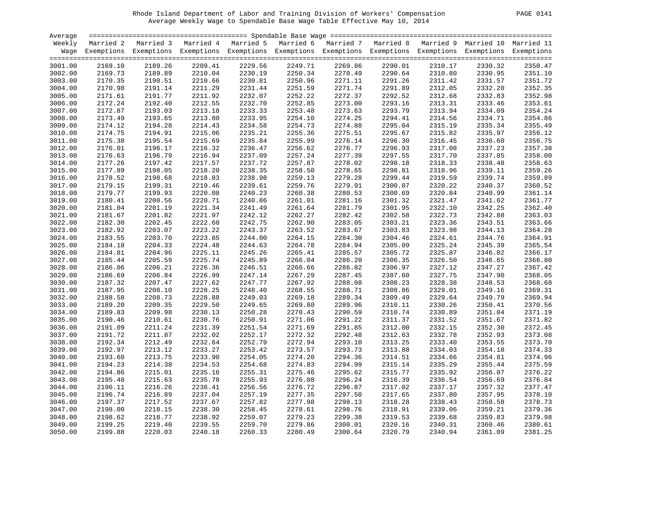| Average            |         |                                                                                                                    |         |         |         |                    |         |         |         |         |
|--------------------|---------|--------------------------------------------------------------------------------------------------------------------|---------|---------|---------|--------------------|---------|---------|---------|---------|
| Weekly             |         | Married 2 Married 3 Married 4 Married 5 Married 6 Married 7 Married 8 Married 9 Married 10 Married 11              |         |         |         |                    |         |         |         |         |
|                    |         | Wage Exemptions Exemptions Exemptions Exemptions Exemptions Exemptions Exemptions Exemptions Exemptions Exemptions |         |         |         |                    |         |         |         |         |
| 3001.00            | 2169.10 | 2189.26                                                                                                            | 2209.41 | 2229.56 | 2249.71 | 2269.86            | 2290.01 | 2310.17 | 2330.32 | 2350.47 |
| 3002.00            | 2169.73 | 2189.89                                                                                                            | 2210.04 | 2230.19 | 2250.34 | 2270.49            | 2290.64 | 2310.80 | 2330.95 | 2351.10 |
| 3003.00            | 2170.35 | 2190.51                                                                                                            | 2210.66 | 2230.81 | 2250.96 | 2270.49<br>2271.11 | 2291.26 | 2311.42 | 2331.57 | 2351.72 |
| 3004.00            | 2170.98 | 2191.14                                                                                                            | 2211.29 | 2231.44 | 2251.59 | 2271.74            | 2291.89 | 2312.05 | 2332.20 | 2352.35 |
| 3005.00            | 2171.61 | 2191.77                                                                                                            | 2211.92 | 2232.07 | 2252.22 | 2272.37            | 2292.52 | 2312.68 | 2332.83 | 2352.98 |
| 3006.00            | 2172.24 | 2192.40                                                                                                            | 2212.55 | 2232.70 | 2252.85 | 2273.00            | 2293.16 | 2313.31 | 2333.46 | 2353.61 |
| 3007.00            | 2172.87 | 2193.03                                                                                                            | 2213.18 | 2233.33 | 2253.48 | 2273.63            | 2293.79 | 2313.94 | 2334.09 | 2354.24 |
| 3008.00            | 2173.49 | 2193.65                                                                                                            | 2213.80 | 2233.95 | 2254.10 | 2274.25            | 2294.41 | 2314.56 | 2334.71 | 2354.86 |
| 3009.00            | 2174.12 | 2194.28                                                                                                            | 2214.43 | 2234.58 | 2254.73 | 2274.88            | 2295.04 | 2315.19 | 2335.34 | 2355.49 |
| 3010.00            | 2174.75 | 2194.91                                                                                                            | 2215.06 | 2235.21 | 2255.36 | 2275.51            | 2295.67 | 2315.82 | 2335.97 | 2356.12 |
| 3011.00            | 2175.38 | 2195.54                                                                                                            | 2215.69 | 2235.84 | 2255.99 | 2276.14            | 2296.30 | 2316.45 | 2336.60 | 2356.75 |
| 3012.00            | 2176.01 | 2196.17                                                                                                            | 2216.32 | 2236.47 | 2256.62 | 2276.77            | 2296.93 | 2317.08 | 2337.23 | 2357.38 |
| 3013.00            | 2176.63 | 2196.79                                                                                                            | 2216.94 | 2237.09 | 2257.24 | 2277.39            | 2297.55 | 2317.70 | 2337.85 | 2358.00 |
| 3014.00            | 2177.26 | 2197.42                                                                                                            | 2217.57 | 2237.72 | 2257.87 | 2278.02            | 2298.18 | 2318.33 | 2338.48 | 2358.63 |
| 3015.00            | 2177.89 | 2198.05                                                                                                            | 2218.20 | 2238.35 | 2258.50 | 2278.65            | 2298.81 | 2318.96 | 2339.11 | 2359.26 |
| 3016.00            | 2178.52 | 2198.68                                                                                                            | 2218.83 | 2238.98 | 2259.13 | 2279.28            | 2299.44 | 2319.59 | 2339.74 | 2359.89 |
| 3017.00            | 2179.15 | 2199.31                                                                                                            | 2219.46 | 2239.61 | 2259.76 | 2279.91            | 2300.07 | 2320.22 | 2340.37 | 2360.52 |
| 3018.00            | 2179.77 | 2199.93                                                                                                            | 2220.08 | 2240.23 | 2260.38 | 2280.53            | 2300.69 | 2320.84 | 2340.99 | 2361.14 |
| 3019.00            | 2180.41 | 2200.56                                                                                                            | 2220.71 | 2240.86 | 2261.01 | 2281.16            | 2301.32 | 2321.47 | 2341.62 | 2361.77 |
| 3020.00            | 2181.04 | 2201.19                                                                                                            | 2221.34 | 2241.49 | 2261.64 | 2281.79            | 2301.95 | 2322.10 | 2342.25 | 2362.40 |
| 3021.00            | 2181.67 | 2201.82                                                                                                            | 2221.97 | 2242.12 | 2262.27 | 2282.42            | 2302.58 | 2322.73 | 2342.88 | 2363.03 |
| 3022.00            | 2182.30 | 2202.45                                                                                                            | 2222.60 | 2242.75 | 2262.90 | 2283.05            | 2303.21 | 2323.36 | 2343.51 | 2363.66 |
| 3023.00            | 2182.92 | 2203.07                                                                                                            | 2223.22 | 2243.37 | 2263.52 | 2283.67            | 2303.83 | 2323.98 | 2344.13 | 2364.28 |
| 3024.00            | 2183.55 | 2203.70                                                                                                            | 2223.85 | 2244.00 | 2264.15 | 2284.30            | 2304.46 | 2324.61 | 2344.76 | 2364.91 |
| 3025.00            | 2184.18 | 2204.33                                                                                                            | 2224.48 | 2244.63 | 2264.78 | 2284.94            | 2305.09 | 2325.24 | 2345.39 | 2365.54 |
| 3026.00            | 2184.81 | 2204.96                                                                                                            | 2225.11 | 2245.26 | 2265.41 | 2285.57            | 2305.72 | 2325.87 | 2346.02 | 2366.17 |
| 3027.00            | 2185.44 | 2205.59                                                                                                            | 2225.74 | 2245.89 | 2266.04 | 2286.20            | 2306.35 | 2326.50 | 2346.65 | 2366.80 |
| 3028.00            | 2186.06 | 2206.21                                                                                                            | 2226.36 | 2246.51 | 2266.66 | 2286.82            | 2306.97 | 2327.12 | 2347.27 | 2367.42 |
| 3029.00            | 2186.69 | 2206.84                                                                                                            | 2226.99 | 2247.14 | 2267.29 | 2287.45            | 2307.60 | 2327.75 | 2347.90 | 2368.05 |
| 3030.00            | 2187.32 | 2207.47                                                                                                            | 2227.62 | 2247.77 | 2267.92 | 2288.08            | 2308.23 | 2328.38 | 2348.53 | 2368.68 |
| 3031.00            | 2187.95 | 2208.10                                                                                                            | 2228.25 | 2248.40 | 2268.55 | 2288.71            | 2308.86 | 2329.01 | 2349.16 | 2369.31 |
| 3032.00            | 2188.58 | 2208.73                                                                                                            | 2228.88 | 2249.03 | 2269.18 | 2289.34            | 2309.49 | 2329.64 | 2349.79 | 2369.94 |
| 3033.00            | 2189.20 | 2209.35                                                                                                            | 2229.50 | 2249.65 | 2269.80 | 2289.96            | 2310.11 | 2330.26 | 2350.41 | 2370.56 |
| 3034.00            | 2189.83 | 2209.98                                                                                                            | 2230.13 | 2250.28 | 2270.43 | 2290.59            | 2310.74 | 2330.89 | 2351.04 | 2371.19 |
| 3035.00            | 2190.46 | 2210.61                                                                                                            | 2230.76 | 2250.91 | 2271.06 | 2291.22            | 2311.37 | 2331.52 | 2351.67 | 2371.82 |
| 3036.00            | 2191.09 | 2211.24                                                                                                            | 2231.39 | 2251.54 | 2271.69 | 2291.85            | 2312.00 | 2332.15 | 2352.30 | 2372.45 |
| 3037.00            | 2191.72 | 2211.87                                                                                                            | 2232.02 | 2252.17 | 2272.32 | 2292.48            | 2312.63 | 2332.78 | 2352.93 | 2373.08 |
| 3038.00            | 2192.34 | 2212.49                                                                                                            | 2232.64 | 2252.79 | 2272.94 | 2293.10            | 2313.25 | 2333.40 | 2353.55 | 2373.70 |
| 3039.00            | 2192.97 | 2213.12                                                                                                            | 2233.27 | 2253.42 | 2273.57 | 2293.73            | 2313.88 | 2334.03 | 2354.18 | 2374.33 |
| 3040.00            | 2193.60 | 2213.75                                                                                                            | 2233.90 | 2254.05 | 2274.20 | 2294.36            | 2314.51 | 2334.66 | 2354.81 | 2374.96 |
| 3041.00            | 2194.23 | 2214.38                                                                                                            | 2234.53 | 2254.68 | 2274.83 | 2294.99            | 2315.14 | 2335.29 | 2355.44 | 2375.59 |
| 3042.00            | 2194.86 | 2215.01                                                                                                            | 2235.16 | 2255.31 | 2275.46 | 2295.62            | 2315.77 | 2335.92 | 2356.07 | 2376.22 |
| 3043.00            | 2195.48 | 2215.63                                                                                                            | 2235.78 | 2255.93 | 2276.08 | 2296.24            | 2316.39 | 2336.54 | 2356.69 | 2376.84 |
| 3044.00            | 2196.11 | 2216.26                                                                                                            | 2236.41 | 2256.56 | 2276.72 | 2296.87            | 2317.02 | 2337.17 | 2357.32 | 2377.47 |
| 3045.00            | 2196.74 | 2216.89                                                                                                            | 2237.04 | 2257.19 | 2277.35 | 2297.50            | 2317.65 | 2337.80 | 2357.95 | 2378.10 |
| 3046.00            | 2197.37 | 2217.52                                                                                                            | 2237.67 | 2257.82 | 2277.98 | 2298.13            | 2318.28 | 2338.43 | 2358.58 | 2378.73 |
| 3047.00            | 2198.00 | 2218.15                                                                                                            | 2238.30 | 2258.45 | 2278.61 | 2298.76            | 2318.91 | 2339.06 | 2359.21 | 2379.36 |
|                    | 2198.62 | 2218.77                                                                                                            | 2238.92 | 2259.07 | 2279.23 | 2299.38            | 2319.53 | 2339.68 | 2359.83 | 2379.98 |
| 3048.00<br>3049.00 | 2199.25 | 2219.40                                                                                                            | 2239.55 | 2259.70 | 2279.86 | 2300.01            | 2320.16 | 2340.31 | 2360.46 | 2380.61 |
| 3050.00            | 2199.88 | 2220.03                                                                                                            | 2240.18 | 2260.33 | 2280.49 | 2300.64            | 2320.79 | 2340.94 | 2361.09 | 2381.25 |
|                    |         |                                                                                                                    |         |         |         |                    |         |         |         |         |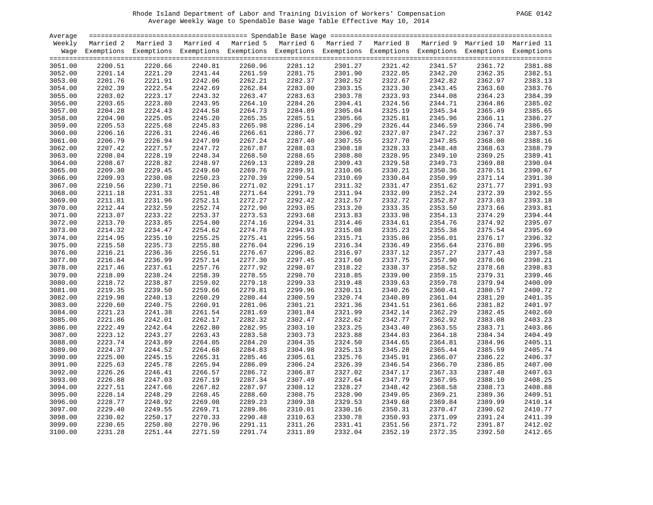| ›AGF.<br>0 |  |
|------------|--|
|            |  |

| Average            |         |                                                                                                                    |                    |         |         |         |         |         |         |         |
|--------------------|---------|--------------------------------------------------------------------------------------------------------------------|--------------------|---------|---------|---------|---------|---------|---------|---------|
| Weekly             |         | Married 2 Married 3 Married 4 Married 5 Married 6 Married 7 Married 8 Married 9 Married 10 Married 11              |                    |         |         |         |         |         |         |         |
|                    |         | Wage Exemptions Exemptions Exemptions Exemptions Exemptions Exemptions Exemptions Exemptions Exemptions Exemptions |                    |         |         |         |         |         |         |         |
|                    |         |                                                                                                                    |                    |         |         |         |         |         |         |         |
| 3051.00            | 2200.51 | 2220.66                                                                                                            | 2240.81            | 2260.96 | 2281.12 | 2301.27 | 2321.42 | 2341.57 | 2361.72 | 2381.88 |
| 3052.00            | 2201.14 | 2221.29                                                                                                            | 2241.44            | 2261.59 | 2281.75 | 2301.90 | 2322.05 | 2342.20 | 2362.35 | 2382.51 |
| 3053.00            | 2201.76 | 2221.91                                                                                                            | 2242.06            | 2262.21 | 2282.37 | 2302.52 | 2322.67 | 2342.82 | 2362.97 | 2383.13 |
| 3054.00            | 2202.39 | 2222.54                                                                                                            | 2242.69            | 2262.84 | 2283.00 | 2303.15 | 2323.30 | 2343.45 | 2363.60 | 2383.76 |
| 3055.00            | 2203.02 | 2223.17                                                                                                            | 2243.32            | 2263.47 | 2283.63 | 2303.78 | 2323.93 | 2344.08 | 2364.23 | 2384.39 |
| 3056.00            | 2203.65 | 2223.80                                                                                                            | 2243.95            | 2264.10 | 2284.26 | 2304.41 | 2324.56 | 2344.71 | 2364.86 | 2385.02 |
| 3057.00            | 2204.28 | 2224.43                                                                                                            | 2244.58            | 2264.73 | 2284.89 | 2305.04 | 2325.19 | 2345.34 | 2365.49 | 2385.65 |
| 3058.00            | 2204.90 | 2225.05                                                                                                            | 2245.20            | 2265.35 | 2285.51 | 2305.66 | 2325.81 | 2345.96 | 2366.11 | 2386.27 |
| 3059.00            | 2205.53 | 2225.68                                                                                                            | 2245.83            | 2265.98 | 2286.14 | 2306.29 | 2326.44 | 2346.59 | 2366.74 | 2386.90 |
| 3060.00            | 2206.16 | 2226.31                                                                                                            | 2246.46            | 2266.61 | 2286.77 | 2306.92 | 2327.07 | 2347.22 | 2367.37 | 2387.53 |
| 3061.00            | 2206.79 | 2226.94                                                                                                            | 2247.09            | 2267.24 | 2287.40 | 2307.55 | 2327.70 | 2347.85 | 2368.00 | 2388.16 |
| 3062.00            | 2207.42 | 2227.57                                                                                                            | 2247.72            | 2267.87 | 2288.03 | 2308.18 | 2328.33 | 2348.48 | 2368.63 | 2388.79 |
| 3063.00            | 2208.04 | 2228.19                                                                                                            | 2248.34            | 2268.50 | 2288.65 | 2308.80 | 2328.95 | 2349.10 | 2369.25 | 2389.41 |
| 3064.00            | 2208.67 | 2228.82                                                                                                            | 2248.97            | 2269.13 | 2289.28 | 2309.43 | 2329.58 | 2349.73 | 2369.88 | 2390.04 |
| 3065.00            | 2209.30 | 2229.45                                                                                                            | 2249.60            | 2269.76 | 2289.91 | 2310.06 | 2330.21 | 2350.36 | 2370.51 | 2390.67 |
| 3066.00            | 2209.93 | 2230.08                                                                                                            | 2250.23            | 2270.39 | 2290.54 | 2310.69 | 2330.84 | 2350.99 | 2371.14 | 2391.30 |
| 3067.00            | 2210.56 | 2230.71                                                                                                            | 2250.86            | 2271.02 | 2291.17 | 2311.32 | 2331.47 | 2351.62 | 2371.77 | 2391.93 |
| 3068.00            | 2211.18 | 2231.33                                                                                                            | 2251.48            | 2271.64 | 2291.79 | 2311.94 | 2332.09 | 2352.24 | 2372.39 | 2392.55 |
| 3069.00            | 2211.81 | 2231.96                                                                                                            | 2252.11            | 2272.27 | 2292.42 | 2312.57 | 2332.72 | 2352.87 | 2373.03 | 2393.18 |
| 3070.00            | 2212.44 | 2232.59                                                                                                            | 2252.74            | 2272.90 | 2293.05 | 2313.20 | 2333.35 | 2353.50 | 2373.66 | 2393.81 |
| 3071.00            | 2213.07 | 2233.22                                                                                                            | 2253.37            | 2273.53 | 2293.68 | 2313.83 | 2333.98 | 2354.13 | 2374.29 | 2394.44 |
| 3072.00            | 2213.70 | 2233.85                                                                                                            | 2254.00            | 2274.16 | 2294.31 | 2314.46 | 2334.61 | 2354.76 | 2374.92 | 2395.07 |
| 3073.00            | 2214.32 | 2234.47                                                                                                            | 2254.62            | 2274.78 | 2294.93 | 2315.08 | 2335.23 | 2355.38 | 2375.54 | 2395.69 |
| 3074.00            | 2214.95 | 2235.10                                                                                                            | 2255.25            | 2275.41 | 2295.56 | 2315.71 | 2335.86 | 2356.01 | 2376.17 | 2396.32 |
| 3075.00            | 2215.58 | 2235.73                                                                                                            | 2255.88            | 2276.04 | 2296.19 | 2316.34 | 2336.49 | 2356.64 | 2376.80 | 2396.95 |
| 3076.00            | 2216.21 | 2236.36                                                                                                            | 2256.51            | 2276.67 | 2296.82 | 2316.97 | 2337.12 | 2357.27 | 2377.43 | 2397.58 |
| 3077.00            | 2216.84 | 2236.99                                                                                                            | 2257.14            | 2277.30 | 2297.45 | 2317.60 | 2337.75 | 2357.90 | 2378.06 | 2398.21 |
|                    |         |                                                                                                                    |                    | 2277.92 |         | 2318.22 |         | 2358.52 |         | 2398.83 |
| 3078.00<br>3079.00 | 2217.46 | 2237.61                                                                                                            | 2257.76<br>2258.39 | 2278.55 | 2298.07 |         | 2338.37 | 2359.15 | 2378.68 | 2399.46 |
|                    | 2218.09 | 2238.24                                                                                                            |                    |         | 2298.70 | 2318.85 | 2339.00 |         | 2379.31 | 2400.09 |
| 3080.00            | 2218.72 | 2238.87                                                                                                            | 2259.02            | 2279.18 | 2299.33 | 2319.48 | 2339.63 | 2359.78 | 2379.94 |         |
| 3081.00            | 2219.35 | 2239.50                                                                                                            | 2259.66            | 2279.81 | 2299.96 | 2320.11 | 2340.26 | 2360.41 | 2380.57 | 2400.72 |
| 3082.00            | 2219.98 | 2240.13                                                                                                            | 2260.29            | 2280.44 | 2300.59 | 2320.74 | 2340.89 | 2361.04 | 2381.20 | 2401.35 |
| 3083.00            | 2220.60 | 2240.75                                                                                                            | 2260.91            | 2281.06 | 2301.21 | 2321.36 | 2341.51 | 2361.66 | 2381.82 | 2401.97 |
| 3084.00            | 2221.23 | 2241.38                                                                                                            | 2261.54            | 2281.69 | 2301.84 | 2321.99 | 2342.14 | 2362.29 | 2382.45 | 2402.60 |
| 3085.00            | 2221.86 | 2242.01                                                                                                            | 2262.17            | 2282.32 | 2302.47 | 2322.62 | 2342.77 | 2362.92 | 2383.08 | 2403.23 |
| 3086.00            | 2222.49 | 2242.64                                                                                                            | 2262.80            | 2282.95 | 2303.10 | 2323.25 | 2343.40 | 2363.55 | 2383.71 | 2403.86 |
| 3087.00            | 2223.12 | 2243.27                                                                                                            | 2263.43            | 2283.58 | 2303.73 | 2323.88 | 2344.03 | 2364.18 | 2384.34 | 2404.49 |
| 3088.00            | 2223.74 | 2243.89                                                                                                            | 2264.05            | 2284.20 | 2304.35 | 2324.50 | 2344.65 | 2364.81 | 2384.96 | 2405.11 |
| 3089.00            | 2224.37 | 2244.52                                                                                                            | 2264.68            | 2284.83 | 2304.98 | 2325.13 | 2345.28 | 2365.44 | 2385.59 | 2405.74 |
| 3090.00            | 2225.00 | 2245.15                                                                                                            | 2265.31            | 2285.46 | 2305.61 | 2325.76 | 2345.91 | 2366.07 | 2386.22 | 2406.37 |
| 3091.00            | 2225.63 | 2245.78                                                                                                            | 2265.94            | 2286.09 | 2306.24 | 2326.39 | 2346.54 | 2366.70 | 2386.85 | 2407.00 |
| 3092.00            | 2226.26 | 2246.41                                                                                                            | 2266.57            | 2286.72 | 2306.87 | 2327.02 | 2347.17 | 2367.33 | 2387.48 | 2407.63 |
| 3093.00            | 2226.88 | 2247.03                                                                                                            | 2267.19            | 2287.34 | 2307.49 | 2327.64 | 2347.79 | 2367.95 | 2388.10 | 2408.25 |
| 3094.00            | 2227.51 | 2247.66                                                                                                            | 2267.82            | 2287.97 | 2308.12 | 2328.27 | 2348.42 | 2368.58 | 2388.73 | 2408.88 |
| 3095.00            | 2228.14 | 2248.29                                                                                                            | 2268.45            | 2288.60 | 2308.75 | 2328.90 | 2349.05 | 2369.21 | 2389.36 | 2409.51 |
| 3096.00            | 2228.77 | 2248.92                                                                                                            | 2269.08            | 2289.23 | 2309.38 | 2329.53 | 2349.68 | 2369.84 | 2389.99 | 2410.14 |
| 3097.00            | 2229.40 | 2249.55                                                                                                            | 2269.71            | 2289.86 | 2310.01 | 2330.16 | 2350.31 | 2370.47 | 2390.62 | 2410.77 |
| 3098.00            | 2230.02 | 2250.17                                                                                                            | 2270.33            | 2290.48 | 2310.63 | 2330.78 | 2350.93 | 2371.09 | 2391.24 | 2411.39 |
| 3099.00            | 2230.65 | 2250.80                                                                                                            | 2270.96            | 2291.11 | 2311.26 | 2331.41 | 2351.56 | 2371.72 | 2391.87 | 2412.02 |
| 3100.00            | 2231.28 | 2251.44                                                                                                            | 2271.59            | 2291.74 | 2311.89 | 2332.04 | 2352.19 | 2372.35 | 2392.50 | 2412.65 |
|                    |         |                                                                                                                    |                    |         |         |         |         |         |         |         |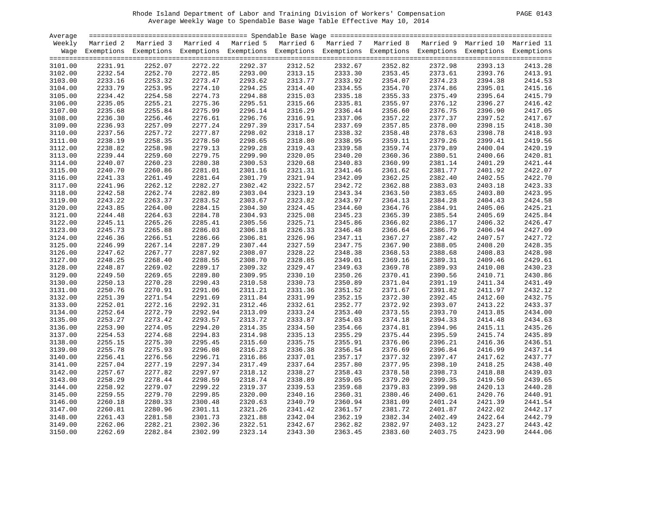| PAGE. | . በ1 - |
|-------|--------|
|       |        |

| Average |         |                                                                                                                    |         |         |         |                               |         |         |         |         |
|---------|---------|--------------------------------------------------------------------------------------------------------------------|---------|---------|---------|-------------------------------|---------|---------|---------|---------|
| Weekly  |         | Married 2 Married 3 Married 4 Married 5 Married 6 Married 7 Married 8 Married 9 Married 10 Married 11              |         |         |         |                               |         |         |         |         |
|         |         | Wage Exemptions Exemptions Exemptions Exemptions Exemptions Exemptions Exemptions Exemptions Exemptions Exemptions |         |         |         |                               |         |         |         |         |
|         |         |                                                                                                                    |         |         |         |                               |         |         |         |         |
| 3101.00 | 2231.91 | 2252.07                                                                                                            | 2272.22 | 2292.37 | 2312.52 | 2332.67                       | 2352.82 | 2372.98 | 2393.13 | 2413.28 |
| 3102.00 | 2232.54 | 2252.70                                                                                                            | 2272.85 | 2293.00 | 2313.15 | 2333.30<br>2333.30<br>2333.92 | 2353.45 | 2373.61 | 2393.76 | 2413.91 |
| 3103.00 | 2233.16 | 2253.32                                                                                                            | 2273.47 | 2293.62 | 2313.77 |                               | 2354.07 | 2374.23 | 2394.38 | 2414.53 |
| 3104.00 | 2233.79 | 2253.95                                                                                                            | 2274.10 | 2294.25 | 2314.40 | 2334.55                       | 2354.70 | 2374.86 | 2395.01 | 2415.16 |
| 3105.00 | 2234.42 | 2254.58                                                                                                            | 2274.73 | 2294.88 | 2315.03 | 2335.18                       | 2355.33 | 2375.49 | 2395.64 | 2415.79 |
| 3106.00 | 2235.05 | 2255.21                                                                                                            | 2275.36 | 2295.51 | 2315.66 | 2335.81                       | 2355.97 | 2376.12 | 2396.27 | 2416.42 |
| 3107.00 | 2235.68 | 2255.84                                                                                                            | 2275.99 | 2296.14 | 2316.29 | 2336.44                       | 2356.60 | 2376.75 | 2396.90 | 2417.05 |
| 3108.00 | 2236.30 | 2256.46                                                                                                            | 2276.61 | 2296.76 | 2316.91 | 2337.06                       | 2357.22 | 2377.37 | 2397.52 | 2417.67 |
| 3109.00 | 2236.93 | 2257.09                                                                                                            | 2277.24 | 2297.39 | 2317.54 | 2337.69                       | 2357.85 | 2378.00 | 2398.15 | 2418.30 |
| 3110.00 | 2237.56 | 2257.72                                                                                                            | 2277.87 | 2298.02 | 2318.17 | 2338.32                       | 2358.48 | 2378.63 | 2398.78 | 2418.93 |
| 3111.00 | 2238.19 | 2258.35                                                                                                            | 2278.50 | 2298.65 | 2318.80 | 2338.95                       | 2359.11 | 2379.26 | 2399.41 | 2419.56 |
| 3112.00 | 2238.82 | 2258.98                                                                                                            | 2279.13 | 2299.28 | 2319.43 | 2339.58                       | 2359.74 | 2379.89 | 2400.04 | 2420.19 |
| 3113.00 | 2239.44 | 2259.60                                                                                                            | 2279.75 | 2299.90 | 2320.05 | 2340.20                       | 2360.36 | 2380.51 | 2400.66 | 2420.81 |
| 3114.00 | 2240.07 | 2260.23                                                                                                            | 2280.38 | 2300.53 | 2320.68 | 2340.83                       | 2360.99 | 2381.14 | 2401.29 | 2421.44 |
| 3115.00 | 2240.70 | 2260.86                                                                                                            | 2281.01 | 2301.16 | 2321.31 | 2341.46                       | 2361.62 | 2381.77 | 2401.92 | 2422.07 |
| 3116.00 | 2241.33 | 2261.49                                                                                                            | 2281.64 | 2301.79 | 2321.94 | 2342.09                       | 2362.25 | 2382.40 | 2402.55 | 2422.70 |
| 3117.00 | 2241.96 | 2262.12                                                                                                            | 2282.27 | 2302.42 | 2322.57 | 2342.72                       | 2362.88 | 2383.03 | 2403.18 | 2423.33 |
| 3118.00 | 2242.58 | 2262.74                                                                                                            | 2282.89 | 2303.04 | 2323.19 | 2343.34                       | 2363.50 | 2383.65 | 2403.80 | 2423.95 |
| 3119.00 | 2243.22 | 2263.37                                                                                                            | 2283.52 | 2303.67 | 2323.82 | 2343.97                       | 2364.13 | 2384.28 | 2404.43 | 2424.58 |
| 3120.00 | 2243.85 | 2264.00                                                                                                            | 2284.15 | 2304.30 | 2324.45 | 2344.60                       | 2364.76 | 2384.91 | 2405.06 | 2425.21 |
| 3121.00 | 2244.48 | 2264.63                                                                                                            | 2284.78 | 2304.93 | 2325.08 | 2345.23                       | 2365.39 | 2385.54 | 2405.69 | 2425.84 |
| 3122.00 | 2245.11 | 2265.26                                                                                                            | 2285.41 | 2305.56 | 2325.71 | 2345.86                       | 2366.02 | 2386.17 | 2406.32 | 2426.47 |
| 3123.00 | 2245.73 | 2265.88                                                                                                            | 2286.03 | 2306.18 | 2326.33 | 2346.48                       | 2366.64 | 2386.79 | 2406.94 | 2427.09 |
| 3124.00 | 2246.36 | 2266.51                                                                                                            | 2286.66 | 2306.81 | 2326.96 | 2347.11                       | 2367.27 | 2387.42 | 2407.57 | 2427.72 |
| 3125.00 | 2246.99 | 2267.14                                                                                                            | 2287.29 | 2307.44 | 2327.59 | 2347.75                       | 2367.90 | 2388.05 | 2408.20 | 2428.35 |
| 3126.00 | 2247.62 | 2267.77                                                                                                            | 2287.92 | 2308.07 | 2328.22 | 2348.38                       | 2368.53 | 2388.68 | 2408.83 | 2428.98 |
| 3127.00 | 2248.25 | 2268.40                                                                                                            | 2288.55 | 2308.70 | 2328.85 | 2349.01                       | 2369.16 | 2389.31 | 2409.46 | 2429.61 |
| 3128.00 | 2248.87 | 2269.02                                                                                                            | 2289.17 | 2309.32 | 2329.47 | 2349.63                       | 2369.78 | 2389.93 | 2410.08 | 2430.23 |
| 3129.00 | 2249.50 | 2269.65                                                                                                            | 2289.80 | 2309.95 | 2330.10 | 2350.26                       | 2370.41 | 2390.56 | 2410.71 | 2430.86 |
| 3130.00 | 2250.13 | 2270.28                                                                                                            | 2290.43 | 2310.58 | 2330.73 | 2350.89                       | 2371.04 | 2391.19 | 2411.34 | 2431.49 |
| 3131.00 | 2250.76 | 2270.91                                                                                                            | 2291.06 | 2311.21 | 2331.36 | 2351.52                       | 2371.67 | 2391.82 | 2411.97 | 2432.12 |
| 3132.00 | 2251.39 | 2271.54                                                                                                            | 2291.69 | 2311.84 | 2331.99 | 2352.15                       | 2372.30 | 2392.45 | 2412.60 | 2432.75 |
| 3133.00 | 2252.01 | 2272.16                                                                                                            | 2292.31 | 2312.46 | 2332.61 | 2352.77                       | 2372.92 | 2393.07 | 2413.22 | 2433.37 |
| 3134.00 | 2252.64 | 2272.79                                                                                                            | 2292.94 | 2313.09 | 2333.24 | 2353.40                       | 2373.55 | 2393.70 | 2413.85 | 2434.00 |
| 3135.00 | 2253.27 | 2273.42                                                                                                            | 2293.57 | 2313.72 | 2333.87 | 2354.03                       | 2374.18 | 2394.33 | 2414.48 | 2434.63 |
| 3136.00 | 2253.90 | 2274.05                                                                                                            | 2294.20 | 2314.35 | 2334.50 | 2354.66                       | 2374.81 | 2394.96 | 2415.11 | 2435.26 |
| 3137.00 | 2254.53 | 2274.68                                                                                                            | 2294.83 | 2314.98 | 2335.13 | 2355.29                       | 2375.44 | 2395.59 | 2415.74 | 2435.89 |
| 3138.00 | 2255.15 | 2275.30                                                                                                            | 2295.45 | 2315.60 | 2335.75 | 2355.91                       | 2376.06 | 2396.21 | 2416.36 | 2436.51 |
| 3139.00 | 2255.78 | 2275.93                                                                                                            | 2296.08 | 2316.23 | 2336.38 | 2356.54                       | 2376.69 | 2396.84 | 2416.99 | 2437.14 |
| 3140.00 | 2256.41 | 2276.56                                                                                                            | 2296.71 | 2316.86 | 2337.01 | 2357.17                       | 2377.32 | 2397.47 | 2417.62 | 2437.77 |
| 3141.00 | 2257.04 | 2277.19                                                                                                            | 2297.34 | 2317.49 | 2337.64 | 2357.80                       | 2377.95 | 2398.10 | 2418.25 | 2438.40 |
| 3142.00 | 2257.67 | 2277.82                                                                                                            | 2297.97 | 2318.12 | 2338.27 | 2358.43                       | 2378.58 | 2398.73 | 2418.88 | 2439.03 |
| 3143.00 | 2258.29 | 2278.44                                                                                                            | 2298.59 | 2318.74 | 2338.89 | 2359.05                       | 2379.20 | 2399.35 | 2419.50 | 2439.65 |
| 3144.00 | 2258.92 | 2279.07                                                                                                            | 2299.22 | 2319.37 | 2339.53 | 2359.68                       | 2379.83 | 2399.98 | 2420.13 | 2440.28 |
| 3145.00 | 2259.55 | 2279.70                                                                                                            | 2299.85 | 2320.00 | 2340.16 | 2360.31                       | 2380.46 | 2400.61 | 2420.76 | 2440.91 |
| 3146.00 | 2260.18 | 2280.33                                                                                                            | 2300.48 | 2320.63 | 2340.79 | 2360.94                       | 2381.09 | 2401.24 | 2421.39 | 2441.54 |
| 3147.00 | 2260.81 | 2280.96                                                                                                            | 2301.11 | 2321.26 | 2341.42 | 2361.57                       | 2381.72 | 2401.87 | 2422.02 | 2442.17 |
| 3148.00 | 2261.43 | 2281.58                                                                                                            | 2301.73 | 2321.88 | 2342.04 | 2362.19                       | 2382.34 | 2402.49 | 2422.64 | 2442.79 |
| 3149.00 | 2262.06 | 2282.21                                                                                                            | 2302.36 | 2322.51 | 2342.67 | 2362.82                       | 2382.97 | 2403.12 | 2423.27 | 2443.42 |
| 3150.00 | 2262.69 | 2282.84                                                                                                            | 2302.99 | 2323.14 | 2343.30 | 2363.45                       | 2383.60 | 2403.75 | 2423.90 | 2444.06 |
|         |         |                                                                                                                    |         |         |         |                               |         |         |         |         |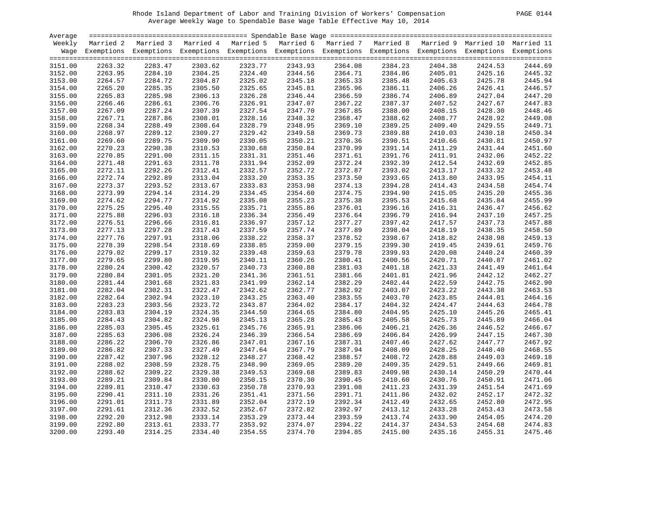| Average |         |                                                                                                                    |         |         |                    |                               |         |                    |         |                    |
|---------|---------|--------------------------------------------------------------------------------------------------------------------|---------|---------|--------------------|-------------------------------|---------|--------------------|---------|--------------------|
| Weekly  |         | Married 2 Married 3 Married 4 Married 5 Married 6 Married 7 Married 8 Married 9 Married 10 Married 11              |         |         |                    |                               |         |                    |         |                    |
|         |         | Wage Exemptions Exemptions Exemptions Exemptions Exemptions Exemptions Exemptions Exemptions Exemptions Exemptions |         |         |                    |                               |         |                    |         |                    |
| 3151.00 | 2263.32 | 2283.47                                                                                                            | 2303.62 | 2323.77 | 2343.93            | 2364.08                       | 2384.23 | 2404.38            | 2424.53 | 2444.69            |
| 3152.00 | 2263.95 | 2284.10                                                                                                            | 2304.25 | 2324.40 | 2344.56            |                               | 2384.86 | 2405.01            | 2425.16 | 2445.32            |
|         | 2264.57 | 2284.72                                                                                                            |         | 2325.02 |                    | 2364.71<br>2365.33            | 2385.48 |                    | 2425.78 | 2445.94            |
| 3153.00 | 2265.20 | 2285.35                                                                                                            | 2304.87 | 2325.65 | 2345.18<br>2345.81 |                               | 2386.11 | 2405.63<br>2406.26 |         |                    |
| 3154.00 |         |                                                                                                                    | 2305.50 |         |                    | 2365.96<br>2366.59            |         |                    | 2426.41 | 2446.57<br>2447.20 |
| 3155.00 | 2265.83 | 2285.98                                                                                                            | 2306.13 | 2326.28 | 2346.44            |                               | 2386.74 | 2406.89            | 2427.04 |                    |
| 3156.00 | 2266.46 | 2286.61                                                                                                            | 2306.76 | 2326.91 | 2347.07            | 2367.22                       | 2387.37 | 2407.52            | 2427.67 | 2447.83<br>2448.46 |
| 3157.00 | 2267.09 | 2287.24                                                                                                            | 2307.39 | 2327.54 | 2347.70            | 2367.85                       | 2388.00 | 2408.15            | 2428.30 |                    |
| 3158.00 | 2267.71 | 2287.86                                                                                                            | 2308.01 | 2328.16 | 2348.32            | 2368.47                       | 2388.62 | 2408.77            | 2428.92 | 2449.08            |
| 3159.00 | 2268.34 | 2288.49                                                                                                            | 2308.64 | 2328.79 | 2348.95            | 2369.10                       | 2389.25 | 2409.40            | 2429.55 | 2449.71            |
| 3160.00 | 2268.97 | 2289.12                                                                                                            | 2309.27 | 2329.42 | 2349.58            | 2369.73                       | 2389.88 | 2410.03            | 2430.18 | 2450.34            |
| 3161.00 | 2269.60 | 2289.75                                                                                                            | 2309.90 | 2330.05 | 2350.21            | 2370.36                       | 2390.51 | 2410.66            | 2430.81 | 2450.97            |
| 3162.00 | 2270.23 | 2290.38                                                                                                            | 2310.53 | 2330.68 | 2350.84            | 2370.99<br>2370.99<br>2371.61 | 2391.14 | 2411.29            | 2431.44 | 2451.60            |
| 3163.00 | 2270.85 | 2291.00                                                                                                            | 2311.15 | 2331.31 | 2351.46            |                               | 2391.76 | 2411.91            | 2432.06 | 2452.22            |
| 3164.00 | 2271.48 | 2291.63                                                                                                            | 2311.78 | 2331.94 | 2352.09            | 2372.24                       | 2392.39 | 2412.54            | 2432.69 | 2452.85            |
| 3165.00 | 2272.11 | 2292.26                                                                                                            | 2312.41 | 2332.57 | 2352.72            | 2372.87                       | 2393.02 | 2413.17            | 2433.32 | 2453.48            |
| 3166.00 | 2272.74 | 2292.89                                                                                                            | 2313.04 | 2333.20 | 2353.35            | 2373.50                       | 2393.65 | 2413.80            | 2433.95 | 2454.11            |
| 3167.00 | 2273.37 | 2293.52                                                                                                            | 2313.67 | 2333.83 | 2353.98            | 2374.13                       | 2394.28 | 2414.43            | 2434.58 | 2454.74            |
| 3168.00 | 2273.99 | 2294.14                                                                                                            | 2314.29 | 2334.45 | 2354.60            | 2374.75                       | 2394.90 | 2415.05            | 2435.20 | 2455.36            |
| 3169.00 | 2274.62 | 2294.77                                                                                                            | 2314.92 | 2335.08 | 2355.23            | 2375.38                       | 2395.53 | 2415.68            | 2435.84 | 2455.99            |
| 3170.00 | 2275.25 | 2295.40                                                                                                            | 2315.55 | 2335.71 | 2355.86            | 2376.01                       | 2396.16 | 2416.31            | 2436.47 | 2456.62            |
| 3171.00 | 2275.88 | 2296.03                                                                                                            | 2316.18 | 2336.34 | 2356.49            | 2376.64                       | 2396.79 | 2416.94            | 2437.10 | 2457.25            |
| 3172.00 | 2276.51 | 2296.66                                                                                                            | 2316.81 | 2336.97 | 2357.12            | 2377.27                       | 2397.42 | 2417.57            | 2437.73 | 2457.88            |
| 3173.00 | 2277.13 | 2297.28                                                                                                            | 2317.43 | 2337.59 | 2357.74            | 2377.89                       | 2398.04 | 2418.19            | 2438.35 | 2458.50            |
| 3174.00 | 2277.76 | 2297.91                                                                                                            | 2318.06 | 2338.22 | 2358.37            | 2378.52                       | 2398.67 | 2418.82            | 2438.98 | 2459.13            |
| 3175.00 | 2278.39 | 2298.54                                                                                                            | 2318.69 | 2338.85 | 2359.00            | 2379.15                       | 2399.30 | 2419.45            | 2439.61 | 2459.76            |
| 3176.00 | 2279.02 | 2299.17                                                                                                            | 2319.32 | 2339.48 | 2359.63            | 2379.78                       | 2399.93 | 2420.08            | 2440.24 | 2460.39            |
| 3177.00 | 2279.65 | 2299.80                                                                                                            | 2319.95 | 2340.11 | 2360.26            | 2380.41                       | 2400.56 | 2420.71            | 2440.87 | 2461.02            |
| 3178.00 | 2280.24 | 2300.42                                                                                                            | 2320.57 | 2340.73 | 2360.88            | 2381.03                       | 2401.18 | 2421.33            | 2441.49 | 2461.64            |
| 3179.00 | 2280.84 | 2301.05                                                                                                            | 2321.20 | 2341.36 | 2361.51            | 2381.66                       | 2401.81 | 2421.96            | 2442.12 | 2462.27            |
| 3180.00 | 2281.44 | 2301.68                                                                                                            | 2321.83 | 2341.99 | 2362.14            | 2382.29                       | 2402.44 | 2422.59            | 2442.75 | 2462.90            |
| 3181.00 | 2282.04 | 2302.31                                                                                                            | 2322.47 | 2342.62 | 2362.77            | 2382.92                       | 2403.07 | 2423.22            | 2443.38 | 2463.53            |
| 3182.00 | 2282.64 | 2302.94                                                                                                            | 2323.10 | 2343.25 | 2363.40            | 2383.55                       | 2403.70 | 2423.85            | 2444.01 | 2464.16            |
| 3183.00 | 2283.23 | 2303.56                                                                                                            | 2323.72 | 2343.87 | 2364.02            | 2384.17                       | 2404.32 | 2424.47            | 2444.63 | 2464.78            |
| 3184.00 | 2283.83 | 2304.19                                                                                                            | 2324.35 | 2344.50 | 2364.65            | 2384.80                       | 2404.95 | 2425.10            | 2445.26 | 2465.41            |
| 3185.00 | 2284.43 | 2304.82                                                                                                            | 2324.98 | 2345.13 | 2365.28            | 2385.43                       | 2405.58 | 2425.73            | 2445.89 | 2466.04            |
| 3186.00 | 2285.03 | 2305.45                                                                                                            | 2325.61 | 2345.76 | 2365.91            | 2386.06                       | 2406.21 | 2426.36            | 2446.52 | 2466.67            |
| 3187.00 | 2285.63 | 2306.08                                                                                                            | 2326.24 | 2346.39 | 2366.54            | 2386.69                       | 2406.84 | 2426.99            | 2447.15 | 2467.30            |
| 3188.00 | 2286.22 | 2306.70                                                                                                            | 2326.86 | 2347.01 | 2367.16            | 2387.31                       | 2407.46 | 2427.62            | 2447.77 | 2467.92            |
| 3189.00 | 2286.82 | 2307.33                                                                                                            | 2327.49 | 2347.64 | 2367.79            | 2387.94                       | 2408.09 | 2428.25            | 2448.40 | 2468.55            |
| 3190.00 | 2287.42 | 2307.96                                                                                                            | 2328.12 | 2348.27 | 2368.42            | 2388.57                       | 2408.72 | 2428.88            | 2449.03 | 2469.18            |
| 3191.00 | 2288.02 | 2308.59                                                                                                            | 2328.75 | 2348.90 | 2369.05            | 2389.20                       | 2409.35 | 2429.51            | 2449.66 | 2469.81            |
| 3192.00 | 2288.62 | 2309.22                                                                                                            | 2329.38 | 2349.53 | 2369.68            | 2389.83                       | 2409.98 | 2430.14            | 2450.29 | 2470.44            |
| 3193.00 | 2289.21 | 2309.84                                                                                                            | 2330.00 | 2350.15 | 2370.30            | 2390.45                       | 2410.60 | 2430.76            | 2450.91 | 2471.06            |
| 3194.00 | 2289.81 | 2310.47                                                                                                            | 2330.63 | 2350.78 | 2370.93            | 2391.08                       | 2411.23 | 2431.39            | 2451.54 | 2471.69            |
| 3195.00 | 2290.41 | 2311.10                                                                                                            | 2331.26 | 2351.41 | 2371.56            | 2391.71                       | 2411.86 | 2432.02            | 2452.17 | 2472.32            |
| 3196.00 | 2291.01 | 2311.73                                                                                                            | 2331.89 | 2352.04 | 2372.19            | 2392.34                       | 2412.49 | 2432.65            | 2452.80 | 2472.95            |
| 3197.00 | 2291.61 | 2312.36                                                                                                            | 2332.52 | 2352.67 | 2372.82            | 2392.97                       | 2413.12 | 2433.28            | 2453.43 | 2473.58            |
| 3198.00 | 2292.20 | 2312.98                                                                                                            | 2333.14 | 2353.29 | 2373.44            | 2393.59                       | 2413.74 | 2433.90            | 2454.05 | 2474.20            |
| 3199.00 | 2292.80 | 2313.61                                                                                                            | 2333.77 | 2353.92 | 2374.07            | 2394.22                       | 2414.37 | 2434.53            | 2454.68 | 2474.83            |
| 3200.00 | 2293.40 | 2314.25                                                                                                            | 2334.40 | 2354.55 | 2374.70            | 2394.85                       | 2415.00 | 2435.16            | 2455.31 | 2475.46            |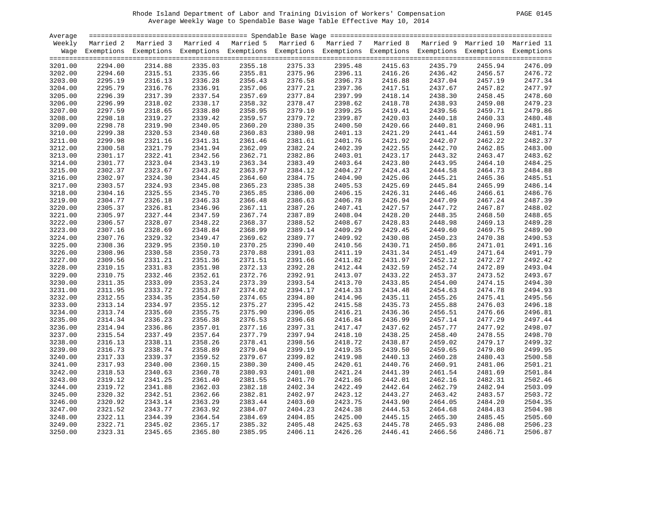| Average |         |                                                                                                                    |         |         |         |                    |         |         |         |         |
|---------|---------|--------------------------------------------------------------------------------------------------------------------|---------|---------|---------|--------------------|---------|---------|---------|---------|
| Weekly  |         | Married 2 Married 3 Married 4 Married 5 Married 6 Married 7 Married 8 Married 9 Married 10 Married 11              |         |         |         |                    |         |         |         |         |
|         |         | Wage Exemptions Exemptions Exemptions Exemptions Exemptions Exemptions Exemptions Exemptions Exemptions Exemptions |         |         |         |                    |         |         |         |         |
|         |         |                                                                                                                    |         |         |         |                    |         |         |         |         |
| 3201.00 | 2294.00 | 2314.88                                                                                                            | 2335.03 | 2355.18 | 2375.33 | 2395.48            | 2415.63 | 2435.79 | 2455.94 | 2476.09 |
| 3202.00 | 2294.60 | 2315.51                                                                                                            | 2335.66 | 2355.81 | 2375.96 | 2396.11            | 2416.26 | 2436.42 | 2456.57 | 2476.72 |
| 3203.00 | 2295.19 | 2316.13                                                                                                            | 2336.28 | 2356.43 | 2376.58 | 2396.11<br>2396.73 | 2416.88 | 2437.04 | 2457.19 | 2477.34 |
| 3204.00 | 2295.79 | 2316.76                                                                                                            | 2336.91 | 2357.06 | 2377.21 | 2397.36<br>2397.99 | 2417.51 | 2437.67 | 2457.82 | 2477.97 |
| 3205.00 | 2296.39 | 2317.39                                                                                                            | 2337.54 | 2357.69 | 2377.84 |                    | 2418.14 | 2438.30 | 2458.45 | 2478.60 |
| 3206.00 | 2296.99 | 2318.02                                                                                                            | 2338.17 | 2358.32 | 2378.47 | 2398.62            | 2418.78 | 2438.93 | 2459.08 | 2479.23 |
| 3207.00 | 2297.59 | 2318.65                                                                                                            | 2338.80 | 2358.95 | 2379.10 | 2399.25            | 2419.41 | 2439.56 | 2459.71 | 2479.86 |
| 3208.00 | 2298.18 | 2319.27                                                                                                            | 2339.42 | 2359.57 | 2379.72 | 2399.87            | 2420.03 | 2440.18 | 2460.33 | 2480.48 |
| 3209.00 | 2298.78 | 2319.90                                                                                                            | 2340.05 | 2360.20 | 2380.35 | 2400.50            | 2420.66 | 2440.81 | 2460.96 | 2481.11 |
| 3210.00 | 2299.38 | 2320.53                                                                                                            | 2340.68 | 2360.83 | 2380.98 | 2401.13            | 2421.29 | 2441.44 | 2461.59 | 2481.74 |
| 3211.00 | 2299.98 | 2321.16                                                                                                            | 2341.31 | 2361.46 | 2381.61 | 2401.76            | 2421.92 | 2442.07 | 2462.22 | 2482.37 |
| 3212.00 | 2300.58 | 2321.79                                                                                                            | 2341.94 | 2362.09 | 2382.24 | 2402.39            | 2422.55 | 2442.70 | 2462.85 | 2483.00 |
| 3213.00 | 2301.17 | 2322.41                                                                                                            | 2342.56 | 2362.71 | 2382.86 | 2403.01            | 2423.17 | 2443.32 | 2463.47 | 2483.62 |
| 3214.00 | 2301.77 | 2323.04                                                                                                            | 2343.19 | 2363.34 | 2383.49 | 2403.64            | 2423.80 | 2443.95 | 2464.10 | 2484.25 |
| 3215.00 | 2302.37 | 2323.67                                                                                                            | 2343.82 | 2363.97 | 2384.12 | 2404.27            | 2424.43 | 2444.58 | 2464.73 | 2484.88 |
| 3216.00 | 2302.97 | 2324.30                                                                                                            | 2344.45 | 2364.60 | 2384.75 | 2404.90            | 2425.06 | 2445.21 | 2465.36 | 2485.51 |
| 3217.00 | 2303.57 | 2324.93                                                                                                            | 2345.08 | 2365.23 | 2385.38 | 2405.53            | 2425.69 | 2445.84 | 2465.99 | 2486.14 |
| 3218.00 | 2304.16 | 2325.55                                                                                                            | 2345.70 | 2365.85 | 2386.00 | 2406.15            | 2426.31 | 2446.46 | 2466.61 | 2486.76 |
| 3219.00 | 2304.77 | 2326.18                                                                                                            | 2346.33 | 2366.48 | 2386.63 | 2406.78            | 2426.94 | 2447.09 | 2467.24 | 2487.39 |
| 3220.00 | 2305.37 | 2326.81                                                                                                            | 2346.96 | 2367.11 | 2387.26 | 2407.41            | 2427.57 | 2447.72 | 2467.87 | 2488.02 |
|         |         |                                                                                                                    |         |         |         |                    |         |         |         | 2488.65 |
| 3221.00 | 2305.97 | 2327.44                                                                                                            | 2347.59 | 2367.74 | 2387.89 | 2408.04            | 2428.20 | 2448.35 | 2468.50 |         |
| 3222.00 | 2306.57 | 2328.07                                                                                                            | 2348.22 | 2368.37 | 2388.52 | 2408.67            | 2428.83 | 2448.98 | 2469.13 | 2489.28 |
| 3223.00 | 2307.16 | 2328.69                                                                                                            | 2348.84 | 2368.99 | 2389.14 | 2409.29            | 2429.45 | 2449.60 | 2469.75 | 2489.90 |
| 3224.00 | 2307.76 | 2329.32                                                                                                            | 2349.47 | 2369.62 | 2389.77 | 2409.92            | 2430.08 | 2450.23 | 2470.38 | 2490.53 |
| 3225.00 | 2308.36 | 2329.95                                                                                                            | 2350.10 | 2370.25 | 2390.40 | 2410.56            | 2430.71 | 2450.86 | 2471.01 | 2491.16 |
| 3226.00 | 2308.96 | 2330.58                                                                                                            | 2350.73 | 2370.88 | 2391.03 | 2411.19            | 2431.34 | 2451.49 | 2471.64 | 2491.79 |
| 3227.00 | 2309.56 | 2331.21                                                                                                            | 2351.36 | 2371.51 | 2391.66 | 2411.82            | 2431.97 | 2452.12 | 2472.27 | 2492.42 |
| 3228.00 | 2310.15 | 2331.83                                                                                                            | 2351.98 | 2372.13 | 2392.28 | 2412.44            | 2432.59 | 2452.74 | 2472.89 | 2493.04 |
| 3229.00 | 2310.75 | 2332.46                                                                                                            | 2352.61 | 2372.76 | 2392.91 | 2413.07            | 2433.22 | 2453.37 | 2473.52 | 2493.67 |
| 3230.00 | 2311.35 | 2333.09                                                                                                            | 2353.24 | 2373.39 | 2393.54 | 2413.70            | 2433.85 | 2454.00 | 2474.15 | 2494.30 |
| 3231.00 | 2311.95 | 2333.72                                                                                                            | 2353.87 | 2374.02 | 2394.17 | 2414.33            | 2434.48 | 2454.63 | 2474.78 | 2494.93 |
| 3232.00 | 2312.55 | 2334.35                                                                                                            | 2354.50 | 2374.65 | 2394.80 | 2414.96            | 2435.11 | 2455.26 | 2475.41 | 2495.56 |
| 3233.00 | 2313.14 | 2334.97                                                                                                            | 2355.12 | 2375.27 | 2395.42 | 2415.58            | 2435.73 | 2455.88 | 2476.03 | 2496.18 |
| 3234.00 | 2313.74 | 2335.60                                                                                                            | 2355.75 | 2375.90 | 2396.05 | 2416.21            | 2436.36 | 2456.51 | 2476.66 | 2496.81 |
| 3235.00 | 2314.34 | 2336.23                                                                                                            | 2356.38 | 2376.53 | 2396.68 | 2416.84            | 2436.99 | 2457.14 | 2477.29 | 2497.44 |
| 3236.00 | 2314.94 | 2336.86                                                                                                            | 2357.01 | 2377.16 | 2397.31 | 2417.47            | 2437.62 | 2457.77 | 2477.92 | 2498.07 |
| 3237.00 | 2315.54 | 2337.49                                                                                                            | 2357.64 | 2377.79 | 2397.94 | 2418.10            | 2438.25 | 2458.40 | 2478.55 | 2498.70 |
| 3238.00 | 2316.13 | 2338.11                                                                                                            | 2358.26 | 2378.41 | 2398.56 | 2418.72            | 2438.87 | 2459.02 | 2479.17 | 2499.32 |
| 3239.00 | 2316.73 | 2338.74                                                                                                            | 2358.89 | 2379.04 | 2399.19 | 2419.35            | 2439.50 | 2459.65 | 2479.80 | 2499.95 |
| 3240.00 | 2317.33 | 2339.37                                                                                                            | 2359.52 | 2379.67 | 2399.82 | 2419.98            | 2440.13 | 2460.28 | 2480.43 | 2500.58 |
| 3241.00 | 2317.93 | 2340.00                                                                                                            | 2360.15 | 2380.30 | 2400.45 | 2420.61            | 2440.76 | 2460.91 | 2481.06 | 2501.21 |
| 3242.00 | 2318.53 | 2340.63                                                                                                            | 2360.78 | 2380.93 | 2401.08 | 2421.24            | 2441.39 | 2461.54 | 2481.69 | 2501.84 |
| 3243.00 | 2319.12 | 2341.25                                                                                                            | 2361.40 | 2381.55 | 2401.70 | 2421.86            | 2442.01 | 2462.16 | 2482.31 | 2502.46 |
| 3244.00 | 2319.72 | 2341.88                                                                                                            | 2362.03 | 2382.18 | 2402.34 | 2422.49            | 2442.64 | 2462.79 | 2482.94 | 2503.09 |
| 3245.00 | 2320.32 | 2342.51                                                                                                            | 2362.66 | 2382.81 | 2402.97 | 2423.12            | 2443.27 | 2463.42 | 2483.57 | 2503.72 |
| 3246.00 | 2320.92 | 2343.14                                                                                                            | 2363.29 | 2383.44 | 2403.60 | 2423.75            | 2443.90 | 2464.05 | 2484.20 | 2504.35 |
| 3247.00 | 2321.52 | 2343.77                                                                                                            | 2363.92 | 2384.07 | 2404.23 | 2424.38            | 2444.53 | 2464.68 | 2484.83 | 2504.98 |
| 3248.00 | 2322.11 | 2344.39                                                                                                            | 2364.54 | 2384.69 | 2404.85 | 2425.00            | 2445.15 | 2465.30 | 2485.45 | 2505.60 |
| 3249.00 | 2322.71 | 2345.02                                                                                                            | 2365.17 | 2385.32 | 2405.48 | 2425.63            | 2445.78 | 2465.93 | 2486.08 | 2506.23 |
| 3250.00 | 2323.31 | 2345.65                                                                                                            | 2365.80 | 2385.95 | 2406.11 | 2426.26            | 2446.41 | 2466.56 | 2486.71 | 2506.87 |
|         |         |                                                                                                                    |         |         |         |                    |         |         |         |         |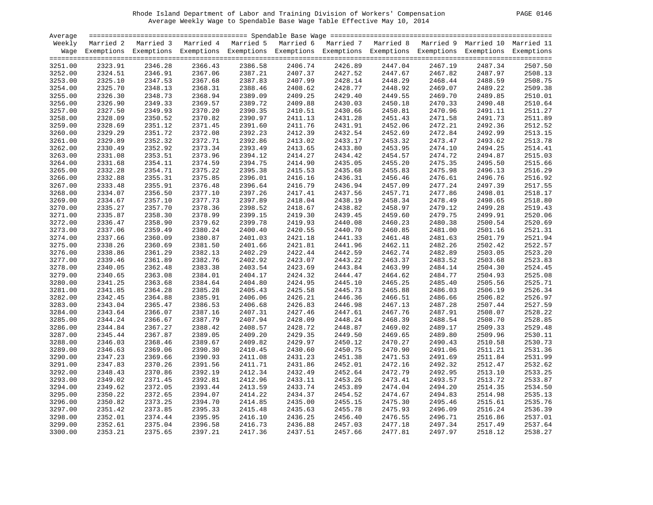| PAGE | 0146 |
|------|------|
|      |      |

| Average            |                    |                                                                                                                    |                    |                    |                    |                    |                    |                    |                    |                    |
|--------------------|--------------------|--------------------------------------------------------------------------------------------------------------------|--------------------|--------------------|--------------------|--------------------|--------------------|--------------------|--------------------|--------------------|
| Weekly             |                    | Married 2 Married 3 Married 4 Married 5 Married 6 Married 7 Married 8 Married 9 Married 10 Married 11              |                    |                    |                    |                    |                    |                    |                    |                    |
|                    |                    | Wage Exemptions Exemptions Exemptions Exemptions Exemptions Exemptions Exemptions Exemptions Exemptions Exemptions |                    |                    |                    |                    |                    |                    |                    |                    |
| 3251.00            | 2323.91            | 2346.28                                                                                                            | 2366.43            | 2386.58            | 2406.74            | 2426.89            | 2447.04            | 2467.19            | 2487.34            | 2507.50            |
| 3252.00            | 2324.51            | 2346.91                                                                                                            | 2367.06            | 2387.21            | 2407.37            |                    | 2447.67            | 2467.82            | 2487.97            | 2508.13            |
| 3253.00            | 2325.10            | 2347.53                                                                                                            | 2367.68            | 2387.83            | 2407.99            | 2427.52<br>2428.14 | 2448.29            | 2468.44            | 2488.59            | 2508.75            |
| 3254.00            | 2325.70            | 2348.13                                                                                                            | 2368.31            | 2388.46            | 2408.62            | 2428.77            | 2448.92            | 2469.07            | 2489.22            | 2509.38            |
|                    | 2326.30            | 2348.73                                                                                                            | 2368.94            | 2389.09            | 2409.25            | 2429.40            | 2449.55            | 2469.70            | 2489.85            | 2510.01            |
| 3255.00<br>3256.00 | 2326.90            | 2349.33                                                                                                            | 2369.57            | 2389.72            | 2409.88            | 2430.03            | 2450.18            | 2470.33            | 2490.48            | 2510.64            |
| 3257.00            | 2327.50            | 2349.93                                                                                                            | 2370.20            | 2390.35            | 2410.51            | 2430.66            | 2450.81            | 2470.96            | 2491.11            | 2511.27            |
| 3258.00            | 2328.09            | 2350.52                                                                                                            | 2370.82            | 2390.97            | 2411.13            | 2431.28            | 2451.43            | 2471.58            |                    | 2511.89            |
|                    |                    |                                                                                                                    |                    |                    |                    |                    |                    |                    | 2491.73            |                    |
| 3259.00            | 2328.69<br>2329.29 | 2351.12<br>2351.72                                                                                                 | 2371.45<br>2372.08 | 2391.60<br>2392.23 | 2411.76            | 2431.91<br>2432.54 | 2452.06<br>2452.69 | 2472.21            | 2492.36            | 2512.52<br>2513.15 |
| 3260.00            |                    |                                                                                                                    |                    |                    | 2412.39            |                    |                    | 2472.84            | 2492.99            |                    |
| 3261.00            | 2329.89            | 2352.32                                                                                                            | 2372.71            | 2392.86            | 2413.02            | 2433.17            | 2453.32            | 2473.47            | 2493.62            | 2513.78            |
| 3262.00            | 2330.49            | 2352.92                                                                                                            | 2373.34            | 2393.49            | 2413.65            | 2433.80            | 2453.95            | 2474.10            | 2494.25            | 2514.41            |
| 3263.00            | 2331.08            | 2353.51                                                                                                            | 2373.96            | 2394.12            | 2414.27            | 2434.42            | 2454.57            | 2474.72            | 2494.87            | 2515.03            |
| 3264.00            | 2331.68            | 2354.11                                                                                                            | 2374.59            | 2394.75            | 2414.90            | 2435.05            | 2455.20            | 2475.35            | 2495.50            | 2515.66            |
| 3265.00            | 2332.28            | 2354.71                                                                                                            | 2375.22            | 2395.38            | 2415.53            | 2435.68            | 2455.83            | 2475.98            | 2496.13            | 2516.29            |
| 3266.00            | 2332.88            | 2355.31                                                                                                            | 2375.85            | 2396.01            | 2416.16            | 2436.31            | 2456.46            | 2476.61            | 2496.76            | 2516.92            |
| 3267.00            | 2333.48            | 2355.91                                                                                                            | 2376.48            | 2396.64            | 2416.79            | 2436.94            | 2457.09            | 2477.24            | 2497.39            | 2517.55            |
| 3268.00            | 2334.07            | 2356.50                                                                                                            | 2377.10            | 2397.26            | 2417.41            | 2437.56            | 2457.71            | 2477.86            | 2498.01            | 2518.17            |
| 3269.00            | 2334.67            | 2357.10                                                                                                            | 2377.73            | 2397.89            | 2418.04            | 2438.19            | 2458.34            | 2478.49            | 2498.65            | 2518.80            |
| 3270.00            | 2335.27            | 2357.70                                                                                                            | 2378.36            | 2398.52            | 2418.67            | 2438.82            | 2458.97            | 2479.12            | 2499.28            | 2519.43<br>2520.06 |
| 3271.00            | 2335.87            | 2358.30                                                                                                            | 2378.99            | 2399.15            | 2419.30            | 2439.45            | 2459.60            | 2479.75            | 2499.91            |                    |
| 3272.00            | 2336.47            | 2358.90                                                                                                            | 2379.62            | 2399.78            | 2419.93            | 2440.08<br>2440.70 | 2460.23            | 2480.38            | 2500.54            | 2520.69            |
| 3273.00            | 2337.06            | 2359.49                                                                                                            | 2380.24            | 2400.40            | 2420.55            |                    | 2460.85            | 2481.00            | 2501.16            | 2521.31            |
| 3274.00            | 2337.66            | 2360.09                                                                                                            | 2380.87            | 2401.03            | 2421.18            | 2441.33            | 2461.48            | 2481.63            | 2501.79            | 2521.94            |
| 3275.00            | 2338.26            | 2360.69                                                                                                            | 2381.50            | 2401.66            | 2421.81            | 2441.96            | 2462.11            | 2482.26            | 2502.42            | 2522.57            |
| 3276.00            | 2338.86            | 2361.29                                                                                                            | 2382.13            | 2402.29            | 2422.44            | 2442.59            | 2462.74            | 2482.89            | 2503.05            | 2523.20<br>2523.83 |
| 3277.00            | 2339.46            | 2361.89<br>2362.48                                                                                                 | 2382.76            | 2402.92<br>2403.54 | 2423.07            | 2443.22<br>2443.84 | 2463.37<br>2463.99 | 2483.52            | 2503.68<br>2504.30 | 2524.45            |
| 3278.00            | 2340.05            |                                                                                                                    | 2383.38            | 2404.17            | 2423.69<br>2424.32 |                    | 2464.62            | 2484.14            |                    |                    |
| 3279.00<br>3280.00 | 2340.65<br>2341.25 | 2363.08<br>2363.68                                                                                                 | 2384.01<br>2384.64 | 2404.80            | 2424.95            | 2444.47<br>2445.10 | 2465.25            | 2484.77<br>2485.40 | 2504.93<br>2505.56 | 2525.08<br>2525.71 |
|                    | 2341.85            | 2364.28                                                                                                            | 2385.28            | 2405.43            | 2425.58            | 2445.73            | 2465.88            | 2486.03            | 2506.19            | 2526.34            |
| 3281.00<br>3282.00 | 2342.45            | 2364.88                                                                                                            | 2385.91            | 2406.06            | 2426.21            | 2446.36            | 2466.51            | 2486.66            | 2506.82            | 2526.97            |
|                    |                    |                                                                                                                    |                    |                    |                    | 2446.98            | 2467.13            |                    |                    | 2527.59            |
| 3283.00<br>3284.00 | 2343.04<br>2343.64 | 2365.47<br>2366.07                                                                                                 | 2386.53<br>2387.16 | 2406.68<br>2407.31 | 2426.83<br>2427.46 | 2447.61            | 2467.76            | 2487.28<br>2487.91 | 2507.44<br>2508.07 | 2528.22            |
| 3285.00            | 2344.24            | 2366.67                                                                                                            | 2387.79            | 2407.94            | 2428.09            | 2448.24            | 2468.39            | 2488.54            | 2508.70            | 2528.85            |
|                    |                    | 2367.27                                                                                                            | 2388.42            | 2408.57            | 2428.72            | 2448.87            | 2469.02            | 2489.17            |                    | 2529.48            |
| 3286.00<br>3287.00 | 2344.84<br>2345.44 | 2367.87                                                                                                            | 2389.05            | 2409.20            | 2429.35            | 2449.50            | 2469.65            | 2489.80            | 2509.33<br>2509.96 | 2530.11            |
| 3288.00            | 2346.03            | 2368.46                                                                                                            | 2389.67            | 2409.82            | 2429.97            | 2450.12            | 2470.27            | 2490.43            | 2510.58            | 2530.73            |
| 3289.00            | 2346.63            | 2369.06                                                                                                            | 2390.30            | 2410.45            | 2430.60            | 2450.75            | 2470.90            | 2491.06            | 2511.21            | 2531.36            |
|                    |                    |                                                                                                                    |                    |                    |                    |                    |                    |                    |                    | 2531.99            |
| 3290.00            | 2347.23            | 2369.66                                                                                                            | 2390.93            | 2411.08            | 2431.23            | 2451.38            | 2471.53            | 2491.69            | 2511.84            |                    |
| 3291.00            | 2347.83            | 2370.26                                                                                                            | 2391.56            | 2411.71            | 2431.86            | 2452.01            | 2472.16            | 2492.32            | 2512.47            | 2532.62<br>2533.25 |
| 3292.00            | 2348.43            | 2370.86                                                                                                            | 2392.19            | 2412.34            | 2432.49            | 2452.64            | 2472.79            | 2492.95            | 2513.10            |                    |
| 3293.00            | 2349.02            | 2371.45                                                                                                            | 2392.81            | 2412.96            | 2433.11            | 2453.26            | 2473.41            | 2493.57            | 2513.72            | 2533.87            |
| 3294.00            | 2349.62            | 2372.05                                                                                                            | 2393.44            | 2413.59            | 2433.74            | 2453.89            | 2474.04            | 2494.20            | 2514.35            | 2534.50<br>2535.13 |
| 3295.00            | 2350.22            | 2372.65                                                                                                            | 2394.07            | 2414.22            | 2434.37            | 2454.52            | 2474.67            | 2494.83            | 2514.98            |                    |
| 3296.00            | 2350.82            | 2373.25                                                                                                            | 2394.70            | 2414.85            | 2435.00            | 2455.15            | 2475.30            | 2495.46            | 2515.61            | 2535.76            |
| 3297.00            | 2351.42            | 2373.85                                                                                                            | 2395.33<br>2395.95 | 2415.48<br>2416.10 | 2435.63<br>2436.25 | 2455.78            | 2475.93            | 2496.09            | 2516.24            | 2536.39            |
| 3298.00            | 2352.01            | 2374.44<br>2375.04                                                                                                 |                    |                    |                    | 2456.40            | 2476.55            | 2496.71            | 2516.86            | 2537.01<br>2537.64 |
| 3299.00            | 2352.61            |                                                                                                                    | 2396.58            | 2416.73            | 2436.88            | 2457.03            | 2477.18            | 2497.34            | 2517.49            |                    |
| 3300.00            | 2353.21            | 2375.65                                                                                                            | 2397.21            | 2417.36            | 2437.51            | 2457.66            | 2477.81            | 2497.97            | 2518.12            | 2538.27            |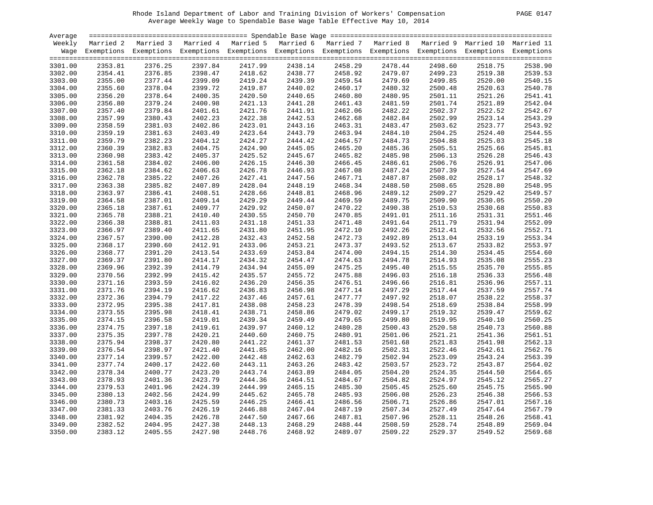| PAGE | 0147 |
|------|------|
|      |      |

| Average |         |                                                                                                                    |         |         |         |                    |         |         |         |         |
|---------|---------|--------------------------------------------------------------------------------------------------------------------|---------|---------|---------|--------------------|---------|---------|---------|---------|
| Weekly  |         | Married 2 Married 3 Married 4 Married 5 Married 6 Married 7 Married 8 Married 9 Married 10 Married 11              |         |         |         |                    |         |         |         |         |
|         |         | Wage Exemptions Exemptions Exemptions Exemptions Exemptions Exemptions Exemptions Exemptions Exemptions Exemptions |         |         |         |                    |         |         |         |         |
|         |         |                                                                                                                    |         |         |         |                    |         |         |         |         |
| 3301.00 | 2353.81 | 2376.25                                                                                                            | 2397.84 | 2417.99 | 2438.14 | 2458.29            | 2478.44 | 2498.60 | 2518.75 | 2538.90 |
| 3302.00 | 2354.41 | 2376.85                                                                                                            | 2398.47 | 2418.62 | 2438.77 | 2458.92            | 2479.07 | 2499.23 | 2519.38 | 2539.53 |
| 3303.00 | 2355.00 | 2377.44                                                                                                            | 2399.09 | 2419.24 | 2439.39 | 2458.92<br>2459.54 | 2479.69 | 2499.85 | 2520.00 | 2540.15 |
| 3304.00 | 2355.60 | 2378.04                                                                                                            | 2399.72 | 2419.87 | 2440.02 | 2460.17            | 2480.32 | 2500.48 | 2520.63 | 2540.78 |
| 3305.00 | 2356.20 | 2378.64                                                                                                            | 2400.35 | 2420.50 | 2440.65 | 2460.80            | 2480.95 | 2501.11 | 2521.26 | 2541.41 |
| 3306.00 | 2356.80 | 2379.24                                                                                                            | 2400.98 | 2421.13 | 2441.28 | 2461.43            | 2481.59 | 2501.74 | 2521.89 | 2542.04 |
| 3307.00 | 2357.40 | 2379.84                                                                                                            | 2401.61 | 2421.76 | 2441.91 | 2462.06            | 2482.22 | 2502.37 | 2522.52 | 2542.67 |
| 3308.00 | 2357.99 | 2380.43                                                                                                            | 2402.23 | 2422.38 | 2442.53 | 2462.68            | 2482.84 | 2502.99 | 2523.14 | 2543.29 |
| 3309.00 | 2358.59 | 2381.03                                                                                                            | 2402.86 | 2423.01 | 2443.16 | 2463.31            | 2483.47 | 2503.62 | 2523.77 | 2543.92 |
| 3310.00 | 2359.19 | 2381.63                                                                                                            | 2403.49 | 2423.64 | 2443.79 | 2463.94            | 2484.10 | 2504.25 | 2524.40 | 2544.55 |
| 3311.00 | 2359.79 | 2382.23                                                                                                            | 2404.12 | 2424.27 | 2444.42 | 2464.57            | 2484.73 | 2504.88 | 2525.03 | 2545.18 |
|         |         |                                                                                                                    |         |         |         |                    |         |         |         |         |
| 3312.00 | 2360.39 | 2382.83                                                                                                            | 2404.75 | 2424.90 | 2445.05 | 2465.20            | 2485.36 | 2505.51 | 2525.66 | 2545.81 |
| 3313.00 | 2360.98 | 2383.42                                                                                                            | 2405.37 | 2425.52 | 2445.67 | 2465.82            | 2485.98 | 2506.13 | 2526.28 | 2546.43 |
| 3314.00 | 2361.58 | 2384.02                                                                                                            | 2406.00 | 2426.15 | 2446.30 | 2466.45            | 2486.61 | 2506.76 | 2526.91 | 2547.06 |
| 3315.00 | 2362.18 | 2384.62                                                                                                            | 2406.63 | 2426.78 | 2446.93 | 2467.08            | 2487.24 | 2507.39 | 2527.54 | 2547.69 |
| 3316.00 | 2362.78 | 2385.22                                                                                                            | 2407.26 | 2427.41 | 2447.56 | 2467.71            | 2487.87 | 2508.02 | 2528.17 | 2548.32 |
| 3317.00 | 2363.38 | 2385.82                                                                                                            | 2407.89 | 2428.04 | 2448.19 | 2468.34            | 2488.50 | 2508.65 | 2528.80 | 2548.95 |
| 3318.00 | 2363.97 | 2386.41                                                                                                            | 2408.51 | 2428.66 | 2448.81 | 2468.96            | 2489.12 | 2509.27 | 2529.42 | 2549.57 |
| 3319.00 | 2364.58 | 2387.01                                                                                                            | 2409.14 | 2429.29 | 2449.44 | 2469.59            | 2489.75 | 2509.90 | 2530.05 | 2550.20 |
| 3320.00 | 2365.18 | 2387.61                                                                                                            | 2409.77 | 2429.92 | 2450.07 | 2470.22            | 2490.38 | 2510.53 | 2530.68 | 2550.83 |
| 3321.00 | 2365.78 | 2388.21                                                                                                            | 2410.40 | 2430.55 | 2450.70 | 2470.85            | 2491.01 | 2511.16 | 2531.31 | 2551.46 |
| 3322.00 | 2366.38 | 2388.81                                                                                                            | 2411.03 | 2431.18 | 2451.33 | 2471.48            | 2491.64 | 2511.79 | 2531.94 | 2552.09 |
| 3323.00 | 2366.97 | 2389.40                                                                                                            | 2411.65 | 2431.80 | 2451.95 | 2472.10            | 2492.26 | 2512.41 | 2532.56 | 2552.71 |
| 3324.00 | 2367.57 | 2390.00                                                                                                            | 2412.28 | 2432.43 | 2452.58 | 2472.73            | 2492.89 | 2513.04 | 2533.19 | 2553.34 |
| 3325.00 | 2368.17 | 2390.60                                                                                                            | 2412.91 | 2433.06 | 2453.21 | 2473.37            | 2493.52 | 2513.67 | 2533.82 | 2553.97 |
| 3326.00 | 2368.77 | 2391.20                                                                                                            | 2413.54 | 2433.69 | 2453.84 | 2474.00            | 2494.15 | 2514.30 | 2534.45 | 2554.60 |
| 3327.00 | 2369.37 | 2391.80                                                                                                            | 2414.17 | 2434.32 | 2454.47 | 2474.63            | 2494.78 | 2514.93 | 2535.08 | 2555.23 |
| 3328.00 | 2369.96 | 2392.39                                                                                                            | 2414.79 | 2434.94 | 2455.09 | 2475.25            | 2495.40 | 2515.55 | 2535.70 | 2555.85 |
| 3329.00 | 2370.56 | 2392.99                                                                                                            | 2415.42 | 2435.57 | 2455.72 | 2475.88            | 2496.03 | 2516.18 | 2536.33 | 2556.48 |
| 3330.00 | 2371.16 | 2393.59                                                                                                            | 2416.02 | 2436.20 | 2456.35 | 2476.51            | 2496.66 | 2516.81 | 2536.96 | 2557.11 |
| 3331.00 | 2371.76 | 2394.19                                                                                                            | 2416.62 | 2436.83 | 2456.98 | 2477.14            | 2497.29 | 2517.44 | 2537.59 | 2557.74 |
| 3332.00 | 2372.36 | 2394.79                                                                                                            | 2417.22 | 2437.46 | 2457.61 | 2477.77            | 2497.92 | 2518.07 | 2538.22 | 2558.37 |
| 3333.00 | 2372.95 | 2395.38                                                                                                            | 2417.81 | 2438.08 | 2458.23 | 2478.39            | 2498.54 | 2518.69 | 2538.84 | 2558.99 |
| 3334.00 | 2373.55 | 2395.98                                                                                                            | 2418.41 | 2438.71 | 2458.86 | 2479.02            | 2499.17 | 2519.32 | 2539.47 | 2559.62 |
|         |         |                                                                                                                    |         |         |         |                    |         |         |         |         |
| 3335.00 | 2374.15 | 2396.58                                                                                                            | 2419.01 | 2439.34 | 2459.49 | 2479.65            | 2499.80 | 2519.95 | 2540.10 | 2560.25 |
| 3336.00 | 2374.75 | 2397.18                                                                                                            | 2419.61 | 2439.97 | 2460.12 | 2480.28            | 2500.43 | 2520.58 | 2540.73 | 2560.88 |
| 3337.00 | 2375.35 | 2397.78                                                                                                            | 2420.21 | 2440.60 | 2460.75 | 2480.91            | 2501.06 | 2521.21 | 2541.36 | 2561.51 |
| 3338.00 | 2375.94 | 2398.37                                                                                                            | 2420.80 | 2441.22 | 2461.37 | 2481.53            | 2501.68 | 2521.83 | 2541.98 | 2562.13 |
| 3339.00 | 2376.54 | 2398.97                                                                                                            | 2421.40 | 2441.85 | 2462.00 | 2482.16            | 2502.31 | 2522.46 | 2542.61 | 2562.76 |
| 3340.00 | 2377.14 | 2399.57                                                                                                            | 2422.00 | 2442.48 | 2462.63 | 2482.79            | 2502.94 | 2523.09 | 2543.24 | 2563.39 |
| 3341.00 | 2377.74 | 2400.17                                                                                                            | 2422.60 | 2443.11 | 2463.26 | 2483.42            | 2503.57 | 2523.72 | 2543.87 | 2564.02 |
| 3342.00 | 2378.34 | 2400.77                                                                                                            | 2423.20 | 2443.74 | 2463.89 | 2484.05            | 2504.20 | 2524.35 | 2544.50 | 2564.65 |
| 3343.00 | 2378.93 | 2401.36                                                                                                            | 2423.79 | 2444.36 | 2464.51 | 2484.67            | 2504.82 | 2524.97 | 2545.12 | 2565.27 |
| 3344.00 | 2379.53 | 2401.96                                                                                                            | 2424.39 | 2444.99 | 2465.15 | 2485.30            | 2505.45 | 2525.60 | 2545.75 | 2565.90 |
| 3345.00 | 2380.13 | 2402.56                                                                                                            | 2424.99 | 2445.62 | 2465.78 | 2485.93            | 2506.08 | 2526.23 | 2546.38 | 2566.53 |
| 3346.00 | 2380.73 | 2403.16                                                                                                            | 2425.59 | 2446.25 | 2466.41 | 2486.56            | 2506.71 | 2526.86 | 2547.01 | 2567.16 |
| 3347.00 | 2381.33 | 2403.76                                                                                                            | 2426.19 | 2446.88 | 2467.04 | 2487.19            | 2507.34 | 2527.49 | 2547.64 | 2567.79 |
| 3348.00 | 2381.92 | 2404.35                                                                                                            | 2426.78 | 2447.50 | 2467.66 | 2487.81            | 2507.96 | 2528.11 | 2548.26 | 2568.41 |
| 3349.00 | 2382.52 | 2404.95                                                                                                            | 2427.38 | 2448.13 | 2468.29 | 2488.44            | 2508.59 | 2528.74 | 2548.89 | 2569.04 |
| 3350.00 | 2383.12 | 2405.55                                                                                                            | 2427.98 | 2448.76 | 2468.92 | 2489.07            | 2509.22 | 2529.37 | 2549.52 | 2569.68 |
|         |         |                                                                                                                    |         |         |         |                    |         |         |         |         |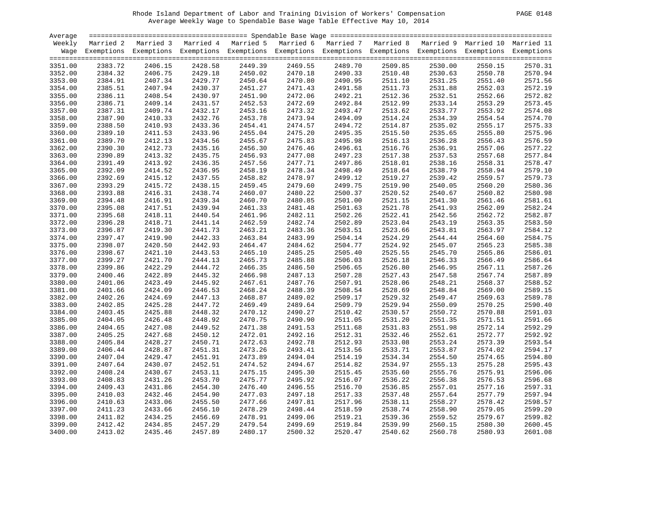| 0148<br><b>PAGE</b> |
|---------------------|
|---------------------|

| Average |           |                                                                                                                    |         |         |         |                               |         |         |         |         |
|---------|-----------|--------------------------------------------------------------------------------------------------------------------|---------|---------|---------|-------------------------------|---------|---------|---------|---------|
| Weekly  | Married 2 | Married 3 Married 4 Married 5 Married 6 Married 7 Married 8 Married 9 Married 10 Married 11                        |         |         |         |                               |         |         |         |         |
|         |           | Wage Exemptions Exemptions Exemptions Exemptions Exemptions Exemptions Exemptions Exemptions Exemptions Exemptions |         |         |         |                               |         |         |         |         |
|         |           |                                                                                                                    |         |         |         |                               |         |         |         |         |
| 3351.00 | 2383.72   | 2406.15                                                                                                            | 2428.58 | 2449.39 | 2469.55 | 2489.70                       | 2509.85 | 2530.00 | 2550.15 | 2570.31 |
| 3352.00 | 2384.32   | 2406.75                                                                                                            | 2429.18 | 2450.02 | 2470.18 | 2490.33<br>2490.95<br>2490.33 | 2510.48 | 2530.63 | 2550.78 | 2570.94 |
| 3353.00 | 2384.91   | 2407.34                                                                                                            | 2429.77 | 2450.64 | 2470.80 |                               | 2511.10 | 2531.25 | 2551.40 | 2571.56 |
| 3354.00 | 2385.51   | 2407.94                                                                                                            | 2430.37 | 2451.27 | 2471.43 |                               | 2511.73 | 2531.88 | 2552.03 | 2572.19 |
| 3355.00 | 2386.11   | 2408.54                                                                                                            | 2430.97 | 2451.90 | 2472.06 | 2491.58<br>2492.21            | 2512.36 | 2532.51 | 2552.66 | 2572.82 |
| 3356.00 | 2386.71   | 2409.14                                                                                                            | 2431.57 | 2452.53 | 2472.69 | 2492.84                       | 2512.99 | 2533.14 | 2553.29 | 2573.45 |
| 3357.00 | 2387.31   | 2409.74                                                                                                            | 2432.17 | 2453.16 | 2473.32 | 2493.47                       | 2513.62 | 2533.77 | 2553.92 | 2574.08 |
| 3358.00 | 2387.90   | 2410.33                                                                                                            | 2432.76 | 2453.78 | 2473.94 | 2494.09                       | 2514.24 | 2534.39 | 2554.54 | 2574.70 |
| 3359.00 | 2388.50   | 2410.93                                                                                                            | 2433.36 | 2454.41 | 2474.57 | 2494.72                       | 2514.87 | 2535.02 | 2555.17 | 2575.33 |
| 3360.00 | 2389.10   | 2411.53                                                                                                            | 2433.96 | 2455.04 | 2475.20 | 2495.35                       | 2515.50 | 2535.65 | 2555.80 | 2575.96 |
| 3361.00 | 2389.70   | 2412.13                                                                                                            | 2434.56 | 2455.67 | 2475.83 | 2495.98                       | 2516.13 | 2536.28 | 2556.43 | 2576.59 |
| 3362.00 | 2390.30   | 2412.73                                                                                                            | 2435.16 | 2456.30 | 2476.46 | 2496.61                       | 2516.76 | 2536.91 | 2557.06 | 2577.22 |
| 3363.00 | 2390.89   | 2413.32                                                                                                            | 2435.75 | 2456.93 | 2477.08 | 2497.23                       | 2517.38 | 2537.53 | 2557.68 | 2577.84 |
| 3364.00 | 2391.49   | 2413.92                                                                                                            | 2436.35 | 2457.56 | 2477.71 | 2497.86                       | 2518.01 | 2538.16 | 2558.31 | 2578.47 |
| 3365.00 | 2392.09   | 2414.52                                                                                                            | 2436.95 | 2458.19 | 2478.34 | 2498.49                       | 2518.64 | 2538.79 | 2558.94 | 2579.10 |
| 3366.00 | 2392.69   | 2415.12                                                                                                            | 2437.55 | 2458.82 | 2478.97 | 2499.12                       | 2519.27 | 2539.42 | 2559.57 | 2579.73 |
| 3367.00 | 2393.29   | 2415.72                                                                                                            | 2438.15 | 2459.45 | 2479.60 | 2499.75                       | 2519.90 | 2540.05 | 2560.20 | 2580.36 |
| 3368.00 | 2393.88   | 2416.31                                                                                                            | 2438.74 | 2460.07 | 2480.22 | 2500.37                       | 2520.52 | 2540.67 | 2560.82 | 2580.98 |
| 3369.00 | 2394.48   | 2416.91                                                                                                            | 2439.34 | 2460.70 | 2480.85 | 2501.00                       | 2521.15 | 2541.30 | 2561.46 | 2581.61 |
| 3370.00 | 2395.08   | 2417.51                                                                                                            | 2439.94 | 2461.33 | 2481.48 | 2501.63                       | 2521.78 | 2541.93 | 2562.09 | 2582.24 |
| 3371.00 | 2395.68   | 2418.11                                                                                                            | 2440.54 | 2461.96 | 2482.11 | 2502.26                       | 2522.41 | 2542.56 | 2562.72 | 2582.87 |
| 3372.00 | 2396.28   | 2418.71                                                                                                            | 2441.14 | 2462.59 | 2482.74 | 2502.89                       | 2523.04 | 2543.19 | 2563.35 | 2583.50 |
| 3373.00 | 2396.87   | 2419.30                                                                                                            | 2441.73 | 2463.21 | 2483.36 | 2503.51                       | 2523.66 | 2543.81 | 2563.97 | 2584.12 |
| 3374.00 | 2397.47   | 2419.90                                                                                                            | 2442.33 | 2463.84 | 2483.99 | 2504.14                       | 2524.29 | 2544.44 | 2564.60 | 2584.75 |
| 3375.00 | 2398.07   | 2420.50                                                                                                            | 2442.93 | 2464.47 | 2484.62 | 2504.77                       | 2524.92 | 2545.07 | 2565.23 | 2585.38 |
| 3376.00 | 2398.67   | 2421.10                                                                                                            | 2443.53 | 2465.10 | 2485.25 | 2505.40                       | 2525.55 | 2545.70 | 2565.86 | 2586.01 |
|         |           |                                                                                                                    |         |         |         |                               |         |         |         | 2586.64 |
| 3377.00 | 2399.27   | 2421.70                                                                                                            | 2444.13 | 2465.73 | 2485.88 | 2506.03                       | 2526.18 | 2546.33 | 2566.49 |         |
| 3378.00 | 2399.86   | 2422.29                                                                                                            | 2444.72 | 2466.35 | 2486.50 | 2506.65                       | 2526.80 | 2546.95 | 2567.11 | 2587.26 |
| 3379.00 | 2400.46   | 2422.89                                                                                                            | 2445.32 | 2466.98 | 2487.13 | 2507.28                       | 2527.43 | 2547.58 | 2567.74 | 2587.89 |
| 3380.00 | 2401.06   | 2423.49                                                                                                            | 2445.92 | 2467.61 | 2487.76 | 2507.91                       | 2528.06 | 2548.21 | 2568.37 | 2588.52 |
| 3381.00 | 2401.66   | 2424.09                                                                                                            | 2446.53 | 2468.24 | 2488.39 | 2508.54                       | 2528.69 | 2548.84 | 2569.00 | 2589.15 |
| 3382.00 | 2402.26   | 2424.69                                                                                                            | 2447.13 | 2468.87 | 2489.02 | 2509.17                       | 2529.32 | 2549.47 | 2569.63 | 2589.78 |
| 3383.00 | 2402.85   | 2425.28                                                                                                            | 2447.72 | 2469.49 | 2489.64 | 2509.79                       | 2529.94 | 2550.09 | 2570.25 | 2590.40 |
| 3384.00 | 2403.45   | 2425.88                                                                                                            | 2448.32 | 2470.12 | 2490.27 | 2510.42                       | 2530.57 | 2550.72 | 2570.88 | 2591.03 |
| 3385.00 | 2404.05   | 2426.48                                                                                                            | 2448.92 | 2470.75 | 2490.90 | 2511.05                       | 2531.20 | 2551.35 | 2571.51 | 2591.66 |
| 3386.00 | 2404.65   | 2427.08                                                                                                            | 2449.52 | 2471.38 | 2491.53 | 2511.68                       | 2531.83 | 2551.98 | 2572.14 | 2592.29 |
| 3387.00 | 2405.25   | 2427.68                                                                                                            | 2450.12 | 2472.01 | 2492.16 | 2512.31                       | 2532.46 | 2552.61 | 2572.77 | 2592.92 |
| 3388.00 | 2405.84   | 2428.27                                                                                                            | 2450.71 | 2472.63 | 2492.78 | 2512.93                       | 2533.08 | 2553.24 | 2573.39 | 2593.54 |
| 3389.00 | 2406.44   | 2428.87                                                                                                            | 2451.31 | 2473.26 | 2493.41 | 2513.56                       | 2533.71 | 2553.87 | 2574.02 | 2594.17 |
| 3390.00 | 2407.04   | 2429.47                                                                                                            | 2451.91 | 2473.89 | 2494.04 | 2514.19                       | 2534.34 | 2554.50 | 2574.65 | 2594.80 |
| 3391.00 | 2407.64   | 2430.07                                                                                                            | 2452.51 | 2474.52 | 2494.67 | 2514.82                       | 2534.97 | 2555.13 | 2575.28 | 2595.43 |
| 3392.00 | 2408.24   | 2430.67                                                                                                            | 2453.11 | 2475.15 | 2495.30 | 2515.45                       | 2535.60 | 2555.76 | 2575.91 | 2596.06 |
| 3393.00 | 2408.83   | 2431.26                                                                                                            | 2453.70 | 2475.77 | 2495.92 | 2516.07                       | 2536.22 | 2556.38 | 2576.53 | 2596.68 |
| 3394.00 | 2409.43   | 2431.86                                                                                                            | 2454.30 | 2476.40 | 2496.55 | 2516.70                       | 2536.85 | 2557.01 | 2577.16 | 2597.31 |
| 3395.00 | 2410.03   | 2432.46                                                                                                            | 2454.90 | 2477.03 | 2497.18 | 2517.33                       | 2537.48 | 2557.64 | 2577.79 | 2597.94 |
| 3396.00 | 2410.63   | 2433.06                                                                                                            | 2455.50 | 2477.66 | 2497.81 | 2517.96                       | 2538.11 | 2558.27 | 2578.42 | 2598.57 |
| 3397.00 | 2411.23   | 2433.66                                                                                                            | 2456.10 | 2478.29 | 2498.44 | 2518.59                       | 2538.74 | 2558.90 | 2579.05 | 2599.20 |
| 3398.00 | 2411.82   | 2434.25                                                                                                            | 2456.69 | 2478.91 | 2499.06 | 2519.21                       | 2539.36 | 2559.52 | 2579.67 | 2599.82 |
| 3399.00 | 2412.42   | 2434.85                                                                                                            | 2457.29 | 2479.54 | 2499.69 | 2519.84                       | 2539.99 | 2560.15 | 2580.30 | 2600.45 |
| 3400.00 | 2413.02   | 2435.46                                                                                                            | 2457.89 | 2480.17 | 2500.32 | 2520.47                       | 2540.62 | 2560.78 | 2580.93 | 2601.08 |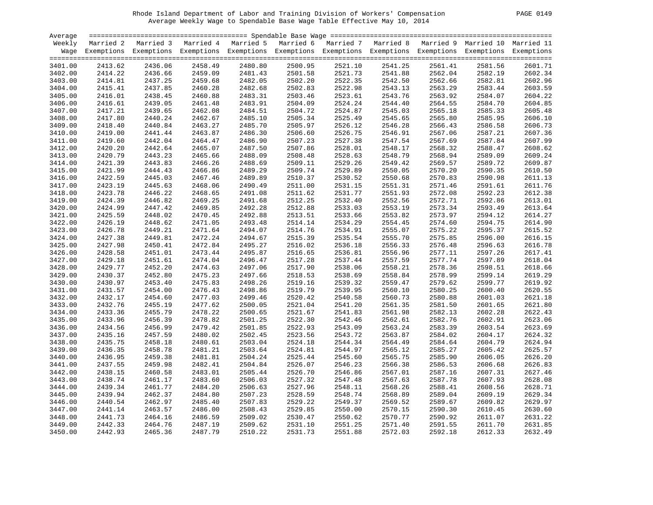| 0149<br>PAGE. |
|---------------|
|---------------|

| Average |         |                                                                                                                    |         |         |         |                    |         |         |         |         |
|---------|---------|--------------------------------------------------------------------------------------------------------------------|---------|---------|---------|--------------------|---------|---------|---------|---------|
| Weekly  |         | Married 2 Married 3 Married 4 Married 5 Married 6 Married 7 Married 8 Married 9 Married 10 Married 11              |         |         |         |                    |         |         |         |         |
|         |         | Wage Exemptions Exemptions Exemptions Exemptions Exemptions Exemptions Exemptions Exemptions Exemptions Exemptions |         |         |         |                    |         |         |         |         |
|         |         |                                                                                                                    |         |         |         |                    |         |         |         |         |
| 3401.00 | 2413.62 | 2436.06                                                                                                            | 2458.49 | 2480.80 | 2500.95 | 2521.10            | 2541.25 | 2561.41 | 2581.56 | 2601.71 |
| 3402.00 | 2414.22 | 2436.66                                                                                                            | 2459.09 | 2481.43 | 2501.58 | 2521.73<br>2522.35 | 2541.88 | 2562.04 | 2582.19 | 2602.34 |
| 3403.00 | 2414.81 | 2437.25                                                                                                            | 2459.68 | 2482.05 | 2502.20 |                    | 2542.50 | 2562.66 | 2582.81 | 2602.96 |
| 3404.00 | 2415.41 | 2437.85                                                                                                            | 2460.28 | 2482.68 | 2502.83 | 2522.98            | 2543.13 | 2563.29 | 2583.44 | 2603.59 |
| 3405.00 | 2416.01 | 2438.45                                                                                                            | 2460.88 | 2483.31 | 2503.46 | 2523.61            | 2543.76 | 2563.92 | 2584.07 | 2604.22 |
| 3406.00 | 2416.61 | 2439.05                                                                                                            | 2461.48 | 2483.91 | 2504.09 | 2524.24            | 2544.40 | 2564.55 | 2584.70 | 2604.85 |
| 3407.00 | 2417.21 | 2439.65                                                                                                            | 2462.08 | 2484.51 | 2504.72 | 2524.87            | 2545.03 | 2565.18 | 2585.33 | 2605.48 |
| 3408.00 | 2417.80 | 2440.24                                                                                                            | 2462.67 | 2485.10 | 2505.34 | 2525.49            | 2545.65 | 2565.80 | 2585.95 | 2606.10 |
| 3409.00 | 2418.40 | 2440.84                                                                                                            | 2463.27 | 2485.70 | 2505.97 | 2526.12            | 2546.28 | 2566.43 | 2586.58 | 2606.73 |
| 3410.00 | 2419.00 | 2441.44                                                                                                            | 2463.87 | 2486.30 | 2506.60 | 2526.75            | 2546.91 | 2567.06 | 2587.21 | 2607.36 |
| 3411.00 | 2419.60 | 2442.04                                                                                                            | 2464.47 | 2486.90 | 2507.23 | 2527.38            | 2547.54 | 2567.69 | 2587.84 | 2607.99 |
| 3412.00 | 2420.20 | 2442.64                                                                                                            | 2465.07 | 2487.50 | 2507.86 | 2528.01            | 2548.17 | 2568.32 | 2588.47 | 2608.62 |
| 3413.00 | 2420.79 | 2443.23                                                                                                            | 2465.66 | 2488.09 | 2508.48 | 2528.63            | 2548.79 | 2568.94 | 2589.09 | 2609.24 |
| 3414.00 | 2421.39 | 2443.83                                                                                                            | 2466.26 | 2488.69 | 2509.11 | 2529.26            | 2549.42 | 2569.57 | 2589.72 | 2609.87 |
| 3415.00 | 2421.99 | 2444.43                                                                                                            | 2466.86 | 2489.29 | 2509.74 | 2529.89            | 2550.05 | 2570.20 | 2590.35 | 2610.50 |
|         |         |                                                                                                                    |         |         |         |                    |         |         |         | 2611.13 |
| 3416.00 | 2422.59 | 2445.03                                                                                                            | 2467.46 | 2489.89 | 2510.37 | 2530.52            | 2550.68 | 2570.83 | 2590.98 |         |
| 3417.00 | 2423.19 | 2445.63                                                                                                            | 2468.06 | 2490.49 | 2511.00 | 2531.15            | 2551.31 | 2571.46 | 2591.61 | 2611.76 |
| 3418.00 | 2423.78 | 2446.22                                                                                                            | 2468.65 | 2491.08 | 2511.62 | 2531.77            | 2551.93 | 2572.08 | 2592.23 | 2612.38 |
| 3419.00 | 2424.39 | 2446.82                                                                                                            | 2469.25 | 2491.68 | 2512.25 | 2532.40            | 2552.56 | 2572.71 | 2592.86 | 2613.01 |
| 3420.00 | 2424.99 | 2447.42                                                                                                            | 2469.85 | 2492.28 | 2512.88 | 2533.03            | 2553.19 | 2573.34 | 2593.49 | 2613.64 |
| 3421.00 | 2425.59 | 2448.02                                                                                                            | 2470.45 | 2492.88 | 2513.51 | 2533.66            | 2553.82 | 2573.97 | 2594.12 | 2614.27 |
| 3422.00 | 2426.19 | 2448.62                                                                                                            | 2471.05 | 2493.48 | 2514.14 | 2534.29            | 2554.45 | 2574.60 | 2594.75 | 2614.90 |
| 3423.00 | 2426.78 | 2449.21                                                                                                            | 2471.64 | 2494.07 | 2514.76 | 2534.91            | 2555.07 | 2575.22 | 2595.37 | 2615.52 |
| 3424.00 | 2427.38 | 2449.81                                                                                                            | 2472.24 | 2494.67 | 2515.39 | 2535.54            | 2555.70 | 2575.85 | 2596.00 | 2616.15 |
| 3425.00 | 2427.98 | 2450.41                                                                                                            | 2472.84 | 2495.27 | 2516.02 | 2536.18            | 2556.33 | 2576.48 | 2596.63 | 2616.78 |
| 3426.00 | 2428.58 | 2451.01                                                                                                            | 2473.44 | 2495.87 | 2516.65 | 2536.81            | 2556.96 | 2577.11 | 2597.26 | 2617.41 |
| 3427.00 | 2429.18 | 2451.61                                                                                                            | 2474.04 | 2496.47 | 2517.28 | 2537.44            | 2557.59 | 2577.74 | 2597.89 | 2618.04 |
| 3428.00 | 2429.77 | 2452.20                                                                                                            | 2474.63 | 2497.06 | 2517.90 | 2538.06            | 2558.21 | 2578.36 | 2598.51 | 2618.66 |
| 3429.00 | 2430.37 | 2452.80                                                                                                            | 2475.23 | 2497.66 | 2518.53 | 2538.69            | 2558.84 | 2578.99 | 2599.14 | 2619.29 |
| 3430.00 | 2430.97 | 2453.40                                                                                                            | 2475.83 | 2498.26 | 2519.16 | 2539.32            | 2559.47 | 2579.62 | 2599.77 | 2619.92 |
| 3431.00 | 2431.57 | 2454.00                                                                                                            | 2476.43 | 2498.86 | 2519.79 | 2539.95            | 2560.10 | 2580.25 | 2600.40 | 2620.55 |
| 3432.00 | 2432.17 | 2454.60                                                                                                            | 2477.03 | 2499.46 | 2520.42 | 2540.58            | 2560.73 | 2580.88 | 2601.03 | 2621.18 |
| 3433.00 | 2432.76 | 2455.19                                                                                                            | 2477.62 | 2500.05 | 2521.04 | 2541.20            | 2561.35 | 2581.50 | 2601.65 | 2621.80 |
| 3434.00 | 2433.36 | 2455.79                                                                                                            | 2478.22 | 2500.65 | 2521.67 | 2541.83            | 2561.98 | 2582.13 | 2602.28 | 2622.43 |
| 3435.00 | 2433.96 | 2456.39                                                                                                            | 2478.82 | 2501.25 | 2522.30 | 2542.46            | 2562.61 | 2582.76 | 2602.91 | 2623.06 |
| 3436.00 | 2434.56 | 2456.99                                                                                                            | 2479.42 | 2501.85 | 2522.93 | 2543.09            | 2563.24 | 2583.39 | 2603.54 | 2623.69 |
| 3437.00 | 2435.16 | 2457.59                                                                                                            | 2480.02 | 2502.45 | 2523.56 | 2543.72            | 2563.87 | 2584.02 | 2604.17 | 2624.32 |
| 3438.00 | 2435.75 | 2458.18                                                                                                            | 2480.61 | 2503.04 | 2524.18 | 2544.34            | 2564.49 | 2584.64 | 2604.79 | 2624.94 |
| 3439.00 | 2436.35 | 2458.78                                                                                                            | 2481.21 | 2503.64 | 2524.81 | 2544.97            | 2565.12 | 2585.27 | 2605.42 | 2625.57 |
| 3440.00 | 2436.95 | 2459.38                                                                                                            | 2481.81 | 2504.24 | 2525.44 | 2545.60            | 2565.75 | 2585.90 | 2606.05 | 2626.20 |
| 3441.00 | 2437.55 | 2459.98                                                                                                            | 2482.41 | 2504.84 | 2526.07 | 2546.23            | 2566.38 | 2586.53 | 2606.68 | 2626.83 |
| 3442.00 | 2438.15 | 2460.58                                                                                                            | 2483.01 | 2505.44 | 2526.70 | 2546.86            | 2567.01 | 2587.16 | 2607.31 | 2627.46 |
| 3443.00 | 2438.74 | 2461.17                                                                                                            | 2483.60 | 2506.03 | 2527.32 | 2547.48            | 2567.63 | 2587.78 | 2607.93 | 2628.08 |
| 3444.00 | 2439.34 | 2461.77                                                                                                            | 2484.20 | 2506.63 | 2527.96 | 2548.11            | 2568.26 | 2588.41 | 2608.56 | 2628.71 |
| 3445.00 | 2439.94 | 2462.37                                                                                                            | 2484.80 | 2507.23 | 2528.59 | 2548.74            | 2568.89 | 2589.04 | 2609.19 | 2629.34 |
| 3446.00 | 2440.54 | 2462.97                                                                                                            | 2485.40 | 2507.83 | 2529.22 | 2549.37            | 2569.52 | 2589.67 | 2609.82 | 2629.97 |
| 3447.00 | 2441.14 | 2463.57                                                                                                            | 2486.00 | 2508.43 | 2529.85 | 2550.00            | 2570.15 | 2590.30 | 2610.45 | 2630.60 |
| 3448.00 | 2441.73 | 2464.16                                                                                                            | 2486.59 | 2509.02 | 2530.47 | 2550.62            | 2570.77 | 2590.92 | 2611.07 | 2631.22 |
|         | 2442.33 | 2464.76                                                                                                            | 2487.19 |         |         | 2551.25            |         | 2591.55 |         | 2631.85 |
| 3449.00 |         |                                                                                                                    |         | 2509.62 | 2531.10 |                    | 2571.40 |         | 2611.70 |         |
| 3450.00 | 2442.93 | 2465.36                                                                                                            | 2487.79 | 2510.22 | 2531.73 | 2551.88            | 2572.03 | 2592.18 | 2612.33 | 2632.49 |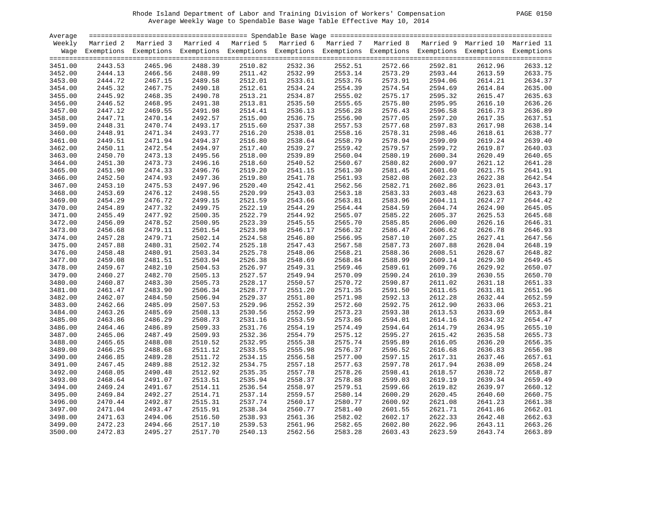|  | <b>PAGE</b> | 0150 |
|--|-------------|------|
|--|-------------|------|

| Average |           |                                                                                                                    |         |         |                                                                                   |                               |         |         |         |         |
|---------|-----------|--------------------------------------------------------------------------------------------------------------------|---------|---------|-----------------------------------------------------------------------------------|-------------------------------|---------|---------|---------|---------|
| Weekly  | Married 2 | Married 3                                                                                                          |         |         | Married 4 Married 5 Married 6 Married 7 Married 8 Married 9 Married 10 Married 11 |                               |         |         |         |         |
|         |           | Wage Exemptions Exemptions Exemptions Exemptions Exemptions Exemptions Exemptions Exemptions Exemptions Exemptions |         |         |                                                                                   |                               |         |         |         |         |
|         |           |                                                                                                                    |         |         |                                                                                   |                               |         |         |         |         |
| 3451.00 | 2443.53   | 2465.96                                                                                                            | 2488.39 | 2510.82 | 2532.36                                                                           | 2552.51                       | 2572.66 | 2592.81 | 2612.96 | 2633.12 |
| 3452.00 | 2444.13   | 2466.56                                                                                                            | 2488.99 | 2511.42 | 2532.99                                                                           | 2553.14<br>2553.14<br>2553.76 | 2573.29 | 2593.44 | 2613.59 | 2633.75 |
| 3453.00 | 2444.72   | 2467.15                                                                                                            | 2489.58 | 2512.01 | 2533.61                                                                           |                               | 2573.91 | 2594.06 | 2614.21 | 2634.37 |
| 3454.00 | 2445.32   | 2467.75                                                                                                            | 2490.18 | 2512.61 | 2534.24                                                                           | 2554.39                       | 2574.54 | 2594.69 | 2614.84 | 2635.00 |
| 3455.00 | 2445.92   | 2468.35                                                                                                            | 2490.78 | 2513.21 | 2534.87                                                                           | 2555.02                       | 2575.17 | 2595.32 | 2615.47 | 2635.63 |
| 3456.00 | 2446.52   | 2468.95                                                                                                            | 2491.38 | 2513.81 | 2535.50                                                                           | 2555.65                       | 2575.80 | 2595.95 | 2616.10 | 2636.26 |
| 3457.00 | 2447.12   | 2469.55                                                                                                            | 2491.98 | 2514.41 | 2536.13                                                                           | 2556.28                       | 2576.43 | 2596.58 | 2616.73 | 2636.89 |
| 3458.00 | 2447.71   | 2470.14                                                                                                            | 2492.57 | 2515.00 | 2536.75                                                                           | 2556.90                       | 2577.05 | 2597.20 | 2617.35 | 2637.51 |
| 3459.00 | 2448.31   | 2470.74                                                                                                            | 2493.17 | 2515.60 | 2537.38                                                                           | 2557.53                       | 2577.68 | 2597.83 | 2617.98 | 2638.14 |
| 3460.00 | 2448.91   | 2471.34                                                                                                            | 2493.77 | 2516.20 | 2538.01                                                                           | 2558.16                       | 2578.31 | 2598.46 | 2618.61 | 2638.77 |
| 3461.00 | 2449.51   | 2471.94                                                                                                            | 2494.37 | 2516.80 | 2538.64                                                                           | 2558.79                       | 2578.94 | 2599.09 | 2619.24 | 2639.40 |
|         | 2450.11   | 2472.54                                                                                                            | 2494.97 | 2517.40 | 2539.27                                                                           | 2559.42                       | 2579.57 | 2599.72 | 2619.87 | 2640.03 |
| 3462.00 |           |                                                                                                                    | 2495.56 | 2518.00 | 2539.89                                                                           | 2560.04                       | 2580.19 | 2600.34 |         | 2640.65 |
| 3463.00 | 2450.70   | 2473.13                                                                                                            |         |         |                                                                                   |                               |         |         | 2620.49 |         |
| 3464.00 | 2451.30   | 2473.73                                                                                                            | 2496.16 | 2518.60 | 2540.52                                                                           | 2560.67                       | 2580.82 | 2600.97 | 2621.12 | 2641.28 |
| 3465.00 | 2451.90   | 2474.33                                                                                                            | 2496.76 | 2519.20 | 2541.15                                                                           | 2561.30                       | 2581.45 | 2601.60 | 2621.75 | 2641.91 |
| 3466.00 | 2452.50   | 2474.93                                                                                                            | 2497.36 | 2519.80 | 2541.78                                                                           | 2561.93                       | 2582.08 | 2602.23 | 2622.38 | 2642.54 |
| 3467.00 | 2453.10   | 2475.53                                                                                                            | 2497.96 | 2520.40 | 2542.41                                                                           | 2562.56                       | 2582.71 | 2602.86 | 2623.01 | 2643.17 |
| 3468.00 | 2453.69   | 2476.12                                                                                                            | 2498.55 | 2520.99 | 2543.03                                                                           | 2563.18                       | 2583.33 | 2603.48 | 2623.63 | 2643.79 |
| 3469.00 | 2454.29   | 2476.72                                                                                                            | 2499.15 | 2521.59 | 2543.66                                                                           | 2563.81                       | 2583.96 | 2604.11 | 2624.27 | 2644.42 |
| 3470.00 | 2454.89   | 2477.32                                                                                                            | 2499.75 | 2522.19 | 2544.29                                                                           | 2564.44                       | 2584.59 | 2604.74 | 2624.90 | 2645.05 |
| 3471.00 | 2455.49   | 2477.92                                                                                                            | 2500.35 | 2522.79 | 2544.92                                                                           | 2565.07                       | 2585.22 | 2605.37 | 2625.53 | 2645.68 |
| 3472.00 | 2456.09   | 2478.52                                                                                                            | 2500.95 | 2523.39 | 2545.55                                                                           | 2565.70                       | 2585.85 | 2606.00 | 2626.16 | 2646.31 |
| 3473.00 | 2456.68   | 2479.11                                                                                                            | 2501.54 | 2523.98 | 2546.17                                                                           | 2566.32                       | 2586.47 | 2606.62 | 2626.78 | 2646.93 |
| 3474.00 | 2457.28   | 2479.71                                                                                                            | 2502.14 | 2524.58 | 2546.80                                                                           | 2566.95                       | 2587.10 | 2607.25 | 2627.41 | 2647.56 |
| 3475.00 | 2457.88   | 2480.31                                                                                                            | 2502.74 | 2525.18 | 2547.43                                                                           | 2567.58                       | 2587.73 | 2607.88 | 2628.04 | 2648.19 |
| 3476.00 | 2458.48   | 2480.91                                                                                                            | 2503.34 | 2525.78 | 2548.06                                                                           | 2568.21                       | 2588.36 | 2608.51 | 2628.67 | 2648.82 |
| 3477.00 | 2459.08   | 2481.51                                                                                                            | 2503.94 | 2526.38 | 2548.69                                                                           | 2568.84                       | 2588.99 | 2609.14 | 2629.30 | 2649.45 |
| 3478.00 | 2459.67   | 2482.10                                                                                                            | 2504.53 | 2526.97 | 2549.31                                                                           | 2569.46                       | 2589.61 | 2609.76 | 2629.92 | 2650.07 |
| 3479.00 | 2460.27   | 2482.70                                                                                                            | 2505.13 | 2527.57 | 2549.94                                                                           | 2570.09                       | 2590.24 | 2610.39 | 2630.55 | 2650.70 |
| 3480.00 | 2460.87   | 2483.30                                                                                                            | 2505.73 | 2528.17 | 2550.57                                                                           | 2570.72                       | 2590.87 | 2611.02 | 2631.18 | 2651.33 |
| 3481.00 | 2461.47   | 2483.90                                                                                                            | 2506.34 | 2528.77 | 2551.20                                                                           | 2571.35                       | 2591.50 | 2611.65 | 2631.81 | 2651.96 |
| 3482.00 | 2462.07   | 2484.50                                                                                                            | 2506.94 | 2529.37 | 2551.80                                                                           | 2571.98                       | 2592.13 | 2612.28 | 2632.44 | 2652.59 |
| 3483.00 | 2462.66   | 2485.09                                                                                                            | 2507.53 | 2529.96 | 2552.39                                                                           | 2572.60                       | 2592.75 | 2612.90 | 2633.06 | 2653.21 |
| 3484.00 | 2463.26   | 2485.69                                                                                                            | 2508.13 | 2530.56 | 2552.99                                                                           | 2573.23                       | 2593.38 | 2613.53 | 2633.69 | 2653.84 |
| 3485.00 | 2463.86   | 2486.29                                                                                                            | 2508.73 | 2531.16 | 2553.59                                                                           | 2573.86                       | 2594.01 | 2614.16 | 2634.32 | 2654.47 |
| 3486.00 | 2464.46   | 2486.89                                                                                                            | 2509.33 | 2531.76 | 2554.19                                                                           | 2574.49                       | 2594.64 | 2614.79 | 2634.95 | 2655.10 |
| 3487.00 | 2465.06   | 2487.49                                                                                                            | 2509.93 | 2532.36 | 2554.79                                                                           | 2575.12                       | 2595.27 | 2615.42 | 2635.58 | 2655.73 |
| 3488.00 | 2465.65   | 2488.08                                                                                                            | 2510.52 | 2532.95 | 2555.38                                                                           | 2575.74                       | 2595.89 | 2616.05 | 2636.20 | 2656.35 |
| 3489.00 | 2466.25   | 2488.68                                                                                                            | 2511.12 | 2533.55 | 2555.98                                                                           | 2576.37                       | 2596.52 | 2616.68 | 2636.83 | 2656.98 |
| 3490.00 | 2466.85   | 2489.28                                                                                                            | 2511.72 | 2534.15 | 2556.58                                                                           | 2577.00                       | 2597.15 | 2617.31 | 2637.46 | 2657.61 |
| 3491.00 | 2467.45   | 2489.88                                                                                                            | 2512.32 | 2534.75 | 2557.18                                                                           | 2577.63                       | 2597.78 | 2617.94 | 2638.09 | 2658.24 |
| 3492.00 | 2468.05   | 2490.48                                                                                                            | 2512.92 | 2535.35 | 2557.78                                                                           | 2578.26                       | 2598.41 | 2618.57 | 2638.72 | 2658.87 |
| 3493.00 | 2468.64   | 2491.07                                                                                                            | 2513.51 | 2535.94 | 2558.37                                                                           | 2578.88                       | 2599.03 | 2619.19 | 2639.34 | 2659.49 |
| 3494.00 | 2469.24   | 2491.67                                                                                                            | 2514.11 | 2536.54 | 2558.97                                                                           | 2579.51                       | 2599.66 | 2619.82 | 2639.97 | 2660.12 |
| 3495.00 | 2469.84   | 2492.27                                                                                                            | 2514.71 | 2537.14 | 2559.57                                                                           | 2580.14                       | 2600.29 | 2620.45 | 2640.60 | 2660.75 |
|         |           |                                                                                                                    |         |         |                                                                                   |                               |         |         |         |         |
| 3496.00 | 2470.44   | 2492.87                                                                                                            | 2515.31 | 2537.74 | 2560.17                                                                           | 2580.77                       | 2600.92 | 2621.08 | 2641.23 | 2661.38 |
| 3497.00 | 2471.04   | 2493.47                                                                                                            | 2515.91 | 2538.34 | 2560.77                                                                           | 2581.40                       | 2601.55 | 2621.71 | 2641.86 | 2662.01 |
| 3498.00 | 2471.63   | 2494.06                                                                                                            | 2516.50 | 2538.93 | 2561.36                                                                           | 2582.02                       | 2602.17 | 2622.33 | 2642.48 | 2662.63 |
| 3499.00 | 2472.23   | 2494.66                                                                                                            | 2517.10 | 2539.53 | 2561.96                                                                           | 2582.65                       | 2602.80 | 2622.96 | 2643.11 | 2663.26 |
| 3500.00 | 2472.83   | 2495.27                                                                                                            | 2517.70 | 2540.13 | 2562.56                                                                           | 2583.28                       | 2603.43 | 2623.59 | 2643.74 | 2663.89 |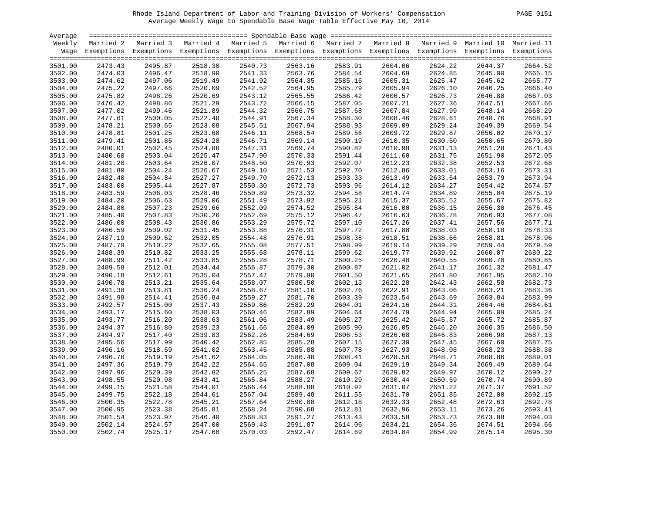| PAGE. |  |
|-------|--|
|       |  |

| Average |         |                                                                                                       |         |         |         |                    |         |         |         |                                                                                                                    |
|---------|---------|-------------------------------------------------------------------------------------------------------|---------|---------|---------|--------------------|---------|---------|---------|--------------------------------------------------------------------------------------------------------------------|
| Weekly  |         | Married 2 Married 3 Married 4 Married 5 Married 6 Married 7 Married 8 Married 9 Married 10 Married 11 |         |         |         |                    |         |         |         |                                                                                                                    |
|         |         |                                                                                                       |         |         |         |                    |         |         |         | Wage Exemptions Exemptions Exemptions Exemptions Exemptions Exemptions Exemptions Exemptions Exemptions Exemptions |
| 3501.00 | 2473.43 | 2495.87                                                                                               | 2518.30 | 2540.73 | 2563.16 | 2583.91            | 2604.06 | 2624.22 | 2644.37 | 2664.52                                                                                                            |
| 3502.00 | 2474.03 | 2496.47                                                                                               | 2518.90 | 2541.33 | 2563.76 | 2584.54            | 2604.69 | 2624.85 | 2645.00 | 2665.15                                                                                                            |
| 3503.00 | 2474.62 | 2497.06                                                                                               | 2519.49 | 2541.92 | 2564.35 | 2584.54<br>2585.16 | 2605.31 | 2625.47 | 2645.62 | 2665.77                                                                                                            |
| 3504.00 | 2475.22 | 2497.66                                                                                               | 2520.09 | 2542.52 | 2564.95 | 2585.79            | 2605.94 | 2626.10 | 2646.25 | 2666.40                                                                                                            |
| 3505.00 | 2475.82 | 2498.26                                                                                               | 2520.69 | 2543.12 | 2565.55 | 2586.42            | 2606.57 | 2626.73 | 2646.88 | 2667.03                                                                                                            |
| 3506.00 | 2476.42 | 2498.86                                                                                               | 2521.29 | 2543.72 | 2566.15 | 2587.05            | 2607.21 | 2627.36 | 2647.51 | 2667.66                                                                                                            |
| 3507.00 | 2477.02 | 2499.46                                                                                               | 2521.89 | 2544.32 | 2566.75 | 2587.68            | 2607.84 | 2627.99 | 2648.14 | 2668.29                                                                                                            |
| 3508.00 | 2477.61 | 2500.05                                                                                               | 2522.48 | 2544.91 | 2567.34 | 2588.30            | 2608.46 | 2628.61 | 2648.76 | 2668.91                                                                                                            |
| 3509.00 | 2478.21 | 2500.65                                                                                               | 2523.08 | 2545.51 | 2567.94 | 2588.93            | 2609.09 | 2629.24 | 2649.39 | 2669.54                                                                                                            |
| 3510.00 | 2478.81 | 2501.25                                                                                               | 2523.68 | 2546.11 | 2568.54 | 2589.56            | 2609.72 | 2629.87 | 2650.02 | 2670.17                                                                                                            |
| 3511.00 | 2479.41 | 2501.85                                                                                               | 2524.28 | 2546.71 | 2569.14 | 2590.19            | 2610.35 | 2630.50 | 2650.65 | 2670.80                                                                                                            |
| 3512.00 | 2480.01 | 2502.45                                                                                               | 2524.88 | 2547.31 | 2569.74 | 2590.82            | 2610.98 | 2631.13 | 2651.28 | 2671.43                                                                                                            |
| 3513.00 | 2480.60 | 2503.04                                                                                               | 2525.47 | 2547.90 | 2570.33 | 2591.44            | 2611.60 | 2631.75 | 2651.90 | 2672.05                                                                                                            |
| 3514.00 | 2481.20 | 2503.64                                                                                               | 2526.07 | 2548.50 | 2570.93 | 2592.07            | 2612.23 | 2632.38 | 2652.53 | 2672.68                                                                                                            |
| 3515.00 | 2481.80 | 2504.24                                                                                               | 2526.67 | 2549.10 | 2571.53 | 2592.70            | 2612.86 | 2633.01 | 2653.16 | 2673.31                                                                                                            |
| 3516.00 | 2482.40 | 2504.84                                                                                               | 2527.27 | 2549.70 | 2572.13 | 2593.33            | 2613.49 | 2633.64 | 2653.79 | 2673.94                                                                                                            |
| 3517.00 | 2483.00 | 2505.44                                                                                               | 2527.87 | 2550.30 | 2572.73 | 2593.96            | 2614.12 | 2634.27 | 2654.42 | 2674.57                                                                                                            |
| 3518.00 | 2483.59 | 2506.03                                                                                               | 2528.46 | 2550.89 | 2573.32 | 2594.58            | 2614.74 | 2634.89 | 2655.04 | 2675.19                                                                                                            |
| 3519.00 | 2484.20 | 2506.63                                                                                               | 2529.06 | 2551.49 | 2573.92 | 2595.21            | 2615.37 | 2635.52 | 2655.67 | 2675.82                                                                                                            |
| 3520.00 | 2484.80 | 2507.23                                                                                               | 2529.66 | 2552.09 | 2574.52 | 2595.84            | 2616.00 | 2636.15 | 2656.30 | 2676.45                                                                                                            |
| 3521.00 | 2485.40 | 2507.83                                                                                               | 2530.26 |         |         | 2596.47            |         | 2636.78 |         | 2677.08                                                                                                            |
|         |         |                                                                                                       |         | 2552.69 | 2575.12 |                    | 2616.63 |         | 2656.93 |                                                                                                                    |
| 3522.00 | 2486.00 | 2508.43                                                                                               | 2530.86 | 2553.29 | 2575.72 | 2597.10            | 2617.26 | 2637.41 | 2657.56 | 2677.71                                                                                                            |
| 3523.00 | 2486.59 | 2509.02                                                                                               | 2531.45 | 2553.88 | 2576.31 | 2597.72            | 2617.88 | 2638.03 | 2658.18 | 2678.33                                                                                                            |
| 3524.00 | 2487.19 | 2509.62                                                                                               | 2532.05 | 2554.48 | 2576.91 | 2598.35            | 2618.51 | 2638.66 | 2658.81 | 2678.96<br>2679.59                                                                                                 |
| 3525.00 | 2487.79 | 2510.22                                                                                               | 2532.65 | 2555.08 | 2577.51 | 2598.99            | 2619.14 | 2639.29 | 2659.44 |                                                                                                                    |
| 3526.00 | 2488.39 | 2510.82                                                                                               | 2533.25 | 2555.68 | 2578.11 | 2599.62            | 2619.77 | 2639.92 | 2660.07 | 2680.22                                                                                                            |
| 3527.00 | 2488.99 | 2511.42                                                                                               | 2533.85 | 2556.28 | 2578.71 | 2600.25            | 2620.40 | 2640.55 | 2660.70 | 2680.85                                                                                                            |
| 3528.00 | 2489.58 | 2512.01                                                                                               | 2534.44 | 2556.87 | 2579.30 | 2600.87            | 2621.02 | 2641.17 | 2661.32 | 2681.47                                                                                                            |
| 3529.00 | 2490.18 | 2512.61                                                                                               | 2535.04 | 2557.47 | 2579.90 | 2601.50            | 2621.65 | 2641.80 | 2661.95 | 2682.10                                                                                                            |
| 3530.00 | 2490.78 | 2513.21                                                                                               | 2535.64 | 2558.07 | 2580.50 | 2602.13            | 2622.28 | 2642.43 | 2662.58 | 2682.73                                                                                                            |
| 3531.00 | 2491.38 | 2513.81                                                                                               | 2536.24 | 2558.67 | 2581.10 | 2602.76            | 2622.91 | 2643.06 | 2663.21 | 2683.36                                                                                                            |
| 3532.00 | 2491.98 | 2514.41                                                                                               | 2536.84 | 2559.27 | 2581.70 | 2603.39            | 2623.54 | 2643.69 | 2663.84 | 2683.99                                                                                                            |
| 3533.00 | 2492.57 | 2515.00                                                                                               | 2537.43 | 2559.86 | 2582.29 | 2604.01            | 2624.16 | 2644.31 | 2664.46 | 2684.61                                                                                                            |
| 3534.00 | 2493.17 | 2515.60                                                                                               | 2538.03 | 2560.46 | 2582.89 | 2604.64            | 2624.79 | 2644.94 | 2665.09 | 2685.24                                                                                                            |
| 3535.00 | 2493.77 | 2516.20                                                                                               | 2538.63 | 2561.06 | 2583.49 | 2605.27            | 2625.42 | 2645.57 | 2665.72 | 2685.87                                                                                                            |
| 3536.00 | 2494.37 | 2516.80                                                                                               | 2539.23 | 2561.66 | 2584.09 | 2605.90            | 2626.05 | 2646.20 | 2666.35 | 2686.50                                                                                                            |
| 3537.00 | 2494.97 | 2517.40                                                                                               | 2539.83 | 2562.26 | 2584.69 | 2606.53            | 2626.68 | 2646.83 | 2666.98 | 2687.13                                                                                                            |
| 3538.00 | 2495.56 | 2517.99                                                                                               | 2540.42 | 2562.85 | 2585.28 | 2607.15            | 2627.30 | 2647.45 | 2667.60 | 2687.75                                                                                                            |
| 3539.00 | 2496.16 | 2518.59                                                                                               | 2541.02 | 2563.45 | 2585.88 | 2607.78            | 2627.93 | 2648.08 | 2668.23 | 2688.38                                                                                                            |
| 3540.00 | 2496.76 | 2519.19                                                                                               | 2541.62 | 2564.05 | 2586.48 | 2608.41            | 2628.56 | 2648.71 | 2668.86 | 2689.01                                                                                                            |
| 3541.00 | 2497.36 | 2519.79                                                                                               | 2542.22 | 2564.65 | 2587.08 | 2609.04            | 2629.19 | 2649.34 | 2669.49 | 2689.64                                                                                                            |
| 3542.00 | 2497.96 | 2520.39                                                                                               | 2542.82 | 2565.25 | 2587.68 | 2609.67            | 2629.82 | 2649.97 | 2670.12 | 2690.27                                                                                                            |
| 3543.00 | 2498.55 | 2520.98                                                                                               | 2543.41 | 2565.84 | 2588.27 | 2610.29            | 2630.44 | 2650.59 | 2670.74 | 2690.89                                                                                                            |
| 3544.00 | 2499.15 | 2521.58                                                                                               | 2544.01 | 2566.44 | 2588.88 | 2610.92            | 2631.07 | 2651.22 | 2671.37 | 2691.52                                                                                                            |
| 3545.00 | 2499.75 | 2522.18                                                                                               | 2544.61 | 2567.04 | 2589.48 | 2611.55            | 2631.70 | 2651.85 | 2672.00 | 2692.15                                                                                                            |
| 3546.00 | 2500.35 | 2522.78                                                                                               | 2545.21 | 2567.64 | 2590.08 | 2612.18            | 2632.33 | 2652.48 | 2672.63 | 2692.78                                                                                                            |
| 3547.00 | 2500.95 | 2523.38                                                                                               | 2545.81 | 2568.24 | 2590.68 | 2612.81            | 2632.96 | 2653.11 | 2673.26 | 2693.41                                                                                                            |
| 3548.00 | 2501.54 | 2523.97                                                                                               | 2546.40 | 2568.83 | 2591.27 | 2613.43            | 2633.58 | 2653.73 | 2673.88 | 2694.03                                                                                                            |
| 3549.00 | 2502.14 | 2524.57                                                                                               | 2547.00 | 2569.43 | 2591.87 | 2614.06            | 2634.21 | 2654.36 | 2674.51 | 2694.66                                                                                                            |
| 3550.00 | 2502.74 | 2525.17                                                                                               | 2547.60 | 2570.03 | 2592.47 | 2614.69            | 2634.84 | 2654.99 | 2675.14 | 2695.30                                                                                                            |
|         |         |                                                                                                       |         |         |         |                    |         |         |         |                                                                                                                    |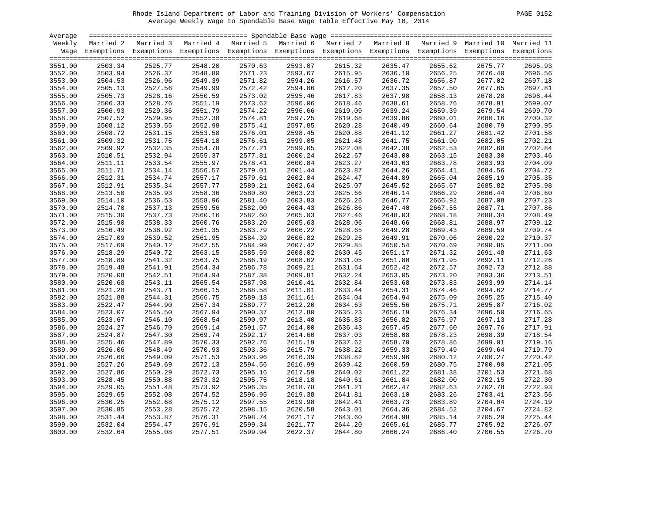|  | PAGE. | 52<br>በ1 ¤ |
|--|-------|------------|
|--|-------|------------|

| Average |           |                                                                                                                    |         |         |                                                                                   |                    |         |         |         |         |
|---------|-----------|--------------------------------------------------------------------------------------------------------------------|---------|---------|-----------------------------------------------------------------------------------|--------------------|---------|---------|---------|---------|
| Weekly  | Married 2 | Married 3                                                                                                          |         |         | Married 4 Married 5 Married 6 Married 7 Married 8 Married 9 Married 10 Married 11 |                    |         |         |         |         |
|         |           | Wage Exemptions Exemptions Exemptions Exemptions Exemptions Exemptions Exemptions Exemptions Exemptions Exemptions |         |         |                                                                                   |                    |         |         |         |         |
|         |           |                                                                                                                    |         |         |                                                                                   |                    |         |         |         |         |
| 3551.00 | 2503.34   | 2525.77                                                                                                            | 2548.20 | 2570.63 | 2593.07                                                                           | 2615.32            | 2635.47 | 2655.62 | 2675.77 | 2695.93 |
| 3552.00 | 2503.94   | 2526.37                                                                                                            | 2548.80 | 2571.23 | 2593.67                                                                           |                    | 2636.10 | 2656.25 | 2676.40 | 2696.56 |
| 3553.00 | 2504.53   | 2526.96                                                                                                            | 2549.39 | 2571.82 | 2594.26                                                                           | 2615.95<br>2616.57 | 2636.72 | 2656.87 | 2677.02 | 2697.18 |
| 3554.00 | 2505.13   | 2527.56                                                                                                            | 2549.99 | 2572.42 | 2594.86                                                                           | 2617.20            | 2637.35 | 2657.50 | 2677.65 | 2697.81 |
| 3555.00 | 2505.73   | 2528.16                                                                                                            | 2550.59 | 2573.02 | 2595.46                                                                           | 2617.83            | 2637.98 | 2658.13 | 2678.28 | 2698.44 |
| 3556.00 | 2506.33   | 2528.76                                                                                                            | 2551.19 | 2573.62 | 2596.06                                                                           | 2618.46            | 2638.61 | 2658.76 | 2678.91 | 2699.07 |
| 3557.00 | 2506.93   | 2529.36                                                                                                            | 2551.79 | 2574.22 | 2596.66                                                                           | 2619.09            | 2639.24 | 2659.39 | 2679.54 | 2699.70 |
| 3558.00 | 2507.52   | 2529.95                                                                                                            | 2552.38 | 2574.81 | 2597.25                                                                           | 2619.68            | 2639.86 | 2660.01 | 2680.16 | 2700.32 |
| 3559.00 | 2508.12   | 2530.55                                                                                                            | 2552.98 | 2575.41 | 2597.85                                                                           | 2620.28            | 2640.49 | 2660.64 | 2680.79 | 2700.95 |
| 3560.00 | 2508.72   | 2531.15                                                                                                            | 2553.58 | 2576.01 | 2598.45                                                                           | 2620.88            | 2641.12 | 2661.27 | 2681.42 | 2701.58 |
| 3561.00 | 2509.32   | 2531.75                                                                                                            | 2554.18 | 2576.61 | 2599.05                                                                           | 2621.48            | 2641.75 | 2661.90 | 2682.05 | 2702.21 |
|         |           |                                                                                                                    |         |         |                                                                                   |                    |         |         |         | 2702.84 |
| 3562.00 | 2509.92   | 2532.35                                                                                                            | 2554.78 | 2577.21 | 2599.65                                                                           | 2622.08            | 2642.38 | 2662.53 | 2682.68 |         |
| 3563.00 | 2510.51   | 2532.94                                                                                                            | 2555.37 | 2577.81 | 2600.24                                                                           | 2622.67            | 2643.00 | 2663.15 | 2683.30 | 2703.46 |
| 3564.00 | 2511.11   | 2533.54                                                                                                            | 2555.97 | 2578.41 | 2600.84                                                                           | 2623.27            | 2643.63 | 2663.78 | 2683.93 | 2704.09 |
| 3565.00 | 2511.71   | 2534.14                                                                                                            | 2556.57 | 2579.01 | 2601.44                                                                           | 2623.87            | 2644.26 | 2664.41 | 2684.56 | 2704.72 |
| 3566.00 | 2512.31   | 2534.74                                                                                                            | 2557.17 | 2579.61 | 2602.04                                                                           | 2624.47            | 2644.89 | 2665.04 | 2685.19 | 2705.35 |
| 3567.00 | 2512.91   | 2535.34                                                                                                            | 2557.77 | 2580.21 | 2602.64                                                                           | 2625.07            | 2645.52 | 2665.67 | 2685.82 | 2705.98 |
| 3568.00 | 2513.50   | 2535.93                                                                                                            | 2558.36 | 2580.80 | 2603.23                                                                           | 2625.66            | 2646.14 | 2666.29 | 2686.44 | 2706.60 |
| 3569.00 | 2514.10   | 2536.53                                                                                                            | 2558.96 | 2581.40 | 2603.83                                                                           | 2626.26            | 2646.77 | 2666.92 | 2687.08 | 2707.23 |
| 3570.00 | 2514.70   | 2537.13                                                                                                            | 2559.56 | 2582.00 | 2604.43                                                                           | 2626.86            | 2647.40 | 2667.55 | 2687.71 | 2707.86 |
| 3571.00 | 2515.30   | 2537.73                                                                                                            | 2560.16 | 2582.60 | 2605.03                                                                           | 2627.46            | 2648.03 | 2668.18 | 2688.34 | 2708.49 |
| 3572.00 | 2515.90   | 2538.33                                                                                                            | 2560.76 | 2583.20 | 2605.63                                                                           | 2628.06            | 2648.66 | 2668.81 | 2688.97 | 2709.12 |
| 3573.00 | 2516.49   | 2538.92                                                                                                            | 2561.35 | 2583.79 | 2606.22                                                                           | 2628.65            | 2649.28 | 2669.43 | 2689.59 | 2709.74 |
| 3574.00 | 2517.09   | 2539.52                                                                                                            | 2561.95 | 2584.39 | 2606.82                                                                           | 2629.25            | 2649.91 | 2670.06 | 2690.22 | 2710.37 |
| 3575.00 | 2517.69   | 2540.12                                                                                                            | 2562.55 | 2584.99 | 2607.42                                                                           | 2629.85            | 2650.54 | 2670.69 | 2690.85 | 2711.00 |
| 3576.00 | 2518.29   | 2540.72                                                                                                            | 2563.15 | 2585.59 | 2608.02                                                                           | 2630.45            | 2651.17 | 2671.32 | 2691.48 | 2711.63 |
| 3577.00 | 2518.89   | 2541.32                                                                                                            | 2563.75 | 2586.19 | 2608.62                                                                           | 2631.05            | 2651.80 | 2671.95 | 2692.11 | 2712.26 |
| 3578.00 | 2519.48   | 2541.91                                                                                                            | 2564.34 | 2586.78 | 2609.21                                                                           | 2631.64            | 2652.42 | 2672.57 | 2692.73 | 2712.88 |
| 3579.00 | 2520.08   | 2542.51                                                                                                            | 2564.94 | 2587.38 | 2609.81                                                                           | 2632.24            | 2653.05 | 2673.20 | 2693.36 | 2713.51 |
| 3580.00 | 2520.68   | 2543.11                                                                                                            | 2565.54 | 2587.98 | 2610.41                                                                           | 2632.84            | 2653.68 | 2673.83 | 2693.99 | 2714.14 |
| 3581.00 | 2521.28   | 2543.71                                                                                                            | 2566.15 | 2588.58 | 2611.01                                                                           | 2633.44            | 2654.31 | 2674.46 | 2694.62 | 2714.77 |
| 3582.00 | 2521.88   | 2544.31                                                                                                            | 2566.75 | 2589.18 | 2611.61                                                                           | 2634.04            | 2654.94 | 2675.09 | 2695.25 | 2715.40 |
| 3583.00 | 2522.47   | 2544.90                                                                                                            | 2567.34 | 2589.77 | 2612.20                                                                           | 2634.63            | 2655.56 | 2675.71 | 2695.87 | 2716.02 |
| 3584.00 | 2523.07   | 2545.50                                                                                                            | 2567.94 | 2590.37 | 2612.80                                                                           | 2635.23            | 2656.19 | 2676.34 | 2696.50 | 2716.65 |
| 3585.00 | 2523.67   | 2546.10                                                                                                            | 2568.54 | 2590.97 | 2613.40                                                                           | 2635.83            | 2656.82 | 2676.97 | 2697.13 | 2717.28 |
| 3586.00 | 2524.27   | 2546.70                                                                                                            | 2569.14 | 2591.57 | 2614.00                                                                           | 2636.43            | 2657.45 | 2677.60 | 2697.76 | 2717.91 |
| 3587.00 | 2524.87   | 2547.30                                                                                                            | 2569.74 | 2592.17 | 2614.60                                                                           | 2637.03            | 2658.08 | 2678.23 | 2698.39 | 2718.54 |
| 3588.00 | 2525.46   | 2547.89                                                                                                            | 2570.33 | 2592.76 | 2615.19                                                                           | 2637.62            | 2658.70 | 2678.86 | 2699.01 | 2719.16 |
| 3589.00 | 2526.06   | 2548.49                                                                                                            | 2570.93 | 2593.36 | 2615.79                                                                           | 2638.22            | 2659.33 | 2679.49 | 2699.64 | 2719.79 |
|         |           | 2549.09                                                                                                            | 2571.53 | 2593.96 |                                                                                   | 2638.82            | 2659.96 |         |         | 2720.42 |
| 3590.00 | 2526.66   |                                                                                                                    |         |         | 2616.39                                                                           |                    |         | 2680.12 | 2700.27 |         |
| 3591.00 | 2527.26   | 2549.69                                                                                                            | 2572.13 | 2594.56 | 2616.99                                                                           | 2639.42            | 2660.59 | 2680.75 | 2700.90 | 2721.05 |
| 3592.00 | 2527.86   | 2550.29                                                                                                            | 2572.73 | 2595.16 | 2617.59                                                                           | 2640.02            | 2661.22 | 2681.38 | 2701.53 | 2721.68 |
| 3593.00 | 2528.45   | 2550.88                                                                                                            | 2573.32 | 2595.75 | 2618.18                                                                           | 2640.61            | 2661.84 | 2682.00 | 2702.15 | 2722.30 |
| 3594.00 | 2529.05   | 2551.48                                                                                                            | 2573.92 | 2596.35 | 2618.78                                                                           | 2641.21            | 2662.47 | 2682.63 | 2702.78 | 2722.93 |
| 3595.00 | 2529.65   | 2552.08                                                                                                            | 2574.52 | 2596.95 | 2619.38                                                                           | 2641.81            | 2663.10 | 2683.26 | 2703.41 | 2723.56 |
| 3596.00 | 2530.25   | 2552.68                                                                                                            | 2575.12 | 2597.55 | 2619.98                                                                           | 2642.41            | 2663.73 | 2683.89 | 2704.04 | 2724.19 |
| 3597.00 | 2530.85   | 2553.28                                                                                                            | 2575.72 | 2598.15 | 2620.58                                                                           | 2643.01            | 2664.36 | 2684.52 | 2704.67 | 2724.82 |
| 3598.00 | 2531.44   | 2553.87                                                                                                            | 2576.31 | 2598.74 | 2621.17                                                                           | 2643.60            | 2664.98 | 2685.14 | 2705.29 | 2725.44 |
| 3599.00 | 2532.04   | 2554.47                                                                                                            | 2576.91 | 2599.34 | 2621.77                                                                           | 2644.20            | 2665.61 | 2685.77 | 2705.92 | 2726.07 |
| 3600.00 | 2532.64   | 2555.08                                                                                                            | 2577.51 | 2599.94 | 2622.37                                                                           | 2644.80            | 2666.24 | 2686.40 | 2706.55 | 2726.70 |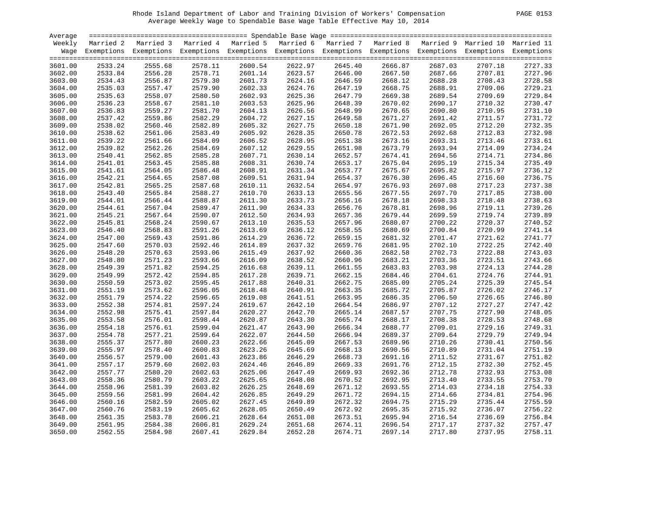| <b>PAGE 0153</b> |  |
|------------------|--|
|                  |  |

| Average |           |         |         |         |         |                    |         |         |         |                                                                                                                    |
|---------|-----------|---------|---------|---------|---------|--------------------|---------|---------|---------|--------------------------------------------------------------------------------------------------------------------|
| Weekly  | Married 2 |         |         |         |         |                    |         |         |         | Married 3 Married 4 Married 5 Married 6 Married 7 Married 8 Married 9 Married 10 Married 11                        |
|         |           |         |         |         |         |                    |         |         |         | Wage Exemptions Exemptions Exemptions Exemptions Exemptions Exemptions Exemptions Exemptions Exemptions Exemptions |
|         |           |         |         |         |         |                    |         |         |         |                                                                                                                    |
| 3601.00 | 2533.24   | 2555.68 | 2578.11 | 2600.54 | 2622.97 | 2645.40            | 2666.87 | 2687.03 | 2707.18 | 2727.33                                                                                                            |
| 3602.00 | 2533.84   | 2556.28 | 2578.71 | 2601.14 | 2623.57 | 2646.00            | 2667.50 | 2687.66 | 2707.81 | 2727.96                                                                                                            |
| 3603.00 | 2534.43   | 2556.87 | 2579.30 | 2601.73 | 2624.16 | 2646.59            | 2668.12 | 2688.28 | 2708.43 | 2728.58                                                                                                            |
| 3604.00 | 2535.03   | 2557.47 | 2579.90 | 2602.33 | 2624.76 |                    | 2668.75 | 2688.91 | 2709.06 | 2729.21                                                                                                            |
| 3605.00 | 2535.63   | 2558.07 | 2580.50 | 2602.93 | 2625.36 | 2647.19<br>2647.79 | 2669.38 | 2689.54 | 2709.69 | 2729.84                                                                                                            |
| 3606.00 | 2536.23   | 2558.67 | 2581.10 | 2603.53 | 2625.96 | 2648.39            | 2670.02 | 2690.17 | 2710.32 | 2730.47                                                                                                            |
| 3607.00 | 2536.83   | 2559.27 | 2581.70 | 2604.13 | 2626.56 | 2648.99            | 2670.65 | 2690.80 | 2710.95 | 2731.10                                                                                                            |
| 3608.00 | 2537.42   | 2559.86 | 2582.29 | 2604.72 | 2627.15 | 2649.58            | 2671.27 | 2691.42 | 2711.57 | 2731.72                                                                                                            |
| 3609.00 | 2538.02   | 2560.46 | 2582.89 | 2605.32 | 2627.75 | 2650.18            | 2671.90 | 2692.05 | 2712.20 | 2732.35                                                                                                            |
| 3610.00 | 2538.62   | 2561.06 | 2583.49 | 2605.92 | 2628.35 | 2650.78            | 2672.53 | 2692.68 | 2712.83 | 2732.98                                                                                                            |
| 3611.00 | 2539.22   | 2561.66 | 2584.09 | 2606.52 | 2628.95 | 2651.38            | 2673.16 | 2693.31 | 2713.46 | 2733.61                                                                                                            |
| 3612.00 | 2539.82   | 2562.26 | 2584.69 | 2607.12 | 2629.55 | 2651.98            | 2673.79 | 2693.94 | 2714.09 | 2734.24                                                                                                            |
| 3613.00 | 2540.41   | 2562.85 | 2585.28 | 2607.71 | 2630.14 | 2652.57            | 2674.41 | 2694.56 | 2714.71 | 2734.86                                                                                                            |
| 3614.00 | 2541.01   | 2563.45 | 2585.88 | 2608.31 | 2630.74 | 2653.17            | 2675.04 | 2695.19 | 2715.34 | 2735.49                                                                                                            |
| 3615.00 | 2541.61   | 2564.05 | 2586.48 | 2608.91 | 2631.34 | 2653.77            | 2675.67 | 2695.82 | 2715.97 | 2736.12                                                                                                            |
| 3616.00 | 2542.21   | 2564.65 | 2587.08 | 2609.51 | 2631.94 | 2654.37            | 2676.30 | 2696.45 | 2716.60 | 2736.75                                                                                                            |
| 3617.00 | 2542.81   | 2565.25 | 2587.68 | 2610.11 | 2632.54 | 2654.97            | 2676.93 | 2697.08 | 2717.23 | 2737.38                                                                                                            |
| 3618.00 | 2543.40   | 2565.84 | 2588.27 | 2610.70 | 2633.13 | 2655.56            | 2677.55 | 2697.70 | 2717.85 | 2738.00                                                                                                            |
| 3619.00 | 2544.01   | 2566.44 | 2588.87 | 2611.30 | 2633.73 | 2656.16            | 2678.18 | 2698.33 | 2718.48 | 2738.63                                                                                                            |
| 3620.00 | 2544.61   | 2567.04 | 2589.47 | 2611.90 | 2634.33 | 2656.76            | 2678.81 | 2698.96 | 2719.11 | 2739.26                                                                                                            |
| 3621.00 | 2545.21   | 2567.64 | 2590.07 | 2612.50 | 2634.93 | 2657.36            | 2679.44 | 2699.59 | 2719.74 | 2739.89                                                                                                            |
|         | 2545.81   | 2568.24 | 2590.67 | 2613.10 | 2635.53 | 2657.96            | 2680.07 | 2700.22 | 2720.37 | 2740.52                                                                                                            |
| 3622.00 | 2546.40   | 2568.83 | 2591.26 | 2613.69 | 2636.12 | 2658.55            | 2680.69 | 2700.84 | 2720.99 | 2741.14                                                                                                            |
| 3623.00 |           |         |         |         |         |                    |         |         |         | 2741.77                                                                                                            |
| 3624.00 | 2547.00   | 2569.43 | 2591.86 | 2614.29 | 2636.72 | 2659.15<br>2659.76 | 2681.32 | 2701.47 | 2721.62 |                                                                                                                    |
| 3625.00 | 2547.60   | 2570.03 | 2592.46 | 2614.89 | 2637.32 |                    | 2681.95 | 2702.10 | 2722.25 | 2742.40                                                                                                            |
| 3626.00 | 2548.20   | 2570.63 | 2593.06 | 2615.49 | 2637.92 | 2660.36            | 2682.58 | 2702.73 | 2722.88 | 2743.03                                                                                                            |
| 3627.00 | 2548.80   | 2571.23 | 2593.66 | 2616.09 | 2638.52 | 2660.96            | 2683.21 | 2703.36 | 2723.51 | 2743.66                                                                                                            |
| 3628.00 | 2549.39   | 2571.82 | 2594.25 | 2616.68 | 2639.11 | 2661.55            | 2683.83 | 2703.98 | 2724.13 | 2744.28                                                                                                            |
| 3629.00 | 2549.99   | 2572.42 | 2594.85 | 2617.28 | 2639.71 | 2662.15            | 2684.46 | 2704.61 | 2724.76 | 2744.91                                                                                                            |
| 3630.00 | 2550.59   | 2573.02 | 2595.45 | 2617.88 | 2640.31 | 2662.75            | 2685.09 | 2705.24 | 2725.39 | 2745.54                                                                                                            |
| 3631.00 | 2551.19   | 2573.62 | 2596.05 | 2618.48 | 2640.91 | 2663.35            | 2685.72 | 2705.87 | 2726.02 | 2746.17                                                                                                            |
| 3632.00 | 2551.79   | 2574.22 | 2596.65 | 2619.08 | 2641.51 | 2663.95            | 2686.35 | 2706.50 | 2726.65 | 2746.80                                                                                                            |
| 3633.00 | 2552.38   | 2574.81 | 2597.24 | 2619.67 | 2642.10 | 2664.54            | 2686.97 | 2707.12 | 2727.27 | 2747.42                                                                                                            |
| 3634.00 | 2552.98   | 2575.41 | 2597.84 | 2620.27 | 2642.70 | 2665.14            | 2687.57 | 2707.75 | 2727.90 | 2748.05                                                                                                            |
| 3635.00 | 2553.58   | 2576.01 | 2598.44 | 2620.87 | 2643.30 | 2665.74            | 2688.17 | 2708.38 | 2728.53 | 2748.68                                                                                                            |
| 3636.00 | 2554.18   | 2576.61 | 2599.04 | 2621.47 | 2643.90 | 2666.34            | 2688.77 | 2709.01 | 2729.16 | 2749.31                                                                                                            |
| 3637.00 | 2554.78   | 2577.21 | 2599.64 | 2622.07 | 2644.50 | 2666.94            | 2689.37 | 2709.64 | 2729.79 | 2749.94                                                                                                            |
| 3638.00 | 2555.37   | 2577.80 | 2600.23 | 2622.66 | 2645.09 | 2667.53            | 2689.96 | 2710.26 | 2730.41 | 2750.56                                                                                                            |
| 3639.00 | 2555.97   | 2578.40 | 2600.83 | 2623.26 | 2645.69 | 2668.13            | 2690.56 | 2710.89 | 2731.04 | 2751.19                                                                                                            |
| 3640.00 | 2556.57   | 2579.00 | 2601.43 | 2623.86 | 2646.29 | 2668.73            | 2691.16 | 2711.52 | 2731.67 | 2751.82                                                                                                            |
| 3641.00 | 2557.17   | 2579.60 | 2602.03 | 2624.46 | 2646.89 | 2669.33            | 2691.76 | 2712.15 | 2732.30 | 2752.45                                                                                                            |
| 3642.00 | 2557.77   | 2580.20 | 2602.63 | 2625.06 | 2647.49 | 2669.93            | 2692.36 | 2712.78 | 2732.93 | 2753.08                                                                                                            |
| 3643.00 | 2558.36   | 2580.79 | 2603.22 | 2625.65 | 2648.08 | 2670.52            | 2692.95 | 2713.40 | 2733.55 | 2753.70                                                                                                            |
| 3644.00 | 2558.96   | 2581.39 | 2603.82 | 2626.25 | 2648.69 | 2671.12            | 2693.55 | 2714.03 | 2734.18 | 2754.33                                                                                                            |
| 3645.00 | 2559.56   | 2581.99 | 2604.42 | 2626.85 | 2649.29 | 2671.72            | 2694.15 | 2714.66 | 2734.81 | 2754.96                                                                                                            |
| 3646.00 | 2560.16   | 2582.59 | 2605.02 | 2627.45 | 2649.89 | 2672.32            | 2694.75 | 2715.29 | 2735.44 | 2755.59                                                                                                            |
| 3647.00 | 2560.76   | 2583.19 | 2605.62 | 2628.05 | 2650.49 | 2672.92            | 2695.35 | 2715.92 | 2736.07 | 2756.22                                                                                                            |
| 3648.00 | 2561.35   | 2583.78 | 2606.21 | 2628.64 | 2651.08 | 2673.51            | 2695.94 | 2716.54 | 2736.69 | 2756.84                                                                                                            |
| 3649.00 | 2561.95   | 2584.38 | 2606.81 | 2629.24 | 2651.68 | 2674.11            | 2696.54 | 2717.17 | 2737.32 | 2757.47                                                                                                            |
| 3650.00 | 2562.55   | 2584.98 | 2607.41 | 2629.84 | 2652.28 | 2674.71            | 2697.14 | 2717.80 | 2737.95 | 2758.11                                                                                                            |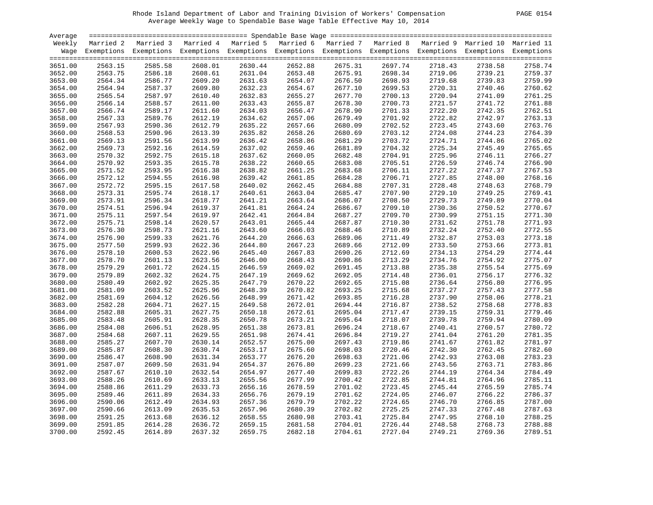| Average |         |                                                                                                                    |         |         |         |         |         |         |         |         |
|---------|---------|--------------------------------------------------------------------------------------------------------------------|---------|---------|---------|---------|---------|---------|---------|---------|
| Weekly  |         | Married 2 Married 3 Married 4 Married 5 Married 6 Married 7 Married 8 Married 9 Married 10 Married 11              |         |         |         |         |         |         |         |         |
|         |         | Wage Exemptions Exemptions Exemptions Exemptions Exemptions Exemptions Exemptions Exemptions Exemptions Exemptions |         |         |         |         |         |         |         |         |
|         |         |                                                                                                                    |         |         |         |         |         |         |         |         |
| 3651.00 | 2563.15 | 2585.58                                                                                                            | 2608.01 | 2630.44 | 2652.88 | 2675.31 | 2697.74 | 2718.43 | 2738.58 | 2758.74 |
| 3652.00 | 2563.75 | 2586.18                                                                                                            | 2608.61 | 2631.04 | 2653.48 | 2675.91 | 2698.34 | 2719.06 | 2739.21 | 2759.37 |
| 3653.00 | 2564.34 | 2586.77                                                                                                            | 2609.20 | 2631.63 | 2654.07 | 2676.50 | 2698.93 | 2719.68 | 2739.83 | 2759.99 |
| 3654.00 | 2564.94 | 2587.37                                                                                                            | 2609.80 | 2632.23 | 2654.67 | 2677.10 | 2699.53 | 2720.31 | 2740.46 | 2760.62 |
| 3655.00 | 2565.54 | 2587.97                                                                                                            | 2610.40 | 2632.83 | 2655.27 | 2677.70 | 2700.13 | 2720.94 | 2741.09 | 2761.25 |
| 3656.00 | 2566.14 | 2588.57                                                                                                            | 2611.00 | 2633.43 | 2655.87 | 2678.30 | 2700.73 | 2721.57 | 2741.72 | 2761.88 |
| 3657.00 | 2566.74 | 2589.17                                                                                                            | 2611.60 | 2634.03 | 2656.47 | 2678.90 | 2701.33 | 2722.20 | 2742.35 | 2762.51 |
| 3658.00 | 2567.33 | 2589.76                                                                                                            | 2612.19 | 2634.62 | 2657.06 | 2679.49 | 2701.92 | 2722.82 | 2742.97 | 2763.13 |
| 3659.00 | 2567.93 | 2590.36                                                                                                            | 2612.79 | 2635.22 | 2657.66 | 2680.09 | 2702.52 | 2723.45 | 2743.60 | 2763.76 |
| 3660.00 | 2568.53 | 2590.96                                                                                                            | 2613.39 | 2635.82 | 2658.26 | 2680.69 | 2703.12 | 2724.08 | 2744.23 | 2764.39 |
| 3661.00 | 2569.13 | 2591.56                                                                                                            | 2613.99 | 2636.42 | 2658.86 | 2681.29 | 2703.72 | 2724.71 | 2744.86 | 2765.02 |
| 3662.00 | 2569.73 | 2592.16                                                                                                            | 2614.59 | 2637.02 | 2659.46 | 2681.89 | 2704.32 | 2725.34 | 2745.49 | 2765.65 |
| 3663.00 | 2570.32 | 2592.75                                                                                                            | 2615.18 | 2637.62 | 2660.05 | 2682.48 | 2704.91 | 2725.96 | 2746.11 | 2766.27 |
| 3664.00 | 2570.92 | 2593.35                                                                                                            | 2615.78 | 2638.22 | 2660.65 | 2683.08 | 2705.51 | 2726.59 | 2746.74 | 2766.90 |
| 3665.00 | 2571.52 | 2593.95                                                                                                            | 2616.38 | 2638.82 | 2661.25 | 2683.68 | 2706.11 | 2727.22 | 2747.37 | 2767.53 |
| 3666.00 | 2572.12 | 2594.55                                                                                                            | 2616.98 | 2639.42 | 2661.85 | 2684.28 | 2706.71 | 2727.85 | 2748.00 | 2768.16 |
| 3667.00 | 2572.72 | 2595.15                                                                                                            | 2617.58 | 2640.02 | 2662.45 | 2684.88 | 2707.31 | 2728.48 | 2748.63 | 2768.79 |
| 3668.00 | 2573.31 | 2595.74                                                                                                            | 2618.17 | 2640.61 | 2663.04 | 2685.47 | 2707.90 | 2729.10 | 2749.25 | 2769.41 |
| 3669.00 | 2573.91 | 2596.34                                                                                                            | 2618.77 | 2641.21 | 2663.64 | 2686.07 | 2708.50 | 2729.73 | 2749.89 | 2770.04 |
| 3670.00 | 2574.51 | 2596.94                                                                                                            | 2619.37 | 2641.81 | 2664.24 | 2686.67 | 2709.10 | 2730.36 | 2750.52 | 2770.67 |
| 3671.00 | 2575.11 | 2597.54                                                                                                            | 2619.97 | 2642.41 | 2664.84 | 2687.27 | 2709.70 | 2730.99 | 2751.15 | 2771.30 |
| 3672.00 | 2575.71 | 2598.14                                                                                                            | 2620.57 | 2643.01 | 2665.44 | 2687.87 | 2710.30 | 2731.62 | 2751.78 | 2771.93 |
| 3673.00 | 2576.30 | 2598.73                                                                                                            | 2621.16 | 2643.60 | 2666.03 | 2688.46 | 2710.89 | 2732.24 | 2752.40 | 2772.55 |
| 3674.00 | 2576.90 | 2599.33                                                                                                            | 2621.76 | 2644.20 | 2666.63 | 2689.06 | 2711.49 | 2732.87 | 2753.03 | 2773.18 |
| 3675.00 | 2577.50 | 2599.93                                                                                                            | 2622.36 | 2644.80 | 2667.23 | 2689.66 | 2712.09 | 2733.50 | 2753.66 | 2773.81 |
| 3676.00 | 2578.10 | 2600.53                                                                                                            | 2622.96 | 2645.40 | 2667.83 | 2690.26 | 2712.69 | 2734.13 | 2754.29 | 2774.44 |
| 3677.00 | 2578.70 | 2601.13                                                                                                            | 2623.56 | 2646.00 | 2668.43 | 2690.86 | 2713.29 | 2734.76 | 2754.92 | 2775.07 |
| 3678.00 | 2579.29 | 2601.72                                                                                                            | 2624.15 | 2646.59 | 2669.02 | 2691.45 | 2713.88 | 2735.38 | 2755.54 | 2775.69 |
| 3679.00 | 2579.89 | 2602.32                                                                                                            | 2624.75 | 2647.19 | 2669.62 | 2692.05 | 2714.48 | 2736.01 | 2756.17 | 2776.32 |
| 3680.00 | 2580.49 | 2602.92                                                                                                            | 2625.35 | 2647.79 | 2670.22 | 2692.65 | 2715.08 | 2736.64 | 2756.80 | 2776.95 |
| 3681.00 | 2581.09 | 2603.52                                                                                                            | 2625.96 | 2648.39 | 2670.82 | 2693.25 | 2715.68 | 2737.27 | 2757.43 | 2777.58 |
| 3682.00 | 2581.69 | 2604.12                                                                                                            | 2626.56 | 2648.99 | 2671.42 | 2693.85 | 2716.28 | 2737.90 | 2758.06 | 2778.21 |
| 3683.00 | 2582.28 | 2604.71                                                                                                            | 2627.15 | 2649.58 | 2672.01 | 2694.44 | 2716.87 | 2738.52 | 2758.68 | 2778.83 |
| 3684.00 | 2582.88 | 2605.31                                                                                                            | 2627.75 | 2650.18 | 2672.61 | 2695.04 | 2717.47 | 2739.15 | 2759.31 | 2779.46 |
| 3685.00 | 2583.48 | 2605.91                                                                                                            | 2628.35 | 2650.78 | 2673.21 | 2695.64 | 2718.07 | 2739.78 | 2759.94 | 2780.09 |
| 3686.00 | 2584.08 | 2606.51                                                                                                            | 2628.95 | 2651.38 | 2673.81 | 2696.24 | 2718.67 | 2740.41 | 2760.57 | 2780.72 |
| 3687.00 | 2584.68 | 2607.11                                                                                                            | 2629.55 | 2651.98 | 2674.41 | 2696.84 | 2719.27 | 2741.04 | 2761.20 | 2781.35 |
| 3688.00 | 2585.27 | 2607.70                                                                                                            | 2630.14 | 2652.57 | 2675.00 | 2697.43 | 2719.86 | 2741.67 | 2761.82 | 2781.97 |
| 3689.00 | 2585.87 | 2608.30                                                                                                            | 2630.74 | 2653.17 | 2675.60 | 2698.03 | 2720.46 | 2742.30 | 2762.45 | 2782.60 |
| 3690.00 | 2586.47 | 2608.90                                                                                                            | 2631.34 | 2653.77 | 2676.20 | 2698.63 | 2721.06 | 2742.93 | 2763.08 | 2783.23 |
| 3691.00 | 2587.07 | 2609.50                                                                                                            | 2631.94 | 2654.37 | 2676.80 | 2699.23 | 2721.66 | 2743.56 | 2763.71 | 2783.86 |
| 3692.00 | 2587.67 | 2610.10                                                                                                            | 2632.54 | 2654.97 | 2677.40 | 2699.83 | 2722.26 | 2744.19 | 2764.34 | 2784.49 |
| 3693.00 | 2588.26 | 2610.69                                                                                                            | 2633.13 | 2655.56 | 2677.99 | 2700.42 | 2722.85 | 2744.81 | 2764.96 | 2785.11 |
| 3694.00 | 2588.86 | 2611.29                                                                                                            | 2633.73 | 2656.16 | 2678.59 | 2701.02 | 2723.45 | 2745.44 | 2765.59 | 2785.74 |
| 3695.00 | 2589.46 | 2611.89                                                                                                            | 2634.33 | 2656.76 | 2679.19 | 2701.62 | 2724.05 | 2746.07 | 2766.22 | 2786.37 |
| 3696.00 | 2590.06 | 2612.49                                                                                                            | 2634.93 | 2657.36 | 2679.79 | 2702.22 | 2724.65 | 2746.70 | 2766.85 | 2787.00 |
| 3697.00 | 2590.66 | 2613.09                                                                                                            | 2635.53 | 2657.96 | 2680.39 | 2702.82 | 2725.25 | 2747.33 | 2767.48 | 2787.63 |
| 3698.00 | 2591.25 | 2613.68                                                                                                            | 2636.12 | 2658.55 | 2680.98 | 2703.41 | 2725.84 | 2747.95 | 2768.10 | 2788.25 |
| 3699.00 | 2591.85 | 2614.28                                                                                                            | 2636.72 | 2659.15 | 2681.58 | 2704.01 | 2726.44 | 2748.58 | 2768.73 | 2788.88 |
| 3700.00 | 2592.45 | 2614.89                                                                                                            | 2637.32 | 2659.75 | 2682.18 | 2704.61 | 2727.04 | 2749.21 | 2769.36 | 2789.51 |
|         |         |                                                                                                                    |         |         |         |         |         |         |         |         |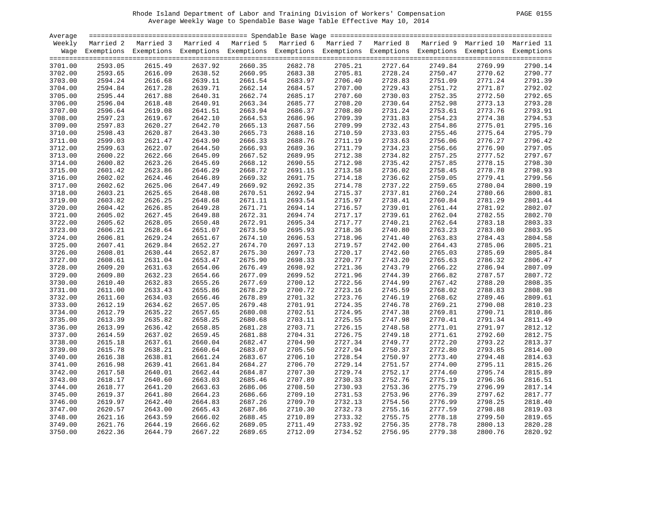| <b>PAGE</b> | 0155 |
|-------------|------|
|             |      |

| Average |         |                                                                                                                    |         |         |         |                    |         |         |         |         |
|---------|---------|--------------------------------------------------------------------------------------------------------------------|---------|---------|---------|--------------------|---------|---------|---------|---------|
| Weekly  |         | Married 2 Married 3 Married 4 Married 5 Married 6 Married 7 Married 8 Married 9 Married 10 Married 11              |         |         |         |                    |         |         |         |         |
|         |         | Wage Exemptions Exemptions Exemptions Exemptions Exemptions Exemptions Exemptions Exemptions Exemptions Exemptions |         |         |         |                    |         |         |         |         |
|         |         |                                                                                                                    |         |         |         |                    |         |         |         |         |
| 3701.00 | 2593.05 | 2615.49                                                                                                            | 2637.92 | 2660.35 | 2682.78 | 2705.21            | 2727.64 | 2749.84 | 2769.99 | 2790.14 |
| 3702.00 | 2593.65 | 2616.09                                                                                                            | 2638.52 | 2660.95 | 2683.38 | 2705.81            | 2728.24 | 2750.47 | 2770.62 | 2790.77 |
| 3703.00 | 2594.24 | 2616.68                                                                                                            | 2639.11 | 2661.54 | 2683.97 | 2706.40            | 2728.83 | 2751.09 | 2771.24 | 2791.39 |
| 3704.00 | 2594.84 | 2617.28                                                                                                            | 2639.71 | 2662.14 | 2684.57 | 2707.00            | 2729.43 | 2751.72 | 2771.87 | 2792.02 |
| 3705.00 | 2595.44 | 2617.88                                                                                                            | 2640.31 | 2662.74 | 2685.17 | 2707.60            | 2730.03 | 2752.35 | 2772.50 | 2792.65 |
| 3706.00 | 2596.04 | 2618.48                                                                                                            | 2640.91 | 2663.34 | 2685.77 | 2708.20            | 2730.64 | 2752.98 | 2773.13 | 2793.28 |
| 3707.00 | 2596.64 | 2619.08                                                                                                            | 2641.51 | 2663.94 | 2686.37 | 2708.80            | 2731.24 | 2753.61 | 2773.76 | 2793.91 |
| 3708.00 | 2597.23 | 2619.67                                                                                                            | 2642.10 | 2664.53 | 2686.96 | 2709.39            | 2731.83 | 2754.23 | 2774.38 | 2794.53 |
| 3709.00 | 2597.83 | 2620.27                                                                                                            | 2642.70 | 2665.13 | 2687.56 | 2709.99            | 2732.43 | 2754.86 | 2775.01 | 2795.16 |
| 3710.00 | 2598.43 | 2620.87                                                                                                            | 2643.30 | 2665.73 | 2688.16 | 2710.59            | 2733.03 | 2755.46 | 2775.64 | 2795.79 |
| 3711.00 | 2599.03 | 2621.47                                                                                                            | 2643.90 | 2666.33 | 2688.76 | 2711.19            | 2733.63 | 2756.06 | 2776.27 | 2796.42 |
| 3712.00 | 2599.63 | 2622.07                                                                                                            | 2644.50 | 2666.93 | 2689.36 | 2711.79            | 2734.23 | 2756.66 | 2776.90 | 2797.05 |
| 3713.00 | 2600.22 | 2622.66                                                                                                            | 2645.09 | 2667.52 | 2689.95 | 2712.38            | 2734.82 | 2757.25 | 2777.52 | 2797.67 |
| 3714.00 | 2600.82 | 2623.26                                                                                                            | 2645.69 | 2668.12 | 2690.55 | 2712.98            | 2735.42 | 2757.85 | 2778.15 | 2798.30 |
| 3715.00 | 2601.42 | 2623.86                                                                                                            | 2646.29 | 2668.72 | 2691.15 | 2713.58            | 2736.02 | 2758.45 | 2778.78 | 2798.93 |
| 3716.00 | 2602.02 | 2624.46                                                                                                            | 2646.89 | 2669.32 | 2691.75 | 2714.18            | 2736.62 | 2759.05 | 2779.41 | 2799.56 |
| 3717.00 | 2602.62 | 2625.06                                                                                                            | 2647.49 | 2669.92 | 2692.35 | 2714.78            | 2737.22 | 2759.65 | 2780.04 | 2800.19 |
| 3718.00 | 2603.21 | 2625.65                                                                                                            | 2648.08 | 2670.51 | 2692.94 | 2715.37            | 2737.81 | 2760.24 | 2780.66 | 2800.81 |
| 3719.00 | 2603.82 | 2626.25                                                                                                            | 2648.68 | 2671.11 | 2693.54 | 2715.97            | 2738.41 | 2760.84 | 2781.29 | 2801.44 |
| 3720.00 | 2604.42 | 2626.85                                                                                                            | 2649.28 | 2671.71 | 2694.14 | 2716.57            | 2739.01 | 2761.44 | 2781.92 | 2802.07 |
| 3721.00 | 2605.02 | 2627.45                                                                                                            | 2649.88 | 2672.31 | 2694.74 | 2717.17            | 2739.61 | 2762.04 | 2782.55 | 2802.70 |
| 3722.00 | 2605.62 | 2628.05                                                                                                            | 2650.48 | 2672.91 | 2695.34 | 2717.77            | 2740.21 | 2762.64 | 2783.18 | 2803.33 |
| 3723.00 | 2606.21 | 2628.64                                                                                                            | 2651.07 | 2673.50 | 2695.93 | 2718.36            | 2740.80 | 2763.23 | 2783.80 | 2803.95 |
| 3724.00 | 2606.81 | 2629.24                                                                                                            | 2651.67 | 2674.10 | 2696.53 | 2718.96            | 2741.40 | 2763.83 | 2784.43 | 2804.58 |
|         |         | 2629.84                                                                                                            |         | 2674.70 |         |                    |         | 2764.43 |         | 2805.21 |
| 3725.00 | 2607.41 | 2630.44                                                                                                            | 2652.27 | 2675.30 | 2697.13 | 2719.57<br>2720.17 | 2742.00 |         | 2785.06 | 2805.84 |
| 3726.00 | 2608.01 |                                                                                                                    | 2652.87 |         | 2697.73 |                    | 2742.60 | 2765.03 | 2785.69 |         |
| 3727.00 | 2608.61 | 2631.04                                                                                                            | 2653.47 | 2675.90 | 2698.33 | 2720.77            | 2743.20 | 2765.63 | 2786.32 | 2806.47 |
| 3728.00 | 2609.20 | 2631.63                                                                                                            | 2654.06 | 2676.49 | 2698.92 | 2721.36            | 2743.79 | 2766.22 | 2786.94 | 2807.09 |
| 3729.00 | 2609.80 | 2632.23                                                                                                            | 2654.66 | 2677.09 | 2699.52 | 2721.96            | 2744.39 | 2766.82 | 2787.57 | 2807.72 |
| 3730.00 | 2610.40 | 2632.83                                                                                                            | 2655.26 | 2677.69 | 2700.12 | 2722.56            | 2744.99 | 2767.42 | 2788.20 | 2808.35 |
| 3731.00 | 2611.00 | 2633.43                                                                                                            | 2655.86 | 2678.29 | 2700.72 | 2723.16            | 2745.59 | 2768.02 | 2788.83 | 2808.98 |
| 3732.00 | 2611.60 | 2634.03                                                                                                            | 2656.46 | 2678.89 | 2701.32 | 2723.76            | 2746.19 | 2768.62 | 2789.46 | 2809.61 |
| 3733.00 | 2612.19 | 2634.62                                                                                                            | 2657.05 | 2679.48 | 2701.91 | 2724.35            | 2746.78 | 2769.21 | 2790.08 | 2810.23 |
| 3734.00 | 2612.79 | 2635.22                                                                                                            | 2657.65 | 2680.08 | 2702.51 | 2724.95            | 2747.38 | 2769.81 | 2790.71 | 2810.86 |
| 3735.00 | 2613.39 | 2635.82                                                                                                            | 2658.25 | 2680.68 | 2703.11 | 2725.55            | 2747.98 | 2770.41 | 2791.34 | 2811.49 |
| 3736.00 | 2613.99 | 2636.42                                                                                                            | 2658.85 | 2681.28 | 2703.71 | 2726.15            | 2748.58 | 2771.01 | 2791.97 | 2812.12 |
| 3737.00 | 2614.59 | 2637.02                                                                                                            | 2659.45 | 2681.88 | 2704.31 | 2726.75            | 2749.18 | 2771.61 | 2792.60 | 2812.75 |
| 3738.00 | 2615.18 | 2637.61                                                                                                            | 2660.04 | 2682.47 | 2704.90 | 2727.34            | 2749.77 | 2772.20 | 2793.22 | 2813.37 |
| 3739.00 | 2615.78 | 2638.21                                                                                                            | 2660.64 | 2683.07 | 2705.50 | 2727.94            | 2750.37 | 2772.80 | 2793.85 | 2814.00 |
| 3740.00 | 2616.38 | 2638.81                                                                                                            | 2661.24 | 2683.67 | 2706.10 | 2728.54            | 2750.97 | 2773.40 | 2794.48 | 2814.63 |
| 3741.00 | 2616.98 | 2639.41                                                                                                            | 2661.84 | 2684.27 | 2706.70 | 2729.14            | 2751.57 | 2774.00 | 2795.11 | 2815.26 |
| 3742.00 | 2617.58 | 2640.01                                                                                                            | 2662.44 | 2684.87 | 2707.30 | 2729.74            | 2752.17 | 2774.60 | 2795.74 | 2815.89 |
| 3743.00 | 2618.17 | 2640.60                                                                                                            | 2663.03 | 2685.46 | 2707.89 | 2730.33            | 2752.76 | 2775.19 | 2796.36 | 2816.51 |
| 3744.00 | 2618.77 | 2641.20                                                                                                            | 2663.63 | 2686.06 | 2708.50 | 2730.93            | 2753.36 | 2775.79 | 2796.99 | 2817.14 |
| 3745.00 | 2619.37 | 2641.80                                                                                                            | 2664.23 | 2686.66 | 2709.10 | 2731.53            | 2753.96 | 2776.39 | 2797.62 | 2817.77 |
| 3746.00 | 2619.97 | 2642.40                                                                                                            | 2664.83 | 2687.26 | 2709.70 | 2732.13            | 2754.56 | 2776.99 | 2798.25 | 2818.40 |
| 3747.00 | 2620.57 | 2643.00                                                                                                            | 2665.43 | 2687.86 | 2710.30 | 2732.73            | 2755.16 | 2777.59 | 2798.88 | 2819.03 |
| 3748.00 | 2621.16 | 2643.59                                                                                                            | 2666.02 | 2688.45 | 2710.89 | 2733.32            | 2755.75 | 2778.18 | 2799.50 | 2819.65 |
| 3749.00 | 2621.76 | 2644.19                                                                                                            | 2666.62 | 2689.05 | 2711.49 | 2733.92            | 2756.35 | 2778.78 | 2800.13 | 2820.28 |
| 3750.00 | 2622.36 | 2644.79                                                                                                            | 2667.22 | 2689.65 | 2712.09 | 2734.52            | 2756.95 | 2779.38 | 2800.76 | 2820.92 |
|         |         |                                                                                                                    |         |         |         |                    |         |         |         |         |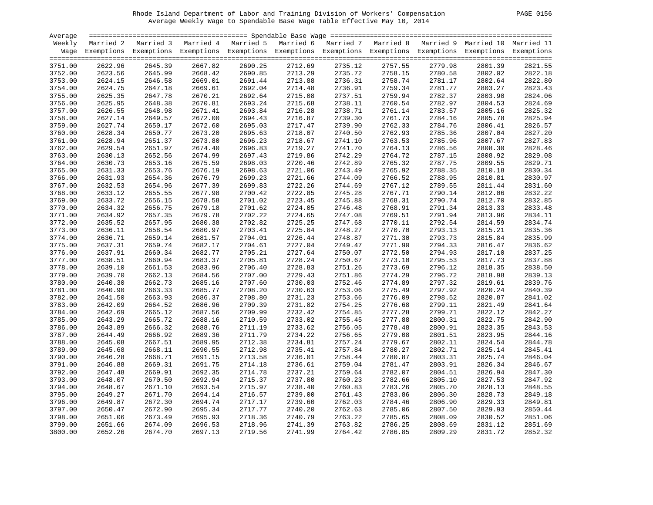| <b>PAGE</b> | 0156 |  |
|-------------|------|--|
|-------------|------|--|

| Average |         |                                                                                                                    |         |         |         |                    |         |         |         |         |
|---------|---------|--------------------------------------------------------------------------------------------------------------------|---------|---------|---------|--------------------|---------|---------|---------|---------|
| Weekly  |         | Married 2 Married 3 Married 4 Married 5 Married 6 Married 7 Married 8 Married 9 Married 10 Married 11              |         |         |         |                    |         |         |         |         |
|         |         | Wage Exemptions Exemptions Exemptions Exemptions Exemptions Exemptions Exemptions Exemptions Exemptions Exemptions |         |         |         |                    |         |         |         |         |
|         |         |                                                                                                                    |         |         |         |                    |         |         |         |         |
| 3751.00 | 2622.96 | 2645.39                                                                                                            | 2667.82 | 2690.25 | 2712.69 | 2735.12            | 2757.55 | 2779.98 | 2801.39 | 2821.55 |
| 3752.00 | 2623.56 | 2645.99                                                                                                            | 2668.42 | 2690.85 | 2713.29 | 2735.72            | 2758.15 | 2780.58 | 2802.02 | 2822.18 |
| 3753.00 | 2624.15 | 2646.58                                                                                                            | 2669.01 | 2691.44 | 2713.88 | 2735.72<br>2736.31 | 2758.74 | 2781.17 | 2802.64 | 2822.80 |
| 3754.00 | 2624.75 | 2647.18                                                                                                            | 2669.61 | 2692.04 | 2714.48 | 2736.91            | 2759.34 | 2781.77 | 2803.27 | 2823.43 |
| 3755.00 | 2625.35 | 2647.78                                                                                                            | 2670.21 | 2692.64 | 2715.08 | 2737.51            | 2759.94 | 2782.37 | 2803.90 | 2824.06 |
| 3756.00 | 2625.95 | 2648.38                                                                                                            | 2670.81 | 2693.24 | 2715.68 | 2738.11            | 2760.54 | 2782.97 | 2804.53 | 2824.69 |
| 3757.00 | 2626.55 | 2648.98                                                                                                            | 2671.41 | 2693.84 | 2716.28 | 2738.71            | 2761.14 | 2783.57 | 2805.16 | 2825.32 |
| 3758.00 | 2627.14 | 2649.57                                                                                                            | 2672.00 | 2694.43 | 2716.87 | 2739.30            | 2761.73 | 2784.16 | 2805.78 | 2825.94 |
| 3759.00 | 2627.74 | 2650.17                                                                                                            | 2672.60 | 2695.03 | 2717.47 | 2739.90            | 2762.33 | 2784.76 | 2806.41 | 2826.57 |
| 3760.00 | 2628.34 | 2650.77                                                                                                            | 2673.20 | 2695.63 | 2718.07 | 2740.50            | 2762.93 | 2785.36 | 2807.04 | 2827.20 |
| 3761.00 | 2628.94 | 2651.37                                                                                                            | 2673.80 | 2696.23 | 2718.67 | 2741.10            | 2763.53 | 2785.96 | 2807.67 | 2827.83 |
| 3762.00 | 2629.54 | 2651.97                                                                                                            | 2674.40 | 2696.83 | 2719.27 | 2741.70            | 2764.13 | 2786.56 | 2808.30 | 2828.46 |
| 3763.00 | 2630.13 | 2652.56                                                                                                            | 2674.99 | 2697.43 | 2719.86 | 2742.29            | 2764.72 | 2787.15 | 2808.92 | 2829.08 |
| 3764.00 | 2630.73 | 2653.16                                                                                                            | 2675.59 | 2698.03 | 2720.46 | 2742.89            | 2765.32 | 2787.75 | 2809.55 | 2829.71 |
| 3765.00 | 2631.33 | 2653.76                                                                                                            | 2676.19 | 2698.63 | 2721.06 | 2743.49            | 2765.92 | 2788.35 | 2810.18 | 2830.34 |
| 3766.00 | 2631.93 | 2654.36                                                                                                            | 2676.79 | 2699.23 | 2721.66 | 2744.09            | 2766.52 | 2788.95 | 2810.81 | 2830.97 |
| 3767.00 | 2632.53 | 2654.96                                                                                                            | 2677.39 | 2699.83 | 2722.26 | 2744.69            | 2767.12 | 2789.55 | 2811.44 | 2831.60 |
| 3768.00 | 2633.12 | 2655.55                                                                                                            | 2677.98 | 2700.42 | 2722.85 | 2745.28            | 2767.71 | 2790.14 | 2812.06 | 2832.22 |
| 3769.00 | 2633.72 | 2656.15                                                                                                            | 2678.58 | 2701.02 | 2723.45 | 2745.88            | 2768.31 | 2790.74 | 2812.70 | 2832.85 |
| 3770.00 | 2634.32 | 2656.75                                                                                                            | 2679.18 | 2701.62 | 2724.05 | 2746.48            | 2768.91 | 2791.34 | 2813.33 | 2833.48 |
| 3771.00 | 2634.92 | 2657.35                                                                                                            | 2679.78 | 2702.22 | 2724.65 | 2747.08            | 2769.51 | 2791.94 | 2813.96 | 2834.11 |
| 3772.00 | 2635.52 | 2657.95                                                                                                            | 2680.38 | 2702.82 | 2725.25 | 2747.68            | 2770.11 | 2792.54 | 2814.59 | 2834.74 |
| 3773.00 | 2636.11 | 2658.54                                                                                                            | 2680.97 | 2703.41 | 2725.84 | 2748.27            | 2770.70 | 2793.13 | 2815.21 | 2835.36 |
| 3774.00 | 2636.71 | 2659.14                                                                                                            | 2681.57 | 2704.01 | 2726.44 | 2748.87            | 2771.30 | 2793.73 | 2815.84 | 2835.99 |
| 3775.00 | 2637.31 | 2659.74                                                                                                            | 2682.17 | 2704.61 | 2727.04 | 2749.47            | 2771.90 | 2794.33 | 2816.47 | 2836.62 |
| 3776.00 | 2637.91 | 2660.34                                                                                                            | 2682.77 | 2705.21 | 2727.64 | 2750.07            | 2772.50 | 2794.93 | 2817.10 | 2837.25 |
| 3777.00 | 2638.51 | 2660.94                                                                                                            | 2683.37 | 2705.81 | 2728.24 | 2750.67            | 2773.10 | 2795.53 | 2817.73 | 2837.88 |
| 3778.00 | 2639.10 | 2661.53                                                                                                            | 2683.96 | 2706.40 | 2728.83 | 2751.26            | 2773.69 | 2796.12 | 2818.35 | 2838.50 |
| 3779.00 | 2639.70 | 2662.13                                                                                                            | 2684.56 | 2707.00 | 2729.43 | 2751.86            | 2774.29 | 2796.72 | 2818.98 | 2839.13 |
| 3780.00 | 2640.30 | 2662.73                                                                                                            | 2685.16 | 2707.60 | 2730.03 | 2752.46            | 2774.89 | 2797.32 | 2819.61 | 2839.76 |
| 3781.00 | 2640.90 | 2663.33                                                                                                            | 2685.77 | 2708.20 | 2730.63 | 2753.06            | 2775.49 | 2797.92 | 2820.24 | 2840.39 |
| 3782.00 | 2641.50 | 2663.93                                                                                                            | 2686.37 | 2708.80 | 2731.23 | 2753.66            | 2776.09 | 2798.52 | 2820.87 | 2841.02 |
| 3783.00 | 2642.09 | 2664.52                                                                                                            | 2686.96 | 2709.39 | 2731.82 | 2754.25            | 2776.68 | 2799.11 | 2821.49 | 2841.64 |
| 3784.00 | 2642.69 | 2665.12                                                                                                            | 2687.56 | 2709.99 | 2732.42 | 2754.85            | 2777.28 | 2799.71 | 2822.12 | 2842.27 |
| 3785.00 | 2643.29 | 2665.72                                                                                                            | 2688.16 | 2710.59 | 2733.02 | 2755.45            | 2777.88 | 2800.31 | 2822.75 | 2842.90 |
| 3786.00 | 2643.89 | 2666.32                                                                                                            | 2688.76 | 2711.19 | 2733.62 | 2756.05            | 2778.48 | 2800.91 | 2823.35 | 2843.53 |
| 3787.00 | 2644.49 | 2666.92                                                                                                            | 2689.36 | 2711.79 | 2734.22 | 2756.65            | 2779.08 | 2801.51 | 2823.95 | 2844.16 |
| 3788.00 | 2645.08 | 2667.51                                                                                                            | 2689.95 | 2712.38 | 2734.81 | 2757.24            | 2779.67 | 2802.11 | 2824.54 | 2844.78 |
| 3789.00 | 2645.68 | 2668.11                                                                                                            | 2690.55 | 2712.98 | 2735.41 | 2757.84            | 2780.27 | 2802.71 | 2825.14 | 2845.41 |
| 3790.00 | 2646.28 | 2668.71                                                                                                            | 2691.15 | 2713.58 | 2736.01 | 2758.44            | 2780.87 | 2803.31 | 2825.74 | 2846.04 |
| 3791.00 | 2646.88 | 2669.31                                                                                                            | 2691.75 | 2714.18 | 2736.61 | 2759.04            | 2781.47 | 2803.91 | 2826.34 | 2846.67 |
| 3792.00 | 2647.48 | 2669.91                                                                                                            | 2692.35 | 2714.78 | 2737.21 | 2759.64            | 2782.07 | 2804.51 | 2826.94 | 2847.30 |
| 3793.00 | 2648.07 | 2670.50                                                                                                            | 2692.94 | 2715.37 | 2737.80 | 2760.23            | 2782.66 | 2805.10 | 2827.53 | 2847.92 |
| 3794.00 | 2648.67 | 2671.10                                                                                                            | 2693.54 | 2715.97 | 2738.40 | 2760.83            | 2783.26 | 2805.70 | 2828.13 | 2848.55 |
| 3795.00 | 2649.27 | 2671.70                                                                                                            | 2694.14 | 2716.57 | 2739.00 | 2761.43            | 2783.86 | 2806.30 | 2828.73 | 2849.18 |
| 3796.00 | 2649.87 | 2672.30                                                                                                            | 2694.74 | 2717.17 | 2739.60 | 2762.03            | 2784.46 | 2806.90 |         | 2849.81 |
|         |         |                                                                                                                    |         |         |         |                    |         |         | 2829.33 | 2850.44 |
| 3797.00 | 2650.47 | 2672.90                                                                                                            | 2695.34 | 2717.77 | 2740.20 | 2762.63            | 2785.06 | 2807.50 | 2829.93 | 2851.06 |
| 3798.00 | 2651.06 | 2673.49                                                                                                            | 2695.93 | 2718.36 | 2740.79 | 2763.22            | 2785.65 | 2808.09 | 2830.52 |         |
| 3799.00 | 2651.66 | 2674.09                                                                                                            | 2696.53 | 2718.96 | 2741.39 | 2763.82            | 2786.25 | 2808.69 | 2831.12 | 2851.69 |
| 3800.00 | 2652.26 | 2674.70                                                                                                            | 2697.13 | 2719.56 | 2741.99 | 2764.42            | 2786.85 | 2809.29 | 2831.72 | 2852.32 |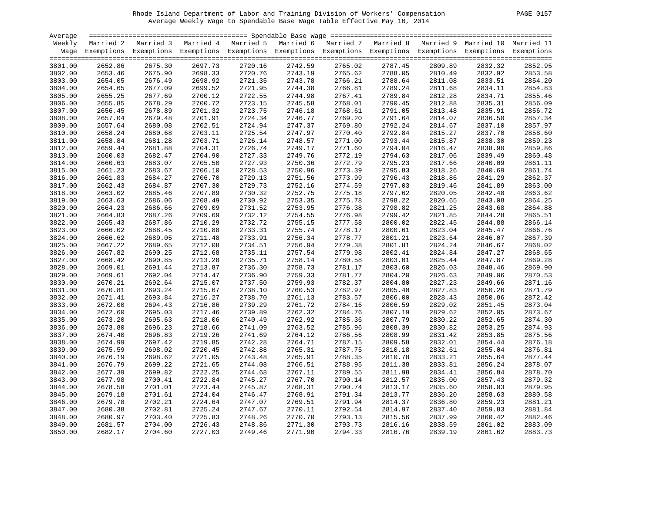| PAGE. | 0157 |
|-------|------|
|       |      |

| Average |         |                                                                                                       |         |         |         |                    |         |         |         |                                                                                                                    |
|---------|---------|-------------------------------------------------------------------------------------------------------|---------|---------|---------|--------------------|---------|---------|---------|--------------------------------------------------------------------------------------------------------------------|
| Weekly  |         | Married 2 Married 3 Married 4 Married 5 Married 6 Married 7 Married 8 Married 9 Married 10 Married 11 |         |         |         |                    |         |         |         |                                                                                                                    |
|         |         |                                                                                                       |         |         |         |                    |         |         |         | Wage Exemptions Exemptions Exemptions Exemptions Exemptions Exemptions Exemptions Exemptions Exemptions Exemptions |
|         |         |                                                                                                       |         |         |         |                    |         |         |         |                                                                                                                    |
| 3801.00 | 2652.86 | 2675.30                                                                                               | 2697.73 | 2720.16 | 2742.59 | 2765.02            | 2787.45 | 2809.89 | 2832.32 | 2852.95                                                                                                            |
| 3802.00 | 2653.46 | 2675.90                                                                                               | 2698.33 | 2720.76 | 2743.19 | 2765.62            | 2788.05 | 2810.49 | 2832.92 | 2853.58                                                                                                            |
| 3803.00 | 2654.05 | 2676.49                                                                                               | 2698.92 | 2721.35 | 2743.78 | 2765.62<br>2766.21 | 2788.64 | 2811.08 | 2833.51 | 2854.20                                                                                                            |
| 3804.00 | 2654.65 | 2677.09                                                                                               | 2699.52 | 2721.95 | 2744.38 | 2766.81            | 2789.24 | 2811.68 | 2834.11 | 2854.83                                                                                                            |
| 3805.00 | 2655.25 | 2677.69                                                                                               | 2700.12 | 2722.55 | 2744.98 | 2767.41            | 2789.84 | 2812.28 | 2834.71 | 2855.46                                                                                                            |
| 3806.00 | 2655.85 | 2678.29                                                                                               | 2700.72 | 2723.15 | 2745.58 | 2768.01            | 2790.45 | 2812.88 | 2835.31 | 2856.09                                                                                                            |
| 3807.00 | 2656.45 | 2678.89                                                                                               | 2701.32 | 2723.75 | 2746.18 | 2768.61            | 2791.05 | 2813.48 | 2835.91 | 2856.72                                                                                                            |
| 3808.00 | 2657.04 | 2679.48                                                                                               | 2701.91 | 2724.34 | 2746.77 | 2769.20            | 2791.64 | 2814.07 | 2836.50 | 2857.34                                                                                                            |
| 3809.00 | 2657.64 | 2680.08                                                                                               | 2702.51 | 2724.94 | 2747.37 | 2769.80            | 2792.24 | 2814.67 | 2837.10 | 2857.97                                                                                                            |
| 3810.00 | 2658.24 | 2680.68                                                                                               | 2703.11 | 2725.54 | 2747.97 | 2770.40            | 2792.84 | 2815.27 | 2837.70 | 2858.60                                                                                                            |
| 3811.00 | 2658.84 | 2681.28                                                                                               | 2703.71 | 2726.14 | 2748.57 | 2771.00            | 2793.44 | 2815.87 | 2838.30 | 2859.23                                                                                                            |
| 3812.00 | 2659.44 | 2681.88                                                                                               | 2704.31 | 2726.74 | 2749.17 | 2771.60            | 2794.04 | 2816.47 | 2838.90 | 2859.86                                                                                                            |
| 3813.00 | 2660.03 | 2682.47                                                                                               | 2704.90 | 2727.33 | 2749.76 | 2772.19            | 2794.63 | 2817.06 | 2839.49 | 2860.48                                                                                                            |
| 3814.00 | 2660.63 | 2683.07                                                                                               | 2705.50 | 2727.93 | 2750.36 | 2772.79            | 2795.23 | 2817.66 | 2840.09 | 2861.11                                                                                                            |
| 3815.00 | 2661.23 | 2683.67                                                                                               | 2706.10 | 2728.53 | 2750.96 | 2773.39            | 2795.83 | 2818.26 | 2840.69 | 2861.74                                                                                                            |
| 3816.00 | 2661.83 | 2684.27                                                                                               | 2706.70 | 2729.13 | 2751.56 | 2773.99            | 2796.43 | 2818.86 | 2841.29 | 2862.37                                                                                                            |
| 3817.00 | 2662.43 | 2684.87                                                                                               | 2707.30 | 2729.73 | 2752.16 | 2774.59            | 2797.03 | 2819.46 | 2841.89 | 2863.00                                                                                                            |
| 3818.00 | 2663.02 | 2685.46                                                                                               | 2707.89 | 2730.32 | 2752.75 | 2775.18            | 2797.62 | 2820.05 | 2842.48 | 2863.62                                                                                                            |
| 3819.00 | 2663.63 | 2686.06                                                                                               | 2708.49 | 2730.92 | 2753.35 | 2775.78            | 2798.22 | 2820.65 | 2843.08 | 2864.25                                                                                                            |
| 3820.00 | 2664.23 | 2686.66                                                                                               | 2709.09 | 2731.52 | 2753.95 | 2776.38            | 2798.82 | 2821.25 | 2843.68 | 2864.88                                                                                                            |
| 3821.00 | 2664.83 | 2687.26                                                                                               | 2709.69 | 2732.12 | 2754.55 | 2776.98            | 2799.42 | 2821.85 | 2844.28 | 2865.51                                                                                                            |
|         |         |                                                                                                       |         |         |         |                    |         |         |         |                                                                                                                    |
| 3822.00 | 2665.43 | 2687.86                                                                                               | 2710.29 | 2732.72 | 2755.15 | 2777.58            | 2800.02 | 2822.45 | 2844.88 | 2866.14                                                                                                            |
| 3823.00 | 2666.02 | 2688.45                                                                                               | 2710.88 | 2733.31 | 2755.74 | 2778.17            | 2800.61 | 2823.04 | 2845.47 | 2866.76                                                                                                            |
| 3824.00 | 2666.62 | 2689.05                                                                                               | 2711.48 | 2733.91 | 2756.34 | 2778.77            | 2801.21 | 2823.64 | 2846.07 | 2867.39                                                                                                            |
| 3825.00 | 2667.22 | 2689.65                                                                                               | 2712.08 | 2734.51 | 2756.94 | 2779.38            | 2801.81 | 2824.24 | 2846.67 | 2868.02                                                                                                            |
| 3826.00 | 2667.82 | 2690.25                                                                                               | 2712.68 | 2735.11 | 2757.54 | 2779.98            | 2802.41 | 2824.84 | 2847.27 | 2868.65                                                                                                            |
| 3827.00 | 2668.42 | 2690.85                                                                                               | 2713.28 | 2735.71 | 2758.14 | 2780.58            | 2803.01 | 2825.44 | 2847.87 | 2869.28                                                                                                            |
| 3828.00 | 2669.01 | 2691.44                                                                                               | 2713.87 | 2736.30 | 2758.73 | 2781.17            | 2803.60 | 2826.03 | 2848.46 | 2869.90                                                                                                            |
| 3829.00 | 2669.61 | 2692.04                                                                                               | 2714.47 | 2736.90 | 2759.33 | 2781.77            | 2804.20 | 2826.63 | 2849.06 | 2870.53                                                                                                            |
| 3830.00 | 2670.21 | 2692.64                                                                                               | 2715.07 | 2737.50 | 2759.93 | 2782.37            | 2804.80 | 2827.23 | 2849.66 | 2871.16                                                                                                            |
| 3831.00 | 2670.81 | 2693.24                                                                                               | 2715.67 | 2738.10 | 2760.53 | 2782.97            | 2805.40 | 2827.83 | 2850.26 | 2871.79                                                                                                            |
| 3832.00 | 2671.41 | 2693.84                                                                                               | 2716.27 | 2738.70 | 2761.13 | 2783.57            | 2806.00 | 2828.43 | 2850.86 | 2872.42                                                                                                            |
| 3833.00 | 2672.00 | 2694.43                                                                                               | 2716.86 | 2739.29 | 2761.72 | 2784.16            | 2806.59 | 2829.02 | 2851.45 | 2873.04                                                                                                            |
| 3834.00 | 2672.60 | 2695.03                                                                                               | 2717.46 | 2739.89 | 2762.32 | 2784.76            | 2807.19 | 2829.62 | 2852.05 | 2873.67                                                                                                            |
| 3835.00 | 2673.20 | 2695.63                                                                                               | 2718.06 | 2740.49 | 2762.92 | 2785.36            | 2807.79 | 2830.22 | 2852.65 | 2874.30                                                                                                            |
| 3836.00 | 2673.80 | 2696.23                                                                                               | 2718.66 | 2741.09 | 2763.52 | 2785.96            | 2808.39 | 2830.82 | 2853.25 | 2874.93                                                                                                            |
| 3837.00 | 2674.40 | 2696.83                                                                                               | 2719.26 | 2741.69 | 2764.12 | 2786.56            | 2808.99 | 2831.42 | 2853.85 | 2875.56                                                                                                            |
| 3838.00 | 2674.99 | 2697.42                                                                                               | 2719.85 | 2742.28 | 2764.71 | 2787.15            | 2809.58 | 2832.01 | 2854.44 | 2876.18                                                                                                            |
| 3839.00 | 2675.59 | 2698.02                                                                                               | 2720.45 | 2742.88 | 2765.31 | 2787.75            | 2810.18 | 2832.61 | 2855.04 | 2876.81                                                                                                            |
| 3840.00 | 2676.19 | 2698.62                                                                                               | 2721.05 | 2743.48 | 2765.91 | 2788.35            | 2810.78 | 2833.21 | 2855.64 | 2877.44                                                                                                            |
| 3841.00 | 2676.79 | 2699.22                                                                                               | 2721.65 | 2744.08 | 2766.51 | 2788.95            | 2811.38 | 2833.81 | 2856.24 | 2878.07                                                                                                            |
| 3842.00 | 2677.39 | 2699.82                                                                                               | 2722.25 | 2744.68 | 2767.11 | 2789.55            | 2811.98 | 2834.41 | 2856.84 | 2878.70                                                                                                            |
| 3843.00 | 2677.98 | 2700.41                                                                                               | 2722.84 | 2745.27 | 2767.70 | 2790.14            | 2812.57 | 2835.00 | 2857.43 | 2879.32                                                                                                            |
| 3844.00 | 2678.58 | 2701.01                                                                                               | 2723.44 | 2745.87 | 2768.31 | 2790.74            | 2813.17 | 2835.60 | 2858.03 | 2879.95                                                                                                            |
| 3845.00 | 2679.18 | 2701.61                                                                                               | 2724.04 | 2746.47 | 2768.91 | 2791.34            | 2813.77 | 2836.20 | 2858.63 | 2880.58                                                                                                            |
| 3846.00 | 2679.78 | 2702.21                                                                                               | 2724.64 | 2747.07 | 2769.51 | 2791.94            | 2814.37 | 2836.80 | 2859.23 | 2881.21                                                                                                            |
| 3847.00 | 2680.38 | 2702.81                                                                                               | 2725.24 | 2747.67 | 2770.11 | 2792.54            | 2814.97 | 2837.40 | 2859.83 | 2881.84                                                                                                            |
| 3848.00 | 2680.97 | 2703.40                                                                                               | 2725.83 | 2748.26 | 2770.70 | 2793.13            | 2815.56 | 2837.99 | 2860.42 | 2882.46                                                                                                            |
| 3849.00 | 2681.57 | 2704.00                                                                                               | 2726.43 | 2748.86 | 2771.30 | 2793.73            | 2816.16 | 2838.59 | 2861.02 | 2883.09                                                                                                            |
| 3850.00 | 2682.17 | 2704.60                                                                                               | 2727.03 | 2749.46 | 2771.90 | 2794.33            | 2816.76 | 2839.19 | 2861.62 | 2883.73                                                                                                            |
|         |         |                                                                                                       |         |         |         |                    |         |         |         |                                                                                                                    |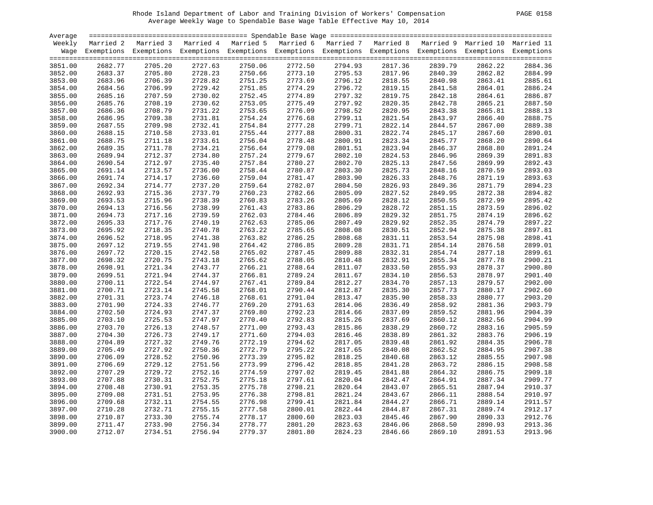| PAGE. | 0158 |  |
|-------|------|--|
|-------|------|--|

| Average |           |                                                                                                                    |         |         |         |                                                                                   |         |         |         |         |
|---------|-----------|--------------------------------------------------------------------------------------------------------------------|---------|---------|---------|-----------------------------------------------------------------------------------|---------|---------|---------|---------|
| Weekly  | Married 2 | Married 3                                                                                                          |         |         |         | Married 4 Married 5 Married 6 Married 7 Married 8 Married 9 Married 10 Married 11 |         |         |         |         |
|         |           | Wage Exemptions Exemptions Exemptions Exemptions Exemptions Exemptions Exemptions Exemptions Exemptions Exemptions |         |         |         |                                                                                   |         |         |         |         |
|         |           |                                                                                                                    |         |         |         |                                                                                   |         |         |         |         |
| 3851.00 | 2682.77   | 2705.20                                                                                                            | 2727.63 | 2750.06 | 2772.50 | 2794.93                                                                           | 2817.36 | 2839.79 | 2862.22 | 2884.36 |
| 3852.00 | 2683.37   | 2705.80                                                                                                            | 2728.23 | 2750.66 | 2773.10 | 2795.53                                                                           | 2817.96 | 2840.39 | 2862.82 | 2884.99 |
| 3853.00 | 2683.96   | 2706.39                                                                                                            | 2728.82 | 2751.25 | 2773.69 | 2796.12                                                                           | 2818.55 | 2840.98 | 2863.41 | 2885.61 |
| 3854.00 | 2684.56   | 2706.99                                                                                                            | 2729.42 | 2751.85 | 2774.29 | 2796.72                                                                           | 2819.15 | 2841.58 | 2864.01 | 2886.24 |
| 3855.00 | 2685.16   | 2707.59                                                                                                            | 2730.02 | 2752.45 | 2774.89 | 2797.32                                                                           | 2819.75 | 2842.18 | 2864.61 | 2886.87 |
| 3856.00 | 2685.76   | 2708.19                                                                                                            | 2730.62 | 2753.05 | 2775.49 | 2797.92                                                                           | 2820.35 | 2842.78 | 2865.21 | 2887.50 |
| 3857.00 | 2686.36   | 2708.79                                                                                                            | 2731.22 | 2753.65 | 2776.09 | 2798.52                                                                           | 2820.95 | 2843.38 | 2865.81 | 2888.13 |
| 3858.00 | 2686.95   | 2709.38                                                                                                            | 2731.81 | 2754.24 | 2776.68 | 2799.11                                                                           | 2821.54 | 2843.97 | 2866.40 | 2888.75 |
| 3859.00 | 2687.55   | 2709.98                                                                                                            | 2732.41 | 2754.84 | 2777.28 | 2799.71                                                                           | 2822.14 | 2844.57 | 2867.00 | 2889.38 |
| 3860.00 | 2688.15   | 2710.58                                                                                                            | 2733.01 | 2755.44 | 2777.88 | 2800.31                                                                           | 2822.74 | 2845.17 | 2867.60 | 2890.01 |
| 3861.00 | 2688.75   | 2711.18                                                                                                            | 2733.61 | 2756.04 | 2778.48 | 2800.91                                                                           | 2823.34 | 2845.77 | 2868.20 | 2890.64 |
|         | 2689.35   | 2711.78                                                                                                            | 2734.21 | 2756.64 | 2779.08 | 2801.51                                                                           | 2823.94 | 2846.37 | 2868.80 | 2891.24 |
| 3862.00 | 2689.94   | 2712.37                                                                                                            |         | 2757.24 | 2779.67 | 2802.10                                                                           | 2824.53 | 2846.96 | 2869.39 | 2891.83 |
| 3863.00 |           |                                                                                                                    | 2734.80 |         |         |                                                                                   |         |         |         | 2892.43 |
| 3864.00 | 2690.54   | 2712.97                                                                                                            | 2735.40 | 2757.84 | 2780.27 | 2802.70                                                                           | 2825.13 | 2847.56 | 2869.99 |         |
| 3865.00 | 2691.14   | 2713.57                                                                                                            | 2736.00 | 2758.44 | 2780.87 | 2803.30                                                                           | 2825.73 | 2848.16 | 2870.59 | 2893.03 |
| 3866.00 | 2691.74   | 2714.17                                                                                                            | 2736.60 | 2759.04 | 2781.47 | 2803.90                                                                           | 2826.33 | 2848.76 | 2871.19 | 2893.63 |
| 3867.00 | 2692.34   | 2714.77                                                                                                            | 2737.20 | 2759.64 | 2782.07 | 2804.50                                                                           | 2826.93 | 2849.36 | 2871.79 | 2894.23 |
| 3868.00 | 2692.93   | 2715.36                                                                                                            | 2737.79 | 2760.23 | 2782.66 | 2805.09                                                                           | 2827.52 | 2849.95 | 2872.38 | 2894.82 |
| 3869.00 | 2693.53   | 2715.96                                                                                                            | 2738.39 | 2760.83 | 2783.26 | 2805.69                                                                           | 2828.12 | 2850.55 | 2872.99 | 2895.42 |
| 3870.00 | 2694.13   | 2716.56                                                                                                            | 2738.99 | 2761.43 | 2783.86 | 2806.29                                                                           | 2828.72 | 2851.15 | 2873.59 | 2896.02 |
| 3871.00 | 2694.73   | 2717.16                                                                                                            | 2739.59 | 2762.03 | 2784.46 | 2806.89                                                                           | 2829.32 | 2851.75 | 2874.19 | 2896.62 |
| 3872.00 | 2695.33   | 2717.76                                                                                                            | 2740.19 | 2762.63 | 2785.06 | 2807.49                                                                           | 2829.92 | 2852.35 | 2874.79 | 2897.22 |
| 3873.00 | 2695.92   | 2718.35                                                                                                            | 2740.78 | 2763.22 | 2785.65 | 2808.08                                                                           | 2830.51 | 2852.94 | 2875.38 | 2897.81 |
| 3874.00 | 2696.52   | 2718.95                                                                                                            | 2741.38 | 2763.82 | 2786.25 | 2808.68                                                                           | 2831.11 | 2853.54 | 2875.98 | 2898.41 |
| 3875.00 | 2697.12   | 2719.55                                                                                                            | 2741.98 | 2764.42 | 2786.85 | 2809.28                                                                           | 2831.71 | 2854.14 | 2876.58 | 2899.01 |
| 3876.00 | 2697.72   | 2720.15                                                                                                            | 2742.58 | 2765.02 | 2787.45 | 2809.88                                                                           | 2832.31 | 2854.74 | 2877.18 | 2899.61 |
| 3877.00 | 2698.32   | 2720.75                                                                                                            | 2743.18 | 2765.62 | 2788.05 | 2810.48                                                                           | 2832.91 | 2855.34 | 2877.78 | 2900.21 |
| 3878.00 | 2698.91   | 2721.34                                                                                                            | 2743.77 | 2766.21 | 2788.64 | 2811.07                                                                           | 2833.50 | 2855.93 | 2878.37 | 2900.80 |
| 3879.00 | 2699.51   | 2721.94                                                                                                            | 2744.37 | 2766.81 | 2789.24 | 2811.67                                                                           | 2834.10 | 2856.53 | 2878.97 | 2901.40 |
| 3880.00 | 2700.11   | 2722.54                                                                                                            | 2744.97 | 2767.41 | 2789.84 | 2812.27                                                                           | 2834.70 | 2857.13 | 2879.57 | 2902.00 |
| 3881.00 | 2700.71   | 2723.14                                                                                                            | 2745.58 | 2768.01 | 2790.44 | 2812.87                                                                           | 2835.30 | 2857.73 | 2880.17 | 2902.60 |
| 3882.00 | 2701.31   | 2723.74                                                                                                            | 2746.18 | 2768.61 | 2791.04 | 2813.47                                                                           | 2835.90 | 2858.33 | 2880.77 | 2903.20 |
| 3883.00 | 2701.90   | 2724.33                                                                                                            | 2746.77 | 2769.20 | 2791.63 | 2814.06                                                                           | 2836.49 | 2858.92 | 2881.36 | 2903.79 |
| 3884.00 | 2702.50   | 2724.93                                                                                                            | 2747.37 | 2769.80 | 2792.23 | 2814.66                                                                           | 2837.09 | 2859.52 | 2881.96 | 2904.39 |
| 3885.00 | 2703.10   | 2725.53                                                                                                            | 2747.97 | 2770.40 | 2792.83 | 2815.26                                                                           | 2837.69 | 2860.12 | 2882.56 | 2904.99 |
| 3886.00 | 2703.70   | 2726.13                                                                                                            | 2748.57 | 2771.00 | 2793.43 | 2815.86                                                                           | 2838.29 | 2860.72 | 2883.16 | 2905.59 |
| 3887.00 | 2704.30   | 2726.73                                                                                                            | 2749.17 | 2771.60 | 2794.03 | 2816.46                                                                           | 2838.89 | 2861.32 | 2883.76 | 2906.19 |
| 3888.00 | 2704.89   | 2727.32                                                                                                            | 2749.76 | 2772.19 | 2794.62 | 2817.05                                                                           | 2839.48 | 2861.92 | 2884.35 | 2906.78 |
| 3889.00 | 2705.49   | 2727.92                                                                                                            | 2750.36 | 2772.79 | 2795.22 | 2817.65                                                                           | 2840.08 | 2862.52 | 2884.95 | 2907.38 |
| 3890.00 | 2706.09   | 2728.52                                                                                                            | 2750.96 | 2773.39 | 2795.82 | 2818.25                                                                           | 2840.68 | 2863.12 | 2885.55 | 2907.98 |
| 3891.00 | 2706.69   | 2729.12                                                                                                            | 2751.56 | 2773.99 | 2796.42 | 2818.85                                                                           | 2841.28 | 2863.72 | 2886.15 | 2908.58 |
| 3892.00 | 2707.29   | 2729.72                                                                                                            | 2752.16 | 2774.59 | 2797.02 | 2819.45                                                                           | 2841.88 | 2864.32 | 2886.75 | 2909.18 |
| 3893.00 | 2707.88   | 2730.31                                                                                                            | 2752.75 | 2775.18 | 2797.61 | 2820.04                                                                           | 2842.47 | 2864.91 | 2887.34 | 2909.77 |
| 3894.00 | 2708.48   | 2730.91                                                                                                            | 2753.35 | 2775.78 | 2798.21 | 2820.64                                                                           | 2843.07 | 2865.51 | 2887.94 | 2910.37 |
| 3895.00 | 2709.08   | 2731.51                                                                                                            | 2753.95 | 2776.38 | 2798.81 | 2821.24                                                                           | 2843.67 | 2866.11 | 2888.54 | 2910.97 |
|         |           |                                                                                                                    |         |         |         |                                                                                   |         |         |         | 2911.57 |
| 3896.00 | 2709.68   | 2732.11                                                                                                            | 2754.55 | 2776.98 | 2799.41 | 2821.84                                                                           | 2844.27 | 2866.71 | 2889.14 |         |
| 3897.00 | 2710.28   | 2732.71                                                                                                            | 2755.15 | 2777.58 | 2800.01 | 2822.44                                                                           | 2844.87 | 2867.31 | 2889.74 | 2912.17 |
| 3898.00 | 2710.87   | 2733.30                                                                                                            | 2755.74 | 2778.17 | 2800.60 | 2823.03                                                                           | 2845.46 | 2867.90 | 2890.33 | 2912.76 |
| 3899.00 | 2711.47   | 2733.90                                                                                                            | 2756.34 | 2778.77 | 2801.20 | 2823.63                                                                           | 2846.06 | 2868.50 | 2890.93 | 2913.36 |
| 3900.00 | 2712.07   | 2734.51                                                                                                            | 2756.94 | 2779.37 | 2801.80 | 2824.23                                                                           | 2846.66 | 2869.10 | 2891.53 | 2913.96 |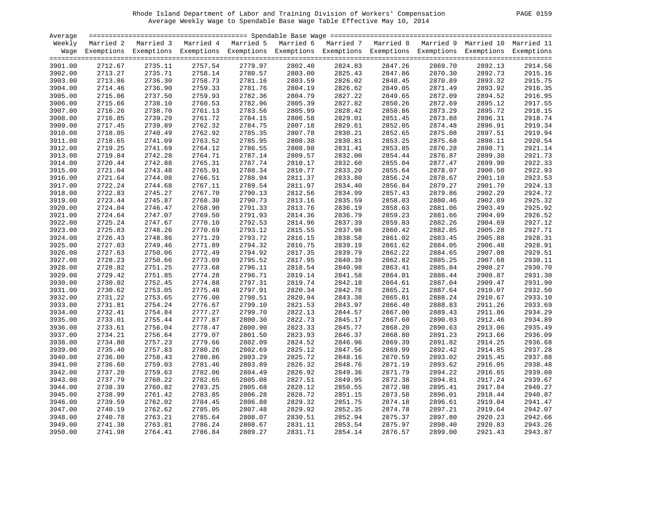| PAGE. | 59<br>01 |
|-------|----------|
|       |          |

| Average |         |                                                                                                                    |         |         |         |         |         |         |         |                    |
|---------|---------|--------------------------------------------------------------------------------------------------------------------|---------|---------|---------|---------|---------|---------|---------|--------------------|
| Weekly  |         | Married 2 Married 3 Married 4 Married 5 Married 6 Married 7 Married 8 Married 9 Married 10 Married 11              |         |         |         |         |         |         |         |                    |
|         |         | Wage Exemptions Exemptions Exemptions Exemptions Exemptions Exemptions Exemptions Exemptions Exemptions Exemptions |         |         |         |         |         |         |         |                    |
|         |         |                                                                                                                    |         |         |         |         |         |         |         |                    |
| 3901.00 | 2712.67 | 2735.11                                                                                                            | 2757.54 | 2779.97 | 2802.40 | 2824.83 | 2847.26 | 2869.70 | 2892.13 | 2914.56            |
| 3902.00 | 2713.27 | 2735.71                                                                                                            | 2758.14 | 2780.57 | 2803.00 | 2825.43 | 2847.86 | 2870.30 | 2892.73 | 2915.16            |
| 3903.00 | 2713.86 | 2736.30                                                                                                            | 2758.73 | 2781.16 | 2803.59 | 2826.02 | 2848.45 | 2870.89 | 2893.32 | 2915.75            |
| 3904.00 | 2714.46 | 2736.90                                                                                                            | 2759.33 | 2781.76 | 2804.19 | 2826.62 | 2849.05 | 2871.49 | 2893.92 | 2916.35            |
| 3905.00 | 2715.06 | 2737.50                                                                                                            | 2759.93 | 2782.36 | 2804.79 | 2827.22 | 2849.65 | 2872.09 | 2894.52 | 2916.95            |
| 3906.00 | 2715.66 | 2738.10                                                                                                            | 2760.53 | 2782.96 | 2805.39 | 2827.82 | 2850.26 | 2872.69 | 2895.12 | 2917.55            |
| 3907.00 | 2716.26 | 2738.70                                                                                                            | 2761.13 | 2783.56 | 2805.99 | 2828.42 | 2850.86 | 2873.29 | 2895.72 | 2918.15            |
| 3908.00 | 2716.85 | 2739.29                                                                                                            | 2761.72 | 2784.15 | 2806.58 | 2829.01 | 2851.45 | 2873.88 | 2896.31 | 2918.74            |
| 3909.00 | 2717.45 | 2739.89                                                                                                            | 2762.32 | 2784.75 | 2807.18 | 2829.61 | 2852.05 | 2874.48 | 2896.91 | 2919.34            |
| 3910.00 | 2718.05 | 2740.49                                                                                                            | 2762.92 | 2785.35 | 2807.78 | 2830.21 | 2852.65 | 2875.08 | 2897.51 | 2919.94            |
| 3911.00 | 2718.65 | 2741.09                                                                                                            | 2763.52 | 2785.95 | 2808.38 | 2830.81 | 2853.25 | 2875.68 | 2898.11 | 2920.54            |
| 3912.00 | 2719.25 | 2741.69                                                                                                            | 2764.12 | 2786.55 | 2808.98 | 2831.41 | 2853.85 | 2876.28 | 2898.71 | 2921.14            |
| 3913.00 | 2719.84 | 2742.28                                                                                                            | 2764.71 | 2787.14 | 2809.57 | 2832.00 | 2854.44 | 2876.87 | 2899.30 | 2921.73            |
| 3914.00 | 2720.44 | 2742.88                                                                                                            | 2765.31 | 2787.74 | 2810.17 | 2832.60 | 2855.04 | 2877.47 | 2899.90 | 2922.33            |
| 3915.00 | 2721.04 | 2743.48                                                                                                            | 2765.91 | 2788.34 | 2810.77 | 2833.20 | 2855.64 | 2878.07 | 2900.50 | 2922.93            |
| 3916.00 | 2721.64 | 2744.08                                                                                                            | 2766.51 | 2788.94 | 2811.37 | 2833.80 | 2856.24 | 2878.67 | 2901.10 | 2923.53            |
| 3917.00 | 2722.24 | 2744.68                                                                                                            | 2767.11 | 2789.54 | 2811.97 | 2834.40 | 2856.84 | 2879.27 | 2901.70 | 2924.13            |
| 3918.00 | 2722.83 | 2745.27                                                                                                            | 2767.70 | 2790.13 | 2812.56 | 2834.99 | 2857.43 | 2879.86 | 2902.29 | 2924.72            |
| 3919.00 | 2723.44 | 2745.87                                                                                                            | 2768.30 | 2790.73 | 2813.16 | 2835.59 | 2858.03 | 2880.46 | 2902.89 | 2925.32            |
| 3920.00 | 2724.04 | 2746.47                                                                                                            | 2768.90 | 2791.33 | 2813.76 | 2836.19 | 2858.63 | 2881.06 | 2903.49 | 2925.92            |
| 3921.00 | 2724.64 | 2747.07                                                                                                            | 2769.50 | 2791.93 | 2814.36 | 2836.79 | 2859.23 | 2881.66 | 2904.09 | 2926.52            |
| 3922.00 | 2725.24 | 2747.67                                                                                                            | 2770.10 | 2792.53 | 2814.96 | 2837.39 | 2859.83 | 2882.26 | 2904.69 | 2927.12            |
| 3923.00 | 2725.83 | 2748.26                                                                                                            | 2770.69 | 2793.12 | 2815.55 | 2837.98 | 2860.42 | 2882.85 | 2905.28 | 2927.71            |
| 3924.00 | 2726.43 | 2748.86                                                                                                            | 2771.29 | 2793.72 | 2816.15 | 2838.58 | 2861.02 | 2883.45 | 2905.88 | 2928.31            |
| 3925.00 | 2727.03 | 2749.46                                                                                                            | 2771.89 | 2794.32 | 2816.75 | 2839.19 | 2861.62 | 2884.05 | 2906.48 | 2928.91            |
| 3926.00 | 2727.63 | 2750.06                                                                                                            | 2772.49 | 2794.92 | 2817.35 | 2839.79 | 2862.22 | 2884.65 | 2907.08 | 2929.51            |
| 3927.00 | 2728.23 | 2750.66                                                                                                            | 2773.09 | 2795.52 | 2817.95 | 2840.39 | 2862.82 | 2885.25 | 2907.68 | 2930.11            |
| 3928.00 | 2728.82 | 2751.25                                                                                                            | 2773.68 | 2796.11 | 2818.54 | 2840.98 | 2863.41 | 2885.84 | 2908.27 | 2930.70            |
| 3929.00 | 2729.42 | 2751.85                                                                                                            | 2774.28 | 2796.71 | 2819.14 | 2841.58 | 2864.01 | 2886.44 | 2908.87 | 2931.30            |
| 3930.00 | 2730.02 | 2752.45                                                                                                            | 2774.88 | 2797.31 | 2819.74 | 2842.18 | 2864.61 | 2887.04 | 2909.47 | 2931.90            |
| 3931.00 | 2730.62 | 2753.05                                                                                                            | 2775.48 | 2797.91 | 2820.34 | 2842.78 | 2865.21 | 2887.64 | 2910.07 | 2932.50            |
| 3932.00 | 2731.22 | 2753.65                                                                                                            | 2776.08 | 2798.51 | 2820.94 | 2843.38 | 2865.81 | 2888.24 | 2910.67 | 2933.10            |
| 3933.00 | 2731.81 | 2754.24                                                                                                            | 2776.67 | 2799.10 | 2821.53 | 2843.97 | 2866.40 | 2888.83 | 2911.26 | 2933.69            |
| 3934.00 | 2732.41 | 2754.84                                                                                                            | 2777.27 | 2799.70 | 2822.13 | 2844.57 | 2867.00 | 2889.43 | 2911.86 | 2934.29            |
| 3935.00 | 2733.01 | 2755.44                                                                                                            | 2777.87 | 2800.30 | 2822.73 | 2845.17 | 2867.60 | 2890.03 | 2912.46 | 2934.89            |
| 3936.00 | 2733.61 | 2756.04                                                                                                            | 2778.47 | 2800.90 | 2823.33 | 2845.77 | 2868.20 | 2890.63 | 2913.06 | 2935.49            |
| 3937.00 | 2734.21 | 2756.64                                                                                                            | 2779.07 | 2801.50 | 2823.93 | 2846.37 | 2868.80 | 2891.23 | 2913.66 | 2936.09            |
| 3938.00 | 2734.80 | 2757.23                                                                                                            | 2779.66 | 2802.09 | 2824.52 | 2846.96 | 2869.39 | 2891.82 | 2914.25 | 2936.68            |
| 3939.00 | 2735.40 | 2757.83                                                                                                            | 2780.26 | 2802.69 | 2825.12 | 2847.56 | 2869.99 | 2892.42 | 2914.85 | 2937.28            |
|         |         | 2758.43                                                                                                            |         |         |         |         |         |         |         |                    |
| 3940.00 | 2736.00 |                                                                                                                    | 2780.86 | 2803.29 | 2825.72 | 2848.16 | 2870.59 | 2893.02 | 2915.45 | 2937.88<br>2938.48 |
| 3941.00 | 2736.60 | 2759.03                                                                                                            | 2781.46 | 2803.89 | 2826.32 | 2848.76 | 2871.19 | 2893.62 | 2916.05 |                    |
| 3942.00 | 2737.20 | 2759.63                                                                                                            | 2782.06 | 2804.49 | 2826.92 | 2849.36 | 2871.79 | 2894.22 | 2916.65 | 2939.08            |
| 3943.00 | 2737.79 | 2760.22                                                                                                            | 2782.65 | 2805.08 | 2827.51 | 2849.95 | 2872.38 | 2894.81 | 2917.24 | 2939.67            |
| 3944.00 | 2738.39 | 2760.82                                                                                                            | 2783.25 | 2805.68 | 2828.12 | 2850.55 | 2872.98 | 2895.41 | 2917.84 | 2940.27            |
| 3945.00 | 2738.99 | 2761.42                                                                                                            | 2783.85 | 2806.28 | 2828.72 | 2851.15 | 2873.58 | 2896.01 | 2918.44 | 2940.87            |
| 3946.00 | 2739.59 | 2762.02                                                                                                            | 2784.45 | 2806.88 | 2829.32 | 2851.75 | 2874.18 | 2896.61 | 2919.04 | 2941.47            |
| 3947.00 | 2740.19 | 2762.62                                                                                                            | 2785.05 | 2807.48 | 2829.92 | 2852.35 | 2874.78 | 2897.21 | 2919.64 | 2942.07            |
| 3948.00 | 2740.78 | 2763.21                                                                                                            | 2785.64 | 2808.07 | 2830.51 | 2852.94 | 2875.37 | 2897.80 | 2920.23 | 2942.66            |
| 3949.00 | 2741.38 | 2763.81                                                                                                            | 2786.24 | 2808.67 | 2831.11 | 2853.54 | 2875.97 | 2898.40 | 2920.83 | 2943.26            |
| 3950.00 | 2741.98 | 2764.41                                                                                                            | 2786.84 | 2809.27 | 2831.71 | 2854.14 | 2876.57 | 2899.00 | 2921.43 | 2943.87            |